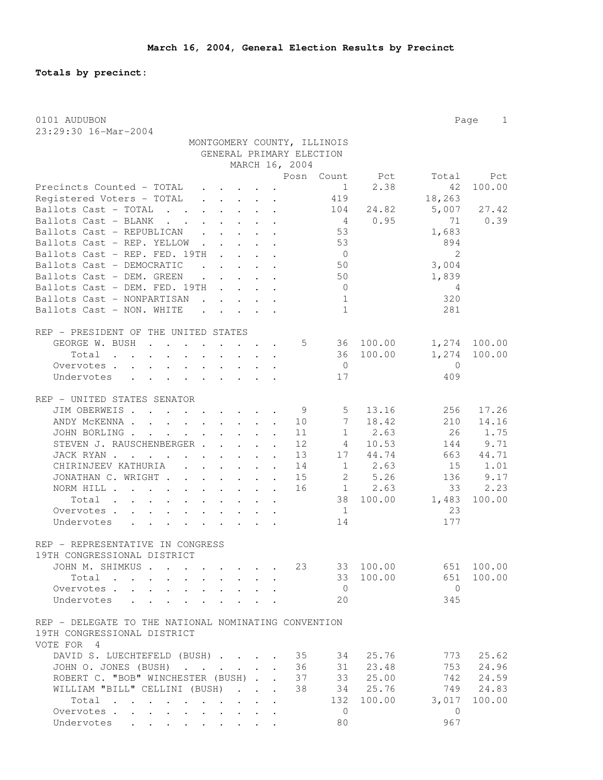**Totals by precinct:**

| 0101 AUDUBON<br>Page<br>1                                                                                                                                                                                                         |                |              |  |  |  |  |  |  |  |  |  |  |
|-----------------------------------------------------------------------------------------------------------------------------------------------------------------------------------------------------------------------------------|----------------|--------------|--|--|--|--|--|--|--|--|--|--|
| 23:29:30 16-Mar-2004<br>MONTGOMERY COUNTY, ILLINOIS                                                                                                                                                                               |                |              |  |  |  |  |  |  |  |  |  |  |
| GENERAL PRIMARY ELECTION                                                                                                                                                                                                          |                |              |  |  |  |  |  |  |  |  |  |  |
| MARCH 16, 2004                                                                                                                                                                                                                    |                |              |  |  |  |  |  |  |  |  |  |  |
| Posn<br>Count<br>Pct                                                                                                                                                                                                              | Total          | Pct          |  |  |  |  |  |  |  |  |  |  |
| Precincts Counted - TOTAL<br>2.38<br>1<br>$\mathbf{r}$ , $\mathbf{r}$ , $\mathbf{r}$ , $\mathbf{r}$                                                                                                                               | 42             | 100.00       |  |  |  |  |  |  |  |  |  |  |
| Registered Voters - TOTAL<br>419                                                                                                                                                                                                  | 18,263         |              |  |  |  |  |  |  |  |  |  |  |
| $\mathbf{r}$ , $\mathbf{r}$ , $\mathbf{r}$ , $\mathbf{r}$ , $\mathbf{r}$<br>Ballots Cast - TOTAL<br>24.82<br>104<br>$\mathbf{L}$ . The set of $\mathbf{L}$                                                                        | 5,007          | 27.42        |  |  |  |  |  |  |  |  |  |  |
| $\begin{array}{cccccccccccccc} \bullet & \bullet & \bullet & \bullet & \bullet & \bullet & \bullet & \bullet & \bullet \end{array}$<br>Ballots Cast - BLANK<br>0.95<br>4                                                          | 71             | 0.39         |  |  |  |  |  |  |  |  |  |  |
| $\cdot$ $\cdot$ $\cdot$ $\cdot$ $\cdot$ $\cdot$<br>Ballots Cast - REPUBLICAN<br>53                                                                                                                                                | 1,683          |              |  |  |  |  |  |  |  |  |  |  |
| $\mathbf{1}$ . The set of the set of the set of the set of the set of the set of the set of the set of the set of the set of the set of the set of the set of the set of the set of the set of the set of the set of the set of t | 894            |              |  |  |  |  |  |  |  |  |  |  |
| 53<br>Ballots Cast - REP. YELLOW.                                                                                                                                                                                                 | $\mathfrak{D}$ |              |  |  |  |  |  |  |  |  |  |  |
| Ballots Cast - REP. FED. 19TH<br>$\cdot$<br>$\overline{0}$                                                                                                                                                                        |                |              |  |  |  |  |  |  |  |  |  |  |
| Ballots Cast - DEMOCRATIC<br>50<br>$\ddot{\phantom{a}}$<br>$\sim$ $\sim$                                                                                                                                                          | 3,004          |              |  |  |  |  |  |  |  |  |  |  |
| Ballots Cast - DEM. GREEN<br>$\mathbf{r}$ , $\mathbf{r}$ , $\mathbf{r}$<br>50                                                                                                                                                     | 1,839          |              |  |  |  |  |  |  |  |  |  |  |
| Ballots Cast - DEM. FED. 19TH<br>$\overline{0}$                                                                                                                                                                                   | 4              |              |  |  |  |  |  |  |  |  |  |  |
| Ballots Cast - NONPARTISAN<br>1                                                                                                                                                                                                   | 320            |              |  |  |  |  |  |  |  |  |  |  |
| Ballots Cast - NON. WHITE<br>$\mathbf{1}$<br>and the contract of the contract of                                                                                                                                                  | 281            |              |  |  |  |  |  |  |  |  |  |  |
| REP - PRESIDENT OF THE UNITED STATES                                                                                                                                                                                              |                |              |  |  |  |  |  |  |  |  |  |  |
| GEORGE W. BUSH<br>5<br>36 100.00                                                                                                                                                                                                  |                | 1,274 100.00 |  |  |  |  |  |  |  |  |  |  |
| Total<br>36 100.00<br>$\mathbf{L} = \mathbf{L} \mathbf{L} + \mathbf{L} \mathbf{L}$<br>$\cdot$ $\cdot$ $\cdot$<br>$\sim$<br>$\ddot{\phantom{a}}$                                                                                   | 1,274          | 100.00       |  |  |  |  |  |  |  |  |  |  |
| Overvotes.<br>$\overline{0}$                                                                                                                                                                                                      | $\mathbf{0}$   |              |  |  |  |  |  |  |  |  |  |  |
| Undervotes<br>17                                                                                                                                                                                                                  | 409            |              |  |  |  |  |  |  |  |  |  |  |
|                                                                                                                                                                                                                                   |                |              |  |  |  |  |  |  |  |  |  |  |
| REP - UNITED STATES SENATOR                                                                                                                                                                                                       |                |              |  |  |  |  |  |  |  |  |  |  |
| JIM OBERWEIS<br>13.16<br>- 9<br>5 <sup>5</sup>                                                                                                                                                                                    | 256            | 17.26        |  |  |  |  |  |  |  |  |  |  |
| $7\phantom{.0}$<br>18.42<br>ANDY MCKENNA<br>10                                                                                                                                                                                    | 210            | 14.16        |  |  |  |  |  |  |  |  |  |  |
| $\mathbf{1}$<br>2.63<br>JOHN BORLING .<br>11<br>and the contract of the contract of                                                                                                                                               | 26             | 1.75         |  |  |  |  |  |  |  |  |  |  |
| STEVEN J. RAUSCHENBERGER<br>12<br>10.53<br>4                                                                                                                                                                                      | 144            | 9.71         |  |  |  |  |  |  |  |  |  |  |
| 17<br>JACK RYAN<br>13<br>44.74                                                                                                                                                                                                    | 663            | 44.71        |  |  |  |  |  |  |  |  |  |  |
| $1 \t 2.63$<br>CHIRINJEEV KATHURIA<br>14<br>$\ddot{\phantom{a}}$                                                                                                                                                                  | 15             | 1.01         |  |  |  |  |  |  |  |  |  |  |
| 5.26<br>JONATHAN C. WRIGHT<br>15<br>2<br>$\cdot$                                                                                                                                                                                  | 136            | 9.17         |  |  |  |  |  |  |  |  |  |  |
| 16<br>1 2.63<br>NORM HILL                                                                                                                                                                                                         | 33             | 2.23         |  |  |  |  |  |  |  |  |  |  |
| 38<br>100.00<br>Total                                                                                                                                                                                                             | 1,483          | 100.00       |  |  |  |  |  |  |  |  |  |  |
| $\overline{1}$<br>Overvotes                                                                                                                                                                                                       | 23             |              |  |  |  |  |  |  |  |  |  |  |
| Undervotes<br>14                                                                                                                                                                                                                  | 177            |              |  |  |  |  |  |  |  |  |  |  |
|                                                                                                                                                                                                                                   |                |              |  |  |  |  |  |  |  |  |  |  |
| REP - REPRESENTATIVE IN CONGRESS                                                                                                                                                                                                  |                |              |  |  |  |  |  |  |  |  |  |  |
| 19TH CONGRESSIONAL DISTRICT                                                                                                                                                                                                       |                |              |  |  |  |  |  |  |  |  |  |  |
| 23<br>33 100.00<br>JOHN M. SHIMKUS<br>$\cdot$ $\cdot$ $\cdot$ $\cdot$                                                                                                                                                             |                | 651 100.00   |  |  |  |  |  |  |  |  |  |  |
| Total<br>33 100.00<br>$\ddot{\phantom{a}}$                                                                                                                                                                                        | 651            | 100.00       |  |  |  |  |  |  |  |  |  |  |
| $\overline{0}$<br>Overvotes.<br>$\cdot$ $\cdot$ $\cdot$ $\cdot$<br>$\mathbf{r}$ , and $\mathbf{r}$<br>$\ddot{\phantom{a}}$                                                                                                        | $\circ$        |              |  |  |  |  |  |  |  |  |  |  |
| 20<br>Undervotes<br>$\cdot$ $\cdot$ $\cdot$ $\cdot$ $\cdot$ $\cdot$                                                                                                                                                               | 345            |              |  |  |  |  |  |  |  |  |  |  |
| REP - DELEGATE TO THE NATIONAL NOMINATING CONVENTION                                                                                                                                                                              |                |              |  |  |  |  |  |  |  |  |  |  |
| 19TH CONGRESSIONAL DISTRICT                                                                                                                                                                                                       |                |              |  |  |  |  |  |  |  |  |  |  |
| VOTE FOR 4                                                                                                                                                                                                                        |                |              |  |  |  |  |  |  |  |  |  |  |
| DAVID S. LUECHTEFELD (BUSH)<br>35<br>34<br>25.76                                                                                                                                                                                  | 773            | 25.62        |  |  |  |  |  |  |  |  |  |  |
| 36<br>31<br>23.48<br>JOHN O. JONES (BUSH)                                                                                                                                                                                         | 753            | 24.96        |  |  |  |  |  |  |  |  |  |  |
| ROBERT C. "BOB" WINCHESTER (BUSH)<br>33 25.00<br>37                                                                                                                                                                               | 742            | 24.59        |  |  |  |  |  |  |  |  |  |  |
| WILLIAM "BILL" CELLINI (BUSH)<br>38<br>34 25.76<br>$\mathbf{r}$ , $\mathbf{r}$ , $\mathbf{r}$                                                                                                                                     | 749            | 24.83        |  |  |  |  |  |  |  |  |  |  |
| 132<br>100.00<br>Total<br>$\ddot{\phantom{a}}$<br>$\sim$ 100 $\pm$<br>$\ddot{\phantom{a}}$<br>$\mathbf{r}$ . The set of $\mathbf{r}$                                                                                              | 3,017          | 100.00       |  |  |  |  |  |  |  |  |  |  |
| Overvotes<br>0                                                                                                                                                                                                                    | 0              |              |  |  |  |  |  |  |  |  |  |  |
| 80<br>Undervotes<br>$\cdot$ $\cdot$ $\cdot$ $\cdot$ $\cdot$ $\cdot$                                                                                                                                                               | 967            |              |  |  |  |  |  |  |  |  |  |  |
|                                                                                                                                                                                                                                   |                |              |  |  |  |  |  |  |  |  |  |  |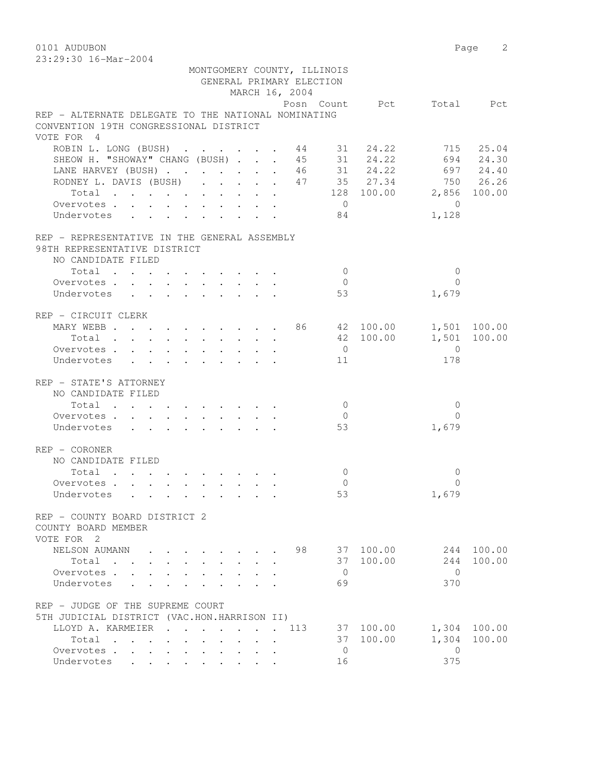0101 AUDUBON Page 2

| 23:29:30 16-Mar-2004                                                                          |                                             |                |              |     |                      |                          |                 |              |
|-----------------------------------------------------------------------------------------------|---------------------------------------------|----------------|--------------|-----|----------------------|--------------------------|-----------------|--------------|
|                                                                                               | MONTGOMERY COUNTY, ILLINOIS                 |                |              |     |                      |                          |                 |              |
|                                                                                               | GENERAL PRIMARY ELECTION                    |                |              |     |                      |                          |                 |              |
|                                                                                               |                                             | MARCH 16, 2004 |              |     |                      |                          |                 |              |
|                                                                                               |                                             |                |              |     |                      | Posn Count Pct Total Pct |                 |              |
| REP - ALTERNATE DELEGATE TO THE NATIONAL NOMINATING<br>CONVENTION 19TH CONGRESSIONAL DISTRICT |                                             |                |              |     |                      |                          |                 |              |
| VOTE FOR 4                                                                                    |                                             |                |              |     |                      |                          |                 |              |
| ROBIN L. LONG (BUSH) 44 31 24.22 715 25.04                                                    |                                             |                |              |     |                      |                          |                 |              |
| SHEOW H. "SHOWAY" CHANG (BUSH) 45 31 24.22 694 24.30                                          |                                             |                |              |     |                      |                          |                 |              |
| LANE HARVEY (BUSH) 46 31 24.22 697 24.40                                                      |                                             |                |              |     |                      |                          |                 |              |
| RODNEY L. DAVIS (BUSH) 47 35 27.34 750 26.26                                                  |                                             |                |              |     |                      |                          |                 |              |
| Total 128 100.00 2,856 100.00                                                                 |                                             |                |              |     |                      |                          |                 |              |
| Overvotes.                                                                                    |                                             |                |              |     | $\overline{0}$       |                          | $\overline{0}$  |              |
| Undervotes 84                                                                                 |                                             |                |              |     |                      |                          | 1,128           |              |
| REP - REPRESENTATIVE IN THE GENERAL ASSEMBLY                                                  |                                             |                |              |     |                      |                          |                 |              |
| 98TH REPRESENTATIVE DISTRICT                                                                  |                                             |                |              |     |                      |                          |                 |              |
| NO CANDIDATE FILED                                                                            |                                             |                |              |     |                      |                          |                 |              |
| Total                                                                                         |                                             |                |              |     | $\overline{0}$       |                          | $\overline{0}$  |              |
| Overvotes.                                                                                    |                                             |                |              |     | $\overline{0}$       |                          | $\Omega$        |              |
| Undervotes                                                                                    |                                             |                |              |     | 53                   |                          | 1,679           |              |
| REP - CIRCUIT CLERK                                                                           |                                             |                |              |     |                      |                          |                 |              |
| MARY WEBB 86 42 100.00 1,501 100.00                                                           |                                             |                |              |     |                      |                          |                 |              |
| Total                                                                                         |                                             |                |              |     |                      | 42 100.00                | 1,501 100.00    |              |
| Overvotes                                                                                     |                                             |                |              |     | $\overline{0}$       |                          | $\overline{0}$  |              |
| Undervotes                                                                                    |                                             |                |              |     | 11                   |                          | 178             |              |
| REP - STATE'S ATTORNEY                                                                        |                                             |                |              |     |                      |                          |                 |              |
| NO CANDIDATE FILED                                                                            |                                             |                |              |     |                      |                          |                 |              |
| Total                                                                                         |                                             |                |              |     | $\overline{0}$       |                          | $\mathbf{0}$    |              |
| Overvotes.                                                                                    |                                             |                |              |     | $\overline{0}$       |                          | $\Omega$        |              |
| Undervotes                                                                                    |                                             |                |              |     | 53                   |                          | 1,679           |              |
| $REF - CORONER$                                                                               |                                             |                |              |     |                      |                          |                 |              |
| NO CANDIDATE FILED                                                                            |                                             |                |              |     |                      |                          |                 |              |
| Total                                                                                         |                                             |                |              |     | $\overline{0}$       |                          | 0               |              |
| Overvotes.                                                                                    |                                             |                |              |     | $\overline{0}$       |                          | $\Omega$        |              |
| Undervotes                                                                                    |                                             |                |              |     | 53                   |                          | 1,679           |              |
| REP - COUNTY BOARD DISTRICT 2                                                                 |                                             |                |              |     |                      |                          |                 |              |
| COUNTY BOARD MEMBER                                                                           |                                             |                |              |     |                      |                          |                 |              |
| VOTE FOR 2                                                                                    |                                             |                |              |     |                      |                          |                 |              |
| NELSON AUMANN                                                                                 | $\mathbf{r} = \mathbf{r} \times \mathbf{r}$ |                |              | 98  |                      | 37 100.00                |                 | 244 100.00   |
| Total                                                                                         |                                             | <b>Service</b> | $\mathbf{r}$ |     |                      | 37 100.00                | 244             | 100.00       |
| Overvotes<br>Undervotes<br>$\cdot$ $\cdot$                                                    |                                             | $\sim$         |              |     | $\overline{0}$<br>69 |                          | $\Omega$<br>370 |              |
| REP - JUDGE OF THE SUPREME COURT                                                              |                                             |                |              |     |                      |                          |                 |              |
| 5TH JUDICIAL DISTRICT (VAC.HON.HARRISON II)                                                   |                                             |                |              |     |                      |                          |                 |              |
| LLOYD A. KARMEIER<br>$\sim$                                                                   |                                             |                |              | 113 |                      | 37 100.00                |                 | 1,304 100.00 |
| Total                                                                                         |                                             |                |              |     |                      | 37 100.00                | 1,304           | 100.00       |
| Overvotes                                                                                     |                                             |                |              |     | $\overline{0}$       |                          | $\overline{0}$  |              |
| Undervotes<br>$\ddotsc$ $\ddotsc$<br>$\sim$ $-$                                               |                                             |                |              |     | 16                   |                          | 375             |              |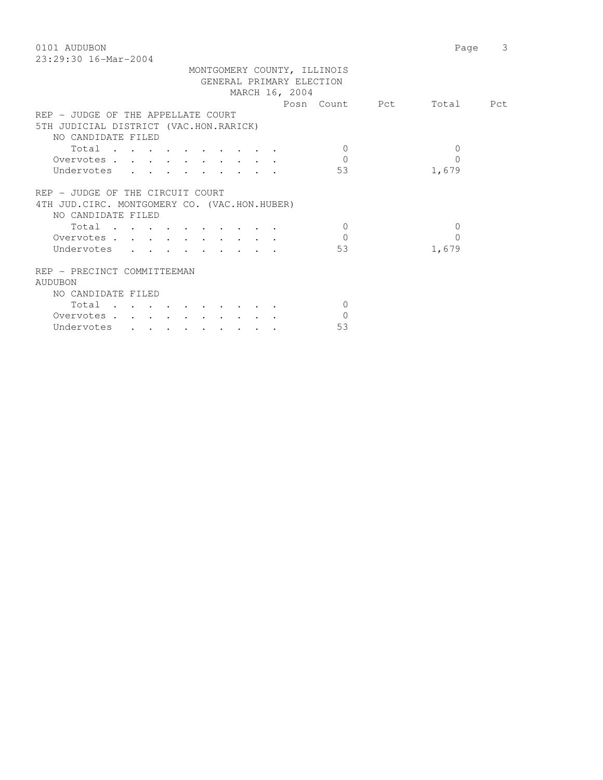0101 AUDUBON Page 3 23:29:30 16-Mar-2004

|                                               |                                            |  |  | MONTGOMERY COUNTY, ILLINOIS |          |  |
|-----------------------------------------------|--------------------------------------------|--|--|-----------------------------|----------|--|
|                                               |                                            |  |  | GENERAL PRIMARY ELECTION    |          |  |
|                                               |                                            |  |  | MARCH 16, 2004              |          |  |
|                                               |                                            |  |  | Posn Count Pct Total Pct    |          |  |
|                                               |                                            |  |  |                             |          |  |
| REP - JUDGE OF THE APPELLATE COURT            |                                            |  |  |                             |          |  |
| 5TH JUDICIAL DISTRICT (VAC.HON.RARICK)        |                                            |  |  |                             |          |  |
| NO CANDIDATE FILED                            |                                            |  |  |                             |          |  |
| Total                                         |                                            |  |  | $\Omega$                    | $\Omega$ |  |
| Overvotes                                     |                                            |  |  | $\Omega$                    | $\Omega$ |  |
| Undervotes                                    |                                            |  |  | 53                          | 1,679    |  |
|                                               |                                            |  |  |                             |          |  |
| REP - JUDGE OF THE CIRCUIT COURT              |                                            |  |  |                             |          |  |
| 4TH JUD. CIRC. MONTGOMERY CO. (VAC.HON.HUBER) |                                            |  |  |                             |          |  |
| NO CANDIDATE FILED                            |                                            |  |  |                             |          |  |
|                                               |                                            |  |  |                             |          |  |
| Total                                         |                                            |  |  | $\Omega$                    | $\Omega$ |  |
| Overvotes                                     |                                            |  |  | $\bigcap$                   | $\Omega$ |  |
| Undervotes                                    | $\mathbf{r}$ , $\mathbf{r}$ , $\mathbf{r}$ |  |  | 53                          | 1,679    |  |
| REP - PRECINCT COMMITTEEMAN                   |                                            |  |  |                             |          |  |
| <b>AUDUBON</b>                                |                                            |  |  |                             |          |  |
| NO CANDIDATE FILED                            |                                            |  |  |                             |          |  |
| Total                                         |                                            |  |  | $\Omega$                    |          |  |
| Overvotes                                     |                                            |  |  | $\Omega$                    |          |  |
| Undervotes                                    |                                            |  |  | 53                          |          |  |
|                                               |                                            |  |  |                             |          |  |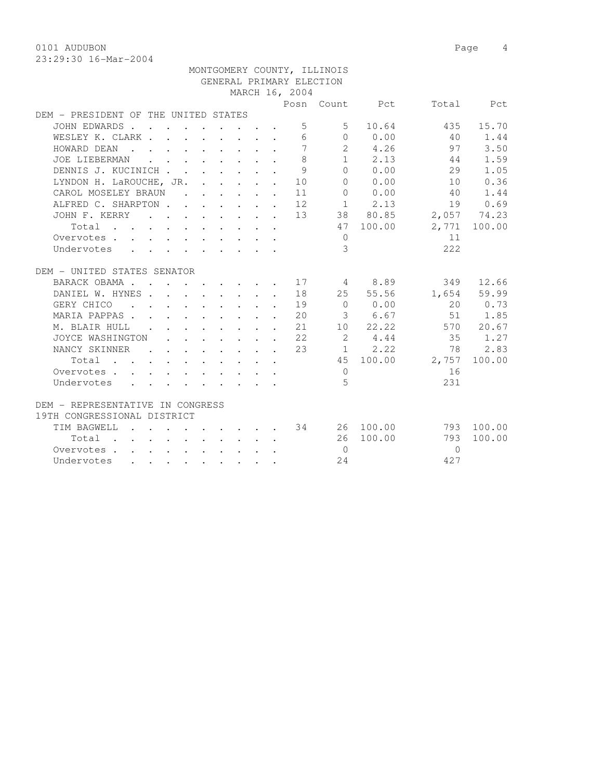0101 AUDUBON Page 4

|                                                                                                        |  |  |                                                                                           |  |  |  |              |                 | MONTGOMERY COUNTY, ILLINOIS |                                                 |                 |              |
|--------------------------------------------------------------------------------------------------------|--|--|-------------------------------------------------------------------------------------------|--|--|--|--------------|-----------------|-----------------------------|-------------------------------------------------|-----------------|--------------|
| GENERAL PRIMARY ELECTION                                                                               |  |  |                                                                                           |  |  |  |              |                 |                             |                                                 |                 |              |
|                                                                                                        |  |  |                                                                                           |  |  |  |              | MARCH 16, 2004  |                             |                                                 |                 |              |
|                                                                                                        |  |  |                                                                                           |  |  |  |              |                 |                             | Posn Count Pct                                  |                 | Total Pct    |
| DEM - PRESIDENT OF THE UNITED STATES                                                                   |  |  |                                                                                           |  |  |  |              |                 |                             |                                                 |                 |              |
| JOHN EDWARDS                                                                                           |  |  |                                                                                           |  |  |  |              | 5               | $5 -$                       | 10.64                                           | 435             | 15.70        |
| WESLEY K. CLARK                                                                                        |  |  |                                                                                           |  |  |  |              | $6\overline{6}$ |                             | $0 \t 0.00$                                     | 40              | 1.44         |
| HOWARD DEAN<br>$\mathbf{r}$ , $\mathbf{r}$ , $\mathbf{r}$ , $\mathbf{r}$ , $\mathbf{r}$ , $\mathbf{r}$ |  |  |                                                                                           |  |  |  |              | $\overline{7}$  |                             | 2 4.26                                          | 97              | 3.50         |
| JOE LIEBERMAN                                                                                          |  |  | $\mathbf{r}$ , $\mathbf{r}$ , $\mathbf{r}$ , $\mathbf{r}$ , $\mathbf{r}$ , $\mathbf{r}$   |  |  |  |              | 8               |                             | $1 \t 2.13$                                     | 44              | 1.59         |
| DENNIS J. KUCINICH                                                                                     |  |  |                                                                                           |  |  |  |              | 9               |                             | 0 0.00                                          | 29              | 1.05         |
| LYNDON H. LaROUCHE, JR.                                                                                |  |  |                                                                                           |  |  |  | $\mathbf{L}$ | 10              |                             | 0 0.00                                          | 10              | 0.36         |
| CAROL MOSELEY BRAUN                                                                                    |  |  |                                                                                           |  |  |  |              | 11              |                             | 0 0.00                                          | 40              | 1.44         |
| ALFRED C. SHARPTON 12                                                                                  |  |  |                                                                                           |  |  |  |              |                 |                             | $1 \t 2.13$                                     | 19              | 0.69         |
| JOHN F. KERRY                                                                                          |  |  |                                                                                           |  |  |  |              |                 |                             | $\cdots$ 13 38 80.85                            | 2,057 74.23     |              |
| Total                                                                                                  |  |  |                                                                                           |  |  |  |              |                 |                             | 47 100.00                                       |                 | 2,771 100.00 |
| Overvotes                                                                                              |  |  |                                                                                           |  |  |  |              |                 | $\overline{0}$              |                                                 | 11              |              |
| Undervotes                                                                                             |  |  |                                                                                           |  |  |  |              |                 | 3                           |                                                 | 222             |              |
|                                                                                                        |  |  |                                                                                           |  |  |  |              |                 |                             |                                                 |                 |              |
| DEM - UNITED STATES SENATOR                                                                            |  |  |                                                                                           |  |  |  |              |                 |                             |                                                 |                 |              |
| BARACK OBAMA.                                                                                          |  |  |                                                                                           |  |  |  |              | . 17            |                             | 4 8.89                                          |                 | 349 12.66    |
| DANIEL W. HYNES 18                                                                                     |  |  |                                                                                           |  |  |  |              |                 |                             | 25 55.56                                        |                 | 1,654 59.99  |
| GERY CHICO                                                                                             |  |  |                                                                                           |  |  |  |              | . 19            |                             | $\begin{array}{ccc} & & 0 & & 0.00 \end{array}$ |                 | 20 0.73      |
| MARIA PAPPAS 20                                                                                        |  |  |                                                                                           |  |  |  |              |                 |                             | 3 6.67                                          |                 | 51 1.85      |
| M. BLAIR HULL                                                                                          |  |  |                                                                                           |  |  |  |              | . 21            |                             | 10 22.22                                        |                 | 570 20.67    |
| JOYCE WASHINGTON                                                                                       |  |  |                                                                                           |  |  |  |              | . 22            | $\overline{\phantom{a}}$    | 4.44                                            | 35              | 1.27         |
| NANCY SKINNER                                                                                          |  |  | $\begin{array}{cccccccccccccccccc} . & . & . & . & . & . & . & . & . & . & . \end{array}$ |  |  |  |              | 23              |                             | $1 \t 2.22$                                     | 78              | 2.83         |
| Total                                                                                                  |  |  | $\mathbf{r}$ , and $\mathbf{r}$ , and $\mathbf{r}$ , and $\mathbf{r}$                     |  |  |  |              |                 |                             |                                                 | 45 100.00 2,757 | 100.00       |
| Overvotes.<br>$\Delta \sim 10^4$                                                                       |  |  | $\mathbf{r}$ , and $\mathbf{r}$ , and $\mathbf{r}$ , and $\mathbf{r}$                     |  |  |  |              |                 | $\overline{0}$              |                                                 | 16              |              |
| Undervotes                                                                                             |  |  | $\mathbf{r}$ , and $\mathbf{r}$ , and $\mathbf{r}$ , and $\mathbf{r}$ , and $\mathbf{r}$  |  |  |  |              |                 | 5                           |                                                 | 231             |              |
|                                                                                                        |  |  |                                                                                           |  |  |  |              |                 |                             |                                                 |                 |              |
| DEM - REPRESENTATIVE IN CONGRESS                                                                       |  |  |                                                                                           |  |  |  |              |                 |                             |                                                 |                 |              |
| 19TH CONGRESSIONAL DISTRICT                                                                            |  |  |                                                                                           |  |  |  |              |                 |                             |                                                 |                 |              |
| TIM BAGWELL                                                                                            |  |  |                                                                                           |  |  |  |              |                 |                             | $\cdot$ 34 26 100.00                            | 793             | 100.00       |
| Total<br>$\mathbf{r}$ , and $\mathbf{r}$ , and $\mathbf{r}$ , and $\mathbf{r}$ , and $\mathbf{r}$      |  |  |                                                                                           |  |  |  |              |                 |                             | 26 100.00                                       | 793             | 100.00       |
| Overvotes.                                                                                             |  |  |                                                                                           |  |  |  |              |                 | $\overline{0}$              |                                                 | $\Omega$        |              |
| Undervotes                                                                                             |  |  |                                                                                           |  |  |  |              |                 | 24                          |                                                 | 427             |              |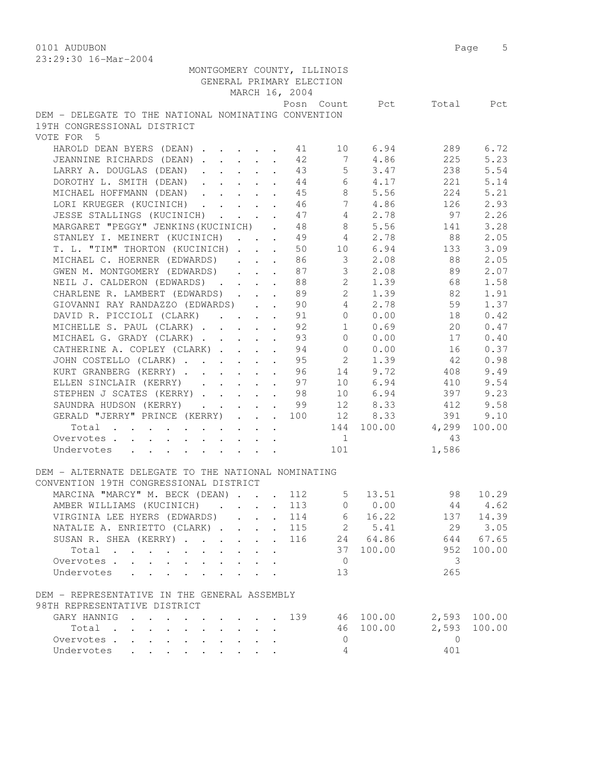0101 AUDUBON Page 5 23:29:30 16-Mar-2004

| MONTGOMERY COUNTY, ILLINOIS<br>GENERAL PRIMARY ELECTION                                       |                                                                                               |                 | MARCH 16, 2004 |                                  |              |                           |              |
|-----------------------------------------------------------------------------------------------|-----------------------------------------------------------------------------------------------|-----------------|----------------|----------------------------------|--------------|---------------------------|--------------|
|                                                                                               |                                                                                               |                 |                |                                  |              | Posn Count Pct Total Pct  |              |
| DEM - DELEGATE TO THE NATIONAL NOMINATING CONVENTION                                          |                                                                                               |                 |                |                                  |              |                           |              |
| 19TH CONGRESSIONAL DISTRICT                                                                   |                                                                                               |                 |                |                                  |              |                           |              |
| VOTE FOR 5                                                                                    |                                                                                               |                 |                |                                  |              |                           |              |
| HAROLD DEAN BYERS (DEAN) 1 41 10 6.94                                                         |                                                                                               |                 |                |                                  |              | 289                       | 6.72         |
| JEANNINE RICHARDS (DEAN) 42                                                                   |                                                                                               |                 |                |                                  | 7 4.86       | 225                       | 5.23         |
| LARRY A. DOUGLAS (DEAN)                                                                       |                                                                                               |                 |                |                                  | 43 5 3.47    | 238                       | 5.54         |
| DOROTHY L. SMITH (DEAN) 44 6 4.17                                                             |                                                                                               |                 |                |                                  |              | 221                       | 5.14         |
| MICHAEL HOFFMANN (DEAN) 45 8 5.56                                                             |                                                                                               |                 |                |                                  |              | 224                       | 5.21         |
| LORI KRUEGER (KUCINICH) 46 7                                                                  |                                                                                               |                 |                |                                  | 4.86         | 126                       | 2.93         |
| JESSE STALLINGS (KUCINICH)                                                                    |                                                                                               |                 |                | $4\overline{ }$<br>$\frac{4}{4}$ | 2.78         | 97                        | 2.26         |
| MARGARET "PEGGY" JENKINS (KUCINICH) . 48                                                      |                                                                                               |                 |                | 8                                | 5.56         | 141                       | 3.28         |
| STANLEY I. MEINERT (KUCINICH)                                                                 |                                                                                               | $\mathbf{L}$    | 49             | $4\overline{4}$                  | 2.78         | 88                        | 2.05         |
| T. L. "TIM" THORTON (KUCINICH)                                                                |                                                                                               |                 |                |                                  |              | 50 10 6.94 133            | 3.09         |
| MICHAEL C. HOERNER (EDWARDS)                                                                  |                                                                                               |                 |                |                                  | 86 3 2.08    | 88                        | 2.05         |
| GWEN M. MONTGOMERY (EDWARDS)                                                                  |                                                                                               |                 |                |                                  | 87 3 2.08    | 89                        | 2.07         |
| NEIL J. CALDERON (EDWARDS)                                                                    |                                                                                               |                 |                | 88 8                             |              | 2 1.39 68                 | 1.58         |
| CHARLENE R. LAMBERT (EDWARDS) 89                                                              |                                                                                               |                 |                |                                  | 2 1.39       | 82                        | 1.91         |
| GIOVANNI RAY RANDAZZO (EDWARDS) 90                                                            |                                                                                               |                 |                |                                  | 4 2.78       | 59                        | 1.37         |
| DAVID R. PICCIOLI (CLARK)                                                                     |                                                                                               |                 |                | $\overline{0}$                   | 0.00         | 18                        | 0.42         |
| MICHELLE S. PAUL (CLARK)                                                                      |                                                                                               |                 | 91<br>92       | 1                                | 0.69         | 20                        | 0.47         |
| MICHAEL G. GRADY (CLARK)                                                                      |                                                                                               |                 |                | 9300                             | 0.00         | 17                        | 0.40         |
| CATHERINE A. COPLEY (CLARK) 94 0 0.00                                                         |                                                                                               |                 |                |                                  |              | 16                        | 0.37         |
| JOHN COSTELLO (CLARK) 95 2 1.39                                                               |                                                                                               |                 |                |                                  |              | 42                        | 0.98         |
| KURT GRANBERG (KERRY)96                                                                       |                                                                                               |                 |                |                                  | 14 9.72      | 408                       | 9.49         |
| ELLEN SINCLAIR (KERRY) 97                                                                     |                                                                                               |                 |                |                                  | 10 6.94      | 410                       | 9.54         |
| STEPHEN J SCATES (KERRY) 98                                                                   |                                                                                               |                 |                |                                  | 10 6.94      | 397                       | 9.23         |
| SAUNDRA HUDSON (KERRY) 99                                                                     |                                                                                               |                 |                |                                  | 12 8.33      | 412                       | 9.58         |
| GERALD "JERRY" PRINCE (KERRY) 100 12 8.33                                                     |                                                                                               |                 |                |                                  |              | 391                       | 9.10         |
| Total                                                                                         |                                                                                               |                 |                |                                  |              | 144 100.00 4,299          | 100.00       |
| Overvotes                                                                                     | $\mathbf{r} = \mathbf{r} \cdot \mathbf{r}$ , where $\mathbf{r} = \mathbf{r} \cdot \mathbf{r}$ |                 |                | $\sim$ 1                         |              | 43                        |              |
|                                                                                               |                                                                                               |                 |                |                                  |              | 1,586                     |              |
| Undervotes                                                                                    |                                                                                               |                 |                | 101                              |              |                           |              |
| DEM - ALTERNATE DELEGATE TO THE NATIONAL NOMINATING<br>CONVENTION 19TH CONGRESSIONAL DISTRICT |                                                                                               |                 |                |                                  |              |                           |              |
| MARCINA "MARCY" M. BECK (DEAN) 112                                                            |                                                                                               |                 |                |                                  | $5 \t 13.51$ | 98 10.29                  |              |
| AMBER WILLIAMS (KUCINICH) 113                                                                 |                                                                                               |                 |                |                                  |              | $0 \t 0.00 \t 44 \t 4.62$ |              |
| VIRGINIA LEE HYERS (EDWARDS)                                                                  |                                                                                               | $\sim$          | 114            | 6                                | 16.22        |                           | 137 14.39    |
| NATALIE A. ENRIETTO (CLARK)                                                                   |                                                                                               |                 | . 115          |                                  | 2 5.41       | 29                        | 3.05         |
| SUSAN R. SHEA (KERRY)                                                                         | $\mathbf{1}$ $\mathbf{1}$ $\mathbf{1}$ $\mathbf{1}$ $\mathbf{1}$                              |                 | 116            |                                  | 24 64.86     |                           | 644 67.65    |
| Total                                                                                         | $\mathbf{r} = \mathbf{r}$                                                                     | $\mathbf{r}$    |                | 37                               | 100.00       | 952                       | 100.00       |
| Overvotes.                                                                                    |                                                                                               |                 |                | $\overline{0}$                   |              | 3                         |              |
| Undervotes                                                                                    |                                                                                               |                 |                | 13                               |              | 265                       |              |
| DEM - REPRESENTATIVE IN THE GENERAL ASSEMBLY                                                  |                                                                                               |                 |                |                                  |              |                           |              |
| 98TH REPRESENTATIVE DISTRICT                                                                  |                                                                                               |                 |                |                                  |              |                           |              |
| GARY HANNIG                                                                                   |                                                                                               |                 | 139            |                                  | 46 100.00    |                           | 2,593 100.00 |
|                                                                                               |                                                                                               |                 |                |                                  |              | 2,593                     |              |
| Total<br>$\mathbf{L} = \mathbf{L} \mathbf{L}$                                                 |                                                                                               | $\cdot$ $\cdot$ |                |                                  | 46 100.00    | $\Omega$                  | 100.00       |
| Overvotes                                                                                     | $\mathbf{L}^{\text{max}}$                                                                     |                 |                | $\overline{0}$                   |              |                           |              |
| Undervotes<br>$\mathbf{r} = \mathbf{r}$                                                       | $\mathbf{L} = \mathbf{L}$                                                                     |                 |                | 4                                |              | 401                       |              |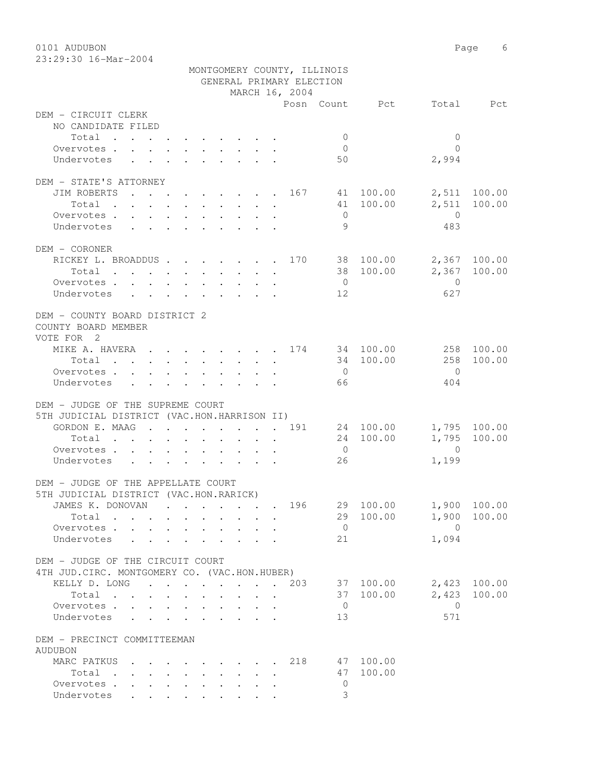0101 AUDUBON Page 6

| $23:29:30$ 16-Mar-2004 |                             |
|------------------------|-----------------------------|
|                        | MONTGOMERY COUNTY, ILLINOIS |
|                        | GENERAL PRIMARY ELECTION    |
|                        | MARCH 16, 2004              |

| GENERAL PRIMARY ELECTION                                                                                                                                                                                                                           |  |        |  |  |                |                       |                          |                   |              |  |  |
|----------------------------------------------------------------------------------------------------------------------------------------------------------------------------------------------------------------------------------------------------|--|--------|--|--|----------------|-----------------------|--------------------------|-------------------|--------------|--|--|
|                                                                                                                                                                                                                                                    |  |        |  |  | MARCH 16, 2004 |                       |                          |                   |              |  |  |
|                                                                                                                                                                                                                                                    |  |        |  |  |                |                       | Posn Count Pct Total Pct |                   |              |  |  |
| DEM - CIRCUIT CLERK                                                                                                                                                                                                                                |  |        |  |  |                |                       |                          |                   |              |  |  |
| NO CANDIDATE FILED                                                                                                                                                                                                                                 |  |        |  |  |                |                       |                          |                   |              |  |  |
| Total                                                                                                                                                                                                                                              |  |        |  |  |                | $\bigcirc$            |                          | $\Omega$          |              |  |  |
| Overvotes.                                                                                                                                                                                                                                         |  |        |  |  |                | $\overline{0}$        |                          | $\Omega$          |              |  |  |
| Undervotes                                                                                                                                                                                                                                         |  |        |  |  |                | 50                    |                          | 2,994             |              |  |  |
|                                                                                                                                                                                                                                                    |  |        |  |  |                |                       |                          |                   |              |  |  |
| DEM - STATE'S ATTORNEY                                                                                                                                                                                                                             |  |        |  |  |                |                       |                          |                   |              |  |  |
| $\cdot$ 167 41 100.00<br>JIM ROBERTS                                                                                                                                                                                                               |  |        |  |  |                |                       |                          |                   | 2,511 100.00 |  |  |
| Total .<br>$\mathbf{r}$ , and $\mathbf{r}$ , and $\mathbf{r}$ , and $\mathbf{r}$<br>Overvotes                                                                                                                                                      |  |        |  |  |                |                       | 41 100.00                | $\overline{0}$    | 2,511 100.00 |  |  |
| Undervotes                                                                                                                                                                                                                                         |  |        |  |  |                | $\overline{0}$<br>- 9 |                          | 483               |              |  |  |
|                                                                                                                                                                                                                                                    |  |        |  |  |                |                       |                          |                   |              |  |  |
| DEM - CORONER                                                                                                                                                                                                                                      |  |        |  |  |                |                       |                          |                   |              |  |  |
| RICKEY L. BROADDUS 170 38 100.00                                                                                                                                                                                                                   |  |        |  |  |                |                       |                          |                   | 2,367 100.00 |  |  |
| Total<br>the contract of the contract of the contract of the contract of the contract of the contract of the contract of                                                                                                                           |  |        |  |  |                |                       | 38 100.00                |                   | 2,367 100.00 |  |  |
| Overvotes                                                                                                                                                                                                                                          |  |        |  |  |                | $\overline{0}$        |                          | $\overline{0}$    |              |  |  |
| Undervotes                                                                                                                                                                                                                                         |  |        |  |  |                | 12                    |                          | 627               |              |  |  |
|                                                                                                                                                                                                                                                    |  |        |  |  |                |                       |                          |                   |              |  |  |
| DEM - COUNTY BOARD DISTRICT 2                                                                                                                                                                                                                      |  |        |  |  |                |                       |                          |                   |              |  |  |
| COUNTY BOARD MEMBER                                                                                                                                                                                                                                |  |        |  |  |                |                       |                          |                   |              |  |  |
| VOTE FOR 2                                                                                                                                                                                                                                         |  |        |  |  |                |                       |                          |                   |              |  |  |
| MIKE A. HAVERA 174 34 100.00                                                                                                                                                                                                                       |  |        |  |  |                |                       |                          | 258               | 100.00       |  |  |
| Total                                                                                                                                                                                                                                              |  |        |  |  |                |                       | 34 100.00                | 258               | 100.00       |  |  |
| Overvotes                                                                                                                                                                                                                                          |  |        |  |  |                | $\overline{0}$        |                          | $\bigcirc$        |              |  |  |
| Undervotes                                                                                                                                                                                                                                         |  |        |  |  |                | 66 —                  |                          | 404               |              |  |  |
|                                                                                                                                                                                                                                                    |  |        |  |  |                |                       |                          |                   |              |  |  |
| DEM - JUDGE OF THE SUPREME COURT                                                                                                                                                                                                                   |  |        |  |  |                |                       |                          |                   |              |  |  |
| 5TH JUDICIAL DISTRICT (VAC.HON.HARRISON II)                                                                                                                                                                                                        |  |        |  |  |                |                       |                          |                   |              |  |  |
| GORDON E. MAAG 191                                                                                                                                                                                                                                 |  |        |  |  |                |                       | 24 100.00                |                   | 1,795 100.00 |  |  |
| Total                                                                                                                                                                                                                                              |  |        |  |  |                |                       | 24 100.00                | 1,795             | 100.00       |  |  |
| Overvotes                                                                                                                                                                                                                                          |  |        |  |  |                | $\overline{0}$        |                          | $\overline{0}$    |              |  |  |
| Undervotes                                                                                                                                                                                                                                         |  |        |  |  |                | 26                    |                          | 1,199             |              |  |  |
|                                                                                                                                                                                                                                                    |  |        |  |  |                |                       |                          |                   |              |  |  |
| DEM - JUDGE OF THE APPELLATE COURT                                                                                                                                                                                                                 |  |        |  |  |                |                       |                          |                   |              |  |  |
| 5TH JUDICIAL DISTRICT (VAC.HON.RARICK)<br>JAMES K. DONOVAN                                                                                                                                                                                         |  |        |  |  |                |                       | 29 100.00 1,900 100.00   |                   |              |  |  |
| $\sim$                                                                                                                                                                                                                                             |  |        |  |  | . 196          |                       |                          |                   |              |  |  |
| Total .                                                                                                                                                                                                                                            |  |        |  |  |                |                       | 29 100.00 1,900 100.00   |                   |              |  |  |
| Overvotes.                                                                                                                                                                                                                                         |  |        |  |  |                | $\overline{0}$        |                          | $\Omega$<br>1,094 |              |  |  |
| Undervotes                                                                                                                                                                                                                                         |  |        |  |  |                | 21                    |                          |                   |              |  |  |
| DEM - JUDGE OF THE CIRCUIT COURT                                                                                                                                                                                                                   |  |        |  |  |                |                       |                          |                   |              |  |  |
| 4TH JUD. CIRC. MONTGOMERY CO. (VAC.HON.HUBER)                                                                                                                                                                                                      |  |        |  |  |                |                       |                          |                   |              |  |  |
| KELLY D. LONG 203                                                                                                                                                                                                                                  |  |        |  |  |                |                       | 37 100.00                |                   | 2,423 100.00 |  |  |
| Total                                                                                                                                                                                                                                              |  |        |  |  |                |                       | 37 100.00                |                   | 2,423 100.00 |  |  |
| Overvotes<br>$\mathbf{r} = \mathbf{r}$                                                                                                                                                                                                             |  | $\sim$ |  |  |                | $\overline{0}$        |                          | $\bigcirc$        |              |  |  |
| Undervotes<br><u>in the contract of the contract of the contract of the contract of the contract of the contract of the contract of the contract of the contract of the contract of the contract of the contract of the contract of the contra</u> |  |        |  |  |                | 13                    |                          | 571               |              |  |  |
|                                                                                                                                                                                                                                                    |  |        |  |  |                |                       |                          |                   |              |  |  |
| DEM - PRECINCT COMMITTEEMAN                                                                                                                                                                                                                        |  |        |  |  |                |                       |                          |                   |              |  |  |
| <b>AUDUBON</b>                                                                                                                                                                                                                                     |  |        |  |  |                |                       |                          |                   |              |  |  |
| MARC PATKUS                                                                                                                                                                                                                                        |  |        |  |  | 218            |                       | 47 100.00                |                   |              |  |  |
| Total .<br>$\mathcal{L}(\mathbf{z})$ , and $\mathcal{L}(\mathbf{z})$ , and $\mathcal{L}(\mathbf{z})$                                                                                                                                               |  |        |  |  |                |                       | 47 100.00                |                   |              |  |  |
| Overvotes.                                                                                                                                                                                                                                         |  |        |  |  |                | $\mathbf{0}$          |                          |                   |              |  |  |
| Undervotes                                                                                                                                                                                                                                         |  |        |  |  |                | 3                     |                          |                   |              |  |  |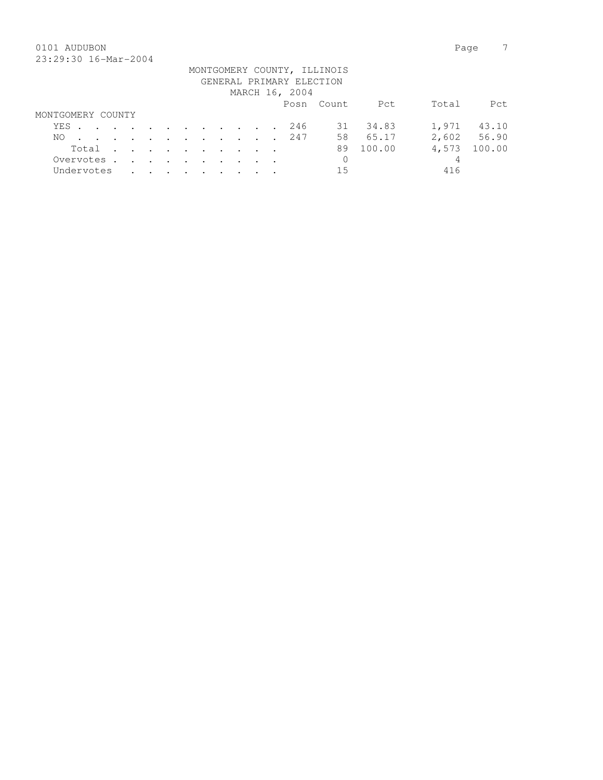## 0101 AUDUBON Page 7 23:29:30 16-Mar-2004

|                   |  |  |  |  |  | GENERAL PRIMARY ELECTION<br>MARCH 16, 2004 | MONTGOMERY COUNTY, ILLINOIS |          |       |             |
|-------------------|--|--|--|--|--|--------------------------------------------|-----------------------------|----------|-------|-------------|
|                   |  |  |  |  |  |                                            | Posn Count                  | Pct      | Total | Pct.        |
| MONTGOMERY COUNTY |  |  |  |  |  |                                            |                             |          |       |             |
| YES               |  |  |  |  |  | 246                                        |                             | 31 34.83 | 1,971 | 43.10       |
| NO.               |  |  |  |  |  | . 247                                      | 58                          | 65.17    |       | 2,602 56.90 |
| Total             |  |  |  |  |  |                                            | 89                          | 100.00   | 4,573 | 100.00      |
| Overvotes.        |  |  |  |  |  |                                            | 0                           |          | 4     |             |
| Undervotes        |  |  |  |  |  |                                            | 15                          |          | 416   |             |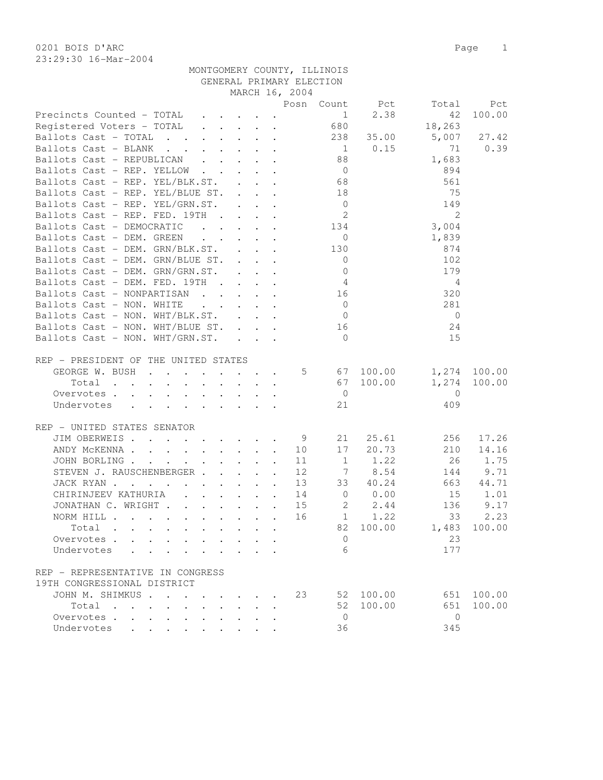| 23:29:30 16-Mar-2004                                     |                                                                          |  |                                                                                         |                            |                |                         |          |
|----------------------------------------------------------|--------------------------------------------------------------------------|--|-----------------------------------------------------------------------------------------|----------------------------|----------------|-------------------------|----------|
|                                                          |                                                                          |  | MONTGOMERY COUNTY, ILLINOIS                                                             |                            |                |                         |          |
|                                                          |                                                                          |  | GENERAL PRIMARY ELECTION                                                                |                            |                |                         |          |
|                                                          |                                                                          |  | MARCH 16, 2004                                                                          |                            |                |                         |          |
|                                                          |                                                                          |  |                                                                                         |                            | Posn Count Pct | Total                   | Pct      |
|                                                          |                                                                          |  |                                                                                         |                            | 2.38           | 42                      | 100.00   |
|                                                          |                                                                          |  |                                                                                         |                            |                | 18,263                  |          |
| Ballots Cast - TOTAL 238                                 |                                                                          |  |                                                                                         |                            |                | 35.00 5,007 27.42       |          |
| Ballots Cast - BLANK                                     |                                                                          |  |                                                                                         | $\sim$ 1                   | 0.15           | 71                      | 0.39     |
| Ballots Cast - REPUBLICAN 88                             |                                                                          |  |                                                                                         |                            |                | 1,683                   |          |
| Ballots Cast - REP. YELLOW                               |                                                                          |  |                                                                                         | $\overline{0}$             |                | 894                     |          |
| Ballots Cast - REP. YEL/BLK.ST.                          |                                                                          |  |                                                                                         | 68                         |                | 561                     |          |
| Ballots Cast - REP. YEL/BLUE ST.                         |                                                                          |  |                                                                                         | 18                         |                | 75                      |          |
| Ballots Cast - REP. YEL/GRN.ST.                          |                                                                          |  |                                                                                         | $\overline{0}$             |                | 149                     |          |
| Ballots Cast - REP. FED. 19TH                            |                                                                          |  |                                                                                         | $\overline{\phantom{a}}$ 2 |                | 2                       |          |
| Ballots Cast - DEMOCRATIC                                |                                                                          |  |                                                                                         |                            |                | 3,004                   |          |
| Ballots Cast - DEM. GREEN                                |                                                                          |  | $\mathbf{r}$ , $\mathbf{r}$ , $\mathbf{r}$ , $\mathbf{r}$ , $\mathbf{r}$ , $\mathbf{r}$ | $\overline{0}$             |                | 1,839                   |          |
| Ballots Cast - DEM. GRN/BLK.ST. 130                      |                                                                          |  |                                                                                         |                            |                | 874                     |          |
| Ballots Cast - DEM. GRN/BLUE ST.                         |                                                                          |  |                                                                                         | $\overline{0}$             |                | 102                     |          |
| Ballots Cast - DEM. GRN/GRN.ST.                          |                                                                          |  |                                                                                         | $\overline{0}$             |                | 179                     |          |
| Ballots Cast - DEM. FED. 19TH                            |                                                                          |  |                                                                                         | $\overline{4}$             |                | $\overline{4}$          |          |
| Ballots Cast - NONPARTISAN                               |                                                                          |  |                                                                                         | 16                         |                | 320                     |          |
| Ballots Cast - NON. WHITE                                | $\mathbf{r}$ , $\mathbf{r}$ , $\mathbf{r}$ , $\mathbf{r}$ , $\mathbf{r}$ |  |                                                                                         | $\overline{0}$             |                | 281                     |          |
| Ballots Cast - NON. WHT/BLK.ST.                          |                                                                          |  |                                                                                         | $\overline{0}$             |                | $\overline{0}$          |          |
| Ballots Cast - NON. WHT/BLUE ST.                         |                                                                          |  |                                                                                         | 16                         |                | 24                      |          |
| Ballots $\text{Cast}$ - NON. WHT/GRN.ST. $\qquad \qquad$ |                                                                          |  |                                                                                         | $\Omega$                   |                | 15                      |          |
|                                                          |                                                                          |  |                                                                                         |                            |                |                         |          |
| REP - PRESIDENT OF THE UNITED STATES                     |                                                                          |  |                                                                                         |                            |                |                         |          |
| GEORGE W. BUSH 5 67                                      |                                                                          |  |                                                                                         |                            |                | 100.00   1,274   100.00 |          |
| Total                                                    |                                                                          |  |                                                                                         | 67                         | 100.00         | 1,274 100.00            |          |
| Overvotes                                                |                                                                          |  |                                                                                         | $\overline{0}$             |                | $\overline{0}$          |          |
| Undervotes                                               |                                                                          |  |                                                                                         | 21                         |                | 409                     |          |
|                                                          |                                                                          |  |                                                                                         |                            |                |                         |          |
| REP - UNITED STATES SENATOR                              |                                                                          |  |                                                                                         |                            |                |                         |          |
| JIM OBERWEIS. 9                                          |                                                                          |  |                                                                                         | 21                         |                | 25.61 256               | 17.26    |
| ANDY MCKENNA                                             |                                                                          |  | 10                                                                                      |                            |                | 17 20.73 210            | 14.16    |
| JOHN BORLING                                             |                                                                          |  | 11                                                                                      |                            |                | 1 1.22 26 1.75          |          |
| STEVEN J. RAUSCHENBERGER                                 |                                                                          |  | 12                                                                                      | 7                          | 8.54           |                         | 144 9.71 |
| JACK RYAN                                                |                                                                          |  | 13                                                                                      | 33                         | 40.24          | 663                     | 44.71    |
| CHIRINJEEV KATHURIA                                      |                                                                          |  | 14                                                                                      |                            |                | 0 0.00 15 1.01          |          |
| JONATHAN C. WRIGHT                                       |                                                                          |  | 15                                                                                      | 2                          | 2.44           |                         | 136 9.17 |
| NORM HILL                                                |                                                                          |  | 16                                                                                      |                            | $1 \t 1.22$    | 33                      | 2.23     |
| Total                                                    | $\mathbf{r} = \mathbf{r}$ and $\mathbf{r} = \mathbf{r}$                  |  |                                                                                         | 82                         |                | 100.00 1,483            | 100.00   |
| Overvotes.                                               |                                                                          |  |                                                                                         | $\circ$                    |                | 23                      |          |
|                                                          |                                                                          |  |                                                                                         | 6                          |                | 177                     |          |
| Undervotes                                               |                                                                          |  |                                                                                         |                            |                |                         |          |
| REP - REPRESENTATIVE IN CONGRESS                         |                                                                          |  |                                                                                         |                            |                |                         |          |

| 19TH CONGRESSIONAL DISTRICT |  |  |  |  |  |     |           |     |            |
|-----------------------------|--|--|--|--|--|-----|-----------|-----|------------|
| JOHN M. SHIMKUS 23          |  |  |  |  |  |     | 52 100.00 |     | 651 100.00 |
| Total                       |  |  |  |  |  |     | 52 100.00 |     | 651 100.00 |
| $0$ vervotes                |  |  |  |  |  | (   |           |     |            |
| Undervotes                  |  |  |  |  |  | 36. |           | 345 |            |
|                             |  |  |  |  |  |     |           |     |            |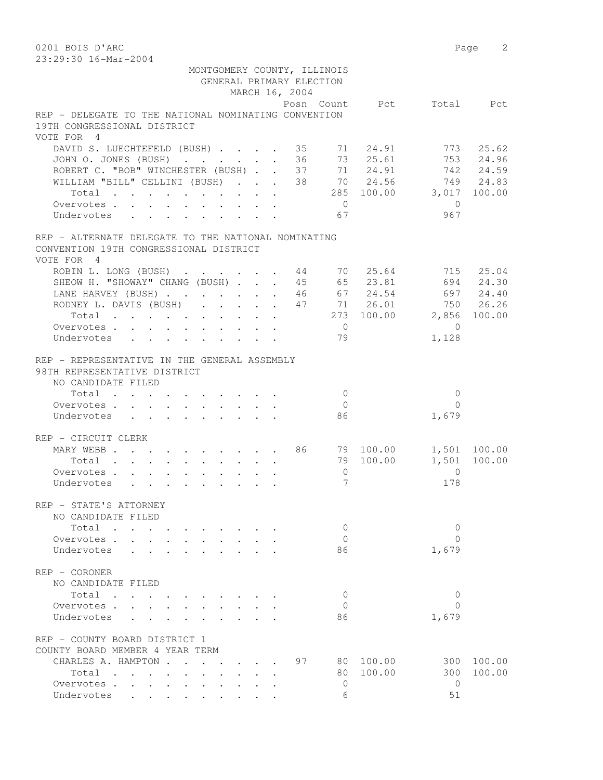0201 BOIS D'ARC PAGE 2001 BOIS D'ARC PAGE 2001 BOIS D'ARC PAGE 2001 BOIS D'ARC 23:29:30 16-Mar-2004 MONTGOMERY COUNTY, ILLINOIS GENERAL PRIMARY ELECTION MARCH 16, 2004 Posn Count Pct Total Pct REP - DELEGATE TO THE NATIONAL NOMINATING CONVENTION 19TH CONGRESSIONAL DISTRICT VOTE FOR 4 DAVID S. LUECHTEFELD (BUSH) . . . . 35 71 24.91 773 25.62 JOHN O. JONES (BUSH) . . . . . . 36 73 25.61 753 24.96 ROBERT C. "BOB" WINCHESTER (BUSH) . . 37 71 24.91 742 24.59 WILLIAM "BILL" CELLINI (BUSH) . . . 38 70 24.56 749 24.83 Total . . . . . . . . . . 285 100.00 3,017 100.00 Overvotes . . . . . . . . . . . 0 Undervotes . . . . . . . . . . 67 967 REP - ALTERNATE DELEGATE TO THE NATIONAL NOMINATING CONVENTION 19TH CONGRESSIONAL DISTRICT VOTE FOR 4 ROBIN L. LONG (BUSH) . . . . . . 44 70 25.64 715 25.04 SHEOW H. "SHOWAY" CHANG (BUSH) . . . 45 65 23.81 694 24.30 LANE HARVEY (BUSH) . . . . . . 46 67 24.54 697 24.40 RODNEY L. DAVIS (BUSH) . . . . . 47 71 26.01 750 26.26 Total . . . . . . . . . . 273 100.00 2,856 100.00 Overvotes . . . . . . . . . . 0 0 Undervotes . . . . . . . . . 79 1,128 REP - REPRESENTATIVE IN THE GENERAL ASSEMBLY 98TH REPRESENTATIVE DISTRICT NO CANDIDATE FILED Total . . . . . . . . . . 0 0 Overvotes . . . . . . . . . . Undervotes . . . . . . . . . . 86 1,679 REP - CIRCUIT CLERK MARY WEBB . . . . . . . . . . 86 79 100.00 1,501 100.00 Total . . . . . . . . . . 79 100.00 1,501 100.00 Overvotes . . . . . . . . . . 0 0 Undervotes . . . . . . . . . . 7 178 REP - STATE'S ATTORNEY NO CANDIDATE FILED  $\text{Total}$  . . . . . . . . . . 0 0 0 0 Overvotes . . . . . . . . . . . 0 0<br>
Undervotes . . . . . . . . . . 86 1,679 Undervotes . . . . . . . . . 86 REP - CORONER NO CANDIDATE FILED Total . . . . . . . . . . 0 0 Overvotes . . . . . . . . . . 0 Undervotes . . . . . . . . . 86 1,679 REP - COUNTY BOARD DISTRICT 1 COUNTY BOARD MEMBER 4 YEAR TERM CHARLES A. HAMPTON . . . . . . 97 80 100.00 300 100.00 Total . . . . . . . . . . 80 100.00 300 100.00 Overvotes . . . . . . . . . . 0 0 Undervotes . . . . . . . . . . 6 51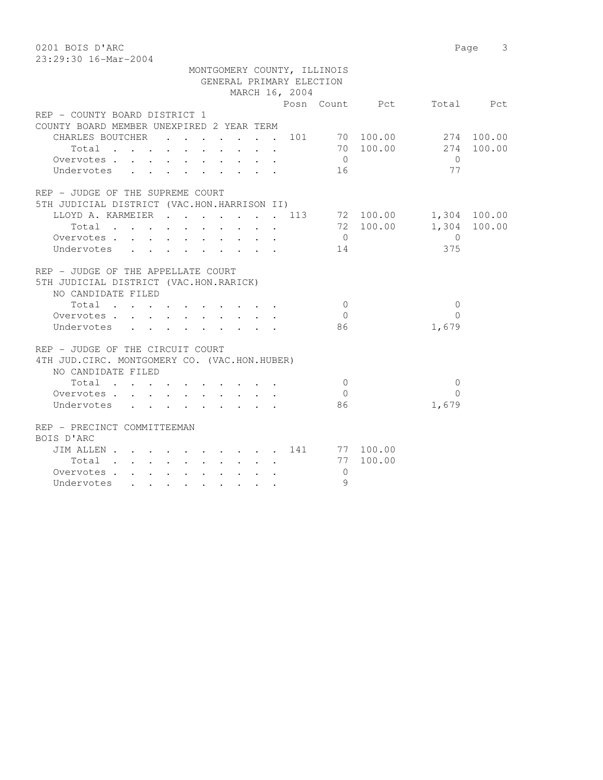23:29:30 16-Mar-2004

|                                                    | MONTGOMERY COUNTY, ILLINOIS<br>GENERAL PRIMARY ELECTION<br>MARCH 16, 2004 |                          |                |
|----------------------------------------------------|---------------------------------------------------------------------------|--------------------------|----------------|
|                                                    |                                                                           | Posn Count Pct Total Pct |                |
| REP - COUNTY BOARD DISTRICT 1                      |                                                                           |                          |                |
| COUNTY BOARD MEMBER UNEXPIRED 2 YEAR TERM          |                                                                           |                          |                |
| CHARLES BOUTCHER                                   | . 101 70 100.00 274 100.00                                                |                          |                |
| Total                                              |                                                                           | 70 100.00                | 274 100.00     |
| Overvotes                                          |                                                                           | $\overline{0}$           | $\bigcirc$     |
| Undervotes                                         |                                                                           | 16                       | 77             |
| REP - JUDGE OF THE SUPREME COURT                   |                                                                           |                          |                |
| 5TH JUDICIAL DISTRICT (VAC.HON.HARRISON II)        |                                                                           |                          |                |
| LLOYD A. KARMEIER 113 72 100.00<br>Total 72 100.00 |                                                                           |                          | 1,304 100.00   |
|                                                    |                                                                           |                          | 1,304 100.00   |
| Overvotes<br>$\mathbf{L} = \mathbf{L} \mathbf{L}$  |                                                                           | $\overline{0}$           | $\overline{0}$ |
| Undervotes<br>$\sim$                               |                                                                           | 14                       | 375            |
| REP - JUDGE OF THE APPELLATE COURT                 |                                                                           |                          |                |
| 5TH JUDICIAL DISTRICT (VAC.HON.RARICK)             |                                                                           |                          |                |
| NO CANDIDATE FILED                                 |                                                                           |                          |                |
| Total                                              |                                                                           | $\bigcirc$               | $\Omega$       |
| Overvotes.                                         |                                                                           | $\bigcirc$               | $\Omega$       |
| Undervotes                                         |                                                                           | 86                       | 1,679          |
| REP - JUDGE OF THE CIRCUIT COURT                   |                                                                           |                          |                |
| 4TH JUD. CIRC. MONTGOMERY CO. (VAC.HON.HUBER)      |                                                                           |                          |                |
| NO CANDIDATE FILED                                 |                                                                           |                          |                |
| Total                                              |                                                                           | $\bigcirc$               | $\mathbf{0}$   |
| Overvotes                                          |                                                                           | $\bigcap$                | $\bigcap$      |
| Undervotes                                         |                                                                           | 86                       | 1,679          |
| REP - PRECINCT COMMITTEEMAN                        |                                                                           |                          |                |
| BOIS D'ARC                                         |                                                                           |                          |                |
| JIM ALLEN 141 77 100.00                            |                                                                           |                          |                |
| Total                                              |                                                                           | 77 100.00                |                |
| Overvotes.                                         |                                                                           | $\mathbf{0}$             |                |
| Undervotes                                         |                                                                           | 9                        |                |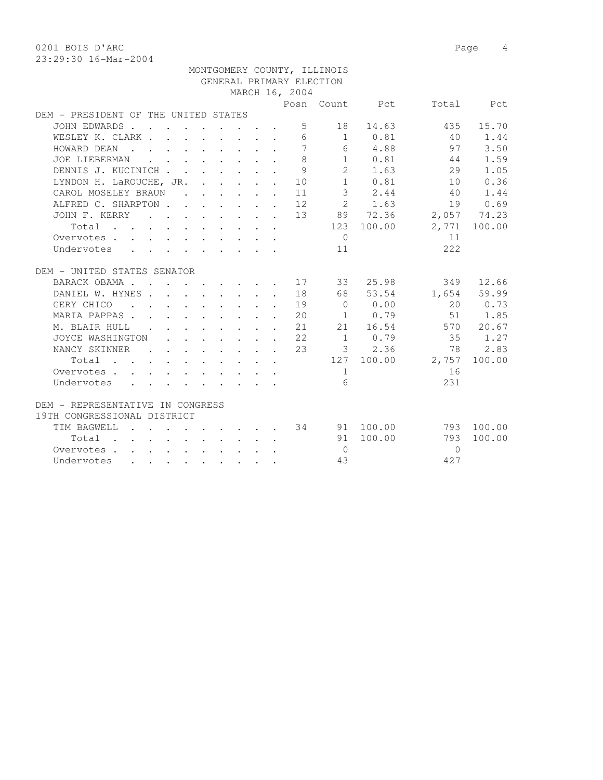0201 BOIS D'ARC 2001 Page 4 23:29:30 16-Mar-2004

|                                                        |               |  |                                                                                                                                                                                                                                    |  |                                                            | MONTGOMERY COUNTY, ILLINOIS |                |           |              |
|--------------------------------------------------------|---------------|--|------------------------------------------------------------------------------------------------------------------------------------------------------------------------------------------------------------------------------------|--|------------------------------------------------------------|-----------------------------|----------------|-----------|--------------|
|                                                        |               |  |                                                                                                                                                                                                                                    |  |                                                            | GENERAL PRIMARY ELECTION    |                |           |              |
|                                                        |               |  |                                                                                                                                                                                                                                    |  | MARCH 16, 2004                                             |                             |                |           |              |
|                                                        |               |  |                                                                                                                                                                                                                                    |  |                                                            |                             | Posn Count Pct |           | Total Pct    |
| DEM - PRESIDENT OF THE UNITED STATES                   |               |  |                                                                                                                                                                                                                                    |  |                                                            |                             |                |           |              |
| JOHN EDWARDS                                           |               |  |                                                                                                                                                                                                                                    |  | 5                                                          |                             | 18 14.63       | 435       | 15.70        |
| WESLEY K. CLARK                                        |               |  |                                                                                                                                                                                                                                    |  | 6                                                          |                             | 1 0.81         | 40        | 1.44         |
| HOWARD DEAN<br>and the contract of the contract of the |               |  |                                                                                                                                                                                                                                    |  | $\overline{7}$                                             |                             | 6 4.88         | 97        | 3.50         |
| JOE LIEBERMAN                                          |               |  | $\mathbf{r}$ , $\mathbf{r}$ , $\mathbf{r}$ , $\mathbf{r}$ , $\mathbf{r}$ , $\mathbf{r}$                                                                                                                                            |  | 8                                                          | 1                           | 0.81           | 44        | 1.59         |
| DENNIS J. KUCINICH                                     |               |  | $\mathbf{r} = \mathbf{r} \times \mathbf{r}$ , where $\mathbf{r} = \mathbf{r}$                                                                                                                                                      |  | 9                                                          |                             | 2 1.63         | 29        | 1.05         |
| LYNDON H. LaROUCHE, JR. .                              |               |  |                                                                                                                                                                                                                                    |  | $\cdot$ $\cdot$ $\cdot$ $\cdot$ 10                         |                             | 1 0.81         | 10        | 0.36         |
| CAROL MOSELEY BRAUN                                    |               |  |                                                                                                                                                                                                                                    |  | $\cdot$ $\cdot$ $\cdot$ $\cdot$ $\cdot$ $\cdot$ $\cdot$ 11 |                             | 3 2.44         | 40        | 1.44         |
| ALFRED C. SHARPTON 12                                  |               |  |                                                                                                                                                                                                                                    |  |                                                            |                             | 2 1.63         |           | 19 0.69      |
| JOHN F. KERRY                                          |               |  |                                                                                                                                                                                                                                    |  | . 13                                                       |                             | 89 72.36       |           | 2,057 74.23  |
| $Total$ , , , , , , , , , ,                            |               |  |                                                                                                                                                                                                                                    |  |                                                            |                             | 123 100.00     |           | 2,771 100.00 |
| Overvotes.                                             |               |  |                                                                                                                                                                                                                                    |  |                                                            | $\bigcirc$                  |                | 11        |              |
| Undervotes                                             |               |  |                                                                                                                                                                                                                                    |  |                                                            | 11                          |                | 2.2.2     |              |
| DEM - UNITED STATES SENATOR                            |               |  |                                                                                                                                                                                                                                    |  |                                                            |                             |                |           |              |
| BARACK OBAMA 17 33                                     |               |  |                                                                                                                                                                                                                                    |  |                                                            |                             | 25.98          | 349       | 12.66        |
| DANIEL W. HYNES.                                       |               |  |                                                                                                                                                                                                                                    |  | 18                                                         |                             | 68 53.54       |           | 1,654 59.99  |
| GERY CHICO<br>$\sim$ $\sim$                            |               |  | $\mathbf{r}$ , and $\mathbf{r}$ , and $\mathbf{r}$ , and $\mathbf{r}$                                                                                                                                                              |  | 19                                                         | $\bigcirc$                  | 0.00           | 20        | 0.73         |
| MARIA PAPPAS                                           |               |  |                                                                                                                                                                                                                                    |  | $\cdot$ $\cdot$ $\cdot$ $\cdot$ $\cdot$ $\cdot$ $\cdot$ 20 | 1                           | 0.79           | 51        | 1.85         |
| M. BLAIR HULL                                          | $\sim$ $\sim$ |  |                                                                                                                                                                                                                                    |  | $\cdot$ 21                                                 |                             | 21 16.54       | 570       | 20.67        |
| JOYCE WASHINGTON                                       |               |  |                                                                                                                                                                                                                                    |  | $\cdot$ $\cdot$ $\cdot$ $\cdot$ $\cdot$ $\cdot$ $\cdot$ 22 |                             | $1 \t 0.79$    | 35        | 1.27         |
| NANCY SKINNER                                          |               |  |                                                                                                                                                                                                                                    |  | $\cdot$ 23                                                 |                             | 3 2.36         | 78        | 2.83         |
| Total                                                  |               |  |                                                                                                                                                                                                                                    |  |                                                            |                             | 127 100.00     | 2,757     | 100.00       |
| Overvotes.                                             |               |  |                                                                                                                                                                                                                                    |  |                                                            | $\mathbf{1}$                |                | 16        |              |
| Undervotes                                             |               |  |                                                                                                                                                                                                                                    |  |                                                            | 6                           |                | 231       |              |
|                                                        |               |  |                                                                                                                                                                                                                                    |  |                                                            |                             |                |           |              |
| DEM - REPRESENTATIVE IN CONGRESS                       |               |  |                                                                                                                                                                                                                                    |  |                                                            |                             |                |           |              |
| 19TH CONGRESSIONAL DISTRICT                            |               |  |                                                                                                                                                                                                                                    |  |                                                            |                             |                |           |              |
| TIM BAGWELL                                            |               |  | $\mathbf{r}$ , $\mathbf{r}$ , $\mathbf{r}$ , $\mathbf{r}$ , $\mathbf{r}$ , $\mathbf{r}$                                                                                                                                            |  |                                                            |                             | 34 91 100.00   |           | 793 100.00   |
| Total .                                                |               |  | $\mathbf{r}$ , and $\mathbf{r}$ , and $\mathbf{r}$ , and $\mathbf{r}$                                                                                                                                                              |  |                                                            |                             | 91 100.00      | 793       | 100.00       |
| Overvotes                                              |               |  |                                                                                                                                                                                                                                    |  |                                                            | $\Omega$                    |                | $\bigcap$ |              |
| Undervotes                                             |               |  | $\bullet$ . In the contribution of the contribution of the contribution of the contribution of the contribution of the contribution of the contribution of the contribution of the contribution of the contribution of the contrib |  |                                                            | 43                          |                | 427       |              |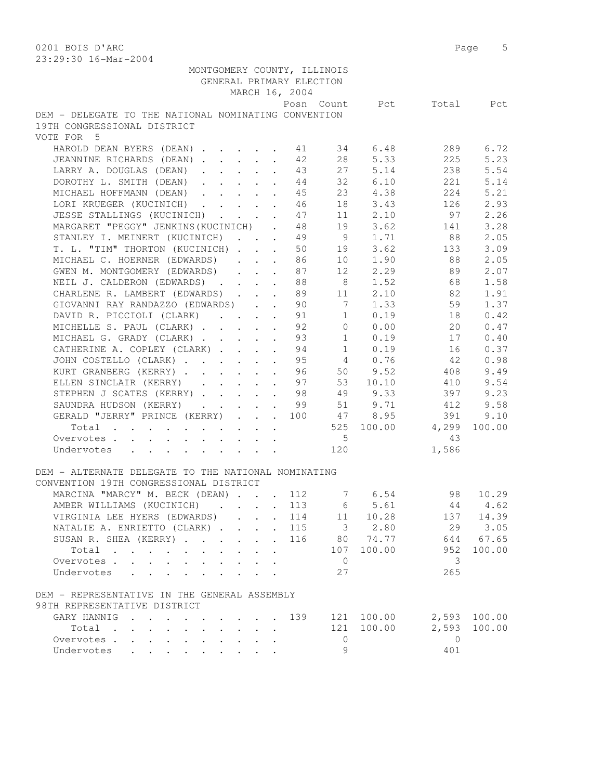0201 BOIS D'ARC 2001 Page 5 23:29:30 16-Mar-2004

| MONTGOMERY COUNTY, ILLINOIS                          |          |                |                   |                          |              |
|------------------------------------------------------|----------|----------------|-------------------|--------------------------|--------------|
| GENERAL PRIMARY ELECTION                             |          |                |                   |                          |              |
| MARCH 16, 2004                                       |          |                |                   |                          |              |
|                                                      |          |                |                   | Posn Count Pct Total Pct |              |
| DEM - DELEGATE TO THE NATIONAL NOMINATING CONVENTION |          |                |                   |                          |              |
| 19TH CONGRESSIONAL DISTRICT                          |          |                |                   |                          |              |
| VOTE FOR 5                                           |          |                |                   |                          |              |
| HAROLD DEAN BYERS (DEAN) 11                          |          |                | 34 6.48           | 289                      | 6.72         |
| JEANNINE RICHARDS (DEAN) 42                          |          |                | 28 5.33           | 225                      | 5.23         |
| LARRY A. DOUGLAS (DEAN) 43                           |          | 27             | 5.14              | 238                      | 5.54         |
| DOROTHY L. SMITH (DEAN)                              | 44       | 32             | 6.10              | 221                      | 5.14         |
| MICHAEL HOFFMANN (DEAN)                              | 45       |                | 23 4.38           | 224                      | 5.21         |
| LORI KRUEGER (KUCINICH)                              | 46       |                | 18 3.43           | 126                      | 2.93         |
| JESSE STALLINGS (KUCINICH)                           | 47       |                | 11 2.10           | 97                       | 2.26         |
| MARGARET "PEGGY" JENKINS (KUCINICH).                 | 48       |                | 19 3.62           | 141                      | 3.28         |
| STANLEY I. MEINERT (KUCINICH) 49                     |          |                |                   | 9 1.71 88                | 2.05         |
| T. L. "TIM" THORTON (KUCINICH) 50                    |          |                | 19 3.62           | 133                      | 3.09         |
|                                                      |          |                | 10 1.90           | 88                       | 2.05         |
| MICHAEL C. HOERNER (EDWARDS) 86                      |          |                |                   |                          |              |
| GWEN M. MONTGOMERY (EDWARDS)                         | 87       | 8 <sup>8</sup> | 12 2.29           | 89                       | 2.07         |
| NEIL J. CALDERON (EDWARDS)                           | 88<br>89 |                | 1.52              | 68                       | 1.58         |
| CHARLENE R. LAMBERT (EDWARDS)                        |          | 11             | 2.10<br>90 7 1.33 | 82                       | 1.91         |
| GIOVANNI RAY RANDAZZO (EDWARDS)                      |          |                |                   | 59                       | 1.37         |
| DAVID R. PICCIOLI (CLARK) 91                         |          |                | $1 \t 0.19$       | 18                       | 0.42         |
| MICHELLE S. PAUL (CLARK) 92                          |          |                | $0 \t 0.00$       | 20                       | 0.47         |
| MICHAEL G. GRADY (CLARK) 93                          |          |                | $1 \t 0.19$       | 17                       | 0.40         |
| CATHERINE A. COPLEY (CLARK) 94                       |          |                | $1 \t 0.19$       | 16                       | 0.37         |
| JOHN COSTELLO (CLARK) 95 4 0.76                      |          |                |                   | 42                       | 0.98         |
| KURT GRANBERG (KERRY)                                |          | 96 50          | 9.52              | 408                      | 9.49         |
| ELLEN SINCLAIR (KERRY)                               | 97       |                | 53 10.10          | 410                      | 9.54         |
| STEPHEN J SCATES (KERRY)                             | 98       |                | 49 9.33           | 397                      | 9.23         |
| SAUNDRA HUDSON (KERRY)                               | 99       |                | 51 9.71           | 412                      | 9.58         |
| GERALD "JERRY" PRINCE (KERRY) 100 47 8.95            |          |                |                   | 391                      | 9.10         |
| Total $\cdot$                                        |          |                |                   | 525 100.00 4,299         | 100.00       |
| Overvotes.                                           |          | 5 <sub>5</sub> |                   | 43                       |              |
| Undervotes                                           |          | 120            |                   | 1,586                    |              |
|                                                      |          |                |                   |                          |              |
| DEM - ALTERNATE DELEGATE TO THE NATIONAL NOMINATING  |          |                |                   |                          |              |
| CONVENTION 19TH CONGRESSIONAL DISTRICT               |          |                |                   |                          |              |
| MARCINA "MARCY" M. BECK (DEAN) 112 7 6.54 98 10.29   |          |                |                   |                          |              |
| AMBER WILLIAMS (KUCINICH) 113 6 5.61 44 4.62         |          |                |                   |                          |              |
| VIRGINIA LEE HYERS (EDWARDS)                         | 114      |                | 11 10.28          |                          | 137 14.39    |
| NATALIE A. ENRIETTO (CLARK)                          |          |                | 115 3 2.80        |                          | 29 3.05      |
| SUSAN R. SHEA (KERRY)                                | 116      |                | 80 74.77          |                          | 644 67.65    |
| Total                                                |          | 107            | 100.00            | 952                      | 100.00       |
| Overvotes                                            |          | $\overline{0}$ |                   | 3                        |              |
| Undervotes                                           |          | 27             |                   | 265                      |              |
|                                                      |          |                |                   |                          |              |
| DEM - REPRESENTATIVE IN THE GENERAL ASSEMBLY         |          |                |                   |                          |              |
| 98TH REPRESENTATIVE DISTRICT                         |          |                |                   |                          |              |
| GARY HANNIG                                          | 139      |                | 121 100.00        |                          | 2,593 100.00 |
| Total                                                |          | 121            | 100.00            | 2,593                    | 100.00       |
| Overvotes                                            |          | 0              |                   | $\overline{0}$           |              |
| Undervotes                                           |          | 9              |                   | 401                      |              |
|                                                      |          |                |                   |                          |              |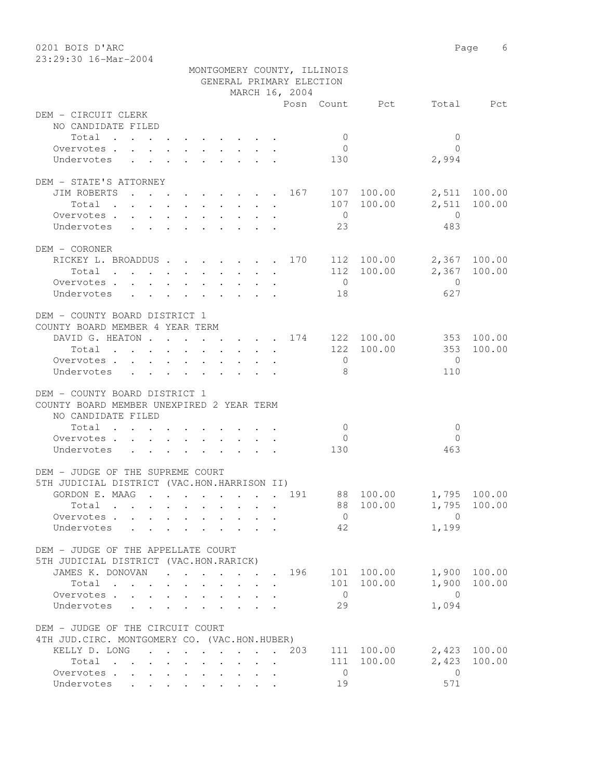0201 BOIS D'ARC **Page** 6 23:29:30 16-Mar-2004

|                                                                                                                                                                                                                                        | MONTGOMERY COUNTY, ILLINOIS                                                              |                                |                        |              |
|----------------------------------------------------------------------------------------------------------------------------------------------------------------------------------------------------------------------------------------|------------------------------------------------------------------------------------------|--------------------------------|------------------------|--------------|
|                                                                                                                                                                                                                                        |                                                                                          | GENERAL PRIMARY ELECTION       |                        |              |
|                                                                                                                                                                                                                                        |                                                                                          | MARCH 16, 2004                 |                        |              |
|                                                                                                                                                                                                                                        |                                                                                          |                                | Posn Count Pct         | Total Pct    |
| DEM - CIRCUIT CLERK                                                                                                                                                                                                                    |                                                                                          |                                |                        |              |
| NO CANDIDATE FILED                                                                                                                                                                                                                     |                                                                                          |                                |                        |              |
| Total                                                                                                                                                                                                                                  |                                                                                          | $\overline{0}$                 | $\mathbf{0}$           |              |
| Overvotes.                                                                                                                                                                                                                             |                                                                                          | $\overline{0}$                 | $\bigcap$              |              |
| Undervotes                                                                                                                                                                                                                             | $\mathbf{r}$ , and $\mathbf{r}$ , and $\mathbf{r}$ , and $\mathbf{r}$                    | 130                            | 2,994                  |              |
|                                                                                                                                                                                                                                        |                                                                                          |                                |                        |              |
| DEM - STATE'S ATTORNEY                                                                                                                                                                                                                 |                                                                                          |                                |                        |              |
| JIM ROBERTS                                                                                                                                                                                                                            |                                                                                          | . 167 107 100.00               |                        | 2,511 100.00 |
| Total $\cdot$                                                                                                                                                                                                                          |                                                                                          |                                | 107 100.00<br>2,511    | 100.00       |
| Overvotes.                                                                                                                                                                                                                             |                                                                                          | $\overline{0}$                 | $\overline{0}$         |              |
| Undervotes                                                                                                                                                                                                                             |                                                                                          | 23                             | 483                    |              |
|                                                                                                                                                                                                                                        |                                                                                          |                                |                        |              |
| DEM - CORONER                                                                                                                                                                                                                          |                                                                                          |                                |                        |              |
| RICKEY L. BROADDUS 170 112 100.00                                                                                                                                                                                                      |                                                                                          |                                |                        | 2,367 100.00 |
| Total                                                                                                                                                                                                                                  |                                                                                          |                                | 112 100.00             | 2,367 100.00 |
| Overvotes                                                                                                                                                                                                                              |                                                                                          | $\overline{0}$                 | $\overline{0}$         |              |
| Undervotes                                                                                                                                                                                                                             |                                                                                          | 18                             | 627                    |              |
|                                                                                                                                                                                                                                        |                                                                                          |                                |                        |              |
| DEM - COUNTY BOARD DISTRICT 1                                                                                                                                                                                                          |                                                                                          |                                |                        |              |
| COUNTY BOARD MEMBER 4 YEAR TERM                                                                                                                                                                                                        |                                                                                          |                                |                        |              |
| DAVID G. HEATON 174 122 100.00                                                                                                                                                                                                         |                                                                                          |                                |                        | 353 100.00   |
| Total                                                                                                                                                                                                                                  |                                                                                          |                                | 122 100.00<br>353      | 100.00       |
| Overvotes.                                                                                                                                                                                                                             |                                                                                          | $\overline{0}$                 | $\overline{0}$         |              |
| Undervotes                                                                                                                                                                                                                             |                                                                                          | 8                              | 110                    |              |
|                                                                                                                                                                                                                                        |                                                                                          |                                |                        |              |
| DEM - COUNTY BOARD DISTRICT 1                                                                                                                                                                                                          |                                                                                          |                                |                        |              |
| COUNTY BOARD MEMBER UNEXPIRED 2 YEAR TERM                                                                                                                                                                                              |                                                                                          |                                |                        |              |
| NO CANDIDATE FILED                                                                                                                                                                                                                     |                                                                                          |                                |                        |              |
| Total                                                                                                                                                                                                                                  |                                                                                          | $\overline{0}$                 | $\mathbf{0}$           |              |
| Overvotes                                                                                                                                                                                                                              |                                                                                          | $\overline{0}$                 | $\Omega$               |              |
| Undervotes                                                                                                                                                                                                                             | $\mathbf{r}$ , and $\mathbf{r}$ , and $\mathbf{r}$ , and $\mathbf{r}$ , and $\mathbf{r}$ | 130                            | 463                    |              |
| DEM - JUDGE OF THE SUPREME COURT                                                                                                                                                                                                       |                                                                                          |                                |                        |              |
| 5TH JUDICIAL DISTRICT (VAC.HON.HARRISON II)                                                                                                                                                                                            |                                                                                          |                                |                        |              |
| GORDON E. MAAG 191                                                                                                                                                                                                                     |                                                                                          |                                |                        |              |
|                                                                                                                                                                                                                                        |                                                                                          |                                | 88 100.00 1,795 100.00 |              |
| Total<br>. The contract of the contract of the contract of the contract of the contract of the contract of the contract of the contract of the contract of the contract of the contract of the contract of the contract of the contrac |                                                                                          | 88                             | 100.00<br>1,795        | 100.00       |
| Overvotes                                                                                                                                                                                                                              |                                                                                          | $\overline{0}$                 | $\mathbf{0}$           |              |
| Undervotes                                                                                                                                                                                                                             |                                                                                          | 42                             | 1,199                  |              |
| DEM - JUDGE OF THE APPELLATE COURT                                                                                                                                                                                                     |                                                                                          |                                |                        |              |
| 5TH JUDICIAL DISTRICT (VAC.HON.RARICK)                                                                                                                                                                                                 |                                                                                          |                                |                        |              |
|                                                                                                                                                                                                                                        |                                                                                          |                                | 101 100.00<br>1,900    | 100.00       |
| JAMES K. DONOVAN 196                                                                                                                                                                                                                   |                                                                                          |                                |                        |              |
| Total                                                                                                                                                                                                                                  |                                                                                          |                                | 101 100.00<br>1,900    | 100.00       |
| Overvotes.                                                                                                                                                                                                                             |                                                                                          | $\overline{0}$                 | $\overline{0}$         |              |
| Undervotes                                                                                                                                                                                                                             |                                                                                          | 29                             | 1,094                  |              |
|                                                                                                                                                                                                                                        |                                                                                          |                                |                        |              |
| DEM - JUDGE OF THE CIRCUIT COURT                                                                                                                                                                                                       |                                                                                          |                                |                        |              |
| 4TH JUD. CIRC. MONTGOMERY CO. (VAC.HON.HUBER)                                                                                                                                                                                          |                                                                                          |                                |                        |              |
| KELLY D. LONG                                                                                                                                                                                                                          | $\mathbf{r}$ , and $\mathbf{r}$ , and $\mathbf{r}$ , and $\mathbf{r}$ , and $\mathbf{r}$ | 203                            | 111 100.00             | 2,423 100.00 |
| Total                                                                                                                                                                                                                                  |                                                                                          | $\mathbf{A}$                   | 111 100.00<br>2,423    | 100.00       |
| Overvotes.                                                                                                                                                                                                                             |                                                                                          | $\overline{0}$<br>$\mathbf{r}$ | $\overline{0}$         |              |
| Undervotes                                                                                                                                                                                                                             |                                                                                          | 19                             | 571                    |              |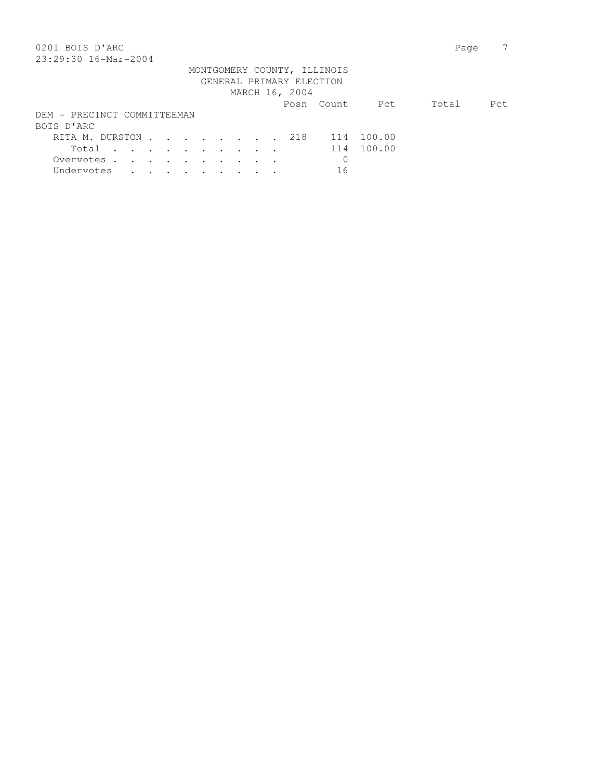| 0201 BOIS D'ARC                         | Page  |      |
|-----------------------------------------|-------|------|
| 23:29:30 16-Mar-2004                    |       |      |
| MONTGOMERY COUNTY, ILLINOIS             |       |      |
| GENERAL PRIMARY ELECTION                |       |      |
| MARCH 16, 2004                          |       |      |
| Pct<br>Posn Count                       | Total | Pct. |
| DEM - PRECINCT COMMITTEEMAN             |       |      |
| BOIS D'ARC                              |       |      |
| 100.00<br>218<br>RITA M. DURSTON<br>114 |       |      |
| 100.00<br>114<br>Total                  |       |      |
| $\mathbf 0$<br>Overvotes.               |       |      |
| 16<br>Undervotes                        |       |      |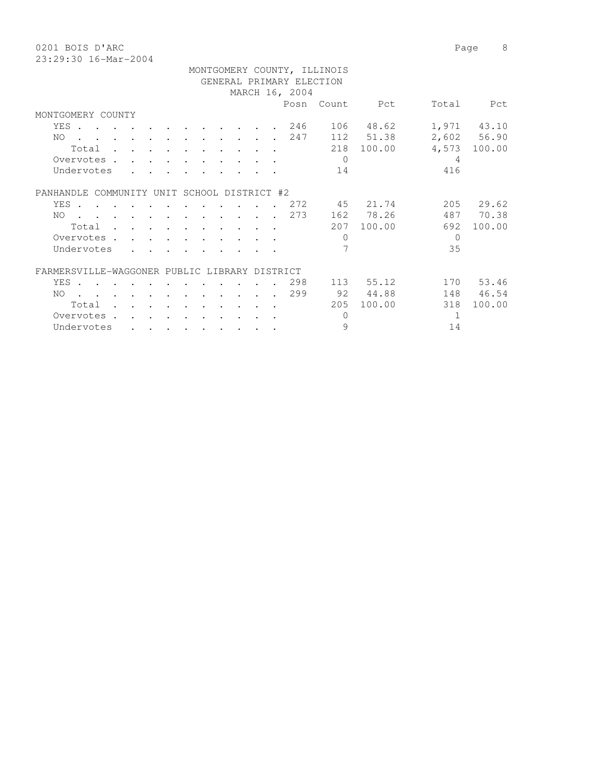0201 BOIS D'ARC Page 8 23:29:30 16-Mar-20

| 23:29:30 16-Mar-2004 |  |  |  |  |  |  |                          |                             |                   |       |             |
|----------------------|--|--|--|--|--|--|--------------------------|-----------------------------|-------------------|-------|-------------|
|                      |  |  |  |  |  |  |                          | MONTGOMERY COUNTY, ILLINOIS |                   |       |             |
|                      |  |  |  |  |  |  | GENERAL PRIMARY ELECTION |                             |                   |       |             |
|                      |  |  |  |  |  |  | MARCH 16, 2004           |                             |                   |       |             |
|                      |  |  |  |  |  |  |                          | Posn Count                  | Pct               | Total | Pct.        |
| MONTGOMERY COUNTY    |  |  |  |  |  |  |                          |                             |                   |       |             |
|                      |  |  |  |  |  |  |                          |                             | YES 246 106 48.62 |       | 1,971 43.10 |
|                      |  |  |  |  |  |  |                          |                             | NO 247 112 51.38  |       | 2,602 56.90 |
|                      |  |  |  |  |  |  |                          | 218                         | 100.00            | 4,573 | 100.00      |

| Undervotes                                    |  |      |  |                    |  |      | 14                       |        | 416 |        |
|-----------------------------------------------|--|------|--|--------------------|--|------|--------------------------|--------|-----|--------|
| PANHANDLE.<br>COMMUNITY                       |  | UNIT |  | SCHOOL DISTRICT #2 |  |      |                          |        |     |        |
| YES                                           |  |      |  |                    |  | 2.72 | 45                       | 21.74  | 205 | 29.62  |
| NO.                                           |  |      |  |                    |  | 2.73 | 162                      | 78.26  | 487 | 70.38  |
| Total                                         |  |      |  |                    |  |      | 207                      | 100.00 | 692 | 100.00 |
| Overvotes                                     |  |      |  |                    |  |      | 0                        |        | 0   |        |
| Undervotes                                    |  |      |  |                    |  |      | $\overline{\phantom{1}}$ |        | 35  |        |
| FARMERSVILLE-WAGGONER PUBLIC LIBRARY DISTRICT |  |      |  |                    |  |      |                          |        |     |        |
| YES .                                         |  |      |  |                    |  | 298  | 113                      | 55.12  | 170 | 53.46  |
| NO.                                           |  |      |  |                    |  | 299  | 92                       | 44.88  | 148 | 46.54  |
| Total                                         |  |      |  |                    |  |      | 205                      | 100.00 | 318 | 100.00 |
| Overvotes                                     |  |      |  |                    |  |      |                          |        |     |        |
| Undervotes                                    |  |      |  |                    |  |      | 9                        |        | 14  |        |
|                                               |  |      |  |                    |  |      |                          |        |     |        |

Overvotes . . . . . . . . . . . 0 4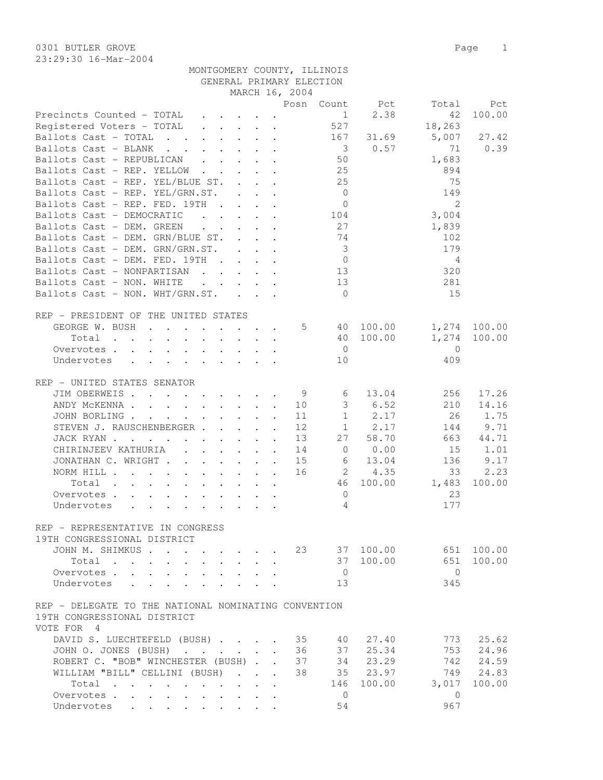## MONTGOMERY COUNTY, ILLINOIS GENERAL PRIMARY ELECTION MARCH 16, 2004

|                                                                                                                                                                                                                                |                                                                  |             | Posn Count              | Pct                            | Total          | Pct          |
|--------------------------------------------------------------------------------------------------------------------------------------------------------------------------------------------------------------------------------|------------------------------------------------------------------|-------------|-------------------------|--------------------------------|----------------|--------------|
| Precincts Counted - TOTAL                                                                                                                                                                                                      |                                                                  |             |                         | 2.38<br>$1 \quad \blacksquare$ | 42             | 100.00       |
| Registered Voters - TOTAL                                                                                                                                                                                                      |                                                                  |             | 527                     |                                | 18,263         |              |
| Ballots Cast - TOTAL                                                                                                                                                                                                           |                                                                  |             | 167                     | 31.69                          | 5,007          | 27.42        |
| Ballots Cast - BLANK                                                                                                                                                                                                           |                                                                  |             | $\overline{\mathbf{3}}$ | 0.57                           | 71             | 0.39         |
| Ballots Cast - REPUBLICAN                                                                                                                                                                                                      |                                                                  |             | 50                      |                                | 1,683          |              |
| Ballots Cast - REP. YELLOW                                                                                                                                                                                                     |                                                                  |             | 25                      |                                | 894            |              |
| Ballots Cast - REP. YEL/BLUE ST.                                                                                                                                                                                               | $\mathbf{1}$ $\mathbf{1}$ $\mathbf{1}$ $\mathbf{1}$ $\mathbf{1}$ |             | 25                      |                                | 75             |              |
| Ballots Cast - REP. YEL/GRN.ST.                                                                                                                                                                                                |                                                                  |             | $\overline{0}$          |                                | 149            |              |
| Ballots Cast - REP. FED. 19TH                                                                                                                                                                                                  |                                                                  |             | $\overline{0}$          |                                | $\mathcal{L}$  |              |
| Ballots Cast - DEMOCRATIC (asset of the contract of the contract of the contract of the contract of the contract of the contract of the contract of the contract of the contract of the contract of the contract of the contra |                                                                  |             |                         |                                | 3,004          |              |
| Ballots Cast - DEM. GREEN 27                                                                                                                                                                                                   |                                                                  |             |                         |                                | 1,839          |              |
| Ballots Cast - DEM. GRN/BLUE ST.                                                                                                                                                                                               |                                                                  |             | 74                      |                                | 102            |              |
| Ballots Cast - DEM. GRN/GRN.ST.                                                                                                                                                                                                |                                                                  |             | $\overline{3}$          |                                | 179            |              |
| Ballots Cast - DEM. FED. 19TH                                                                                                                                                                                                  |                                                                  |             | $\overline{0}$          |                                | 4              |              |
| Ballots Cast - NONPARTISAN                                                                                                                                                                                                     |                                                                  |             | 13                      |                                | 320            |              |
| Ballots Cast - NON. WHITE                                                                                                                                                                                                      |                                                                  |             | 13                      |                                | 281            |              |
| Ballots Cast - NON. WHT/GRN.ST.                                                                                                                                                                                                |                                                                  |             | $\bigcirc$              |                                | 15             |              |
|                                                                                                                                                                                                                                |                                                                  |             |                         |                                |                |              |
| REP - PRESIDENT OF THE UNITED STATES                                                                                                                                                                                           |                                                                  |             |                         |                                |                |              |
| GEORGE W. BUSH                                                                                                                                                                                                                 |                                                                  | $5^{\circ}$ |                         | 40 100.00                      |                | 1,274 100.00 |
| Total                                                                                                                                                                                                                          |                                                                  |             |                         | 40 100.00                      | 1,274          | 100.00       |
| Overvotes                                                                                                                                                                                                                      |                                                                  |             | $\overline{0}$          |                                | $\overline{0}$ |              |
| Undervotes<br>$\cdot$ $\cdot$ $\cdot$ $\cdot$ $\cdot$ $\cdot$ $\cdot$ $\cdot$                                                                                                                                                  |                                                                  |             | 10                      |                                | 409            |              |
| $\ddot{\phantom{0}}$                                                                                                                                                                                                           |                                                                  |             |                         |                                |                |              |
| REP - UNITED STATES SENATOR                                                                                                                                                                                                    |                                                                  |             |                         |                                |                |              |
| JIM OBERWEIS. 9                                                                                                                                                                                                                |                                                                  |             | 6                       | 13.04                          | 256            | 17.26        |
| ANDY MCKENNA                                                                                                                                                                                                                   |                                                                  | 10          | 3                       | 6.52                           | 210            | 14.16        |
|                                                                                                                                                                                                                                |                                                                  |             | $\mathbf{1}$            | 2.17                           | 26             | 1.75         |
| JOHN BORLING                                                                                                                                                                                                                   |                                                                  | 11          |                         |                                |                | 9.71         |
| STEVEN J. RAUSCHENBERGER                                                                                                                                                                                                       |                                                                  | 12          |                         | $1 \t 2.17$                    | 144            |              |
| JACK RYAN                                                                                                                                                                                                                      |                                                                  | 13          | 27                      | 58.70                          | 663            | 44.71        |
| CHIRINJEEV KATHURIA                                                                                                                                                                                                            | $\mathbf{L}$<br>$\ddot{\phantom{a}}$                             | 14          | $\circ$                 | 0.00                           | 15             | 1.01         |
| JONATHAN C. WRIGHT<br>$\sim$                                                                                                                                                                                                   | $\ddot{\phantom{a}}$<br>$\sim$ 100 $\pm$                         | 15          | 6                       | 13.04                          | 136            | 9.17         |
| NORM HILL                                                                                                                                                                                                                      | $\cdot$ $\cdot$ $\cdot$                                          | 16          |                         | $2 \t 4.35$                    | 33             | 2.23         |
| $Total \cdot \cdot \cdot \cdot \cdot \cdot \cdot \cdot \cdot$                                                                                                                                                                  |                                                                  |             | 46                      | 100.00                         | 1,483          | 100.00       |
| Overvotes.                                                                                                                                                                                                                     |                                                                  |             | $\overline{0}$          |                                | 23             |              |
| Undervotes                                                                                                                                                                                                                     |                                                                  |             | $\overline{4}$          |                                | 177            |              |
|                                                                                                                                                                                                                                |                                                                  |             |                         |                                |                |              |
| REP - REPRESENTATIVE IN CONGRESS                                                                                                                                                                                               |                                                                  |             |                         |                                |                |              |
| 19TH CONGRESSIONAL DISTRICT                                                                                                                                                                                                    |                                                                  |             |                         |                                |                |              |
| JOHN M. SHIMKUS                                                                                                                                                                                                                |                                                                  | 23          |                         | 37 100.00                      |                | 651 100.00   |
| Total<br>$\mathbf{L} = \mathbf{L} \mathbf{L}$<br>$\mathbf{L}$<br>$\mathbf{L}$<br>$\ddot{\phantom{0}}$                                                                                                                          |                                                                  |             | 37                      | 100.00                         | 651            | 100.00       |
| Overvotes                                                                                                                                                                                                                      |                                                                  |             | $\overline{0}$          |                                | $\overline{0}$ |              |
| Undervotes<br>$\mathbf{L}$<br>$\cdot$                                                                                                                                                                                          |                                                                  |             | 13                      |                                | 345            |              |
|                                                                                                                                                                                                                                |                                                                  |             |                         |                                |                |              |
| REP - DELEGATE TO THE NATIONAL NOMINATING CONVENTION                                                                                                                                                                           |                                                                  |             |                         |                                |                |              |
| 19TH CONGRESSIONAL DISTRICT                                                                                                                                                                                                    |                                                                  |             |                         |                                |                |              |
| VOTE FOR 4                                                                                                                                                                                                                     |                                                                  |             |                         |                                |                |              |
| DAVID S. LUECHTEFELD (BUSH)                                                                                                                                                                                                    |                                                                  | 35          | 40                      | 27.40                          | 773            | 25.62        |
| JOHN O. JONES (BUSH)                                                                                                                                                                                                           | $\mathbf{r}$                                                     | 36          | 37                      | 25.34                          | 753            | 24.96        |
| ROBERT C. "BOB" WINCHESTER (BUSH).                                                                                                                                                                                             | $\mathbf{r}$                                                     | 37          | 34                      | 23.29                          | 742            | 24.59        |
| WILLIAM "BILL" CELLINI (BUSH)<br>$\mathbf{r}$ , $\mathbf{r}$ , $\mathbf{r}$ , $\mathbf{r}$                                                                                                                                     |                                                                  | 38          | 35                      | 23.97                          | 749            | 24.83        |
| Total<br>$\cdot$ $\cdot$                                                                                                                                                                                                       | $\mathbf{r}$                                                     |             | 146                     | 100.00                         | 3,017          | 100.00       |
| Overvotes.                                                                                                                                                                                                                     | $\mathbf{r}$                                                     |             | $\mathbf{0}$            |                                | $\mathbf{0}$   |              |
| Undervotes                                                                                                                                                                                                                     |                                                                  |             | 54                      |                                | 967            |              |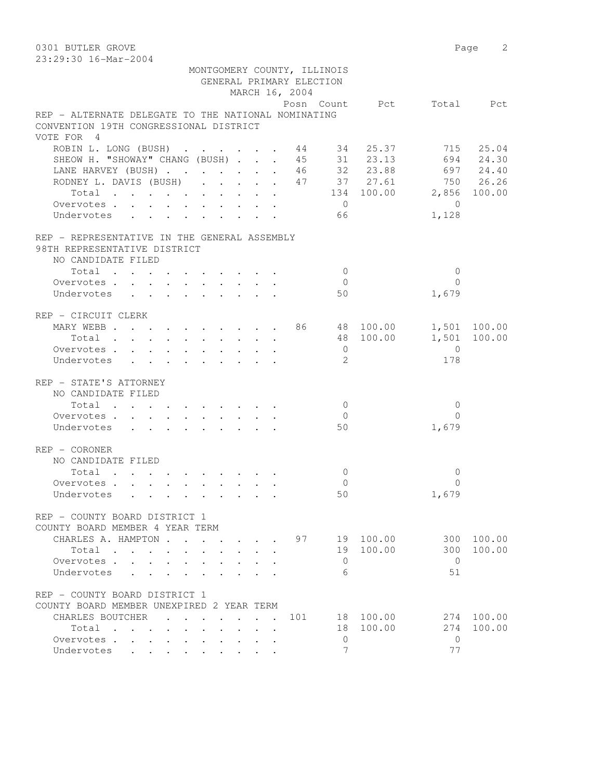0301 BUTLER GROVE Page 2 23:29:30 16-Mar-2004 MONTGOMERY COUNTY, ILLINOIS GENERAL PRIMARY ELECTION MARCH 16, 2004<br>Posn Count Pct Total Pct Posn Count Pct Total Pct REP - ALTERNATE DELEGATE TO THE NATIONAL NOMINATING CONVENTION 19TH CONGRESSIONAL DISTRICT VOTE FOR 4 ROBIN L. LONG (BUSH) . . . . . . 44 34 25.37 715 25.04 SHEOW H. "SHOWAY" CHANG (BUSH) . . . 45 31 23.13 694 24.30 LANE HARVEY (BUSH) . . . . . . . 46 32 23.88 697 24.40 RODNEY L. DAVIS (BUSH) . . . . . 47 37 27.61 750 26.26 Total . . . . . . . . . . 134 100.00 2,856 100.00 Overvotes . . . . . . . . . . 0 0 overvotes . . . . . . . . . . . . . . 0<br>Undervotes . . . . . . . . . . . 66 1,128 REP - REPRESENTATIVE IN THE GENERAL ASSEMBLY 98TH REPRESENTATIVE DISTRICT NO CANDIDATE FILED  $\text{Total} \quad . \quad . \quad . \quad . \quad . \quad . \quad . \qquad . \qquad 0 \qquad \qquad 0$  Overvotes . . . . . . . . . . 0 0 Undervotes . . . . . . . . . . 50 1,679 REP - CIRCUIT CLERK MARY WEBB . . . . . . . . . . 86 48 100.00 1,501 100.00 Total . . . . . . . . . . 48 100.00 1,501 100.00 1,501<br>
Overvotes . . . . . . . . . . . . . . 0<br>
Undervotes . . . . . . . . . . . . 2<br>
178 Undervotes . . . . . . . . . . 2 178 REP - STATE'S ATTORNEY NO CANDIDATE FILED  $\texttt{Total} \quad . \quad . \quad . \quad . \quad . \quad . \quad . \quad . \qquad 0 \qquad \qquad 0$ Overvotes . . . . . . . . . . . 0 Undervotes . . . . . . . . . 50 1,679 REP - CORONER NO CANDIDATE FILED Total . . . . . . . . . . 0 0 Overvotes . . . . . . . . . . Undervotes . . . . . . . . . . 50 1,679 REP - COUNTY BOARD DISTRICT 1 COUNTY BOARD MEMBER 4 YEAR TERM CHARLES A. HAMPTON . . . . . . 97 19 100.00 300 100.00 Total . . . . . . . . . . 19 100.00 300 100.00 Overvotes . . . . . . . . . . 0 Undervotes . . . . . . . . . 6 51 REP - COUNTY BOARD DISTRICT 1 COUNTY BOARD MEMBER UNEXPIRED 2 YEAR TERM CHARLES BOUTCHER . . . . . . 101 18 100.00 274 100.00<br>Total . . . . . . . . . 18 100.00 274 100.00 Total . . . . . . . . . . 18<br>ervotes . . . . . . . . . . 0<br>dervotes . . . . . . . . . . 7 Overvotes . . . . . . . . . . 0 0 Undervotes . . . . . . . . . 7 7 77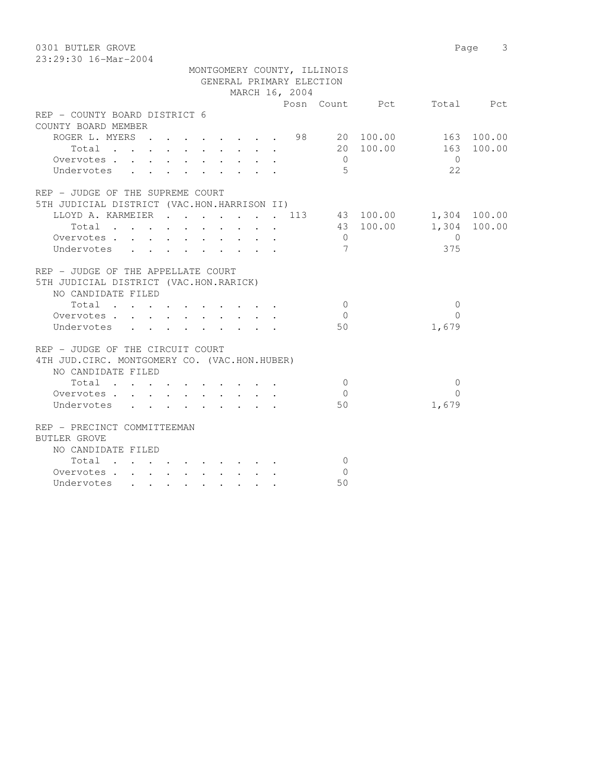0301 BUTLER GROVE Page 3 23:29:30 16-Mar-2004

|                                                                                                                          |                      | MONTGOMERY COUNTY, ILLINOIS |                 |                |               |
|--------------------------------------------------------------------------------------------------------------------------|----------------------|-----------------------------|-----------------|----------------|---------------|
|                                                                                                                          |                      | GENERAL PRIMARY ELECTION    |                 |                |               |
|                                                                                                                          |                      | MARCH 16, 2004              |                 |                |               |
|                                                                                                                          |                      |                             |                 | Posn Count Pct | Total Pct     |
| REP - COUNTY BOARD DISTRICT 6                                                                                            |                      |                             |                 |                |               |
| COUNTY BOARD MEMBER                                                                                                      |                      |                             |                 |                |               |
| ROGER L. MYERS 98 20 100.00                                                                                              |                      |                             |                 |                | 163 100.00    |
| Total                                                                                                                    |                      |                             |                 | 20 100.00      | 163<br>100.00 |
| Overvotes.                                                                                                               |                      |                             | $\overline{0}$  |                | $\bigcirc$    |
| Undervotes                                                                                                               |                      |                             | $-5$            |                | 2.2           |
|                                                                                                                          |                      |                             |                 |                |               |
| REP - JUDGE OF THE SUPREME COURT                                                                                         |                      |                             |                 |                |               |
| 5TH JUDICIAL DISTRICT (VAC.HON.HARRISON II)                                                                              |                      |                             |                 |                |               |
| LLOYD A. KARMEIER 113 43 100.00                                                                                          |                      |                             |                 |                | 1,304 100.00  |
| Total<br>the contract of the contract of the contract of the contract of the contract of the contract of the contract of |                      |                             |                 | 43 100.00      | 1,304 100.00  |
| Overvotes.                                                                                                               |                      |                             | $\overline{0}$  |                | $\bigcirc$    |
| Undervotes<br>$\cdot$ $\cdot$ $\cdot$                                                                                    | $\ddot{\phantom{0}}$ |                             | $7\phantom{.0}$ |                | 375           |
|                                                                                                                          |                      |                             |                 |                |               |
| REP - JUDGE OF THE APPELLATE COURT                                                                                       |                      |                             |                 |                |               |
| 5TH JUDICIAL DISTRICT (VAC.HON.RARICK)                                                                                   |                      |                             |                 |                |               |
| NO CANDIDATE FILED                                                                                                       |                      |                             |                 |                |               |
| Total                                                                                                                    |                      |                             | $\Omega$        |                | $\Omega$      |
| Overvotes                                                                                                                |                      |                             | $\overline{0}$  |                | $\Omega$      |
| Undervotes                                                                                                               |                      |                             | 50              |                | 1,679         |
|                                                                                                                          |                      |                             |                 |                |               |
| REP - JUDGE OF THE CIRCUIT COURT                                                                                         |                      |                             |                 |                |               |
| 4TH JUD. CIRC. MONTGOMERY CO. (VAC.HON.HUBER)                                                                            |                      |                             |                 |                |               |
| NO CANDIDATE FILED                                                                                                       |                      |                             |                 |                |               |
| Total                                                                                                                    |                      |                             | $\Omega$        |                | $\Omega$      |
| Overvotes<br>$\sim$<br>$\sim$<br>$\sim$                                                                                  | $\sim$               |                             | $\Omega$        |                | $\Omega$      |
| Undervotes                                                                                                               |                      |                             | 50              |                | 1,679         |
|                                                                                                                          |                      |                             |                 |                |               |
| REP - PRECINCT COMMITTEEMAN                                                                                              |                      |                             |                 |                |               |
| <b>BUTLER GROVE</b>                                                                                                      |                      |                             |                 |                |               |
| NO CANDIDATE FILED                                                                                                       |                      |                             |                 |                |               |
| Total                                                                                                                    |                      |                             | $\overline{0}$  |                |               |
| Overvotes.                                                                                                               |                      |                             | $\Omega$        |                |               |
| Undervotes                                                                                                               |                      |                             | 50              |                |               |
|                                                                                                                          |                      |                             |                 |                |               |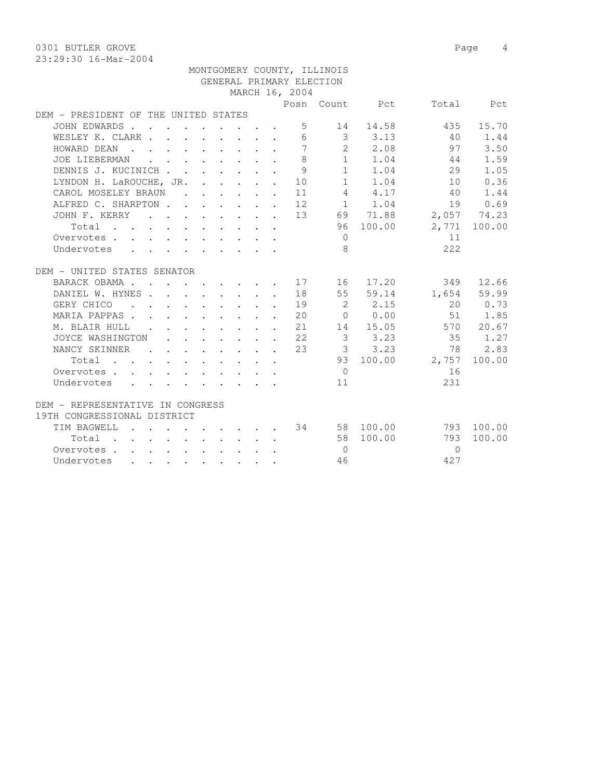0301 BUTLER GROVE 2008 Page 4 23:29:30 16-Mar-2004

|                                                                                                   |                      |                                            |  |  |                                                                          |                                                    | MONTGOMERY COUNTY, ILLINOIS |                                                                                                                   |                      |              |
|---------------------------------------------------------------------------------------------------|----------------------|--------------------------------------------|--|--|--------------------------------------------------------------------------|----------------------------------------------------|-----------------------------|-------------------------------------------------------------------------------------------------------------------|----------------------|--------------|
|                                                                                                   |                      |                                            |  |  |                                                                          |                                                    | GENERAL PRIMARY ELECTION    |                                                                                                                   |                      |              |
|                                                                                                   |                      |                                            |  |  |                                                                          | MARCH 16, 2004                                     |                             |                                                                                                                   |                      |              |
|                                                                                                   |                      |                                            |  |  |                                                                          |                                                    |                             | Posn Count Pct                                                                                                    |                      | Total Pct    |
| DEM - PRESIDENT OF THE UNITED STATES                                                              |                      |                                            |  |  |                                                                          |                                                    |                             |                                                                                                                   |                      |              |
| JOHN EDWARDS                                                                                      |                      |                                            |  |  |                                                                          | 5                                                  |                             | 14 14.58                                                                                                          |                      | 435 15.70    |
| WESLEY K. CLARK                                                                                   |                      |                                            |  |  |                                                                          | 6                                                  |                             | $3 \t3.13$                                                                                                        | 40                   | 1.44         |
| HOWARD DEAN<br>$\mathcal{L} = \mathcal{L} \mathcal{L}$                                            |                      |                                            |  |  | $\mathbf{r}$ , and $\mathbf{r}$ , and $\mathbf{r}$ , and $\mathbf{r}$    | $7\phantom{.0}$                                    |                             | 2 2.08                                                                                                            | 97                   | 3.50         |
| JOE LIEBERMAN                                                                                     |                      | $\mathbf{r}$ , $\mathbf{r}$ , $\mathbf{r}$ |  |  | $\mathbf{r}$ , $\mathbf{r}$ , $\mathbf{r}$ , $\mathbf{r}$                | 8                                                  |                             | $\begin{bmatrix} 1 & 1 & 0 & 4 \\ 1 & 1 & 0 & 4 \\ 1 & 1 & 0 & 4 \\ 1 & 1 & 0 & 4 \\ 0 & 0 & 0 & 0 \end{bmatrix}$ | 44                   | 1.59         |
| DENNIS J. KUCINICH                                                                                |                      |                                            |  |  |                                                                          | 9                                                  |                             |                                                                                                                   | 29                   | 1.05         |
| LYNDON H. LaROUCHE, JR. 10                                                                        |                      |                                            |  |  |                                                                          |                                                    |                             |                                                                                                                   | 10                   | 0.36         |
| CAROL MOSELEY BRAUN                                                                               |                      |                                            |  |  |                                                                          | $\cdot$ $\cdot$ $\cdot$ $\cdot$ $\cdot$ $\cdot$ 11 |                             | 4.17                                                                                                              | 40                   | 1.44         |
| ALFRED C. SHARPTON 12                                                                             |                      |                                            |  |  |                                                                          |                                                    |                             | $1 \quad 1.04$                                                                                                    | 19                   | 0.69         |
| JOHN F. KERRY                                                                                     |                      |                                            |  |  |                                                                          |                                                    |                             | $\cdot$ 13 69 71.88                                                                                               | 2,057 74.23          |              |
| Total<br>$\mathbf{r}$ , and $\mathbf{r}$ , and $\mathbf{r}$ , and $\mathbf{r}$ , and $\mathbf{r}$ |                      |                                            |  |  |                                                                          |                                                    |                             | 96 100.00                                                                                                         |                      | 2,771 100.00 |
| Overvotes.                                                                                        |                      |                                            |  |  |                                                                          |                                                    | $\bigcirc$                  |                                                                                                                   | 11                   |              |
| Undervotes                                                                                        |                      |                                            |  |  |                                                                          |                                                    | 8                           |                                                                                                                   | 2.2.2                |              |
| DEM - UNITED STATES SENATOR                                                                       |                      |                                            |  |  |                                                                          |                                                    |                             |                                                                                                                   |                      |              |
| BARACK OBAMA 17 16 17.20                                                                          |                      |                                            |  |  |                                                                          |                                                    |                             |                                                                                                                   |                      | 349 12.66    |
| DANIEL W. HYNES 18                                                                                |                      |                                            |  |  |                                                                          |                                                    |                             |                                                                                                                   | 55 59.14 1,654 59.99 |              |
| GERY CHICO<br><b><i>Contract Contract States</i></b>                                              |                      |                                            |  |  | $\mathbf{r}$ , and $\mathbf{r}$ , and $\mathbf{r}$ , and $\mathbf{r}$    | 19                                                 |                             | 2 2.15                                                                                                            |                      | 20 0.73      |
| MARIA PAPPAS                                                                                      | $\mathbf{L}$         |                                            |  |  | $\mathbf{r}$ , and $\mathbf{r}$ , and $\mathbf{r}$ , and $\mathbf{r}$    | 20                                                 |                             | 0 0.00                                                                                                            | 51                   | 1.85         |
| M. BLAIR HULL .                                                                                   |                      |                                            |  |  | $\mathbf{r}$ , $\mathbf{r}$ , $\mathbf{r}$ , $\mathbf{r}$ , $\mathbf{r}$ | 21                                                 |                             | 14 15.05                                                                                                          |                      | 570 20.67    |
| JOYCE WASHINGTON                                                                                  |                      |                                            |  |  | $\mathbf{r}$ , and $\mathbf{r}$ , and $\mathbf{r}$ , and $\mathbf{r}$    | 22                                                 | $\overline{\mathbf{3}}$     | 3.23                                                                                                              | 35                   | 1.27         |
| NANCY SKINNER                                                                                     |                      |                                            |  |  |                                                                          | 23                                                 |                             | $3 \t3.23$                                                                                                        | 78                   | 2.83         |
|                                                                                                   |                      |                                            |  |  | $\mathbf{r}$ , and $\mathbf{r}$ , and $\mathbf{r}$ , and $\mathbf{r}$    |                                                    |                             | 93 100.00                                                                                                         | 2,757                | 100.00       |
| Total<br>Overvotes                                                                                |                      |                                            |  |  |                                                                          |                                                    | $\bigcirc$                  |                                                                                                                   | 16                   |              |
|                                                                                                   |                      |                                            |  |  |                                                                          |                                                    | 11                          |                                                                                                                   | 231                  |              |
| Undervotes                                                                                        |                      |                                            |  |  |                                                                          |                                                    |                             |                                                                                                                   |                      |              |
| DEM - REPRESENTATIVE IN CONGRESS                                                                  |                      |                                            |  |  |                                                                          |                                                    |                             |                                                                                                                   |                      |              |
| 19TH CONGRESSIONAL DISTRICT                                                                       |                      |                                            |  |  |                                                                          |                                                    |                             |                                                                                                                   |                      |              |
| TIM BAGWELL                                                                                       |                      |                                            |  |  |                                                                          |                                                    |                             | . 34 58 100.00                                                                                                    |                      | 793 100.00   |
| Total<br>$\mathbf{r}$ , and $\mathbf{r}$ , and $\mathbf{r}$ , and $\mathbf{r}$ , and $\mathbf{r}$ |                      |                                            |  |  |                                                                          |                                                    |                             | 58 100.00                                                                                                         | 793                  | 100.00       |
| Overvotes.                                                                                        |                      |                                            |  |  |                                                                          |                                                    | $\bigcirc$                  |                                                                                                                   | $\Omega$             |              |
| Undervotes<br>$\mathbf{L} = \mathbf{L}$                                                           | $\ddot{\phantom{0}}$ | $\mathbf{r} = \mathbf{r}$                  |  |  |                                                                          |                                                    | 46                          |                                                                                                                   | 427                  |              |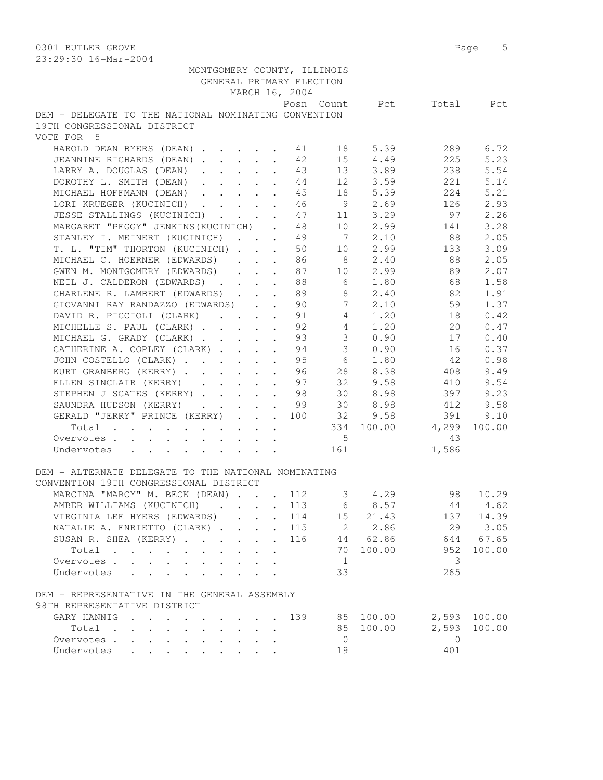| MONTGOMERY COUNTY, ILLINOIS<br>GENERAL PRIMARY ELECTION                                  |                 |                 |                          |              |
|------------------------------------------------------------------------------------------|-----------------|-----------------|--------------------------|--------------|
| MARCH 16, 2004                                                                           |                 |                 |                          |              |
|                                                                                          |                 |                 | Posn Count Pct Total Pct |              |
| DEM - DELEGATE TO THE NATIONAL NOMINATING CONVENTION                                     |                 |                 |                          |              |
|                                                                                          |                 |                 |                          |              |
| 19TH CONGRESSIONAL DISTRICT                                                              |                 |                 |                          |              |
| VOTE FOR 5                                                                               |                 |                 |                          |              |
| HAROLD DEAN BYERS (DEAN) 41                                                              |                 | 18 5.39         | 289                      | 6.72         |
| JEANNINE RICHARDS (DEAN) 42                                                              |                 | 15 4.49         | 225                      | 5.23         |
| LARRY A. DOUGLAS (DEAN) 43                                                               |                 | 13 3.89         | 238                      | 5.54         |
| DOROTHY L. SMITH (DEAN)<br>44                                                            | 12              | 3.59            | 221                      | 5.14         |
| MICHAEL HOFFMANN (DEAN)<br>45                                                            | 18              | 5.39            | 224                      | 5.21         |
| LORI KRUEGER (KUCINICH)<br>46<br>$\mathbf{L}$                                            |                 | 9 2.69          | 126                      | 2.93         |
| JESSE STALLINGS (KUCINICH)<br>47                                                         |                 | 11 3.29         | 97                       | 2.26         |
| MARGARET "PEGGY" JENKINS (KUCINICH) . 48                                                 |                 |                 | 10 2.99 141              | 3.28         |
| STANLEY I. MEINERT (KUCINICH) 49                                                         |                 | $7 \t2.10$      | 88                       | 2.05         |
| T. L. "TIM" THORTON (KUCINICH)<br>50                                                     |                 |                 | 10 2.99 133              | 3.09         |
| MICHAEL C. HOERNER (EDWARDS) 86                                                          |                 | 8 2.40          | 88                       | 2.05         |
| GWEN M. MONTGOMERY (EDWARDS)<br>87                                                       |                 | 10 2.99         | 89                       | 2.07         |
| NEIL J. CALDERON (EDWARDS)<br>88                                                         | $6\overline{6}$ | 1.80            | 68                       | 1.58         |
| CHARLENE R. LAMBERT (EDWARDS)<br>89<br>$\mathbf{L}^{\text{max}}$                         | 8               | 2.40            | 82                       | 1.91         |
| GIOVANNI RAY RANDAZZO (EDWARDS)<br>90                                                    | $\overline{7}$  | 2.10            | 59                       | 1.37         |
| DAVID R. PICCIOLI (CLARK) 91                                                             |                 | 4 1.20          | 18                       | 0.42         |
| MICHELLE S. PAUL (CLARK) 92                                                              | $4\overline{4}$ | 1.20            | 20                       | 0.47         |
| MICHAEL G. GRADY (CLARK) 93                                                              |                 | 30.90           | 17                       | 0.40         |
| CATHERINE A. COPLEY (CLARK) 94                                                           |                 | 30.90           | 16                       | 0.37         |
| JOHN COSTELLO (CLARK) 95                                                                 |                 | 6 1.80          | 42                       | 0.98         |
|                                                                                          |                 |                 |                          |              |
| KURT GRANBERG (KERRY) 96                                                                 |                 | 28 8.38         | 408                      | 9.49         |
| ELLEN SINCLAIR (KERRY)<br>97                                                             | 32              | 9.58<br>30 8.98 | 410<br>397               | 9.54         |
| STEPHEN J SCATES (KERRY)<br>98                                                           |                 |                 |                          | 9.23         |
| 99<br>SAUNDRA HUDSON (KERRY)<br>$\mathbf{z} = \mathbf{z} + \mathbf{z}$ .<br>$\mathbf{L}$ |                 | 30 8.98         | 412                      | 9.58         |
| GERALD "JERRY" PRINCE (KERRY) 100 32 9.58                                                |                 |                 | 391                      | 9.10         |
| Total                                                                                    |                 |                 | 334 100.00 4,299         | 100.00       |
| Overvotes.                                                                               | $5\overline{)}$ |                 | 43                       |              |
| Undervotes                                                                               | 161             |                 | 1,586                    |              |
|                                                                                          |                 |                 |                          |              |
| DEM - ALTERNATE DELEGATE TO THE NATIONAL NOMINATING                                      |                 |                 |                          |              |
| CONVENTION 19TH CONGRESSIONAL DISTRICT                                                   |                 |                 |                          |              |
| MARCINA "MARCY" M. BECK (DEAN) 112                                                       |                 | 3, 4.29         | 98                       | 10.29        |
| AMBER WILLIAMS (KUCINICH) 113 6 8.57 44 4.62                                             |                 |                 |                          |              |
| VIRGINIA LEE HYERS (EDWARDS)<br>114                                                      |                 | 15 21.43        |                          | 137 14.39    |
| NATALIE A. ENRIETTO (CLARK) 115                                                          |                 | 2 2.86          |                          | 29 3.05      |
| SUSAN R. SHEA (KERRY)<br>116                                                             |                 | 44 62.86        |                          | 644 67.65    |
| Total                                                                                    | 70              | 100.00          | 952                      | 100.00       |
| Overvotes                                                                                | 1               |                 | 3                        |              |
| Undervotes                                                                               | 33              |                 | 265                      |              |
|                                                                                          |                 |                 |                          |              |
| DEM - REPRESENTATIVE IN THE GENERAL ASSEMBLY                                             |                 |                 |                          |              |
| 98TH REPRESENTATIVE DISTRICT                                                             |                 |                 |                          |              |
| GARY HANNIG<br>139                                                                       |                 | 85 100.00       |                          | 2,593 100.00 |
| Total                                                                                    | 85              | 100.00          | 2,593                    | 100.00       |
| Overvotes                                                                                | $\overline{0}$  |                 | $\Omega$                 |              |
|                                                                                          | 19              |                 | 401                      |              |
| Undervotes                                                                               |                 |                 |                          |              |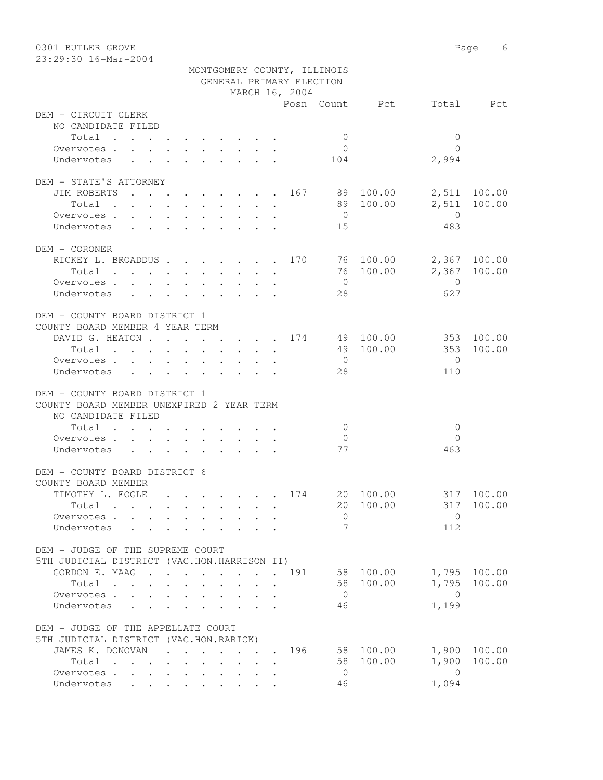| 0301 BUTLER GROVE                                               |                      |                                 |                             |                        |                       | Page<br>6    |
|-----------------------------------------------------------------|----------------------|---------------------------------|-----------------------------|------------------------|-----------------------|--------------|
| 23:29:30 16-Mar-2004                                            |                      |                                 | MONTGOMERY COUNTY, ILLINOIS |                        |                       |              |
|                                                                 |                      |                                 | GENERAL PRIMARY ELECTION    |                        |                       |              |
|                                                                 |                      | MARCH 16, 2004                  |                             |                        |                       |              |
|                                                                 |                      |                                 |                             | Posn Count Pct         |                       | Total Pct    |
| DEM - CIRCUIT CLERK                                             |                      |                                 |                             |                        |                       |              |
| NO CANDIDATE FILED                                              |                      |                                 |                             |                        |                       |              |
| Total                                                           |                      |                                 | $\overline{0}$              |                        | $\mathbf{0}$          |              |
| Overvotes                                                       |                      |                                 | $\overline{0}$              |                        | $\bigcap$             |              |
| Undervotes                                                      |                      |                                 | 104                         |                        | 2,994                 |              |
| DEM - STATE'S ATTORNEY                                          |                      |                                 |                             |                        |                       |              |
| JIM ROBERTS                                                     |                      |                                 |                             | $\cdots$ 167 89 100.00 |                       | 2,511 100.00 |
| Total                                                           |                      |                                 |                             | 89 100.00              | 2,511                 | 100.00       |
| Overvotes                                                       |                      |                                 | $\overline{0}$              |                        | $\overline{0}$        |              |
| Undervotes                                                      |                      |                                 | 15                          |                        | 483                   |              |
|                                                                 |                      |                                 |                             |                        |                       |              |
| DEM - CORONER                                                   |                      |                                 |                             |                        |                       |              |
| RICKEY L. BROADDUS 170 76 100.00                                |                      |                                 |                             |                        |                       | 2,367 100.00 |
| Overvotes.                                                      |                      |                                 | $\overline{0}$              | 76 100.00              |                       | 2,367 100.00 |
| Undervotes                                                      |                      |                                 | 28                          |                        | $\overline{0}$<br>627 |              |
|                                                                 |                      |                                 |                             |                        |                       |              |
| DEM - COUNTY BOARD DISTRICT 1                                   |                      |                                 |                             |                        |                       |              |
| COUNTY BOARD MEMBER 4 YEAR TERM                                 |                      |                                 |                             |                        |                       |              |
| DAVID G. HEATON 174 49 100.00                                   |                      |                                 |                             |                        |                       | 353 100.00   |
| Total                                                           |                      |                                 |                             | 49 100.00              | 353                   | 100.00       |
| Overvotes.                                                      |                      |                                 | $\overline{0}$              |                        | $\Omega$              |              |
| Undervotes                                                      |                      |                                 | 28                          |                        | 110                   |              |
|                                                                 |                      |                                 |                             |                        |                       |              |
| DEM - COUNTY BOARD DISTRICT 1                                   |                      |                                 |                             |                        |                       |              |
| COUNTY BOARD MEMBER UNEXPIRED 2 YEAR TERM<br>NO CANDIDATE FILED |                      |                                 |                             |                        |                       |              |
| Total                                                           |                      |                                 | $\overline{0}$              |                        | $\overline{0}$        |              |
| Overvotes                                                       |                      |                                 | $\overline{0}$              |                        | $\mathbf{0}$          |              |
| Undervotes                                                      |                      |                                 | 77                          |                        | 463                   |              |
|                                                                 |                      |                                 |                             |                        |                       |              |
| DEM - COUNTY BOARD DISTRICT 6                                   |                      |                                 |                             |                        |                       |              |
| COUNTY BOARD MEMBER                                             |                      |                                 |                             |                        |                       |              |
| TIMOTHY L. FOGLE                                                |                      |                                 | 174                         | 20 100.00              | 317                   | 100.00       |
| Total                                                           | $\ddot{\phantom{0}}$ | $\cdot$ $\cdot$ $\cdot$ $\cdot$ |                             | 20 100.00              | 317                   | 100.00       |
| Overvotes                                                       |                      |                                 | $\circ$                     |                        | $\overline{0}$        |              |
| Undervotes<br>$\ddot{\phantom{1}}$                              |                      |                                 | 7                           |                        | 112                   |              |
| DEM - JUDGE OF THE SUPREME COURT                                |                      |                                 |                             |                        |                       |              |
| 5TH JUDICIAL DISTRICT (VAC.HON.HARRISON II)                     |                      |                                 |                             |                        |                       |              |
| GORDON E. MAAG 191                                              |                      |                                 |                             | 58 100.00              |                       | 1,795 100.00 |
| Total                                                           |                      |                                 | 58                          | 100.00                 | 1,795                 | 100.00       |
| Overvotes                                                       |                      |                                 | $\overline{0}$              |                        | $\overline{0}$        |              |
| Undervotes                                                      |                      |                                 | 46                          |                        | 1,199                 |              |
|                                                                 |                      |                                 |                             |                        |                       |              |
| DEM - JUDGE OF THE APPELLATE COURT                              |                      |                                 |                             |                        |                       |              |
| 5TH JUDICIAL DISTRICT (VAC.HON.RARICK)                          |                      |                                 |                             |                        |                       |              |
| JAMES K. DONOVAN<br>Total                                       |                      |                                 | 196<br>58                   | 58 100.00<br>100.00    | 1,900<br>1,900        | 100.00       |
| Overvotes.                                                      |                      |                                 | $\overline{0}$              |                        | $\overline{0}$        | 100.00       |
| Undervotes                                                      |                      |                                 | 46                          |                        | 1,094                 |              |
|                                                                 |                      |                                 |                             |                        |                       |              |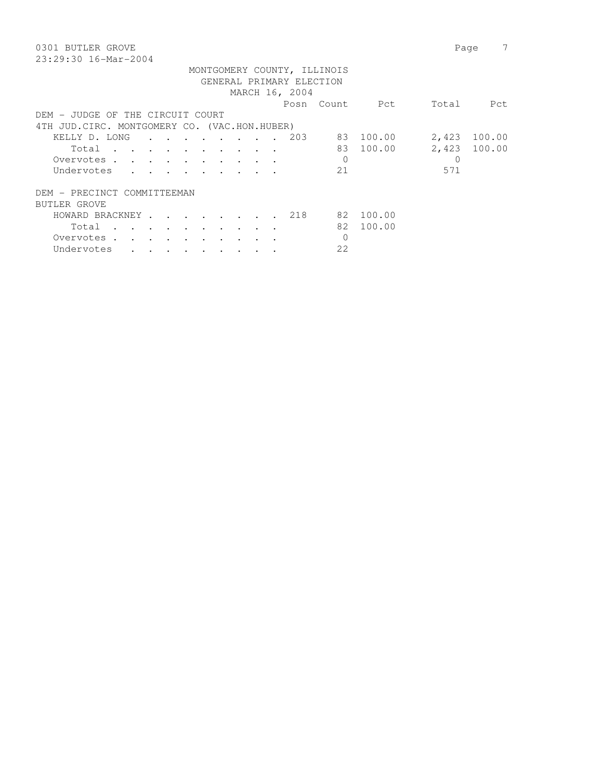| 0301 BUTLER GROVE                             |                             |                           |                          |                                   |        |                                                                                 |  |                |                             |           |          | Page         |
|-----------------------------------------------|-----------------------------|---------------------------|--------------------------|-----------------------------------|--------|---------------------------------------------------------------------------------|--|----------------|-----------------------------|-----------|----------|--------------|
| $23:29:30$ 16-Mar-2004                        |                             |                           |                          |                                   |        |                                                                                 |  |                |                             |           |          |              |
|                                               |                             |                           |                          |                                   |        |                                                                                 |  |                | MONTGOMERY COUNTY, ILLINOIS |           |          |              |
|                                               |                             |                           |                          |                                   |        |                                                                                 |  |                | GENERAL PRIMARY ELECTION    |           |          |              |
|                                               |                             |                           |                          |                                   |        |                                                                                 |  | MARCH 16, 2004 |                             |           |          |              |
|                                               |                             |                           |                          |                                   |        |                                                                                 |  |                | Posn Count                  | Pct       | Total    | Pct          |
| DEM - JUDGE OF THE CIRCUIT COURT              |                             |                           |                          |                                   |        |                                                                                 |  |                |                             |           |          |              |
| 4TH JUD. CIRC. MONTGOMERY CO. (VAC.HON.HUBER) |                             |                           |                          |                                   |        |                                                                                 |  |                |                             |           |          |              |
| KELLY D. LONG                                 |                             | $\mathbf{r} = \mathbf{r}$ |                          | $\sim$ $\sim$                     | $\sim$ | $\sim$                                                                          |  | 203            |                             | 83 100.00 | 2,423    | 100.00       |
| Total<br><b>Contract Contract Street</b>      |                             |                           |                          |                                   |        | the contract of the contract of the contract of the contract of the contract of |  |                | 83                          | 100.00    |          | 2,423 100.00 |
| Overvotes.                                    | $\sim$ $\sim$ $\sim$ $\sim$ |                           |                          |                                   |        |                                                                                 |  |                | $\mathbf 0$                 |           | $\Omega$ |              |
| Undervotes                                    |                             |                           |                          |                                   |        |                                                                                 |  |                | 21                          |           | 571      |              |
|                                               |                             |                           |                          |                                   |        |                                                                                 |  |                |                             |           |          |              |
| DEM - PRECINCT COMMITTEEMAN                   |                             |                           |                          |                                   |        |                                                                                 |  |                |                             |           |          |              |
| BUTLER GROVE                                  |                             |                           |                          |                                   |        |                                                                                 |  |                |                             |           |          |              |
| HOWARD BRACKNEY.                              |                             |                           | <b>Contract Contract</b> |                                   |        |                                                                                 |  | 218            |                             | 82 100.00 |          |              |
| Total<br>$\sim$                               |                             | $\sim$ $\sim$ $\sim$      |                          | <b>Contract Contract Contract</b> |        |                                                                                 |  |                |                             | 82 100.00 |          |              |
| Overvotes.                                    |                             |                           |                          |                                   |        |                                                                                 |  |                | 0                           |           |          |              |
| Undervotes                                    |                             |                           | $\ddot{\phantom{0}}$     | $\ddot{\phantom{0}}$              |        |                                                                                 |  |                | 22                          |           |          |              |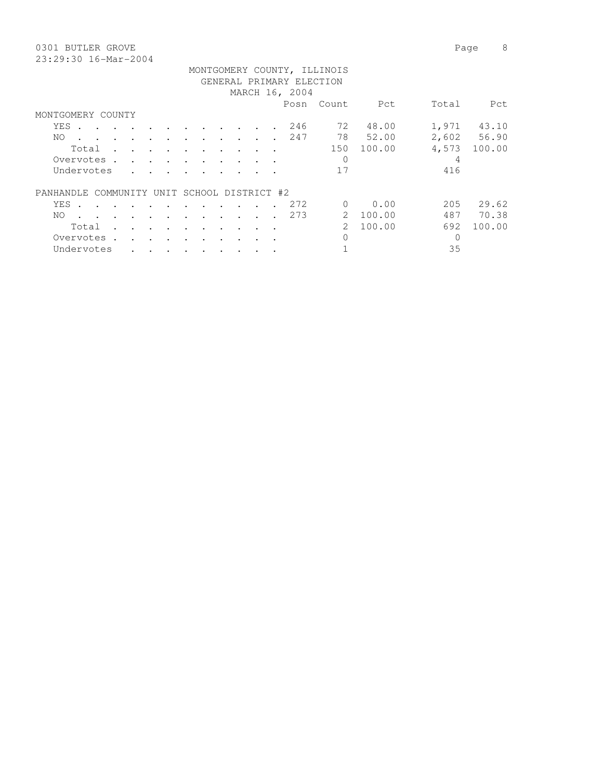0301 BUTLER GROVE Page 8 23:29:30 16-Mar-2004

|                                             |       |           |            |                                    |                      |           |                      |                      |           |           |           |                 |                | MONTGOMERY COUNTY, ILLINOIS |          |       |             |
|---------------------------------------------|-------|-----------|------------|------------------------------------|----------------------|-----------|----------------------|----------------------|-----------|-----------|-----------|-----------------|----------------|-----------------------------|----------|-------|-------------|
|                                             |       |           |            |                                    |                      |           |                      |                      |           |           |           |                 |                | GENERAL PRIMARY ELECTION    |          |       |             |
|                                             |       |           |            |                                    |                      |           |                      |                      |           |           |           |                 | MARCH 16, 2004 |                             |          |       |             |
|                                             |       |           |            |                                    |                      |           |                      |                      |           |           |           |                 |                |                             |          |       |             |
|                                             |       |           |            |                                    |                      |           |                      |                      |           |           |           |                 | Posn           | Count                       | Pct      | Total | Pct         |
| MONTGOMERY COUNTY                           |       |           |            |                                    |                      |           |                      |                      |           |           |           |                 |                |                             |          |       |             |
|                                             | YES . |           |            |                                    |                      |           |                      |                      |           |           |           |                 | 246            | 72                          | 48.00    | 1,971 | 43.10       |
|                                             | NO.   |           |            | $\sim$ $\sim$ $\sim$ $\sim$ $\sim$ |                      |           |                      |                      |           |           |           |                 | 247            | 78                          | 52.00    |       | 2,602 56.90 |
|                                             |       | Total     |            |                                    | <b>Contract</b>      | $\sim$    | $\sim$ $\sim$        | $\cdot$              | $\sim$    | $\sim$    |           | $\cdot$ $\cdot$ |                | 150                         | 100.00   | 4,573 | 100.00      |
|                                             |       |           | Overvotes. |                                    |                      | $\cdot$   | $\ddot{\phantom{a}}$ | $\ddot{\phantom{a}}$ |           |           |           |                 |                | $\Omega$                    |          | 4     |             |
|                                             |       |           | Undervotes |                                    |                      |           |                      |                      |           |           |           |                 |                | 17                          |          | 416   |             |
| PANHANDLE COMMUNITY UNIT SCHOOL DISTRICT #2 |       |           |            |                                    |                      |           |                      |                      |           |           |           |                 |                |                             |          |       |             |
|                                             |       |           |            |                                    |                      |           |                      |                      |           |           |           |                 |                |                             |          |       |             |
|                                             | YES . |           |            |                                    |                      |           |                      |                      |           |           |           |                 | 272            | $\Omega$                    | 0.00     | 205   | 29.62       |
|                                             | NO.   |           |            | <b>Contract Contract Contract</b>  |                      |           |                      |                      |           |           |           |                 | 273            |                             | 2 100.00 | 487   | 70.38       |
|                                             |       | Total     |            |                                    |                      |           |                      |                      |           |           |           |                 |                | 2                           | 100.00   | 692   | 100.00      |
|                                             |       | Overvotes |            |                                    | $\ddot{\phantom{a}}$ | $\bullet$ | $\cdot$              | $\bullet$            | $\bullet$ | $\bullet$ | $\bullet$ |                 |                | 0                           |          |       |             |

Undervotes . . . . . . . . . . 1 35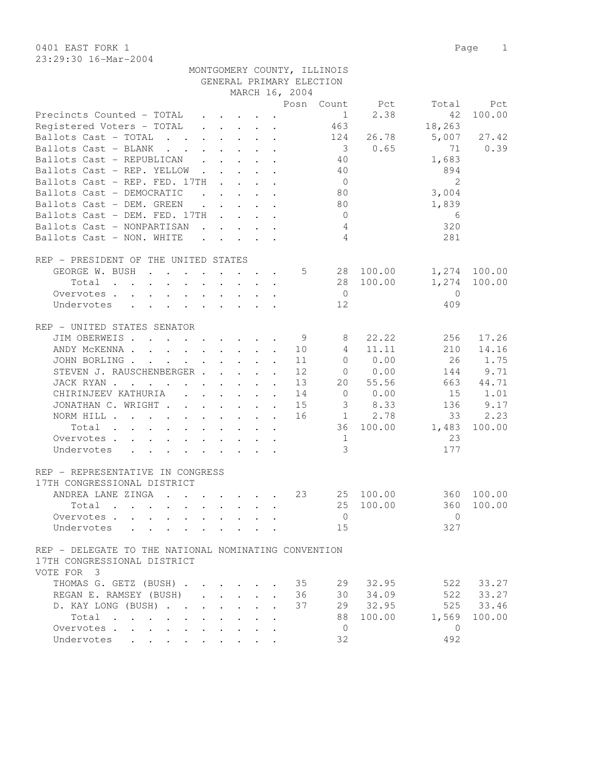23:29:30 16-Mar-2004

|                                                                                                             |                         |                                                           |              |                      |                | MONTGOMERY COUNTY, ILLINOIS<br>GENERAL PRIMARY ELECTION |           |                      |              |
|-------------------------------------------------------------------------------------------------------------|-------------------------|-----------------------------------------------------------|--------------|----------------------|----------------|---------------------------------------------------------|-----------|----------------------|--------------|
|                                                                                                             |                         |                                                           |              |                      | MARCH 16, 2004 |                                                         |           |                      |              |
|                                                                                                             |                         |                                                           |              |                      |                | Posn Count                                              | Pct       | Total                | Pct          |
| Precincts Counted - TOTAL                                                                                   |                         | $\mathbf{r}$ , $\mathbf{r}$ , $\mathbf{r}$ , $\mathbf{r}$ |              |                      |                | 1                                                       | 2.38      | 42                   | 100.00       |
| Registered Voters - TOTAL                                                                                   |                         |                                                           |              |                      |                | 463                                                     |           | 18,263               |              |
| Ballots Cast - TOTAL                                                                                        |                         |                                                           |              |                      |                |                                                         |           |                      |              |
|                                                                                                             |                         |                                                           |              |                      |                | 124                                                     | 26.78     | 5,007                | 27.42        |
| Ballots Cast - BLANK                                                                                        |                         |                                                           |              |                      |                |                                                         | 30.65     | 71                   | 0.39         |
| Ballots Cast - REPUBLICAN                                                                                   |                         |                                                           |              |                      |                | 40                                                      |           | 1,683                |              |
| Ballots Cast - REP. YELLOW                                                                                  |                         |                                                           |              |                      |                | 40                                                      |           | 894                  |              |
| Ballots Cast - REP. FED. 17TH                                                                               |                         |                                                           |              |                      |                | $\overline{0}$                                          |           | 2                    |              |
| Ballots Cast - DEMOCRATIC                                                                                   |                         |                                                           |              |                      |                | 80                                                      |           | 3,004                |              |
| Ballots Cast - DEM. GREEN                                                                                   |                         | $\mathbf{r}$ , $\mathbf{r}$ , $\mathbf{r}$ , $\mathbf{r}$ |              |                      |                | 80                                                      |           | 1,839                |              |
| Ballots Cast - DEM. FED. 17TH                                                                               |                         |                                                           |              |                      |                | $\overline{0}$                                          |           | 6                    |              |
| Ballots Cast - NONPARTISAN                                                                                  |                         |                                                           |              |                      |                | $\overline{4}$                                          |           | 320                  |              |
| Ballots Cast - NON. WHITE                                                                                   |                         |                                                           |              |                      |                | $\overline{4}$                                          |           | 281                  |              |
|                                                                                                             |                         |                                                           |              |                      |                |                                                         |           |                      |              |
| REP - PRESIDENT OF THE UNITED STATES                                                                        |                         |                                                           |              |                      |                |                                                         |           |                      |              |
| GEORGE W. BUSH                                                                                              |                         |                                                           |              |                      | $5\degree$     |                                                         | 28 100.00 |                      | 1,274 100.00 |
| Total                                                                                                       |                         |                                                           |              |                      |                |                                                         | 28 100.00 | 1,274                | 100.00       |
|                                                                                                             |                         |                                                           |              |                      |                |                                                         |           |                      |              |
| Overvotes                                                                                                   |                         |                                                           |              |                      |                | $\overline{0}$                                          |           | $\overline{0}$       |              |
| Undervotes<br>$\mathbf{r}$ , and $\mathbf{r}$ , and $\mathbf{r}$ , and $\mathbf{r}$<br>$\ddot{\phantom{0}}$ |                         |                                                           |              |                      |                | 12                                                      |           | 409                  |              |
|                                                                                                             |                         |                                                           |              |                      |                |                                                         |           |                      |              |
| REP - UNITED STATES SENATOR                                                                                 |                         |                                                           |              |                      |                |                                                         |           |                      |              |
| JIM OBERWEIS.                                                                                               |                         |                                                           |              |                      | - 9            | 8                                                       | 22.22     | 256                  | 17.26        |
| ANDY MCKENNA 10                                                                                             |                         |                                                           |              |                      |                | 4                                                       | 11.11     | 210                  | 14.16        |
| JOHN BORLING                                                                                                |                         |                                                           |              |                      | 11             | $\bigcirc$                                              | 0.00      | 26                   | 1.75         |
| STEVEN J. RAUSCHENBERGER                                                                                    |                         |                                                           |              |                      | 12             | 0                                                       | 0.00      | 144                  | 9.71         |
| JACK RYAN                                                                                                   |                         |                                                           |              |                      | 13             | 20                                                      | 55.56     | 663                  | 44.71        |
| CHIRINJEEV KATHURIA (CHIRINJEEV KATHURIA)                                                                   |                         |                                                           |              |                      | 14             | $\circ$                                                 | 0.00      | 15                   | 1.01         |
| JONATHAN C. WRIGHT                                                                                          |                         |                                                           |              | $\ddot{\phantom{a}}$ | 15             | $\mathcal{S}$                                           | 8.33      | 136                  | 9.17         |
| NORM HILL                                                                                                   |                         |                                                           |              |                      | 16             | 1                                                       | 2.78      | 33                   | 2.23         |
| Total                                                                                                       |                         |                                                           |              |                      |                |                                                         | 36 100.00 | 1,483                | 100.00       |
|                                                                                                             |                         |                                                           |              |                      |                | 1                                                       |           | 23                   |              |
| Overvotes.                                                                                                  |                         |                                                           |              |                      |                |                                                         |           |                      |              |
| Undervotes                                                                                                  |                         |                                                           |              |                      |                | $\mathcal{S}$                                           |           | 177                  |              |
|                                                                                                             |                         |                                                           |              |                      |                |                                                         |           |                      |              |
| REP - REPRESENTATIVE IN CONGRESS                                                                            |                         |                                                           |              |                      |                |                                                         |           |                      |              |
| 17TH CONGRESSIONAL DISTRICT                                                                                 |                         |                                                           |              |                      |                |                                                         |           |                      |              |
| ANDREA LANE ZINGA<br>$\cdot$ 23                                                                             |                         |                                                           |              |                      |                |                                                         | 25 100.00 |                      | 360 100.00   |
| Total .                                                                                                     |                         |                                                           |              |                      |                |                                                         |           | 25 100.00 360 100.00 |              |
| Overvotes                                                                                                   |                         |                                                           |              |                      |                | $\overline{0}$                                          |           | $\mathbf{0}$         |              |
| Undervotes<br>$\ddot{\phantom{a}}$                                                                          |                         |                                                           |              |                      |                | 15                                                      |           | 327                  |              |
|                                                                                                             |                         |                                                           |              |                      |                |                                                         |           |                      |              |
| REP - DELEGATE TO THE NATIONAL NOMINATING CONVENTION                                                        |                         |                                                           |              |                      |                |                                                         |           |                      |              |
| 17TH CONGRESSIONAL DISTRICT                                                                                 |                         |                                                           |              |                      |                |                                                         |           |                      |              |
| VOTE FOR 3                                                                                                  |                         |                                                           |              |                      |                |                                                         |           |                      |              |
| THOMAS G. GETZ (BUSH)                                                                                       |                         |                                                           |              |                      | 35             | 29                                                      | 32.95     | 522                  | 33.27        |
|                                                                                                             |                         |                                                           |              |                      |                |                                                         |           |                      | 522 33.27    |
| REGAN E. RAMSEY (BUSH)                                                                                      |                         | $\mathbf{L} = \mathbf{L} \times \mathbf{L}$               |              |                      | 36             |                                                         | 30 34.09  |                      |              |
| D. KAY LONG (BUSH)                                                                                          | $\cdot$ $\cdot$ $\cdot$ | $\mathbf{L}$                                              |              |                      | 37             |                                                         | 29 32.95  | 525                  | 33.46        |
| Total                                                                                                       |                         |                                                           | $\mathbf{L}$ | $\mathbf{r}$         |                | 88                                                      | 100.00    | 1,569                | 100.00       |
| Overvotes.                                                                                                  |                         |                                                           |              | $\ddot{\phantom{a}}$ |                | $\overline{0}$                                          |           | $\overline{0}$       |              |
| Undervotes                                                                                                  |                         |                                                           |              |                      |                | 32                                                      |           | 492                  |              |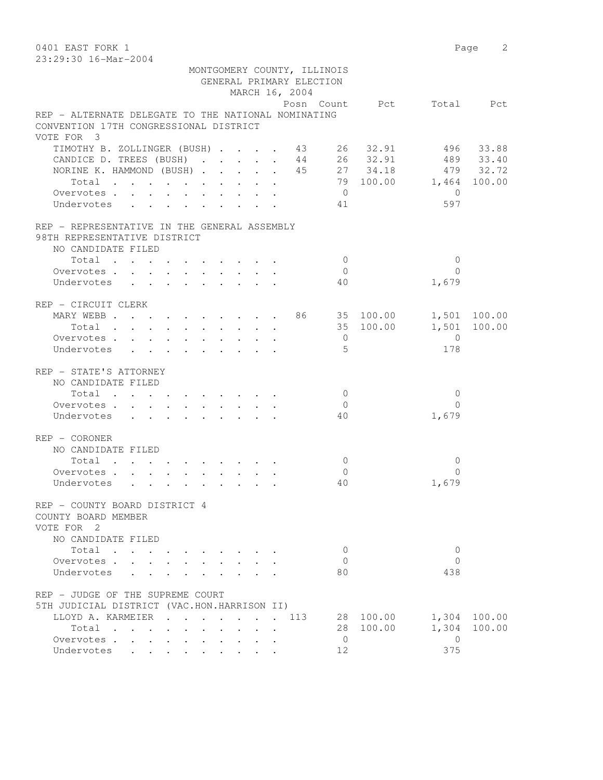0401 EAST FORK 1 Page 2 23:29:30 16-Mar-2004 MONTGOMERY COUNTY, ILLINOIS GENERAL PRIMARY ELECTION MARCH 16, 2004 Posn Count Pct Total Pct REP - ALTERNATE DELEGATE TO THE NATIONAL NOMINATING CONVENTION 17TH CONGRESSIONAL DISTRICT VOTE FOR 3 TIMOTHY B. ZOLLINGER (BUSH) . . . . 43 26 32.91 496 33.88 CANDICE D. TREES (BUSH) . . . . . 44 26 32.91 489 33.40 NORINE K. HAMMOND (BUSH) . . . . . 45 27 34.18 479 32.72 Total . . . . . . . . . . 79 100.00 1,464 100.00 Overvotes . . . . . . . . . . 0 0 Undervotes . . . . . . . . 41 597 REP - REPRESENTATIVE IN THE GENERAL ASSEMBLY 98TH REPRESENTATIVE DISTRICT NO CANDIDATE FILED 10tal . . . . . . . . . . . . 0<br>ervotes . . . . . . . . . . . 0 0<br>dervotes . . . . . . . . . . 40 1,679 Overvotes . . . . . . . . . . Undervotes . . . . . . . . . 40 REP - CIRCUIT CLERK MARY WEBB . . . . . . . . . 86 35 100.00 1,501 100.00 Total . . . . . . . . . . 35 100.00 1,501 100.00 Overvotes . . . . . . . . . . 0 0 Undervotes . . . . . . . . . 5 178 REP - STATE'S ATTORNEY NO CANDIDATE FILED  $\texttt{Total} \quad . \quad . \quad . \quad . \quad . \quad . \quad . \qquad . \qquad 0 \qquad \qquad 0$  Overvotes . . . . . . . . . . 0 0 Undervotes . . . . . . . . . 40 REP - CORONER NO CANDIDATE FILED  $\texttt{Total} \quad . \quad . \quad . \quad . \quad . \quad . \quad . \quad . \qquad 0 \qquad \qquad 0$ Overvotes . . . . . . . . . . . 0 0<br>
Undervotes . . . . . . . . . . 40 0 1,679 Undervotes . . . . . . . . . 40 REP - COUNTY BOARD DISTRICT 4 COUNTY BOARD MEMBER VOTE FOR 2 NO CANDIDATE FILED Total . . . . . . . . . . 0 0 Overvotes . . . . . . . . . . 0 Undervotes . . . . . . . . . 80 438 REP - JUDGE OF THE SUPREME COURT 5TH JUDICIAL DISTRICT (VAC.HON.HARRISON II) LLOYD A. KARMEIER . . . . . . . 113 28 100.00 1,304 100.00 Total . . . . . . . . . . 28 100.00 1,304 100.00 Overvotes . . . . . . . . . . . 0 0<br>
Undervotes . . . . . . . . . . 12 375 Undervotes . . . . . . . . . 12 375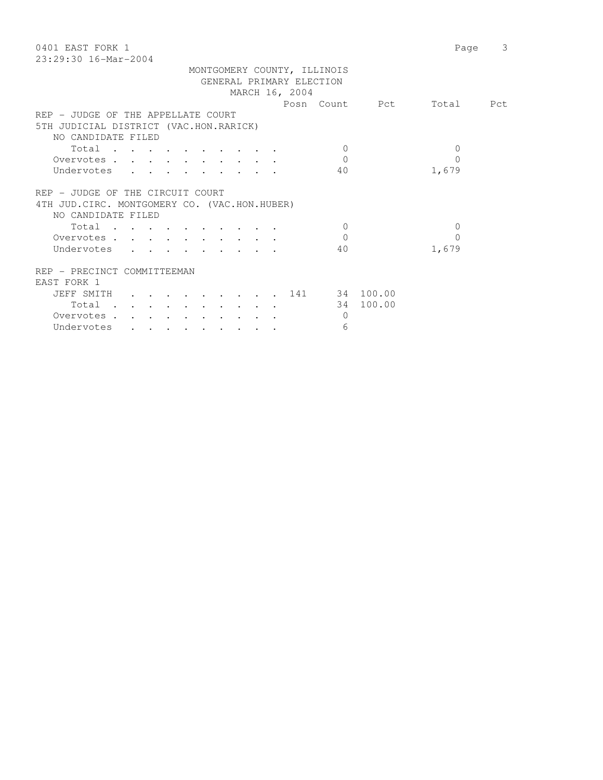| 0401 EAST FORK 1<br>$23:29:30$ 16-Mar-2004    | Page           | 3         |
|-----------------------------------------------|----------------|-----------|
| MONTGOMERY COUNTY, ILLINOIS                   |                |           |
| GENERAL PRIMARY ELECTION                      |                |           |
| MARCH 16, 2004                                |                |           |
|                                               | Posn Count Pct | Total Pct |
| REP - JUDGE OF THE APPELLATE COURT            |                |           |
| 5TH JUDICIAL DISTRICT (VAC.HON.RARICK)        |                |           |
| NO CANDIDATE FILED                            |                |           |
| Total<br>$\Omega$                             | 0              |           |
| $\Omega$<br>Overvotes                         | $\Omega$       |           |
| 40                                            | 1,679          |           |
| Undervotes                                    |                |           |
| REP - JUDGE OF THE CIRCUIT COURT              |                |           |
| 4TH JUD. CIRC. MONTGOMERY CO. (VAC.HON.HUBER) |                |           |
| NO CANDIDATE FILED                            |                |           |
| $\Omega$<br>Total                             | $\Omega$       |           |
| Overvotes<br>$\mathbf{0}$                     | $\Omega$       |           |
| Undervotes<br>40                              | 1,679          |           |
|                                               |                |           |
| REP - PRECINCT COMMITTEEMAN                   |                |           |
| EAST FORK 1                                   |                |           |
| JEFF SMITH 141 34 100.00                      |                |           |
| Total                                         | 34 100.00      |           |
| Overvotes.<br>$\Omega$                        |                |           |
| Undervotes<br>6                               |                |           |
|                                               |                |           |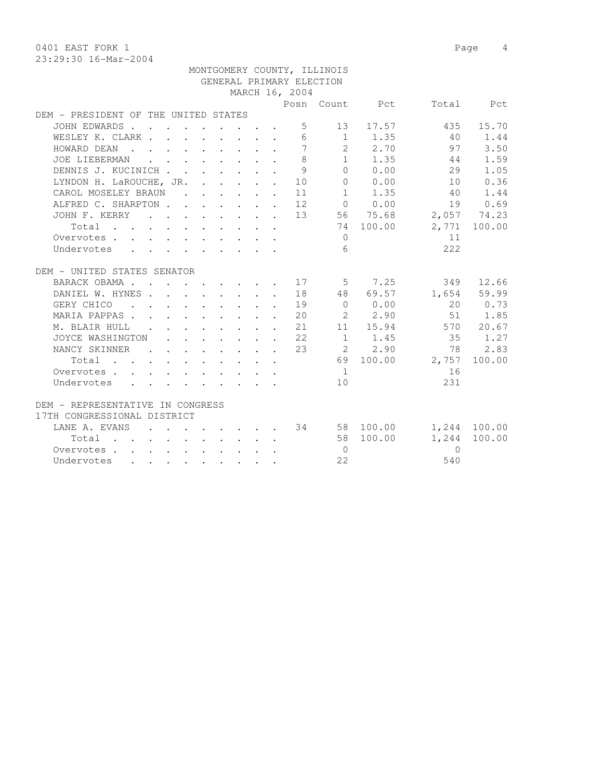0401 EAST FORK 1 Page 4

|                                                                                                          |                          |  |                                                                                                                                   |  |                                                                       |                | MONTGOMERY COUNTY, ILLINOIS |                                                 |                 |              |
|----------------------------------------------------------------------------------------------------------|--------------------------|--|-----------------------------------------------------------------------------------------------------------------------------------|--|-----------------------------------------------------------------------|----------------|-----------------------------|-------------------------------------------------|-----------------|--------------|
|                                                                                                          |                          |  |                                                                                                                                   |  |                                                                       |                | GENERAL PRIMARY ELECTION    |                                                 |                 |              |
|                                                                                                          |                          |  |                                                                                                                                   |  |                                                                       | MARCH 16, 2004 |                             |                                                 |                 |              |
|                                                                                                          |                          |  |                                                                                                                                   |  |                                                                       |                |                             | Posn Count Pct                                  |                 | Total Pct    |
| DEM - PRESIDENT OF THE UNITED STATES                                                                     |                          |  |                                                                                                                                   |  |                                                                       |                |                             |                                                 |                 |              |
| JOHN EDWARDS.                                                                                            |                          |  |                                                                                                                                   |  |                                                                       | 5 <sup>5</sup> |                             | 13 17.57                                        | 435             | 15.70        |
| WESLEY K. CLARK                                                                                          |                          |  |                                                                                                                                   |  |                                                                       | 6              |                             | $1 \t 1.35$                                     | 40              | 1.44         |
| HOWARD DEAN<br>$\mathbf{r}$ . The state of the state $\mathbf{r}$ is the state of the state $\mathbf{r}$ |                          |  |                                                                                                                                   |  |                                                                       | $\overline{7}$ |                             | 2 2.70                                          | 97              | 3.50         |
| JOE LIEBERMAN                                                                                            |                          |  | $\mathbf{r}$ , $\mathbf{r}$ , $\mathbf{r}$ , $\mathbf{r}$ , $\mathbf{r}$ , $\mathbf{r}$                                           |  | $\sim$                                                                | 8              |                             | 1 1.35                                          | 44              | 1.59         |
| DENNIS J. KUCINICH                                                                                       |                          |  |                                                                                                                                   |  |                                                                       | 9              |                             | 0 0.00                                          | 29              | 1.05         |
| LYNDON H. LaROUCHE, JR. 10                                                                               |                          |  |                                                                                                                                   |  |                                                                       |                |                             | 0 0.00                                          | 10              | 0.36         |
| CAROL MOSELEY BRAUN 11                                                                                   |                          |  |                                                                                                                                   |  |                                                                       |                |                             | $1 \t 1.35$                                     | 40              | 1.44         |
| ALFRED C. SHARPTON 12                                                                                    |                          |  |                                                                                                                                   |  |                                                                       |                |                             | $0 \qquad 0.00$                                 | 19              | 0.69         |
| JOHN F. KERRY                                                                                            |                          |  |                                                                                                                                   |  |                                                                       |                |                             | $\cdot$ 13 56 75.68                             |                 | 2,057 74.23  |
| Total                                                                                                    |                          |  |                                                                                                                                   |  |                                                                       |                |                             | 74 100.00                                       |                 | 2,771 100.00 |
| Overvotes                                                                                                |                          |  |                                                                                                                                   |  |                                                                       |                | $\Omega$                    |                                                 | 11              |              |
| Undervotes                                                                                               |                          |  |                                                                                                                                   |  |                                                                       |                | 6                           |                                                 | 222             |              |
|                                                                                                          |                          |  |                                                                                                                                   |  |                                                                       |                |                             |                                                 |                 |              |
| DEM - UNITED STATES SENATOR                                                                              |                          |  |                                                                                                                                   |  |                                                                       |                |                             |                                                 |                 |              |
| BARACK OBAMA.                                                                                            |                          |  |                                                                                                                                   |  |                                                                       | . 17           |                             | 5 7.25                                          | 349             | 12.66        |
| DANIEL W. HYNES 18                                                                                       |                          |  |                                                                                                                                   |  |                                                                       |                |                             | 48 69.57                                        |                 | 1,654 59.99  |
| . 19<br>GERY CHICO                                                                                       |                          |  |                                                                                                                                   |  |                                                                       |                |                             | $\begin{array}{ccc} & & 0 & & 0.00 \end{array}$ |                 | 20 0.73      |
| MARIA PAPPAS. 20                                                                                         |                          |  |                                                                                                                                   |  |                                                                       |                |                             | 2 2.90                                          |                 | 51 1.85      |
| M. BLAIR HULL                                                                                            |                          |  |                                                                                                                                   |  |                                                                       | . 21           |                             | 11 15.94                                        |                 | 570 20.67    |
| JOYCE WASHINGTON                                                                                         |                          |  |                                                                                                                                   |  | and a strong control of the state of                                  | 22             |                             | 1 1.45                                          | 35              | 1.27         |
| NANCY SKINNER                                                                                            | <b>Contract Contract</b> |  |                                                                                                                                   |  | $\mathbf{r}$ , and $\mathbf{r}$ , and $\mathbf{r}$ , and $\mathbf{r}$ | 23             |                             | 2 2.90                                          | 78              | 2.83         |
| Total                                                                                                    |                          |  |                                                                                                                                   |  |                                                                       |                |                             |                                                 | 69 100.00 2,757 | 100.00       |
| Overvotes.                                                                                               |                          |  | $\mathbf{r} = \mathbf{r} + \mathbf{r} + \mathbf{r} + \mathbf{r} + \mathbf{r} + \mathbf{r} + \mathbf{r} + \mathbf{r} + \mathbf{r}$ |  |                                                                       |                | $\frac{1}{2}$               |                                                 | 16              |              |
| Undervotes                                                                                               |                          |  | $\mathcal{A}=\mathcal{A}=\mathcal{A}=\mathcal{A}=\mathcal{A}=\mathcal{A}=\mathcal{A}=\mathcal{A}=\mathcal{A}$                     |  |                                                                       |                | 10                          |                                                 | 231             |              |
|                                                                                                          |                          |  |                                                                                                                                   |  |                                                                       |                |                             |                                                 |                 |              |
| DEM - REPRESENTATIVE IN CONGRESS                                                                         |                          |  |                                                                                                                                   |  |                                                                       |                |                             |                                                 |                 |              |
| 17TH CONGRESSIONAL DISTRICT                                                                              |                          |  |                                                                                                                                   |  |                                                                       |                |                             |                                                 |                 |              |
| LANE A. EVANS                                                                                            |                          |  |                                                                                                                                   |  |                                                                       |                |                             | $\cdot$ 34 58 100.00                            |                 | 1,244 100.00 |
| Total                                                                                                    |                          |  |                                                                                                                                   |  |                                                                       |                |                             | 58 100.00                                       | 1,244           | 100.00       |
| Overvotes                                                                                                |                          |  |                                                                                                                                   |  |                                                                       |                | $\overline{0}$              |                                                 | $\Omega$        |              |
| Undervotes                                                                                               |                          |  |                                                                                                                                   |  |                                                                       |                | 22                          |                                                 | 540             |              |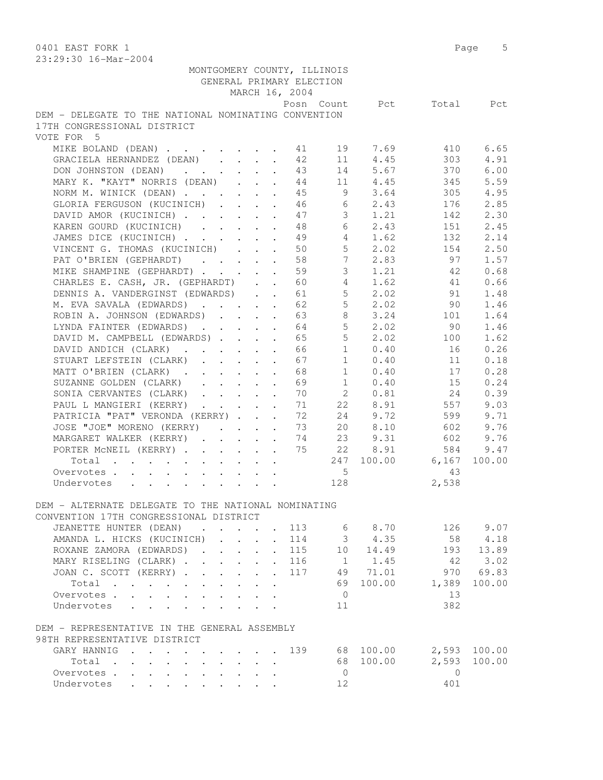0401 EAST FORK 1 Page 5 23:29:30 16-Mar-2004 MONTGOMERY COUNTY, ILLINOIS GENERAL PRIMARY ELECTION MARCH 16, 2004 Posn Count Pct Total Pct DEM - DELEGATE TO THE NATIONAL NOMINATING CONVENTION 17TH CONGRESSIONAL DISTRICT VOTE FOR 5 MIKE BOLAND (DEAN) . . . . . . . 41 19 7.69 410 6.65 GRACIELA HERNANDEZ (DEAN) . . . . 42 11 4.45 303 4.91 DON JOHNSTON (DEAN) . . . . . . 43 14 5.67 370 6.00 MARY K. "KAYT" NORRIS (DEAN) . . . 44 11 4.45 345 5.59 NORM M. WINICK (DEAN) . . . . . . 45 9 3.64 305 4.95 GLORIA FERGUSON (KUCINICH) . . . . 46 6 2.43 176 2.85 DAVID AMOR (KUCINICH) . . . . . 47 3 1.21 142 2.30 KAREN GOURD (KUCINICH) . . . . 48 6 2.43 151 2.45 JAMES DICE (KUCINICH) . . . . . . 49 4 1.62 132 2.14 VINCENT G. THOMAS (KUCINICH) . . . 50 5 2.02 154 2.50 PAT O'BRIEN (GEPHARDT) . . . . 58 7 2.83 97 1.57 MIKE SHAMPINE (GEPHARDT) . . . . . 59 3 1.21 42 0.68 CHARLES E. CASH, JR. (GEPHARDT) . . 60 4 1.62 41 0.66 DENNIS A. VANDERGINST (EDWARDS) . . 61 5 2.02 91 1.48 M. EVA SAVALA (EDWARDS) . . . . . 62 5 2.02 90 1.46 ROBIN A. JOHNSON (EDWARDS) . . . . 63 8 3.24 101 1.64 LYNDA FAINTER (EDWARDS) . . . . . 64 5 2.02 90 1.46 DAVID M. CAMPBELL (EDWARDS) . . . . 65 5 2.02 100 1.62 DAVID ANDICH (CLARK) . . . . . . 66 1 0.40 16 0.26 STUART LEFSTEIN (CLARK) . . . . . 67 1 0.40 11 0.18 MATT O'BRIEN (CLARK) . . . . . . 68 1 0.40 17 0.28 SUZANNE GOLDEN (CLARK) . . . . . 69 1 0.40 15 0.24 SONIA CERVANTES (CLARK) . . . . . 70 2 0.81 24 0.39 PAUL L MANGIERI (KERRY) . . . . . 71 22 8.91 557 9.03 PATRICIA "PAT" VERONDA (KERRY) . . . 72 24 9.72 599 9.71 JOSE "JOE" MORENO (KERRY) . . . . 73 20 8.10 602 9.76 MARGARET WALKER (KERRY) . . . . . 74 23 9.31 602 9.76 PORTER McNEIL (KERRY) . . . . . . 75 22 8.91 584 9.47 Total . . . . . . . . . . 247 100.00 6,167 100.00 Overvotes . . . . . . . . . . . . 5 43 Undervotes . . . . . . . . . 128 2,538 DEM - ALTERNATE DELEGATE TO THE NATIONAL NOMINATING CONVENTION 17TH CONGRESSIONAL DISTRICT JEANETTE HUNTER (DEAN) . . . . 113 6 8.70 126 9.07 AMANDA L. HICKS (KUCINICH) . . . . 114 3 4.35 58 4.18 ROXANE ZAMORA (EDWARDS) . . . . . 115 10 14.49 193 13.89 MARY RISELING (CLARK) . . . . . . 116 1 1.45 42 3.02 JOAN C. SCOTT (KERRY) . . . . . . 117 49 71.01 970 69.83 Total . . . . . . . . . . 69 100.00 1,389 100.00 Overvotes . . . . . . . . . . . 0 13 Undervotes . . . . . . . . . 11 382 DEM - REPRESENTATIVE IN THE GENERAL ASSEMBLY 98TH REPRESENTATIVE DISTRICT GARY HANNIG . . . . . . . . . 139 68 100.00 2,593 100.00 Total . . . . . . . . . . 68 100.00 2,593 100.00 Overvotes . . . . . . . . . . 0 0 Undervotes . . . . . . . . . 12 401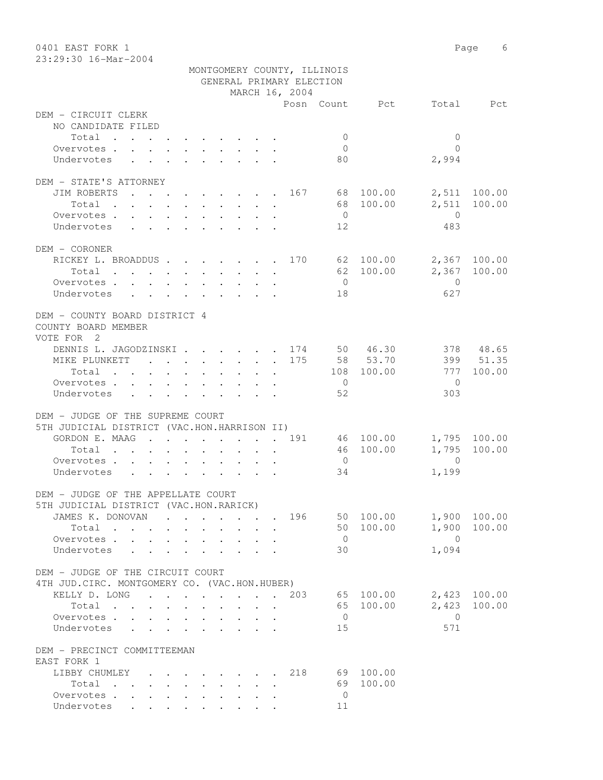| 0401 EAST FORK 1<br>23:29:30 16-Mar-2004                                     |                                                        |                                                         |                                                         |                | Page                | 6         |
|------------------------------------------------------------------------------|--------------------------------------------------------|---------------------------------------------------------|---------------------------------------------------------|----------------|---------------------|-----------|
|                                                                              |                                                        |                                                         | MONTGOMERY COUNTY, ILLINOIS<br>GENERAL PRIMARY ELECTION |                |                     |           |
|                                                                              |                                                        | MARCH 16, 2004                                          |                                                         |                |                     |           |
|                                                                              |                                                        |                                                         |                                                         | Posn Count Pct | Total               | Pct       |
| DEM - CIRCUIT CLERK<br>NO CANDIDATE FILED                                    |                                                        |                                                         |                                                         |                |                     |           |
| Total                                                                        |                                                        |                                                         | $\mathbf{0}$                                            |                | $\mathbf{0}$        |           |
| Overvotes.                                                                   |                                                        |                                                         | 0                                                       |                | $\Omega$            |           |
| Undervotes                                                                   |                                                        |                                                         | 80                                                      |                | 2,994               |           |
| DEM - STATE'S ATTORNEY                                                       |                                                        |                                                         |                                                         |                |                     |           |
| JIM ROBERTS<br>. 167                                                         |                                                        |                                                         |                                                         | 68 100.00      | 2,511               | 100.00    |
| Total                                                                        |                                                        |                                                         |                                                         | 68 100.00      | 2,511               | 100.00    |
| Overvotes                                                                    |                                                        |                                                         | $\overline{0}$                                          |                | $\overline{0}$      |           |
| Undervotes                                                                   |                                                        |                                                         | 12                                                      |                | 483                 |           |
| DEM - CORONER                                                                |                                                        |                                                         |                                                         |                |                     |           |
| RICKEY L. BROADDUS 170 62 100.00                                             |                                                        |                                                         |                                                         |                | 2,367 100.00        |           |
| Total                                                                        |                                                        |                                                         |                                                         | 62 100.00      | 2,367               | 100.00    |
| Overvotes                                                                    |                                                        |                                                         | $\overline{0}$                                          |                | $\mathbf{0}$        |           |
| Undervotes                                                                   |                                                        |                                                         | 18                                                      |                | 627                 |           |
| DEM - COUNTY BOARD DISTRICT 4<br>COUNTY BOARD MEMBER<br>VOTE FOR 2           |                                                        |                                                         |                                                         |                |                     |           |
| DENNIS L. JAGODZINSKI 174 50 46.30                                           |                                                        |                                                         |                                                         |                |                     | 378 48.65 |
| MIKE PLUNKETT 175                                                            |                                                        |                                                         |                                                         | 58 53.70       |                     | 399 51.35 |
| Total                                                                        |                                                        |                                                         |                                                         | 108 100.00     | 777                 | 100.00    |
| Overvotes.                                                                   |                                                        |                                                         | $\overline{0}$                                          |                | $\Omega$            |           |
| Undervotes                                                                   |                                                        |                                                         | 52                                                      |                | 303                 |           |
| DEM - JUDGE OF THE SUPREME COURT                                             |                                                        |                                                         |                                                         |                |                     |           |
| 5TH JUDICIAL DISTRICT (VAC.HON.HARRISON II)                                  |                                                        |                                                         |                                                         |                |                     |           |
| GORDON E. MAAG 191                                                           |                                                        |                                                         |                                                         | 46 100.00      | 1,795 100.00        |           |
| Total                                                                        |                                                        |                                                         |                                                         | 46 100.00      | 1,795               | 100.00    |
| Overvotes                                                                    |                                                        |                                                         | $\overline{0}$                                          |                | $\Omega$            |           |
| Undervotes                                                                   |                                                        |                                                         | 34                                                      |                | 1,199               |           |
| DEM - JUDGE OF THE APPELLATE COURT<br>5TH JUDICIAL DISTRICT (VAC.HON.RARICK) |                                                        |                                                         |                                                         |                |                     |           |
| JAMES K. DONOVAN 196 50 100.00                                               |                                                        |                                                         |                                                         |                | 1,900 100.00        |           |
| Total                                                                        |                                                        |                                                         |                                                         | 50 100.00      | 1,900 100.00        |           |
| Overvotes<br>$\ddot{\phantom{0}}$<br>Undervotes                              | $\mathbf{L}$<br>$\mathbf{L}$<br>$\mathbf{r}$<br>$\sim$ | $\mathbf{L}$<br>$\mathbf{r}$                            | $\overline{0}$<br>30                                    |                | $\bigcirc$<br>1,094 |           |
|                                                                              |                                                        |                                                         |                                                         |                |                     |           |
| DEM - JUDGE OF THE CIRCUIT COURT                                             |                                                        |                                                         |                                                         |                |                     |           |
| 4TH JUD. CIRC. MONTGOMERY CO. (VAC.HON.HUBER)<br>KELLY D. LONG               | . 203                                                  |                                                         |                                                         | 65 100.00      | 2,423 100.00        |           |
| Total                                                                        |                                                        | $\cdot$ $\cdot$ $\cdot$ $\cdot$                         |                                                         | 65 100.00      | 2,423               | 100.00    |
| Overvotes                                                                    |                                                        |                                                         | $\overline{0}$                                          |                | $\overline{0}$      |           |
| Undervotes<br>$\mathbf{L}$<br>$\sim$                                         |                                                        | $\mathbf{L}^{\text{max}}$ and $\mathbf{L}^{\text{max}}$ | 15                                                      |                | 571                 |           |
| DEM - PRECINCT COMMITTEEMAN                                                  |                                                        |                                                         |                                                         |                |                     |           |
| EAST FORK 1                                                                  |                                                        |                                                         |                                                         |                |                     |           |
| LIBBY CHUMLEY                                                                |                                                        |                                                         | . 218 69 100.00                                         |                |                     |           |
| Total                                                                        |                                                        |                                                         |                                                         | 69 100.00      |                     |           |
| Overvotes                                                                    |                                                        |                                                         | $\overline{0}$                                          |                |                     |           |
| Undervotes                                                                   |                                                        |                                                         | 11                                                      |                |                     |           |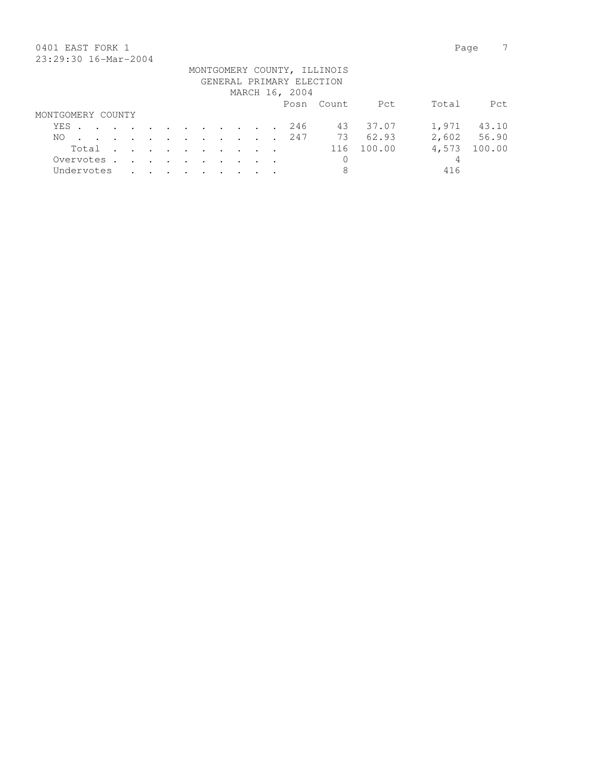## 0401 EAST FORK 1 Page 7 23:29:30 16-Mar-2004

| 40.47.00 IV HUL 4001 |  |  |  |  |  |                          |                             |                |       |             |
|----------------------|--|--|--|--|--|--------------------------|-----------------------------|----------------|-------|-------------|
|                      |  |  |  |  |  | GENERAL PRIMARY ELECTION | MONTGOMERY COUNTY, ILLINOIS |                |       |             |
|                      |  |  |  |  |  | MARCH 16, 2004           |                             |                |       |             |
|                      |  |  |  |  |  |                          | Posn Count                  | Pct            | Total | Pct         |
| MONTGOMERY COUNTY    |  |  |  |  |  |                          |                             |                |       |             |
| YES. 246             |  |  |  |  |  |                          |                             | 43 37.07       | 1,971 | 43.10       |
| NO.                  |  |  |  |  |  |                          |                             | . 247 73 62.93 |       | 2,602 56.90 |
| Total                |  |  |  |  |  |                          |                             | 116 100.00     | 4,573 | 100.00      |
| Overvotes            |  |  |  |  |  |                          | $\mathbf{0}$                |                | 4     |             |
| Undervotes           |  |  |  |  |  |                          | 8                           |                | 416   |             |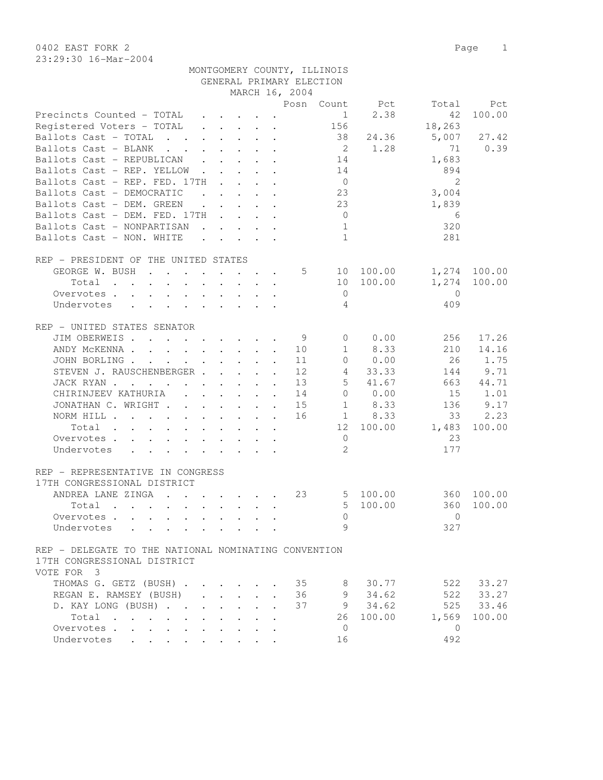0402 EAST FORK 2 Page 1 23:29:30 16-Mar-2004

| 23:29:30 16-Mar-2004                       |                             |                |            |       |                |
|--------------------------------------------|-----------------------------|----------------|------------|-------|----------------|
|                                            | MONTGOMERY COUNTY, ILLINOIS |                |            |       |                |
|                                            | GENERAL PRIMARY ELECTION    |                |            |       |                |
|                                            |                             | MARCH 16, 2004 |            |       |                |
|                                            |                             |                | Posn Count | - Pot | Tota           |
|                                            |                             |                |            | 2.38  | $\overline{4}$ |
| Reqistered Voters – TOTAL    .  .  .  .  . |                             |                | 156        |       | 18,26          |

|                                                                                                                                                                                                                                                         |                          |                                                           |                                                                                                                                                                                                                                        |                      | Posn | Count          | Pct                      | Total          | Pct    |
|---------------------------------------------------------------------------------------------------------------------------------------------------------------------------------------------------------------------------------------------------------|--------------------------|-----------------------------------------------------------|----------------------------------------------------------------------------------------------------------------------------------------------------------------------------------------------------------------------------------------|----------------------|------|----------------|--------------------------|----------------|--------|
| Precincts Counted - TOTAL                                                                                                                                                                                                                               |                          |                                                           |                                                                                                                                                                                                                                        |                      |      | $\mathbf{1}$   | 2.38                     | 42             | 100.00 |
| Registered Voters - TOTAL                                                                                                                                                                                                                               |                          | $\mathbf{r}$ , $\mathbf{r}$ , $\mathbf{r}$ , $\mathbf{r}$ |                                                                                                                                                                                                                                        |                      |      | 156            |                          | 18,263         |        |
| Ballots Cast - TOTAL                                                                                                                                                                                                                                    |                          | $\ddot{\phantom{a}}$                                      |                                                                                                                                                                                                                                        |                      |      | 38             | 24.36                    | 5,007          | 27.42  |
| Ballots Cast - BLANK<br>$\mathbf{r}$ , $\mathbf{r}$ , $\mathbf{r}$                                                                                                                                                                                      |                          |                                                           |                                                                                                                                                                                                                                        |                      |      | $\overline{2}$ | 1.28                     | 71             | 0.39   |
| Ballots Cast - REPUBLICAN<br>$\mathbf{L}$                                                                                                                                                                                                               | $\ddot{\phantom{0}}$     |                                                           |                                                                                                                                                                                                                                        |                      |      | 14             |                          | 1,683          |        |
| Ballots Cast - REP. YELLOW<br>$\ddot{\phantom{a}}$                                                                                                                                                                                                      | $\mathbf{L}$             |                                                           | $\mathbf{L} = \mathbf{L} \mathbf{L} + \mathbf{L} \mathbf{L}$                                                                                                                                                                           |                      |      | 14             |                          | 894            |        |
| Ballots Cast - REP. FED. 17TH                                                                                                                                                                                                                           |                          |                                                           | $\cdot$ $\cdot$ $\cdot$ $\cdot$                                                                                                                                                                                                        |                      |      | $\overline{0}$ |                          | 2              |        |
| Ballots Cast - DEMOCRATIC                                                                                                                                                                                                                               |                          | $\ddot{\phantom{a}}$                                      |                                                                                                                                                                                                                                        |                      |      | 23             |                          | 3,004          |        |
| Ballots Cast - DEM. GREEN                                                                                                                                                                                                                               | $\cdot$ $\cdot$          |                                                           | $\ddot{\phantom{a}}$ . The contract of the contract of the contract of the contract of the contract of the contract of the contract of the contract of the contract of the contract of the contract of the contract of the contract of |                      |      | 23             |                          | 1,839          |        |
| Ballots Cast - DEM. FED. 17TH .                                                                                                                                                                                                                         |                          | $\ddot{\phantom{0}}$                                      | $\mathbf{L} = \mathbf{L}$                                                                                                                                                                                                              |                      |      | $\overline{0}$ |                          | 6              |        |
| Ballots Cast - NONPARTISAN                                                                                                                                                                                                                              |                          |                                                           |                                                                                                                                                                                                                                        |                      |      | 1              |                          | 320            |        |
| Ballots Cast - NON. WHITE                                                                                                                                                                                                                               |                          | $\mathbf{r} = \mathbf{r} - \mathbf{r}$                    |                                                                                                                                                                                                                                        |                      |      | $\mathbf{1}$   |                          | 281            |        |
|                                                                                                                                                                                                                                                         |                          |                                                           |                                                                                                                                                                                                                                        |                      |      |                |                          |                |        |
| REP - PRESIDENT OF THE UNITED STATES                                                                                                                                                                                                                    |                          |                                                           |                                                                                                                                                                                                                                        |                      |      |                |                          |                |        |
| GEORGE W. BUSH<br>$\mathcal{A}$ . The set of the set of the set of the set of the set of the set of the set of the set of the set of the set of the set of the set of the set of the set of the set of the set of the set of the set of the set of t    |                          |                                                           |                                                                                                                                                                                                                                        |                      | 5    |                | 10 100.00                | 1,274          | 100.00 |
| Total<br>$\mathbf{r}$ , and $\mathbf{r}$ , and $\mathbf{r}$ , and $\mathbf{r}$ , and $\mathbf{r}$                                                                                                                                                       |                          |                                                           |                                                                                                                                                                                                                                        |                      |      | 10             | 100.00                   | 1,274          | 100.00 |
| Overvotes                                                                                                                                                                                                                                               |                          |                                                           |                                                                                                                                                                                                                                        |                      |      | $\circ$        |                          | $\Omega$       |        |
| Undervotes                                                                                                                                                                                                                                              |                          |                                                           |                                                                                                                                                                                                                                        |                      |      | 4              |                          | 409            |        |
|                                                                                                                                                                                                                                                         |                          |                                                           |                                                                                                                                                                                                                                        |                      |      |                |                          |                |        |
| REP - UNITED STATES SENATOR                                                                                                                                                                                                                             |                          |                                                           |                                                                                                                                                                                                                                        |                      |      |                |                          |                |        |
| JIM OBERWEIS                                                                                                                                                                                                                                            |                          |                                                           |                                                                                                                                                                                                                                        |                      | - 9  | $\overline{0}$ | 0.00                     | 256            | 17.26  |
| ANDY MCKENNA.<br>$\mathbf{L} = \mathbf{L} \mathbf{L} \mathbf{L}$<br>$\ddot{\phantom{a}}$                                                                                                                                                                |                          | $\mathbf{L}$ . The set of $\mathbf{L}$                    | $\mathbf{L}$                                                                                                                                                                                                                           |                      | 10   | $\mathbf{1}$   | 8.33                     | 210            | 14.16  |
| JOHN BORLING.<br>$\mathbf{L}^{\text{max}}$<br>$\ddot{\phantom{0}}$                                                                                                                                                                                      | $\ddot{\phantom{0}}$     | $\sim$                                                    | $\sim$                                                                                                                                                                                                                                 |                      | 11   | $\overline{0}$ | 0.00                     | 26             | 1.75   |
| STEVEN J. RAUSCHENBERGER.                                                                                                                                                                                                                               |                          | $\sim$ $\sim$ $\sim$ $\sim$ $\sim$                        |                                                                                                                                                                                                                                        | $\mathbf{r}$         | 12   | 4              | 33.33                    | 144            | 9.71   |
| JACK RYAN.<br>$\mathbf{r}$ , and $\mathbf{r}$ , and $\mathbf{r}$ , and $\mathbf{r}$                                                                                                                                                                     |                          |                                                           |                                                                                                                                                                                                                                        |                      | 13   | 5              | 41.67                    | 663            | 44.71  |
| CHIRINJEEV KATHURIA<br>$\cdot$ $\cdot$ $\cdot$ $\cdot$ $\cdot$ $\cdot$ $\cdot$                                                                                                                                                                          |                          |                                                           |                                                                                                                                                                                                                                        | $\ddot{\phantom{a}}$ | 14   | $\circ$        | 0.00                     | 15             | 1.01   |
| JONATHAN C. WRIGHT                                                                                                                                                                                                                                      |                          |                                                           |                                                                                                                                                                                                                                        |                      | 15   | $\mathbf{1}$   | 8.33                     | 136            | 9.17   |
| NORM HILL                                                                                                                                                                                                                                               |                          |                                                           | $\mathbf{L}^{\text{max}}$ , and                                                                                                                                                                                                        |                      | 16   |                | 8.33<br>$1 \quad \cdots$ | 33             | 2.23   |
| Total<br>the contract of the contract of the contract of the contract of the contract of the contract of the contract of                                                                                                                                |                          |                                                           |                                                                                                                                                                                                                                        |                      |      |                | 12 100.00                | 1,483          | 100.00 |
| Overvotes .<br>$\cdot$ $\cdot$ $\cdot$ $\cdot$ $\cdot$<br>$\ddot{\phantom{a}}$                                                                                                                                                                          | <b>Contract Contract</b> |                                                           |                                                                                                                                                                                                                                        |                      |      | $\overline{0}$ |                          | 23             |        |
| Undervotes<br>$\ddot{\phantom{0}}$<br>$\sim$ 100 $\pm$<br>$\bullet$                                                                                                                                                                                     | $\bullet$                |                                                           |                                                                                                                                                                                                                                        |                      |      | 2              |                          | 177            |        |
|                                                                                                                                                                                                                                                         |                          |                                                           |                                                                                                                                                                                                                                        |                      |      |                |                          |                |        |
| REP - REPRESENTATIVE IN CONGRESS                                                                                                                                                                                                                        |                          |                                                           |                                                                                                                                                                                                                                        |                      |      |                |                          |                |        |
| 17TH CONGRESSIONAL DISTRICT                                                                                                                                                                                                                             |                          |                                                           |                                                                                                                                                                                                                                        |                      |      |                |                          |                |        |
| ANDREA LANE ZINGA<br>$\mathcal{A}$ . The set of the set of the set of the set of the set of the set of the set of the set of the set of the set of the set of the set of the set of the set of the set of the set of the set of the set of the set of t |                          |                                                           |                                                                                                                                                                                                                                        |                      | 23   | $5^{\circ}$    | 100.00                   | 360            | 100.00 |
| Total<br>the contract of the contract of the contract of the contract of the contract of the contract of the contract of                                                                                                                                |                          |                                                           |                                                                                                                                                                                                                                        |                      |      | 5              | 100.00                   | 360            | 100.00 |
| Overvotes                                                                                                                                                                                                                                               |                          |                                                           |                                                                                                                                                                                                                                        |                      |      | $\mathbf{0}$   |                          | $\mathbf{0}$   |        |
| Undervotes                                                                                                                                                                                                                                              |                          |                                                           |                                                                                                                                                                                                                                        |                      |      | 9              |                          | 327            |        |
|                                                                                                                                                                                                                                                         |                          |                                                           |                                                                                                                                                                                                                                        |                      |      |                |                          |                |        |
| REP - DELEGATE TO THE NATIONAL NOMINATING CONVENTION                                                                                                                                                                                                    |                          |                                                           |                                                                                                                                                                                                                                        |                      |      |                |                          |                |        |
| 17TH CONGRESSIONAL DISTRICT                                                                                                                                                                                                                             |                          |                                                           |                                                                                                                                                                                                                                        |                      |      |                |                          |                |        |
| VOTE FOR 3                                                                                                                                                                                                                                              |                          |                                                           |                                                                                                                                                                                                                                        |                      |      |                |                          |                |        |
| THOMAS G. GETZ (BUSH).                                                                                                                                                                                                                                  |                          |                                                           |                                                                                                                                                                                                                                        |                      | 35   | 8              | 30.77                    | 522            | 33.27  |
| REGAN E. RAMSEY (BUSH)                                                                                                                                                                                                                                  |                          |                                                           |                                                                                                                                                                                                                                        |                      | 36   | 9              | 34.62                    | 522            | 33.27  |
| D. KAY LONG (BUSH).                                                                                                                                                                                                                                     |                          |                                                           |                                                                                                                                                                                                                                        |                      | 37   | 9              | 34.62                    | 525            | 33.46  |
| Total<br>$\sim$ $\sim$<br>$\mathbf{r}$ . The set of $\mathbf{r}$<br>$\ddot{\phantom{a}}$                                                                                                                                                                |                          |                                                           |                                                                                                                                                                                                                                        |                      |      | 26             | 100.00                   | 1,569          | 100.00 |
| Overvotes.<br>$\ddot{\phantom{a}}$                                                                                                                                                                                                                      |                          |                                                           |                                                                                                                                                                                                                                        |                      |      | $\overline{0}$ |                          | $\overline{0}$ |        |
| Undervotes                                                                                                                                                                                                                                              |                          |                                                           |                                                                                                                                                                                                                                        |                      |      | 16             |                          | 492            |        |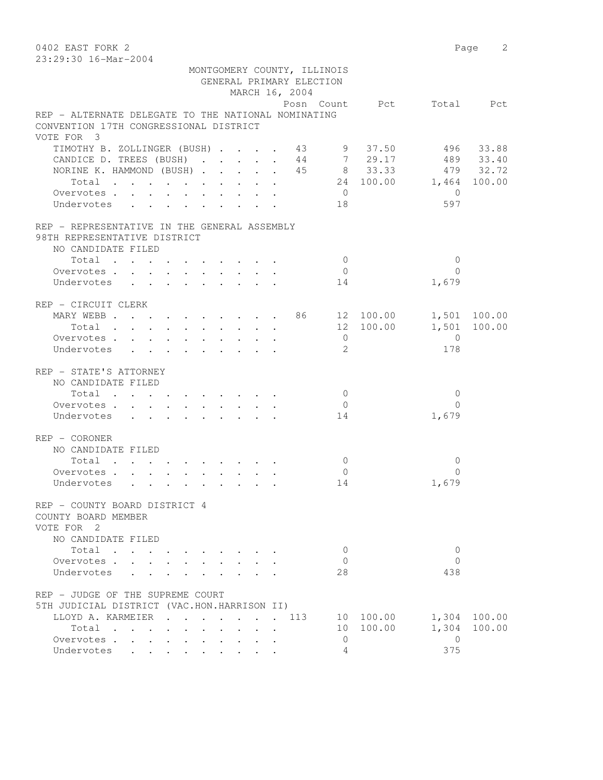0402 EAST FORK 2 Page 2 23:29:30 16-Mar-2004 MONTGOMERY COUNTY, ILLINOIS GENERAL PRIMARY ELECTION MARCH 16, 2004 Posn Count Pct Total Pct REP - ALTERNATE DELEGATE TO THE NATIONAL NOMINATING CONVENTION 17TH CONGRESSIONAL DISTRICT VOTE FOR 3 TIMOTHY B. ZOLLINGER (BUSH) . . . . 43 CANDICE D. TREES (BUSH) . . . . . 44 NORINE K. HAMMOND (BUSH) . . . . 45 8 33.33 10THY B. ZOLLINGER (BUSH) . . . . 43 9 37.50 496 33.88<br>
10DICE D. TREES (BUSH) . . . . 44 7 29.17 489 33.40<br>
10DICE D. TREES (BUSH) . . . . 45 8 33.33 479 32.72<br>
1,464 100.00 1,464 100.00 Overvotes . . . . . . . . . . . 0 0<br>
IIndervotes . . . . . . . . . . 18 0 597 Undervotes . . . . . . . . . 18 597 REP - REPRESENTATIVE IN THE GENERAL ASSEMBLY 98TH REPRESENTATIVE DISTRICT NO CANDIDATE FILED 10tal . . . . . . . . . . . . 0<br>ervotes . . . . . . . . . . . 0 0<br>dervotes . . . . . . . . . . 14 1,679 Overvotes . . . . . . . . . . Undervotes . . . . . . . . . 14 REP - CIRCUIT CLERK MARY WEBB . . . . . . . . . 86 12 100.00 1,501 100.00 Total . . . . . . . . . . 12 100.00 1,501 100.00 Overvotes . . . . . . . . . . . 0<br>
Undervotes . . . . . . . . . . . 2 178 Undervotes . . . . . . . . . 2 178 REP - STATE'S ATTORNEY NO CANDIDATE FILED Total . . . . . . . . . . 0 0 Overvotes . . . . . . . . . . 0 0 Undervotes . . . . . . . . . 14 REP - CORONER NO CANDIDATE FILED  $\texttt{Total} \quad . \quad . \quad . \quad . \quad . \quad . \quad . \qquad . \qquad 0 \qquad \qquad 0$ Overvotes . . . . . . . . . . . 0 0<br>IIndervotes . . . . . . . . . . . 14 1,679 Undervotes . . . . . . . . . 14 REP - COUNTY BOARD DISTRICT 4 COUNTY BOARD MEMBER VOTE FOR 2 NO CANDIDATE FILED Total . . . . . . . . . . 0 0 Overvotes . . . . . . . . . . 0 Undervotes . . . . . . . . . 28 438 REP - JUDGE OF THE SUPREME COURT 5TH JUDICIAL DISTRICT (VAC.HON.HARRISON II) LLOYD A. KARMEIER . . . . . . . 113 10 100.00 1,304 100.00 Total . . . . . . . . . . 10 100.00 1,304 100.00 Overvotes . . . . . . . . . . . 0 Undervotes . . . . . . . .  $4$  375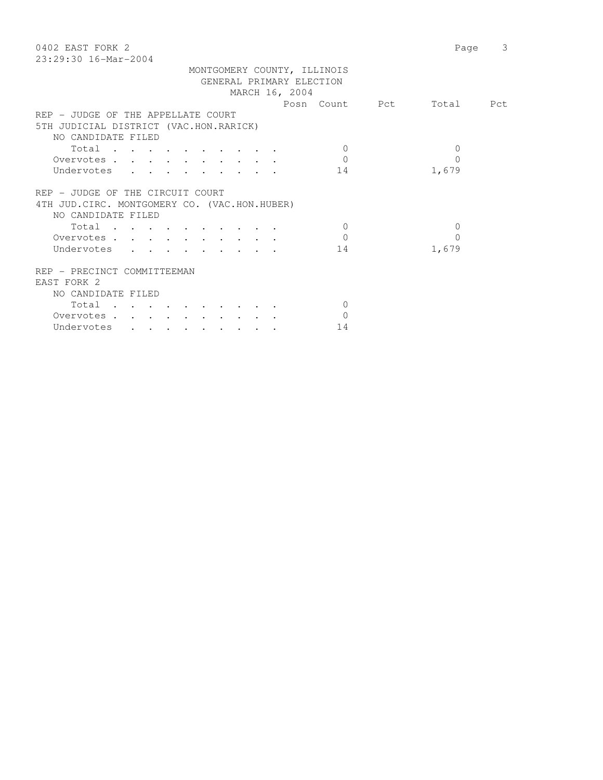| 0402 EAST FORK 2<br>$23:29:30$ 16-Mar-2004    |                      | 3<br>Page |
|-----------------------------------------------|----------------------|-----------|
| MONTGOMERY COUNTY, ILLINOIS                   |                      |           |
| GENERAL PRIMARY ELECTION                      |                      |           |
| MARCH 16, 2004                                |                      |           |
|                                               | Posn Count Pct       | Total Pct |
| REP - JUDGE OF THE APPELLATE COURT            |                      |           |
| 5TH JUDICIAL DISTRICT (VAC.HON.RARICK)        |                      |           |
| NO CANDIDATE FILED                            |                      |           |
|                                               | $\Omega$<br>$\Omega$ |           |
| Total                                         | $\Omega$<br>0        |           |
| Overvotes                                     |                      |           |
| Undervotes<br>14                              | 1,679                |           |
|                                               |                      |           |
| REP - JUDGE OF THE CIRCUIT COURT              |                      |           |
| 4TH JUD. CIRC. MONTGOMERY CO. (VAC.HON.HUBER) |                      |           |
| NO CANDIDATE FILED                            |                      |           |
| Total                                         | $\Omega$<br>$\Omega$ |           |
| Overvotes                                     | $\Omega$<br>0        |           |
| Undervotes<br>14                              | 1,679                |           |
|                                               |                      |           |
| REP - PRECINCT COMMITTEEMAN                   |                      |           |
| EAST FORK 2                                   |                      |           |
| NO CANDIDATE FILED                            |                      |           |
| Total                                         | $\mathbf{0}$         |           |
| Overvotes                                     | 0                    |           |
| Undervotes<br>14                              |                      |           |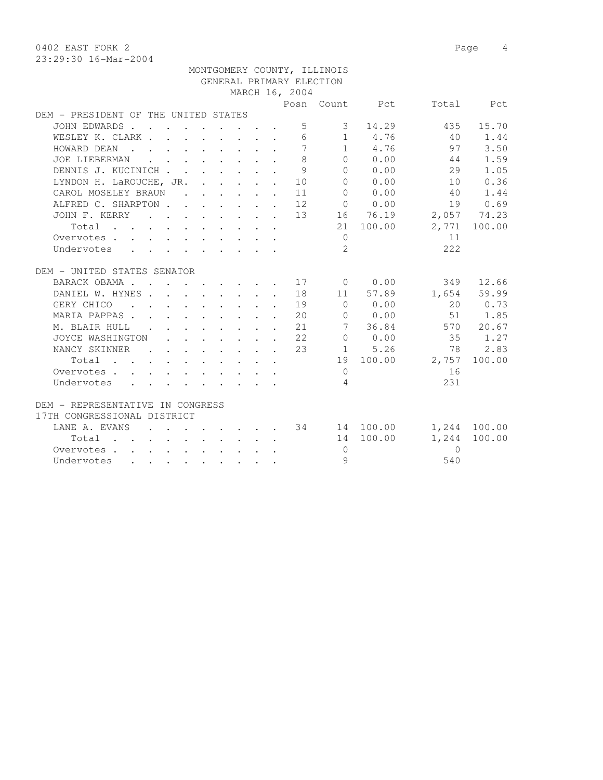0402 EAST FORK 2 Page 4

|                                                                                                                                                 |                                                                          |                                                     | GENERAL PRIMARY ELECTION                                   |                |                                    |              |              |
|-------------------------------------------------------------------------------------------------------------------------------------------------|--------------------------------------------------------------------------|-----------------------------------------------------|------------------------------------------------------------|----------------|------------------------------------|--------------|--------------|
|                                                                                                                                                 |                                                                          |                                                     | MARCH 16, 2004                                             |                |                                    |              |              |
|                                                                                                                                                 |                                                                          |                                                     |                                                            |                | Posn Count Pct                     |              | Total Pct    |
| DEM - PRESIDENT OF THE UNITED STATES                                                                                                            |                                                                          |                                                     |                                                            |                |                                    |              |              |
| JOHN EDWARDS                                                                                                                                    |                                                                          |                                                     | 5                                                          | $\mathcal{E}$  | 14.29                              |              | 435 15.70    |
| WESLEY K. CLARK                                                                                                                                 |                                                                          |                                                     | 6                                                          |                | 1 4.76                             | 40           | 1.44         |
| HOWARD DEAN<br>$\mathbf{r}$ , and $\mathbf{r}$ , and $\mathbf{r}$ , and $\mathbf{r}$ , and $\mathbf{r}$                                         |                                                                          |                                                     | 7                                                          |                | 1 4.76                             | 97           | 3.50         |
| JOE LIEBERMAN<br>$\mathbf{r}$ , $\mathbf{r}$ , $\mathbf{r}$ , $\mathbf{r}$ , $\mathbf{r}$                                                       |                                                                          |                                                     | 8                                                          |                | 0 0.00                             | 44           | 1.59         |
| DENNIS J. KUCINICH                                                                                                                              |                                                                          | $\mathbf{r} = \mathbf{r} + \mathbf{r} + \mathbf{r}$ | 9                                                          | $\Omega$       | 0.00                               | 29           | 1.05         |
| LYNDON H. LaROUCHE, JR. 10                                                                                                                      |                                                                          |                                                     |                                                            |                | 0 0.00                             | 10           | 0.36         |
| CAROL MOSELEY BRAUN                                                                                                                             |                                                                          |                                                     | . 11                                                       |                | $0 \t 0.00$                        | 40           | 1.44         |
| ALFRED C. SHARPTON 12                                                                                                                           |                                                                          |                                                     |                                                            |                | $0 \t 0.00$                        |              | 19 0.69      |
| JOHN F. KERRY 13                                                                                                                                |                                                                          |                                                     |                                                            |                | 16 76.19                           |              | 2,057 74.23  |
| Total                                                                                                                                           |                                                                          |                                                     |                                                            |                | 21 100.00                          |              | 2,771 100.00 |
| Overvotes                                                                                                                                       |                                                                          |                                                     |                                                            | $\mathbf{0}$   |                                    | 11           |              |
| Undervotes<br>$\mathbf{r} = \mathbf{r} + \mathbf{r} + \mathbf{r} + \mathbf{r} + \mathbf{r} + \mathbf{r} + \mathbf{r} + \mathbf{r} + \mathbf{r}$ |                                                                          |                                                     |                                                            | $\mathfrak{L}$ |                                    | 222          |              |
|                                                                                                                                                 |                                                                          |                                                     |                                                            |                |                                    |              |              |
| DEM - UNITED STATES SENATOR                                                                                                                     |                                                                          |                                                     |                                                            |                |                                    |              |              |
| BARACK OBAMA.<br>. 17 0 0.00                                                                                                                    |                                                                          |                                                     |                                                            |                |                                    |              | 349 12.66    |
| DANIEL W. HYNES 18                                                                                                                              |                                                                          |                                                     |                                                            |                | 11 57.89                           | 1,654 59.99  |              |
| GERY CHICO 19                                                                                                                                   |                                                                          |                                                     |                                                            |                | $\begin{matrix}0&0.00\end{matrix}$ |              | 20 0.73      |
| MARIA PAPPAS.                                                                                                                                   |                                                                          |                                                     | 20                                                         |                | $0 \t 0.00$                        |              | 51 1.85      |
| M. BLAIR HULL .                                                                                                                                 | $\mathbf{r}$ , $\mathbf{r}$ , $\mathbf{r}$ , $\mathbf{r}$ , $\mathbf{r}$ |                                                     | 21                                                         |                | 7 36.84                            |              | 570 20.67    |
| JOYCE WASHINGTON                                                                                                                                |                                                                          |                                                     | $\cdot$ 22                                                 |                | 0 0.00                             | 35           | 1.27         |
| NANCY SKINNER                                                                                                                                   |                                                                          |                                                     | $\cdot$ $\cdot$ $\cdot$ $\cdot$ $\cdot$ $\cdot$ $\cdot$ 23 |                | 1 5.26                             | 78           | 2.83         |
| Total                                                                                                                                           |                                                                          |                                                     |                                                            |                | 19 100.00                          | 2,757        | 100.00       |
| Overvotes                                                                                                                                       |                                                                          |                                                     |                                                            | $\Omega$       |                                    | 16           |              |
| Undervotes                                                                                                                                      |                                                                          |                                                     |                                                            | 4              |                                    | 231          |              |
|                                                                                                                                                 |                                                                          |                                                     |                                                            |                |                                    |              |              |
| DEM - REPRESENTATIVE IN CONGRESS                                                                                                                |                                                                          |                                                     |                                                            |                |                                    |              |              |
| 17TH CONGRESSIONAL DISTRICT                                                                                                                     |                                                                          |                                                     |                                                            |                |                                    |              |              |
| LANE A. EVANS<br>$\mathbf{r}$ $\mathbf{r}$                                                                                                      |                                                                          |                                                     |                                                            |                |                                    | 1,244 100.00 |              |
| Total                                                                                                                                           |                                                                          |                                                     |                                                            |                | 14 100.00                          | 1,244        | 100.00       |
| Overvotes                                                                                                                                       |                                                                          |                                                     |                                                            | $\Omega$       |                                    | $\bigcap$    |              |
| Undervotes                                                                                                                                      |                                                                          |                                                     |                                                            | 9              |                                    | 540          |              |

MONTGOMERY COUNTY, ILLINOIS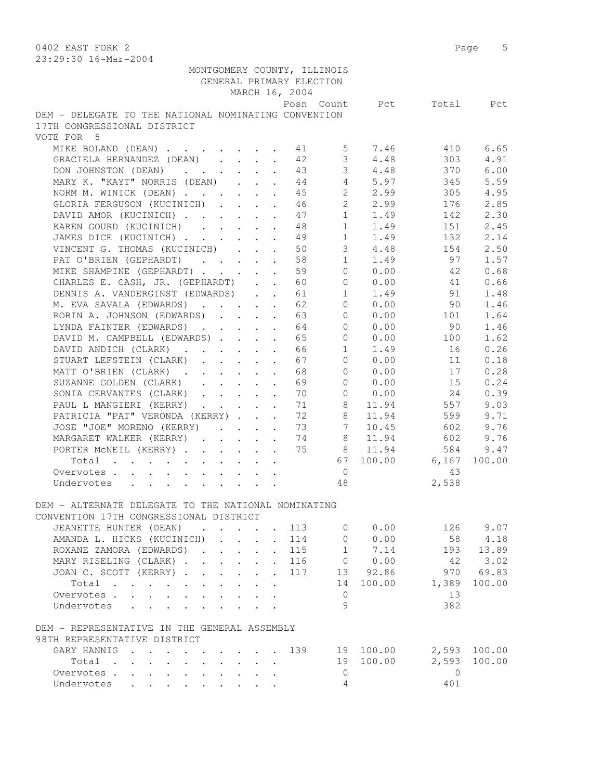0402 EAST FORK 2 Page 5 23:29:30 16-Mar-2004 MONTGOMERY COUNTY, ILLINOIS GENERAL PRIMARY ELECTION MARCH 16, 2004 Posn Count Pct Total Pct DEM - DELEGATE TO THE NATIONAL NOMINATING CONVENTION 17TH CONGRESSIONAL DISTRICT VOTE FOR 5 MIKE BOLAND (DEAN) . . . . . . . 41 5 7.46 410 6.65 GRACIELA HERNANDEZ (DEAN) . . . . 42 3 4.48 303 4.91 DON JOHNSTON (DEAN) . . . . . . 43 3 4.48 370 6.00 MARY K. "KAYT" NORRIS (DEAN) . . . 44 4 5.97 345 5.59 NORM M. WINICK (DEAN) . . . . . . 45 2 2.99 305 4.95 GLORIA FERGUSON (KUCINICH) . . . . 46 2 2.99 176 2.85 DAVID AMOR (KUCINICH) . . . . . 47 1 1.49 142 2.30 KAREN GOURD (KUCINICH) . . . . 48 1 1.49 151 2.45 JAMES DICE (KUCINICH) . . . . . . 49 1 1.49 132 2.14 VINCENT G. THOMAS (KUCINICH) . . . 50 3 4.48 154 2.50 PAT O'BRIEN (GEPHARDT) . . . . 58 1 1.49 97 1.57 MIKE SHAMPINE (GEPHARDT) . . . . . 59 0 0.00 42 0.68 CHARLES E. CASH, JR. (GEPHARDT) . . 60 0 0.00 41 0.66 DENNIS A. VANDERGINST (EDWARDS) . . 61 1 1.49 91 1.48 M. EVA SAVALA (EDWARDS) . . . . . 62 0 0.00 90 1.46 ROBIN A. JOHNSON (EDWARDS) . . . . 63 0 0.00 101 1.64 LYNDA FAINTER (EDWARDS) . . . . . 64 0 0.00 90 1.46 DAVID M. CAMPBELL (EDWARDS) . . . . 65 0 0.00 100 1.62 DAVID ANDICH (CLARK) . . . . . . 66 1 1.49 16 0.26 STUART LEFSTEIN (CLARK) . . . . . 67 0 0.00 11 0.18 MATT O'BRIEN (CLARK) . . . . . . 68 0 0.00 17 0.28 SUZANNE GOLDEN (CLARK) . . . . . 69 0 0.00 15 0.24 SONIA CERVANTES (CLARK) . . . . . 70 0 0.00 24 0.39 PAUL L MANGIERI (KERRY) . . . . . 71 8 11.94 557 9.03 PATRICIA "PAT" VERONDA (KERRY) . . . 72 8 11.94 599 9.71 JOSE "JOE" MORENO (KERRY) . . . . 73 7 10.45 602 9.76 MARGARET WALKER (KERRY) . . . . . 74 8 11.94 602 9.76 PORTER McNEIL (KERRY) . . . . . . 75 8 11.94 584 9.47 Total . . . . . . . . . . 67 100.00 6,167 100.00 Overvotes . . . . . . . . . . . 0 43 Undervotes . . . . . . . . . 48 2,538 DEM - ALTERNATE DELEGATE TO THE NATIONAL NOMINATING CONVENTION 17TH CONGRESSIONAL DISTRICT JEANETTE HUNTER (DEAN) . . . . 113 0 0.00 126 9.07 AMANDA L. HICKS (KUCINICH) . . . . 114 0 0.00 58 4.18 ROXANE ZAMORA (EDWARDS) . . . . 115 1 7.14 193 13.89 MARY RISELING (CLARK) . . . . . . 116 0 0.00 42 3.02 JOAN C. SCOTT (KERRY) . . . . . . 117 13 92.86 970 69.83 Total . . . . . . . . . . 14 100.00 1,389 100.00 Overvotes . . . . . . . . . . . 0 13 Undervotes . . . . . . . . . . 9 382 DEM - REPRESENTATIVE IN THE GENERAL ASSEMBLY 98TH REPRESENTATIVE DISTRICT GARY HANNIG . . . . . . . . . 139 19 100.00 2,593 100.00 Total . . . . . . . . . . 19 100.00 2,593 100.00 Overvotes . . . . . . . . . . 0 0 Undervotes . . . . . . . . . 4 401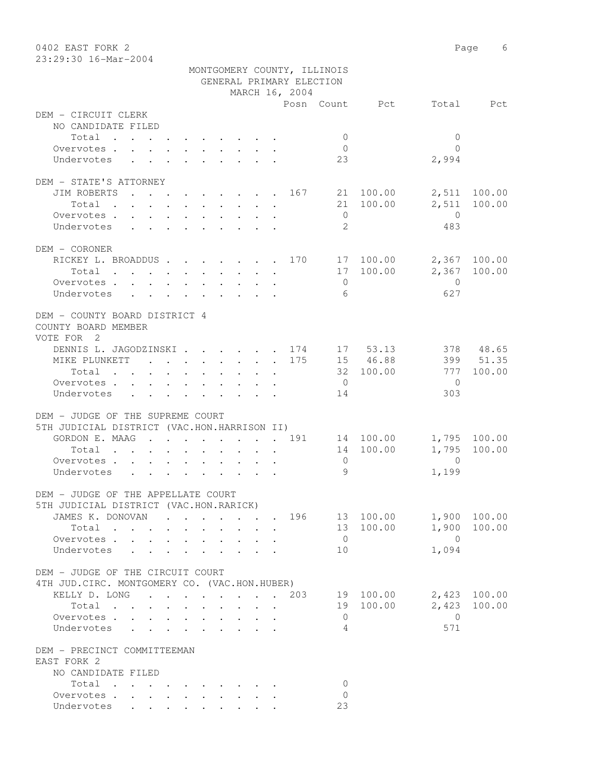| 0402 EAST FORK 2<br>23:29:30 16-Mar-2004                                                                                                |                                                                 |        |                             |                |                        |                | Page<br>6    |
|-----------------------------------------------------------------------------------------------------------------------------------------|-----------------------------------------------------------------|--------|-----------------------------|----------------|------------------------|----------------|--------------|
|                                                                                                                                         |                                                                 |        | MONTGOMERY COUNTY, ILLINOIS |                |                        |                |              |
|                                                                                                                                         |                                                                 |        | GENERAL PRIMARY ELECTION    |                |                        |                |              |
|                                                                                                                                         |                                                                 |        | MARCH 16, 2004              |                |                        |                |              |
|                                                                                                                                         |                                                                 |        |                             |                | Posn Count Pct         | Total          | Pct          |
| DEM - CIRCUIT CLERK                                                                                                                     |                                                                 |        |                             |                |                        |                |              |
| NO CANDIDATE FILED                                                                                                                      |                                                                 |        |                             |                |                        |                |              |
| Total                                                                                                                                   |                                                                 |        |                             | $\mathbf{0}$   |                        | $\mathbf{0}$   |              |
| Overvotes.                                                                                                                              |                                                                 |        |                             | $\overline{0}$ |                        | $\Omega$       |              |
| Undervotes                                                                                                                              |                                                                 |        |                             | 23             |                        | 2,994          |              |
|                                                                                                                                         |                                                                 |        |                             |                |                        |                |              |
| DEM - STATE'S ATTORNEY                                                                                                                  |                                                                 |        |                             |                |                        |                | 100.00       |
| JIM ROBERTS<br>the contract of the contract of the contract of the contract of the contract of the contract of the contract of<br>Total |                                                                 |        | 167                         |                | 21 100.00<br>21 100.00 | 2,511<br>2,511 | 100.00       |
| Overvotes                                                                                                                               |                                                                 |        |                             | $\overline{0}$ |                        | $\overline{0}$ |              |
| Undervotes                                                                                                                              |                                                                 |        |                             | 2              |                        | 483            |              |
|                                                                                                                                         |                                                                 |        |                             |                |                        |                |              |
| DEM - CORONER                                                                                                                           |                                                                 |        |                             |                |                        |                |              |
| RICKEY L. BROADDUS 170 17 100.00                                                                                                        |                                                                 |        |                             |                |                        | 2,367          | 100.00       |
| Total $\cdot$                                                                                                                           |                                                                 |        |                             |                | 17 100.00              | 2,367          | 100.00       |
| Overvotes.                                                                                                                              |                                                                 |        |                             | $\overline{0}$ |                        | $\mathbf{0}$   |              |
| Undervotes                                                                                                                              |                                                                 |        |                             | -6             |                        | 627            |              |
|                                                                                                                                         |                                                                 |        |                             |                |                        |                |              |
| DEM - COUNTY BOARD DISTRICT 4                                                                                                           |                                                                 |        |                             |                |                        |                |              |
| COUNTY BOARD MEMBER                                                                                                                     |                                                                 |        |                             |                |                        |                |              |
| VOTE FOR 2                                                                                                                              |                                                                 |        |                             |                |                        |                |              |
| DENNIS L. JAGODZINSKI 174 17 53.13                                                                                                      |                                                                 |        |                             |                |                        |                | 378 48.65    |
| MIKE PLUNKETT 175                                                                                                                       |                                                                 |        |                             |                | 15 46.88               |                | 399 51.35    |
| Total                                                                                                                                   |                                                                 |        |                             |                | 32 100.00              | 777            | 100.00       |
| Overvotes.                                                                                                                              |                                                                 |        |                             | $\overline{0}$ |                        | 0              |              |
| Undervotes                                                                                                                              |                                                                 |        |                             | 14             |                        | 303            |              |
| DEM - JUDGE OF THE SUPREME COURT                                                                                                        |                                                                 |        |                             |                |                        |                |              |
| 5TH JUDICIAL DISTRICT (VAC.HON.HARRISON II)                                                                                             |                                                                 |        |                             |                |                        |                |              |
| GORDON E. MAAG 191                                                                                                                      |                                                                 |        |                             |                | 14 100.00              |                | 1,795 100.00 |
| Total                                                                                                                                   |                                                                 |        |                             |                | 14 100.00              | 1,795          | 100.00       |
| Overvotes.                                                                                                                              |                                                                 |        |                             | $\mathbf 0$    |                        | $\Omega$       |              |
| Undervotes                                                                                                                              |                                                                 |        |                             | 9              |                        | 1,199          |              |
|                                                                                                                                         |                                                                 |        |                             |                |                        |                |              |
| DEM - JUDGE OF THE APPELLATE COURT                                                                                                      |                                                                 |        |                             |                |                        |                |              |
| 5TH JUDICIAL DISTRICT (VAC.HON.RARICK)                                                                                                  |                                                                 |        |                             |                |                        |                |              |
| JAMES K. DONOVAN                                                                                                                        |                                                                 |        |                             |                | 196 13 100.00          |                | 1,900 100.00 |
| Total                                                                                                                                   |                                                                 |        |                             |                | 13 100.00              |                | 1,900 100.00 |
| Overvotes<br>$\mathbf{L}$                                                                                                               |                                                                 |        |                             | $\overline{0}$ |                        | $\bigcirc$     |              |
| Undervotes                                                                                                                              | $\mathbf{L}$<br>$\sim$                                          | $\sim$ |                             | 10             |                        | 1,094          |              |
|                                                                                                                                         |                                                                 |        |                             |                |                        |                |              |
| DEM - JUDGE OF THE CIRCUIT COURT                                                                                                        |                                                                 |        |                             |                |                        |                |              |
| 4TH JUD. CIRC. MONTGOMERY CO. (VAC.HON.HUBER)                                                                                           |                                                                 |        |                             |                |                        |                |              |
| KELLY D. LONG                                                                                                                           | $\cdot$ $\cdot$ $\cdot$ $\cdot$ $\cdot$ $\cdot$ $\cdot$ $\cdot$ |        |                             |                | . 203 19 100.00        |                | 2,423 100.00 |
| Total<br>$\mathbf{r}$ , $\mathbf{r}$ , $\mathbf{r}$                                                                                     | $\ddot{\phantom{a}}$                                            |        |                             |                | 19 100.00              |                | 2,423 100.00 |
| Overvotes                                                                                                                               |                                                                 |        |                             | $\overline{0}$ |                        | $\overline{0}$ |              |
| Undervotes<br>$\sim$                                                                                                                    |                                                                 |        |                             | 4              |                        | 571            |              |
| DEM - PRECINCT COMMITTEEMAN                                                                                                             |                                                                 |        |                             |                |                        |                |              |
| EAST FORK 2                                                                                                                             |                                                                 |        |                             |                |                        |                |              |
| NO CANDIDATE FILED                                                                                                                      |                                                                 |        |                             |                |                        |                |              |
| Total                                                                                                                                   |                                                                 |        |                             | $\mathbf{0}$   |                        |                |              |
| Overvotes                                                                                                                               |                                                                 |        |                             | $\Omega$       |                        |                |              |
| Undervotes                                                                                                                              |                                                                 |        |                             | 23             |                        |                |              |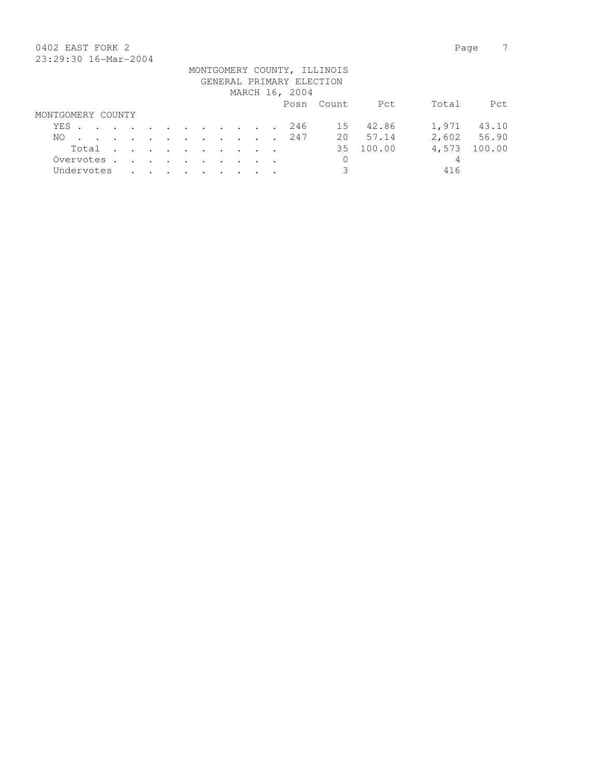# 0402 EAST FORK 2 Page 7 23:29:30 16-Mar-2004

| 40.49.90 10.141 4001 |  |  |  |  |  |                          |                             |           |       |             |
|----------------------|--|--|--|--|--|--------------------------|-----------------------------|-----------|-------|-------------|
|                      |  |  |  |  |  | GENERAL PRIMARY ELECTION | MONTGOMERY COUNTY, ILLINOIS |           |       |             |
|                      |  |  |  |  |  |                          |                             |           |       |             |
|                      |  |  |  |  |  | MARCH 16, 2004           |                             |           |       |             |
|                      |  |  |  |  |  |                          | Posn Count                  | Pct       | Total | Pct         |
| MONTGOMERY COUNTY    |  |  |  |  |  |                          |                             |           |       |             |
| YES. 246             |  |  |  |  |  |                          |                             | 15 42.86  | 1,971 | 43.10       |
| NO.                  |  |  |  |  |  | . 247                    |                             | 20 57.14  |       | 2,602 56.90 |
| Total                |  |  |  |  |  |                          |                             | 35 100.00 | 4,573 | 100.00      |
| Overvotes.           |  |  |  |  |  |                          | $\mathbf 0$                 |           | 4     |             |
| Undervotes           |  |  |  |  |  |                          |                             |           | 416   |             |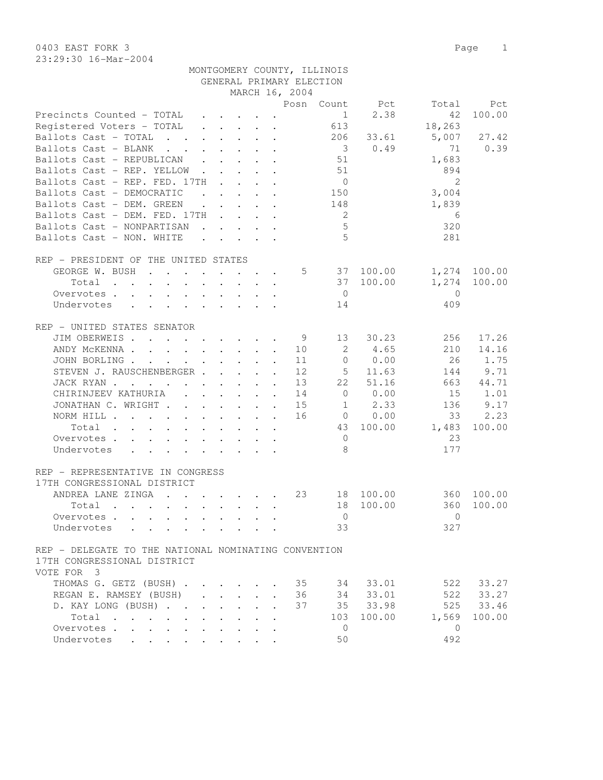23:29:30 16-Mar-2004

|                                                      |                                                                                                                                                                                                                               |                                                                                         |                | MONTGOMERY COUNTY, ILLINOIS |                |                |              |
|------------------------------------------------------|-------------------------------------------------------------------------------------------------------------------------------------------------------------------------------------------------------------------------------|-----------------------------------------------------------------------------------------|----------------|-----------------------------|----------------|----------------|--------------|
|                                                      |                                                                                                                                                                                                                               |                                                                                         |                | GENERAL PRIMARY ELECTION    |                |                |              |
|                                                      |                                                                                                                                                                                                                               |                                                                                         | MARCH 16, 2004 |                             |                |                |              |
|                                                      |                                                                                                                                                                                                                               |                                                                                         |                |                             | Posn Count Pct | Total          | Pct          |
| Precincts Counted - TOTAL                            |                                                                                                                                                                                                                               | $\mathbf{r} = \mathbf{r} \cdot \mathbf{r}$ , $\mathbf{r} = \mathbf{r} \cdot \mathbf{r}$ |                | 1                           | 2.38           | 42             | 100.00       |
| Registered Voters - TOTAL                            |                                                                                                                                                                                                                               | $\mathbf{r}$ , $\mathbf{r}$ , $\mathbf{r}$ , $\mathbf{r}$ , $\mathbf{r}$ , $\mathbf{r}$ |                | 613                         |                | 18,263         |              |
| Ballots Cast - TOTAL 206                             |                                                                                                                                                                                                                               |                                                                                         |                |                             | 33.61          | 5,007          | 27.42        |
| Ballots Cast - BLANK                                 |                                                                                                                                                                                                                               |                                                                                         |                |                             | 30.49          | 71             | 0.39         |
| Ballots Cast - REPUBLICAN                            |                                                                                                                                                                                                                               |                                                                                         |                | 51                          |                | 1,683          |              |
| Ballots Cast - REP. YELLOW                           |                                                                                                                                                                                                                               |                                                                                         |                | 51                          |                | 894            |              |
| Ballots Cast - REP. FED. 17TH                        |                                                                                                                                                                                                                               |                                                                                         |                | $\overline{0}$              |                | 2              |              |
| Ballots Cast - DEMOCRATIC                            |                                                                                                                                                                                                                               |                                                                                         |                | 150                         |                | 3,004          |              |
| Ballots Cast - DEM. GREEN                            | $\cdot$                                                                                                                                                                                                                       |                                                                                         |                | 148                         |                | 1,839          |              |
| Ballots Cast - DEM. FED. 17TH                        |                                                                                                                                                                                                                               |                                                                                         |                | $\overline{2}$              |                | 6              |              |
| Ballots Cast - NONPARTISAN                           |                                                                                                                                                                                                                               |                                                                                         |                | $5\phantom{.0}$             |                | 320            |              |
| Ballots Cast - NON. WHITE                            |                                                                                                                                                                                                                               |                                                                                         |                | 5                           |                | 281            |              |
|                                                      |                                                                                                                                                                                                                               |                                                                                         |                |                             |                |                |              |
| REP - PRESIDENT OF THE UNITED STATES                 |                                                                                                                                                                                                                               |                                                                                         |                |                             |                |                |              |
| GEORGE W. BUSH                                       |                                                                                                                                                                                                                               |                                                                                         |                |                             | 5 37 100.00    |                | 1,274 100.00 |
| Total                                                |                                                                                                                                                                                                                               |                                                                                         |                |                             | 37 100.00      | 1,274          | 100.00       |
|                                                      |                                                                                                                                                                                                                               |                                                                                         |                | $\overline{0}$              |                | $\bigcirc$     |              |
| Overvotes<br>Undervotes                              |                                                                                                                                                                                                                               |                                                                                         |                |                             |                |                |              |
|                                                      |                                                                                                                                                                                                                               |                                                                                         |                | 14                          |                | 409            |              |
|                                                      |                                                                                                                                                                                                                               |                                                                                         |                |                             |                |                |              |
| REP - UNITED STATES SENATOR                          |                                                                                                                                                                                                                               |                                                                                         |                |                             |                |                |              |
| JIM OBERWEIS                                         |                                                                                                                                                                                                                               |                                                                                         | - 9            | 13                          | 30.23          | 256            | 17.26        |
| ANDY MCKENNA 10                                      |                                                                                                                                                                                                                               |                                                                                         |                | 2                           | 4.65           | 210            | 14.16        |
| JOHN BORLING                                         |                                                                                                                                                                                                                               |                                                                                         | 11             | $\circ$                     | 0.00           | -26            | 1.75         |
| STEVEN J. RAUSCHENBERGER                             |                                                                                                                                                                                                                               |                                                                                         | 12             | 5 <sup>5</sup>              | 11.63          | 144            | 9.71         |
| JACK RYAN                                            |                                                                                                                                                                                                                               |                                                                                         | 13             | 22                          | 51.16          | 663            | 44.71        |
| CHIRINJEEV KATHURIA (CHIRINJEEV KATHURIA)            |                                                                                                                                                                                                                               |                                                                                         | 14             | $\overline{0}$              | 0.00           | 15             | 1.01         |
| JONATHAN C. WRIGHT                                   |                                                                                                                                                                                                                               |                                                                                         | 15             | $\mathbf{1}$                | 2.33           | 136            | 9.17         |
| NORM HILL                                            |                                                                                                                                                                                                                               |                                                                                         | 16             |                             | $0 \t 0.00$    | 33             | 2.23         |
| Total                                                |                                                                                                                                                                                                                               |                                                                                         |                |                             | 43 100.00      | 1,483          | 100.00       |
| Overvotes                                            |                                                                                                                                                                                                                               |                                                                                         |                | $\overline{0}$              |                | 23             |              |
| Undervotes                                           |                                                                                                                                                                                                                               |                                                                                         |                | 8                           |                | 177            |              |
|                                                      |                                                                                                                                                                                                                               |                                                                                         |                |                             |                |                |              |
| REP - REPRESENTATIVE IN CONGRESS                     |                                                                                                                                                                                                                               |                                                                                         |                |                             |                |                |              |
| 17TH CONGRESSIONAL DISTRICT                          |                                                                                                                                                                                                                               |                                                                                         |                |                             |                |                |              |
| ANDREA LANE ZINGA                                    |                                                                                                                                                                                                                               |                                                                                         | 23             |                             | 18 100.00      |                | 360 100.00   |
| Total .                                              | the control of the control of the control of the control of the control of the control of the control of the control of the control of the control of the control of the control of the control of the control of the control |                                                                                         |                |                             | 18 100.00      |                | 360 100.00   |
| Overvotes                                            |                                                                                                                                                                                                                               |                                                                                         |                | $\overline{0}$              |                | $\Omega$       |              |
| Undervotes                                           |                                                                                                                                                                                                                               |                                                                                         |                | 33                          |                | 327            |              |
|                                                      |                                                                                                                                                                                                                               |                                                                                         |                |                             |                |                |              |
| REP - DELEGATE TO THE NATIONAL NOMINATING CONVENTION |                                                                                                                                                                                                                               |                                                                                         |                |                             |                |                |              |
| 17TH CONGRESSIONAL DISTRICT                          |                                                                                                                                                                                                                               |                                                                                         |                |                             |                |                |              |
| VOTE FOR 3                                           |                                                                                                                                                                                                                               |                                                                                         |                |                             |                |                |              |
| THOMAS G. GETZ (BUSH) 35 34 33.01                    |                                                                                                                                                                                                                               |                                                                                         |                |                             |                | 522            | 33.27        |
| REGAN E. RAMSEY (BUSH)                               |                                                                                                                                                                                                                               |                                                                                         |                |                             | 36 34 33.01    |                | 522 33.27    |
| D. KAY LONG (BUSH)                                   |                                                                                                                                                                                                                               |                                                                                         | 37             |                             | 35 33.98       |                | 525 33.46    |
| Total                                                |                                                                                                                                                                                                                               |                                                                                         |                | 103                         | 100.00         | 1,569          | 100.00       |
|                                                      |                                                                                                                                                                                                                               |                                                                                         |                |                             |                |                |              |
| Overvotes                                            |                                                                                                                                                                                                                               |                                                                                         |                | $\overline{0}$              |                | $\overline{0}$ |              |
| Undervotes                                           |                                                                                                                                                                                                                               |                                                                                         |                | 50                          |                | 492            |              |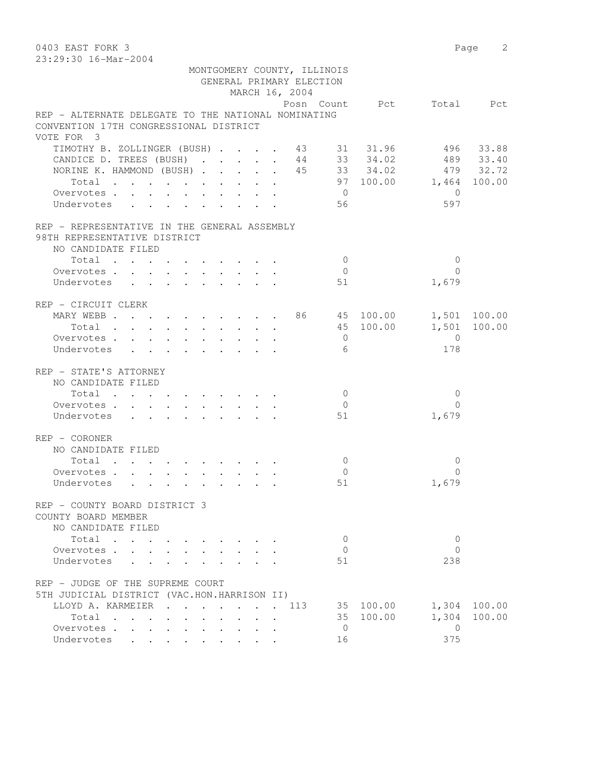0403 EAST FORK 3 Page 2 23:29:30 16-Mar-2004 MONTGOMERY COUNTY, ILLINOIS GENERAL PRIMARY ELECTION MARCH 16, 2004 Posn Count Pct Total Pct REP - ALTERNATE DELEGATE TO THE NATIONAL NOMINATING CONVENTION 17TH CONGRESSIONAL DISTRICT VOTE FOR 3 TIMOTHY B. ZOLLINGER (BUSH) . . . . 43 31 31.96 496 33.88 CANDICE D. TREES (BUSH) . . . . . 44 33 34.02 489 33.40 NORINE K. HAMMOND (BUSH) . . . . . 45 33 34.02 479 32.72 Total . . . . . . . . . . 97 100.00 1,464 100.00 Overvotes . . . . . . . . . . . 0 Undervotes . . . . . . . . . 56 597 REP - REPRESENTATIVE IN THE GENERAL ASSEMBLY 98TH REPRESENTATIVE DISTRICT NO CANDIDATE FILED 10tal . . . . . . . . . . . . 0<br>ervotes . . . . . . . . . . . 0 0<br>dervotes . . . . . . . . . . 51 1,679 Overvotes . . . . . . . . . . 0 Undervotes . . . . . . . . . 51 REP - CIRCUIT CLERK MARY WEBB . . . . . . . . . 86 45 100.00 1,501 100.00 Total . . . . . . . . . . 45 100.00 1,501 100.00 Overvotes . . . . . . . . . . 0 0 Undervotes . . . . . . . . . . 6 178 REP - STATE'S ATTORNEY NO CANDIDATE FILED  $\texttt{Total} \quad . \quad . \quad . \quad . \quad . \quad . \quad . \qquad . \qquad 0 \qquad \qquad 0$ Overvotes . . . . . . . . . . . 0 Undervotes . . . . . . . . . . 51 1,679 REP - CORONER NO CANDIDATE FILED  $\texttt{Total} \quad . \quad . \quad . \quad . \quad . \quad . \quad . \qquad . \qquad 0 \qquad \qquad 0$ Overvotes . . . . . . . . . . . 0 0<br>
Undervotes . . . . . . . . . . 51 0 1,679 Undervotes . . . . . . . . . 51 REP - COUNTY BOARD DISTRICT 3 COUNTY BOARD MEMBER NO CANDIDATE FILED Total . . . . . . . . . . 0 0 Overvotes . . . . . . . . . . . 0 Undervotes . . . . . . . . . 51 238 REP - JUDGE OF THE SUPREME COURT 5TH JUDICIAL DISTRICT (VAC.HON.HARRISON II) LLOYD A. KARMEIER . . . . . . . 113 35 100.00 1,304 100.00 Total . . . . . . . . . . 35 100.00 1,304 100.00 Overvotes . . . . . . . . . . 0 0<br>Indonuctor 16 0 375 Undervotes . . . . . . . . . 16 375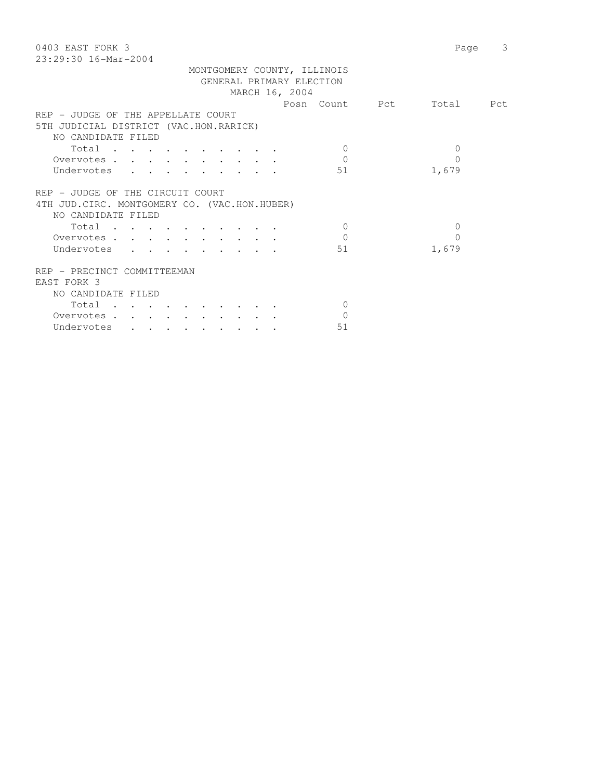| 0403 EAST FORK 3<br>23:29:30 16-Mar-2004      | 3<br>Page |
|-----------------------------------------------|-----------|
| MONTGOMERY COUNTY, ILLINOIS                   |           |
| GENERAL PRIMARY ELECTION                      |           |
| MARCH 16, 2004                                |           |
| Posn Count Pct                                | Total Pct |
|                                               |           |
| REP - JUDGE OF THE APPELLATE COURT            |           |
| 5TH JUDICIAL DISTRICT (VAC.HON.RARICK)        |           |
| NO CANDIDATE FILED                            |           |
| Total<br>$\Omega$                             | $\Omega$  |
| $\Omega$<br>Overvotes                         | $\Omega$  |
| Undervotes<br>51                              | 1,679     |
|                                               |           |
| REP - JUDGE OF THE CIRCUIT COURT              |           |
| 4TH JUD. CIRC. MONTGOMERY CO. (VAC.HON.HUBER) |           |
| NO CANDIDATE FILED                            |           |
| Total<br>$\Omega$                             | $\Omega$  |
| $\Omega$<br>Overvotes                         | 0         |
| Undervotes<br>51                              | 1,679     |
|                                               |           |
| REP - PRECINCT COMMITTEEMAN                   |           |
|                                               |           |
| EAST FORK 3                                   |           |
| NO CANDIDATE FILED                            |           |
| Total<br>$\Omega$                             |           |
| Overvotes<br>$\mathbf{0}$                     |           |
| 51<br>Undervotes                              |           |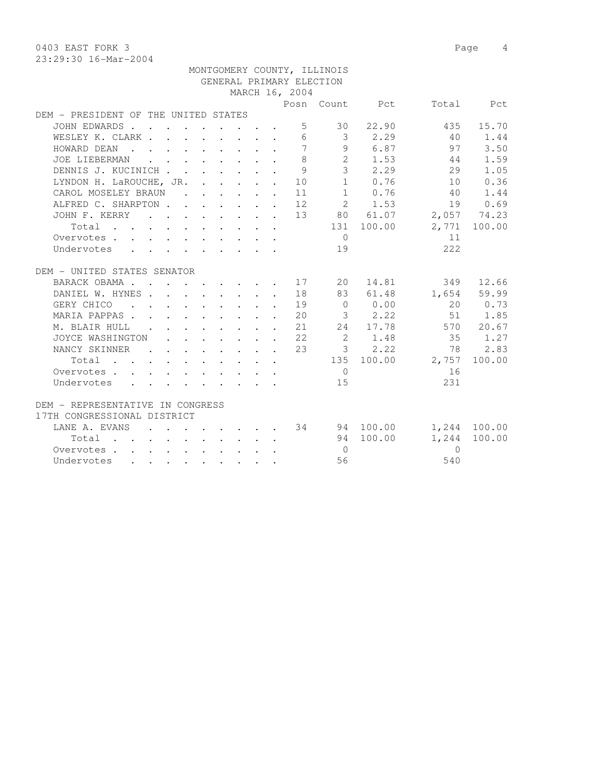0403 EAST FORK 3 Page 4 23:29:30 16-Mar-2004

| 29.29.90 10 Mai 2007                    |  |  |                |                             |                |                      |              |
|-----------------------------------------|--|--|----------------|-----------------------------|----------------|----------------------|--------------|
|                                         |  |  |                | MONTGOMERY COUNTY, ILLINOIS |                |                      |              |
|                                         |  |  |                | GENERAL PRIMARY ELECTION    |                |                      |              |
|                                         |  |  | MARCH 16, 2004 |                             |                |                      |              |
|                                         |  |  |                |                             | Posn Count Pct |                      | Total Pct    |
| DEM - PRESIDENT OF THE UNITED STATES    |  |  |                |                             |                |                      |              |
| JOHN EDWARDS                            |  |  |                |                             | 5 30 22.90     | 435                  | 15.70        |
| WESLEY K. CLARK                         |  |  |                |                             | 6 3 2.29       | 40                   | 1.44         |
| HOWARD DEAN 7                           |  |  |                |                             | 9 6.87         | 97 3.50              |              |
| JOE LIEBERMAN                           |  |  | 8              |                             |                | 2 1.53 44            | 1.59         |
| DENNIS J. KUCINICH                      |  |  | 9              |                             |                | $3 \t 2.29 \t 29$    | 1.05         |
| LYNDON H. LaROUCHE, JR. 10              |  |  |                |                             |                | 1 0.76 10            | 0.36         |
| CAROL MOSELEY BRAUN 11                  |  |  |                |                             |                | 1 0.76 40            | 1.44         |
| ALFRED C. SHARPTON 12 2 1.53            |  |  |                |                             |                | 19 0.69              |              |
| JOHN F. KERRY 13 80 61.07 2,057 74.23   |  |  |                |                             |                |                      |              |
| Total                                   |  |  |                |                             | 131 100.00     |                      | 2,771 100.00 |
| Overvotes                               |  |  |                | $\overline{0}$              |                | 11                   |              |
| Undervotes                              |  |  |                | 19                          |                | 222                  |              |
|                                         |  |  |                |                             |                |                      |              |
| DEM - UNITED STATES SENATOR             |  |  |                |                             |                |                      |              |
| BARACK OBAMA 17 20 14.81                |  |  |                |                             |                |                      | 349 12.66    |
| DANIEL W. HYNES                         |  |  | 18             |                             |                | 83 61.48 1,654 59.99 |              |
| GERY CHICO<br>$\cdots$ 19               |  |  |                |                             | 0 0.00         |                      | 20 0.73      |
| MARIA PAPPAS 20                         |  |  |                |                             | $3 \t 2.22$    |                      | 51 1.85      |
| M. BLAIR HULL 21                        |  |  |                |                             |                | 24 17.78 570 20.67   |              |
| JOYCE WASHINGTON 22                     |  |  |                |                             |                | 2 1.48 35 1.27       |              |
| NANCY SKINNER 23                        |  |  |                |                             |                | $3$ 2.22 78 2.83     |              |
| Total 135 100.00 2,757                  |  |  |                |                             |                |                      | 100.00       |
| Overvotes.                              |  |  |                | $\overline{0}$              |                | 16                   |              |
| Undervotes                              |  |  |                | 15                          |                | 231                  |              |
|                                         |  |  |                |                             |                |                      |              |
| DEM - REPRESENTATIVE IN CONGRESS        |  |  |                |                             |                |                      |              |
| 17TH CONGRESSIONAL DISTRICT             |  |  |                |                             |                |                      |              |
| LANE A. EVANS 34 94 100.00 1,244 100.00 |  |  |                |                             |                |                      |              |
| Total                                   |  |  |                |                             | 94 100.00      | 1,244                | 100.00       |
| Overvotes                               |  |  |                | $\overline{0}$              |                | $\Omega$             |              |
| Undervotes                              |  |  |                | 56                          |                | 540                  |              |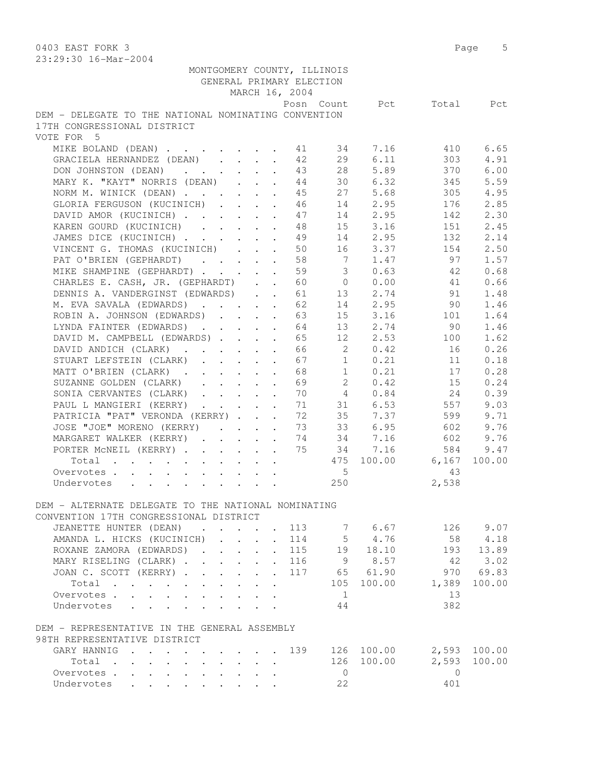0403 EAST FORK 3 Page 5 23:29:30 16-Mar-2004 MONTGOMERY COUNTY, ILLINOIS GENERAL PRIMARY ELECTION MARCH 16, 2004 Posn Count Pct Total Pct DEM - DELEGATE TO THE NATIONAL NOMINATING CONVENTION 17TH CONGRESSIONAL DISTRICT VOTE FOR 5 MIKE BOLAND (DEAN) . . . . . . . 41 34 7.16 410 6.65 GRACIELA HERNANDEZ (DEAN) . . . . 42 29 6.11 303 4.91 DON JOHNSTON (DEAN) . . . . . . 43 28 5.89 370 6.00 MARY K. "KAYT" NORRIS (DEAN) . . . 44 30 6.32 345 5.59 NORM M. WINICK (DEAN) . . . . . . 45 27 5.68 305 4.95 GLORIA FERGUSON (KUCINICH) . . . . 46 14 2.95 176 2.85 DAVID AMOR (KUCINICH) . . . . . 47 14 2.95 142 2.30 KAREN GOURD (KUCINICH) . . . . 48 15 3.16 151 2.45 JAMES DICE (KUCINICH) . . . . . . 49 14 2.95 132 2.14 VINCENT G. THOMAS (KUCINICH) . . . 50 16 3.37 154 2.50 PAT O'BRIEN (GEPHARDT) . . . . 58 7 1.47 97 1.57 MIKE SHAMPINE (GEPHARDT) . . . . . 59 3 0.63 42 0.68 CHARLES E. CASH, JR. (GEPHARDT) . . 60 0 0.00 41 0.66 DENNIS A. VANDERGINST (EDWARDS) . . 61 13 2.74 91 1.48 M. EVA SAVALA (EDWARDS) . . . . . 62 14 2.95 90 1.46 ROBIN A. JOHNSON (EDWARDS) . . . . 63 15 3.16 101 1.64 LYNDA FAINTER (EDWARDS) . . . . . 64 13 2.74 90 1.46 DAVID M. CAMPBELL (EDWARDS) . . . . 65 12 2.53 100 1.62 DAVID ANDICH (CLARK) . . . . . . 66 2 0.42 16 0.26 STUART LEFSTEIN (CLARK) . . . . 67 1 0.21 11 0.18 MATT O'BRIEN (CLARK) . . . . . . 68 1 0.21 17 0.28 SUZANNE GOLDEN (CLARK) . . . . . 69 2 0.42 15 0.24 SONIA CERVANTES (CLARK) . . . . . 70 4 0.84 24 0.39 PAUL L MANGIERI (KERRY) . . . . . 71 31 6.53 557 9.03 PATRICIA "PAT" VERONDA (KERRY) . . . 72 35 7.37 599 9.71 JOSE "JOE" MORENO (KERRY) . . . . 73 33 6.95 602 9.76 MARGARET WALKER (KERRY) . . . . . 74 34 7.16 602 9.76 PORTER McNEIL (KERRY) . . . . . . 75 34 7.16 584 9.47 Total . . . . . . . . . . 475 100.00 6,167 100.00 Overvotes . . . . . . . . . . . . 5 43 Undervotes . . . . . . . . . 250 2,538 DEM - ALTERNATE DELEGATE TO THE NATIONAL NOMINATING CONVENTION 17TH CONGRESSIONAL DISTRICT JEANETTE HUNTER (DEAN) . . . . 113 7 6.67 126 9.07 AMANDA L. HICKS (KUCINICH) . . . . 114 5 4.76 58 4.18 ROXANE ZAMORA (EDWARDS) . . . . . 115 19 18.10 193 13.89 MARY RISELING (CLARK) . . . . . . 116 9 8.57 42 3.02 JOAN C. SCOTT (KERRY) . . . . . . 117 65 61.90 970 69.83 Total . . . . . . . . . . 105 100.00 1,389 100.00 Overvotes . . . . . . . . . . . . 1 13 0 vervotes . . . . . . . . . . . . 1<br>
Undervotes . . . . . . . . . . 44 382 DEM - REPRESENTATIVE IN THE GENERAL ASSEMBLY

# 98TH REPRESENTATIVE DISTRICT

| GARY HANNIG 139 |  |  |  |  |  |       | 126 100.00 |     | 2,593 100.00 |
|-----------------|--|--|--|--|--|-------|------------|-----|--------------|
| Total           |  |  |  |  |  |       | 126 100.00 |     | 2,593 100.00 |
| Overvotes       |  |  |  |  |  |       | $\Box$     |     |              |
| Undervotes      |  |  |  |  |  | - 2.2 |            | 401 |              |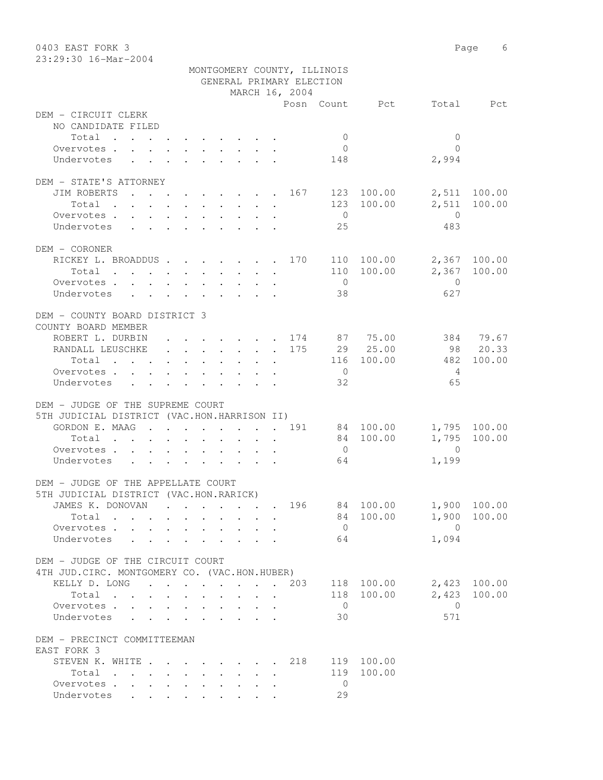| 0403 EAST FORK 3                                                             |                                         |                                                                  |     |                    |                      |                | Page 6       |
|------------------------------------------------------------------------------|-----------------------------------------|------------------------------------------------------------------|-----|--------------------|----------------------|----------------|--------------|
| 23:29:30 16-Mar-2004                                                         |                                         |                                                                  |     |                    |                      |                |              |
|                                                                              |                                         | MONTGOMERY COUNTY, ILLINOIS                                      |     |                    |                      |                |              |
|                                                                              |                                         | GENERAL PRIMARY ELECTION                                         |     |                    |                      |                |              |
|                                                                              |                                         | MARCH 16, 2004                                                   |     |                    | Posn Count Pct       |                | Total Pct    |
| DEM - CIRCUIT CLERK                                                          |                                         |                                                                  |     |                    |                      |                |              |
| NO CANDIDATE FILED                                                           |                                         |                                                                  |     |                    |                      |                |              |
| Total                                                                        |                                         |                                                                  |     | $\overline{0}$     |                      | $\mathbf{0}$   |              |
| Overvotes.                                                                   |                                         |                                                                  |     | $\overline{0}$     |                      | $\Omega$       |              |
| Undervotes                                                                   |                                         |                                                                  |     | 148                |                      | 2,994          |              |
|                                                                              |                                         |                                                                  |     |                    |                      |                |              |
| DEM - STATE'S ATTORNEY                                                       |                                         |                                                                  |     |                    |                      |                |              |
| JIM ROBERTS<br>. 167                                                         |                                         |                                                                  |     |                    | 123 100.00           |                | 2,511 100.00 |
| Total                                                                        |                                         |                                                                  |     |                    | 123 100.00           | 2,511          | 100.00       |
| Overvotes                                                                    |                                         |                                                                  |     | $\overline{0}$     |                      | $\overline{0}$ |              |
| Undervotes                                                                   |                                         |                                                                  |     | 25                 |                      | 483            |              |
|                                                                              |                                         |                                                                  |     |                    |                      |                |              |
| DEM - CORONER                                                                |                                         |                                                                  |     |                    |                      |                |              |
| RICKEY L. BROADDUS 170 110 100.00                                            |                                         |                                                                  |     |                    |                      |                | 2,367 100.00 |
| Total                                                                        |                                         |                                                                  |     |                    | 110 100.00           |                | 2,367 100.00 |
| Overvotes                                                                    |                                         |                                                                  |     | $\overline{0}$     |                      | $\overline{0}$ |              |
| Undervotes                                                                   |                                         |                                                                  |     | 38                 |                      | 627            |              |
| DEM - COUNTY BOARD DISTRICT 3                                                |                                         |                                                                  |     |                    |                      |                |              |
| COUNTY BOARD MEMBER                                                          |                                         |                                                                  |     |                    |                      |                |              |
| ROBERT L. DURBIN                                                             |                                         |                                                                  |     |                    | $\cdot$ 174 87 75.00 |                | 384 79.67    |
| RANDALL LEUSCHKE 175                                                         |                                         |                                                                  |     |                    | 29 25.00             |                | 98 20.33     |
| Total                                                                        |                                         |                                                                  |     |                    | 116 100.00           | 482            | 100.00       |
| Overvotes.                                                                   |                                         |                                                                  |     | $\overline{0}$     |                      | 4              |              |
| Undervotes                                                                   |                                         |                                                                  |     | 32                 |                      | 65             |              |
|                                                                              |                                         |                                                                  |     |                    |                      |                |              |
| DEM - JUDGE OF THE SUPREME COURT                                             |                                         |                                                                  |     |                    |                      |                |              |
| 5TH JUDICIAL DISTRICT (VAC.HON.HARRISON II)                                  |                                         |                                                                  |     |                    |                      |                |              |
| GORDON E. MAAG 191                                                           |                                         |                                                                  |     |                    | 84 100.00            |                | 1,795 100.00 |
| Total<br>$\ddot{\phantom{0}}$                                                |                                         |                                                                  |     |                    | 84 100.00            | 1,795          | 100.00       |
| Overvotes.                                                                   |                                         |                                                                  |     | $\overline{0}$     |                      | $\Omega$       |              |
| Undervotes                                                                   |                                         |                                                                  |     | 64                 |                      | 1,199          |              |
|                                                                              |                                         |                                                                  |     |                    |                      |                |              |
| DEM - JUDGE OF THE APPELLATE COURT<br>5TH JUDICIAL DISTRICT (VAC.HON.RARICK) |                                         |                                                                  |     |                    |                      |                |              |
| JAMES K. DONOVAN                                                             |                                         |                                                                  |     |                    | 196 84 100.00        |                | 1,900 100.00 |
| Total                                                                        |                                         | $\ddot{\phantom{a}}$                                             |     |                    | 84 100.00            | 1,900          | 100.00       |
| Overvotes                                                                    |                                         |                                                                  |     | $\overline{0}$     |                      | $\overline{0}$ |              |
| Undervotes<br>$\sim$                                                         |                                         |                                                                  |     | 64                 |                      | 1,094          |              |
|                                                                              |                                         |                                                                  |     |                    |                      |                |              |
| DEM - JUDGE OF THE CIRCUIT COURT                                             |                                         |                                                                  |     |                    |                      |                |              |
| 4TH JUD. CIRC. MONTGOMERY CO. (VAC.HON.HUBER)                                |                                         |                                                                  |     |                    |                      |                |              |
| KELLY D. LONG                                                                |                                         |                                                                  | 203 |                    | 118 100.00           | 2,423          | 100.00       |
| Total                                                                        |                                         | $\cdot$ $\cdot$ $\cdot$ $\cdot$ $\cdot$                          |     |                    | 118 100.00           | 2,423          | 100.00       |
| Overvotes                                                                    | $\cdot$ $\cdot$ $\cdot$ $\cdot$ $\cdot$ | $\cdot$ $\cdot$ $\cdot$ $\cdot$ $\cdot$                          |     | $\overline{0}$     |                      | $\overline{0}$ |              |
| Undervotes .                                                                 |                                         |                                                                  |     | 30                 |                      | 571            |              |
|                                                                              |                                         |                                                                  |     |                    |                      |                |              |
| DEM - PRECINCT COMMITTEEMAN                                                  |                                         |                                                                  |     |                    |                      |                |              |
| EAST FORK 3                                                                  |                                         |                                                                  |     |                    |                      |                |              |
| STEVEN K. WHITE                                                              |                                         |                                                                  | 218 |                    | 119 100.00           |                |              |
| Total                                                                        |                                         |                                                                  |     | 119                | 100.00               |                |              |
| Overvotes.<br>Undervotes                                                     | $\mathbf{L}^{\text{max}}$               | $\mathbf{r} = \mathbf{r} + \mathbf{r}$ .<br>$\ddot{\phantom{0}}$ |     | $\mathbf{0}$<br>29 |                      |                |              |
|                                                                              |                                         |                                                                  |     |                    |                      |                |              |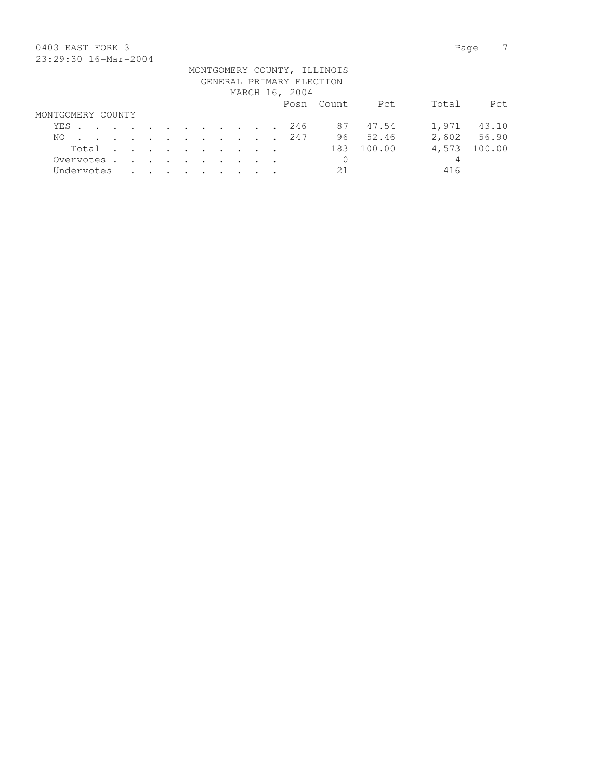### 0403 EAST FORK 3 Page 7 23:29:30 16-Mar-2004

| 40.49.90 10.101 4001 |  |  |  |  |  |                |                                                         |          |       |             |
|----------------------|--|--|--|--|--|----------------|---------------------------------------------------------|----------|-------|-------------|
|                      |  |  |  |  |  |                | MONTGOMERY COUNTY, ILLINOIS<br>GENERAL PRIMARY ELECTION |          |       |             |
|                      |  |  |  |  |  |                |                                                         |          |       |             |
|                      |  |  |  |  |  | MARCH 16, 2004 |                                                         |          |       |             |
|                      |  |  |  |  |  |                | Posn Count                                              | Pct      | Total | Pct         |
| MONTGOMERY COUNTY    |  |  |  |  |  |                |                                                         |          |       |             |
| YES. 246             |  |  |  |  |  |                |                                                         | 87 47.54 | 1,971 | 43.10       |
| NO.                  |  |  |  |  |  | . 247          |                                                         | 96 52.46 |       | 2,602 56.90 |
| Total                |  |  |  |  |  |                | 183                                                     | 100.00   | 4,573 | 100.00      |
| Overvotes.           |  |  |  |  |  |                | 0                                                       |          | 4     |             |
| Undervotes           |  |  |  |  |  |                | 21                                                      |          | 416   |             |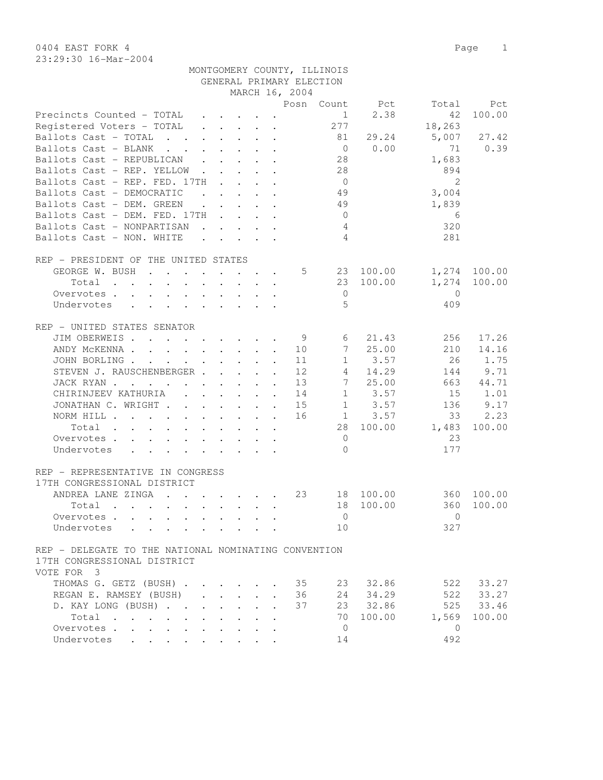0404 EAST FORK 4 Page 1 23:29:30 16-Mar-2004

| MONTGOMERY COUNTY, ILLINOIS |
|-----------------------------|
| GENERAL PRIMARY ELECTION    |
|                             |

| GENERAL PRIMARY ELECTION                                                                                                                                                                                                                                          |        |
|-------------------------------------------------------------------------------------------------------------------------------------------------------------------------------------------------------------------------------------------------------------------|--------|
| MARCH 16, 2004                                                                                                                                                                                                                                                    |        |
| Posn Count Pct<br>Total                                                                                                                                                                                                                                           | Pct    |
| Precincts Counted - TOTAL<br>2.38<br>42<br>1<br>$\cdot$ $\cdot$ $\cdot$ $\cdot$ $\cdot$ $\cdot$                                                                                                                                                                   | 100.00 |
| 277<br>Registered Voters - TOTAL<br>18,263<br>$\ddot{\phantom{a}}$                                                                                                                                                                                                |        |
| 5,007<br>Ballots Cast - TOTAL<br>81<br>29.24                                                                                                                                                                                                                      | 27.42  |
| 0.00<br>Ballots Cast - BLANK<br>71<br>$\overline{0}$                                                                                                                                                                                                              | 0.39   |
| Ballots Cast - REPUBLICAN<br>28<br>1,683                                                                                                                                                                                                                          |        |
| 28<br>Ballots Cast - REP. YELLOW<br>894                                                                                                                                                                                                                           |        |
| $\overline{2}$<br>Ballots Cast - REP. FED. 17TH<br>$\overline{0}$<br><b>Contract Contract Contract</b><br>$\mathbf{L} = \mathbf{L}$                                                                                                                               |        |
| Ballots Cast - DEMOCRATIC<br>49<br>3,004<br>$\cdot$ $\cdot$ $\cdot$ $\cdot$<br>$\sim$ $\sim$                                                                                                                                                                      |        |
| Ballots Cast - DEM. GREEN<br>49<br>1,839<br>$\cdot$ $\cdot$ $\cdot$ $\cdot$ $\cdot$ $\cdot$                                                                                                                                                                       |        |
| Ballots Cast - DEM. FED. 17TH<br>$\overline{0}$<br>6<br>$\mathbf{r}$ , $\mathbf{r}$ , $\mathbf{r}$                                                                                                                                                                |        |
| 320<br>Ballots Cast - NONPARTISAN<br>4                                                                                                                                                                                                                            |        |
| $\overline{4}$<br>Ballots Cast - NON. WHITE<br>281                                                                                                                                                                                                                |        |
|                                                                                                                                                                                                                                                                   |        |
|                                                                                                                                                                                                                                                                   |        |
| REP - PRESIDENT OF THE UNITED STATES                                                                                                                                                                                                                              |        |
| GEORGE W. BUSH<br>5<br>23 100.00<br>1,274 100.00                                                                                                                                                                                                                  |        |
| 100.00<br>1,274<br>Total<br>23<br>$\mathbf{r}$ , $\mathbf{r}$ , $\mathbf{r}$<br>$\mathbf{L}$ and $\mathbf{L}$                                                                                                                                                     | 100.00 |
| $\overline{0}$<br>$\overline{0}$<br>Overvotes                                                                                                                                                                                                                     |        |
| $\overline{5}$<br>Undervotes<br>409<br>$\mathbf{r}$ and $\mathbf{r}$ and $\mathbf{r}$ and $\mathbf{r}$ and $\mathbf{r}$ and $\mathbf{r}$                                                                                                                          |        |
|                                                                                                                                                                                                                                                                   |        |
| REP - UNITED STATES SENATOR                                                                                                                                                                                                                                       |        |
| JIM OBERWEIS<br>21.43<br>256<br>- 9<br>6                                                                                                                                                                                                                          | 17.26  |
| 25.00<br>210<br>ANDY MCKENNA<br>10<br>$7^{\circ}$                                                                                                                                                                                                                 | 14.16  |
| 26<br>JOHN BORLING<br>3.57<br>11<br>$\mathbf{1}$                                                                                                                                                                                                                  | 1.75   |
| STEVEN J. RAUSCHENBERGER<br>12<br>14.29<br>144<br>4                                                                                                                                                                                                               | 9.71   |
| 7<br>25.00<br>JACK RYAN<br>13<br>663<br>$\mathbf{A}$                                                                                                                                                                                                              | 44.71  |
| CHIRINJEEV KATHURIA (CHIRINJEEV KATHURIA)<br>$1 \t3.57$<br>15<br>14<br>$\ddot{\phantom{a}}$                                                                                                                                                                       | 1.01   |
| $1 \t3.57$<br>JONATHAN C. WRIGHT<br>15<br>136<br>$\ddot{\phantom{a}}$                                                                                                                                                                                             | 9.17   |
| $1 \t3.57$<br>NORM HILL<br>16<br>33                                                                                                                                                                                                                               | 2.23   |
| 28<br>100.00<br>1,483<br>Total                                                                                                                                                                                                                                    | 100.00 |
| $\overline{0}$<br>23<br>Overvotes                                                                                                                                                                                                                                 |        |
| $\bigcap$<br>177<br>Undervotes                                                                                                                                                                                                                                    |        |
|                                                                                                                                                                                                                                                                   |        |
| REP - REPRESENTATIVE IN CONGRESS                                                                                                                                                                                                                                  |        |
| 17TH CONGRESSIONAL DISTRICT                                                                                                                                                                                                                                       |        |
| ANDREA LANE ZINGA<br>23<br>18 100.00<br>360 100.00                                                                                                                                                                                                                |        |
| 100.00<br>$\mathbf{r}$ . The set of the set of the set of the set of the set of the set of the set of the set of the set of the set of the set of the set of the set of the set of the set of the set of the set of the set of the set of t<br>18<br>360<br>Total | 100.00 |
| $\Omega$<br>Overvotes<br>$\bigcap$                                                                                                                                                                                                                                |        |
| 327                                                                                                                                                                                                                                                               |        |
| 10<br>Undervotes                                                                                                                                                                                                                                                  |        |
|                                                                                                                                                                                                                                                                   |        |
| REP - DELEGATE TO THE NATIONAL NOMINATING CONVENTION                                                                                                                                                                                                              |        |
| 17TH CONGRESSIONAL DISTRICT                                                                                                                                                                                                                                       |        |
| VOTE FOR 3                                                                                                                                                                                                                                                        |        |
| THOMAS G. GETZ (BUSH)<br>23 32.86<br>522 33.27<br>35                                                                                                                                                                                                              |        |
| 522 33.27<br>24 34.29<br>REGAN E. RAMSEY (BUSH)<br>36                                                                                                                                                                                                             |        |
| 525 33.46<br>23 32.86<br>D. KAY LONG (BUSH)<br>37<br>$\mathbb{R}^2$                                                                                                                                                                                               |        |
| 70<br>100.00<br>1,569<br>Total                                                                                                                                                                                                                                    | 100.00 |
| $\overline{0}$<br>Overvotes<br>$\overline{0}$                                                                                                                                                                                                                     |        |
| 492<br>Undervotes<br>14                                                                                                                                                                                                                                           |        |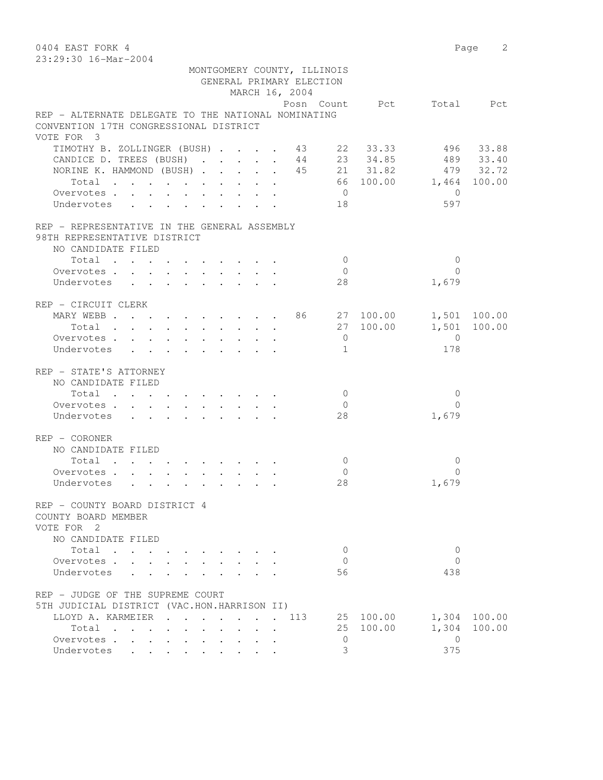0404 EAST FORK 4 Page 2 23:29:30 16-Mar-2004 MONTGOMERY COUNTY, ILLINOIS GENERAL PRIMARY ELECTION MARCH 16, 2004 Posn Count Pct Total Pct REP - ALTERNATE DELEGATE TO THE NATIONAL NOMINATING CONVENTION 17TH CONGRESSIONAL DISTRICT VOTE FOR 3 TIMOTHY B. ZOLLINGER (BUSH) . . . . 43 22 33.33 496 33.88 CANDICE D. TREES (BUSH) . . . . . 44 23 34.85 489 33.40 NORINE K. HAMMOND (BUSH) . . . . . 45 21 31.82 479 32.72 Total . . . . . . . . . . 66 100.00 1,464 100.00 Overvotes . . . . . . . . . . . 0 0<br>Indervotes . . . . . . . . . . 18 0 597 Undervotes . . . . . . . . . 18 597 REP - REPRESENTATIVE IN THE GENERAL ASSEMBLY 98TH REPRESENTATIVE DISTRICT NO CANDIDATE FILED 10tal . . . . . . . . . . . 0 0 0<br>ervotes . . . . . . . . . . . 0 0 0<br>dervotes . . . . . . . . . . 28 1,679 Overvotes . . . . . . . . . . Undervotes . . . . . . . . . 28 REP - CIRCUIT CLERK MARY WEBB . . . . . . . . . 86 27 100.00 1,501 100.00 Total . . . . . . . . . . 27 100.00 1,501 100.00 Overvotes . . . . . . . . . . . 0 Undervotes . . . . . . . . . 1 178 REP - STATE'S ATTORNEY NO CANDIDATE FILED  $\texttt{Total} \quad . \quad . \quad . \quad . \quad . \quad . \quad . \qquad . \qquad 0 \qquad \qquad 0$  Overvotes . . . . . . . . . . 0 0 Undervotes . . . . . . . . . 28 REP - CORONER NO CANDIDATE FILED  $\texttt{Total} \quad . \quad . \quad . \quad . \quad . \quad . \quad . \qquad . \qquad 0 \qquad \qquad 0$ Overvotes . . . . . . . . . . . 0 0<br>IIndervotes . . . . . . . . . . . 28 0 1,679 Undervotes . . . . . . . . . 28 REP - COUNTY BOARD DISTRICT 4 COUNTY BOARD MEMBER VOTE FOR 2 NO CANDIDATE FILED Total . . . . . . . . . . 0 0 Overvotes . . . . . . . . . . 0 Undervotes . . . . . . . . . 56 438 REP - JUDGE OF THE SUPREME COURT 5TH JUDICIAL DISTRICT (VAC.HON.HARRISON II)

 LLOYD A. KARMEIER . . . . . . . 113 25 100.00 1,304 100.00 Total . . . . . . . . . . 25 100.00 1,304 100.00 Overvotes . . . . . . . . . . 0 0 Undervotes . . . . . . . . . 3 375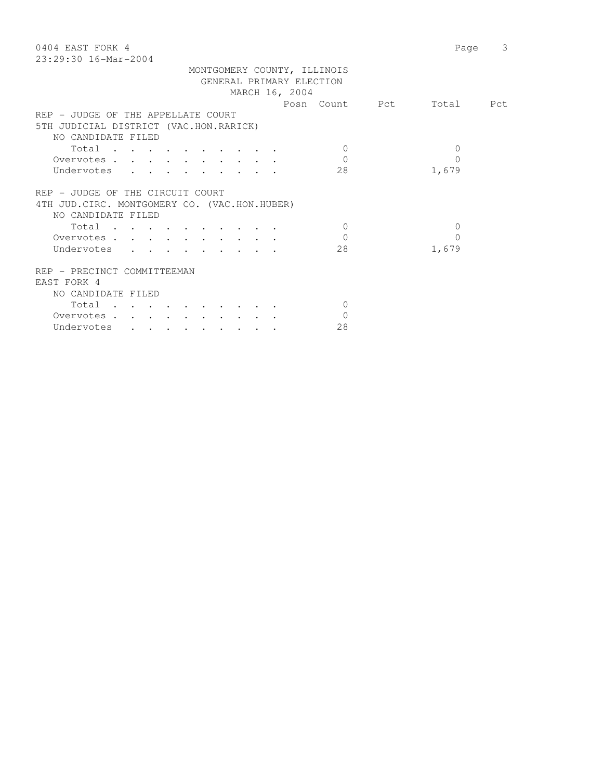| 0404 EAST FORK 4                              |                | 3<br>Page |
|-----------------------------------------------|----------------|-----------|
| 23:29:30 16-Mar-2004                          |                |           |
| MONTGOMERY COUNTY, ILLINOIS                   |                |           |
| GENERAL PRIMARY ELECTION                      |                |           |
| MARCH 16, 2004                                |                |           |
|                                               | Posn Count Pct | Total Pct |
| REP - JUDGE OF THE APPELLATE COURT            |                |           |
| 5TH JUDICIAL DISTRICT (VAC.HON.RARICK)        |                |           |
| NO CANDIDATE FILED                            |                |           |
| Total                                         | $\Omega$       | $\Omega$  |
| Overvotes                                     | $\Omega$       | 0         |
| Undervotes                                    | 28             | 1,679     |
|                                               |                |           |
| REP - JUDGE OF THE CIRCUIT COURT              |                |           |
| 4TH JUD. CIRC. MONTGOMERY CO. (VAC.HON.HUBER) |                |           |
| NO CANDIDATE FILED                            |                |           |
| Total                                         | $\Omega$       | $\Omega$  |
| Overvotes                                     | $\Omega$       | 0         |
|                                               | 28             |           |
| Undervotes                                    |                | 1,679     |
| REP - PRECINCT COMMITTEEMAN                   |                |           |
|                                               |                |           |
| EAST FORK 4                                   |                |           |
| NO CANDIDATE FILED                            |                |           |
| Total                                         | $\Omega$       |           |
| Overvotes                                     | $\mathbf{0}$   |           |
| Undervotes                                    | 28             |           |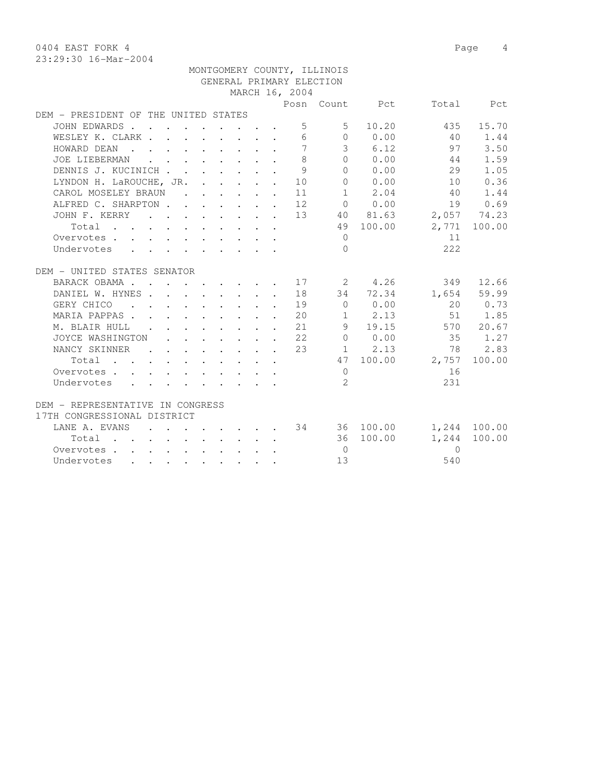0404 EAST FORK 4 Page 4

|                                                                                                                                                    |  |  | GENERAL PRIMARY ELECTION |                   |                                                 |                                   |              |
|----------------------------------------------------------------------------------------------------------------------------------------------------|--|--|--------------------------|-------------------|-------------------------------------------------|-----------------------------------|--------------|
|                                                                                                                                                    |  |  | MARCH 16, 2004           |                   |                                                 |                                   |              |
|                                                                                                                                                    |  |  |                          |                   | Posn Count Pct                                  |                                   | Total Pct    |
| DEM - PRESIDENT OF THE UNITED STATES                                                                                                               |  |  |                          |                   |                                                 |                                   |              |
| JOHN EDWARDS                                                                                                                                       |  |  |                          | $5 \sim$<br>$5 -$ | 10.20                                           | 435                               | 15.70        |
| WESLEY K. CLARK                                                                                                                                    |  |  | 6                        |                   | $\begin{array}{ccc} & & 0 & & 0.00 \end{array}$ | 40                                | 1.44         |
| and the contract of the contract of the contract of the contract of the contract of<br>HOWARD DEAN                                                 |  |  | 7                        |                   | 36.12                                           | 97                                | 3.50         |
| JOE LIEBERMAN<br>$\mathbf{r}$ , and $\mathbf{r}$ , and $\mathbf{r}$ , and $\mathbf{r}$                                                             |  |  | 8                        | $\Omega$          | 0.00                                            | 44                                | 1.59         |
| DENNIS J. KUCINICH                                                                                                                                 |  |  | 9                        | $\Omega$          | 0.00                                            | 29                                | 1.05         |
| LYNDON H. LaROUCHE, JR. 10                                                                                                                         |  |  |                          |                   | 0 0.00                                          | 10                                | 0.36         |
| CAROL MOSELEY BRAUN 11                                                                                                                             |  |  |                          |                   | $1 \t 2.04$                                     | 40                                | 1.44         |
| ALFRED C. SHARPTON 12                                                                                                                              |  |  |                          |                   | $0 \t 0.00$                                     |                                   | 19 0.69      |
| JOHN F. KERRY 13                                                                                                                                   |  |  |                          |                   | 40 81.63                                        |                                   | 2,057 74.23  |
| Total                                                                                                                                              |  |  |                          |                   | 49 100.00                                       |                                   | 2,771 100.00 |
| Overvotes                                                                                                                                          |  |  |                          | $\Omega$          |                                                 | 11                                |              |
| Undervotes                                                                                                                                         |  |  |                          | $\Omega$          |                                                 | 222                               |              |
|                                                                                                                                                    |  |  |                          |                   |                                                 |                                   |              |
| DEM - UNITED STATES SENATOR                                                                                                                        |  |  |                          |                   |                                                 |                                   |              |
| BARACK OBAMA 17 2 4.26                                                                                                                             |  |  |                          |                   |                                                 |                                   | 349 12.66    |
| DANIEL W. HYNES. 18                                                                                                                                |  |  |                          |                   |                                                 | 34 72.34 1,654 59.99              |              |
| GERY CHICO<br>$\mathbf{r}$ , and $\mathbf{r}$ , and $\mathbf{r}$ , and $\mathbf{r}$ , and $\mathbf{r}$                                             |  |  | 19                       |                   | $0 \t 0.00$                                     |                                   | 20 0.73      |
| MARIA PAPPAS<br>$\mathbf{r}$ , $\mathbf{r}$ , $\mathbf{r}$ , $\mathbf{r}$ , $\mathbf{r}$                                                           |  |  | 20                       |                   | $1 \t 2.13$                                     | 51                                | 1.85         |
| $\cdot$ $\cdot$ $\cdot$ $\cdot$ $\cdot$ $\cdot$ $\cdot$ 21<br>M. BLAIR HULL .                                                                      |  |  |                          |                   | 9 19.15                                         | 570 20.67                         |              |
| $\cdot$ $\cdot$ $\cdot$ $\cdot$ $\cdot$ $\cdot$ $\cdot$ 22<br>JOYCE WASHINGTON                                                                     |  |  |                          |                   | $0 \t 0.00$                                     |                                   | 35 1.27      |
| NANCY SKINNER<br>$\cdot$ 23                                                                                                                        |  |  |                          |                   | 1 2.13                                          | 78 2.83                           |              |
|                                                                                                                                                    |  |  |                          |                   | 47 100.00                                       | 2,757                             | 100.00       |
| Overvotes                                                                                                                                          |  |  |                          | $\Omega$          |                                                 | 16                                |              |
| Undervotes                                                                                                                                         |  |  |                          | $\mathcal{L}$     |                                                 | 231                               |              |
|                                                                                                                                                    |  |  |                          |                   |                                                 |                                   |              |
| DEM - REPRESENTATIVE IN CONGRESS                                                                                                                   |  |  |                          |                   |                                                 |                                   |              |
| 17TH CONGRESSIONAL DISTRICT                                                                                                                        |  |  |                          |                   |                                                 |                                   |              |
| LANE A. EVANS                                                                                                                                      |  |  |                          |                   |                                                 | $\cdot$ 34 36 100.00 1,244 100.00 |              |
| Total                                                                                                                                              |  |  |                          |                   | 36 100.00                                       | 1,244                             | 100.00       |
| Overvotes                                                                                                                                          |  |  |                          | $\overline{0}$    |                                                 | $\Omega$                          |              |
| Undervotes<br>$\mathbf{r} = \mathbf{r} + \mathbf{r}$ , where $\mathbf{r} = \mathbf{r} + \mathbf{r}$ , where $\mathbf{r} = \mathbf{r} + \mathbf{r}$ |  |  |                          | 13                |                                                 | 540                               |              |

MONTGOMERY COUNTY, ILLINOIS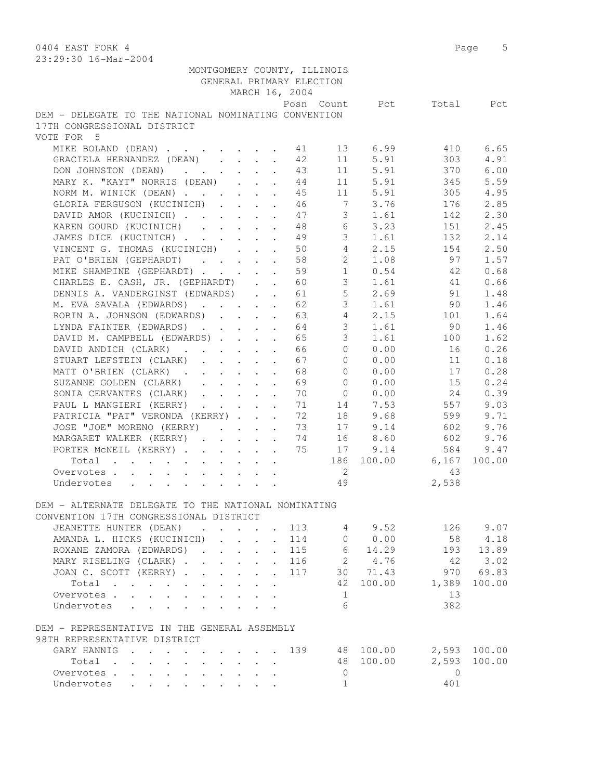0404 EAST FORK 4 Page 5 23:29:30 16-Mar-2004

|                                                      |  |                                         |                                              | GENERAL PRIMARY ELECTION | MONTGOMERY COUNTY, ILLINOIS |             |                          |                   |
|------------------------------------------------------|--|-----------------------------------------|----------------------------------------------|--------------------------|-----------------------------|-------------|--------------------------|-------------------|
|                                                      |  |                                         |                                              |                          |                             |             |                          |                   |
|                                                      |  |                                         |                                              | MARCH 16, 2004           |                             |             |                          |                   |
| DEM - DELEGATE TO THE NATIONAL NOMINATING CONVENTION |  |                                         |                                              |                          |                             |             | Posn Count Pct Total Pct |                   |
| 17TH CONGRESSIONAL DISTRICT                          |  |                                         |                                              |                          |                             |             |                          |                   |
| VOTE FOR 5                                           |  |                                         |                                              |                          |                             |             |                          |                   |
| MIKE BOLAND (DEAN) 11                                |  |                                         |                                              |                          |                             | 13 6.99     | 410                      | 6.65              |
| GRACIELA HERNANDEZ (DEAN) 42                         |  |                                         |                                              |                          |                             | 11 5.91     | 303                      | 4.91              |
| DON JOHNSTON (DEAN) 43                               |  |                                         |                                              |                          |                             | 11 5.91     | 370                      | 6.00              |
| MARY K. "KAYT" NORRIS (DEAN) 44                      |  |                                         |                                              |                          |                             | 11 5.91     | 345                      | 5.59              |
| NORM M. WINICK (DEAN) 45                             |  |                                         |                                              |                          |                             | 11 5.91     | 305                      | 4.95              |
| GLORIA FERGUSON (KUCINICH) 46                        |  |                                         |                                              |                          |                             | 7 3.76      | 176                      | 2.85              |
| DAVID AMOR (KUCINICH)                                |  |                                         |                                              | 47                       | 3 <sup>7</sup>              | 1.61        | 142                      | 2.30              |
| KAREN GOURD (KUCINICH)                               |  |                                         |                                              | 48                       | 6                           | 3.23        | 151                      | 2.45              |
| JAMES DICE (KUCINICH)                                |  |                                         |                                              | 49                       | $\mathcal{S}$               | 1.61        | 132                      | 2.14              |
| VINCENT G. THOMAS (KUCINICH)                         |  |                                         | $\mathbf{L}$                                 | 50                       | $4 \quad$                   | 2.15        | 154                      | 2.50              |
| PAT O'BRIEN (GEPHARDT)                               |  |                                         |                                              | 58                       | $\overline{2}$              | 1.08        | 97                       | 1.57              |
| MIKE SHAMPINE (GEPHARDT) 59                          |  |                                         |                                              |                          |                             | $1 \t 0.54$ | 42                       | 0.68              |
| CHARLES E. CASH, JR. (GEPHARDT) 60                   |  |                                         |                                              |                          |                             |             | $3 \t 1.61 \t 41$        | 0.66              |
| DENNIS A. VANDERGINST (EDWARDS) 61                   |  |                                         |                                              |                          |                             |             | 5 2.69 91                | 1.48              |
| M. EVA SAVALA (EDWARDS) 62                           |  |                                         |                                              |                          | 3 <sup>7</sup>              | 1.61        | 90                       | 1.46              |
| ROBIN A. JOHNSON (EDWARDS) 63                        |  |                                         |                                              |                          | $4\overline{ }$             | 2.15        | 101                      | 1.64              |
| LYNDA FAINTER (EDWARDS)                              |  |                                         |                                              | 64                       | 3 <sup>7</sup>              | 1.61        | 90                       | 1.46              |
| DAVID M. CAMPBELL (EDWARDS)                          |  |                                         |                                              | 65                       | $\mathcal{S}$               | 1.61        | 100                      | 1.62              |
| DAVID ANDICH (CLARK)                                 |  |                                         |                                              | 66                       | $\Omega$                    | 0.00        | 16                       | 0.26              |
| STUART LEFSTEIN (CLARK)                              |  |                                         |                                              | 67                       | $\Omega$                    | 0.00        | 11                       | 0.18              |
| MATT O'BRIEN (CLARK)                                 |  |                                         |                                              | 68                       | $\Omega$                    | 0.00        | 17                       | 0.28              |
| SUZANNE GOLDEN (CLARK)                               |  |                                         |                                              | 69                       | $\Omega$                    | 0.00        | 15                       | 0.24              |
| SONIA CERVANTES (CLARK)                              |  |                                         |                                              | 70                       |                             | $0 \t 0.00$ | 24                       | 0.39              |
| PAUL L MANGIERI (KERRY)                              |  |                                         |                                              | 71                       |                             | 14 7.53     | 557                      | 9.03              |
| PATRICIA "PAT" VERONDA (KERRY)                       |  |                                         |                                              | 72                       | 18                          | 9.68        | 599                      | 9.71              |
| JOSE "JOE" MORENO (KERRY)                            |  |                                         |                                              | 73                       | 17                          | 9.14        | 602                      | 9.76              |
|                                                      |  |                                         |                                              | 74                       | 16                          | 8.60        | 602                      | 9.76              |
| MARGARET WALKER (KERRY)<br>PORTER MCNEIL (KERRY)     |  |                                         | $\ddot{\phantom{a}}$                         | 75                       | 17                          | 9.14        | 584                      | 9.47              |
|                                                      |  |                                         |                                              |                          |                             |             | 186 100.00 6,167         |                   |
| Total                                                |  |                                         |                                              |                          |                             |             | 43                       | 100.00            |
| Overvotes.                                           |  |                                         |                                              |                          | $\overline{2}$              |             |                          |                   |
| Undervotes                                           |  |                                         |                                              |                          | 49                          |             | 2,538                    |                   |
| DEM - ALTERNATE DELEGATE TO THE NATIONAL NOMINATING  |  |                                         |                                              |                          |                             |             |                          |                   |
| CONVENTION 17TH CONGRESSIONAL DISTRICT               |  |                                         |                                              |                          |                             |             |                          |                   |
|                                                      |  |                                         |                                              | 113                      |                             | 49.52       |                          | 126 9.07          |
| JEANETTE HUNTER (DEAN)<br>AMANDA L. HICKS (KUCINICH) |  |                                         |                                              | 114                      | $\overline{0}$              | 0.00        | 58                       |                   |
| ROXANE ZAMORA (EDWARDS)                              |  |                                         | $\ddot{\phantom{0}}$                         | 115                      | $6\overline{6}$             | 14.29       |                          | 4.18<br>193 13.89 |
| MARY RISELING (CLARK)                                |  |                                         | $\ddot{\phantom{0}}$<br>$\ddot{\phantom{0}}$ | 116                      |                             | 2 4.76      | 42                       | 3.02              |
|                                                      |  |                                         |                                              |                          |                             | 30 71.43    |                          | 69.83             |
| JOAN C. SCOTT (KERRY)                                |  |                                         |                                              | 117                      | 42                          | 100.00      | 970                      | 100.00            |
| Total<br>Overvotes                                   |  |                                         |                                              |                          |                             |             | 1,389<br>13              |                   |
|                                                      |  | $\cdot$ $\cdot$                         |                                              |                          | $\mathbf{1}$<br>6           |             | 382                      |                   |
| Undervotes                                           |  |                                         |                                              |                          |                             |             |                          |                   |
| DEM - REPRESENTATIVE IN THE GENERAL ASSEMBLY         |  |                                         |                                              |                          |                             |             |                          |                   |
| 98TH REPRESENTATIVE DISTRICT                         |  |                                         |                                              |                          |                             |             |                          |                   |
| GARY HANNIG                                          |  |                                         |                                              | 139                      |                             | 48 100.00   |                          | 2,593 100.00      |
| Total                                                |  | $\cdot$ $\cdot$ $\cdot$ $\cdot$ $\cdot$ |                                              |                          |                             | 48 100.00   | 2,593                    | 100.00            |
| Overvotes.                                           |  |                                         |                                              |                          | $\overline{0}$              |             | $\overline{0}$           |                   |
| Undervotes                                           |  |                                         |                                              |                          | $\mathbf{1}$                |             | 401                      |                   |
|                                                      |  |                                         |                                              |                          |                             |             |                          |                   |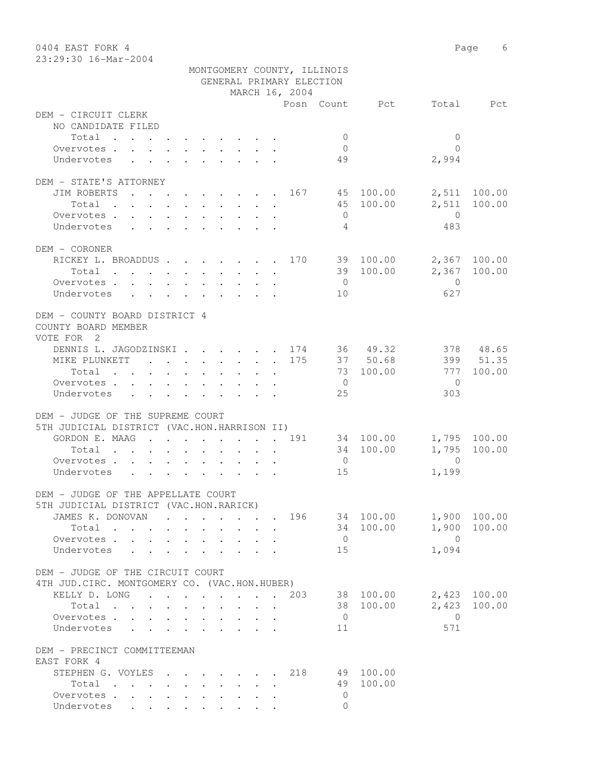| 0404 EAST FORK 4<br>23:29:30 16-Mar-2004                           |                                                                                          |                                                                                               |              |                                                                               |                           |        |                                            |                             |                |                   | Page<br>6    |
|--------------------------------------------------------------------|------------------------------------------------------------------------------------------|-----------------------------------------------------------------------------------------------|--------------|-------------------------------------------------------------------------------|---------------------------|--------|--------------------------------------------|-----------------------------|----------------|-------------------|--------------|
|                                                                    |                                                                                          |                                                                                               |              |                                                                               |                           |        |                                            | MONTGOMERY COUNTY, ILLINOIS |                |                   |              |
|                                                                    |                                                                                          |                                                                                               |              |                                                                               |                           |        | GENERAL PRIMARY ELECTION<br>MARCH 16, 2004 |                             |                |                   |              |
|                                                                    |                                                                                          |                                                                                               |              |                                                                               |                           |        |                                            |                             | Posn Count Pct |                   | Total Pct    |
| DEM - CIRCUIT CLERK                                                |                                                                                          |                                                                                               |              |                                                                               |                           |        |                                            |                             |                |                   |              |
| NO CANDIDATE FILED                                                 |                                                                                          |                                                                                               |              |                                                                               |                           |        |                                            |                             |                |                   |              |
| Total                                                              |                                                                                          |                                                                                               |              |                                                                               |                           |        |                                            | $\mathbf{0}$                |                | $\mathbf{0}$      |              |
| Overvotes                                                          |                                                                                          |                                                                                               |              |                                                                               |                           |        |                                            | $\mathbf{0}$                |                | $\Omega$          |              |
| Undervotes                                                         | $\cdot$ $\cdot$                                                                          |                                                                                               |              |                                                                               |                           |        |                                            | 49                          |                | 2,994             |              |
| DEM - STATE'S ATTORNEY                                             |                                                                                          |                                                                                               |              |                                                                               |                           |        |                                            |                             |                |                   |              |
| JIM ROBERTS                                                        |                                                                                          |                                                                                               |              |                                                                               |                           |        | . 167                                      |                             | 45 100.00      |                   | 2,511 100.00 |
| Total                                                              | $\mathbf{r}$ , and $\mathbf{r}$ , and $\mathbf{r}$ , and $\mathbf{r}$ , and $\mathbf{r}$ |                                                                                               |              |                                                                               |                           |        |                                            |                             | 45 100.00      |                   | 2,511 100.00 |
| Overvotes .                                                        |                                                                                          |                                                                                               |              |                                                                               |                           |        |                                            | $\Omega$                    |                | $\Omega$          |              |
| Undervotes                                                         |                                                                                          |                                                                                               |              |                                                                               |                           |        |                                            | 4                           |                | 483               |              |
| DEM - CORONER                                                      |                                                                                          |                                                                                               |              |                                                                               |                           |        |                                            |                             |                |                   |              |
| RICKEY L. BROADDUS                                                 |                                                                                          |                                                                                               |              |                                                                               |                           |        | 170                                        |                             | 39 100.00      |                   | 2,367 100.00 |
| Total                                                              |                                                                                          |                                                                                               |              | $\mathbf{r}$ . The set of $\mathbf{r}$                                        |                           | $\sim$ |                                            |                             | 39 100.00      | 2,367             | 100.00       |
| Overvotes.                                                         |                                                                                          |                                                                                               |              |                                                                               |                           |        |                                            | $\overline{0}$              |                | $\bigcirc$        |              |
| Undervotes                                                         | $\mathbf{r}$ , and $\mathbf{r}$ , and $\mathbf{r}$ , and $\mathbf{r}$ , and $\mathbf{r}$ |                                                                                               |              |                                                                               |                           |        |                                            | 10                          |                | 627               |              |
| DEM - COUNTY BOARD DISTRICT 4<br>COUNTY BOARD MEMBER<br>VOTE FOR 2 |                                                                                          |                                                                                               |              |                                                                               |                           |        |                                            |                             |                |                   |              |
| DENNIS L. JAGODZINSKI 174                                          |                                                                                          |                                                                                               |              |                                                                               |                           |        |                                            |                             | 36 49.32       |                   | 378 48.65    |
| MIKE PLUNKETT                                                      |                                                                                          | <b><i>Contract Contract States</i></b>                                                        |              | $\begin{array}{cccccccccccccc} . & . & . & . & . & . & . & . & . \end{array}$ |                           |        | 175                                        |                             | 37 50.68       |                   | 399 51.35    |
| Total                                                              |                                                                                          | $\sim$<br>$\sim$                                                                              | $\mathbf{r}$ |                                                                               | $\mathbf{r} = \mathbf{r}$ |        |                                            |                             | 73 100.00      | 777               | 100.00       |
| Overvotes.                                                         |                                                                                          |                                                                                               |              |                                                                               |                           |        |                                            | $\overline{0}$              |                | $\bigcirc$<br>303 |              |
| Undervotes                                                         |                                                                                          | $\mathbf{r}$ , $\mathbf{r}$ , $\mathbf{r}$ , $\mathbf{r}$ , $\mathbf{r}$ , $\mathbf{r}$       |              |                                                                               |                           |        |                                            | 25                          |                |                   |              |
| DEM - JUDGE OF THE SUPREME COURT                                   |                                                                                          |                                                                                               |              |                                                                               |                           |        |                                            |                             |                |                   |              |
| 5TH JUDICIAL DISTRICT (VAC.HON.HARRISON II)                        |                                                                                          |                                                                                               |              |                                                                               |                           |        |                                            |                             |                |                   |              |
| GORDON E. MAAG                                                     |                                                                                          | $\mathbf{r}$ , and $\mathbf{r}$ , and $\mathbf{r}$ , and $\mathbf{r}$                         |              |                                                                               |                           |        | . 191                                      |                             | 34 100.00      |                   | 1,795 100.00 |
| Total                                                              |                                                                                          |                                                                                               |              |                                                                               |                           |        |                                            |                             | 34 100.00      |                   | 1,795 100.00 |
| Overvotes .                                                        | $\Delta \sim 10^4$                                                                       | $\begin{array}{cccccccccccccccccc} . & . & . & . & . & . & . & . & . & . & . & . \end{array}$ |              |                                                                               |                           |        |                                            | $\overline{0}$              |                | $\Omega$          |              |
| Undervotes                                                         |                                                                                          |                                                                                               |              |                                                                               |                           |        |                                            | 15                          |                | 1,199             |              |
| DEM - JUDGE OF THE APPELLATE COURT                                 |                                                                                          |                                                                                               |              |                                                                               |                           |        |                                            |                             |                |                   |              |
| 5TH JUDICIAL DISTRICT (VAC.HON.RARICK)                             |                                                                                          |                                                                                               |              |                                                                               |                           |        |                                            |                             |                |                   |              |
| JAMES K. DONOVAN 196 34 100.00                                     |                                                                                          |                                                                                               |              |                                                                               |                           |        |                                            |                             |                |                   | 1,900 100.00 |
| Total                                                              |                                                                                          |                                                                                               |              |                                                                               |                           |        |                                            |                             | 34 100.00      |                   | 1,900 100.00 |
| Overvotes                                                          |                                                                                          |                                                                                               |              |                                                                               |                           |        |                                            | $\overline{0}$              |                | $\overline{0}$    |              |
| Undervotes                                                         |                                                                                          | $\cdot$ $\cdot$ $\cdot$ $\cdot$                                                               |              |                                                                               |                           |        |                                            | 15                          |                | 1,094             |              |
| DEM - JUDGE OF THE CIRCUIT COURT                                   |                                                                                          |                                                                                               |              |                                                                               |                           |        |                                            |                             |                |                   |              |
| 4TH JUD. CIRC. MONTGOMERY CO. (VAC.HON.HUBER)                      |                                                                                          |                                                                                               |              |                                                                               |                           |        |                                            |                             |                |                   |              |
| KELLY D. LONG                                                      |                                                                                          |                                                                                               |              |                                                                               |                           |        | 203                                        |                             | 38 100.00      |                   | 2,423 100.00 |
| Total $\cdots$                                                     |                                                                                          |                                                                                               |              |                                                                               |                           |        |                                            |                             | 38 100.00      | 2,423             | 100.00       |
| Overvotes.                                                         |                                                                                          |                                                                                               |              |                                                                               |                           |        |                                            | $\overline{0}$              |                | $\overline{0}$    |              |
| Undervotes                                                         |                                                                                          |                                                                                               |              |                                                                               |                           |        |                                            | 11                          |                | 571               |              |
| DEM - PRECINCT COMMITTEEMAN                                        |                                                                                          |                                                                                               |              |                                                                               |                           |        |                                            |                             |                |                   |              |
| EAST FORK 4                                                        |                                                                                          |                                                                                               |              |                                                                               |                           |        |                                            |                             |                |                   |              |
| STEPHENG. VOYLES 218                                               |                                                                                          |                                                                                               |              |                                                                               |                           |        |                                            |                             | 49 100.00      |                   |              |
| Total                                                              |                                                                                          |                                                                                               |              |                                                                               |                           |        |                                            |                             | 49 100.00      |                   |              |
| Overvotes.                                                         |                                                                                          |                                                                                               |              |                                                                               |                           |        |                                            | $\Omega$                    |                |                   |              |
| Undervotes                                                         |                                                                                          |                                                                                               |              |                                                                               |                           |        |                                            | $\Omega$                    |                |                   |              |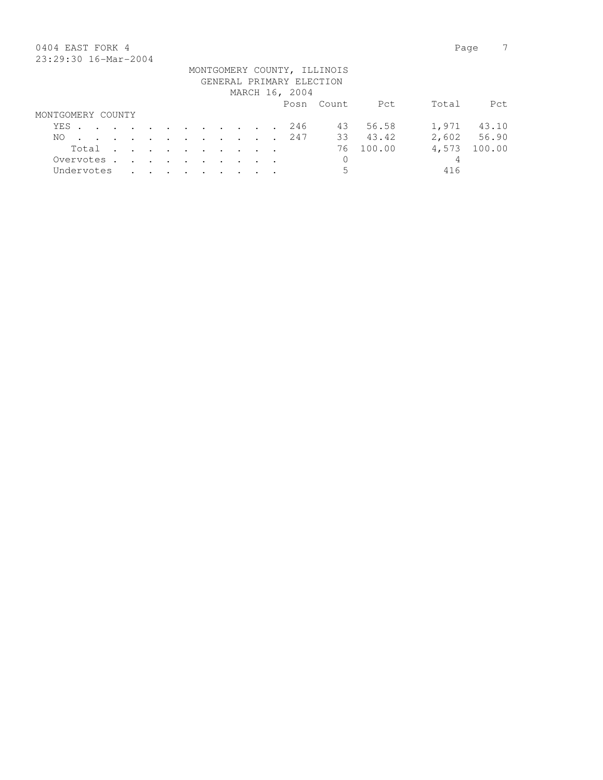# 0404 EAST FORK 4 Page 7 23:29:30 16-Mar-2004

| 40.49.90 10.101 4001 |       |  |  |  |  |  |                |                                                         |           |       |             |
|----------------------|-------|--|--|--|--|--|----------------|---------------------------------------------------------|-----------|-------|-------------|
|                      |       |  |  |  |  |  |                | MONTGOMERY COUNTY, ILLINOIS<br>GENERAL PRIMARY ELECTION |           |       |             |
|                      |       |  |  |  |  |  |                |                                                         |           |       |             |
|                      |       |  |  |  |  |  | MARCH 16, 2004 |                                                         |           |       |             |
|                      |       |  |  |  |  |  |                | Posn Count                                              | Pct       | Total | Pct         |
| MONTGOMERY COUNTY    |       |  |  |  |  |  |                |                                                         |           |       |             |
| YES 246              |       |  |  |  |  |  |                |                                                         | 43 56.58  |       | 1,971 43.10 |
| NO.                  |       |  |  |  |  |  | . 247          |                                                         | 33 43.42  |       | 2,602 56.90 |
|                      | Total |  |  |  |  |  |                |                                                         | 76 100.00 | 4,573 | 100.00      |
| Overvotes.           |       |  |  |  |  |  |                | $\mathbf 0$                                             |           | 4     |             |
| Undervotes           |       |  |  |  |  |  |                | 5                                                       |           | 416   |             |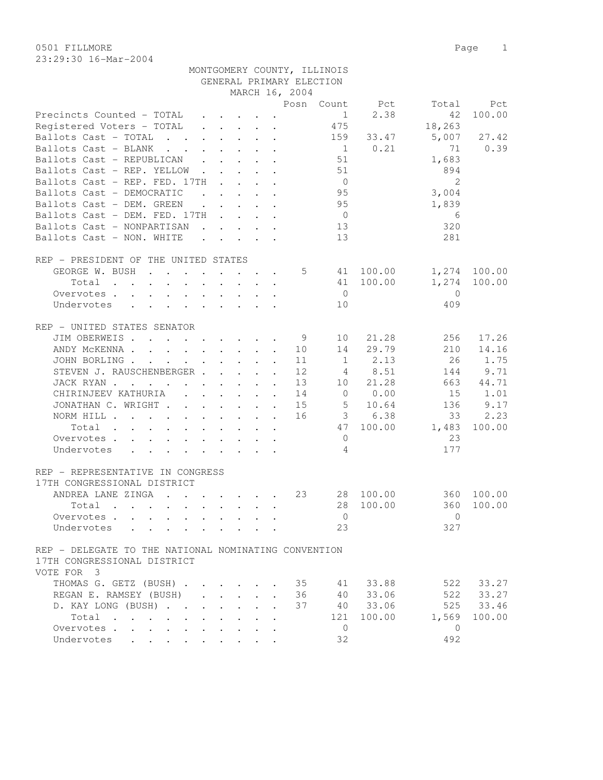0501 FILLMORE 2012 Page 2013 23:29:30 16-Mar-2004

| 49.49.30 IOTMALTZUUT                      |  |  |  |  |  |  |  |  |                          |              |                |        |             |
|-------------------------------------------|--|--|--|--|--|--|--|--|--------------------------|--------------|----------------|--------|-------------|
| MONTGOMERY COUNTY, ILLINOIS               |  |  |  |  |  |  |  |  |                          |              |                |        |             |
|                                           |  |  |  |  |  |  |  |  | GENERAL PRIMARY ELECTION |              |                |        |             |
|                                           |  |  |  |  |  |  |  |  | MARCH 16, 2004           |              |                |        |             |
|                                           |  |  |  |  |  |  |  |  |                          |              | Posn Count Pct |        | Total Pct   |
| Precincts Counted - TOTAL                 |  |  |  |  |  |  |  |  |                          |              | 1 2.38         |        | 42 100.00   |
| Registered Voters - TOTAL   .   .   .   . |  |  |  |  |  |  |  |  |                          | 475          |                | 18,263 |             |
| Ballots Cast - TOTAL                      |  |  |  |  |  |  |  |  |                          | 159          | 33.47          |        | 5,007 27.42 |
| Ballots Cast - BLANK 1 0.21               |  |  |  |  |  |  |  |  |                          |              |                | 71     | 0.39        |
| Ballots Cast - REPUBLICAN                 |  |  |  |  |  |  |  |  |                          | 51           |                | 1,683  |             |
| Ballots Cast - REP. YELLOW                |  |  |  |  |  |  |  |  |                          | 51           |                | 894    |             |
| Ballots Cast - REP. FED. 17TH             |  |  |  |  |  |  |  |  |                          | $\mathbf{0}$ |                |        |             |
| Ballots Cast - DEMOCRATIC                 |  |  |  |  |  |  |  |  |                          | 95           |                | 3,004  |             |
| Ballots Cast - DEM. GREEN                 |  |  |  |  |  |  |  |  |                          | 95           |                | 1,839  |             |
| Ballots Cast - DEM. FED. 17TH             |  |  |  |  |  |  |  |  |                          | $\mathbf{0}$ |                | 6      |             |

| Ballots Cast - NONPARTISAN           |                                                                                                                                                                                                                                   |                                                                                                                                                                                                                                   | $\mathbf{r}$ , and $\mathbf{r}$ , and $\mathbf{r}$        |                                    |  |                | 13             |             | 320      |              |
|--------------------------------------|-----------------------------------------------------------------------------------------------------------------------------------------------------------------------------------------------------------------------------------|-----------------------------------------------------------------------------------------------------------------------------------------------------------------------------------------------------------------------------------|-----------------------------------------------------------|------------------------------------|--|----------------|----------------|-------------|----------|--------------|
| Ballots Cast - NON. WHITE            |                                                                                                                                                                                                                                   |                                                                                                                                                                                                                                   |                                                           |                                    |  |                | 13             |             | 281      |              |
| REP - PRESIDENT OF THE UNITED STATES |                                                                                                                                                                                                                                   |                                                                                                                                                                                                                                   |                                                           |                                    |  |                |                |             |          |              |
| GEORGE W. BUSH                       | $\mathbf{r}$ , $\mathbf{r}$ , $\mathbf{r}$                                                                                                                                                                                        | $\sim$                                                                                                                                                                                                                            |                                                           |                                    |  | $\overline{5}$ | 41             | 100.00      |          | 1,274 100.00 |
| Total                                | the contract of the contract of the contract of the contract of the contract of the contract of the contract of                                                                                                                   |                                                                                                                                                                                                                                   |                                                           |                                    |  |                | 41             | 100.00      |          | 1,274 100.00 |
| Overvotes .                          | $\mathbf{r}$ , and $\mathbf{r}$ , and $\mathbf{r}$ , and $\mathbf{r}$                                                                                                                                                             |                                                                                                                                                                                                                                   |                                                           |                                    |  |                | $\Omega$       |             | $\Omega$ |              |
| Undervotes                           | $\mathbf{r}$ , and $\mathbf{r}$ , and $\mathbf{r}$ , and $\mathbf{r}$                                                                                                                                                             |                                                                                                                                                                                                                                   |                                                           |                                    |  |                | 10             |             | 409      |              |
| REP - UNITED STATES SENATOR          |                                                                                                                                                                                                                                   |                                                                                                                                                                                                                                   |                                                           |                                    |  |                |                |             |          |              |
| JIM OBERWEIS.                        | $\mathbf{r}$ . The set of the set of the set of the set of the set of the set of the set of the set of the set of the set of the set of the set of the set of the set of the set of the set of the set of the set of the set of t |                                                                                                                                                                                                                                   |                                                           |                                    |  | 9              | 10             | 21.28       | 256      | 17.26        |
| ANDY MCKENNA.                        | $\mathbf{r}$ , $\mathbf{r}$ , $\mathbf{r}$ , $\mathbf{r}$ , $\mathbf{r}$                                                                                                                                                          |                                                                                                                                                                                                                                   |                                                           |                                    |  | 10             | 14             | 29.79       | 210      | 14.16        |
| JOHN BORLING.                        | $\mathbf{r}$ , $\mathbf{r}$ , $\mathbf{r}$ , $\mathbf{r}$ , $\mathbf{r}$ , $\mathbf{r}$                                                                                                                                           |                                                                                                                                                                                                                                   |                                                           |                                    |  | 11             |                | $1 \t 2.13$ | 26       | 1.75         |
| STEVEN J. RAUSCHENBERGER.            |                                                                                                                                                                                                                                   |                                                                                                                                                                                                                                   |                                                           | $\sim$ $\sim$ $\sim$ $\sim$ $\sim$ |  | 12             |                | 4 8.51      | 144      | 9.71         |
| JACK RYAN.                           |                                                                                                                                                                                                                                   |                                                                                                                                                                                                                                   | $\mathbf{r}$ , $\mathbf{r}$ , $\mathbf{r}$ , $\mathbf{r}$ |                                    |  | 13             | 10             | 21.28       | 663      | 44.71        |
| CHIRINJEEV KATHURIA                  |                                                                                                                                                                                                                                   |                                                                                                                                                                                                                                   | $\cdot$ $\cdot$ $\cdot$ $\cdot$ $\cdot$                   |                                    |  | 14             | $\circ$        | 0.00        | 15       | 1.01         |
| JONATHAN C. WRIGHT                   |                                                                                                                                                                                                                                   |                                                                                                                                                                                                                                   | $\mathbf{r} = \mathbf{r}$ , $\mathbf{r} = \mathbf{r}$     |                                    |  | 15             | 5              | 10.64       | 136      | 9.17         |
| NORM HILL .                          | $\cdot$ $\cdot$ $\cdot$ $\cdot$                                                                                                                                                                                                   |                                                                                                                                                                                                                                   |                                                           |                                    |  | 16             | $\mathcal{E}$  | 6.38        | 33       | 2.23         |
| Total                                |                                                                                                                                                                                                                                   |                                                                                                                                                                                                                                   |                                                           |                                    |  |                | 47             | 100.00      | 1,483    | 100.00       |
| Overvotes.                           |                                                                                                                                                                                                                                   |                                                                                                                                                                                                                                   |                                                           |                                    |  |                | $\Omega$       |             | 23       |              |
| Undervotes                           | $\mathbf{r}$ . The contract of the contract of the contract of the contract of the contract of the contract of the contract of the contract of the contract of the contract of the contract of the contract of the contract of th |                                                                                                                                                                                                                                   |                                                           |                                    |  |                | $\overline{4}$ |             | 177      |              |
| REP - REPRESENTATIVE IN CONGRESS     |                                                                                                                                                                                                                                   |                                                                                                                                                                                                                                   |                                                           |                                    |  |                |                |             |          |              |
| 17TH CONGRESSIONAL DISTRICT          |                                                                                                                                                                                                                                   |                                                                                                                                                                                                                                   |                                                           |                                    |  |                |                |             |          |              |
| ANDREA LANE ZINGA                    |                                                                                                                                                                                                                                   | $\mathbf{r}$ . The set of the set of the set of the set of the set of the set of the set of the set of the set of the set of the set of the set of the set of the set of the set of the set of the set of the set of the set of t |                                                           |                                    |  | 23             |                | 28 100.00   | 360      | 100.00       |
| Total<br>$\sim$<br>$\sim$            |                                                                                                                                                                                                                                   |                                                                                                                                                                                                                                   |                                                           |                                    |  |                | 28             | 100.00      | 360      | 100.00       |
| Overvotes .                          | the contract of the contract of the contract of the contract of the contract of the contract of the contract of                                                                                                                   |                                                                                                                                                                                                                                   |                                                           |                                    |  |                | $\Omega$       |             | $\Omega$ |              |
| Undervotes                           |                                                                                                                                                                                                                                   |                                                                                                                                                                                                                                   |                                                           |                                    |  |                | 23             |             | 327      |              |

## REP - DELEGATE TO THE NATIONAL NOMINATING CONVENTION 17TH CONGRESSIONAL DISTRICT VOTE FOR 3

| $V \cup L L$ $L' \cup N$ $L$ |                                                                       |  |  |  |    |    |            |     |              |
|------------------------------|-----------------------------------------------------------------------|--|--|--|----|----|------------|-----|--------------|
| THOMAS G. GETZ (BUSH) 35     |                                                                       |  |  |  |    |    | 41 33.88   | 522 | 33.27        |
| REGAN E. RAMSEY (BUSH)       |                                                                       |  |  |  | 36 | 40 | 33.06      |     | 522 33.27    |
| D. KAY LONG (BUSH) 37        |                                                                       |  |  |  |    | 40 | 33.06      |     | 525 33.46    |
| Total                        |                                                                       |  |  |  |    |    | 121 100.00 |     | 1,569 100.00 |
| Overvotes.                   |                                                                       |  |  |  |    |    |            |     |              |
| Undervotes                   | $\mathbf{r}$ , and $\mathbf{r}$ , and $\mathbf{r}$ , and $\mathbf{r}$ |  |  |  |    | 32 |            | 492 |              |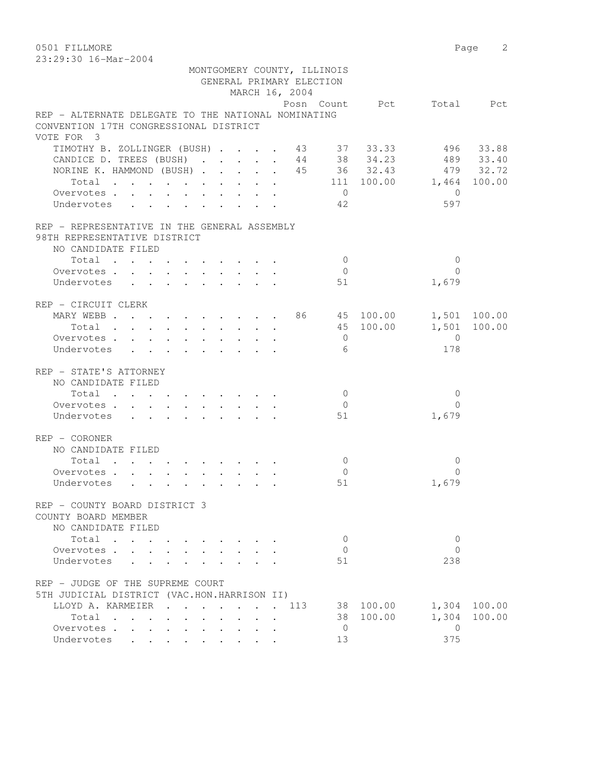0501 FILLMORE 2 23:29:30 16-Mar-2004

| 40.43.30 IO-Mal-2004                                                                               |                                                                          |                |                                                         |                          |                 |
|----------------------------------------------------------------------------------------------------|--------------------------------------------------------------------------|----------------|---------------------------------------------------------|--------------------------|-----------------|
|                                                                                                    |                                                                          |                | MONTGOMERY COUNTY, ILLINOIS<br>GENERAL PRIMARY ELECTION |                          |                 |
|                                                                                                    |                                                                          | MARCH 16, 2004 |                                                         |                          |                 |
|                                                                                                    |                                                                          |                |                                                         | Posn Count Pct Total Pct |                 |
| REP - ALTERNATE DELEGATE TO THE NATIONAL NOMINATING<br>CONVENTION 17TH CONGRESSIONAL DISTRICT      |                                                                          |                |                                                         |                          |                 |
| VOTE FOR 3                                                                                         |                                                                          |                |                                                         |                          |                 |
| TIMOTHY B. ZOLLINGER (BUSH) 43 37 33.33 496 33.88<br>CANDICE D. TREES (BUSH) 44 38 34.23 489 33.40 |                                                                          |                |                                                         |                          |                 |
|                                                                                                    |                                                                          |                |                                                         |                          |                 |
| NORINE K. HAMMOND (BUSH) 45 36 32.43                                                               |                                                                          |                |                                                         |                          | 479 32.72       |
| Total 111 100.00 1,464 100.00                                                                      |                                                                          |                |                                                         |                          |                 |
| Overvotes.                                                                                         |                                                                          |                | $\overline{0}$                                          |                          | $\bigcirc$      |
| Undervotes 42                                                                                      |                                                                          |                |                                                         |                          | 597             |
| REP - REPRESENTATIVE IN THE GENERAL ASSEMBLY                                                       |                                                                          |                |                                                         |                          |                 |
| 98TH REPRESENTATIVE DISTRICT                                                                       |                                                                          |                |                                                         |                          |                 |
| NO CANDIDATE FILED                                                                                 |                                                                          |                |                                                         |                          |                 |
| Total                                                                                              |                                                                          |                | $\overline{0}$                                          |                          | $\mathbf{0}$    |
| Overvotes.                                                                                         |                                                                          |                | $\overline{0}$                                          |                          | $\Omega$        |
| Undervotes                                                                                         |                                                                          |                | 51                                                      |                          | 1,679           |
| REP - CIRCUIT CLERK                                                                                |                                                                          |                |                                                         |                          |                 |
| MARY WEBB 86 45 100.00 1,501 100.00                                                                |                                                                          |                |                                                         |                          |                 |
| Total                                                                                              |                                                                          |                |                                                         | 45 100.00 1,501 100.00   |                 |
| Overvotes                                                                                          |                                                                          |                | $\overline{0}$                                          |                          | $\overline{0}$  |
| Undervotes                                                                                         |                                                                          |                | 6                                                       |                          | 178             |
| REP - STATE'S ATTORNEY                                                                             |                                                                          |                |                                                         |                          |                 |
| NO CANDIDATE FILED                                                                                 |                                                                          |                |                                                         |                          |                 |
| Total $\cdot$                                                                                      |                                                                          |                | $\overline{0}$                                          |                          | $\overline{0}$  |
| Overvotes.                                                                                         |                                                                          |                | $\overline{0}$                                          |                          | $\Omega$        |
| Undervotes                                                                                         |                                                                          |                | 51                                                      |                          | 1,679           |
| REP - CORONER                                                                                      |                                                                          |                |                                                         |                          |                 |
| NO CANDIDATE FILED                                                                                 |                                                                          |                |                                                         |                          |                 |
| Total                                                                                              |                                                                          |                | $\overline{0}$                                          |                          | $\mathbf{0}$    |
| Overvotes                                                                                          |                                                                          |                | $\overline{0}$                                          |                          | $\Omega$        |
| Undervotes                                                                                         |                                                                          |                | 51                                                      |                          | 1,679           |
| REP - COUNTY BOARD DISTRICT 3                                                                      |                                                                          |                |                                                         |                          |                 |
| COUNTY BOARD MEMBER                                                                                |                                                                          |                |                                                         |                          |                 |
| NO CANDIDATE FILED                                                                                 |                                                                          |                |                                                         |                          |                 |
| Total                                                                                              |                                                                          |                | $\mathbf{0}$                                            |                          | 0               |
| Overvotes.                                                                                         |                                                                          |                | $\overline{0}$                                          |                          | $\Omega$        |
| Undervotes                                                                                         |                                                                          |                | 51                                                      |                          | 238             |
| REP - JUDGE OF THE SUPREME COURT                                                                   |                                                                          |                |                                                         |                          |                 |
| 5TH JUDICIAL DISTRICT (VAC.HON.HARRISON II)                                                        |                                                                          |                |                                                         |                          |                 |
| LLOYD A. KARMEIER                                                                                  | $\mathbf{r}$ , $\mathbf{r}$ , $\mathbf{r}$ , $\mathbf{r}$ , $\mathbf{r}$ |                | 113<br>38                                               | 100.00                   | 1,304<br>100.00 |
| Total                                                                                              |                                                                          |                |                                                         | 38 100.00                | 1,304<br>100.00 |
| Overvotes                                                                                          |                                                                          |                | $\overline{0}$                                          |                          | $\mathbf{0}$    |
| Undervotes                                                                                         |                                                                          |                | 13                                                      |                          | 375             |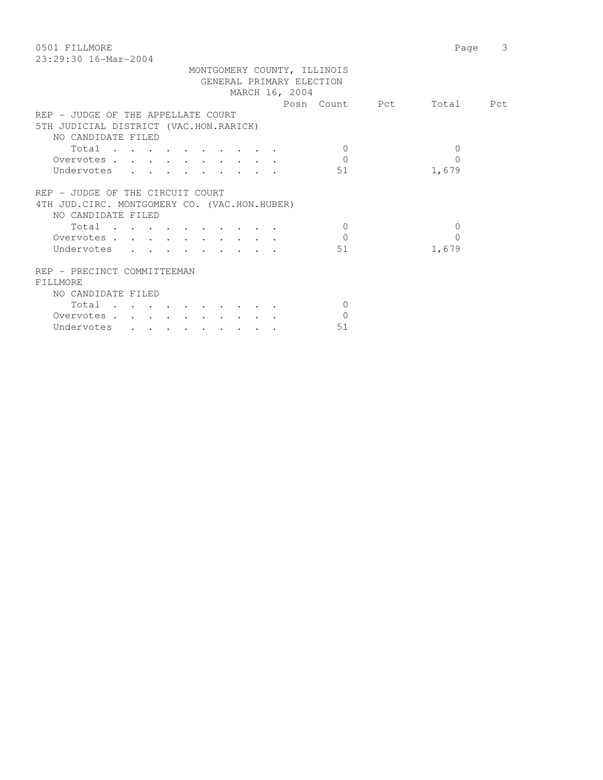0501 FILLMORE 2012 2022 12:30 Page 3 23:29:30 16-Mar-2004

| REP - JUDGE OF THE APPELLATE COURT                                                                      |                      |
|---------------------------------------------------------------------------------------------------------|----------------------|
| 5TH JUDICIAL DISTRICT (VAC.HON.RARICK)                                                                  |                      |
| NO CANDIDATE FILED                                                                                      |                      |
| Total                                                                                                   | $\Omega$<br>$\Omega$ |
| Overvotes                                                                                               | $\Omega$<br>$\Omega$ |
| Undervotes                                                                                              | 51<br>1,679          |
| REP - JUDGE OF THE CIRCUIT COURT<br>4TH JUD. CIRC. MONTGOMERY CO. (VAC.HON.HUBER)<br>NO CANDIDATE FILED |                      |
| Total                                                                                                   | $\Omega$<br>$\Omega$ |
|                                                                                                         |                      |
| Overvotes                                                                                               | $\Omega$<br>$\Omega$ |
| Undervotes                                                                                              | 51<br>1,679          |
| REP - PRECINCT COMMITTEEMAN<br>FILLMORE                                                                 |                      |
|                                                                                                         |                      |
| NO CANDIDATE FILED                                                                                      |                      |
| Total                                                                                                   | $\Omega$             |
| Overvotes .                                                                                             | $\Omega$             |
| Undervotes<br>$\cdot$                                                                                   | 51                   |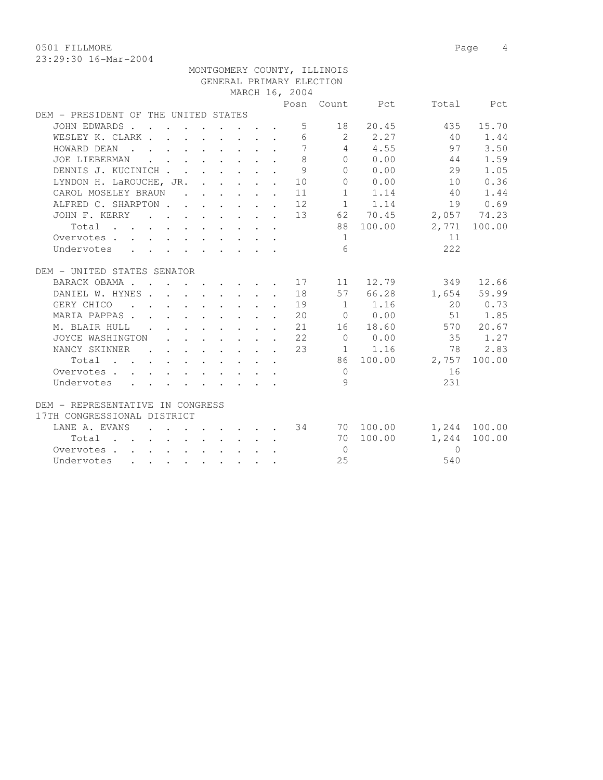0501 FILLMORE 2012 2022 12:30 Page 4

|                                                                                                                                                               |  |  |  |                | MONTGOMERY COUNTY, ILLINOIS |                                                 |                                   |           |
|---------------------------------------------------------------------------------------------------------------------------------------------------------------|--|--|--|----------------|-----------------------------|-------------------------------------------------|-----------------------------------|-----------|
|                                                                                                                                                               |  |  |  |                | GENERAL PRIMARY ELECTION    |                                                 |                                   |           |
|                                                                                                                                                               |  |  |  | MARCH 16, 2004 |                             |                                                 |                                   |           |
|                                                                                                                                                               |  |  |  |                |                             |                                                 | Posn Count Pct Total Pct          |           |
| DEM - PRESIDENT OF THE UNITED STATES                                                                                                                          |  |  |  |                |                             |                                                 |                                   |           |
| JOHN EDWARDS                                                                                                                                                  |  |  |  |                |                             | 5 18 20.45                                      | 435                               | 15.70     |
| WESLEY K. CLARK 6 2 2.27                                                                                                                                      |  |  |  |                |                             |                                                 | 40                                | 1.44      |
| HOWARD DEAN                                                                                                                                                   |  |  |  |                |                             | 7 4 4.55                                        | 97                                | 3.50      |
| JOE LIEBERMAN                                                                                                                                                 |  |  |  | $\mathcal{S}$  |                             | $\begin{array}{ccc} & & 0 & & 0.00 \end{array}$ | 44                                | 1.59      |
| DENNIS J. KUCINICH                                                                                                                                            |  |  |  | 9              |                             | 0 0.00                                          | 29                                | 1.05      |
| LYNDON H. LaROUCHE, JR. 10                                                                                                                                    |  |  |  |                |                             | 0 0.00                                          | 10                                | 0.36      |
| CAROL MOSELEY BRAUN                                                                                                                                           |  |  |  | 11             |                             | 1 1.14                                          | 40                                | 1.44      |
|                                                                                                                                                               |  |  |  |                |                             | $1 \t 1.14$                                     |                                   |           |
| ALFRED C. SHARPTON 12 1 1.14 19 0.69<br>JOHN F. KERRY 13 62 70.45 2,057 74.23                                                                                 |  |  |  |                |                             |                                                 |                                   |           |
| Total                                                                                                                                                         |  |  |  |                |                             |                                                 | 88 100.00 2,771 100.00            |           |
| Overvotes                                                                                                                                                     |  |  |  |                | $\sim$ 1                    |                                                 | 11                                |           |
| Undervotes                                                                                                                                                    |  |  |  |                | 6 <sup>6</sup>              |                                                 | 222                               |           |
|                                                                                                                                                               |  |  |  |                |                             |                                                 |                                   |           |
| DEM - UNITED STATES SENATOR                                                                                                                                   |  |  |  |                |                             |                                                 |                                   |           |
| BARACK OBAMA 17                                                                                                                                               |  |  |  |                | 11                          |                                                 | 12.79<br>349                      | 12.66     |
| DANIEL W. HYNES 18                                                                                                                                            |  |  |  |                |                             |                                                 | 57 66.28 1,654 59.99              |           |
| GERY CHICO (CROSS (GERY CHICO (CROSS)                                                                                                                         |  |  |  |                |                             |                                                 |                                   | 20 0.73   |
| MARIA PAPPAS 20 0 0.00 51 1.85                                                                                                                                |  |  |  |                |                             |                                                 |                                   |           |
| M. BLAIR HULL 21                                                                                                                                              |  |  |  |                |                             | 16 18.60                                        |                                   | 570 20.67 |
| JOYCE WASHINGTON 22                                                                                                                                           |  |  |  |                |                             |                                                 | 0 0.00 35 1.27                    |           |
| NANCY SKINNER                                                                                                                                                 |  |  |  | 23             |                             | $1 \quad 1.16$                                  | 78                                | 2.83      |
| Total                                                                                                                                                         |  |  |  |                |                             |                                                 | 86 100.00 2,757                   | 100.00    |
| Overvotes .<br>$\mathbf{r} = \mathbf{r} + \mathbf{r} + \mathbf{r} + \mathbf{r} + \mathbf{r} + \mathbf{r} + \mathbf{r} + \mathbf{r} + \mathbf{r} + \mathbf{r}$ |  |  |  |                | $\overline{0}$              |                                                 | 16                                |           |
| Undervotes                                                                                                                                                    |  |  |  |                | 9                           |                                                 | 231                               |           |
|                                                                                                                                                               |  |  |  |                |                             |                                                 |                                   |           |
| DEM - REPRESENTATIVE IN CONGRESS                                                                                                                              |  |  |  |                |                             |                                                 |                                   |           |
| 17TH CONGRESSIONAL DISTRICT                                                                                                                                   |  |  |  |                |                             |                                                 |                                   |           |
| LANE A. EVANS                                                                                                                                                 |  |  |  |                |                             |                                                 | $\cdot$ 34 70 100.00 1,244 100.00 |           |
| Total $\cdot$                                                                                                                                                 |  |  |  |                |                             | 70 100.00                                       | 1,244                             | 100.00    |
| Overvotes                                                                                                                                                     |  |  |  |                | $\overline{0}$              |                                                 | $\Omega$                          |           |
| Undervotes                                                                                                                                                    |  |  |  |                | 25                          |                                                 | 540                               |           |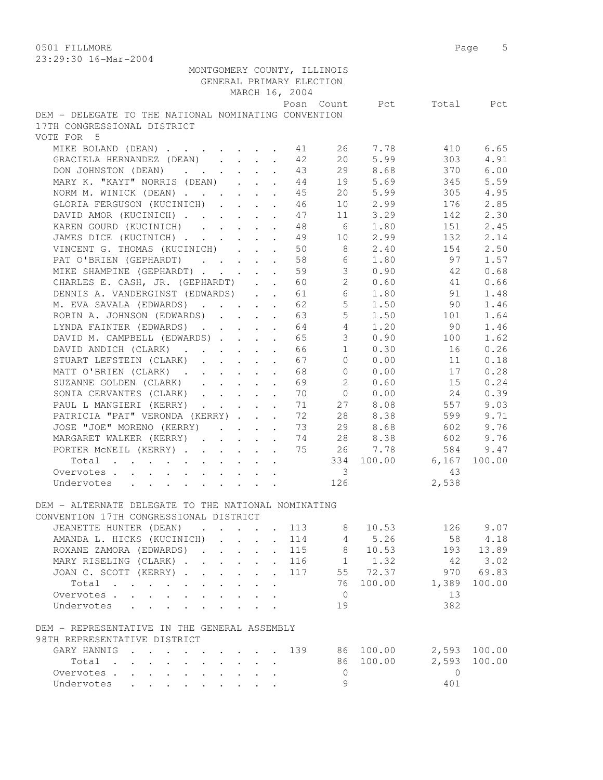| 20.29.90 IV RIGI 2007                                                                           |  |                                            |                            | GENERAL PRIMARY ELECTION<br>MARCH 16, 2004 | MONTGOMERY COUNTY, ILLINOIS |                                    |                          |        |
|-------------------------------------------------------------------------------------------------|--|--------------------------------------------|----------------------------|--------------------------------------------|-----------------------------|------------------------------------|--------------------------|--------|
| DEM - DELEGATE TO THE NATIONAL NOMINATING CONVENTION                                            |  |                                            |                            |                                            |                             |                                    | Posn Count Pct Total Pct |        |
| 17TH CONGRESSIONAL DISTRICT<br>VOTE FOR 5                                                       |  |                                            |                            |                                            |                             |                                    |                          |        |
| MIKE BOLAND (DEAN) 11                                                                           |  |                                            |                            |                                            |                             | 26 7.78                            | 410                      | 6.65   |
| GRACIELA HERNANDEZ (DEAN)                                                                       |  |                                            |                            | 42                                         |                             | 20 5.99                            | 303                      | 4.91   |
| DON JOHNSTON (DEAN)                                                                             |  |                                            |                            | 43                                         |                             | 29 8.68                            | 370                      | 6.00   |
| MARY K. "KAYT" NORRIS (DEAN)                                                                    |  |                                            |                            | 44                                         |                             | 19 5.69                            | 345                      | 5.59   |
| NORM M. WINICK (DEAN)                                                                           |  |                                            |                            | 45                                         |                             | 20 5.99                            | 305                      | 4.95   |
| GLORIA FERGUSON (KUCINICH) 46                                                                   |  |                                            |                            |                                            |                             | 10 2.99                            | 176                      | 2.85   |
| DAVID AMOR (KUCINICH)                                                                           |  |                                            |                            | 47                                         |                             | 11 3.29                            | 142                      | 2.30   |
| KAREN GOURD (KUCINICH)                                                                          |  |                                            |                            | 48                                         | $6\overline{6}$             | 1.80                               | 151                      | 2.45   |
| JAMES DICE (KUCINICH)                                                                           |  |                                            |                            | 49                                         | 10                          | 2.99                               | 132                      | 2.14   |
| VINCENT G. THOMAS (KUCINICH)                                                                    |  |                                            |                            | 50                                         | 8 <sup>1</sup>              | 2.40                               | 154                      | 2.50   |
| PAT O'BRIEN (GEPHARDT)                                                                          |  | $\cdot$ $\cdot$ $\cdot$ $\cdot$            |                            | 58                                         |                             | $6 \t 1.80$                        | 97                       | 1.57   |
| MIKE SHAMPINE (GEPHARDT)                                                                        |  |                                            |                            | 59                                         |                             | 30.90                              | 42                       | 0.68   |
| CHARLES E. CASH, JR. (GEPHARDT) 60                                                              |  |                                            |                            |                                            |                             | 20.60                              | 41                       | 0.66   |
| DENNIS A. VANDERGINST (EDWARDS).                                                                |  |                                            |                            | 61                                         |                             | 6 1.80                             | 91                       | 1.48   |
| M. EVA SAVALA (EDWARDS) 62                                                                      |  |                                            |                            |                                            |                             | $5 \t 1.50$                        | 90 —                     | 1.46   |
| ROBIN A. JOHNSON (EDWARDS) 63                                                                   |  |                                            |                            |                                            | $5 -$                       | 1.50                               | 101                      | 1.64   |
| LYNDA FAINTER (EDWARDS)                                                                         |  |                                            |                            | 64                                         | $4\phantom{0}$              | 1.20                               | 90                       | 1.46   |
| DAVID M. CAMPBELL (EDWARDS)                                                                     |  |                                            |                            | 65                                         | 3 <sup>7</sup>              | 0.90                               | 100                      | 1.62   |
| DAVID ANDICH (CLARK)                                                                            |  |                                            |                            | 66                                         | 1                           | 0.30                               | 16                       | 0.26   |
| STUART LEFSTEIN (CLARK)                                                                         |  |                                            |                            | 67                                         | $\Omega$                    | 0.00                               | 11                       | 0.18   |
| MATT O'BRIEN (CLARK)                                                                            |  |                                            |                            | 68                                         |                             | $0 \t 0.00$                        | 17                       | 0.28   |
| SUZANNE GOLDEN (CLARK)                                                                          |  |                                            |                            | 69                                         |                             | 20.60                              | 15                       | 0.24   |
| SONIA CERVANTES (CLARK)                                                                         |  |                                            |                            | 70                                         |                             | $\begin{matrix}0&0.00\end{matrix}$ | 24                       | 0.39   |
| PAUL L MANGIERI (KERRY)                                                                         |  |                                            |                            | 71                                         |                             | 27 8.08                            | 557                      | 9.03   |
| PATRICIA "PAT" VERONDA (KERRY)                                                                  |  |                                            |                            | 72                                         |                             | 28 8.38                            | 599                      | 9.71   |
| JOSE "JOE" MORENO (KERRY)                                                                       |  |                                            |                            | 73                                         | 29                          | 8.68                               | 602                      | 9.76   |
| MARGARET WALKER (KERRY)                                                                         |  |                                            |                            | 74                                         | 28                          | 8.38                               | 602                      | 9.76   |
| PORTER MCNEIL (KERRY)                                                                           |  |                                            |                            | 75                                         |                             | 26 7.78                            | 584                      | 9.47   |
| Total                                                                                           |  |                                            |                            |                                            |                             |                                    | 334 100.00 6,167         | 100.00 |
| Overvotes.                                                                                      |  |                                            |                            |                                            | $\overline{\mathbf{3}}$     |                                    | 43                       |        |
| Undervotes                                                                                      |  |                                            |                            |                                            | 126                         |                                    | 2,538                    |        |
|                                                                                                 |  |                                            |                            |                                            |                             |                                    |                          |        |
| DEM - ALTERNATE DELEGATE TO THE NATIONAL NOMINATING                                             |  |                                            |                            |                                            |                             |                                    |                          |        |
| CONVENTION 17TH CONGRESSIONAL DISTRICT                                                          |  |                                            |                            |                                            |                             |                                    |                          |        |
| JEANETTE HUNTER (DEAN)<br>$\mathbf{r}$ , and $\mathbf{r}$ , and $\mathbf{r}$ , and $\mathbf{r}$ |  |                                            |                            | 113                                        | 8                           | 10.53                              | 126                      | 9.07   |
| AMANDA L. HICKS (KUCINICH)                                                                      |  |                                            | $\ddot{\phantom{0}}$       | 114                                        |                             | 4 5.26                             | 58                       | 4.18   |
| ROXANE ZAMORA (EDWARDS)                                                                         |  |                                            | $\ddot{\phantom{0}}$       | 115                                        | 8                           | 10.53                              | 193                      | 13.89  |
| MARY RISELING (CLARK)                                                                           |  |                                            | $\mathbf{L}$               | 116                                        |                             | $1 \t 1.32$                        | 42                       | 3.02   |
| JOAN C. SCOTT (KERRY)                                                                           |  |                                            | $\mathcal{L}^{\text{max}}$ | 117                                        |                             | 55 72.37                           | 970                      | 69.83  |
| Total                                                                                           |  |                                            |                            |                                            |                             | 76 100.00                          | 1,389                    | 100.00 |
| Overvotes.                                                                                      |  |                                            |                            |                                            | $\overline{0}$              |                                    | 13                       |        |
| Undervotes                                                                                      |  |                                            |                            |                                            | 19                          |                                    | 382                      |        |
| DEM - REPRESENTATIVE IN THE GENERAL ASSEMBLY                                                    |  |                                            |                            |                                            |                             |                                    |                          |        |
| 98TH REPRESENTATIVE DISTRICT                                                                    |  |                                            |                            |                                            |                             |                                    |                          |        |
| GARY HANNIG                                                                                     |  |                                            |                            | 139                                        |                             | 86 100.00                          | 2,593                    | 100.00 |
| Total<br>$\sim$                                                                                 |  | $\mathbf{r}$ , $\mathbf{r}$ , $\mathbf{r}$ |                            |                                            |                             | 86 100.00                          | 2,593                    | 100.00 |
| Overvotes.                                                                                      |  |                                            |                            |                                            | $\overline{0}$              |                                    | $\Omega$                 |        |
| Undervotes                                                                                      |  |                                            |                            |                                            | 9                           |                                    | 401                      |        |
|                                                                                                 |  |                                            |                            |                                            |                             |                                    |                          |        |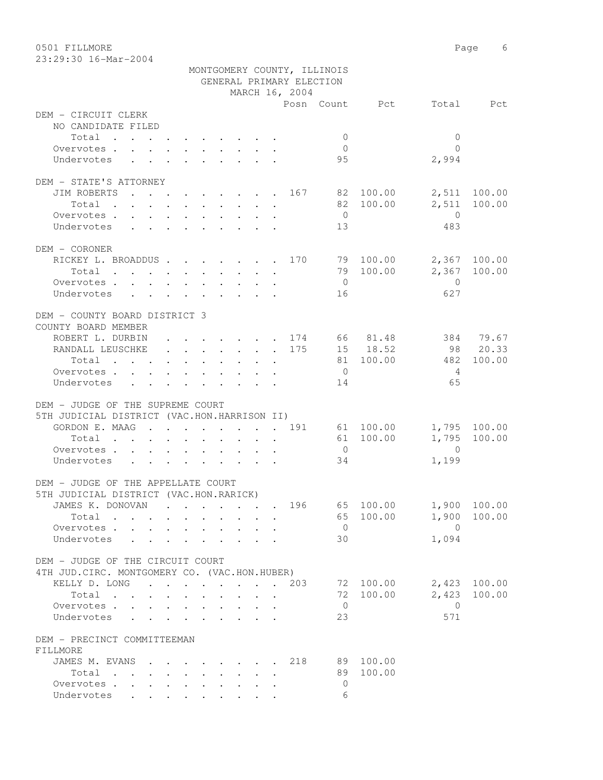0501 FILLMORE 6

|                                                                                                                          |        |  |                      |  |                                                                                 |  |                          | MONTGOMERY COUNTY, ILLINOIS |                 |                |                    |
|--------------------------------------------------------------------------------------------------------------------------|--------|--|----------------------|--|---------------------------------------------------------------------------------|--|--------------------------|-----------------------------|-----------------|----------------|--------------------|
|                                                                                                                          |        |  |                      |  |                                                                                 |  | GENERAL PRIMARY ELECTION |                             |                 |                |                    |
|                                                                                                                          |        |  |                      |  |                                                                                 |  | MARCH 16, 2004           |                             |                 |                |                    |
| DEM - CIRCUIT CLERK                                                                                                      |        |  |                      |  |                                                                                 |  |                          |                             | Posn Count Pct  |                | Total Pct          |
| NO CANDIDATE FILED                                                                                                       |        |  |                      |  |                                                                                 |  |                          |                             |                 |                |                    |
| Total                                                                                                                    |        |  |                      |  |                                                                                 |  |                          | $\overline{0}$              |                 | $\mathbf{0}$   |                    |
| Overvotes.                                                                                                               |        |  |                      |  |                                                                                 |  |                          | $\overline{0}$              |                 | $\bigcap$      |                    |
| Undervotes                                                                                                               |        |  |                      |  | $\mathbf{r}$ , and $\mathbf{r}$ , and $\mathbf{r}$ , and $\mathbf{r}$           |  |                          | 95                          |                 | 2,994          |                    |
|                                                                                                                          |        |  |                      |  |                                                                                 |  |                          |                             |                 |                |                    |
| DEM - STATE'S ATTORNEY                                                                                                   |        |  |                      |  |                                                                                 |  |                          |                             |                 |                |                    |
| JIM ROBERTS                                                                                                              |        |  |                      |  |                                                                                 |  |                          |                             | . 167 82 100.00 |                | 2,511 100.00       |
| Total<br>the contract of the contract of the contract of the contract of the contract of the contract of the contract of |        |  |                      |  |                                                                                 |  |                          |                             | 82 100.00       | 2,511          | 100.00             |
| Overvotes                                                                                                                |        |  |                      |  |                                                                                 |  |                          | $\overline{0}$              |                 | $\overline{0}$ |                    |
| Undervotes                                                                                                               |        |  |                      |  |                                                                                 |  |                          | 13                          |                 | 483            |                    |
|                                                                                                                          |        |  |                      |  |                                                                                 |  |                          |                             |                 |                |                    |
| DEM - CORONER                                                                                                            |        |  |                      |  |                                                                                 |  |                          |                             |                 |                |                    |
| RICKEY L. BROADDUS 170                                                                                                   |        |  |                      |  |                                                                                 |  |                          |                             | 79 100.00       |                | 2,367 100.00       |
| Total                                                                                                                    |        |  |                      |  |                                                                                 |  |                          |                             | 79 100.00       | 2,367          | 100.00             |
| Overvotes.                                                                                                               |        |  |                      |  |                                                                                 |  |                          | $\overline{0}$              |                 | $\overline{0}$ |                    |
| Undervotes                                                                                                               |        |  |                      |  |                                                                                 |  |                          | 16                          |                 | 627            |                    |
|                                                                                                                          |        |  |                      |  |                                                                                 |  |                          |                             |                 |                |                    |
| DEM - COUNTY BOARD DISTRICT 3                                                                                            |        |  |                      |  |                                                                                 |  |                          |                             |                 |                |                    |
| COUNTY BOARD MEMBER                                                                                                      |        |  |                      |  |                                                                                 |  |                          |                             |                 |                | 384 79.67          |
| ROBERT L. DURBIN 174 66 81.48                                                                                            |        |  |                      |  |                                                                                 |  |                          |                             | 15 18.52        |                |                    |
| RANDALL LEUSCHKE 175                                                                                                     |        |  |                      |  |                                                                                 |  |                          |                             | 81 100.00       | 482            | 98 20.33<br>100.00 |
| Total<br>Overvotes.                                                                                                      |        |  |                      |  |                                                                                 |  |                          | $\overline{0}$              |                 | $\overline{4}$ |                    |
| Undervotes                                                                                                               |        |  |                      |  |                                                                                 |  |                          | 14                          |                 | 65             |                    |
|                                                                                                                          |        |  |                      |  |                                                                                 |  |                          |                             |                 |                |                    |
| DEM - JUDGE OF THE SUPREME COURT                                                                                         |        |  |                      |  |                                                                                 |  |                          |                             |                 |                |                    |
| 5TH JUDICIAL DISTRICT (VAC.HON.HARRISON II)                                                                              |        |  |                      |  |                                                                                 |  |                          |                             |                 |                |                    |
| GORDON E. MAAG 191                                                                                                       |        |  |                      |  |                                                                                 |  |                          |                             | 61 100.00       |                | 1,795 100.00       |
| Total                                                                                                                    |        |  |                      |  |                                                                                 |  |                          |                             | 61 100.00       | 1,795          | 100.00             |
| Overvotes                                                                                                                |        |  |                      |  |                                                                                 |  |                          | $\overline{0}$              |                 | $\overline{0}$ |                    |
| Undervotes                                                                                                               |        |  |                      |  |                                                                                 |  |                          | 34                          |                 | 1,199          |                    |
|                                                                                                                          |        |  |                      |  |                                                                                 |  |                          |                             |                 |                |                    |
| DEM - JUDGE OF THE APPELLATE COURT                                                                                       |        |  |                      |  |                                                                                 |  |                          |                             |                 |                |                    |
| 5TH JUDICIAL DISTRICT (VAC.HON.RARICK)                                                                                   |        |  |                      |  |                                                                                 |  |                          |                             |                 |                |                    |
| JAMES K. DONOVAN                                                                                                         |        |  |                      |  | the contract of the contract of the contract of the contract of the contract of |  | 196                      |                             | 65 100.00       |                | 1,900 100.00       |
| Total                                                                                                                    |        |  |                      |  |                                                                                 |  |                          | 65                          | 100.00          | 1,900          | 100.00             |
| Overvotes                                                                                                                |        |  | $\ddot{\phantom{0}}$ |  |                                                                                 |  |                          | $\overline{0}$              |                 | $\bigcirc$     |                    |
| Undervotes                                                                                                               | $\sim$ |  |                      |  |                                                                                 |  |                          | 30                          |                 | 1,094          |                    |
|                                                                                                                          |        |  |                      |  |                                                                                 |  |                          |                             |                 |                |                    |
| DEM - JUDGE OF THE CIRCUIT COURT                                                                                         |        |  |                      |  |                                                                                 |  |                          |                             |                 |                |                    |
| 4TH JUD. CIRC. MONTGOMERY CO. (VAC.HON.HUBER)                                                                            |        |  |                      |  |                                                                                 |  |                          |                             |                 |                |                    |
| KELLY D. LONG                                                                                                            |        |  |                      |  |                                                                                 |  | 203                      |                             | 72 100.00       | 2,423          | 100.00             |
| Total                                                                                                                    |        |  |                      |  | $\cdot$ $\cdot$ $\cdot$ $\cdot$                                                 |  |                          | 72                          | 100.00          | 2,423          | 100.00             |
| Overvotes.                                                                                                               |        |  |                      |  |                                                                                 |  |                          | $\overline{0}$              |                 | $\mathbf{0}$   |                    |
| Undervotes                                                                                                               |        |  |                      |  |                                                                                 |  |                          | 23                          |                 | 571            |                    |
| DEM - PRECINCT COMMITTEEMAN                                                                                              |        |  |                      |  |                                                                                 |  |                          |                             |                 |                |                    |
| FILLMORE                                                                                                                 |        |  |                      |  |                                                                                 |  |                          |                             |                 |                |                    |
| JAMES M. EVANS                                                                                                           |        |  |                      |  | $\cdot$ , , , , , , , , ,                                                       |  | 218                      | 89                          | 100.00          |                |                    |
| Total $\cdots$                                                                                                           |        |  |                      |  |                                                                                 |  |                          | 89                          | 100.00          |                |                    |
| Overvotes.                                                                                                               |        |  |                      |  |                                                                                 |  |                          | $\mathbf{0}$                |                 |                |                    |
| Undervotes                                                                                                               |        |  |                      |  |                                                                                 |  |                          | 6                           |                 |                |                    |
|                                                                                                                          |        |  |                      |  |                                                                                 |  |                          |                             |                 |                |                    |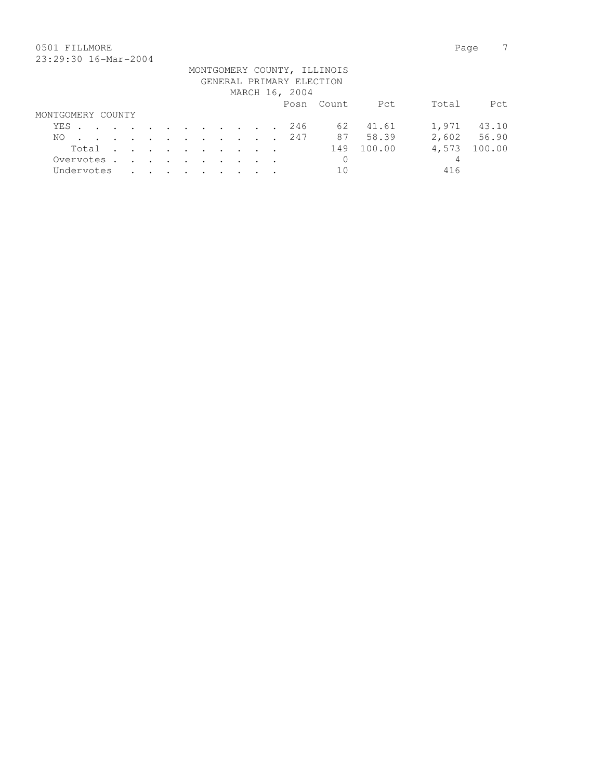# 0501 FILLMORE Page 7

|                   |                |  |  |  |  |  |  |                                    |  |                                                                                                                 |  |  |                          | MONTGOMERY COUNTY, ILLINOIS |          |       |             |
|-------------------|----------------|--|--|--|--|--|--|------------------------------------|--|-----------------------------------------------------------------------------------------------------------------|--|--|--------------------------|-----------------------------|----------|-------|-------------|
|                   |                |  |  |  |  |  |  |                                    |  |                                                                                                                 |  |  | GENERAL PRIMARY ELECTION |                             |          |       |             |
|                   | MARCH 16, 2004 |  |  |  |  |  |  |                                    |  |                                                                                                                 |  |  |                          |                             |          |       |             |
|                   |                |  |  |  |  |  |  |                                    |  |                                                                                                                 |  |  |                          | Posn Count                  | Pct      | Total | Pct.        |
| MONTGOMERY COUNTY |                |  |  |  |  |  |  |                                    |  |                                                                                                                 |  |  |                          |                             |          |       |             |
| YES               |                |  |  |  |  |  |  |                                    |  |                                                                                                                 |  |  | 246                      |                             | 62 41.61 | 1,971 | 43.10       |
| NO.               |                |  |  |  |  |  |  |                                    |  |                                                                                                                 |  |  | . 247                    | 87                          | 58.39    |       | 2,602 56.90 |
|                   |                |  |  |  |  |  |  |                                    |  | Total                                                                                                           |  |  |                          | 149                         | 100.00   | 4,573 | 100.00      |
| Overvotes.        |                |  |  |  |  |  |  |                                    |  | the contract of the contract of the contract of the contract of the contract of the contract of the contract of |  |  |                          | 0                           |          | 4     |             |
| Undervotes        |                |  |  |  |  |  |  | $\sim$ $\sim$ $\sim$ $\sim$ $\sim$ |  |                                                                                                                 |  |  |                          | 10                          |          | 416   |             |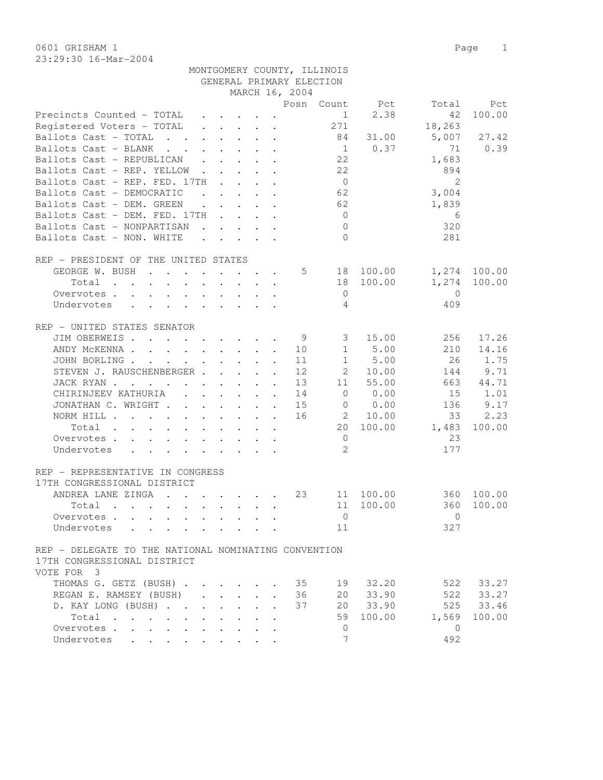0601 GRISHAM 1 Page 1 23:29:30 16-Mar-2004

MONTGOMERY COUNTY, ILLINOIS

|                                                                                                                                                                                                                                                                                                                                                                                                                                                                                                                            |                      |                                                           |                         | GENERAL PRIMARY ELECTION |                |                |                |        |
|----------------------------------------------------------------------------------------------------------------------------------------------------------------------------------------------------------------------------------------------------------------------------------------------------------------------------------------------------------------------------------------------------------------------------------------------------------------------------------------------------------------------------|----------------------|-----------------------------------------------------------|-------------------------|--------------------------|----------------|----------------|----------------|--------|
|                                                                                                                                                                                                                                                                                                                                                                                                                                                                                                                            |                      |                                                           |                         | MARCH 16, 2004           |                |                |                |        |
|                                                                                                                                                                                                                                                                                                                                                                                                                                                                                                                            |                      |                                                           |                         |                          |                | Posn Count Pct | Total          | Pct    |
| Precincts Counted - TOTAL                                                                                                                                                                                                                                                                                                                                                                                                                                                                                                  |                      | $\cdot$ $\cdot$ $\cdot$ $\cdot$ $\cdot$                   |                         |                          | $\mathbf{1}$   | 2.38           | 42             | 100.00 |
| Registered Voters - TOTAL                                                                                                                                                                                                                                                                                                                                                                                                                                                                                                  |                      | $\mathbf{r}$ , and $\mathbf{r}$ , and $\mathbf{r}$        |                         |                          | 271            |                | 18,263         |        |
| Ballots Cast - TOTAL<br>$\mathcal{L} = \mathcal{L} = \mathcal{L}$                                                                                                                                                                                                                                                                                                                                                                                                                                                          |                      | $\cdot$ $\cdot$ $\cdot$ $\cdot$ $\cdot$ $\cdot$           |                         |                          | 84             | 31.00          | 5,007          | 27.42  |
| Ballots Cast - BLANK<br>$\mathbf{r}$ , $\mathbf{r}$ , $\mathbf{r}$                                                                                                                                                                                                                                                                                                                                                                                                                                                         |                      | $\cdot$ $\cdot$ $\cdot$ $\cdot$ $\cdot$                   |                         |                          | 1              | 0.37           | 71             | 0.39   |
| Ballots Cast - REPUBLICAN<br>$\mathbf{L}$                                                                                                                                                                                                                                                                                                                                                                                                                                                                                  |                      | $\cdot$ $\cdot$ $\cdot$ $\cdot$                           |                         |                          | 22             |                | 1,683          |        |
| Ballots Cast - REP. YELLOW                                                                                                                                                                                                                                                                                                                                                                                                                                                                                                 | $\sim$ $\sim$        |                                                           | $\cdot$ $\cdot$ $\cdot$ |                          | 22             |                | 894            |        |
| Ballots Cast - REP. FED. 17TH                                                                                                                                                                                                                                                                                                                                                                                                                                                                                              |                      | $\sim$ $\sim$ $\sim$ $\sim$ $\sim$                        |                         |                          | $\overline{0}$ |                | $\overline{2}$ |        |
| Ballots Cast - DEMOCRATIC<br>$\mathbf{r}$ , $\mathbf{r}$ , $\mathbf{r}$ , $\mathbf{r}$ , $\mathbf{r}$ , $\mathbf{r}$                                                                                                                                                                                                                                                                                                                                                                                                       |                      |                                                           |                         |                          | 62             |                | 3,004          |        |
| Ballots Cast - DEM. GREEN                                                                                                                                                                                                                                                                                                                                                                                                                                                                                                  |                      | $\mathbf{r}$ , $\mathbf{r}$ , $\mathbf{r}$ , $\mathbf{r}$ |                         |                          | 62             |                | 1,839          |        |
| Ballots Cast - DEM. FED. 17TH                                                                                                                                                                                                                                                                                                                                                                                                                                                                                              |                      |                                                           |                         |                          | $\overline{0}$ |                | 6              |        |
| Ballots Cast - NONPARTISAN                                                                                                                                                                                                                                                                                                                                                                                                                                                                                                 |                      | $\mathbf{r}$ , $\mathbf{r}$ , $\mathbf{r}$ , $\mathbf{r}$ |                         |                          | $\bigcirc$     |                | 320            |        |
| Ballots Cast - NON. WHITE                                                                                                                                                                                                                                                                                                                                                                                                                                                                                                  |                      |                                                           |                         |                          | $\Omega$       |                | 281            |        |
|                                                                                                                                                                                                                                                                                                                                                                                                                                                                                                                            |                      |                                                           |                         |                          |                |                |                |        |
| REP - PRESIDENT OF THE UNITED STATES                                                                                                                                                                                                                                                                                                                                                                                                                                                                                       |                      |                                                           |                         |                          |                |                |                |        |
|                                                                                                                                                                                                                                                                                                                                                                                                                                                                                                                            |                      |                                                           |                         |                          |                |                |                | 100.00 |
| GEORGE W. BUSH                                                                                                                                                                                                                                                                                                                                                                                                                                                                                                             |                      |                                                           |                         | 5                        | 18             | 100.00         | 1,274          |        |
| $\mathbf{r}$ . The set of the set of the set of the set of the set of the set of the set of the set of the set of the set of the set of the set of the set of the set of the set of the set of the set of the set of the set of t<br>Total                                                                                                                                                                                                                                                                                 |                      |                                                           |                         |                          | 18             | 100.00         | 1,274          | 100.00 |
| Overvotes                                                                                                                                                                                                                                                                                                                                                                                                                                                                                                                  |                      |                                                           |                         |                          | $\mathbf 0$    |                | $\mathbf{0}$   |        |
| Undervotes<br>$\mathbf{r}$ , and $\mathbf{r}$ , and $\mathbf{r}$ , and $\mathbf{r}$                                                                                                                                                                                                                                                                                                                                                                                                                                        |                      |                                                           |                         |                          | 4              |                | 409            |        |
|                                                                                                                                                                                                                                                                                                                                                                                                                                                                                                                            |                      |                                                           |                         |                          |                |                |                |        |
| REP - UNITED STATES SENATOR                                                                                                                                                                                                                                                                                                                                                                                                                                                                                                |                      |                                                           |                         |                          |                |                |                |        |
| JIM OBERWEIS                                                                                                                                                                                                                                                                                                                                                                                                                                                                                                               |                      |                                                           |                         | 9                        | 3              | 15.00          | 256            | 17.26  |
| ANDY MCKENNA                                                                                                                                                                                                                                                                                                                                                                                                                                                                                                               |                      |                                                           |                         | 10                       | $\mathbf{1}$   | 5.00           | 210            | 14.16  |
| JOHN BORLING.<br>the contract of the contract of the contract of the contract of the contract of the contract of the contract of                                                                                                                                                                                                                                                                                                                                                                                           |                      |                                                           | $\ddot{\phantom{a}}$    | 11                       | $\mathbf{1}$   | 5.00           | 26             | 1.75   |
| STEVEN J. RAUSCHENBERGER                                                                                                                                                                                                                                                                                                                                                                                                                                                                                                   |                      |                                                           | $\sim$                  | 12                       | $2^{\circ}$    | 10.00          | 144            | 9.71   |
| JACK RYAN                                                                                                                                                                                                                                                                                                                                                                                                                                                                                                                  |                      |                                                           |                         | 13                       | 11             | 55.00          | 663            | 44.71  |
| CHIRINJEEV KATHURIA                                                                                                                                                                                                                                                                                                                                                                                                                                                                                                        |                      |                                                           |                         | 14                       | $\circ$        | 0.00           | 15             | 1.01   |
| JONATHAN C. WRIGHT                                                                                                                                                                                                                                                                                                                                                                                                                                                                                                         |                      |                                                           |                         | 15                       | $\overline{0}$ | 0.00           | 136            | 9.17   |
| NORM HILL $\ldots$ $\ldots$ $\ldots$ $\ldots$ $\ldots$                                                                                                                                                                                                                                                                                                                                                                                                                                                                     |                      |                                                           |                         | 16                       | 2              | 10.00          | 33             | 2.23   |
| Total<br>the contract of the contract of the contract of the contract of the contract of the contract of the contract of                                                                                                                                                                                                                                                                                                                                                                                                   |                      |                                                           |                         |                          | 20             | 100.00         | 1,483          | 100.00 |
| Overvotes.                                                                                                                                                                                                                                                                                                                                                                                                                                                                                                                 |                      |                                                           |                         |                          | $\overline{0}$ |                | 23             |        |
| Undervotes<br>$\mathbf{r} = \mathbf{r} \times \mathbf{r} \times \mathbf{r} \times \mathbf{r} \times \mathbf{r} \times \mathbf{r} \times \mathbf{r} \times \mathbf{r} \times \mathbf{r} \times \mathbf{r} \times \mathbf{r} \times \mathbf{r} \times \mathbf{r} \times \mathbf{r} \times \mathbf{r} \times \mathbf{r} \times \mathbf{r} \times \mathbf{r} \times \mathbf{r} \times \mathbf{r} \times \mathbf{r} \times \mathbf{r} \times \mathbf{r} \times \mathbf{r} \times \mathbf{r} \times \mathbf{r} \times \mathbf{r$ |                      |                                                           |                         |                          | 2              |                | 177            |        |
|                                                                                                                                                                                                                                                                                                                                                                                                                                                                                                                            |                      |                                                           |                         |                          |                |                |                |        |
| REP - REPRESENTATIVE IN CONGRESS                                                                                                                                                                                                                                                                                                                                                                                                                                                                                           |                      |                                                           |                         |                          |                |                |                |        |
| 17TH CONGRESSIONAL DISTRICT                                                                                                                                                                                                                                                                                                                                                                                                                                                                                                |                      |                                                           |                         |                          |                |                |                |        |
| ANDREA LANE ZINGA                                                                                                                                                                                                                                                                                                                                                                                                                                                                                                          |                      |                                                           |                         | 23                       | 11             | 100.00         | 360            | 100.00 |
| Total<br>$\mathbf{r}$ , and $\mathbf{r}$ , and $\mathbf{r}$ , and $\mathbf{r}$ , and $\mathbf{r}$                                                                                                                                                                                                                                                                                                                                                                                                                          |                      |                                                           |                         |                          | 11             | 100.00         | 360            | 100.00 |
| Overvotes                                                                                                                                                                                                                                                                                                                                                                                                                                                                                                                  |                      |                                                           |                         |                          | $\mathbf{0}$   |                | $\circ$        |        |
|                                                                                                                                                                                                                                                                                                                                                                                                                                                                                                                            |                      |                                                           |                         |                          | 11             |                | 327            |        |
| Undervotes                                                                                                                                                                                                                                                                                                                                                                                                                                                                                                                 |                      |                                                           |                         |                          |                |                |                |        |
| REP - DELEGATE TO THE NATIONAL NOMINATING CONVENTION                                                                                                                                                                                                                                                                                                                                                                                                                                                                       |                      |                                                           |                         |                          |                |                |                |        |
| 17TH CONGRESSIONAL DISTRICT                                                                                                                                                                                                                                                                                                                                                                                                                                                                                                |                      |                                                           |                         |                          |                |                |                |        |
|                                                                                                                                                                                                                                                                                                                                                                                                                                                                                                                            |                      |                                                           |                         |                          |                |                |                |        |
| VOTE FOR 3                                                                                                                                                                                                                                                                                                                                                                                                                                                                                                                 |                      |                                                           |                         |                          |                |                |                |        |
| THOMAS G. GETZ (BUSH)                                                                                                                                                                                                                                                                                                                                                                                                                                                                                                      |                      |                                                           |                         | 35                       | 19             | 32.20          | 522            | 33.27  |
| REGAN E. RAMSEY (BUSH)<br>$\mathbf{L}$                                                                                                                                                                                                                                                                                                                                                                                                                                                                                     | $\mathbf{L}$         | $\mathbf{L}$                                              |                         | 36                       | 20             | 33.90          | 522            | 33.27  |
| D. KAY LONG (BUSH)<br>$\ddot{\phantom{a}}$                                                                                                                                                                                                                                                                                                                                                                                                                                                                                 | $\ddot{\phantom{0}}$ | $\mathbf{L}$                                              |                         | 37                       | 20             | 33.90          | 525            | 33.46  |
| Total                                                                                                                                                                                                                                                                                                                                                                                                                                                                                                                      |                      |                                                           |                         |                          | 59             | 100.00         | 1,569          | 100.00 |
| Overvotes<br>$\bullet$                                                                                                                                                                                                                                                                                                                                                                                                                                                                                                     |                      |                                                           |                         |                          | $\mathbf{0}$   |                | $\mathbf{0}$   |        |
| Undervotes                                                                                                                                                                                                                                                                                                                                                                                                                                                                                                                 |                      |                                                           |                         |                          | 7              |                | 492            |        |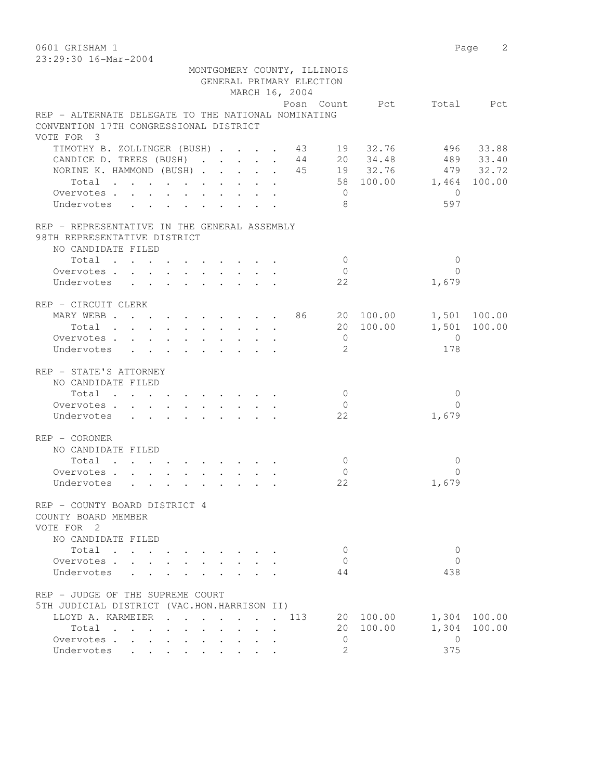0601 GRISHAM 1 Page 2

| 23:29:30 16-Mar-2004                                |                                                           |  |        |        |                      |  |        |                             |                     |             |                          |              |
|-----------------------------------------------------|-----------------------------------------------------------|--|--------|--------|----------------------|--|--------|-----------------------------|---------------------|-------------|--------------------------|--------------|
|                                                     |                                                           |  |        |        |                      |  |        | MONTGOMERY COUNTY, ILLINOIS |                     |             |                          |              |
|                                                     |                                                           |  |        |        |                      |  |        | GENERAL PRIMARY ELECTION    |                     |             |                          |              |
|                                                     |                                                           |  |        |        |                      |  |        | MARCH 16, 2004              |                     |             |                          |              |
|                                                     |                                                           |  |        |        |                      |  |        |                             |                     |             | Posn Count Pct Total Pct |              |
| REP - ALTERNATE DELEGATE TO THE NATIONAL NOMINATING |                                                           |  |        |        |                      |  |        |                             |                     |             |                          |              |
| CONVENTION 17TH CONGRESSIONAL DISTRICT              |                                                           |  |        |        |                      |  |        |                             |                     |             |                          |              |
| VOTE FOR 3                                          |                                                           |  |        |        |                      |  |        |                             |                     |             |                          |              |
| TIMOTHY B. ZOLLINGER (BUSH) 43 19 32.76             |                                                           |  |        |        |                      |  |        |                             |                     |             |                          | 496 33.88    |
| CANDICE D. TREES (BUSH)                             |                                                           |  |        |        |                      |  |        |                             |                     | 44 20 34.48 |                          | 489 33.40    |
| NORINE K. HAMMOND (BUSH) 45 19 32.76 479 32.72      |                                                           |  |        |        |                      |  |        |                             |                     |             |                          |              |
| Total                                               |                                                           |  |        |        |                      |  |        |                             |                     |             | 58 100.00 1,464 100.00   |              |
| Overvotes.<br>Undervotes                            |                                                           |  |        |        |                      |  |        |                             | $\overline{0}$<br>8 |             | $\overline{0}$<br>597    |              |
| REP - REPRESENTATIVE IN THE GENERAL ASSEMBLY        |                                                           |  |        |        |                      |  |        |                             |                     |             |                          |              |
| 98TH REPRESENTATIVE DISTRICT                        |                                                           |  |        |        |                      |  |        |                             |                     |             |                          |              |
| NO CANDIDATE FILED                                  |                                                           |  |        |        |                      |  |        |                             |                     |             |                          |              |
| Total                                               |                                                           |  |        |        |                      |  |        |                             | $\overline{0}$      |             | $\mathbf{0}$             |              |
| Overvotes.                                          |                                                           |  |        |        |                      |  |        |                             | $\overline{0}$      |             | $\Omega$                 |              |
| Undervotes                                          |                                                           |  |        |        |                      |  |        |                             | 22                  |             | 1,679                    |              |
| REP - CIRCUIT CLERK                                 |                                                           |  |        |        |                      |  |        |                             |                     |             |                          |              |
| MARY WEBB 86 20 100.00                              |                                                           |  |        |        |                      |  |        |                             |                     |             |                          | 1,501 100.00 |
| Total                                               |                                                           |  |        |        |                      |  |        |                             |                     | 20 100.00   |                          | 1,501 100.00 |
| Overvotes.                                          |                                                           |  |        |        |                      |  |        |                             | $\overline{0}$      |             | $\bigcirc$               |              |
| Undervotes                                          | $\mathbf{r}$ , $\mathbf{r}$ , $\mathbf{r}$ , $\mathbf{r}$ |  |        |        |                      |  |        |                             | 2                   |             | 178                      |              |
| REP - STATE'S ATTORNEY                              |                                                           |  |        |        |                      |  |        |                             |                     |             |                          |              |
| NO CANDIDATE FILED                                  |                                                           |  |        |        |                      |  |        |                             |                     |             |                          |              |
| Total                                               |                                                           |  |        |        |                      |  |        |                             | $\circ$             |             | $\Omega$                 |              |
| Overvotes.                                          |                                                           |  |        |        |                      |  |        |                             | 0                   |             | $\Omega$                 |              |
| Undervotes                                          |                                                           |  |        |        |                      |  |        |                             | 22                  |             | 1,679                    |              |
| $REF - CORONER$                                     |                                                           |  |        |        |                      |  |        |                             |                     |             |                          |              |
| NO CANDIDATE FILED                                  |                                                           |  |        |        |                      |  |        |                             |                     |             |                          |              |
| Total                                               |                                                           |  |        |        |                      |  |        |                             | $\overline{0}$      |             | $\mathbf{0}$             |              |
| Overvotes.                                          |                                                           |  |        |        |                      |  |        |                             | $\mathbf{0}$        |             | $\Omega$                 |              |
| Undervotes                                          |                                                           |  |        |        |                      |  |        |                             | 22                  |             | 1,679                    |              |
| REP - COUNTY BOARD DISTRICT 4                       |                                                           |  |        |        |                      |  |        |                             |                     |             |                          |              |
| COUNTY BOARD MEMBER                                 |                                                           |  |        |        |                      |  |        |                             |                     |             |                          |              |
| VOTE FOR 2                                          |                                                           |  |        |        |                      |  |        |                             |                     |             |                          |              |
| NO CANDIDATE FILED                                  |                                                           |  |        |        |                      |  |        |                             |                     |             |                          |              |
| Total                                               |                                                           |  |        |        |                      |  |        |                             | 0                   |             | 0                        |              |
| Overvotes                                           |                                                           |  |        |        |                      |  |        |                             | 0                   |             | $\Omega$                 |              |
| Undervotes                                          | $\mathbf{L} = \mathbf{L}$                                 |  |        |        |                      |  |        |                             | 44                  |             | 438                      |              |
| REP - JUDGE OF THE SUPREME COURT                    |                                                           |  |        |        |                      |  |        |                             |                     |             |                          |              |
| 5TH JUDICIAL DISTRICT (VAC.HON.HARRISON II)         |                                                           |  |        |        |                      |  |        |                             |                     |             |                          |              |
| LLOYD A. KARMEIER .                                 |                                                           |  | $\sim$ | $\sim$ | $\ddot{\phantom{a}}$ |  | $\sim$ | 113                         |                     | 20 100.00   |                          | 1,304 100.00 |
| Total                                               |                                                           |  |        |        |                      |  |        |                             |                     | 20 100.00   | 1,304                    | 100.00       |
| Overvotes                                           |                                                           |  |        |        |                      |  |        |                             | 0                   |             | $\overline{0}$           |              |
| Undervotes                                          | $\cdot$ $\cdot$                                           |  |        |        |                      |  |        |                             | $\overline{2}$      |             | 375                      |              |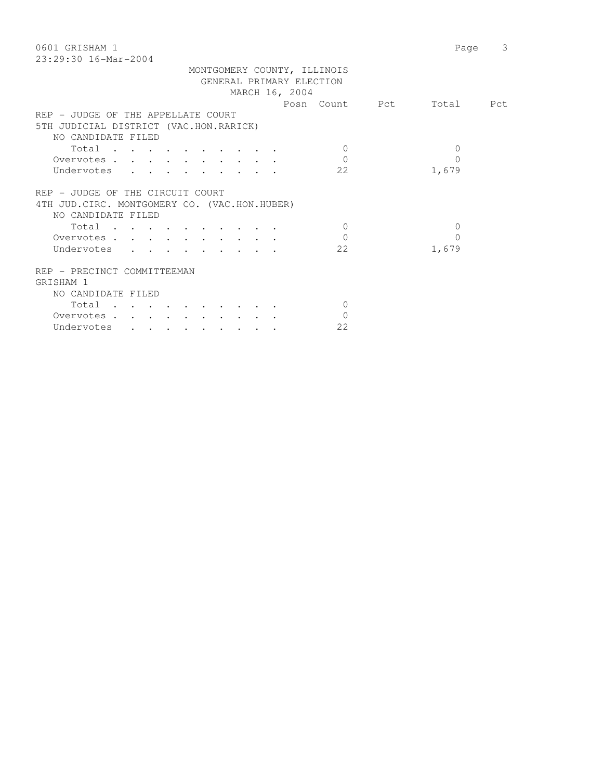| 0601 GRISHAM 1                                                                                                                         | Page         | 3 |
|----------------------------------------------------------------------------------------------------------------------------------------|--------------|---|
| $23:29:30$ 16-Mar-2004                                                                                                                 |              |   |
| MONTGOMERY COUNTY, ILLINOIS                                                                                                            |              |   |
| GENERAL PRIMARY ELECTION                                                                                                               |              |   |
| MARCH 16, 2004                                                                                                                         |              |   |
| Posn Count Pct                                                                                                                         | Total Pct    |   |
| REP - JUDGE OF THE APPELLATE COURT                                                                                                     |              |   |
| 5TH JUDICIAL DISTRICT (VAC.HON.RARICK)                                                                                                 |              |   |
| NO CANDIDATE FILED                                                                                                                     |              |   |
| Total<br>$\Omega$                                                                                                                      | $\mathbf{0}$ |   |
| $\Omega$<br>Overvotes.                                                                                                                 | $\Omega$     |   |
| 22<br>Undervotes                                                                                                                       | 1,679        |   |
|                                                                                                                                        |              |   |
| REP - JUDGE OF THE CIRCUIT COURT                                                                                                       |              |   |
| 4TH JUD. CIRC. MONTGOMERY CO. (VAC.HON.HUBER)                                                                                          |              |   |
| NO CANDIDATE FILED                                                                                                                     |              |   |
| $\Omega$<br>Total                                                                                                                      | $\mathbf{0}$ |   |
|                                                                                                                                        |              |   |
| $\Omega$<br>Overvotes.                                                                                                                 | $\Omega$     |   |
| 22<br>Undervotes<br>$\mathbf{r}$ , $\mathbf{r}$                                                                                        | 1,679        |   |
|                                                                                                                                        |              |   |
| REP - PRECINCT COMMITTEEMAN                                                                                                            |              |   |
| GRISHAM 1                                                                                                                              |              |   |
| NO CANDIDATE FILED                                                                                                                     |              |   |
| Total<br>$\mathbf{0}$                                                                                                                  |              |   |
| $\Omega$<br>Overvotes.                                                                                                                 |              |   |
| 22<br>Undervotes<br>$\mathbf{r} = \mathbf{r} + \mathbf{r}$<br>$\mathbf{r}$ , $\mathbf{r}$ , $\mathbf{r}$ , $\mathbf{r}$ , $\mathbf{r}$ |              |   |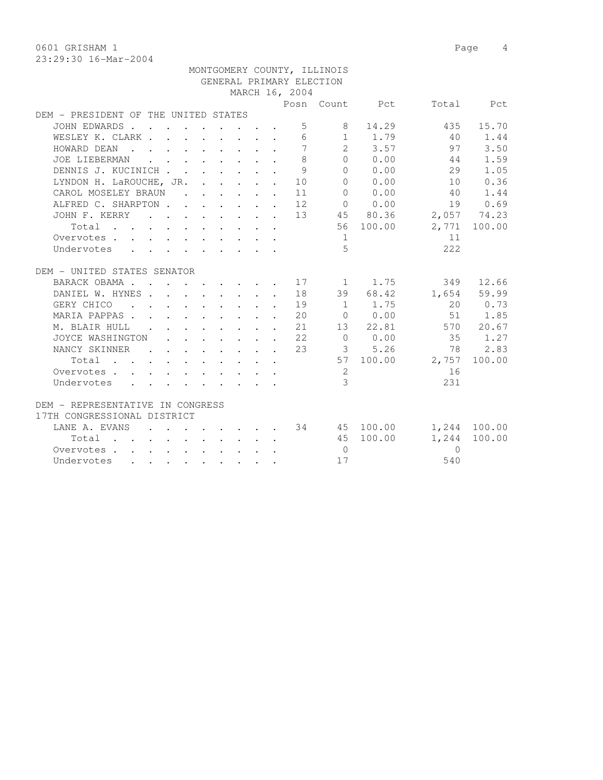0601 GRISHAM 1 Page 4 23:29:30 16-Mar-2004

|                                                                                                                                                                                                                                                                                                                                                                                                                                                                                                                            |                        |                                                         |                                                                 |                                                            | MONTGOMERY COUNTY, ILLINOIS |                         |          |              |
|----------------------------------------------------------------------------------------------------------------------------------------------------------------------------------------------------------------------------------------------------------------------------------------------------------------------------------------------------------------------------------------------------------------------------------------------------------------------------------------------------------------------------|------------------------|---------------------------------------------------------|-----------------------------------------------------------------|------------------------------------------------------------|-----------------------------|-------------------------|----------|--------------|
|                                                                                                                                                                                                                                                                                                                                                                                                                                                                                                                            |                        |                                                         |                                                                 |                                                            | GENERAL PRIMARY ELECTION    |                         |          |              |
|                                                                                                                                                                                                                                                                                                                                                                                                                                                                                                                            |                        |                                                         |                                                                 | MARCH 16, 2004                                             |                             |                         |          |              |
|                                                                                                                                                                                                                                                                                                                                                                                                                                                                                                                            |                        |                                                         |                                                                 |                                                            |                             | Posn Count Pct          |          | Total Pct    |
| DEM - PRESIDENT OF THE UNITED STATES                                                                                                                                                                                                                                                                                                                                                                                                                                                                                       |                        |                                                         |                                                                 |                                                            |                             |                         |          |              |
| JOHN EDWARDS                                                                                                                                                                                                                                                                                                                                                                                                                                                                                                               |                        |                                                         |                                                                 |                                                            | $5 - 5$<br>8                | 14.29                   | 435      | 15.70        |
| WESLEY K. CLARK.<br>$\mathbf{r}$ , $\mathbf{r}$ , $\mathbf{r}$ , $\mathbf{r}$ , $\mathbf{r}$                                                                                                                                                                                                                                                                                                                                                                                                                               |                        |                                                         | $\mathbf{r}$                                                    | 6                                                          |                             | $1 \t 1.79$             | 40       | 1.44         |
| HOWARD DEAN<br>$\sim$ $\sim$<br>$\mathbf{r}$ , and $\mathbf{r}$ , and $\mathbf{r}$ , and $\mathbf{r}$                                                                                                                                                                                                                                                                                                                                                                                                                      |                        |                                                         |                                                                 | 7                                                          | $2^{\circ}$                 | 3.57                    | 97       | 3.50         |
| JOE LIEBERMAN<br>$\mathbf{L} = \mathbf{L} \mathbf{L}$<br>$\mathbf{L}$                                                                                                                                                                                                                                                                                                                                                                                                                                                      |                        | $\cdot$ $\cdot$ $\cdot$ $\cdot$ $\cdot$                 |                                                                 | 8                                                          | $\Omega$                    | 0.00                    | 44       | 1.59         |
| DENNIS J. KUCINICH                                                                                                                                                                                                                                                                                                                                                                                                                                                                                                         |                        | $\mathbf{r}$ , $\mathbf{r}$ , $\mathbf{r}$              |                                                                 | 9                                                          | $\Omega$                    | 0.00                    | 29       | 1.05         |
| LYNDON H. LaROUCHE, JR.                                                                                                                                                                                                                                                                                                                                                                                                                                                                                                    |                        |                                                         |                                                                 | $\cdot$ $\cdot$ $\cdot$ $\cdot$ $\cdot$ $\cdot$ 10         |                             | 0 0.00                  | 10       | 0.36         |
| CAROL MOSELEY BRAUN                                                                                                                                                                                                                                                                                                                                                                                                                                                                                                        |                        |                                                         |                                                                 | $\cdot$ $\cdot$ $\cdot$ $\cdot$ $\cdot$ $\cdot$ 11         | $\Omega$                    | 0.00                    | 40       | 1.44         |
| ALFRED C. SHARPTON.                                                                                                                                                                                                                                                                                                                                                                                                                                                                                                        |                        |                                                         |                                                                 | $\cdot$ $\cdot$ $\cdot$ $\cdot$ $\cdot$ $\cdot$ $\cdot$ 12 |                             | 0 0.00                  | 19       | 0.69         |
| JOHN F. KERRY                                                                                                                                                                                                                                                                                                                                                                                                                                                                                                              |                        |                                                         |                                                                 |                                                            |                             | $\cdot$ 13 45 80.36     |          | 2,057 74.23  |
| Total<br>the contract of the contract of the contract of the contract of the contract of the contract of the contract of                                                                                                                                                                                                                                                                                                                                                                                                   |                        |                                                         |                                                                 |                                                            |                             | 56 100.00               |          | 2,771 100.00 |
| Overvotes                                                                                                                                                                                                                                                                                                                                                                                                                                                                                                                  |                        |                                                         |                                                                 |                                                            | 1                           |                         | 11       |              |
| Undervotes                                                                                                                                                                                                                                                                                                                                                                                                                                                                                                                 |                        |                                                         |                                                                 |                                                            | 5                           |                         | 2.2.2    |              |
|                                                                                                                                                                                                                                                                                                                                                                                                                                                                                                                            |                        |                                                         |                                                                 |                                                            |                             |                         |          |              |
| DEM - UNITED STATES SENATOR                                                                                                                                                                                                                                                                                                                                                                                                                                                                                                |                        |                                                         |                                                                 |                                                            |                             |                         |          |              |
| BARACK OBAMA.<br>$\mathbf{r}$ . The set of the set of the set of the set of the set of the set of the set of the set of the set of the set of the set of the set of the set of the set of the set of the set of the set of the set of the set of t                                                                                                                                                                                                                                                                         |                        |                                                         |                                                                 |                                                            |                             | $17 \quad 1 \quad 1.75$ |          | 349 12.66    |
| DANIEL W. HYNES.                                                                                                                                                                                                                                                                                                                                                                                                                                                                                                           |                        |                                                         |                                                                 | 18                                                         |                             | 39 68.42                | 1,654    | 59.99        |
| GERY CHICO<br>$\ddot{\phantom{a}}$<br>$\sim$ $\sim$                                                                                                                                                                                                                                                                                                                                                                                                                                                                        |                        |                                                         |                                                                 | 19                                                         |                             | 1 1.75                  | 2.0      | 0.73         |
| MARIA PAPPAS.<br>$\cdot$ $\cdot$ $\cdot$ $\cdot$ $\cdot$ $\cdot$ $\cdot$ $\cdot$                                                                                                                                                                                                                                                                                                                                                                                                                                           |                        |                                                         |                                                                 | 20                                                         |                             | 0 0.00                  | 51       | 1.85         |
| M. BLAIR HULL                                                                                                                                                                                                                                                                                                                                                                                                                                                                                                              |                        |                                                         | $\cdot$ $\cdot$ $\cdot$ $\cdot$ $\cdot$ $\cdot$ $\cdot$ $\cdot$ | 21                                                         |                             | 13 22.81                |          | 570 20.67    |
| JOYCE WASHINGTON                                                                                                                                                                                                                                                                                                                                                                                                                                                                                                           |                        | $\cdot$ $\cdot$ $\cdot$ $\cdot$ $\cdot$ $\cdot$ $\cdot$ |                                                                 | $\cdot$ 22                                                 | $\overline{0}$              | 0.00                    | 35       | 1.27         |
| NANCY SKINNER<br>$\mathbf{r}$ , and $\mathbf{r}$ , and $\mathbf{r}$ , and $\mathbf{r}$<br>$\sim$ $\sim$                                                                                                                                                                                                                                                                                                                                                                                                                    |                        |                                                         |                                                                 | 23                                                         |                             | 3, 5, 26                | 78       | 2.83         |
| Total.<br>$\mathbf{r}$ , and $\mathbf{r}$ , and $\mathbf{r}$ , and $\mathbf{r}$ , and $\mathbf{r}$                                                                                                                                                                                                                                                                                                                                                                                                                         |                        |                                                         |                                                                 |                                                            |                             | 57 100.00               | 2,757    | 100.00       |
| Overvotes.<br>$\mathbf{r} = \mathbf{r} \times \mathbf{r} \times \mathbf{r} \times \mathbf{r} \times \mathbf{r} \times \mathbf{r} \times \mathbf{r} \times \mathbf{r} \times \mathbf{r} \times \mathbf{r} \times \mathbf{r} \times \mathbf{r} \times \mathbf{r} \times \mathbf{r} \times \mathbf{r} \times \mathbf{r} \times \mathbf{r} \times \mathbf{r} \times \mathbf{r} \times \mathbf{r} \times \mathbf{r} \times \mathbf{r} \times \mathbf{r} \times \mathbf{r} \times \mathbf{r} \times \mathbf{r} \times \mathbf{r$ |                        |                                                         |                                                                 |                                                            | 2                           |                         | 16       |              |
| Undervotes<br>$\mathbf{r}$ , and $\mathbf{r}$ , and $\mathbf{r}$ , and $\mathbf{r}$ , and $\mathbf{r}$                                                                                                                                                                                                                                                                                                                                                                                                                     |                        |                                                         |                                                                 |                                                            | $\mathcal{E}$               |                         | 231      |              |
|                                                                                                                                                                                                                                                                                                                                                                                                                                                                                                                            |                        |                                                         |                                                                 |                                                            |                             |                         |          |              |
| DEM - REPRESENTATIVE IN CONGRESS                                                                                                                                                                                                                                                                                                                                                                                                                                                                                           |                        |                                                         |                                                                 |                                                            |                             |                         |          |              |
| 17TH CONGRESSIONAL DISTRICT                                                                                                                                                                                                                                                                                                                                                                                                                                                                                                |                        |                                                         |                                                                 |                                                            |                             |                         |          |              |
| LANE A. EVANS                                                                                                                                                                                                                                                                                                                                                                                                                                                                                                              |                        |                                                         |                                                                 |                                                            |                             | . 34 45 100.00          |          | 1,244 100.00 |
| Total                                                                                                                                                                                                                                                                                                                                                                                                                                                                                                                      |                        |                                                         |                                                                 |                                                            |                             | 45 100.00               | 1,244    | 100.00       |
| Overvotes                                                                                                                                                                                                                                                                                                                                                                                                                                                                                                                  |                        |                                                         |                                                                 |                                                            | $\cap$                      |                         | $\Omega$ |              |
| Undervotes<br>$\mathbf{r}$<br>$\mathbf{L}$<br>$\mathbf{L} = \mathbf{L}$                                                                                                                                                                                                                                                                                                                                                                                                                                                    | $\mathbf{L}$<br>$\sim$ |                                                         |                                                                 |                                                            | 17                          |                         | 540      |              |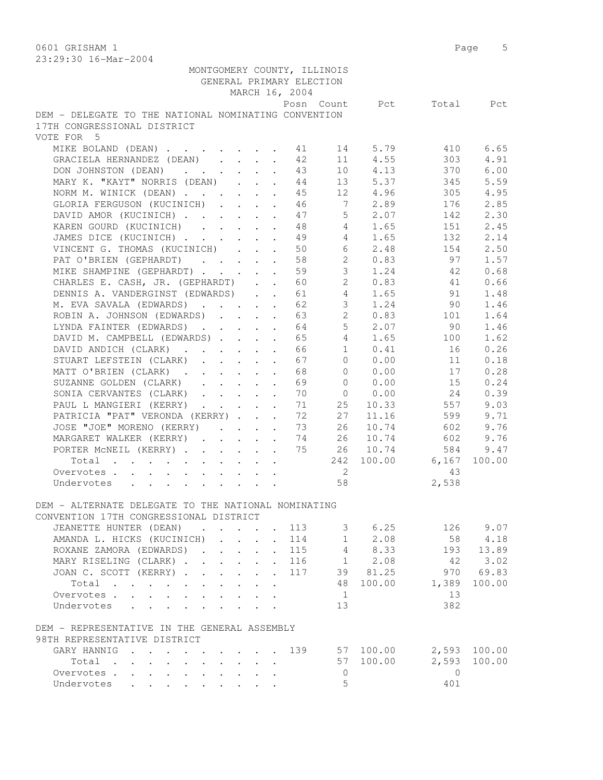0601 GRISHAM 1 Page 5

| 23:29:30 16-Mar-2004                                                                  |                                                           |                            |                                 |                |                |              |
|---------------------------------------------------------------------------------------|-----------------------------------------------------------|----------------------------|---------------------------------|----------------|----------------|--------------|
| MONTGOMERY COUNTY, ILLINOIS                                                           |                                                           |                            |                                 |                |                |              |
|                                                                                       |                                                           | GENERAL PRIMARY ELECTION   |                                 |                |                |              |
|                                                                                       |                                                           | MARCH 16, 2004             |                                 |                |                |              |
|                                                                                       |                                                           |                            |                                 | Posn Count Pct | Total          | Pct          |
| DEM - DELEGATE TO THE NATIONAL NOMINATING CONVENTION                                  |                                                           |                            |                                 |                |                |              |
| 17TH CONGRESSIONAL DISTRICT                                                           |                                                           |                            |                                 |                |                |              |
| VOTE FOR 5                                                                            |                                                           |                            |                                 |                |                |              |
| MIKE BOLAND (DEAN)                                                                    |                                                           | 41                         | 14                              | 5.79           | 410            | 6.65         |
| GRACIELA HERNANDEZ (DEAN)                                                             |                                                           | 42                         | 11                              | 4.55           | 303            | 4.91         |
| DON JOHNSTON (DEAN)                                                                   | $\mathbf{r}$ , $\mathbf{r}$ , $\mathbf{r}$ , $\mathbf{r}$ | 43                         | 10                              | 4.13           | 370            | 6.00         |
| MARY K. "KAYT" NORRIS (DEAN)                                                          |                                                           | 44                         |                                 | 13 5.37        | 345            | 5.59         |
| NORM M. WINICK (DEAN)                                                                 |                                                           | 45                         |                                 | 12 4.96        | 305            | 4.95         |
| GLORIA FERGUSON (KUCINICH)                                                            |                                                           | 46                         | 7                               | 2.89           | 176            | 2.85         |
| DAVID AMOR (KUCINICH)                                                                 |                                                           | 47                         | 5 <sup>1</sup>                  | 2.07           | 142            | 2.30         |
| KAREN GOURD (KUCINICH)                                                                |                                                           | 48                         | $4\phantom{0}$                  | 1.65           | 151            | 2.45         |
| JAMES DICE (KUCINICH)                                                                 | $\cdot$ $\cdot$ $\cdot$                                   | 49                         | $4 -$                           | 1.65           | 132            | 2.14         |
| VINCENT G. THOMAS (KUCINICH)                                                          | $\mathbf{L}$<br>$\mathbf{L}$                              | 50<br>$\sim$               | 6                               | 2.48           | 154            | 2.50         |
| PAT O'BRIEN (GEPHARDT)                                                                |                                                           | 58                         | $\mathbf{2}$                    | 0.83           | 97             | 1.57         |
| MIKE SHAMPINE (GEPHARDT)                                                              |                                                           | 59                         | 3                               | 1.24           | 42             | 0.68         |
|                                                                                       |                                                           |                            | $\overline{2}$                  | 0.83           | 41             | 0.66         |
| CHARLES E. CASH, JR. (GEPHARDT)                                                       |                                                           | 60                         |                                 |                | 91             | 1.48         |
| DENNIS A. VANDERGINST (EDWARDS)                                                       |                                                           | 61                         | $\overline{4}$<br>$\mathcal{S}$ | 1.65<br>1.24   |                |              |
| M. EVA SAVALA (EDWARDS)                                                               |                                                           | 62                         |                                 |                | 90             | 1.46         |
| ROBIN A. JOHNSON (EDWARDS)                                                            |                                                           | 63                         | 2 <sup>1</sup>                  | 0.83           | 101            | 1.64         |
| LYNDA FAINTER (EDWARDS)                                                               |                                                           | 64                         | 5                               | 2.07           | 90             | 1.46         |
| DAVID M. CAMPBELL (EDWARDS)                                                           |                                                           | 65<br>$\ddot{\phantom{a}}$ | $4^{\circ}$                     | 1.65           | 100            | 1.62         |
| DAVID ANDICH (CLARK).<br>$\sim$ $-$                                                   | $\mathbf{r} = \mathbf{r} + \mathbf{r}$ .                  | 66<br>$\ddot{\phantom{a}}$ | 1                               | 0.41           | 16             | 0.26         |
| STUART LEFSTEIN (CLARK)<br>$\cdot$ $\cdot$ $\cdot$ $\cdot$ $\cdot$                    |                                                           | 67<br>$\ddot{\phantom{a}}$ | $\Omega$                        | 0.00           | 11             | 0.18         |
| MATT O'BRIEN (CLARK)                                                                  |                                                           | 68                         | $\Omega$                        | 0.00           | 17             | 0.28         |
| SUZANNE GOLDEN (CLARK)<br>$\cdot$ $\cdot$ $\cdot$ $\cdot$ $\cdot$ $\cdot$             |                                                           | 69                         | $\mathbf{0}$                    | 0.00           | 15             | 0.24         |
| SONIA CERVANTES (CLARK)                                                               |                                                           | 70                         | $\overline{0}$                  | 0.00           | 24             | 0.39         |
| PAUL L MANGIERI (KERRY)                                                               |                                                           | 71                         | 25                              | 10.33          | 557            | 9.03         |
| PATRICIA "PAT" VERONDA (KERRY)                                                        |                                                           | 72                         | 27                              | 11.16          | 599            | 9.71         |
| JOSE "JOE" MORENO (KERRY)                                                             |                                                           | 73                         | 26                              | 10.74          | 602            | 9.76         |
| MARGARET WALKER (KERRY)                                                               |                                                           | 74<br>$\ddot{\phantom{a}}$ | 26                              | 10.74          | 602            | 9.76         |
| PORTER MCNEIL (KERRY)                                                                 |                                                           | 75                         | 26                              | 10.74          | 584            | 9.47         |
| Total                                                                                 |                                                           |                            | 242                             | 100.00         | 6,167          | 100.00       |
| Overvotes                                                                             |                                                           |                            | 2                               |                | 43             |              |
| Undervotes                                                                            |                                                           |                            | 58                              |                | 2,538          |              |
|                                                                                       |                                                           |                            |                                 |                |                |              |
| DEM - ALTERNATE DELEGATE TO THE NATIONAL NOMINATING                                   |                                                           |                            |                                 |                |                |              |
| CONVENTION 17TH CONGRESSIONAL DISTRICT                                                |                                                           |                            |                                 |                |                |              |
| JEANETTE HUNTER (DEAN)                                                                |                                                           | 113                        |                                 | 3 6.25         |                | 126 9.07     |
| AMANDA L. HICKS (KUCINICH)<br>$\mathbf{r}$                                            | $\Delta \sim 10^4$                                        | 114                        | 1                               | 2.08           | 58             | 4.18         |
| ROXANE ZAMORA (EDWARDS).                                                              | $\mathbf{L} = \mathbf{L} \times \mathbf{L}$               | 115<br>$\sim$              |                                 | $4 \t 8.33$    | 193            | 13.89        |
| MARY RISELING (CLARK)                                                                 |                                                           | . 116                      |                                 | $1 \t 2.08$    | 42             | 3.02         |
| JOAN C. SCOTT (KERRY)                                                                 |                                                           | 117                        |                                 | 39 81.25       | 970            | 69.83        |
| Total                                                                                 |                                                           |                            |                                 | 48 100.00      | 1,389          | 100.00       |
| Overvotes                                                                             |                                                           |                            | $\mathbf{1}$                    |                | 13             |              |
| Undervotes                                                                            |                                                           |                            | 13                              |                | 382            |              |
|                                                                                       |                                                           |                            |                                 |                |                |              |
| DEM - REPRESENTATIVE IN THE GENERAL ASSEMBLY                                          |                                                           |                            |                                 |                |                |              |
| 98TH REPRESENTATIVE DISTRICT                                                          |                                                           |                            |                                 |                |                |              |
| GARY HANNIG<br>$\sim$ $\sim$ $\sim$ $\sim$ $\sim$ $\sim$<br>$\mathbf{r}$ $\mathbf{r}$ |                                                           | 139                        |                                 | 57 100.00      |                | 2,593 100.00 |
| Total                                                                                 | $\sim$                                                    | $\sim$                     |                                 | 57 100.00      | 2,593          | 100.00       |
| Overvotes.                                                                            |                                                           |                            | $\circ$                         |                | $\overline{0}$ |              |
| Undervotes                                                                            |                                                           |                            | 5                               |                | 401            |              |
|                                                                                       |                                                           |                            |                                 |                |                |              |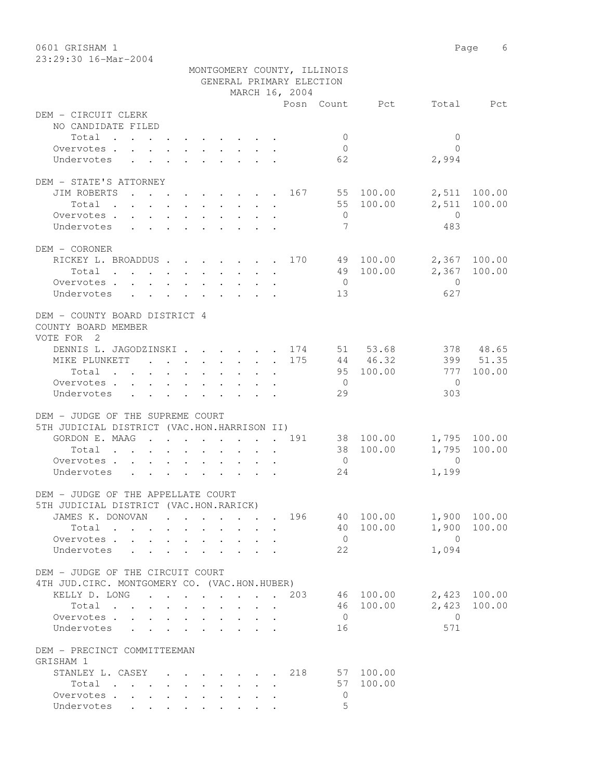0601 GRISHAM 1 Page 6 23:29:30 16-Mar-2004

|                                                                                                                          |                                                                                                        |                           |                           |                                                 |                         |                          | MONTGOMERY COUNTY, ILLINOIS |                 |                |                        |
|--------------------------------------------------------------------------------------------------------------------------|--------------------------------------------------------------------------------------------------------|---------------------------|---------------------------|-------------------------------------------------|-------------------------|--------------------------|-----------------------------|-----------------|----------------|------------------------|
|                                                                                                                          |                                                                                                        |                           |                           |                                                 |                         | GENERAL PRIMARY ELECTION |                             |                 |                |                        |
|                                                                                                                          |                                                                                                        |                           |                           |                                                 |                         | MARCH 16, 2004           |                             |                 |                |                        |
|                                                                                                                          |                                                                                                        |                           |                           |                                                 |                         |                          |                             | Posn Count Pct  |                | Total Pct              |
| DEM - CIRCUIT CLERK<br>NO CANDIDATE FILED                                                                                |                                                                                                        |                           |                           |                                                 |                         |                          |                             |                 |                |                        |
| Total                                                                                                                    |                                                                                                        |                           |                           |                                                 |                         |                          | $\overline{0}$              |                 | $\mathbf{0}$   |                        |
| Overvotes.                                                                                                               |                                                                                                        |                           |                           |                                                 |                         |                          | $\overline{0}$              |                 | $\bigcap$      |                        |
| Undervotes                                                                                                               | $\mathbf{r}$ , $\mathbf{r}$ , $\mathbf{r}$ , $\mathbf{r}$ , $\mathbf{r}$ , $\mathbf{r}$ , $\mathbf{r}$ |                           |                           |                                                 |                         |                          | 62                          |                 | 2,994          |                        |
|                                                                                                                          |                                                                                                        |                           |                           |                                                 |                         |                          |                             |                 |                |                        |
| DEM - STATE'S ATTORNEY                                                                                                   |                                                                                                        |                           |                           |                                                 |                         |                          |                             |                 |                |                        |
| JIM ROBERTS                                                                                                              |                                                                                                        |                           |                           |                                                 |                         |                          |                             | . 167 55 100.00 |                | 2,511 100.00           |
| Total<br>the contract of the contract of the contract of the contract of the contract of the contract of the contract of |                                                                                                        |                           |                           |                                                 |                         |                          |                             | 55 100.00       | 2,511          | 100.00                 |
| Overvotes                                                                                                                |                                                                                                        |                           |                           |                                                 |                         |                          | $\overline{0}$              |                 | $\bigcirc$     |                        |
| Undervotes                                                                                                               |                                                                                                        |                           |                           |                                                 |                         |                          | $7\phantom{.0}$             |                 | 483            |                        |
|                                                                                                                          |                                                                                                        |                           |                           |                                                 |                         |                          |                             |                 |                |                        |
| DEM - CORONER                                                                                                            |                                                                                                        |                           |                           |                                                 |                         |                          |                             |                 |                |                        |
| RICKEY L. BROADDUS 170 49 100.00                                                                                         |                                                                                                        |                           |                           |                                                 |                         |                          |                             |                 |                | 2,367 100.00           |
| Total                                                                                                                    |                                                                                                        |                           |                           |                                                 |                         |                          |                             | 49 100.00       |                | 2,367 100.00           |
| Overvotes.                                                                                                               |                                                                                                        |                           |                           |                                                 |                         |                          | $\overline{0}$              |                 | $\overline{0}$ |                        |
| Undervotes                                                                                                               |                                                                                                        |                           |                           |                                                 |                         |                          | 13                          |                 | 627            |                        |
|                                                                                                                          |                                                                                                        |                           |                           |                                                 |                         |                          |                             |                 |                |                        |
| DEM - COUNTY BOARD DISTRICT 4<br>COUNTY BOARD MEMBER                                                                     |                                                                                                        |                           |                           |                                                 |                         |                          |                             |                 |                |                        |
| VOTE FOR 2                                                                                                               |                                                                                                        |                           |                           |                                                 |                         |                          |                             |                 |                |                        |
| DENNIS L. JAGODZINSKI 174 51 53.68                                                                                       |                                                                                                        |                           |                           |                                                 |                         |                          |                             |                 |                | 378 48.65              |
| MIKE PLUNKETT 175                                                                                                        |                                                                                                        |                           |                           |                                                 |                         |                          |                             | 44 46.32        |                | 399 51.35              |
| Total                                                                                                                    |                                                                                                        |                           |                           |                                                 |                         |                          |                             | 95 100.00       | 777            | 100.00                 |
| Overvotes.                                                                                                               |                                                                                                        |                           |                           |                                                 |                         |                          | $\overline{0}$              |                 | $\overline{0}$ |                        |
| Undervotes                                                                                                               |                                                                                                        |                           |                           |                                                 |                         |                          | 29                          |                 | 303            |                        |
|                                                                                                                          |                                                                                                        |                           |                           |                                                 |                         |                          |                             |                 |                |                        |
| DEM - JUDGE OF THE SUPREME COURT                                                                                         |                                                                                                        |                           |                           |                                                 |                         |                          |                             |                 |                |                        |
| 5TH JUDICIAL DISTRICT (VAC.HON.HARRISON II)                                                                              |                                                                                                        |                           |                           |                                                 |                         |                          |                             |                 |                |                        |
| GORDON E. MAAG 191 38 100.00<br>Total                                                                                    |                                                                                                        |                           |                           |                                                 |                         |                          |                             | 38 100.00       | 1,795          | 1,795 100.00<br>100.00 |
| Overvotes.                                                                                                               | $\mathbf{r}$ , and $\mathbf{r}$ , and $\mathbf{r}$ , and $\mathbf{r}$                                  |                           |                           |                                                 |                         |                          | $\overline{0}$              |                 | $\overline{0}$ |                        |
| Undervotes                                                                                                               |                                                                                                        |                           |                           |                                                 |                         |                          | 24                          |                 | 1,199          |                        |
|                                                                                                                          |                                                                                                        |                           |                           |                                                 |                         |                          |                             |                 |                |                        |
| DEM - JUDGE OF THE APPELLATE COURT                                                                                       |                                                                                                        |                           |                           |                                                 |                         |                          |                             |                 |                |                        |
| 5TH JUDICIAL DISTRICT (VAC.HON.RARICK)                                                                                   |                                                                                                        |                           |                           |                                                 |                         |                          |                             |                 |                |                        |
| JAMES K. DONOVAN                                                                                                         |                                                                                                        |                           |                           |                                                 |                         | 196                      |                             | 40 100.00       |                | 1,900 100.00           |
| Total                                                                                                                    |                                                                                                        |                           | $\mathbf{r} = \mathbf{r}$ |                                                 | $\cdot$ $\cdot$ $\cdot$ |                          |                             | 40 100.00       |                | 1,900 100.00           |
| Overvotes                                                                                                                |                                                                                                        | $\mathbf{r} = \mathbf{r}$ |                           | $\cdot$ $\cdot$ $\cdot$ $\cdot$ $\cdot$ $\cdot$ |                         |                          | $\overline{0}$              |                 | $\overline{0}$ |                        |
| Undervotes<br>$\sim$ $\sim$                                                                                              |                                                                                                        |                           |                           |                                                 |                         |                          | 22                          |                 | 1,094          |                        |
|                                                                                                                          |                                                                                                        |                           |                           |                                                 |                         |                          |                             |                 |                |                        |
| DEM - JUDGE OF THE CIRCUIT COURT                                                                                         |                                                                                                        |                           |                           |                                                 |                         |                          |                             |                 |                |                        |
| 4TH JUD. CIRC. MONTGOMERY CO. (VAC.HON.HUBER)                                                                            |                                                                                                        |                           |                           |                                                 |                         |                          |                             |                 |                |                        |
| KELLY D. LONG 203                                                                                                        |                                                                                                        |                           |                           |                                                 |                         |                          |                             | 46 100.00       |                | 2,423 100.00           |
| Total                                                                                                                    |                                                                                                        |                           |                           |                                                 |                         |                          |                             | 46 100.00       | 2,423          | 100.00                 |
| Overvotes                                                                                                                |                                                                                                        |                           |                           |                                                 |                         |                          | $\overline{0}$              |                 | $\overline{0}$ |                        |
| Undervotes                                                                                                               |                                                                                                        |                           |                           |                                                 |                         |                          | 16                          |                 | 571            |                        |
|                                                                                                                          |                                                                                                        |                           |                           |                                                 |                         |                          |                             |                 |                |                        |
| DEM - PRECINCT COMMITTEEMAN<br>GRISHAM 1                                                                                 |                                                                                                        |                           |                           |                                                 |                         |                          |                             |                 |                |                        |
| STANLEY L. CASEY 218                                                                                                     |                                                                                                        |                           |                           |                                                 |                         |                          |                             | 57 100.00       |                |                        |
| Total                                                                                                                    |                                                                                                        |                           |                           |                                                 |                         |                          |                             | 57 100.00       |                |                        |
| Overvotes                                                                                                                |                                                                                                        |                           |                           |                                                 |                         |                          | 0                           |                 |                |                        |
| Undervotes                                                                                                               |                                                                                                        |                           |                           |                                                 |                         |                          | 5                           |                 |                |                        |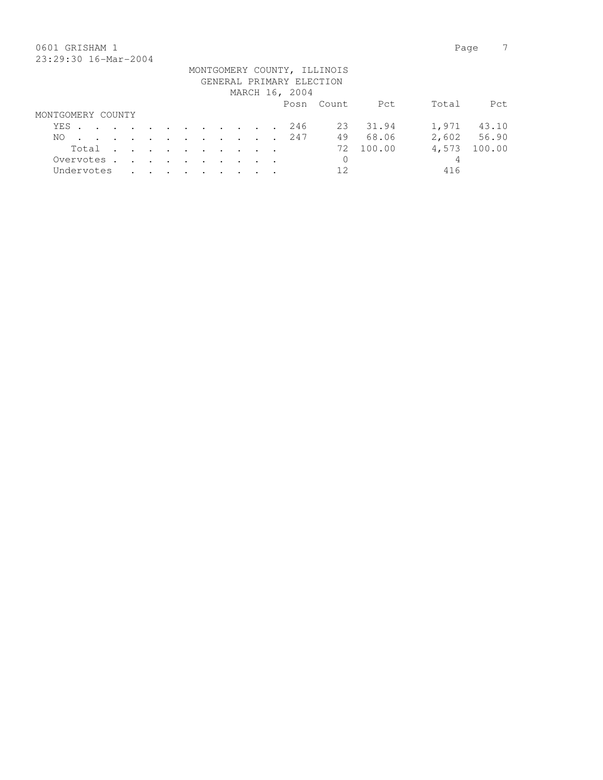### 0601 GRISHAM 1 Page 7 23:29:30 16-Mar-2004

| 40.47.90 10.141 4001 |  |  |  |  |  |                          |                             |           |       |             |
|----------------------|--|--|--|--|--|--------------------------|-----------------------------|-----------|-------|-------------|
|                      |  |  |  |  |  | GENERAL PRIMARY ELECTION | MONTGOMERY COUNTY, ILLINOIS |           |       |             |
|                      |  |  |  |  |  | MARCH 16, 2004           |                             |           |       |             |
|                      |  |  |  |  |  |                          | Posn Count                  | Pct       | Total | Pct         |
| MONTGOMERY COUNTY    |  |  |  |  |  |                          |                             |           |       |             |
| YES. 246             |  |  |  |  |  |                          |                             | 23 31.94  | 1,971 | 43.10       |
| NO.                  |  |  |  |  |  | . 247                    | 49                          | 68.06     |       | 2,602 56.90 |
| Total                |  |  |  |  |  |                          |                             | 72 100.00 | 4,573 | 100.00      |
| Overvotes.           |  |  |  |  |  |                          | $\mathbf 0$                 |           | 4     |             |
| Undervotes           |  |  |  |  |  |                          | 12                          |           | 416   |             |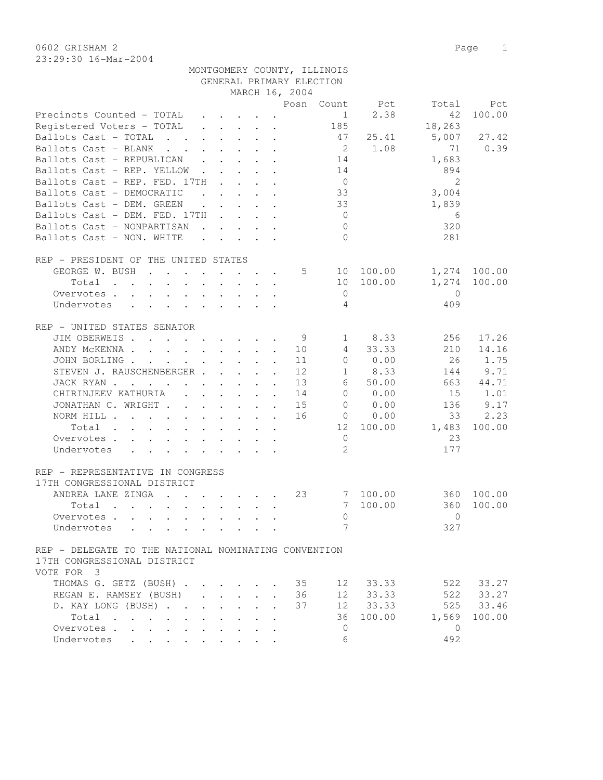0602 GRISHAM 2 Page 1 23:29:30 16-Mar-2004

| MONTGOMERY COUNTY, ILLINOIS |
|-----------------------------|
| GENERAL PRIMARY ELECTION    |

|                                                                                                    |                      |                                                                                                                                                                                                                                        |                      |                      | MARCH 16, 2004 |                 |                                |               |              |
|----------------------------------------------------------------------------------------------------|----------------------|----------------------------------------------------------------------------------------------------------------------------------------------------------------------------------------------------------------------------------------|----------------------|----------------------|----------------|-----------------|--------------------------------|---------------|--------------|
|                                                                                                    |                      |                                                                                                                                                                                                                                        |                      |                      |                |                 | Posn Count Pct                 | Total         | Pct          |
| Precincts Counted - TOTAL                                                                          |                      |                                                                                                                                                                                                                                        |                      |                      |                |                 | 2.38<br>$1 \quad \blacksquare$ | 42            | 100.00       |
| Registered Voters - TOTAL                                                                          |                      |                                                                                                                                                                                                                                        |                      |                      |                | 185             |                                | 18,263        |              |
| Ballots Cast - TOTAL<br>$\mathbf{r}$ , and $\mathbf{r}$ , and $\mathbf{r}$ , and $\mathbf{r}$      |                      |                                                                                                                                                                                                                                        |                      |                      |                | 47              | 25.41                          | 5,007         | 27.42        |
| Ballots Cast - BLANK                                                                               |                      |                                                                                                                                                                                                                                        |                      |                      |                | $\overline{2}$  | 1.08                           | 71            | 0.39         |
| Ballots Cast - REPUBLICAN                                                                          |                      | $\ddot{\phantom{a}}$ . The contract of the contract of the contract of the contract of the contract of the contract of the contract of the contract of the contract of the contract of the contract of the contract of the contract of |                      |                      |                | 14              |                                | 1,683         |              |
| Ballots Cast - REP. YELLOW<br>$\sim$ $\sim$                                                        |                      | $\mathbf{r} = \mathbf{r} + \mathbf{r} + \mathbf{r}$ .                                                                                                                                                                                  |                      |                      |                | 14              |                                | 894           |              |
| Ballots Cast - REP. FED. 17TH                                                                      |                      | $\mathbf{r}$ . The set of $\mathbf{r}$                                                                                                                                                                                                 |                      |                      |                | $\overline{0}$  |                                | $\mathcal{L}$ |              |
| Ballots Cast - DEMOCRATIC<br>$\mathbf{r}$ , $\mathbf{r}$ , $\mathbf{r}$ , $\mathbf{r}$             |                      |                                                                                                                                                                                                                                        |                      |                      |                | 33              |                                | 3,004         |              |
| Ballots Cast - DEM. GREEN                                                                          |                      | $\mathbf{r}$ , $\mathbf{r}$ , $\mathbf{r}$ , $\mathbf{r}$                                                                                                                                                                              |                      |                      |                | 33              |                                | 1,839         |              |
| Ballots Cast - DEM. FED. 17TH                                                                      |                      |                                                                                                                                                                                                                                        |                      |                      |                | $\overline{0}$  |                                | 6             |              |
| Ballots Cast - NONPARTISAN                                                                         |                      |                                                                                                                                                                                                                                        |                      |                      |                | $\Omega$        |                                | 320           |              |
| Ballots Cast - NON. WHITE<br>$\mathbf{r}$ , and $\mathbf{r}$ , and $\mathbf{r}$ , and $\mathbf{r}$ |                      |                                                                                                                                                                                                                                        |                      |                      |                | $\Omega$        |                                | 281           |              |
|                                                                                                    |                      |                                                                                                                                                                                                                                        |                      |                      |                |                 |                                |               |              |
| REP - PRESIDENT OF THE UNITED STATES                                                               |                      |                                                                                                                                                                                                                                        |                      |                      |                |                 |                                |               |              |
| GEORGE W. BUSH                                                                                     |                      |                                                                                                                                                                                                                                        |                      |                      | 5              |                 | 10 100.00                      |               | 1,274 100.00 |
| Total $\cdots$                                                                                     |                      | $\mathbf{r}$ , $\mathbf{r}$ , $\mathbf{r}$                                                                                                                                                                                             |                      |                      |                |                 | 10 100.00                      | 1,274         | 100.00       |
| Overvotes                                                                                          |                      |                                                                                                                                                                                                                                        |                      |                      |                | $\mathbf{0}$    |                                | $\bigcirc$    |              |
| Undervotes                                                                                         |                      |                                                                                                                                                                                                                                        |                      |                      |                | $\overline{4}$  |                                | 409           |              |
|                                                                                                    |                      |                                                                                                                                                                                                                                        |                      |                      |                |                 |                                |               |              |
| REP - UNITED STATES SENATOR                                                                        |                      |                                                                                                                                                                                                                                        |                      |                      |                |                 |                                |               |              |
|                                                                                                    |                      |                                                                                                                                                                                                                                        |                      |                      |                |                 |                                |               |              |
| JIM OBERWEIS                                                                                       |                      |                                                                                                                                                                                                                                        |                      |                      | - 9            | $\mathbf{1}$    | 8.33                           | 256           | 17.26        |
| ANDY MCKENNA 10                                                                                    |                      |                                                                                                                                                                                                                                        |                      |                      |                | 4               | 33.33                          | 210           | 14.16        |
| JOHN BORLING.<br>$\mathcal{A}$ is a set of the set of the set of the set of $\mathcal{A}$          |                      |                                                                                                                                                                                                                                        |                      |                      | 11             | $\circ$         | 0.00                           | 26            | 1.75         |
| STEVEN J. RAUSCHENBERGER                                                                           |                      |                                                                                                                                                                                                                                        |                      | $\mathbf{A}$         | 12             | $\mathbf{1}$    | 8.33                           | 144           | 9.71         |
| JACK RYAN                                                                                          |                      |                                                                                                                                                                                                                                        |                      |                      | 13             | 6               | 50.00                          | 663           | 44.71        |
| CHIRINJEEV KATHURIA (CHIRINJEEV KATHURIA)                                                          |                      |                                                                                                                                                                                                                                        |                      |                      | 14             | $\overline{0}$  | 0.00                           | 15            | 1.01         |
| JONATHAN C. WRIGHT                                                                                 |                      |                                                                                                                                                                                                                                        |                      |                      | 15             | $\overline{0}$  | 0.00                           | 136           | 9.17         |
| NORM HILL                                                                                          |                      |                                                                                                                                                                                                                                        |                      |                      | 16             |                 | 0.00<br>$\sim$ 0               | 33            | 2.23         |
| Total                                                                                              |                      |                                                                                                                                                                                                                                        |                      |                      |                | 12              | 100.00                         | 1,483         | 100.00       |
| Overvotes                                                                                          |                      |                                                                                                                                                                                                                                        |                      |                      |                | $\mathbf{0}$    |                                | 23            |              |
| Undervotes                                                                                         |                      |                                                                                                                                                                                                                                        |                      |                      |                | $\mathcal{L}$   |                                | 177           |              |
|                                                                                                    |                      |                                                                                                                                                                                                                                        |                      |                      |                |                 |                                |               |              |
| REP - REPRESENTATIVE IN CONGRESS                                                                   |                      |                                                                                                                                                                                                                                        |                      |                      |                |                 |                                |               |              |
| 17TH CONGRESSIONAL DISTRICT                                                                        |                      |                                                                                                                                                                                                                                        |                      |                      |                |                 |                                |               |              |
| ANDREA LANE ZINGA                                                                                  |                      |                                                                                                                                                                                                                                        |                      |                      | 23             | $7\overline{ }$ | 100.00                         | 360           | 100.00       |
| Total                                                                                              |                      |                                                                                                                                                                                                                                        |                      |                      |                | 7               | 100.00                         | 360           | 100.00       |
| Overvotes                                                                                          |                      |                                                                                                                                                                                                                                        |                      |                      |                | $\mathbf{0}$    |                                | $\Omega$      |              |
| Undervotes                                                                                         |                      |                                                                                                                                                                                                                                        |                      |                      |                | 7               |                                | 327           |              |
|                                                                                                    |                      |                                                                                                                                                                                                                                        |                      |                      |                |                 |                                |               |              |
| REP - DELEGATE TO THE NATIONAL NOMINATING CONVENTION                                               |                      |                                                                                                                                                                                                                                        |                      |                      |                |                 |                                |               |              |
| 17TH CONGRESSIONAL DISTRICT                                                                        |                      |                                                                                                                                                                                                                                        |                      |                      |                |                 |                                |               |              |
| VOTE FOR 3                                                                                         |                      |                                                                                                                                                                                                                                        |                      |                      |                |                 |                                |               |              |
| THOMAS G. GETZ (BUSH)                                                                              |                      |                                                                                                                                                                                                                                        | $\sim$               |                      | 35             | 12              | 33.33                          | 522           | 33.27        |
| REGAN E. RAMSEY (BUSH)                                                                             |                      | $\mathbf{r} = \mathbf{r} \cdot \mathbf{r}$ , where $\mathbf{r} = \mathbf{r} \cdot \mathbf{r}$                                                                                                                                          |                      | $\mathbf{A}$         | 36             | 12              | 33.33                          |               | 522 33.27    |
| D. KAY LONG (BUSH)<br>and the state of the state of                                                |                      |                                                                                                                                                                                                                                        | $\mathbf{r}$         |                      | 37             |                 | 12 33.33                       |               | 525 33.46    |
| $Total \cdot \cdot \cdot \cdot \cdot$<br>$\ddot{\phantom{0}}$                                      |                      |                                                                                                                                                                                                                                        |                      | $\ddot{\phantom{a}}$ |                | 36              | 100.00                         | 1,569         | 100.00       |
| Overvotes                                                                                          | $\ddot{\phantom{0}}$ | $\ddot{\phantom{0}}$                                                                                                                                                                                                                   | $\ddot{\phantom{0}}$ | $\ddot{\phantom{a}}$ |                | $\mathbf{0}$    |                                | $\mathbf{0}$  |              |
| Undervotes                                                                                         |                      |                                                                                                                                                                                                                                        |                      |                      |                | 6               |                                | 492           |              |
|                                                                                                    |                      |                                                                                                                                                                                                                                        |                      |                      |                |                 |                                |               |              |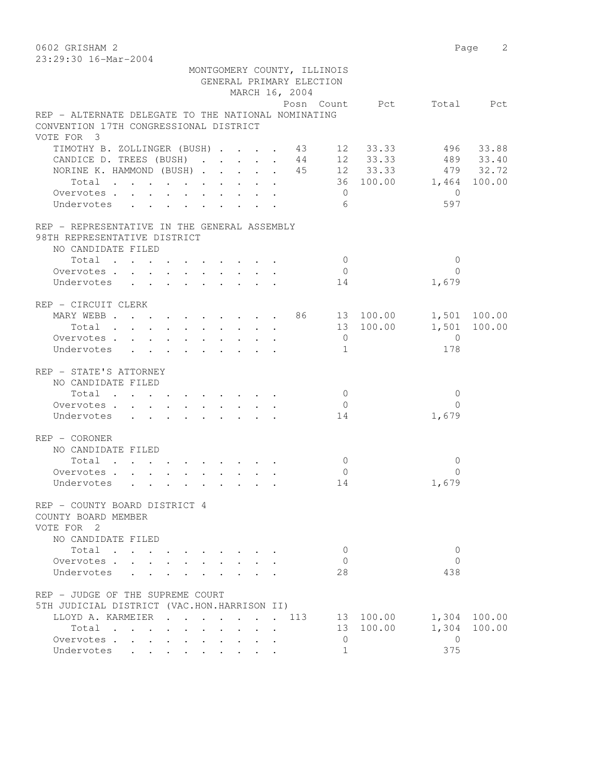0602 GRISHAM 2 Page 2

| 23:29:30 16-Mar-2004                                |                                                           |  |        |                            |  |              |                             |                |             |                          |              |
|-----------------------------------------------------|-----------------------------------------------------------|--|--------|----------------------------|--|--------------|-----------------------------|----------------|-------------|--------------------------|--------------|
|                                                     |                                                           |  |        |                            |  |              | MONTGOMERY COUNTY, ILLINOIS |                |             |                          |              |
|                                                     |                                                           |  |        |                            |  |              | GENERAL PRIMARY ELECTION    |                |             |                          |              |
|                                                     |                                                           |  |        |                            |  |              | MARCH 16, 2004              |                |             |                          |              |
|                                                     |                                                           |  |        |                            |  |              |                             |                |             | Posn Count Pct Total Pct |              |
| REP - ALTERNATE DELEGATE TO THE NATIONAL NOMINATING |                                                           |  |        |                            |  |              |                             |                |             |                          |              |
| CONVENTION 17TH CONGRESSIONAL DISTRICT              |                                                           |  |        |                            |  |              |                             |                |             |                          |              |
| VOTE FOR 3                                          |                                                           |  |        |                            |  |              |                             |                |             |                          |              |
| TIMOTHY B. ZOLLINGER (BUSH) 43 12 33.33             |                                                           |  |        |                            |  |              |                             |                |             |                          | 496 33.88    |
| CANDICE D. TREES (BUSH)                             |                                                           |  |        |                            |  |              |                             |                | 44 12 33.33 |                          | 489 33.40    |
| NORINE K. HAMMOND (BUSH) 45 12 33.33 479 32.72      |                                                           |  |        |                            |  |              |                             |                |             |                          |              |
| Total                                               |                                                           |  |        |                            |  |              |                             |                |             | 36 100.00 1,464 100.00   |              |
| Overvotes.                                          |                                                           |  |        |                            |  |              |                             | $\overline{0}$ |             | $\overline{0}$           |              |
| Undervotes                                          |                                                           |  |        |                            |  |              |                             | 6              |             | 597                      |              |
| REP - REPRESENTATIVE IN THE GENERAL ASSEMBLY        |                                                           |  |        |                            |  |              |                             |                |             |                          |              |
| 98TH REPRESENTATIVE DISTRICT                        |                                                           |  |        |                            |  |              |                             |                |             |                          |              |
| NO CANDIDATE FILED                                  |                                                           |  |        |                            |  |              |                             |                |             |                          |              |
| Total                                               |                                                           |  |        |                            |  |              |                             | $\overline{0}$ |             | $\mathbf{0}$             |              |
| Overvotes                                           |                                                           |  |        |                            |  |              |                             | $\overline{0}$ |             | $\Omega$                 |              |
| Undervotes                                          |                                                           |  |        |                            |  |              |                             | 14             |             | 1,679                    |              |
|                                                     |                                                           |  |        |                            |  |              |                             |                |             |                          |              |
| REP - CIRCUIT CLERK                                 |                                                           |  |        |                            |  |              |                             |                |             |                          |              |
| MARY WEBB 86 13 100.00                              |                                                           |  |        |                            |  |              |                             |                |             |                          | 1,501 100.00 |
| Total                                               |                                                           |  |        |                            |  |              |                             |                | 13 100.00   |                          | 1,501 100.00 |
| Overvotes.                                          |                                                           |  |        |                            |  |              |                             | $\overline{0}$ |             | $\bigcirc$               |              |
| Undervotes                                          | $\mathbf{r}$ , $\mathbf{r}$ , $\mathbf{r}$ , $\mathbf{r}$ |  |        |                            |  |              |                             | $\mathbf{1}$   |             | 178                      |              |
| REP - STATE'S ATTORNEY                              |                                                           |  |        |                            |  |              |                             |                |             |                          |              |
| NO CANDIDATE FILED                                  |                                                           |  |        |                            |  |              |                             |                |             |                          |              |
| Total                                               |                                                           |  |        |                            |  |              |                             | $\overline{0}$ |             | $\Omega$                 |              |
| Overvotes                                           |                                                           |  |        |                            |  |              |                             | $\overline{0}$ |             | $\Omega$                 |              |
| Undervotes                                          |                                                           |  |        |                            |  |              |                             | 14             |             | 1,679                    |              |
|                                                     |                                                           |  |        |                            |  |              |                             |                |             |                          |              |
| REP - CORONER                                       |                                                           |  |        |                            |  |              |                             |                |             |                          |              |
| NO CANDIDATE FILED                                  |                                                           |  |        |                            |  |              |                             |                |             |                          |              |
| Total                                               |                                                           |  |        |                            |  |              |                             | $\overline{0}$ |             | $\mathbf{0}$             |              |
| Overvotes.                                          |                                                           |  |        |                            |  |              |                             | $\overline{0}$ |             | $\Omega$                 |              |
| Undervotes                                          |                                                           |  |        |                            |  |              |                             | 14             |             | 1,679                    |              |
|                                                     |                                                           |  |        |                            |  |              |                             |                |             |                          |              |
| REP - COUNTY BOARD DISTRICT 4                       |                                                           |  |        |                            |  |              |                             |                |             |                          |              |
| COUNTY BOARD MEMBER<br>VOTE FOR 2                   |                                                           |  |        |                            |  |              |                             |                |             |                          |              |
| NO CANDIDATE FILED                                  |                                                           |  |        |                            |  |              |                             |                |             |                          |              |
| Total                                               |                                                           |  |        |                            |  |              |                             | 0              |             | $\mathbf{0}$             |              |
| Overvotes                                           |                                                           |  |        | $\mathcal{L}^{\text{max}}$ |  |              |                             | 0              |             | $\Omega$                 |              |
| Undervotes                                          | $\mathbf{L} = \mathbf{L}$                                 |  |        |                            |  |              |                             | 28             |             | 438                      |              |
| REP - JUDGE OF THE SUPREME COURT                    |                                                           |  |        |                            |  |              |                             |                |             |                          |              |
| 5TH JUDICIAL DISTRICT (VAC.HON.HARRISON II)         |                                                           |  |        |                            |  |              |                             |                |             |                          |              |
| LLOYD A. KARMEIER                                   |                                                           |  | $\sim$ | $\ddot{\phantom{a}}$       |  | $\mathbf{A}$ | 113                         |                | 13 100.00   |                          | 1,304 100.00 |
| Total                                               |                                                           |  |        |                            |  |              |                             |                | 13 100.00   | 1,304                    | 100.00       |
| Overvotes                                           |                                                           |  |        |                            |  |              |                             | $\circ$        |             | $\overline{0}$           |              |
| Undervotes                                          |                                                           |  |        |                            |  |              |                             | $\mathbf 1$    |             | 375                      |              |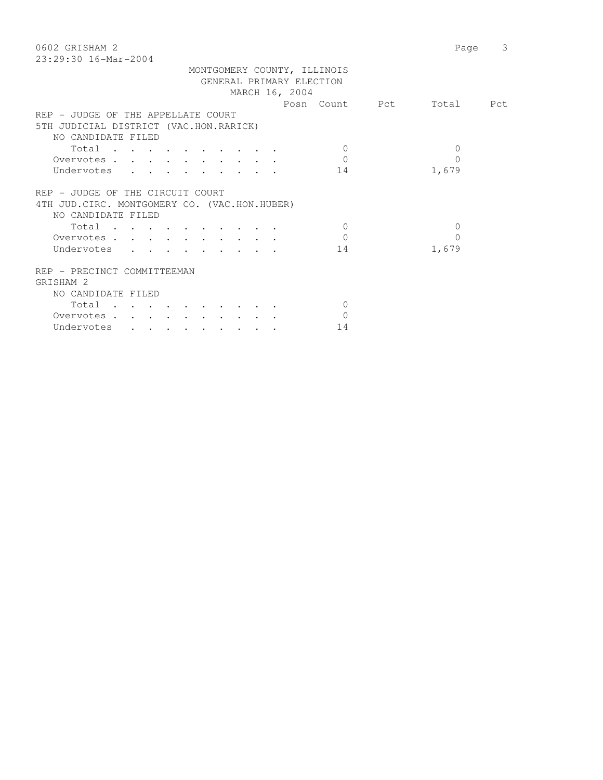| 0602 GRISHAM 2                                | Page     | 3         |
|-----------------------------------------------|----------|-----------|
| 23:29:30 16-Mar-2004                          |          |           |
| MONTGOMERY COUNTY, ILLINOIS                   |          |           |
| GENERAL PRIMARY ELECTION                      |          |           |
| MARCH 16, 2004                                |          |           |
| Posn Count Pct                                |          | Total Pct |
| REP - JUDGE OF THE APPELLATE COURT            |          |           |
| 5TH JUDICIAL DISTRICT (VAC.HON.RARICK)        |          |           |
| NO CANDIDATE FILED                            |          |           |
| Total<br>$\Omega$                             | $\Omega$ |           |
| $\Omega$<br>Overvotes                         | $\Omega$ |           |
|                                               |          |           |
| Undervotes<br>14                              | 1,679    |           |
|                                               |          |           |
| REP - JUDGE OF THE CIRCUIT COURT              |          |           |
| 4TH JUD. CIRC. MONTGOMERY CO. (VAC.HON.HUBER) |          |           |
| NO CANDIDATE FILED                            |          |           |
| $\Omega$<br>Total                             | $\Omega$ |           |
| $\Omega$<br>Overvotes                         | 0        |           |
| Undervotes<br>14                              | 1,679    |           |
| REP - PRECINCT COMMITTEEMAN                   |          |           |
| GRISHAM 2                                     |          |           |
| NO CANDIDATE FILED                            |          |           |
| $\mathbf{0}$<br>Total                         |          |           |
| $\Omega$<br>Overvotes.                        |          |           |
| 14                                            |          |           |
| Undervotes                                    |          |           |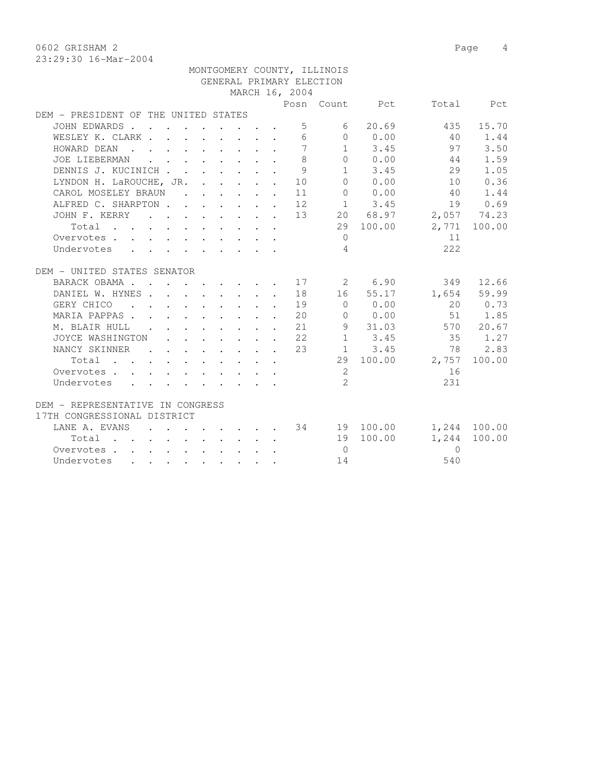0602 GRISHAM 2 Page 4

|                                         |               |  |                                                                                                         |  |                 | MONTGOMERY COUNTY, ILLINOIS |                                                 |                 |              |
|-----------------------------------------|---------------|--|---------------------------------------------------------------------------------------------------------|--|-----------------|-----------------------------|-------------------------------------------------|-----------------|--------------|
|                                         |               |  |                                                                                                         |  |                 | GENERAL PRIMARY ELECTION    |                                                 |                 |              |
|                                         |               |  |                                                                                                         |  | MARCH 16, 2004  |                             |                                                 |                 |              |
|                                         |               |  |                                                                                                         |  |                 |                             | Posn Count Pct                                  |                 | Total Pct    |
| DEM - PRESIDENT OF THE UNITED STATES    |               |  |                                                                                                         |  |                 |                             |                                                 |                 |              |
| JOHN EDWARDS                            |               |  |                                                                                                         |  |                 | $5 \sim$                    | 6 20.69                                         | 435             | 15.70        |
| WESLEY K. CLARK                         |               |  |                                                                                                         |  | $6\overline{6}$ |                             | $\begin{array}{ccc} & & 0 & & 0.00 \end{array}$ | 40              | 1.44         |
| HOWARD DEAN                             |               |  |                                                                                                         |  | $\overline{7}$  |                             | $1 \t 3.45$                                     | 97              | 3.50         |
| JOE LIEBERMAN                           |               |  |                                                                                                         |  | 8               |                             | 0 0.00                                          | 44              | 1.59         |
| DENNIS J. KUCINICH                      |               |  |                                                                                                         |  | 9               |                             | $1 \t3.45$                                      | 29              | 1.05         |
| LYNDON H. LaROUCHE, JR. 10              |               |  |                                                                                                         |  |                 |                             | 0 0.00                                          | 10              | 0.36         |
| CAROL MOSELEY BRAUN                     |               |  |                                                                                                         |  | 11              |                             | 0 0.00                                          | 40              | 1.44         |
| ALFRED C. SHARPTON 12                   |               |  |                                                                                                         |  |                 |                             | $1 \t3.45$                                      | 19              | 0.69         |
| JOHN F. KERRY 13 20 68.97 2,057 74.23   |               |  |                                                                                                         |  |                 |                             |                                                 |                 |              |
| Total                                   |               |  |                                                                                                         |  |                 |                             | 29 100.00                                       |                 | 2,771 100.00 |
| Overvotes.                              |               |  |                                                                                                         |  |                 | $\Omega$                    |                                                 | 11              |              |
| Undervotes                              |               |  |                                                                                                         |  |                 | $\overline{4}$              |                                                 | 2.2.2           |              |
|                                         |               |  |                                                                                                         |  |                 |                             |                                                 |                 |              |
| DEM - UNITED STATES SENATOR             |               |  |                                                                                                         |  |                 |                             |                                                 |                 |              |
| BARACK OBAMA 17 2 6.90                  |               |  |                                                                                                         |  |                 |                             |                                                 |                 | 349 12.66    |
| DANIEL W. HYNES 18                      |               |  |                                                                                                         |  |                 |                             | 16 55.17                                        |                 | 1,654 59.99  |
| GERY CHICO 19                           |               |  |                                                                                                         |  |                 | $\overline{0}$              | 0.00                                            |                 | 20 0.73      |
| MARIA PAPPAS.                           |               |  |                                                                                                         |  | 20              |                             | $0 \t 0.00$                                     |                 | 51 1.85      |
| M. BLAIR HULL                           |               |  | $\mathbf{r}$ , $\mathbf{r}$ , $\mathbf{r}$ , $\mathbf{r}$ , $\mathbf{r}$                                |  | 21              |                             | 9 31.03                                         |                 | 570 20.67    |
| JOYCE WASHINGTON                        |               |  | $\mathbf{r} = \mathbf{r} + \mathbf{r} + \mathbf{r} + \mathbf{r} + \mathbf{r} + \mathbf{r} + \mathbf{r}$ |  | 22              |                             | $1 \t3.45$                                      | 35              | 1.27         |
| NANCY SKINNER                           | $\sim$ $\sim$ |  | $\mathbf{r}$ , and $\mathbf{r}$ , and $\mathbf{r}$ , and $\mathbf{r}$                                   |  | 23              |                             | $1 \quad 3.45$                                  | 78              | 2.83         |
| Total                                   |               |  |                                                                                                         |  |                 |                             |                                                 | 29 100.00 2,757 | 100.00       |
| Overvotes                               |               |  |                                                                                                         |  |                 | 2                           |                                                 | 16              |              |
| Undervotes                              |               |  |                                                                                                         |  |                 | $\overline{2}$              |                                                 | 231             |              |
|                                         |               |  |                                                                                                         |  |                 |                             |                                                 |                 |              |
| DEM - REPRESENTATIVE IN CONGRESS        |               |  |                                                                                                         |  |                 |                             |                                                 |                 |              |
| 17TH CONGRESSIONAL DISTRICT             |               |  |                                                                                                         |  |                 |                             |                                                 |                 |              |
| LANE A. EVANS 34 19 100.00 1,244 100.00 |               |  |                                                                                                         |  |                 |                             |                                                 |                 |              |
| Total                                   |               |  |                                                                                                         |  |                 |                             | 19 100.00                                       | 1,244           | 100.00       |
| Overvotes                               |               |  |                                                                                                         |  |                 | $\overline{0}$              |                                                 | $\Omega$        |              |
| Undervotes                              |               |  |                                                                                                         |  |                 | 14                          |                                                 | 540             |              |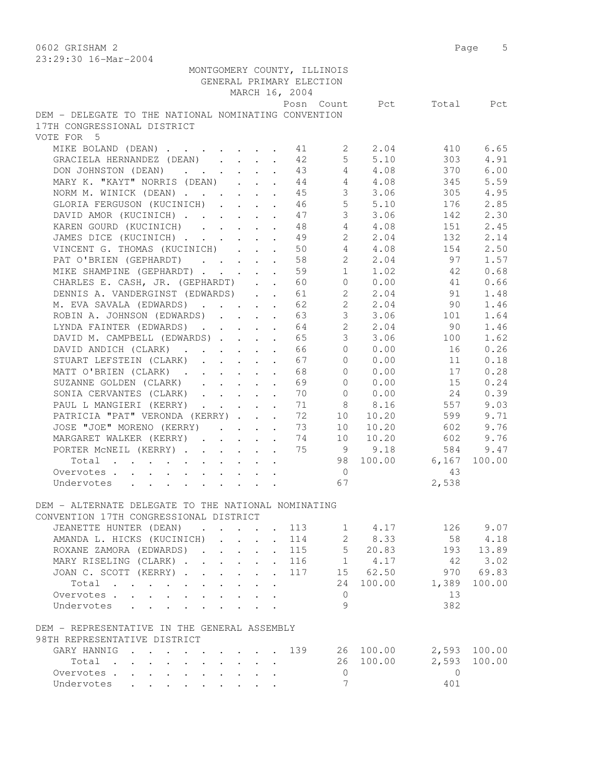0602 GRISHAM 2 Page 5 23:29:30 16-Mar-2004

| 20.29.90 IO MAL 2007                                 |  |  |                               |                             |                 |                          |                   |
|------------------------------------------------------|--|--|-------------------------------|-----------------------------|-----------------|--------------------------|-------------------|
|                                                      |  |  |                               | MONTGOMERY COUNTY, ILLINOIS |                 |                          |                   |
|                                                      |  |  | GENERAL PRIMARY ELECTION      |                             |                 |                          |                   |
|                                                      |  |  | MARCH 16, 2004                |                             |                 |                          |                   |
|                                                      |  |  |                               |                             |                 | Posn Count Pct Total Pct |                   |
| DEM - DELEGATE TO THE NATIONAL NOMINATING CONVENTION |  |  |                               |                             |                 |                          |                   |
| 17TH CONGRESSIONAL DISTRICT                          |  |  |                               |                             |                 |                          |                   |
| VOTE FOR 5                                           |  |  |                               |                             |                 |                          |                   |
| MIKE BOLAND (DEAN) 11 2                              |  |  |                               |                             | 2.04            | 410                      | 6.65              |
| GRACIELA HERNANDEZ (DEAN)                            |  |  | 42                            | 5 <sup>1</sup>              | 5.10            | 303                      | 4.91              |
| DON JOHNSTON (DEAN)                                  |  |  | 43                            | $\overline{4}$              | 4.08            | 370                      | 6.00              |
| MARY K. "KAYT" NORRIS (DEAN) 44                      |  |  |                               |                             | $4 \t 4.08$     | 345                      | 5.59              |
| NORM M. WINICK (DEAN) 45                             |  |  |                               | 3                           | 3.06            | 305                      | 4.95              |
| GLORIA FERGUSON (KUCINICH) 46                        |  |  |                               | 5 <sup>1</sup>              | 5.10            | 176                      | 2.85              |
| DAVID AMOR (KUCINICH) 47                             |  |  |                               | $\mathcal{S}$               | 3.06            | 142                      | 2.30              |
| KAREN GOURD (KUCINICH) 48                            |  |  |                               | $\overline{4}$              | 4.08            | 151                      | 2.45              |
| JAMES DICE (KUCINICH)                                |  |  | 49                            | $2^{\circ}$                 | 2.04            | 132                      | 2.14              |
| VINCENT G. THOMAS (KUCINICH)                         |  |  | 50                            | $4 -$                       | 4.08            | 154                      | 2.50              |
| PAT O'BRIEN (GEPHARDT)                               |  |  | 58                            | $\mathbf{2}$                | 2.04            | 97                       | 1.57              |
| MIKE SHAMPINE (GEPHARDT)                             |  |  | 59                            | 1                           | 1.02            | 42                       | 0.68              |
| CHARLES E. CASH, JR. (GEPHARDT) 60                   |  |  |                               |                             | 0 0.00          | 41                       | 0.66              |
|                                                      |  |  |                               |                             |                 |                          |                   |
| DENNIS A. VANDERGINST (EDWARDS) 61                   |  |  |                               |                             | 2, 04           | 91                       | 1.48              |
| M. EVA SAVALA (EDWARDS) 62                           |  |  |                               | $2^{\circ}$                 | 2.04            | 90                       | 1.46              |
| ROBIN A. JOHNSON (EDWARDS) 63                        |  |  |                               | 3                           | 3.06            | 101                      | 1.64              |
| LYNDA FAINTER (EDWARDS) 64                           |  |  |                               | $2^{\circ}$                 | 2.04            | 90                       | 1.46              |
| DAVID M. CAMPBELL (EDWARDS)                          |  |  | 65                            | 3 <sup>7</sup>              | 3.06            | 100                      | 1.62              |
| DAVID ANDICH (CLARK)                                 |  |  | 66                            | $\Omega$                    | 0.00            | 16                       | 0.26              |
| STUART LEFSTEIN (CLARK)                              |  |  | 67                            | $\Omega$                    | 0.00            | 11                       | 0.18              |
| MATT O'BRIEN (CLARK)                                 |  |  | 68                            | $\bigcap$                   | 0.00            | 17                       | 0.28              |
| SUZANNE GOLDEN (CLARK)                               |  |  | 69                            | $\Omega$                    | 0.00            | 15                       | 0.24              |
| SONIA CERVANTES (CLARK)                              |  |  | 70                            |                             | 0 0.00          | 24                       | 0.39              |
| PAUL L MANGIERI (KERRY)                              |  |  | 71                            | 8                           | 8.16            | 557                      | 9.03              |
| PATRICIA "PAT" VERONDA (KERRY)                       |  |  | 72                            | 10                          | 10.20           | 599                      | 9.71              |
| JOSE "JOE" MORENO (KERRY)                            |  |  | 73                            | 10                          | 10.20           | 602                      | 9.76              |
| MARGARET WALKER (KERRY)                              |  |  | 74                            | 10                          | 10.20           | 602                      | 9.76              |
| PORTER MCNEIL (KERRY)                                |  |  | 75                            | 9                           | 9.18            | 584                      | 9.47              |
| Total                                                |  |  |                               |                             |                 | 98 100.00 6,167          | 100.00            |
| Overvotes                                            |  |  |                               | $\overline{0}$              |                 | 43                       |                   |
| Undervotes                                           |  |  |                               | 67                          |                 | 2,538                    |                   |
|                                                      |  |  |                               |                             |                 |                          |                   |
| DEM - ALTERNATE DELEGATE TO THE NATIONAL NOMINATING  |  |  |                               |                             |                 |                          |                   |
| CONVENTION 17TH CONGRESSIONAL DISTRICT               |  |  |                               |                             |                 |                          |                   |
| JEANETTE HUNTER (DEAN) 113                           |  |  |                               |                             | 1 4.17          |                          | 126 9.07          |
|                                                      |  |  |                               |                             |                 |                          |                   |
| AMANDA L. HICKS (KUCINICH) 114                       |  |  |                               | $2^{\circ}$                 | 8.33<br>5 20.83 | 58                       | 4.18<br>193 13.89 |
| ROXANE ZAMORA (EDWARDS).                             |  |  | $\cdot \cdot \cdot \cdot 115$ |                             |                 |                          |                   |
| MARY RISELING (CLARK) 116                            |  |  |                               |                             | 1 4.17          | 42                       | 3.02              |
| JOAN C. SCOTT (KERRY) 117                            |  |  |                               |                             | 15 62.50        |                          | 970 69.83         |
| Total                                                |  |  |                               |                             | 24 100.00       | 1,389                    | 100.00            |
| Overvotes.                                           |  |  |                               | $\overline{0}$              |                 | 13                       |                   |
| Undervotes                                           |  |  |                               | 9                           |                 | 382                      |                   |
|                                                      |  |  |                               |                             |                 |                          |                   |
| DEM - REPRESENTATIVE IN THE GENERAL ASSEMBLY         |  |  |                               |                             |                 |                          |                   |
| 98TH REPRESENTATIVE DISTRICT                         |  |  |                               |                             |                 |                          |                   |
| GARY HANNIG 139                                      |  |  |                               |                             | 26 100.00       |                          | 2,593 100.00      |
| Total                                                |  |  |                               |                             | 26 100.00       | 2,593                    | 100.00            |
| Overvotes                                            |  |  |                               | $\circ$                     |                 | $\overline{0}$           |                   |
| Undervotes                                           |  |  |                               | 7                           |                 | 401                      |                   |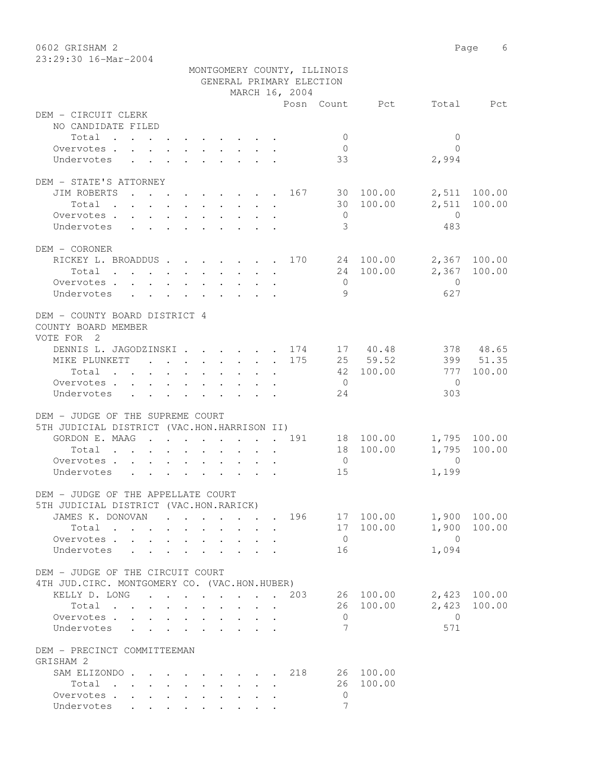0602 GRISHAM 2 Page 6 23:29:30 16-Mar-2004

|                                                                    |                                                                       |                                                                          |                                            |  |  |  |  |  |  |     | MONTGOMERY COUNTY, ILLINOIS |                        |                |              |  |
|--------------------------------------------------------------------|-----------------------------------------------------------------------|--------------------------------------------------------------------------|--------------------------------------------|--|--|--|--|--|--|-----|-----------------------------|------------------------|----------------|--------------|--|
|                                                                    |                                                                       |                                                                          | GENERAL PRIMARY ELECTION<br>MARCH 16, 2004 |  |  |  |  |  |  |     |                             |                        |                |              |  |
|                                                                    |                                                                       |                                                                          |                                            |  |  |  |  |  |  |     |                             |                        |                |              |  |
| DEM - CIRCUIT CLERK                                                |                                                                       |                                                                          |                                            |  |  |  |  |  |  |     |                             | Posn Count Pct         |                | Total Pct    |  |
| NO CANDIDATE FILED                                                 |                                                                       |                                                                          |                                            |  |  |  |  |  |  |     |                             |                        |                |              |  |
| Total                                                              |                                                                       |                                                                          |                                            |  |  |  |  |  |  |     | $\mathbf{0}$                |                        | $\mathbf{0}$   |              |  |
| Overvotes.                                                         |                                                                       |                                                                          |                                            |  |  |  |  |  |  |     | $\overline{0}$              |                        | $\bigcap$      |              |  |
| Undervotes                                                         | $\mathbf{r}$ , and $\mathbf{r}$ , and $\mathbf{r}$ , and $\mathbf{r}$ |                                                                          |                                            |  |  |  |  |  |  |     | 33                          |                        | 2,994          |              |  |
|                                                                    |                                                                       |                                                                          |                                            |  |  |  |  |  |  |     |                             |                        |                |              |  |
| DEM - STATE'S ATTORNEY                                             |                                                                       |                                                                          |                                            |  |  |  |  |  |  |     |                             |                        |                |              |  |
| JIM ROBERTS                                                        |                                                                       |                                                                          |                                            |  |  |  |  |  |  |     |                             | . 167 30 100.00        |                | 2,511 100.00 |  |
| Total                                                              |                                                                       |                                                                          |                                            |  |  |  |  |  |  |     |                             | 30 100.00              | 2,511          | 100.00       |  |
| Overvotes                                                          |                                                                       |                                                                          |                                            |  |  |  |  |  |  |     | $\overline{0}$              |                        | $\overline{0}$ |              |  |
| Undervotes                                                         |                                                                       |                                                                          |                                            |  |  |  |  |  |  |     | 3                           |                        | 483            |              |  |
|                                                                    |                                                                       |                                                                          |                                            |  |  |  |  |  |  |     |                             |                        |                |              |  |
| DEM - CORONER                                                      |                                                                       |                                                                          |                                            |  |  |  |  |  |  |     |                             |                        |                |              |  |
| RICKEY L. BROADDUS 170 24 100.00                                   |                                                                       |                                                                          |                                            |  |  |  |  |  |  |     |                             |                        |                | 2,367 100.00 |  |
| Total                                                              |                                                                       |                                                                          |                                            |  |  |  |  |  |  |     |                             | 24 100.00              |                | 2,367 100.00 |  |
| Overvotes.                                                         |                                                                       |                                                                          |                                            |  |  |  |  |  |  |     | $\overline{0}$              |                        | $\overline{0}$ |              |  |
|                                                                    |                                                                       |                                                                          |                                            |  |  |  |  |  |  |     | 9                           |                        | 627            |              |  |
| Undervotes                                                         |                                                                       |                                                                          |                                            |  |  |  |  |  |  |     |                             |                        |                |              |  |
| DEM - COUNTY BOARD DISTRICT 4<br>COUNTY BOARD MEMBER<br>VOTE FOR 2 |                                                                       |                                                                          |                                            |  |  |  |  |  |  |     |                             |                        |                |              |  |
| DENNIS L. JAGODZINSKI. 174 17 40.48                                |                                                                       |                                                                          |                                            |  |  |  |  |  |  |     |                             |                        |                | 378 48.65    |  |
| MIKE PLUNKETT 175                                                  |                                                                       |                                                                          |                                            |  |  |  |  |  |  |     |                             | 25 59.52               |                | 399 51.35    |  |
| Total                                                              |                                                                       |                                                                          |                                            |  |  |  |  |  |  |     |                             | 42 100.00              | 777            | 100.00       |  |
|                                                                    |                                                                       |                                                                          |                                            |  |  |  |  |  |  |     | $\overline{0}$              |                        | $\bigcirc$     |              |  |
| Overvotes                                                          |                                                                       |                                                                          |                                            |  |  |  |  |  |  |     |                             |                        | 303            |              |  |
| Undervotes                                                         |                                                                       |                                                                          |                                            |  |  |  |  |  |  |     | 24                          |                        |                |              |  |
| DEM - JUDGE OF THE SUPREME COURT                                   |                                                                       |                                                                          |                                            |  |  |  |  |  |  |     |                             |                        |                |              |  |
| 5TH JUDICIAL DISTRICT (VAC.HON.HARRISON II)                        |                                                                       |                                                                          |                                            |  |  |  |  |  |  |     |                             |                        |                |              |  |
| GORDON E. MAAG 191                                                 |                                                                       |                                                                          |                                            |  |  |  |  |  |  |     |                             |                        |                | 1,795 100.00 |  |
| Total                                                              |                                                                       |                                                                          |                                            |  |  |  |  |  |  |     |                             | 18 100.00<br>18 100.00 | 1,795          | 100.00       |  |
|                                                                    |                                                                       |                                                                          |                                            |  |  |  |  |  |  |     | $\overline{0}$              |                        | $\overline{0}$ |              |  |
| Overvotes                                                          |                                                                       | $\mathbf{r}$ , $\mathbf{r}$ , $\mathbf{r}$ , $\mathbf{r}$ , $\mathbf{r}$ |                                            |  |  |  |  |  |  |     |                             |                        |                |              |  |
| Undervotes                                                         |                                                                       |                                                                          |                                            |  |  |  |  |  |  |     | 15                          |                        | 1,199          |              |  |
|                                                                    |                                                                       |                                                                          |                                            |  |  |  |  |  |  |     |                             |                        |                |              |  |
| DEM - JUDGE OF THE APPELLATE COURT                                 |                                                                       |                                                                          |                                            |  |  |  |  |  |  |     |                             |                        |                |              |  |
| 5TH JUDICIAL DISTRICT (VAC.HON.RARICK)                             |                                                                       |                                                                          |                                            |  |  |  |  |  |  |     |                             |                        |                |              |  |
| JAMES K. DONOVAN                                                   |                                                                       |                                                                          |                                            |  |  |  |  |  |  | 196 |                             | 17 100.00              |                | 1,900 100.00 |  |
| Total                                                              |                                                                       |                                                                          |                                            |  |  |  |  |  |  |     |                             | 17 100.00              | 1,900          | 100.00       |  |
| Overvotes                                                          |                                                                       |                                                                          |                                            |  |  |  |  |  |  |     | $\overline{0}$              |                        | $\overline{0}$ |              |  |
| Undervotes                                                         | $\mathbf{r}$                                                          |                                                                          |                                            |  |  |  |  |  |  |     | 16                          |                        | 1,094          |              |  |
|                                                                    |                                                                       |                                                                          |                                            |  |  |  |  |  |  |     |                             |                        |                |              |  |
| DEM - JUDGE OF THE CIRCUIT COURT                                   |                                                                       |                                                                          |                                            |  |  |  |  |  |  |     |                             |                        |                |              |  |
| 4TH JUD. CIRC. MONTGOMERY CO. (VAC.HON.HUBER)                      |                                                                       |                                                                          |                                            |  |  |  |  |  |  |     |                             |                        |                |              |  |
| KELLY D. LONG 203                                                  |                                                                       |                                                                          |                                            |  |  |  |  |  |  |     |                             | 26 100.00              |                | 2,423 100.00 |  |
| Total                                                              |                                                                       |                                                                          |                                            |  |  |  |  |  |  |     |                             | 26 100.00              | 2,423          | 100.00       |  |
| Overvotes                                                          |                                                                       |                                                                          |                                            |  |  |  |  |  |  |     | 0                           |                        | $\bigcirc$     |              |  |
| Undervotes                                                         |                                                                       |                                                                          |                                            |  |  |  |  |  |  |     | 7                           |                        | 571            |              |  |
| DEM - PRECINCT COMMITTEEMAN                                        |                                                                       |                                                                          |                                            |  |  |  |  |  |  |     |                             |                        |                |              |  |
| GRISHAM 2                                                          |                                                                       |                                                                          |                                            |  |  |  |  |  |  |     |                             |                        |                |              |  |
| SAM ELIZONDO 218                                                   |                                                                       |                                                                          |                                            |  |  |  |  |  |  |     |                             | 26 100.00              |                |              |  |
| Total                                                              |                                                                       |                                                                          |                                            |  |  |  |  |  |  |     | 26                          | 100.00                 |                |              |  |
| Overvotes.                                                         |                                                                       |                                                                          |                                            |  |  |  |  |  |  |     | $\mathbf{0}$                |                        |                |              |  |
| Undervotes                                                         |                                                                       |                                                                          |                                            |  |  |  |  |  |  |     | 7                           |                        |                |              |  |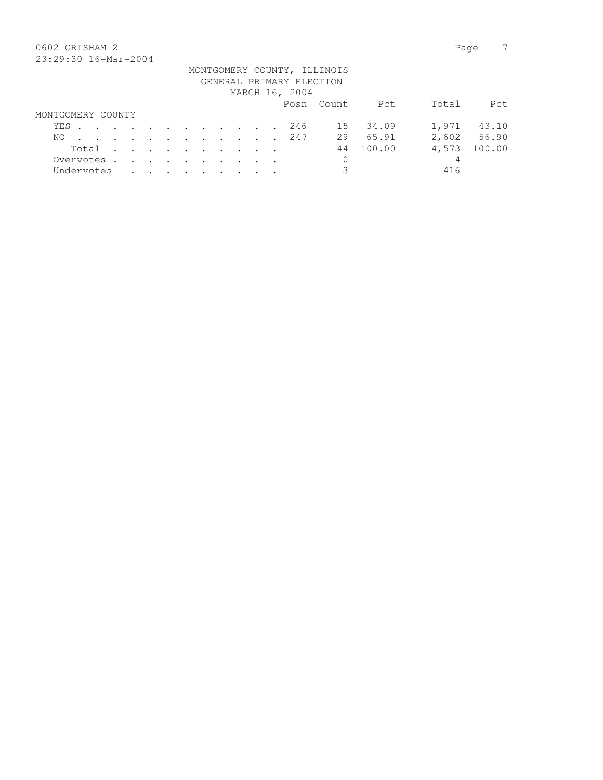### 0602 GRISHAM 2 Page 7 23:29:30 16-Mar-2004

| 40.47.90 10.141 4001                                    |  |  |  |  |  |  |  |  |  |  |  |                |            |           |       |             |
|---------------------------------------------------------|--|--|--|--|--|--|--|--|--|--|--|----------------|------------|-----------|-------|-------------|
| MONTGOMERY COUNTY, ILLINOIS<br>GENERAL PRIMARY ELECTION |  |  |  |  |  |  |  |  |  |  |  |                |            |           |       |             |
|                                                         |  |  |  |  |  |  |  |  |  |  |  | MARCH 16, 2004 |            |           |       |             |
|                                                         |  |  |  |  |  |  |  |  |  |  |  |                | Posn Count | Pct       | Total | Pct         |
| MONTGOMERY COUNTY                                       |  |  |  |  |  |  |  |  |  |  |  |                |            |           |       |             |
| YES. 246                                                |  |  |  |  |  |  |  |  |  |  |  |                |            | 15 34.09  |       | 1,971 43.10 |
| NO.                                                     |  |  |  |  |  |  |  |  |  |  |  | . 247          | 29         | 65.91     |       | 2,602 56.90 |
| Total                                                   |  |  |  |  |  |  |  |  |  |  |  |                |            | 44 100.00 | 4,573 | 100.00      |
| Overvotes.                                              |  |  |  |  |  |  |  |  |  |  |  |                | 0          |           | 4     |             |
| Undervotes                                              |  |  |  |  |  |  |  |  |  |  |  |                |            |           | 416   |             |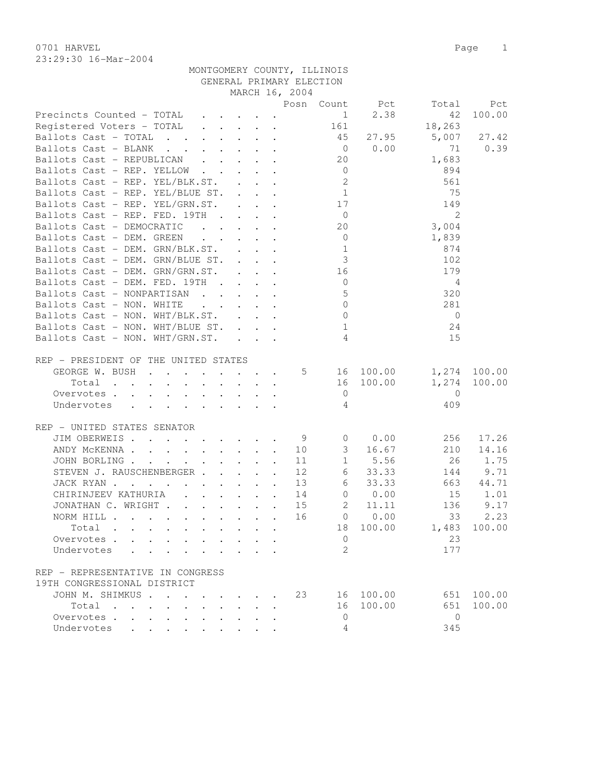0701 HARVEL 2008 Page 2012 23:29:30 16-Mar-2004

|                                                                                                    |  |    | Posn Count               | Pct            | Total          | Pct           |
|----------------------------------------------------------------------------------------------------|--|----|--------------------------|----------------|----------------|---------------|
| Precincts Counted - TOTAL                                                                          |  |    |                          | $1 \t 2.38$    | 42             | 100.00        |
| Registered Voters - TOTAL                                                                          |  |    | 161                      |                | 18,263         |               |
| Ballots Cast - TOTAL 45                                                                            |  |    |                          | 27.95          | 5,007          | 27.42         |
| Ballots Cast - BLANK                                                                               |  |    |                          | $0 \t 0.00$    | 71             | 0.39          |
| Ballots Cast - REPUBLICAN                                                                          |  |    | 20                       |                | 1,683          |               |
| Ballots Cast - REP. YELLOW                                                                         |  |    | $\overline{0}$           |                | 894            |               |
| Ballots Cast - REP. YEL/BLK.ST.                                                                    |  |    | $\overline{\phantom{a}}$ |                | 561            |               |
| Ballots Cast - REP. YEL/BLUE ST. 1                                                                 |  |    |                          |                | 75             |               |
| Ballots Cast - REP. YEL/GRN.ST. 17                                                                 |  |    |                          |                | 149            |               |
| Ballots Cast - REP. FED. 19TH                                                                      |  |    | $\overline{0}$           |                | 2              |               |
| Ballots Cast - DEMOCRATIC                                                                          |  |    | 20                       |                | 3,004          |               |
| Ballots Cast - DEM. GREEN                                                                          |  |    | $\overline{0}$           |                | 1,839          |               |
| Ballots Cast - DEM. GRN/BLK.ST.                                                                    |  |    | 1                        |                | 874            |               |
| Ballots Cast - DEM. GRN/BLUE ST.                                                                   |  |    | 3 <sup>3</sup>           |                | 102            |               |
| Ballots Cast - DEM. GRN/GRN.ST.                                                                    |  |    | 16                       |                | 179            |               |
| Ballots Cast - DEM. FED. 19TH                                                                      |  |    | $\overline{0}$           |                | 4              |               |
| Ballots Cast - NONPARTISAN                                                                         |  |    | $5^{\circ}$              |                | 320            |               |
| Ballots Cast - NON. WHITE<br>$\mathbf{r}$ , and $\mathbf{r}$ , and $\mathbf{r}$ , and $\mathbf{r}$ |  |    | $\bigcirc$               |                | 281            |               |
| Ballots Cast - NON. WHT/BLK.ST.                                                                    |  |    | $\overline{0}$           |                | $\overline{0}$ |               |
| Ballots Cast - NON. WHT/BLUE ST.                                                                   |  |    | $\mathbf{1}$             |                | 24             |               |
| Ballots Cast - NON. WHT/GRN.ST.                                                                    |  |    | $\overline{4}$           |                | 15             |               |
|                                                                                                    |  |    |                          |                |                |               |
| REP - PRESIDENT OF THE UNITED STATES                                                               |  |    |                          |                |                |               |
| GEORGE W. BUSH 5 16 100.00                                                                         |  |    |                          |                |                | 1,274 100.00  |
| Total                                                                                              |  |    |                          | 16 100.00      | 1,274          | 100.00        |
| Overvotes.                                                                                         |  |    |                          | $\overline{0}$ | $\overline{0}$ |               |
| Undervotes                                                                                         |  |    | $\overline{4}$           |                | 409            |               |
|                                                                                                    |  |    |                          |                |                |               |
| REP - UNITED STATES SENATOR                                                                        |  |    |                          |                |                |               |
| JIM OBERWEIS. 9                                                                                    |  |    | $\overline{0}$           | 0.00           | 256            | 17.26         |
| ANDY MCKENNA                                                                                       |  | 10 | 3 <sup>7</sup>           | 16.67          | 210            | 14.16         |
| JOHN BORLING.                                                                                      |  | 11 |                          | 1 5.56         | 26             | 1.75          |
| and the contract of the contract of the<br>STEVEN J. RAUSCHENBERGER                                |  | 12 | $6\overline{6}$          | 33.33          |                |               |
|                                                                                                    |  | 13 |                          | 6 33.33        | 144<br>663     | 9.71<br>44.71 |
| JACK RYAN                                                                                          |  |    |                          | 14 0 0.00      |                |               |
| CHIRINJEEV KATHURIA (CHIRINJEEV KATHURIA)                                                          |  |    |                          |                | 15             | 1.01          |
| JONATHAN C. WRIGHT                                                                                 |  | 15 |                          | 2 11.11        | 136            | 9.17          |
| NORM HILL                                                                                          |  | 16 |                          | $0 \t 0.00$    | 33             | 2.23          |
| Total                                                                                              |  |    | 18                       | 100.00         | 1,483          | 100.00        |
| Overvotes .                                                                                        |  |    | $\overline{0}$           |                | 23             |               |
| Undervotes                                                                                         |  |    | 2                        |                | 177            |               |
|                                                                                                    |  |    |                          |                |                |               |
| REP - REPRESENTATIVE IN CONGRESS                                                                   |  |    |                          |                |                |               |
| 19TH CONGRESSIONAL DISTRICT                                                                        |  |    |                          |                |                |               |
| JOHN M. SHIMKUS.                                                                                   |  | 23 | 16                       | 100.00         | 651            | 100.00        |
| Total<br>$\sim$<br>$\mathbf{r}$ , and $\mathbf{r}$ , and $\mathbf{r}$ , and $\mathbf{r}$           |  |    | 16                       | 100.00         | 651            | 100.00        |
| Overvotes                                                                                          |  |    | 0                        |                | $\Omega$       |               |
| Undervotes                                                                                         |  |    | 4                        |                | 345            |               |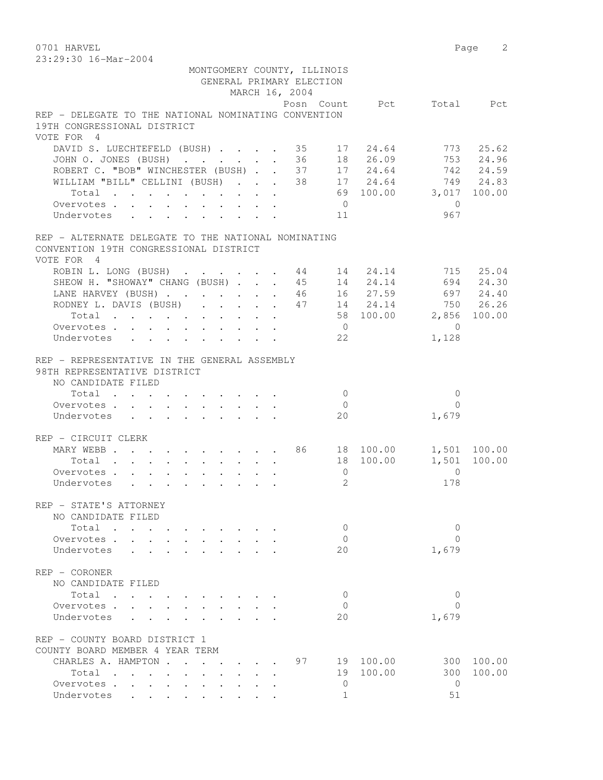23:29:30 16-Mar-2004

|                                                      | MONTGOMERY COUNTY, ILLINOIS |                |                              |                        |                      |              |
|------------------------------------------------------|-----------------------------|----------------|------------------------------|------------------------|----------------------|--------------|
|                                                      | GENERAL PRIMARY ELECTION    |                |                              |                        |                      |              |
|                                                      |                             | MARCH 16, 2004 |                              |                        |                      |              |
| REP - DELEGATE TO THE NATIONAL NOMINATING CONVENTION |                             |                |                              | Posn Count Pct         |                      | Total Pct    |
| 19TH CONGRESSIONAL DISTRICT                          |                             |                |                              |                        |                      |              |
| VOTE FOR 4                                           |                             |                |                              |                        |                      |              |
| DAVID S. LUECHTEFELD (BUSH) 35 17 24.64              |                             |                |                              |                        |                      | 773 25.62    |
| JOHN 0. JONES (BUSH)                                 |                             |                |                              | 36 18 26.09            |                      | 753 24.96    |
| ROBERT C. "BOB" WINCHESTER (BUSH) 37 17 24.64        |                             |                |                              |                        |                      | 742 24.59    |
| WILLIAM "BILL" CELLINI (BUSH) 38 17 24.64            |                             |                |                              |                        |                      | 749 24.83    |
| Total                                                |                             |                |                              | 69 100.00 3,017 100.00 |                      |              |
| Overvotes.                                           |                             |                | $\overline{0}$               |                        | $\bigcirc$           |              |
| Undervotes                                           |                             |                | 11                           |                        | 967                  |              |
|                                                      |                             |                |                              |                        |                      |              |
| REP - ALTERNATE DELEGATE TO THE NATIONAL NOMINATING  |                             |                |                              |                        |                      |              |
| CONVENTION 19TH CONGRESSIONAL DISTRICT<br>VOTE FOR 4 |                             |                |                              |                        |                      |              |
| ROBIN L. LONG (BUSH) 44 14 24.14                     |                             |                |                              |                        | 715                  | 25.04        |
| SHEOW H. "SHOWAY" CHANG (BUSH) 45 14 24.14           |                             |                |                              |                        |                      | 694 24.30    |
| LANE HARVEY (BUSH) 46 16 27.59                       |                             |                |                              |                        |                      | 697 24.40    |
| RODNEY L. DAVIS (BUSH) 47 14 24.14                   |                             |                |                              |                        |                      | 750 26.26    |
| Total                                                |                             |                |                              | 58 100.00              |                      | 2,856 100.00 |
| Overvotes                                            |                             |                | $\overline{0}$               |                        | $\bigcirc$           |              |
| Undervotes                                           |                             |                | 22                           |                        | 1,128                |              |
|                                                      |                             |                |                              |                        |                      |              |
| REP - REPRESENTATIVE IN THE GENERAL ASSEMBLY         |                             |                |                              |                        |                      |              |
| 98TH REPRESENTATIVE DISTRICT                         |                             |                |                              |                        |                      |              |
| NO CANDIDATE FILED                                   |                             |                |                              |                        |                      |              |
| Total                                                |                             |                | $\bigcirc$<br>$\overline{0}$ |                        | $\Omega$<br>$\Omega$ |              |
| Overvotes.<br>Undervotes                             |                             |                | 20                           |                        | 1,679                |              |
|                                                      |                             |                |                              |                        |                      |              |
| REP - CIRCUIT CLERK                                  |                             |                |                              |                        |                      |              |
| MARY WEBB 86 18 100.00                               |                             |                |                              |                        |                      | 1,501 100.00 |
| Total                                                |                             |                |                              | 18 100.00              | 1,501                | 100.00       |
| Overvotes.                                           |                             |                | $\overline{0}$               |                        | $\Omega$             |              |
| Undervotes                                           |                             |                | 2                            |                        | 178                  |              |
|                                                      |                             |                |                              |                        |                      |              |
| REP - STATE'S ATTORNEY                               |                             |                |                              |                        |                      |              |
| NO CANDIDATE FILED                                   |                             |                |                              |                        |                      |              |
| Total                                                |                             |                | 0                            |                        | 0                    |              |
| Overvotes.<br>Undervotes                             |                             |                | 0<br>20                      |                        | $\Omega$<br>1,679    |              |
|                                                      |                             |                |                              |                        |                      |              |
| REP - CORONER                                        |                             |                |                              |                        |                      |              |
| NO CANDIDATE FILED                                   |                             |                |                              |                        |                      |              |
| Total                                                |                             |                | $\Omega$                     |                        | $\Omega$             |              |
| Overvotes                                            |                             |                | $\Omega$                     |                        | $\Omega$             |              |
| Undervotes                                           |                             |                | 20                           |                        | 1,679                |              |
|                                                      |                             |                |                              |                        |                      |              |
| REP - COUNTY BOARD DISTRICT 1                        |                             |                |                              |                        |                      |              |
| COUNTY BOARD MEMBER 4 YEAR TERM                      |                             |                |                              |                        |                      |              |
| CHARLES A. HAMPTON                                   |                             | 97             |                              | 19 100.00              | 300                  | 100.00       |
| Total                                                |                             |                | 19                           | 100.00                 | 300                  | 100.00       |
| Overvotes                                            | $\cdot$ $\cdot$ $\cdot$     |                | $\mathbf{0}$                 |                        | $\mathbf{0}$         |              |
| Undervotes                                           |                             |                | $\mathbf{1}$                 |                        | 51                   |              |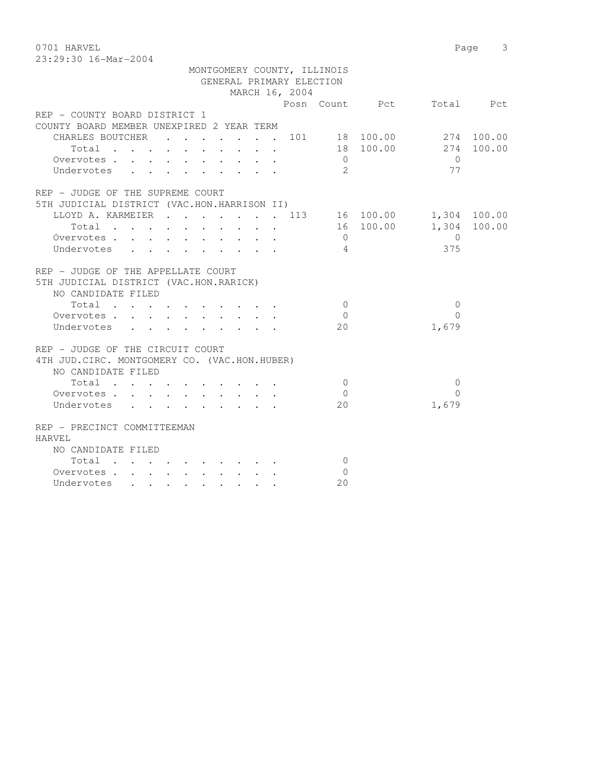0701 HARVEL 2008 Page 3

| 23:29:30 16-Mar-2004                                                                                                     |                                     |  |  |  |  |  |  |  |  |
|--------------------------------------------------------------------------------------------------------------------------|-------------------------------------|--|--|--|--|--|--|--|--|
| MONTGOMERY COUNTY, ILLINOIS                                                                                              |                                     |  |  |  |  |  |  |  |  |
| GENERAL PRIMARY ELECTION                                                                                                 |                                     |  |  |  |  |  |  |  |  |
| MARCH 16, 2004                                                                                                           |                                     |  |  |  |  |  |  |  |  |
|                                                                                                                          |                                     |  |  |  |  |  |  |  |  |
|                                                                                                                          | Posn Count<br>Pct<br>Total<br>Pct   |  |  |  |  |  |  |  |  |
| REP - COUNTY BOARD DISTRICT 1                                                                                            |                                     |  |  |  |  |  |  |  |  |
| COUNTY BOARD MEMBER UNEXPIRED 2 YEAR TERM                                                                                |                                     |  |  |  |  |  |  |  |  |
| CHARLES BOUTCHER<br>$\mathbf{r}$ , $\mathbf{r}$ , $\mathbf{r}$ , $\mathbf{r}$ , $\mathbf{r}$<br>$\sim$                   | 18 100.00<br>101<br>2.74<br>100.00  |  |  |  |  |  |  |  |  |
| Total<br>the contract of the contract of the contract of the contract of the contract of the contract of the contract of | 18 100.00<br>274<br>100.00          |  |  |  |  |  |  |  |  |
| Overvotes.                                                                                                               | 0<br>0                              |  |  |  |  |  |  |  |  |
| Undervotes                                                                                                               | $\mathcal{L}$<br>77                 |  |  |  |  |  |  |  |  |
| REP - JUDGE OF THE SUPREME COURT                                                                                         |                                     |  |  |  |  |  |  |  |  |
|                                                                                                                          |                                     |  |  |  |  |  |  |  |  |
| 5TH JUDICIAL DISTRICT (VAC.HON.HARRISON II)                                                                              |                                     |  |  |  |  |  |  |  |  |
| LLOYD A. KARMEIER<br>$\mathbf{r}$ , and $\mathbf{r}$ , and $\mathbf{r}$ , and $\mathbf{r}$                               | 1,304<br>113<br>16 100.00<br>100.00 |  |  |  |  |  |  |  |  |
| Total<br>$\sim$ $\sim$ $\sim$ $\sim$ $\sim$ $\sim$<br>$\ddot{\phantom{a}}$<br>$\sim$ $\sim$                              | 100.00<br>1,304 100.00<br>16        |  |  |  |  |  |  |  |  |
| Overvotes                                                                                                                |                                     |  |  |  |  |  |  |  |  |
| Undervotes<br>$\cdot$<br>$\bullet$<br>$\sim$ $\sim$<br>$\bullet$                                                         | 375                                 |  |  |  |  |  |  |  |  |

Undervotes . . . . . . . . 20

| REP - JUDGE OF THE APPELLATE COURT                   |          |       |
|------------------------------------------------------|----------|-------|
| 5TH JUDICIAL DISTRICT (VAC.HON.RARICK)               |          |       |
| NO CANDIDATE FILED                                   |          |       |
| Total<br>$\sim$                                      | O        |       |
| Overvotes                                            | $\Omega$ |       |
| Undervotes<br>$\mathbf{r}$ $\mathbf{r}$ $\mathbf{r}$ | 20       | 1,679 |
|                                                      |          |       |
| REP - JUDGE OF THE CIRCUIT COURT                     |          |       |
| 4TH JUD. CIRC. MONTGOMERY CO. (VAC. HON. HUBER)      |          |       |
| NO CANDIDATE FILED                                   |          |       |
| Total<br>$\sim$                                      | 0        |       |
| $\sim$<br>Overvotes                                  | O        |       |
|                                                      |          |       |
| Undervotes                                           | 20       | 1,679 |
| REP - PRECINCT COMMITTEEMAN                          |          |       |
|                                                      |          |       |
| HARVEL                                               |          |       |
| NO CANDIDATE FILED                                   |          |       |
| Total                                                | O        |       |
| Overvotes.                                           |          |       |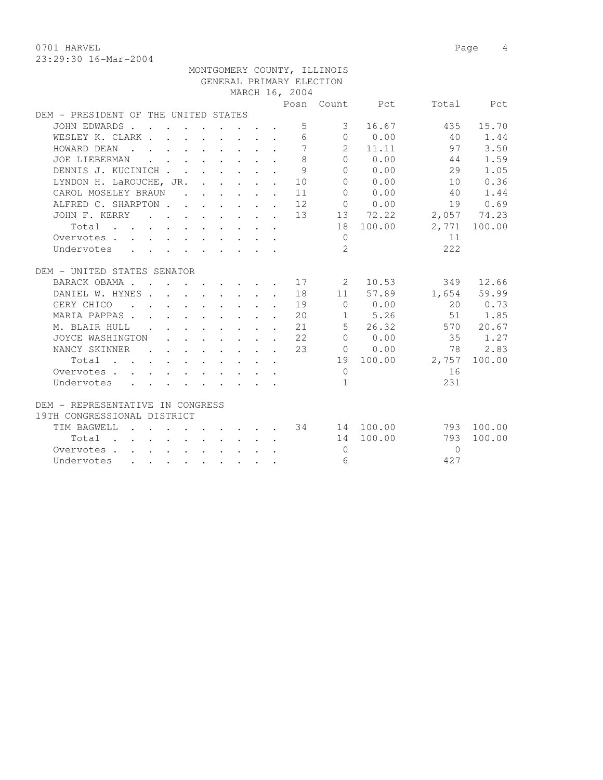0701 HARVEL 2008 Page 4

|                                      |  |                                                                                            |  |  |                                                                                                                                                                                                                                               |                | MONTGOMERY COUNTY, ILLINOIS |                      |                 |              |
|--------------------------------------|--|--------------------------------------------------------------------------------------------|--|--|-----------------------------------------------------------------------------------------------------------------------------------------------------------------------------------------------------------------------------------------------|----------------|-----------------------------|----------------------|-----------------|--------------|
|                                      |  |                                                                                            |  |  |                                                                                                                                                                                                                                               |                | GENERAL PRIMARY ELECTION    |                      |                 |              |
|                                      |  |                                                                                            |  |  |                                                                                                                                                                                                                                               | MARCH 16, 2004 |                             |                      |                 |              |
|                                      |  |                                                                                            |  |  |                                                                                                                                                                                                                                               |                |                             | Posn Count Pct       |                 | Total Pct    |
| DEM - PRESIDENT OF THE UNITED STATES |  |                                                                                            |  |  |                                                                                                                                                                                                                                               |                |                             |                      |                 |              |
| JOHN EDWARDS                         |  |                                                                                            |  |  |                                                                                                                                                                                                                                               | 5              | 3                           | 16.67                | 435             | 15.70        |
| WESLEY K. CLARK                      |  |                                                                                            |  |  |                                                                                                                                                                                                                                               | 6              |                             | $0 \qquad 0.00$      | 40              | 1.44         |
| HOWARD DEAN                          |  |                                                                                            |  |  |                                                                                                                                                                                                                                               | $\overline{7}$ |                             | 2 11.11              | 97              | 3.50         |
| JOE LIEBERMAN                        |  | $\mathbf{r}$ , $\mathbf{r}$ , $\mathbf{r}$ , $\mathbf{r}$ , $\mathbf{r}$ , $\mathbf{r}$    |  |  | $\cdot$                                                                                                                                                                                                                                       | 8              |                             | $0 \t 0.00$          | 44              | 1.59         |
| DENNIS J. KUCINICH                   |  |                                                                                            |  |  | $\mathbf{r}$                                                                                                                                                                                                                                  | 9              | $\Omega$                    | 0.00                 | 29              | 1.05         |
| LYNDON H. LaROUCHE, JR.              |  |                                                                                            |  |  |                                                                                                                                                                                                                                               | $\cdot$ 10     | $\bigcap$                   | 0.00                 | 10              | 0.36         |
| CAROL MOSELEY BRAUN                  |  |                                                                                            |  |  |                                                                                                                                                                                                                                               | 11             | $\Omega$                    | 0.00                 | 40              | 1.44         |
| ALFRED C. SHARPTON 12                |  |                                                                                            |  |  |                                                                                                                                                                                                                                               |                |                             | $0 \t 0.00$          | 19              | 0.69         |
| JOHN F. KERRY 13                     |  |                                                                                            |  |  |                                                                                                                                                                                                                                               |                |                             | 13 72.22             | 2,057 74.23     |              |
| Total                                |  |                                                                                            |  |  |                                                                                                                                                                                                                                               |                |                             | 18 100.00            |                 | 2,771 100.00 |
| Overvotes                            |  |                                                                                            |  |  |                                                                                                                                                                                                                                               |                | $\Omega$                    |                      | 11              |              |
| Undervotes                           |  |                                                                                            |  |  |                                                                                                                                                                                                                                               |                | $\overline{2}$              |                      | 222             |              |
|                                      |  |                                                                                            |  |  |                                                                                                                                                                                                                                               |                |                             |                      |                 |              |
| DEM - UNITED STATES SENATOR          |  |                                                                                            |  |  |                                                                                                                                                                                                                                               |                |                             |                      |                 |              |
| BARACK OBAMA 17                      |  |                                                                                            |  |  |                                                                                                                                                                                                                                               |                | $\sim$ 2                    | 10.53                | 349             | 12.66        |
| DANIEL W. HYNES 18                   |  |                                                                                            |  |  |                                                                                                                                                                                                                                               |                |                             | 11 57.89             |                 | 1,654 59.99  |
| GERY CHICO                           |  |                                                                                            |  |  |                                                                                                                                                                                                                                               | . 19           |                             | $0 \t 0.00$          |                 | 20 0.73      |
| MARIA PAPPAS.                        |  |                                                                                            |  |  |                                                                                                                                                                                                                                               | 20             |                             | 1 5.26               |                 | 51 1.85      |
| M. BLAIR HULL                        |  |                                                                                            |  |  | $\mathcal{L}(\mathbf{r},\mathbf{r})$ . The contribution of the contribution of the contribution of the contribution of the contribution of the contribution of the contribution of the contribution of the contribution of the contribution o | 21             |                             | $5 \t 26.32$         |                 | 570 20.67    |
| JOYCE WASHINGTON                     |  | $\mathbf{r} = \mathbf{r} - \mathbf{r} = \mathbf{r} - \mathbf{r} = \mathbf{r} - \mathbf{r}$ |  |  |                                                                                                                                                                                                                                               | 22             | $\overline{0}$              | 0.00                 | 35              | 1.27         |
| NANCY SKINNER .                      |  |                                                                                            |  |  | $\mathbf{u} = \mathbf{u} \times \mathbf{u}$ , and $\mathbf{u} = \mathbf{u} \times \mathbf{u}$ , and $\mathbf{u} = \mathbf{u} \times \mathbf{u}$                                                                                               | 23             | $\overline{0}$              | 0.00                 | 78              | 2.83         |
| Total                                |  |                                                                                            |  |  |                                                                                                                                                                                                                                               |                |                             |                      | 19 100.00 2,757 | 100.00       |
| Overvotes                            |  |                                                                                            |  |  |                                                                                                                                                                                                                                               |                | $\overline{0}$              |                      | 16              |              |
| Undervotes                           |  |                                                                                            |  |  |                                                                                                                                                                                                                                               |                | $\mathbf{1}$                |                      | 231             |              |
|                                      |  |                                                                                            |  |  |                                                                                                                                                                                                                                               |                |                             |                      |                 |              |
| DEM - REPRESENTATIVE IN CONGRESS     |  |                                                                                            |  |  |                                                                                                                                                                                                                                               |                |                             |                      |                 |              |
| 19TH CONGRESSIONAL DISTRICT          |  |                                                                                            |  |  |                                                                                                                                                                                                                                               |                |                             |                      |                 |              |
| TIM BAGWELL                          |  |                                                                                            |  |  |                                                                                                                                                                                                                                               |                |                             | $\cdot$ 34 14 100.00 |                 | 793 100.00   |
| Total                                |  |                                                                                            |  |  |                                                                                                                                                                                                                                               |                |                             | 14 100.00            | 793             | 100.00       |
| Overvotes                            |  |                                                                                            |  |  |                                                                                                                                                                                                                                               |                | $\Omega$                    |                      | $\Omega$        |              |
| Undervotes                           |  |                                                                                            |  |  |                                                                                                                                                                                                                                               |                | 6                           |                      | 427             |              |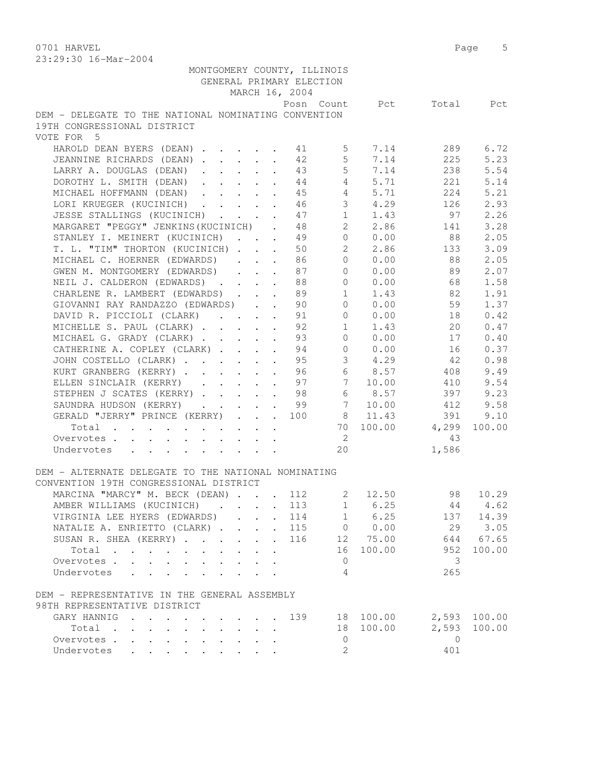0701 HARVEL 2008 Page 5 23:29:30 16-Mar-2004

| 40.42.30 IO-Mal-2004                                               |                                                       |                |                 |             |                          |        |
|--------------------------------------------------------------------|-------------------------------------------------------|----------------|-----------------|-------------|--------------------------|--------|
| MONTGOMERY COUNTY, ILLINOIS                                        |                                                       |                |                 |             |                          |        |
| GENERAL PRIMARY ELECTION                                           |                                                       |                |                 |             |                          |        |
|                                                                    |                                                       | MARCH 16, 2004 |                 |             |                          |        |
|                                                                    |                                                       |                |                 |             | Posn Count Pct Total Pct |        |
| DEM - DELEGATE TO THE NATIONAL NOMINATING CONVENTION               |                                                       |                |                 |             |                          |        |
| 19TH CONGRESSIONAL DISTRICT                                        |                                                       |                |                 |             |                          |        |
| VOTE FOR 5                                                         |                                                       |                |                 |             |                          |        |
| HAROLD DEAN BYERS (DEAN) 1 41 5                                    |                                                       |                |                 | 7.14        | 289                      | 6.72   |
| JEANNINE RICHARDS (DEAN)                                           | $\mathbf{L}^{\text{max}}$                             | 42             | $5\overline{)}$ | 7.14        | 225                      | 5.23   |
| LARRY A. DOUGLAS (DEAN)                                            | $\mathbf{L}$ and $\mathbf{L}$<br>$\ddot{\phantom{0}}$ | 43             | $5\overline{)}$ | 7.14        | 238                      | 5.54   |
| DOROTHY L. SMITH (DEAN)                                            |                                                       | 44             |                 | 4 5.71      | 221                      | 5.14   |
| MICHAEL HOFFMANN (DEAN)                                            |                                                       | 45             |                 | 4 5.71      | 224                      | 5.21   |
| LORI KRUEGER (KUCINICH) 46                                         |                                                       |                | 3               | 4.29        | 126                      | 2.93   |
|                                                                    |                                                       |                |                 | $1 \t1.43$  | 97                       | 2.26   |
| JESSE STALLINGS (KUCINICH) 47                                      |                                                       |                | $2^{\circ}$     | 2.86        |                          |        |
| MARGARET "PEGGY" JENKINS (KUCINICH) . 48                           |                                                       |                |                 |             | 141                      | 3.28   |
| STANLEY I. MEINERT (KUCINICH) 49                                   |                                                       |                | $\overline{0}$  | 0.00        | 88                       | 2.05   |
| T. L. "TIM" THORTON (KUCINICH)                                     |                                                       | 50             | $2^{\circ}$     | 2.86        | 133                      | 3.09   |
| MICHAEL C. HOERNER (EDWARDS)                                       | $\ddot{\phantom{a}}$<br>$\ddot{\phantom{a}}$          | 86             | $\Omega$        | 0.00        | 88                       | 2.05   |
| GWEN M. MONTGOMERY (EDWARDS)                                       | $\mathbf{r}$ $\mathbf{r}$<br>$\ddot{\phantom{0}}$     | 87             | $\Omega$        | 0.00        | 89                       | 2.07   |
| NEIL J. CALDERON (EDWARDS)                                         |                                                       | 88             | $\Omega$        | 0.00        | 68                       | 1.58   |
| CHARLENE R. LAMBERT (EDWARDS)                                      |                                                       | 89             |                 | $1 \t 1.43$ | 82                       | 1.91   |
| GIOVANNI RAY RANDAZZO (EDWARDS)                                    |                                                       | 90             |                 | 0 0.00      | 59                       | 1.37   |
| DAVID R. PICCIOLI (CLARK) 91                                       |                                                       |                |                 | $0 \t 0.00$ | 18                       | 0.42   |
| MICHELLE S. PAUL (CLARK) 92                                        |                                                       |                |                 | $1 \t1.43$  | 20                       | 0.47   |
| MICHAEL G. GRADY (CLARK)                                           |                                                       | 93             | $\overline{0}$  | 0.00        | 17                       | 0.40   |
| CATHERINE A. COPLEY (CLARK)                                        |                                                       | 94             | $\overline{0}$  | 0.00        | 16                       | 0.37   |
| JOHN COSTELLO (CLARK)<br>$\mathcal{L}^{\text{max}}$                | $\ddot{\phantom{a}}$                                  | 95             | $\mathcal{S}$   | 4.29        | 42                       | 0.98   |
| KURT GRANBERG (KERRY).<br>$\ddot{\phantom{0}}$<br>$\sim$ 100 $\pm$ | $\mathbf{L}$<br>$\mathbf{L}$                          | 96             | 6               | 8.57        | 408                      | 9.49   |
| ELLEN SINCLAIR (KERRY) 97                                          |                                                       |                |                 | 7 10.00     | 410                      | 9.54   |
| STEPHEN J SCATES (KERRY) 98                                        |                                                       |                |                 | 6 8.57      | 397                      | 9.23   |
| SAUNDRA HUDSON (KERRY) 99                                          |                                                       |                |                 |             | 7 10.00 412              | 9.58   |
| GERALD "JERRY" PRINCE (KERRY)                                      |                                                       | 100            |                 | 8 11.43     | 391                      | 9.10   |
| Total                                                              |                                                       |                |                 |             | 70 100.00 4,299          | 100.00 |
|                                                                    |                                                       |                | $\overline{2}$  |             | 43                       |        |
| Overvotes                                                          |                                                       |                | 20              |             |                          |        |
| Undervotes<br>$\ddot{\phantom{0}}$                                 |                                                       |                |                 |             | 1,586                    |        |
|                                                                    |                                                       |                |                 |             |                          |        |
| DEM - ALTERNATE DELEGATE TO THE NATIONAL NOMINATING                |                                                       |                |                 |             |                          |        |
| CONVENTION 19TH CONGRESSIONAL DISTRICT                             |                                                       |                |                 |             |                          |        |
| MARCINA "MARCY" M. BECK (DEAN) 112 2                               |                                                       |                |                 | 12.50       | 98                       | 10.29  |
| AMBER WILLIAMS (KUCINICH).                                         |                                                       | 113            | $\mathbf 1$     | 6.25        | 44                       | 4.62   |
| VIRGINIA LEE HYERS (EDWARDS)<br>$\ddot{\phantom{0}}$               | $\ddot{\phantom{a}}$<br>$\ddot{\phantom{0}}$          | 114            | $\mathbf{1}$    | 6.25        | 137                      | 14.39  |
| NATALIE A. ENRIETTO (CLARK)                                        | $\ddot{\phantom{0}}$                                  | 115            | $\circ$         | 0.00        | 29                       | 3.05   |
| SUSAN R. SHEA (KERRY)                                              |                                                       | 116            |                 | 12 75.00    | 644                      | 67.65  |
| Total                                                              |                                                       |                | 16              | 100.00      | 952                      | 100.00 |
| Overvotes                                                          |                                                       |                | 0               |             | 3                        |        |
| Undervotes<br>$\mathbf{L}$<br>$\mathbf{r}$                         |                                                       |                | 4               |             | 265                      |        |
|                                                                    |                                                       |                |                 |             |                          |        |
| DEM - REPRESENTATIVE IN THE GENERAL ASSEMBLY                       |                                                       |                |                 |             |                          |        |
| 98TH REPRESENTATIVE DISTRICT                                       |                                                       |                |                 |             |                          |        |
| GARY HANNIG<br>$\sim$ $\sim$ $\sim$                                |                                                       | 139            | 18              | 100.00      | 2,593                    | 100.00 |
| Total<br>$\ddot{\phantom{0}}$                                      |                                                       |                | 18              | 100.00      | 2,593                    | 100.00 |
| Overvotes .                                                        |                                                       |                | 0               |             | $\overline{0}$           |        |
| Undervotes                                                         |                                                       |                | $\overline{2}$  |             | 401                      |        |
|                                                                    |                                                       |                |                 |             |                          |        |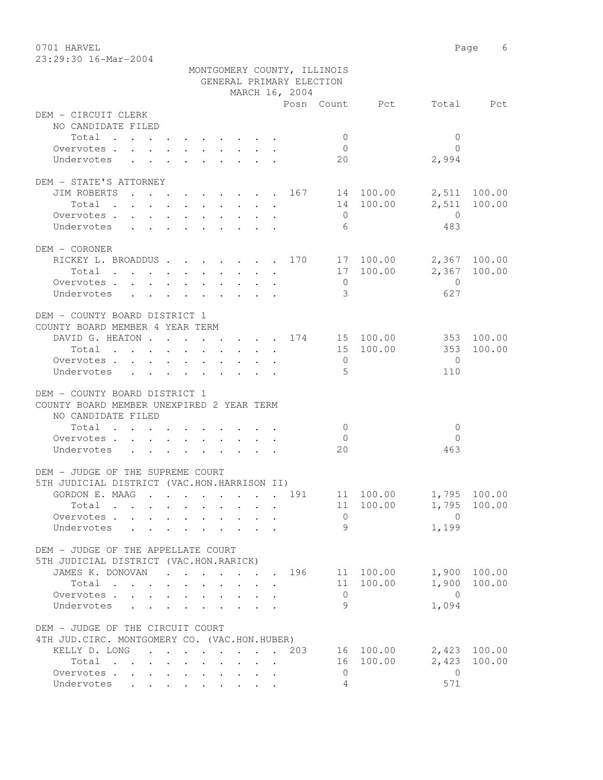0701 HARVEL 2008 Page 6 23:29:30 16-Mar-2004

|                                                                         |              | MONTGOMERY COUNTY, ILLINOIS |                          |                        |              |
|-------------------------------------------------------------------------|--------------|-----------------------------|--------------------------|------------------------|--------------|
|                                                                         |              | GENERAL PRIMARY ELECTION    |                          |                        |              |
|                                                                         |              | MARCH 16, 2004              |                          |                        |              |
|                                                                         |              |                             | Posn Count Pct Total Pct |                        |              |
| DEM - CIRCUIT CLERK                                                     |              |                             |                          |                        |              |
| NO CANDIDATE FILED                                                      |              |                             |                          |                        |              |
| Total                                                                   |              |                             | $\overline{0}$           | $\overline{0}$         |              |
| Overvotes.                                                              |              |                             | $\overline{0}$           | $\Omega$               |              |
| Undervotes                                                              |              |                             | 20                       | 2,994                  |              |
| DEM - STATE'S ATTORNEY                                                  |              |                             |                          |                        |              |
| JIM ROBERTS 167 14 100.00                                               |              |                             |                          |                        | 2,511 100.00 |
| Total                                                                   |              |                             | 14 100.00                | 2,511                  | 100.00       |
| Overvotes                                                               |              |                             | $\overline{0}$           | $\overline{0}$         |              |
| Undervotes                                                              |              |                             | - 6                      | 483                    |              |
|                                                                         |              |                             |                          |                        |              |
| DEM - CORONER                                                           |              |                             |                          |                        |              |
| RICKEY L. BROADDUS 170 17 100.00 2,367 100.00                           |              |                             |                          |                        |              |
| Total                                                                   |              |                             | 17 100.00                |                        | 2,367 100.00 |
| Overvotes                                                               |              |                             | $\overline{0}$           | $\overline{0}$         |              |
| Undervotes                                                              |              |                             | $\overline{3}$           | 627                    |              |
|                                                                         |              |                             |                          |                        |              |
| DEM - COUNTY BOARD DISTRICT 1                                           |              |                             |                          |                        |              |
| COUNTY BOARD MEMBER 4 YEAR TERM                                         |              |                             |                          |                        |              |
| DAVID G. HEATON 174 15 100.00 353 100.00                                |              |                             |                          |                        |              |
| Total 15 100.00                                                         |              |                             |                          | 353                    | 100.00       |
| Overvotes.                                                              |              |                             | $\overline{0}$           | $\overline{0}$         |              |
| Undervotes<br>$\mathbf{r}$ , $\mathbf{r}$ , $\mathbf{r}$ , $\mathbf{r}$ |              |                             | $5^{\circ}$              | 110                    |              |
|                                                                         |              |                             |                          |                        |              |
| DEM - COUNTY BOARD DISTRICT 1                                           |              |                             |                          |                        |              |
| COUNTY BOARD MEMBER UNEXPIRED 2 YEAR TERM                               |              |                             |                          |                        |              |
| NO CANDIDATE FILED                                                      |              |                             |                          |                        |              |
| Total                                                                   |              |                             | $\bigcirc$               | $\mathbf{0}$           |              |
| Overvotes                                                               |              |                             | $\overline{0}$           | $\Omega$               |              |
| Undervotes                                                              |              |                             | 20                       | 463                    |              |
|                                                                         |              |                             |                          |                        |              |
| DEM - JUDGE OF THE SUPREME COURT                                        |              |                             |                          |                        |              |
| 5TH JUDICIAL DISTRICT (VAC.HON.HARRISON II)                             |              |                             |                          |                        |              |
| GORDON E. MAAG 191                                                      |              |                             | 11 100.00 1,795 100.00   |                        |              |
| Total                                                                   | .            |                             |                          | 11 100.00 1,795 100.00 |              |
| Overvotes.                                                              |              |                             | $\mathbf{0}$             | $\Omega$               |              |
| Undervotes                                                              |              |                             | 9                        | 1,199                  |              |
| DEM - JUDGE OF THE APPELLATE COURT                                      |              |                             |                          |                        |              |
| 5TH JUDICIAL DISTRICT (VAC.HON.RARICK)                                  |              |                             |                          |                        |              |
| JAMES K. DONOVAN 196 11 100.00                                          |              |                             |                          |                        | 1,900 100.00 |
| Total<br>$\cdot$ $\cdot$                                                | $\mathbf{L}$ |                             | 11 100.00                |                        | 1,900 100.00 |
| Overvotes                                                               |              |                             | $\overline{0}$           | $\bigcap$              |              |
| Undervotes                                                              |              |                             | 9                        | 1,094                  |              |
|                                                                         |              |                             |                          |                        |              |
| DEM - JUDGE OF THE CIRCUIT COURT                                        |              |                             |                          |                        |              |
| 4TH JUD. CIRC. MONTGOMERY CO. (VAC.HON.HUBER)                           |              |                             |                          |                        |              |
| KELLY D. LONG 203                                                       |              |                             | 16 100.00                |                        | 2,423 100.00 |
| Total                                                                   |              |                             | 16 100.00                |                        | 2,423 100.00 |
| Overvotes                                                               |              |                             | $\circ$                  | $\overline{0}$         |              |
| Undervotes                                                              |              |                             | 4                        | 571                    |              |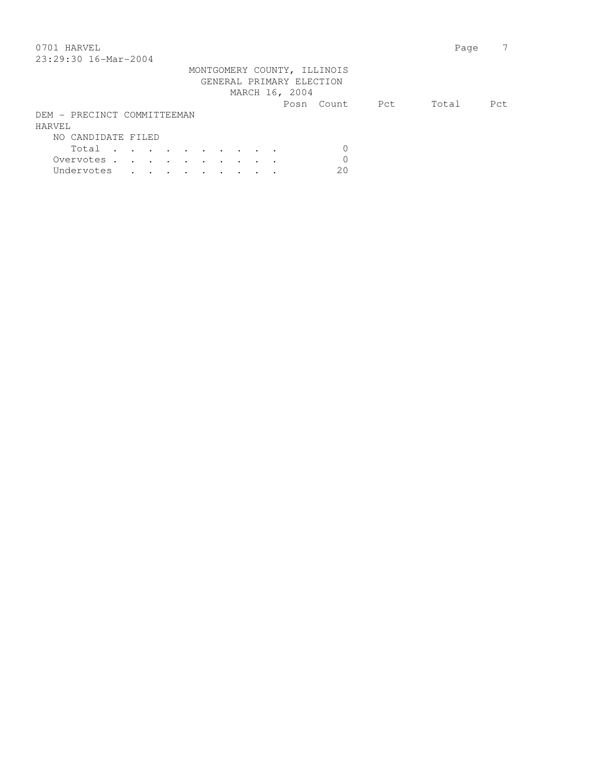### 0701 HARVEL 2008 Page 2012 23:29:30 16-Mar-2004

| 40.42.30 I0-Mai-4004        |  |  |  |  |  |                          |                             |     |       |      |
|-----------------------------|--|--|--|--|--|--------------------------|-----------------------------|-----|-------|------|
|                             |  |  |  |  |  | GENERAL PRIMARY ELECTION | MONTGOMERY COUNTY, ILLINOIS |     |       |      |
|                             |  |  |  |  |  | MARCH 16, 2004           |                             |     |       |      |
|                             |  |  |  |  |  |                          | Posn Count                  | Pct | Total | Pct. |
| DEM - PRECINCT COMMITTEEMAN |  |  |  |  |  |                          |                             |     |       |      |
| HARVEL                      |  |  |  |  |  |                          |                             |     |       |      |
| NO CANDIDATE FILED          |  |  |  |  |  |                          |                             |     |       |      |
| Total                       |  |  |  |  |  |                          |                             |     |       |      |
| Overvotes.                  |  |  |  |  |  |                          |                             |     |       |      |
| Undervotes                  |  |  |  |  |  |                          | 20                          |     |       |      |
|                             |  |  |  |  |  |                          |                             |     |       |      |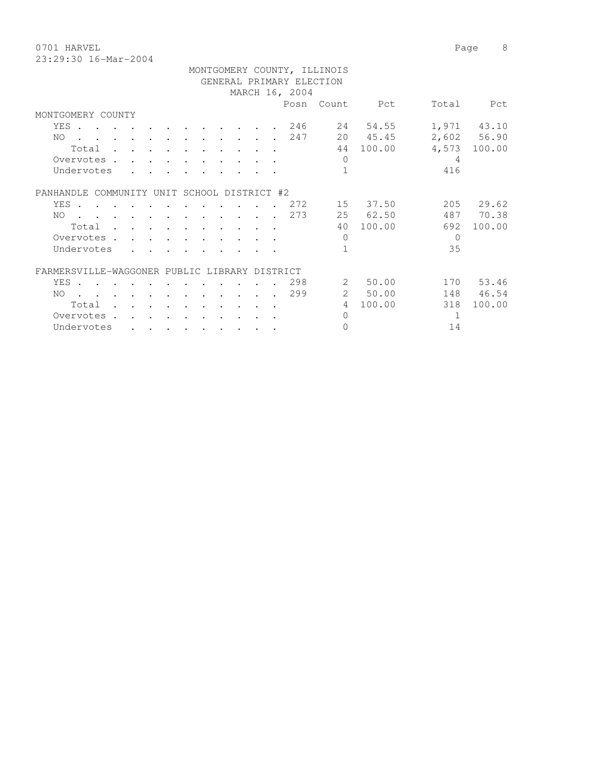0701 HARVEL 2008 Page 8 23:29:30 16-Mar-2004

|                                               |                                                           |                             |                                         | GENERAL PRIMARY ELECTION | MONTGOMERY COUNTY, ILLINOIS |                |          |              |
|-----------------------------------------------|-----------------------------------------------------------|-----------------------------|-----------------------------------------|--------------------------|-----------------------------|----------------|----------|--------------|
|                                               |                                                           |                             |                                         | MARCH 16, 2004           |                             |                |          |              |
|                                               |                                                           |                             |                                         |                          |                             | Posn Count Pct | Total    | Pct          |
| MONTGOMERY COUNTY                             |                                                           |                             |                                         |                          |                             |                |          |              |
| YES.                                          |                                                           |                             |                                         | 246                      | 24                          | 54.55          |          | 1,971 43.10  |
| $NO$                                          |                                                           |                             |                                         | . 247                    |                             | 20 45.45       |          | 2,602 56.90  |
| Total                                         | $\ddot{\phantom{a}}$                                      |                             |                                         |                          |                             | 44 100.00      |          | 4,573 100.00 |
| Overvotes.                                    |                                                           |                             |                                         |                          | $\Omega$                    |                | 4        |              |
| Undervotes                                    |                                                           |                             |                                         |                          | $\mathbf{1}$                |                | 416      |              |
| PANHANDLE COMMUNITY UNIT SCHOOL DISTRICT #2   |                                                           |                             |                                         |                          |                             |                |          |              |
| YES                                           |                                                           | $\cdot$ $\cdot$             | $\sim$                                  | . 272                    |                             | 15 37.50       |          | 205 29.62    |
| . 273<br>NO.                                  |                                                           |                             |                                         |                          |                             | 25 62.50       |          | 487 70.38    |
| Total                                         | $\mathbf{r}$ , $\mathbf{r}$ , $\mathbf{r}$ , $\mathbf{r}$ |                             | $\cdot$ $\cdot$ $\cdot$ $\cdot$ $\cdot$ |                          |                             | 40 100.00      | 692      | 100.00       |
| Overvotes                                     |                                                           | $\sim$ $\sim$ $\sim$ $\sim$ |                                         |                          | $\bigcap$                   |                | $\Omega$ |              |
| Undervotes                                    |                                                           |                             |                                         |                          | $\mathbf{1}$                |                | 35       |              |
| FARMERSVILLE-WAGGONER PUBLIC LIBRARY DISTRICT |                                                           |                             |                                         |                          |                             |                |          |              |
| YES                                           | $\sim$                                                    |                             |                                         | 298                      | $\overline{2}$              | 50.00          |          | 170 53.46    |
| $NO$                                          |                                                           |                             |                                         | . 299                    |                             | 2 50.00        |          | 148 46.54    |
| Total .                                       |                                                           |                             |                                         |                          | $\overline{4}$              | 100.00         | 318      | 100.00       |
| Overvotes .                                   |                                                           |                             |                                         |                          | $\Omega$                    |                | 1        |              |
| Undervotes                                    | $\bullet$ . The set of $\bullet$                          |                             | $\bullet$ . The set of $\bullet$        |                          | $\Omega$                    |                | 14       |              |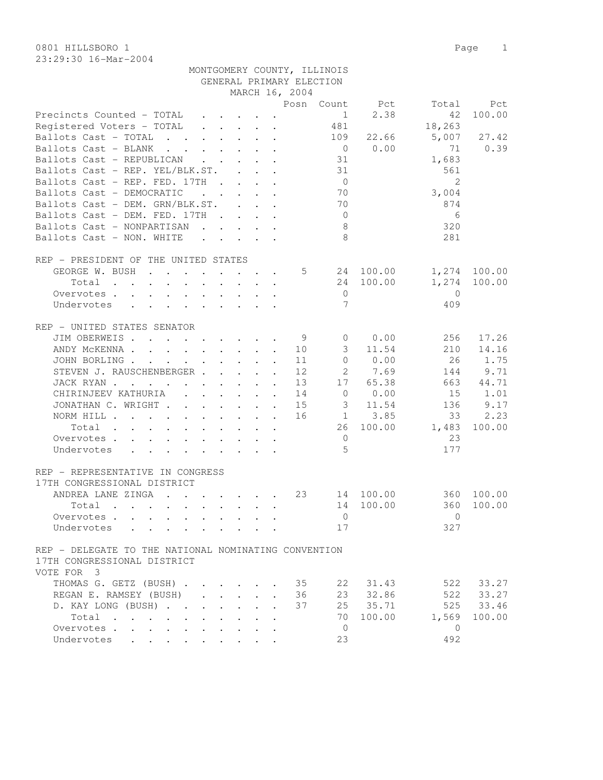0801 HILLSBORO 1 Page 1 23:29:30 16-Mar-2004

|  | MONTGOMERY COUNTY, ILLINOIS |
|--|-----------------------------|
|  | GENERAL PRIMARY ELECTION    |

|                                                                                                                                                                                                                                                                        |                                 |        |                      | MARCH 16, 2004  |                |                                |              |              |
|------------------------------------------------------------------------------------------------------------------------------------------------------------------------------------------------------------------------------------------------------------------------|---------------------------------|--------|----------------------|-----------------|----------------|--------------------------------|--------------|--------------|
|                                                                                                                                                                                                                                                                        |                                 |        |                      |                 |                | Posn Count Pct                 | Total        | Pct          |
| Precincts Counted - TOTAL                                                                                                                                                                                                                                              |                                 |        |                      |                 |                | 2.38<br>$1 \quad \blacksquare$ | 42           | 100.00       |
| Registered Voters - TOTAL                                                                                                                                                                                                                                              |                                 |        |                      |                 | 481            |                                | 18,263       |              |
| Ballots Cast - TOTAL                                                                                                                                                                                                                                                   |                                 |        |                      |                 | 109            | 22.66                          | 5,007        | 27.42        |
| Ballots Cast - BLANK                                                                                                                                                                                                                                                   |                                 |        |                      |                 | $\overline{0}$ | 0.00                           | 71           | 0.39         |
| Ballots Cast - REPUBLICAN                                                                                                                                                                                                                                              |                                 |        |                      |                 | 31             |                                | 1,683        |              |
| Ballots Cast - REP. YEL/BLK.ST.                                                                                                                                                                                                                                        |                                 |        |                      |                 | 31             |                                | 561          |              |
| Ballots Cast - REP. FED. 17TH                                                                                                                                                                                                                                          |                                 |        |                      |                 | $\overline{0}$ |                                | 2            |              |
| Ballots Cast - DEMOCRATIC<br>$\mathbf{r}$ , $\mathbf{r}$ , $\mathbf{r}$ , $\mathbf{r}$                                                                                                                                                                                 |                                 |        |                      |                 | 70             |                                | 3,004        |              |
| Ballots Cast - DEM. GRN/BLK.ST.                                                                                                                                                                                                                                        |                                 |        |                      |                 | 70             |                                | 874          |              |
| Ballots Cast - DEM. FED. 17TH                                                                                                                                                                                                                                          |                                 |        |                      |                 | $\overline{0}$ |                                | 6            |              |
| Ballots Cast - NONPARTISAN                                                                                                                                                                                                                                             |                                 |        |                      |                 | 8              |                                | 320          |              |
| Ballots Cast - NON. WHITE<br>$\mathcal{L}^{\mathcal{A}}$ . The contract of the contract of the contract of the contract of the contract of the contract of the contract of the contract of the contract of the contract of the contract of the contract of the contrac |                                 |        |                      |                 | 8              |                                | 281          |              |
|                                                                                                                                                                                                                                                                        |                                 |        |                      |                 |                |                                |              |              |
| REP - PRESIDENT OF THE UNITED STATES                                                                                                                                                                                                                                   |                                 |        |                      |                 |                |                                |              |              |
| GEORGE W. BUSH                                                                                                                                                                                                                                                         |                                 |        |                      | $5\overline{)}$ |                | 24 100.00                      |              | 1,274 100.00 |
| Total $\cdots$                                                                                                                                                                                                                                                         | $\cdot$ $\cdot$ $\cdot$ $\cdot$ |        |                      |                 |                | 24 100.00                      | 1,274        | 100.00       |
| Overvotes                                                                                                                                                                                                                                                              |                                 |        |                      |                 | $\circ$        |                                | $\bigcirc$   |              |
| Undervotes                                                                                                                                                                                                                                                             |                                 |        |                      |                 | 7              |                                | 409          |              |
|                                                                                                                                                                                                                                                                        |                                 |        |                      |                 |                |                                |              |              |
| REP - UNITED STATES SENATOR                                                                                                                                                                                                                                            |                                 |        |                      |                 |                |                                |              |              |
| JIM OBERWEIS                                                                                                                                                                                                                                                           |                                 |        |                      | - 9             | $\overline{0}$ | 0.00                           | 256          | 17.26        |
| ANDY MCKENNA 10                                                                                                                                                                                                                                                        |                                 |        |                      |                 | $\mathcal{S}$  | 11.54                          | 210          | 14.16        |
| JOHN BORLING                                                                                                                                                                                                                                                           |                                 |        |                      | 11              | $\circ$        | 0.00                           | 26           | 1.75         |
| STEVEN J. RAUSCHENBERGER                                                                                                                                                                                                                                               |                                 |        | $\mathbf{r}$         | 12              | $2^{\circ}$    | 7.69                           | 144          | 9.71         |
| JACK RYAN                                                                                                                                                                                                                                                              |                                 |        |                      | 13              | 17             | 65.38                          | 663          | 44.71        |
| CHIRINJEEV KATHURIA (CHIRINJEEV KATHURIA)                                                                                                                                                                                                                              |                                 |        |                      | 14              |                | 0 0.00                         | 15           | 1.01         |
| JONATHAN C. WRIGHT                                                                                                                                                                                                                                                     |                                 |        |                      | 15              | 3              | 11.54                          | 136          | 9.17         |
| NORM HILL                                                                                                                                                                                                                                                              |                                 |        |                      | 16              |                | 1 3.85                         | 33           | 2.23         |
| Total                                                                                                                                                                                                                                                                  |                                 |        |                      |                 |                | 26 100.00                      | 1,483        | 100.00       |
| Overvotes                                                                                                                                                                                                                                                              |                                 |        |                      |                 | $\overline{0}$ |                                | 23           |              |
| Undervotes                                                                                                                                                                                                                                                             |                                 |        |                      |                 | $\overline{5}$ |                                | 177          |              |
|                                                                                                                                                                                                                                                                        |                                 |        |                      |                 |                |                                |              |              |
| REP - REPRESENTATIVE IN CONGRESS                                                                                                                                                                                                                                       |                                 |        |                      |                 |                |                                |              |              |
| 17TH CONGRESSIONAL DISTRICT                                                                                                                                                                                                                                            |                                 |        |                      |                 |                |                                |              |              |
| ANDREA LANE ZINGA                                                                                                                                                                                                                                                      |                                 |        |                      | 23              |                | 14 100.00                      | 360          | 100.00       |
| Total                                                                                                                                                                                                                                                                  |                                 |        |                      |                 | 14             | 100.00                         | 360          | 100.00       |
| Overvotes                                                                                                                                                                                                                                                              |                                 |        |                      |                 | $\mathbf{0}$   |                                | $\Omega$     |              |
|                                                                                                                                                                                                                                                                        |                                 |        |                      |                 | $17$           |                                | 327          |              |
| Undervotes                                                                                                                                                                                                                                                             |                                 |        |                      |                 |                |                                |              |              |
| REP - DELEGATE TO THE NATIONAL NOMINATING CONVENTION                                                                                                                                                                                                                   |                                 |        |                      |                 |                |                                |              |              |
| 17TH CONGRESSIONAL DISTRICT                                                                                                                                                                                                                                            |                                 |        |                      |                 |                |                                |              |              |
|                                                                                                                                                                                                                                                                        |                                 |        |                      |                 |                |                                |              |              |
| VOTE FOR 3                                                                                                                                                                                                                                                             |                                 |        |                      |                 |                |                                |              |              |
| THOMAS G. GETZ (BUSH)                                                                                                                                                                                                                                                  |                                 |        |                      | 35              | 22             | 31.43                          | 522          | 33.27        |
| REGAN E. RAMSEY (BUSH)<br>$\mathbf{r} = \mathbf{r} + \mathbf{r}$                                                                                                                                                                                                       |                                 | $\sim$ | $\mathbf{r}$         | 36              | 23             | 32.86                          | 522          | 33.27        |
| D. KAY LONG (BUSH)<br>$\mathbf{L}$                                                                                                                                                                                                                                     | $\mathbf{r}$<br>$\mathbf{L}$    |        |                      | 37              | 25             | 35.71                          | 525          | 33.46        |
| $Total \cdot \cdot \cdot \cdot \cdot$                                                                                                                                                                                                                                  |                                 |        |                      |                 | 70             | 100.00                         | 1,569        | 100.00       |
| Overvotes<br>$\bullet$ . The set of $\bullet$                                                                                                                                                                                                                          | $\ddot{\phantom{a}}$            |        | $\ddot{\phantom{a}}$ |                 | $\overline{0}$ |                                | $\mathbf{0}$ |              |
| Undervotes<br>the contract of the contract of the contract of the contract of the contract of the contract of the contract of                                                                                                                                          |                                 |        |                      |                 | 23             |                                | 492          |              |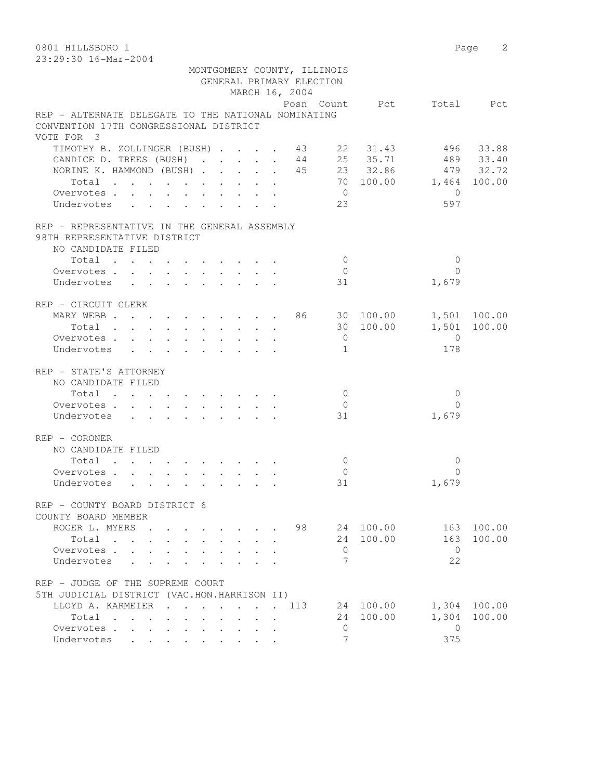0801 HILLSBORO 1 Page 2 23:29:30 16-Mar-2004 MONTGOMERY COUNTY, ILLINOIS GENERAL PRIMARY ELECTION MARCH 16, 2004 Posn Count Pct Total Pct REP - ALTERNATE DELEGATE TO THE NATIONAL NOMINATING CONVENTION 17TH CONGRESSIONAL DISTRICT VOTE FOR 3 TIMOTHY B. ZOLLINGER (BUSH) . . . . 43 22 31.43 496 33.88 CANDICE D. TREES (BUSH) . . . . . 44 25 35.71 489 33.40 NORINE K. HAMMOND (BUSH) . . . . . 45 23 32.86 479 32.72 Total . . . . . . . . . . 70 100.00 1,464 100.00 Overvotes . . . . . . . . . . . 0 Undervotes . . . . . . . . 23 597 REP - REPRESENTATIVE IN THE GENERAL ASSEMBLY 98TH REPRESENTATIVE DISTRICT NO CANDIDATE FILED 10tal . . . . . . . . . . . 0 0 0<br>ervotes . . . . . . . . . . . 0 0 0<br>dervotes . . . . . . . . . . 31 1,679 Overvotes . . . . . . . . . . 0 Undervotes . . . . . . . . 31 REP - CIRCUIT CLERK MARY WEBB . . . . . . . . . 86 30 100.00 1,501 100.00 Total . . . . . . . . . . 30 100.00 1,501 100.00 Overvotes . . . . . . . . . . 0 0 Undervotes . . . . . . . . . 1 178 REP - STATE'S ATTORNEY NO CANDIDATE FILED  $\texttt{Total} \quad . \quad . \quad . \quad . \quad . \quad . \quad . \quad . \qquad 0 \qquad \qquad 0$ Overvotes . . . . . . . . . . . 0 Undervotes . . . . . . . . . 31 1,679 REP - CORONER NO CANDIDATE FILED  $\texttt{Total} \quad . \quad . \quad . \quad . \quad . \quad . \quad . \qquad . \qquad 0 \qquad \qquad 0$ Overvotes . . . . . . . . . . . 0<br>
Undervotes . . . . . . . . . . 31 1,679 Undervotes . . . . . . . . . 31 REP - COUNTY BOARD DISTRICT 6 COUNTY BOARD MEMBER ROGER L. MYERS . . . . . . . 98 24 100.00 163 100.00<br>Total . . . . . . . . . 24 100.00 163 100.00 Total . . . . . . . . . . 24 100.00 163 100.00<br>0vervotes . . . . . . . . . . 0 0 Overvotes . . . . . . . . . . 0 0 Undervotes  $\cdots$  . . . . . . . . 7 22 REP - JUDGE OF THE SUPREME COURT 5TH JUDICIAL DISTRICT (VAC.HON.HARRISON II) LLOYD A. KARMEIER . . . . . . . 113 24 100.00 1,304 100.00 Total . . . . . . . . . . 24 100.00 1,304 100.00 Overvotes . . . . . . . . . . 0 0 Undervotes . . . . . . . . .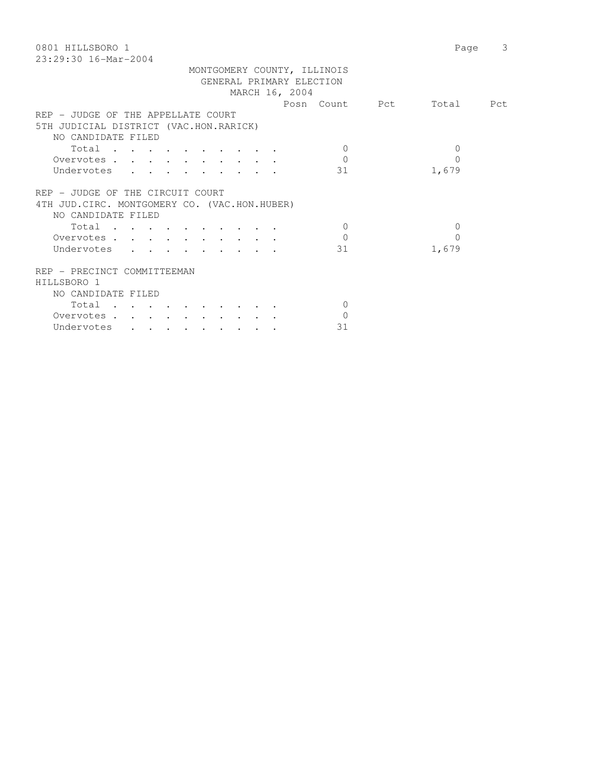| 0801 HILLSBORO 1<br>$23:29:30$ 16-Mar-2004    | Page      | 3 |
|-----------------------------------------------|-----------|---|
| MONTGOMERY COUNTY, ILLINOIS                   |           |   |
| GENERAL PRIMARY ELECTION                      |           |   |
| MARCH 16, 2004                                |           |   |
| Posn Count Pct                                | Total Pct |   |
| REP - JUDGE OF THE APPELLATE COURT            |           |   |
| 5TH JUDICIAL DISTRICT (VAC.HON.RARICK)        |           |   |
| NO CANDIDATE FILED                            |           |   |
| Total<br>$\Omega$                             | $\Omega$  |   |
| $\Omega$<br>Overvotes.                        | $\Omega$  |   |
| Undervotes<br>31                              | 1,679     |   |
|                                               |           |   |
| REP - JUDGE OF THE CIRCUIT COURT              |           |   |
| 4TH JUD. CIRC. MONTGOMERY CO. (VAC.HON.HUBER) |           |   |
| NO CANDIDATE FILED                            |           |   |
| Total<br>$\Omega$                             | $\Omega$  |   |
| $\Omega$<br>Overvotes                         | 0         |   |
| Undervotes<br>31                              | 1,679     |   |
|                                               |           |   |
| REP - PRECINCT COMMITTEEMAN                   |           |   |
| HILLSBORO 1                                   |           |   |
| NO CANDIDATE FILED                            |           |   |
| $\Omega$                                      |           |   |
| Total                                         |           |   |
| Overvotes<br>$\mathbf{0}$                     |           |   |
| 31<br>Undervotes                              |           |   |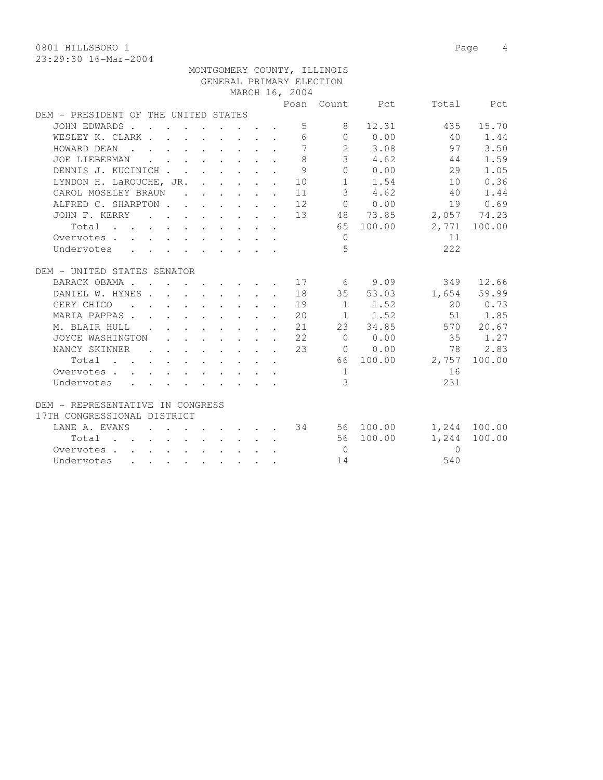0801 HILLSBORO 1 Page 4

|                                                                               |  |  |  |                | MONTGOMERY COUNTY, ILLINOIS |                  |                                     |              |
|-------------------------------------------------------------------------------|--|--|--|----------------|-----------------------------|------------------|-------------------------------------|--------------|
|                                                                               |  |  |  |                | GENERAL PRIMARY ELECTION    |                  |                                     |              |
|                                                                               |  |  |  | MARCH 16, 2004 |                             |                  |                                     |              |
|                                                                               |  |  |  |                |                             |                  | Posn Count Pct Total Pct            |              |
| DEM - PRESIDENT OF THE UNITED STATES                                          |  |  |  |                |                             |                  |                                     |              |
| JOHN EDWARDS                                                                  |  |  |  |                | $5^{\circ}$<br>8            | 12.31            | 435                                 | 15.70        |
| WESLEY K. CLARK                                                               |  |  |  |                |                             |                  | 6 0 0.00 40 1.44                    |              |
| HOWARD DEAN                                                                   |  |  |  |                |                             | $7 \t 2 \t 3.08$ | 97                                  | 3.50         |
| JOE LIEBERMAN                                                                 |  |  |  | 8              |                             | $3 \t 4.62$      | 44                                  | 1.59         |
| DENNIS J. KUCINICH                                                            |  |  |  | 9              |                             | $0 \t 0.00$      | 29                                  | 1.05         |
| LYNDON H. LaROUCHE, JR. 10                                                    |  |  |  |                |                             | $1 \t 1.54$      | 10                                  | 0.36         |
| CAROL MOSELEY BRAUN                                                           |  |  |  | 11             |                             | 3, 4.62          | 40                                  | 1.44         |
| ALFRED C. SHARPTON 12 0 0.00 19 0.69<br>JOHN F. KERRY 13 48 73.85 2,057 74.23 |  |  |  |                |                             |                  |                                     |              |
|                                                                               |  |  |  |                |                             |                  |                                     |              |
| Total                                                                         |  |  |  |                |                             | 65 100.00        |                                     | 2,771 100.00 |
| Overvotes                                                                     |  |  |  |                | $\overline{0}$              |                  | 11                                  |              |
| Undervotes                                                                    |  |  |  |                | 5                           |                  | 222                                 |              |
|                                                                               |  |  |  |                |                             |                  |                                     |              |
| DEM - UNITED STATES SENATOR                                                   |  |  |  |                |                             |                  |                                     |              |
| BARACK OBAMA 17                                                               |  |  |  |                |                             | $6\qquad 9.09$   | 349                                 | 12.66        |
| DANIEL W. HYNES 18                                                            |  |  |  |                |                             | 35 53.03         |                                     | 1,654 59.99  |
| GERY CHICO 19 1 1.52                                                          |  |  |  |                |                             |                  |                                     | 20 0.73      |
| MARIA PAPPAS 20   1   1.52   51   1.85                                        |  |  |  |                |                             |                  |                                     |              |
| M. BLAIR HULL 21 23 34.85 570 20.67                                           |  |  |  |                |                             |                  |                                     |              |
| JOYCE WASHINGTON 22                                                           |  |  |  |                |                             |                  | 0 0.00 35 1.27                      |              |
| NANCY SKINNER                                                                 |  |  |  | 2.3            |                             | $0 \t 0.00$      | 78                                  | 2.83         |
| Total                                                                         |  |  |  |                |                             |                  | 66 100.00 2,757                     | 100.00       |
| Overvotes                                                                     |  |  |  |                | 1                           |                  | 16                                  |              |
| Undervotes                                                                    |  |  |  |                | 3                           |                  | 231                                 |              |
|                                                                               |  |  |  |                |                             |                  |                                     |              |
| DEM - REPRESENTATIVE IN CONGRESS                                              |  |  |  |                |                             |                  |                                     |              |
| 17TH CONGRESSIONAL DISTRICT                                                   |  |  |  |                |                             |                  |                                     |              |
| LANE A. EVANS                                                                 |  |  |  |                |                             |                  | . 34   56   100.00   1,244   100.00 |              |
| Total 56 100.00                                                               |  |  |  |                |                             |                  | 1,244                               | 100.00       |
| Overvotes.                                                                    |  |  |  |                | $\overline{0}$              |                  | $\Omega$                            |              |
| Undervotes                                                                    |  |  |  |                | 14                          |                  | 540                                 |              |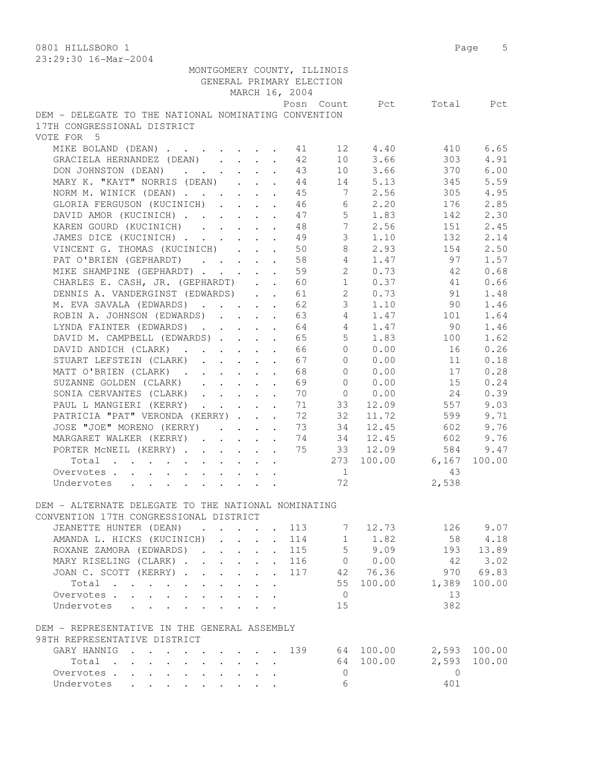0801 HILLSBORO 1 Page 5 23:29:30 16-Mar-2004

|                                                      |                         |                      | GENERAL PRIMARY ELECTION | MONTGOMERY COUNTY, ILLINOIS |             |                          |              |
|------------------------------------------------------|-------------------------|----------------------|--------------------------|-----------------------------|-------------|--------------------------|--------------|
|                                                      |                         |                      | MARCH 16, 2004           |                             |             |                          |              |
| DEM - DELEGATE TO THE NATIONAL NOMINATING CONVENTION |                         |                      |                          |                             |             | Posn Count Pct Total Pct |              |
| 17TH CONGRESSIONAL DISTRICT                          |                         |                      |                          |                             |             |                          |              |
| VOTE FOR 5                                           |                         |                      |                          |                             |             |                          |              |
| MIKE BOLAND (DEAN) 11 12 4.40                        |                         |                      |                          |                             |             | 410                      | 6.65         |
| GRACIELA HERNANDEZ (DEAN)                            |                         |                      | 42                       |                             | 10 3.66     | 303                      | 4.91         |
| DON JOHNSTON (DEAN) 43                               |                         |                      |                          |                             | 10 3.66     | 370                      | 6.00         |
| MARY K. "KAYT" NORRIS (DEAN) 44                      |                         |                      |                          |                             | 14 5.13     | 345                      | 5.59         |
| NORM M. WINICK (DEAN) 45                             |                         |                      |                          |                             | 7 2.56      | 305                      | 4.95         |
| GLORIA FERGUSON (KUCINICH) 46                        |                         |                      |                          |                             | 6 2.20      | 176                      | 2.85         |
| DAVID AMOR (KUCINICH)                                |                         |                      | 47                       | $5 -$                       | 1.83        | 142                      | 2.30         |
| KAREN GOURD (KUCINICH)                               |                         |                      | 48                       | $7\phantom{0}$              | 2.56        | 151                      | 2.45         |
| JAMES DICE (KUCINICH)                                |                         |                      | 49                       | $\mathcal{S}$               | 1.10        | 132                      | 2.14         |
| VINCENT G. THOMAS (KUCINICH)                         |                         | $\mathbf{L}$         | 50                       | 8                           | 2.93        | 154                      | 2.50         |
| PAT O'BRIEN (GEPHARDT)                               |                         |                      | 58                       | $\overline{4}$              | 1.47        | 97                       | 1.57         |
| MIKE SHAMPINE (GEPHARDT) 59                          |                         |                      |                          | $2^{\circ}$                 | 0.73        | 42                       | 0.68         |
| CHARLES E. CASH, JR. (GEPHARDT) 60                   |                         |                      |                          |                             |             | 1 0.37 41                | 0.66         |
| DENNIS A. VANDERGINST (EDWARDS) 61                   |                         |                      |                          |                             | 2 0.73      | 91                       | 1.48         |
| M. EVA SAVALA (EDWARDS) 62                           |                         |                      |                          | 3 <sup>7</sup>              | 1.10        | 90                       | 1.46         |
| ROBIN A. JOHNSON (EDWARDS) 63                        |                         |                      |                          | $4 \quad$                   | 1.47        | 101                      | 1.64         |
| LYNDA FAINTER (EDWARDS)                              |                         |                      | 64                       | $4\phantom{0}$              | 1.47        | 90                       | 1.46         |
| DAVID M. CAMPBELL (EDWARDS)                          |                         |                      | 65                       | 5 <sup>7</sup>              | 1.83        | 100                      | 1.62         |
| DAVID ANDICH (CLARK)                                 |                         |                      | 66                       | $\Omega$                    | 0.00        | 16                       | 0.26         |
| STUART LEFSTEIN (CLARK)                              |                         |                      | 67                       | $\Omega$                    | 0.00        | 11                       | 0.18         |
| MATT O'BRIEN (CLARK)                                 |                         |                      | 68                       | $\Omega$                    | 0.00        | 17                       | 0.28         |
| SUZANNE GOLDEN (CLARK)                               |                         |                      | 69                       |                             | 0 0.00      | 15                       | 0.24         |
| SONIA CERVANTES (CLARK)                              |                         |                      | 70                       |                             | 0 0.00      | 24                       | 0.39         |
| PAUL L MANGIERI (KERRY)                              |                         |                      | 71                       | 33                          | 12.09       | 557                      | 9.03         |
|                                                      |                         |                      | 72                       | 32                          | 11.72       | 599                      | 9.71         |
| PATRICIA "PAT" VERONDA (KERRY)                       |                         |                      | 73                       | 34                          | 12.45       | 602                      | 9.76         |
| JOSE "JOE" MORENO (KERRY)                            |                         |                      | 74                       | 34                          | 12.45       | 602                      | 9.76         |
| MARGARET WALKER (KERRY)<br>PORTER MCNEIL (KERRY)     |                         |                      | 75                       |                             | 33 12.09    | 584                      | 9.47         |
|                                                      |                         |                      |                          |                             |             | 273 100.00 6,167         |              |
| Total                                                |                         |                      |                          |                             |             |                          | 100.00       |
| Overvotes                                            |                         |                      |                          | $\overline{1}$              |             | 43                       |              |
| Undervotes                                           |                         |                      |                          | 72                          |             | 2,538                    |              |
| DEM - ALTERNATE DELEGATE TO THE NATIONAL NOMINATING  |                         |                      |                          |                             |             |                          |              |
| CONVENTION 17TH CONGRESSIONAL DISTRICT               |                         |                      |                          |                             |             |                          |              |
| JEANETTE HUNTER (DEAN)                               |                         |                      | 113                      |                             | 7 12.73     |                          | 126 9.07     |
| AMANDA L. HICKS (KUCINICH)                           |                         |                      | 114                      | 1                           | 1.82        | 58                       | 4.18         |
|                                                      |                         | $\sim$               |                          |                             | $5 \t 9.09$ |                          | 193 13.89    |
| ROXANE ZAMORA (EDWARDS)<br>MARY RISELING (CLARK)     |                         | $\ddot{\phantom{0}}$ | 115                      |                             | 0 0.00      | 42                       | 3.02         |
|                                                      |                         | $\ddot{\phantom{0}}$ | 116                      |                             | 42 76.36    |                          |              |
| JOAN C. SCOTT (KERRY)                                |                         |                      | 117                      |                             |             | 970                      | 69.83        |
| Total                                                |                         |                      |                          | 55                          | 100.00      | 1,389                    | 100.00       |
| Overvotes.                                           | $\cdot$ $\cdot$ $\cdot$ | $\cdot$ $\cdot$      |                          | $\overline{0}$              |             | 13                       |              |
| Undervotes                                           |                         |                      |                          | 15                          |             | 382                      |              |
|                                                      |                         |                      |                          |                             |             |                          |              |
| DEM - REPRESENTATIVE IN THE GENERAL ASSEMBLY         |                         |                      |                          |                             |             |                          |              |
| 98TH REPRESENTATIVE DISTRICT                         |                         |                      |                          |                             |             |                          |              |
| GARY HANNIG                                          |                         |                      | 139                      |                             | 64 100.00   |                          | 2,593 100.00 |
| Total                                                |                         |                      |                          |                             | 64 100.00   | 2,593                    | 100.00       |
| Overvotes.                                           |                         |                      |                          | $\circ$                     |             | $\Omega$                 |              |
| Undervotes                                           |                         |                      |                          | 6                           |             | 401                      |              |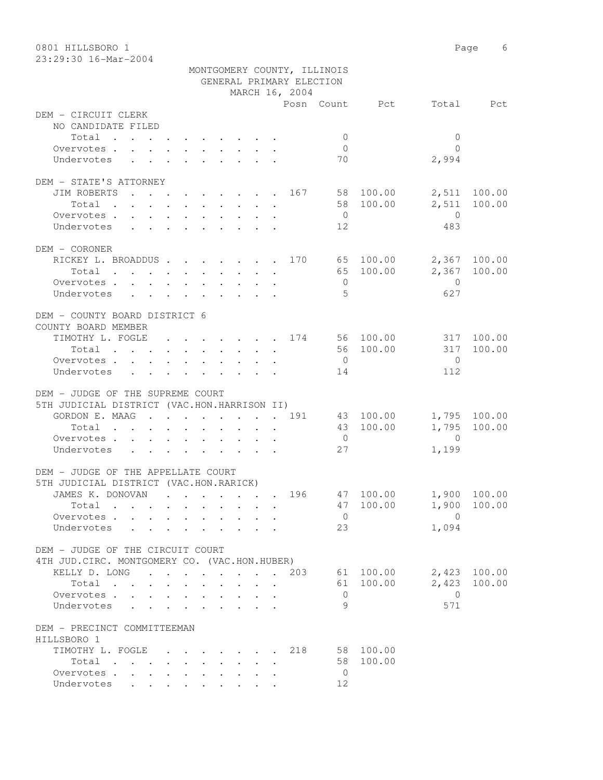| 0801 HILLSBORO 1                              |                             |                 |                         | Page 6       |
|-----------------------------------------------|-----------------------------|-----------------|-------------------------|--------------|
| 23:29:30 16-Mar-2004                          |                             |                 |                         |              |
|                                               | MONTGOMERY COUNTY, ILLINOIS |                 |                         |              |
|                                               | GENERAL PRIMARY ELECTION    |                 |                         |              |
|                                               | MARCH 16, 2004              |                 |                         |              |
|                                               |                             | Posn Count Pct  |                         | Total Pct    |
| DEM - CIRCUIT CLERK                           |                             |                 |                         |              |
| NO CANDIDATE FILED                            |                             |                 |                         |              |
| Total                                         |                             | $\overline{0}$  | $\mathbf{0}$            |              |
| Overvotes.                                    |                             | $\overline{0}$  | $\bigcap$               |              |
| Undervotes                                    |                             | 70              | 2,994                   |              |
| DEM - STATE'S ATTORNEY                        |                             |                 |                         |              |
| JIM ROBERTS                                   |                             |                 |                         |              |
|                                               |                             | . 167 58 100.00 |                         | 2,511 100.00 |
| Total                                         |                             | 58 100.00       | 2,511<br>$\overline{0}$ | 100.00       |
| Overvotes                                     |                             | $\overline{0}$  |                         |              |
| Undervotes                                    |                             | 12              | 483                     |              |
| DEM - CORONER                                 |                             |                 |                         |              |
| RICKEY L. BROADDUS 170 65 100.00              |                             |                 |                         | 2,367 100.00 |
| Total                                         |                             | 65 100.00       |                         | 2,367 100.00 |
| Overvotes                                     |                             | $\overline{0}$  | $\overline{0}$          |              |
| Undervotes                                    |                             | - 5             | 627                     |              |
|                                               |                             |                 |                         |              |
| DEM - COUNTY BOARD DISTRICT 6                 |                             |                 |                         |              |
| COUNTY BOARD MEMBER                           |                             |                 |                         |              |
| TIMOTHY L. FOGLE 174 56 100.00                |                             |                 |                         | 317 100.00   |
| Total                                         |                             | 56 100.00       | 317                     | 100.00       |
| Overvotes.                                    |                             | $\overline{0}$  | $\overline{0}$          |              |
| Undervotes                                    |                             | 14              | 112                     |              |
|                                               |                             |                 |                         |              |
| DEM - JUDGE OF THE SUPREME COURT              |                             |                 |                         |              |
| 5TH JUDICIAL DISTRICT (VAC.HON.HARRISON II)   |                             |                 |                         |              |
| GORDON E. MAAG 191                            |                             | 43 100.00       |                         | 1,795 100.00 |
| Total                                         |                             | 43 100.00       | 1,795                   | 100.00       |
| Overvotes.                                    |                             | $\overline{0}$  | $\overline{0}$          |              |
| Undervotes                                    |                             | 27              | 1,199                   |              |
|                                               |                             |                 |                         |              |
| DEM - JUDGE OF THE APPELLATE COURT            |                             |                 |                         |              |
| 5TH JUDICIAL DISTRICT (VAC.HON.RARICK)        |                             |                 |                         |              |
| JAMES K. DONOVAN                              | 196                         | 47 100.00       |                         | 1,900 100.00 |
| Total                                         |                             | 47 100.00       | 1,900                   | 100.00       |
| Overvotes.                                    |                             | $\overline{0}$  | $\overline{0}$          |              |
| Undervotes<br>$\sim$ $\sim$                   |                             | 23              | 1,094                   |              |
|                                               |                             |                 |                         |              |
| DEM - JUDGE OF THE CIRCUIT COURT              |                             |                 |                         |              |
| 4TH JUD. CIRC. MONTGOMERY CO. (VAC.HON.HUBER) |                             |                 |                         |              |
| KELLY D. LONG 203                             |                             | 61 100.00       |                         | 2,423 100.00 |
| Total                                         |                             | 61 100.00       | 2,423                   | 100.00       |
| Overvotes                                     |                             | $\overline{0}$  | $\overline{0}$          |              |
| Undervotes                                    |                             | 9               | 571                     |              |
|                                               |                             |                 |                         |              |
| DEM - PRECINCT COMMITTEEMAN                   |                             |                 |                         |              |
| HILLSBORO 1                                   |                             |                 |                         |              |
| TIMOTHY L. FOGLE                              | 218                         | 58 100.00       |                         |              |
| Total                                         |                             | 58 100.00       |                         |              |
| Overvotes.                                    |                             | $\overline{0}$  |                         |              |
| Undervotes                                    |                             | 12              |                         |              |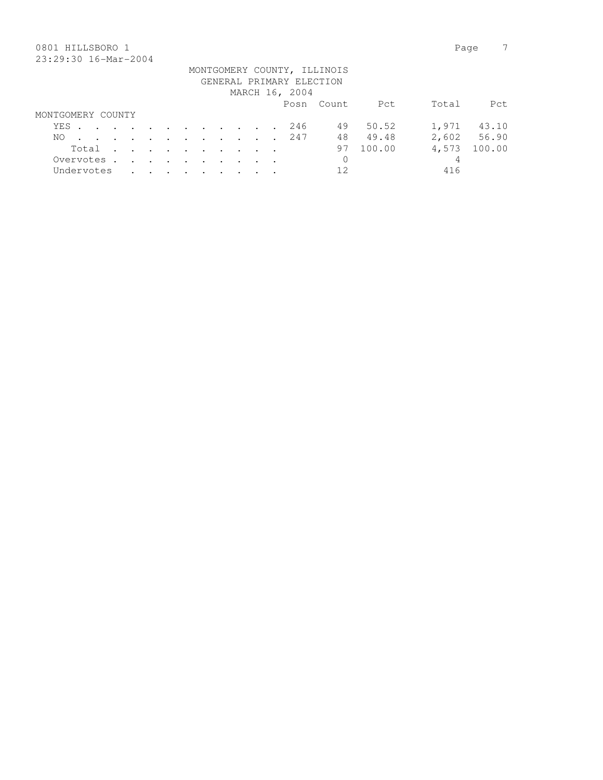## 0801 HILLSBORO 1 Page 7 23:29:30 16-Mar-2004

|                   |  |  |  |  |  |                          | MONTGOMERY COUNTY, ILLINOIS |        |       |             |
|-------------------|--|--|--|--|--|--------------------------|-----------------------------|--------|-------|-------------|
|                   |  |  |  |  |  | GENERAL PRIMARY ELECTION |                             |        |       |             |
|                   |  |  |  |  |  | MARCH 16, 2004           |                             |        |       |             |
|                   |  |  |  |  |  |                          | Posn Count                  | Pct    | Total | Pct.        |
| MONTGOMERY COUNTY |  |  |  |  |  |                          |                             |        |       |             |
| YES               |  |  |  |  |  | 246                      | 49                          | 50.52  | 1,971 | 43.10       |
| NO.               |  |  |  |  |  | . 247                    | 48                          | 49.48  |       | 2,602 56.90 |
| Total             |  |  |  |  |  |                          | 97                          | 100.00 | 4,573 | 100.00      |
| Overvotes         |  |  |  |  |  |                          | $\mathbf{0}$                |        | 4     |             |
| Undervotes        |  |  |  |  |  |                          | 12                          |        | 416   |             |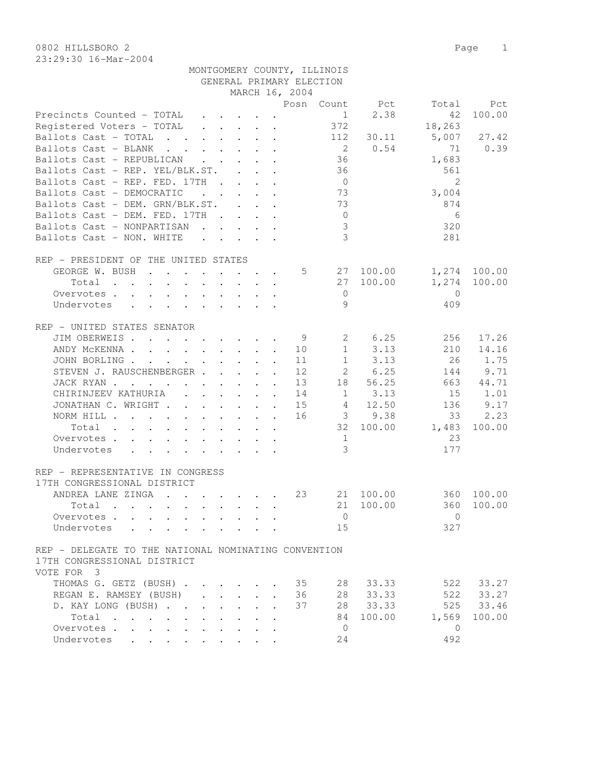0802 HILLSBORO 2 Page 1 23:29:30 16-Mar-2004

| vvva nihuduvitu a    |                             |  |
|----------------------|-----------------------------|--|
| 23:29:30 16-Mar-2004 |                             |  |
|                      | MONTGOMERY COUNTY, ILLINOIS |  |
|                      | GENERAL PRIMARY ELECTION    |  |

|                                                                                                                                                                |                                 |                      | MARCH 16, 2004 |                |                                |              |              |
|----------------------------------------------------------------------------------------------------------------------------------------------------------------|---------------------------------|----------------------|----------------|----------------|--------------------------------|--------------|--------------|
|                                                                                                                                                                |                                 |                      |                |                | Posn Count Pct                 | Total        | Pct          |
| Precincts Counted - TOTAL                                                                                                                                      |                                 |                      |                |                | 2.38<br>$1 \quad \blacksquare$ | 42           | 100.00       |
| Registered Voters - TOTAL                                                                                                                                      |                                 |                      |                | 372            |                                | 18,263       |              |
| Ballots Cast - TOTAL                                                                                                                                           |                                 |                      |                | 112            | 30.11                          | 5,007        | 27.42        |
| Ballots Cast - BLANK                                                                                                                                           |                                 |                      |                | $\overline{2}$ | 0.54                           | 71           | 0.39         |
| Ballots Cast - REPUBLICAN                                                                                                                                      |                                 |                      |                | 36             |                                | 1,683        |              |
| Ballots Cast - REP. YEL/BLK.ST.                                                                                                                                |                                 |                      |                | 36             |                                | 561          |              |
| Ballots Cast - REP. FED. 17TH                                                                                                                                  |                                 |                      |                | $\overline{0}$ |                                | 2            |              |
| Ballots Cast - DEMOCRATIC<br>$\mathbf{r}$ , $\mathbf{r}$ , $\mathbf{r}$ , $\mathbf{r}$ , $\mathbf{r}$                                                          |                                 |                      |                | 73             |                                | 3,004        |              |
| Ballots Cast - DEM. GRN/BLK.ST.                                                                                                                                |                                 |                      |                | 73             |                                | 874          |              |
| Ballots Cast - DEM. FED. 17TH                                                                                                                                  |                                 |                      |                | $\overline{0}$ |                                | 6            |              |
| Ballots Cast - NONPARTISAN                                                                                                                                     |                                 |                      |                | 3              |                                | 320          |              |
| Ballots Cast - NON. WHITE<br>$\mathcal{L}^{\mathcal{A}}$ , and $\mathcal{L}^{\mathcal{A}}$ , and $\mathcal{L}^{\mathcal{A}}$ , and $\mathcal{L}^{\mathcal{A}}$ |                                 |                      |                | $\mathcal{S}$  |                                | 281          |              |
|                                                                                                                                                                |                                 |                      |                |                |                                |              |              |
| REP - PRESIDENT OF THE UNITED STATES                                                                                                                           |                                 |                      |                |                |                                |              |              |
| GEORGE W. BUSH                                                                                                                                                 |                                 |                      | 5              |                | 27 100.00                      |              | 1,274 100.00 |
| Total                                                                                                                                                          | $\cdot$ $\cdot$ $\cdot$ $\cdot$ |                      |                | 27             | 100.00                         | 1,274        | 100.00       |
| Overvotes                                                                                                                                                      |                                 |                      |                | $\mathbf 0$    |                                | $\bigcirc$   |              |
| Undervotes                                                                                                                                                     |                                 |                      |                | 9              |                                | 409          |              |
|                                                                                                                                                                |                                 |                      |                |                |                                |              |              |
| REP - UNITED STATES SENATOR                                                                                                                                    |                                 |                      |                |                |                                |              |              |
| JIM OBERWEIS                                                                                                                                                   |                                 |                      | - 9            | $\mathbf{2}$   | 6.25                           | 256          | 17.26        |
| ANDY MCKENNA 10                                                                                                                                                |                                 |                      |                | 1              | 3.13                           | 210          | 14.16        |
| JOHN BORLING                                                                                                                                                   |                                 |                      | 11             | 1              | 3.13                           | -26          | 1.75         |
| STEVEN J. RAUSCHENBERGER                                                                                                                                       |                                 |                      | 12             | $2^{\circ}$    | 6.25                           | 144          | 9.71         |
| JACK RYAN                                                                                                                                                      |                                 |                      | 13             | 18             | 56.25                          | 663          | 44.71        |
| CHIRINJEEV KATHURIA                                                                                                                                            |                                 |                      | 14             |                | 1 3.13                         | 15           | 1.01         |
| JONATHAN C. WRIGHT                                                                                                                                             |                                 |                      | 15             |                | 4 12.50                        | 136          | 9.17         |
| NORM HILL                                                                                                                                                      |                                 |                      | 16             |                | $3\qquad 9.38$                 | 33           | 2.23         |
| Total                                                                                                                                                          |                                 |                      |                |                | 32 100.00                      | 1,483        | 100.00       |
| Overvotes                                                                                                                                                      |                                 |                      |                | 1              |                                | 23           |              |
| Undervotes                                                                                                                                                     |                                 |                      |                | 3              |                                | 177          |              |
|                                                                                                                                                                |                                 |                      |                |                |                                |              |              |
| REP - REPRESENTATIVE IN CONGRESS                                                                                                                               |                                 |                      |                |                |                                |              |              |
| 17TH CONGRESSIONAL DISTRICT                                                                                                                                    |                                 |                      |                |                |                                |              |              |
| ANDREA LANE ZINGA                                                                                                                                              |                                 |                      | 23             |                | 21 100.00                      | 360          | 100.00       |
| Total                                                                                                                                                          |                                 |                      |                | 21             | 100.00                         | 360          | 100.00       |
|                                                                                                                                                                |                                 |                      |                |                |                                |              |              |
| Overvotes                                                                                                                                                      |                                 |                      |                | $\mathbf{0}$   |                                | $\Omega$     |              |
| Undervotes                                                                                                                                                     |                                 |                      |                | 15             |                                | 327          |              |
|                                                                                                                                                                |                                 |                      |                |                |                                |              |              |
| REP - DELEGATE TO THE NATIONAL NOMINATING CONVENTION                                                                                                           |                                 |                      |                |                |                                |              |              |
| 17TH CONGRESSIONAL DISTRICT                                                                                                                                    |                                 |                      |                |                |                                |              |              |
| VOTE FOR 3                                                                                                                                                     |                                 |                      |                |                |                                |              |              |
| THOMAS G. GETZ (BUSH)                                                                                                                                          |                                 |                      | 35             | 28             | 33.33                          | 522          | 33.27        |
| REGAN E. RAMSEY (BUSH)<br>$\mathbf{r} = \mathbf{r} \cdot \mathbf{r}$ and $\mathbf{r} = \mathbf{r} \cdot \mathbf{r}$                                            |                                 | $\mathbf{r}$         | 36             | 28             | 33.33                          | 522          | 33.27        |
| D. KAY LONG (BUSH)<br>$\mathbf{L}$                                                                                                                             | $\mathbf{L}$<br>$\mathbf{L}$    |                      | 37             | 28             | 33.33                          | 525          | 33.46        |
| $Total \cdot \cdot \cdot \cdot \cdot$                                                                                                                          |                                 | $\ddot{\phantom{a}}$ |                | 84             | 100.00                         | 1,569        | 100.00       |
| Overvotes                                                                                                                                                      | $\ddot{\phantom{a}}$            | $\ddot{\phantom{a}}$ |                | $\overline{0}$ |                                | $\mathbf{0}$ |              |
| Undervotes<br>the contract of the contract of the contract of the contract of the contract of the contract of the contract of                                  |                                 |                      |                | 24             |                                | 492          |              |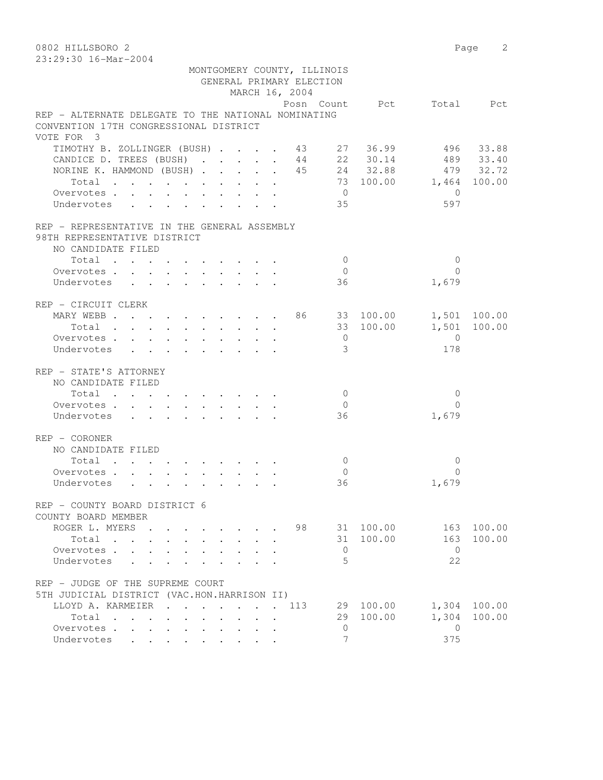0802 HILLSBORO 2 Page 2 23:29:30 16-Mar-2004 MONTGOMERY COUNTY, ILLINOIS GENERAL PRIMARY ELECTION MARCH 16, 2004 Posn Count Pct Total Pct REP - ALTERNATE DELEGATE TO THE NATIONAL NOMINATING CONVENTION 17TH CONGRESSIONAL DISTRICT VOTE FOR 3 TIMOTHY B. ZOLLINGER (BUSH) . . . . 43 27 36.99 496 33.88 CANDICE D. TREES (BUSH) . . . . . 44 22 30.14 489 33.40 NORINE K. HAMMOND (BUSH) . . . . . 45 24 32.88 479 32.72 Total . . . . . . . . . . 73 100.00 1,464 100.00 Overvotes . . . . . . . . . . . 0 Undervotes . . . . . . . . . 35 597 REP - REPRESENTATIVE IN THE GENERAL ASSEMBLY 98TH REPRESENTATIVE DISTRICT NO CANDIDATE FILED 10tal . . . . . . . . . . . 0 0 0<br>ervotes . . . . . . . . . . . 0 0 0<br>dervotes . . . . . . . . . . 36 1,679 Overvotes . . . . . . . . . . 0 Undervotes . . . . . . . . . 36 REP - CIRCUIT CLERK MARY WEBB . . . . . . . . . . 86 33 100.00 1,501 100.00 Total . . . . . . . . . . 33 100.00 1,501 100.00 Overvotes . . . . . . . . . . 0 0 Undervotes . . . . . . . . . 3 178 REP - STATE'S ATTORNEY NO CANDIDATE FILED  $\texttt{Total} \quad . \quad . \quad . \quad . \quad . \quad . \quad . \quad . \qquad 0 \qquad \qquad 0$ Overvotes . . . . . . . . . . . 0 Undervotes . . . . . . . . . . 36 1,679 REP - CORONER NO CANDIDATE FILED  $\texttt{Total} \quad . \quad . \quad . \quad . \quad . \quad . \quad . \qquad . \qquad 0 \qquad \qquad 0$ Overvotes . . . . . . . . . . . 0<br>
Undervotes . . . . . . . . . . 36 1,679 Undervotes . . . . . . . . . 36 REP - COUNTY BOARD DISTRICT 6 COUNTY BOARD MEMBER ROGER L. MYERS . . . . . . . 98 31 100.00 163 100.00<br>Total . . . . . . . . . 31 100.00 163 100.00 Total . . . . . . . . . . 31 100.00 163 100.00 Overvotes . . . . . . . . . . . 0 Undervotes . . . . . . . . . . 5 22 REP - JUDGE OF THE SUPREME COURT 5TH JUDICIAL DISTRICT (VAC.HON.HARRISON II) LLOYD A. KARMEIER . . . . . . . 113 29 100.00 1,304 100.00 Total . . . . . . . . . . 29 100.00 1,304 100.00 Overvotes . . . . . . . . . . 0 0

Undervotes . . . . . . . . .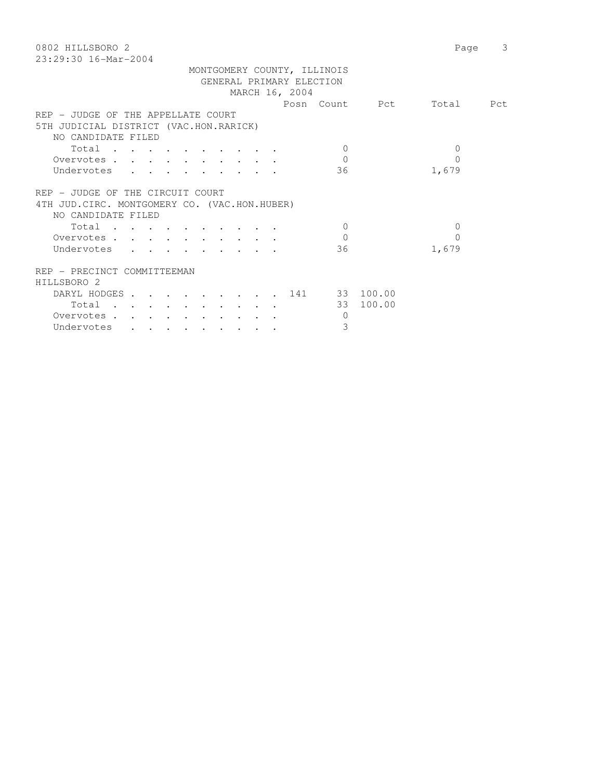| 0802 HILLSBORO 2<br>$23:29:30$ 16-Mar-2004    | Page                        | 3 |
|-----------------------------------------------|-----------------------------|---|
| MONTGOMERY COUNTY, ILLINOIS                   |                             |   |
| GENERAL PRIMARY ELECTION                      |                             |   |
| MARCH 16, 2004                                |                             |   |
|                                               | Posn Count Pct<br>Total Pct |   |
| REP - JUDGE OF THE APPELLATE COURT            |                             |   |
| 5TH JUDICIAL DISTRICT (VAC.HON.RARICK)        |                             |   |
| NO CANDIDATE FILED                            |                             |   |
| Total<br>$\bigcirc$                           | $\Omega$                    |   |
| $\Omega$<br>Overvotes                         | $\Omega$                    |   |
| Undervotes<br>36                              | 1,679                       |   |
|                                               |                             |   |
| REP - JUDGE OF THE CIRCUIT COURT              |                             |   |
| 4TH JUD. CIRC. MONTGOMERY CO. (VAC.HON.HUBER) |                             |   |
| NO CANDIDATE FILED                            |                             |   |
| Total<br>$\Omega$                             | $\Omega$                    |   |
| $\overline{0}$<br>Overvotes                   | $\Omega$                    |   |
| Undervotes<br>36                              | 1,679                       |   |
|                                               |                             |   |
| REP - PRECINCT COMMITTEEMAN                   |                             |   |
| HILLSBORO 2                                   |                             |   |
| DARYL HODGES 141 33 100.00                    |                             |   |
| Total                                         | 33 100.00                   |   |
| Overvotes<br>$\overline{0}$                   |                             |   |
| 3<br>Undervotes                               |                             |   |
|                                               |                             |   |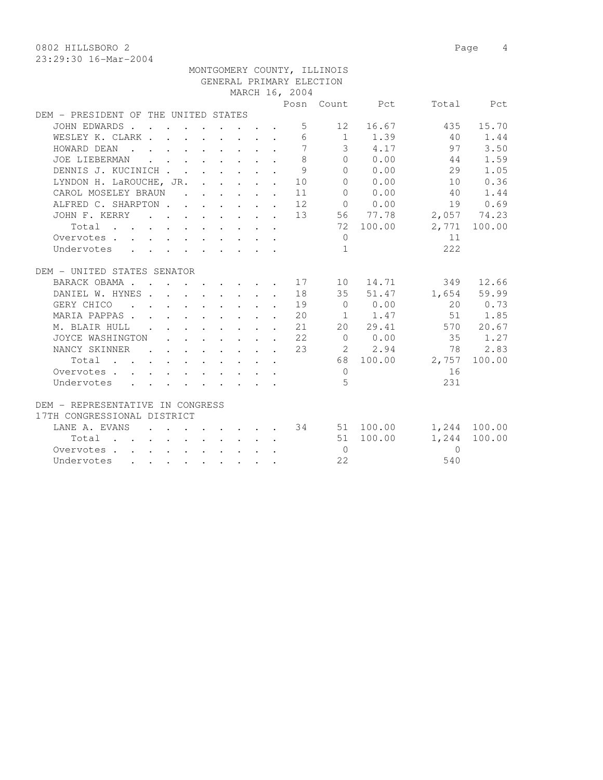0802 HILLSBORO 2 Page 4

|                                      |                                                                                         |  |  |                           |                | MONTGOMERY COUNTY, ILLINOIS |                                         |                                   |              |
|--------------------------------------|-----------------------------------------------------------------------------------------|--|--|---------------------------|----------------|-----------------------------|-----------------------------------------|-----------------------------------|--------------|
|                                      |                                                                                         |  |  |                           |                | GENERAL PRIMARY ELECTION    |                                         |                                   |              |
|                                      |                                                                                         |  |  |                           | MARCH 16, 2004 |                             |                                         |                                   |              |
|                                      |                                                                                         |  |  |                           |                |                             | Posn Count Pct                          |                                   | Total Pct    |
| DEM - PRESIDENT OF THE UNITED STATES |                                                                                         |  |  |                           |                |                             |                                         |                                   |              |
| JOHN EDWARDS                         |                                                                                         |  |  |                           |                | $5 - 5$<br>12               | 16.67                                   | 435                               | 15.70        |
| WESLEY K. CLARK                      |                                                                                         |  |  |                           |                |                             | 6 1 1.39                                | 40                                | 1.44         |
| HOWARD DEAN                          |                                                                                         |  |  |                           | $\overline{7}$ |                             | $3 \t 4.17$                             | 97                                | 3.50         |
| JOE LIEBERMAN                        | $\mathbf{r}$ , $\mathbf{r}$ , $\mathbf{r}$ , $\mathbf{r}$ , $\mathbf{r}$ , $\mathbf{r}$ |  |  |                           | 8              |                             | $\begin{matrix}0&0.00\end{matrix}$      | 44                                | 1.59         |
| DENNIS J. KUCINICH                   |                                                                                         |  |  | $\mathbf{L}^{\text{max}}$ | 9              | $\Omega$                    | 0.00                                    | 29                                | 1.05         |
| LYNDON H. LaROUCHE, JR. 10           |                                                                                         |  |  |                           |                | $\bigcap$                   | 0.00                                    | 10                                | 0.36         |
| CAROL MOSELEY BRAUN                  |                                                                                         |  |  |                           | 11             | $\bigcap$                   | 0.00                                    | 40                                | 1.44         |
| ALFRED C. SHARPTON 12                |                                                                                         |  |  |                           |                |                             | $\begin{matrix} 0 & 0 & 0 \end{matrix}$ | 19                                | 0.69         |
| JOHN F. KERRY 13 56 77.78            |                                                                                         |  |  |                           |                |                             |                                         | 2,057 74.23                       |              |
| Total                                |                                                                                         |  |  |                           |                |                             | 72 100.00                               |                                   | 2,771 100.00 |
| Overvotes                            |                                                                                         |  |  |                           |                | $\Omega$                    |                                         | 11                                |              |
| Undervotes                           |                                                                                         |  |  |                           |                | $\overline{1}$              |                                         | 222                               |              |
|                                      |                                                                                         |  |  |                           |                |                             |                                         |                                   |              |
| DEM - UNITED STATES SENATOR          |                                                                                         |  |  |                           |                |                             |                                         |                                   |              |
| BARACK OBAMA 17                      |                                                                                         |  |  |                           |                | 10                          |                                         | 14.71<br>349                      | 12.66        |
| DANIEL W. HYNES 18                   |                                                                                         |  |  |                           |                |                             | 35 51.47                                |                                   | 1,654 59.99  |
| . 19<br>GERY CHICO                   |                                                                                         |  |  |                           |                |                             | $0 \t 0.00$                             |                                   | 20 0.73      |
| MARIA PAPPAS 20                      |                                                                                         |  |  |                           |                |                             |                                         | 1 1.47 51 1.85                    |              |
| M. BLAIR HULL                        |                                                                                         |  |  |                           | 21             |                             | 20 29.41                                |                                   | 570 20.67    |
| JOYCE WASHINGTON                     | $\mathbf{r}$ , and $\mathbf{r}$ , and $\mathbf{r}$ , and $\mathbf{r}$                   |  |  | $\mathbf{L}$              | 22             |                             | 0 0.00                                  | 35                                | 1.27         |
| NANCY SKINNER                        |                                                                                         |  |  |                           | 23             |                             | 2 2.94                                  | 78                                | 2.83         |
| Total                                |                                                                                         |  |  |                           |                |                             |                                         | 68 100.00 2,757                   | 100.00       |
| Overvotes                            |                                                                                         |  |  |                           |                | $\overline{0}$              |                                         | 16                                |              |
| Undervotes                           |                                                                                         |  |  |                           |                | $5^{\circ}$                 |                                         | 231                               |              |
|                                      |                                                                                         |  |  |                           |                |                             |                                         |                                   |              |
| DEM - REPRESENTATIVE IN CONGRESS     |                                                                                         |  |  |                           |                |                             |                                         |                                   |              |
| 17TH CONGRESSIONAL DISTRICT          |                                                                                         |  |  |                           |                |                             |                                         |                                   |              |
| LANE A. EVANS                        |                                                                                         |  |  |                           |                |                             |                                         | $\cdot$ 34 51 100.00 1,244 100.00 |              |
| Total 51 100.00                      |                                                                                         |  |  |                           |                |                             |                                         | 1,244                             | 100.00       |
| Overvotes.                           |                                                                                         |  |  |                           |                | $\overline{0}$              |                                         | $\Omega$                          |              |
| Undervotes                           |                                                                                         |  |  |                           |                | 22                          |                                         | 540                               |              |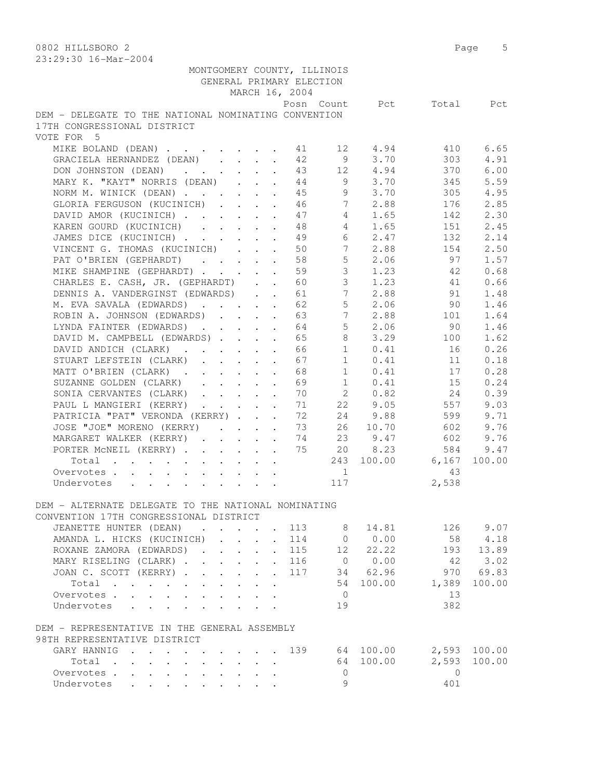| 29.29.90 IV MIL 2007                                                                                                                                                                                                                                                                                                                                                                                                                                   |  |                                         |                           |                          |                             |                  |          |              |
|--------------------------------------------------------------------------------------------------------------------------------------------------------------------------------------------------------------------------------------------------------------------------------------------------------------------------------------------------------------------------------------------------------------------------------------------------------|--|-----------------------------------------|---------------------------|--------------------------|-----------------------------|------------------|----------|--------------|
|                                                                                                                                                                                                                                                                                                                                                                                                                                                        |  |                                         |                           | GENERAL PRIMARY ELECTION | MONTGOMERY COUNTY, ILLINOIS |                  |          |              |
|                                                                                                                                                                                                                                                                                                                                                                                                                                                        |  |                                         |                           | MARCH 16, 2004           |                             |                  |          |              |
|                                                                                                                                                                                                                                                                                                                                                                                                                                                        |  |                                         |                           |                          |                             | Posn Count Pct   |          | Total Pct    |
| DEM - DELEGATE TO THE NATIONAL NOMINATING CONVENTION                                                                                                                                                                                                                                                                                                                                                                                                   |  |                                         |                           |                          |                             |                  |          |              |
| 17TH CONGRESSIONAL DISTRICT                                                                                                                                                                                                                                                                                                                                                                                                                            |  |                                         |                           |                          |                             |                  |          |              |
| VOTE FOR 5                                                                                                                                                                                                                                                                                                                                                                                                                                             |  |                                         |                           |                          |                             |                  |          |              |
| MIKE BOLAND (DEAN) 11                                                                                                                                                                                                                                                                                                                                                                                                                                  |  |                                         |                           |                          |                             | 12 4.94<br>3,70  | 410      | 6.65         |
| GRACIELA HERNANDEZ (DEAN)                                                                                                                                                                                                                                                                                                                                                                                                                              |  |                                         |                           | 42                       | 9                           | 12 4.94          | 303      | 4.91         |
| DON JOHNSTON (DEAN)                                                                                                                                                                                                                                                                                                                                                                                                                                    |  |                                         |                           | 43                       |                             | $9 \t3.70$       | 370      | 6.00         |
| MARY K. "KAYT" NORRIS (DEAN)                                                                                                                                                                                                                                                                                                                                                                                                                           |  |                                         |                           | 44                       |                             | $9 \t3.70$       | 345      | 5.59         |
| NORM M. WINICK (DEAN)                                                                                                                                                                                                                                                                                                                                                                                                                                  |  |                                         |                           | 45                       |                             |                  | 305      | 4.95         |
| GLORIA FERGUSON (KUCINICH)                                                                                                                                                                                                                                                                                                                                                                                                                             |  |                                         |                           | 46                       | 7                           | 2.88             | 176      | 2.85         |
| DAVID AMOR (KUCINICH)                                                                                                                                                                                                                                                                                                                                                                                                                                  |  |                                         |                           | 47                       | $4 \quad$                   | 1.65             | 142      | 2.30         |
| KAREN GOURD (KUCINICH)                                                                                                                                                                                                                                                                                                                                                                                                                                 |  |                                         |                           | 48                       | $4 \quad$                   | 1.65             | 151      | 2.45         |
| JAMES DICE (KUCINICH)                                                                                                                                                                                                                                                                                                                                                                                                                                  |  | $\cdot$ $\cdot$ $\cdot$                 |                           | 49                       | 6                           | 2.47             | 132      | 2.14         |
| VINCENT G. THOMAS (KUCINICH)                                                                                                                                                                                                                                                                                                                                                                                                                           |  |                                         | $\mathbf{r}$              | 50                       | $7\overline{ }$             | 2.88             | 154      | 2.50         |
| PAT O'BRIEN (GEPHARDT)                                                                                                                                                                                                                                                                                                                                                                                                                                 |  |                                         |                           | 58                       | 5 <sup>1</sup>              | 2.06             | 97       | 1.57         |
| MIKE SHAMPINE (GEPHARDT)                                                                                                                                                                                                                                                                                                                                                                                                                               |  |                                         |                           | 59                       | $\mathcal{S}$               | 1.23             | - 42     | 0.68         |
| CHARLES E. CASH, JR. (GEPHARDT)                                                                                                                                                                                                                                                                                                                                                                                                                        |  |                                         |                           | 60                       |                             | $3 \t1.23$       | 41       | 0.66         |
| DENNIS A. VANDERGINST (EDWARDS).                                                                                                                                                                                                                                                                                                                                                                                                                       |  |                                         |                           | 61                       |                             | 7 2.88           | 91       | 1.48         |
| M. EVA SAVALA (EDWARDS)                                                                                                                                                                                                                                                                                                                                                                                                                                |  |                                         |                           | 62                       | 5                           | 2.06             | 90       | 1.46         |
| ROBIN A. JOHNSON (EDWARDS)                                                                                                                                                                                                                                                                                                                                                                                                                             |  |                                         |                           | 63                       | 7                           | 2.88             | 101      | 1.64         |
| LYNDA FAINTER (EDWARDS)                                                                                                                                                                                                                                                                                                                                                                                                                                |  |                                         |                           | 64                       | $5 -$                       | 2.06             | 90       | 1.46         |
| DAVID M. CAMPBELL (EDWARDS)                                                                                                                                                                                                                                                                                                                                                                                                                            |  |                                         | $\sim$                    | 65                       | 8                           | 3.29             | 100      | 1.62         |
| DAVID ANDICH (CLARK)                                                                                                                                                                                                                                                                                                                                                                                                                                   |  |                                         |                           | 66                       | 1                           | 0.41             | 16       | 0.26         |
| STUART LEFSTEIN (CLARK)                                                                                                                                                                                                                                                                                                                                                                                                                                |  |                                         |                           | 67                       | $\mathbf{1}$                | 0.41             | 11       | 0.18         |
| MATT O'BRIEN (CLARK)                                                                                                                                                                                                                                                                                                                                                                                                                                   |  |                                         |                           | 68                       | 1                           | 0.41             | 17       | 0.28         |
| SUZANNE GOLDEN (CLARK)                                                                                                                                                                                                                                                                                                                                                                                                                                 |  |                                         |                           | 69                       | 1                           | 0.41             | 15       | 0.24         |
| SONIA CERVANTES (CLARK)                                                                                                                                                                                                                                                                                                                                                                                                                                |  |                                         |                           | 70                       |                             | 2 0.82           | 24       | 0.39         |
| PAUL L MANGIERI (KERRY)                                                                                                                                                                                                                                                                                                                                                                                                                                |  |                                         |                           | 71                       | 22                          | 9.05             | 557      | 9.03         |
| PATRICIA "PAT" VERONDA (KERRY)                                                                                                                                                                                                                                                                                                                                                                                                                         |  |                                         |                           | 72                       |                             | 24 9.88          | 599      | 9.71         |
| JOSE "JOE" MORENO (KERRY)                                                                                                                                                                                                                                                                                                                                                                                                                              |  |                                         |                           | 73                       |                             | 26 10.70         | 602      | 9.76         |
| MARGARET WALKER (KERRY)                                                                                                                                                                                                                                                                                                                                                                                                                                |  |                                         | $\ddot{\phantom{a}}$      | 74                       | 23                          | 9.47             | 602      | 9.76         |
| PORTER MCNEIL (KERRY)                                                                                                                                                                                                                                                                                                                                                                                                                                  |  |                                         |                           | 75                       | 20                          | 8.23             | 584      | 9.47         |
| Total                                                                                                                                                                                                                                                                                                                                                                                                                                                  |  |                                         |                           |                          |                             | 243 100.00 6,167 |          | 100.00       |
| Overvotes.                                                                                                                                                                                                                                                                                                                                                                                                                                             |  |                                         |                           |                          | $\overline{1}$              |                  | 43       |              |
| Undervotes                                                                                                                                                                                                                                                                                                                                                                                                                                             |  |                                         |                           |                          | 117                         |                  | 2,538    |              |
|                                                                                                                                                                                                                                                                                                                                                                                                                                                        |  |                                         |                           |                          |                             |                  |          |              |
| DEM - ALTERNATE DELEGATE TO THE NATIONAL NOMINATING                                                                                                                                                                                                                                                                                                                                                                                                    |  |                                         |                           |                          |                             |                  |          |              |
| CONVENTION 17TH CONGRESSIONAL DISTRICT                                                                                                                                                                                                                                                                                                                                                                                                                 |  |                                         |                           |                          |                             |                  |          |              |
| JEANETTE HUNTER (DEAN)<br>$\mathbf{r} = \mathbf{r} + \mathbf{r} + \mathbf{r} + \mathbf{r} + \mathbf{r} + \mathbf{r} + \mathbf{r} + \mathbf{r} + \mathbf{r} + \mathbf{r} + \mathbf{r} + \mathbf{r} + \mathbf{r} + \mathbf{r} + \mathbf{r} + \mathbf{r} + \mathbf{r} + \mathbf{r} + \mathbf{r} + \mathbf{r} + \mathbf{r} + \mathbf{r} + \mathbf{r} + \mathbf{r} + \mathbf{r} + \mathbf{r} + \mathbf{r} + \mathbf{r} + \mathbf{r} + \mathbf{r} + \mathbf$ |  |                                         |                           | 113                      | 8                           | 14.81            | 126      | 9.07         |
| AMANDA L. HICKS (KUCINICH)                                                                                                                                                                                                                                                                                                                                                                                                                             |  |                                         | $\sim$                    | 114                      | $\overline{0}$              | 0.00             | 58       | 4.18         |
| ROXANE ZAMORA (EDWARDS).                                                                                                                                                                                                                                                                                                                                                                                                                               |  | $\mathbf{r}$ and $\mathbf{r}$           | $\ddot{\phantom{0}}$      | 115                      | 12                          | 22.22            | 193      | 13.89        |
| MARY RISELING (CLARK)                                                                                                                                                                                                                                                                                                                                                                                                                                  |  |                                         | $\mathbf{L}$              | 116                      |                             | 0 0.00           | 42       | 3.02         |
| JOAN C. SCOTT (KERRY)                                                                                                                                                                                                                                                                                                                                                                                                                                  |  | $\mathbf{L}$                            | $\mathbf{L}$              | 117                      |                             | 34 62.96         | 970      | 69.83        |
| Total                                                                                                                                                                                                                                                                                                                                                                                                                                                  |  |                                         |                           |                          | 54                          | 100.00           | 1,389    | 100.00       |
| Overvotes                                                                                                                                                                                                                                                                                                                                                                                                                                              |  |                                         | $\mathbf{L} = \mathbf{L}$ |                          | $\overline{0}$              |                  | 13       |              |
| Undervotes                                                                                                                                                                                                                                                                                                                                                                                                                                             |  |                                         |                           |                          | 19                          |                  | 382      |              |
|                                                                                                                                                                                                                                                                                                                                                                                                                                                        |  |                                         |                           |                          |                             |                  |          |              |
| DEM - REPRESENTATIVE IN THE GENERAL ASSEMBLY                                                                                                                                                                                                                                                                                                                                                                                                           |  |                                         |                           |                          |                             |                  |          |              |
| 98TH REPRESENTATIVE DISTRICT                                                                                                                                                                                                                                                                                                                                                                                                                           |  |                                         |                           |                          |                             |                  |          |              |
| GARY HANNIG                                                                                                                                                                                                                                                                                                                                                                                                                                            |  | $\cdot$ $\cdot$ $\cdot$ $\cdot$ $\cdot$ |                           | 139                      |                             | 64 100.00        |          | 2,593 100.00 |
| Total                                                                                                                                                                                                                                                                                                                                                                                                                                                  |  |                                         |                           |                          |                             | 64 100.00        | 2,593    | 100.00       |
| Overvotes.                                                                                                                                                                                                                                                                                                                                                                                                                                             |  |                                         |                           |                          | $\mathbf{0}$                |                  | $\Omega$ |              |
| Undervotes                                                                                                                                                                                                                                                                                                                                                                                                                                             |  |                                         |                           |                          | $\circ$                     |                  | 401      |              |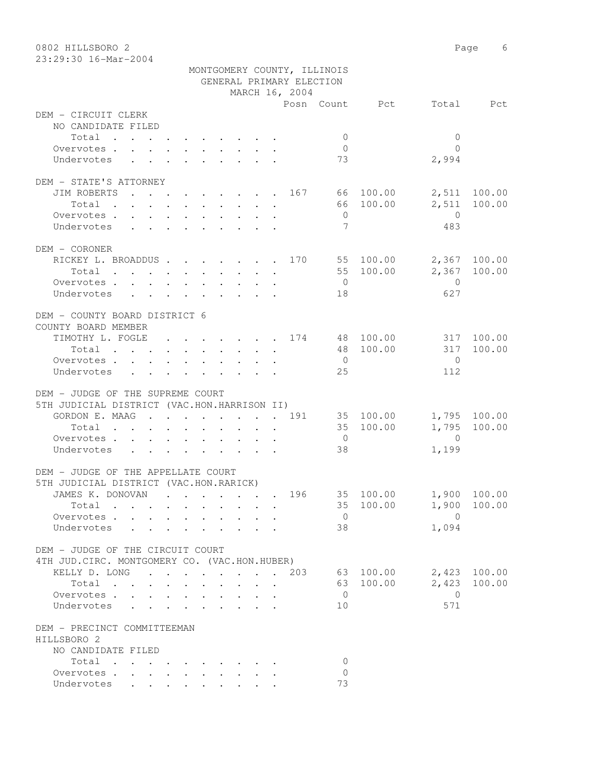| 0802 HILLSBORO 2                              |                             |                |                    | Page 6       |
|-----------------------------------------------|-----------------------------|----------------|--------------------|--------------|
| 23:29:30 16-Mar-2004                          |                             |                |                    |              |
|                                               | MONTGOMERY COUNTY, ILLINOIS |                |                    |              |
|                                               | GENERAL PRIMARY ELECTION    |                |                    |              |
|                                               | MARCH 16, 2004              |                |                    |              |
|                                               |                             | Posn Count Pct |                    | Total Pct    |
| DEM - CIRCUIT CLERK                           |                             |                |                    |              |
| NO CANDIDATE FILED                            |                             |                |                    |              |
| Total                                         |                             | $\mathbf{0}$   | $\mathbf{0}$       |              |
| Overvotes.                                    |                             | $\overline{0}$ | $\bigcap$          |              |
| Undervotes                                    |                             | 73             | 2,994              |              |
|                                               |                             |                |                    |              |
| DEM - STATE'S ATTORNEY                        |                             |                |                    |              |
| JIM ROBERTS 167 66 100.00                     |                             |                |                    | 2,511 100.00 |
| Total                                         |                             |                | 66 100.00<br>2,511 | 100.00       |
| Overvotes                                     |                             | $\overline{0}$ | $\overline{0}$     |              |
| Undervotes                                    |                             | 7              | 483                |              |
| DEM - CORONER                                 |                             |                |                    |              |
|                                               |                             |                |                    |              |
| RICKEY L. BROADDUS 170 55 100.00              |                             |                |                    | 2,367 100.00 |
| Total 55 100.00                               |                             |                |                    | 2,367 100.00 |
| Overvotes                                     |                             | $\overline{0}$ | $\overline{0}$     |              |
| Undervotes                                    |                             | 18             | 627                |              |
|                                               |                             |                |                    |              |
| DEM - COUNTY BOARD DISTRICT 6                 |                             |                |                    |              |
| COUNTY BOARD MEMBER                           |                             |                |                    |              |
| TIMOTHY L. FOGLE 174 48 100.00                |                             |                |                    | 317 100.00   |
| Total                                         |                             |                | 48 100.00<br>317   | 100.00       |
| Overvotes.                                    |                             | $\overline{0}$ | $\overline{0}$     |              |
| Undervotes                                    |                             | 25             | 112                |              |
|                                               |                             |                |                    |              |
| DEM - JUDGE OF THE SUPREME COURT              |                             |                |                    |              |
| 5TH JUDICIAL DISTRICT (VAC.HON.HARRISON II)   |                             |                |                    |              |
| GORDON E. MAAG 191                            |                             |                | 35 100.00          | 1,795 100.00 |
| Total                                         |                             |                | 35 100.00<br>1,795 | 100.00       |
| Overvotes.                                    |                             | $\overline{0}$ | $\overline{0}$     |              |
| Undervotes                                    |                             | 38             | 1,199              |              |
|                                               |                             |                |                    |              |
| DEM - JUDGE OF THE APPELLATE COURT            |                             |                |                    |              |
| 5TH JUDICIAL DISTRICT (VAC.HON.RARICK)        |                             |                |                    |              |
| JAMES K. DONOVAN                              |                             | 196            | 35 100.00          | 1,900 100.00 |
| Total                                         |                             |                | 35 100.00          | 1,900 100.00 |
| Overvotes                                     |                             | $\overline{0}$ | $\overline{0}$     |              |
| Undervotes                                    |                             | 38             | 1,094              |              |
|                                               |                             |                |                    |              |
| DEM - JUDGE OF THE CIRCUIT COURT              |                             |                |                    |              |
| 4TH JUD. CIRC. MONTGOMERY CO. (VAC.HON.HUBER) |                             |                |                    |              |
| KELLY D. LONG 203                             |                             |                | 63 100.00          | 2,423 100.00 |
| Total                                         |                             |                | 2,423<br>63 100.00 | 100.00       |
| Overvotes                                     |                             | $\overline{0}$ | $\overline{0}$     |              |
| Undervotes                                    |                             | 10             | 571                |              |
|                                               |                             |                |                    |              |
| DEM - PRECINCT COMMITTEEMAN                   |                             |                |                    |              |
| HILLSBORO 2                                   |                             |                |                    |              |
| NO CANDIDATE FILED                            |                             |                |                    |              |
| Total                                         |                             | 0              |                    |              |
| Overvotes.                                    |                             | $\mathbf{0}$   |                    |              |
| Undervotes                                    |                             | 73             |                    |              |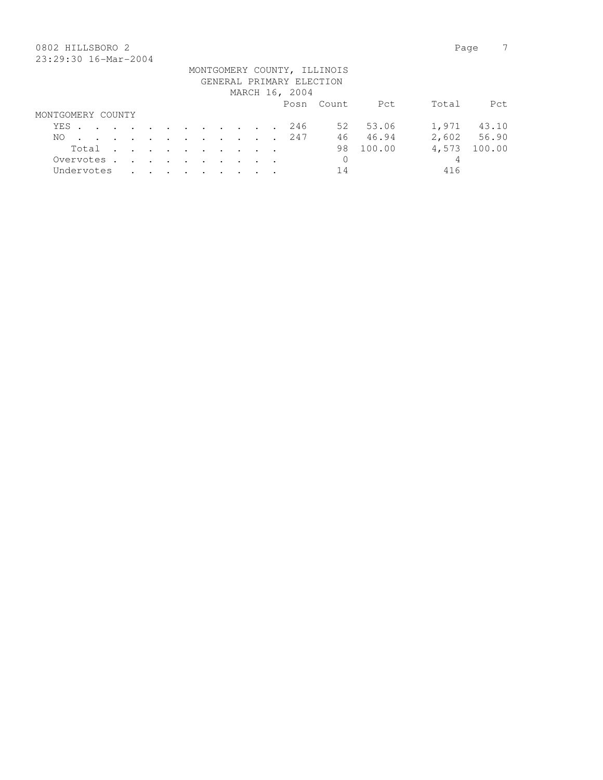## 0802 HILLSBORO 2 Page 7 23:29:30 16-Mar-2004

|                   |  |  |  |  |  |                          | MONTGOMERY COUNTY, ILLINOIS |           |       |             |
|-------------------|--|--|--|--|--|--------------------------|-----------------------------|-----------|-------|-------------|
|                   |  |  |  |  |  | GENERAL PRIMARY ELECTION |                             |           |       |             |
|                   |  |  |  |  |  | MARCH 16, 2004           |                             |           |       |             |
|                   |  |  |  |  |  |                          | Posn Count                  | Pct       | Total | Pct.        |
| MONTGOMERY COUNTY |  |  |  |  |  |                          |                             |           |       |             |
| YES               |  |  |  |  |  | 246                      |                             | 52 53.06  | 1,971 | 43.10       |
| NO.               |  |  |  |  |  | . 247                    |                             | 46 46.94  |       | 2,602 56.90 |
| Total             |  |  |  |  |  |                          |                             | 98 100.00 | 4,573 | 100.00      |
| Overvotes.        |  |  |  |  |  |                          | $\mathbf{0}$                |           | 4     |             |
| Undervotes        |  |  |  |  |  |                          | 14                          |           | 416   |             |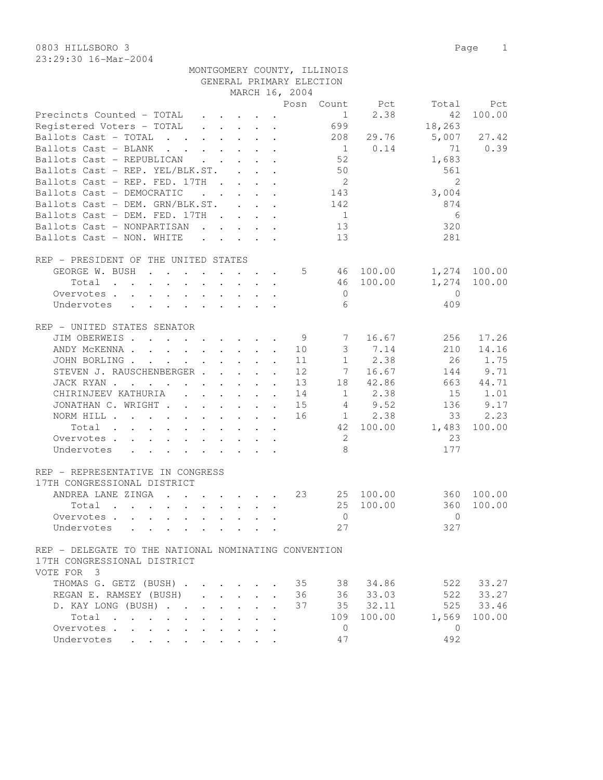0803 HILLSBORO 3 Page 1 23:29:30 16-Mar-2004

|                                                                                                                          |                                                                                   | MONTGOMERY COUNTY, ILLINOIS<br>GENERAL PRIMARY ELECTION |                          |               |              |
|--------------------------------------------------------------------------------------------------------------------------|-----------------------------------------------------------------------------------|---------------------------------------------------------|--------------------------|---------------|--------------|
|                                                                                                                          | MARCH 16, 2004                                                                    |                                                         |                          |               |              |
|                                                                                                                          |                                                                                   | Count<br>Posn                                           | Pct                      | Total         | Pct          |
| Precincts Counted - TOTAL                                                                                                |                                                                                   |                                                         | 2.38<br>$1 \quad \cdots$ | 42            | 100.00       |
| Registered Voters - TOTAL                                                                                                |                                                                                   | 699                                                     |                          | 18,263        |              |
| Ballots Cast - TOTAL<br>$\mathbf{r}$ . The contract of the contract of $\mathbf{r}$                                      |                                                                                   |                                                         | 208 29.76                |               | 5,007 27.42  |
| Ballots Cast - BLANK<br>$\mathbf{r}$ , and $\mathbf{r}$ , and $\mathbf{r}$ , and $\mathbf{r}$                            |                                                                                   |                                                         | 1 0.14                   | 71            | 0.39         |
| Ballots Cast - REPUBLICAN<br>$\mathbf{r}$ , $\mathbf{r}$ , $\mathbf{r}$ , $\mathbf{r}$ , $\mathbf{r}$                    |                                                                                   | 52                                                      |                          | 1,683         |              |
| Ballots Cast - REP. YEL/BLK.ST.                                                                                          | $\mathbf{r}$ . The set of $\mathbf{r}$                                            | 50                                                      |                          | 561           |              |
| Ballots Cast - REP. FED. 17TH                                                                                            |                                                                                   | -2                                                      |                          | $\mathcal{L}$ |              |
| Ballots Cast - DEMOCRATIC<br>$\mathbf{r}$ , $\mathbf{r}$ , $\mathbf{r}$ , $\mathbf{r}$                                   |                                                                                   | 143                                                     |                          | 3,004         |              |
| Ballots Cast - DEM. GRN/BLK.ST.                                                                                          | $\mathbf{r}$ , $\mathbf{r}$                                                       | 142                                                     |                          | 874           |              |
| Ballots Cast - DEM. FED. 17TH                                                                                            |                                                                                   | $\mathbf{1}$                                            |                          | 6             |              |
| Ballots Cast - NONPARTISAN                                                                                               |                                                                                   | 13                                                      |                          | 320           |              |
| Ballots Cast - NON. WHITE                                                                                                | $\mathbf{r} = \mathbf{r} + \mathbf{r}$ and $\mathbf{r} = \mathbf{r} + \mathbf{r}$ | 13                                                      |                          | 281           |              |
| REP - PRESIDENT OF THE UNITED STATES                                                                                     |                                                                                   |                                                         |                          |               |              |
| GEORGE W. BUSH<br>$\ddot{\phantom{1}}$<br>$\overline{\phantom{a}}$<br>$\sim$                                             | $\sim$                                                                            | 5                                                       | 46 100.00                |               | 1,274 100.00 |
| Total<br>the contract of the contract of the contract of the contract of the contract of the contract of the contract of |                                                                                   |                                                         | 46 100.00                |               | 1,274 100.00 |
| Overvotes.                                                                                                               |                                                                                   | $\Omega$                                                |                          | $\Omega$      |              |
| Undervotes                                                                                                               |                                                                                   | 6                                                       |                          | 409           |              |

| - UNITED STATES SENATOR<br>REP                                                                                                          |        |  |  |  |  |    |              |        |          |        |
|-----------------------------------------------------------------------------------------------------------------------------------------|--------|--|--|--|--|----|--------------|--------|----------|--------|
| JIM OBERWEIS                                                                                                                            | $\sim$ |  |  |  |  | 9  | 7            | 16.67  | 256      | 17.26  |
| ANDY MCKENNA                                                                                                                            | $\sim$ |  |  |  |  | 10 | 3            | 7.14   | 210      | 14.16  |
| JOHN BORLING                                                                                                                            |        |  |  |  |  | 11 | $\mathbf{1}$ | 2.38   | 26       | 1.75   |
| STEVEN J. RAUSCHENBERGER                                                                                                                |        |  |  |  |  | 12 | 7            | 16.67  | 144      | 9.71   |
| JACK RYAN                                                                                                                               |        |  |  |  |  | 13 | 18           | 42.86  | 663      | 44.71  |
| CHIRINJEEV KATHURIA                                                                                                                     |        |  |  |  |  | 14 | $\mathbf{1}$ | 2.38   | 15       | 1.01   |
| JONATHAN C. WRIGHT                                                                                                                      |        |  |  |  |  | 15 | 4            | 9.52   | 136      | 9.17   |
| NORM HILL .                                                                                                                             |        |  |  |  |  | 16 |              | 2.38   | 33       | 2.23   |
| Total                                                                                                                                   |        |  |  |  |  |    | 42           | 100.00 | 1,483    | 100.00 |
| Overvotes.                                                                                                                              |        |  |  |  |  |    | 2            |        | 23       |        |
| Undervotes                                                                                                                              |        |  |  |  |  |    | 8            |        | 177      |        |
| REP - REPRESENTATIVE IN CONGRESS                                                                                                        |        |  |  |  |  |    |              |        |          |        |
| 17TH CONGRESSIONAL DISTRICT                                                                                                             |        |  |  |  |  |    |              |        |          |        |
| ANDREA LANE ZINGA                                                                                                                       |        |  |  |  |  | 23 | 25           | 100.00 | 360      | 100.00 |
| Total                                                                                                                                   |        |  |  |  |  |    | 25           | 100.00 | 360      | 100.00 |
| Overvotes.                                                                                                                              |        |  |  |  |  |    | $\Omega$     |        | $\Omega$ |        |
| Undervotes                                                                                                                              |        |  |  |  |  |    | 27           |        | 327      |        |
| DELEGATE TO THE NATIONAL NOMINATING CONVENTION<br><b>REP</b><br>$\overline{a}$<br>CONGRESSIONAL DISTRICT<br>1 7 T H<br>3<br>VOTE<br>FOR |        |  |  |  |  |    |              |        |          |        |
|                                                                                                                                         |        |  |  |  |  |    |              |        |          |        |

| THOMAS G. GETZ (BUSH) 35 |  |  |  |  |    |    | 38 34.86   |     | 522 33.27    |
|--------------------------|--|--|--|--|----|----|------------|-----|--------------|
| REGAN E. RAMSEY (BUSH)   |  |  |  |  | 36 |    | 36 33.03   | 522 | 33.27        |
| D. KAY LONG (BUSH) 37    |  |  |  |  |    |    | 35 32.11   |     | 525 33.46    |
| Total                    |  |  |  |  |    |    | 109 100.00 |     | 1,569 100.00 |
| Overvotes.               |  |  |  |  |    |    |            |     |              |
| Undervotes               |  |  |  |  |    | 47 |            | 492 |              |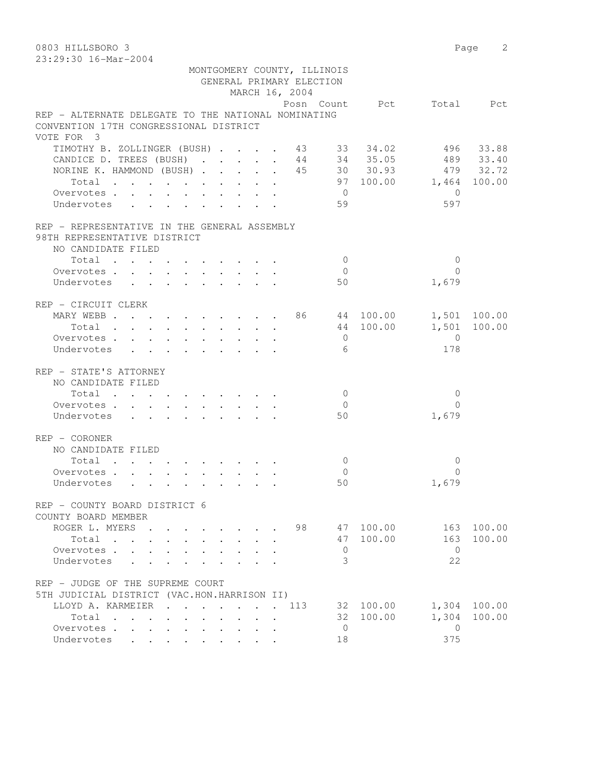0803 HILLSBORO 3 Page 2 23:29:30 16-Mar-2004 MONTGOMERY COUNTY, ILLINOIS GENERAL PRIMARY ELECTION MARCH 16, 2004 Posn Count Pct Total Pct REP - ALTERNATE DELEGATE TO THE NATIONAL NOMINATING CONVENTION 17TH CONGRESSIONAL DISTRICT VOTE FOR 3 TIMOTHY B. ZOLLINGER (BUSH) . . . . 43 33 34.02 496 33.88 CANDICE D. TREES (BUSH) . . . . . 44 34 35.05 489 33.40 NORINE K. HAMMOND (BUSH) . . . . . 45 30 30.93 479 32.72 Total . . . . . . . . . . 97 100.00 1,464 100.00 Overvotes . . . . . . . . . . . 0 Undervotes . . . . . . . . . 59 597 REP - REPRESENTATIVE IN THE GENERAL ASSEMBLY 98TH REPRESENTATIVE DISTRICT NO CANDIDATE FILED 10tal . . . . . . . . . . . 0 0 0<br>ervotes . . . . . . . . . . . 0 0 0<br>dervotes . . . . . . . . . . 50 1,679 Overvotes . . . . . . . . . . 0 Undervotes . . . . . . . . . 50 REP - CIRCUIT CLERK MARY WEBB . . . . . . . . . . 86 44 100.00 1,501 100.00 Total . . . . . . . . . . 44 100.00 1,501 100.00 Overvotes . . . . . . . . . . 0 0 Undervotes . . . . . . . . . . 6 178 REP - STATE'S ATTORNEY NO CANDIDATE FILED  $\texttt{Total} \quad . \quad . \quad . \quad . \quad . \quad . \quad . \quad . \qquad 0 \qquad \qquad 0$ Overvotes . . . . . . . . . . . 0 Undervotes . . . . . . . . . . 50 1,679 REP - CORONER NO CANDIDATE FILED  $\texttt{Total} \quad . \quad . \quad . \quad . \quad . \quad . \quad . \qquad . \qquad 0 \qquad \qquad 0$ Overvotes . . . . . . . . . . . 0<br>
Undervotes . . . . . . . . . . 50 0 1,679 Undervotes . . . . . . . . . 50 REP - COUNTY BOARD DISTRICT 6 COUNTY BOARD MEMBER ROGER L. MYERS . . . . . . . 98 47 100.00 163 100.00<br>Total . . . . . . . . . 47 100.00 163 100.00 Total . . . . . . . . . . . 47 100.00 163 100.00<br>ervotes . . . . . . . . . . 0 Overvotes . . . . . . . . . . . 0 Undervotes . . . . . . . . . 3 22 REP - JUDGE OF THE SUPREME COURT 5TH JUDICIAL DISTRICT (VAC.HON.HARRISON II) LLOYD A. KARMEIER . . . . . . . 113 32 100.00 1,304 100.00 Total . . . . . . . . . . 32 100.00 1,304 100.00 Overvotes . . . . . . . . . . 0 0<br>Indervotes . . . . . . . . . . 18 0 375

Undervotes . . . . . . . . . 18 375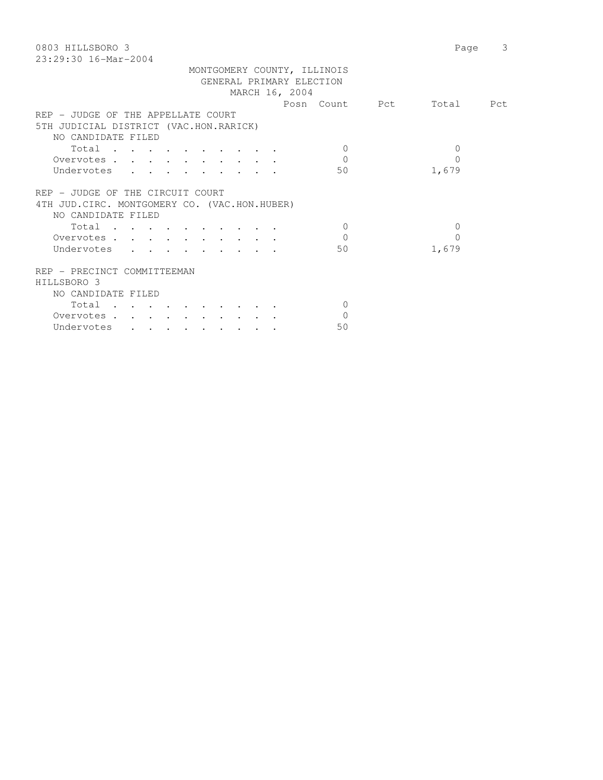| 0803 HILLSBORO 3<br>$23:29:30$ 16-Mar-2004    |              | 3<br>Page |
|-----------------------------------------------|--------------|-----------|
|                                               |              |           |
| MONTGOMERY COUNTY, ILLINOIS                   |              |           |
| GENERAL PRIMARY ELECTION                      |              |           |
| MARCH 16, 2004                                |              |           |
| Posn Count Pct                                |              | Total Pct |
| REP - JUDGE OF THE APPELLATE COURT            |              |           |
| 5TH JUDICIAL DISTRICT (VAC.HON.RARICK)        |              |           |
| NO CANDIDATE FILED                            |              |           |
| Total<br>$\Omega$                             | 0            |           |
| $\Omega$<br>Overvotes                         | $\Omega$     |           |
|                                               |              |           |
| 50<br>Undervotes                              | 1,679        |           |
|                                               |              |           |
| REP - JUDGE OF THE CIRCUIT COURT              |              |           |
| 4TH JUD. CIRC. MONTGOMERY CO. (VAC.HON.HUBER) |              |           |
| NO CANDIDATE FILED                            |              |           |
| Total<br>$\Omega$                             | $\mathbf{0}$ |           |
| $\Omega$<br>Overvotes.                        | $\Omega$     |           |
| Undervotes<br>50                              | 1,679        |           |
|                                               |              |           |
| REP - PRECINCT COMMITTEEMAN                   |              |           |
| HILLSBORO 3                                   |              |           |
| NO CANDIDATE FILED                            |              |           |
| Total<br>$\Omega$                             |              |           |
| $\Omega$<br>Overvotes                         |              |           |
|                                               |              |           |
| 50<br>Undervotes                              |              |           |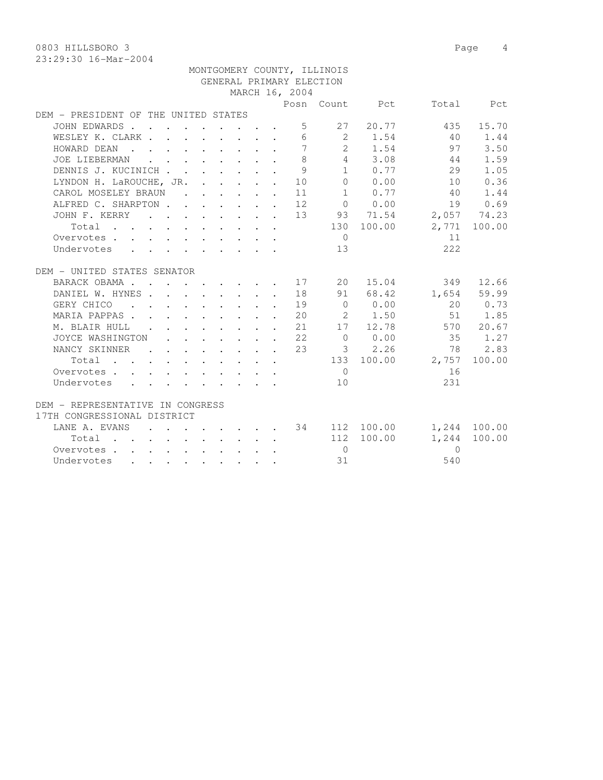0803 HILLSBORO 3 Page 4

|                                                                 |  |  |  |                | MONTGOMERY COUNTY, ILLINOIS |             |                          |              |
|-----------------------------------------------------------------|--|--|--|----------------|-----------------------------|-------------|--------------------------|--------------|
|                                                                 |  |  |  |                | GENERAL PRIMARY ELECTION    |             |                          |              |
|                                                                 |  |  |  | MARCH 16, 2004 |                             |             |                          |              |
|                                                                 |  |  |  |                |                             |             | Posn Count Pct Total Pct |              |
| DEM - PRESIDENT OF THE UNITED STATES                            |  |  |  |                |                             |             |                          |              |
| JOHN EDWARDS                                                    |  |  |  |                |                             | 5 27 20.77  | 435                      | 15.70        |
| WESLEY K. CLARK                                                 |  |  |  |                |                             |             | 6 2 1.54 40 1.44         |              |
| HOWARD DEAN                                                     |  |  |  |                |                             |             | 7 2 1.54 97              | 3.50         |
| JOE LIEBERMAN                                                   |  |  |  | 8              |                             | 4 3.08      | 44                       | 1.59         |
| DENNIS J. KUCINICH                                              |  |  |  | 9              |                             | 1 0.77      | 29                       | 1.05         |
| LYNDON H. LaROUCHE, JR. 10                                      |  |  |  |                |                             | 0 0.00      | 10                       | 0.36         |
| CAROL MOSELEY BRAUN 11                                          |  |  |  |                |                             | 1 0.77      | 40                       | 1.44         |
| ALFRED C. SHARPTON 12                                           |  |  |  |                |                             | $0 \t 0.00$ |                          | 19 0.69      |
| JOHN F. KERRY 13 93 71.54 2,057 74.23                           |  |  |  |                |                             |             |                          |              |
| Total                                                           |  |  |  |                |                             | 130 100.00  |                          | 2,771 100.00 |
| Overvotes                                                       |  |  |  |                | $\overline{0}$              |             | 11                       |              |
| Undervotes                                                      |  |  |  |                | 13                          |             | 222                      |              |
|                                                                 |  |  |  |                |                             |             |                          |              |
| DEM - UNITED STATES SENATOR                                     |  |  |  |                |                             |             |                          |              |
| BARACK OBAMA 17 20 15.04                                        |  |  |  |                |                             |             |                          | 349 12.66    |
| DANIEL W. HYNES 18                                              |  |  |  |                |                             | 91 68.42    |                          | 1,654 59.99  |
| GERY CHICO 19                                                   |  |  |  |                |                             | $0 \t 0.00$ |                          | 20 0.73      |
| MARIA PAPPAS 20 2 1.50                                          |  |  |  |                |                             |             |                          | 51 1.85      |
| M. BLAIR HULL 21 17 12.78 570 20.67                             |  |  |  |                |                             |             |                          |              |
| JOYCE WASHINGTON 22 0 0.00 35 1.27                              |  |  |  |                |                             |             |                          |              |
| NANCY SKINNER 23 3 2.26 78 2.83                                 |  |  |  |                |                             |             |                          |              |
| $Total \cdot \cdot \cdot \cdot \cdot \cdot \cdot \cdot \cdot$   |  |  |  |                |                             |             | 133 100.00 2,757         | 100.00       |
| Overvotes.                                                      |  |  |  |                | $\bigcap$                   |             | 16                       |              |
| Undervotes                                                      |  |  |  |                | 10                          |             | 231                      |              |
|                                                                 |  |  |  |                |                             |             |                          |              |
| DEM - REPRESENTATIVE IN CONGRESS<br>17TH CONGRESSIONAL DISTRICT |  |  |  |                |                             |             |                          |              |
|                                                                 |  |  |  |                |                             |             |                          |              |
| LANE A. EVANS 34 112 100.00 1,244 100.00                        |  |  |  |                |                             | 112 100.00  |                          | 1,244 100.00 |
| Total                                                           |  |  |  |                | $\overline{0}$              |             | $\bigcirc$               |              |
| Overvotes                                                       |  |  |  |                | 31                          |             | 540                      |              |
| Undervotes                                                      |  |  |  |                |                             |             |                          |              |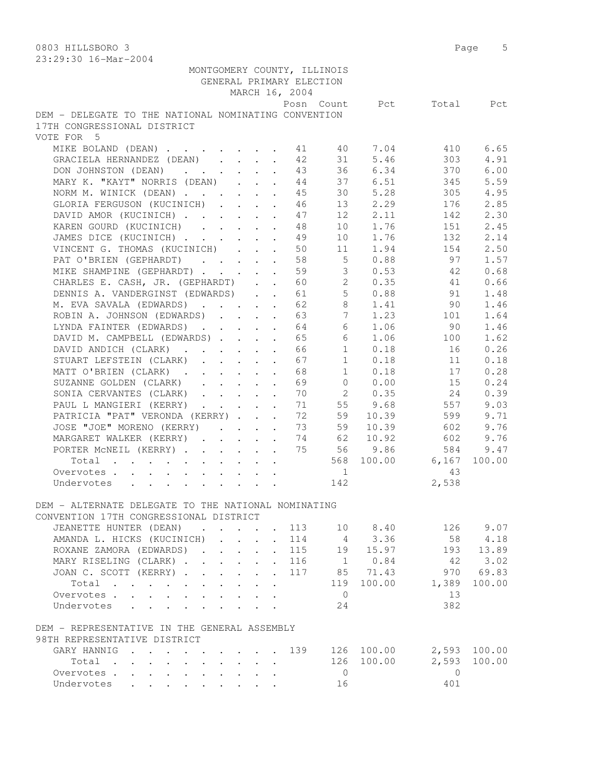| 79:29:30 Ip-Mqi-4004                                                                                                                |                      |                                                           |                                 |                      |                          |                                    |            |                          |        |
|-------------------------------------------------------------------------------------------------------------------------------------|----------------------|-----------------------------------------------------------|---------------------------------|----------------------|--------------------------|------------------------------------|------------|--------------------------|--------|
|                                                                                                                                     |                      |                                                           |                                 |                      |                          | MONTGOMERY COUNTY, ILLINOIS        |            |                          |        |
|                                                                                                                                     |                      |                                                           |                                 |                      | GENERAL PRIMARY ELECTION |                                    |            |                          |        |
|                                                                                                                                     |                      |                                                           |                                 |                      | MARCH 16, 2004           |                                    |            |                          |        |
|                                                                                                                                     |                      |                                                           |                                 |                      |                          |                                    |            | Posn Count Pct Total Pct |        |
| DEM - DELEGATE TO THE NATIONAL NOMINATING CONVENTION                                                                                |                      |                                                           |                                 |                      |                          |                                    |            |                          |        |
| 17TH CONGRESSIONAL DISTRICT                                                                                                         |                      |                                                           |                                 |                      |                          |                                    |            |                          |        |
| VOTE FOR 5                                                                                                                          |                      |                                                           |                                 |                      |                          |                                    |            |                          |        |
| MIKE BOLAND (DEAN) 41 40 7.04                                                                                                       |                      |                                                           |                                 |                      |                          |                                    |            | 410                      | 6.65   |
| GRACIELA HERNANDEZ (DEAN)                                                                                                           |                      |                                                           |                                 |                      | 42                       | 31                                 | 5.46       | 303                      | 4.91   |
| DON JOHNSTON (DEAN)                                                                                                                 |                      |                                                           |                                 |                      | 43                       | 36                                 | 6.34       | 370                      | 6.00   |
| MARY K. "KAYT" NORRIS (DEAN)                                                                                                        |                      |                                                           |                                 |                      | 44                       |                                    | 37 6.51    | 345                      | 5.59   |
| NORM M. WINICK (DEAN)                                                                                                               |                      |                                                           |                                 |                      | 45                       | 30                                 | 5.28       | 305                      | 4.95   |
| GLORIA FERGUSON (KUCINICH)                                                                                                          |                      |                                                           |                                 |                      | 46                       |                                    | 13 2.29    | 176                      | 2.85   |
| DAVID AMOR (KUCINICH)                                                                                                               |                      |                                                           |                                 |                      | 47                       | 12                                 | 2.11       | 142                      | 2.30   |
| KAREN GOURD (KUCINICH)                                                                                                              |                      |                                                           |                                 |                      | -48                      |                                    | 10 1.76    | 151                      | 2.45   |
| JAMES DICE (KUCINICH) 49                                                                                                            |                      |                                                           |                                 |                      |                          |                                    | 10 1.76    | 132                      | 2.14   |
| VINCENT G. THOMAS (KUCINICH)                                                                                                        |                      |                                                           |                                 |                      | 50                       | 11                                 | 1.94       | 154                      | 2.50   |
| PAT O'BRIEN (GEPHARDT)                                                                                                              |                      |                                                           |                                 |                      | 58                       | 5 <sup>5</sup>                     | 0.88       | 97                       | 1.57   |
| MIKE SHAMPINE (GEPHARDT)                                                                                                            |                      |                                                           |                                 | $\mathbf{r}$         | 59                       | 3                                  | 0.53       | 42                       | 0.68   |
| CHARLES E. CASH, JR. (GEPHARDT)                                                                                                     |                      |                                                           |                                 |                      | 60                       | $\mathbf{2}$                       | 0.35       | 41                       | 0.66   |
| DENNIS A. VANDERGINST (EDWARDS)                                                                                                     |                      |                                                           |                                 |                      | 61                       |                                    | 50.88      | 91                       | 1.48   |
| M. EVA SAVALA (EDWARDS)                                                                                                             |                      |                                                           |                                 |                      | 62                       | 8                                  | 1.41       | 90                       | 1.46   |
| ROBIN A. JOHNSON (EDWARDS)                                                                                                          |                      |                                                           |                                 |                      | 63                       | 7                                  | 1.23       | 101                      | 1.64   |
| LYNDA FAINTER (EDWARDS) 64                                                                                                          |                      |                                                           |                                 |                      |                          |                                    | 6 1.06     | 90                       | 1.46   |
| DAVID M. CAMPBELL (EDWARDS) 65                                                                                                      |                      |                                                           |                                 |                      |                          | 6                                  | 1.06       | 100                      | 1.62   |
| DAVID ANDICH (CLARK)                                                                                                                |                      |                                                           |                                 |                      | 66                       | 1                                  | 0.18       | 16                       | 0.26   |
| STUART LEFSTEIN (CLARK)                                                                                                             |                      |                                                           |                                 |                      | 67                       | 1                                  | 0.18       | 11                       | 0.18   |
| MATT O'BRIEN (CLARK).                                                                                                               |                      | $\mathbf{r}$ , $\mathbf{r}$ , $\mathbf{r}$ , $\mathbf{r}$ |                                 | $\ddot{\phantom{a}}$ | 68                       | 1                                  | 0.18       | 17                       | 0.28   |
| SUZANNE GOLDEN (CLARK)                                                                                                              |                      |                                                           |                                 |                      | 69                       | $\Omega$                           | 0.00       | 15                       | 0.24   |
| SONIA CERVANTES (CLARK)                                                                                                             |                      |                                                           |                                 |                      | 70                       |                                    | 2 0.35     | 24                       | 0.39   |
| PAUL L MANGIERI (KERRY)                                                                                                             |                      |                                                           |                                 |                      | 71                       |                                    | 55 9.68    | 557                      | 9.03   |
| PATRICIA "PAT" VERONDA (KERRY)                                                                                                      |                      |                                                           |                                 |                      | 72                       | 59                                 | 10.39      | 599                      | 9.71   |
| JOSE "JOE" MORENO (KERRY)                                                                                                           |                      |                                                           |                                 |                      | 73                       | 59                                 | 10.39      | 602                      | 9.76   |
| MARGARET WALKER (KERRY) 74                                                                                                          |                      |                                                           |                                 |                      |                          |                                    | 62 10.92   | 602                      | 9.76   |
| PORTER MCNEIL (KERRY) 75 56 9.86                                                                                                    |                      |                                                           |                                 |                      |                          |                                    |            | 584                      | 9.47   |
| Total                                                                                                                               |                      |                                                           |                                 |                      |                          |                                    |            | 568 100.00 6,167         | 100.00 |
| Overvotes                                                                                                                           |                      |                                                           |                                 |                      |                          | $\overline{1}$                     |            | 43                       |        |
| Undervotes<br>$\mathcal{L}^{\mathcal{A}}$ . The contribution of the contribution of the contribution of $\mathcal{L}^{\mathcal{A}}$ |                      |                                                           |                                 |                      |                          | 142                                |            | 2,538                    |        |
|                                                                                                                                     |                      |                                                           |                                 |                      |                          |                                    |            |                          |        |
| DEM - ALTERNATE DELEGATE TO THE NATIONAL NOMINATING                                                                                 |                      |                                                           |                                 |                      |                          |                                    |            |                          |        |
| CONVENTION 17TH CONGRESSIONAL DISTRICT                                                                                              |                      |                                                           |                                 |                      |                          |                                    |            |                          |        |
| JEANETTE HUNTER (DEAN)<br>$\mathbf{r}$ . The set of $\mathbf{r}$                                                                    |                      |                                                           | $\cdot$ $\cdot$ $\cdot$ $\cdot$ |                      | 113                      | 10                                 | 8.40       | 126                      | 9.07   |
| AMANDA L. HICKS (KUCINICH)                                                                                                          |                      |                                                           |                                 | $\sim$               | 114                      | $4\phantom{.00000000000000000000}$ | 3.36       | 58                       | 4.18   |
| ROXANE ZAMORA (EDWARDS).                                                                                                            |                      |                                                           |                                 |                      | 115                      | 19                                 | 15.97      | 193                      | 13.89  |
| MARY RISELING (CLARK).                                                                                                              |                      | $\mathbf{L} = \mathbf{L}$                                 | $\mathbf{r}$                    |                      | 116                      | 1                                  | 0.84       | 42                       | 3.02   |
| JOAN C. SCOTT (KERRY).<br>$\mathcal{L}^{\text{max}}$                                                                                | $\mathbf{L}$         | $\mathbf{L}$                                              | $\mathbf{r}$                    | $\mathbf{r}$         | 117                      | 85                                 | 71.43      | 970                      | 69.83  |
| Total<br>$\sim$                                                                                                                     | $\ddot{\phantom{0}}$ |                                                           |                                 | $\cdot$              |                          | 119                                | 100.00     | 1,389                    | 100.00 |
| Overvotes.                                                                                                                          | $\mathbf{L}$         | $\sim$                                                    | $\mathbf{L}$                    | $\ddot{\phantom{a}}$ |                          | $\overline{0}$                     |            | 13                       |        |
| Undervotes                                                                                                                          |                      |                                                           |                                 |                      |                          | 24                                 |            | 382                      |        |
|                                                                                                                                     |                      |                                                           |                                 |                      |                          |                                    |            |                          |        |
| DEM - REPRESENTATIVE IN THE GENERAL ASSEMBLY<br>98TH REPRESENTATIVE DISTRICT                                                        |                      |                                                           |                                 |                      |                          |                                    |            |                          |        |
| GARY HANNIG                                                                                                                         |                      |                                                           |                                 |                      | 139                      |                                    | 126 100.00 | 2,593                    | 100.00 |
| $\mathbf{r}$ , $\mathbf{r}$ , $\mathbf{r}$<br>Total .                                                                               |                      |                                                           |                                 |                      |                          | 126                                | 100.00     | 2,593                    | 100.00 |
| Overvotes.<br>$\mathbf{L}$<br>$\mathbf{L}$<br>$\mathbf{L}$<br>$\mathbf{L}$                                                          |                      |                                                           |                                 |                      |                          | $\overline{0}$                     |            | $\Omega$                 |        |
| Undervotes<br>$\ddot{\phantom{0}}$<br>$\mathbf{L}$<br>$\mathbf{L}$                                                                  |                      | $\mathbf{L}$                                              | $\mathbf{L}$                    | $\ddot{\phantom{a}}$ |                          | 16                                 |            | 401                      |        |
|                                                                                                                                     |                      |                                                           |                                 |                      |                          |                                    |            |                          |        |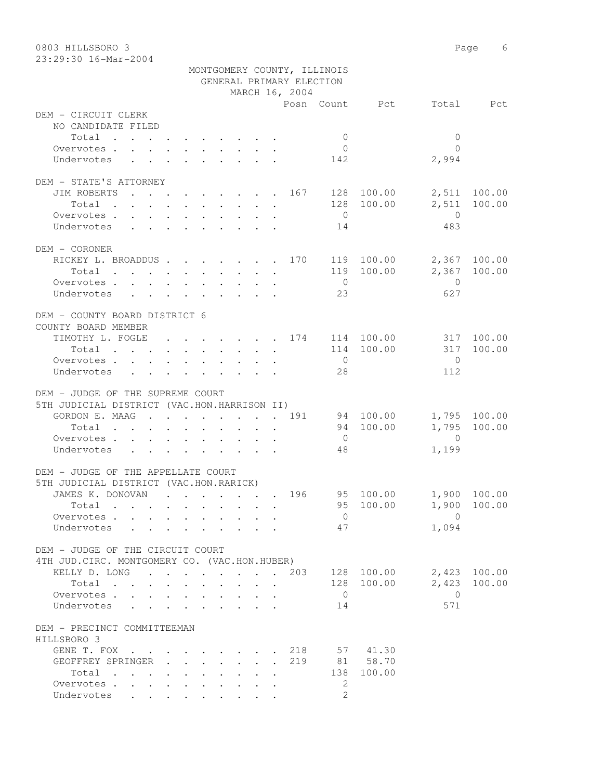| 0803 HILLSBORO 3                              |                                                        | Page 6                          |
|-----------------------------------------------|--------------------------------------------------------|---------------------------------|
| 23:29:30 16-Mar-2004                          |                                                        |                                 |
|                                               | MONTGOMERY COUNTY, ILLINOIS                            |                                 |
|                                               | GENERAL PRIMARY ELECTION                               |                                 |
|                                               | MARCH 16, 2004<br>Posn Count Pct                       | Total Pct                       |
| DEM - CIRCUIT CLERK                           |                                                        |                                 |
| NO CANDIDATE FILED                            |                                                        |                                 |
| Total                                         | $\overline{0}$                                         | $\mathbf{0}$                    |
| Overvotes.                                    | $\overline{0}$                                         | $\bigcap$                       |
| Undervotes                                    | 142                                                    | 2,994                           |
|                                               |                                                        |                                 |
| DEM - STATE'S ATTORNEY                        |                                                        |                                 |
| JIM ROBERTS                                   | $\cdots$ 167 128 100.00                                | 2,511 100.00                    |
|                                               | 128 100.00<br>Total                                    | 2,511<br>100.00                 |
| Overvotes                                     | $\overline{0}$                                         | $\overline{0}$                  |
| Undervotes                                    | 14                                                     | 483                             |
| DEM - CORONER                                 |                                                        |                                 |
|                                               | RICKEY L. BROADDUS 170 119 100.00                      | 2,367 100.00                    |
|                                               | 119 100.00<br>Total                                    | 2,367 100.00                    |
| Overvotes                                     | $\overline{0}$                                         | $\overline{0}$                  |
| Undervotes                                    | 23                                                     | 627                             |
|                                               |                                                        |                                 |
| DEM - COUNTY BOARD DISTRICT 6                 |                                                        |                                 |
| COUNTY BOARD MEMBER                           |                                                        |                                 |
|                                               | TIMOTHY L. FOGLE 174 114 100.00<br>114 100.00          | 317 100.00<br>100.00<br>317     |
| Total<br>Overvotes.                           | $\overline{0}$                                         | $\overline{0}$                  |
| Undervotes                                    | 28                                                     | 112                             |
|                                               |                                                        |                                 |
| DEM - JUDGE OF THE SUPREME COURT              |                                                        |                                 |
| 5TH JUDICIAL DISTRICT (VAC.HON.HARRISON II)   |                                                        |                                 |
| GORDON E. MAAG 191                            | 94 100.00                                              | 1,795 100.00                    |
| Total                                         | 94 100.00                                              | 1,795<br>100.00                 |
| Overvotes.                                    | $\overline{0}$                                         | $\overline{0}$                  |
| Undervotes                                    | 48                                                     | 1,199                           |
| DEM - JUDGE OF THE APPELLATE COURT            |                                                        |                                 |
| 5TH JUDICIAL DISTRICT (VAC.HON.RARICK)        |                                                        |                                 |
| JAMES K. DONOVAN                              | 95 100.00<br>196                                       | 1,900 100.00                    |
| Total                                         | 95 100.00                                              | 1,900<br>100.00                 |
| Overvotes                                     | $\overline{0}$                                         | $\overline{0}$                  |
| Undervotes                                    | 47<br>$\sim$                                           | 1,094                           |
|                                               |                                                        |                                 |
| DEM - JUDGE OF THE CIRCUIT COURT              |                                                        |                                 |
| 4TH JUD. CIRC. MONTGOMERY CO. (VAC.HON.HUBER) |                                                        |                                 |
|                                               | KELLY D. LONG 203<br>128 100.00<br>128 100.00<br>Total | 2,423 100.00<br>2,423<br>100.00 |
| Overvotes                                     | $\overline{0}$                                         | $\overline{0}$                  |
| Undervotes                                    | 14                                                     | 571                             |
|                                               |                                                        |                                 |
| DEM - PRECINCT COMMITTEEMAN                   |                                                        |                                 |
| HILLSBORO 3                                   |                                                        |                                 |
|                                               | GENE T. FOX 218 57 41.30                               |                                 |
| GEOFFREY SPRINGER                             | 81 58.70<br>219                                        |                                 |
| Total                                         | 100.00<br>138                                          |                                 |
| Overvotes.                                    | 2<br>$\mathfrak{L}$                                    |                                 |
| Undervotes                                    |                                                        |                                 |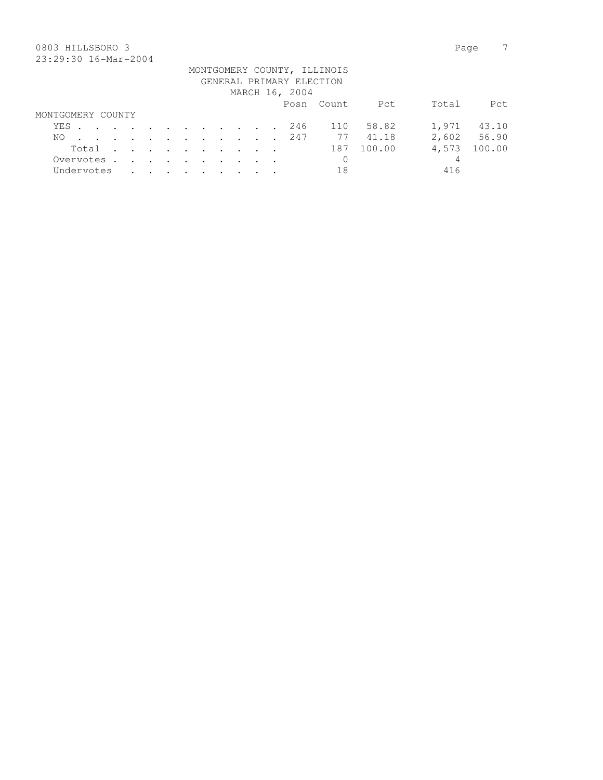## 0803 HILLSBORO 3 Page 7 23:29:30 16-Mar-2004

|                   |       |  |  |  |  |  |                | MONTGOMERY COUNTY, ILLINOIS |                |       |             |
|-------------------|-------|--|--|--|--|--|----------------|-----------------------------|----------------|-------|-------------|
|                   |       |  |  |  |  |  |                | GENERAL PRIMARY ELECTION    |                |       |             |
|                   |       |  |  |  |  |  | MARCH 16, 2004 |                             |                |       |             |
|                   |       |  |  |  |  |  |                | Posn Count                  | Pct            | Total | Pct.        |
| MONTGOMERY COUNTY |       |  |  |  |  |  |                |                             |                |       |             |
| YES 246           |       |  |  |  |  |  |                | 110                         | 58.82          |       | 1,971 43.10 |
| NO.               |       |  |  |  |  |  |                |                             | . 247 77 41.18 |       | 2,602 56.90 |
|                   | Total |  |  |  |  |  |                | 187                         | 100.00         | 4,573 | 100.00      |
| Overvotes.        |       |  |  |  |  |  |                | $\mathbf{0}$                |                | 4     |             |
| Undervotes        |       |  |  |  |  |  |                | 18                          |                | 416   |             |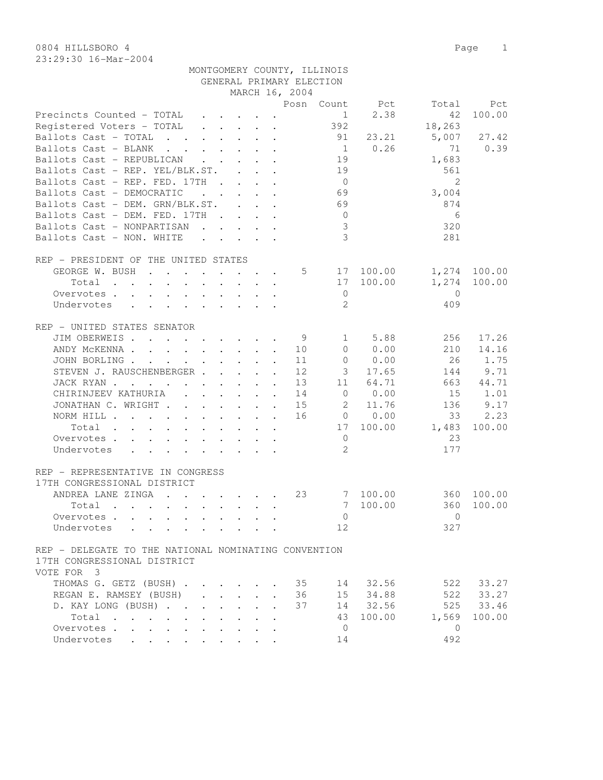23:29:30 16-Mar-2004

| 0804 HILLSBORO 4       | Page |  |
|------------------------|------|--|
| $23:29:30$ 16-Mar-2004 |      |  |

|                                                                                                                                  |                                                                          |                                                                       |  | GENERAL PRIMARY ELECTION |                |                |                |        |
|----------------------------------------------------------------------------------------------------------------------------------|--------------------------------------------------------------------------|-----------------------------------------------------------------------|--|--------------------------|----------------|----------------|----------------|--------|
|                                                                                                                                  |                                                                          |                                                                       |  | MARCH 16, 2004           |                |                |                |        |
|                                                                                                                                  |                                                                          |                                                                       |  |                          |                | Posn Count Pct | Total          | Pct    |
| Precincts Counted - TOTAL                                                                                                        | $\sim$                                                                   | $\cdot$ $\cdot$ $\cdot$ $\cdot$ $\cdot$                               |  |                          | $\mathbf{1}$   | 2.38           | 42             | 100.00 |
| Registered Voters - TOTAL                                                                                                        |                                                                          | $\begin{array}{cccccccccccccc} . & . & . & . & . & . & . \end{array}$ |  |                          | 392            |                | 18,263         |        |
| Ballots Cast - TOTAL<br>$\mathbf{r}$ , $\mathbf{r}$ , $\mathbf{r}$ , $\mathbf{r}$ , $\mathbf{r}$                                 |                                                                          |                                                                       |  |                          | 91             | 23.21          | 5,007          | 27.42  |
| Ballots Cast - BLANK<br>$\mathbf{r}$ , and $\mathbf{r}$ , and $\mathbf{r}$ , and $\mathbf{r}$                                    |                                                                          |                                                                       |  |                          | $\overline{1}$ | 0.26           | 71             | 0.39   |
| Ballots Cast - REPUBLICAN                                                                                                        |                                                                          |                                                                       |  |                          | 19             |                | 1,683          |        |
| Ballots Cast - REP. YEL/BLK.ST.                                                                                                  |                                                                          |                                                                       |  |                          | 19             |                | 561            |        |
| Ballots Cast - REP. FED. 17TH                                                                                                    |                                                                          | $\mathbf{r}$ , $\mathbf{r}$ , $\mathbf{r}$ , $\mathbf{r}$             |  |                          | $\overline{0}$ |                | $\mathfrak{L}$ |        |
| Ballots Cast - DEMOCRATIC                                                                                                        | $\mathbf{r}$ , $\mathbf{r}$ , $\mathbf{r}$ , $\mathbf{r}$ , $\mathbf{r}$ |                                                                       |  |                          | 69             |                | 3,004          |        |
| Ballots Cast - DEM. GRN/BLK.ST.                                                                                                  |                                                                          |                                                                       |  |                          | 69             |                | 874            |        |
| Ballots Cast - DEM. FED. 17TH                                                                                                    |                                                                          |                                                                       |  |                          | $\overline{0}$ |                | 6              |        |
| Ballots Cast - NONPARTISAN                                                                                                       |                                                                          |                                                                       |  |                          | 3              |                | 320            |        |
| Ballots Cast - NON. WHITE                                                                                                        | $\cdots$                                                                 |                                                                       |  |                          | $\overline{3}$ |                | 281            |        |
|                                                                                                                                  |                                                                          |                                                                       |  |                          |                |                |                |        |
| REP - PRESIDENT OF THE UNITED STATES                                                                                             |                                                                          |                                                                       |  |                          |                |                |                |        |
| GEORGE W. BUSH                                                                                                                   |                                                                          |                                                                       |  | 5                        | 17             | 100.00         | 1,274          | 100.00 |
| Total                                                                                                                            |                                                                          |                                                                       |  |                          | 17             | 100.00         | 1,274          | 100.00 |
| Overvotes                                                                                                                        |                                                                          |                                                                       |  |                          | $\circ$        |                | $\mathbf{0}$   |        |
| Undervotes                                                                                                                       |                                                                          |                                                                       |  |                          | 2              |                | 409            |        |
|                                                                                                                                  |                                                                          |                                                                       |  |                          |                |                |                |        |
| REP - UNITED STATES SENATOR                                                                                                      |                                                                          |                                                                       |  |                          |                |                |                |        |
| JIM OBERWEIS.<br>the contract of the contract of the contract of the contract of the contract of the contract of the contract of |                                                                          |                                                                       |  | - 9                      | $\mathbf{1}$   | 5.88           | 256            | 17.26  |
| ANDY MCKENNA                                                                                                                     |                                                                          |                                                                       |  | 10                       | $\overline{0}$ | 0.00           | 210            | 14.16  |
| JOHN BORLING.<br>the contract of the contract of the contract of the contract of the contract of the contract of the contract of |                                                                          |                                                                       |  | 11                       | $\circ$        | 0.00           | 26             | 1.75   |
| STEVEN J. RAUSCHENBERGER                                                                                                         |                                                                          |                                                                       |  | 12                       | 3 <sup>7</sup> | 17.65          | 144            | 9.71   |
| JACK RYAN                                                                                                                        |                                                                          |                                                                       |  | 13                       |                | 11 64.71       | 663            | 44.71  |
| CHIRINJEEV KATHURIA (CHIRINJEEV KATHURIA)                                                                                        |                                                                          |                                                                       |  | 14                       | $\overline{0}$ | 0.00           | 15             | 1.01   |
| JONATHAN C. WRIGHT                                                                                                               |                                                                          |                                                                       |  | 15                       | $\sim$ 2       | 11.76          | 136            | 9.17   |
|                                                                                                                                  |                                                                          |                                                                       |  |                          |                |                |                |        |
| NORM HILL $\ldots$ $\ldots$ $\ldots$ $\ldots$ $\ldots$                                                                           |                                                                          |                                                                       |  | 16                       |                | $0 \t 0.00$    | 33             | 2.23   |
| Total                                                                                                                            |                                                                          |                                                                       |  |                          | 17             | 100.00         | 1,483          | 100.00 |
| Overvotes                                                                                                                        |                                                                          |                                                                       |  |                          | $\overline{0}$ |                | 23             |        |
| Undervotes                                                                                                                       |                                                                          |                                                                       |  |                          | 2              |                | 177            |        |
|                                                                                                                                  |                                                                          |                                                                       |  |                          |                |                |                |        |
| REP - REPRESENTATIVE IN CONGRESS                                                                                                 |                                                                          |                                                                       |  |                          |                |                |                |        |
| 17TH CONGRESSIONAL DISTRICT                                                                                                      |                                                                          |                                                                       |  |                          |                |                |                |        |
| ANDREA LANE ZINGA                                                                                                                |                                                                          |                                                                       |  | 23                       | 7              | 100.00         | 360            | 100.00 |
| Total<br>$\mathbf{r}$ , and $\mathbf{r}$ , and $\mathbf{r}$ , and $\mathbf{r}$ , and $\mathbf{r}$                                |                                                                          |                                                                       |  |                          | 7              | 100.00         | 360            | 100.00 |
| Overvotes.                                                                                                                       |                                                                          |                                                                       |  |                          | $\Omega$       |                | $\circ$        |        |
| Undervotes                                                                                                                       |                                                                          |                                                                       |  |                          | 12             |                | 327            |        |
|                                                                                                                                  |                                                                          |                                                                       |  |                          |                |                |                |        |
| REP - DELEGATE TO THE NATIONAL NOMINATING CONVENTION                                                                             |                                                                          |                                                                       |  |                          |                |                |                |        |
| 17TH CONGRESSIONAL DISTRICT                                                                                                      |                                                                          |                                                                       |  |                          |                |                |                |        |
| VOTE FOR 3                                                                                                                       |                                                                          |                                                                       |  |                          |                |                |                |        |
| THOMAS G. GETZ (BUSH)                                                                                                            |                                                                          |                                                                       |  | 35                       | 14             | 32.56          | 522            | 33.27  |
| REGAN E. RAMSEY (BUSH)                                                                                                           |                                                                          | $\mathbf{r} = \mathbf{r} + \mathbf{r}$                                |  | 36                       | 15             | 34.88          | 522            | 33.27  |
| D. KAY LONG (BUSH)                                                                                                               | $\ddot{\phantom{0}}$                                                     | $\ddot{\phantom{0}}$<br>$\sim$                                        |  | 37                       |                | 14 32.56       | 525            | 33.46  |
| Total<br>$\bullet$                                                                                                               |                                                                          |                                                                       |  |                          | 43             | 100.00         | 1,569          | 100.00 |
| Overvotes<br>$\ddot{\phantom{0}}$                                                                                                |                                                                          |                                                                       |  |                          | $\mathbf{0}$   |                | $\mathbf{0}$   |        |
| Undervotes                                                                                                                       |                                                                          |                                                                       |  |                          | 14             |                | 492            |        |

MONTGOMERY COUNTY, ILLINOIS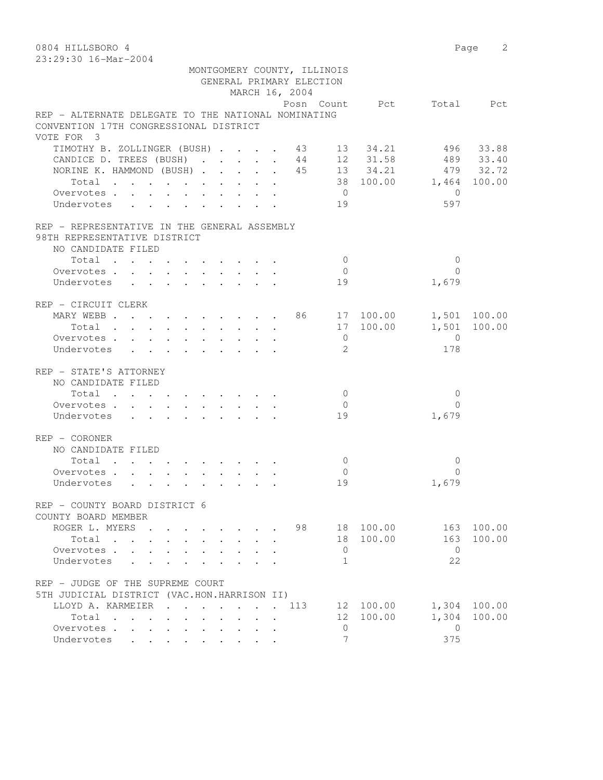0804 HILLSBORO 4 Page 2 23:29:30 16-Mar-2004

|                                                       | MONTGOMERY COUNTY, ILLINOIS<br>GENERAL PRIMARY ELECTION<br>MARCH 16, 2004 |                |                          |                |              |
|-------------------------------------------------------|---------------------------------------------------------------------------|----------------|--------------------------|----------------|--------------|
|                                                       |                                                                           |                | Posn Count Pct Total Pct |                |              |
| REP - ALTERNATE DELEGATE TO THE NATIONAL NOMINATING   |                                                                           |                |                          |                |              |
| CONVENTION 17TH CONGRESSIONAL DISTRICT                |                                                                           |                |                          |                |              |
| VOTE FOR 3                                            |                                                                           |                |                          |                |              |
| TIMOTHY B. ZOLLINGER (BUSH) 43 13 34.21 496 33.88     |                                                                           |                |                          |                |              |
| CANDICE D. TREES (BUSH) 44 12 31.58 489 33.40         |                                                                           |                |                          |                |              |
| NORINE K. HAMMOND (BUSH) 45 13 34.21 479 32.72        |                                                                           |                |                          |                |              |
| Total                                                 |                                                                           |                | 38 100.00 1,464 100.00   |                |              |
| Overvotes.                                            |                                                                           | $\overline{0}$ |                          | $\bigcirc$     |              |
| Undervotes                                            |                                                                           | 19             |                          | 597            |              |
| REP - REPRESENTATIVE IN THE GENERAL ASSEMBLY          |                                                                           |                |                          |                |              |
| 98TH REPRESENTATIVE DISTRICT                          |                                                                           |                |                          |                |              |
| NO CANDIDATE FILED                                    |                                                                           |                |                          |                |              |
| Total                                                 |                                                                           | $\overline{0}$ |                          | $\Omega$       |              |
| Overvotes                                             |                                                                           | $\overline{0}$ |                          | $\Omega$       |              |
| Undervotes                                            |                                                                           | 19             |                          | 1,679          |              |
| REP - CIRCUIT CLERK                                   |                                                                           |                |                          |                |              |
|                                                       |                                                                           |                |                          |                | 1,501 100.00 |
| MARY WEBB 86 17 100.00<br>Total 17 100.00<br>Total    |                                                                           |                |                          |                | 1,501 100.00 |
| Overvotes.                                            |                                                                           | $\overline{0}$ |                          | $\overline{0}$ |              |
| Undervotes                                            |                                                                           | 2              |                          | 178            |              |
| REP - STATE'S ATTORNEY                                |                                                                           |                |                          |                |              |
| NO CANDIDATE FILED                                    |                                                                           |                |                          |                |              |
| Total                                                 |                                                                           | $\overline{0}$ |                          | $\overline{0}$ |              |
| Overvotes.                                            |                                                                           | $\overline{0}$ |                          | $\Omega$       |              |
| Undervotes                                            |                                                                           | 19             |                          | 1,679          |              |
|                                                       |                                                                           |                |                          |                |              |
| REP - CORONER                                         |                                                                           |                |                          |                |              |
| NO CANDIDATE FILED                                    |                                                                           |                |                          |                |              |
| Total                                                 |                                                                           | $\overline{0}$ |                          | $\mathbf{0}$   |              |
| Overvotes.                                            |                                                                           | $\overline{0}$ |                          | $\Omega$       |              |
| Undervotes                                            |                                                                           | 19             |                          | 1,679          |              |
| REP - COUNTY BOARD DISTRICT 6                         |                                                                           |                |                          |                |              |
| COUNTY BOARD MEMBER                                   |                                                                           |                |                          |                |              |
| ROGER L. MYERS                                        |                                                                           | 98             | 18 100.00                |                | 163 100.00   |
| Total                                                 | $\sim$                                                                    |                | 18 100.00                | 163            | 100.00       |
| Overvotes.                                            |                                                                           | $\mathbf{0}$   |                          | $\bigcirc$     |              |
| Undervotes<br>$\ddot{\phantom{0}}$                    | $\mathbf{r} = \mathbf{r} + \mathbf{r}$                                    | 1              |                          | 22             |              |
| REP - JUDGE OF THE SUPREME COURT                      |                                                                           |                |                          |                |              |
| 5TH JUDICIAL DISTRICT (VAC.HON.HARRISON II)           |                                                                           |                |                          |                |              |
| LLOYD A. KARMEIER 113                                 |                                                                           |                | 12 100.00                |                | 1,304 100.00 |
| Total                                                 |                                                                           |                | 12 100.00                | 1,304          | 100.00       |
| Overvotes<br>$\sim$<br>$\ddot{\phantom{0}}$<br>$\sim$ |                                                                           | $\mathbf{0}$   |                          | $\bigcirc$     |              |
| Undervotes                                            |                                                                           | 7              |                          | 375            |              |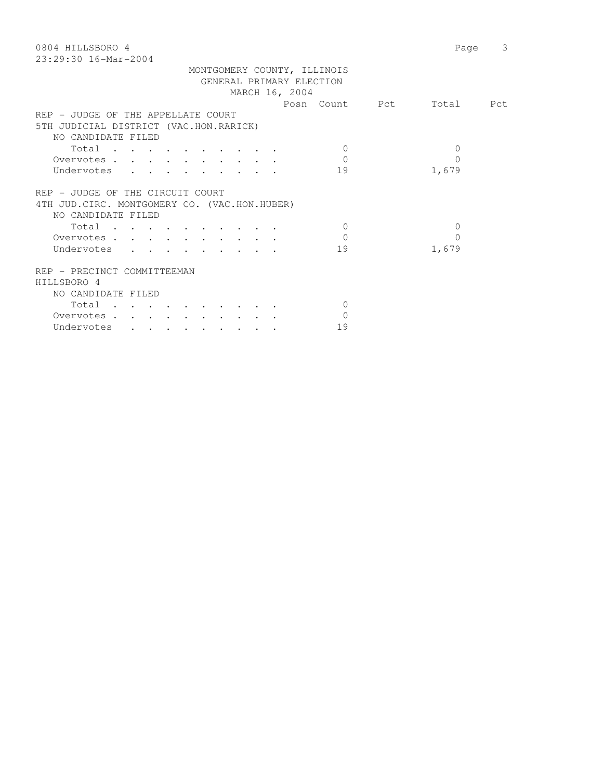| 0804 HILLSBORO 4                              | 3<br>Page |
|-----------------------------------------------|-----------|
| $23:29:30$ 16-Mar-2004                        |           |
| MONTGOMERY COUNTY, ILLINOIS                   |           |
| GENERAL PRIMARY ELECTION                      |           |
| MARCH 16, 2004                                |           |
| Posn Count Pct                                | Total Pct |
| REP - JUDGE OF THE APPELLATE COURT            |           |
| 5TH JUDICIAL DISTRICT (VAC.HON.RARICK)        |           |
| NO CANDIDATE FILED                            |           |
| Total<br>$\Omega$                             | $\Omega$  |
| $\mathbf{0}$                                  | 0         |
| Overvotes                                     |           |
| Undervotes<br>19                              | 1,679     |
|                                               |           |
| REP - JUDGE OF THE CIRCUIT COURT              |           |
| 4TH JUD. CIRC. MONTGOMERY CO. (VAC.HON.HUBER) |           |
| NO CANDIDATE FILED                            |           |
| Total<br>$\Omega$                             | $\Omega$  |
| $\Omega$<br>Overvotes                         | $\Omega$  |
| Undervotes<br>19                              | 1,679     |
|                                               |           |
| REP - PRECINCT COMMITTEEMAN                   |           |
| HILLSBORO 4                                   |           |
| NO CANDIDATE FILED                            |           |
| Total<br>$\Omega$                             |           |
| $\Omega$                                      |           |
| Overvotes.                                    |           |
| 19<br>Undervotes                              |           |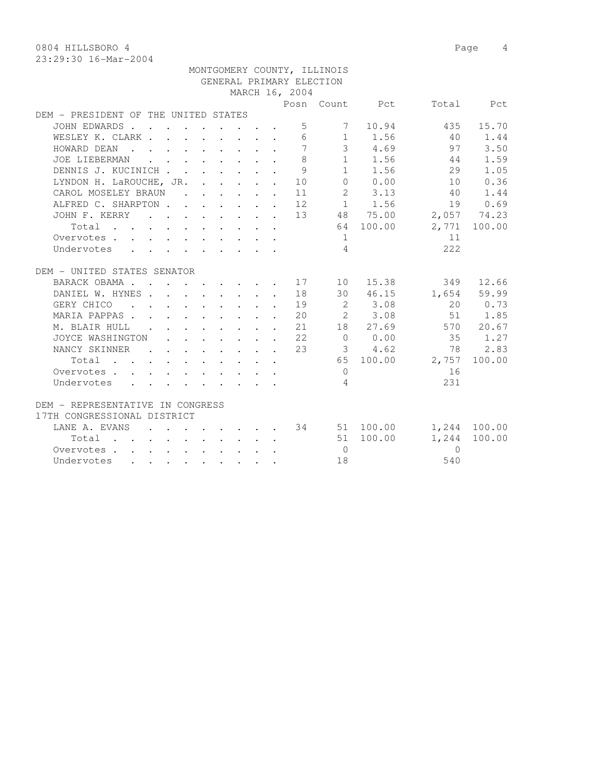0804 HILLSBORO 4 Page 4

|                                                                                                                 |  |  |  |                | MONTGOMERY COUNTY, ILLINOIS |                |                                   |           |
|-----------------------------------------------------------------------------------------------------------------|--|--|--|----------------|-----------------------------|----------------|-----------------------------------|-----------|
|                                                                                                                 |  |  |  |                | GENERAL PRIMARY ELECTION    |                |                                   |           |
|                                                                                                                 |  |  |  | MARCH 16, 2004 |                             |                |                                   |           |
|                                                                                                                 |  |  |  |                |                             |                | Posn Count Pct Total Pct          |           |
| DEM - PRESIDENT OF THE UNITED STATES                                                                            |  |  |  |                |                             |                |                                   |           |
| JOHN EDWARDS                                                                                                    |  |  |  |                | $5 \qquad \qquad 7$         |                | 10.94<br>435                      | 15.70     |
| WESLEY K. CLARK 6 1 1.56 40                                                                                     |  |  |  |                |                             |                |                                   | 1.44      |
| HOWARD DEAN                                                                                                     |  |  |  |                |                             |                | 7 3 4.69 97                       | 3.50      |
| JOE LIEBERMAN                                                                                                   |  |  |  | $\mathcal{B}$  |                             |                | $1 \t 1.56 \t 44$                 | 1.59      |
| DENNIS J. KUCINICH                                                                                              |  |  |  | $\overline{9}$ |                             | $1 \quad 1.56$ | 29                                | 1.05      |
| LYNDON H. LaROUCHE, JR. 10                                                                                      |  |  |  |                |                             | $0 \t 0.00$    | 10                                | 0.36      |
| CAROL MOSELEY BRAUN                                                                                             |  |  |  | 11             |                             | 2 3.13         | 40                                | 1.44      |
| ALFRED C. SHARPTON 12 1 1.56 19 0.69<br>JOHN F. KERRY 13 48 75.00 2,057 74.23                                   |  |  |  |                |                             |                |                                   |           |
|                                                                                                                 |  |  |  |                |                             |                |                                   |           |
| Total                                                                                                           |  |  |  |                |                             |                | 64 100.00 2,771 100.00            |           |
| Overvotes                                                                                                       |  |  |  |                | $\frac{1}{2}$               |                | 11                                |           |
| Undervotes                                                                                                      |  |  |  |                | $\overline{4}$              |                | 222                               |           |
|                                                                                                                 |  |  |  |                |                             |                |                                   |           |
| DEM - UNITED STATES SENATOR                                                                                     |  |  |  |                |                             |                |                                   |           |
| BARACK OBAMA 17                                                                                                 |  |  |  |                | 10                          | 15.38          |                                   | 349 12.66 |
| DANIEL W. HYNES 18                                                                                              |  |  |  |                |                             |                | 30 46.15 1,654 59.99              |           |
| GERY CHICO (CROSS CROSS CROSS CROSS CROSS CROSS CROSS CROSS CROSS CROSS CROSS CROSS CROSS CROSS CROSS CROSS CRO |  |  |  |                |                             |                |                                   | 20 0.73   |
| MARIA PAPPAS 20 2 3.08 51 1.85                                                                                  |  |  |  |                |                             |                |                                   |           |
| M. BLAIR HULL 21                                                                                                |  |  |  |                |                             |                | 18 27.69 570 20.67                |           |
| JOYCE WASHINGTON 22                                                                                             |  |  |  |                |                             |                | $0 \t 0.00 \t 35 \t 1.27$         |           |
| NANCY SKINNER                                                                                                   |  |  |  | 2.3            |                             | 3 4.62         | 78                                | 2.83      |
| Total                                                                                                           |  |  |  |                |                             |                | 65 100.00 2,757                   | 100.00    |
| Overvotes                                                                                                       |  |  |  |                | $\bigcirc$                  |                | 16                                |           |
| Undervotes                                                                                                      |  |  |  |                | $\overline{4}$              |                | 231                               |           |
|                                                                                                                 |  |  |  |                |                             |                |                                   |           |
| DEM - REPRESENTATIVE IN CONGRESS                                                                                |  |  |  |                |                             |                |                                   |           |
| 17TH CONGRESSIONAL DISTRICT                                                                                     |  |  |  |                |                             |                |                                   |           |
| LANE A. EVANS                                                                                                   |  |  |  |                |                             |                | $\cdot$ 34 51 100.00 1,244 100.00 |           |
| Total 51 100.00                                                                                                 |  |  |  |                |                             |                | 1,244                             | 100.00    |
| Overvotes.                                                                                                      |  |  |  |                | $\overline{0}$              |                | $\Omega$                          |           |
| Undervotes                                                                                                      |  |  |  |                | 18                          |                | 540                               |           |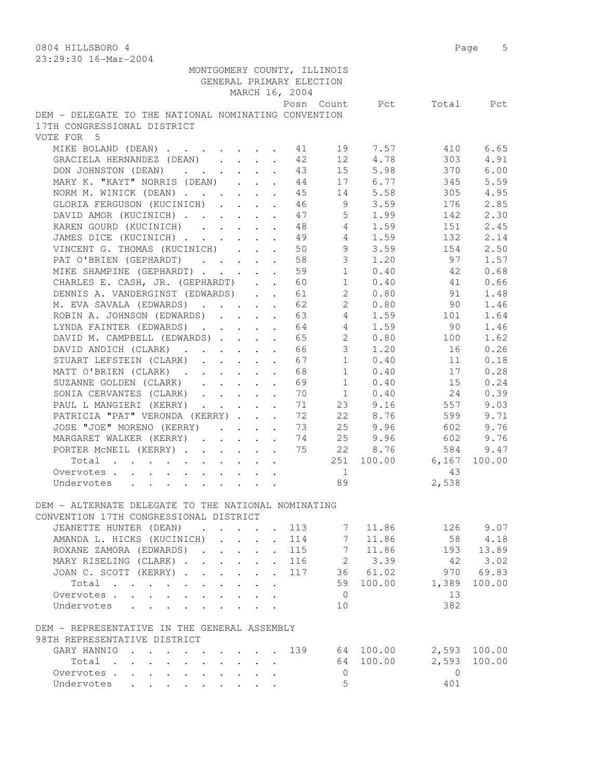| 79:29:30 I0-Mdi-4004                                                                                  |                               |                                                                  |                      |                             |                  |                          |           |        |
|-------------------------------------------------------------------------------------------------------|-------------------------------|------------------------------------------------------------------|----------------------|-----------------------------|------------------|--------------------------|-----------|--------|
|                                                                                                       |                               |                                                                  |                      | MONTGOMERY COUNTY, ILLINOIS |                  |                          |           |        |
|                                                                                                       |                               |                                                                  |                      | GENERAL PRIMARY ELECTION    |                  |                          |           |        |
|                                                                                                       |                               |                                                                  |                      | MARCH 16, 2004              |                  | Posn Count Pct Total Pct |           |        |
| DEM - DELEGATE TO THE NATIONAL NOMINATING CONVENTION                                                  |                               |                                                                  |                      |                             |                  |                          |           |        |
| 17TH CONGRESSIONAL DISTRICT                                                                           |                               |                                                                  |                      |                             |                  |                          |           |        |
| VOTE FOR 5                                                                                            |                               |                                                                  |                      |                             |                  |                          |           |        |
| MIKE BOLAND (DEAN) 11                                                                                 |                               |                                                                  |                      |                             |                  |                          | 410       | 6.65   |
| GRACIELA HERNANDEZ (DEAN)                                                                             |                               |                                                                  |                      | 42                          | 12               | 19 7.57<br>4.78          | 303       | 4.91   |
| DON JOHNSTON (DEAN)                                                                                   |                               |                                                                  | $\mathbf{A}$         | 43                          | 15               | 5.98                     | 370       | 6.00   |
| MARY K. "KAYT" NORRIS (DEAN)                                                                          |                               |                                                                  |                      | 44                          | 17               | 6.77                     | 345       | 5.59   |
| NORM M. WINICK (DEAN)                                                                                 |                               |                                                                  |                      | 45                          |                  | 14 5.58                  | 305       | 4.95   |
| GLORIA FERGUSON (KUCINICH)                                                                            |                               |                                                                  |                      | 46                          |                  | $9 \t3.59$               | 176       | 2.85   |
| DAVID AMOR (KUCINICH)                                                                                 |                               |                                                                  |                      | 47                          |                  | $5 \t1.99$               | 142       | 2.30   |
| KAREN GOURD (KUCINICH)                                                                                |                               |                                                                  |                      | 48                          |                  | 4 1.59                   | 151       | 2.45   |
|                                                                                                       |                               |                                                                  |                      | 49                          | $4 \quad$        | 1.59                     | 132       | 2.14   |
| JAMES DICE (KUCINICH)                                                                                 |                               |                                                                  |                      | 50                          | 9                | 3.59                     | 154       | 2.50   |
| VINCENT G. THOMAS (KUCINICH)                                                                          |                               |                                                                  | $\sim$               | 58                          | 3 <sup>7</sup>   | 1.20                     | 97        | 1.57   |
| PAT O'BRIEN (GEPHARDT)                                                                                |                               |                                                                  |                      | 59                          | 1                | 0.40                     | 42        | 0.68   |
| MIKE SHAMPINE (GEPHARDT)<br>CHARLES E. CASH, JR. (GEPHARDT)                                           |                               | $\mathbf{L}$                                                     | $\mathbf{L}$         | 60                          | 1                | 0.40                     | 41        | 0.66   |
| DENNIS A. VANDERGINST (EDWARDS)                                                                       |                               |                                                                  |                      |                             | $2^{\circ}$      |                          | 91        | 1.48   |
|                                                                                                       |                               |                                                                  |                      | 61                          |                  | 0.80<br>20.80            | 90        |        |
| M. EVA SAVALA (EDWARDS)<br>ROBIN A. JOHNSON (EDWARDS)                                                 |                               |                                                                  |                      | 62                          |                  |                          |           | 1.46   |
|                                                                                                       |                               |                                                                  |                      | 63                          |                  | 4 1.59<br>1.59           | 101       | 1.64   |
| LYNDA FAINTER (EDWARDS) 64                                                                            |                               |                                                                  |                      |                             | 4                |                          | 90        | 1.46   |
| DAVID M. CAMPBELL (EDWARDS)                                                                           |                               |                                                                  |                      | 65                          | $2^{\circ}$      | 0.80                     | 100       | 1.62   |
| DAVID ANDICH (CLARK)                                                                                  |                               |                                                                  |                      | 66                          | 3 <sup>7</sup>   | 1.20                     | 16        | 0.26   |
| STUART LEFSTEIN (CLARK)                                                                               |                               | $\cdot$ $\cdot$ $\cdot$ $\cdot$ $\cdot$                          |                      | 67                          | 1                | 0.40                     | 11        | 0.18   |
| MATT O'BRIEN (CLARK).                                                                                 |                               | $\mathbf{r} = \mathbf{r} + \mathbf{r} + \mathbf{r} + \mathbf{r}$ | $\mathbf{r}$         | 68                          | 1                | 0.40                     | 17        | 0.28   |
| SUZANNE GOLDEN (CLARK)                                                                                |                               | $\cdot$ $\cdot$ $\cdot$ $\cdot$ $\cdot$ $\cdot$                  |                      | 69                          | 1                | 0.40                     | 15        | 0.24   |
| SONIA CERVANTES (CLARK)                                                                               |                               |                                                                  |                      | 70                          |                  | 1 0.40                   | 24        | 0.39   |
| PAUL L MANGIERI (KERRY)                                                                               |                               |                                                                  |                      | 71                          |                  | 23 9.16                  | 557       | 9.03   |
| PATRICIA "PAT" VERONDA (KERRY)                                                                        |                               |                                                                  |                      | 72                          |                  | 22 8.76                  | 599       | 9.71   |
| JOSE "JOE" MORENO (KERRY)                                                                             |                               |                                                                  |                      | 73                          |                  | 25 9.96                  | 602       | 9.76   |
| MARGARET WALKER (KERRY) 74                                                                            |                               |                                                                  |                      |                             |                  | 25 9.96                  | 602       | 9.76   |
| PORTER MCNEIL (KERRY)                                                                                 |                               |                                                                  |                      | 75                          |                  | 22 8.76                  | 584       | 9.47   |
| Total                                                                                                 |                               |                                                                  |                      |                             |                  | 251 100.00               | 6,167     | 100.00 |
| Overvotes                                                                                             |                               |                                                                  |                      |                             | $\overline{1}$   |                          | 43        |        |
| Undervotes<br>$\mathbf{r}$ , $\mathbf{r}$ , $\mathbf{r}$ , $\mathbf{r}$ , $\mathbf{r}$ , $\mathbf{r}$ |                               |                                                                  |                      |                             | 89               |                          | 2,538     |        |
| DEM - ALTERNATE DELEGATE TO THE NATIONAL NOMINATING                                                   |                               |                                                                  |                      |                             |                  |                          |           |        |
|                                                                                                       |                               |                                                                  |                      |                             |                  |                          |           |        |
| CONVENTION 17TH CONGRESSIONAL DISTRICT                                                                |                               |                                                                  |                      | 113                         |                  | 11.86                    | 126       | 9.07   |
| JEANETTE HUNTER (DEAN)<br>$\mathbf{r}$ , $\mathbf{r}$ , $\mathbf{r}$ , $\mathbf{r}$ , $\mathbf{r}$    |                               |                                                                  |                      |                             | 7<br>$7^{\circ}$ | 11.86                    | 58        | 4.18   |
| AMANDA L. HICKS (KUCINICH)                                                                            |                               |                                                                  | $\ddot{\phantom{0}}$ | 114                         |                  |                          |           |        |
| ROXANE ZAMORA (EDWARDS).                                                                              | $\mathbf{L}$ and $\mathbf{L}$ |                                                                  |                      | 115<br>116                  | 7                | 11.86                    | 193       | 13.89  |
| MARY RISELING (CLARK).                                                                                | $\mathbf{L} = \mathbf{L}$     | $\mathbf{r}$                                                     |                      |                             | $2^{\circ}$      | 3.39                     | 42        | 3.02   |
| JOAN C. SCOTT (KERRY).<br>$\mathcal{L}^{\text{max}}$                                                  | $\mathbf{L}$ and $\mathbf{L}$ | $\mathcal{L}^{\text{max}}$                                       | $\mathbf{r}$         | 117                         |                  | 36 61.02                 | 970       | 69.83  |
| Total<br>$\sim$<br>Overvotes.                                                                         |                               |                                                                  |                      |                             | 59               | 100.00                   | 1,389     | 100.00 |
|                                                                                                       | $\mathbf{r} = \mathbf{r}$     |                                                                  | $\mathbf{r}$         |                             | $\overline{0}$   |                          | 13<br>382 |        |
| Undervotes                                                                                            |                               |                                                                  |                      |                             | 10               |                          |           |        |
| DEM - REPRESENTATIVE IN THE GENERAL ASSEMBLY                                                          |                               |                                                                  |                      |                             |                  |                          |           |        |
| 98TH REPRESENTATIVE DISTRICT                                                                          |                               |                                                                  |                      |                             |                  |                          |           |        |
| GARY HANNIG 139                                                                                       |                               |                                                                  |                      |                             |                  | 64 100.00                | 2,593     | 100.00 |
| Total                                                                                                 |                               |                                                                  |                      |                             |                  | 64 100.00                | 2,593     | 100.00 |
| Overvotes<br>$\mathbf{L}$                                                                             |                               |                                                                  |                      |                             | $\circ$          |                          | $\Omega$  |        |
| Undervotes                                                                                            |                               |                                                                  |                      |                             | 5                |                          | 401       |        |
|                                                                                                       |                               |                                                                  |                      |                             |                  |                          |           |        |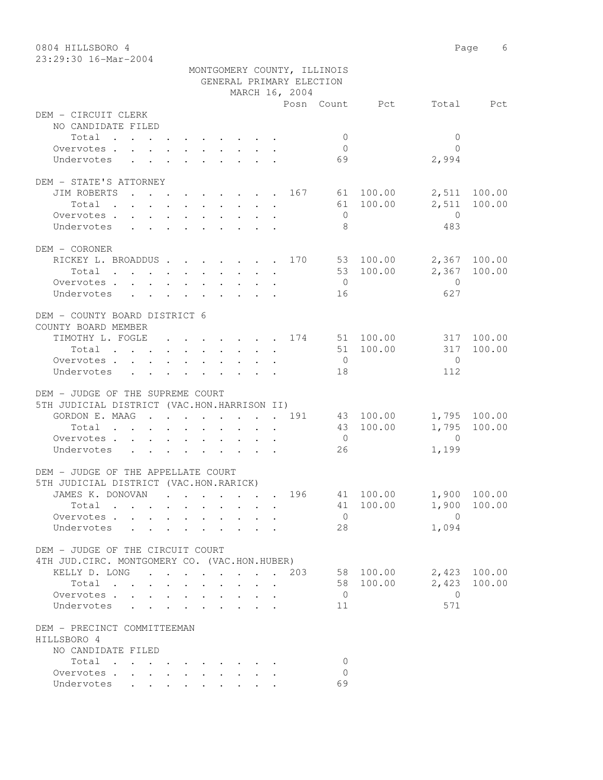| 0804 HILLSBORO 4                              |                             |                      |                       | Page 6       |
|-----------------------------------------------|-----------------------------|----------------------|-----------------------|--------------|
| 23:29:30 16-Mar-2004                          |                             |                      |                       |              |
|                                               | MONTGOMERY COUNTY, ILLINOIS |                      |                       |              |
|                                               | GENERAL PRIMARY ELECTION    |                      |                       |              |
|                                               | MARCH 16, 2004              |                      |                       |              |
| DEM - CIRCUIT CLERK                           |                             | Posn Count Pct       |                       | Total Pct    |
| NO CANDIDATE FILED                            |                             |                      |                       |              |
| Total                                         |                             | $\mathbf{0}$         | $\mathbf{0}$          |              |
| Overvotes.                                    |                             | $\overline{0}$       | $\bigcap$             |              |
| Undervotes                                    |                             | 69                   | 2,994                 |              |
|                                               |                             |                      |                       |              |
| DEM - STATE'S ATTORNEY                        |                             |                      |                       |              |
| JIM ROBERTS 167 61 100.00                     |                             |                      |                       | 2,511 100.00 |
| Total $\cdot$                                 |                             |                      | 61 100.00<br>2,511    | 100.00       |
| Overvotes                                     |                             | $\overline{0}$       | $\overline{0}$        |              |
| Undervotes                                    |                             | 8                    | 483                   |              |
|                                               |                             |                      |                       |              |
| DEM - CORONER                                 |                             |                      |                       |              |
| RICKEY L. BROADDUS 170 53 100.00              |                             |                      |                       | 2,367 100.00 |
| Total $\cdot$                                 |                             |                      | 53 100.00             | 2,367 100.00 |
| Overvotes                                     |                             | $\overline{0}$       | $\overline{0}$        |              |
| Undervotes                                    |                             | 16                   | 627                   |              |
|                                               |                             |                      |                       |              |
| DEM - COUNTY BOARD DISTRICT 6                 |                             |                      |                       |              |
| COUNTY BOARD MEMBER                           |                             |                      |                       |              |
| TIMOTHY L. FOGLE 174 51 100.00                |                             |                      | 51 100.00             | 317 100.00   |
| Total                                         |                             |                      | 317                   | 100.00       |
| Overvotes.<br>Undervotes                      |                             | $\overline{0}$<br>18 | $\overline{0}$<br>112 |              |
|                                               |                             |                      |                       |              |
| DEM - JUDGE OF THE SUPREME COURT              |                             |                      |                       |              |
| 5TH JUDICIAL DISTRICT (VAC.HON.HARRISON II)   |                             |                      |                       |              |
| GORDON E. MAAG 191                            |                             |                      | 43 100.00             | 1,795 100.00 |
| Total                                         |                             |                      | 43 100.00<br>1,795    | 100.00       |
| Overvotes.                                    |                             | $\overline{0}$       | $\overline{0}$        |              |
| Undervotes                                    |                             | 26                   | 1,199                 |              |
|                                               |                             |                      |                       |              |
| DEM - JUDGE OF THE APPELLATE COURT            |                             |                      |                       |              |
| 5TH JUDICIAL DISTRICT (VAC.HON.RARICK)        |                             |                      |                       |              |
| JAMES K. DONOVAN                              | $\ddot{\phantom{0}}$        | 196                  | 41 100.00             | 1,900 100.00 |
| Total                                         |                             |                      | 41 100.00             | 1,900 100.00 |
| Overvotes.                                    |                             | $\overline{0}$       | $\overline{0}$        |              |
| Undervotes .<br>$\cdot$ $\cdot$               |                             | 28                   | 1,094                 |              |
|                                               |                             |                      |                       |              |
| DEM - JUDGE OF THE CIRCUIT COURT              |                             |                      |                       |              |
| 4TH JUD. CIRC. MONTGOMERY CO. (VAC.HON.HUBER) |                             |                      |                       |              |
| KELLY D. LONG 203                             |                             |                      | 58 100.00             | 2,423 100.00 |
| Total                                         |                             |                      | 2,423<br>58 100.00    | 100.00       |
| Overvotes<br>Undervotes                       |                             | $\overline{0}$<br>11 | $\overline{0}$<br>571 |              |
|                                               |                             |                      |                       |              |
| DEM - PRECINCT COMMITTEEMAN                   |                             |                      |                       |              |
| HILLSBORO 4                                   |                             |                      |                       |              |
| NO CANDIDATE FILED                            |                             |                      |                       |              |
| Total                                         |                             | $\Omega$             |                       |              |
| Overvotes                                     |                             | $\Omega$             |                       |              |
| Undervotes                                    |                             | 69                   |                       |              |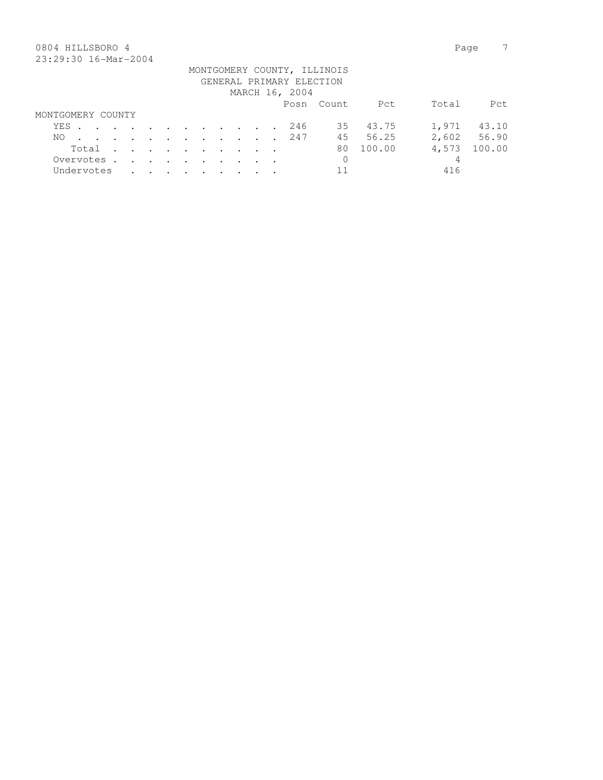# 0804 HILLSBORO 4 Page 7 23:29:30 16-Mar-2004

|                   |  |  |  |  |  |                          | MONTGOMERY COUNTY, ILLINOIS |          |       |             |
|-------------------|--|--|--|--|--|--------------------------|-----------------------------|----------|-------|-------------|
|                   |  |  |  |  |  | GENERAL PRIMARY ELECTION |                             |          |       |             |
|                   |  |  |  |  |  | MARCH 16, 2004           |                             |          |       |             |
|                   |  |  |  |  |  |                          | Posn Count                  | Pct      | Total | Pct.        |
| MONTGOMERY COUNTY |  |  |  |  |  |                          |                             |          |       |             |
| YES               |  |  |  |  |  | 246                      |                             | 35 43.75 | 1,971 | 43.10       |
| NO.               |  |  |  |  |  | . 247                    | 45                          | 56.25    |       | 2,602 56.90 |
| Total             |  |  |  |  |  |                          | 80                          | 100.00   | 4,573 | 100.00      |
| Overvotes.        |  |  |  |  |  |                          | $\mathbf 0$                 |          | 4     |             |
| Undervotes        |  |  |  |  |  |                          | 11                          |          | 416   |             |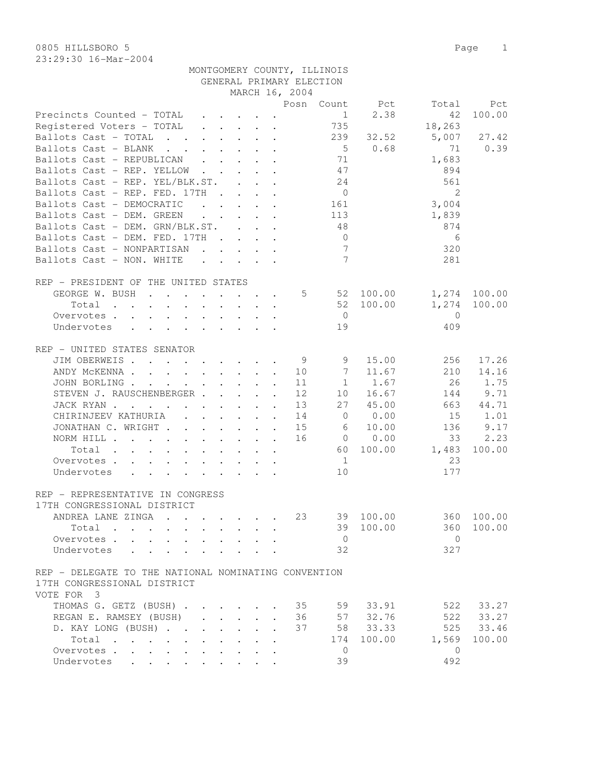|                                                      |                                                                                                                                   |                                                       |        |                      | GENERAL PRIMARY ELECTION | MONTGOMERY COUNTY, ILLINOIS  |                 |                |              |
|------------------------------------------------------|-----------------------------------------------------------------------------------------------------------------------------------|-------------------------------------------------------|--------|----------------------|--------------------------|------------------------------|-----------------|----------------|--------------|
|                                                      |                                                                                                                                   |                                                       |        |                      |                          |                              |                 |                |              |
|                                                      |                                                                                                                                   |                                                       |        |                      | MARCH 16, 2004           |                              |                 |                |              |
|                                                      |                                                                                                                                   |                                                       |        |                      |                          |                              | Posn Count Pct  |                | Total Pct    |
| Precincts Counted - TOTAL                            |                                                                                                                                   |                                                       |        |                      |                          | 1                            | 2.38            | 42             | 100.00       |
| Registered Voters - TOTAL                            |                                                                                                                                   |                                                       |        |                      |                          | 735                          |                 | 18,263         |              |
| Ballots Cast - TOTAL                                 |                                                                                                                                   |                                                       |        |                      |                          |                              | 239 32.52       | $5,007$ 27.42  |              |
| Ballots Cast - BLANK 5 0.68                          |                                                                                                                                   |                                                       |        |                      |                          |                              |                 | 71             | 0.39         |
| Ballots Cast - REPUBLICAN                            |                                                                                                                                   |                                                       |        |                      |                          | 71                           |                 | 1,683          |              |
| Ballots Cast - REP. YELLOW                           |                                                                                                                                   |                                                       |        |                      |                          | 47                           |                 | 894            |              |
| Ballots Cast - REP. YEL/BLK.ST.                      |                                                                                                                                   |                                                       |        |                      |                          | 24                           |                 | 561            |              |
| Ballots Cast - REP. FED. 17TH                        |                                                                                                                                   |                                                       |        |                      |                          | $\overline{0}$               |                 | 2              |              |
|                                                      |                                                                                                                                   |                                                       |        |                      |                          |                              |                 |                |              |
| Ballots Cast - DEMOCRATIC                            | $\mathcal{L}^{\mathcal{A}}$ , and $\mathcal{L}^{\mathcal{A}}$ , and $\mathcal{L}^{\mathcal{A}}$ , and $\mathcal{L}^{\mathcal{A}}$ |                                                       |        |                      |                          | 161                          |                 | 3,004          |              |
| Ballots Cast - DEM. GREEN                            | $\mathbf{r}$ , $\mathbf{r}$ , $\mathbf{r}$ , $\mathbf{r}$ , $\mathbf{r}$                                                          |                                                       |        |                      |                          | 113                          |                 | 1,839          |              |
| Ballots Cast - DEM. GRN/BLK.ST.                      |                                                                                                                                   |                                                       |        |                      |                          | 48                           |                 | 874            |              |
| Ballots Cast - DEM. FED. 17TH                        |                                                                                                                                   |                                                       |        |                      |                          | $\overline{0}$               |                 | 6              |              |
| Ballots Cast - NONPARTISAN                           |                                                                                                                                   |                                                       |        |                      |                          | $7\phantom{.0}\phantom{.0}7$ |                 | 320            |              |
| Ballots Cast - NON. WHITE                            |                                                                                                                                   |                                                       |        |                      |                          | $7\overline{ }$              |                 | 281            |              |
|                                                      |                                                                                                                                   |                                                       |        |                      |                          |                              |                 |                |              |
| REP - PRESIDENT OF THE UNITED STATES                 |                                                                                                                                   |                                                       |        |                      |                          |                              |                 |                |              |
| GEORGE W. BUSH                                       |                                                                                                                                   |                                                       |        |                      |                          |                              | 5 52 100.00     |                | 1,274 100.00 |
| Total                                                |                                                                                                                                   |                                                       |        |                      |                          |                              | 52 100.00       | 1,274          | 100.00       |
|                                                      |                                                                                                                                   |                                                       |        | $\ddot{\phantom{a}}$ |                          |                              |                 |                |              |
| Overvotes.                                           |                                                                                                                                   |                                                       |        |                      |                          | $\overline{0}$               |                 | $\bigcirc$     |              |
| Undervotes                                           |                                                                                                                                   |                                                       |        |                      |                          | 19                           |                 | 409            |              |
|                                                      |                                                                                                                                   |                                                       |        |                      |                          |                              |                 |                |              |
| REP - UNITED STATES SENATOR                          |                                                                                                                                   |                                                       |        |                      |                          |                              |                 |                |              |
| JIM OBERWEIS 9                                       |                                                                                                                                   |                                                       |        |                      |                          | 9                            | 15.00           | 256            | 17.26        |
| ANDY MCKENNA 10                                      |                                                                                                                                   |                                                       |        |                      |                          | $\overline{7}$               | 11.67           | 210            | 14.16        |
| JOHN BORLING                                         |                                                                                                                                   |                                                       |        |                      | 11                       |                              | $1 \t 1.67$     | 26             | 1.75         |
| STEVEN J. RAUSCHENBERGER                             |                                                                                                                                   |                                                       |        | $\ddot{\phantom{a}}$ | 12                       | 10                           | 16.67           | 144            | 9.71         |
| JACK RYAN                                            |                                                                                                                                   |                                                       |        |                      | 13                       |                              | 27 45.00        | 663            | 44.71        |
| CHIRINJEEV KATHURIA (CHIRINJEEV KATHURIA)            |                                                                                                                                   |                                                       |        |                      | 14                       |                              | 0 0.00          | 15             | 1.01         |
|                                                      |                                                                                                                                   |                                                       |        |                      |                          |                              |                 |                |              |
| JONATHAN C. WRIGHT                                   |                                                                                                                                   |                                                       |        |                      | 15                       |                              | 6 10.00         | 136            | 9.17         |
| NORM HILL                                            |                                                                                                                                   |                                                       |        |                      | 16                       |                              | $0 \t 0.00$     | 33             | 2.23         |
| Total                                                |                                                                                                                                   |                                                       |        |                      |                          |                              | 60 100.00 1,483 |                | 100.00       |
| Overvotes                                            |                                                                                                                                   |                                                       |        |                      |                          | $\overline{1}$               |                 | 23             |              |
| Undervotes                                           |                                                                                                                                   |                                                       |        |                      |                          | 10                           |                 | 177            |              |
|                                                      |                                                                                                                                   |                                                       |        |                      |                          |                              |                 |                |              |
| REP - REPRESENTATIVE IN CONGRESS                     |                                                                                                                                   |                                                       |        |                      |                          |                              |                 |                |              |
| 17TH CONGRESSIONAL DISTRICT                          |                                                                                                                                   |                                                       |        |                      |                          |                              |                 |                |              |
| ANDREA LANE ZINGA                                    |                                                                                                                                   |                                                       |        |                      | 23                       |                              | 39 100.00       | 360            | 100.00       |
| Total                                                |                                                                                                                                   |                                                       |        |                      |                          |                              | 39 100.00       | 360            | 100.00       |
|                                                      |                                                                                                                                   |                                                       | $\sim$ | $\ddot{\phantom{a}}$ |                          |                              |                 |                |              |
| Overvotes.                                           |                                                                                                                                   |                                                       | $\sim$ | $\ddot{\phantom{a}}$ |                          | $\overline{0}$               |                 | $\overline{0}$ |              |
| Undervotes                                           |                                                                                                                                   |                                                       |        |                      |                          | 32                           |                 | 327            |              |
| REP - DELEGATE TO THE NATIONAL NOMINATING CONVENTION |                                                                                                                                   |                                                       |        |                      |                          |                              |                 |                |              |
| 17TH CONGRESSIONAL DISTRICT<br>VOTE FOR 3            |                                                                                                                                   |                                                       |        |                      |                          |                              |                 |                |              |
| THOMAS G. GETZ (BUSH)                                |                                                                                                                                   |                                                       |        |                      | 35                       | 59                           | 33.91           | 522            | 33.27        |
|                                                      |                                                                                                                                   |                                                       |        |                      | 36                       |                              | 57 32.76        | 522            | 33.27        |
| REGAN E. RAMSEY (BUSH)                               |                                                                                                                                   |                                                       |        | $\ddot{\phantom{a}}$ |                          |                              |                 |                |              |
| D. KAY LONG (BUSH)                                   |                                                                                                                                   | $\mathbf{r} = \mathbf{r} + \mathbf{r} + \mathbf{r}$ . |        | $\mathbf{r}$         | 37                       |                              | 58 33.33        |                | 525 33.46    |
| Total                                                |                                                                                                                                   | $\cdot$ $\cdot$ $\cdot$ $\cdot$ $\cdot$               |        |                      |                          | 174                          | 100.00          | 1,569          | 100.00       |
| Overvotes.                                           |                                                                                                                                   |                                                       |        | $\ddot{\phantom{a}}$ |                          | 0                            |                 | $\overline{0}$ |              |
| Undervotes                                           |                                                                                                                                   |                                                       |        |                      |                          | 39                           |                 | 492            |              |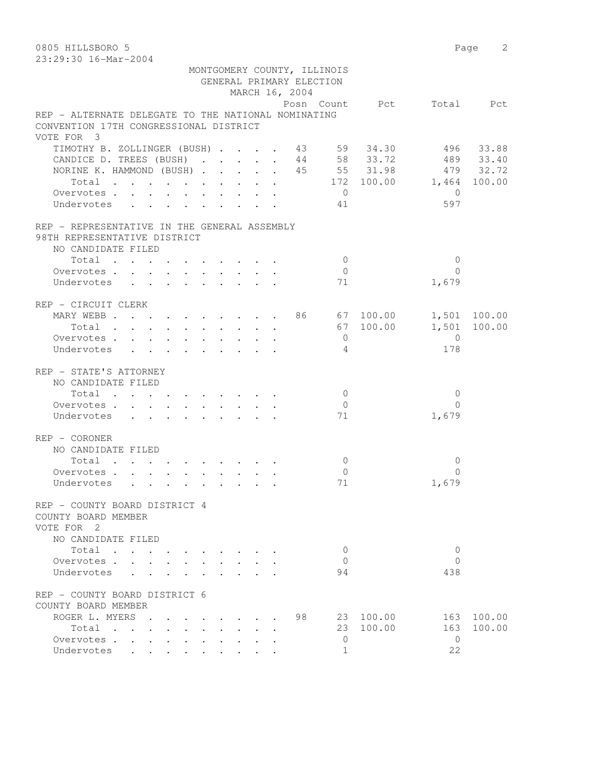0805 HILLSBORO 5 Page 2 23:29:30 16-Mar-2004

|                                                                                                                                                      |        |        |  |  |                               |  | GENERAL PRIMARY ELECTION<br>MARCH 16, 2004 | MONTGOMERY COUNTY, ILLINOIS |           |                               |              |
|------------------------------------------------------------------------------------------------------------------------------------------------------|--------|--------|--|--|-------------------------------|--|--------------------------------------------|-----------------------------|-----------|-------------------------------|--------------|
|                                                                                                                                                      |        |        |  |  |                               |  |                                            |                             |           | Posn Count Pct Total Pct      |              |
| REP - ALTERNATE DELEGATE TO THE NATIONAL NOMINATING<br>CONVENTION 17TH CONGRESSIONAL DISTRICT                                                        |        |        |  |  |                               |  |                                            |                             |           |                               |              |
| VOTE FOR 3                                                                                                                                           |        |        |  |  |                               |  |                                            |                             |           |                               |              |
| TIMOTHY B. ZOLLINGER (BUSH) 43 59 34.30 496 33.88<br>CANDICE D. TREES (BUSH) 44 58 33.72 489 33.40<br>NORINE K. HAMMOND (BUSH) 45 55 31.98 479 32.72 |        |        |  |  |                               |  |                                            |                             |           |                               |              |
|                                                                                                                                                      |        |        |  |  |                               |  |                                            |                             |           | Total 172 100.00 1,464 100.00 |              |
| Overvotes.                                                                                                                                           |        |        |  |  |                               |  |                                            | $\overline{0}$              |           | $\bigcirc$                    |              |
| Undervotes                                                                                                                                           |        |        |  |  |                               |  |                                            | 41                          |           | 597                           |              |
| REP - REPRESENTATIVE IN THE GENERAL ASSEMBLY                                                                                                         |        |        |  |  |                               |  |                                            |                             |           |                               |              |
| 98TH REPRESENTATIVE DISTRICT                                                                                                                         |        |        |  |  |                               |  |                                            |                             |           |                               |              |
| NO CANDIDATE FILED                                                                                                                                   |        |        |  |  |                               |  |                                            |                             |           |                               |              |
| Total                                                                                                                                                |        |        |  |  |                               |  |                                            | $\overline{0}$              |           | $\Omega$                      |              |
| Overvotes.                                                                                                                                           |        |        |  |  |                               |  |                                            | $\overline{0}$              |           | $\Omega$                      |              |
| Undervotes                                                                                                                                           |        |        |  |  |                               |  |                                            | 71                          |           | 1,679                         |              |
| REP - CIRCUIT CLERK                                                                                                                                  |        |        |  |  |                               |  |                                            |                             |           |                               |              |
| MARY WEBB 86 67 100.00                                                                                                                               |        |        |  |  |                               |  |                                            |                             |           |                               | 1,501 100.00 |
| Total                                                                                                                                                |        |        |  |  |                               |  |                                            |                             | 67 100.00 |                               | 1,501 100.00 |
| Overvotes.                                                                                                                                           |        |        |  |  |                               |  |                                            | $\overline{0}$              |           | $\overline{0}$                |              |
| Undervotes                                                                                                                                           |        |        |  |  |                               |  |                                            | $\overline{4}$              |           | 178                           |              |
| REP - STATE'S ATTORNEY                                                                                                                               |        |        |  |  |                               |  |                                            |                             |           |                               |              |
| NO CANDIDATE FILED                                                                                                                                   |        |        |  |  |                               |  |                                            |                             |           |                               |              |
| Total $\cdot$                                                                                                                                        |        |        |  |  |                               |  |                                            | $\overline{0}$              |           | 0                             |              |
| Overvotes                                                                                                                                            |        |        |  |  |                               |  |                                            | $\overline{0}$              |           | $\Omega$                      |              |
| Undervotes                                                                                                                                           |        |        |  |  |                               |  |                                            | 71                          |           | 1,679                         |              |
| REP - CORONER                                                                                                                                        |        |        |  |  |                               |  |                                            |                             |           |                               |              |
| NO CANDIDATE FILED                                                                                                                                   |        |        |  |  |                               |  |                                            |                             |           |                               |              |
| Total                                                                                                                                                |        |        |  |  |                               |  |                                            | $\overline{0}$              |           | $\Omega$                      |              |
| Overvotes.                                                                                                                                           |        |        |  |  |                               |  |                                            | $\overline{0}$              |           | $\Omega$                      |              |
| Undervotes                                                                                                                                           |        |        |  |  |                               |  |                                            | 71                          |           | 1,679                         |              |
| REP - COUNTY BOARD DISTRICT 4                                                                                                                        |        |        |  |  |                               |  |                                            |                             |           |                               |              |
| COUNTY BOARD MEMBER                                                                                                                                  |        |        |  |  |                               |  |                                            |                             |           |                               |              |
| VOTE FOR 2                                                                                                                                           |        |        |  |  |                               |  |                                            |                             |           |                               |              |
| NO CANDIDATE FILED                                                                                                                                   |        |        |  |  |                               |  |                                            |                             |           |                               |              |
| Total                                                                                                                                                |        |        |  |  |                               |  |                                            | 0                           |           | 0                             |              |
| Overvotes                                                                                                                                            |        |        |  |  | $\mathbf{r}$ and $\mathbf{r}$ |  |                                            | $\Omega$                    |           | $\Omega$                      |              |
| Undervotes                                                                                                                                           |        |        |  |  |                               |  |                                            | 94                          |           | 438                           |              |
| REP - COUNTY BOARD DISTRICT 6                                                                                                                        |        |        |  |  |                               |  |                                            |                             |           |                               |              |
| COUNTY BOARD MEMBER                                                                                                                                  |        |        |  |  |                               |  |                                            |                             |           |                               |              |
| ROGER L. MYERS                                                                                                                                       |        |        |  |  |                               |  | 98                                         |                             | 23 100.00 | 163                           | 100.00       |
| Total                                                                                                                                                |        |        |  |  |                               |  |                                            | 23                          | 100.00    | 163                           | 100.00       |
| Overvotes.                                                                                                                                           | $\sim$ | $\sim$ |  |  |                               |  |                                            | $\mathbf{0}$                |           | $\bigcirc$                    |              |
| Undervotes                                                                                                                                           |        |        |  |  |                               |  |                                            | $\mathbf{1}$                |           | 22                            |              |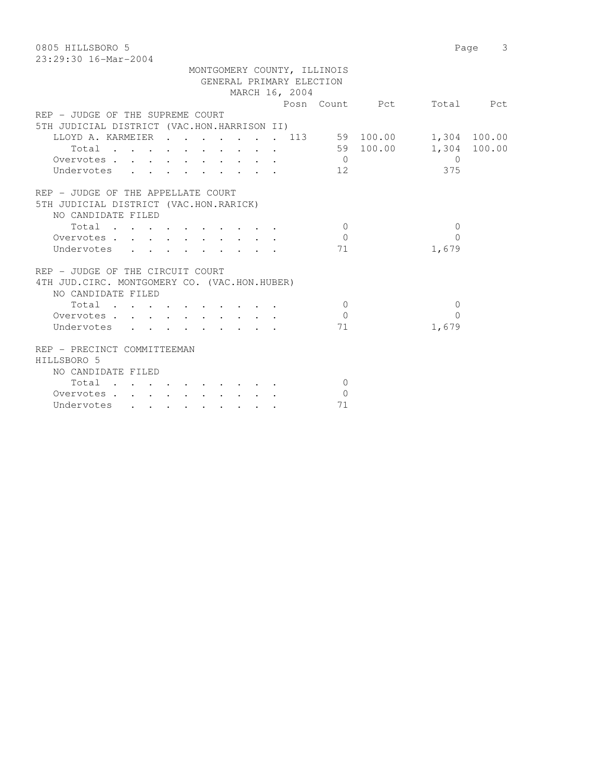| 0805 HILLSBORO 5                              |                | Page 3         |
|-----------------------------------------------|----------------|----------------|
| 23:29:30 16-Mar-2004                          |                |                |
| MONTGOMERY COUNTY, ILLINOIS                   |                |                |
| GENERAL PRIMARY ELECTION                      |                |                |
| MARCH 16, 2004                                |                |                |
|                                               | Posn Count Pct | Total Pct      |
| REP - JUDGE OF THE SUPREME COURT              |                |                |
| 5TH JUDICIAL DISTRICT (VAC.HON.HARRISON II)   |                |                |
| LLOYD A. KARMEIER 113 59 100.00 1,304 100.00  |                |                |
| Total 59 100.00 1,304 100.00                  |                |                |
| Overvotes.                                    | $\overline{0}$ | $\overline{0}$ |
| Undervotes                                    | 12             | 375            |
|                                               |                |                |
| REP - JUDGE OF THE APPELLATE COURT            |                |                |
| 5TH JUDICIAL DISTRICT (VAC.HON.RARICK)        |                |                |
| NO CANDIDATE FILED                            |                |                |
| Total                                         | $\overline{0}$ | $\Omega$       |
| Overvotes.                                    | $\overline{0}$ | $\Omega$       |
| Undervotes                                    | 71             | 1,679          |
|                                               |                |                |
| REP - JUDGE OF THE CIRCUIT COURT              |                |                |
| 4TH JUD. CIRC. MONTGOMERY CO. (VAC.HON.HUBER) |                |                |
| NO CANDIDATE FILED                            |                |                |
| Total                                         | $\overline{0}$ | $\mathbf{0}$   |
| Overvotes                                     | $\bigcirc$     | $\bigcap$      |
| Undervotes                                    | 71             | 1,679          |
|                                               |                |                |
| REP - PRECINCT COMMITTEEMAN                   |                |                |
|                                               |                |                |
| HILLSBORO 5                                   |                |                |
| NO CANDIDATE FILED                            |                |                |
| Total                                         | $\Omega$       |                |
| Overvotes.                                    | $\overline{0}$ |                |
| Undervotes                                    | 71             |                |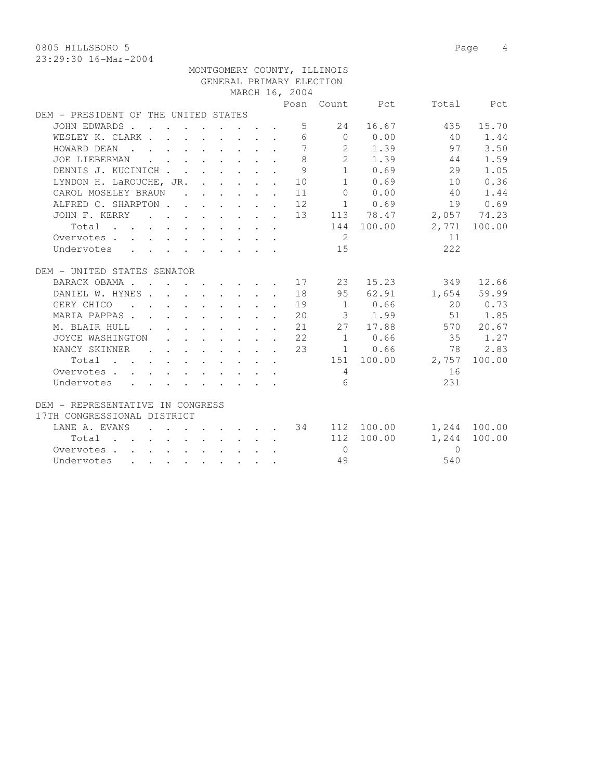0805 HILLSBORO 5 Page 4

| MONTGOMERY COUNTY, ILLINOIS                                                    |  |  |  |  |  |  |                |                                    |             |                                    |         |  |  |
|--------------------------------------------------------------------------------|--|--|--|--|--|--|----------------|------------------------------------|-------------|------------------------------------|---------|--|--|
| GENERAL PRIMARY ELECTION                                                       |  |  |  |  |  |  |                |                                    |             |                                    |         |  |  |
|                                                                                |  |  |  |  |  |  | MARCH 16, 2004 |                                    |             |                                    |         |  |  |
|                                                                                |  |  |  |  |  |  |                |                                    |             | Posn Count Pct Total Pct           |         |  |  |
| DEM - PRESIDENT OF THE UNITED STATES                                           |  |  |  |  |  |  |                |                                    |             |                                    |         |  |  |
| JOHN EDWARDS                                                                   |  |  |  |  |  |  |                | 5 24                               | 16.67       | 435                                | 15.70   |  |  |
| WESLEY K. CLARK 6 0 0.00                                                       |  |  |  |  |  |  |                |                                    |             | 40                                 | 1.44    |  |  |
| HOWARD DEAN                                                                    |  |  |  |  |  |  |                |                                    | 7 2 1.39    | 97                                 | 3.50    |  |  |
| JOE LIEBERMAN                                                                  |  |  |  |  |  |  | 8              |                                    | 2 1.39      | 44                                 | 1.59    |  |  |
| DENNIS J. KUCINICH                                                             |  |  |  |  |  |  | -9             |                                    | $1 \t 0.69$ | 29                                 | 1.05    |  |  |
| LYNDON H. LaROUCHE, JR. 10                                                     |  |  |  |  |  |  |                |                                    | 1 0.69      | 10                                 | 0.36    |  |  |
| CAROL MOSELEY BRAUN                                                            |  |  |  |  |  |  | 11             |                                    | $0 \t 0.00$ | 40                                 | 1.44    |  |  |
|                                                                                |  |  |  |  |  |  |                |                                    |             |                                    |         |  |  |
| ALFRED C. SHARPTON 12 1 0.69 19 0.69<br>JOHN F. KERRY 13 113 78.47 2,057 74.23 |  |  |  |  |  |  |                |                                    |             |                                    |         |  |  |
| Total                                                                          |  |  |  |  |  |  |                |                                    |             | 144 100.00 2,771 100.00            |         |  |  |
| Overvotes                                                                      |  |  |  |  |  |  |                | $\overline{2}$                     |             | 11                                 |         |  |  |
| Undervotes                                                                     |  |  |  |  |  |  |                | 15                                 |             | 222                                |         |  |  |
|                                                                                |  |  |  |  |  |  |                |                                    |             |                                    |         |  |  |
| DEM - UNITED STATES SENATOR                                                    |  |  |  |  |  |  |                |                                    |             |                                    |         |  |  |
| BARACK OBAMA 17 23                                                             |  |  |  |  |  |  |                |                                    | 15.23       | 349                                | 12.66   |  |  |
| DANIEL W. HYNES 18                                                             |  |  |  |  |  |  |                |                                    |             | 95 62.91 1,654 59.99               |         |  |  |
|                                                                                |  |  |  |  |  |  |                |                                    |             |                                    | 20 0.73 |  |  |
| MARIA PAPPAS 20 3 1.99 51 1.85                                                 |  |  |  |  |  |  |                |                                    |             |                                    |         |  |  |
| M. BLAIR HULL 21 27 17.88 570 20.67                                            |  |  |  |  |  |  |                |                                    |             |                                    |         |  |  |
| JOYCE WASHINGTON 22                                                            |  |  |  |  |  |  |                |                                    |             | 1 0.66 35 1.27                     |         |  |  |
| NANCY SKINNER                                                                  |  |  |  |  |  |  | 23             |                                    | $1 \t 0.66$ | 78                                 | 2.83    |  |  |
| Total                                                                          |  |  |  |  |  |  |                |                                    |             | 151 100.00 2,757                   | 100.00  |  |  |
| Overvotes                                                                      |  |  |  |  |  |  |                | $4\phantom{.00000000000000000000}$ |             | 16                                 |         |  |  |
| Undervotes                                                                     |  |  |  |  |  |  |                | 6                                  |             | 231                                |         |  |  |
|                                                                                |  |  |  |  |  |  |                |                                    |             |                                    |         |  |  |
| DEM - REPRESENTATIVE IN CONGRESS                                               |  |  |  |  |  |  |                |                                    |             |                                    |         |  |  |
| 17TH CONGRESSIONAL DISTRICT                                                    |  |  |  |  |  |  |                |                                    |             |                                    |         |  |  |
| LANE A. EVANS                                                                  |  |  |  |  |  |  |                |                                    |             | $\cdot$ 34 112 100.00 1,244 100.00 |         |  |  |
| Total $\cdot$                                                                  |  |  |  |  |  |  |                |                                    | 112 100.00  | 1,244                              | 100.00  |  |  |
| Overvotes.                                                                     |  |  |  |  |  |  |                | $\bigcirc$                         |             | $\Omega$                           |         |  |  |
| Undervotes                                                                     |  |  |  |  |  |  |                | 49                                 |             | 540                                |         |  |  |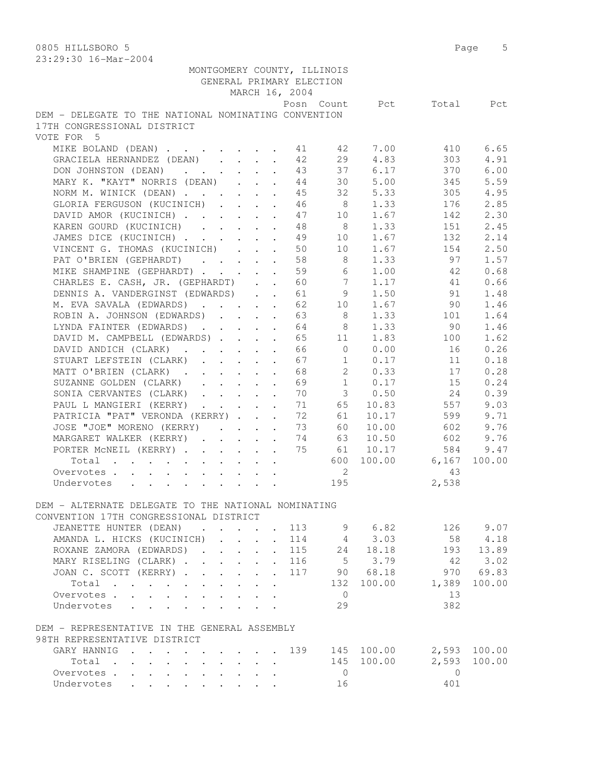| 40.42.30 IO-Mal-4004                                 |                           |                                                                                                                       |                      |                          |                             |                |          |           |
|------------------------------------------------------|---------------------------|-----------------------------------------------------------------------------------------------------------------------|----------------------|--------------------------|-----------------------------|----------------|----------|-----------|
|                                                      |                           |                                                                                                                       |                      | GENERAL PRIMARY ELECTION | MONTGOMERY COUNTY, ILLINOIS |                |          |           |
|                                                      |                           |                                                                                                                       |                      | MARCH 16, 2004           |                             |                |          |           |
| DEM - DELEGATE TO THE NATIONAL NOMINATING CONVENTION |                           |                                                                                                                       |                      |                          |                             | Posn Count Pct |          | Total Pct |
| 17TH CONGRESSIONAL DISTRICT                          |                           |                                                                                                                       |                      |                          |                             |                |          |           |
| VOTE FOR 5                                           |                           |                                                                                                                       |                      |                          |                             |                |          |           |
| MIKE BOLAND (DEAN) 41 42 7.00                        |                           |                                                                                                                       |                      |                          |                             |                | 410      | 6.65      |
| GRACIELA HERNANDEZ (DEAN)                            |                           |                                                                                                                       |                      | 42                       | 29                          | 4.83           | 303      | 4.91      |
| DON JOHNSTON (DEAN)                                  |                           |                                                                                                                       |                      | 43                       |                             | 37 6.17        | 370      | 6.00      |
| MARY K. "KAYT" NORRIS (DEAN)                         |                           |                                                                                                                       |                      | 44                       | 30                          | 5.00           | 345      | 5.59      |
| NORM M. WINICK (DEAN)                                |                           |                                                                                                                       |                      | 45                       | 32                          | 5.33           | 305      | 4.95      |
| GLORIA FERGUSON (KUCINICH)                           |                           |                                                                                                                       |                      | 46                       | 8 <sup>8</sup>              | 1.33           | 176      | 2.85      |
| DAVID AMOR (KUCINICH)                                |                           |                                                                                                                       |                      | 47                       |                             | 10 1.67        | 142      | 2.30      |
| KAREN GOURD (KUCINICH)                               |                           |                                                                                                                       |                      | 48                       | 8 <sup>8</sup>              | 1.33           | 151      | 2.45      |
| JAMES DICE (KUCINICH)                                |                           |                                                                                                                       |                      | 49                       | 10                          | 1.67           | 132      | 2.14      |
| VINCENT G. THOMAS (KUCINICH)                         |                           |                                                                                                                       |                      | 50                       | 10                          | 1.67           | 154      | 2.50      |
| PAT O'BRIEN (GEPHARDT)                               |                           |                                                                                                                       |                      | 58                       | 8                           | 1.33           | 97       | 1.57      |
| MIKE SHAMPINE (GEPHARDT)                             |                           |                                                                                                                       | $\sim$               | 59                       | 6                           | 1.00           | 42       | 0.68      |
| CHARLES E. CASH, JR. (GEPHARDT)                      |                           |                                                                                                                       |                      | 60                       | $\overline{7}$              | 1.17           | 41       | 0.66      |
| DENNIS A. VANDERGINST (EDWARDS)                      |                           |                                                                                                                       |                      | 61                       |                             | 9 1.50         | 91       | 1.48      |
| M. EVA SAVALA (EDWARDS)                              |                           |                                                                                                                       |                      | 62                       |                             | 10 1.67        | 90 —     | 1.46      |
| ROBIN A. JOHNSON (EDWARDS) 63                        |                           |                                                                                                                       |                      |                          | 8                           | 1.33           | 101      | 1.64      |
| LYNDA FAINTER (EDWARDS) 64                           |                           |                                                                                                                       |                      |                          | 8                           | 1.33           | 90       | 1.46      |
| DAVID M. CAMPBELL (EDWARDS)                          |                           |                                                                                                                       |                      | 65                       | 11                          | 1.83           | 100      | 1.62      |
| DAVID ANDICH (CLARK)                                 |                           |                                                                                                                       |                      | 66                       | $\overline{0}$              | 0.00           | 16       | 0.26      |
| STUART LEFSTEIN (CLARK)                              |                           | $\mathbf{r}$ , $\mathbf{r}$ , $\mathbf{r}$ , $\mathbf{r}$                                                             | $\sim$               | 67                       | 1                           | 0.17           | 11       | 0.18      |
| MATT O'BRIEN (CLARK).                                |                           | $\mathbf{1}^{\prime}$ , $\mathbf{1}^{\prime}$ , $\mathbf{1}^{\prime}$ , $\mathbf{1}^{\prime}$ , $\mathbf{1}^{\prime}$ | $\sim$               | 68                       | 2                           | 0.33           | 17       | 0.28      |
| SUZANNE GOLDEN (CLARK)                               |                           |                                                                                                                       |                      | 69                       | 1                           | 0.17           | 15       | 0.24      |
| SONIA CERVANTES (CLARK)                              |                           |                                                                                                                       |                      | 70                       |                             | 30.50          | 24       | 0.39      |
| PAUL L MANGIERI (KERRY)                              |                           |                                                                                                                       |                      | 71                       | 65                          | 10.83          | 557      | 9.03      |
| PATRICIA "PAT" VERONDA (KERRY)                       |                           |                                                                                                                       |                      | 72                       | 61                          | 10.17          | 599      | 9.71      |
| JOSE "JOE" MORENO (KERRY)                            |                           |                                                                                                                       |                      | 73                       | 60                          | 10.00          | 602      | 9.76      |
| MARGARET WALKER (KERRY)                              |                           |                                                                                                                       |                      | - 74                     | 63                          | 10.50          | 602      | 9.76      |
| PORTER MCNEIL (KERRY)                                |                           |                                                                                                                       |                      | 75                       | 61                          | 10.17          | 584      | 9.47      |
| Total                                                |                           |                                                                                                                       |                      |                          |                             | 600 100.00     | 6,167    | 100.00    |
| Overvotes                                            |                           |                                                                                                                       |                      |                          | $\overline{2}$              |                | 43       |           |
| Undervotes                                           |                           |                                                                                                                       | $\ddot{\phantom{a}}$ |                          | 195                         |                | 2,538    |           |
|                                                      |                           |                                                                                                                       |                      |                          |                             |                |          |           |
| DEM - ALTERNATE DELEGATE TO THE NATIONAL NOMINATING  |                           |                                                                                                                       |                      |                          |                             |                |          |           |
| CONVENTION 17TH CONGRESSIONAL DISTRICT               |                           |                                                                                                                       |                      |                          |                             |                |          |           |
| JEANETTE HUNTER (DEAN)                               |                           |                                                                                                                       |                      | . 113                    | 9                           | 6.82           | 126      | 9.07      |
| AMANDA L. HICKS (KUCINICH)                           |                           |                                                                                                                       |                      | 114                      |                             | 3.03           | 58       | 4.18      |
| ROXANE ZAMORA (EDWARDS).                             | $\mathbf{L}$ $\mathbf{L}$ | $\mathbf{r}$                                                                                                          |                      | 115                      | 24                          | 18.18          | 193      | 13.89     |
| MARY RISELING (CLARK).                               |                           | $\mathbf{r}$ $\mathbf{r}$ $\mathbf{r}$                                                                                | $\mathbf{L}$         | 116                      | 5 <sup>5</sup>              | 3.79           | -42      | 3.02      |
| JOAN C. SCOTT (KERRY)                                |                           | $\mathbf{L}$                                                                                                          | $\ddot{\phantom{0}}$ | 117                      |                             | 90 68.18       | 970      | 69.83     |
| Total                                                | $\mathbf{r} = \mathbf{r}$ | $\mathbf{L}$                                                                                                          | $\ddot{\phantom{a}}$ |                          | 132                         | 100.00         | 1,389    | 100.00    |
| Overvotes.                                           |                           | $\mathbf{r}$                                                                                                          |                      |                          | $\overline{0}$              |                | 13       |           |
| Undervotes                                           |                           |                                                                                                                       |                      |                          | 29                          |                | 382      |           |
|                                                      |                           |                                                                                                                       |                      |                          |                             |                |          |           |
| DEM - REPRESENTATIVE IN THE GENERAL ASSEMBLY         |                           |                                                                                                                       |                      |                          |                             |                |          |           |
| 98TH REPRESENTATIVE DISTRICT                         |                           |                                                                                                                       |                      |                          |                             |                |          |           |
| GARY HANNIG                                          |                           |                                                                                                                       |                      | $\cdots$ $139$           |                             | 145 100.00     | 2,593    | 100.00    |
| Total                                                |                           | $\mathbf{r} = \mathbf{r} \cdot \mathbf{r}$                                                                            |                      |                          | 145                         | 100.00         | 2,593    | 100.00    |
| Overvotes.                                           |                           |                                                                                                                       |                      |                          | $\overline{0}$              |                | $\Omega$ |           |
| Undervotes                                           |                           |                                                                                                                       |                      |                          | 16                          |                | 401      |           |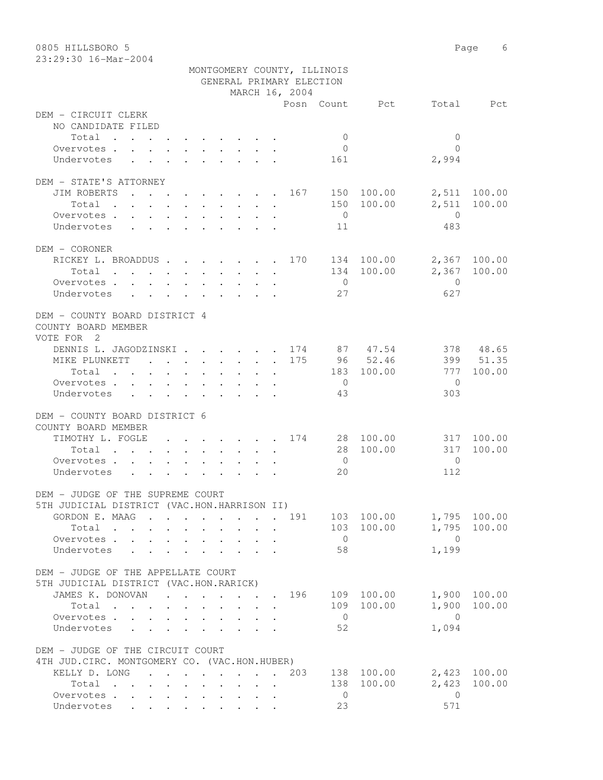| 0805 HILLSBORO 5                                             |                                                                                         |                                            |                              |                |                             |                | Page           | 6            |
|--------------------------------------------------------------|-----------------------------------------------------------------------------------------|--------------------------------------------|------------------------------|----------------|-----------------------------|----------------|----------------|--------------|
| 23:29:30 16-Mar-2004                                         |                                                                                         |                                            |                              |                |                             |                |                |              |
|                                                              |                                                                                         |                                            |                              |                | MONTGOMERY COUNTY, ILLINOIS |                |                |              |
|                                                              |                                                                                         | GENERAL PRIMARY ELECTION                   |                              |                |                             |                |                |              |
|                                                              |                                                                                         |                                            |                              | MARCH 16, 2004 |                             |                |                |              |
|                                                              |                                                                                         |                                            |                              |                |                             | Posn Count Pct | Total          | Pct          |
| DEM - CIRCUIT CLERK                                          |                                                                                         |                                            |                              |                |                             |                |                |              |
| NO CANDIDATE FILED                                           |                                                                                         |                                            |                              |                |                             |                |                |              |
| Total                                                        |                                                                                         |                                            |                              |                | $\mathbf{0}$                |                | $\mathbf{0}$   |              |
| Overvotes $\cdots$ $\cdots$ $\cdots$ $\cdots$                |                                                                                         |                                            |                              |                | $\overline{0}$              |                | $\Omega$       |              |
| Undervotes                                                   |                                                                                         |                                            |                              |                | 161                         |                | 2,994          |              |
|                                                              |                                                                                         |                                            |                              |                |                             |                |                |              |
| DEM - STATE'S ATTORNEY                                       |                                                                                         |                                            |                              |                |                             |                |                |              |
| JIM ROBERTS<br>. 167                                         |                                                                                         |                                            |                              |                |                             | 150 100.00     | 2,511          | 100.00       |
| Total                                                        |                                                                                         |                                            |                              |                |                             | 150 100.00     | 2,511          | 100.00       |
| Overvotes                                                    |                                                                                         |                                            |                              |                | $\overline{0}$              |                | $\overline{0}$ |              |
| Undervotes .                                                 | $\mathbf{r}$ , $\mathbf{r}$ , $\mathbf{r}$ , $\mathbf{r}$ , $\mathbf{r}$ , $\mathbf{r}$ |                                            |                              |                | 11                          |                | 483            |              |
|                                                              |                                                                                         |                                            |                              |                |                             |                |                |              |
| DEM - CORONER                                                |                                                                                         |                                            |                              |                |                             |                |                |              |
| RICKEY L. BROADDUS 170                                       |                                                                                         |                                            |                              |                |                             | 134 100.00     | 2,367          | 100.00       |
| Total , , , , , , , , , , ,                                  |                                                                                         |                                            |                              |                |                             | 134 100.00     | 2,367          | 100.00       |
| Overvotes                                                    |                                                                                         |                                            |                              |                | $\bigcirc$                  |                | $\Omega$       |              |
| Undervotes                                                   |                                                                                         |                                            |                              |                | 27                          |                | 627            |              |
|                                                              |                                                                                         |                                            |                              |                |                             |                |                |              |
| DEM - COUNTY BOARD DISTRICT 4                                |                                                                                         |                                            |                              |                |                             |                |                |              |
| COUNTY BOARD MEMBER                                          |                                                                                         |                                            |                              |                |                             |                |                |              |
| VOTE FOR 2                                                   |                                                                                         |                                            |                              |                |                             |                |                |              |
| DENNIS L. JAGODZINSKI 174 87 47.54                           |                                                                                         |                                            |                              |                |                             |                |                | 378 48.65    |
| MIKE PLUNKETT 175                                            |                                                                                         |                                            |                              |                |                             | 96 52.46       |                | 399 51.35    |
| Total                                                        |                                                                                         |                                            |                              |                | 183                         | 100.00         | 777            | 100.00       |
| Overvotes.                                                   |                                                                                         |                                            |                              |                | $\overline{0}$              |                | $\Omega$       |              |
| Undervotes                                                   |                                                                                         |                                            |                              |                | 43                          |                | 303            |              |
|                                                              |                                                                                         |                                            |                              |                |                             |                |                |              |
| DEM - COUNTY BOARD DISTRICT 6                                |                                                                                         |                                            |                              |                |                             |                |                |              |
| COUNTY BOARD MEMBER                                          |                                                                                         |                                            |                              |                |                             |                |                |              |
| TIMOTHY L. FOGLE 174 28 100.00                               |                                                                                         |                                            |                              |                |                             |                | 317            | 100.00       |
| Total                                                        |                                                                                         |                                            |                              |                | 28                          | 100.00         | 317            | 100.00       |
| Overvotes.                                                   |                                                                                         |                                            |                              |                | $\overline{0}$              |                | $\Omega$       |              |
| Undervotes                                                   |                                                                                         |                                            |                              |                | 20                          |                | 112            |              |
|                                                              |                                                                                         |                                            |                              |                |                             |                |                |              |
| DEM - JUDGE OF THE SUPREME COURT                             |                                                                                         |                                            |                              |                |                             |                |                |              |
| 5TH JUDICIAL DISTRICT (VAC.HON.HARRISON II)                  |                                                                                         |                                            |                              |                |                             |                |                |              |
| GORDON E. MAAG 191 103 100.00                                |                                                                                         |                                            |                              |                |                             |                |                | 1,795 100.00 |
| Total                                                        |                                                                                         |                                            |                              |                |                             | 103 100.00     |                | 1,795 100.00 |
| Overvotes                                                    | $\mathbf{L}$                                                                            |                                            |                              |                | $\overline{0}$              |                | $\bigcirc$     |              |
| Undervotes                                                   |                                                                                         | $\mathbf{L}$                               | $\mathbf{r}$<br>$\mathbf{r}$ |                | 58                          |                | 1,199          |              |
|                                                              |                                                                                         |                                            |                              |                |                             |                |                |              |
| DEM - JUDGE OF THE APPELLATE COURT                           |                                                                                         |                                            |                              |                |                             |                |                |              |
| 5TH JUDICIAL DISTRICT (VAC.HON.RARICK)                       |                                                                                         |                                            |                              |                |                             |                |                |              |
| JAMES K. DONOVAN                                             |                                                                                         |                                            |                              |                |                             | 109 100.00     |                | 1,900 100.00 |
|                                                              | . 196                                                                                   |                                            |                              |                |                             |                |                |              |
| Total                                                        |                                                                                         | $\mathbf{r}$ , $\mathbf{r}$ , $\mathbf{r}$ |                              |                |                             | 109 100.00     | 1,900          | 100.00       |
| Overvotes                                                    |                                                                                         |                                            |                              |                | $\overline{0}$              |                | $\overline{0}$ |              |
| Undervotes<br>$\mathbf{L} = \mathbf{L} \mathbf{L}$<br>$\sim$ |                                                                                         |                                            |                              |                | 52                          |                | 1,094          |              |
|                                                              |                                                                                         |                                            |                              |                |                             |                |                |              |
| DEM - JUDGE OF THE CIRCUIT COURT                             |                                                                                         |                                            |                              |                |                             |                |                |              |
| 4TH JUD. CIRC. MONTGOMERY CO. (VAC.HON.HUBER)                |                                                                                         |                                            |                              |                |                             |                |                |              |
| KELLY D. LONG                                                |                                                                                         |                                            |                              | 203            |                             | 138 100.00     |                | 2,423 100.00 |
| Total                                                        |                                                                                         |                                            |                              |                |                             | 138 100.00     | 2,423          | 100.00       |
| Overvotes                                                    |                                                                                         |                                            |                              |                | $\overline{0}$              |                | $\overline{0}$ |              |
| Undervotes                                                   |                                                                                         |                                            |                              |                | 23                          |                | 571            |              |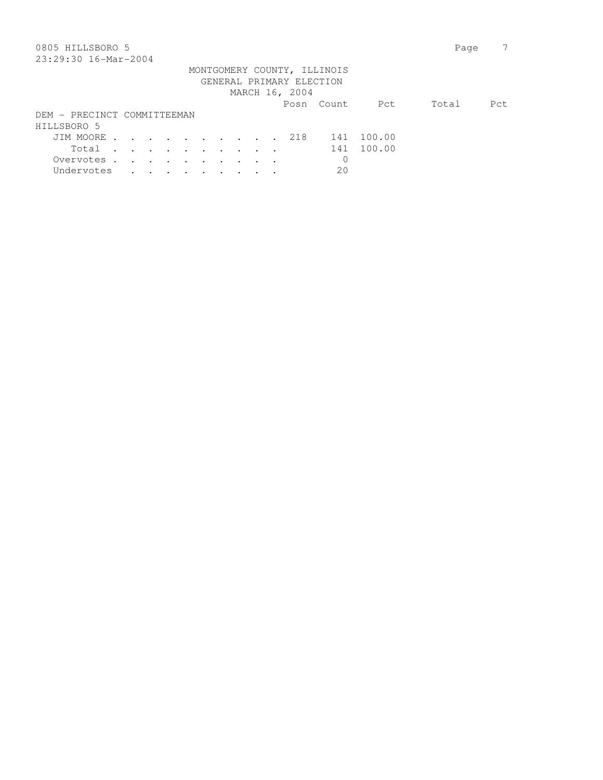| 0805 HILLSBORO 5                                                                                                                                                                                                                                              |                             |  |                |            |        | Page  |      |
|---------------------------------------------------------------------------------------------------------------------------------------------------------------------------------------------------------------------------------------------------------------|-----------------------------|--|----------------|------------|--------|-------|------|
| 23:29:30 16-Mar-2004                                                                                                                                                                                                                                          |                             |  |                |            |        |       |      |
|                                                                                                                                                                                                                                                               | MONTGOMERY COUNTY, ILLINOIS |  |                |            |        |       |      |
|                                                                                                                                                                                                                                                               | GENERAL PRIMARY ELECTION    |  |                |            |        |       |      |
|                                                                                                                                                                                                                                                               |                             |  | MARCH 16, 2004 |            |        |       |      |
|                                                                                                                                                                                                                                                               |                             |  |                | Posn Count | Pct    | Total | Pct. |
| DEM - PRECINCT COMMITTEEMAN                                                                                                                                                                                                                                   |                             |  |                |            |        |       |      |
| HILLSBORO 5                                                                                                                                                                                                                                                   |                             |  |                |            |        |       |      |
| JIM MOORE                                                                                                                                                                                                                                                     |                             |  | 218            | 141        | 100.00 |       |      |
| Total<br>$\mathbf{r}$ , $\mathbf{r}$ , $\mathbf{r}$ , $\mathbf{r}$ , $\mathbf{r}$ , $\mathbf{r}$                                                                                                                                                              |                             |  |                | 141        | 100.00 |       |      |
| Overvotes.<br>$\sim$ $\sim$<br>and the contract of the contract of the contract of the contract of the contract of the contract of the contract of the contract of the contract of the contract of the contract of the contract of the contract of the contra |                             |  |                | 0          |        |       |      |
| Undervotes<br>$\cdot$ $\cdot$ $\cdot$ $\cdot$ $\cdot$ $\cdot$                                                                                                                                                                                                 |                             |  |                | 20         |        |       |      |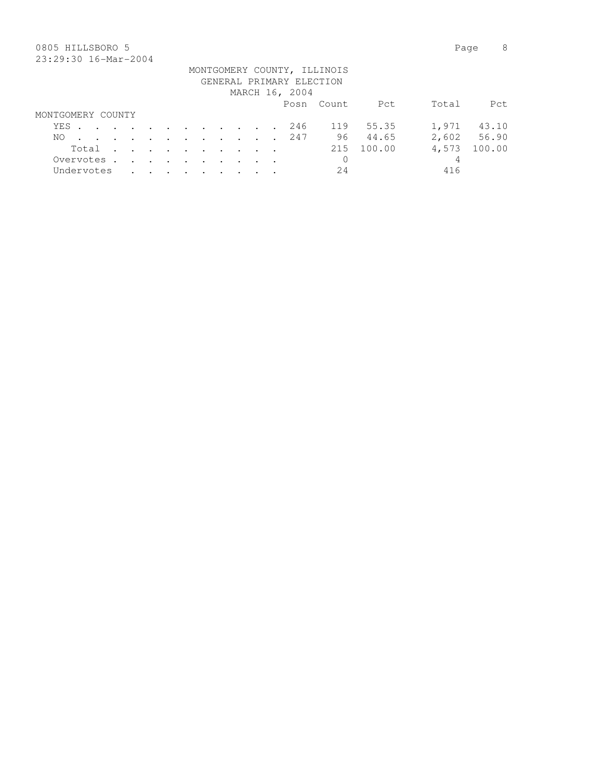## 0805 HILLSBORO 5 Page 8 23:29:30 16-Mar-2004

|                   |  |  |  |  |  |                          | MONTGOMERY COUNTY, ILLINOIS |        |       |             |
|-------------------|--|--|--|--|--|--------------------------|-----------------------------|--------|-------|-------------|
|                   |  |  |  |  |  | GENERAL PRIMARY ELECTION |                             |        |       |             |
|                   |  |  |  |  |  | MARCH 16, 2004           |                             |        |       |             |
|                   |  |  |  |  |  |                          | Posn Count                  | Pct    | Total | Pct.        |
| MONTGOMERY COUNTY |  |  |  |  |  |                          |                             |        |       |             |
| YES               |  |  |  |  |  | 246                      | 119                         | 55.35  | 1,971 | 43.10       |
| NO.               |  |  |  |  |  | . 247                    | 96 —                        | 44.65  |       | 2,602 56.90 |
| Total             |  |  |  |  |  |                          | 215                         | 100.00 | 4,573 | 100.00      |
| Overvotes.        |  |  |  |  |  |                          | 0                           |        | 4     |             |
| Undervotes        |  |  |  |  |  |                          | 24                          |        | 416   |             |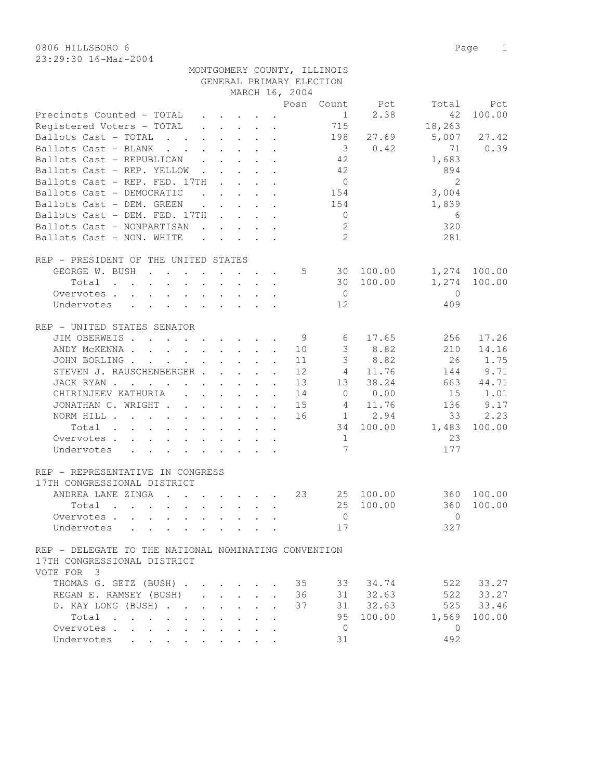23:29:30 16-Mar-2004

|                                                                                                                                                                                                                                                                                                                                                                                                                                                                          |                                      |                                                           |                         |                      | GENERAL PRIMARY ELECTION |                         |                |                |               |
|--------------------------------------------------------------------------------------------------------------------------------------------------------------------------------------------------------------------------------------------------------------------------------------------------------------------------------------------------------------------------------------------------------------------------------------------------------------------------|--------------------------------------|-----------------------------------------------------------|-------------------------|----------------------|--------------------------|-------------------------|----------------|----------------|---------------|
|                                                                                                                                                                                                                                                                                                                                                                                                                                                                          |                                      |                                                           |                         |                      | MARCH 16, 2004           |                         |                |                |               |
|                                                                                                                                                                                                                                                                                                                                                                                                                                                                          |                                      |                                                           |                         |                      | Posn                     |                         | Count Pct      | Total          | Pct           |
| Precincts Counted - TOTAL                                                                                                                                                                                                                                                                                                                                                                                                                                                |                                      |                                                           |                         |                      |                          | $\mathbf{1}$            | 2.38           | 42             | 100.00        |
| Registered Voters - TOTAL                                                                                                                                                                                                                                                                                                                                                                                                                                                |                                      | $\mathbf{r}$ , $\mathbf{r}$ , $\mathbf{r}$                |                         | $\ddot{\phantom{a}}$ |                          | 715                     |                | 18,263         |               |
| Ballots Cast - TOTAL                                                                                                                                                                                                                                                                                                                                                                                                                                                     |                                      |                                                           |                         |                      |                          | 198                     | 27.69          | 5,007          | 27.42         |
| Ballots Cast - BLANK<br>$\mathbf{r}$ , and $\mathbf{r}$ , and $\mathbf{r}$ , and $\mathbf{r}$                                                                                                                                                                                                                                                                                                                                                                            |                                      |                                                           |                         |                      |                          | $\overline{\mathbf{3}}$ | 0.42           | 71             | 0.39          |
| Ballots Cast - REPUBLICAN .                                                                                                                                                                                                                                                                                                                                                                                                                                              |                                      | $\cdot$ $\cdot$ $\cdot$ $\cdot$                           |                         |                      |                          | 42                      |                | 1,683          |               |
| Ballots Cast - REP. YELLOW.                                                                                                                                                                                                                                                                                                                                                                                                                                              |                                      |                                                           | $\cdot$ $\cdot$ $\cdot$ |                      |                          | 42                      |                | 894            |               |
| Ballots Cast - REP. FED. 17TH                                                                                                                                                                                                                                                                                                                                                                                                                                            |                                      |                                                           |                         |                      |                          | $\overline{0}$          |                | 2              |               |
| Ballots Cast - DEMOCRATIC<br>$\mathbf{r}$                                                                                                                                                                                                                                                                                                                                                                                                                                |                                      |                                                           |                         |                      |                          | 154                     |                | 3,004          |               |
| Ballots Cast - DEM. GREEN<br>$\ddot{\phantom{a}}$                                                                                                                                                                                                                                                                                                                                                                                                                        | $\ddot{\phantom{0}}$                 |                                                           |                         | $\cdot$ $\cdot$      |                          | 154                     |                | 1,839          |               |
| Ballots Cast - DEM. FED. 17TH                                                                                                                                                                                                                                                                                                                                                                                                                                            |                                      | $\ddot{\phantom{a}}$                                      |                         |                      |                          | $\overline{0}$          |                | 6              |               |
| Ballots Cast - NONPARTISAN                                                                                                                                                                                                                                                                                                                                                                                                                                               |                                      | $\mathbf{r}$ , $\mathbf{r}$ , $\mathbf{r}$ , $\mathbf{r}$ |                         |                      |                          | 2                       |                | 320            |               |
| Ballots Cast - NON. WHITE                                                                                                                                                                                                                                                                                                                                                                                                                                                |                                      | $\mathbf{r}$ , $\mathbf{r}$ , $\mathbf{r}$ , $\mathbf{r}$ |                         |                      |                          | 2                       |                | 281            |               |
| REP - PRESIDENT OF THE UNITED STATES                                                                                                                                                                                                                                                                                                                                                                                                                                     |                                      |                                                           |                         |                      |                          |                         |                |                |               |
| GEORGE W. BUSH<br>$\mathbf{r}$ , and $\mathbf{r}$ , and $\mathbf{r}$ , and $\mathbf{r}$ , and $\mathbf{r}$                                                                                                                                                                                                                                                                                                                                                               |                                      |                                                           |                         |                      | 5                        |                         | 30 100.00      |                | 1,274 100.00  |
| Total                                                                                                                                                                                                                                                                                                                                                                                                                                                                    |                                      |                                                           |                         |                      |                          |                         | 30 100.00      | 1,274          | 100.00        |
| Overvotes.                                                                                                                                                                                                                                                                                                                                                                                                                                                               |                                      |                                                           |                         |                      |                          | $\overline{0}$          |                | $\overline{0}$ |               |
| $\mathbf{1} \qquad \mathbf{1} \qquad \mathbf{1} \qquad \mathbf{1} \qquad \mathbf{1} \qquad \mathbf{1} \qquad \mathbf{1} \qquad \mathbf{1} \qquad \mathbf{1} \qquad \mathbf{1} \qquad \mathbf{1} \qquad \mathbf{1} \qquad \mathbf{1} \qquad \mathbf{1} \qquad \mathbf{1} \qquad \mathbf{1} \qquad \mathbf{1} \qquad \mathbf{1} \qquad \mathbf{1} \qquad \mathbf{1} \qquad \mathbf{1} \qquad \mathbf{1} \qquad \mathbf{1} \qquad \mathbf{1} \qquad \mathbf{$<br>Undervotes |                                      |                                                           |                         |                      |                          | 12                      |                | 409            |               |
| $\cdot$ $\cdot$ $\cdot$ $\cdot$ $\cdot$ $\cdot$<br>$\mathbf{L}$                                                                                                                                                                                                                                                                                                                                                                                                          |                                      |                                                           |                         |                      |                          |                         |                |                |               |
| REP - UNITED STATES SENATOR                                                                                                                                                                                                                                                                                                                                                                                                                                              |                                      |                                                           |                         |                      |                          |                         |                |                |               |
| JIM OBERWEIS                                                                                                                                                                                                                                                                                                                                                                                                                                                             |                                      |                                                           |                         |                      | - 9                      | 6                       | 17.65          | 256            | 17.26         |
| ANDY MCKENNA                                                                                                                                                                                                                                                                                                                                                                                                                                                             |                                      |                                                           |                         |                      | 10                       | 3                       | 8.82           | 210            | 14.16         |
| JOHN BORLING                                                                                                                                                                                                                                                                                                                                                                                                                                                             |                                      |                                                           |                         |                      | 11                       | $\mathfrak{Z}$          | 8.82           | 26             | 1.75          |
| STEVEN J. RAUSCHENBERGER                                                                                                                                                                                                                                                                                                                                                                                                                                                 |                                      |                                                           |                         |                      | 12                       | $4\degree$              | 11.76          | 144            | 9.71          |
| JACK RYAN                                                                                                                                                                                                                                                                                                                                                                                                                                                                |                                      |                                                           |                         |                      | 13                       | 13                      | 38.24          | 663            | 44.71         |
| CHIRINJEEV KATHURIA<br>$\sim$                                                                                                                                                                                                                                                                                                                                                                                                                                            | $\mathbf{L} = \mathbf{L} \mathbf{L}$ |                                                           |                         |                      | 14                       | $\circ$                 | 0.00           | 15             | 1.01          |
| JONATHAN C. WRIGHT                                                                                                                                                                                                                                                                                                                                                                                                                                                       |                                      |                                                           | $\mathbf{L}$            | $\mathbf{r}$         | 15                       | $4\overline{ }$         | 11.76          | 136            | 9.17          |
| NORM HILL                                                                                                                                                                                                                                                                                                                                                                                                                                                                |                                      |                                                           |                         |                      | 16                       |                         | $1 \t 2.94$    | 33             | 2.23          |
| Total                                                                                                                                                                                                                                                                                                                                                                                                                                                                    |                                      | $\cdot$ $\cdot$ $\cdot$ $\cdot$ $\cdot$                   |                         |                      |                          | 34                      | 100.00         | 1,483          | 100.00        |
| Overvotes                                                                                                                                                                                                                                                                                                                                                                                                                                                                |                                      |                                                           |                         |                      |                          | 1                       |                | 23             |               |
| Undervotes                                                                                                                                                                                                                                                                                                                                                                                                                                                               |                                      |                                                           |                         |                      |                          | $7\overline{ }$         |                | 177            |               |
|                                                                                                                                                                                                                                                                                                                                                                                                                                                                          |                                      |                                                           |                         |                      |                          |                         |                |                |               |
| REP - REPRESENTATIVE IN CONGRESS<br>17TH CONGRESSIONAL DISTRICT                                                                                                                                                                                                                                                                                                                                                                                                          |                                      |                                                           |                         |                      |                          |                         |                |                |               |
| ANDREA LANE ZINGA<br>$\mathbf{r}$ , and $\mathbf{r}$ , and $\mathbf{r}$ , and $\mathbf{r}$                                                                                                                                                                                                                                                                                                                                                                               |                                      |                                                           |                         |                      | 23                       |                         | 25 100.00      |                | 360 100.00    |
| Total<br>$\mathbf{r}$ , $\mathbf{r}$ , $\mathbf{r}$ , $\mathbf{r}$                                                                                                                                                                                                                                                                                                                                                                                                       |                                      |                                                           |                         | $\ddot{\phantom{a}}$ |                          | 25                      | 100.00         | 360            | 100.00        |
| Overvotes                                                                                                                                                                                                                                                                                                                                                                                                                                                                |                                      |                                                           |                         |                      |                          |                         | $\overline{0}$ | $\bigcirc$     |               |
| Undervotes                                                                                                                                                                                                                                                                                                                                                                                                                                                               |                                      |                                                           |                         |                      |                          | 17                      |                | 327            |               |
|                                                                                                                                                                                                                                                                                                                                                                                                                                                                          |                                      |                                                           |                         |                      |                          |                         |                |                |               |
| REP - DELEGATE TO THE NATIONAL NOMINATING CONVENTION                                                                                                                                                                                                                                                                                                                                                                                                                     |                                      |                                                           |                         |                      |                          |                         |                |                |               |
| 17TH CONGRESSIONAL DISTRICT                                                                                                                                                                                                                                                                                                                                                                                                                                              |                                      |                                                           |                         |                      |                          |                         |                |                |               |
| VOTE FOR 3                                                                                                                                                                                                                                                                                                                                                                                                                                                               |                                      |                                                           |                         |                      |                          |                         |                |                |               |
| THOMAS G. GETZ (BUSH)                                                                                                                                                                                                                                                                                                                                                                                                                                                    |                                      |                                                           |                         |                      | 35                       |                         | 33 34.74       |                | 522 33.27     |
| REGAN E. RAMSEY (BUSH)                                                                                                                                                                                                                                                                                                                                                                                                                                                   |                                      |                                                           |                         | $\ddot{\phantom{a}}$ | 36                       |                         | 31 32.63       |                | $522$ $33.27$ |
| D. KAY LONG (BUSH)                                                                                                                                                                                                                                                                                                                                                                                                                                                       |                                      | $\cdot$ $\cdot$ $\cdot$ $\cdot$                           | $\mathbf{L}$            |                      | 37                       |                         | 31 32.63       | 525            | 33.46         |
| Total                                                                                                                                                                                                                                                                                                                                                                                                                                                                    |                                      |                                                           | $\sim$                  | $\ddot{\phantom{a}}$ |                          | 95                      | 100.00         | 1,569          | 100.00        |
| Overvotes                                                                                                                                                                                                                                                                                                                                                                                                                                                                |                                      |                                                           |                         |                      |                          | $\overline{0}$          |                | $\circ$        |               |
| Undervotes                                                                                                                                                                                                                                                                                                                                                                                                                                                               |                                      |                                                           |                         |                      |                          | 31                      |                | 492            |               |

MONTGOMERY COUNTY, ILLINOIS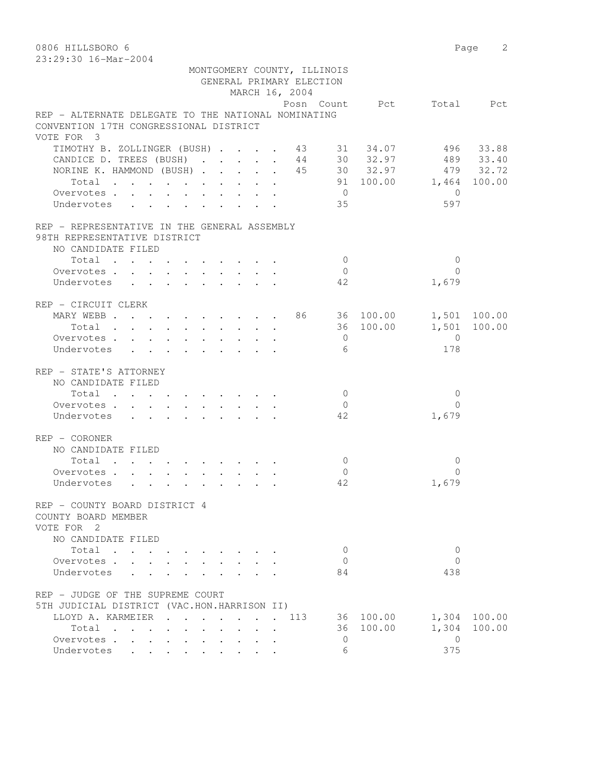0806 HILLSBORO 6 Page 2 23:29:30 16-Mar-2004

|                                                                          |  |  |                | MONTGOMERY COUNTY, ILLINOIS |           |                          |           |
|--------------------------------------------------------------------------|--|--|----------------|-----------------------------|-----------|--------------------------|-----------|
|                                                                          |  |  |                | GENERAL PRIMARY ELECTION    |           |                          |           |
|                                                                          |  |  | MARCH 16, 2004 |                             |           |                          |           |
|                                                                          |  |  |                |                             |           | Posn Count Pct Total Pct |           |
| REP - ALTERNATE DELEGATE TO THE NATIONAL NOMINATING                      |  |  |                |                             |           |                          |           |
| CONVENTION 17TH CONGRESSIONAL DISTRICT                                   |  |  |                |                             |           |                          |           |
| VOTE FOR 3                                                               |  |  |                |                             |           |                          |           |
| TIMOTHY B. ZOLLINGER (BUSH) 43 31 34.07 496 33.88                        |  |  |                |                             |           |                          |           |
| CANDICE D. TREES (BUSH) 44 30 32.97                                      |  |  |                |                             |           |                          | 489 33.40 |
| NORINE K. HAMMOND (BUSH) 45 30 32.97 479 32.72                           |  |  |                |                             |           |                          |           |
| Total                                                                    |  |  |                |                             |           | 91 100.00 1,464 100.00   |           |
| Overvotes.                                                               |  |  |                | $\overline{0}$              |           | $\bigcirc$               |           |
| Undervotes                                                               |  |  |                | 35                          |           | 597                      |           |
| REP - REPRESENTATIVE IN THE GENERAL ASSEMBLY                             |  |  |                |                             |           |                          |           |
| 98TH REPRESENTATIVE DISTRICT                                             |  |  |                |                             |           |                          |           |
| NO CANDIDATE FILED                                                       |  |  |                |                             |           |                          |           |
| Total                                                                    |  |  |                | $\overline{0}$              |           | $\mathbf{0}$             |           |
| Overvotes.                                                               |  |  |                | $\overline{0}$              |           | $\Omega$                 |           |
| Undervotes                                                               |  |  |                | 42                          |           | 1,679                    |           |
| REP - CIRCUIT CLERK                                                      |  |  |                |                             |           |                          |           |
| MARY WEBB 86 36 100.00 1,501 100.00                                      |  |  |                |                             |           |                          |           |
| Total                                                                    |  |  |                |                             | 36 100.00 | 1,501 100.00             |           |
| Overvotes                                                                |  |  |                | $\overline{0}$              |           | $\overline{0}$           |           |
| Undervotes                                                               |  |  |                | 6                           |           | 178                      |           |
|                                                                          |  |  |                |                             |           |                          |           |
| REP - STATE'S ATTORNEY                                                   |  |  |                |                             |           |                          |           |
| NO CANDIDATE FILED                                                       |  |  |                |                             |           |                          |           |
| Total $\cdot$                                                            |  |  |                | $\overline{0}$              |           | $\Omega$                 |           |
| Overvotes                                                                |  |  |                | $\overline{0}$              |           | $\Omega$                 |           |
| Undervotes                                                               |  |  |                | 42                          |           | 1,679                    |           |
| REP - CORONER                                                            |  |  |                |                             |           |                          |           |
| NO CANDIDATE FILED                                                       |  |  |                |                             |           |                          |           |
| Total                                                                    |  |  |                | $\overline{0}$              |           | 0                        |           |
| Overvotes.                                                               |  |  |                | $\overline{0}$              |           | $\Omega$                 |           |
| Undervotes                                                               |  |  |                | 42                          |           | 1,679                    |           |
| REP - COUNTY BOARD DISTRICT 4                                            |  |  |                |                             |           |                          |           |
| COUNTY BOARD MEMBER                                                      |  |  |                |                             |           |                          |           |
| VOTE FOR 2                                                               |  |  |                |                             |           |                          |           |
| NO CANDIDATE FILED                                                       |  |  |                |                             |           |                          |           |
| Total                                                                    |  |  |                | 0                           |           | 0                        |           |
| Overvotes                                                                |  |  |                | $\Omega$                    |           | $\Omega$                 |           |
| Undervotes<br>$\mathbf{r} = \mathbf{r}$                                  |  |  |                | 84                          |           | 438                      |           |
| REP - JUDGE OF THE SUPREME COURT                                         |  |  |                |                             |           |                          |           |
| 5TH JUDICIAL DISTRICT (VAC.HON.HARRISON II)                              |  |  |                |                             |           |                          |           |
| LLOYD A. KARMEIER                                                        |  |  | 113            |                             | 36 100.00 | 1,304                    | 100.00    |
| Total                                                                    |  |  |                |                             | 36 100.00 | 1,304                    | 100.00    |
| Overvotes .<br>$\mathcal{L}^{\text{max}}$ and $\mathcal{L}^{\text{max}}$ |  |  |                | $\mathbf{0}$                |           | $\Omega$                 |           |
| Undervotes<br>$\ddot{\phantom{a}}$                                       |  |  |                | 6                           |           | 375                      |           |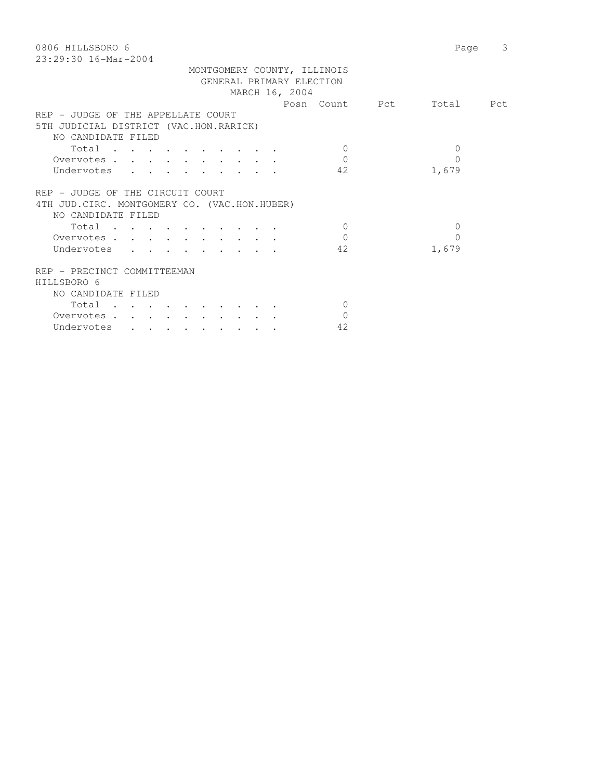| 0806 HILLSBORO 6                              | 3<br>Page |
|-----------------------------------------------|-----------|
| 23:29:30 16-Mar-2004                          |           |
| MONTGOMERY COUNTY, ILLINOIS                   |           |
| GENERAL PRIMARY ELECTION                      |           |
| MARCH 16, 2004                                |           |
| Posn Count Pct                                | Total Pct |
| REP - JUDGE OF THE APPELLATE COURT            |           |
| 5TH JUDICIAL DISTRICT (VAC.HON.RARICK)        |           |
| NO CANDIDATE FILED                            |           |
| Total<br>$\Omega$                             | 0         |
| $\Omega$<br>Overvotes                         | 0         |
| 42<br>Undervotes                              | 1,679     |
|                                               |           |
| REP - JUDGE OF THE CIRCUIT COURT              |           |
|                                               |           |
| 4TH JUD. CIRC. MONTGOMERY CO. (VAC.HON.HUBER) |           |
| NO CANDIDATE FILED                            |           |
| Total<br>$\Omega$                             | $\Omega$  |
| $\Omega$<br>Overvotes                         | 0         |
| 42<br>Undervotes                              | 1,679     |
| REP - PRECINCT COMMITTEEMAN                   |           |
| HILLSBORO 6                                   |           |
| NO CANDIDATE FILED                            |           |
| $\Omega$                                      |           |
| Total                                         |           |
| $\Omega$<br>Overvotes                         |           |
| 42<br>Undervotes                              |           |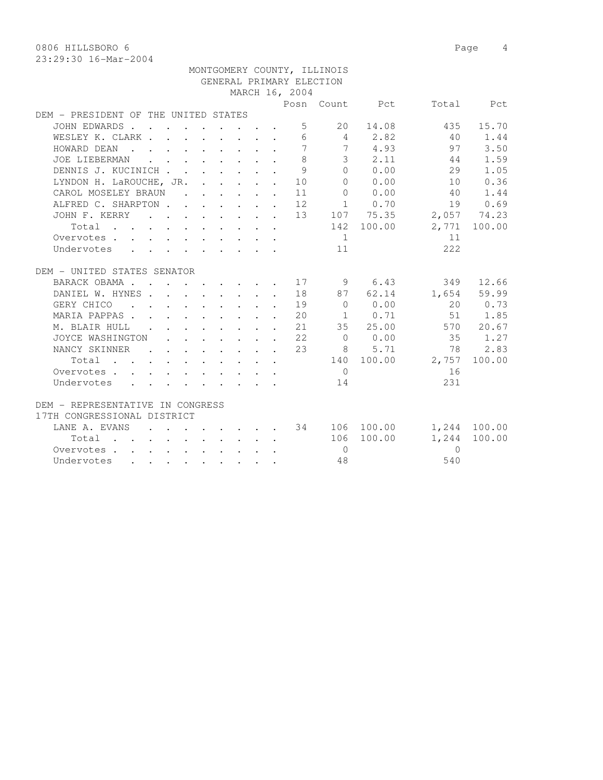0806 HILLSBORO 6 Page 4

| MONTGOMERY COUNTY, ILLINOIS                      |                          |  |                                                           |  |  |  |                |                |           |       |             |  |  |
|--------------------------------------------------|--------------------------|--|-----------------------------------------------------------|--|--|--|----------------|----------------|-----------|-------|-------------|--|--|
| GENERAL PRIMARY ELECTION                         |                          |  |                                                           |  |  |  |                |                |           |       |             |  |  |
|                                                  |                          |  |                                                           |  |  |  | MARCH 16, 2004 |                |           |       |             |  |  |
|                                                  |                          |  |                                                           |  |  |  | Posn           | Count          | Pct       | Total | Pct         |  |  |
| DEM - PRESIDENT OF THE UNITED STATES             |                          |  |                                                           |  |  |  |                |                |           |       |             |  |  |
| JOHN EDWARDS.                                    |                          |  |                                                           |  |  |  | 5              | 20             | 14.08     | 435   | 15.70       |  |  |
| WESLEY K. CLARK                                  |                          |  | $\sim$ $\sim$ $\sim$ $\sim$ $\sim$                        |  |  |  | 6              | 4              | 2.82      | 40    | 1.44        |  |  |
| HOWARD DEAN<br>$\sim$                            |                          |  |                                                           |  |  |  |                |                | 4.93      | 97    | 3.50        |  |  |
| JOE LIEBERMAN<br><b><i>Contract Contract</i></b> |                          |  |                                                           |  |  |  | 8              | 3 <sup>7</sup> | 2.11      | 44    | 1.59        |  |  |
| DENNIS J. KUCINICH                               |                          |  |                                                           |  |  |  | 9              | $\circ$        | 0.00      | 29    | 1.05        |  |  |
| LYNDON H. LaROUCHE, JR.                          |                          |  | $\mathbf{r}$ , $\mathbf{r}$ , $\mathbf{r}$ , $\mathbf{r}$ |  |  |  | 10             | $\Omega$       | 0.00      | 10    | 0.36        |  |  |
| CAROL MOSELEY BRAUN                              | <b>Contract</b>          |  | $\mathbf{r} = \mathbf{r} \cdot \mathbf{r}$                |  |  |  | 11             | $\Omega$       | 0.00      | 40    | 1.44        |  |  |
| ALFRED C. SHARPTON.                              | <b>Contract Contract</b> |  |                                                           |  |  |  | 12             | $\mathbf{1}$   | 0.70      | 19    | 0.69        |  |  |
| JOHN F. KERRY                                    |                          |  |                                                           |  |  |  | 13             |                | 107 75.35 |       | 2,057 74.23 |  |  |
| Total<br>$\sim$<br>$\cdot$ $\cdot$               |                          |  |                                                           |  |  |  |                | 142            | 100.00    | 2,771 | 100.00      |  |  |
| Overvotes.<br>$\sim$                             |                          |  |                                                           |  |  |  |                |                |           | 11    |             |  |  |
| Undervotes                                       |                          |  |                                                           |  |  |  |                | 11             |           | 222   |             |  |  |
|                                                  |                          |  |                                                           |  |  |  |                |                |           |       |             |  |  |
| DEM - UNITED STATES SENATOR                      |                          |  |                                                           |  |  |  |                |                |           |       |             |  |  |

| UNITED STATES SENATOR<br>DEM.<br>$\overline{\phantom{0}}$ |  |  |  |           |    |          |        |          |        |
|-----------------------------------------------------------|--|--|--|-----------|----|----------|--------|----------|--------|
| BARACK OBAMA<br>$\sim$                                    |  |  |  |           | 17 | 9        | 6.43   | 349      | 12.66  |
| DANIEL W. HYNES                                           |  |  |  | $\bullet$ | 18 | 87       | 62.14  | 1,654    | 59.99  |
| GERY CHICO                                                |  |  |  | $\bullet$ | 19 | $\Omega$ | 0.00   | 2.0      | 0.73   |
| MARIA PAPPAS                                              |  |  |  | $\bullet$ | 20 |          | 0.71   | 51       | 1.85   |
| M. BLAIR HULL                                             |  |  |  | $\bullet$ | 21 | 35       | 25.00  | 570      | 20.67  |
| JOYCE WASHINGTON                                          |  |  |  | $\bullet$ | 22 | $\Omega$ | 0.00   | 35       | 1.27   |
| NANCY SKINNER                                             |  |  |  |           | 23 | 8        | 5.71   | 78       | 2.83   |
| Total                                                     |  |  |  |           |    | 140      | 100.00 | 2,757    | 100.00 |
| Overvotes.<br>$\ddot{\phantom{a}}$                        |  |  |  |           |    | $\Omega$ |        | 16       |        |
| Undervotes                                                |  |  |  |           |    | 14       |        | 231      |        |
| - REPRESENTATIVE IN CONGRESS<br>DEM.                      |  |  |  |           |    |          |        |          |        |
| 17TH CONGRESSIONAL DISTRICT                               |  |  |  |           |    |          |        |          |        |
| LANE A. EVANS                                             |  |  |  |           | 34 | 106      | 100.00 | 1,244    | 100.00 |
| Total                                                     |  |  |  |           |    | 106      | 100.00 | 1,244    | 100.00 |
| Overvotes.                                                |  |  |  |           |    | $\Omega$ |        | $\Omega$ |        |
| Undervotes                                                |  |  |  |           |    | 48       |        | 540      |        |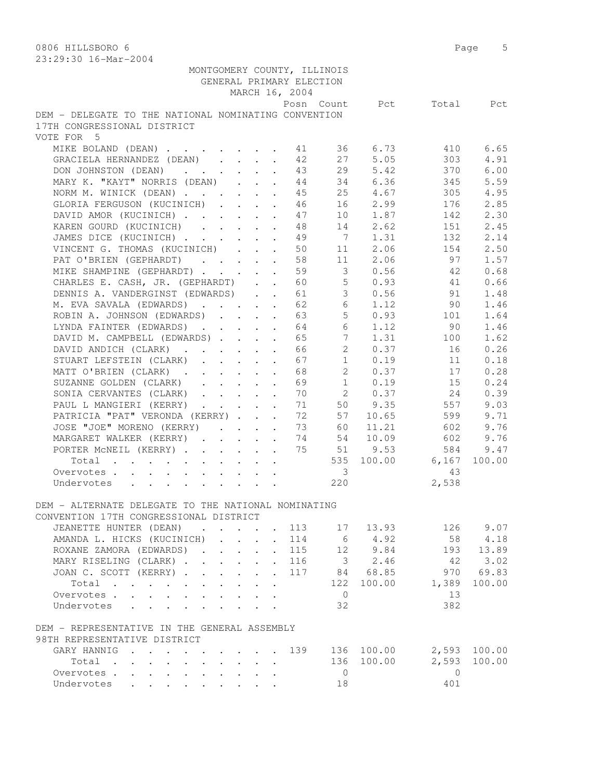| ZJ;ZJ;JV I0-Mal-ZUU4                                                                               |                                                                 |                                                                          | GENERAL PRIMARY ELECTION | MONTGOMERY COUNTY, ILLINOIS |                          |                |        |
|----------------------------------------------------------------------------------------------------|-----------------------------------------------------------------|--------------------------------------------------------------------------|--------------------------|-----------------------------|--------------------------|----------------|--------|
|                                                                                                    |                                                                 |                                                                          | MARCH 16, 2004           |                             |                          |                |        |
|                                                                                                    |                                                                 |                                                                          |                          |                             | Posn Count Pct Total Pct |                |        |
| DEM - DELEGATE TO THE NATIONAL NOMINATING CONVENTION                                               |                                                                 |                                                                          |                          |                             |                          |                |        |
| 17TH CONGRESSIONAL DISTRICT                                                                        |                                                                 |                                                                          |                          |                             |                          |                |        |
| VOTE FOR 5                                                                                         |                                                                 |                                                                          |                          |                             |                          |                |        |
| MIKE BOLAND (DEAN) 11                                                                              |                                                                 |                                                                          |                          |                             | 36 6.73                  | 410            | 6.65   |
| GRACIELA HERNANDEZ (DEAN)                                                                          |                                                                 |                                                                          | 42                       | 27                          | 5.05                     | 303            | 4.91   |
| DON JOHNSTON (DEAN)                                                                                |                                                                 |                                                                          | 43                       | 29                          | 5.42                     | 370            | 6.00   |
| MARY K. "KAYT" NORRIS (DEAN)                                                                       |                                                                 |                                                                          | 44                       |                             | 34 6.36                  | 345            | 5.59   |
| NORM M. WINICK (DEAN)                                                                              |                                                                 |                                                                          | 45                       |                             | 25 4.67                  | 305            | 4.95   |
| GLORIA FERGUSON (KUCINICH)                                                                         |                                                                 |                                                                          | 46                       |                             | 16 2.99                  | 176            | 2.85   |
| DAVID AMOR (KUCINICH)                                                                              |                                                                 |                                                                          | 47                       |                             | 10 1.87                  | 142            | 2.30   |
| KAREN GOURD (KUCINICH)                                                                             |                                                                 |                                                                          | 48                       |                             | 14 2.62                  | 151            | 2.45   |
| JAMES DICE (KUCINICH)                                                                              |                                                                 |                                                                          | 49                       |                             | 7 1.31                   | 132            | 2.14   |
| VINCENT G. THOMAS (KUCINICH)                                                                       |                                                                 |                                                                          | 50                       | 11                          | 2.06                     | 154            | 2.50   |
| PAT O'BRIEN (GEPHARDT)                                                                             |                                                                 |                                                                          | 58                       | 11                          | 2.06                     | 97             | 1.57   |
| MIKE SHAMPINE (GEPHARDT)                                                                           |                                                                 |                                                                          | 59                       | 3                           | 0.56                     | 42             | 0.68   |
| CHARLES E. CASH, JR. (GEPHARDT)                                                                    |                                                                 |                                                                          | 60                       |                             | 5 0.93                   | 41             | 0.66   |
| DENNIS A. VANDERGINST (EDWARDS)                                                                    |                                                                 |                                                                          | 61                       |                             | 3 0.56 91                |                | 1.48   |
| M. EVA SAVALA (EDWARDS)                                                                            |                                                                 |                                                                          | 62                       |                             | 6 1.12                   | 90             | 1.46   |
| ROBIN A. JOHNSON (EDWARDS) 63                                                                      |                                                                 |                                                                          |                          |                             | 50.93                    | 101            | 1.64   |
| LYNDA FAINTER (EDWARDS) 64                                                                         |                                                                 |                                                                          |                          | 6                           | 1.12                     | 90             | 1.46   |
| DAVID M. CAMPBELL (EDWARDS).                                                                       |                                                                 |                                                                          | 65                       | $7\overline{ }$             | 1.31                     | 100            | 1.62   |
| DAVID ANDICH (CLARK)                                                                               |                                                                 |                                                                          | 66                       | $2^{\circ}$                 | 0.37                     | 16             | 0.26   |
| STUART LEFSTEIN (CLARK)                                                                            |                                                                 | $\mathbf{A}$                                                             | 67                       | 1                           | 0.19                     | 11             | 0.18   |
| MATT O'BRIEN (CLARK).                                                                              |                                                                 | $\mathbf{r}$ , $\mathbf{r}$ , $\mathbf{r}$ , $\mathbf{r}$ , $\mathbf{r}$ | 68                       | $2^{\circ}$                 | 0.37                     | 17             | 0.28   |
| SUZANNE GOLDEN (CLARK)                                                                             |                                                                 |                                                                          | 69                       |                             | $1 \t 0.19$              | 15             | 0.24   |
| SONIA CERVANTES (CLARK)                                                                            |                                                                 |                                                                          | 70                       |                             | 2 0.37                   | 24             | 0.39   |
| PAUL L MANGIERI (KERRY)                                                                            |                                                                 |                                                                          | 71                       |                             | 50 9.35                  | 557            | 9.03   |
| PATRICIA "PAT" VERONDA (KERRY)                                                                     |                                                                 |                                                                          | 72                       | 57                          | 10.65                    | 599            | 9.71   |
| JOSE "JOE" MORENO (KERRY)                                                                          |                                                                 |                                                                          | - 73                     | 60                          | 11.21                    | 602            | 9.76   |
| MARGARET WALKER (KERRY) 74                                                                         |                                                                 |                                                                          |                          |                             | 54 10.09                 | 602            | 9.76   |
| PORTER MCNEIL (KERRY)                                                                              |                                                                 |                                                                          |                          |                             | 75 51 9.53               | 584            | 9.47   |
| Total                                                                                              |                                                                 |                                                                          |                          |                             | 535 100.00 6,167         |                | 100.00 |
| Overvotes                                                                                          |                                                                 |                                                                          |                          | $\overline{\mathbf{3}}$     |                          | 43             |        |
| Undervotes                                                                                         |                                                                 |                                                                          |                          | 220                         |                          | 2,538          |        |
| DEM - ALTERNATE DELEGATE TO THE NATIONAL NOMINATING                                                |                                                                 |                                                                          |                          |                             |                          |                |        |
| CONVENTION 17TH CONGRESSIONAL DISTRICT                                                             |                                                                 |                                                                          |                          |                             |                          |                |        |
| JEANETTE HUNTER (DEAN)<br>$\mathbf{r}$ , $\mathbf{r}$ , $\mathbf{r}$ , $\mathbf{r}$ , $\mathbf{r}$ |                                                                 |                                                                          | 113                      | 17                          | 13.93                    | 126            | 9.07   |
| AMANDA L. HICKS (KUCINICH)                                                                         |                                                                 |                                                                          | . 114                    | 6                           | 4.92                     | 58             | 4.18   |
| ROXANE ZAMORA (EDWARDS).                                                                           | $\mathbf{L} = \mathbf{L} \mathbf{L} + \mathbf{L} \mathbf{L}$    |                                                                          | 115                      | 12                          | 9.84                     | 193            | 13.89  |
| MARY RISELING (CLARK).                                                                             | $\mathbf{r}$ and $\mathbf{r}$ and $\mathbf{r}$ and $\mathbf{r}$ |                                                                          | 116                      | $\overline{\mathbf{3}}$     | 2.46                     | 42             | 3.02   |
| JOAN C. SCOTT (KERRY)                                                                              |                                                                 | $\mathcal{L}^{\mathcal{L}}$ .                                            | 117                      |                             | 84 68.85                 | 970            | 69.83  |
| Total                                                                                              |                                                                 | $\ddot{\phantom{a}}$                                                     |                          | 122                         | 100.00                   | 1,389          | 100.00 |
| Overvotes.                                                                                         |                                                                 |                                                                          |                          | $\overline{0}$              |                          | 13             |        |
| Undervotes                                                                                         |                                                                 |                                                                          |                          | 32                          |                          | 382            |        |
| DEM - REPRESENTATIVE IN THE GENERAL ASSEMBLY                                                       |                                                                 |                                                                          |                          |                             |                          |                |        |
| 98TH REPRESENTATIVE DISTRICT                                                                       |                                                                 |                                                                          |                          |                             |                          |                |        |
| GARY HANNIG 139                                                                                    |                                                                 |                                                                          |                          |                             | 136 100.00               | 2,593          | 100.00 |
| Total<br>$\sim$ $\sim$<br>$\sim$                                                                   |                                                                 | $\cdot$ $\cdot$ $\cdot$ $\cdot$                                          |                          |                             | 136 100.00               | 2,593          | 100.00 |
| Overvotes<br>Undervotes                                                                            |                                                                 | $\sim$                                                                   |                          | $\overline{0}$              |                          | $\overline{0}$ |        |
|                                                                                                    |                                                                 |                                                                          |                          | 18                          |                          | 401            |        |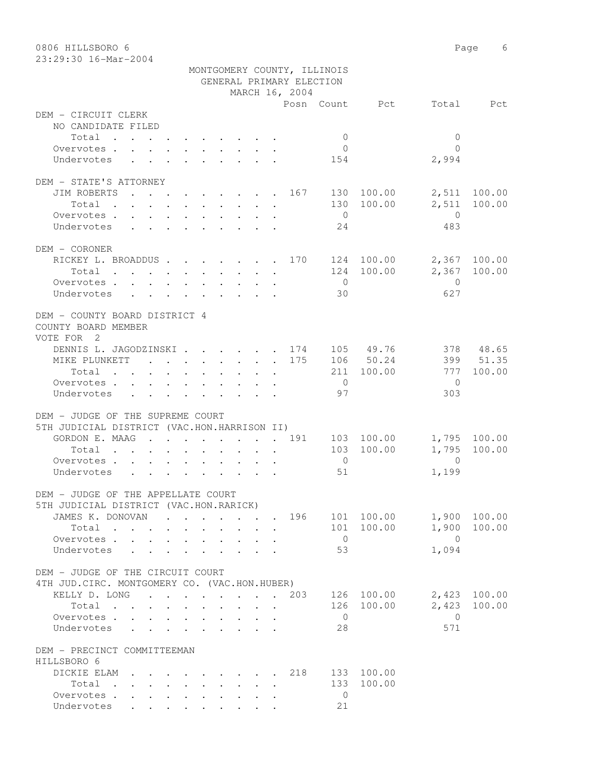| 0806 HILLSBORO 6<br>23:29:30 16-Mar-2004                                                       |  |                         |                |                          |                             |                |                         | Page<br>6    |
|------------------------------------------------------------------------------------------------|--|-------------------------|----------------|--------------------------|-----------------------------|----------------|-------------------------|--------------|
|                                                                                                |  |                         |                | GENERAL PRIMARY ELECTION | MONTGOMERY COUNTY, ILLINOIS |                |                         |              |
|                                                                                                |  |                         |                | MARCH 16, 2004           |                             |                |                         |              |
| DEM - CIRCUIT CLERK                                                                            |  |                         |                |                          |                             | Posn Count Pct | Total                   | Pct          |
| NO CANDIDATE FILED                                                                             |  |                         |                |                          |                             |                |                         |              |
| Total                                                                                          |  |                         |                |                          | $\overline{0}$              |                | $\mathbf{0}$            |              |
| Overvotes.                                                                                     |  |                         |                |                          | $\overline{0}$              |                | $\Omega$                |              |
| Undervotes                                                                                     |  |                         |                |                          | 154                         |                | 2,994                   |              |
| DEM - STATE'S ATTORNEY                                                                         |  |                         |                |                          |                             |                |                         |              |
| JIM ROBERTS<br>. 167                                                                           |  |                         |                |                          |                             | 130 100.00     | 2,511                   | 100.00       |
| Total                                                                                          |  |                         |                |                          |                             | 130 100.00     | 2,511                   | 100.00       |
| Overvotes                                                                                      |  |                         |                |                          | $\overline{0}$              |                | $\overline{0}$          |              |
| Undervotes                                                                                     |  |                         |                |                          | 24                          |                | 483                     |              |
| DEM - CORONER                                                                                  |  |                         |                |                          |                             |                |                         |              |
| RICKEY L. BROADDUS 170 124 100.00                                                              |  |                         |                |                          |                             |                |                         | 2,367 100.00 |
| Total                                                                                          |  |                         |                |                          |                             | 124 100.00     | 2,367                   | 100.00       |
| Overvotes                                                                                      |  |                         |                |                          | $\bigcirc$                  |                | $\mathbf{0}$            |              |
| Undervotes                                                                                     |  |                         |                |                          | 30                          |                | 627                     |              |
| DEM - COUNTY BOARD DISTRICT 4<br>COUNTY BOARD MEMBER<br>VOTE FOR 2                             |  |                         |                |                          |                             |                |                         |              |
| DENNIS L. JAGODZINSKI. 174                                                                     |  |                         |                |                          |                             | 105 49.76      |                         | 378 48.65    |
| MIKE PLUNKETT 175                                                                              |  |                         |                |                          |                             | 106 50.24      |                         | 399 51.35    |
| Total                                                                                          |  |                         |                |                          | 211                         | 100.00         | 777                     | 100.00       |
| Overvotes                                                                                      |  |                         |                |                          | $\overline{0}$              |                | $\Omega$                |              |
| Undervotes                                                                                     |  |                         |                |                          | 97                          |                | 303                     |              |
| DEM - JUDGE OF THE SUPREME COURT                                                               |  |                         |                |                          |                             |                |                         |              |
| 5TH JUDICIAL DISTRICT (VAC.HON.HARRISON II)                                                    |  |                         |                |                          |                             |                |                         |              |
| GORDON E. MAAG 191                                                                             |  |                         |                |                          |                             | 103 100.00     |                         | 1,795 100.00 |
| Total                                                                                          |  |                         |                |                          | 103                         | 100.00         | 1,795                   | 100.00       |
| Overvotes.                                                                                     |  |                         |                |                          | $\overline{0}$              |                | $\Omega$                |              |
| Undervotes                                                                                     |  |                         |                |                          | 51                          |                | 1,199                   |              |
| DEM - JUDGE OF THE APPELLATE COURT                                                             |  |                         |                |                          |                             |                |                         |              |
| 5TH JUDICIAL DISTRICT (VAC.HON.RARICK)                                                         |  |                         |                |                          |                             |                |                         |              |
| JAMES K. DONOVAN 196 101 100.00                                                                |  |                         |                |                          |                             |                |                         | 1,900 100.00 |
| Total                                                                                          |  |                         |                |                          |                             | 101 100.00     | $\bigcirc$              | 1,900 100.00 |
| Overvotes<br>$\sim$<br>Undervotes<br>$\mathbf{r}$ , $\mathbf{r}$<br>$\mathcal{L}^{\text{max}}$ |  | $\sim$                  | $\overline{a}$ |                          | $\overline{0}$<br>53        |                | 1,094                   |              |
|                                                                                                |  |                         |                |                          |                             |                |                         |              |
| DEM - JUDGE OF THE CIRCUIT COURT                                                               |  |                         |                |                          |                             |                |                         |              |
| 4TH JUD. CIRC. MONTGOMERY CO. (VAC.HON.HUBER)                                                  |  |                         |                |                          |                             |                |                         |              |
| KELLY D. LONG<br>$\mathbf{r}$ , and $\mathbf{r}$ , and $\mathbf{r}$ , and $\mathbf{r}$         |  |                         |                | . 203                    |                             | 126 100.00     |                         | 2,423 100.00 |
| Total<br>Overvotes                                                                             |  | $\cdot$ $\cdot$ $\cdot$ |                |                          | $\overline{0}$              | 126 100.00     | 2,423<br>$\overline{0}$ | 100.00       |
| Undervotes<br>$\sim$                                                                           |  |                         | $\sim$ $\sim$  |                          | 28                          |                | 571                     |              |
|                                                                                                |  |                         |                |                          |                             |                |                         |              |
| DEM - PRECINCT COMMITTEEMAN                                                                    |  |                         |                |                          |                             |                |                         |              |
| HILLSBORO 6<br>DICKIE ELAM                                                                     |  |                         |                | . 218                    |                             | 133 100.00     |                         |              |
| Total                                                                                          |  |                         |                |                          |                             | 133 100.00     |                         |              |
| Overvotes                                                                                      |  |                         |                |                          | $\overline{0}$              |                |                         |              |
| Undervotes                                                                                     |  |                         |                |                          | 21                          |                |                         |              |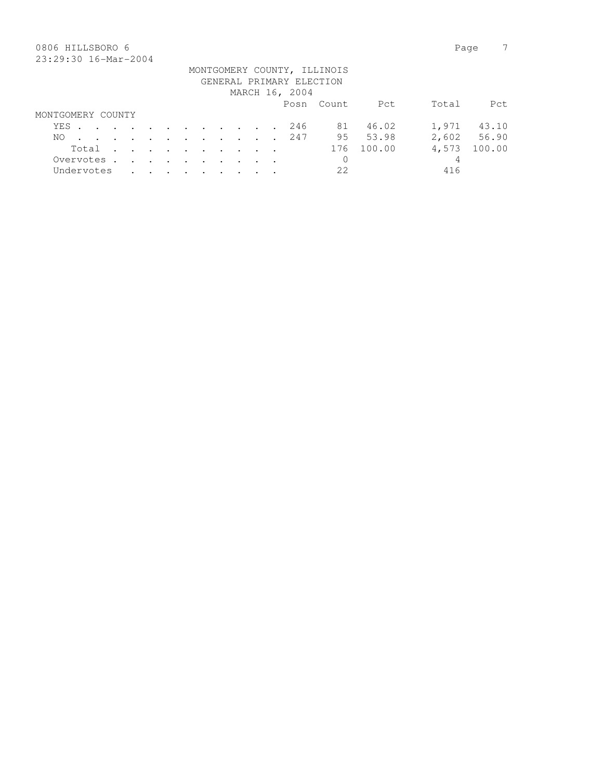## 0806 HILLSBORO 6 Page 7 23:29:30 16-Mar-2004

|                   |       |  |  |  |  |  |                          | MONTGOMERY COUNTY, ILLINOIS |        |       |             |
|-------------------|-------|--|--|--|--|--|--------------------------|-----------------------------|--------|-------|-------------|
|                   |       |  |  |  |  |  | GENERAL PRIMARY ELECTION |                             |        |       |             |
|                   |       |  |  |  |  |  | MARCH 16, 2004           |                             |        |       |             |
|                   |       |  |  |  |  |  |                          | Posn Count                  | Pct    | Total | Pct.        |
| MONTGOMERY COUNTY |       |  |  |  |  |  |                          |                             |        |       |             |
| YES               |       |  |  |  |  |  | 246                      | 81 —                        | 46.02  | 1,971 | 43.10       |
| NO.               |       |  |  |  |  |  | . 247                    | 95                          | 53.98  |       | 2,602 56.90 |
|                   | Total |  |  |  |  |  |                          | 176                         | 100.00 | 4,573 | 100.00      |
| Overvotes.        |       |  |  |  |  |  |                          | 0                           |        | 4     |             |
| Undervotes        |       |  |  |  |  |  |                          | 22                          |        | 416   |             |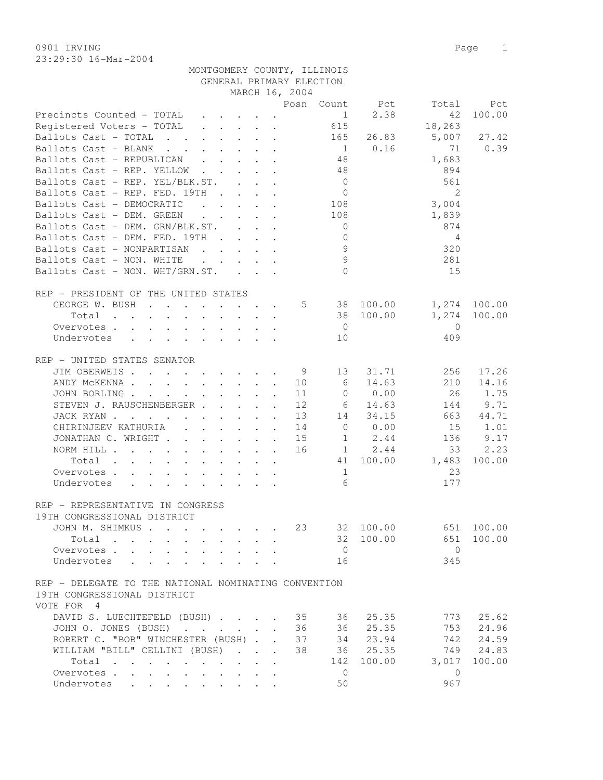23:29:30 16-Mar-2004

| GENERAL PRIMARY ELECTION                                                                                                                                                                                                                                               |  |                                          |  |  |                                         |                |                |                |              |  |  |
|------------------------------------------------------------------------------------------------------------------------------------------------------------------------------------------------------------------------------------------------------------------------|--|------------------------------------------|--|--|-----------------------------------------|----------------|----------------|----------------|--------------|--|--|
|                                                                                                                                                                                                                                                                        |  |                                          |  |  | MARCH 16, 2004                          |                |                |                |              |  |  |
|                                                                                                                                                                                                                                                                        |  |                                          |  |  |                                         |                | Posn Count Pct | Total          | Pct          |  |  |
| Precincts Counted - TOTAL                                                                                                                                                                                                                                              |  |                                          |  |  |                                         | $\overline{1}$ | 2.38           | 42             | 100.00       |  |  |
| Registered Voters - TOTAL                                                                                                                                                                                                                                              |  |                                          |  |  |                                         | 615            |                | 18,263         |              |  |  |
| Ballots Cast - TOTAL                                                                                                                                                                                                                                                   |  |                                          |  |  |                                         | 165            | 26.83          | 5,007          | 27.42        |  |  |
| Ballots Cast - BLANK                                                                                                                                                                                                                                                   |  |                                          |  |  |                                         |                | $1 \t 0.16$    | 71             | 0.39         |  |  |
| Ballots Cast - REPUBLICAN                                                                                                                                                                                                                                              |  |                                          |  |  |                                         | 48             |                | 1,683          |              |  |  |
| Ballots Cast - REP. YELLOW                                                                                                                                                                                                                                             |  |                                          |  |  |                                         | 48             |                | 894            |              |  |  |
| Ballots Cast - REP. YEL/BLK.ST.                                                                                                                                                                                                                                        |  |                                          |  |  |                                         | $\overline{0}$ |                | 561            |              |  |  |
| Ballots Cast - REP. FED. 19TH                                                                                                                                                                                                                                          |  |                                          |  |  |                                         | $\overline{0}$ |                | 2              |              |  |  |
| $\mathcal{L}^{\mathcal{A}}$ . The contract of the contract of the contract of the contract of the contract of the contract of the contract of the contract of the contract of the contract of the contract of the contract of the contrac<br>Ballots Cast - DEMOCRATIC |  |                                          |  |  |                                         | 108            |                | 3,004          |              |  |  |
| Ballots Cast - DEM. GREEN                                                                                                                                                                                                                                              |  | and the contract of the contract of      |  |  |                                         | 108            |                | 1,839          |              |  |  |
| Ballots Cast - DEM. GRN/BLK.ST.                                                                                                                                                                                                                                        |  |                                          |  |  |                                         | $\overline{0}$ |                | 874            |              |  |  |
| Ballots Cast - DEM. FED. 19TH                                                                                                                                                                                                                                          |  |                                          |  |  |                                         | $\overline{0}$ |                | 4              |              |  |  |
| Ballots Cast - NONPARTISAN                                                                                                                                                                                                                                             |  |                                          |  |  |                                         | 9              |                | 320            |              |  |  |
| Ballots Cast - NON. WHITE                                                                                                                                                                                                                                              |  |                                          |  |  | and the contract of the contract of the | 9              |                | 281            |              |  |  |
| Ballots Cast - NON. WHT/GRN.ST.                                                                                                                                                                                                                                        |  |                                          |  |  |                                         | $\Omega$       |                | 15             |              |  |  |
|                                                                                                                                                                                                                                                                        |  |                                          |  |  |                                         |                |                |                |              |  |  |
| REP - PRESIDENT OF THE UNITED STATES                                                                                                                                                                                                                                   |  |                                          |  |  |                                         |                |                |                |              |  |  |
| GEORGE W. BUSH                                                                                                                                                                                                                                                         |  |                                          |  |  |                                         |                | 5 38 100.00    |                | 1,274 100.00 |  |  |
| Total                                                                                                                                                                                                                                                                  |  |                                          |  |  |                                         |                | 38 100.00      | 1,274          | 100.00       |  |  |
| Overvotes                                                                                                                                                                                                                                                              |  |                                          |  |  |                                         | $\overline{0}$ |                | $\mathbf{0}$   |              |  |  |
| Undervotes                                                                                                                                                                                                                                                             |  |                                          |  |  |                                         | 10             |                | 409            |              |  |  |
|                                                                                                                                                                                                                                                                        |  |                                          |  |  |                                         |                |                |                |              |  |  |
| REP - UNITED STATES SENATOR                                                                                                                                                                                                                                            |  |                                          |  |  |                                         |                |                |                |              |  |  |
| JIM OBERWEIS                                                                                                                                                                                                                                                           |  |                                          |  |  | 9                                       | 13             | 31.71          | 256            | 17.26        |  |  |
|                                                                                                                                                                                                                                                                        |  |                                          |  |  |                                         | 6              | 14.63          | 210            | 14.16        |  |  |
| ANDY MCKENNA 10                                                                                                                                                                                                                                                        |  |                                          |  |  |                                         |                |                |                |              |  |  |
| JOHN BORLING                                                                                                                                                                                                                                                           |  |                                          |  |  | 11                                      | $\circ$        | 0.00           | 26             | 1.75         |  |  |
| STEVEN J. RAUSCHENBERGER                                                                                                                                                                                                                                               |  |                                          |  |  | 12                                      | 6              | 14.63          | 144            | 9.71         |  |  |
| JACK RYAN                                                                                                                                                                                                                                                              |  |                                          |  |  | 13                                      |                | 14 34.15       | 663            | 44.71        |  |  |
| CHIRINJEEV KATHURIA (CHIRINJEEV KATHURIA)                                                                                                                                                                                                                              |  |                                          |  |  | 14                                      |                | 0 0.00         | 15             | 1.01         |  |  |
| JONATHAN C. WRIGHT                                                                                                                                                                                                                                                     |  |                                          |  |  | 15                                      |                | $1 \t 2.44$    | 136            | 9.17         |  |  |
| NORM HILL                                                                                                                                                                                                                                                              |  |                                          |  |  |                                         |                | 16 1 2.44      | 33             | 2.23         |  |  |
| Total                                                                                                                                                                                                                                                                  |  |                                          |  |  |                                         |                | 41 100.00      | 1,483          | 100.00       |  |  |
| Overvotes                                                                                                                                                                                                                                                              |  |                                          |  |  |                                         | 1              |                | 23             |              |  |  |
| Undervotes                                                                                                                                                                                                                                                             |  |                                          |  |  |                                         | 6              |                | 177            |              |  |  |
|                                                                                                                                                                                                                                                                        |  |                                          |  |  |                                         |                |                |                |              |  |  |
| REP - REPRESENTATIVE IN CONGRESS                                                                                                                                                                                                                                       |  |                                          |  |  |                                         |                |                |                |              |  |  |
| 19TH CONGRESSIONAL DISTRICT                                                                                                                                                                                                                                            |  |                                          |  |  |                                         |                |                |                |              |  |  |
| JOHN M. SHIMKUS                                                                                                                                                                                                                                                        |  |                                          |  |  |                                         |                | 23 32 100.00   |                | 651 100.00   |  |  |
| Total                                                                                                                                                                                                                                                                  |  |                                          |  |  |                                         |                | 32 100.00      | 651            | 100.00       |  |  |
| Overvotes.                                                                                                                                                                                                                                                             |  |                                          |  |  |                                         | $\overline{0}$ |                | $\overline{0}$ |              |  |  |
| Undervotes                                                                                                                                                                                                                                                             |  |                                          |  |  |                                         | 16             |                | 345            |              |  |  |
|                                                                                                                                                                                                                                                                        |  |                                          |  |  |                                         |                |                |                |              |  |  |
| REP - DELEGATE TO THE NATIONAL NOMINATING CONVENTION                                                                                                                                                                                                                   |  |                                          |  |  |                                         |                |                |                |              |  |  |
| 19TH CONGRESSIONAL DISTRICT                                                                                                                                                                                                                                            |  |                                          |  |  |                                         |                |                |                |              |  |  |
| VOTE FOR 4                                                                                                                                                                                                                                                             |  |                                          |  |  |                                         |                |                |                |              |  |  |
| DAVID S. LUECHTEFELD (BUSH) 35                                                                                                                                                                                                                                         |  |                                          |  |  |                                         | 36             | 25.35          | 773            | 25.62        |  |  |
| JOHN O. JONES (BUSH) 36                                                                                                                                                                                                                                                |  |                                          |  |  |                                         | 36             | 25.35          | 753            | 24.96        |  |  |
| ROBERT C. "BOB" WINCHESTER (BUSH) 37                                                                                                                                                                                                                                   |  |                                          |  |  |                                         |                | 34 23.94       | 742            | 24.59        |  |  |
| WILLIAM "BILL" CELLINI (BUSH)                                                                                                                                                                                                                                          |  |                                          |  |  | 38                                      |                | 36 25.35       |                | 749 24.83    |  |  |
| Total                                                                                                                                                                                                                                                                  |  |                                          |  |  |                                         | 142            | 100.00         | 3,017          | 100.00       |  |  |
| Overvotes                                                                                                                                                                                                                                                              |  | $\mathbf{r} = \mathbf{r} + \mathbf{r}$ . |  |  |                                         | $\overline{0}$ |                | $\overline{0}$ |              |  |  |
| Undervotes                                                                                                                                                                                                                                                             |  |                                          |  |  |                                         | 50             |                | 967            |              |  |  |
|                                                                                                                                                                                                                                                                        |  |                                          |  |  |                                         |                |                |                |              |  |  |

MONTGOMERY COUNTY, ILLINOIS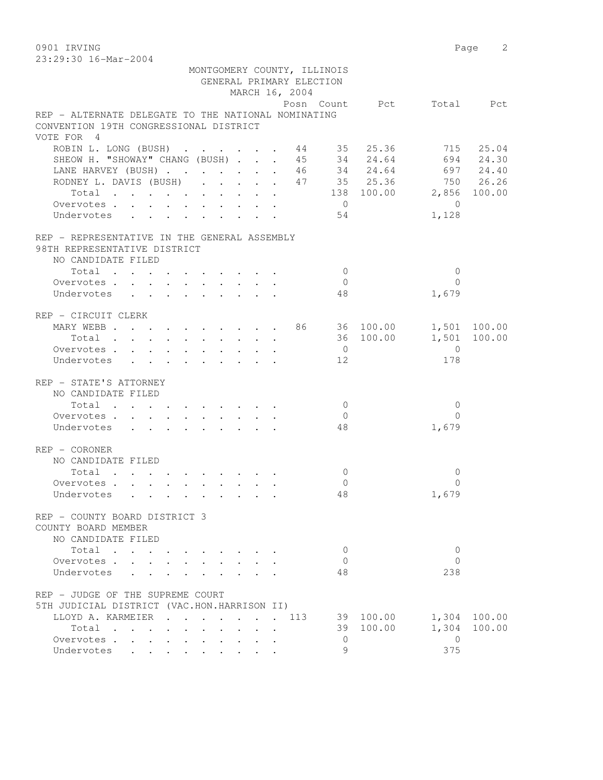| 0901 IRVING                                         |            |          | Page  | 2     |
|-----------------------------------------------------|------------|----------|-------|-------|
| 23:29:30 16-Mar-2004                                |            |          |       |       |
| MONTGOMERY COUNTY, ILLINOIS                         |            |          |       |       |
| GENERAL PRIMARY ELECTION                            |            |          |       |       |
| MARCH 16, 2004                                      |            |          |       |       |
|                                                     | Posn Count | Pct      | Total | Pct.  |
| REP - ALTERNATE DELEGATE TO THE NATIONAL NOMINATING |            |          |       |       |
| CONVENTION 19TH CONGRESSIONAL DISTRICT              |            |          |       |       |
| VOTE FOR 4                                          |            |          |       |       |
| ROBIN L. LONG (BUSH)                                | 44         | 35 25.36 | 715   | 25.04 |
| SHEOW H. "SHOWAY" CHANG (BUSH)                      | 45<br>34   | 24.64    | 694   | 24.30 |

| OIIDOM II. OIIOMILL CIIIINO (DOOII) ,        |  |  |  |  |  |                |                               | ∠ – ∙ |
|----------------------------------------------|--|--|--|--|--|----------------|-------------------------------|-------|
| LANE HARVEY (BUSH) 46 34 24.64 697 24.40     |  |  |  |  |  |                |                               |       |
| RODNEY L. DAVIS (BUSH) 47 35 25.36 750 26.26 |  |  |  |  |  |                |                               |       |
|                                              |  |  |  |  |  |                | Total 138 100.00 2,856 100.00 |       |
| Overvotes.                                   |  |  |  |  |  | $\overline{0}$ | $\overline{0}$                |       |
|                                              |  |  |  |  |  |                |                               |       |
| Undervotes 54                                |  |  |  |  |  |                | 1,128                         |       |
|                                              |  |  |  |  |  |                |                               |       |
| REP - REPRESENTATIVE IN THE GENERAL ASSEMBLY |  |  |  |  |  |                |                               |       |
| 98TH REPRESENTATIVE DISTRICT                 |  |  |  |  |  |                |                               |       |
| NO CANDIDATE FILED                           |  |  |  |  |  |                |                               |       |
| Total $\cdot$                                |  |  |  |  |  | $\bigcap$      | $\bigcirc$                    |       |
| Overvotes.                                   |  |  |  |  |  | $\overline{0}$ | $\bigcap$                     |       |
|                                              |  |  |  |  |  |                |                               |       |
| Undervotes                                   |  |  |  |  |  | 48             | 1,679                         |       |
|                                              |  |  |  |  |  |                |                               |       |
| REP - CIRCUIT CLERK                          |  |  |  |  |  |                |                               |       |
| MARY WEBB 86 36 100.00 1,501 100.00          |  |  |  |  |  |                |                               |       |
|                                              |  |  |  |  |  |                | Total 36 100.00 1,501 100.00  |       |
| Overvotes.                                   |  |  |  |  |  | $\overline{0}$ | $\overline{0}$                |       |
| Undervotes 12                                |  |  |  |  |  |                | 178                           |       |
|                                              |  |  |  |  |  |                |                               |       |
| REP - STATE'S ATTORNEY                       |  |  |  |  |  |                |                               |       |
|                                              |  |  |  |  |  |                |                               |       |
| NO CANDIDATE FILED                           |  |  |  |  |  |                |                               |       |
| Total $\cdot$                                |  |  |  |  |  | $\bigcirc$     | $\overline{0}$                |       |
| Overvotes                                    |  |  |  |  |  | $\bigcirc$     | $\Omega$                      |       |
| Undervotes                                   |  |  |  |  |  | 48             | 1,679                         |       |
|                                              |  |  |  |  |  |                |                               |       |
| $REF - CORONER$                              |  |  |  |  |  |                |                               |       |
| NO CANDIDATE FILED                           |  |  |  |  |  |                |                               |       |
| Total                                        |  |  |  |  |  | $\overline{0}$ | $\overline{0}$                |       |
|                                              |  |  |  |  |  |                |                               |       |
| Overvotes                                    |  |  |  |  |  | $\overline{0}$ | $\Omega$                      |       |
| Undervotes                                   |  |  |  |  |  | 48             | 1,679                         |       |
|                                              |  |  |  |  |  |                |                               |       |
| REP - COUNTY BOARD DISTRICT 3                |  |  |  |  |  |                |                               |       |
| COUNTY BOARD MEMBER                          |  |  |  |  |  |                |                               |       |
| NO CANDIDATE FILED                           |  |  |  |  |  |                |                               |       |
| Total                                        |  |  |  |  |  | $\bigcirc$     | $\overline{0}$                |       |
| Overvotes.                                   |  |  |  |  |  | $\overline{0}$ | $\Omega$                      |       |
|                                              |  |  |  |  |  |                |                               |       |
| Undervotes                                   |  |  |  |  |  | 48             | 238                           |       |
|                                              |  |  |  |  |  |                |                               |       |

REP - JUDGE OF THE SUPREME COURT 5TH JUDICIAL DISTRICT (VAC.HON.HARRISON II) LLOYD A. KARMEIER . . . . . . . 113 39 100.00 1,304 100.00 Total . . . . . . . . . . 39 100.00 1,304 100.00 Overvotes . . . . . . . . . . 0 0 Overvotes . . . . . . . . . . . 0<br>Undervotes . . . . . . . . . . 9 375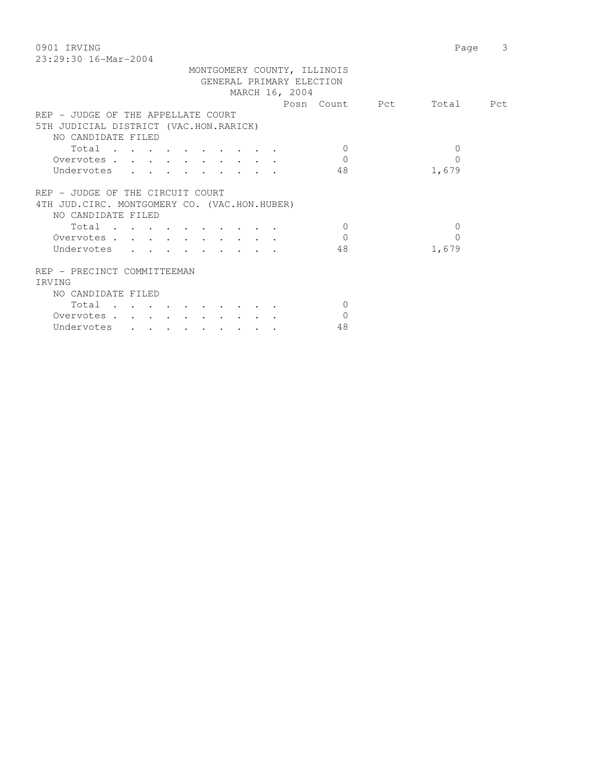0901 IRVING Page 3 23:29:30 16-Mar-2004

|                                               | MONTGOMERY COUNTY, ILLINOIS<br>GENERAL PRIMARY ELECTION |                          |          |
|-----------------------------------------------|---------------------------------------------------------|--------------------------|----------|
|                                               | MARCH 16, 2004                                          |                          |          |
|                                               |                                                         | Posn Count Pct Total Pct |          |
| REP - JUDGE OF THE APPELLATE COURT            |                                                         |                          |          |
| 5TH JUDICIAL DISTRICT (VAC.HON.RARICK)        |                                                         |                          |          |
| NO CANDIDATE FILED                            |                                                         |                          |          |
| Total                                         |                                                         | $\Omega$                 | $\Omega$ |
| Overvotes.                                    |                                                         | $\Omega$                 | 0        |
| Undervotes , , , , , , , , , ,                |                                                         | 48                       | 1,679    |
|                                               |                                                         |                          |          |
| REP - JUDGE OF THE CIRCUIT COURT              |                                                         |                          |          |
| 4TH JUD. CIRC. MONTGOMERY CO. (VAC.HON.HUBER) |                                                         |                          |          |
| NO CANDIDATE FILED                            |                                                         |                          |          |
| Total                                         |                                                         | $\Omega$                 | $\Omega$ |
| Overvotes                                     |                                                         | $\Omega$                 | $\Omega$ |
| Undervotes                                    |                                                         | 48                       | 1,679    |
|                                               |                                                         |                          |          |
| REP - PRECINCT COMMITTEEMAN                   |                                                         |                          |          |
| IRVING                                        |                                                         |                          |          |
| NO CANDIDATE FILED                            |                                                         |                          |          |
| Total                                         |                                                         | $\Omega$                 |          |
| Overvotes                                     |                                                         | $\Omega$                 |          |
| Undervotes                                    |                                                         | 48                       |          |
|                                               |                                                         |                          |          |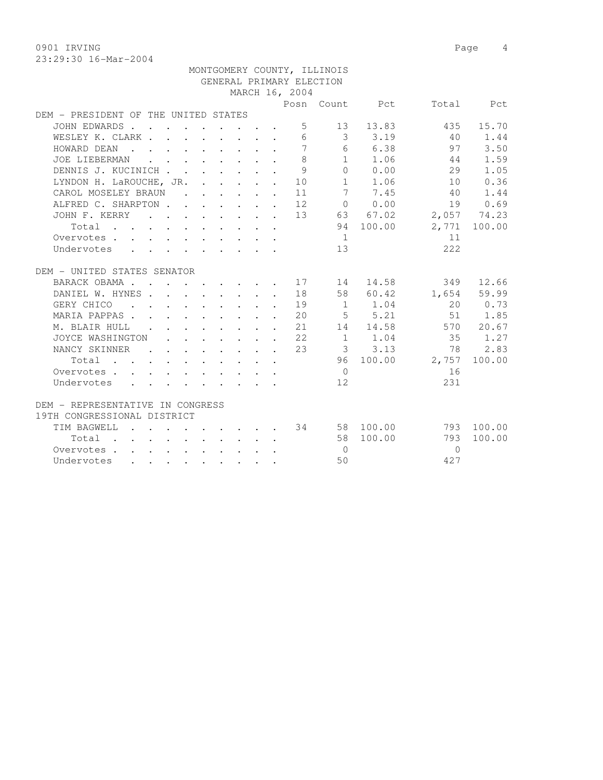0901 IRVING 2008 2010 2020 2030 2040 2050 2060 2071 2080 2090 2090 2091 2092 2093 2094 2096 2097 2098 2099 20

|                                                                     |  |  |  |  |                                                                                                                                                     |                | MONTGOMERY COUNTY, ILLINOIS |                                                      |                 |              |
|---------------------------------------------------------------------|--|--|--|--|-----------------------------------------------------------------------------------------------------------------------------------------------------|----------------|-----------------------------|------------------------------------------------------|-----------------|--------------|
|                                                                     |  |  |  |  |                                                                                                                                                     |                | GENERAL PRIMARY ELECTION    |                                                      |                 |              |
|                                                                     |  |  |  |  |                                                                                                                                                     | MARCH 16, 2004 |                             |                                                      |                 |              |
|                                                                     |  |  |  |  |                                                                                                                                                     |                |                             | Posn Count Pct                                       |                 | Total Pct    |
| DEM - PRESIDENT OF THE UNITED STATES                                |  |  |  |  |                                                                                                                                                     |                |                             |                                                      |                 |              |
| JOHN EDWARDS                                                        |  |  |  |  |                                                                                                                                                     |                | $5 - 5$                     | 13 13.83                                             | 435             | 15.70        |
| WESLEY K. CLARK                                                     |  |  |  |  |                                                                                                                                                     |                |                             | 6 3 3.19                                             | 40              | 1.44         |
| HOWARD DEAN                                                         |  |  |  |  |                                                                                                                                                     | $\overline{7}$ |                             | 6 6.38                                               | 97              | 3.50         |
| JOE LIEBERMAN                                                       |  |  |  |  |                                                                                                                                                     | 8              |                             | $1 \quad 1.06$                                       | 44              | 1.59         |
| DENNIS J. KUCINICH                                                  |  |  |  |  |                                                                                                                                                     | 9              |                             | 0 0.00                                               | 29              | 1.05         |
| LYNDON H. LaROUCHE, JR. 10                                          |  |  |  |  |                                                                                                                                                     |                |                             | 1 1.06                                               | 10              | 0.36         |
| CAROL MOSELEY BRAUN                                                 |  |  |  |  |                                                                                                                                                     | 11             | 7                           | 7.45                                                 | 40              | 1.44         |
| ALFRED C. SHARPTON 12                                               |  |  |  |  |                                                                                                                                                     |                |                             | $\begin{matrix} 0 & 0 & 0 \\ 0 & 0 & 0 \end{matrix}$ | 19              | 0.69         |
| JOHN F. KERRY 13 63 67.02                                           |  |  |  |  |                                                                                                                                                     |                |                             |                                                      | 2,057 74.23     |              |
| Total                                                               |  |  |  |  |                                                                                                                                                     |                |                             | 94 100.00                                            |                 | 2,771 100.00 |
| Overvotes.                                                          |  |  |  |  |                                                                                                                                                     |                | 1                           |                                                      | 11              |              |
| Undervotes                                                          |  |  |  |  |                                                                                                                                                     |                | 13 <sup>7</sup>             |                                                      | 2.2.2           |              |
|                                                                     |  |  |  |  |                                                                                                                                                     |                |                             |                                                      |                 |              |
| DEM - UNITED STATES SENATOR                                         |  |  |  |  |                                                                                                                                                     |                |                             |                                                      |                 |              |
| BARACK OBAMA 17                                                     |  |  |  |  |                                                                                                                                                     |                | 14                          |                                                      | 14.58<br>349    | 12.66        |
| DANIEL W. HYNES 18                                                  |  |  |  |  |                                                                                                                                                     |                |                             | 58 60.42                                             |                 | 1,654 59.99  |
| GERY CHICO 19                                                       |  |  |  |  |                                                                                                                                                     |                |                             | 1 1.04                                               |                 | 20 0.73      |
| MARIA PAPPAS. 20                                                    |  |  |  |  |                                                                                                                                                     |                |                             | $5 \t 5.21$                                          |                 | 51 1.85      |
| M. BLAIR HULL                                                       |  |  |  |  |                                                                                                                                                     | 21             |                             | 14 14.58                                             |                 | 570 20.67    |
| JOYCE WASHINGTON                                                    |  |  |  |  | $\mathbf{r} = \mathbf{r} \times \mathbf{r}$ , where $\mathbf{r} = \mathbf{r} \times \mathbf{r}$ , where $\mathbf{r} = \mathbf{r} \times \mathbf{r}$ | 22             |                             | $1 \t 1.04$                                          | 35              | 1.27         |
| NANCY SKINNER .                                                     |  |  |  |  | $\mathbf{r}$ , and $\mathbf{r}$ , and $\mathbf{r}$ , and $\mathbf{r}$                                                                               | 23             |                             | 3, 3, 13                                             | 78              | 2.83         |
| Total                                                               |  |  |  |  |                                                                                                                                                     |                |                             |                                                      | 96 100.00 2,757 | 100.00       |
| Overvotes                                                           |  |  |  |  |                                                                                                                                                     |                | $\bigcirc$                  |                                                      | 16              |              |
| Undervotes                                                          |  |  |  |  |                                                                                                                                                     |                | 12.                         |                                                      | 231             |              |
|                                                                     |  |  |  |  |                                                                                                                                                     |                |                             |                                                      |                 |              |
| DEM - REPRESENTATIVE IN CONGRESS                                    |  |  |  |  |                                                                                                                                                     |                |                             |                                                      |                 |              |
| 19TH CONGRESSIONAL DISTRICT                                         |  |  |  |  |                                                                                                                                                     |                |                             |                                                      |                 |              |
| TIM BAGWELL                                                         |  |  |  |  |                                                                                                                                                     |                |                             | $\cdot$ 34 58 100.00                                 |                 | 793 100.00   |
| $Total \cdot \cdot \cdot \cdot \cdot \cdot \cdot \cdot \cdot \cdot$ |  |  |  |  |                                                                                                                                                     |                |                             | 58 100.00                                            | 793             | 100.00       |
| Overvotes                                                           |  |  |  |  |                                                                                                                                                     |                | $\bigcirc$                  |                                                      | $\Omega$        |              |
| Undervotes                                                          |  |  |  |  |                                                                                                                                                     |                | 50                          |                                                      | 427             |              |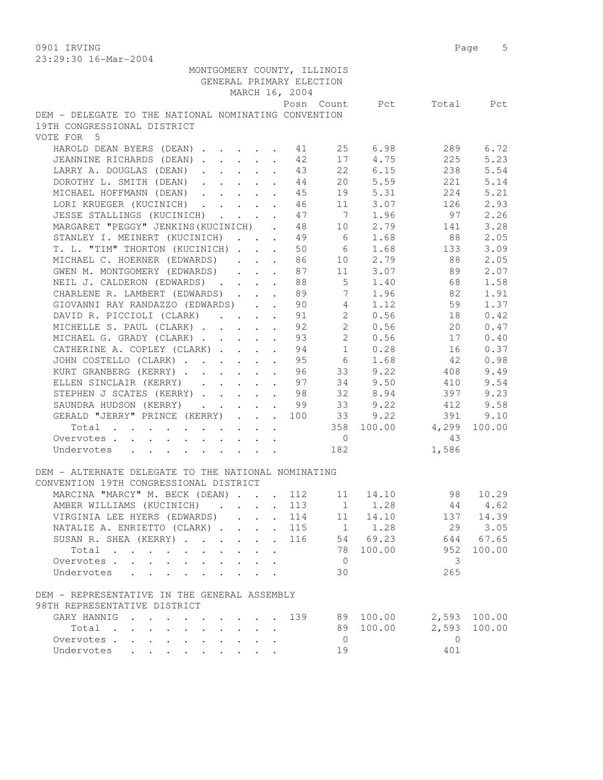0901 IRVING Page 5

| 23:29:30 16-Mar-2004                                                                                                                                                                                                                                                                                                                                                                                                                       |                             |                         |              |           |
|--------------------------------------------------------------------------------------------------------------------------------------------------------------------------------------------------------------------------------------------------------------------------------------------------------------------------------------------------------------------------------------------------------------------------------------------|-----------------------------|-------------------------|--------------|-----------|
| MONTGOMERY COUNTY, ILLINOIS                                                                                                                                                                                                                                                                                                                                                                                                                |                             |                         |              |           |
| GENERAL PRIMARY ELECTION                                                                                                                                                                                                                                                                                                                                                                                                                   |                             |                         |              |           |
| MARCH 16, 2004                                                                                                                                                                                                                                                                                                                                                                                                                             |                             |                         |              |           |
|                                                                                                                                                                                                                                                                                                                                                                                                                                            |                             | Posn Count Pct          |              | Total Pct |
| DEM - DELEGATE TO THE NATIONAL NOMINATING CONVENTION                                                                                                                                                                                                                                                                                                                                                                                       |                             |                         |              |           |
| 19TH CONGRESSIONAL DISTRICT                                                                                                                                                                                                                                                                                                                                                                                                                |                             |                         |              |           |
| VOTE FOR 5                                                                                                                                                                                                                                                                                                                                                                                                                                 |                             |                         |              |           |
| HAROLD DEAN BYERS (DEAN) 11                                                                                                                                                                                                                                                                                                                                                                                                                |                             | 25 6.98                 | 289          | 6.72      |
|                                                                                                                                                                                                                                                                                                                                                                                                                                            |                             | 4.75                    |              |           |
| JEANNINE RICHARDS (DEAN)                                                                                                                                                                                                                                                                                                                                                                                                                   | 42                          | 17                      | 225          | 5.23      |
| LARRY A. DOUGLAS (DEAN)                                                                                                                                                                                                                                                                                                                                                                                                                    | 43                          | 22<br>6.15              | 238          | 5.54      |
| DOROTHY L. SMITH (DEAN)                                                                                                                                                                                                                                                                                                                                                                                                                    | 44                          | 20 5.59                 | 221          | 5.14      |
| MICHAEL HOFFMANN (DEAN)                                                                                                                                                                                                                                                                                                                                                                                                                    | 45                          | 19 5.31                 | 224          | 5.21      |
| LORI KRUEGER (KUCINICH) 46                                                                                                                                                                                                                                                                                                                                                                                                                 |                             | 11 3.07                 | 126          | 2.93      |
| JESSE STALLINGS (KUCINICH)                                                                                                                                                                                                                                                                                                                                                                                                                 | 47                          | $\overline{7}$<br>1.96  | 97           | 2.26      |
| MARGARET "PEGGY" JENKINS (KUCINICH).                                                                                                                                                                                                                                                                                                                                                                                                       | 48                          | 2.79<br>10              | 141          | 3.28      |
| STANLEY I. MEINERT (KUCINICH)                                                                                                                                                                                                                                                                                                                                                                                                              | 49                          | $6\overline{6}$<br>1.68 | 88           | 2.05      |
| T. L. "TIM" THORTON (KUCINICH)                                                                                                                                                                                                                                                                                                                                                                                                             | 50<br>$\sim$                | 6<br>1.68               | 133          | 3.09      |
| MICHAEL C. HOERNER (EDWARDS)                                                                                                                                                                                                                                                                                                                                                                                                               | 86                          | 2.79<br>10              | 88           | 2.05      |
| GWEN M. MONTGOMERY (EDWARDS)                                                                                                                                                                                                                                                                                                                                                                                                               | 87                          | 11 3.07                 | 89           | 2.07      |
| NEIL J. CALDERON (EDWARDS)                                                                                                                                                                                                                                                                                                                                                                                                                 | 88                          | $5 \t 1.40$             | 68           | 1.58      |
| CHARLENE R. LAMBERT (EDWARDS) 89                                                                                                                                                                                                                                                                                                                                                                                                           |                             | 7 1.96                  | 82           | 1.91      |
| GIOVANNI RAY RANDAZZO (EDWARDS) 90                                                                                                                                                                                                                                                                                                                                                                                                         |                             | 4<br>1.12               | 59           | 1.37      |
| DAVID R. PICCIOLI (CLARK)                                                                                                                                                                                                                                                                                                                                                                                                                  | 91                          | $2^{\circ}$<br>0.56     | 18           | 0.42      |
| MICHELLE S. PAUL (CLARK)                                                                                                                                                                                                                                                                                                                                                                                                                   | 92                          | $2^{\circ}$<br>0.56     | 20           | 0.47      |
| MICHAEL G. GRADY (CLARK)                                                                                                                                                                                                                                                                                                                                                                                                                   | 93                          | $2^{\circ}$<br>0.56     | 17           | 0.40      |
|                                                                                                                                                                                                                                                                                                                                                                                                                                            | $\ddot{\phantom{a}}$        | $\overline{1}$<br>0.28  |              |           |
| CATHERINE A. COPLEY (CLARK)                                                                                                                                                                                                                                                                                                                                                                                                                | 94<br>$\mathbf{r}$          |                         | 16           | 0.37      |
| JOHN COSTELLO (CLARK)                                                                                                                                                                                                                                                                                                                                                                                                                      | 95<br>$\mathbf{r}$          | 6<br>1.68               | 42           | 0.98      |
| KURT GRANBERG (KERRY)                                                                                                                                                                                                                                                                                                                                                                                                                      | 96                          | 33 9.22                 | 408          | 9.49      |
| ELLEN SINCLAIR (KERRY) 97                                                                                                                                                                                                                                                                                                                                                                                                                  |                             | 34 9.50                 | 410          | 9.54      |
| STEPHEN J SCATES (KERRY) 98                                                                                                                                                                                                                                                                                                                                                                                                                |                             | 32 8.94                 | 397          | 9.23      |
| SAUNDRA HUDSON (KERRY) 99                                                                                                                                                                                                                                                                                                                                                                                                                  |                             | 33 9.22                 | 412          | 9.58      |
| GERALD "JERRY" PRINCE (KERRY) 100                                                                                                                                                                                                                                                                                                                                                                                                          | 33                          | 9.22                    | 391          | 9.10      |
| Total                                                                                                                                                                                                                                                                                                                                                                                                                                      |                             | 358 100.00              | 4,299        | 100.00    |
| Overvotes                                                                                                                                                                                                                                                                                                                                                                                                                                  |                             | $\overline{0}$          | -43          |           |
| Undervotes<br>$\mathbf{r} = \mathbf{r} + \mathbf{r} + \mathbf{r} + \mathbf{r} + \mathbf{r} + \mathbf{r} + \mathbf{r} + \mathbf{r} + \mathbf{r} + \mathbf{r} + \mathbf{r} + \mathbf{r} + \mathbf{r} + \mathbf{r} + \mathbf{r} + \mathbf{r} + \mathbf{r} + \mathbf{r} + \mathbf{r} + \mathbf{r} + \mathbf{r} + \mathbf{r} + \mathbf{r} + \mathbf{r} + \mathbf{r} + \mathbf{r} + \mathbf{r} + \mathbf{r} + \mathbf{r} + \mathbf{r} + \mathbf$ |                             | 182                     | 1,586        |           |
|                                                                                                                                                                                                                                                                                                                                                                                                                                            |                             |                         |              |           |
| DEM - ALTERNATE DELEGATE TO THE NATIONAL NOMINATING                                                                                                                                                                                                                                                                                                                                                                                        |                             |                         |              |           |
| CONVENTION 19TH CONGRESSIONAL DISTRICT                                                                                                                                                                                                                                                                                                                                                                                                     |                             |                         |              |           |
| MARCINA "MARCY" M. BECK (DEAN) 112                                                                                                                                                                                                                                                                                                                                                                                                         |                             | 11<br>14.10             | 98           | 10.29     |
| AMBER WILLIAMS (KUCINICH)                                                                                                                                                                                                                                                                                                                                                                                                                  | 113                         | 1.28<br>1               | 44           | 4.62      |
| VIRGINIA LEE HYERS (EDWARDS).<br>$\sim$                                                                                                                                                                                                                                                                                                                                                                                                    | 114<br>$\ddot{\phantom{0}}$ | 14.10<br>11             | 137          | 14.39     |
| NATALIE A. ENRIETTO (CLARK)<br>$\ddot{\phantom{a}}$                                                                                                                                                                                                                                                                                                                                                                                        | 115                         | 1.28<br>1               | 29           | 3.05      |
| SUSAN R. SHEA (KERRY)<br>$\ddot{\phantom{0}}$                                                                                                                                                                                                                                                                                                                                                                                              | 116                         | 54 69.23                | 644          | 67.65     |
| Total<br>$\mathbf{L}$                                                                                                                                                                                                                                                                                                                                                                                                                      |                             | 100.00<br>78            | 952          | 100.00    |
| Overvotes<br>$\mathbf{L}$<br>$\ddot{\phantom{0}}$                                                                                                                                                                                                                                                                                                                                                                                          |                             | $\mathbf{0}$            | 3            |           |
| Undervotes                                                                                                                                                                                                                                                                                                                                                                                                                                 |                             |                         |              |           |
| $\mathbf{r}$ . The set of $\mathbf{r}$                                                                                                                                                                                                                                                                                                                                                                                                     |                             | 30                      | 265          |           |
|                                                                                                                                                                                                                                                                                                                                                                                                                                            |                             |                         |              |           |
| DEM - REPRESENTATIVE IN THE GENERAL ASSEMBLY                                                                                                                                                                                                                                                                                                                                                                                               |                             |                         |              |           |
| 98TH REPRESENTATIVE DISTRICT                                                                                                                                                                                                                                                                                                                                                                                                               |                             |                         |              |           |
| GARY HANNIG<br><b>Contract Contract Contract</b>                                                                                                                                                                                                                                                                                                                                                                                           | 139                         | 89<br>100.00            | 2,593        | 100.00    |
| Total<br>$\mathbf{L} = \mathbf{L} \mathbf{L} + \mathbf{L} \mathbf{L}$                                                                                                                                                                                                                                                                                                                                                                      |                             | 100.00<br>89            | 2,593        | 100.00    |
| Overvotes<br>$\mathbf{L}^{\text{max}}$<br>$\sim$ $\sim$                                                                                                                                                                                                                                                                                                                                                                                    |                             | $\overline{0}$          | $\mathbf{0}$ |           |
| Undervotes<br>$\mathbf{r}$<br>$\mathbf{L}$                                                                                                                                                                                                                                                                                                                                                                                                 |                             | 19                      | 401          |           |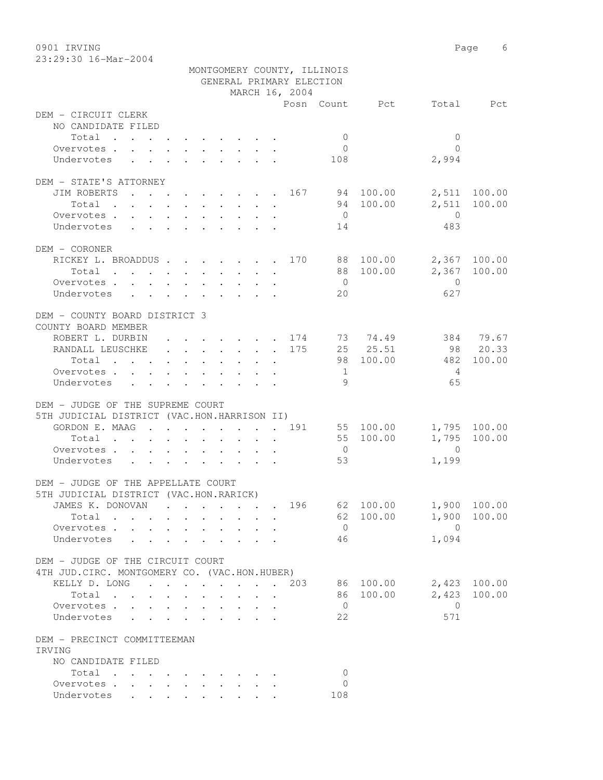0901 IRVING 6 23:29:30 16-Mar-2004

|                                                                                                                          |                                                                                                         | MONTGOMERY COUNTY, ILLINOIS                    |                |                         |              |
|--------------------------------------------------------------------------------------------------------------------------|---------------------------------------------------------------------------------------------------------|------------------------------------------------|----------------|-------------------------|--------------|
|                                                                                                                          |                                                                                                         | GENERAL PRIMARY ELECTION                       |                |                         |              |
|                                                                                                                          |                                                                                                         | MARCH 16, 2004                                 |                |                         |              |
| DEM - CIRCUIT CLERK                                                                                                      |                                                                                                         |                                                | Posn Count Pct |                         | Total Pct    |
| NO CANDIDATE FILED                                                                                                       |                                                                                                         |                                                |                |                         |              |
| Total                                                                                                                    |                                                                                                         |                                                | $\overline{0}$ | $\mathbf{0}$            |              |
| Overvotes                                                                                                                |                                                                                                         |                                                | $\overline{0}$ | $\Omega$                |              |
| Undervotes                                                                                                               | $\mathbf{r}$ , $\mathbf{r}$ , $\mathbf{r}$ , $\mathbf{r}$ , $\mathbf{r}$ , $\mathbf{r}$ , $\mathbf{r}$  |                                                | 108            | 2,994                   |              |
|                                                                                                                          |                                                                                                         |                                                |                |                         |              |
| DEM - STATE'S ATTORNEY                                                                                                   |                                                                                                         |                                                |                |                         |              |
| JIM ROBERTS 167 94 100.00                                                                                                |                                                                                                         |                                                |                |                         | 2,511 100.00 |
| Total<br>the contract of the contract of the contract of the contract of the contract of the contract of the contract of |                                                                                                         |                                                | 94 100.00      | 2,511                   | 100.00       |
| Overvotes                                                                                                                |                                                                                                         |                                                | $\overline{0}$ | $\overline{0}$          |              |
| Undervotes                                                                                                               |                                                                                                         |                                                | 14             | 483                     |              |
|                                                                                                                          |                                                                                                         |                                                |                |                         |              |
| DEM - CORONER                                                                                                            |                                                                                                         |                                                |                |                         |              |
| RICKEY L. BROADDUS 170 88 100.00                                                                                         |                                                                                                         |                                                |                |                         | 2,367 100.00 |
| Total $\cdots$                                                                                                           |                                                                                                         |                                                | 88 100.00      |                         | 2,367 100.00 |
| Overvotes.                                                                                                               |                                                                                                         |                                                | $\overline{0}$ | $\overline{0}$          |              |
| Undervotes                                                                                                               |                                                                                                         |                                                | 20             | 627                     |              |
|                                                                                                                          |                                                                                                         |                                                |                |                         |              |
| DEM - COUNTY BOARD DISTRICT 3                                                                                            |                                                                                                         |                                                |                |                         |              |
| COUNTY BOARD MEMBER                                                                                                      |                                                                                                         |                                                |                |                         |              |
| ROBERT L. DURBIN                                                                                                         |                                                                                                         |                                                |                |                         | 384 79.67    |
| RANDALL LEUSCHKE                                                                                                         |                                                                                                         | . 175                                          | 25 25.51       |                         | 98 20.33     |
| Total                                                                                                                    | $\mathbf{r} = \mathbf{r} + \mathbf{r} + \mathbf{r} + \mathbf{r} + \mathbf{r} + \mathbf{r} + \mathbf{r}$ |                                                | 98 100.00      | 482                     | 100.00       |
| Overvotes.                                                                                                               |                                                                                                         |                                                | $\mathbf{1}$   | 4                       |              |
| Undervotes                                                                                                               |                                                                                                         |                                                | - 9            | 65                      |              |
|                                                                                                                          |                                                                                                         |                                                |                |                         |              |
| DEM - JUDGE OF THE SUPREME COURT<br>5TH JUDICIAL DISTRICT (VAC.HON.HARRISON II)                                          |                                                                                                         |                                                |                |                         |              |
|                                                                                                                          |                                                                                                         |                                                |                |                         |              |
| GORDON E. MAAG 191                                                                                                       |                                                                                                         |                                                | 55 100.00      |                         | 1,795 100.00 |
| Total                                                                                                                    |                                                                                                         |                                                | 55 100.00      | 1,795<br>$\overline{0}$ | 100.00       |
| Overvotes                                                                                                                |                                                                                                         |                                                | $\overline{0}$ |                         |              |
| Undervotes                                                                                                               |                                                                                                         |                                                | 53             | 1,199                   |              |
| DEM - JUDGE OF THE APPELLATE COURT                                                                                       |                                                                                                         |                                                |                |                         |              |
| 5TH JUDICIAL DISTRICT (VAC.HON.RARICK)                                                                                   |                                                                                                         |                                                |                |                         |              |
| JAMES K. DONOVAN                                                                                                         |                                                                                                         | . 196                                          | 62 100.00      |                         | 1,900 100.00 |
| Total<br>$\cdot$                                                                                                         |                                                                                                         |                                                | 100.00<br>62   | 1,900                   | 100.00       |
| Overvotes<br>$\mathbf{L}^{\text{max}}$                                                                                   |                                                                                                         |                                                | $\overline{0}$ | $\bigcirc$              |              |
| Undervotes                                                                                                               |                                                                                                         |                                                | 46             | 1,094                   |              |
|                                                                                                                          |                                                                                                         |                                                |                |                         |              |
| DEM - JUDGE OF THE CIRCUIT COURT                                                                                         |                                                                                                         |                                                |                |                         |              |
| 4TH JUD. CIRC. MONTGOMERY CO. (VAC.HON.HUBER)                                                                            |                                                                                                         |                                                |                |                         |              |
| KELLY D. LONG                                                                                                            |                                                                                                         | 203                                            | 86 100.00      | 2,423                   | 100.00       |
| Total                                                                                                                    | $\mathbf{L}$<br>$\mathbf{r}$                                                                            | $\mathbf{r}$ and $\mathbf{r}$ and $\mathbf{r}$ | 86<br>100.00   | 2,423                   | 100.00       |
| Overvotes                                                                                                                |                                                                                                         |                                                | $\overline{0}$ | $\overline{0}$          |              |
| Undervotes                                                                                                               | $\ddot{\phantom{0}}$                                                                                    | $\cdot$ $\cdot$ $\cdot$ $\cdot$                | 22             | 571                     |              |
|                                                                                                                          |                                                                                                         |                                                |                |                         |              |
| DEM - PRECINCT COMMITTEEMAN<br>IRVING                                                                                    |                                                                                                         |                                                |                |                         |              |
| NO CANDIDATE FILED                                                                                                       |                                                                                                         |                                                |                |                         |              |
| Total<br>$\mathcal{A}$ . The contribution of the contribution of the contribution of $\mathcal{A}$                       |                                                                                                         |                                                | 0              |                         |              |
| Overvotes.                                                                                                               |                                                                                                         |                                                | 0              |                         |              |
| Undervotes                                                                                                               | $\mathbf{r}$ , $\mathbf{r}$ , $\mathbf{r}$ , $\mathbf{r}$ , $\mathbf{r}$                                |                                                | 108            |                         |              |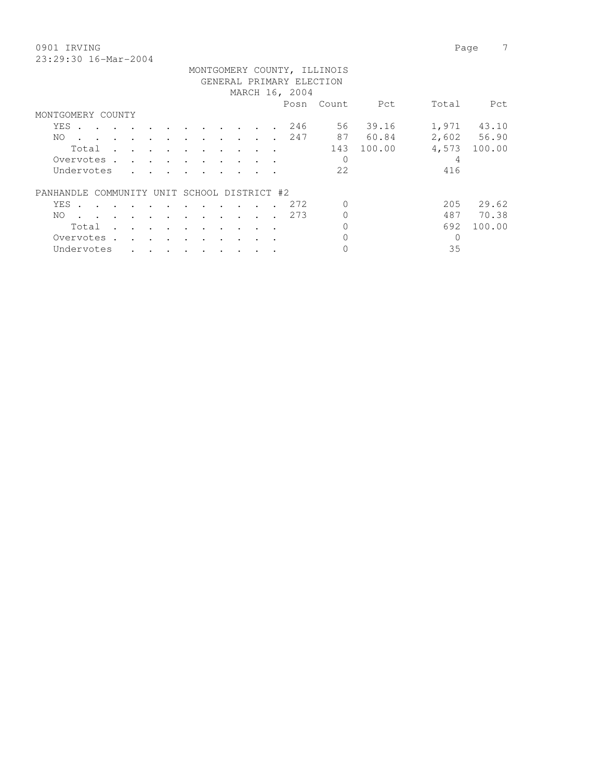0901 IRVING Page 7 23:29:30 16-Mar-2004

PANHANDLE COMMUNITY UNIT SCHOOL DISTRICT #2

| 23:29:30 16-Mar-2004 |                              |                |       |       |
|----------------------|------------------------------|----------------|-------|-------|
|                      | MONTGOMERY COUNTY, ILLINOIS  |                |       |       |
|                      | GENERAL PRIMARY ELECTION     |                |       |       |
|                      | MARCH 16, 2004               |                |       |       |
|                      |                              | Posn Count Pet | Total | - Pet |
| MONTGOMERY COUNTY    |                              |                |       |       |
|                      | YES 246 56 39.16 1,971 43.10 |                |       |       |

 NO . . . . . . . . . . . . 247 87 60.84 2,602 56.90 Total . . . . . . . . . . 143 100.00 4,573 100.00

YES . . . . . . . . . . . . 272 0 205 29.62 NO . . . . . . . . . . . . 273 0 487 70.38 Total . . . . . . . . . 0 692 100.00

Overvotes . . . . . . . . . . . 0 4 Undervotes . . . . . . . . . 22 416

 Overvotes . . . . . . . . . . 0 0 Undervotes . . . . . . . . . 0 35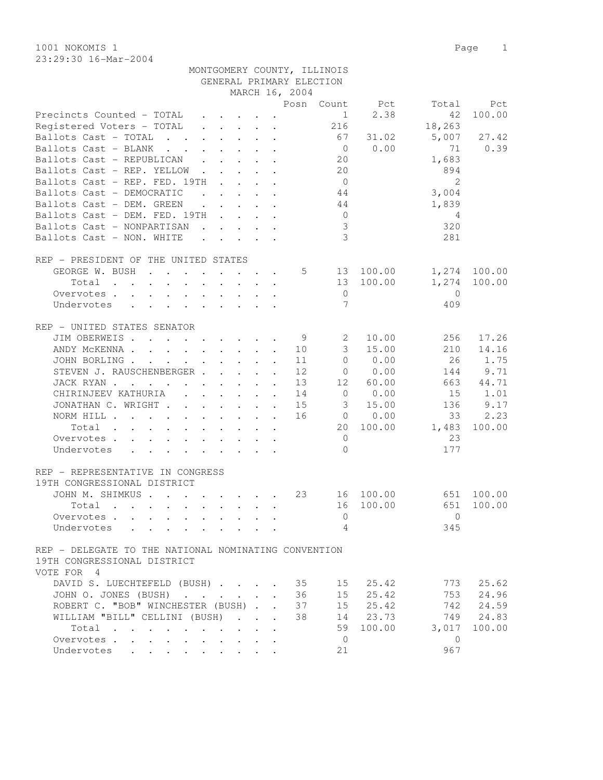1001 NOKOMIS 1 Page 1 23:29:30 16-Mar-2004

| GENERAL PRIMARY ELECTION                                                                                                          |                            |                        |                |           |
|-----------------------------------------------------------------------------------------------------------------------------------|----------------------------|------------------------|----------------|-----------|
|                                                                                                                                   | MARCH 16, 2004             |                        |                |           |
|                                                                                                                                   |                            | Posn Count<br>Pct      | Total          | Pct       |
| Precincts Counted - TOTAL<br>$\cdot$ $\cdot$ $\cdot$ $\cdot$ $\cdot$ $\cdot$<br>$\sim$                                            |                            | $\mathbf{1}$           | 2.38<br>42     | 100.00    |
| Registered Voters - TOTAL<br>$\cdot$ $\cdot$ $\cdot$ $\cdot$ $\cdot$ $\cdot$                                                      |                            | 216                    | 18,263         |           |
| Ballots Cast - TOTAL<br>$\cdot$ $\cdot$ $\cdot$ $\cdot$ $\cdot$ $\cdot$                                                           |                            | 67                     | 31.02<br>5,007 | 27.42     |
| Ballots Cast - BLANK<br>$\mathbf{r}$ , and $\mathbf{r}$ , and $\mathbf{r}$ , and $\mathbf{r}$                                     |                            | $\overline{0}$         | 0.00<br>71     | 0.39      |
| Ballots Cast - REPUBLICAN                                                                                                         |                            | 20                     | 1,683          |           |
| Ballots Cast - REP. YELLOW<br>$\ddot{\phantom{1}}$                                                                                |                            | 20                     | 894            |           |
| Ballots Cast - REP. FED. 19TH<br>$\cdot$ $\cdot$ $\cdot$ $\cdot$ $\cdot$                                                          |                            | $\overline{0}$         | 2              |           |
| Ballots Cast - DEMOCRATIC<br>$\ddot{\phantom{a}}$ . $\ddot{\phantom{a}}$                                                          |                            | 44                     | 3,004          |           |
| Ballots Cast - DEM. GREEN<br>$\ddot{\phantom{a}}$<br>$\mathbf{r}$ , $\mathbf{r}$ , $\mathbf{r}$ , $\mathbf{r}$ , $\mathbf{r}$     |                            | 44                     | 1,839          |           |
| Ballots Cast - DEM. FED. 19TH<br>$\mathbf{r}$ . The set of $\mathbf{r}$                                                           |                            | $\overline{0}$         | 4              |           |
| Ballots Cast - NONPARTISAN                                                                                                        |                            | 3                      | 320            |           |
| Ballots Cast - NON. WHITE                                                                                                         |                            | $\mathcal{E}$          | 281            |           |
| $\mathcal{L}^{\mathcal{A}}$ , and $\mathcal{L}^{\mathcal{A}}$ , and $\mathcal{L}^{\mathcal{A}}$ , and $\mathcal{L}^{\mathcal{A}}$ |                            |                        |                |           |
| REP - PRESIDENT OF THE UNITED STATES                                                                                              |                            |                        |                |           |
| GEORGE W. BUSH                                                                                                                    | 5                          | 100.00<br>13           | 1,274          | 100.00    |
| Total<br>$\mathbf{r}$ . The set of $\mathbf{r}$<br>$\mathbf{r}$ , $\mathbf{r}$ , $\mathbf{r}$                                     |                            | 100.00<br>13           | 1,274          | 100.00    |
|                                                                                                                                   |                            |                        | $\Omega$       |           |
| Overvotes                                                                                                                         |                            | $\mathbf 0$<br>7       |                |           |
| Undervotes                                                                                                                        |                            |                        | 409            |           |
| REP - UNITED STATES SENATOR                                                                                                       |                            |                        |                |           |
|                                                                                                                                   |                            |                        |                |           |
| JIM OBERWEIS                                                                                                                      | 9                          | 2                      | 10.00<br>256   | 17.26     |
| ANDY MCKENNA                                                                                                                      | 10                         | 3                      | 15.00<br>210   | 14.16     |
| JOHN BORLING.<br>$\mathcal{A}$ . The set of the set of the set of the $\mathcal{A}$                                               | 11                         | $\circ$                | 0.00<br>26     | 1.75      |
| STEVEN J. RAUSCHENBERGER                                                                                                          | 12                         | $\overline{0}$         | 0.00<br>144    | 9.71      |
| JACK RYAN                                                                                                                         | 13<br>$\ddot{\phantom{a}}$ | 12 <sup>°</sup>        | 60.00<br>663   | 44.71     |
| CHIRINJEEV KATHURIA                                                                                                               | 14                         | 0.00<br>$\overline{0}$ | 15             | 1.01      |
| JONATHAN C. WRIGHT                                                                                                                | 15                         | 3                      | 15.00<br>136   | 9.17      |
| NORM HILL                                                                                                                         | 16                         | 0.00<br>$\overline{0}$ | 33             | 2.23      |
| Total                                                                                                                             |                            | 20<br>100.00           | 1,483          | 100.00    |
| Overvotes                                                                                                                         |                            | $\overline{0}$         | 23             |           |
| Undervotes                                                                                                                        |                            | $\Omega$               | 177            |           |
|                                                                                                                                   |                            |                        |                |           |
| REP - REPRESENTATIVE IN CONGRESS                                                                                                  |                            |                        |                |           |
| 19TH CONGRESSIONAL DISTRICT                                                                                                       |                            |                        |                |           |
| JOHN M. SHIMKUS                                                                                                                   | 23                         | 100.00<br>16           | 651            | 100.00    |
| Total<br>$\mathbf{r}$ , and $\mathbf{r}$ , and $\mathbf{r}$ , and $\mathbf{r}$ , and $\mathbf{r}$                                 |                            | 100.00<br>16           | 651            | 100.00    |
|                                                                                                                                   |                            | $\overline{0}$         | $\bigcirc$     |           |
| Undervotes                                                                                                                        |                            | 4                      | 345            |           |
|                                                                                                                                   |                            |                        |                |           |
| REP - DELEGATE TO THE NATIONAL NOMINATING CONVENTION                                                                              |                            |                        |                |           |
| 19TH CONGRESSIONAL DISTRICT                                                                                                       |                            |                        |                |           |
| VOTE FOR 4                                                                                                                        |                            |                        |                |           |
| DAVID S. LUECHTEFELD (BUSH)                                                                                                       | 35                         | 15                     | 25.42<br>773   | 25.62     |
| JOHN 0. JONES (BUSH)                                                                                                              | 36                         | 15                     | 753<br>25.42   | 24.96     |
| ROBERT C. "BOB" WINCHESTER (BUSH)                                                                                                 | 37                         | 15                     | 25.42<br>742   | 24.59     |
| WILLIAM "BILL" CELLINI (BUSH)                                                                                                     | 38                         | 14 23.73               |                | 749 24.83 |
|                                                                                                                                   |                            |                        |                |           |
| Total                                                                                                                             |                            | 100.00<br>59           | 3,017          | 100.00    |
| Overvotes<br>$\mathbf{z} = \mathbf{z} + \mathbf{z}$ .                                                                             |                            | $\overline{0}$         | $\mathbf{0}$   |           |
| Undervotes                                                                                                                        |                            | 21                     | 967            |           |

MONTGOMERY COUNTY, ILLINOIS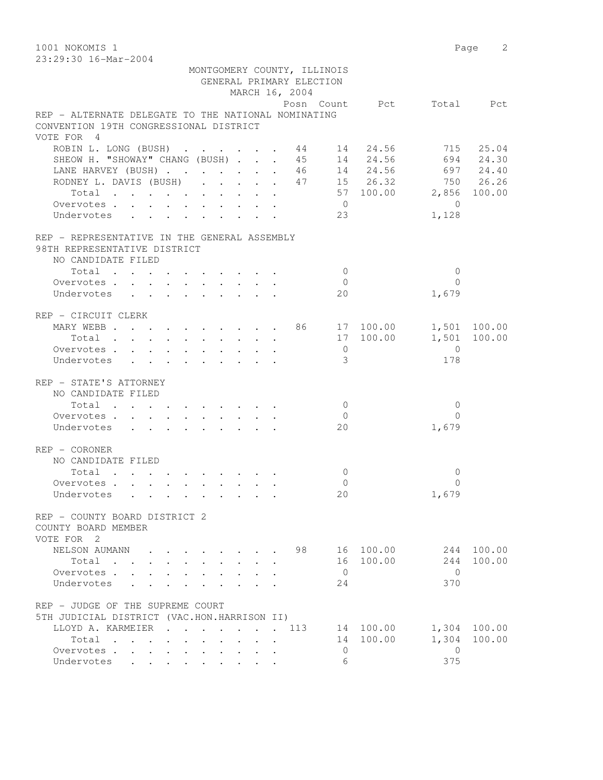1001 NOKOMIS 1 Page 2 23:29:30 16-Mar-2004 MONTGOMERY COUNTY, ILLINOIS GENERAL PRIMARY ELECTION MARCH 16, 2004 Posn Count Pct Total Pct REP - ALTERNATE DELEGATE TO THE NATIONAL NOMINATING CONVENTION 19TH CONGRESSIONAL DISTRICT VOTE FOR 4 ROBIN L. LONG (BUSH) . . . . . . 44 14 24.56 715 25.04 SHEOW H. "SHOWAY" CHANG (BUSH) . . . 45 14 24.56 694 24.30 LANE HARVEY (BUSH) . . . . . . . 46 14 24.56 697 24.40 RODNEY L. DAVIS (BUSH) . . . . . 47 15 26.32 750 26.26 Total . . . . . . . . . . 57 100.00 2,856 100.00 Overvotes . . . . . . . . . . 0 0 Undervotes . . . . . . . . . 23 1,128 REP - REPRESENTATIVE IN THE GENERAL ASSEMBLY 98TH REPRESENTATIVE DISTRICT NO CANDIDATE FILED  $\text{Total} \quad . \quad . \quad . \quad . \quad . \quad . \quad . \qquad . \qquad 0 \qquad \qquad 0$  Overvotes . . . . . . . . . . 0 0 Undervotes . . . . . . . . . . 20 1,679 REP - CIRCUIT CLERK MARY WEBB . . . . . . . . . 86 17 100.00 1,501 100.00 Total . . . . . . . . . . 17 100.00 1,501 100.00 Overvotes . . . . . . . . . . . 0<br>
Undervotes . . . . . . . . . . 3 178 Undervotes . . . . . . . . . . 3 178 REP - STATE'S ATTORNEY NO CANDIDATE FILED  $\texttt{Total} \quad . \quad . \quad . \quad . \quad . \quad . \quad . \qquad . \qquad 0 \qquad \qquad 0$ Overvotes . . . . . . . . . . . 0 Undervotes . . . . . . . . . 20 1,679 REP - CORONER NO CANDIDATE FILED Total . . . . . . . . . . 0 0 Overvotes . . . . . . . . . . 0 0 Undervotes . . . . . . . . . 20 1,679 REP - COUNTY BOARD DISTRICT 2 COUNTY BOARD MEMBER VOTE FOR 2 NELSON AUMANN . . . . . . . . 98 16 100.00 244 100.00 Total . . . . . . . . . . 16 100.00 244 100.00 Overvotes . . . . . . . . . . 0 0 Undervotes . . . . . . . . . 24 370 REP - JUDGE OF THE SUPREME COURT 5TH JUDICIAL DISTRICT (VAC.HON.HARRISON II) LLOYD A. KARMEIER . . . . . . . 113 14 100.00 1,304 100.00 Total . . . . . . . . . . 14 100.00 1,304 100.00 Overvotes . . . . . . . . . . . 0

Undervotes . . . . . . . . . . 6 375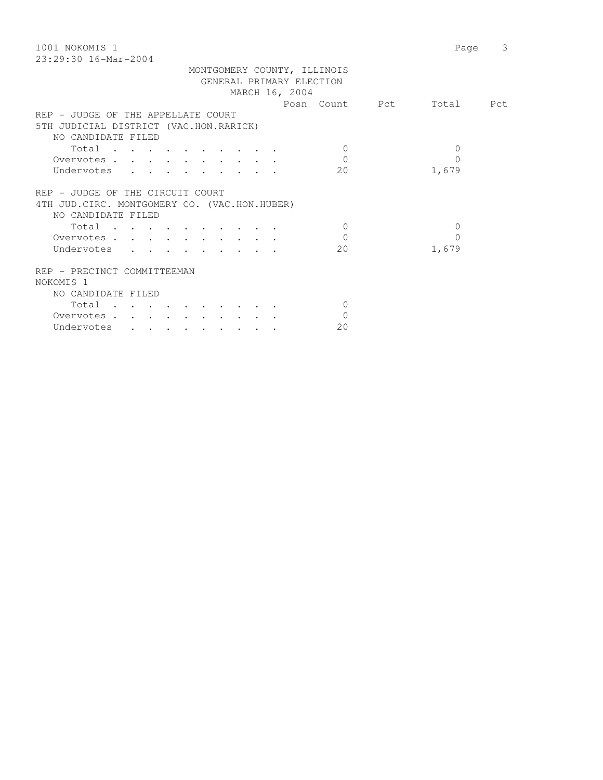| 1001 NOKOMIS 1                                | 3<br>Page |
|-----------------------------------------------|-----------|
| $23:29:30$ 16-Mar-2004                        |           |
| MONTGOMERY COUNTY, ILLINOIS                   |           |
| GENERAL PRIMARY ELECTION                      |           |
| MARCH 16, 2004                                |           |
| Posn Count Pct                                | Total Pct |
| REP - JUDGE OF THE APPELLATE COURT            |           |
| 5TH JUDICIAL DISTRICT (VAC.HON.RARICK)        |           |
| NO CANDIDATE FILED                            |           |
| $\Omega$                                      | $\Omega$  |
| Total                                         |           |
| $\Omega$<br>Overvotes                         | $\Omega$  |
| Undervotes<br>20                              | 1,679     |
|                                               |           |
| REP - JUDGE OF THE CIRCUIT COURT              |           |
| 4TH JUD. CIRC. MONTGOMERY CO. (VAC.HON.HUBER) |           |
| NO CANDIDATE FILED                            |           |
| Total<br>$\bigcirc$                           | $\Omega$  |
| $\Omega$<br>Overvotes                         | $\Omega$  |
| Undervotes<br>20                              | 1,679     |
|                                               |           |
| REP - PRECINCT COMMITTEEMAN                   |           |
| NOKOMIS <sub>1</sub>                          |           |
| NO CANDIDATE FILED                            |           |
| Total<br>$\Omega$                             |           |
|                                               |           |
| $\Omega$<br>Overvotes.                        |           |
| 20<br>Undervotes                              |           |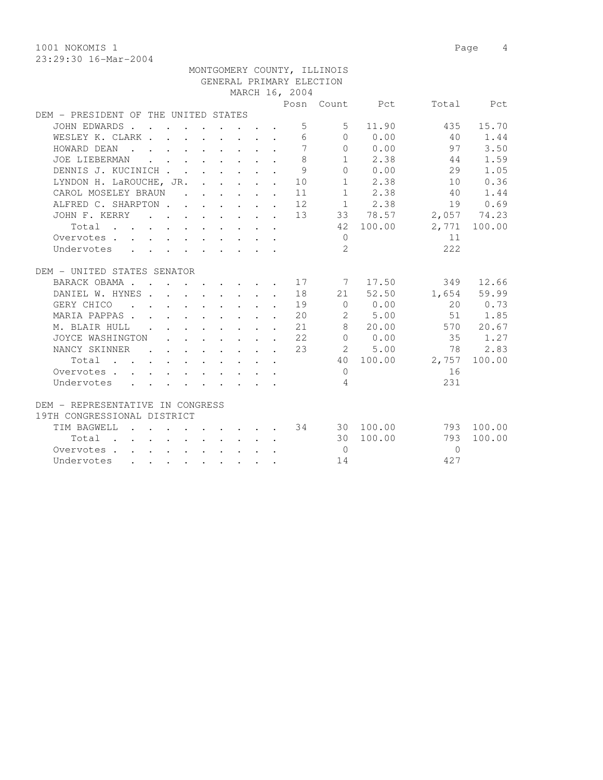1001 NOKOMIS 1 Page 4 23:29:30 16-Mar-2004

|                                                                                                                                   |                                                                       |  |                                         |        |                                                            | MONTGOMERY COUNTY, ILLINOIS |                |           |              |
|-----------------------------------------------------------------------------------------------------------------------------------|-----------------------------------------------------------------------|--|-----------------------------------------|--------|------------------------------------------------------------|-----------------------------|----------------|-----------|--------------|
|                                                                                                                                   |                                                                       |  |                                         |        |                                                            | GENERAL PRIMARY ELECTION    |                |           |              |
|                                                                                                                                   |                                                                       |  |                                         |        | MARCH 16, 2004                                             |                             |                |           |              |
|                                                                                                                                   |                                                                       |  |                                         |        |                                                            |                             | Posn Count Pct |           | Total Pct    |
| DEM - PRESIDENT OF THE UNITED STATES                                                                                              |                                                                       |  |                                         |        |                                                            |                             |                |           |              |
| JOHN EDWARDS                                                                                                                      |                                                                       |  |                                         |        | $\overline{5}$                                             | 5.                          | 11.90          | 435       | 15.70        |
| WESLEY K. CLARK                                                                                                                   |                                                                       |  |                                         |        | 6                                                          | $\bigcap$                   | 0.00           | 40        | 1.44         |
| HOWARD DEAN<br>$\mathbf{r}$ , and $\mathbf{r}$ , and $\mathbf{r}$ , and $\mathbf{r}$                                              |                                                                       |  |                                         | $\sim$ | 7                                                          | $\Omega$                    | 0.00           | 97        | 3.50         |
| JOE LIEBERMAN                                                                                                                     | $\mathbf{r} = \mathbf{r} \cdot \mathbf{r}$                            |  | $\cdot$ $\cdot$ $\cdot$ $\cdot$ $\cdot$ |        | 8                                                          |                             | $1 \t 2.38$    | 44        | 1.59         |
| DENNIS J. KUCINICH                                                                                                                |                                                                       |  | $\cdot$ $\cdot$ $\cdot$ $\cdot$         | $\sim$ | 9                                                          | 0                           | 0.00           | 29        | 1.05         |
| LYNDON H. LaROUCHE, JR. 10                                                                                                        |                                                                       |  |                                         |        |                                                            |                             | $1 \t 2.38$    | 10        | 0.36         |
| CAROL MOSELEY BRAUN                                                                                                               |                                                                       |  |                                         |        | $\cdots$ $\cdots$ $\cdots$ 11                              |                             | $1 \t 2.38$    | 40        | 1.44         |
| ALFRED C. SHARPTON.                                                                                                               |                                                                       |  |                                         |        | $\cdot$ $\cdot$ $\cdot$ $\cdot$ $\cdot$ $\cdot$ 12         |                             | $1 \t 2.38$    | 19        | 0.69         |
| JOHN F. KERRY                                                                                                                     |                                                                       |  |                                         |        | $\cdot \cdot \cdot \cdot \cdot \cdot \cdot \cdot \cdot 13$ |                             | 33 78.57       |           | 2,057 74.23  |
| Total<br>$\mathbf{r}$ , and $\mathbf{r}$ , and $\mathbf{r}$ , and $\mathbf{r}$ , and $\mathbf{r}$                                 |                                                                       |  |                                         |        |                                                            |                             | 42 100.00      |           | 2,771 100.00 |
| Overvotes.                                                                                                                        |                                                                       |  |                                         |        |                                                            | $\circ$                     |                | 11        |              |
| Undervotes                                                                                                                        |                                                                       |  |                                         |        |                                                            | $\overline{2}$              |                | 2.2.2     |              |
|                                                                                                                                   |                                                                       |  |                                         |        |                                                            |                             |                |           |              |
| DEM - UNITED STATES SENATOR                                                                                                       |                                                                       |  |                                         |        |                                                            |                             |                |           |              |
| BARACK OBAMA.                                                                                                                     |                                                                       |  |                                         |        | . 17                                                       | $\overline{7}$              | 17.50          | 349       | 12.66        |
| DANIEL W. HYNES                                                                                                                   |                                                                       |  |                                         |        | 18                                                         |                             | 21 52.50       | 1,654     | 59.99        |
| GERY CHICO<br>$\sim$                                                                                                              | $\cdot$ $\cdot$ $\cdot$ $\cdot$ $\cdot$ $\cdot$ $\cdot$ $\cdot$       |  |                                         |        | 19                                                         | $\overline{0}$              | 0.00           | 20        | 0.73         |
| MARIA PAPPAS.<br>$\mathbf{r}$                                                                                                     | $\cdot$ $\cdot$ $\cdot$ $\cdot$ $\cdot$ $\cdot$ $\cdot$ $\cdot$       |  |                                         |        | 20                                                         | 2                           | 5.00           | 51        | 1.85         |
| M. BLAIR HULL                                                                                                                     |                                                                       |  |                                         |        | $\cdot$ $\cdot$ $\cdot$ $\cdot$ $\cdot$ $\cdot$ $\cdot$ 21 | $8 -$                       | 20.00          | 570       | 20.67        |
| JOYCE WASHINGTON                                                                                                                  |                                                                       |  |                                         |        | $\cdot$ $\cdot$ $\cdot$ $\cdot$ $\cdot$ $\cdot$ $\cdot$ 22 |                             | 0 0.00         | 35        | 1.27         |
| NANCY SKINNER                                                                                                                     |                                                                       |  |                                         |        | $\cdot$ $\cdot$ $\cdot$ $\cdot$ $\cdot$ $\cdot$ $\cdot$ 23 |                             | 2 5.00         | 78        | 2.83         |
| Total<br>the contract of the contract of the contract of the contract of the contract of the contract of the contract of          |                                                                       |  |                                         |        |                                                            |                             | 40 100.00      | 2,757     | 100.00       |
| Overvotes                                                                                                                         |                                                                       |  |                                         |        |                                                            | $\Omega$                    |                | 16        |              |
| Undervotes                                                                                                                        |                                                                       |  |                                         |        |                                                            | $\overline{4}$              |                | 231       |              |
| DEM - REPRESENTATIVE IN CONGRESS                                                                                                  |                                                                       |  |                                         |        |                                                            |                             |                |           |              |
| 19TH CONGRESSIONAL DISTRICT                                                                                                       |                                                                       |  |                                         |        |                                                            |                             |                |           |              |
| TIM BAGWELL<br>$\mathbf{r}$ , and $\mathbf{r}$ , and $\mathbf{r}$ , and $\mathbf{r}$                                              |                                                                       |  |                                         |        | 34                                                         |                             | 30 100.00      |           | 793 100.00   |
| Total .                                                                                                                           | $\mathbf{r}$ , and $\mathbf{r}$ , and $\mathbf{r}$ , and $\mathbf{r}$ |  |                                         |        |                                                            |                             | 30 100.00      | 793       | 100.00       |
| Overvotes                                                                                                                         |                                                                       |  |                                         |        |                                                            | $\Omega$                    |                | $\bigcap$ |              |
| Undervotes<br>and the contract of the contract of the contract of the contract of the contract of the contract of the contract of |                                                                       |  |                                         |        |                                                            | 14                          |                | 427       |              |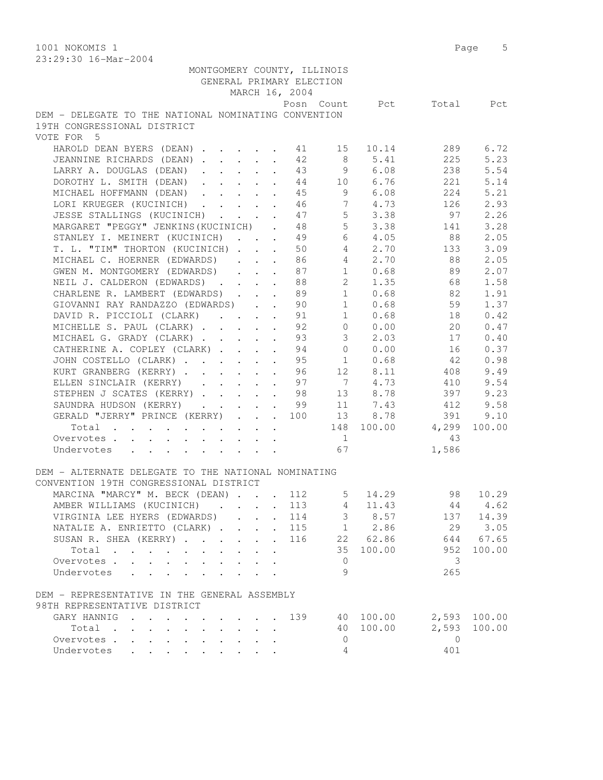1001 NOKOMIS 1 Page 5

| 23:29:30 16-Mar-2004                                                                                                                                                                                                                         |                                             |                         |                |           |
|----------------------------------------------------------------------------------------------------------------------------------------------------------------------------------------------------------------------------------------------|---------------------------------------------|-------------------------|----------------|-----------|
| MONTGOMERY COUNTY, ILLINOIS                                                                                                                                                                                                                  |                                             |                         |                |           |
| GENERAL PRIMARY ELECTION                                                                                                                                                                                                                     |                                             |                         |                |           |
| MARCH 16, 2004                                                                                                                                                                                                                               |                                             |                         |                |           |
|                                                                                                                                                                                                                                              | Posn Count Pct                              |                         |                | Total Pct |
| DEM - DELEGATE TO THE NATIONAL NOMINATING CONVENTION<br>19TH CONGRESSIONAL DISTRICT                                                                                                                                                          |                                             |                         |                |           |
| VOTE FOR 5                                                                                                                                                                                                                                   |                                             |                         |                |           |
| HAROLD DEAN BYERS (DEAN)                                                                                                                                                                                                                     | 15<br>41                                    | 10.14                   | 289            | 6.72      |
| JEANNINE RICHARDS (DEAN)                                                                                                                                                                                                                     | 42<br>8                                     | 5.41                    | 225            | 5.23      |
| LARRY A. DOUGLAS (DEAN)                                                                                                                                                                                                                      | 43                                          | 9 6.08                  | 238            | 5.54      |
| DOROTHY L. SMITH (DEAN)                                                                                                                                                                                                                      | 44                                          | 10 6.76                 | 221            | 5.14      |
| MICHAEL HOFFMANN (DEAN)                                                                                                                                                                                                                      | 45                                          | 9<br>6.08               | 224            | 5.21      |
| LORI KRUEGER (KUCINICH) 46                                                                                                                                                                                                                   |                                             | $7\overline{ }$<br>4.73 | 126            | 2.93      |
| JESSE STALLINGS (KUCINICH)                                                                                                                                                                                                                   | 47                                          | 5 <sub>5</sub><br>3.38  | 97             | 2.26      |
| MARGARET "PEGGY" JENKINS (KUCINICH)                                                                                                                                                                                                          | 48<br>$\sim$ $\sim$                         | 5 <sup>5</sup><br>3.38  | 141            | 3.28      |
| STANLEY I. MEINERT (KUCINICH)                                                                                                                                                                                                                | 49<br>$\bullet$ .                           | 6<br>4.05               | 88             | 2.05      |
| T. L. "TIM" THORTON (KUCINICH)                                                                                                                                                                                                               | 50<br>$\sim$                                | $4\overline{ }$<br>2.70 | 133            | 3.09      |
| MICHAEL C. HOERNER (EDWARDS)                                                                                                                                                                                                                 | 86                                          | $4\overline{ }$<br>2.70 | 88             | 2.05      |
| GWEN M. MONTGOMERY (EDWARDS)<br>$\mathbf{r}$ , $\mathbf{r}$ , $\mathbf{r}$ , $\mathbf{r}$                                                                                                                                                    | 87                                          | $1 \t 0.68$             | 89             | 2.07      |
| NEIL J. CALDERON (EDWARDS)                                                                                                                                                                                                                   | 88                                          | 2 1.35                  | 68             | 1.58      |
| CHARLENE R. LAMBERT (EDWARDS)                                                                                                                                                                                                                | 89                                          | $1 \t 0.68$             | 82             | 1.91      |
| GIOVANNI RAY RANDAZZO (EDWARDS) 90                                                                                                                                                                                                           |                                             | $1 \t 0.68$             | 59             | 1.37      |
| DAVID R. PICCIOLI (CLARK)                                                                                                                                                                                                                    | 91                                          | 1<br>0.68               | 18             | 0.42      |
| MICHELLE S. PAUL (CLARK)                                                                                                                                                                                                                     | 92                                          | $\overline{0}$<br>0.00  | 20             | 0.47      |
| MICHAEL G. GRADY (CLARK)                                                                                                                                                                                                                     | $\mathcal{S}$<br>93<br>$\ddot{\phantom{a}}$ | 2.03                    | 17             | 0.40      |
| CATHERINE A. COPLEY (CLARK)                                                                                                                                                                                                                  | $\bigcirc$<br>94<br>$\ddot{\phantom{a}}$    | 0.00                    | 16             | 0.37      |
| JOHN COSTELLO (CLARK)                                                                                                                                                                                                                        | 95<br>1<br>$\ddot{\phantom{a}}$             | 0.68                    | 42             | 0.98      |
| KURT GRANBERG (KERRY)                                                                                                                                                                                                                        | 96                                          | 12 8.11                 | 408            | 9.49      |
| ELLEN SINCLAIR (KERRY)                                                                                                                                                                                                                       | 97                                          | 7 4.73                  | 410            | 9.54      |
| STEPHEN J SCATES (KERRY) 98                                                                                                                                                                                                                  |                                             | 13 8.78                 | 397            | 9.23      |
| SAUNDRA HUDSON (KERRY) 99                                                                                                                                                                                                                    |                                             | 11 7.43                 | 412            | 9.58      |
| GERALD "JERRY" PRINCE (KERRY) 100                                                                                                                                                                                                            |                                             | 13<br>8.78              | 391            | 9.10      |
| Total                                                                                                                                                                                                                                        |                                             | 148 100.00              | 4,299          | 100.00    |
| Overvotes                                                                                                                                                                                                                                    | 1                                           |                         | 43             |           |
| Undervotes<br>and a series of the contract of the series of the series of the series of the series of the series of the series of the series of the series of the series of the series of the series of the series of the series of the seri | 67                                          |                         | 1,586          |           |
|                                                                                                                                                                                                                                              |                                             |                         |                |           |
| DEM - ALTERNATE DELEGATE TO THE NATIONAL NOMINATING                                                                                                                                                                                          |                                             |                         |                |           |
| CONVENTION 19TH CONGRESSIONAL DISTRICT                                                                                                                                                                                                       |                                             |                         |                |           |
| MARCINA "MARCY" M. BECK (DEAN) 112                                                                                                                                                                                                           | 5                                           | 14.29                   | 98             | 10.29     |
| AMBER WILLIAMS (KUCINICH)                                                                                                                                                                                                                    | 113<br>4                                    | 11.43                   | 44             | 4.62      |
| VIRGINIA LEE HYERS (EDWARDS).<br>$\sim$                                                                                                                                                                                                      | $\mathfrak{Z}$<br>114<br>$\sim$             | 8.57                    | 137            | 14.39     |
| NATALIE A. ENRIETTO (CLARK)<br>$\ddot{\phantom{a}}$                                                                                                                                                                                          | 115                                         | 1 2.86                  | 29             | 3.05      |
| SUSAN R. SHEA (KERRY)<br>$\ddot{\phantom{0}}$                                                                                                                                                                                                | 116                                         | 22 62.86                | 644            | 67.65     |
| Total<br>$\sim$                                                                                                                                                                                                                              | 35                                          | 100.00                  | 952            | 100.00    |
| Overvotes<br>$\mathbf{L}$<br>$\mathbf{r}$                                                                                                                                                                                                    | $\circ$                                     |                         | 3              |           |
| Undervotes<br>$\mathbf{r}$<br>$\overline{a}$                                                                                                                                                                                                 | 9                                           |                         | 265            |           |
| DEM - REPRESENTATIVE IN THE GENERAL ASSEMBLY                                                                                                                                                                                                 |                                             |                         |                |           |
| 98TH REPRESENTATIVE DISTRICT                                                                                                                                                                                                                 |                                             |                         |                |           |
| GARY HANNIG<br>$\mathbf{r}$ , $\mathbf{r}$ , $\mathbf{r}$ , $\mathbf{r}$<br>$\cdots$                                                                                                                                                         | 139                                         | 40 100.00               | 2,593          | 100.00    |
| Total<br>$\cdot$ $\cdot$ $\cdot$ $\cdot$ $\cdot$                                                                                                                                                                                             | 40                                          | 100.00                  | 2,593          | 100.00    |
| Overvotes<br>$\mathbf{L}^{\mathrm{max}}$<br>$\mathbf{L}^{\text{max}}$<br>$\ddot{\phantom{a}}$                                                                                                                                                | $\mathbf 0$                                 |                         | $\overline{0}$ |           |
| Undervotes                                                                                                                                                                                                                                   | 4                                           |                         | 401            |           |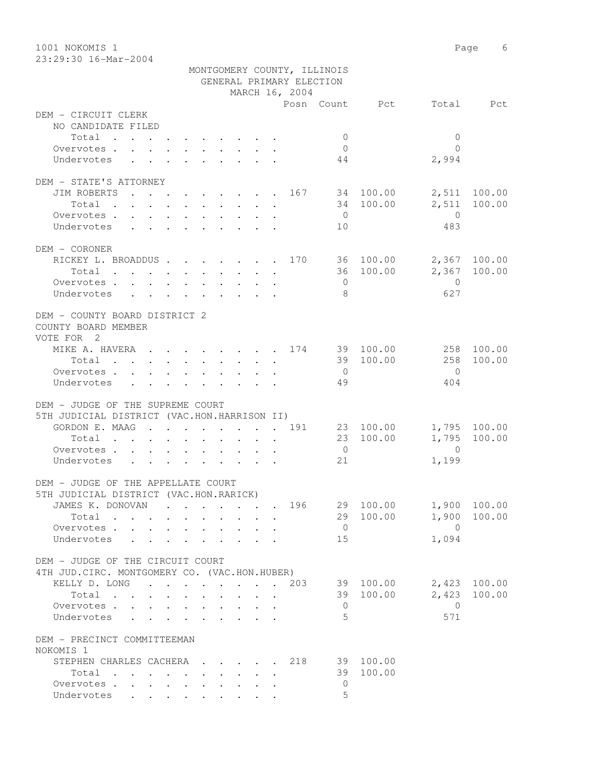1001 NOKOMIS 1 Page 6 23:29:30 16-Mar-2004 MONTGOMERY COUNTY, ILLINOIS GENERAL PRIMARY ELECTION MARCH 16, 2004 Posn Count Pct Total Pct DEM - CIRCUIT CLERK NO CANDIDATE FILED Total . . . . . . . . . . 0 0 Overvotes . . . . . . . . . . 0 0 Undervotes . . . . . . . . . 44  $2,994$ DEM - STATE'S ATTORNEY JIM ROBERTS . . . . . . . . 167 34 100.00 2,511 100.00 Total . . . . . . . . . . 34 100.00 2,511 100.00 Overvotes . . . . . . . . . . 0 Undervotes . . . . . . . . . 10 483 DEM - CORONER RICKEY L. BROADDUS . . . . . . . 170 36 100.00 2,367 100.00 Total . . . . . . . . . . 36 100.00 2,367 100.00 Overvotes . . . . . . . . . . . 0 Undervotes . . . . . . . . . 8 627 DEM - COUNTY BOARD DISTRICT 2 COUNTY BOARD MEMBER VOTE FOR 2 MIKE A. HAVERA . . . . . . . . 174 39 100.00 258 100.00<br>Total . . . . . . . . . . 39 100.00 258 100.00 Total . . . . . . . . . . 39 100.00 Overvotes . . . . . . . . . . 0 0 Undervotes . . . . . . . . . 49 404 DEM - JUDGE OF THE SUPREME COURT 5TH JUDICIAL DISTRICT (VAC.HON.HARRISON II) GORDON E. MAAG . . . . . . . . 191 23 100.00 1,795 100.00 Total . . . . . . . . . . 23 100.00 1,795 100.00 Overvotes . . . . . . . . . . 0 0 Undervotes . . . . . . . . . . 21 1,199 DEM - JUDGE OF THE APPELLATE COURT 5TH JUDICIAL DISTRICT (VAC.HON.RARICK) JAMES K. DONOVAN . . . . . . . 196 29 100.00 1,900 100.00  $Total \cdot \cdot \cdot \cdot \cdot \cdot \cdot \cdot \cdot$ Overvotes . . . . . . . . . . . 0 0<br>
Undervotes . . . . . . . . . . 15 1,094 Undervotes . . . . . . . . . 15 DEM - JUDGE OF THE CIRCUIT COURT 4TH JUD.CIRC. MONTGOMERY CO. (VAC.HON.HUBER) KELLY D. LONG . . . . . . . . 203 39 100.00 2,423 100.00 Total . . . . . . . . . . 39 100.00 2,423 100.00 Overvotes . . . . . . . . . . 0 0 Undervotes . . . . . . . . . 5 DEM - PRECINCT COMMITTEEMAN NOKOMIS 1 STEPHEN CHARLES CACHERA . . . . 218 39 100.00 Total . . . . . . . . . . 39 100.00 Overvotes . . . . . . . . . . 0

Undervotes . . . . . . . . . 5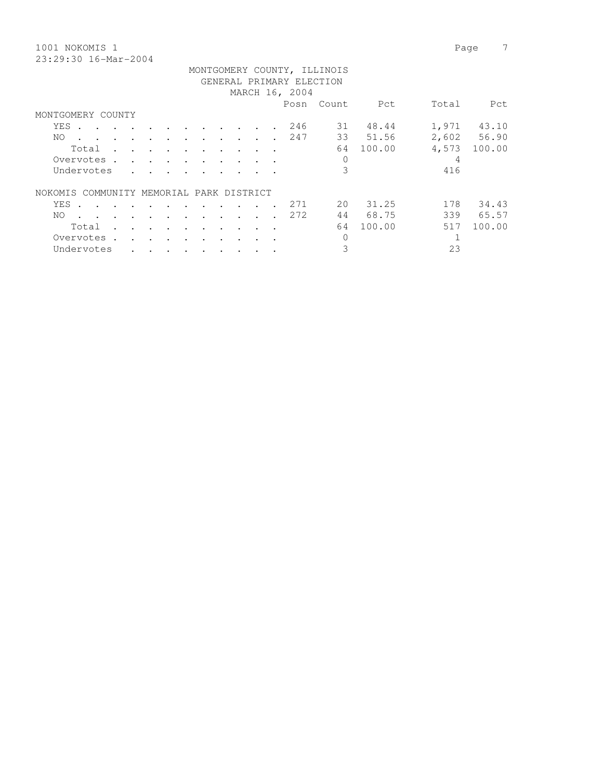1001 NOKOMIS 1 Page 7 23:29:30 16-Mar-2004

|                                          |                      |                      |                                        |        |                          |                      |                      |         |                      |  |     | MONTGOMERY COUNTY, ILLINOIS<br>GENERAL PRIMARY ELECTION |        |       |             |
|------------------------------------------|----------------------|----------------------|----------------------------------------|--------|--------------------------|----------------------|----------------------|---------|----------------------|--|-----|---------------------------------------------------------|--------|-------|-------------|
|                                          | MARCH 16, 2004       |                      |                                        |        |                          |                      |                      |         |                      |  |     |                                                         |        |       |             |
|                                          |                      |                      |                                        |        |                          |                      |                      |         |                      |  |     | Posn Count                                              | Pct    | Total | Pct         |
| MONTGOMERY COUNTY                        |                      |                      |                                        |        |                          |                      |                      |         |                      |  |     |                                                         |        |       |             |
| YES<br>$\sim$                            | $\sim$ $\sim$        |                      |                                        |        |                          |                      |                      |         |                      |  | 246 | 31                                                      | 48.44  | 1,971 | 43.10       |
| NO.                                      | $\sim$               |                      | $\cdot$ $\cdot$ $\cdot$                |        | $\sim$ $\sim$            | $\ddot{\phantom{0}}$ | $\ddot{\phantom{a}}$ | $\cdot$ |                      |  | 247 | 33                                                      | 51.56  |       | 2,602 56.90 |
| Total                                    | $\ddot{\phantom{a}}$ | $\mathbf{r}$         | $\mathbf{r}$ . The set of $\mathbf{r}$ |        | $\sim$                   | $\cdot$              | $\cdot$              |         |                      |  |     | 64                                                      | 100.00 | 4,573 | 100.00      |
| Overvotes .                              |                      | $\sim$               | $\mathbf{r}$ . The set of $\mathbf{r}$ |        | $\sim$ $\sim$            | $\bullet$            | $\ddot{\phantom{a}}$ |         |                      |  |     | 0                                                       |        | 4     |             |
| Undervotes                               |                      | $\ddot{\phantom{a}}$ |                                        |        |                          |                      |                      |         |                      |  |     | 3                                                       |        | 416   |             |
| NOKOMIS COMMUNITY MEMORIAL PARK DISTRICT |                      |                      |                                        |        |                          |                      |                      |         |                      |  |     |                                                         |        |       |             |
| YES<br>$\sim$                            | $\sim$               | $\sim$               |                                        |        | $\cdot$                  | $\bullet$            |                      |         |                      |  | 271 | 2.0                                                     | 31.25  | 178   | 34.43       |
| NO.<br>$\sim$                            | $\cdot$              | $\sim$               | $\sim$                                 | $\sim$ | $\overline{\phantom{a}}$ | $\ddot{\phantom{a}}$ |                      |         | $\ddot{\phantom{a}}$ |  | 272 | 44                                                      | 68.75  | 339   | 65.57       |
| Total                                    | $\sim$               | $\ddot{\phantom{a}}$ | and the contract of the contract of    |        | $\sim$ $\sim$            | $\ddot{\phantom{a}}$ |                      |         |                      |  |     | 64                                                      | 100.00 | 517   | 100.00      |
| Overvotes.                               |                      | $\mathbf{r}$         | $\cdot$ $\cdot$                        |        |                          |                      |                      |         |                      |  |     | 0                                                       |        |       |             |
| Undervotes                               |                      |                      |                                        |        |                          |                      |                      |         |                      |  |     | 3                                                       |        | 23    |             |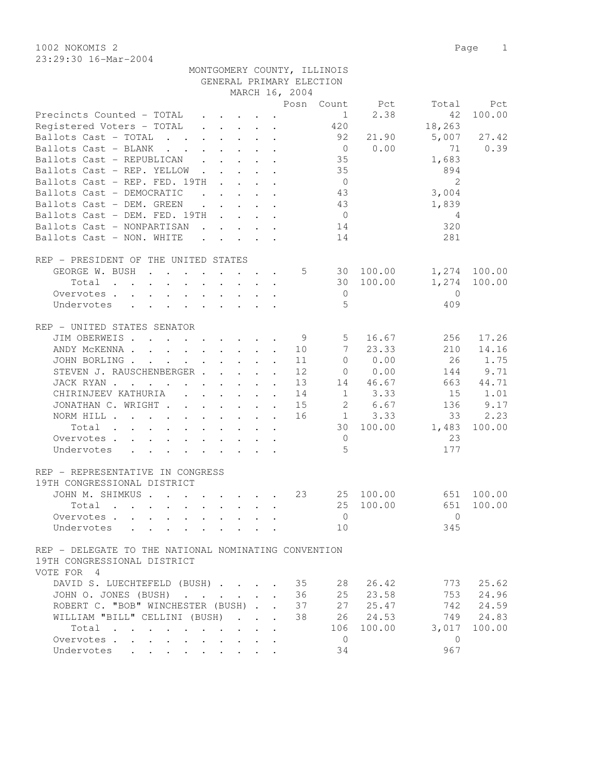MONTGOMERY COUNTY, ILLINOIS

| 1002 NOKOMIS 2         | Page |  |
|------------------------|------|--|
| $23:29:30$ 16-Mar-2004 |      |  |

| GENERAL PRIMARY ELECTION                                                                                                                |                                                     |                            |                |                |                |            |
|-----------------------------------------------------------------------------------------------------------------------------------------|-----------------------------------------------------|----------------------------|----------------|----------------|----------------|------------|
|                                                                                                                                         |                                                     | MARCH 16, 2004             |                |                |                |            |
|                                                                                                                                         |                                                     |                            |                | Posn Count Pct | Total          | Pct        |
| Precincts Counted - TOTAL<br>$\mathbf{r}$ , and $\mathbf{r}$ , and $\mathbf{r}$                                                         |                                                     |                            | $\mathbf{1}$   | 2.38           | 42             | 100.00     |
| Registered Voters - TOTAL<br>$\cdot$ $\cdot$ $\cdot$ $\cdot$ $\cdot$ $\cdot$                                                            |                                                     |                            | 420            |                | 18,263         |            |
| Ballots Cast - TOTAL<br>$\mathbf{r}$ , and $\mathbf{r}$ , and $\mathbf{r}$ , and $\mathbf{r}$                                           |                                                     |                            | 92             | 21.90          | 5,007          | 27.42      |
| Ballots Cast - BLANK<br>the contract of the contract of the contract of the contract of the contract of the contract of the contract of |                                                     |                            | $\overline{0}$ | 0.00           | 71             | 0.39       |
| Ballots Cast - REPUBLICAN                                                                                                               |                                                     |                            | 35             |                | 1,683          |            |
| Ballots Cast - REP. YELLOW                                                                                                              |                                                     |                            | 35             |                | 894            |            |
| Ballots Cast - REP. FED. 19TH<br>$\sim$ $\sim$ $\sim$ $\sim$ $\sim$                                                                     |                                                     |                            | $\overline{0}$ |                | $\overline{2}$ |            |
| Ballots Cast - DEMOCRATIC<br>$\mathbf{r}$ , $\mathbf{r}$ , $\mathbf{r}$ , $\mathbf{r}$                                                  |                                                     |                            | 43             |                | 3,004          |            |
| Ballots Cast - DEM. GREEN<br>$\mathbf{r}$ , $\mathbf{r}$ , $\mathbf{r}$ , $\mathbf{r}$ , $\mathbf{r}$                                   |                                                     |                            | 43             |                | 1,839          |            |
| Ballots Cast - DEM. FED. 19TH                                                                                                           |                                                     |                            | $\overline{0}$ |                | 4              |            |
| Ballots Cast - NONPARTISAN<br>$\mathbf{r}$ , $\mathbf{r}$ , $\mathbf{r}$ , $\mathbf{r}$                                                 |                                                     |                            | 14             |                | 320            |            |
| Ballots Cast - NON. WHITE<br>$\mathbf{r}$ , $\mathbf{r}$ , $\mathbf{r}$ , $\mathbf{r}$ , $\mathbf{r}$                                   |                                                     |                            | 14             |                | 281            |            |
|                                                                                                                                         |                                                     |                            |                |                |                |            |
| REP - PRESIDENT OF THE UNITED STATES                                                                                                    |                                                     |                            |                |                |                |            |
| GEORGE W. BUSH                                                                                                                          |                                                     | 5                          |                | 30 100.00      | 1,274          | 100.00     |
| Total                                                                                                                                   |                                                     |                            |                | 30 100.00      | 1,274          | 100.00     |
| Overvotes.                                                                                                                              |                                                     |                            | $\circ$        |                | $\mathbf{0}$   |            |
| Undervotes                                                                                                                              |                                                     |                            | 5              |                | 409            |            |
|                                                                                                                                         |                                                     |                            |                |                |                |            |
| REP - UNITED STATES SENATOR                                                                                                             |                                                     |                            |                |                |                |            |
| JIM OBERWEIS                                                                                                                            |                                                     | - 9                        | 5              | 16.67          | 256            | 17.26      |
| ANDY MCKENNA                                                                                                                            |                                                     | 10                         | 7              | 23.33          | 210            | 14.16      |
| JOHN BORLING.<br>$\mathbf{r}$ , and $\mathbf{r}$ , and $\mathbf{r}$ , and $\mathbf{r}$                                                  |                                                     | 11                         | $\circ$        | 0.00           | 26             | 1.75       |
| STEVEN J. RAUSCHENBERGER                                                                                                                |                                                     | $\ddot{\phantom{a}}$<br>12 |                | 0.00           |                | 9.71       |
|                                                                                                                                         | $\sim$                                              |                            | $\overline{0}$ |                | 144            |            |
| JACK RYAN                                                                                                                               |                                                     | 13                         |                | 14 46.67       | 663            | 44.71      |
| CHIRINJEEV KATHURIA                                                                                                                     |                                                     | 14                         |                | $1 \t3.33$     | 15             | 1.01       |
| JONATHAN C. WRIGHT                                                                                                                      |                                                     | 15                         | 2              | 6.67           | 136            | 9.17       |
| NORM HILL                                                                                                                               |                                                     | 16                         | $\mathbf{1}$   | 3.33           | 33             | 2.23       |
| Total                                                                                                                                   |                                                     |                            |                | 30 100.00      | 1,483          | 100.00     |
| Overvotes                                                                                                                               |                                                     |                            | $\overline{0}$ |                | 23             |            |
| Undervotes                                                                                                                              |                                                     |                            | 5              |                | 177            |            |
|                                                                                                                                         |                                                     |                            |                |                |                |            |
| REP - REPRESENTATIVE IN CONGRESS                                                                                                        |                                                     |                            |                |                |                |            |
| 19TH CONGRESSIONAL DISTRICT                                                                                                             |                                                     |                            |                |                |                |            |
| JOHN M. SHIMKUS                                                                                                                         |                                                     | 23                         |                | 25 100.00      |                | 651 100.00 |
| Total<br>$\mathbf{r}$ , $\mathbf{r}$ , $\mathbf{r}$ , $\mathbf{r}$ , $\mathbf{r}$ , $\mathbf{r}$ , $\mathbf{r}$ , $\mathbf{r}$          |                                                     |                            | 25             | 100.00         | 651            | 100.00     |
| Overvotes                                                                                                                               |                                                     |                            | $\mathbf{0}$   |                | $\mathbf{0}$   |            |
| Undervotes                                                                                                                              |                                                     |                            | 10             |                | 345            |            |
|                                                                                                                                         |                                                     |                            |                |                |                |            |
| REP - DELEGATE TO THE NATIONAL NOMINATING CONVENTION                                                                                    |                                                     |                            |                |                |                |            |
| 19TH CONGRESSIONAL DISTRICT                                                                                                             |                                                     |                            |                |                |                |            |
| VOTE FOR 4                                                                                                                              |                                                     |                            |                |                |                |            |
| DAVID S. LUECHTEFELD (BUSH)                                                                                                             |                                                     | 35                         | 28             | 26.42          | 773            | 25.62      |
| JOHN O. JONES (BUSH)                                                                                                                    | $\sim$ $\sim$ $\sim$ $\sim$<br>$\ddot{\phantom{a}}$ | 36                         | 25             | 23.58          | 753            | 24.96      |
| ROBERT C. "BOB" WINCHESTER (BUSH).                                                                                                      | $\overline{a}$                                      | 37                         | 27             | 25.47          | 742            | 24.59      |
| WILLIAM "BILL" CELLINI (BUSH)<br>$\mathbf{L}$                                                                                           | $\ddot{\phantom{a}}$                                | 38                         | 26             | 24.53          | 749            | 24.83      |
| Total<br>$\cdot$ $\cdot$ $\cdot$                                                                                                        |                                                     |                            | 106            | 100.00         | 3,017          | 100.00     |
| Overvotes<br>$\ddot{\phantom{a}}$                                                                                                       |                                                     |                            | 0              |                | 0              |            |
| Undervotes                                                                                                                              |                                                     |                            | 34             |                | 967            |            |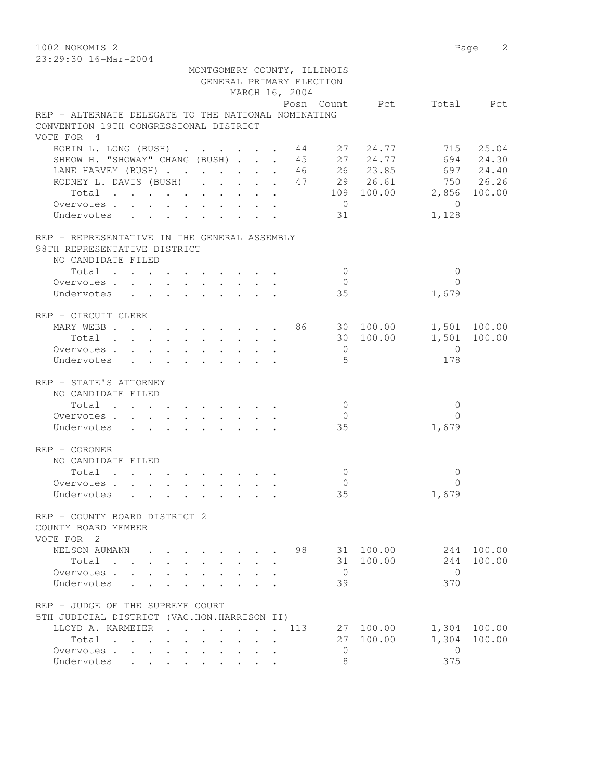1002 NOKOMIS 2 Page 2 23:29:30 16-Mar-2004

|                                                                                                    |              |                                                                                         |                      |                      |                 |                      | GENERAL PRIMARY ELECTION<br>MARCH 16, 2004 | MONTGOMERY COUNTY, ILLINOIS |           |                          |              |
|----------------------------------------------------------------------------------------------------|--------------|-----------------------------------------------------------------------------------------|----------------------|----------------------|-----------------|----------------------|--------------------------------------------|-----------------------------|-----------|--------------------------|--------------|
|                                                                                                    |              |                                                                                         |                      |                      |                 |                      |                                            |                             |           | Posn Count Pct Total Pct |              |
| REP - ALTERNATE DELEGATE TO THE NATIONAL NOMINATING                                                |              |                                                                                         |                      |                      |                 |                      |                                            |                             |           |                          |              |
| CONVENTION 19TH CONGRESSIONAL DISTRICT<br>VOTE FOR 4                                               |              |                                                                                         |                      |                      |                 |                      |                                            |                             |           |                          |              |
| ROBIN L. LONG (BUSH) 44 27 24.77                                                                   |              |                                                                                         |                      |                      |                 |                      |                                            |                             |           |                          | 715 25.04    |
| SHEOW H. "SHOWAY" CHANG (BUSH) 45 27 24.77                                                         |              |                                                                                         |                      |                      |                 |                      |                                            |                             |           |                          | 694 24.30    |
| LANE HARVEY (BUSH) 46 26 23.85 697 24.40                                                           |              |                                                                                         |                      |                      |                 |                      |                                            |                             |           |                          |              |
| RODNEY L. DAVIS (BUSH) 47 29 26.61                                                                 |              |                                                                                         |                      |                      |                 |                      |                                            |                             |           |                          | 750 26.26    |
| Total                                                                                              |              |                                                                                         |                      |                      |                 |                      |                                            |                             |           | 109 100.00 2,856 100.00  |              |
| Overvotes.                                                                                         |              |                                                                                         |                      |                      |                 |                      |                                            | $\overline{0}$              |           | $\bigcirc$               |              |
| Undervotes                                                                                         |              | $\mathbf{r}$ , $\mathbf{r}$ , $\mathbf{r}$ , $\mathbf{r}$ , $\mathbf{r}$ , $\mathbf{r}$ |                      |                      |                 |                      |                                            | 31                          |           | 1,128                    |              |
| REP - REPRESENTATIVE IN THE GENERAL ASSEMBLY<br>98TH REPRESENTATIVE DISTRICT<br>NO CANDIDATE FILED |              |                                                                                         |                      |                      |                 |                      |                                            |                             |           |                          |              |
| Total                                                                                              |              |                                                                                         |                      |                      |                 |                      |                                            | $\mathbf{0}$                |           | $\mathbf 0$              |              |
| Overvotes                                                                                          |              |                                                                                         |                      |                      |                 |                      |                                            | $\circ$                     |           | $\Omega$                 |              |
| Undervotes                                                                                         |              |                                                                                         |                      |                      |                 |                      |                                            | 35                          |           | 1,679                    |              |
|                                                                                                    |              |                                                                                         |                      |                      |                 |                      |                                            |                             |           |                          |              |
| REP - CIRCUIT CLERK<br>MARY WEBB 86 30 100.00                                                      |              |                                                                                         |                      |                      |                 |                      |                                            |                             |           |                          | 1,501 100.00 |
| Total                                                                                              |              |                                                                                         |                      |                      |                 |                      |                                            |                             | 30 100.00 | 1,501                    | 100.00       |
| Overvotes.                                                                                         |              |                                                                                         |                      |                      |                 |                      |                                            | $\overline{0}$              |           | $\bigcirc$               |              |
| Undervotes                                                                                         |              |                                                                                         |                      |                      |                 |                      |                                            | 5                           |           | 178                      |              |
| REP - STATE'S ATTORNEY                                                                             |              |                                                                                         |                      |                      |                 |                      |                                            |                             |           |                          |              |
| NO CANDIDATE FILED                                                                                 |              |                                                                                         |                      |                      |                 |                      |                                            |                             |           |                          |              |
| Total                                                                                              |              |                                                                                         |                      |                      |                 |                      |                                            | $\mathbf 0$                 |           | $\mathbf{0}$             |              |
| Overvotes.                                                                                         |              |                                                                                         |                      |                      |                 |                      |                                            | $\mathbf{0}$                |           | $\Omega$                 |              |
| Undervotes                                                                                         |              | $\mathbf{r}$ , $\mathbf{r}$ , $\mathbf{r}$ , $\mathbf{r}$ , $\mathbf{r}$ , $\mathbf{r}$ |                      |                      |                 |                      |                                            | 35                          |           | 1,679                    |              |
| $REF - CORONER$                                                                                    |              |                                                                                         |                      |                      |                 |                      |                                            |                             |           |                          |              |
| NO CANDIDATE FILED                                                                                 |              |                                                                                         |                      |                      |                 |                      |                                            |                             |           |                          |              |
| Total                                                                                              |              |                                                                                         |                      |                      |                 |                      |                                            | $\mathbf{0}$                |           | 0                        |              |
| Overvotes.                                                                                         |              |                                                                                         |                      |                      |                 |                      |                                            | 0                           |           | $\Omega$                 |              |
| Undervotes                                                                                         |              |                                                                                         |                      |                      |                 |                      |                                            | 35                          |           | 1,679                    |              |
| REP - COUNTY BOARD DISTRICT 2                                                                      |              |                                                                                         |                      |                      |                 |                      |                                            |                             |           |                          |              |
| COUNTY BOARD MEMBER                                                                                |              |                                                                                         |                      |                      |                 |                      |                                            |                             |           |                          |              |
| VOTE FOR 2                                                                                         |              |                                                                                         |                      |                      |                 |                      |                                            |                             |           |                          |              |
| NELSON AUMANN                                                                                      |              |                                                                                         |                      |                      |                 |                      | 98                                         |                             | 31 100.00 | 244                      | 100.00       |
| Total                                                                                              |              |                                                                                         |                      |                      |                 |                      |                                            |                             | 31 100.00 | 244                      | 100.00       |
| Overvotes                                                                                          | $\mathbf{L}$ |                                                                                         |                      |                      |                 |                      |                                            | $\overline{0}$              |           | $\Omega$                 |              |
| Undervotes .                                                                                       |              |                                                                                         |                      |                      |                 |                      |                                            | 39                          |           | 370                      |              |
| REP - JUDGE OF THE SUPREME COURT                                                                   |              |                                                                                         |                      |                      |                 |                      |                                            |                             |           |                          |              |
| 5TH JUDICIAL DISTRICT (VAC.HON.HARRISON II)                                                        |              |                                                                                         |                      |                      |                 |                      |                                            |                             |           |                          |              |
| LLOYD A. KARMEIER                                                                                  |              | $\sim$ $\sim$                                                                           | $\cdot$              |                      |                 | $\sim$               | 113                                        |                             | 27 100.00 | 1,304                    | 100.00       |
| Total                                                                                              |              | $\mathcal{L}^{\mathcal{L}}$                                                             |                      |                      |                 | $\ddot{\phantom{a}}$ |                                            | 27                          | 100.00    | 1,304                    | 100.00       |
| Overvotes                                                                                          |              |                                                                                         | $\mathbf{L}$         | $\ddot{\phantom{0}}$ | $\cdot$ $\cdot$ |                      |                                            | 0                           |           | $\mathbf{0}$             |              |
| Undervotes                                                                                         |              | $\ddot{\phantom{0}}$                                                                    | $\ddot{\phantom{0}}$ |                      |                 |                      |                                            | 8                           |           | 375                      |              |
|                                                                                                    |              |                                                                                         |                      |                      |                 |                      |                                            |                             |           |                          |              |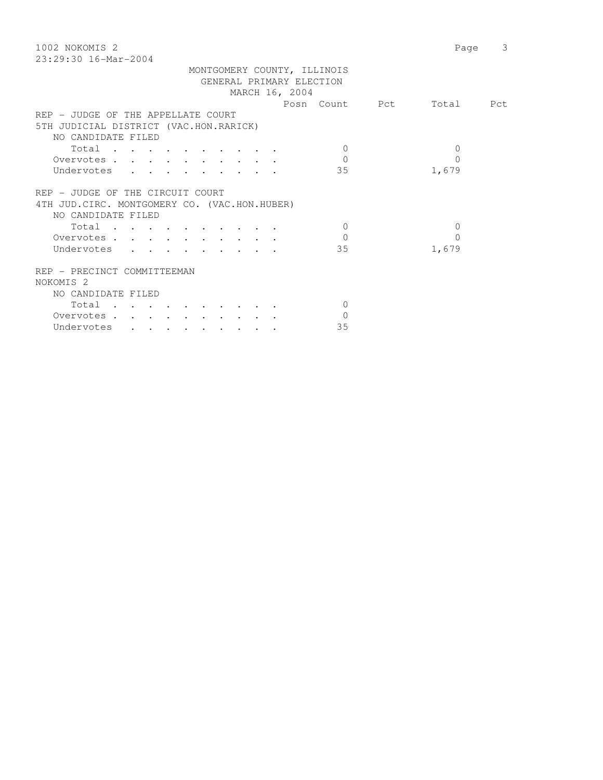| 1002 NOKOMIS 2                                | 3<br>Page |
|-----------------------------------------------|-----------|
| $23:29:30$ 16-Mar-2004                        |           |
| MONTGOMERY COUNTY, ILLINOIS                   |           |
| GENERAL PRIMARY ELECTION                      |           |
| MARCH 16, 2004                                |           |
| Posn Count Pct                                | Total Pct |
| REP - JUDGE OF THE APPELLATE COURT            |           |
| 5TH JUDICIAL DISTRICT (VAC.HON.RARICK)        |           |
| NO CANDIDATE FILED                            |           |
| $\Omega$                                      | $\Omega$  |
| Total<br>$\Omega$                             | $\Omega$  |
| Overvotes                                     |           |
| 35<br>Undervotes                              | 1,679     |
|                                               |           |
| REP - JUDGE OF THE CIRCUIT COURT              |           |
| 4TH JUD. CIRC. MONTGOMERY CO. (VAC.HON.HUBER) |           |
| NO CANDIDATE FILED                            |           |
| Total<br>$\bigcirc$                           | $\Omega$  |
| $\Omega$<br>Overvotes                         | $\Omega$  |
| Undervotes<br>35                              | 1,679     |
|                                               |           |
| REP - PRECINCT COMMITTEEMAN                   |           |
| NOKOMIS <sub>2</sub>                          |           |
| NO CANDIDATE FILED                            |           |
| Total<br>$\Omega$                             |           |
| $\Omega$<br>Overvotes.                        |           |
| 35<br>Undervotes                              |           |
|                                               |           |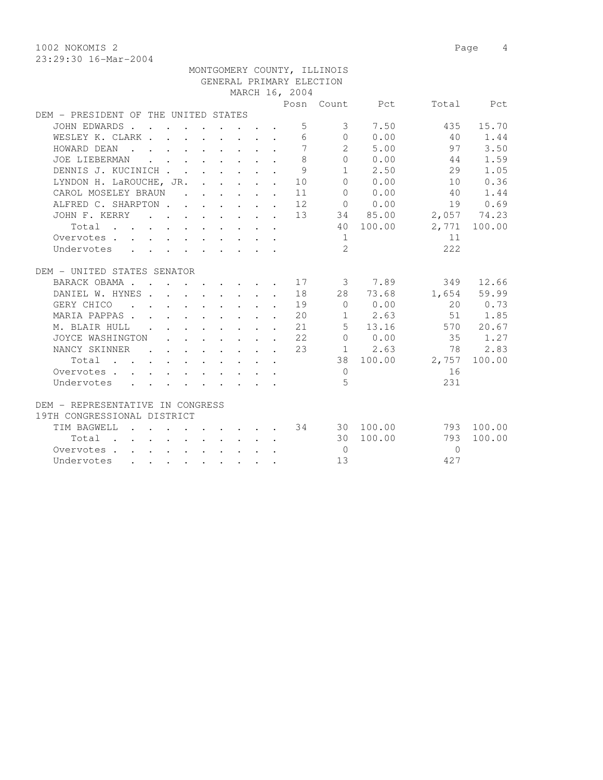1002 NOKOMIS 2 Page 4

|                                                                                                       |  |                                                                                         |  |                | MONTGOMERY COUNTY, ILLINOIS |                                                                      |                          |              |
|-------------------------------------------------------------------------------------------------------|--|-----------------------------------------------------------------------------------------|--|----------------|-----------------------------|----------------------------------------------------------------------|--------------------------|--------------|
|                                                                                                       |  |                                                                                         |  |                | GENERAL PRIMARY ELECTION    |                                                                      |                          |              |
|                                                                                                       |  |                                                                                         |  | MARCH 16, 2004 |                             |                                                                      |                          |              |
|                                                                                                       |  |                                                                                         |  |                |                             |                                                                      | Posn Count Pct Total Pct |              |
| DEM - PRESIDENT OF THE UNITED STATES                                                                  |  |                                                                                         |  |                |                             |                                                                      |                          |              |
| JOHN EDWARDS                                                                                          |  |                                                                                         |  | 5              | $\overline{\mathbf{3}}$     | 7.50                                                                 | 435                      | 15.70        |
| WESLEY K. CLARK                                                                                       |  |                                                                                         |  | 6              |                             | $\begin{array}{ccc} & & 0 & & 0.00 \end{array}$                      | 40                       | 1.44         |
| HOWARD DEAN                                                                                           |  |                                                                                         |  | 7              |                             | 2, 5, 00                                                             | 97                       | 3.50         |
| JOE LIEBERMAN                                                                                         |  | $\mathbf{r}$ , $\mathbf{r}$ , $\mathbf{r}$ , $\mathbf{r}$ , $\mathbf{r}$ , $\mathbf{r}$ |  | 8              |                             | $0 \t 0.00$                                                          | 44                       | 1.59         |
| DENNIS J. KUCINICH                                                                                    |  |                                                                                         |  | 9              |                             | $1 \t 2.50$                                                          | 29                       | 1.05         |
| LYNDON H. LaROUCHE, JR. 10                                                                            |  |                                                                                         |  |                |                             | 0 0.00                                                               | 10                       | 0.36         |
| CAROL MOSELEY BRAUN 11                                                                                |  |                                                                                         |  |                | $\overline{0}$              | 0.00                                                                 | 40                       | 1.44         |
| ALFRED C. SHARPTON                                                                                    |  |                                                                                         |  | 12             |                             | 0 0.00                                                               |                          | 19 0.69      |
| JOHN F. KERRY                                                                                         |  |                                                                                         |  | 13             |                             | 34 85.00                                                             | 2,057 74.23              |              |
| Total                                                                                                 |  |                                                                                         |  |                |                             | 40 100.00                                                            |                          | 2,771 100.00 |
| Overvotes                                                                                             |  |                                                                                         |  |                | 1                           |                                                                      | 11                       |              |
| Undervotes                                                                                            |  |                                                                                         |  |                | $\overline{2}$              |                                                                      | 222                      |              |
|                                                                                                       |  |                                                                                         |  |                |                             |                                                                      |                          |              |
| DEM - UNITED STATES SENATOR                                                                           |  |                                                                                         |  |                |                             |                                                                      |                          |              |
| BARACK OBAMA                                                                                          |  |                                                                                         |  | . 17           |                             | 3 7.89                                                               | 349                      | 12.66        |
| DANIEL W. HYNES 18                                                                                    |  |                                                                                         |  |                |                             | 28 73.68                                                             |                          | 1,654 59.99  |
| GERY CHICO<br>. 19                                                                                    |  |                                                                                         |  |                |                             | $\begin{matrix}0&0.00\end{matrix}$                                   |                          | 20 0.73      |
| MARIA PAPPAS 20                                                                                       |  |                                                                                         |  |                |                             | $1 \t 2.63$                                                          |                          | 51 1.85      |
| M. BLAIR HULL 21                                                                                      |  |                                                                                         |  |                |                             |                                                                      | 5 13.16 570 20.67        |              |
| JOYCE WASHINGTON 22                                                                                   |  |                                                                                         |  |                |                             |                                                                      | 0 0.00 35 1.27           |              |
| NANCY SKINNER                                                                                         |  |                                                                                         |  | 23             |                             | $1 \t 2.63$                                                          | 78                       | 2.83         |
| Total                                                                                                 |  |                                                                                         |  |                |                             | 38 100.00                                                            | 2,757                    | 100.00       |
| Overvotes.                                                                                            |  |                                                                                         |  |                | $\Omega$                    |                                                                      | 16                       |              |
| Undervotes<br>$\mathbf{r}$ , $\mathbf{r}$ , $\mathbf{r}$ , $\mathbf{r}$ , $\mathbf{r}$ , $\mathbf{r}$ |  |                                                                                         |  |                | $\overline{5}$              |                                                                      | 231                      |              |
|                                                                                                       |  |                                                                                         |  |                |                             |                                                                      |                          |              |
| DEM - REPRESENTATIVE IN CONGRESS                                                                      |  |                                                                                         |  |                |                             |                                                                      |                          |              |
| 19TH CONGRESSIONAL DISTRICT                                                                           |  |                                                                                         |  |                |                             |                                                                      |                          |              |
| TIM BAGWELL                                                                                           |  |                                                                                         |  |                |                             | $\cdot$ $\cdot$ $\cdot$ $\cdot$ $\cdot$ $\cdot$ $\cdot$ 34 30 100.00 | 793                      | 100.00       |
| Total                                                                                                 |  |                                                                                         |  |                |                             | 30 100.00                                                            | 793                      | 100.00       |
| Overvotes                                                                                             |  |                                                                                         |  |                | $\overline{0}$              |                                                                      | $\bigcap$                |              |
| Undervotes                                                                                            |  |                                                                                         |  |                | 13                          |                                                                      | 427                      |              |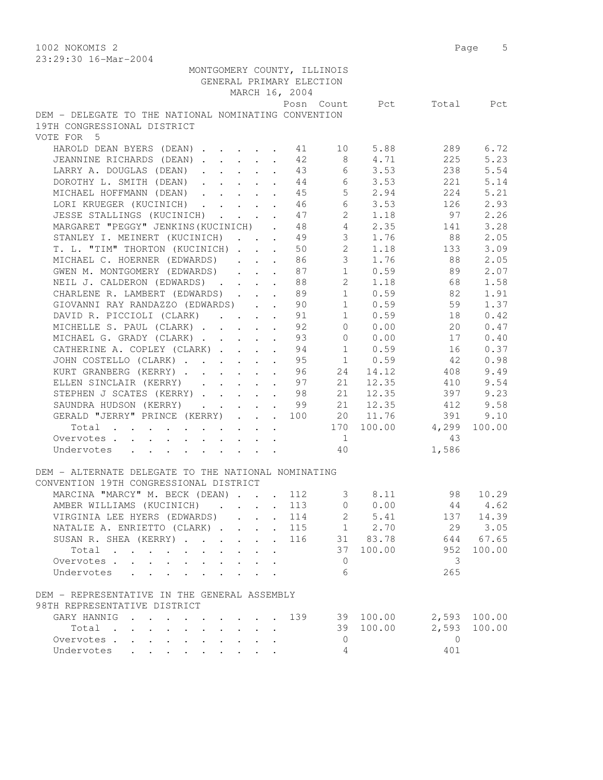1002 NOKOMIS 2 Page 5 23:29:30 16-Mar-2004

| MONTGOMERY COUNTY, ILLINOIS<br>GENERAL PRIMARY ELECTION |                      | MARCH 16, 2004 |                                                                       |             |                           |              |
|---------------------------------------------------------|----------------------|----------------|-----------------------------------------------------------------------|-------------|---------------------------|--------------|
|                                                         |                      |                |                                                                       |             | Posn Count Pct Total Pct  |              |
| DEM - DELEGATE TO THE NATIONAL NOMINATING CONVENTION    |                      |                |                                                                       |             |                           |              |
| 19TH CONGRESSIONAL DISTRICT                             |                      |                |                                                                       |             |                           |              |
| VOTE FOR 5                                              |                      |                |                                                                       |             |                           |              |
| HAROLD DEAN BYERS (DEAN) 41 10 5.88                     |                      |                |                                                                       |             | 289                       | 6.72         |
| JEANNINE RICHARDS (DEAN)                                |                      | 42             | 8 <sup>8</sup>                                                        | 4.71        | 225                       | 5.23         |
| LARRY A. DOUGLAS (DEAN)                                 |                      |                |                                                                       | 43 6 3.53   | 238                       | 5.54         |
| DOROTHY L. SMITH (DEAN) 44 6 3.53                       |                      |                |                                                                       |             | 221                       | 5.14         |
| MICHAEL HOFFMANN (DEAN) 45                              |                      |                |                                                                       | $5 \t 2.94$ | 224                       | 5.21         |
| LORI KRUEGER (KUCINICH) 46                              |                      |                | 6                                                                     | 3.53        | 126                       | 2.93         |
| JESSE STALLINGS (KUCINICH)                              |                      |                | $2^{\circ}$                                                           | 1.18        | 97                        | 2.26         |
| MARGARET "PEGGY" JENKINS (KUCINICH)                     | $\mathbf{L}$         |                | $\begin{array}{ccc} 4\,7 & \quad & 2 \\ 4\,8 & \quad & 4 \end{array}$ | 2.35        | 141                       | 3.28         |
| STANLEY I. MEINERT (KUCINICH)                           | $\mathbf{L}$         |                | 49<br>$\overline{3}$                                                  | 1.76        | 88                        | 2.05         |
| T. L. "TIM" THORTON (KUCINICH)                          |                      |                | 50 2                                                                  |             | 1.18 133                  | 3.09         |
| MICHAEL C. HOERNER (EDWARDS)                            |                      |                | 86 10                                                                 |             | 3 1.76 88                 | 2.05         |
| GWEN M. MONTGOMERY (EDWARDS)                            |                      | 87             |                                                                       | $1 \t 0.59$ | 89                        | 2.07         |
| NEIL J. CALDERON (EDWARDS)                              |                      | 88             |                                                                       | $2 \t1.18$  | 68 —                      | 1.58         |
| CHARLENE R. LAMBERT (EDWARDS) 89                        |                      |                |                                                                       | $1 \t 0.59$ | 82                        | 1.91         |
| GIOVANNI RAY RANDAZZO (EDWARDS) 90                      |                      |                | $\sim$ 1                                                              | 0.59        | 59                        | 1.37         |
| DAVID R. PICCIOLI (CLARK)                               |                      |                | 1                                                                     | 0.59        | 18                        | 0.42         |
| MICHELLE S. PAUL (CLARK)                                | $\sim$               | 91<br>92       | $\overline{0}$                                                        | 0.00        | 20                        | 0.47         |
| MICHAEL G. GRADY (CLARK)                                |                      | 93             |                                                                       | $0 \t 0.00$ | 17                        | 0.40         |
| CATHERINE A. COPLEY (CLARK) 94 1 0.59 16                |                      |                |                                                                       |             |                           | 0.37         |
| JOHN COSTELLO (CLARK) 95 1 0.59 42                      |                      |                |                                                                       |             |                           | 0.98         |
| KURT GRANBERG (KERRY) 96 24                             |                      |                |                                                                       | 14.12       | 408                       | 9.49         |
| ELLEN SINCLAIR (KERRY) 97                               |                      |                | 21                                                                    | 12.35       | 410                       | 9.54         |
| STEPHEN J SCATES (KERRY) 98                             |                      |                | 21                                                                    | 12.35       | 397                       | 9.23         |
| SAUNDRA HUDSON (KERRY) 99                               |                      |                |                                                                       | 21 12.35    | 412                       | 9.58         |
| GERALD "JERRY" PRINCE (KERRY) 100                       |                      |                |                                                                       | 20 11.76    | 391                       | 9.10         |
| Total                                                   |                      |                |                                                                       |             | 170 100.00 4,299          | 100.00       |
| Overvotes                                               |                      |                | $\mathbf{1}$                                                          |             | 43                        |              |
| Undervotes                                              |                      |                | 40                                                                    |             | 1,586                     |              |
|                                                         |                      |                |                                                                       |             |                           |              |
| DEM - ALTERNATE DELEGATE TO THE NATIONAL NOMINATING     |                      |                |                                                                       |             |                           |              |
| CONVENTION 19TH CONGRESSIONAL DISTRICT                  |                      |                |                                                                       |             |                           |              |
| MARCINA "MARCY" M. BECK (DEAN) 112                      |                      |                |                                                                       | 3 8.11      | 98 10.29                  |              |
| AMBER WILLIAMS (KUCINICH) 113                           |                      |                |                                                                       |             | $0 \t 0.00 \t 44 \t 4.62$ |              |
| VIRGINIA LEE HYERS (EDWARDS)                            |                      | 114            | $\mathbf{2}$                                                          | 5.41        |                           | 137 14.39    |
| NATALIE A. ENRIETTO (CLARK)                             |                      | . 115          |                                                                       | $1 \t 2.70$ | 29                        | 3.05         |
| SUSAN R. SHEA (KERRY).                                  |                      | 116            |                                                                       | 31 83.78    |                           | 644 67.65    |
| Total                                                   | $\ddot{\phantom{a}}$ |                | 37                                                                    | 100.00      | 952                       | 100.00       |
| Overvotes.                                              |                      |                | $\mathbf{0}$                                                          |             | 3                         |              |
| Undervotes                                              |                      |                | 6                                                                     |             | 265                       |              |
| DEM - REPRESENTATIVE IN THE GENERAL ASSEMBLY            |                      |                |                                                                       |             |                           |              |
| 98TH REPRESENTATIVE DISTRICT                            |                      |                |                                                                       |             |                           |              |
| GARY HANNIG                                             |                      | 139            |                                                                       | 39 100.00   |                           | 2,593 100.00 |
| Total                                                   |                      |                |                                                                       | 39 100.00   | 2,593                     | 100.00       |
| Overvotes                                               |                      |                | $\overline{0}$                                                        |             | $\bigcirc$                |              |
| Undervotes                                              |                      |                | 4                                                                     |             | 401                       |              |
|                                                         |                      |                |                                                                       |             |                           |              |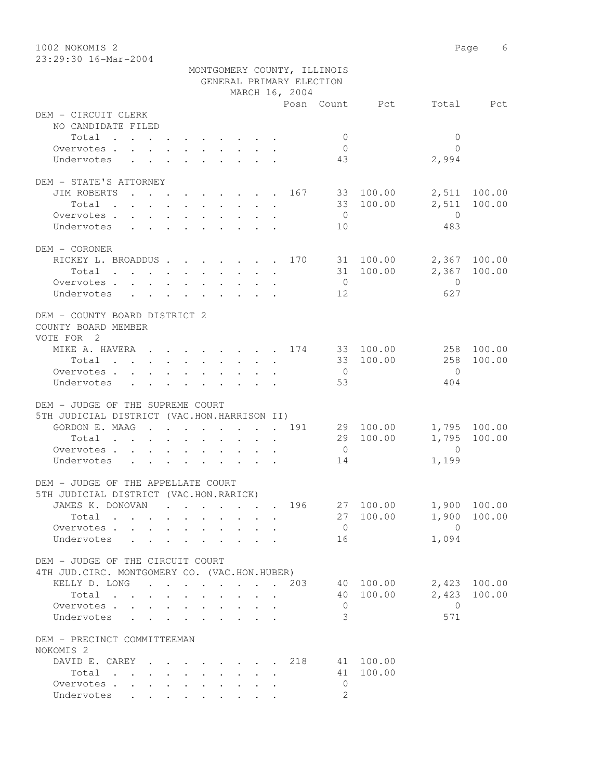1002 NOKOMIS 2 Page 6 23:29:30 16-Mar-2004 MONTGOMERY COUNTY, ILLINOIS GENERAL PRIMARY ELECTION MARCH 16, 2004 Posn Count Pct Total Pct DEM - CIRCUIT CLERK NO CANDIDATE FILED Total . . . . . . . . . . 0 0 Overvotes . . . . . . . . . . 0 0 Undervotes . . . . . . . . . 43 2,994 DEM - STATE'S ATTORNEY JIM ROBERTS . . . . . . . . 167 33 100.00 2,511 100.00 Total . . . . . . . . . . 33 100.00 2,511 100.00 Overvotes . . . . . . . . . . 0 Undervotes . . . . . . . . . 10 483 DEM - CORONER RICKEY L. BROADDUS . . . . . . . 170 31 100.00 2,367 100.00 Total . . . . . . . . . . 31 100.00 2,367 100.00 Overvotes . . . . . . . . . . . 0 Undervotes . . . . . . . . . 12 627 DEM - COUNTY BOARD DISTRICT 2 COUNTY BOARD MEMBER VOTE FOR 2 MIKE A. HAVERA . . . . . . . . 174 33 100.00 258 100.00<br>Total . . . . . . . . . 33 100.00 258 100.00 Total . . . . . . . . . . 33 100.00 Overvotes . . . . . . . . . . 0 0 Undervotes . . . . . . . . . 53 53 404 DEM - JUDGE OF THE SUPREME COURT 5TH JUDICIAL DISTRICT (VAC.HON.HARRISON II) GORDON E. MAAG . . . . . . . . 191 29 100.00 1,795 100.00 Total . . . . . . . . . . 29 100.00 1,795 100.00 Overvotes . . . . . . . . . . 0 0 Undervotes . . . . . . . . . . 14 1,199 DEM - JUDGE OF THE APPELLATE COURT 5TH JUDICIAL DISTRICT (VAC.HON.RARICK) JAMES K. DONOVAN . . . . . . 196 27 100.00 1,900 100.00<br>Total . . . . . . . . . 27 100.00 1,900 100.00 Total . . . . . . . . . . 27 100.00 1,900 100.00 Overvotes . . . . . . . . . . . 0 0<br>
Undervotes . . . . . . . . . . 16 0 1,094 Undervotes . . . . . . . . . 16 DEM - JUDGE OF THE CIRCUIT COURT 4TH JUD.CIRC. MONTGOMERY CO. (VAC.HON.HUBER) KELLY D. LONG . . . . . . . . 203 40 100.00 2,423 100.00 Total . . . . . . . . . . 40 100.00 2,423 100.00 Overvotes . . . . . . . . . . 0 0 Undervotes . . . . . . . . . 3 DEM - PRECINCT COMMITTEEMAN NOKOMIS 2 DAVID E. CAREY . . . . . . 218 41 100.00 Total . . . . . . . . . . 41 100.00

Overvotes . . . . . . . . . . 0 Undervotes . . . . . . . . 2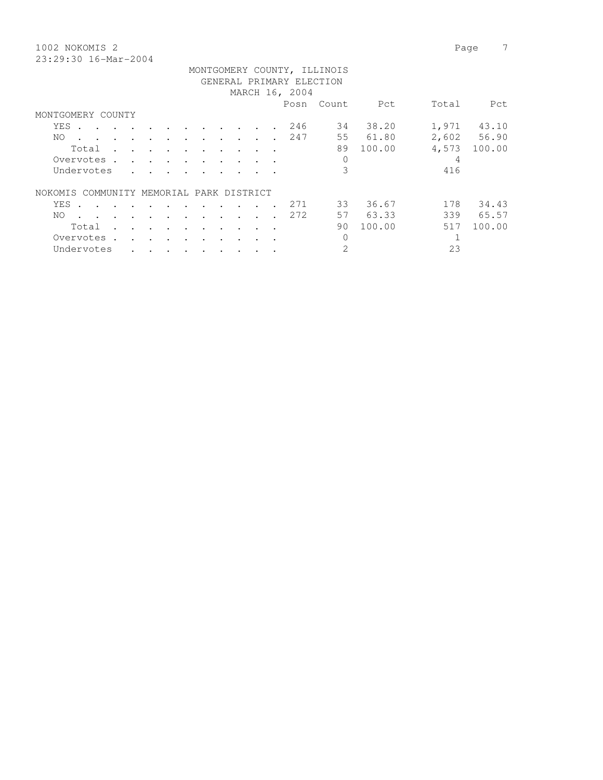1002 NOKOMIS 2 Page 7 23:29:30 16-Mar-2004

| MONTGOMERY COUNTY, ILLINOIS                                                                                              |                                   |                      |                                   |                          |                          |                      |                                           |        |                      |                      |      |                |        |       |             |
|--------------------------------------------------------------------------------------------------------------------------|-----------------------------------|----------------------|-----------------------------------|--------------------------|--------------------------|----------------------|-------------------------------------------|--------|----------------------|----------------------|------|----------------|--------|-------|-------------|
| GENERAL PRIMARY ELECTION                                                                                                 |                                   |                      |                                   |                          |                          |                      |                                           |        |                      |                      |      |                |        |       |             |
| MARCH 16, 2004                                                                                                           |                                   |                      |                                   |                          |                          |                      |                                           |        |                      |                      |      |                |        |       |             |
|                                                                                                                          |                                   |                      |                                   |                          |                          |                      |                                           |        |                      |                      | Posn | Count          | Pct    | Total | Pct         |
| MONTGOMERY COUNTY                                                                                                        |                                   |                      |                                   |                          |                          |                      |                                           |        |                      |                      |      |                |        |       |             |
| YES .<br>the contract of the contract of the contract of the contract of the contract of the contract of the contract of |                                   |                      |                                   |                          |                          |                      |                                           |        | $\sim$ $\sim$        | $\ddot{\phantom{a}}$ | 246  | 34             | 38.20  | 1,971 | 43.10       |
| NO.                                                                                                                      |                                   | $\sim$ 100 $\pm$     | $\sim$                            | $\sim$                   | $\sim$                   | $\cdot$              | $\sim$                                    | $\sim$ | $\ddot{\phantom{a}}$ |                      | 247  | 55             | 61.80  |       | 2,602 56.90 |
| Total                                                                                                                    |                                   | $\mathbf{r}$         |                                   |                          |                          |                      | <b>Service Contract Contract Contract</b> |        |                      |                      |      | 89             | 100.00 | 4,573 | 100.00      |
| Overvotes.                                                                                                               |                                   | $\mathbf{r}$         | $\sim$ $\sim$                     | $\overline{\phantom{a}}$ | $\overline{\phantom{a}}$ |                      |                                           |        |                      |                      |      | 0              |        | 4     |             |
| Undervotes                                                                                                               |                                   | $\sim$               |                                   |                          |                          |                      |                                           |        |                      |                      |      | 3              |        | 416   |             |
| COMMUNITY MEMORIAL PARK DISTRICT<br>NOKOMIS.                                                                             |                                   |                      |                                   |                          |                          |                      |                                           |        |                      |                      |      |                |        |       |             |
| YES<br>$\sim$                                                                                                            | and the state of the state of the |                      |                                   | $\sim$                   | $\sim$                   | $\cdot$              |                                           |        |                      |                      | 271  | 33             | 36.67  | 178   | 34.43       |
| NO.<br>$\sim$                                                                                                            |                                   | $\sim$               |                                   | $\sim$                   | $\sim$                   | $\ddot{\phantom{a}}$ |                                           |        |                      |                      | 272  | 57             | 63.33  | 339   | 65.57       |
| Total                                                                                                                    | $\sim 10$                         | $\ddot{\phantom{a}}$ | and the state of the state of the |                          |                          | $\cdot$              | $\bullet$                                 |        |                      |                      |      | 90             | 100.00 | 517   | 100.00      |
| Overvotes .                                                                                                              |                                   | $\ddot{\phantom{a}}$ | $\sim$ $\sim$                     | $\sim$ $\sim$            |                          | $\bullet$            |                                           |        |                      |                      |      | 0              |        |       |             |
| Undervotes                                                                                                               |                                   |                      |                                   |                          |                          |                      |                                           |        |                      |                      |      | $\overline{2}$ |        | 23    |             |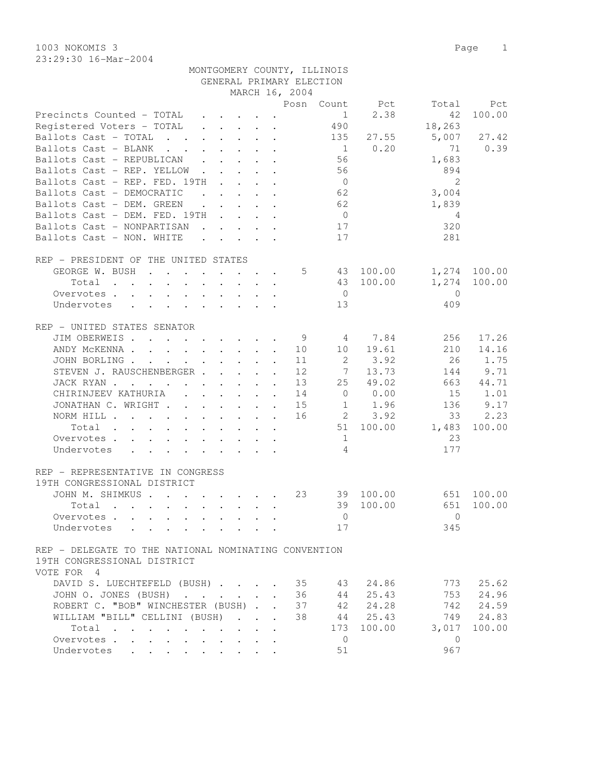23:29:30 16-Mar-2004

|                                                                                                                          |                        |                                                                          | GENERAL PRIMARY ELECTION   |                |                |                |              |
|--------------------------------------------------------------------------------------------------------------------------|------------------------|--------------------------------------------------------------------------|----------------------------|----------------|----------------|----------------|--------------|
|                                                                                                                          |                        |                                                                          | MARCH 16, 2004             |                |                |                |              |
|                                                                                                                          |                        |                                                                          |                            |                | Posn Count Pct | Total          | Pct          |
| Precincts Counted - TOTAL                                                                                                |                        | $\cdot$ $\cdot$ $\cdot$ $\cdot$ $\cdot$ $\cdot$ $\cdot$                  |                            | 1              | 2.38           | 42             | 100.00       |
| Registered Voters - TOTAL                                                                                                |                        | $\mathbf{r}$ , $\mathbf{r}$ , $\mathbf{r}$ , $\mathbf{r}$ , $\mathbf{r}$ |                            | 490            |                | 18,263         |              |
| Ballots Cast - TOTAL                                                                                                     |                        |                                                                          |                            | 135            | 27.55          | 5,007          | 27.42        |
| Ballots Cast - BLANK                                                                                                     |                        |                                                                          |                            | $\overline{1}$ | 0.20           | 71             | 0.39         |
| Ballots Cast - REPUBLICAN                                                                                                |                        | $\mathbf{r}$ , $\mathbf{r}$ , $\mathbf{r}$ , $\mathbf{r}$                |                            | 56             |                | 1,683          |              |
| Ballots Cast - REP. YELLOW.                                                                                              | $\Delta \sim 10^{-11}$ | $\mathbf{r} = \mathbf{r} + \mathbf{r}$ .                                 |                            | 56             |                | 894            |              |
| Ballots Cast - REP. FED. 19TH                                                                                            |                        |                                                                          |                            | $\overline{0}$ |                | 2              |              |
| Ballots Cast - DEMOCRATIC<br>$\mathbf{r}$ , $\mathbf{r}$                                                                 |                        | $\mathbf{r}$ , $\mathbf{r}$                                              |                            | 62             |                | 3,004          |              |
| Ballots Cast - DEM. GREEN                                                                                                |                        | $\cdot$ $\cdot$ $\cdot$ $\cdot$ $\cdot$                                  |                            | 62             |                | 1,839          |              |
| Ballots Cast - DEM. FED. 19TH                                                                                            |                        |                                                                          |                            | $\overline{0}$ |                | 4              |              |
| Ballots Cast - NONPARTISAN<br>$\mathbf{r}$ , $\mathbf{r}$ , $\mathbf{r}$ , $\mathbf{r}$ , $\mathbf{r}$                   |                        |                                                                          |                            | 17             |                | 320            |              |
| Ballots Cast - NON. WHITE                                                                                                |                        |                                                                          |                            | 17             |                | 281            |              |
|                                                                                                                          |                        |                                                                          |                            |                |                |                |              |
| REP - PRESIDENT OF THE UNITED STATES                                                                                     |                        |                                                                          |                            |                |                |                |              |
| GEORGE W. BUSH                                                                                                           |                        |                                                                          | 5                          |                | 43 100.00      |                | 1,274 100.00 |
| $Total \cdot \cdot \cdot \cdot \cdot \cdot \cdot \cdot \cdot \cdot$                                                      |                        |                                                                          |                            |                | 43 100.00      | 1,274          | 100.00       |
| Overvotes                                                                                                                |                        |                                                                          |                            | $\overline{0}$ |                | $\Omega$       |              |
| Undervotes                                                                                                               |                        |                                                                          |                            | 13             |                | 409            |              |
|                                                                                                                          |                        |                                                                          |                            |                |                |                |              |
| REP - UNITED STATES SENATOR                                                                                              |                        |                                                                          |                            |                |                |                |              |
| JIM OBERWEIS                                                                                                             |                        |                                                                          | 9                          | 4              | 7.84           | 256            | 17.26        |
| ANDY MCKENNA 10                                                                                                          |                        |                                                                          |                            | 10             | 19.61          | 210            | 14.16        |
| JOHN BORLING                                                                                                             |                        |                                                                          | 11                         | 2              | 3.92           | 26             | 1.75         |
| STEVEN J. RAUSCHENBERGER                                                                                                 |                        |                                                                          | 12<br>$\mathbf{r}$         | 7              | 13.73          | 144            | 9.71         |
| JACK RYAN                                                                                                                |                        |                                                                          | 13                         | 25             | 49.02          | 663            | 44.71        |
| CHIRINJEEV KATHURIA (CHIRINJEEV KATHURIA)                                                                                |                        |                                                                          | 14                         | $\overline{0}$ | 0.00           | 15             | 1.01         |
| JONATHAN C. WRIGHT                                                                                                       |                        |                                                                          | 15                         |                | 1.96           | 136            | 9.17         |
|                                                                                                                          |                        |                                                                          | 16                         | $\mathbf{1}$   |                |                |              |
| NORM HILL                                                                                                                |                        |                                                                          |                            |                | 2 3.92         | 33             | 2.23         |
| Total<br>the contract of the contract of the contract of the contract of the contract of the contract of the contract of |                        |                                                                          |                            |                | 51 100.00      | 1,483          | 100.00       |
| Overvotes                                                                                                                |                        |                                                                          |                            | 1              |                | 23             |              |
| Undervotes                                                                                                               |                        |                                                                          |                            | $\overline{4}$ |                | 177            |              |
|                                                                                                                          |                        |                                                                          |                            |                |                |                |              |
| REP - REPRESENTATIVE IN CONGRESS                                                                                         |                        |                                                                          |                            |                |                |                |              |
| 19TH CONGRESSIONAL DISTRICT                                                                                              |                        |                                                                          |                            |                |                |                |              |
| JOHN M. SHIMKUS                                                                                                          |                        |                                                                          | 23                         |                | 39 100.00      |                | 651 100.00   |
| Total                                                                                                                    |                        |                                                                          |                            | 39             | 100.00         | 651            | 100.00       |
|                                                                                                                          |                        |                                                                          |                            |                | $\overline{0}$ | $\overline{0}$ |              |
| Undervotes                                                                                                               |                        |                                                                          |                            | 17             |                | 345            |              |
|                                                                                                                          |                        |                                                                          |                            |                |                |                |              |
| REP - DELEGATE TO THE NATIONAL NOMINATING CONVENTION                                                                     |                        |                                                                          |                            |                |                |                |              |
| 19TH CONGRESSIONAL DISTRICT                                                                                              |                        |                                                                          |                            |                |                |                |              |
| VOTE FOR 4                                                                                                               |                        |                                                                          |                            |                |                |                |              |
| DAVID S. LUECHTEFELD (BUSH)                                                                                              |                        |                                                                          | 35                         | 43             | 24.86          | 773            | 25.62        |
| JOHN O. JONES (BUSH)                                                                                                     |                        |                                                                          | 36                         | 44             | 25.43          | 753            | 24.96        |
| ROBERT C. "BOB" WINCHESTER (BUSH)                                                                                        |                        |                                                                          | 37                         | 42             | 24.28          | 742            | 24.59        |
| WILLIAM "BILL" CELLINI (BUSH)                                                                                            |                        | $\mathbf{r} = \mathbf{r}$                                                | 38<br>$\ddot{\phantom{a}}$ | 44             | 25.43          | 749            | 24.83        |
| Total<br>$\ddot{\phantom{a}}$                                                                                            | $\sim$                 |                                                                          |                            | 173            | 100.00         | 3,017          | 100.00       |
| Overvotes                                                                                                                |                        |                                                                          |                            | $\overline{0}$ |                | $\mathbf{0}$   |              |
| Undervotes<br>$\bullet$ .                                                                                                |                        |                                                                          |                            | 51             |                | 967            |              |

MONTGOMERY COUNTY, ILLINOIS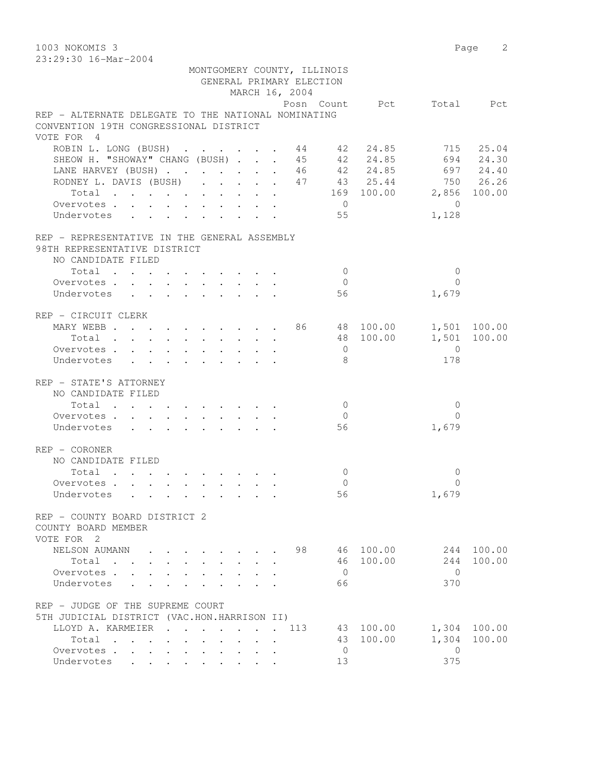1003 NOKOMIS 3 Page 2 23:29:30 16-Mar-2004 MONTGOMERY COUNTY, ILLINOIS GENERAL PRIMARY ELECTION MARCH 16, 2004 Posn Count Pct Total Pct REP - ALTERNATE DELEGATE TO THE NATIONAL NOMINATING CONVENTION 19TH CONGRESSIONAL DISTRICT VOTE FOR 4 ROBIN L. LONG (BUSH) . . . . . . 44 42 24.85 715 25.04<br>SHEOW H. "SHOWAY" CHANG (BUSH) . . . 45 42 24.85 694 24.30 SHEOW H. "SHOWAY" CHANG (BUSH) . . . 45 42 24.85 694 24.30<br>
LANE HARVEY (BUSH) . . . . . . 46 42 24.85 697 24.40 LANE HARVEY (BUSH) . . . . . . . 46 42 24.85 697 24.40 RODNEY L. DAVIS (BUSH) . . . . . 47 43 25.44 750 26.26 Total . . . . . . . . . . 169 100.00 2,856 100.00 Overvotes . . . . . . . . . . 0 0 Undervotes . . . . . . . . . . 55 1,128 REP - REPRESENTATIVE IN THE GENERAL ASSEMBLY 98TH REPRESENTATIVE DISTRICT NO CANDIDATE FILED  $\text{Total} \quad . \quad . \quad . \quad . \quad . \quad . \quad . \qquad . \qquad 0 \qquad \qquad 0$  Overvotes . . . . . . . . . . 0 0 Undervotes . . . . . . . . . 56 1,679 REP - CIRCUIT CLERK MARY WEBB . . . . . . . . . . 86 48 100.00 1,501 100.00 Total . . . . . . . . . . 48 100.00 1,501 100.00 Overvotes . . . . . . . . . . 0 0 Undervotes . . . . . . . . . . 8 178 REP - STATE'S ATTORNEY NO CANDIDATE FILED  $\texttt{Total} \quad . \quad . \quad . \quad . \quad . \quad . \quad . \qquad . \qquad 0 \qquad \qquad 0$ Overvotes . . . . . . . . . . . 0 Undervotes . . . . . . . . . 56 1,679 REP - CORONER NO CANDIDATE FILED Total . . . . . . . . . . 0 0 Overvotes . . . . . . . . . . 0 0 Undervotes . . . . . . . . . . 56 1,679 REP - COUNTY BOARD DISTRICT 2 COUNTY BOARD MEMBER VOTE FOR 2 NELSON AUMANN . . . . . . . . 98 46 100.00 244 100.00 Total . . . . . . . . . . 46 100.00 244 100.00 Overvotes . . . . . . . . . . 0 0 Undervotes . . . . . . . . . . 66 370 REP - JUDGE OF THE SUPREME COURT 5TH JUDICIAL DISTRICT (VAC.HON.HARRISON II) LLOYD A. KARMEIER . . . . . . . 113 43 100.00 1,304 100.00 Total . . . . . . . . . . 43 100.00 1,304 100.00 Overvotes . . . . . . . . . . . 0

Undervotes . . . . . . . . . 13 375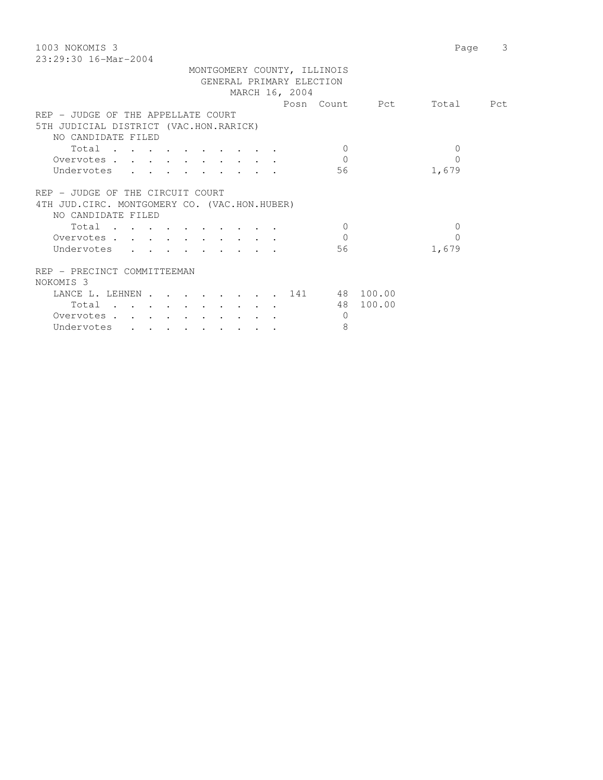| 1003 NOKOMIS 3                                                      | 3<br>Page |
|---------------------------------------------------------------------|-----------|
| $23:29:30$ 16-Mar-2004                                              |           |
| MONTGOMERY COUNTY, ILLINOIS                                         |           |
| GENERAL PRIMARY ELECTION                                            |           |
| MARCH 16, 2004                                                      |           |
| Posn Count Pct                                                      | Total Pct |
| REP - JUDGE OF THE APPELLATE COURT                                  |           |
| 5TH JUDICIAL DISTRICT (VAC.HON.RARICK)                              |           |
| NO CANDIDATE FILED                                                  |           |
| Total<br>$\Omega$                                                   | $\Omega$  |
| $\Omega$<br>Overvotes.                                              | $\Omega$  |
| 1,679<br>Undervotes<br>56                                           |           |
|                                                                     |           |
| REP - JUDGE OF THE CIRCUIT COURT                                    |           |
|                                                                     |           |
| 4TH JUD. CIRC. MONTGOMERY CO. (VAC.HON.HUBER)<br>NO CANDIDATE FILED |           |
|                                                                     |           |
| Total<br>$\Omega$                                                   | $\Omega$  |
| $\Omega$<br>Overvotes                                               | $\Omega$  |
| Undervotes<br>56<br>1,679                                           |           |
| REP - PRECINCT COMMITTEEMAN                                         |           |
| NOKOMIS <sub>3</sub>                                                |           |
|                                                                     |           |
| LANCE L. LEHNEN 141 48 100.00                                       |           |
| 48 100.00<br>Total                                                  |           |
| Overvotes<br>$\Omega$                                               |           |
| 8<br>Undervotes                                                     |           |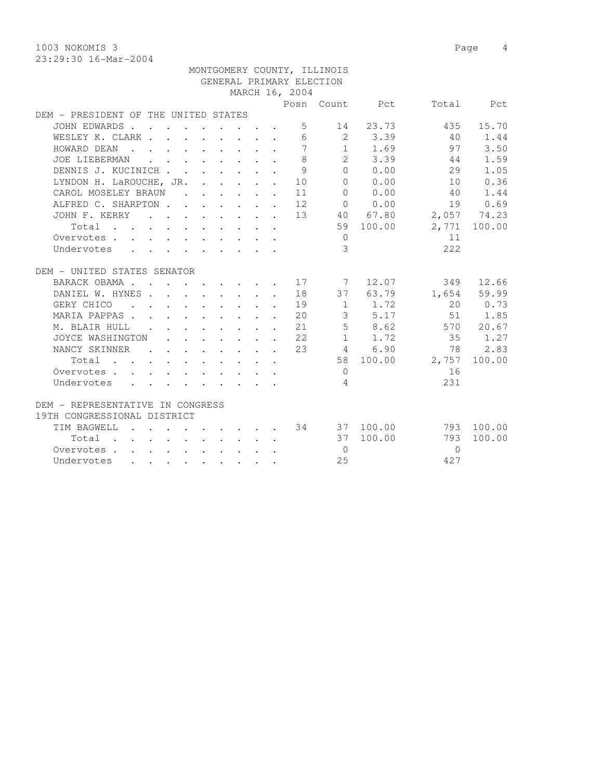23:29:30 16-Mar-2004

|                                                       |                   |                                                                                                                                                                                                                                      |  |  |                                                            | MONTGOMERY COUNTY, ILLINOIS |                     |          |              |
|-------------------------------------------------------|-------------------|--------------------------------------------------------------------------------------------------------------------------------------------------------------------------------------------------------------------------------------|--|--|------------------------------------------------------------|-----------------------------|---------------------|----------|--------------|
|                                                       |                   |                                                                                                                                                                                                                                      |  |  |                                                            | GENERAL PRIMARY ELECTION    |                     |          |              |
|                                                       |                   |                                                                                                                                                                                                                                      |  |  | MARCH 16, 2004                                             |                             |                     |          |              |
|                                                       |                   |                                                                                                                                                                                                                                      |  |  |                                                            |                             | Posn Count Pct      |          | Total Pct    |
| DEM - PRESIDENT OF THE UNITED STATES                  |                   |                                                                                                                                                                                                                                      |  |  |                                                            |                             |                     |          |              |
| JOHN EDWARDS                                          |                   |                                                                                                                                                                                                                                      |  |  | 5                                                          | 14                          | 23.73               | 435      | 15.70        |
| WESLEY K. CLARK                                       |                   |                                                                                                                                                                                                                                      |  |  | 6                                                          |                             | 2 3.39              | 40       | 1.44         |
| HOWARD DEAN<br>$\mathbf{r}$ . The set of $\mathbf{r}$ |                   | $\mathbf{r}$ , $\mathbf{r}$ , $\mathbf{r}$ , $\mathbf{r}$ , $\mathbf{r}$                                                                                                                                                             |  |  | $\overline{7}$                                             |                             | $1 \t 1.69$         | 97       | 3.50         |
| JOE LIEBERMAN                                         |                   | $\mathbf{r}$ and $\mathbf{r}$ are the set of the set of the set of the set of the set of the set of the set of the set of the set of the set of the set of the set of the set of the set of the set of the set of the set of the set |  |  | 8                                                          | $2^{\circ}$                 | 3.39                | 44       | 1.59         |
| DENNIS J. KUCINICH                                    |                   |                                                                                                                                                                                                                                      |  |  | 9                                                          | $\Omega$                    | 0.00                | 29       | 1.05         |
| LYNDON H. LaROUCHE, JR. 10                            |                   |                                                                                                                                                                                                                                      |  |  |                                                            |                             | 0 0.00              | 10       | 0.36         |
| CAROL MOSELEY BRAUN                                   |                   |                                                                                                                                                                                                                                      |  |  | $\cdots$ $\cdots$ $\cdots$ 11                              |                             | $0 \t 0.00$         | 40       | 1.44         |
| ALFRED C. SHARPTON 12                                 |                   |                                                                                                                                                                                                                                      |  |  |                                                            |                             | $0 \t 0.00$         |          | 19 0.69      |
| JOHN F. KERRY                                         |                   |                                                                                                                                                                                                                                      |  |  |                                                            |                             | $\cdot$ 13 40 67.80 |          | 2,057 74.23  |
|                                                       |                   |                                                                                                                                                                                                                                      |  |  |                                                            |                             | 59 100.00           |          | 2,771 100.00 |
| Overvotes.                                            |                   |                                                                                                                                                                                                                                      |  |  |                                                            | $\bigcirc$                  |                     | 11       |              |
| Undervotes                                            |                   |                                                                                                                                                                                                                                      |  |  |                                                            | 3                           |                     | 2.2.2    |              |
| DEM - UNITED STATES SENATOR                           |                   |                                                                                                                                                                                                                                      |  |  |                                                            |                             |                     |          |              |
| BARACK OBAMA.                                         |                   |                                                                                                                                                                                                                                      |  |  | . 17                                                       | $\overline{7}$              | 12.07               | 349      | 12.66        |
| DANIEL W. HYNES.                                      | $\Delta$ - $\sim$ | $\mathbf{r}$ , $\mathbf{r}$ , $\mathbf{r}$ , $\mathbf{r}$ , $\mathbf{r}$                                                                                                                                                             |  |  | 18                                                         |                             | 37 63.79            |          | 1,654 59.99  |
| GERY CHICO<br>$\sim$ $\sim$                           |                   |                                                                                                                                                                                                                                      |  |  | 19                                                         |                             | $1 \t 1.72$         | 20       | 0.73         |
| MARIA PAPPAS.                                         |                   |                                                                                                                                                                                                                                      |  |  | $\cdot$ 20                                                 | $\mathcal{S}$               | 5.17                | 51       | 1.85         |
| M. BLAIR HULL<br><b>Contractor</b>                    |                   |                                                                                                                                                                                                                                      |  |  | $\cdot$ $\cdot$ $\cdot$ $\cdot$ $\cdot$ $\cdot$ 21         |                             | 5 8.62              | 570      | 20.67        |
| JOYCE WASHINGTON                                      |                   |                                                                                                                                                                                                                                      |  |  | $\cdot$ 22                                                 |                             | $1 \quad 1.72$      | 35       | 1.27         |
| NANCY SKINNER                                         |                   |                                                                                                                                                                                                                                      |  |  | $\cdot$ $\cdot$ $\cdot$ $\cdot$ $\cdot$ $\cdot$ $\cdot$ 23 |                             | 4 6.90              | 78       | 2.83         |
| Total                                                 |                   |                                                                                                                                                                                                                                      |  |  |                                                            |                             | 58 100.00           | 2,757    | 100.00       |
| Overvotes.                                            |                   |                                                                                                                                                                                                                                      |  |  |                                                            | $\bigcirc$                  |                     | 16       |              |
| Undervotes                                            |                   |                                                                                                                                                                                                                                      |  |  |                                                            | $\overline{4}$              |                     | 231      |              |
|                                                       |                   |                                                                                                                                                                                                                                      |  |  |                                                            |                             |                     |          |              |
| DEM - REPRESENTATIVE IN CONGRESS                      |                   |                                                                                                                                                                                                                                      |  |  |                                                            |                             |                     |          |              |
| 19TH CONGRESSIONAL DISTRICT                           |                   |                                                                                                                                                                                                                                      |  |  |                                                            |                             |                     |          |              |
| TIM BAGWELL                                           |                   | $\mathcal{A}=\mathcal{A}=\mathcal{A}=\mathcal{A}=\mathcal{A}=\mathcal{A}=\mathcal{A}$                                                                                                                                                |  |  |                                                            |                             | 34 37 100.00        |          | 793 100.00   |
| Total .<br>$\Delta \sim 10^{-11}$                     |                   | $\mathbf{r}$ , and $\mathbf{r}$ , and $\mathbf{r}$ , and $\mathbf{r}$                                                                                                                                                                |  |  |                                                            |                             | 37 100.00           | 793      | 100.00       |
| Overvotes                                             |                   |                                                                                                                                                                                                                                      |  |  |                                                            | $\Omega$                    |                     | $\Omega$ |              |
| Undervotes                                            |                   | $\bullet$ . The contribution of the contribution of the contribution of the contribution of the contribution of the contribution of the contribution of the contribution of the contribution of the contribution of the contributi   |  |  |                                                            | 2.5                         |                     | 427      |              |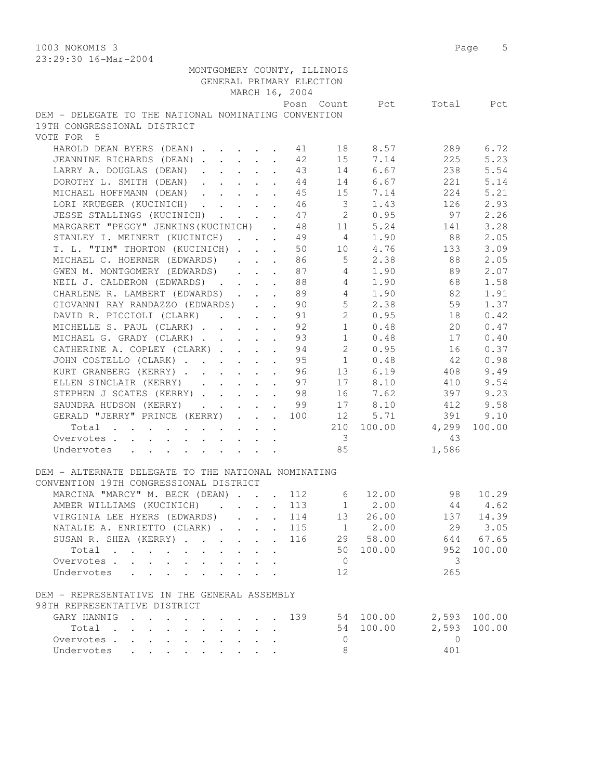1003 NOKOMIS 3 Page 5 23:29:30 16-Mar-2004

| MONTGOMERY COUNTY, ILLINOIS<br>GENERAL PRIMARY ELECTION |                                                                               |                      | MARCH 16, 2004 |                            |                 |                           |              |
|---------------------------------------------------------|-------------------------------------------------------------------------------|----------------------|----------------|----------------------------|-----------------|---------------------------|--------------|
|                                                         |                                                                               |                      |                |                            |                 | Posn Count Pct Total Pct  |              |
| DEM - DELEGATE TO THE NATIONAL NOMINATING CONVENTION    |                                                                               |                      |                |                            |                 |                           |              |
| 19TH CONGRESSIONAL DISTRICT                             |                                                                               |                      |                |                            |                 |                           |              |
| VOTE FOR 5                                              |                                                                               |                      |                |                            |                 |                           |              |
|                                                         |                                                                               |                      |                |                            |                 |                           | 6.72         |
| HAROLD DEAN BYERS (DEAN) 1 13 8.57                      |                                                                               |                      |                |                            |                 | 289<br>225                | 5.23         |
| JEANNINE RICHARDS (DEAN) 12                             |                                                                               |                      |                |                            | 15 7.14         |                           |              |
| LARRY A. DOUGLAS (DEAN) 43                              |                                                                               |                      |                |                            | 14 6.67         | 238                       | 5.54         |
| DOROTHY L. SMITH (DEAN) 44                              |                                                                               |                      |                |                            | 14 6.67         | 221                       | 5.14         |
| MICHAEL HOFFMANN (DEAN) 45                              |                                                                               |                      |                |                            | 15 7.14         | 224                       | 5.21         |
| LORI KRUEGER (KUCINICH)                                 |                                                                               |                      | 46             | $\overline{\mathbf{3}}$    | 1.43            | 126                       | 2.93         |
| JESSE STALLINGS (KUCINICH)                              |                                                                               | $\ddot{\phantom{a}}$ | 47             | $\overline{2}$             | 0.95            | 97                        | 2.26         |
| MARGARET "PEGGY" JENKINS (KUCINICH) . 48                |                                                                               |                      |                |                            | 11 5.24         | 141                       | 3.28         |
| STANLEY I. MEINERT (KUCINICH)                           |                                                                               | $\ddot{\phantom{0}}$ |                |                            | 49 4 1.90       | 88                        | 2.05         |
| T. L. "TIM" THORTON (KUCINICH)                          |                                                                               |                      |                |                            |                 | 50 10 4.76 133            | 3.09         |
| MICHAEL C. HOERNER (EDWARDS)                            |                                                                               |                      | 86             |                            | $5 \t 2.38$     | 88                        | 2.05         |
| GWEN M. MONTGOMERY (EDWARDS)                            |                                                                               |                      | 87             |                            | 4 1.90          | 89                        | 2.07         |
| NEIL J. CALDERON (EDWARDS) 88                           |                                                                               |                      |                |                            | 4 1.90          | 68                        | 1.58         |
| CHARLENE R. LAMBERT (EDWARDS) 89                        |                                                                               |                      |                |                            | 4 1.90          | 82                        | 1.91         |
| GIOVANNI RAY RANDAZZO (EDWARDS).                        |                                                                               |                      |                |                            | 2.38            | 59                        | 1.37         |
| DAVID R. PICCIOLI (CLARK)                               |                                                                               |                      |                | $90$ 5<br>$91$ 2<br>$92$ 1 | 0.95            | 18                        | 0.42         |
| MICHELLE S. PAUL (CLARK)                                |                                                                               | $\ddot{\phantom{0}}$ |                |                            | 0.48            | 20                        | 0.47         |
| MICHAEL G. GRADY (CLARK)                                |                                                                               |                      | 93             |                            | $1 \t 0.48$     | 17                        | 0.40         |
| CATHERINE A. COPLEY (CLARK) 94 2 0.95                   |                                                                               |                      |                |                            |                 | 16                        | 0.37         |
|                                                         |                                                                               |                      |                |                            |                 |                           |              |
| JOHN COSTELLO (CLARK)                                   |                                                                               |                      |                |                            | 95 1 0.48       | 42                        | 0.98         |
| KURT GRANBERG (KERRY) 96                                |                                                                               |                      |                |                            | 13 6.19         | 408                       | 9.49         |
| ELLEN SINCLAIR (KERRY) 97                               |                                                                               |                      |                |                            | 17 8.10         | 410                       | 9.54         |
| STEPHEN J SCATES (KERRY) 98                             |                                                                               |                      |                |                            | 16 7.62         | 397                       | 9.23         |
| SAUNDRA HUDSON (KERRY) 99                               |                                                                               |                      |                |                            | 17 8.10         | 412                       | 9.58         |
| GERALD "JERRY" PRINCE (KERRY) 100                       |                                                                               |                      |                |                            | 12 5.71         | 391                       | 9.10         |
| Total                                                   | $\mathbf{a}^{\prime}$ , and $\mathbf{a}^{\prime}$ , and $\mathbf{a}^{\prime}$ |                      |                |                            |                 | 210 100.00 4,299          | 100.00       |
| Overvotes.                                              |                                                                               |                      |                | $\overline{\mathbf{3}}$    |                 | 43                        |              |
| Undervotes                                              |                                                                               |                      |                | 85                         |                 | 1,586                     |              |
|                                                         |                                                                               |                      |                |                            |                 |                           |              |
| DEM - ALTERNATE DELEGATE TO THE NATIONAL NOMINATING     |                                                                               |                      |                |                            |                 |                           |              |
| CONVENTION 19TH CONGRESSIONAL DISTRICT                  |                                                                               |                      |                |                            |                 |                           |              |
| MARCINA "MARCY" M. BECK (DEAN) 112                      |                                                                               |                      |                |                            | $6 \quad 12.00$ | 98 10.29                  |              |
| AMBER WILLIAMS (KUCINICH) 113                           |                                                                               |                      |                |                            |                 | $1 \t 2.00 \t 44 \t 4.62$ |              |
| VIRGINIA LEE HYERS (EDWARDS)                            |                                                                               |                      | 114            |                            | 13 26.00        |                           | 137 14.39    |
| NATALIE A. ENRIETTO (CLARK) 115                         |                                                                               |                      |                |                            | $1 \t 2.00$     |                           | 29 3.05      |
| SUSAN R. SHEA (KERRY)                                   |                                                                               |                      | 116            |                            | 29 58.00        |                           | 644 67.65    |
| Total                                                   |                                                                               |                      |                |                            | 50 100.00       | 952                       | 100.00       |
|                                                         |                                                                               |                      |                |                            |                 |                           |              |
| Overvotes                                               |                                                                               |                      |                | $\overline{0}$             |                 | 3                         |              |
| Undervotes                                              |                                                                               |                      |                | 12                         |                 | 265                       |              |
|                                                         |                                                                               |                      |                |                            |                 |                           |              |
| DEM - REPRESENTATIVE IN THE GENERAL ASSEMBLY            |                                                                               |                      |                |                            |                 |                           |              |
| 98TH REPRESENTATIVE DISTRICT                            |                                                                               |                      |                |                            |                 |                           |              |
| GARY HANNIG                                             |                                                                               |                      | 139            |                            | 54 100.00       |                           | 2,593 100.00 |
| Total<br>$\cdot$ $\cdot$ $\cdot$ $\cdot$                |                                                                               |                      |                |                            | 54 100.00       | 2,593                     | 100.00       |
| Overvotes.                                              |                                                                               |                      |                | $\circ$                    |                 | $\Omega$                  |              |
| Undervotes                                              |                                                                               |                      |                | 8                          |                 | 401                       |              |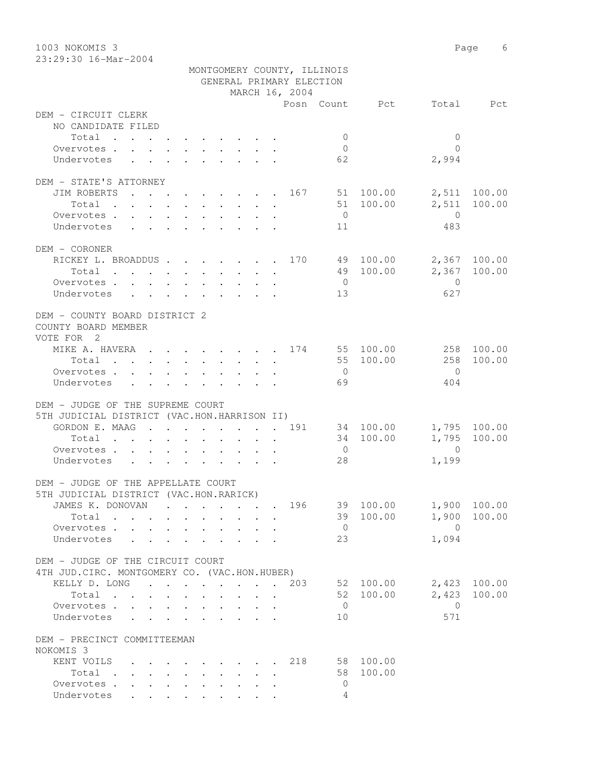| 1003 NOKOMIS 3<br>23:29:30 16-Mar-2004                             |                                                                  | 6<br>Page                                                                                                                            |                                                         |                      |                                |  |
|--------------------------------------------------------------------|------------------------------------------------------------------|--------------------------------------------------------------------------------------------------------------------------------------|---------------------------------------------------------|----------------------|--------------------------------|--|
|                                                                    |                                                                  |                                                                                                                                      | MONTGOMERY COUNTY, ILLINOIS<br>GENERAL PRIMARY ELECTION |                      |                                |  |
|                                                                    |                                                                  | MARCH 16, 2004                                                                                                                       |                                                         |                      |                                |  |
|                                                                    |                                                                  |                                                                                                                                      |                                                         | Posn Count Pct Total | Pct                            |  |
| DEM - CIRCUIT CLERK<br>NO CANDIDATE FILED                          |                                                                  |                                                                                                                                      |                                                         |                      |                                |  |
| Total                                                              |                                                                  |                                                                                                                                      | $\Omega$                                                |                      | $\mathbf{0}$                   |  |
| Overvotes.                                                         |                                                                  |                                                                                                                                      | $\Omega$                                                |                      | $\Omega$                       |  |
| Undervotes                                                         |                                                                  |                                                                                                                                      | 62                                                      |                      | 2,994                          |  |
| DEM - STATE'S ATTORNEY                                             |                                                                  |                                                                                                                                      |                                                         |                      |                                |  |
| JIM ROBERTS 167                                                    |                                                                  |                                                                                                                                      |                                                         | 51 100.00            | 2,511 100.00                   |  |
| Total .                                                            |                                                                  | $\mathbf{r} = \mathbf{r} + \mathbf{r}$ , where $\mathbf{r} = \mathbf{r} + \mathbf{r}$ , where $\mathbf{r} = \mathbf{r} + \mathbf{r}$ | 51                                                      | 100.00               | 2,511 100.00                   |  |
| Overvotes                                                          |                                                                  |                                                                                                                                      | $\overline{0}$                                          |                      | $\bigcirc$                     |  |
| Undervotes                                                         |                                                                  |                                                                                                                                      | 11                                                      |                      | 483                            |  |
| DEM - CORONER                                                      |                                                                  |                                                                                                                                      |                                                         |                      |                                |  |
| RICKEY L. BROADDUS 170                                             |                                                                  |                                                                                                                                      | 49                                                      | 100.00               | 2,367 100.00                   |  |
| Total                                                              |                                                                  |                                                                                                                                      | 49                                                      | 100.00               | 2,367 100.00                   |  |
| Overvotes                                                          |                                                                  |                                                                                                                                      | $\overline{0}$                                          |                      | $\overline{0}$                 |  |
| Undervotes                                                         |                                                                  |                                                                                                                                      | 13                                                      |                      | 627                            |  |
| DEM - COUNTY BOARD DISTRICT 2<br>COUNTY BOARD MEMBER               |                                                                  |                                                                                                                                      |                                                         |                      |                                |  |
| VOTE FOR 2                                                         |                                                                  |                                                                                                                                      |                                                         |                      |                                |  |
| MIKE A. HAVERA 174 55 100.00 258 100.00                            |                                                                  |                                                                                                                                      |                                                         |                      |                                |  |
| Total $\cdot$                                                      |                                                                  |                                                                                                                                      | 55                                                      | 100.00               | 258 100.00                     |  |
| Overvotes                                                          |                                                                  |                                                                                                                                      | $\overline{0}$                                          |                      | $\bigcirc$                     |  |
| Undervotes                                                         |                                                                  |                                                                                                                                      | 69                                                      |                      | 404                            |  |
| DEM - JUDGE OF THE SUPREME COURT                                   |                                                                  |                                                                                                                                      |                                                         |                      |                                |  |
| 5TH JUDICIAL DISTRICT (VAC.HON.HARRISON II)                        |                                                                  |                                                                                                                                      |                                                         |                      |                                |  |
| GORDON E. MAAG 191                                                 |                                                                  |                                                                                                                                      |                                                         | 34 100.00            | 1,795 100.00                   |  |
| Total                                                              |                                                                  |                                                                                                                                      | 34                                                      | 100.00               | 1,795 100.00                   |  |
| Overvotes.                                                         |                                                                  |                                                                                                                                      | $\overline{0}$                                          |                      | $\bigcirc$                     |  |
| Undervotes                                                         |                                                                  |                                                                                                                                      | 28                                                      |                      | 1,199                          |  |
|                                                                    |                                                                  |                                                                                                                                      |                                                         |                      |                                |  |
| DEM - JUDGE OF THE APPELLATE COURT                                 |                                                                  |                                                                                                                                      |                                                         |                      |                                |  |
| 5TH JUDICIAL DISTRICT (VAC.HON.RARICK)                             |                                                                  |                                                                                                                                      |                                                         |                      |                                |  |
| JAMES K. DONOVAN                                                   |                                                                  | $\mathbf{r}$ , $\mathbf{r}$ , $\mathbf{r}$                                                                                           | . 196                                                   | 39 100.00            | 1,900 100.00                   |  |
| Total                                                              | $\cdot$ $\cdot$ $\cdot$                                          | $\mathbf{r} = \mathbf{r} + \mathbf{r}$                                                                                               | 39                                                      | 100.00               | 1,900 100.00<br>$\overline{0}$ |  |
| Overvotes.<br>Undervotes                                           |                                                                  |                                                                                                                                      | $\overline{0}$<br>23                                    |                      | 1,094                          |  |
|                                                                    |                                                                  |                                                                                                                                      |                                                         |                      |                                |  |
| DEM - JUDGE OF THE CIRCUIT COURT                                   |                                                                  |                                                                                                                                      |                                                         |                      |                                |  |
| 4TH JUD. CIRC. MONTGOMERY CO. (VAC.HON.HUBER)<br>KELLY D. LONG 203 |                                                                  |                                                                                                                                      |                                                         | 52 100.00            | 2,423 100.00                   |  |
|                                                                    |                                                                  |                                                                                                                                      | 52                                                      | 100.00               |                                |  |
| Total<br>Overvotes.                                                |                                                                  |                                                                                                                                      | $\overline{0}$                                          |                      | 2,423 100.00<br>$\bigcirc$     |  |
| Undervotes                                                         | $\mathbf{r} = \mathbf{r}$ . The set of $\mathbf{r} = \mathbf{r}$ | $\sim$ $\sim$ $\sim$ $\sim$                                                                                                          | 10                                                      |                      | 571                            |  |
|                                                                    |                                                                  |                                                                                                                                      |                                                         |                      |                                |  |
| DEM - PRECINCT COMMITTEEMAN                                        |                                                                  |                                                                                                                                      |                                                         |                      |                                |  |
| NOKOMIS <sub>3</sub>                                               |                                                                  |                                                                                                                                      |                                                         |                      |                                |  |
| KENT VOILS                                                         |                                                                  | . 218                                                                                                                                |                                                         | 58 100.00            |                                |  |
| Total                                                              |                                                                  |                                                                                                                                      | 58                                                      | 100.00               |                                |  |
| Overvotes.                                                         |                                                                  |                                                                                                                                      | $\Omega$                                                |                      |                                |  |

Undervotes . . . . . . . . . 4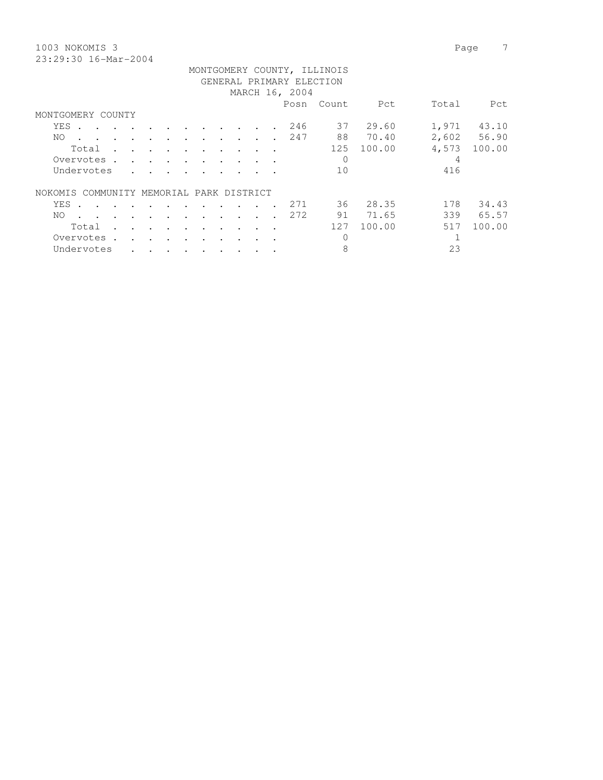1003 NOKOMIS 3 Page 7 23:29:30 16-Mar-2004

|                                             |                      |                      |                      |                      |           |                      |                      |                      |                      |                      | GENERAL PRIMARY ELECTION |     |        |       |        |
|---------------------------------------------|----------------------|----------------------|----------------------|----------------------|-----------|----------------------|----------------------|----------------------|----------------------|----------------------|--------------------------|-----|--------|-------|--------|
| MARCH 16, 2004                              |                      |                      |                      |                      |           |                      |                      |                      |                      |                      |                          |     |        |       |        |
| Total<br>Posn<br>Count<br>Pct<br>Pct        |                      |                      |                      |                      |           |                      |                      |                      |                      |                      |                          |     |        |       |        |
| MONTGOMERY COUNTY                           |                      |                      |                      |                      |           |                      |                      |                      |                      |                      |                          |     |        |       |        |
| <b>YES</b>                                  |                      |                      |                      |                      |           |                      | $\bullet$            |                      |                      |                      | 246                      | 37  | 29.60  | 1,971 | 43.10  |
| NO.                                         |                      |                      | $\ddot{\phantom{a}}$ |                      | $\cdot$   |                      |                      |                      |                      |                      | 247                      | 88  | 70.40  | 2,602 | 56.90  |
| Total                                       | $\cdot$              | $\cdot$              | $\ddot{\phantom{a}}$ | $\ddot{\phantom{a}}$ | $\bullet$ | $\ddot{\phantom{a}}$ | $\bullet$            |                      | $\ddot{\phantom{a}}$ |                      |                          | 125 | 100.00 | 4,573 | 100.00 |
| Overvotes.                                  |                      | $\ddot{\phantom{a}}$ |                      | $\ddot{\phantom{a}}$ |           | $\bullet$            | $\bullet$            |                      |                      |                      |                          | 0   |        | 4     |        |
| Undervotes                                  |                      |                      |                      |                      |           |                      |                      |                      |                      |                      |                          | 10  |        | 416   |        |
| COMMUNITY MEMORIAL PARK DISTRICT<br>NOKOMIS |                      |                      |                      |                      |           |                      |                      |                      |                      |                      |                          |     |        |       |        |
| <b>YES</b><br>$\sim$                        | $\sim$               |                      |                      |                      | $\sim$    |                      |                      |                      |                      |                      | 271                      | 36  | 28.35  | 178   | 34.43  |
| NO.<br>$\sim$                               | $\ddot{\phantom{a}}$ | $\cdot$              | $\cdot$              | $\ddot{\phantom{a}}$ | $\bullet$ | $\ddot{\phantom{a}}$ | $\ddot{\phantom{a}}$ | $\ddot{\phantom{a}}$ | $\ddot{\phantom{a}}$ | $\ddot{\phantom{0}}$ | 272                      | 91  | 71.65  | 339   | 65.57  |
| Total                                       |                      |                      | $\bullet$            | $\bullet$            | $\bullet$ | $\bullet$            | $\bullet$            |                      |                      |                      |                          | 127 | 100.00 | 517   | 100.00 |
| Overvotes .                                 |                      | $\mathbf{r}$         | $\sim$               | $\bullet$            |           |                      | $\bullet$            |                      |                      |                      |                          | 0   |        |       |        |
| Undervotes                                  |                      |                      |                      |                      |           |                      |                      |                      |                      |                      |                          | 8   |        | 23    |        |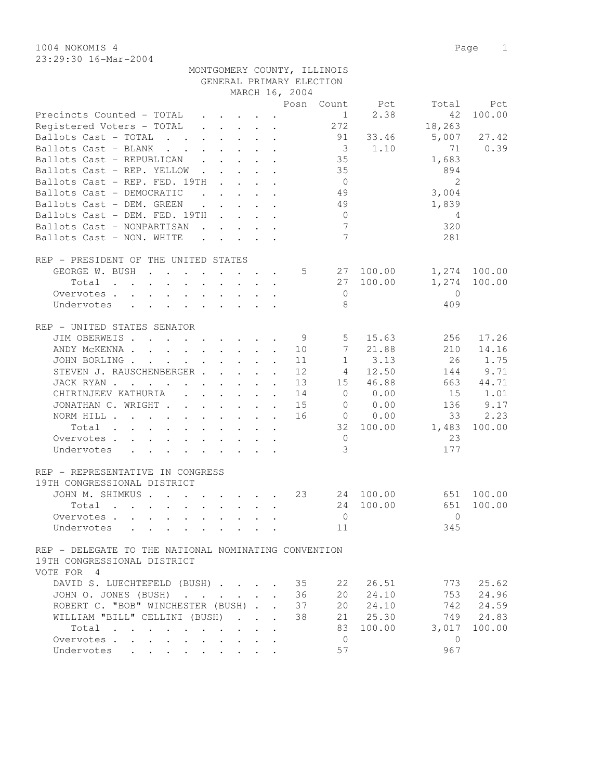1004 NOKOMIS 4 Page 1 23:29:30 16-Mar-2004

|                                                                                                                                                                                                                                                                                                                                                                                                                                                                                                                            |                                                                                                                                                                                                                                      |                      |                      | GENERAL PRIMARY ELECTION |                         |                        |                |              |
|----------------------------------------------------------------------------------------------------------------------------------------------------------------------------------------------------------------------------------------------------------------------------------------------------------------------------------------------------------------------------------------------------------------------------------------------------------------------------------------------------------------------------|--------------------------------------------------------------------------------------------------------------------------------------------------------------------------------------------------------------------------------------|----------------------|----------------------|--------------------------|-------------------------|------------------------|----------------|--------------|
|                                                                                                                                                                                                                                                                                                                                                                                                                                                                                                                            |                                                                                                                                                                                                                                      |                      |                      | MARCH 16, 2004           |                         |                        |                |              |
|                                                                                                                                                                                                                                                                                                                                                                                                                                                                                                                            |                                                                                                                                                                                                                                      |                      |                      |                          |                         | Posn Count Pct         | Total          | Pct          |
| Precincts Counted - TOTAL                                                                                                                                                                                                                                                                                                                                                                                                                                                                                                  | $\cdot$ $\cdot$ $\cdot$ $\cdot$                                                                                                                                                                                                      |                      |                      |                          |                         | 2.38<br>$1 \quad \Box$ | 42             | 100.00       |
| Registered Voters - TOTAL                                                                                                                                                                                                                                                                                                                                                                                                                                                                                                  | $\begin{array}{cccccccccccccc} . & . & . & . & . & . & . \end{array}$                                                                                                                                                                |                      |                      |                          | 272                     |                        | 18,263         |              |
| Ballots Cast - TOTAL                                                                                                                                                                                                                                                                                                                                                                                                                                                                                                       | $\cdot$ $\cdot$ $\cdot$ $\cdot$ $\cdot$ $\cdot$                                                                                                                                                                                      |                      |                      |                          | 91                      | 33.46                  | 5,007          | 27.42        |
| Ballots Cast - BLANK<br>$\mathbf{r}$ , and $\mathbf{r}$ , and $\mathbf{r}$ , and $\mathbf{r}$                                                                                                                                                                                                                                                                                                                                                                                                                              |                                                                                                                                                                                                                                      |                      |                      |                          | $\overline{\mathbf{3}}$ | 1.10                   | 71             | 0.39         |
| Ballots Cast - REPUBLICAN<br>$\mathbf{r}$                                                                                                                                                                                                                                                                                                                                                                                                                                                                                  | $\cdot$ $\cdot$ $\cdot$ $\cdot$                                                                                                                                                                                                      |                      |                      |                          | 35                      |                        | 1,683          |              |
| Ballots Cast - REP. YELLOW                                                                                                                                                                                                                                                                                                                                                                                                                                                                                                 |                                                                                                                                                                                                                                      |                      |                      |                          | 35                      |                        | 894            |              |
| Ballots Cast - REP. FED. 19TH                                                                                                                                                                                                                                                                                                                                                                                                                                                                                              | and the state of the state of the                                                                                                                                                                                                    |                      |                      |                          | $\overline{0}$          |                        | $\overline{2}$ |              |
| Ballots Cast - DEMOCRATIC                                                                                                                                                                                                                                                                                                                                                                                                                                                                                                  | <u>in the community of the community of the community of the community of the community of the community of the community of the community of the community of the community of the community of the community of the community </u> |                      |                      |                          | 49                      |                        | 3,004          |              |
| Ballots Cast - DEM. GREEN                                                                                                                                                                                                                                                                                                                                                                                                                                                                                                  | $\mathbf{r}$ , $\mathbf{r}$ , $\mathbf{r}$ , $\mathbf{r}$ , $\mathbf{r}$                                                                                                                                                             |                      |                      |                          | 49                      |                        | 1,839          |              |
| Ballots Cast - DEM. FED. 19TH                                                                                                                                                                                                                                                                                                                                                                                                                                                                                              |                                                                                                                                                                                                                                      |                      |                      |                          | $\overline{0}$          |                        | 4              |              |
| Ballots Cast - NONPARTISAN                                                                                                                                                                                                                                                                                                                                                                                                                                                                                                 | $\mathbf{r}$ , $\mathbf{r}$ , $\mathbf{r}$ , $\mathbf{r}$ , $\mathbf{r}$                                                                                                                                                             |                      |                      |                          | $7\overline{ }$         |                        | 320            |              |
| Ballots Cast - NON. WHITE                                                                                                                                                                                                                                                                                                                                                                                                                                                                                                  |                                                                                                                                                                                                                                      |                      |                      |                          | $\overline{7}$          |                        | 281            |              |
|                                                                                                                                                                                                                                                                                                                                                                                                                                                                                                                            |                                                                                                                                                                                                                                      |                      |                      |                          |                         |                        |                |              |
| REP - PRESIDENT OF THE UNITED STATES                                                                                                                                                                                                                                                                                                                                                                                                                                                                                       |                                                                                                                                                                                                                                      |                      |                      |                          |                         |                        |                |              |
| GEORGE W. BUSH                                                                                                                                                                                                                                                                                                                                                                                                                                                                                                             |                                                                                                                                                                                                                                      |                      |                      | 5                        | 27                      | 100.00                 |                | 1,274 100.00 |
| Total<br>$\mathbf{r}$ , $\mathbf{r}$ , $\mathbf{r}$ , $\mathbf{r}$ , $\mathbf{r}$ , $\mathbf{r}$ , $\mathbf{r}$                                                                                                                                                                                                                                                                                                                                                                                                            |                                                                                                                                                                                                                                      |                      |                      |                          | 27                      | 100.00                 | 1,274          | 100.00       |
| Overvotes                                                                                                                                                                                                                                                                                                                                                                                                                                                                                                                  |                                                                                                                                                                                                                                      |                      |                      |                          | $\overline{0}$          |                        | $\overline{0}$ |              |
| $\mathcal{L}^{\mathcal{A}}$ . The contribution of the contribution of the contribution of the contribution of the contribution of the contribution of the contribution of the contribution of the contribution of the contribution of the<br>Undervotes                                                                                                                                                                                                                                                                    |                                                                                                                                                                                                                                      |                      |                      |                          | 8                       |                        | 409            |              |
|                                                                                                                                                                                                                                                                                                                                                                                                                                                                                                                            |                                                                                                                                                                                                                                      |                      |                      |                          |                         |                        |                |              |
| REP - UNITED STATES SENATOR                                                                                                                                                                                                                                                                                                                                                                                                                                                                                                |                                                                                                                                                                                                                                      |                      |                      |                          |                         |                        |                |              |
| JIM OBERWEIS                                                                                                                                                                                                                                                                                                                                                                                                                                                                                                               |                                                                                                                                                                                                                                      |                      |                      | 9                        | $5\overline{)}$         | 15.63                  | 256            | 17.26        |
| ANDY MCKENNA                                                                                                                                                                                                                                                                                                                                                                                                                                                                                                               |                                                                                                                                                                                                                                      |                      |                      | 10                       | 7                       | 21.88                  | 210            | 14.16        |
| JOHN BORLING.<br>the contract of the contract of the contract of the contract of the contract of                                                                                                                                                                                                                                                                                                                                                                                                                           |                                                                                                                                                                                                                                      |                      | $\ddot{\phantom{a}}$ | 11                       | $\mathbf{1}$            | 3.13                   | 26             | 1.75         |
| STEVEN J. RAUSCHENBERGER                                                                                                                                                                                                                                                                                                                                                                                                                                                                                                   |                                                                                                                                                                                                                                      |                      | $\mathbf{r}$         | 12                       | 4                       | 12.50                  | 144            | 9.71         |
| JACK RYAN                                                                                                                                                                                                                                                                                                                                                                                                                                                                                                                  |                                                                                                                                                                                                                                      |                      |                      | 13                       | 15                      | 46.88                  | 663            | 44.71        |
| CHIRINJEEV KATHURIA (CHIRINJEEV KATHURIA)                                                                                                                                                                                                                                                                                                                                                                                                                                                                                  |                                                                                                                                                                                                                                      |                      |                      | 14                       | $\overline{0}$          | 0.00                   | 15             | 1.01         |
| JONATHAN C. WRIGHT                                                                                                                                                                                                                                                                                                                                                                                                                                                                                                         |                                                                                                                                                                                                                                      |                      |                      | 15                       | $\overline{0}$          | 0.00                   | 136            | 9.17         |
| NORM HILL                                                                                                                                                                                                                                                                                                                                                                                                                                                                                                                  |                                                                                                                                                                                                                                      |                      |                      | 16                       | $\overline{0}$          | 0.00                   | 33             | 2.23         |
| Total                                                                                                                                                                                                                                                                                                                                                                                                                                                                                                                      |                                                                                                                                                                                                                                      |                      |                      |                          | 32                      | 100.00                 | 1,483          | 100.00       |
| Overvotes                                                                                                                                                                                                                                                                                                                                                                                                                                                                                                                  |                                                                                                                                                                                                                                      |                      |                      |                          | $\circ$                 |                        | 23             |              |
| Undervotes<br>$\mathbf{r} = \mathbf{r} \times \mathbf{r} \times \mathbf{r} \times \mathbf{r} \times \mathbf{r} \times \mathbf{r} \times \mathbf{r} \times \mathbf{r} \times \mathbf{r} \times \mathbf{r} \times \mathbf{r} \times \mathbf{r} \times \mathbf{r} \times \mathbf{r} \times \mathbf{r} \times \mathbf{r} \times \mathbf{r} \times \mathbf{r} \times \mathbf{r} \times \mathbf{r} \times \mathbf{r} \times \mathbf{r} \times \mathbf{r} \times \mathbf{r} \times \mathbf{r} \times \mathbf{r} \times \mathbf{r$ |                                                                                                                                                                                                                                      |                      |                      |                          | 3                       |                        | 177            |              |
|                                                                                                                                                                                                                                                                                                                                                                                                                                                                                                                            |                                                                                                                                                                                                                                      |                      |                      |                          |                         |                        |                |              |
| REP - REPRESENTATIVE IN CONGRESS                                                                                                                                                                                                                                                                                                                                                                                                                                                                                           |                                                                                                                                                                                                                                      |                      |                      |                          |                         |                        |                |              |
| 19TH CONGRESSIONAL DISTRICT                                                                                                                                                                                                                                                                                                                                                                                                                                                                                                |                                                                                                                                                                                                                                      |                      |                      |                          |                         |                        |                |              |
| JOHN M. SHIMKUS                                                                                                                                                                                                                                                                                                                                                                                                                                                                                                            |                                                                                                                                                                                                                                      |                      |                      | 23                       |                         | 24 100.00              |                | 651 100.00   |
| Total<br>$\mathbf{r}$ , and $\mathbf{r}$ , and $\mathbf{r}$ , and $\mathbf{r}$ , and $\mathbf{r}$                                                                                                                                                                                                                                                                                                                                                                                                                          |                                                                                                                                                                                                                                      |                      |                      |                          | 24                      | 100.00                 | 651            | 100.00       |
| Overvotes                                                                                                                                                                                                                                                                                                                                                                                                                                                                                                                  |                                                                                                                                                                                                                                      |                      |                      |                          | $\mathbf{0}$            |                        | $\mathbf{0}$   |              |
| Undervotes<br>. The contract of the contract of the contract of the contract of the contract of the contract of the contract of the contract of the contract of the contract of the contract of the contract of the contract of the contrac                                                                                                                                                                                                                                                                                |                                                                                                                                                                                                                                      |                      |                      |                          | 11                      |                        | 345            |              |
|                                                                                                                                                                                                                                                                                                                                                                                                                                                                                                                            |                                                                                                                                                                                                                                      |                      |                      |                          |                         |                        |                |              |
| REP - DELEGATE TO THE NATIONAL NOMINATING CONVENTION                                                                                                                                                                                                                                                                                                                                                                                                                                                                       |                                                                                                                                                                                                                                      |                      |                      |                          |                         |                        |                |              |
| 19TH CONGRESSIONAL DISTRICT                                                                                                                                                                                                                                                                                                                                                                                                                                                                                                |                                                                                                                                                                                                                                      |                      |                      |                          |                         |                        |                |              |
| VOTE FOR 4                                                                                                                                                                                                                                                                                                                                                                                                                                                                                                                 |                                                                                                                                                                                                                                      |                      |                      |                          |                         |                        |                |              |
| DAVID S. LUECHTEFELD (BUSH)                                                                                                                                                                                                                                                                                                                                                                                                                                                                                                |                                                                                                                                                                                                                                      |                      |                      | 35                       | 22                      | 26.51                  | 773            | 25.62        |
| JOHN O. JONES (BUSH)                                                                                                                                                                                                                                                                                                                                                                                                                                                                                                       |                                                                                                                                                                                                                                      |                      |                      | 36                       | 20                      | 24.10                  | 753            | 24.96        |
| ROBERT C. "BOB" WINCHESTER (BUSH)                                                                                                                                                                                                                                                                                                                                                                                                                                                                                          |                                                                                                                                                                                                                                      | $\overline{a}$       | $\ddot{\phantom{a}}$ | 37                       | 20                      | 24.10                  | 742            | 24.59        |
| WILLIAM "BILL" CELLINI (BUSH)                                                                                                                                                                                                                                                                                                                                                                                                                                                                                              |                                                                                                                                                                                                                                      | $\ddot{\phantom{a}}$ |                      | 38                       | 21                      | 25.30                  | 749            | 24.83        |
| Total<br>$\sim$<br>$\sim$                                                                                                                                                                                                                                                                                                                                                                                                                                                                                                  |                                                                                                                                                                                                                                      |                      |                      |                          | 83                      | 100.00                 | 3,017          | 100.00       |
| Overvotes<br>$\ddot{\phantom{0}}$<br>$\bullet$                                                                                                                                                                                                                                                                                                                                                                                                                                                                             |                                                                                                                                                                                                                                      |                      |                      |                          | $\overline{0}$          |                        | 0              |              |
| Undervotes                                                                                                                                                                                                                                                                                                                                                                                                                                                                                                                 |                                                                                                                                                                                                                                      |                      |                      |                          | 57                      |                        | 967            |              |

MONTGOMERY COUNTY, ILLINOIS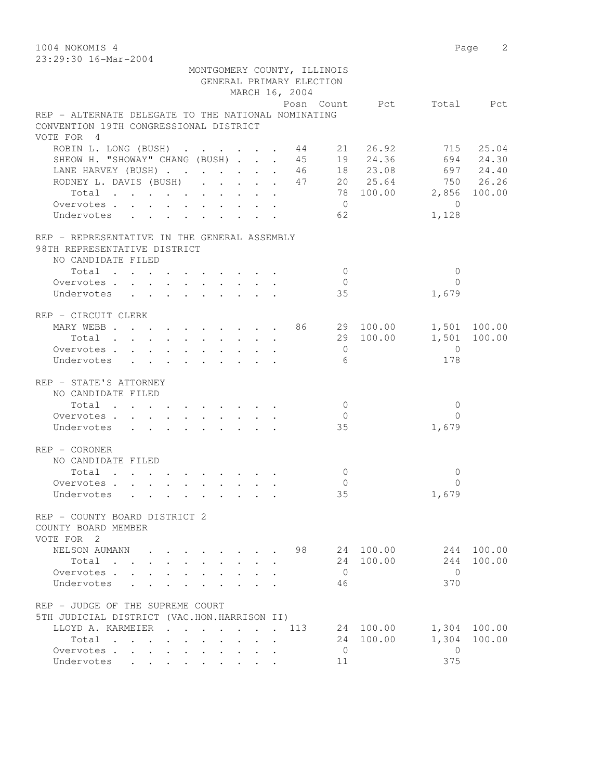1004 NOKOMIS 4 Page 2 23:29:30 16-Mar-2004 MONTGOMERY COUNTY, ILLINOIS GENERAL PRIMARY ELECTION MARCH 16, 2004 Posn Count Pct Total Pct REP - ALTERNATE DELEGATE TO THE NATIONAL NOMINATING CONVENTION 19TH CONGRESSIONAL DISTRICT VOTE FOR 4 ROBIN L. LONG (BUSH) . . . . . . 44 21 26.92 715 25.04 SHEOW H. "SHOWAY" CHANG (BUSH) . . . 45 19 24.36 694 24.30 LANE HARVEY (BUSH) . . . . . . . 46 18 23.08 697 24.40 RODNEY L. DAVIS (BUSH) . . . . . 47 20 25.64 750 26.26 Total . . . . . . . . . . 78 100.00 2,856 100.00 Overvotes . . . . . . . . . . 0 0 Undervotes . . . . . . . . . . 62 1,128 REP - REPRESENTATIVE IN THE GENERAL ASSEMBLY 98TH REPRESENTATIVE DISTRICT NO CANDIDATE FILED  $\text{Total} \quad . \quad . \quad . \quad . \quad . \quad . \quad . \qquad . \qquad 0 \qquad \qquad 0$  Overvotes . . . . . . . . . . 0 0 Undervotes . . . . . . . . . . 35 1,679 REP - CIRCUIT CLERK MARY WEBB . . . . . . . . . . 86 29 100.00 1,501 100.00 Total . . . . . . . . . . 29 100.00 1,501 100.00 Overvotes . . . . . . . . . . 0 0 Undervotes . . . . . . . . . . 6 178 REP - STATE'S ATTORNEY NO CANDIDATE FILED  $\begin{array}{ccccccccccc}\n\text{Total} & . & . & . & . & . & . & . & . & . & 0 & & & & 0 \\
\text{ervotes} & . & . & . & . & . & . & . & . & . & . & 0 & & & & & 0\n\end{array}$ Overvotes . . . . . . . . . . . 0 Undervotes . . . . . . . . . 35 1,679

REP - CORONER NO CANDIDATE FILED Total . . . . . . . . . . 0 0 Overvotes . . . . . . . . . . 0 0 Undervotes . . . . . . . . . 35 1,679 REP - COUNTY BOARD DISTRICT 2 COUNTY BOARD MEMBER VOTE FOR 2 NELSON AUMANN . . . . . . . . 98 24 100.00 244 100.00 Total . . . . . . . . . . 24 100.00 244 100.00 Overvotes . . . . . . . . . . 0 0 Undervotes . . . . . . . . . 46 370 REP - JUDGE OF THE SUPREME COURT 5TH JUDICIAL DISTRICT (VAC.HON.HARRISON II) LLOYD A. KARMEIER . . . . . . . 113 24 100.00 1,304 100.00 Total . . . . . . . . . . 24 100.00 1,304 100.00 Overvotes . . . . . . . . . . . 0 Undervotes . . . . . . . . . 11 375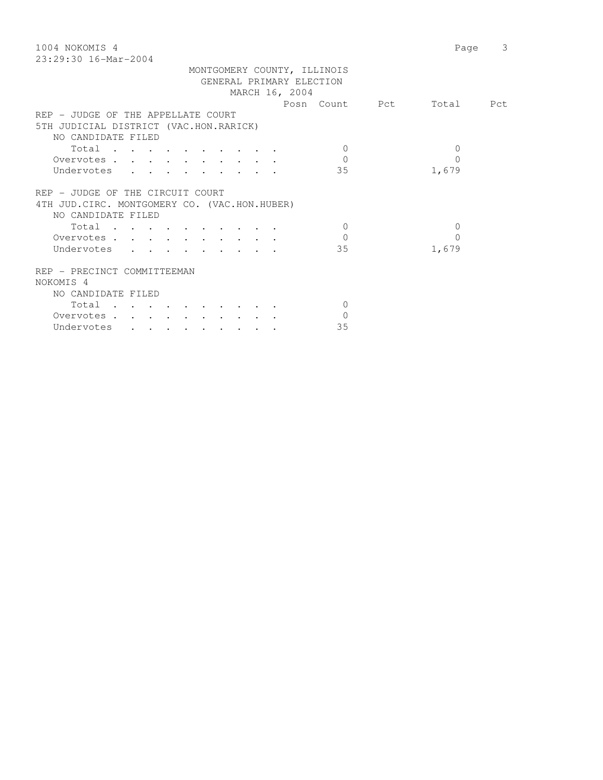| 1004 NOKOMIS 4                                            | Page         | 3 |
|-----------------------------------------------------------|--------------|---|
| $23:29:30$ 16-Mar-2004                                    |              |   |
| MONTGOMERY COUNTY, ILLINOIS                               |              |   |
| GENERAL PRIMARY ELECTION                                  |              |   |
| MARCH 16, 2004                                            |              |   |
| Posn Count Pct                                            | Total Pct    |   |
| REP - JUDGE OF THE APPELLATE COURT                        |              |   |
| 5TH JUDICIAL DISTRICT (VAC.HON.RARICK)                    |              |   |
| NO CANDIDATE FILED                                        |              |   |
| Total<br>$\Omega$                                         | 0            |   |
| $\Omega$<br>Overvotes.                                    | $\Omega$     |   |
| Undervotes<br>35<br>$\mathbf{r}$ and $\mathbf{r}$         | 1,679        |   |
|                                                           |              |   |
| REP - JUDGE OF THE CIRCUIT COURT                          |              |   |
| 4TH JUD. CIRC. MONTGOMERY CO. (VAC.HON.HUBER)             |              |   |
| NO CANDIDATE FILED                                        |              |   |
| $\bigcirc$<br>$Total \cdot \cdot \cdot \cdot \cdot \cdot$ | $\mathbf{0}$ |   |
|                                                           |              |   |
| $\Omega$<br>Overvotes.                                    | $\Omega$     |   |
| 35<br>Undervotes<br>$\mathbf{r}$ , $\mathbf{r}$           | 1,679        |   |
|                                                           |              |   |
| REP - PRECINCT COMMITTEEMAN                               |              |   |
| NOKOMIS <sub>4</sub>                                      |              |   |
| NO CANDIDATE FILED                                        |              |   |
| Total<br>$\mathbf{0}$                                     |              |   |
| $\Omega$<br>Overvotes.                                    |              |   |
| 35<br>Undervotes<br>$\cdot$ $\cdot$ $\cdot$               |              |   |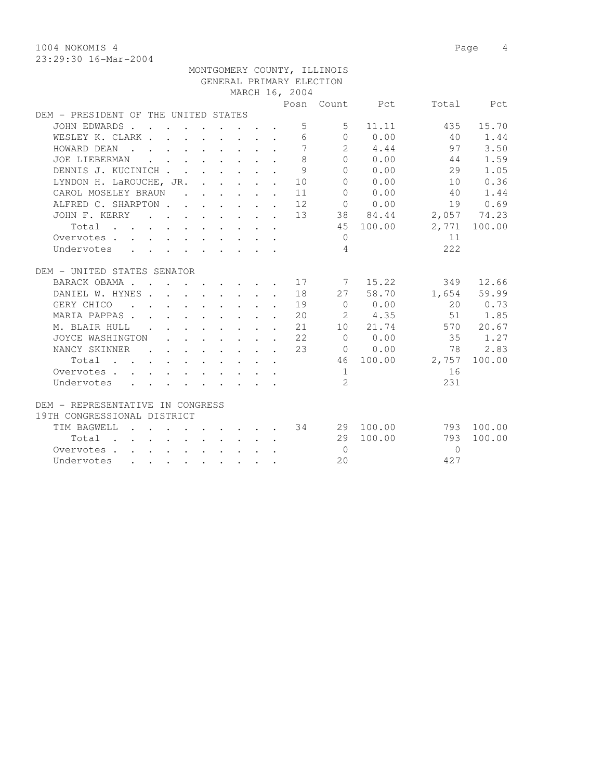1004 NOKOMIS 4 Page 4 23:29:30 16-Mar-2004

|                                                                                                                               |                                                                          |  |  |                                                            | MONTGOMERY COUNTY, ILLINOIS |             |                          |              |
|-------------------------------------------------------------------------------------------------------------------------------|--------------------------------------------------------------------------|--|--|------------------------------------------------------------|-----------------------------|-------------|--------------------------|--------------|
|                                                                                                                               |                                                                          |  |  |                                                            | GENERAL PRIMARY ELECTION    |             |                          |              |
|                                                                                                                               |                                                                          |  |  | MARCH 16, 2004                                             |                             |             |                          |              |
|                                                                                                                               |                                                                          |  |  |                                                            |                             |             | Posn Count Pct Total Pct |              |
| DEM - PRESIDENT OF THE UNITED STATES                                                                                          |                                                                          |  |  |                                                            |                             |             |                          |              |
| JOHN EDWARDS                                                                                                                  |                                                                          |  |  | $5 -$                                                      | $5 -$                       | 11.11       | 435                      | 15.70        |
| WESLEY K. CLARK                                                                                                               |                                                                          |  |  | 6                                                          |                             | $0 \t 0.00$ | 40                       | 1.44         |
| HOWARD DEAN                                                                                                                   |                                                                          |  |  | $\overline{7}$                                             |                             | $2 \t 4.44$ | 97                       | 3.50         |
| JOE LIEBERMAN                                                                                                                 | $\sim$                                                                   |  |  | $\mathcal{S}$                                              |                             | 0 0.00      | 44                       | 1.59         |
| DENNIS J. KUCINICH                                                                                                            |                                                                          |  |  | $\mathcal{Q}$                                              |                             | $0 \t 0.00$ | 29                       | 1.05         |
| LYNDON H. LaROUCHE, JR. 10                                                                                                    |                                                                          |  |  |                                                            | $\Omega$                    | 0.00        | 10                       | 0.36         |
| CAROL MOSELEY BRAUN                                                                                                           |                                                                          |  |  | 11                                                         | $\bigcap$                   | 0.00        | 40                       | 1.44         |
| ALFRED C. SHARPTON 12                                                                                                         |                                                                          |  |  |                                                            |                             | 0.00        | 19                       | 0.69         |
| JOHN F. KERRY 13                                                                                                              |                                                                          |  |  |                                                            |                             | 38 84.44    |                          | 2,057 74.23  |
| Total                                                                                                                         |                                                                          |  |  |                                                            |                             | 45 100.00   |                          | 2,771 100.00 |
| Overvotes                                                                                                                     |                                                                          |  |  |                                                            | $\Omega$                    |             | 11                       |              |
| Undervotes                                                                                                                    |                                                                          |  |  |                                                            | $\overline{4}$              |             | 2.2.2                    |              |
|                                                                                                                               |                                                                          |  |  |                                                            |                             |             |                          |              |
| DEM - UNITED STATES SENATOR                                                                                                   |                                                                          |  |  |                                                            |                             |             |                          |              |
| BARACK OBAMA 17 7 15.22                                                                                                       |                                                                          |  |  |                                                            |                             |             |                          | 349 12.66    |
| DANIEL W. HYNES 18                                                                                                            |                                                                          |  |  |                                                            |                             | 27 58.70    |                          | 1,654 59.99  |
| GERY CHICO<br>$\mathbf{r}$ , and $\mathbf{r}$ , and $\mathbf{r}$ , and $\mathbf{r}$                                           |                                                                          |  |  | 19                                                         |                             | $0 \t 0.00$ | 20                       | 0.73         |
| MARIA PAPPAS                                                                                                                  | $\mathbf{r}$ , $\mathbf{r}$ , $\mathbf{r}$ , $\mathbf{r}$ , $\mathbf{r}$ |  |  | 20                                                         |                             | 2 4.35      | 51                       | 1.85         |
| M. BLAIR HULL                                                                                                                 |                                                                          |  |  | 2.1                                                        |                             | 10 21.74    |                          | 570 20.67    |
| JOYCE WASHINGTON                                                                                                              |                                                                          |  |  | $\cdot$ $\cdot$ $\cdot$ $\cdot$ $\cdot$ $\cdot$ $\cdot$ 22 | $\bigcirc$                  | 0.00        | 35                       | 1.27         |
| NANCY SKINNER 23                                                                                                              |                                                                          |  |  |                                                            |                             | 0 0.00      | 78                       | 2.83         |
| Total $\cdot$                                                                                                                 |                                                                          |  |  |                                                            |                             | 46 100.00   | 2,757                    | 100.00       |
| Overvotes.                                                                                                                    |                                                                          |  |  |                                                            | 1                           |             | 16                       |              |
| Undervotes                                                                                                                    |                                                                          |  |  |                                                            | $\mathcal{L}$               |             | 231                      |              |
|                                                                                                                               |                                                                          |  |  |                                                            |                             |             |                          |              |
| DEM - REPRESENTATIVE IN CONGRESS                                                                                              |                                                                          |  |  |                                                            |                             |             |                          |              |
| 19TH CONGRESSIONAL DISTRICT                                                                                                   |                                                                          |  |  |                                                            |                             |             |                          |              |
| . 34<br>TIM BAGWELL                                                                                                           |                                                                          |  |  |                                                            |                             | 29 100.00   |                          | 793 100.00   |
| Total                                                                                                                         |                                                                          |  |  |                                                            |                             | 29 100.00   | 793                      | 100.00       |
| Overvotes                                                                                                                     |                                                                          |  |  |                                                            | $\bigcirc$                  |             | $\bigcap$                |              |
| Undervotes<br>the contract of the contract of the contract of the contract of the contract of the contract of the contract of |                                                                          |  |  |                                                            | 2.0                         |             | 427                      |              |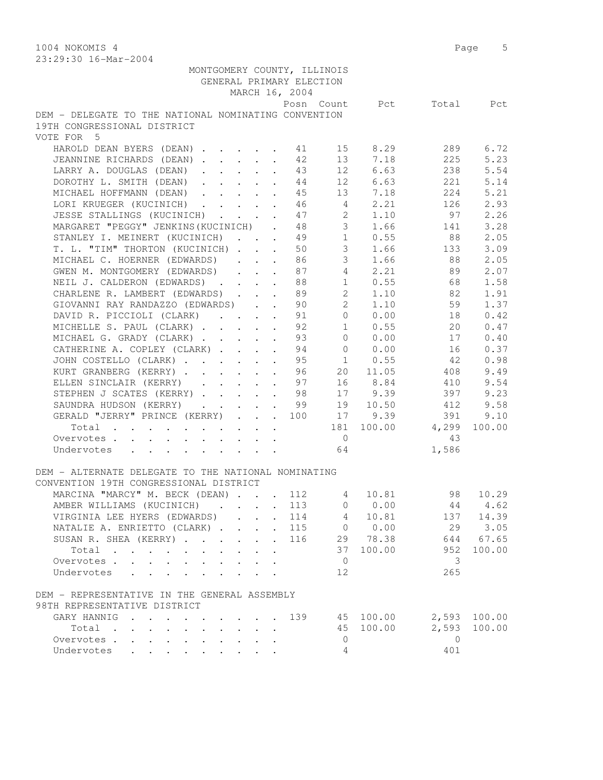1004 NOKOMIS 4 Page 5 23:29:30 16-Mar-2004

| 40.42.30 IO-Mal-4004                                     |                                        |                           |                |                |             |                                          |        |
|----------------------------------------------------------|----------------------------------------|---------------------------|----------------|----------------|-------------|------------------------------------------|--------|
| MONTGOMERY COUNTY, ILLINOIS                              |                                        |                           |                |                |             |                                          |        |
| GENERAL PRIMARY ELECTION                                 |                                        |                           |                |                |             |                                          |        |
|                                                          |                                        |                           | MARCH 16, 2004 |                |             |                                          |        |
|                                                          |                                        |                           |                |                |             | Posn Count Pct Total Pct                 |        |
| DEM - DELEGATE TO THE NATIONAL NOMINATING CONVENTION     |                                        |                           |                |                |             |                                          |        |
| 19TH CONGRESSIONAL DISTRICT                              |                                        |                           |                |                |             |                                          |        |
| VOTE FOR 5                                               |                                        |                           |                |                |             |                                          |        |
| HAROLD DEAN BYERS (DEAN) 1 41 15 8.29                    |                                        |                           |                |                |             | 289                                      | 6.72   |
| JEANNINE RICHARDS (DEAN)                                 |                                        |                           | 42             |                | 13 7.18     | 225                                      | 5.23   |
| LARRY A. DOUGLAS (DEAN)                                  |                                        |                           | 43             |                | 12 6.63     | 238                                      | 5.54   |
| DOROTHY L. SMITH (DEAN) 44                               |                                        |                           |                | 12             | 6.63        | 221                                      | 5.14   |
| MICHAEL HOFFMANN (DEAN)                                  |                                        |                           | 45             |                | 13 7.18     | 224                                      | 5.21   |
|                                                          |                                        |                           |                |                | 4 2.21      |                                          |        |
| LORI KRUEGER (KUCINICH) 46                               |                                        |                           |                |                |             | 126                                      | 2.93   |
| JESSE STALLINGS (KUCINICH) 47                            |                                        |                           |                |                | $2 \t1.10$  | 97                                       | 2.26   |
| MARGARET "PEGGY" JENKINS (KUCINICH) . 48                 |                                        |                           |                |                | 3 1.66      | 141                                      | 3.28   |
| STANLEY I. MEINERT (KUCINICH) 49                         |                                        |                           |                | 1              | 0.55        | $\begin{array}{c} 88 \\ 133 \end{array}$ | 2.05   |
| T. L. "TIM" THORTON (KUCINICH)                           |                                        |                           | 50             | 3 <sup>7</sup> | 1.66        |                                          | 3.09   |
| MICHAEL C. HOERNER (EDWARDS)                             |                                        | $\ddot{\phantom{a}}$      | 86             | $\mathcal{S}$  | 1.66        | 88                                       | 2.05   |
| GWEN M. MONTGOMERY (EDWARDS)                             | $\mathbf{r}$ $\mathbf{r}$ $\mathbf{r}$ |                           | 87             | $\overline{4}$ | 2.21        | 89                                       | 2.07   |
| NEIL J. CALDERON (EDWARDS)                               |                                        |                           | 88             |                |             | 1 0.55 68                                | 1.58   |
| CHARLENE R. LAMBERT (EDWARDS) 89                         |                                        |                           |                |                | 2 1.10      | 82                                       | 1.91   |
| GIOVANNI RAY RANDAZZO (EDWARDS) 90                       |                                        |                           |                |                | 2 1.10      | 59                                       | 1.37   |
| DAVID R. PICCIOLI (CLARK) 91                             |                                        |                           |                |                | $0 \t 0.00$ | 18                                       | 0.42   |
| MICHELLE S. PAUL (CLARK) 92                              |                                        |                           |                |                | $1 \t 0.55$ | 20                                       | 0.47   |
| MICHAEL G. GRADY (CLARK) 93                              |                                        |                           |                | $\overline{0}$ | 0.00        | 17                                       | 0.40   |
| CATHERINE A. COPLEY (CLARK)                              |                                        |                           | 94             | $\overline{0}$ | 0.00        | 16                                       | 0.37   |
| JOHN COSTELLO (CLARK)                                    |                                        |                           | 95             | 1              | 0.55        | 42                                       | 0.98   |
|                                                          |                                        | $\ddot{\phantom{a}}$      |                |                | 20 11.05    |                                          |        |
| KURT GRANBERG (KERRY)                                    |                                        |                           | 96             |                |             | 408                                      | 9.49   |
| ELLEN SINCLAIR (KERRY) 97                                |                                        |                           |                |                | 16 8.84     | 410                                      | 9.54   |
| STEPHEN J SCATES (KERRY) 98                              |                                        |                           |                |                | 17 9.39     | 397                                      | 9.23   |
| SAUNDRA HUDSON (KERRY) 99                                |                                        |                           |                |                |             | 19 10.50 412                             | 9.58   |
| GERALD "JERRY" PRINCE (KERRY)                            |                                        |                           |                |                | 100 17 9.39 | 391                                      | 9.10   |
| Total 181 100.00 4,299                                   |                                        |                           |                |                |             |                                          | 100.00 |
| Overvotes.                                               |                                        |                           |                | $\overline{0}$ |             | 43                                       |        |
| Undervotes<br>$\ddot{\phantom{0}}$                       |                                        |                           |                | 64             |             | 1,586                                    |        |
|                                                          |                                        |                           |                |                |             |                                          |        |
| DEM - ALTERNATE DELEGATE TO THE NATIONAL NOMINATING      |                                        |                           |                |                |             |                                          |        |
| CONVENTION 19TH CONGRESSIONAL DISTRICT                   |                                        |                           |                |                |             |                                          |        |
| MARCINA "MARCY" M. BECK (DEAN) 112 4                     |                                        |                           |                |                |             | 10.81 98 10.29                           |        |
| AMBER WILLIAMS (KUCINICH).                               |                                        |                           | 113            | 0              | 0.00        | 44                                       | 4.62   |
| VIRGINIA LEE HYERS (EDWARDS)                             | $\ddot{\phantom{0}}$<br>$\mathbf{r}$   | $\mathbf{L}^{\text{max}}$ | 114            | 4              | 10.81       | 137                                      | 14.39  |
| NATALIE A. ENRIETTO (CLARK)                              |                                        |                           | 115            | $\circ$        | 0.00        | 29                                       | 3.05   |
|                                                          |                                        | $\ddot{\phantom{0}}$      |                |                |             |                                          |        |
| SUSAN R. SHEA (KERRY).                                   |                                        |                           | 116            |                | 29 78.38    | 644                                      | 67.65  |
| Total                                                    |                                        |                           |                | 37             | 100.00      | 952                                      | 100.00 |
| Overvotes                                                |                                        |                           |                | $\overline{0}$ |             | 3                                        |        |
| Undervotes<br>$\mathcal{L}^{\text{max}}$<br>$\mathbf{L}$ |                                        |                           |                | 12             |             | 265                                      |        |
|                                                          |                                        |                           |                |                |             |                                          |        |
| DEM - REPRESENTATIVE IN THE GENERAL ASSEMBLY             |                                        |                           |                |                |             |                                          |        |
| 98TH REPRESENTATIVE DISTRICT                             |                                        |                           |                |                |             |                                          |        |
| GARY HANNIG<br><b>Contract Contract Contract</b>         |                                        |                           | 139            | 45             | 100.00      | 2,593                                    | 100.00 |
| Total<br>$\cdot$ $\cdot$ $\cdot$ $\cdot$                 |                                        |                           |                | 45             | 100.00      | 2,593                                    | 100.00 |
| Overvotes .                                              |                                        |                           |                | 0              |             | $\overline{0}$                           |        |
| Undervotes                                               |                                        |                           |                | 4              |             | 401                                      |        |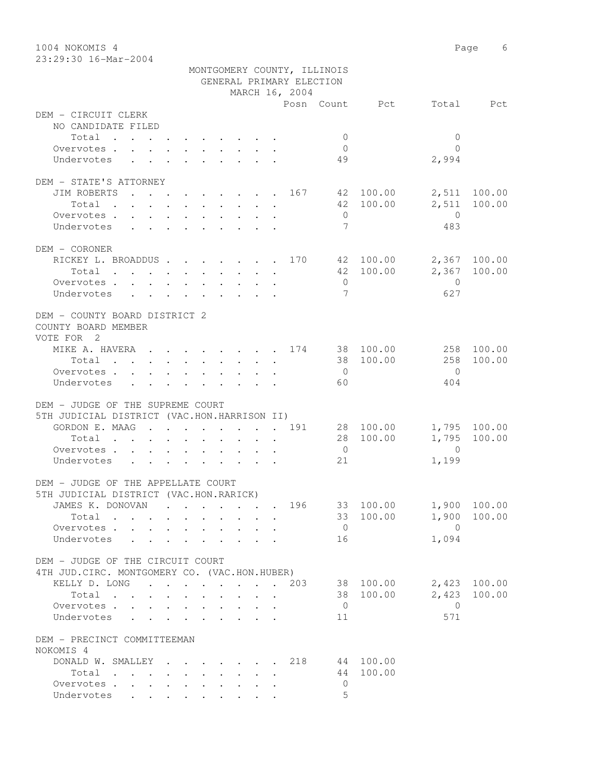1004 NOKOMIS 4 Page 6

| 23:29:30 16-Mar-2004                          |                                                                                         |  |  |                 |                 |                          |                             |                |                        |              |
|-----------------------------------------------|-----------------------------------------------------------------------------------------|--|--|-----------------|-----------------|--------------------------|-----------------------------|----------------|------------------------|--------------|
|                                               |                                                                                         |  |  |                 |                 |                          | MONTGOMERY COUNTY, ILLINOIS |                |                        |              |
|                                               |                                                                                         |  |  |                 |                 | GENERAL PRIMARY ELECTION |                             |                |                        |              |
|                                               |                                                                                         |  |  |                 |                 | MARCH 16, 2004           |                             |                |                        |              |
|                                               |                                                                                         |  |  |                 |                 |                          |                             | Posn Count Pct |                        | Total Pct    |
| DEM - CIRCUIT CLERK                           |                                                                                         |  |  |                 |                 |                          |                             |                |                        |              |
| NO CANDIDATE FILED                            |                                                                                         |  |  |                 |                 |                          |                             |                |                        |              |
| Total                                         |                                                                                         |  |  |                 |                 |                          | $\overline{0}$              |                | $\mathbf{0}$           |              |
| Overvotes.                                    |                                                                                         |  |  |                 |                 |                          | $\overline{0}$              |                | $\Omega$               |              |
| Undervotes                                    | $\mathbf{r}$ , $\mathbf{r}$ , $\mathbf{r}$ , $\mathbf{r}$ , $\mathbf{r}$ , $\mathbf{r}$ |  |  |                 |                 |                          | 49                          |                | 2,994                  |              |
| DEM - STATE'S ATTORNEY                        |                                                                                         |  |  |                 |                 |                          |                             |                |                        |              |
| JIM ROBERTS 167 42 100.00 2,511 100.00        |                                                                                         |  |  |                 |                 |                          |                             |                |                        |              |
| Total                                         |                                                                                         |  |  |                 |                 |                          |                             |                | 42 100.00 2,511 100.00 |              |
| Overvotes                                     |                                                                                         |  |  |                 |                 |                          | $\overline{0}$              |                | $\overline{0}$         |              |
| Undervotes                                    |                                                                                         |  |  |                 |                 |                          | $\overline{7}$              |                | 483                    |              |
| DEM - CORONER                                 |                                                                                         |  |  |                 |                 |                          |                             |                |                        |              |
| RICKEY L. BROADDUS 170 42 100.00 2,367 100.00 |                                                                                         |  |  |                 |                 |                          |                             |                |                        |              |
| Total                                         |                                                                                         |  |  |                 |                 |                          |                             | 42 100.00      |                        | 2,367 100.00 |
| Overvotes                                     |                                                                                         |  |  |                 |                 |                          | $\overline{0}$              |                | $\overline{0}$         |              |
| Undervotes                                    |                                                                                         |  |  |                 |                 |                          | 7                           |                | 627                    |              |
| DEM - COUNTY BOARD DISTRICT 2                 |                                                                                         |  |  |                 |                 |                          |                             |                |                        |              |
| COUNTY BOARD MEMBER                           |                                                                                         |  |  |                 |                 |                          |                             |                |                        |              |
| VOTE FOR 2                                    |                                                                                         |  |  |                 |                 |                          |                             |                |                        |              |
| MIKE A. HAVERA 174 38 100.00 258 100.00       |                                                                                         |  |  |                 |                 |                          |                             |                |                        |              |
| Total                                         |                                                                                         |  |  |                 |                 |                          |                             | 38 100.00      | 258                    | 100.00       |
| Overvotes.                                    |                                                                                         |  |  |                 |                 |                          | $\overline{0}$              |                | $\bigcirc$             |              |
| Undervotes                                    |                                                                                         |  |  |                 |                 |                          | 60                          |                | 404                    |              |
|                                               |                                                                                         |  |  |                 |                 |                          |                             |                |                        |              |
| DEM - JUDGE OF THE SUPREME COURT              |                                                                                         |  |  |                 |                 |                          |                             |                |                        |              |
| 5TH JUDICIAL DISTRICT (VAC.HON.HARRISON II)   |                                                                                         |  |  |                 |                 |                          |                             |                |                        |              |
| GORDON E. MAAG 191 28 100.00 1,795 100.00     |                                                                                         |  |  |                 |                 |                          |                             |                |                        |              |
| Total                                         |                                                                                         |  |  |                 |                 |                          |                             | 28 100.00      |                        | 1,795 100.00 |
| Overvotes                                     |                                                                                         |  |  |                 |                 |                          | $\overline{0}$              |                | $\overline{0}$         |              |
| Undervotes                                    |                                                                                         |  |  |                 |                 |                          | 21                          |                | 1,199                  |              |
| DEM - JUDGE OF THE APPELLATE COURT            |                                                                                         |  |  |                 |                 |                          |                             |                |                        |              |
| 5TH JUDICIAL DISTRICT (VAC.HON.RARICK)        |                                                                                         |  |  |                 |                 |                          |                             |                |                        |              |
| JAMES K. DONOVAN                              |                                                                                         |  |  |                 |                 | 196                      |                             | 33 100.00      |                        | 1,900 100.00 |
| Total                                         |                                                                                         |  |  | $\cdot$ $\cdot$ |                 |                          |                             | 33 100.00      | 1,900                  | 100.00       |
| Overvotes                                     |                                                                                         |  |  |                 |                 |                          | $\overline{0}$              |                | $\overline{0}$         |              |
| Undervotes                                    |                                                                                         |  |  |                 |                 |                          | 16                          |                | 1,094                  |              |
| DEM - JUDGE OF THE CIRCUIT COURT              |                                                                                         |  |  |                 |                 |                          |                             |                |                        |              |
| 4TH JUD. CIRC. MONTGOMERY CO. (VAC.HON.HUBER) |                                                                                         |  |  |                 |                 |                          |                             |                |                        |              |
| KELLY D. LONG 203 38 100.00                   |                                                                                         |  |  |                 |                 |                          |                             |                |                        | 2,423 100.00 |
| Total                                         |                                                                                         |  |  |                 | $\cdot$ $\cdot$ |                          |                             | 38 100.00      | 2,423                  | 100.00       |
| Overvotes                                     |                                                                                         |  |  |                 |                 |                          | $\overline{0}$              |                | $\overline{0}$         |              |
| Undervotes                                    |                                                                                         |  |  |                 |                 |                          | 11                          |                | 571                    |              |
| DEM - PRECINCT COMMITTEEMAN                   |                                                                                         |  |  |                 |                 |                          |                             |                |                        |              |

| NOKOMIS 4             |                                                                                          |  |  |  |  |                |           |  |
|-----------------------|------------------------------------------------------------------------------------------|--|--|--|--|----------------|-----------|--|
| DONALD W. SMALLEY 218 |                                                                                          |  |  |  |  |                | 44 100.00 |  |
| Total                 |                                                                                          |  |  |  |  |                | 44 100.00 |  |
| Overvotes             |                                                                                          |  |  |  |  |                |           |  |
| Undervotes            | $\mathbf{r}$ , and $\mathbf{r}$ , and $\mathbf{r}$ , and $\mathbf{r}$ , and $\mathbf{r}$ |  |  |  |  | $\overline{a}$ |           |  |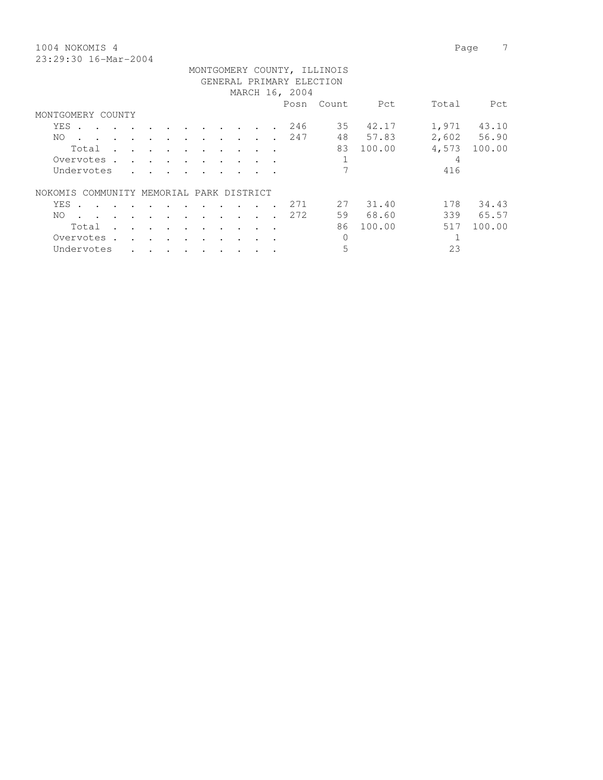1004 NOKOMIS 4 Page 7 23:29:30 16-Mar-2004

|                                             |                                   |                      |         |                                    |                          |                                                                                                                 |           |                      |                      |                          | MONTGOMERY COUNTY, ILLINOIS |          |       |             |
|---------------------------------------------|-----------------------------------|----------------------|---------|------------------------------------|--------------------------|-----------------------------------------------------------------------------------------------------------------|-----------|----------------------|----------------------|--------------------------|-----------------------------|----------|-------|-------------|
|                                             |                                   |                      |         |                                    |                          |                                                                                                                 |           |                      |                      | GENERAL PRIMARY ELECTION |                             |          |       |             |
|                                             |                                   |                      |         |                                    |                          |                                                                                                                 |           |                      |                      | MARCH 16, 2004           |                             |          |       |             |
|                                             |                                   |                      |         |                                    |                          |                                                                                                                 |           |                      |                      | Posn                     | Count                       | Pct      | Total | Pct         |
| MONTGOMERY COUNTY                           |                                   |                      |         |                                    |                          |                                                                                                                 |           |                      |                      |                          |                             |          |       |             |
| YES .                                       |                                   |                      |         |                                    |                          | the contract of the contract of the contract of the contract of the contract of the contract of the contract of |           |                      |                      | 246                      |                             | 35 42.17 | 1,971 | 43.10       |
| NO.                                         | $\cdot$                           | $\cdots$             |         | $\ddot{\phantom{a}}$               | $\ddot{\phantom{1}}$     | $\ddot{\phantom{0}}$                                                                                            | $\bullet$ | $\ddot{\phantom{a}}$ | $\ddot{\phantom{a}}$ | 247                      | 48                          | 57.83    |       | 2,602 56.90 |
| Total                                       |                                   | $\mathbf{r}$         |         | $\sim$ $\sim$ $\sim$ $\sim$ $\sim$ |                          | $\sim$                                                                                                          | $\sim$    |                      | $\sim$ $\sim$        |                          | 83                          | 100.00   | 4,573 | 100.00      |
| Overvotes.                                  |                                   | $\mathbf{r}$         | $\sim$  | $\sim$ $\sim$                      | $\sim$                   |                                                                                                                 |           |                      |                      |                          |                             |          | 4     |             |
| Undervotes                                  |                                   |                      |         |                                    |                          |                                                                                                                 |           |                      |                      |                          |                             |          | 416   |             |
| COMMUNITY MEMORIAL PARK DISTRICT<br>NOKOMIS |                                   |                      |         |                                    |                          |                                                                                                                 |           |                      |                      |                          |                             |          |       |             |
| YES                                         | and the state of the state of the |                      |         |                                    | $\sim$ $\sim$            | $\cdot$                                                                                                         |           |                      |                      | 271                      | 27                          | 31.40    | 178   | 34.43       |
| NO.<br>$\sim$ $\sim$ $\sim$                 |                                   | $\sim$               | $\cdot$ |                                    | $\overline{\phantom{a}}$ | $\cdot$                                                                                                         |           |                      |                      | 272                      | 59                          | 68.60    | 339   | 65.57       |
| Total                                       | $\sim$                            | $\ddot{\phantom{a}}$ |         | $\sim$ $\sim$ $\sim$ $\sim$ $\sim$ | $\cdot$                  | $\ddot{\phantom{0}}$                                                                                            | $\bullet$ |                      |                      |                          | 86                          | 100.00   | 517   | 100.00      |
| Overvotes .                                 |                                   | $\sim$               | $\sim$  | $\sim$ $\sim$                      |                          |                                                                                                                 |           |                      |                      |                          | $\mathbf 0$                 |          |       |             |
| Undervotes                                  |                                   |                      |         |                                    |                          |                                                                                                                 |           |                      |                      |                          | 5                           |          | 23    |             |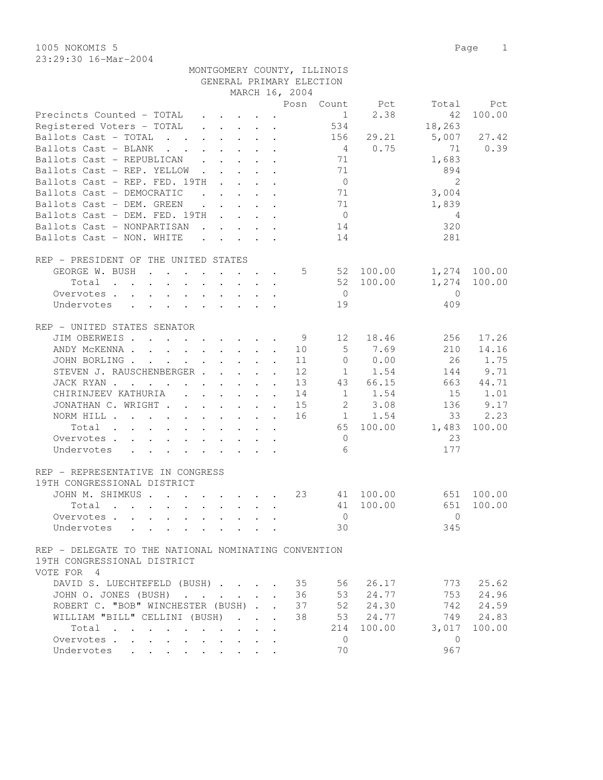1005 NOKOMIS 5 Page 1 23:29:30 16-Mar-2004

| MONTGOMERY COUNTY, ILLINOIS |
|-----------------------------|
| GENERAL PRIMARY ELECTION    |

|                                                                                                                          |                                                                 |                                                                          |              |                                                              | MARCH 16, 2004 |                     |             |                |                    |
|--------------------------------------------------------------------------------------------------------------------------|-----------------------------------------------------------------|--------------------------------------------------------------------------|--------------|--------------------------------------------------------------|----------------|---------------------|-------------|----------------|--------------------|
|                                                                                                                          |                                                                 |                                                                          |              |                                                              |                | Posn Count          | Pct         | Total          | Pct                |
| Precincts Counted - TOTAL                                                                                                |                                                                 | $\mathbf{r}$ , $\mathbf{r}$ , $\mathbf{r}$                               |              |                                                              |                | 1                   | 2.38        | 42             | 100.00             |
| Registered Voters - TOTAL                                                                                                |                                                                 | $\mathbf{r}$ , $\mathbf{r}$ , $\mathbf{r}$ , $\mathbf{r}$                |              |                                                              |                | 534                 |             | 18,263         |                    |
| Ballots Cast - TOTAL                                                                                                     |                                                                 |                                                                          |              |                                                              |                | 156                 | 29.21       | 5,007          | 27.42              |
| Ballots Cast - BLANK<br>$\mathbf{r}$ , $\mathbf{r}$ , $\mathbf{r}$ , $\mathbf{r}$ , $\mathbf{r}$ , $\mathbf{r}$          |                                                                 |                                                                          |              |                                                              |                | 4                   | 0.75        | 71             | 0.39               |
| Ballots Cast - REPUBLICAN                                                                                                |                                                                 |                                                                          |              |                                                              |                | 71                  |             | 1,683          |                    |
| Ballots Cast - REP. YELLOW                                                                                               |                                                                 |                                                                          |              | $\ddot{\phantom{a}}$                                         |                | 71                  |             | 894            |                    |
| Ballots Cast - REP. FED. 19TH                                                                                            | <b>Contract Contract</b>                                        |                                                                          |              | $\mathbf{L} = \mathbf{L} \mathbf{L}$                         |                | $\overline{0}$      |             | 2              |                    |
| Ballots Cast - DEMOCRATIC                                                                                                | $\ddot{\phantom{0}}$                                            |                                                                          |              | $\mathbf{L}$ and $\mathbf{L}$                                |                | 71                  |             | 3,004          |                    |
| Ballots Cast - DEM. GREEN<br>$\sim$                                                                                      | $\sim$                                                          |                                                                          |              | $\mathbf{L} = \mathbf{L} \mathbf{L} + \mathbf{L} \mathbf{L}$ |                | 71                  |             | 1,839          |                    |
| Ballots Cast - DEM. FED. 19TH                                                                                            |                                                                 |                                                                          |              |                                                              |                | $\overline{0}$      |             | 4              |                    |
| Ballots Cast - NONPARTISAN                                                                                               |                                                                 | $\mathbf{r}$ , $\mathbf{r}$ , $\mathbf{r}$ , $\mathbf{r}$                |              |                                                              |                | 14                  |             | 320            |                    |
| Ballots Cast - NON. WHITE                                                                                                |                                                                 | $\mathbf{r}$ , $\mathbf{r}$ , $\mathbf{r}$ , $\mathbf{r}$ , $\mathbf{r}$ |              |                                                              |                | 14                  |             | 281            |                    |
|                                                                                                                          |                                                                 |                                                                          |              |                                                              |                |                     |             |                |                    |
| REP - PRESIDENT OF THE UNITED STATES                                                                                     |                                                                 |                                                                          |              |                                                              |                |                     |             |                |                    |
| GEORGE W. BUSH                                                                                                           |                                                                 |                                                                          |              |                                                              |                | $5 - 5$             | 52 100.00   | 1,274          | 100.00             |
| Total<br>the contract of the contract of the contract of the contract of the contract of the contract of the contract of |                                                                 |                                                                          |              |                                                              |                |                     | 52 100.00   | 1,274          | 100.00             |
| Overvotes.                                                                                                               |                                                                 |                                                                          |              |                                                              |                | $\overline{0}$      |             | $\overline{0}$ |                    |
| Undervotes<br>$\ddot{\phantom{0}}$                                                                                       |                                                                 |                                                                          |              |                                                              |                | 19                  |             | 409            |                    |
|                                                                                                                          |                                                                 |                                                                          |              |                                                              |                |                     |             |                |                    |
| REP - UNITED STATES SENATOR                                                                                              |                                                                 |                                                                          |              |                                                              |                |                     |             |                |                    |
| JIM OBERWEIS.                                                                                                            |                                                                 |                                                                          |              |                                                              | - 9            | 12 <sup>°</sup>     | 18.46       | 256            | 17.26              |
| ANDY MCKENNA                                                                                                             |                                                                 |                                                                          |              |                                                              | 10             | 5                   | 7.69        | 210            | 14.16              |
| JOHN BORLING                                                                                                             |                                                                 |                                                                          |              |                                                              | 11             | $\Omega$            | 0.00        | 26             | 1.75               |
| STEVEN J. RAUSCHENBERGER                                                                                                 |                                                                 |                                                                          |              |                                                              | 12             |                     | $1 \t 1.54$ | 144            | 9.71               |
| JACK RYAN                                                                                                                |                                                                 |                                                                          |              |                                                              | 13             | 43                  | 66.15       | 663            | 44.71              |
| CHIRINJEEV KATHURIA<br>$\mathcal{L}^{\text{max}}$<br>$\sim$                                                              | $\mathbf{L}$                                                    | $\mathbf{L}^{\text{max}}$                                                | $\mathbf{r}$ | $\ddot{\phantom{a}}$                                         | 14             | 1                   | 1.54        | 15             | 1.01               |
| JONATHAN C. WRIGHT                                                                                                       |                                                                 |                                                                          |              | $\ddot{\phantom{a}}$                                         | 15             | 2                   | 3.08        | 136            | 9.17               |
| NORM HILL                                                                                                                |                                                                 |                                                                          |              |                                                              | 16             | 1                   | 1.54        | 33             | 2.23               |
| Total                                                                                                                    |                                                                 |                                                                          |              | $\cdot$ $\cdot$ $\cdot$                                      |                | 65                  | 100.00      | 1,483          | 100.00             |
|                                                                                                                          |                                                                 |                                                                          |              |                                                              |                |                     |             | 23             |                    |
| Overvotes                                                                                                                |                                                                 |                                                                          |              |                                                              |                | $\overline{0}$<br>6 |             | 177            |                    |
| Undervotes                                                                                                               |                                                                 |                                                                          |              |                                                              |                |                     |             |                |                    |
| REP - REPRESENTATIVE IN CONGRESS                                                                                         |                                                                 |                                                                          |              |                                                              |                |                     |             |                |                    |
| 19TH CONGRESSIONAL DISTRICT                                                                                              |                                                                 |                                                                          |              |                                                              |                |                     |             |                |                    |
| JOHN M. SHIMKUS                                                                                                          |                                                                 |                                                                          |              |                                                              | 23             |                     | 41 100.00   | 651            | 100.00             |
| Total                                                                                                                    |                                                                 |                                                                          |              |                                                              |                | 41                  | 100.00      | 651            | 100.00             |
|                                                                                                                          |                                                                 |                                                                          |              |                                                              |                | $\Omega$            |             | $\Omega$       |                    |
| Overvotes                                                                                                                |                                                                 |                                                                          |              |                                                              |                | 30                  |             | 345            |                    |
| Undervotes                                                                                                               |                                                                 |                                                                          |              |                                                              |                |                     |             |                |                    |
| REP - DELEGATE TO THE NATIONAL NOMINATING CONVENTION                                                                     |                                                                 |                                                                          |              |                                                              |                |                     |             |                |                    |
| 19TH CONGRESSIONAL DISTRICT                                                                                              |                                                                 |                                                                          |              |                                                              |                |                     |             |                |                    |
|                                                                                                                          |                                                                 |                                                                          |              |                                                              |                |                     |             |                |                    |
| VOTE FOR 4                                                                                                               |                                                                 |                                                                          |              |                                                              |                |                     |             |                |                    |
| DAVID S. LUECHTEFELD (BUSH) 35                                                                                           |                                                                 |                                                                          |              |                                                              |                | 56                  | 26.17       |                | 773 25.62          |
| JOHN O. JONES (BUSH)                                                                                                     |                                                                 |                                                                          |              |                                                              | 36             | 53                  | 24.77       | 753            | 24.96<br>742 24.59 |
| ROBERT C. "BOB" WINCHESTER (BUSH)                                                                                        |                                                                 |                                                                          |              |                                                              | 37             |                     | 52 24.30    |                |                    |
| WILLIAM "BILL" CELLINI (BUSH)                                                                                            |                                                                 |                                                                          |              |                                                              | 38             |                     | 53 24.77    |                | 749 24.83          |
| Total                                                                                                                    |                                                                 |                                                                          |              | $\mathbf{r}$                                                 |                | 214                 | 100.00      | 3,017          | 100.00             |
| Overvotes                                                                                                                |                                                                 | $\mathbf{r}$ , $\mathbf{r}$ , $\mathbf{r}$                               |              |                                                              |                | $\overline{0}$      |             | $\overline{0}$ |                    |
| Undervotes                                                                                                               | $\bullet$ .<br><br><br><br><br><br><br><br><br><br><br><br><br> |                                                                          |              |                                                              |                | 70                  |             | 967            |                    |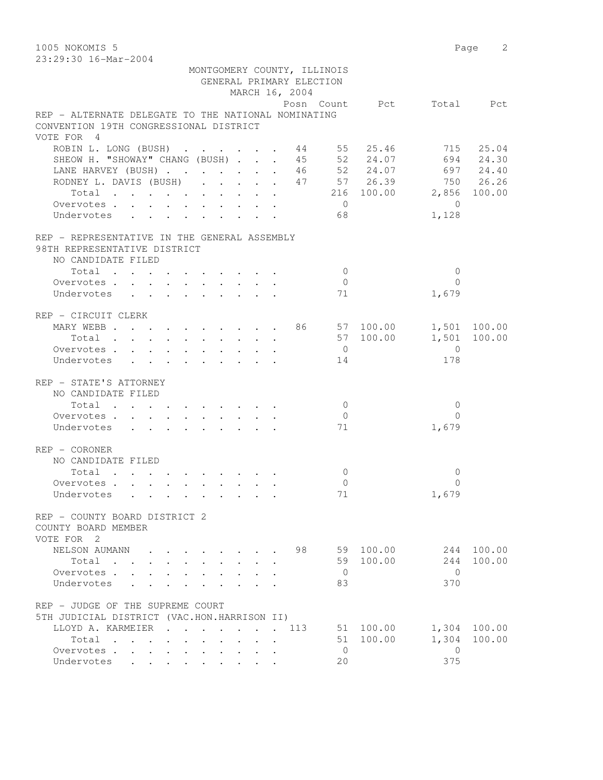1005 NOKOMIS 5 Page 2 23:29:30 16-Mar-2004

|                                                                                               |                           |                      |  | MONTGOMERY COUNTY, ILLINOIS<br>GENERAL PRIMARY ELECTION<br>MARCH 16, 2004 |                      |                          |                |        |
|-----------------------------------------------------------------------------------------------|---------------------------|----------------------|--|---------------------------------------------------------------------------|----------------------|--------------------------|----------------|--------|
|                                                                                               |                           |                      |  |                                                                           |                      | Posn Count Pct Total Pct |                |        |
| REP - ALTERNATE DELEGATE TO THE NATIONAL NOMINATING<br>CONVENTION 19TH CONGRESSIONAL DISTRICT |                           |                      |  |                                                                           |                      |                          |                |        |
| VOTE FOR 4                                                                                    |                           |                      |  |                                                                           |                      |                          |                |        |
| ROBIN L. LONG (BUSH) 44 55 25.46 715 25.04                                                    |                           |                      |  |                                                                           |                      |                          |                |        |
| SHEOW H. "SHOWAY" CHANG (BUSH) 45 52 24.07 694 24.30                                          |                           |                      |  |                                                                           |                      |                          |                |        |
| LANE HARVEY (BUSH) 46 52 24.07 697 24.40                                                      |                           |                      |  |                                                                           |                      |                          |                |        |
| RODNEY L. DAVIS (BUSH) 47 57 26.39 750 26.26                                                  |                           |                      |  |                                                                           |                      |                          |                |        |
| Total 216 100.00 2,856 100.00                                                                 |                           |                      |  |                                                                           |                      |                          |                |        |
| Overvotes.                                                                                    |                           |                      |  |                                                                           | $\overline{0}$       |                          | $\bigcirc$     |        |
| Undervotes                                                                                    |                           |                      |  |                                                                           | 68                   |                          | 1,128          |        |
|                                                                                               |                           |                      |  |                                                                           |                      |                          |                |        |
| REP - REPRESENTATIVE IN THE GENERAL ASSEMBLY                                                  |                           |                      |  |                                                                           |                      |                          |                |        |
| 98TH REPRESENTATIVE DISTRICT<br>NO CANDIDATE FILED                                            |                           |                      |  |                                                                           |                      |                          |                |        |
| Total                                                                                         |                           |                      |  |                                                                           | $\overline{0}$       |                          | $\mathbf{0}$   |        |
| Overvotes.                                                                                    |                           |                      |  |                                                                           | $\overline{0}$       |                          | $\Omega$       |        |
| Undervotes                                                                                    |                           |                      |  |                                                                           | 71                   |                          | 1,679          |        |
| REP - CIRCUIT CLERK                                                                           |                           |                      |  |                                                                           |                      |                          |                |        |
| MARY WEBB 86 57 100.00 1,501 100.00                                                           |                           |                      |  |                                                                           |                      |                          |                |        |
| Total                                                                                         |                           |                      |  |                                                                           |                      | 57 100.00                | 1,501 100.00   |        |
| Overvotes                                                                                     |                           |                      |  |                                                                           | $\overline{0}$       |                          | $\overline{0}$ |        |
| Undervotes                                                                                    |                           |                      |  |                                                                           | 14                   |                          | 178            |        |
| REP - STATE'S ATTORNEY                                                                        |                           |                      |  |                                                                           |                      |                          |                |        |
| NO CANDIDATE FILED                                                                            |                           |                      |  |                                                                           |                      |                          |                |        |
| Total $\cdot$                                                                                 |                           |                      |  |                                                                           | $\overline{0}$       |                          | $\overline{0}$ |        |
| Overvotes                                                                                     |                           |                      |  |                                                                           | $\overline{0}$       |                          | $\Omega$       |        |
| Undervotes                                                                                    |                           |                      |  |                                                                           | 71                   |                          | 1,679          |        |
|                                                                                               |                           |                      |  |                                                                           |                      |                          |                |        |
| REP - CORONER                                                                                 |                           |                      |  |                                                                           |                      |                          |                |        |
| NO CANDIDATE FILED                                                                            |                           |                      |  |                                                                           |                      |                          |                |        |
| Total $\cdot$                                                                                 |                           |                      |  |                                                                           | $\overline{0}$       |                          | 0              |        |
| Overvotes                                                                                     |                           |                      |  |                                                                           | $\overline{0}$<br>71 |                          | $\Omega$       |        |
| Undervotes                                                                                    |                           |                      |  |                                                                           |                      |                          | 1,679          |        |
| REP - COUNTY BOARD DISTRICT 2<br>COUNTY BOARD MEMBER<br>VOTE FOR 2                            |                           |                      |  |                                                                           |                      |                          |                |        |
| NELSON AUMANN                                                                                 |                           |                      |  | 98                                                                        |                      | 59 100.00                | 244            | 100.00 |
| Total<br>$\mathbf{r}$ , $\mathbf{r}$                                                          | $\mathbf{r} = \mathbf{r}$ |                      |  |                                                                           |                      | 59 100.00                | 244            | 100.00 |
| Overvotes .<br>$\mathbf{L}$<br>$\mathbf{L}$                                                   |                           |                      |  |                                                                           | $\overline{0}$       |                          | $\Omega$       |        |
| Undervotes                                                                                    |                           |                      |  |                                                                           | 83                   |                          | 370            |        |
| REP - JUDGE OF THE SUPREME COURT                                                              |                           |                      |  |                                                                           |                      |                          |                |        |
| 5TH JUDICIAL DISTRICT (VAC.HON.HARRISON II)                                                   |                           |                      |  |                                                                           |                      |                          |                |        |
| LLOYD A. KARMEIER                                                                             | <b>Contract Contract</b>  | $\ddot{\phantom{a}}$ |  | 113                                                                       |                      | 51 100.00                | 1,304          | 100.00 |
| Total                                                                                         |                           |                      |  |                                                                           |                      | 51 100.00                | 1,304          | 100.00 |
| Overvotes.<br><b>Service</b> State                                                            |                           |                      |  |                                                                           | $\overline{0}$       |                          | $\mathbf{0}$   |        |
| Undervotes<br>$\cdot$ $\cdot$ $\cdot$ $\cdot$                                                 |                           |                      |  |                                                                           | 20                   |                          | 375            |        |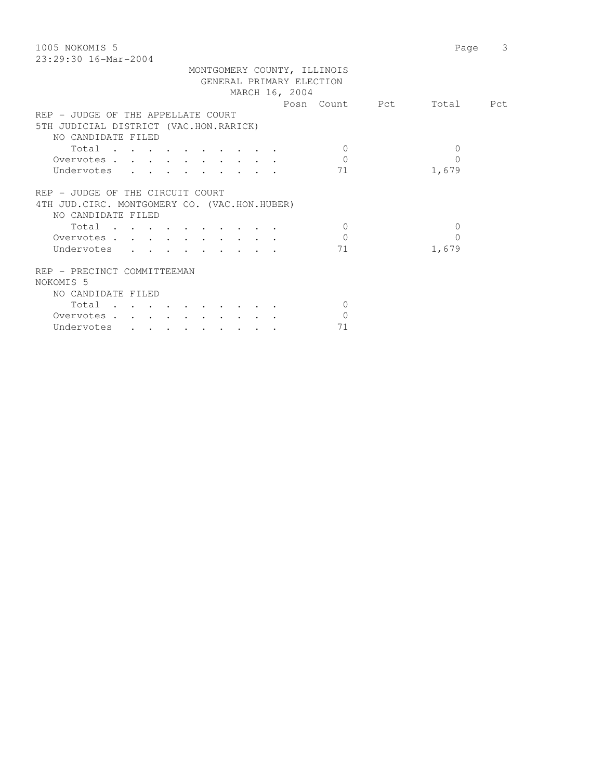| 1005 NOKOMIS 5                                | Page      | 3 |
|-----------------------------------------------|-----------|---|
| $23:29:30$ 16-Mar-2004                        |           |   |
| MONTGOMERY COUNTY, ILLINOIS                   |           |   |
| GENERAL PRIMARY ELECTION                      |           |   |
| MARCH 16, 2004                                |           |   |
| Posn Count Pct                                | Total Pct |   |
| REP - JUDGE OF THE APPELLATE COURT            |           |   |
| 5TH JUDICIAL DISTRICT (VAC.HON.RARICK)        |           |   |
| NO CANDIDATE FILED                            |           |   |
| $\Omega$                                      | $\Omega$  |   |
| Total<br>$\Omega$                             | $\Omega$  |   |
| Overvotes                                     |           |   |
| Undervotes<br>71                              | 1,679     |   |
|                                               |           |   |
| REP - JUDGE OF THE CIRCUIT COURT              |           |   |
| 4TH JUD. CIRC. MONTGOMERY CO. (VAC.HON.HUBER) |           |   |
| NO CANDIDATE FILED                            |           |   |
| Total<br>$\bigcirc$                           | $\Omega$  |   |
| $\Omega$<br>Overvotes                         | $\Omega$  |   |
| Undervotes<br>71                              | 1,679     |   |
|                                               |           |   |
| REP - PRECINCT COMMITTEEMAN                   |           |   |
| NOKOMIS <sub>5</sub>                          |           |   |
| NO CANDIDATE FILED                            |           |   |
| Total<br>$\Omega$                             |           |   |
| $\Omega$<br>Overvotes.                        |           |   |
| 71<br>Undervotes                              |           |   |
|                                               |           |   |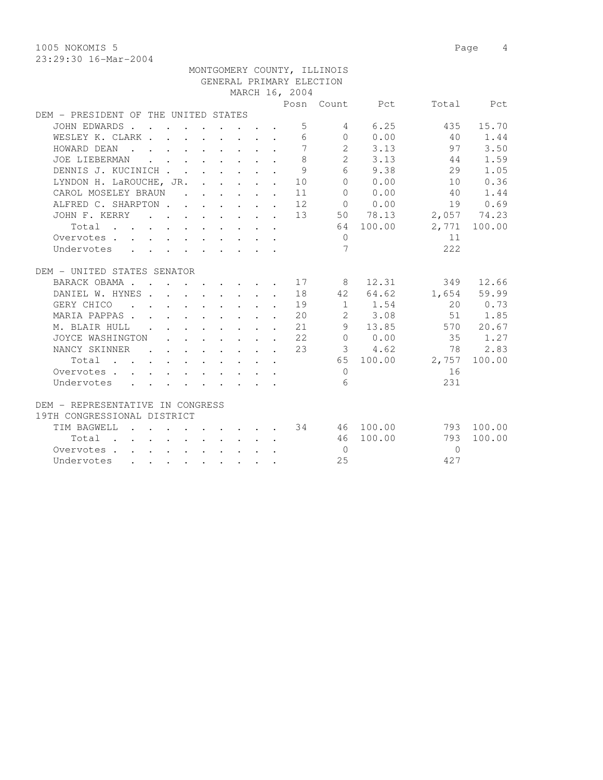1005 NOKOMIS 5 Page 4

23:29:30 16-Mar-2004

|                                      |  |                                                                          |              |                                            |                                                           |                | MONTGOMERY COUNTY, ILLINOIS |                     |          |              |
|--------------------------------------|--|--------------------------------------------------------------------------|--------------|--------------------------------------------|-----------------------------------------------------------|----------------|-----------------------------|---------------------|----------|--------------|
|                                      |  |                                                                          |              |                                            |                                                           |                | GENERAL PRIMARY ELECTION    |                     |          |              |
|                                      |  |                                                                          |              |                                            |                                                           | MARCH 16, 2004 |                             |                     |          |              |
|                                      |  |                                                                          |              |                                            |                                                           |                |                             | Posn Count Pct      |          | Total Pct    |
| DEM - PRESIDENT OF THE UNITED STATES |  |                                                                          |              |                                            |                                                           |                |                             |                     |          |              |
| JOHN EDWARDS                         |  |                                                                          |              |                                            |                                                           | 5              |                             | 4 6.25              | 435      | 15.70        |
| WESLEY K. CLARK                      |  |                                                                          |              |                                            |                                                           | 6              |                             | $0 \t 0.00$         | 40       | 1.44         |
| HOWARD DEAN                          |  | $\mathbf{r}$ , and $\mathbf{r}$ , and $\mathbf{r}$ , and $\mathbf{r}$    |              |                                            | $\sim$                                                    | 7              |                             | $2 \t3.13$          | 97       | 3.50         |
| JOE LIEBERMAN                        |  | $\mathbf{r}$ , $\mathbf{r}$ , $\mathbf{r}$ , $\mathbf{r}$ , $\mathbf{r}$ |              |                                            |                                                           | 8              | $2^{\circ}$                 | 3.13                | 44       | 1.59         |
| DENNIS J. KUCINICH                   |  |                                                                          | $\mathbf{L}$ | $\mathbf{r}$ , $\mathbf{r}$ , $\mathbf{r}$ |                                                           | 9              |                             | 6 9.38              | 29       | 1.05         |
| LYNDON H. LaROUCHE, JR. 10           |  |                                                                          |              |                                            |                                                           |                |                             | 0 0.00              | 10       | 0.36         |
| CAROL MOSELEY BRAUN 11               |  |                                                                          |              |                                            |                                                           |                | $\Omega$                    | 0.00                | 40       | 1.44         |
| ALFRED C. SHARPTON 12                |  |                                                                          |              |                                            |                                                           |                |                             | $0 \qquad 0.00$     | 19       | 0.69         |
| JOHN F. KERRY                        |  |                                                                          |              |                                            |                                                           |                |                             | $\cdot$ 13 50 78.13 |          | 2,057 74.23  |
| Total                                |  |                                                                          |              |                                            |                                                           |                |                             | 64 100.00           |          | 2,771 100.00 |
| Overvotes                            |  |                                                                          |              |                                            |                                                           |                | $\Omega$                    |                     | 11       |              |
| Undervotes                           |  |                                                                          |              |                                            |                                                           |                | $\overline{7}$              |                     | 222      |              |
|                                      |  |                                                                          |              |                                            |                                                           |                |                             |                     |          |              |
| DEM - UNITED STATES SENATOR          |  |                                                                          |              |                                            |                                                           |                |                             |                     |          |              |
| BARACK OBAMA 17                      |  |                                                                          |              |                                            |                                                           |                | 8 <sup>1</sup>              | 12.31               |          | 349 12.66    |
| DANIEL W. HYNES 18                   |  |                                                                          |              |                                            |                                                           |                |                             | 42 64.62            |          | 1,654 59.99  |
| GERY CHICO<br>$\sim$ $\sim$          |  |                                                                          |              |                                            |                                                           | . 19           |                             | 1 1.54              |          | 20 0.73      |
| MARIA PAPPAS.                        |  |                                                                          |              |                                            |                                                           | 20             |                             | 2 3.08              |          | 51 1.85      |
| M. BLAIR HULL                        |  |                                                                          |              |                                            | $\mathbf{r}$ , $\mathbf{r}$ , $\mathbf{r}$ , $\mathbf{r}$ | 21             |                             | 9 13.85             |          | 570 20.67    |
| JOYCE WASHINGTON                     |  | $\mathbf{r}$ , $\mathbf{r}$ , $\mathbf{r}$ , $\mathbf{r}$ , $\mathbf{r}$ |              |                                            |                                                           | 22             | $\Omega$                    | 0.00                | 35       | 1.27         |
| NANCY SKINNER                        |  |                                                                          |              |                                            |                                                           | 23             | $\mathcal{S}$               | 4.62                | 78       | 2.83         |
| Total                                |  |                                                                          |              |                                            |                                                           |                |                             | 65 100.00           | 2,757    | 100.00       |
| Overvotes                            |  |                                                                          |              |                                            |                                                           |                | $\overline{0}$              |                     | 16       |              |
| Undervotes                           |  |                                                                          |              |                                            |                                                           |                | 6                           |                     | 231      |              |
|                                      |  |                                                                          |              |                                            |                                                           |                |                             |                     |          |              |
| DEM - REPRESENTATIVE IN CONGRESS     |  |                                                                          |              |                                            |                                                           |                |                             |                     |          |              |
| 19TH CONGRESSIONAL DISTRICT          |  |                                                                          |              |                                            |                                                           |                |                             |                     |          |              |
| TIM BAGWELL                          |  |                                                                          |              |                                            |                                                           |                |                             | . 34 46 100.00      |          | 793 100.00   |
| Total                                |  |                                                                          |              |                                            |                                                           |                |                             | 46 100.00           | 793      | 100.00       |
| Overvotes.                           |  |                                                                          |              |                                            |                                                           |                | $\overline{0}$              |                     | $\Omega$ |              |
| Undervotes                           |  |                                                                          |              |                                            |                                                           |                | 25                          |                     | 427      |              |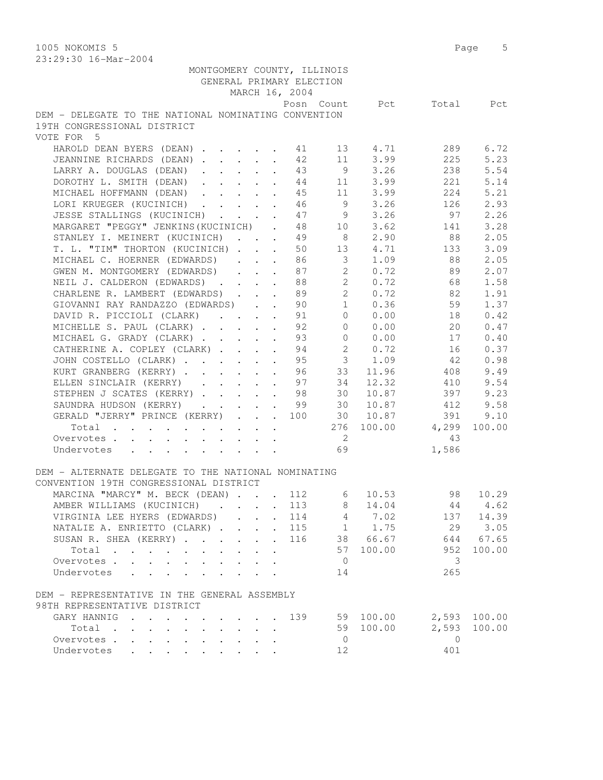1005 NOKOMIS 5 Page 5 23:29:30 16-Mar-2004

| MONTGOMERY COUNTY, ILLINOIS                                                |                            |             |                          |         |
|----------------------------------------------------------------------------|----------------------------|-------------|--------------------------|---------|
| GENERAL PRIMARY ELECTION                                                   |                            |             |                          |         |
| MARCH 16, 2004                                                             |                            |             |                          |         |
|                                                                            |                            |             | Posn Count Pct Total Pct |         |
| DEM - DELEGATE TO THE NATIONAL NOMINATING CONVENTION                       |                            |             |                          |         |
| 19TH CONGRESSIONAL DISTRICT                                                |                            |             |                          |         |
| VOTE FOR 5                                                                 |                            |             |                          |         |
| HAROLD DEAN BYERS (DEAN) $13$ 4.71                                         |                            |             | 289                      | 6.72    |
| JEANNINE RICHARDS (DEAN) 12                                                |                            | 11 3.99     | 225                      | 5.23    |
| LARRY A. DOUGLAS (DEAN) 43                                                 |                            | $9 \t3.26$  | 238                      | 5.54    |
| DOROTHY L. SMITH (DEAN) 44                                                 |                            | 11 3.99     | 221                      | 5.14    |
| MICHAEL HOFFMANN (DEAN) 45                                                 |                            | 11 3.99     | 224                      | 5.21    |
| LORI KRUEGER (KUCINICH) 46                                                 |                            | 9 3.26      | 126                      | 2.93    |
| JESSE STALLINGS (KUCINICH) 47 9                                            |                            | 3.26        | 97                       | 2.26    |
| MARGARET "PEGGY" JENKINS (KUCINICH).<br>48                                 | 10                         | 3.62        | 141                      | 3.28    |
| STANLEY I. MEINERT (KUCINICH)<br>49<br>$\sim$                              | 8 <sup>1</sup>             | 2.90        | 88                       | 2.05    |
| T. L. "TIM" THORTON (KUCINICH)<br>50                                       |                            | 13 4.71     | 133                      | 3.09    |
| MICHAEL C. HOERNER (EDWARDS)<br>86                                         | $\overline{\mathbf{3}}$    |             | 1.09 88                  | 2.05    |
| GWEN M. MONTGOMERY (EDWARDS)<br>87                                         | $\overline{c}$             |             | $0.72$ 89                | 2.07    |
| NEIL J. CALDERON (EDWARDS) 88                                              |                            |             | 2 0.72 68                | 1.58    |
| CHARLENE R. LAMBERT (EDWARDS) 89                                           |                            |             | 2 0.72 82                | 1.91    |
| GIOVANNI RAY RANDAZZO (EDWARDS) 90                                         |                            | $1 \t 0.36$ | 59                       | 1.37    |
| DAVID R. PICCIOLI (CLARK) 91                                               | $\overline{0}$             | 0.00        | 18                       | 0.42    |
| MICHELLE S. PAUL (CLARK)<br>92<br>$\sim$                                   | $\overline{0}$             | 0.00        | 20                       | 0.47    |
| 93<br>MICHAEL G. GRADY (CLARK)                                             | $\overline{0}$             | 0.00        | 17                       | 0.40    |
| CATHERINE A. COPLEY (CLARK)<br>94                                          | 2                          | 0.72        | 16                       | 0.37    |
| JOHN COSTELLO (CLARK) 95                                                   |                            | $3 \t 1.09$ | 42                       | 0.98    |
|                                                                            | 33                         | 11.96       | 408                      | 9.49    |
| KURT GRANBERG (KERRY) 96                                                   |                            |             |                          |         |
| ELLEN SINCLAIR (KERRY) 97                                                  | 34                         | 12.32       | 410                      | 9.54    |
| STEPHEN J SCATES (KERRY) 98                                                | 30                         | 10.87       | 397                      | 9.23    |
| SAUNDRA HUDSON (KERRY) 99 30 10.87                                         |                            |             | 412                      | 9.58    |
| GERALD "JERRY" PRINCE (KERRY) 100 30 10.87                                 |                            |             | 391                      | 9.10    |
| Total                                                                      |                            |             | 276 100.00 4,299         | 100.00  |
| Overvotes                                                                  | $\overline{\phantom{a}}$ 2 |             | 43                       |         |
| Undervotes<br>and a series of the contract of the                          | 69                         |             | 1,586                    |         |
|                                                                            |                            |             |                          |         |
| DEM - ALTERNATE DELEGATE TO THE NATIONAL NOMINATING                        |                            |             |                          |         |
| CONVENTION 19TH CONGRESSIONAL DISTRICT                                     |                            |             |                          |         |
| MARCINA "MARCY" M. BECK (DEAN) 112 6                                       |                            | 10.53       | 98                       | 10.29   |
| 113<br>AMBER WILLIAMS (KUCINICH)                                           | 8                          | 14.04       |                          | 44 4.62 |
| VIRGINIA LEE HYERS (EDWARDS)<br>114<br>$\ddot{\phantom{0}}$<br>$\bullet$ . | 4                          | 7.02        | 137                      | 14.39   |
| NATALIE A. ENRIETTO (CLARK)<br>115<br>$\mathbf{L}$                         | 1                          | 1.75        | 29                       | 3.05    |
| SUSAN R. SHEA (KERRY)<br>116<br>$\ddot{\phantom{0}}$<br>$\mathbf{r}$       |                            | 38 66.67    | 644                      | 67.65   |
| Total                                                                      | 57                         | 100.00      | 952                      | 100.00  |
| Overvotes<br>$\mathbf{L}$                                                  | $\overline{0}$             |             | 3                        |         |
| Undervotes<br>$\cdot$ $\cdot$ $\cdot$ $\cdot$ $\cdot$                      | 14                         |             | 265                      |         |
|                                                                            |                            |             |                          |         |
| DEM - REPRESENTATIVE IN THE GENERAL ASSEMBLY                               |                            |             |                          |         |
| 98TH REPRESENTATIVE DISTRICT                                               |                            |             |                          |         |
| GARY HANNIG<br>139                                                         |                            | 59 100.00   | 2,593                    | 100.00  |
| Total                                                                      | 59                         | 100.00      | 2,593                    | 100.00  |
| Overvotes.<br>$\sim$ 100 $\pm$<br>$\sim$ 100 $\pm$                         | $\overline{0}$             |             | $\Omega$                 |         |
| Undervotes                                                                 | 12                         |             | 401                      |         |
|                                                                            |                            |             |                          |         |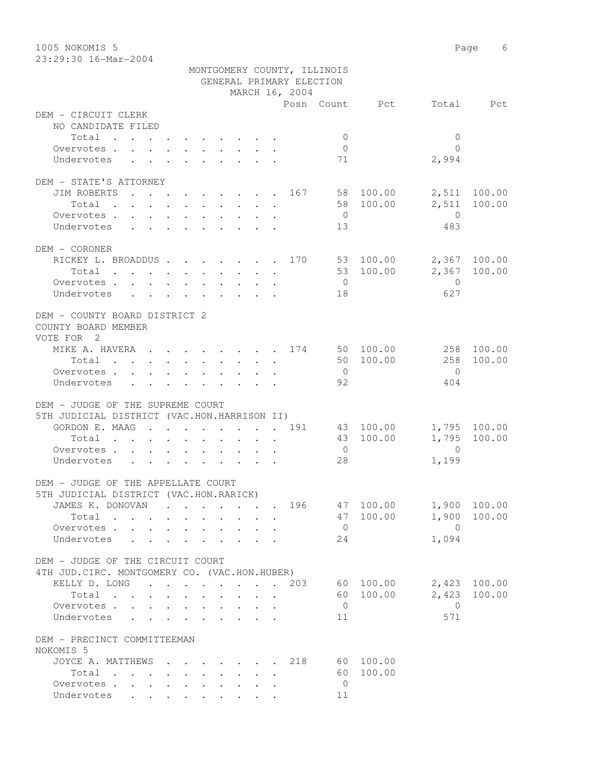23:29:30 16-Mar-2004

|                                                                                                                          |                                                                                                                 | MONTGOMERY COUNTY, ILLINOIS |                        |                                 |
|--------------------------------------------------------------------------------------------------------------------------|-----------------------------------------------------------------------------------------------------------------|-----------------------------|------------------------|---------------------------------|
|                                                                                                                          |                                                                                                                 | GENERAL PRIMARY ELECTION    |                        |                                 |
|                                                                                                                          |                                                                                                                 | MARCH 16, 2004              |                        |                                 |
| DEM - CIRCUIT CLERK                                                                                                      |                                                                                                                 |                             | Posn Count Pct         | Total Pct                       |
| NO CANDIDATE FILED                                                                                                       |                                                                                                                 |                             |                        |                                 |
| Total                                                                                                                    |                                                                                                                 |                             | $\overline{0}$         | 0                               |
| Overvotes.                                                                                                               |                                                                                                                 |                             | $\overline{0}$         | $\Omega$                        |
| Undervotes                                                                                                               |                                                                                                                 |                             | 71                     | 2,994                           |
|                                                                                                                          |                                                                                                                 |                             |                        |                                 |
| DEM - STATE'S ATTORNEY                                                                                                   |                                                                                                                 |                             |                        |                                 |
| JIM ROBERTS 167                                                                                                          |                                                                                                                 |                             | 58 100.00              | 2,511 100.00                    |
| Total<br>the contract of the contract of the contract of the contract of the contract of the contract of the contract of |                                                                                                                 |                             | 58 100.00              | 2,511<br>100.00                 |
| Overvotes                                                                                                                |                                                                                                                 |                             | $\overline{0}$         | $\overline{0}$                  |
| Undervotes                                                                                                               |                                                                                                                 |                             | 13                     | 483                             |
|                                                                                                                          |                                                                                                                 |                             |                        |                                 |
| DEM - CORONER                                                                                                            |                                                                                                                 |                             |                        |                                 |
| RICKEY L. BROADDUS 170 53 100.00                                                                                         |                                                                                                                 |                             |                        | 2,367 100.00                    |
| Total                                                                                                                    |                                                                                                                 |                             | 53 100.00              | 2,367 100.00                    |
| Overvotes.                                                                                                               |                                                                                                                 |                             | $\overline{0}$         | $\Omega$                        |
| Undervotes                                                                                                               |                                                                                                                 |                             | 18                     | 627                             |
|                                                                                                                          |                                                                                                                 |                             |                        |                                 |
| DEM - COUNTY BOARD DISTRICT 2                                                                                            |                                                                                                                 |                             |                        |                                 |
| COUNTY BOARD MEMBER                                                                                                      |                                                                                                                 |                             |                        |                                 |
| VOTE FOR 2                                                                                                               |                                                                                                                 |                             |                        |                                 |
| MIKE A. HAVERA 174 50 100.00                                                                                             |                                                                                                                 |                             |                        | 258 100.00                      |
| Total                                                                                                                    |                                                                                                                 |                             | 50 100.00              | 258<br>100.00                   |
| Overvotes.                                                                                                               |                                                                                                                 |                             | $\overline{0}$         | $\bigcirc$                      |
| Undervotes                                                                                                               |                                                                                                                 |                             | 92                     | 404                             |
|                                                                                                                          |                                                                                                                 |                             |                        |                                 |
| DEM - JUDGE OF THE SUPREME COURT                                                                                         |                                                                                                                 |                             |                        |                                 |
| 5TH JUDICIAL DISTRICT (VAC.HON.HARRISON II)<br>GORDON E. MAAG 191                                                        |                                                                                                                 |                             |                        |                                 |
|                                                                                                                          |                                                                                                                 |                             | 43 100.00<br>43 100.00 | 1,795 100.00<br>1,795<br>100.00 |
| Total                                                                                                                    |                                                                                                                 |                             | $\overline{0}$         | $\overline{0}$                  |
| Overvotes                                                                                                                |                                                                                                                 |                             | 28                     | 1,199                           |
| Undervotes                                                                                                               |                                                                                                                 |                             |                        |                                 |
| DEM - JUDGE OF THE APPELLATE COURT                                                                                       |                                                                                                                 |                             |                        |                                 |
| 5TH JUDICIAL DISTRICT (VAC.HON.RARICK)                                                                                   |                                                                                                                 |                             |                        |                                 |
| JAMES K. DONOVAN                                                                                                         | the contract of the contract of the contract of the contract of the contract of the contract of the contract of | 196                         | 47 100.00              | 1,900 100.00                    |
| Total                                                                                                                    |                                                                                                                 |                             | 100.00<br>47           | 100.00<br>1,900                 |
| Overvotes                                                                                                                |                                                                                                                 |                             | $\overline{0}$         | $\bigcirc$                      |
| Undervotes<br>$\sim$<br>$\cdots$ $\cdots$ $\cdots$                                                                       |                                                                                                                 |                             | 24                     | 1,094                           |
|                                                                                                                          |                                                                                                                 |                             |                        |                                 |
| DEM - JUDGE OF THE CIRCUIT COURT                                                                                         |                                                                                                                 |                             |                        |                                 |
| 4TH JUD.CIRC. MONTGOMERY CO. (VAC.HON.HUBER)                                                                             |                                                                                                                 |                             |                        |                                 |
| KELLY D. LONG                                                                                                            |                                                                                                                 | 203                         | 60 100.00              | 2,423<br>100.00                 |
| Total                                                                                                                    |                                                                                                                 |                             | 60<br>100.00           | 2,423<br>100.00                 |
| Overvotes                                                                                                                |                                                                                                                 |                             | $\overline{0}$         | $\Omega$                        |
| Undervotes                                                                                                               |                                                                                                                 |                             | 11                     | 571                             |
|                                                                                                                          |                                                                                                                 |                             |                        |                                 |
| DEM - PRECINCT COMMITTEEMAN<br>NOKOMIS 5                                                                                 |                                                                                                                 |                             |                        |                                 |
| JOYCE A. MATTHEWS                                                                                                        |                                                                                                                 | 218                         | 60 100.00              |                                 |
| $\mathbf{r}$ , and $\mathbf{r}$ , and $\mathbf{r}$ , and $\mathbf{r}$ , and $\mathbf{r}$<br>Total                        |                                                                                                                 |                             | 60<br>100.00           |                                 |
| Overvotes.                                                                                                               |                                                                                                                 |                             | $\overline{0}$         |                                 |
| Undervotes                                                                                                               |                                                                                                                 |                             | 11                     |                                 |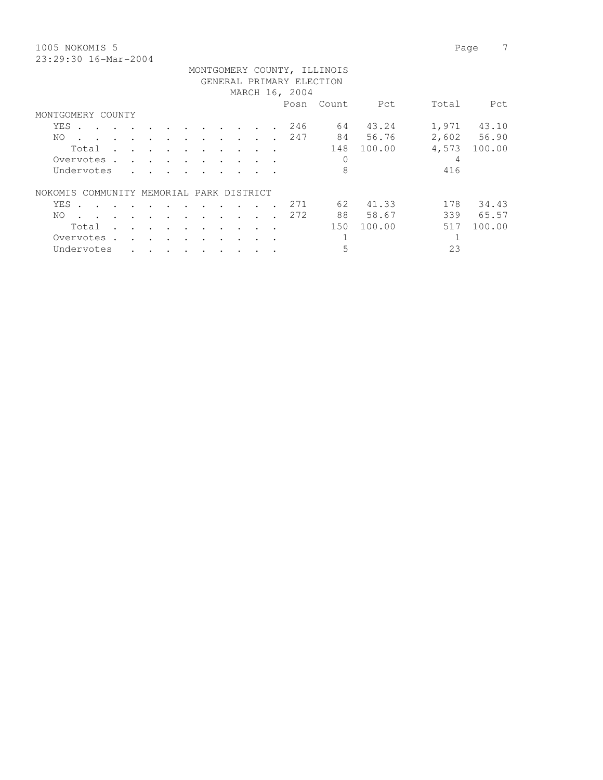| 1005 NOKOMIS 5                    |           |  |                        |  |  |                          |                             |        |       | Page        |
|-----------------------------------|-----------|--|------------------------|--|--|--------------------------|-----------------------------|--------|-------|-------------|
| 23:29:30 16-Mar-2004              |           |  |                        |  |  |                          |                             |        |       |             |
|                                   |           |  |                        |  |  |                          | MONTGOMERY COUNTY, ILLINOIS |        |       |             |
|                                   |           |  |                        |  |  | GENERAL PRIMARY ELECTION |                             |        |       |             |
|                                   |           |  |                        |  |  | MARCH 16, 2004           |                             |        |       |             |
|                                   |           |  |                        |  |  | Posn                     | Count                       | Pct    | Total | Pct         |
| MONTGOMERY COUNTY                 |           |  |                        |  |  |                          |                             |        |       |             |
| YES<br>$\sim$                     |           |  |                        |  |  | 246                      | 64                          | 43.24  | 1,971 | 43.10       |
| NO.<br>$\ddot{\phantom{a}}$       |           |  |                        |  |  | 247                      | 84                          | 56.76  |       | 2,602 56.90 |
| Total                             |           |  |                        |  |  |                          | 148                         | 100.00 | 4,573 | 100.00      |
| Overvotes.                        |           |  |                        |  |  |                          | $\Omega$                    |        | 4     |             |
| Undervotes                        |           |  |                        |  |  |                          | 8                           |        | 416   |             |
|                                   |           |  |                        |  |  |                          |                             |        |       |             |
| COMMUNITY<br>NOKOMIS              |           |  | MEMORIAL PARK DISTRICT |  |  |                          |                             |        |       |             |
| YES                               |           |  |                        |  |  | 271                      | 62                          | 41.33  | 178   | 34.43       |
| NO.                               |           |  |                        |  |  | 272                      | 88                          | 58.67  | 339   | 65.57       |
| Total                             |           |  |                        |  |  |                          | 150                         | 100.00 | 517   | 100.00      |
| Overvotes<br>$\ddot{\phantom{a}}$ | $\bullet$ |  |                        |  |  |                          |                             |        |       |             |

Undervotes . . . . . . . . . . 5 23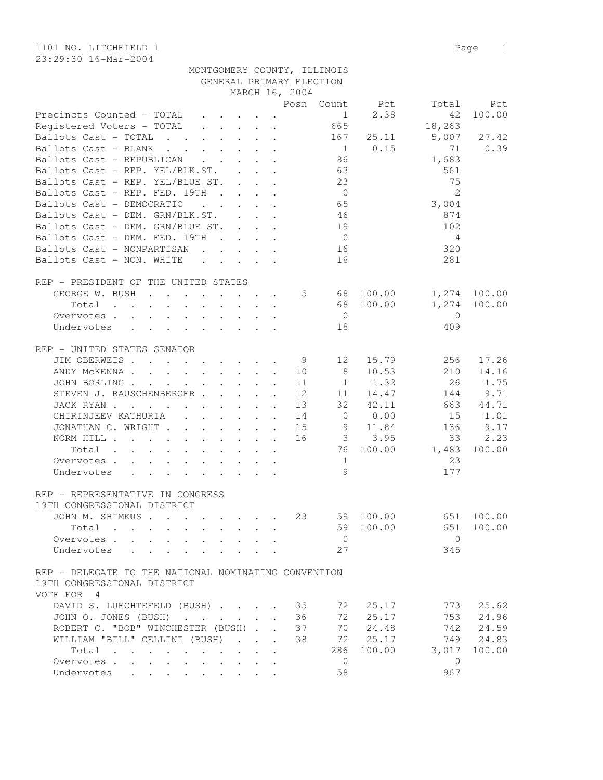1101 NO. LITCHFIELD 1 Page 1 23:29:30 16-Mar-2004

|                                                                                                                           |                                                           |                                                                                               | MARGE TO, 2004 |                 |                     |                |        |
|---------------------------------------------------------------------------------------------------------------------------|-----------------------------------------------------------|-----------------------------------------------------------------------------------------------|----------------|-----------------|---------------------|----------------|--------|
|                                                                                                                           |                                                           |                                                                                               |                | Posn Count      | Pct                 | Total          | Pct    |
| Precincts Counted - TOTAL                                                                                                 |                                                           |                                                                                               |                | 1               | 2.38                | 42             | 100.00 |
| Registered Voters - TOTAL                                                                                                 |                                                           |                                                                                               |                | 665             |                     | 18,263         |        |
| Ballots Cast - TOTAL                                                                                                      |                                                           |                                                                                               |                | 167             | 25.11               | 5,007          | 27.42  |
| Ballots Cast - BLANK<br>$\mathbf{r}$ , $\mathbf{r}$ , $\mathbf{r}$ , $\mathbf{r}$ , $\mathbf{r}$                          |                                                           |                                                                                               |                | $\overline{1}$  | 0.15                | 71             | 0.39   |
| Ballots Cast - REPUBLICAN                                                                                                 | $\cdot$                                                   |                                                                                               |                | 86              |                     | 1,683          |        |
| Ballots Cast - REP. YEL/BLK.ST.                                                                                           | $\mathbf{L}$                                              | $\mathbf{L} = \mathbf{L}$                                                                     |                | 63              |                     | 561            |        |
| Ballots Cast - REP. YEL/BLUE ST.                                                                                          | $\ddot{\phantom{1}}$                                      |                                                                                               |                | 23              |                     | 75             |        |
| Ballots Cast - REP. FED. 19TH<br>$\sim$ $\sim$                                                                            | $\mathbf{r} = \mathbf{r} - \mathbf{r}$                    |                                                                                               |                | $\overline{0}$  |                     | $\overline{2}$ |        |
| Ballots Cast - DEMOCRATIC<br>$\mathbf{r}$ , $\mathbf{r}$ , $\mathbf{r}$                                                   |                                                           | $\mathbf{1}^{\prime}$ , $\mathbf{1}^{\prime}$ , $\mathbf{1}^{\prime}$ , $\mathbf{1}^{\prime}$ |                | 65              |                     | 3,004          |        |
| Ballots Cast - DEM. GRN/BLK.ST.                                                                                           |                                                           | $\mathbf{L} = \mathbf{L} \mathbf{L} \mathbf{L}$                                               |                | 46              |                     | 874            |        |
| Ballots Cast - DEM. GRN/BLUE ST.                                                                                          |                                                           |                                                                                               |                | 19              |                     | 102            |        |
| Ballots Cast - DEM. FED. 19TH                                                                                             | $\mathbf{r}$ , $\mathbf{r}$ , $\mathbf{r}$ , $\mathbf{r}$ |                                                                                               |                | $\overline{0}$  |                     | 4              |        |
| Ballots Cast - NONPARTISAN                                                                                                |                                                           |                                                                                               |                | 16              |                     | 320            |        |
| Ballots Cast - NON. WHITE<br>$\cdots$                                                                                     |                                                           |                                                                                               |                | 16              |                     | 281            |        |
|                                                                                                                           |                                                           |                                                                                               |                |                 |                     |                |        |
|                                                                                                                           |                                                           |                                                                                               |                |                 |                     |                |        |
| REP - PRESIDENT OF THE UNITED STATES                                                                                      |                                                           |                                                                                               |                |                 |                     |                |        |
| GEORGE W. BUSH<br>$\mathbf{r}$ , and $\mathbf{r}$ , and $\mathbf{r}$ , and $\mathbf{r}$                                   |                                                           |                                                                                               | 5              |                 | 68 100.00           | 1,274          | 100.00 |
| Total<br>$\sim$ $\sim$ $\sim$ $\sim$<br>$\mathbf{r}$ , and $\mathbf{r}$ , and $\mathbf{r}$ , and $\mathbf{r}$             |                                                           | $\mathbf{r}$                                                                                  |                | 68              | 100.00              | 1,274          | 100.00 |
| Overvotes.                                                                                                                |                                                           |                                                                                               |                | $\overline{0}$  |                     | $\Omega$       |        |
| Undervotes                                                                                                                |                                                           |                                                                                               |                | 18              |                     | 409            |        |
|                                                                                                                           |                                                           |                                                                                               |                |                 |                     |                |        |
| REP - UNITED STATES SENATOR                                                                                               |                                                           |                                                                                               |                |                 |                     |                |        |
| JIM OBERWEIS.<br>the contract of the contract of the                                                                      |                                                           |                                                                                               | - 9            | 12 <sup>°</sup> | 15.79               | 256            | 17.26  |
| ANDY MCKENNA.<br>$\mathbf{r}$ , $\mathbf{r}$ , $\mathbf{r}$ , $\mathbf{r}$                                                | $\ddot{\phantom{a}}$                                      | $\ddot{\phantom{a}}$                                                                          | 10             | 8               | 10.53               | 210            | 14.16  |
| JOHN BORLING .<br>$\mathbf{r} = \mathbf{r} + \mathbf{r} + \mathbf{r} + \mathbf{r} + \mathbf{r} + \mathbf{r} + \mathbf{r}$ |                                                           |                                                                                               | 11             | $\mathbf{1}$    | 1.32                | 26             | 1.75   |
| STEVEN J. RAUSCHENBERGER                                                                                                  | $\mathbf{L}^{\text{max}}$                                 |                                                                                               | 12             | 11              | 14.47               | 144            | 9.71   |
| JACKRYAN<br>$\mathbf{r}$ , $\mathbf{r}$ , $\mathbf{r}$ , $\mathbf{r}$                                                     |                                                           | $\sim$<br>$\ddot{\phantom{a}}$                                                                | 13             | 32              | 42.11               | 663            | 44.71  |
| CHIRINJEEV KATHURIA<br>$\mathbf{r}$ , $\mathbf{r}$ , $\mathbf{r}$ , $\mathbf{r}$                                          |                                                           | $\ddot{\phantom{a}}$                                                                          | 14             | $\mathbf 0$     | 0.00                | 15             | 1.01   |
| JONATHAN C. WRIGHT                                                                                                        |                                                           | $\ddot{\phantom{a}}$                                                                          | 15             | 9               | 11.84               | 136            | 9.17   |
| NORM HILL .<br>$\mathbf{r}$ , and $\mathbf{r}$ , and $\mathbf{r}$ , and $\mathbf{r}$ , and $\mathbf{r}$                   |                                                           |                                                                                               | 16             |                 | 3.95<br>$3^{\circ}$ | 33             | 2.23   |
| Total<br>$\mathcal{L}(\mathcal{A})$ . The contribution of the contribution of the contribution of                         |                                                           |                                                                                               |                | 76              | 100.00              | 1,483          | 100.00 |
| Overvotes                                                                                                                 |                                                           |                                                                                               |                | 1               |                     | 23             |        |
| Undervotes                                                                                                                |                                                           |                                                                                               |                | 9               |                     | 177            |        |
|                                                                                                                           |                                                           |                                                                                               |                |                 |                     |                |        |
|                                                                                                                           |                                                           |                                                                                               |                |                 |                     |                |        |
| REP - REPRESENTATIVE IN CONGRESS                                                                                          |                                                           |                                                                                               |                |                 |                     |                |        |
| 19TH CONGRESSIONAL DISTRICT                                                                                               |                                                           |                                                                                               |                |                 |                     |                |        |
| JOHN M. SHIMKUS                                                                                                           |                                                           |                                                                                               | 23             | 59              | 100.00              | 651            | 100.00 |
| Total<br>$\mathbf{r}$ , $\mathbf{r}$ , $\mathbf{r}$ , $\mathbf{r}$ , $\mathbf{r}$ , $\mathbf{r}$                          |                                                           | $\mathbf{r}$                                                                                  |                | 59              | 100.00              | 651            | 100.00 |
| Overvotes.                                                                                                                |                                                           |                                                                                               |                | $\mathbf{0}$    |                     | $\mathbf{0}$   |        |
| Undervotes                                                                                                                |                                                           |                                                                                               |                | 27              |                     | 345            |        |
|                                                                                                                           |                                                           |                                                                                               |                |                 |                     |                |        |
| REP - DELEGATE TO THE NATIONAL NOMINATING CONVENTION                                                                      |                                                           |                                                                                               |                |                 |                     |                |        |
| 19TH CONGRESSIONAL DISTRICT                                                                                               |                                                           |                                                                                               |                |                 |                     |                |        |
| VOTE FOR 4                                                                                                                |                                                           |                                                                                               |                |                 |                     |                |        |
| DAVID S. LUECHTEFELD (BUSH)                                                                                               |                                                           |                                                                                               | 35             | 72              | 25.17               | 773            | 25.62  |
| JOHN O. JONES (BUSH)                                                                                                      | $\mathbf{r}$                                              | $\sim$<br>$\ddot{\phantom{a}}$                                                                | 36             | 72              | 25.17               | 753            | 24.96  |
| ROBERT C. "BOB" WINCHESTER (BUSH) .                                                                                       |                                                           |                                                                                               | 37             | 70              | 24.48               | 742            | 24.59  |
| WILLIAM "BILL" CELLINI (BUSH)                                                                                             |                                                           |                                                                                               | 38             | 72              | 25.17               | 749            | 24.83  |
| Total                                                                                                                     |                                                           |                                                                                               |                | 286             | 100.00              | 3,017          | 100.00 |
| $\sim$ 100 $\pm$<br>Overvotes .                                                                                           |                                                           |                                                                                               |                | $\mathbf 0$     |                     | $\mathbf{0}$   |        |
| $\ddot{\phantom{a}}$                                                                                                      |                                                           |                                                                                               |                |                 |                     |                |        |
| Undervotes<br>$\bullet$                                                                                                   |                                                           |                                                                                               |                | 58              |                     | 967            |        |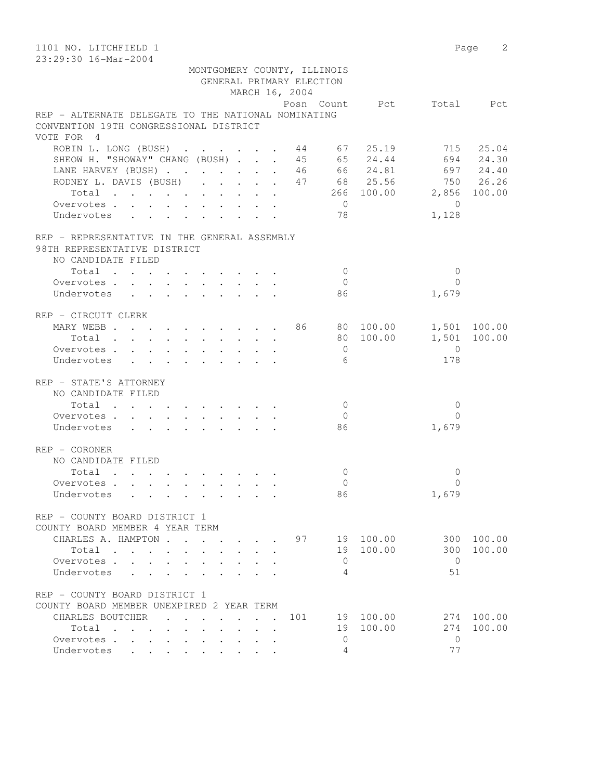| 1101 NO. LITCHFIELD 1                                                                                                               |                  | Page 2       |
|-------------------------------------------------------------------------------------------------------------------------------------|------------------|--------------|
| 23:29:30 16-Mar-2004<br>MONTGOMERY COUNTY, ILLINOIS                                                                                 |                  |              |
| GENERAL PRIMARY ELECTION                                                                                                            |                  |              |
| MARCH 16, 2004                                                                                                                      |                  |              |
| Posn Count Pct                                                                                                                      |                  | Total Pct    |
| REP - ALTERNATE DELEGATE TO THE NATIONAL NOMINATING                                                                                 |                  |              |
| CONVENTION 19TH CONGRESSIONAL DISTRICT                                                                                              |                  |              |
| VOTE FOR 4                                                                                                                          |                  |              |
| ROBIN L. LONG (BUSH) 44 67 25.19                                                                                                    |                  | 715 25.04    |
| 45 65 24.44<br>SHEOW H. "SHOWAY" CHANG (BUSH)                                                                                       |                  | 694 24.30    |
| LANE HARVEY (BUSH) 46 66 24.81 697 24.40                                                                                            |                  |              |
| RODNEY L. DAVIS (BUSH) 47 68 25.56 750 26.26                                                                                        |                  |              |
| Total 266 100.00 2,856 100.00                                                                                                       |                  |              |
| $\overline{0}$<br>Overvotes.                                                                                                        | $\overline{0}$   |              |
| 78<br>Undervotes                                                                                                                    | 1,128            |              |
| REP - REPRESENTATIVE IN THE GENERAL ASSEMBLY                                                                                        |                  |              |
| 98TH REPRESENTATIVE DISTRICT                                                                                                        |                  |              |
| NO CANDIDATE FILED                                                                                                                  |                  |              |
| Total<br>$\bigcirc$                                                                                                                 | $\mathbf{0}$     |              |
| Overvotes.<br>$\overline{0}$                                                                                                        | $\Omega$         |              |
| Undervotes<br>86                                                                                                                    | 1,679            |              |
|                                                                                                                                     |                  |              |
| REP - CIRCUIT CLERK                                                                                                                 |                  |              |
| MARY WEBB 86 80 100.00 1,501 100.00                                                                                                 |                  |              |
| Total                                                                                                                               | 80 100.00        | 1,501 100.00 |
| Overvotes<br>$\overline{0}$                                                                                                         | $\overline{0}$   |              |
| 6<br>Undervotes                                                                                                                     | 178              |              |
| REP - STATE'S ATTORNEY                                                                                                              |                  |              |
| NO CANDIDATE FILED                                                                                                                  |                  |              |
| Total<br>$\overline{0}$                                                                                                             | $\mathbf{0}$     |              |
| Overvotes<br>$\overline{0}$                                                                                                         | $\Omega$         |              |
| 86<br>Undervotes                                                                                                                    | 1,679            |              |
| REP - CORONER                                                                                                                       |                  |              |
| NO CANDIDATE FILED                                                                                                                  |                  |              |
| Total<br>$\mathbf{0}$                                                                                                               | 0                |              |
| $\Omega$<br>Overvotes, , , , , , ,                                                                                                  | $\Omega$         |              |
| 86<br>Undervotes<br>the contract of the contract of the contract of the contract of the contract of the contract of the contract of | 1,679            |              |
|                                                                                                                                     |                  |              |
| REP - COUNTY BOARD DISTRICT 1                                                                                                       |                  |              |
| COUNTY BOARD MEMBER 4 YEAR TERM                                                                                                     |                  |              |
| CHARLES A. HAMPTON<br>97                                                                                                            | 19 100.00<br>300 | 100.00       |
| Total<br>$\mathbf{r}$ . The set of $\mathbf{r}$<br>$\ddot{\phantom{0}}$                                                             | 19 100.00<br>300 | 100.00       |
| Overvotes<br>$\mathbf{0}$                                                                                                           | $\Omega$         |              |
| Undervotes<br>4<br>$\mathbf{L} = \mathbf{L}$<br>$\ddot{\phantom{a}}$<br>$\cdot$                                                     | 51               |              |
| REP - COUNTY BOARD DISTRICT 1                                                                                                       |                  |              |
| COUNTY BOARD MEMBER UNEXPIRED 2 YEAR TERM                                                                                           |                  |              |
| CHARLES BOUTCHER<br>101                                                                                                             | 19 100.00        | 274 100.00   |
| 19<br>Total                                                                                                                         | 100.00<br>274    | 100.00       |
| 0<br>Overvotes                                                                                                                      | $\mathbf{0}$     |              |
| 4<br>Undervotes                                                                                                                     | 77               |              |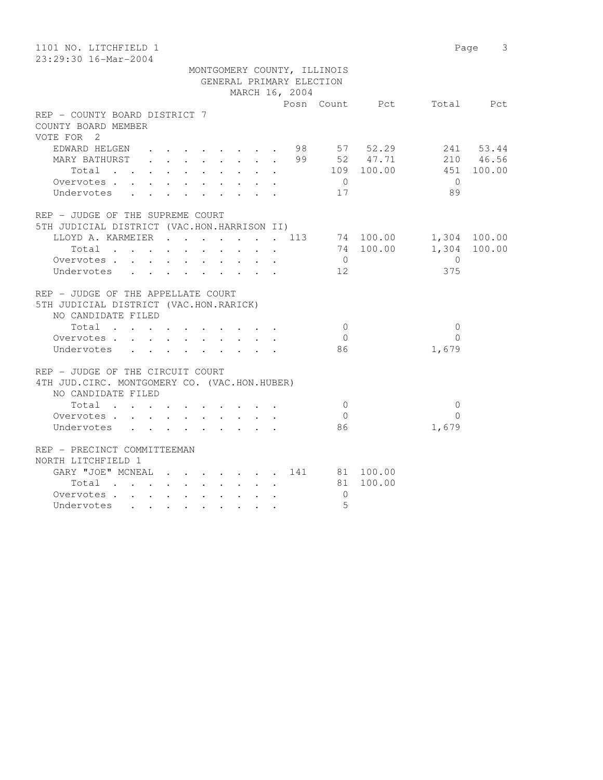| 1101 NO. LITCHFIELD 1                                                                          |                                                                          |                          |                |             |                          | Page 3       |
|------------------------------------------------------------------------------------------------|--------------------------------------------------------------------------|--------------------------|----------------|-------------|--------------------------|--------------|
| 23:29:30 16-Mar-2004                                                                           |                                                                          |                          |                |             |                          |              |
|                                                                                                | MONTGOMERY COUNTY, ILLINOIS                                              | GENERAL PRIMARY ELECTION |                |             |                          |              |
|                                                                                                |                                                                          | MARCH 16, 2004           |                |             |                          |              |
|                                                                                                |                                                                          |                          |                |             | Posn Count Pct Total Pct |              |
| REP - COUNTY BOARD DISTRICT 7                                                                  |                                                                          |                          |                |             |                          |              |
| COUNTY BOARD MEMBER                                                                            |                                                                          |                          |                |             |                          |              |
| VOTE FOR 2                                                                                     |                                                                          |                          |                |             |                          |              |
| EDWARD HELGEN                                                                                  |                                                                          |                          |                | 98 57 52.29 |                          | 241 53.44    |
| MARY BATHURST                                                                                  | $\mathbf{r}$ , $\mathbf{r}$ , $\mathbf{r}$ , $\mathbf{r}$ , $\mathbf{r}$ | $\mathbf{r}$             |                |             | 99 52 47.71 210 46.56    |              |
| Total $\cdots$                                                                                 |                                                                          |                          |                |             | 109 100.00 451 100.00    |              |
| Overvotes<br>$\cdot$ $\cdot$ $\cdot$                                                           |                                                                          |                          | $\overline{0}$ |             | $\bigcirc$               |              |
| Undervotes<br>$\mathbf{L}$<br>$\sim$ $\sim$                                                    |                                                                          |                          | 17             |             | 89                       |              |
|                                                                                                |                                                                          |                          |                |             |                          |              |
| REP - JUDGE OF THE SUPREME COURT                                                               |                                                                          |                          |                |             |                          |              |
| 5TH JUDICIAL DISTRICT (VAC.HON.HARRISON II)                                                    |                                                                          |                          |                |             |                          |              |
| LLOYD A. KARMEIER 113                                                                          |                                                                          |                          |                |             | 74 100.00 1,304 100.00   |              |
| Total<br>$\sim$                                                                                | $\sim$<br>$\sim$                                                         | $\mathbf{L}$<br>$\sim$   |                | 74 100.00   |                          | 1,304 100.00 |
| Overvotes                                                                                      |                                                                          |                          | $\overline{0}$ |             | $\overline{0}$           |              |
| Undervotes                                                                                     |                                                                          |                          | 12             |             | 375                      |              |
|                                                                                                |                                                                          |                          |                |             |                          |              |
| REP - JUDGE OF THE APPELLATE COURT                                                             |                                                                          |                          |                |             |                          |              |
| 5TH JUDICIAL DISTRICT (VAC.HON.RARICK)                                                         |                                                                          |                          |                |             |                          |              |
| NO CANDIDATE FILED                                                                             |                                                                          |                          |                |             |                          |              |
| $\begin{tabular}{ccccccccccc} Total & . & . & . & . & . & . & . & . & . & . & . \end{tabular}$ |                                                                          |                          | $\overline{0}$ |             | $\mathbf{0}$             |              |
| Overvotes                                                                                      |                                                                          |                          | $\bigcirc$     |             | $\Omega$                 |              |
| Undervotes                                                                                     |                                                                          |                          | 86             |             | 1,679                    |              |
|                                                                                                |                                                                          |                          |                |             |                          |              |
| REP - JUDGE OF THE CIRCUIT COURT                                                               |                                                                          |                          |                |             |                          |              |
| 4TH JUD. CIRC. MONTGOMERY CO. (VAC. HON. HUBER)                                                |                                                                          |                          |                |             |                          |              |
| NO CANDIDATE FILED                                                                             |                                                                          |                          |                |             |                          |              |
| $Total \cdot \cdot \cdot \cdot \cdot \cdot \cdot \cdot$                                        |                                                                          |                          | $\bigcirc$     |             | $\Omega$                 |              |
| Overvotes                                                                                      |                                                                          |                          | $\overline{0}$ |             | $\Omega$                 |              |
| Undervotes                                                                                     |                                                                          |                          | 86             |             | 1,679                    |              |
|                                                                                                |                                                                          |                          |                |             |                          |              |
| REP - PRECINCT COMMITTEEMAN                                                                    |                                                                          |                          |                |             |                          |              |
| NORTH LITCHFIELD 1                                                                             |                                                                          |                          |                |             |                          |              |
| GARY "JOE" MCNEAL 141 81 100.00                                                                |                                                                          |                          |                |             |                          |              |
| Total                                                                                          |                                                                          |                          |                | 81 100.00   |                          |              |
| Overvotes                                                                                      |                                                                          |                          | $\overline{0}$ |             |                          |              |
| Undervotes                                                                                     | $\ddot{\phantom{a}}$                                                     | $\ddot{\phantom{a}}$     | 5              |             |                          |              |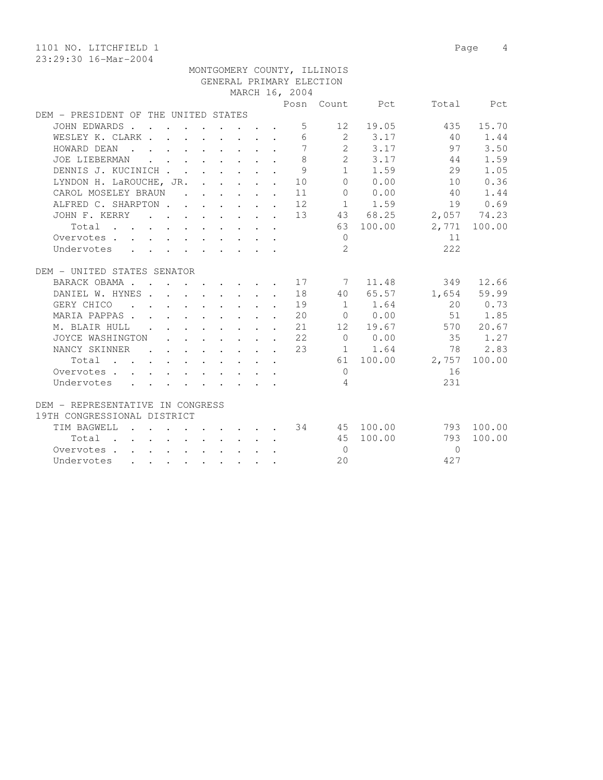1101 NO. LITCHFIELD 1 Page 4 23:29:30 16-Mar-2004 MONTGOMERY COUNTY, ILLINOIS GENERAL PRIMARY ELECTION MARCH 16, 2004 Posn Count Pct Total Pct DEM - PRESIDENT OF THE UNITED STATES JOHN EDWARDS . . . . . . . . . 5 12 19.05 435 15.70 WESLEY K. CLARK . . . . . . . . 6 2 3.17 40 1.44 HOWARD DEAN . . . . . . . . . 7 2 3.17 97 3.50 JOE LIEBERMAN . . . . . . . . 8 2 3.17 44 1.59 DENNIS J. KUCINICH . . . . . . . 9 1 1.59 29 1.05 LYNDON H. LaROUCHE, JR. . . . . . 10 0 0.00 10 0.36 CAROL MOSELEY BRAUN . . . . . . 11 0 0.00 40 1.44 ALFRED C. SHARPTON . . . . . . 12 1 1.59 19 0.69 JOHN F. KERRY . . . . . . . . 13 43 68.25 2,057 74.23 Total . . . . . . . . . . 63 100.00 2,771 100.00 Overvotes . . . . . . . . . . . 0 11 Undervotes . . . . . . . . . 2 222 DEM - UNITED STATES SENATOR BARACK OBAMA . . . . . . . . 17 7 11.48 349 12.66 DANIEL W. HYNES . . . . . . . . 18 40 65.57 1,654 59.99 GERY CHICO . . . . . . . . . 19 1 1.64 20 0.73 MARIA PAPPAS . . . . . . . . . 20 0 0.00 51 1.85 M. BLAIR HULL . . . . . . . . 21 12 19.67 570 20.67 JOYCE WASHINGTON . . . . . . . 22 0 0.00 35 1.27 NANCY SKINNER . . . . . . 23 1 1.64 78 2.83 Total . . . . . . . . . . 61 100.00 2,757 100.00 Overvotes . . . . . . . . . . . 0 16 Undervotes . . . . . . . . . 4  $231$ DEM - REPRESENTATIVE IN CONGRESS 19TH CONGRESSIONAL DISTRICT TIM BAGWELL . . . . . . . . . 34 45 100.00 793 100.00 Total . . . . . . . . . . 45 100.00 793 100.00 Overvotes . . . . . . . . . . 0 0

Undervotes . . . . . . . . . 20 427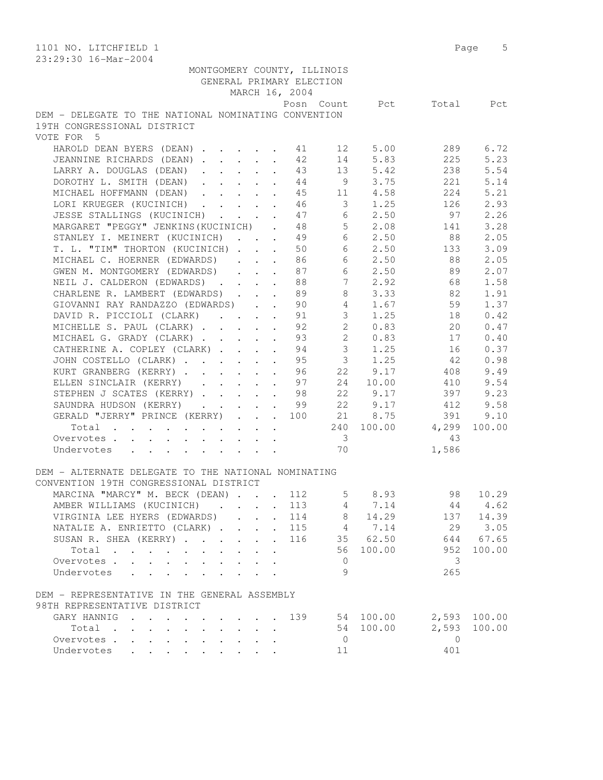| 1101 NO. LITCHFIELD 1<br>23:29:30 16-Mar-2004                                                                       | 5<br>Page       |
|---------------------------------------------------------------------------------------------------------------------|-----------------|
| MONTGOMERY COUNTY, ILLINOIS                                                                                         |                 |
| GENERAL PRIMARY ELECTION                                                                                            |                 |
| MARCH 16, 2004                                                                                                      |                 |
| Posn Count<br>Pct                                                                                                   | Total<br>Pct    |
| DEM - DELEGATE TO THE NATIONAL NOMINATING CONVENTION                                                                |                 |
| 19TH CONGRESSIONAL DISTRICT                                                                                         |                 |
| VOTE FOR 5                                                                                                          |                 |
| HAROLD DEAN BYERS (DEAN)<br>12<br>5.00<br>41                                                                        | 6.72<br>289     |
| 5.83<br>JEANNINE RICHARDS (DEAN)<br>42<br>14                                                                        | 225<br>5.23     |
| 5.42<br>LARRY A. DOUGLAS (DEAN)<br>43<br>13<br>$\ddot{\phantom{a}}$                                                 | 238<br>5.54     |
| DOROTHY L. SMITH (DEAN)<br>9<br>3.75<br>44<br>$\ddot{\phantom{a}}$                                                  | 221<br>5.14     |
| 11 4.58<br>MICHAEL HOFFMANN (DEAN)<br>45<br>$\mathbf{r}$                                                            | 224<br>5.21     |
| $3 \t1.25$<br>LORI KRUEGER (KUCINICH)<br>46                                                                         | 126<br>2.93     |
| JESSE STALLINGS (KUCINICH)<br>47<br>6 2.50                                                                          | 97<br>2.26      |
| $5 \t 2.08$<br>MARGARET "PEGGY" JENKINS (KUCINICH).<br>48                                                           | 3.28<br>141     |
| 6 2.50<br>STANLEY I. MEINERT (KUCINICH) 49                                                                          | 88<br>2.05      |
| T. L. "TIM" THORTON (KUCINICH)<br>6 2.50<br>50                                                                      | 3.09<br>133     |
| 6<br>MICHAEL C. HOERNER (EDWARDS)<br>86<br>2.50                                                                     | 88<br>2.05      |
| 6<br>GWEN M. MONTGOMERY (EDWARDS)<br>2.50<br>87<br>$\mathbf{1}$ $\mathbf{1}$ $\mathbf{1}$ $\mathbf{1}$ $\mathbf{1}$ | 89<br>2.07      |
| 7 <sup>7</sup><br>2.92<br>NEIL J. CALDERON (EDWARDS)<br>88                                                          | 1.58<br>68      |
| 8<br>CHARLENE R. LAMBERT (EDWARDS)<br>89<br>3.33                                                                    | 1.91<br>82      |
| GIOVANNI RAY RANDAZZO (EDWARDS)<br>4 1.67<br>90                                                                     | 59<br>1.37      |
| 3 1.25<br>DAVID R. PICCIOLI (CLARK)<br>91                                                                           | 0.42<br>18      |
| $2^{\circ}$<br>MICHELLE S. PAUL (CLARK)<br>92<br>0.83                                                               | 0.47<br>20      |
| 2 0.83<br>MICHAEL G. GRADY (CLARK)<br>93                                                                            | 0.40<br>17      |
| 3 <sup>7</sup><br>CATHERINE A. COPLEY (CLARK)<br>94<br>1.25                                                         | 0.37<br>16      |
| 3 <sup>7</sup><br>1.25<br>JOHN COSTELLO (CLARK)<br>95                                                               | 42<br>0.98      |
| 22<br>9.17<br>KURT GRANBERG (KERRY)<br>96<br>$\ddot{\phantom{a}}$                                                   | 9.49<br>408     |
| 97<br>ELLEN SINCLAIR (KERRY)<br>24<br>10.00<br>$\ddot{\phantom{a}}$                                                 | 9.54<br>410     |
| 22 9.17<br>STEPHEN J SCATES (KERRY)<br>98                                                                           | 397<br>9.23     |
| 22 9.17<br>99<br>SAUNDRA HUDSON (KERRY)                                                                             | 9.58<br>412     |
| GERALD "JERRY" PRINCE (KERRY)<br>21 8.75<br>100                                                                     | 391<br>9.10     |
| 240 100.00 4,299                                                                                                    | 100.00          |
| Total<br>$\overline{\phantom{a}}$                                                                                   | 43              |
| Overvotes<br>70                                                                                                     | 1,586           |
| Undervotes                                                                                                          |                 |
| DEM - ALTERNATE DELEGATE TO THE NATIONAL NOMINATING                                                                 |                 |
|                                                                                                                     |                 |
| CONVENTION 19TH CONGRESSIONAL DISTRICT                                                                              |                 |
| MARCINA "MARCY" M. BECK (DEAN)<br>5<br>8.93<br>112                                                                  | 98<br>10.29     |
| AMBER WILLIAMS (KUCINICH)<br>113<br>4 7.14                                                                          | 44<br>4.62      |
| VIRGINIA LEE HYERS (EDWARDS)<br>114<br>14.29<br>8<br>$\ddot{\phantom{0}}$                                           | 137<br>14.39    |
| NATALIE A. ENRIETTO (CLARK).<br>115<br>4 7.14<br>$\ddot{\phantom{0}}$<br>$\ddot{\phantom{a}}$                       | 29<br>3.05      |
| 35 62.50<br>SUSAN R. SHEA (KERRY)<br>116<br>$\ddot{\phantom{a}}$<br>$\ddot{\phantom{a}}$                            | 644<br>67.65    |
| Total<br>56<br>100.00                                                                                               | 952<br>100.00   |
| Overvotes.<br>0                                                                                                     | 3               |
| 9<br>Undervotes<br>$\mathbf{L}$ $\mathbf{L}$                                                                        | 265             |
|                                                                                                                     |                 |
| DEM - REPRESENTATIVE IN THE GENERAL ASSEMBLY                                                                        |                 |
| 98TH REPRESENTATIVE DISTRICT                                                                                        |                 |
| GARY HANNIG<br>139<br>54<br>100.00                                                                                  | 2,593<br>100.00 |
| 100.00<br>54<br>Total                                                                                               | 2,593<br>100.00 |
| Overvotes<br>$\overline{0}$                                                                                         | $\mathbf{0}$    |
| Undervotes<br>11                                                                                                    | 401             |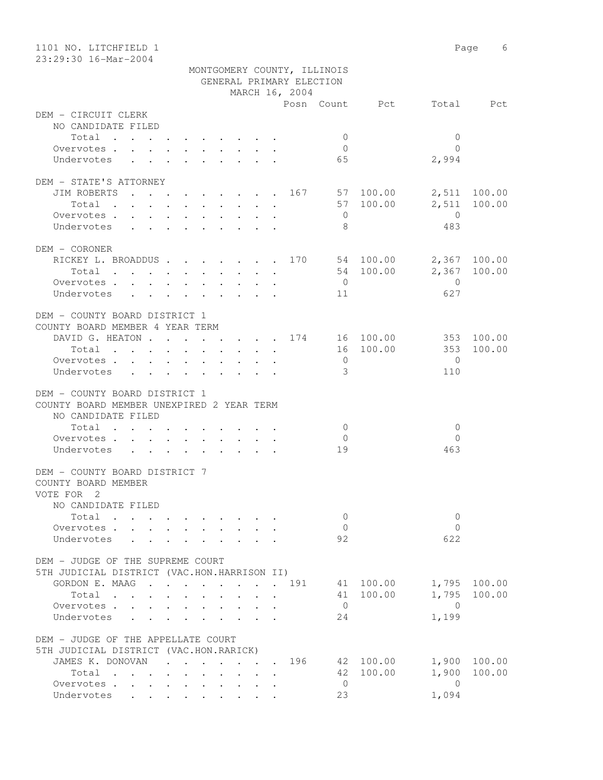| 1101 NO. LITCHFIELD 1<br>23:29:30 16-Mar-2004                                      |                                          |                      |                             |                                      | Page<br>6              |
|------------------------------------------------------------------------------------|------------------------------------------|----------------------|-----------------------------|--------------------------------------|------------------------|
|                                                                                    |                                          |                      | MONTGOMERY COUNTY, ILLINOIS |                                      |                        |
|                                                                                    |                                          |                      | GENERAL PRIMARY ELECTION    |                                      |                        |
|                                                                                    |                                          | MARCH 16, 2004       |                             |                                      |                        |
|                                                                                    |                                          |                      |                             | Posn Count Pct                       | Total Pct              |
| DEM - CIRCUIT CLERK                                                                |                                          |                      |                             |                                      |                        |
| NO CANDIDATE FILED                                                                 |                                          |                      |                             |                                      |                        |
| Total                                                                              |                                          |                      | $\mathbf{0}$                | $\mathbf{0}$                         |                        |
| Overvotes.                                                                         |                                          |                      | $\overline{0}$              | $\bigcap$                            |                        |
| Undervotes                                                                         |                                          |                      | 65                          | 2,994                                |                        |
|                                                                                    |                                          |                      |                             |                                      |                        |
| DEM - STATE'S ATTORNEY                                                             |                                          |                      |                             |                                      |                        |
| JIM ROBERTS 167 57 100.00                                                          |                                          |                      |                             |                                      | 2,511 100.00           |
| Total                                                                              |                                          |                      |                             | 57 100.00<br>2,511<br>$\overline{0}$ | 100.00                 |
| Overvotes                                                                          |                                          |                      | $\overline{0}$<br>8         | 483                                  |                        |
| Undervotes                                                                         |                                          |                      |                             |                                      |                        |
| DEM - CORONER                                                                      |                                          |                      |                             |                                      |                        |
| RICKEY L. BROADDUS 170 54 100.00                                                   |                                          |                      |                             |                                      | 2,367 100.00           |
| Total 54 100.00                                                                    |                                          |                      |                             |                                      | 2,367 100.00           |
| Overvotes                                                                          |                                          |                      | $\overline{0}$              | $\overline{0}$                       |                        |
| Undervotes                                                                         |                                          |                      | 11                          | 627                                  |                        |
|                                                                                    |                                          |                      |                             |                                      |                        |
| DEM - COUNTY BOARD DISTRICT 1                                                      |                                          |                      |                             |                                      |                        |
| COUNTY BOARD MEMBER 4 YEAR TERM                                                    |                                          |                      |                             |                                      |                        |
| DAVID G. HEATON 174 16 100.00                                                      |                                          |                      |                             |                                      | 353 100.00             |
| Total                                                                              |                                          |                      |                             | 16 100.00<br>353                     | 100.00                 |
| Overvotes.                                                                         |                                          |                      | $\overline{0}$              | $\bigcirc$                           |                        |
| Undervotes                                                                         |                                          |                      | $\mathcal{E}$               | 110                                  |                        |
|                                                                                    |                                          |                      |                             |                                      |                        |
| DEM - COUNTY BOARD DISTRICT 1                                                      |                                          |                      |                             |                                      |                        |
| COUNTY BOARD MEMBER UNEXPIRED 2 YEAR TERM<br>NO CANDIDATE FILED                    |                                          |                      |                             |                                      |                        |
| Total                                                                              |                                          |                      | $\overline{0}$              | $\overline{0}$                       |                        |
| Overvotes                                                                          |                                          |                      | $\overline{0}$              | $\Omega$                             |                        |
| Undervotes                                                                         |                                          |                      | 19                          | 463                                  |                        |
|                                                                                    |                                          |                      |                             |                                      |                        |
| DEM - COUNTY BOARD DISTRICT 7                                                      |                                          |                      |                             |                                      |                        |
| COUNTY BOARD MEMBER                                                                |                                          |                      |                             |                                      |                        |
| VOTE FOR 2                                                                         |                                          |                      |                             |                                      |                        |
| NO CANDIDATE FILED                                                                 |                                          |                      |                             |                                      |                        |
| Total                                                                              |                                          |                      | $\mathbf{0}$                | $\mathbf{0}$                         |                        |
| Overvotes .                                                                        |                                          |                      | $\circ$                     | $\Omega$                             |                        |
| Undervotes                                                                         |                                          |                      | 92                          | 622                                  |                        |
|                                                                                    |                                          |                      |                             |                                      |                        |
| DEM - JUDGE OF THE SUPREME COURT                                                   |                                          |                      |                             |                                      |                        |
| 5TH JUDICIAL DISTRICT (VAC.HON.HARRISON II)                                        |                                          |                      |                             |                                      |                        |
| GORDON E. MAAG<br>Total                                                            |                                          |                      | 191                         | 41 100.00<br>41 100.00<br>1,795      | 1,795 100.00<br>100.00 |
| $\mathbf{r}$ , and $\mathbf{r}$ , and $\mathbf{r}$ , and $\mathbf{r}$<br>Overvotes | $\ddot{\phantom{0}}$<br>$\sim$ 100 $\pm$ |                      | $\overline{0}$              | $\overline{0}$                       |                        |
| Undervotes                                                                         |                                          |                      | 24                          | 1,199                                |                        |
|                                                                                    |                                          |                      |                             |                                      |                        |
| DEM - JUDGE OF THE APPELLATE COURT                                                 |                                          |                      |                             |                                      |                        |
| 5TH JUDICIAL DISTRICT (VAC.HON.RARICK)                                             |                                          |                      |                             |                                      |                        |
| JAMES K. DONOVAN                                                                   | $\sim$                                   |                      | 196                         | 42 100.00<br>1,900                   | 100.00                 |
| Total                                                                              |                                          |                      |                             | 42 100.00<br>1,900                   | 100.00                 |
| Overvotes                                                                          |                                          | $\ddot{\phantom{a}}$ | $\mathbf{0}$                | $\overline{0}$                       |                        |
| Undervotes                                                                         |                                          |                      | 23                          | 1,094                                |                        |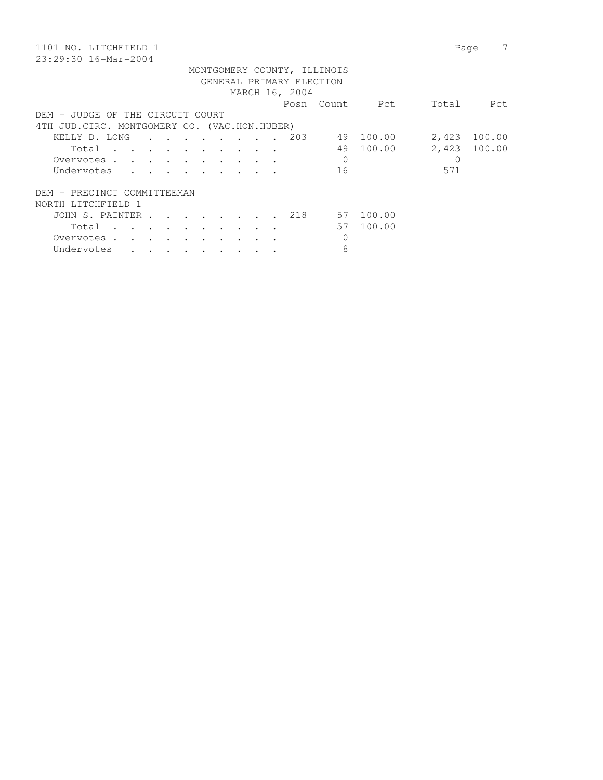| 1101 NO. LITCHFIELD 1                                                                                                          | Page                      |
|--------------------------------------------------------------------------------------------------------------------------------|---------------------------|
| 23:29:30 16-Mar-2004                                                                                                           |                           |
| MONTGOMERY COUNTY, ILLINOIS                                                                                                    |                           |
| GENERAL PRIMARY ELECTION                                                                                                       |                           |
| MARCH 16, 2004                                                                                                                 |                           |
| Posn<br>Count                                                                                                                  | Total<br>Pct<br>Pct       |
| DEM - JUDGE OF THE CIRCUIT COURT                                                                                               |                           |
| 4TH JUD. CIRC. MONTGOMERY CO. (VAC. HON. HUBER)                                                                                |                           |
| . 203<br>KELLY D. LONG<br>49<br>$\mathbf{r}$ , and $\mathbf{r}$ , and $\mathbf{r}$<br>$\sim$ $\sim$ $\sim$                     | 100.00<br>2,423<br>100.00 |
| 49<br>Total<br>the contract of the contract of the contract of the contract of the contract of the contract of the contract of | 100.00<br>2,423 100.00    |
| $\Omega$<br>Overvotes<br>$\sim$ $\sim$ $\sim$                                                                                  | $\Omega$                  |
| 16<br>Undervotes                                                                                                               | 571                       |
| DEM - PRECINCT COMMITTEEMAN                                                                                                    |                           |
| NORTH LITCHFIELD 1                                                                                                             |                           |
| JOHN S. PAINTER.<br>218<br>57<br>$\cdot$ $\cdot$<br>$\overline{\phantom{a}}$                                                   | 100.00                    |
| 57<br>Total                                                                                                                    | 100.00                    |
| $\sim$<br>$\sim$<br>$\sim$                                                                                                     |                           |
| 0<br>Overvotes .                                                                                                               |                           |
| 8<br>Undervotes                                                                                                                |                           |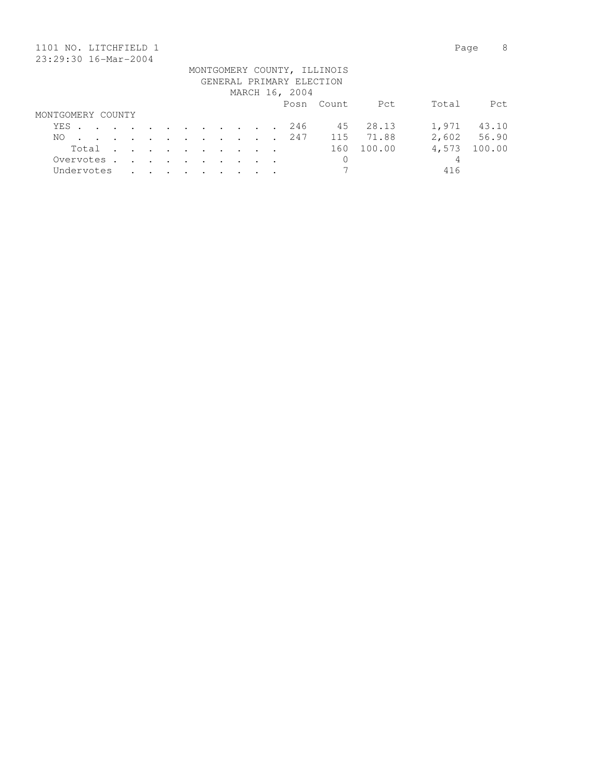| 1101                 | . NO. LITCHFIELD 1 |  |         |                      |                                                                                          |                  |         |                 |        |  |                          |                             |        | Page  | 8      |
|----------------------|--------------------|--|---------|----------------------|------------------------------------------------------------------------------------------|------------------|---------|-----------------|--------|--|--------------------------|-----------------------------|--------|-------|--------|
| 23:29:30 16-Mar-2004 |                    |  |         |                      |                                                                                          |                  |         |                 |        |  |                          |                             |        |       |        |
|                      |                    |  |         |                      |                                                                                          |                  |         |                 |        |  |                          | MONTGOMERY COUNTY, ILLINOIS |        |       |        |
|                      |                    |  |         |                      |                                                                                          |                  |         |                 |        |  | GENERAL PRIMARY ELECTION |                             |        |       |        |
|                      |                    |  |         |                      |                                                                                          |                  |         |                 |        |  | MARCH 16, 2004           |                             |        |       |        |
|                      |                    |  |         |                      |                                                                                          |                  |         |                 |        |  |                          | Posn Count                  | Pct    | Total | Pct    |
| MONTGOMERY COUNTY    |                    |  |         |                      |                                                                                          |                  |         |                 |        |  |                          |                             |        |       |        |
| YES                  |                    |  |         |                      | $\mathbf{r}$ , and $\mathbf{r}$ , and $\mathbf{r}$ , and $\mathbf{r}$ , and $\mathbf{r}$ |                  |         |                 |        |  | 246                      | 45                          | 28.13  | 1,971 | 43.10  |
| NO.                  |                    |  | $\cdot$ | $\ddot{\phantom{a}}$ | $\sim$ $\sim$                                                                            | $\sim$ 100 $\pm$ |         | $\cdot$ $\cdot$ | $\sim$ |  | 247                      | 115                         | 71.88  | 2,602 | 56.90  |
|                      | Total              |  | $\cdot$ | $\sim$               | $\sim$ $\sim$                                                                            | $\sim$           | $\cdot$ | $\cdot$         |        |  |                          | 160                         | 100.00 | 4,573 | 100.00 |
|                      | Overvotes.         |  | $\sim$  | $\sim$               | $\sim$ $\sim$                                                                            | $\sim$ $\sim$    | $\sim$  | $\sim$          |        |  |                          | 0                           |        | 4     |        |
|                      | Undervotes         |  |         |                      |                                                                                          |                  |         |                 |        |  |                          |                             |        | 416   |        |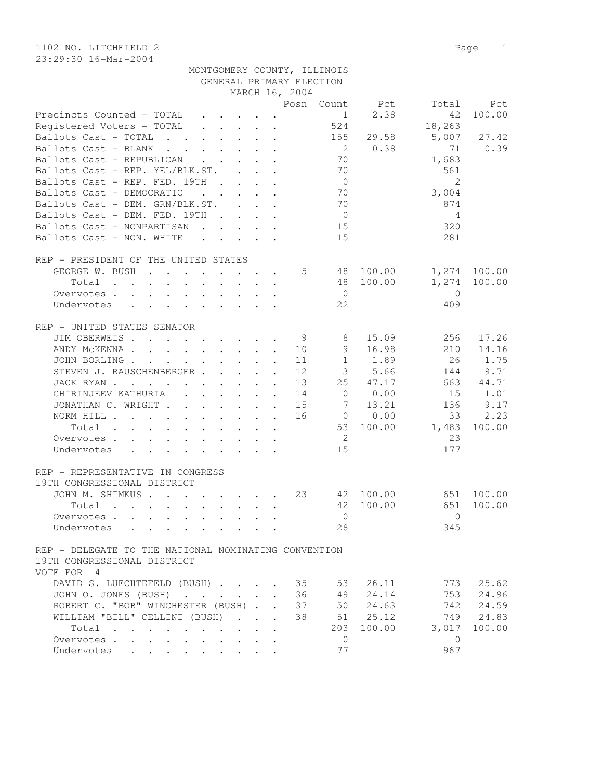1102 NO. LITCHFIELD 2 Page 1 23:29:30 16-Mar-2004

| Posn Count Pct<br>Total<br>Pct<br>2.38<br>100.00<br>Precincts Counted - TOTAL<br>$1 \quad \blacksquare$<br>42<br>Registered Voters - TOTAL<br>524<br>18,263<br>Ballots Cast - TOTAL<br>155<br>29.58<br>5,007<br>27.42<br>0.38<br>0.39<br>Ballots Cast - BLANK<br>$\overline{2}$<br>71<br>70<br>Ballots Cast - REPUBLICAN<br>1,683<br>70<br>561<br>Ballots Cast - REP. YEL/BLK.ST.<br>Ballots Cast - REP. FED. 19TH<br>2<br>$\overline{0}$<br>Ballots Cast - DEMOCRATIC<br>70<br>$\mathbf{r}$ , $\mathbf{r}$ , $\mathbf{r}$ , $\mathbf{r}$<br>3,004<br>Ballots Cast - DEM. GRN/BLK.ST.<br>70<br>874<br>Ballots Cast - DEM. FED. 19TH<br>$\overline{0}$<br>4<br>Ballots Cast - NONPARTISAN<br>15<br>320<br>281<br>Ballots Cast - NON. WHITE<br>15<br>REP - PRESIDENT OF THE UNITED STATES<br>1,274 100.00<br>GEORGE W. BUSH<br>5<br>48 100.00<br>48 100.00<br>1,274<br>100.00<br>Total<br>$\sim$<br>Overvotes<br>$\bigcirc$<br>$\overline{0}$<br>Undervotes<br>22<br>409<br>REP - UNITED STATES SENATOR<br>JIM OBERWEIS<br>9<br>15.09<br>256<br>17.26<br>8<br>14.16<br>9<br>16.98<br>210<br>ANDY MCKENNA 10<br>26<br>1.75<br>JOHN BORLING<br>11<br>$\mathbf{1}$<br>1.89<br>STEVEN J. RAUSCHENBERGER<br>9.71<br>12<br>3 <sup>7</sup><br>5.66<br>144<br>$\mathbf{A}$<br>25<br>44.71<br>JACK RYAN<br>13<br>47.17<br>663<br>CHIRINJEEV KATHURIA<br>0.00<br>1.01<br>14<br>$\overline{0}$<br>15<br>9.17<br>JONATHAN C. WRIGHT<br>$7\phantom{.0}\,$<br>13.21<br>15<br>136<br>33<br>2.23<br>16<br>$\begin{matrix}0&0.00\end{matrix}$<br>NORM HILL<br>Total<br>53 100.00<br>1,483<br>100.00<br>$\overline{2}$<br>23<br>Overvotes<br>15<br>177<br>Undervotes<br>REP - REPRESENTATIVE IN CONGRESS<br>19TH CONGRESSIONAL DISTRICT<br>JOHN M. SHIMKUS<br>100.00<br>23<br>42 100.00<br>651<br>100.00<br>42<br>651<br>100.00<br>Total<br>$\mathbf{r}$ , and $\mathbf{r}$ , and $\mathbf{r}$ , and $\mathbf{r}$ , and $\mathbf{r}$<br>Overvotes<br>$\mathbf{0}$<br>$\Omega$<br>345<br>28<br>Undervotes<br>REP - DELEGATE TO THE NATIONAL NOMINATING CONVENTION<br>19TH CONGRESSIONAL DISTRICT<br>VOTE FOR 4<br>DAVID S. LUECHTEFELD (BUSH).<br>35<br>26.11<br>773<br>25.62<br>53<br><b><i>Contract State</i></b><br>24.96<br>JOHN O. JONES (BUSH)<br>36<br>49<br>24.14<br>753<br>$\sim$ $\sim$ $\sim$ $\sim$<br>$\mathbf{r} = \mathbf{r}$<br>$\mathbf{r}$<br>37<br>24.63<br>742<br>24.59<br>ROBERT C. "BOB" WINCHESTER (BUSH)<br>50<br>$\sim$<br>38<br>51<br>25.12<br>749<br>24.83<br>WILLIAM "BILL" CELLINI (BUSH)<br>$\sim$<br>$\ddot{\phantom{a}}$<br>203<br>100.00<br>3,017<br>100.00<br>Total<br>$\bullet$<br>$\mathbf{0}$<br>Overvotes<br>$\overline{0}$<br>$\ddot{\phantom{0}}$ |  |  | MARCH 16, 2004 |  |  |
|----------------------------------------------------------------------------------------------------------------------------------------------------------------------------------------------------------------------------------------------------------------------------------------------------------------------------------------------------------------------------------------------------------------------------------------------------------------------------------------------------------------------------------------------------------------------------------------------------------------------------------------------------------------------------------------------------------------------------------------------------------------------------------------------------------------------------------------------------------------------------------------------------------------------------------------------------------------------------------------------------------------------------------------------------------------------------------------------------------------------------------------------------------------------------------------------------------------------------------------------------------------------------------------------------------------------------------------------------------------------------------------------------------------------------------------------------------------------------------------------------------------------------------------------------------------------------------------------------------------------------------------------------------------------------------------------------------------------------------------------------------------------------------------------------------------------------------------------------------------------------------------------------------------------------------------------------------------------------------------------------------------------------------------------------------------------------------------------------------------------------------------------------------------------------------------------------------------------------------------------------------------------------------------------------------------------------------------------------------------------------------------------------------------------------------------------------------------------------------------------------------------------------------------------------------------------------------------------------------------------------------------------------------------------|--|--|----------------|--|--|
|                                                                                                                                                                                                                                                                                                                                                                                                                                                                                                                                                                                                                                                                                                                                                                                                                                                                                                                                                                                                                                                                                                                                                                                                                                                                                                                                                                                                                                                                                                                                                                                                                                                                                                                                                                                                                                                                                                                                                                                                                                                                                                                                                                                                                                                                                                                                                                                                                                                                                                                                                                                                                                                                      |  |  |                |  |  |
|                                                                                                                                                                                                                                                                                                                                                                                                                                                                                                                                                                                                                                                                                                                                                                                                                                                                                                                                                                                                                                                                                                                                                                                                                                                                                                                                                                                                                                                                                                                                                                                                                                                                                                                                                                                                                                                                                                                                                                                                                                                                                                                                                                                                                                                                                                                                                                                                                                                                                                                                                                                                                                                                      |  |  |                |  |  |
|                                                                                                                                                                                                                                                                                                                                                                                                                                                                                                                                                                                                                                                                                                                                                                                                                                                                                                                                                                                                                                                                                                                                                                                                                                                                                                                                                                                                                                                                                                                                                                                                                                                                                                                                                                                                                                                                                                                                                                                                                                                                                                                                                                                                                                                                                                                                                                                                                                                                                                                                                                                                                                                                      |  |  |                |  |  |
|                                                                                                                                                                                                                                                                                                                                                                                                                                                                                                                                                                                                                                                                                                                                                                                                                                                                                                                                                                                                                                                                                                                                                                                                                                                                                                                                                                                                                                                                                                                                                                                                                                                                                                                                                                                                                                                                                                                                                                                                                                                                                                                                                                                                                                                                                                                                                                                                                                                                                                                                                                                                                                                                      |  |  |                |  |  |
|                                                                                                                                                                                                                                                                                                                                                                                                                                                                                                                                                                                                                                                                                                                                                                                                                                                                                                                                                                                                                                                                                                                                                                                                                                                                                                                                                                                                                                                                                                                                                                                                                                                                                                                                                                                                                                                                                                                                                                                                                                                                                                                                                                                                                                                                                                                                                                                                                                                                                                                                                                                                                                                                      |  |  |                |  |  |
|                                                                                                                                                                                                                                                                                                                                                                                                                                                                                                                                                                                                                                                                                                                                                                                                                                                                                                                                                                                                                                                                                                                                                                                                                                                                                                                                                                                                                                                                                                                                                                                                                                                                                                                                                                                                                                                                                                                                                                                                                                                                                                                                                                                                                                                                                                                                                                                                                                                                                                                                                                                                                                                                      |  |  |                |  |  |
|                                                                                                                                                                                                                                                                                                                                                                                                                                                                                                                                                                                                                                                                                                                                                                                                                                                                                                                                                                                                                                                                                                                                                                                                                                                                                                                                                                                                                                                                                                                                                                                                                                                                                                                                                                                                                                                                                                                                                                                                                                                                                                                                                                                                                                                                                                                                                                                                                                                                                                                                                                                                                                                                      |  |  |                |  |  |
|                                                                                                                                                                                                                                                                                                                                                                                                                                                                                                                                                                                                                                                                                                                                                                                                                                                                                                                                                                                                                                                                                                                                                                                                                                                                                                                                                                                                                                                                                                                                                                                                                                                                                                                                                                                                                                                                                                                                                                                                                                                                                                                                                                                                                                                                                                                                                                                                                                                                                                                                                                                                                                                                      |  |  |                |  |  |
|                                                                                                                                                                                                                                                                                                                                                                                                                                                                                                                                                                                                                                                                                                                                                                                                                                                                                                                                                                                                                                                                                                                                                                                                                                                                                                                                                                                                                                                                                                                                                                                                                                                                                                                                                                                                                                                                                                                                                                                                                                                                                                                                                                                                                                                                                                                                                                                                                                                                                                                                                                                                                                                                      |  |  |                |  |  |
|                                                                                                                                                                                                                                                                                                                                                                                                                                                                                                                                                                                                                                                                                                                                                                                                                                                                                                                                                                                                                                                                                                                                                                                                                                                                                                                                                                                                                                                                                                                                                                                                                                                                                                                                                                                                                                                                                                                                                                                                                                                                                                                                                                                                                                                                                                                                                                                                                                                                                                                                                                                                                                                                      |  |  |                |  |  |
|                                                                                                                                                                                                                                                                                                                                                                                                                                                                                                                                                                                                                                                                                                                                                                                                                                                                                                                                                                                                                                                                                                                                                                                                                                                                                                                                                                                                                                                                                                                                                                                                                                                                                                                                                                                                                                                                                                                                                                                                                                                                                                                                                                                                                                                                                                                                                                                                                                                                                                                                                                                                                                                                      |  |  |                |  |  |
|                                                                                                                                                                                                                                                                                                                                                                                                                                                                                                                                                                                                                                                                                                                                                                                                                                                                                                                                                                                                                                                                                                                                                                                                                                                                                                                                                                                                                                                                                                                                                                                                                                                                                                                                                                                                                                                                                                                                                                                                                                                                                                                                                                                                                                                                                                                                                                                                                                                                                                                                                                                                                                                                      |  |  |                |  |  |
|                                                                                                                                                                                                                                                                                                                                                                                                                                                                                                                                                                                                                                                                                                                                                                                                                                                                                                                                                                                                                                                                                                                                                                                                                                                                                                                                                                                                                                                                                                                                                                                                                                                                                                                                                                                                                                                                                                                                                                                                                                                                                                                                                                                                                                                                                                                                                                                                                                                                                                                                                                                                                                                                      |  |  |                |  |  |
|                                                                                                                                                                                                                                                                                                                                                                                                                                                                                                                                                                                                                                                                                                                                                                                                                                                                                                                                                                                                                                                                                                                                                                                                                                                                                                                                                                                                                                                                                                                                                                                                                                                                                                                                                                                                                                                                                                                                                                                                                                                                                                                                                                                                                                                                                                                                                                                                                                                                                                                                                                                                                                                                      |  |  |                |  |  |
|                                                                                                                                                                                                                                                                                                                                                                                                                                                                                                                                                                                                                                                                                                                                                                                                                                                                                                                                                                                                                                                                                                                                                                                                                                                                                                                                                                                                                                                                                                                                                                                                                                                                                                                                                                                                                                                                                                                                                                                                                                                                                                                                                                                                                                                                                                                                                                                                                                                                                                                                                                                                                                                                      |  |  |                |  |  |
|                                                                                                                                                                                                                                                                                                                                                                                                                                                                                                                                                                                                                                                                                                                                                                                                                                                                                                                                                                                                                                                                                                                                                                                                                                                                                                                                                                                                                                                                                                                                                                                                                                                                                                                                                                                                                                                                                                                                                                                                                                                                                                                                                                                                                                                                                                                                                                                                                                                                                                                                                                                                                                                                      |  |  |                |  |  |
|                                                                                                                                                                                                                                                                                                                                                                                                                                                                                                                                                                                                                                                                                                                                                                                                                                                                                                                                                                                                                                                                                                                                                                                                                                                                                                                                                                                                                                                                                                                                                                                                                                                                                                                                                                                                                                                                                                                                                                                                                                                                                                                                                                                                                                                                                                                                                                                                                                                                                                                                                                                                                                                                      |  |  |                |  |  |
|                                                                                                                                                                                                                                                                                                                                                                                                                                                                                                                                                                                                                                                                                                                                                                                                                                                                                                                                                                                                                                                                                                                                                                                                                                                                                                                                                                                                                                                                                                                                                                                                                                                                                                                                                                                                                                                                                                                                                                                                                                                                                                                                                                                                                                                                                                                                                                                                                                                                                                                                                                                                                                                                      |  |  |                |  |  |
|                                                                                                                                                                                                                                                                                                                                                                                                                                                                                                                                                                                                                                                                                                                                                                                                                                                                                                                                                                                                                                                                                                                                                                                                                                                                                                                                                                                                                                                                                                                                                                                                                                                                                                                                                                                                                                                                                                                                                                                                                                                                                                                                                                                                                                                                                                                                                                                                                                                                                                                                                                                                                                                                      |  |  |                |  |  |
|                                                                                                                                                                                                                                                                                                                                                                                                                                                                                                                                                                                                                                                                                                                                                                                                                                                                                                                                                                                                                                                                                                                                                                                                                                                                                                                                                                                                                                                                                                                                                                                                                                                                                                                                                                                                                                                                                                                                                                                                                                                                                                                                                                                                                                                                                                                                                                                                                                                                                                                                                                                                                                                                      |  |  |                |  |  |
|                                                                                                                                                                                                                                                                                                                                                                                                                                                                                                                                                                                                                                                                                                                                                                                                                                                                                                                                                                                                                                                                                                                                                                                                                                                                                                                                                                                                                                                                                                                                                                                                                                                                                                                                                                                                                                                                                                                                                                                                                                                                                                                                                                                                                                                                                                                                                                                                                                                                                                                                                                                                                                                                      |  |  |                |  |  |
|                                                                                                                                                                                                                                                                                                                                                                                                                                                                                                                                                                                                                                                                                                                                                                                                                                                                                                                                                                                                                                                                                                                                                                                                                                                                                                                                                                                                                                                                                                                                                                                                                                                                                                                                                                                                                                                                                                                                                                                                                                                                                                                                                                                                                                                                                                                                                                                                                                                                                                                                                                                                                                                                      |  |  |                |  |  |
|                                                                                                                                                                                                                                                                                                                                                                                                                                                                                                                                                                                                                                                                                                                                                                                                                                                                                                                                                                                                                                                                                                                                                                                                                                                                                                                                                                                                                                                                                                                                                                                                                                                                                                                                                                                                                                                                                                                                                                                                                                                                                                                                                                                                                                                                                                                                                                                                                                                                                                                                                                                                                                                                      |  |  |                |  |  |
|                                                                                                                                                                                                                                                                                                                                                                                                                                                                                                                                                                                                                                                                                                                                                                                                                                                                                                                                                                                                                                                                                                                                                                                                                                                                                                                                                                                                                                                                                                                                                                                                                                                                                                                                                                                                                                                                                                                                                                                                                                                                                                                                                                                                                                                                                                                                                                                                                                                                                                                                                                                                                                                                      |  |  |                |  |  |
|                                                                                                                                                                                                                                                                                                                                                                                                                                                                                                                                                                                                                                                                                                                                                                                                                                                                                                                                                                                                                                                                                                                                                                                                                                                                                                                                                                                                                                                                                                                                                                                                                                                                                                                                                                                                                                                                                                                                                                                                                                                                                                                                                                                                                                                                                                                                                                                                                                                                                                                                                                                                                                                                      |  |  |                |  |  |
|                                                                                                                                                                                                                                                                                                                                                                                                                                                                                                                                                                                                                                                                                                                                                                                                                                                                                                                                                                                                                                                                                                                                                                                                                                                                                                                                                                                                                                                                                                                                                                                                                                                                                                                                                                                                                                                                                                                                                                                                                                                                                                                                                                                                                                                                                                                                                                                                                                                                                                                                                                                                                                                                      |  |  |                |  |  |
|                                                                                                                                                                                                                                                                                                                                                                                                                                                                                                                                                                                                                                                                                                                                                                                                                                                                                                                                                                                                                                                                                                                                                                                                                                                                                                                                                                                                                                                                                                                                                                                                                                                                                                                                                                                                                                                                                                                                                                                                                                                                                                                                                                                                                                                                                                                                                                                                                                                                                                                                                                                                                                                                      |  |  |                |  |  |
|                                                                                                                                                                                                                                                                                                                                                                                                                                                                                                                                                                                                                                                                                                                                                                                                                                                                                                                                                                                                                                                                                                                                                                                                                                                                                                                                                                                                                                                                                                                                                                                                                                                                                                                                                                                                                                                                                                                                                                                                                                                                                                                                                                                                                                                                                                                                                                                                                                                                                                                                                                                                                                                                      |  |  |                |  |  |
|                                                                                                                                                                                                                                                                                                                                                                                                                                                                                                                                                                                                                                                                                                                                                                                                                                                                                                                                                                                                                                                                                                                                                                                                                                                                                                                                                                                                                                                                                                                                                                                                                                                                                                                                                                                                                                                                                                                                                                                                                                                                                                                                                                                                                                                                                                                                                                                                                                                                                                                                                                                                                                                                      |  |  |                |  |  |
|                                                                                                                                                                                                                                                                                                                                                                                                                                                                                                                                                                                                                                                                                                                                                                                                                                                                                                                                                                                                                                                                                                                                                                                                                                                                                                                                                                                                                                                                                                                                                                                                                                                                                                                                                                                                                                                                                                                                                                                                                                                                                                                                                                                                                                                                                                                                                                                                                                                                                                                                                                                                                                                                      |  |  |                |  |  |
|                                                                                                                                                                                                                                                                                                                                                                                                                                                                                                                                                                                                                                                                                                                                                                                                                                                                                                                                                                                                                                                                                                                                                                                                                                                                                                                                                                                                                                                                                                                                                                                                                                                                                                                                                                                                                                                                                                                                                                                                                                                                                                                                                                                                                                                                                                                                                                                                                                                                                                                                                                                                                                                                      |  |  |                |  |  |
|                                                                                                                                                                                                                                                                                                                                                                                                                                                                                                                                                                                                                                                                                                                                                                                                                                                                                                                                                                                                                                                                                                                                                                                                                                                                                                                                                                                                                                                                                                                                                                                                                                                                                                                                                                                                                                                                                                                                                                                                                                                                                                                                                                                                                                                                                                                                                                                                                                                                                                                                                                                                                                                                      |  |  |                |  |  |
|                                                                                                                                                                                                                                                                                                                                                                                                                                                                                                                                                                                                                                                                                                                                                                                                                                                                                                                                                                                                                                                                                                                                                                                                                                                                                                                                                                                                                                                                                                                                                                                                                                                                                                                                                                                                                                                                                                                                                                                                                                                                                                                                                                                                                                                                                                                                                                                                                                                                                                                                                                                                                                                                      |  |  |                |  |  |
|                                                                                                                                                                                                                                                                                                                                                                                                                                                                                                                                                                                                                                                                                                                                                                                                                                                                                                                                                                                                                                                                                                                                                                                                                                                                                                                                                                                                                                                                                                                                                                                                                                                                                                                                                                                                                                                                                                                                                                                                                                                                                                                                                                                                                                                                                                                                                                                                                                                                                                                                                                                                                                                                      |  |  |                |  |  |
|                                                                                                                                                                                                                                                                                                                                                                                                                                                                                                                                                                                                                                                                                                                                                                                                                                                                                                                                                                                                                                                                                                                                                                                                                                                                                                                                                                                                                                                                                                                                                                                                                                                                                                                                                                                                                                                                                                                                                                                                                                                                                                                                                                                                                                                                                                                                                                                                                                                                                                                                                                                                                                                                      |  |  |                |  |  |
|                                                                                                                                                                                                                                                                                                                                                                                                                                                                                                                                                                                                                                                                                                                                                                                                                                                                                                                                                                                                                                                                                                                                                                                                                                                                                                                                                                                                                                                                                                                                                                                                                                                                                                                                                                                                                                                                                                                                                                                                                                                                                                                                                                                                                                                                                                                                                                                                                                                                                                                                                                                                                                                                      |  |  |                |  |  |
|                                                                                                                                                                                                                                                                                                                                                                                                                                                                                                                                                                                                                                                                                                                                                                                                                                                                                                                                                                                                                                                                                                                                                                                                                                                                                                                                                                                                                                                                                                                                                                                                                                                                                                                                                                                                                                                                                                                                                                                                                                                                                                                                                                                                                                                                                                                                                                                                                                                                                                                                                                                                                                                                      |  |  |                |  |  |
|                                                                                                                                                                                                                                                                                                                                                                                                                                                                                                                                                                                                                                                                                                                                                                                                                                                                                                                                                                                                                                                                                                                                                                                                                                                                                                                                                                                                                                                                                                                                                                                                                                                                                                                                                                                                                                                                                                                                                                                                                                                                                                                                                                                                                                                                                                                                                                                                                                                                                                                                                                                                                                                                      |  |  |                |  |  |
|                                                                                                                                                                                                                                                                                                                                                                                                                                                                                                                                                                                                                                                                                                                                                                                                                                                                                                                                                                                                                                                                                                                                                                                                                                                                                                                                                                                                                                                                                                                                                                                                                                                                                                                                                                                                                                                                                                                                                                                                                                                                                                                                                                                                                                                                                                                                                                                                                                                                                                                                                                                                                                                                      |  |  |                |  |  |
|                                                                                                                                                                                                                                                                                                                                                                                                                                                                                                                                                                                                                                                                                                                                                                                                                                                                                                                                                                                                                                                                                                                                                                                                                                                                                                                                                                                                                                                                                                                                                                                                                                                                                                                                                                                                                                                                                                                                                                                                                                                                                                                                                                                                                                                                                                                                                                                                                                                                                                                                                                                                                                                                      |  |  |                |  |  |
|                                                                                                                                                                                                                                                                                                                                                                                                                                                                                                                                                                                                                                                                                                                                                                                                                                                                                                                                                                                                                                                                                                                                                                                                                                                                                                                                                                                                                                                                                                                                                                                                                                                                                                                                                                                                                                                                                                                                                                                                                                                                                                                                                                                                                                                                                                                                                                                                                                                                                                                                                                                                                                                                      |  |  |                |  |  |
|                                                                                                                                                                                                                                                                                                                                                                                                                                                                                                                                                                                                                                                                                                                                                                                                                                                                                                                                                                                                                                                                                                                                                                                                                                                                                                                                                                                                                                                                                                                                                                                                                                                                                                                                                                                                                                                                                                                                                                                                                                                                                                                                                                                                                                                                                                                                                                                                                                                                                                                                                                                                                                                                      |  |  |                |  |  |
|                                                                                                                                                                                                                                                                                                                                                                                                                                                                                                                                                                                                                                                                                                                                                                                                                                                                                                                                                                                                                                                                                                                                                                                                                                                                                                                                                                                                                                                                                                                                                                                                                                                                                                                                                                                                                                                                                                                                                                                                                                                                                                                                                                                                                                                                                                                                                                                                                                                                                                                                                                                                                                                                      |  |  |                |  |  |
|                                                                                                                                                                                                                                                                                                                                                                                                                                                                                                                                                                                                                                                                                                                                                                                                                                                                                                                                                                                                                                                                                                                                                                                                                                                                                                                                                                                                                                                                                                                                                                                                                                                                                                                                                                                                                                                                                                                                                                                                                                                                                                                                                                                                                                                                                                                                                                                                                                                                                                                                                                                                                                                                      |  |  |                |  |  |
|                                                                                                                                                                                                                                                                                                                                                                                                                                                                                                                                                                                                                                                                                                                                                                                                                                                                                                                                                                                                                                                                                                                                                                                                                                                                                                                                                                                                                                                                                                                                                                                                                                                                                                                                                                                                                                                                                                                                                                                                                                                                                                                                                                                                                                                                                                                                                                                                                                                                                                                                                                                                                                                                      |  |  |                |  |  |
|                                                                                                                                                                                                                                                                                                                                                                                                                                                                                                                                                                                                                                                                                                                                                                                                                                                                                                                                                                                                                                                                                                                                                                                                                                                                                                                                                                                                                                                                                                                                                                                                                                                                                                                                                                                                                                                                                                                                                                                                                                                                                                                                                                                                                                                                                                                                                                                                                                                                                                                                                                                                                                                                      |  |  |                |  |  |
|                                                                                                                                                                                                                                                                                                                                                                                                                                                                                                                                                                                                                                                                                                                                                                                                                                                                                                                                                                                                                                                                                                                                                                                                                                                                                                                                                                                                                                                                                                                                                                                                                                                                                                                                                                                                                                                                                                                                                                                                                                                                                                                                                                                                                                                                                                                                                                                                                                                                                                                                                                                                                                                                      |  |  |                |  |  |
|                                                                                                                                                                                                                                                                                                                                                                                                                                                                                                                                                                                                                                                                                                                                                                                                                                                                                                                                                                                                                                                                                                                                                                                                                                                                                                                                                                                                                                                                                                                                                                                                                                                                                                                                                                                                                                                                                                                                                                                                                                                                                                                                                                                                                                                                                                                                                                                                                                                                                                                                                                                                                                                                      |  |  |                |  |  |
|                                                                                                                                                                                                                                                                                                                                                                                                                                                                                                                                                                                                                                                                                                                                                                                                                                                                                                                                                                                                                                                                                                                                                                                                                                                                                                                                                                                                                                                                                                                                                                                                                                                                                                                                                                                                                                                                                                                                                                                                                                                                                                                                                                                                                                                                                                                                                                                                                                                                                                                                                                                                                                                                      |  |  |                |  |  |
|                                                                                                                                                                                                                                                                                                                                                                                                                                                                                                                                                                                                                                                                                                                                                                                                                                                                                                                                                                                                                                                                                                                                                                                                                                                                                                                                                                                                                                                                                                                                                                                                                                                                                                                                                                                                                                                                                                                                                                                                                                                                                                                                                                                                                                                                                                                                                                                                                                                                                                                                                                                                                                                                      |  |  |                |  |  |
|                                                                                                                                                                                                                                                                                                                                                                                                                                                                                                                                                                                                                                                                                                                                                                                                                                                                                                                                                                                                                                                                                                                                                                                                                                                                                                                                                                                                                                                                                                                                                                                                                                                                                                                                                                                                                                                                                                                                                                                                                                                                                                                                                                                                                                                                                                                                                                                                                                                                                                                                                                                                                                                                      |  |  |                |  |  |
|                                                                                                                                                                                                                                                                                                                                                                                                                                                                                                                                                                                                                                                                                                                                                                                                                                                                                                                                                                                                                                                                                                                                                                                                                                                                                                                                                                                                                                                                                                                                                                                                                                                                                                                                                                                                                                                                                                                                                                                                                                                                                                                                                                                                                                                                                                                                                                                                                                                                                                                                                                                                                                                                      |  |  |                |  |  |
|                                                                                                                                                                                                                                                                                                                                                                                                                                                                                                                                                                                                                                                                                                                                                                                                                                                                                                                                                                                                                                                                                                                                                                                                                                                                                                                                                                                                                                                                                                                                                                                                                                                                                                                                                                                                                                                                                                                                                                                                                                                                                                                                                                                                                                                                                                                                                                                                                                                                                                                                                                                                                                                                      |  |  |                |  |  |
|                                                                                                                                                                                                                                                                                                                                                                                                                                                                                                                                                                                                                                                                                                                                                                                                                                                                                                                                                                                                                                                                                                                                                                                                                                                                                                                                                                                                                                                                                                                                                                                                                                                                                                                                                                                                                                                                                                                                                                                                                                                                                                                                                                                                                                                                                                                                                                                                                                                                                                                                                                                                                                                                      |  |  |                |  |  |
| 77<br>967<br>Undervotes<br>$\ddot{\phantom{0}}$                                                                                                                                                                                                                                                                                                                                                                                                                                                                                                                                                                                                                                                                                                                                                                                                                                                                                                                                                                                                                                                                                                                                                                                                                                                                                                                                                                                                                                                                                                                                                                                                                                                                                                                                                                                                                                                                                                                                                                                                                                                                                                                                                                                                                                                                                                                                                                                                                                                                                                                                                                                                                      |  |  |                |  |  |

GENERAL PRIMARY ELECTION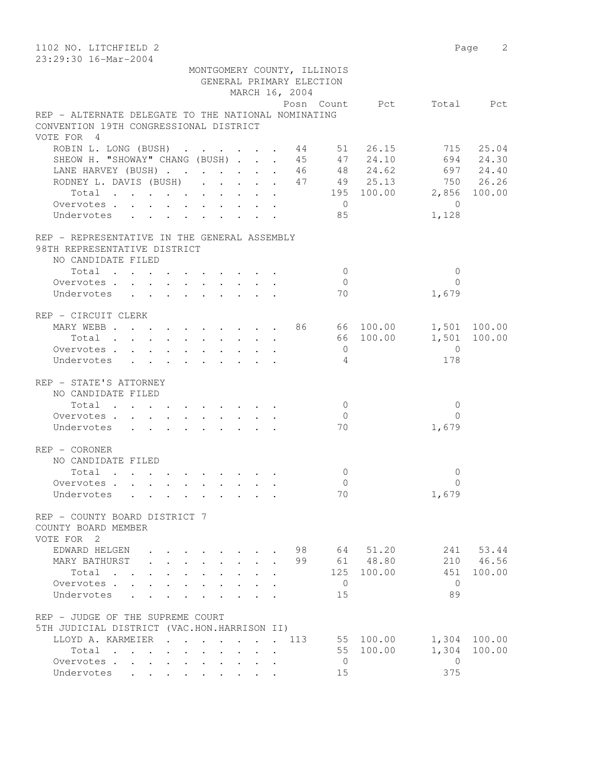| 1102 NO. LITCHFIELD 2                                                                                                                                                                                                                                   |                                                              |                                              |                          |                | Page 2       |
|---------------------------------------------------------------------------------------------------------------------------------------------------------------------------------------------------------------------------------------------------------|--------------------------------------------------------------|----------------------------------------------|--------------------------|----------------|--------------|
| 23:29:30 16-Mar-2004                                                                                                                                                                                                                                    |                                                              |                                              |                          |                |              |
|                                                                                                                                                                                                                                                         |                                                              | MONTGOMERY COUNTY, ILLINOIS                  |                          |                |              |
|                                                                                                                                                                                                                                                         |                                                              | GENERAL PRIMARY ELECTION                     |                          |                |              |
|                                                                                                                                                                                                                                                         |                                                              | MARCH 16, 2004                               |                          |                |              |
| REP - ALTERNATE DELEGATE TO THE NATIONAL NOMINATING                                                                                                                                                                                                     |                                                              |                                              | Posn Count Pct Total Pct |                |              |
| CONVENTION 19TH CONGRESSIONAL DISTRICT                                                                                                                                                                                                                  |                                                              |                                              |                          |                |              |
| VOTE FOR 4                                                                                                                                                                                                                                              |                                                              |                                              |                          |                |              |
| ROBIN L. LONG (BUSH) 44 51 26.15                                                                                                                                                                                                                        |                                                              |                                              |                          |                | 715 25.04    |
| SHEOW H. "SHOWAY" CHANG (BUSH) 45 47 24.10                                                                                                                                                                                                              |                                                              |                                              |                          |                | 694 24.30    |
| LANE HARVEY (BUSH) 46 48 24.62 697 24.40                                                                                                                                                                                                                |                                                              |                                              |                          |                |              |
| RODNEY L. DAVIS (BUSH) 47 49 25.13 750 26.26                                                                                                                                                                                                            |                                                              |                                              |                          |                |              |
| Total 195 100.00 2,856 100.00                                                                                                                                                                                                                           |                                                              |                                              |                          |                |              |
| Overvotes.                                                                                                                                                                                                                                              |                                                              |                                              | $\overline{0}$           | $\overline{0}$ |              |
| Undervotes                                                                                                                                                                                                                                              |                                                              |                                              | 85                       | 1,128          |              |
|                                                                                                                                                                                                                                                         |                                                              |                                              |                          |                |              |
| REP - REPRESENTATIVE IN THE GENERAL ASSEMBLY                                                                                                                                                                                                            |                                                              |                                              |                          |                |              |
| 98TH REPRESENTATIVE DISTRICT                                                                                                                                                                                                                            |                                                              |                                              |                          |                |              |
| NO CANDIDATE FILED                                                                                                                                                                                                                                      |                                                              |                                              |                          |                |              |
| Total                                                                                                                                                                                                                                                   |                                                              |                                              | $\bigcirc$               | $\mathbf{0}$   |              |
| Overvotes                                                                                                                                                                                                                                               |                                                              |                                              | $\bigcirc$               | $\Omega$       |              |
| Undervotes                                                                                                                                                                                                                                              |                                                              |                                              | 70                       | 1,679          |              |
| REP - CIRCUIT CLERK                                                                                                                                                                                                                                     |                                                              |                                              |                          |                |              |
| MARY WEBB 86 66 100.00 1,501 100.00                                                                                                                                                                                                                     |                                                              |                                              |                          |                |              |
| Total                                                                                                                                                                                                                                                   |                                                              |                                              | 66 100.00                |                | 1,501 100.00 |
| Overvotes.                                                                                                                                                                                                                                              |                                                              |                                              | $\overline{0}$           | $\overline{0}$ |              |
| Undervotes                                                                                                                                                                                                                                              |                                                              |                                              | $\overline{4}$           | 178            |              |
|                                                                                                                                                                                                                                                         |                                                              |                                              |                          |                |              |
| REP - STATE'S ATTORNEY                                                                                                                                                                                                                                  |                                                              |                                              |                          |                |              |
| NO CANDIDATE FILED                                                                                                                                                                                                                                      |                                                              |                                              |                          |                |              |
| $\begin{tabular}{ccccccccccc} Total & . & . & . & . & . & . & . & . & . & . \end{tabular}$                                                                                                                                                              |                                                              |                                              | $\overline{0}$           | $\mathbf{0}$   |              |
| Overvotes.                                                                                                                                                                                                                                              |                                                              |                                              | $\overline{0}$           | $\Omega$       |              |
| Undervotes                                                                                                                                                                                                                                              |                                                              |                                              | 70                       | 1,679          |              |
|                                                                                                                                                                                                                                                         |                                                              |                                              |                          |                |              |
| REP - CORONER                                                                                                                                                                                                                                           |                                                              |                                              |                          |                |              |
| NO CANDIDATE FILED<br>Total                                                                                                                                                                                                                             |                                                              |                                              | $\mathbf{0}$             | 0              |              |
| Overvotes.                                                                                                                                                                                                                                              |                                                              |                                              | $\Omega$                 | 0              |              |
| Undervotes<br>$\mathcal{L}^{\mathcal{A}}$ . The contribution of the contribution of the contribution of the contribution of the contribution of the contribution of the contribution of the contribution of the contribution of the contribution of the |                                                              |                                              | 70                       | 1,679          |              |
|                                                                                                                                                                                                                                                         |                                                              |                                              |                          |                |              |
| REP - COUNTY BOARD DISTRICT 7                                                                                                                                                                                                                           |                                                              |                                              |                          |                |              |
| COUNTY BOARD MEMBER                                                                                                                                                                                                                                     |                                                              |                                              |                          |                |              |
| VOTE FOR 2                                                                                                                                                                                                                                              |                                                              |                                              |                          |                |              |
| EDWARD HELGEN                                                                                                                                                                                                                                           | $\cdot$ $\cdot$ $\cdot$ $\cdot$ $\cdot$                      | 98                                           | 64<br>51.20              | 241            | 53.44        |
| MARY BATHURST                                                                                                                                                                                                                                           | .                                                            | 99                                           | 61 48.80                 |                | 210 46.56    |
| Total                                                                                                                                                                                                                                                   |                                                              |                                              | 125<br>100.00            | 451            | 100.00       |
| Overvotes.                                                                                                                                                                                                                                              | $\ddot{\phantom{0}}$<br>$\mathbf{L}$ and $\mathbf{L}$        | $\sim$<br>$\ddot{\phantom{a}}$               | 0                        | $\Omega$       |              |
| Undervotes .<br>$\mathbf{L}$<br>$\sim$                                                                                                                                                                                                                  | $\ddot{\phantom{0}}$<br>$\ddot{\phantom{a}}$<br>$\mathbf{L}$ | $\ddot{\phantom{0}}$<br>$\ddot{\phantom{a}}$ | 15                       | 89             |              |
| REP - JUDGE OF THE SUPREME COURT                                                                                                                                                                                                                        |                                                              |                                              |                          |                |              |
| 5TH JUDICIAL DISTRICT (VAC.HON.HARRISON II)                                                                                                                                                                                                             |                                                              |                                              |                          |                |              |
| LLOYD A. KARMEIER<br>$\mathbf{r}$ . The set of $\mathbf{r}$                                                                                                                                                                                             | $\ddot{\phantom{0}}$                                         | 113                                          | 55 100.00                | 1,304          | 100.00       |
| Total                                                                                                                                                                                                                                                   | $\mathbf{r}$ , and $\mathbf{r}$<br>$\sim$ 100 $\pm$          |                                              | 55<br>100.00             | 1,304          | 100.00       |
| Overvotes.                                                                                                                                                                                                                                              |                                                              | $\ddot{\phantom{a}}$                         | $\mathbf{0}$             | 0              |              |
| Undervotes                                                                                                                                                                                                                                              |                                                              |                                              | 15                       | 375            |              |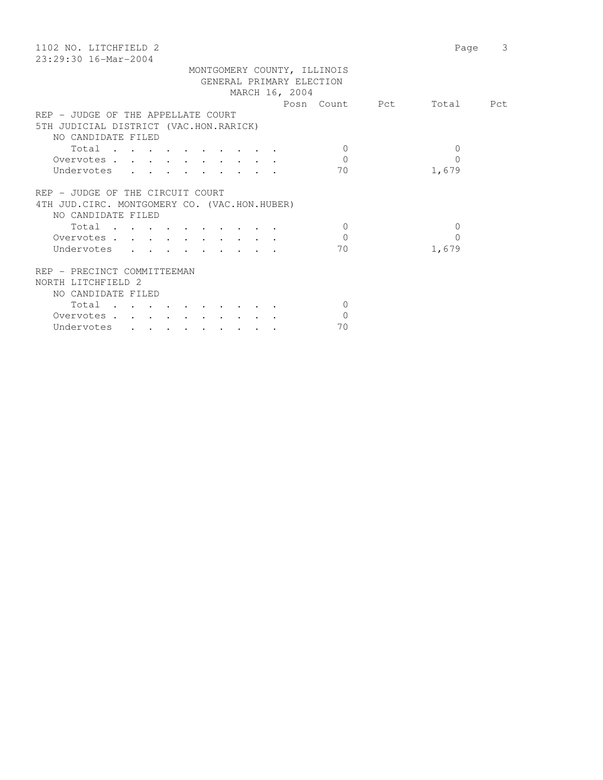| 1102 NO. LITCHFIELD 2                         | Page      | 3 |
|-----------------------------------------------|-----------|---|
| $23:29:30$ 16-Mar-2004                        |           |   |
| MONTGOMERY COUNTY, ILLINOIS                   |           |   |
| GENERAL PRIMARY ELECTION                      |           |   |
| MARCH 16, 2004                                |           |   |
| Posn Count Pct                                | Total Pct |   |
| REP - JUDGE OF THE APPELLATE COURT            |           |   |
| 5TH JUDICIAL DISTRICT (VAC.HON.RARICK)        |           |   |
| NO CANDIDATE FILED                            |           |   |
| Total<br>$\Omega$                             | 0         |   |
| $\Omega$<br>Overvotes                         | $\Omega$  |   |
| 70<br>Undervotes                              | 1,679     |   |
|                                               |           |   |
| REP - JUDGE OF THE CIRCUIT COURT              |           |   |
| 4TH JUD. CIRC. MONTGOMERY CO. (VAC.HON.HUBER) |           |   |
| NO CANDIDATE FILED                            |           |   |
| Total<br>$\Omega$                             | $\Omega$  |   |
| $\Omega$<br>Overvotes.                        | $\Omega$  |   |
| 70<br>Undervotes                              | 1,679     |   |
|                                               |           |   |
| REP - PRECINCT COMMITTEEMAN                   |           |   |
| NORTH LITCHFIELD 2                            |           |   |
| NO CANDIDATE FILED                            |           |   |
| Total<br>$\Omega$                             |           |   |
| $\Omega$<br>Overvotes                         |           |   |
| 70<br>Undervotes                              |           |   |
|                                               |           |   |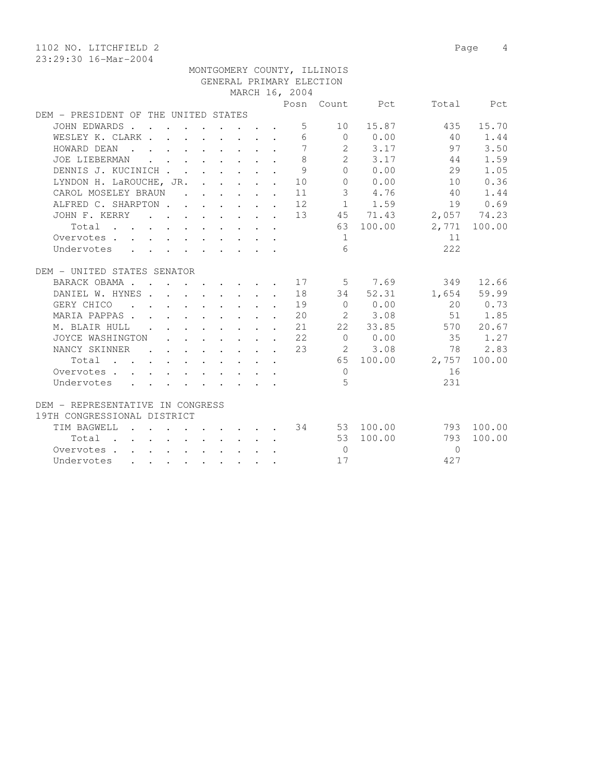1102 NO. LITCHFIELD 2 Page 4 23:29:30 16-Mar-2004 MONTGOMERY COUNTY, ILLINOIS GENERAL PRIMARY ELECTION MARCH 16, 2004 Posn Count Pct Total Pct DEM - PRESIDENT OF THE UNITED STATES JOHN EDWARDS . . . . . . . . . 5 10 15.87 435 15.70 WESLEY K. CLARK . . . . . . . . 6 0 0.00 40 1.44 HOWARD DEAN . . . . . . . . 7 2 3.17 97 3.50 JOE LIEBERMAN . . . . . . . . 8 2 3.17 44 1.59 DENNIS J. KUCINICH . . . . . . . 9 0 0.00 29 1.05 LYNDON H. LaROUCHE, JR. . . . . . 10 0 0.00 10 0.36 CAROL MOSELEY BRAUN . . . . . 11 3 4.76 40 1.44 ALFRED C. SHARPTON . . . . . . 12 1 1.59 19 0.69

|                                  | JOHN F. KERRY    |                  |        |        | $\sim$               |        |                                                                                                                 |                                                                       | $\sim$ |                 | 13 | 45             | 71.43  | 2,057    | 74.23  |
|----------------------------------|------------------|------------------|--------|--------|----------------------|--------|-----------------------------------------------------------------------------------------------------------------|-----------------------------------------------------------------------|--------|-----------------|----|----------------|--------|----------|--------|
| Total                            |                  |                  |        |        |                      |        |                                                                                                                 |                                                                       |        |                 |    | 63             | 100.00 | 2,771    | 100.00 |
| Overvotes .                      |                  |                  |        |        |                      |        |                                                                                                                 |                                                                       |        |                 |    | 1              |        | 11       |        |
| Undervotes                       |                  | $\sim$ $\sim$    |        |        |                      |        |                                                                                                                 | and the state of the state of the state                               |        |                 |    | 6              |        | 222      |        |
| DEM - UNITED STATES SENATOR      |                  |                  |        |        |                      |        |                                                                                                                 |                                                                       |        |                 |    |                |        |          |        |
|                                  | BARACK OBAMA .   |                  |        |        |                      |        |                                                                                                                 |                                                                       |        |                 | 17 | 5 <sup>5</sup> | 7.69   | 349      | 12.66  |
|                                  | DANIEL W. HYNES  |                  | $\sim$ |        |                      |        |                                                                                                                 | $\mathbf{r}$ , and $\mathbf{r}$ , and $\mathbf{r}$ , and $\mathbf{r}$ |        | $\sim$ $\sim$   | 18 | 34             | 52.31  | 1,654    | 59.99  |
| GERY CHICO                       |                  |                  |        |        | $\sim$               |        | $\sim$ $\sim$ $\sim$                                                                                            |                                                                       |        |                 | 19 | $\Omega$       | 0.00   | 20       | 0.73   |
|                                  | MARIA PAPPAS.    |                  |        |        |                      |        | the contract of the contract of the contract of the contract of the contract of the contract of the contract of |                                                                       |        |                 | 20 | 2              | 3.08   | 51       | 1.85   |
|                                  | M. BLAIR HULL    |                  | $\sim$ |        |                      |        |                                                                                                                 |                                                                       |        | $\sim$          | 21 | 22             | 33.85  | 570      | 20.67  |
|                                  | JOYCE WASHINGTON |                  |        | $\sim$ |                      |        |                                                                                                                 |                                                                       |        | $\sim$          | 22 | $\Omega$       | 0.00   | 35       | 1.27   |
|                                  | NANCY SKINNER    |                  |        |        |                      |        |                                                                                                                 |                                                                       |        |                 | 23 | 2              | 3.08   | 78       | 2.83   |
| Total                            | <b>Contract</b>  | $\sim$ 100 $\pm$ |        |        |                      |        |                                                                                                                 |                                                                       |        |                 |    | 65             | 100.00 | 2,757    | 100.00 |
|                                  | Overvotes        |                  |        |        | $\ddot{\phantom{a}}$ |        |                                                                                                                 |                                                                       |        |                 |    | $\Omega$       |        | 16       |        |
| Undervotes                       |                  |                  |        |        |                      |        |                                                                                                                 |                                                                       |        |                 |    | 5              |        | 231      |        |
| DEM - REPRESENTATIVE IN CONGRESS |                  |                  |        |        |                      |        |                                                                                                                 |                                                                       |        |                 |    |                |        |          |        |
| 19TH CONGRESSIONAL DISTRICT      |                  |                  |        |        |                      |        |                                                                                                                 |                                                                       |        |                 |    |                |        |          |        |
| TIM BAGWELL                      |                  |                  |        | $\sim$ |                      |        |                                                                                                                 |                                                                       |        |                 | 34 | 53             | 100.00 | 793      | 100.00 |
| Total                            | $\sim$           |                  | $\sim$ | $\sim$ | $\ddot{\phantom{a}}$ | $\sim$ |                                                                                                                 |                                                                       |        | $\cdot$ $\cdot$ |    | 53             | 100.00 | 793      | 100.00 |
| Overvotes .                      |                  |                  |        |        |                      |        |                                                                                                                 |                                                                       |        |                 |    | $\circ$        |        | $\Omega$ |        |
| Undervotes                       |                  |                  |        |        |                      |        |                                                                                                                 |                                                                       |        |                 |    | 17             |        | 427      |        |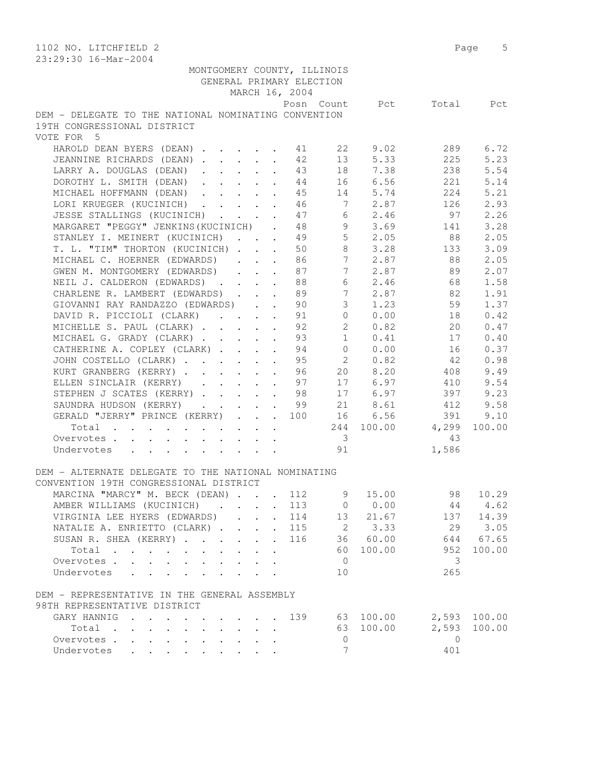| 1102 NO. LITCHFIELD 2<br>23:29:30 16-Mar-2004                                                    |                         |                  |         | Page 5       |
|--------------------------------------------------------------------------------------------------|-------------------------|------------------|---------|--------------|
| MONTGOMERY COUNTY, ILLINOIS                                                                      |                         |                  |         |              |
| GENERAL PRIMARY ELECTION                                                                         |                         |                  |         |              |
| MARCH 16, 2004                                                                                   |                         |                  |         |              |
|                                                                                                  | Posn Count              | Pct              | Total   | Pct          |
| DEM - DELEGATE TO THE NATIONAL NOMINATING CONVENTION                                             |                         |                  |         |              |
| 19TH CONGRESSIONAL DISTRICT                                                                      |                         |                  |         |              |
| VOTE FOR 5                                                                                       |                         |                  |         |              |
|                                                                                                  |                         |                  |         |              |
| HAROLD DEAN BYERS (DEAN)                                                                         | 22<br>41                | 9.02             | 289     | 6.72         |
| JEANNINE RICHARDS (DEAN)                                                                         | 42<br>13                | 5.33             | 225     | 5.23         |
| LARRY A. DOUGLAS (DEAN)<br>$\ddot{\phantom{a}}$                                                  | 18<br>43                | 7.38             | 238     | 5.54         |
| DOROTHY L. SMITH (DEAN)<br>$\ddot{\phantom{a}}$                                                  | 44                      | 16 6.56          | 221     | 5.14         |
| MICHAEL HOFFMANN (DEAN)                                                                          | 45                      | 14 5.74          | 224     | 5.21         |
| LORI KRUEGER (KUCINICH)                                                                          | 46                      | 7 2.87           | 126     | 2.93         |
| JESSE STALLINGS (KUCINICH)                                                                       | 47                      | $6 \t 2.46$      | 97      | 2.26         |
| MARGARET "PEGGY" JENKINS (KUCINICH) . 48                                                         |                         | $9 \t3.69$       |         | 3.28         |
|                                                                                                  |                         |                  | 141     |              |
| STANLEY I. MEINERT (KUCINICH) 49                                                                 |                         | $5 \t 2.05$      | 88      | 2.05         |
| T. L. "TIM" THORTON (KUCINICH)                                                                   | 8<br>50                 | 3.28             | 133     | 3.09         |
| MICHAEL C. HOERNER (EDWARDS)<br>$\mathbf{r} = \mathbf{r} + \mathbf{r}$                           | 7 <sup>7</sup><br>86    | 2.87             | 88      | 2.05         |
| GWEN M. MONTGOMERY (EDWARDS)<br>$\mathbf{1}$ $\mathbf{1}$ $\mathbf{1}$ $\mathbf{1}$ $\mathbf{1}$ | 7<br>87                 | 2.87             | 89      | 2.07         |
| NEIL J. CALDERON (EDWARDS)                                                                       | 6<br>88                 | 2.46             | 68      | 1.58         |
| CHARLENE R. LAMBERT (EDWARDS)                                                                    | 7<br>89                 | 2.87             | 82      | 1.91         |
| GIOVANNI RAY RANDAZZO (EDWARDS)                                                                  | 90                      | $3 \t1.23$       | 59      | 1.37         |
| DAVID R. PICCIOLI (CLARK)                                                                        | 91                      | 0 0.00           | 18      | 0.42         |
| MICHELLE S. PAUL (CLARK)                                                                         | $\overline{2}$<br>92    | 0.82             | 20      | 0.47         |
|                                                                                                  |                         |                  |         |              |
| MICHAEL G. GRADY (CLARK)                                                                         | 1<br>93                 | 0.41             | 17      | 0.40         |
| CATHERINE A. COPLEY (CLARK)                                                                      | 94<br>$\overline{0}$    | 0.00             | 16      | 0.37         |
| JOHN COSTELLO (CLARK)                                                                            | $2^{\circ}$<br>95       | 0.82             | 42      | 0.98         |
| KURT GRANBERG (KERRY)<br>$\ddot{\phantom{a}}$                                                    | 96<br>20                | 8.20             | 408     | 9.49         |
| ELLEN SINCLAIR (KERRY)<br>$\ddot{\phantom{a}}$                                                   | 97                      | 17 6.97          | 410     | 9.54         |
| STEPHEN J SCATES (KERRY)                                                                         | 98                      | 17 6.97          | 397     | 9.23         |
| SAUNDRA HUDSON (KERRY)                                                                           | 99                      | 21 8.61          | 412     | 9.58         |
| GERALD "JERRY" PRINCE (KERRY)                                                                    | 100                     | 16 6.56          | 391     | 9.10         |
|                                                                                                  |                         | 244 100.00 4,299 |         | 100.00       |
| Total $\blacksquare$                                                                             |                         |                  |         |              |
| Overvotes.                                                                                       | $\overline{\mathbf{3}}$ |                  | 43      |              |
| Undervotes                                                                                       | 91                      |                  | 1,586   |              |
|                                                                                                  |                         |                  |         |              |
| DEM - ALTERNATE DELEGATE TO THE NATIONAL NOMINATING                                              |                         |                  |         |              |
| CONVENTION 19TH CONGRESSIONAL DISTRICT                                                           |                         |                  |         |              |
| MARCINA "MARCY" M. BECK (DEAN)                                                                   | 112<br>9                | 15.00            | 98      | 10.29        |
| AMBER WILLIAMS (KUCINICH)                                                                        | 113                     | 0 0.00           | 44      | 4.62         |
| VIRGINIA LEE HYERS (EDWARDS)                                                                     | 114                     | 13 21.67         | 137     | 14.39        |
| NATALIE A. ENRIETTO (CLARK)<br>$\sim$                                                            | 115                     | 2 3.33           | 29      | 3.05         |
|                                                                                                  |                         |                  |         |              |
| SUSAN R. SHEA (KERRY)<br>$\ddot{\phantom{a}}$                                                    | 116                     | 36 60.00         | 644     | 67.65        |
| Total                                                                                            | 60                      | 100.00           | 952     | 100.00       |
| Overvotes                                                                                        | $\overline{0}$          |                  | 3       |              |
| Undervotes<br>$\mathbf{L} = \mathbf{L}$                                                          | 10                      |                  | 265     |              |
|                                                                                                  |                         |                  |         |              |
| DEM - REPRESENTATIVE IN THE GENERAL ASSEMBLY<br>98TH REPRESENTATIVE DISTRICT                     |                         |                  |         |              |
|                                                                                                  |                         |                  |         |              |
| GARY HANNIG                                                                                      | 139                     | 63 100.00        |         | 2,593 100.00 |
| Total                                                                                            | 63                      | 100.00           | 2,593   | 100.00       |
| Overvotes                                                                                        | 0                       |                  | $\circ$ |              |
| Undervotes                                                                                       | 7                       |                  | 401     |              |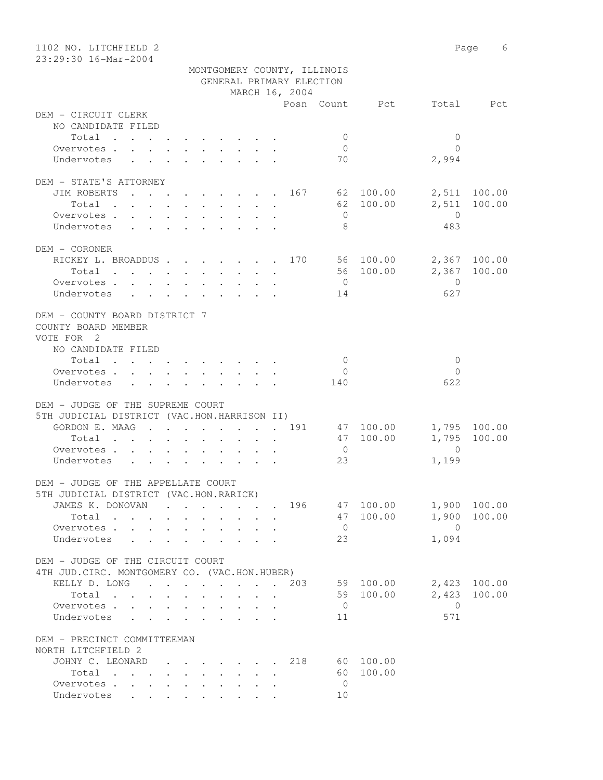| 1102 NO. LITCHFIELD 2<br>23:29:30 16-Mar-2004   |                                                                                                                   | Page 6                            |
|-------------------------------------------------|-------------------------------------------------------------------------------------------------------------------|-----------------------------------|
|                                                 | MONTGOMERY COUNTY, ILLINOIS                                                                                       |                                   |
|                                                 | GENERAL PRIMARY ELECTION                                                                                          |                                   |
|                                                 | MARCH 16, 2004                                                                                                    |                                   |
|                                                 | Posn Count Pct                                                                                                    | Total Pct                         |
| DEM - CIRCUIT CLERK                             |                                                                                                                   |                                   |
| NO CANDIDATE FILED                              |                                                                                                                   |                                   |
| Total                                           | $\mathbf{0}$                                                                                                      | $\mathbf{0}$                      |
| Overvotes.                                      | $\overline{0}$                                                                                                    | $\bigcap$                         |
| Undervotes                                      | 70                                                                                                                | 2,994                             |
|                                                 |                                                                                                                   |                                   |
| DEM - STATE'S ATTORNEY                          |                                                                                                                   |                                   |
|                                                 | JIM ROBERTS 167 62 100.00                                                                                         | 2,511 100.00                      |
| Total                                           | 62 100.00                                                                                                         | 2,511<br>100.00<br>$\overline{0}$ |
| Overvotes<br>Undervotes                         | $\overline{0}$<br>8                                                                                               | 483                               |
|                                                 |                                                                                                                   |                                   |
| DEM - CORONER                                   |                                                                                                                   |                                   |
|                                                 | RICKEY L. BROADDUS 170 56 100.00                                                                                  | 2,367 100.00                      |
|                                                 | Total 56 100.00                                                                                                   | 2,367 100.00                      |
|                                                 | $\overline{0}$<br>Overvotes                                                                                       | $\overline{0}$                    |
|                                                 | Undervotes<br>14                                                                                                  | 627                               |
|                                                 |                                                                                                                   |                                   |
| DEM - COUNTY BOARD DISTRICT 7                   |                                                                                                                   |                                   |
| COUNTY BOARD MEMBER                             |                                                                                                                   |                                   |
| VOTE FOR 2                                      |                                                                                                                   |                                   |
| NO CANDIDATE FILED                              |                                                                                                                   |                                   |
| Total                                           | $\overline{0}$                                                                                                    | $\mathbf{0}$                      |
| Overvotes $\cdots$ $\cdots$ $\cdots$ $\cdots$   | $\overline{0}$                                                                                                    | $\Omega$                          |
| Undervotes                                      | 140                                                                                                               | 622                               |
|                                                 |                                                                                                                   |                                   |
| DEM - JUDGE OF THE SUPREME COURT                |                                                                                                                   |                                   |
| 5TH JUDICIAL DISTRICT (VAC.HON.HARRISON II)     | 47 100.00                                                                                                         |                                   |
| Total                                           | GORDON E. MAAG 191                                                                                                | 1,795 100.00<br>1,795 100.00      |
|                                                 | 47 100.00<br>$\cdot$ $\cdot$ $\cdot$ $\cdot$ $\cdot$<br>$\mathbf{r}$ , $\mathbf{r}$ , $\mathbf{r}$ , $\mathbf{r}$ | $\Omega$                          |
| Overvotes.                                      | $\overline{0}$                                                                                                    |                                   |
| Undervotes                                      | 23                                                                                                                | 1,199                             |
| DEM - JUDGE OF THE APPELLATE COURT              |                                                                                                                   |                                   |
| 5TH JUDICIAL DISTRICT (VAC.HON.RARICK)          |                                                                                                                   |                                   |
|                                                 | JAMES K. DONOVAN 196<br>47 100.00                                                                                 | 1,900 100.00                      |
| Total                                           | 47 100.00                                                                                                         | 1,900<br>100.00                   |
| Overvotes                                       | $\overline{0}$                                                                                                    | $\overline{0}$                    |
| Undervotes<br>$\sim$                            | 23                                                                                                                | 1,094                             |
|                                                 |                                                                                                                   |                                   |
| DEM - JUDGE OF THE CIRCUIT COURT                |                                                                                                                   |                                   |
| 4TH JUD. CIRC. MONTGOMERY CO. (VAC.HON.HUBER)   |                                                                                                                   |                                   |
| KELLY D. LONG                                   | 59 100.00<br>203                                                                                                  | 2,423 100.00                      |
| Total                                           | 59 100.00<br>$\mathbf{L} = \mathbf{L}$                                                                            | 2,423<br>100.00                   |
| Overvotes                                       | $\overline{0}$<br>$\sim$                                                                                          | $\overline{0}$                    |
| Undervotes<br>$\cdot$ $\cdot$ $\cdot$<br>$\sim$ | 11<br>$\sim$                                                                                                      | 571                               |
|                                                 |                                                                                                                   |                                   |
| DEM - PRECINCT COMMITTEEMAN                     |                                                                                                                   |                                   |
| NORTH LITCHFIELD 2                              |                                                                                                                   |                                   |
| JOHNY C. LEONARD                                | 60 100.00<br>218                                                                                                  |                                   |
| Total                                           | 60 100.00                                                                                                         |                                   |
| Overvotes                                       | $\overline{0}$                                                                                                    |                                   |
| Undervotes                                      | 10                                                                                                                |                                   |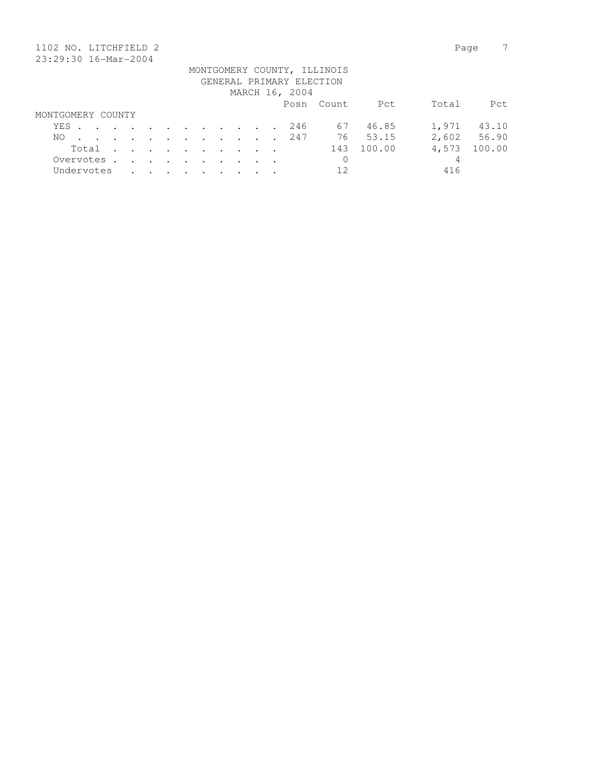| 1102 NO. LITCHFIELD 2 |  |         |         |                                                                                          |               |                      |         |               |  |                          |                             |        | Page  |        |
|-----------------------|--|---------|---------|------------------------------------------------------------------------------------------|---------------|----------------------|---------|---------------|--|--------------------------|-----------------------------|--------|-------|--------|
| 23:29:30 16-Mar-2004  |  |         |         |                                                                                          |               |                      |         |               |  |                          |                             |        |       |        |
|                       |  |         |         |                                                                                          |               |                      |         |               |  |                          | MONTGOMERY COUNTY, ILLINOIS |        |       |        |
|                       |  |         |         |                                                                                          |               |                      |         |               |  | GENERAL PRIMARY ELECTION |                             |        |       |        |
|                       |  |         |         |                                                                                          |               |                      |         |               |  | MARCH 16, 2004           |                             |        |       |        |
|                       |  |         |         |                                                                                          |               |                      |         |               |  |                          | Posn Count                  | Pct    | Total | Pct    |
| MONTGOMERY COUNTY     |  |         |         |                                                                                          |               |                      |         |               |  |                          |                             |        |       |        |
| YES                   |  |         |         | $\mathbf{r}$ , and $\mathbf{r}$ , and $\mathbf{r}$ , and $\mathbf{r}$ , and $\mathbf{r}$ |               |                      |         |               |  | 246                      | 67                          | 46.85  | 1,971 | 43.10  |
| NO.                   |  | $\sim$  | $\cdot$ | $\sim$ $\sim$                                                                            | $\sim$ $\sim$ | $\sim$ $\sim$ $\sim$ |         | $\sim$ $\sim$ |  | 247                      | 76                          | 53.15  | 2,602 | 56.90  |
| Total                 |  | $\cdot$ | $\sim$  | $\sim$ $\sim$                                                                            | $\sim$        | $\cdot$              | $\cdot$ |               |  |                          | 143                         | 100.00 | 4,573 | 100.00 |
| Overvotes.            |  | $\sim$  | $\sim$  | $\sim$ $\sim$                                                                            | $\sim$ $\sim$ | $\sim$               | $\sim$  |               |  |                          | 0                           |        | 4     |        |
| Undervotes            |  |         |         |                                                                                          |               |                      |         |               |  |                          | 12                          |        | 416   |        |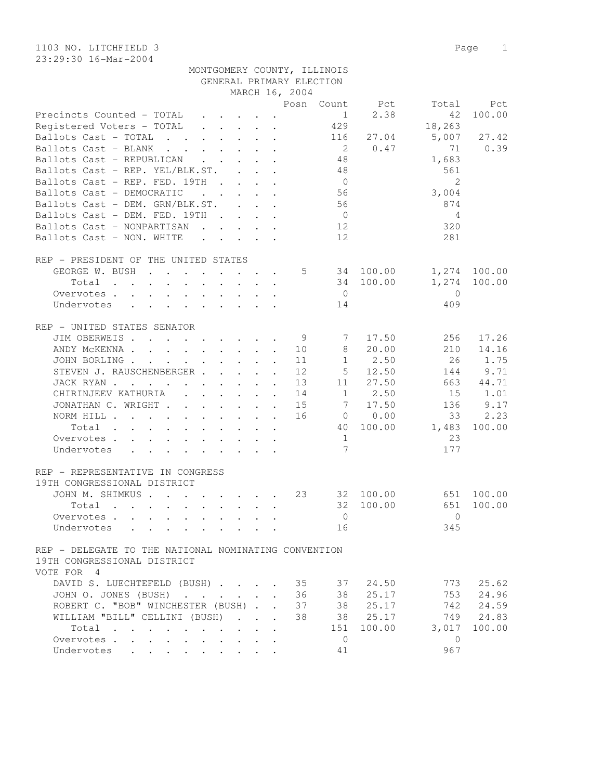1103 NO. LITCHFIELD 3 Page 1 23:29:30 16-Mar-2004

|                                                                                                                          |                                 |                           |                             | MARCH 16, 2004 |                 |                                |                |              |
|--------------------------------------------------------------------------------------------------------------------------|---------------------------------|---------------------------|-----------------------------|----------------|-----------------|--------------------------------|----------------|--------------|
|                                                                                                                          |                                 |                           |                             |                |                 | Posn Count Pct                 | Total          | Pct          |
| Precincts Counted - TOTAL                                                                                                |                                 |                           |                             |                |                 | 2.38<br>$1 \quad \blacksquare$ | 42             | 100.00       |
| Registered Voters - TOTAL                                                                                                |                                 |                           |                             |                | 429             |                                | 18,263         |              |
| Ballots Cast - TOTAL                                                                                                     |                                 |                           |                             |                | 116             | 27.04                          | 5,007          | 27.42        |
| Ballots Cast - BLANK                                                                                                     |                                 |                           |                             |                | $\overline{2}$  | 0.47                           | 71             | 0.39         |
| Ballots Cast - REPUBLICAN                                                                                                |                                 |                           |                             |                | 48              |                                | 1,683          |              |
|                                                                                                                          |                                 |                           |                             |                |                 |                                |                |              |
| Ballots Cast - REP. YEL/BLK.ST.                                                                                          |                                 |                           |                             |                | 48              |                                | 561            |              |
| Ballots Cast - REP. FED. 19TH                                                                                            |                                 |                           |                             |                | $\overline{0}$  |                                | $\overline{2}$ |              |
| Ballots Cast - DEMOCRATIC<br>$\mathbf{r}$ . The set of $\mathbf{r}$                                                      |                                 |                           | $\mathbf{r}$ , $\mathbf{r}$ |                | 56              |                                | 3,004          |              |
| Ballots Cast - DEM. GRN/BLK.ST.                                                                                          |                                 |                           |                             |                | 56              |                                | 874            |              |
| Ballots Cast - DEM. FED. 19TH                                                                                            |                                 |                           |                             |                | $\overline{0}$  |                                | 4              |              |
| Ballots Cast - NONPARTISAN                                                                                               |                                 |                           |                             |                | 12              |                                | 320            |              |
| Ballots Cast - NON. WHITE                                                                                                |                                 |                           |                             |                | 12              |                                | 281            |              |
|                                                                                                                          |                                 |                           |                             |                |                 |                                |                |              |
| REP - PRESIDENT OF THE UNITED STATES                                                                                     |                                 |                           |                             |                |                 |                                |                |              |
| GEORGE W. BUSH                                                                                                           |                                 |                           |                             |                | $5 - 5$         | 34 100.00                      |                | 1,274 100.00 |
|                                                                                                                          |                                 |                           |                             |                |                 |                                |                |              |
| Total                                                                                                                    | $\cdot$ $\cdot$ $\cdot$ $\cdot$ |                           |                             |                |                 | 34 100.00                      | 1,274          | 100.00       |
| Overvotes                                                                                                                |                                 |                           |                             |                | $\overline{0}$  |                                | $\bigcirc$     |              |
| $\mathbf{r}$ , and $\mathbf{r}$ , and $\mathbf{r}$ , and $\mathbf{r}$<br>Undervotes                                      |                                 |                           |                             |                | 14              |                                | 409            |              |
|                                                                                                                          |                                 |                           |                             |                |                 |                                |                |              |
| REP - UNITED STATES SENATOR                                                                                              |                                 |                           |                             |                |                 |                                |                |              |
| JIM OBERWEIS                                                                                                             |                                 |                           |                             | 9              | 7               | 17.50                          | 256            | 17.26        |
| ANDY MCKENNA 10                                                                                                          |                                 |                           |                             |                | 8               | 20.00                          | 210            | 14.16        |
| JOHN BORLING                                                                                                             |                                 |                           |                             | 11             | 1               | 2.50                           | 26             | 1.75         |
| STEVEN J. RAUSCHENBERGER                                                                                                 |                                 |                           | $\ddot{\phantom{a}}$        | 12             | 5 <sub>5</sub>  | 12.50                          | 144            | 9.71         |
| JACK RYAN                                                                                                                |                                 |                           |                             | 13             | 11              | 27.50                          | 663            | 44.71        |
|                                                                                                                          |                                 |                           |                             |                |                 | $1 \t 2.50$                    |                |              |
| CHIRINJEEV KATHURIA (CHIRINJEEV KATHURIA)                                                                                |                                 |                           |                             | 14             |                 |                                | 15             | 1.01         |
| JONATHAN C. WRIGHT                                                                                                       |                                 |                           |                             | 15             |                 | 7 17.50                        | 136            | 9.17         |
| NORM HILL                                                                                                                |                                 |                           |                             | 16             |                 | $0 \t 0.00$                    | 33             | 2.23         |
| Total<br>the contract of the contract of the contract of the contract of the contract of the contract of the contract of |                                 |                           |                             |                | 40              | 100.00                         | 1,483          | 100.00       |
| Overvotes                                                                                                                |                                 |                           |                             |                | 1               |                                | 23             |              |
| Undervotes                                                                                                               |                                 |                           |                             |                | $7\phantom{.0}$ |                                | 177            |              |
|                                                                                                                          |                                 |                           |                             |                |                 |                                |                |              |
| REP - REPRESENTATIVE IN CONGRESS                                                                                         |                                 |                           |                             |                |                 |                                |                |              |
| 19TH CONGRESSIONAL DISTRICT                                                                                              |                                 |                           |                             |                |                 |                                |                |              |
| JOHN M. SHIMKUS                                                                                                          |                                 |                           |                             | 23             |                 | 32 100.00                      | 651            | 100.00       |
| Total $\cdots$                                                                                                           |                                 |                           |                             |                | 32              | 100.00                         | 651            | 100.00       |
|                                                                                                                          |                                 |                           |                             |                |                 |                                |                |              |
| Overvotes                                                                                                                |                                 |                           |                             |                | $\overline{0}$  |                                | $\Omega$       |              |
| Undervotes                                                                                                               |                                 |                           |                             |                | 16              |                                | 345            |              |
|                                                                                                                          |                                 |                           |                             |                |                 |                                |                |              |
| REP - DELEGATE TO THE NATIONAL NOMINATING CONVENTION                                                                     |                                 |                           |                             |                |                 |                                |                |              |
| 19TH CONGRESSIONAL DISTRICT                                                                                              |                                 |                           |                             |                |                 |                                |                |              |
| VOTE FOR 4                                                                                                               |                                 |                           |                             |                |                 |                                |                |              |
| DAVID S. LUECHTEFELD (BUSH)                                                                                              |                                 |                           |                             | 35             | 37              | 24.50                          | 773            | 25.62        |
| JOHN O. JONES (BUSH)<br>$\sim$ $\sim$ $\sim$ $\sim$                                                                      |                                 | $\mathbf{r} = \mathbf{r}$ | $\mathbf{r}$                | 36             | 38              | 25.17                          | 753            | 24.96        |
| ROBERT C. "BOB" WINCHESTER (BUSH)                                                                                        |                                 |                           |                             | 37             | 38              | 25.17                          | 742            | 24.59        |
| WILLIAM "BILL" CELLINI (BUSH)                                                                                            | $\sim$                          | $\sim$                    | $\cdot$                     | 38             | 38              | 25.17                          | 749            | 24.83        |
| Total                                                                                                                    |                                 |                           |                             |                | 151             | 100.00                         | 3,017          | 100.00       |
| $\cdots$ $\cdots$<br>$\bullet$                                                                                           |                                 |                           |                             |                |                 |                                |                |              |
| Overvotes<br>$\ddot{\phantom{0}}$<br>$\ddot{\phantom{0}}$<br>$\ddot{\phantom{a}}$                                        |                                 |                           |                             |                | $\Omega$        |                                | $\mathbf{0}$   |              |
| Undervotes<br>$\ddot{\phantom{0}}$                                                                                       |                                 |                           |                             |                | 41              |                                | 967            |              |

GENERAL PRIMARY ELECTION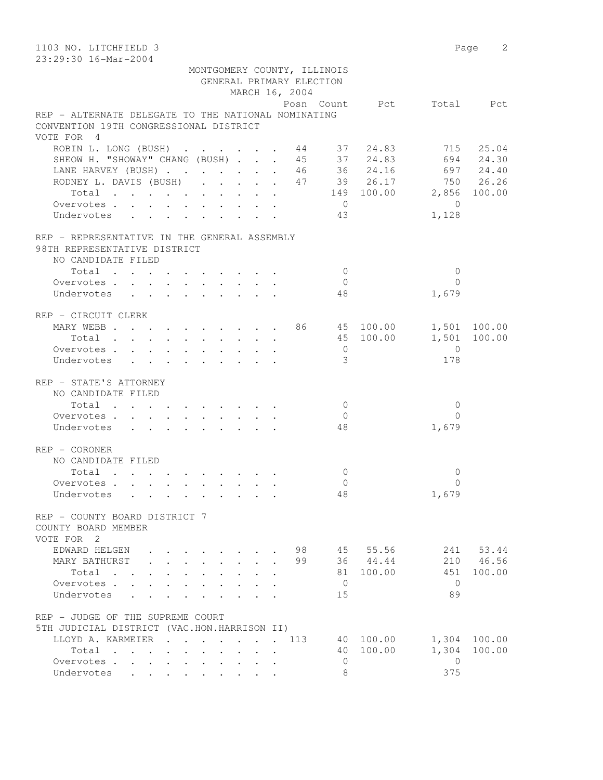| 1103 NO. LITCHFIELD 3                                                                         |                                  | Page 2         |
|-----------------------------------------------------------------------------------------------|----------------------------------|----------------|
| 23:29:30 16-Mar-2004                                                                          |                                  |                |
| MONTGOMERY COUNTY, ILLINOIS                                                                   |                                  |                |
| GENERAL PRIMARY ELECTION                                                                      |                                  |                |
| MARCH 16, 2004                                                                                |                                  |                |
|                                                                                               | Posn Count Pct                   | Total Pct      |
| REP - ALTERNATE DELEGATE TO THE NATIONAL NOMINATING<br>CONVENTION 19TH CONGRESSIONAL DISTRICT |                                  |                |
| VOTE FOR 4                                                                                    |                                  |                |
| ROBIN L. LONG (BUSH) 44 37 24.83                                                              |                                  | 715 25.04      |
| SHEOW H. "SHOWAY" CHANG (BUSH)                                                                | 45 37 24.83                      | 694 24.30      |
| LANE HARVEY (BUSH) 46 36 24.16 697 24.40                                                      |                                  |                |
| RODNEY L. DAVIS (BUSH) 47 39 26.17 750 26.26                                                  |                                  |                |
| Total 149 100.00 2,856 100.00                                                                 |                                  |                |
| Overvotes.                                                                                    | $\overline{0}$<br>$\overline{0}$ |                |
| Undervotes<br>43                                                                              | 1,128                            |                |
|                                                                                               |                                  |                |
| REP - REPRESENTATIVE IN THE GENERAL ASSEMBLY                                                  |                                  |                |
| 98TH REPRESENTATIVE DISTRICT                                                                  |                                  |                |
| NO CANDIDATE FILED                                                                            |                                  |                |
| Total                                                                                         | $\bigcirc$                       | $\mathbf{0}$   |
| Overvotes.                                                                                    | $\overline{0}$                   | $\Omega$       |
| Undervotes                                                                                    | 1,679<br>48                      |                |
|                                                                                               |                                  |                |
| REP - CIRCUIT CLERK                                                                           |                                  |                |
| MARY WEBB 86 45 100.00 1,501 100.00                                                           | 45 100.00                        | 1,501 100.00   |
| Total<br>Overvotes                                                                            | $\overline{0}$<br>$\overline{0}$ |                |
| Undervotes                                                                                    | 3<br>178                         |                |
|                                                                                               |                                  |                |
| REP - STATE'S ATTORNEY                                                                        |                                  |                |
| NO CANDIDATE FILED                                                                            |                                  |                |
| Total                                                                                         | $\overline{0}$                   | $\mathbf 0$    |
| Overvotes                                                                                     | $\overline{0}$                   | $\Omega$       |
| Undervotes                                                                                    | 48<br>1,679                      |                |
|                                                                                               |                                  |                |
| REP - CORONER                                                                                 |                                  |                |
| NO CANDIDATE FILED                                                                            |                                  |                |
| Total                                                                                         | $\mathbf{0}$                     | $\Omega$       |
| Overvotes, , , , , , ,                                                                        | $\Omega$<br>1,679                | $\Omega$       |
| Undervotes                                                                                    | 48                               |                |
| REP - COUNTY BOARD DISTRICT 7                                                                 |                                  |                |
| COUNTY BOARD MEMBER                                                                           |                                  |                |
| VOTE FOR 2                                                                                    |                                  |                |
| EDWARD HELGEN<br>98<br>$\cdot$ $\cdot$ $\cdot$ $\cdot$                                        | 45 55.56                         | 241 53.44      |
| MARY BATHURST<br>99<br>.                                                                      | 36 44.44<br>210                  | 46.56          |
| Total                                                                                         | 81<br>100.00<br>451              | 100.00         |
| Overvotes.                                                                                    | $\overline{0}$                   | $\mathbf{0}$   |
| Undervotes                                                                                    | 89<br>15                         |                |
|                                                                                               |                                  |                |
| REP - JUDGE OF THE SUPREME COURT                                                              |                                  |                |
| 5TH JUDICIAL DISTRICT (VAC.HON.HARRISON II)                                                   |                                  |                |
| LLOYD A. KARMEIER<br>113<br>$\mathbf{r}$ , $\mathbf{r}$ , $\mathbf{r}$ , $\mathbf{r}$         | 40 100.00                        | 1,304 100.00   |
| Total                                                                                         | 100.00<br>1,304<br>40            | 100.00         |
| Overvotes.<br>Undervotes                                                                      | $\mathbf{0}$<br>375<br>8         | $\overline{0}$ |
|                                                                                               |                                  |                |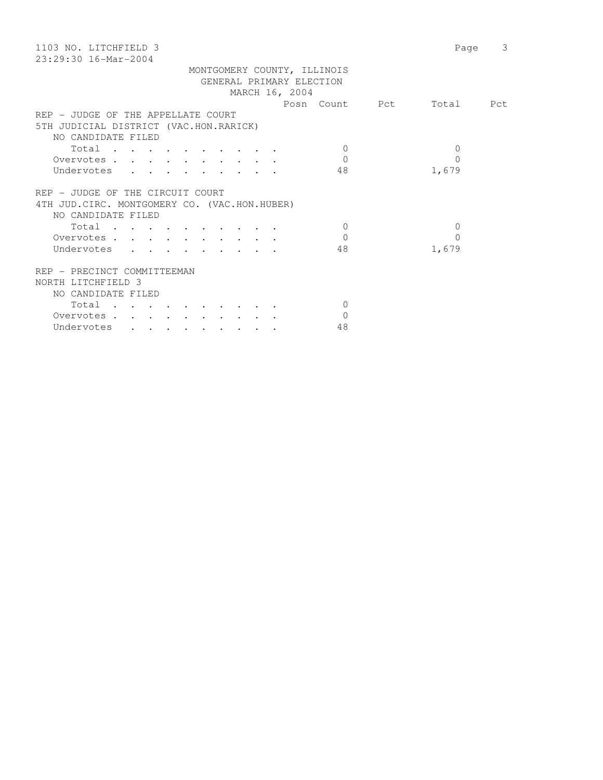| 1103 NO. LITCHFIELD 3                         | 3<br>Page |
|-----------------------------------------------|-----------|
| $23:29:30$ 16-Mar-2004                        |           |
| MONTGOMERY COUNTY, ILLINOIS                   |           |
| GENERAL PRIMARY ELECTION                      |           |
| MARCH 16, 2004                                |           |
| Posn Count Pct                                | Total Pct |
| REP - JUDGE OF THE APPELLATE COURT            |           |
| 5TH JUDICIAL DISTRICT (VAC.HON.RARICK)        |           |
| NO CANDIDATE FILED                            |           |
| Total<br>$\Omega$                             | $\Omega$  |
| $\Omega$<br>Overvotes                         | $\Omega$  |
| 48<br>Undervotes<br>1,679                     |           |
|                                               |           |
| REP - JUDGE OF THE CIRCUIT COURT              |           |
| 4TH JUD. CIRC. MONTGOMERY CO. (VAC.HON.HUBER) |           |
| NO CANDIDATE FILED                            |           |
| Total<br>$\Omega$                             | $\Omega$  |
| $\Omega$<br>Overvotes                         | $\Omega$  |
| Undervotes<br>48<br>1,679                     |           |
|                                               |           |
| REP - PRECINCT COMMITTEEMAN                   |           |
| NORTH LITCHFIELD 3                            |           |
| NO CANDIDATE FILED                            |           |
|                                               |           |
| Total<br>$\Omega$                             |           |
| Overvotes<br>$\mathbf 0$                      |           |
| Undervotes<br>48                              |           |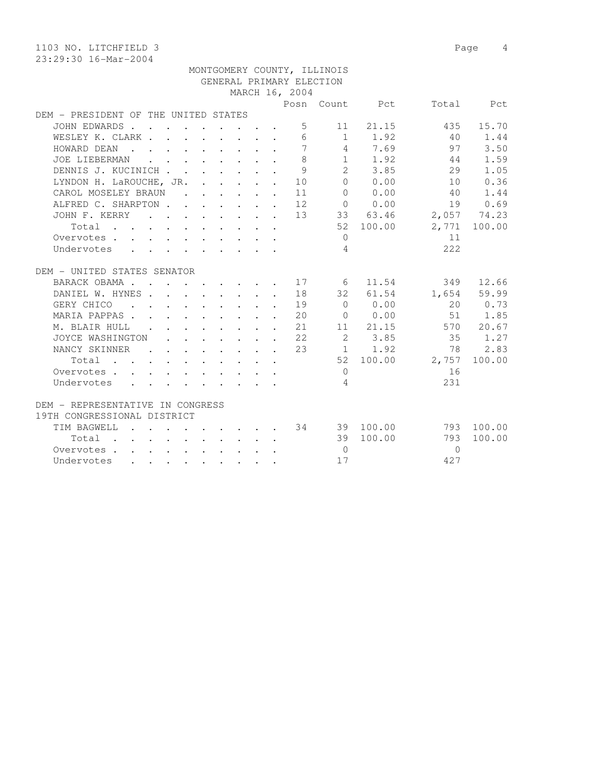1103 NO. LITCHFIELD 3 Page 4 23:29:30 16-Mar-2004

 MONTGOMERY COUNTY, ILLINOIS GENERAL PRIMARY ELECTION MARCH 16, 2004 Posn Count Pct Total Pct DEM - PRESIDENT OF THE UNITED STATES JOHN EDWARDS . . . . . . . . . 5 11 21.15 435 15.70 WESLEY K. CLARK . . . . . . . . 6 1 1.92 40 1.44 HOWARD DEAN . . . . . . . . . 7 4 7.69 97 3.50 JOE LIEBERMAN . . . . . . . . 8 1 1.92 44 1.59 DENNIS J. KUCINICH . . . . . . . 9 2 3.85 29 1.05 LYNDON H. LaROUCHE, JR. . . . . . 10 0 0.00 10 0.36 CAROL MOSELEY BRAUN . . . . . . 11 0 0.00 40 1.44 ALFRED C. SHARPTON . . . . . . 12 0 0.00 19 0.69 JOHN F. KERRY . . . . . . . . 13 33 63.46 2,057 74.23 Total . . . . . . . . . . 52 100.00 2,771 100.00 Overvotes . . . . . . . . . . . 0 11 Undervotes . . . . . . . . . 4 222 DEM - UNITED STATES SENATOR BARACK OBAMA . . . . . . . . 17 6 11.54 349 12.66 DANIEL W. HYNES . . . . . . . . 18 32 61.54 1,654 59.99 GERY CHICO . . . . . . . . . 19 0 0.00 20 0.73 MARIA PAPPAS . . . . . . . . . 20 0 0.00 51 1.85 M. BLAIR HULL . . . . . . . . 21 11 21.15 570 20.67 JOYCE WASHINGTON . . . . . . . 22 2 3.85 35 1.27 NANCY SKINNER . . . . . . 23 1 1.92 78 2.83 Total . . . . . . . . . . 52 100.00 2,757 100.00 Overvotes . . . . . . . . . . . 0 16 Undervotes . . . . . . . . . 4  $231$ DEM - REPRESENTATIVE IN CONGRESS 19TH CONGRESSIONAL DISTRICT TIM BAGWELL . . . . . . . . . 34 39 100.00 793 100.00 Total . . . . . . . . . . 39 100.00 793 100.00 Overvotes . . . . . . . . . . 0 0 Undervotes . . . . . . . . . 17 427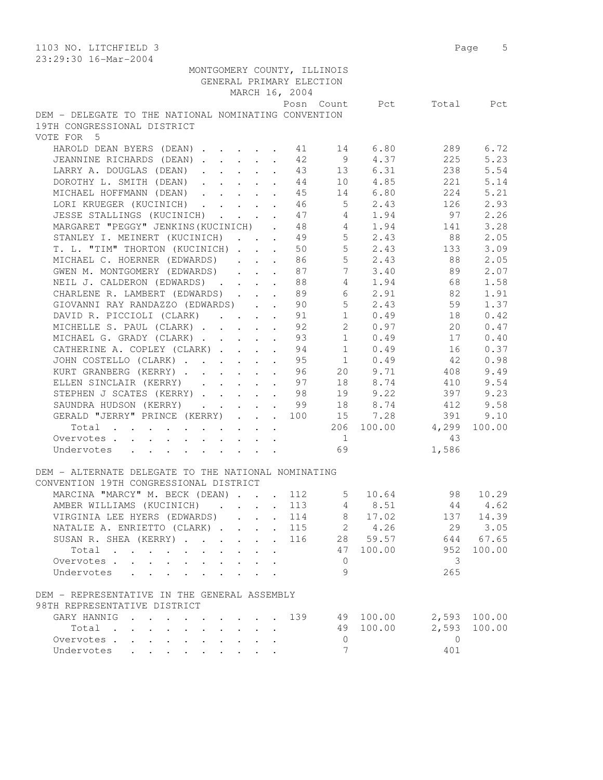| 1103 NO. LITCHFIELD 3<br>23:29:30 16-Mar-2004                                                               | Page 5                     |
|-------------------------------------------------------------------------------------------------------------|----------------------------|
| MONTGOMERY COUNTY, ILLINOIS                                                                                 |                            |
| GENERAL PRIMARY ELECTION                                                                                    |                            |
| MARCH 16, 2004                                                                                              |                            |
| Posn Count                                                                                                  | Pct<br>Total<br>Pct        |
| DEM - DELEGATE TO THE NATIONAL NOMINATING CONVENTION                                                        |                            |
| 19TH CONGRESSIONAL DISTRICT                                                                                 |                            |
| VOTE FOR 5                                                                                                  |                            |
|                                                                                                             |                            |
| HAROLD DEAN BYERS (DEAN)<br>6.80<br>41<br>14                                                                | 289<br>6.72                |
| 9<br>4.37<br>JEANNINE RICHARDS (DEAN)<br>42                                                                 | 225<br>5.23                |
| 13 6.31<br>LARRY A. DOUGLAS (DEAN)<br>43<br>$\ddot{\phantom{a}}$                                            | 238<br>5.54                |
| 10 4.85<br>DOROTHY L. SMITH (DEAN)<br>44<br>$\ddot{\phantom{a}}$                                            | 5.14<br>221                |
| 14 6.80<br>MICHAEL HOFFMANN (DEAN)<br>45                                                                    | 224<br>5.21                |
| $5 \t 2.43$<br>LORI KRUEGER (KUCINICH)<br>46                                                                | 126<br>2.93                |
| JESSE STALLINGS (KUCINICH)<br>47<br>4 1.94                                                                  | 97<br>2.26                 |
| MARGARET "PEGGY" JENKINS (KUCINICH) . 48<br>4 1.94                                                          | 3.28<br>141                |
| $5 \t 2.43$<br>STANLEY I. MEINERT (KUCINICH) 49                                                             | 88<br>2.05                 |
| 5 <sub>5</sub><br>2.43<br>T. L. "TIM" THORTON (KUCINICH)<br>50                                              | 3.09<br>133                |
| 5 <sup>5</sup>                                                                                              |                            |
| MICHAEL C. HOERNER (EDWARDS)<br>2.43<br>86<br>$\mathbf{r} = \mathbf{r} + \mathbf{r}$                        | 88<br>2.05                 |
| $7\overline{ }$<br>GWEN M. MONTGOMERY (EDWARDS)<br>87<br>3.40<br>$\mathbf{r}$ , $\mathbf{r}$ , $\mathbf{r}$ | 89<br>2.07                 |
| $4\phantom{0}$<br>1.94<br>NEIL J. CALDERON (EDWARDS)<br>88                                                  | 1.58<br>68                 |
| CHARLENE R. LAMBERT (EDWARDS)<br>89<br>6 2.91                                                               | 82<br>1.91                 |
| 5 <sup>5</sup><br>2.43<br>GIOVANNI RAY RANDAZZO (EDWARDS)<br>90                                             | 59<br>1.37                 |
| 10.49<br>DAVID R. PICCIOLI (CLARK)<br>91                                                                    | 0.42<br>18                 |
| $2^{\circ}$<br>MICHELLE S. PAUL (CLARK)<br>92<br>0.97                                                       | 0.47<br>20                 |
| 1<br>MICHAEL G. GRADY (CLARK)<br>93<br>0.49                                                                 | 17<br>0.40                 |
| CATHERINE A. COPLEY (CLARK)<br>94<br>$\mathbf{1}$<br>0.49                                                   | 0.37<br>16                 |
| 0.49<br>JOHN COSTELLO (CLARK)<br>95<br>1                                                                    | 42<br>0.98                 |
| 9.71<br>KURT GRANBERG (KERRY)<br>96<br>20<br>$\ddot{\phantom{a}}$                                           | 9.49<br>408                |
| 18 8.74<br>ELLEN SINCLAIR (KERRY)<br>97                                                                     | 9.54<br>410                |
| $\ddot{\phantom{a}}$<br>19 9.22                                                                             | 397                        |
| STEPHEN J SCATES (KERRY)<br>98                                                                              | 9.23                       |
| SAUNDRA HUDSON (KERRY)<br>99                                                                                | 18 8.74<br>9.58<br>412     |
| GERALD "JERRY" PRINCE (KERRY)<br>15 7.28<br>100                                                             | 391<br>9.10                |
| Total $\cdot$                                                                                               | 206 100.00 4,299<br>100.00 |
| Overvotes.<br>$\mathbf{1}$                                                                                  | 43                         |
| 69<br>Undervotes                                                                                            | 1,586                      |
|                                                                                                             |                            |
| DEM - ALTERNATE DELEGATE TO THE NATIONAL NOMINATING                                                         |                            |
| CONVENTION 19TH CONGRESSIONAL DISTRICT                                                                      |                            |
| MARCINA "MARCY" M. BECK (DEAN)<br>$5 -$<br>10.64<br>112                                                     | 98<br>10.29                |
| AMBER WILLIAMS (KUCINICH)<br>113<br>4 8.51                                                                  | 44<br>4.62                 |
| 8 17.02<br>VIRGINIA LEE HYERS (EDWARDS)<br>114                                                              | 137 14.39                  |
| 2 4.26<br>NATALIE A. ENRIETTO (CLARK)<br>115                                                                | 29<br>3.05                 |
| $\sim$                                                                                                      |                            |
| 28 59.57<br>SUSAN R. SHEA (KERRY)<br>116                                                                    | 644<br>67.65               |
| 100.00<br>Total<br>47                                                                                       | 952<br>100.00              |
| $\mathbf{0}$<br>Overvotes.                                                                                  | 3                          |
| 9<br>Undervotes<br>$\sim$ $\sim$ $\sim$                                                                     | 265                        |
| DEM - REPRESENTATIVE IN THE GENERAL ASSEMBLY                                                                |                            |
| 98TH REPRESENTATIVE DISTRICT                                                                                |                            |
| GARY HANNIG<br>139<br>49 100.00                                                                             | 2,593 100.00               |
| 100.00<br>49                                                                                                | 100.00                     |
| Total                                                                                                       | 2,593                      |
| Overvotes<br>0                                                                                              | $\circ$                    |
| 7<br>Undervotes                                                                                             | 401                        |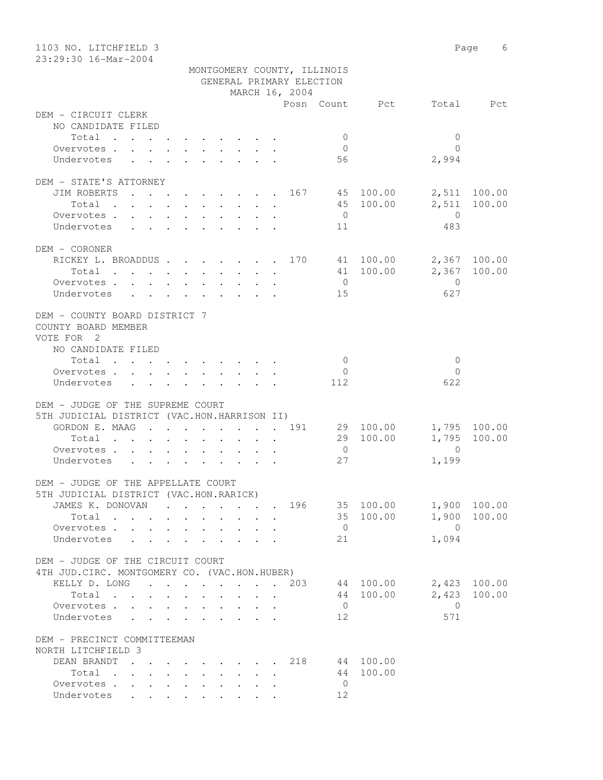| 1103 NO. LITCHFIELD 3<br>23:29:30 16-Mar-2004                                                 |                                                                                          |              |                                 |                                 |                          |                             |                        |                         | Page 6       |
|-----------------------------------------------------------------------------------------------|------------------------------------------------------------------------------------------|--------------|---------------------------------|---------------------------------|--------------------------|-----------------------------|------------------------|-------------------------|--------------|
|                                                                                               |                                                                                          |              |                                 |                                 |                          | MONTGOMERY COUNTY, ILLINOIS |                        |                         |              |
|                                                                                               |                                                                                          |              |                                 |                                 | GENERAL PRIMARY ELECTION |                             |                        |                         |              |
|                                                                                               |                                                                                          |              |                                 |                                 | MARCH 16, 2004           |                             |                        |                         |              |
|                                                                                               |                                                                                          |              |                                 |                                 |                          |                             | Posn Count Pct         |                         | Total Pct    |
| DEM - CIRCUIT CLERK                                                                           |                                                                                          |              |                                 |                                 |                          |                             |                        |                         |              |
| NO CANDIDATE FILED                                                                            |                                                                                          |              |                                 |                                 |                          |                             |                        |                         |              |
| Total                                                                                         |                                                                                          |              |                                 |                                 |                          | $\mathbf{0}$                |                        | $\mathbf{0}$            |              |
| Overvotes.                                                                                    |                                                                                          |              |                                 |                                 |                          | $\overline{0}$              |                        | $\bigcap$               |              |
| Undervotes                                                                                    |                                                                                          |              |                                 |                                 |                          | 56                          |                        | 2,994                   |              |
|                                                                                               |                                                                                          |              |                                 |                                 |                          |                             |                        |                         |              |
| DEM - STATE'S ATTORNEY                                                                        |                                                                                          |              |                                 |                                 |                          |                             |                        |                         |              |
| JIM ROBERTS 167 45 100.00                                                                     |                                                                                          |              |                                 |                                 |                          |                             |                        |                         | 2,511 100.00 |
| Total                                                                                         |                                                                                          |              |                                 |                                 |                          | $\overline{0}$              | 45 100.00              | 2,511<br>$\overline{0}$ | 100.00       |
| Overvotes<br>Undervotes                                                                       |                                                                                          |              |                                 |                                 |                          | 11                          |                        | 483                     |              |
|                                                                                               |                                                                                          |              |                                 |                                 |                          |                             |                        |                         |              |
| DEM - CORONER                                                                                 |                                                                                          |              |                                 |                                 |                          |                             |                        |                         |              |
| RICKEY L. BROADDUS 170 41 100.00                                                              |                                                                                          |              |                                 |                                 |                          |                             |                        |                         | 2,367 100.00 |
| Total                                                                                         |                                                                                          |              |                                 |                                 |                          |                             | 41 100.00              |                         | 2,367 100.00 |
| Overvotes                                                                                     |                                                                                          |              |                                 |                                 |                          | $\overline{0}$              |                        | $\overline{0}$          |              |
| Undervotes                                                                                    |                                                                                          |              |                                 |                                 |                          | 15                          |                        | 627                     |              |
|                                                                                               |                                                                                          |              |                                 |                                 |                          |                             |                        |                         |              |
| DEM - COUNTY BOARD DISTRICT 7                                                                 |                                                                                          |              |                                 |                                 |                          |                             |                        |                         |              |
| COUNTY BOARD MEMBER                                                                           |                                                                                          |              |                                 |                                 |                          |                             |                        |                         |              |
| VOTE FOR 2                                                                                    |                                                                                          |              |                                 |                                 |                          |                             |                        |                         |              |
| NO CANDIDATE FILED                                                                            |                                                                                          |              |                                 |                                 |                          |                             |                        |                         |              |
| Total                                                                                         |                                                                                          |              |                                 |                                 |                          | $\overline{0}$              |                        | $\mathbf{0}$            |              |
| Overvotes $\cdots$ $\cdots$ $\cdots$ $\cdots$                                                 |                                                                                          |              |                                 |                                 |                          | $\overline{0}$              |                        | $\Omega$                |              |
| Undervotes                                                                                    |                                                                                          |              |                                 |                                 |                          | 112                         |                        | 622                     |              |
|                                                                                               |                                                                                          |              |                                 |                                 |                          |                             |                        |                         |              |
| DEM - JUDGE OF THE SUPREME COURT                                                              |                                                                                          |              |                                 |                                 |                          |                             |                        |                         |              |
| 5TH JUDICIAL DISTRICT (VAC.HON.HARRISON II)<br>GORDON E. MAAG 191                             |                                                                                          |              |                                 |                                 |                          |                             | 29 100.00              |                         | 1,795 100.00 |
| Total                                                                                         |                                                                                          |              |                                 |                                 |                          |                             | 29 100.00              | 1,795                   | 100.00       |
| Overvotes.                                                                                    | $\mathbf{r}$ , and $\mathbf{r}$ , and $\mathbf{r}$ , and $\mathbf{r}$ , and $\mathbf{r}$ |              |                                 |                                 |                          | $\overline{0}$              |                        | $\Omega$                |              |
| Undervotes                                                                                    |                                                                                          |              |                                 |                                 |                          | 27                          |                        | 1,199                   |              |
|                                                                                               |                                                                                          |              |                                 |                                 |                          |                             |                        |                         |              |
| DEM - JUDGE OF THE APPELLATE COURT                                                            |                                                                                          |              |                                 |                                 |                          |                             |                        |                         |              |
| 5TH JUDICIAL DISTRICT (VAC.HON.RARICK)                                                        |                                                                                          |              |                                 |                                 |                          |                             |                        |                         |              |
| JAMES K. DONOVAN 196 35 100.00                                                                |                                                                                          |              |                                 |                                 |                          |                             |                        |                         | 1,900 100.00 |
| Total                                                                                         |                                                                                          |              | $\cdot$ $\cdot$ $\cdot$ $\cdot$ |                                 |                          |                             | 35 100.00              | 1,900                   | 100.00       |
| Overvotes                                                                                     |                                                                                          | $\mathbf{r}$ |                                 |                                 |                          | $\overline{0}$              |                        | $\overline{0}$          |              |
| Undervotes<br>$\sim$                                                                          |                                                                                          |              |                                 |                                 |                          | 21                          |                        | 1,094                   |              |
|                                                                                               |                                                                                          |              |                                 |                                 |                          |                             |                        |                         |              |
| DEM - JUDGE OF THE CIRCUIT COURT                                                              |                                                                                          |              |                                 |                                 |                          |                             |                        |                         |              |
| 4TH JUD. CIRC. MONTGOMERY CO. (VAC.HON.HUBER)                                                 |                                                                                          |              |                                 |                                 |                          |                             |                        |                         |              |
| KELLY D. LONG 203                                                                             |                                                                                          |              |                                 |                                 |                          |                             | 44 100.00              |                         | 2,423 100.00 |
| Total                                                                                         |                                                                                          |              |                                 | $\cdot$ $\cdot$ $\cdot$ $\cdot$ |                          |                             | 44 100.00              | 2,423                   | 100.00       |
| Overvotes.                                                                                    |                                                                                          |              |                                 |                                 |                          | $\overline{0}$              |                        | $\overline{0}$          |              |
| Undervotes .                                                                                  | $\cdot$ $\cdot$ $\cdot$<br>$\sim$                                                        |              |                                 |                                 |                          | $12 \overline{ }$           |                        | 571                     |              |
|                                                                                               |                                                                                          |              |                                 |                                 |                          |                             |                        |                         |              |
| DEM - PRECINCT COMMITTEEMAN                                                                   |                                                                                          |              |                                 |                                 |                          |                             |                        |                         |              |
| NORTH LITCHFIELD 3                                                                            |                                                                                          |              |                                 |                                 |                          |                             |                        |                         |              |
| DEAN BRANDT<br>$\mathbf{r}$ , and $\mathbf{r}$ , and $\mathbf{r}$ , and $\mathbf{r}$<br>Total |                                                                                          |              |                                 |                                 | 218                      |                             | 44 100.00<br>44 100.00 |                         |              |
| Overvotes                                                                                     |                                                                                          |              |                                 |                                 |                          | $\overline{0}$              |                        |                         |              |
| Undervotes                                                                                    |                                                                                          |              |                                 |                                 |                          | 12                          |                        |                         |              |
|                                                                                               |                                                                                          |              |                                 |                                 |                          |                             |                        |                         |              |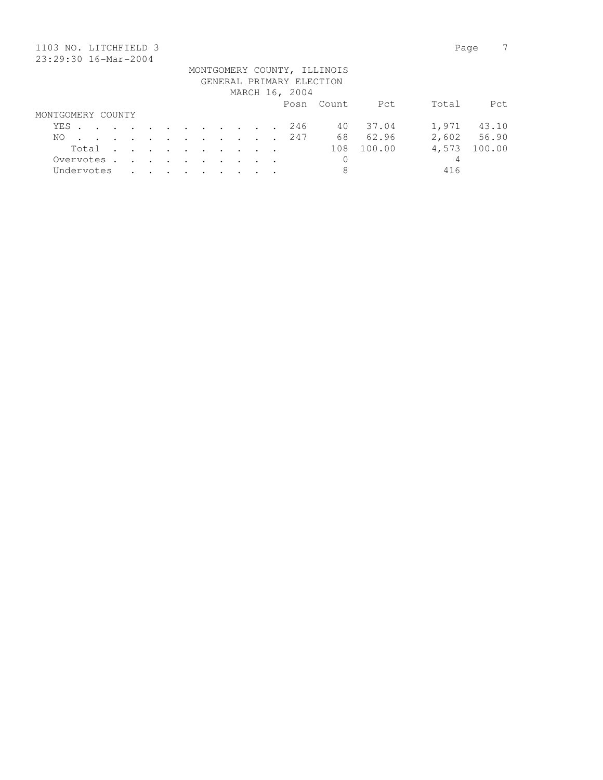| 1103 NO. LITCHFIELD 3    |  |         |                      |                                                                                          |               |                      |         |  |  |  |                |                             |        | Page  |        |
|--------------------------|--|---------|----------------------|------------------------------------------------------------------------------------------|---------------|----------------------|---------|--|--|--|----------------|-----------------------------|--------|-------|--------|
| 23:29:30 16-Mar-2004     |  |         |                      |                                                                                          |               |                      |         |  |  |  |                |                             |        |       |        |
|                          |  |         |                      |                                                                                          |               |                      |         |  |  |  |                | MONTGOMERY COUNTY, ILLINOIS |        |       |        |
| GENERAL PRIMARY ELECTION |  |         |                      |                                                                                          |               |                      |         |  |  |  |                |                             |        |       |        |
|                          |  |         |                      |                                                                                          |               |                      |         |  |  |  | MARCH 16, 2004 |                             |        |       |        |
|                          |  |         |                      |                                                                                          |               |                      |         |  |  |  |                | Posn Count                  | Pct    | Total | Pct    |
| MONTGOMERY COUNTY        |  |         |                      |                                                                                          |               |                      |         |  |  |  |                |                             |        |       |        |
| YES                      |  |         |                      | $\mathbf{r}$ , and $\mathbf{r}$ , and $\mathbf{r}$ , and $\mathbf{r}$ , and $\mathbf{r}$ |               |                      |         |  |  |  | 246            | 40                          | 37.04  | 1,971 | 43.10  |
| NO.                      |  |         | $\ddot{\phantom{a}}$ | $\sim$ $\sim$                                                                            | $\sim$ $\sim$ | $\sim$ $\sim$ $\sim$ |         |  |  |  | 247            | 68                          | 62.96  | 2,602 | 56.90  |
| Total                    |  | $\cdot$ | $\sim$               | $\sim$ $\sim$                                                                            | $\sim$ $\sim$ | $\cdot$              | $\cdot$ |  |  |  |                | 108                         | 100.00 | 4,573 | 100.00 |
| Overvotes.               |  | $\sim$  | $\sim$               | $\sim$ $\sim$                                                                            | $\sim$ $\sim$ | $\sim$               | $\sim$  |  |  |  |                | 0                           |        | 4     |        |
| Undervotes               |  |         |                      |                                                                                          |               |                      |         |  |  |  |                | 8                           |        | 416   |        |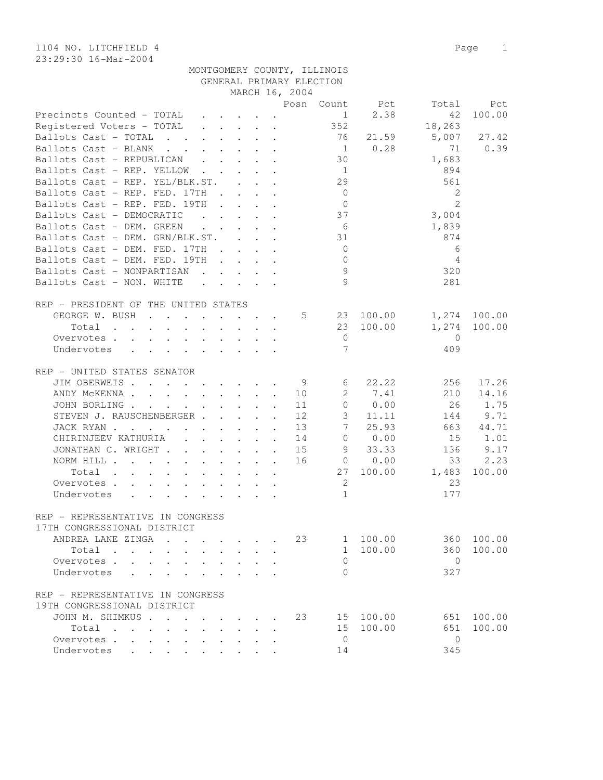1104 NO. LITCHFIELD 4 Page 1 23:29:30 16-Mar-2004

|                                                                                                                 |                                                                               |                                                 |                                                                                                                                                                                                                                        | GENERAL PRIMARY ELECTION<br>MARCH 16, 2004 | MONTGOMERY COUNTY, ILLINOIS |             |                |               |
|-----------------------------------------------------------------------------------------------------------------|-------------------------------------------------------------------------------|-------------------------------------------------|----------------------------------------------------------------------------------------------------------------------------------------------------------------------------------------------------------------------------------------|--------------------------------------------|-----------------------------|-------------|----------------|---------------|
|                                                                                                                 |                                                                               |                                                 |                                                                                                                                                                                                                                        |                                            | Posn Count                  |             |                |               |
| Precincts Counted - TOTAL                                                                                       |                                                                               |                                                 |                                                                                                                                                                                                                                        |                                            | 1                           | Pct<br>2.38 | Total<br>42    | Pct<br>100.00 |
|                                                                                                                 |                                                                               |                                                 |                                                                                                                                                                                                                                        |                                            | 352                         |             | 18,263         |               |
| Registered Voters - TOTAL                                                                                       |                                                                               | $\mathbf{r}$ , $\mathbf{r}$ , $\mathbf{r}$      |                                                                                                                                                                                                                                        |                                            | 76                          |             |                |               |
| Ballots Cast - TOTAL                                                                                            | $\mathbf{r} = \mathbf{r} \cdot \mathbf{r}$                                    |                                                 | $\mathbf{r} = \mathbf{r}$                                                                                                                                                                                                              |                                            |                             | 21.59       | 5,007          | 27.42         |
| Ballots Cast - BLANK<br>$\mathbf{r}$ , $\mathbf{r}$ , $\mathbf{r}$ , $\mathbf{r}$ , $\mathbf{r}$ , $\mathbf{r}$ |                                                                               |                                                 |                                                                                                                                                                                                                                        |                                            | $\overline{1}$              | 0.28        | 71             | 0.39          |
| Ballots Cast - REPUBLICAN                                                                                       |                                                                               |                                                 |                                                                                                                                                                                                                                        |                                            | 30                          |             | 1,683          |               |
| Ballots Cast - REP. YELLOW                                                                                      |                                                                               |                                                 | $\mathbf{r}$ , $\mathbf{r}$ , $\mathbf{r}$                                                                                                                                                                                             |                                            | $\overline{1}$              |             | 894            |               |
| Ballots Cast - REP. YEL/BLK.ST.                                                                                 |                                                                               |                                                 |                                                                                                                                                                                                                                        |                                            | 29                          |             | 561            |               |
| Ballots Cast - REP. FED. 17TH                                                                                   | $\sim$ $\sim$                                                                 |                                                 | $\ddot{\phantom{a}}$ . The contract of the contract of the contract of the contract of the contract of the contract of the contract of the contract of the contract of the contract of the contract of the contract of the contract of |                                            | $\overline{0}$              |             | 2              |               |
| Ballots Cast - REP. FED. 19TH                                                                                   |                                                                               | $\mathbf{L}$                                    | $\mathbf{1}^{\prime}$ , $\mathbf{1}^{\prime}$ , $\mathbf{1}^{\prime}$                                                                                                                                                                  |                                            | $\overline{0}$              |             | $\overline{2}$ |               |
| Ballots Cast - DEMOCRATIC                                                                                       |                                                                               | $\cdot$ $\cdot$ $\cdot$ $\cdot$ $\cdot$ $\cdot$ |                                                                                                                                                                                                                                        |                                            | 37                          |             | 3,004          |               |
| Ballots Cast - DEM. GREEN                                                                                       |                                                                               | $\ddot{\phantom{a}}$ . $\ddot{\phantom{a}}$     |                                                                                                                                                                                                                                        |                                            | 6                           |             | 1,839          |               |
| Ballots Cast - DEM. GRN/BLK.ST.                                                                                 |                                                                               |                                                 |                                                                                                                                                                                                                                        |                                            | 31                          |             | 874            |               |
| Ballots Cast - DEM. FED. 17TH                                                                                   | <b>Contract</b>                                                               |                                                 | $\mathbf{L} = \mathbf{L} \mathbf{L} + \mathbf{L} \mathbf{L}$                                                                                                                                                                           |                                            | $\overline{0}$              |             | 6              |               |
| Ballots Cast - DEM. FED. 19TH                                                                                   |                                                                               | $\cdot$ $\cdot$ $\cdot$ $\cdot$                 |                                                                                                                                                                                                                                        |                                            | $\Omega$                    |             | 4              |               |
| Ballots Cast - NONPARTISAN                                                                                      |                                                                               |                                                 |                                                                                                                                                                                                                                        |                                            | 9                           |             | 320            |               |
| Ballots Cast - NON. WHITE                                                                                       | $\mathbf{r} = \mathbf{r} + \mathbf{r} + \mathbf{r} + \mathbf{r} + \mathbf{r}$ |                                                 |                                                                                                                                                                                                                                        |                                            | $\mathcal{Q}$               |             | 281            |               |
|                                                                                                                 |                                                                               |                                                 |                                                                                                                                                                                                                                        |                                            |                             |             |                |               |
| REP - PRESIDENT OF THE UNITED STATES                                                                            |                                                                               |                                                 |                                                                                                                                                                                                                                        |                                            |                             |             |                |               |
| GEORGE W. BUSH<br>$\mathbf{r}$ . The set of $\mathbf{r}$                                                        |                                                                               |                                                 |                                                                                                                                                                                                                                        | 5                                          |                             | 23 100.00   | 1,274          | 100.00        |
| Total<br>$\mathbf{r}$ . The set of $\mathbf{r}$<br>$\mathbf{L}^{\text{max}}$<br>$\mathbf{L} = \mathbf{L}$       | $\sim$                                                                        |                                                 |                                                                                                                                                                                                                                        |                                            |                             | 23 100.00   | 1,274          | 100.00        |
| Overvotes<br>$\mathbf{r}$ , $\mathbf{r}$ , $\mathbf{r}$ , $\mathbf{r}$ , $\mathbf{r}$                           |                                                                               |                                                 |                                                                                                                                                                                                                                        |                                            | $\overline{0}$              |             | $\overline{0}$ |               |
| Undervotes<br>$\mathbf{r}$ , $\mathbf{r}$ , $\mathbf{r}$ , $\mathbf{r}$ , $\mathbf{r}$                          |                                                                               |                                                 |                                                                                                                                                                                                                                        |                                            | 7                           |             | 409            |               |
|                                                                                                                 |                                                                               |                                                 |                                                                                                                                                                                                                                        |                                            |                             |             |                |               |
| REP - UNITED STATES SENATOR                                                                                     |                                                                               |                                                 |                                                                                                                                                                                                                                        |                                            |                             |             |                |               |
| JIM OBERWEIS.<br>$\mathbf{r}$ , and $\mathbf{r}$ , and $\mathbf{r}$ , and $\mathbf{r}$ , and $\mathbf{r}$       |                                                                               |                                                 |                                                                                                                                                                                                                                        | - 9                                        | 6                           | 22.22       | 256            | 17.26         |
| ANDY MCKENNA                                                                                                    |                                                                               |                                                 | $\sim$                                                                                                                                                                                                                                 | 10                                         | $\mathbf{2}^{\prime}$       | 7.41        | 210            | 14.16         |
| JOHN BORLING.                                                                                                   |                                                                               | $\cdot$ $\cdot$ $\cdot$                         | $\bullet$                                                                                                                                                                                                                              | 11                                         | $\circ$                     | 0.00        | 26             | 1.75          |
| STEVEN J. RAUSCHENBERGER                                                                                        |                                                                               |                                                 |                                                                                                                                                                                                                                        | 12                                         | $\mathfrak{Z}$              | 11.11       | 144            | 9.71          |
| JACK RYAN<br>$\mathbf{L}^{\text{max}}$                                                                          | $\mathbf{L}^{\text{max}}$                                                     | $\cdot$ $\cdot$ $\cdot$                         | $\mathbf{r}$                                                                                                                                                                                                                           | 13                                         | 7                           | 25.93       | 663            | 44.71         |
| CHIRINJEEV KATHURIA                                                                                             | $\mathbf{r}$ , $\mathbf{r}$ , $\mathbf{r}$                                    |                                                 | $\ddot{\phantom{a}}$                                                                                                                                                                                                                   | 14                                         |                             | 0 0.00      | 15             | 1.01          |
| JONATHAN C. WRIGHT.<br>$\mathbf{r}$ , $\mathbf{r}$ , $\mathbf{r}$ , $\mathbf{r}$ , $\mathbf{r}$                 |                                                                               |                                                 |                                                                                                                                                                                                                                        | 15                                         |                             | 9 33.33     | 136            | 9.17          |
| NORM HILL                                                                                                       |                                                                               |                                                 |                                                                                                                                                                                                                                        | 16                                         |                             | $0 \t 0.00$ | 33             | 2.23          |
| Total<br>$\mathcal{A}$ . The set of the set of the set of the set of the set of the $\mathcal{A}$               |                                                                               |                                                 |                                                                                                                                                                                                                                        |                                            | 27                          | 100.00      | 1,483          | 100.00        |
| Overvotes                                                                                                       |                                                                               |                                                 |                                                                                                                                                                                                                                        |                                            | 2                           |             | 23             |               |
| Undervotes                                                                                                      |                                                                               |                                                 |                                                                                                                                                                                                                                        |                                            | $\mathbf 1$                 |             | 177            |               |
|                                                                                                                 |                                                                               |                                                 |                                                                                                                                                                                                                                        |                                            |                             |             |                |               |
| REP - REPRESENTATIVE IN CONGRESS                                                                                |                                                                               |                                                 |                                                                                                                                                                                                                                        |                                            |                             |             |                |               |
| 17TH CONGRESSIONAL DISTRICT                                                                                     |                                                                               |                                                 |                                                                                                                                                                                                                                        |                                            |                             |             |                |               |
| ANDREA LANE ZINGA<br>$\sim$                                                                                     |                                                                               |                                                 |                                                                                                                                                                                                                                        | 23                                         |                             | 1 100.00    | 360            | 100.00        |
| Total                                                                                                           |                                                                               |                                                 |                                                                                                                                                                                                                                        |                                            |                             | 1 100.00    | 360            | 100.00        |
| Overvotes .<br>$\mathbf{L} = \mathbf{L}$                                                                        |                                                                               |                                                 |                                                                                                                                                                                                                                        |                                            | $\Omega$                    |             | $\overline{0}$ |               |
|                                                                                                                 |                                                                               |                                                 |                                                                                                                                                                                                                                        |                                            | $\Omega$                    |             | 327            |               |
| Undervotes<br>$\mathbf{r}$ $\mathbf{r}$                                                                         |                                                                               |                                                 |                                                                                                                                                                                                                                        |                                            |                             |             |                |               |
| REP - REPRESENTATIVE IN CONGRESS                                                                                |                                                                               |                                                 |                                                                                                                                                                                                                                        |                                            |                             |             |                |               |
| 19TH CONGRESSIONAL DISTRICT                                                                                     |                                                                               |                                                 |                                                                                                                                                                                                                                        |                                            |                             |             |                |               |
| JOHN M. SHIMKUS                                                                                                 |                                                                               |                                                 |                                                                                                                                                                                                                                        | 23                                         |                             | 15 100.00   | 651            | 100.00        |
|                                                                                                                 |                                                                               |                                                 |                                                                                                                                                                                                                                        |                                            |                             |             |                | 100.00        |
| Total                                                                                                           | $\mathbf{r}$                                                                  |                                                 |                                                                                                                                                                                                                                        |                                            |                             | 15 100.00   | 651            |               |
| Overvotes                                                                                                       |                                                                               |                                                 |                                                                                                                                                                                                                                        |                                            | $\Omega$                    |             | $\mathbf{0}$   |               |

Undervotes . . . . . . . . . 14 345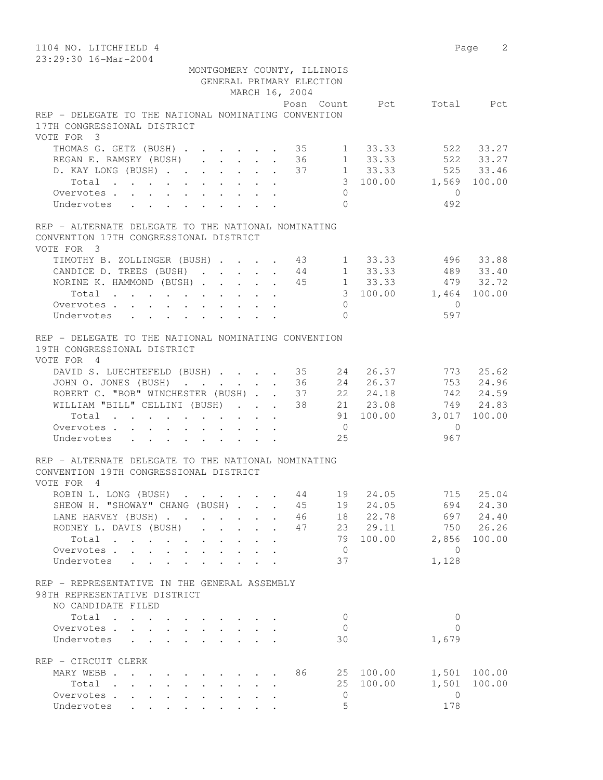| 1104 NO. LITCHFIELD 4                                                               |                                            |                                         |                      |                             |                |                       |                | Page 2    |
|-------------------------------------------------------------------------------------|--------------------------------------------|-----------------------------------------|----------------------|-----------------------------|----------------|-----------------------|----------------|-----------|
| 23:29:30 16-Mar-2004                                                                |                                            |                                         |                      |                             |                |                       |                |           |
|                                                                                     |                                            |                                         |                      | MONTGOMERY COUNTY, ILLINOIS |                |                       |                |           |
|                                                                                     |                                            |                                         |                      | GENERAL PRIMARY ELECTION    |                |                       |                |           |
|                                                                                     |                                            |                                         |                      | MARCH 16, 2004              |                |                       |                |           |
|                                                                                     |                                            |                                         |                      |                             |                | Posn Count Pct        |                | Total Pct |
| REP - DELEGATE TO THE NATIONAL NOMINATING CONVENTION<br>17TH CONGRESSIONAL DISTRICT |                                            |                                         |                      |                             |                |                       |                |           |
| VOTE FOR 3                                                                          |                                            |                                         |                      |                             |                |                       |                |           |
| THOMAS G. GETZ (BUSH) 35                                                            |                                            |                                         |                      |                             |                | $1 \quad 33.33$       |                | 522 33.27 |
| REGAN E. RAMSEY (BUSH)                                                              |                                            |                                         |                      | 36                          | 1              | 33.33                 |                | 522 33.27 |
| D. KAY LONG (BUSH) 37 1 33.33                                                       |                                            |                                         |                      |                             |                |                       |                | 525 33.46 |
| Total                                                                               |                                            |                                         |                      |                             |                | 3 100.00 1,569 100.00 |                |           |
| Overvotes.                                                                          |                                            |                                         |                      |                             | $\Omega$       |                       | $\bigcirc$     |           |
| Undervotes                                                                          |                                            |                                         |                      |                             | $\Omega$       |                       | 492            |           |
| REP - ALTERNATE DELEGATE TO THE NATIONAL NOMINATING                                 |                                            |                                         |                      |                             |                |                       |                |           |
| CONVENTION 17TH CONGRESSIONAL DISTRICT                                              |                                            |                                         |                      |                             |                |                       |                |           |
| VOTE FOR 3                                                                          |                                            |                                         |                      |                             |                |                       |                |           |
| TIMOTHY B. ZOLLINGER (BUSH) 43 1 33.33                                              |                                            |                                         |                      |                             |                |                       | 496            | 33.88     |
| CANDICE D. TREES (BUSH) 44                                                          |                                            |                                         |                      |                             |                | $1 \quad 33.33$       |                | 489 33.40 |
| NORINE K. HAMMOND (BUSH) 45                                                         |                                            |                                         |                      |                             |                | $1 \quad 33.33$       |                | 479 32.72 |
| Total                                                                               |                                            |                                         |                      |                             |                | 3 100.00 1,464 100.00 |                |           |
| Overvotes                                                                           |                                            |                                         |                      |                             | $\Omega$       |                       | $\overline{0}$ |           |
| Undervotes                                                                          |                                            |                                         |                      |                             | $\Omega$       |                       | 597            |           |
| REP - DELEGATE TO THE NATIONAL NOMINATING CONVENTION                                |                                            |                                         |                      |                             |                |                       |                |           |
| 19TH CONGRESSIONAL DISTRICT                                                         |                                            |                                         |                      |                             |                |                       |                |           |
| VOTE FOR 4                                                                          |                                            |                                         |                      |                             |                |                       |                |           |
| DAVID S. LUECHTEFELD (BUSH) 35 24                                                   |                                            |                                         |                      |                             |                | 26.37                 |                | 773 25.62 |
| JOHN O. JONES (BUSH) 36                                                             |                                            |                                         |                      |                             |                | 24 26.37              |                | 753 24.96 |
| ROBERT C. "BOB" WINCHESTER (BUSH) 37 22 24.18                                       |                                            |                                         |                      |                             |                |                       |                | 742 24.59 |
| WILLIAM "BILL" CELLINI (BUSH) 38 21 23.08                                           |                                            |                                         |                      |                             |                |                       |                | 749 24.83 |
| Total                                                                               |                                            |                                         |                      |                             |                | 91 100.00 3,017       |                | 100.00    |
| Overvotes                                                                           |                                            |                                         |                      |                             | $\overline{0}$ |                       | $\overline{0}$ |           |
| Undervotes                                                                          |                                            |                                         |                      |                             | 25             |                       | 967            |           |
| REP - ALTERNATE DELEGATE TO THE NATIONAL NOMINATING                                 |                                            |                                         |                      |                             |                |                       |                |           |
| CONVENTION 19TH CONGRESSIONAL DISTRICT                                              |                                            |                                         |                      |                             |                |                       |                |           |
| VOTE FOR 4                                                                          |                                            |                                         |                      |                             |                |                       |                |           |
| ROBIN L. LONG (BUSH) 44                                                             |                                            |                                         |                      |                             | 19             | 24.05                 | 715            | 25.04     |
| SHEOW H. "SHOWAY" CHANG (BUSH) 45                                                   |                                            |                                         |                      |                             | 19             | 24.05                 | 694            | 24.30     |
| LANE HARVEY (BUSH)                                                                  |                                            |                                         | $\ddot{\phantom{a}}$ | 46                          |                | 18 22.78              | 697            | 24.40     |
| RODNEY L. DAVIS (BUSH)                                                              | $\sim$                                     | $\cdot$ $\cdot$ $\cdot$ $\cdot$         |                      | 47                          |                | 23 29.11              | 750            | 26.26     |
| Total                                                                               |                                            |                                         |                      |                             |                | 79 100.00             | 2,856          | 100.00    |
| Overvotes<br>$\sim$<br>$\mathbf{L}^{\text{max}}$                                    | $\mathbf{r} = \mathbf{r} \cdot \mathbf{r}$ |                                         |                      |                             | $\overline{0}$ |                       | $\bigcirc$     |           |
| Undervotes                                                                          |                                            |                                         |                      |                             | 37             |                       | 1,128          |           |
| REP - REPRESENTATIVE IN THE GENERAL ASSEMBLY                                        |                                            |                                         |                      |                             |                |                       |                |           |
| 98TH REPRESENTATIVE DISTRICT                                                        |                                            |                                         |                      |                             |                |                       |                |           |
| NO CANDIDATE FILED                                                                  |                                            |                                         |                      |                             |                |                       |                |           |
| Total                                                                               |                                            |                                         |                      |                             | $\mathbf{0}$   |                       | $\mathbf{0}$   |           |
| Overvotes.                                                                          |                                            | $\cdot$ $\cdot$ $\cdot$ $\cdot$ $\cdot$ |                      |                             | $\mathbf{0}$   |                       | $\mathbf{0}$   |           |
| Undervotes                                                                          |                                            |                                         |                      |                             | 30             |                       | 1,679          |           |
| REP - CIRCUIT CLERK                                                                 |                                            |                                         |                      |                             |                |                       |                |           |
| MARY WEBB                                                                           |                                            |                                         |                      | 86                          |                | 25 100.00             | 1,501          | 100.00    |
| Total                                                                               |                                            |                                         |                      |                             | 25             | 100.00                | 1,501          | 100.00    |
| Overvotes.                                                                          |                                            |                                         |                      |                             | $\mathbf{0}$   |                       | $\overline{0}$ |           |
| Undervotes                                                                          |                                            |                                         |                      |                             | 5              |                       | 178            |           |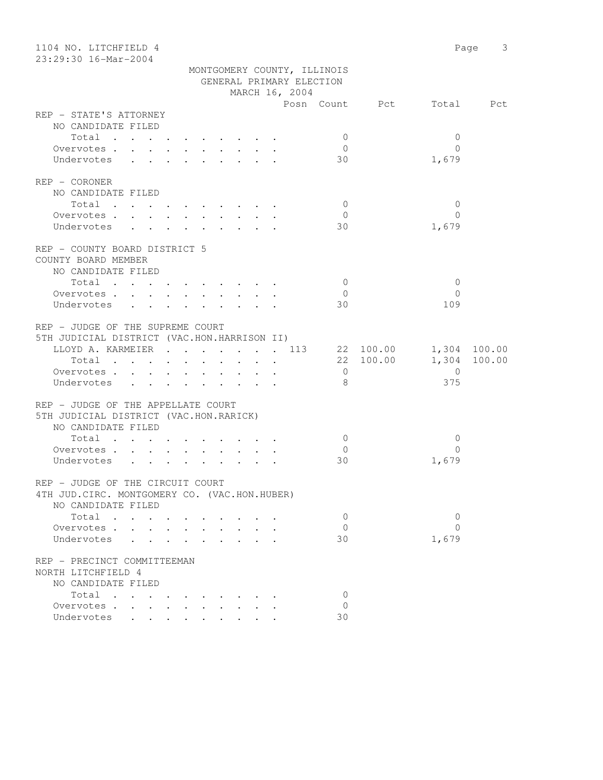| 1104 NO. LITCHFIELD 4                         |                                 |                           | Page 3 |
|-----------------------------------------------|---------------------------------|---------------------------|--------|
| 23:29:30 16-Mar-2004                          |                                 |                           |        |
|                                               | MONTGOMERY COUNTY, ILLINOIS     |                           |        |
|                                               | GENERAL PRIMARY ELECTION        |                           |        |
|                                               | MARCH 16, 2004                  |                           |        |
|                                               |                                 | Posn Count Pct Total Pct  |        |
| REP - STATE'S ATTORNEY                        |                                 |                           |        |
| NO CANDIDATE FILED                            |                                 |                           |        |
| Total                                         | $\mathbf{0}$                    | $\mathbf{0}$              |        |
| Overvotes $\cdots$ $\cdots$ $\cdots$ $\cdots$ | $\overline{0}$                  | $\bigcap$                 |        |
| Undervotes                                    | 30                              | 1,679                     |        |
| REP - CORONER                                 |                                 |                           |        |
| NO CANDIDATE FILED                            |                                 |                           |        |
| Total                                         | $\overline{0}$                  | $\overline{0}$            |        |
| Overvotes.                                    | $\overline{0}$                  | $\Omega$                  |        |
|                                               | 30                              |                           |        |
| Undervotes                                    |                                 | 1,679                     |        |
| REP - COUNTY BOARD DISTRICT 5                 |                                 |                           |        |
| COUNTY BOARD MEMBER                           |                                 |                           |        |
| NO CANDIDATE FILED                            |                                 |                           |        |
| Total                                         | $\overline{0}$                  | $\mathbf{0}$              |        |
| Overvotes                                     | $\overline{0}$                  | $\Omega$                  |        |
|                                               | 30                              | 109                       |        |
| Undervotes                                    |                                 |                           |        |
| REP - JUDGE OF THE SUPREME COURT              |                                 |                           |        |
| 5TH JUDICIAL DISTRICT (VAC.HON.HARRISON II)   |                                 |                           |        |
|                                               | LLOYD A. KARMEIER 113 22 100.00 | 1,304 100.00              |        |
| Total                                         |                                 | 22 100.00<br>1,304 100.00 |        |
| Overvotes.                                    | $\overline{0}$                  | $\overline{0}$            |        |
| Undervotes                                    | - 8                             | 375                       |        |
|                                               |                                 |                           |        |
| REP - JUDGE OF THE APPELLATE COURT            |                                 |                           |        |
| 5TH JUDICIAL DISTRICT (VAC.HON.RARICK)        |                                 |                           |        |
| NO CANDIDATE FILED                            |                                 |                           |        |
| Total                                         | $\overline{0}$                  | $\mathbf{0}$              |        |
| Overvotes.                                    | $\overline{0}$                  | $\Omega$                  |        |
| Undervotes                                    | 30                              | 1,679                     |        |
|                                               |                                 |                           |        |
| REP - JUDGE OF THE CIRCUIT COURT              |                                 |                           |        |
| 4TH JUD. CIRC. MONTGOMERY CO. (VAC.HON.HUBER) |                                 |                           |        |
| NO CANDIDATE FILED                            |                                 |                           |        |
| Total                                         | 0                               | 0                         |        |
| Overvotes .                                   | $\circ$                         | $\Omega$                  |        |
| Undervotes                                    | 30                              | 1,679                     |        |
|                                               |                                 |                           |        |
| REP - PRECINCT COMMITTEEMAN                   |                                 |                           |        |
| NORTH LITCHFIELD 4                            |                                 |                           |        |
| NO CANDIDATE FILED                            |                                 |                           |        |
| Total<br>$\sim$                               | $\mathbf 0$                     |                           |        |
| Overvotes                                     | 0                               |                           |        |
| Undervotes                                    | 30                              |                           |        |
|                                               |                                 |                           |        |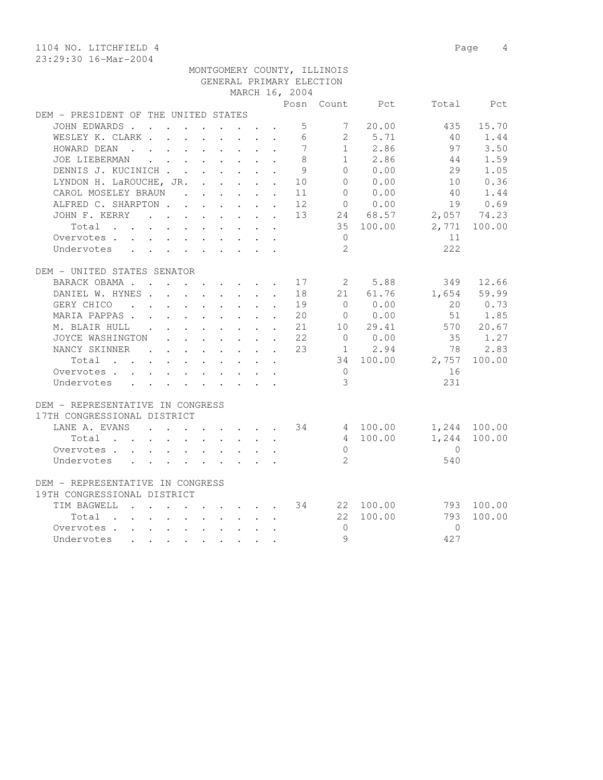1104 NO. LITCHFIELD 4 Page 4

|                                                                                                                                                                                                                                                                | Posn                       | Count          | Pct       | Total        | Pct          |
|----------------------------------------------------------------------------------------------------------------------------------------------------------------------------------------------------------------------------------------------------------------|----------------------------|----------------|-----------|--------------|--------------|
| DEM - PRESIDENT OF THE UNITED STATES                                                                                                                                                                                                                           |                            |                |           |              |              |
| JOHN EDWARDS .<br>$\mathbf{r}$ . The contract of the contract of the contract of the contract of the contract of the contract of the contract of the contract of the contract of the contract of the contract of the contract of the contract of th            | 5                          | 7              | 20.00     | 435          | 15.70        |
| WESLEY K. CLARK                                                                                                                                                                                                                                                | 6                          |                | 2 5.71    | 40           | 1.44         |
| HOWARD DEAN<br>. The contract of the contract of the contract of the contract of the contract of the contract of the contract of the contract of the contract of the contract of the contract of the contract of the contract of the contrac                   | $7\overline{ }$            |                | 1 2.86    | 97           | 3.50         |
| <b>JOE LIEBERMAN</b><br>$\mathbf{r}$ , $\mathbf{r}$ , $\mathbf{r}$ , $\mathbf{r}$ , $\mathbf{r}$                                                                                                                                                               | 8                          |                | 1 2.86    | 44           | 1.59         |
| DENNIS J. KUCINICH                                                                                                                                                                                                                                             | 9<br>$\mathbf{r}$          | $\Omega$       | 0.00      | 29           | 1.05         |
| LYNDON H. LaROUCHE, JR.                                                                                                                                                                                                                                        | 10                         | $\bigcap$      | 0.00      | 10           | 0.36         |
| CAROL MOSELEY BRAUN                                                                                                                                                                                                                                            | 11                         | $\Omega$       | 0.00      | 40           | 1.44         |
| ALFRED C. SHARPTON                                                                                                                                                                                                                                             | 12                         | $\bigcirc$     | 0.00      | 19           | 0.69         |
| JOHN F. KERRY<br>and the contract of the contract of the contract of the contract of the contract of                                                                                                                                                           | 13                         | 24 68.57       |           | 2,057 74.23  |              |
| Total                                                                                                                                                                                                                                                          |                            |                | 35 100.00 | 2,771        | 100.00       |
| Overvotes                                                                                                                                                                                                                                                      |                            | $\overline{0}$ |           | 11           |              |
| Undervotes<br>$\mathbf{r}$ , and $\mathbf{r}$ , and $\mathbf{r}$ , and $\mathbf{r}$ , and $\mathbf{r}$                                                                                                                                                         |                            | $\overline{2}$ |           | 222          |              |
|                                                                                                                                                                                                                                                                |                            |                |           |              |              |
| DEM - UNITED STATES SENATOR                                                                                                                                                                                                                                    |                            |                |           |              |              |
| BARACK OBAMA.<br>. 17                                                                                                                                                                                                                                          |                            | 2 5.88         |           | 349          | 12.66        |
| DANIEL W. HYNES                                                                                                                                                                                                                                                | 18                         |                | 21 61.76  |              | 1,654 59.99  |
| GERY CHICO<br>the contract of the contract of the contract of<br>$\sim$                                                                                                                                                                                        | 19                         | $\bigcap$      | 0.00      | $20^{\circ}$ | 0.73         |
| MARIA PAPPAS<br>$\cdot$ 20                                                                                                                                                                                                                                     |                            | $\overline{0}$ | 0.00      | 51           | 1.85         |
| M. BLAIR HULL<br>$\sim$ $-$                                                                                                                                                                                                                                    | 21                         | 10             | 29.41     |              | 570 20.67    |
| JOYCE WASHINGTON<br>$\mathbf{r}$ , $\mathbf{r}$ , $\mathbf{r}$ , $\mathbf{r}$ , $\mathbf{r}$ , $\mathbf{r}$                                                                                                                                                    | 22<br>$\ddot{\phantom{a}}$ | $\overline{0}$ | 0.00      | 35           | 1.27         |
| NANCY SKINNER<br>$\mathbf{r}$ , and $\mathbf{r}$ , and $\mathbf{r}$ , and $\mathbf{r}$                                                                                                                                                                         | 23                         | $\mathbf{1}$   | 2.94      | 78           | 2.83         |
| Total                                                                                                                                                                                                                                                          |                            |                | 34 100.00 | 2,757        | 100.00       |
| Overvotes.                                                                                                                                                                                                                                                     |                            | $\overline{0}$ |           | 16           |              |
| Undervotes                                                                                                                                                                                                                                                     |                            | 3              |           | 231          |              |
|                                                                                                                                                                                                                                                                |                            |                |           |              |              |
| DEM - REPRESENTATIVE IN CONGRESS                                                                                                                                                                                                                               |                            |                |           |              |              |
| 17TH CONGRESSIONAL DISTRICT                                                                                                                                                                                                                                    |                            |                |           |              |              |
| $\mathcal{L}(\mathbf{r},\mathbf{r})$ . The contribution of the contribution of the contribution of the contribution of the contribution of the contribution of the contribution of the contribution of the contribution of the contribution o<br>LANE A. EVANS | - 34                       |                | 4 100.00  |              | 1,244 100.00 |
| $Total \cdot \cdot \cdot \cdot \cdot \cdot \cdot \cdot \cdot$                                                                                                                                                                                                  |                            |                | 4 100.00  | 1,244        | 100.00       |
| Overvotes                                                                                                                                                                                                                                                      |                            | $\Omega$       |           | $\Omega$     |              |
| Undervotes                                                                                                                                                                                                                                                     |                            | $\overline{2}$ |           | 540          |              |
|                                                                                                                                                                                                                                                                |                            |                |           |              |              |
| DEM - REPRESENTATIVE IN CONGRESS                                                                                                                                                                                                                               |                            |                |           |              |              |
| 19TH CONGRESSIONAL DISTRICT                                                                                                                                                                                                                                    |                            |                |           |              |              |
| $\cdot$ 34<br>TIM BAGWELL                                                                                                                                                                                                                                      |                            | 22 100.00      |           | 793          | 100.00       |
| $Total \cdot \cdot \cdot \cdot \cdot \cdot \cdot \cdot \cdot \cdot$                                                                                                                                                                                            |                            | 22             | 100.00    | 793          | 100.00       |
| Overvotes                                                                                                                                                                                                                                                      |                            | $\Omega$       |           | $\Omega$     |              |
| Undervotes                                                                                                                                                                                                                                                     |                            | $\circ$        |           | 427          |              |
|                                                                                                                                                                                                                                                                |                            |                |           |              |              |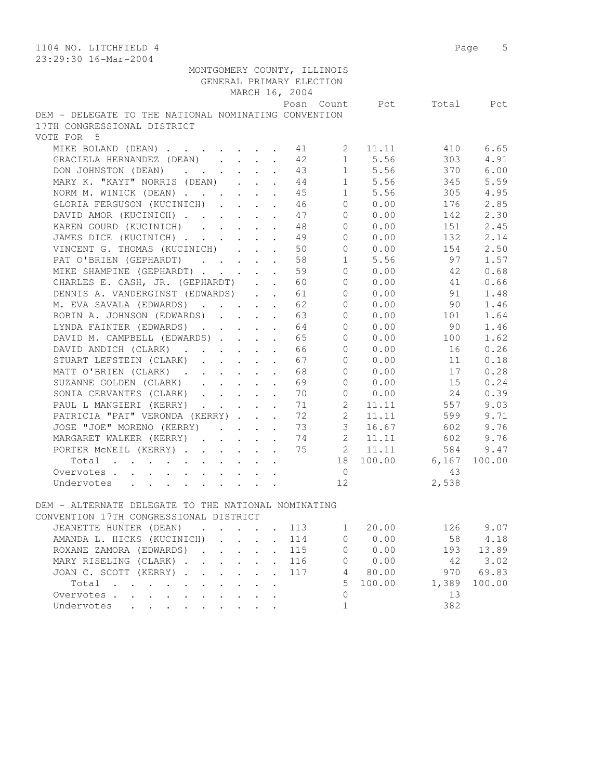| 1104 NO. LITCHFIELD 4                                                                                               |                              |                |                |             |       | Page 5 |
|---------------------------------------------------------------------------------------------------------------------|------------------------------|----------------|----------------|-------------|-------|--------|
| 23:29:30 16-Mar-2004                                                                                                |                              |                |                |             |       |        |
| MONTGOMERY COUNTY, ILLINOIS                                                                                         |                              |                |                |             |       |        |
| GENERAL PRIMARY ELECTION                                                                                            |                              |                |                |             |       |        |
|                                                                                                                     |                              | MARCH 16, 2004 |                |             |       |        |
|                                                                                                                     |                              |                | Posn Count     | Pct         | Total | Pct    |
| DEM - DELEGATE TO THE NATIONAL NOMINATING CONVENTION                                                                |                              |                |                |             |       |        |
| 17TH CONGRESSIONAL DISTRICT                                                                                         |                              |                |                |             |       |        |
| VOTE FOR 5                                                                                                          |                              |                |                |             |       |        |
| MIKE BOLAND (DEAN)                                                                                                  |                              | 41             | $2^{\circ}$    | 11.11       | 410   | 6.65   |
| GRACIELA HERNANDEZ (DEAN)                                                                                           |                              | 42             | 1              | 5.56        | 303   | 4.91   |
| DON JOHNSTON (DEAN)                                                                                                 |                              | 43             |                | 1 5.56      | 370   | 6.00   |
| MARY K. "KAYT" NORRIS (DEAN)                                                                                        |                              | 44             |                | 1 5.56      | 345   | 5.59   |
| NORM M. WINICK (DEAN)                                                                                               |                              | 45             |                | 1 5.56      | 305   | 4.95   |
| GLORIA FERGUSON (KUCINICH)                                                                                          |                              | 46             |                | $0 \t 0.00$ | 176   | 2.85   |
| DAVID AMOR (KUCINICH)                                                                                               |                              | 47             | $\overline{0}$ | 0.00        | 142   | 2.30   |
| KAREN GOURD (KUCINICH)                                                                                              |                              | 48             | $\overline{0}$ | 0.00        | 151   | 2.45   |
| JAMES DICE (KUCINICH)                                                                                               |                              | 49             | $\overline{0}$ | 0.00        | 132   | 2.14   |
| VINCENT G. THOMAS (KUCINICH)                                                                                        |                              | 50             | $\circ$        | 0.00        | 154   | 2.50   |
| PAT O'BRIEN (GEPHARDT)                                                                                              |                              | 58             | $\mathbf{1}$   | 5.56        | 97    | 1.57   |
|                                                                                                                     |                              |                | $\Omega$       |             |       |        |
| MIKE SHAMPINE (GEPHARDT)                                                                                            |                              | 59             |                | 0.00        | 42    | 0.68   |
| CHARLES E. CASH, JR. (GEPHARDT)                                                                                     |                              | 60             | $\circ$        | 0.00        | 41    | 0.66   |
| DENNIS A. VANDERGINST (EDWARDS)                                                                                     |                              | 61             | $\circ$        | 0.00        | 91    | 1.48   |
| M. EVA SAVALA (EDWARDS)                                                                                             |                              | 62             | $\overline{0}$ | 0.00        | 90    | 1.46   |
| ROBIN A. JOHNSON (EDWARDS)                                                                                          |                              | 63             | 0              | 0.00        | 101   | 1.64   |
| LYNDA FAINTER (EDWARDS)                                                                                             |                              | 64             | 0              | 0.00        | 90    | 1.46   |
| DAVID M. CAMPBELL (EDWARDS)                                                                                         |                              | 65             | 0              | 0.00        | 100   | 1.62   |
| DAVID ANDICH (CLARK)                                                                                                | $\ddot{\phantom{a}}$         | 66             | $\circ$        | 0.00        | 16    | 0.26   |
| STUART LEFSTEIN (CLARK)                                                                                             | $\ddot{\phantom{a}}$         | 67             | $\Omega$       | 0.00        | 11    | 0.18   |
| MATT O'BRIEN (CLARK)                                                                                                |                              | 68             | $\Omega$       | 0.00        | 17    | 0.28   |
| SUZANNE GOLDEN (CLARK)                                                                                              |                              | 69             | $\circ$        | 0.00        | 15    | 0.24   |
| SONIA CERVANTES (CLARK)                                                                                             |                              | 70             | $\overline{0}$ | 0.00        | 24    | 0.39   |
| PAUL L MANGIERI (KERRY)                                                                                             |                              | 71             | $\overline{2}$ | 11.11       | 557   | 9.03   |
| PATRICIA "PAT" VERONDA (KERRY)                                                                                      |                              | 72             | $\mathbf{2}$   | 11.11       | 599   | 9.71   |
| JOSE "JOE" MORENO (KERRY)                                                                                           |                              | 73             | $\mathfrak{Z}$ | 16.67       | 602   | 9.76   |
| MARGARET WALKER (KERRY)                                                                                             |                              | 74             | $2^{\circ}$    | 11.11       | 602   | 9.76   |
| PORTER MCNEIL (KERRY)                                                                                               |                              | 75             | $2^{\circ}$    | 11.11       | 584   | 9.47   |
| Total                                                                                                               |                              |                | 18             | 100.00      | 6,167 | 100.00 |
| Overvotes                                                                                                           |                              |                | $\overline{0}$ |             | 43    |        |
| Undervotes                                                                                                          |                              |                | 12             |             | 2,538 |        |
|                                                                                                                     |                              |                |                |             |       |        |
| DEM - ALTERNATE DELEGATE TO THE NATIONAL NOMINATING<br>CONVENTION 17TH CONGRESSIONAL DISTRICT                       |                              |                |                |             |       |        |
|                                                                                                                     |                              |                |                |             |       |        |
| JEANETTE HUNTER (DEAN)<br>$\mathbf{r}$ , and $\mathbf{r}$ , and $\mathbf{r}$                                        |                              | 113            | $1 \quad$      | 20.00       | 126   | 9.07   |
| AMANDA L. HICKS (KUCINICH)<br>$\mathcal{L}^{\text{max}}(\mathcal{L}^{\text{max}})$ . The $\mathcal{L}^{\text{max}}$ |                              | 114            | 0              | 0.00        | 58    | 4.18   |
| ROXANE ZAMORA (EDWARDS).<br>$\cdot$ $\cdot$ $\cdot$                                                                 |                              | 115            | 0              | 0.00        | 193   | 13.89  |
| MARY RISELING (CLARK)                                                                                               | $\mathbf{r}$                 | 116            | $\circ$        | 0.00        | 42    | 3.02   |
| JOAN C. SCOTT (KERRY)                                                                                               | $\mathbf{A}$<br>$\mathbf{A}$ | 117            |                | 4 80.00     | 970   | 69.83  |
| Total , , , , , , , ,                                                                                               | $\ddot{\phantom{a}}$         |                | 5              | 100.00      | 1,389 | 100.00 |
| Overvotes<br>$\ddot{\phantom{0}}$                                                                                   |                              |                | $\circ$        |             | 13    |        |
| Undervotes                                                                                                          |                              |                | $\mathbf 1$    |             | 382   |        |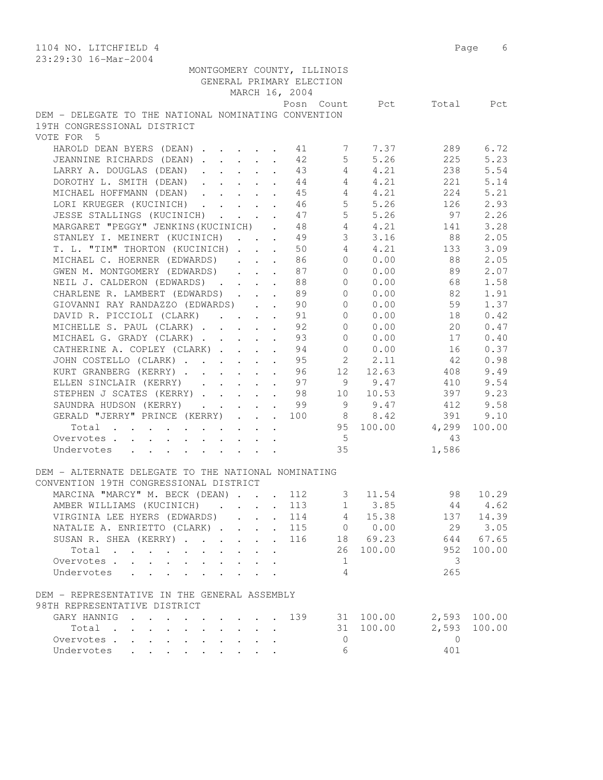| 1104 NO. LITCHFIELD 4<br>23:29:30 16-Mar-2004                   |                       |                    |         | Page<br>6    |
|-----------------------------------------------------------------|-----------------------|--------------------|---------|--------------|
| MONTGOMERY COUNTY, ILLINOIS                                     |                       |                    |         |              |
| GENERAL PRIMARY ELECTION                                        |                       |                    |         |              |
| MARCH 16, 2004                                                  |                       |                    |         |              |
|                                                                 | Posn Count            | Pot.               | Total   | Pct          |
| DEM - DELEGATE TO THE NATIONAL NOMINATING CONVENTION            |                       |                    |         |              |
| 19TH CONGRESSIONAL DISTRICT                                     |                       |                    |         |              |
| VOTE FOR 5                                                      |                       |                    |         |              |
|                                                                 |                       |                    |         |              |
| HAROLD DEAN BYERS (DEAN)                                        | 41<br>7               | 7.37               | 289     | 6.72         |
| JEANNINE RICHARDS (DEAN)                                        | 5 <sup>5</sup><br>42  | 5.26               | 225     | 5.23         |
| LARRY A. DOUGLAS (DEAN)<br>$\ddot{\phantom{a}}$                 | $4\overline{ }$<br>43 | 4.21               | 238     | 5.54         |
| DOROTHY L. SMITH (DEAN)<br>$\ddot{\phantom{a}}$                 | 44<br>$4\phantom{0}$  | 4.21               | 221     | 5.14         |
| MICHAEL HOFFMANN (DEAN)                                         | 45                    | $4\degree$<br>4.21 | 224     | 5.21         |
| LORI KRUEGER (KUCINICH)                                         | 46                    | 5, 5, 26           | 126     | 2.93         |
| JESSE STALLINGS (KUCINICH)                                      | 47                    | 5 5.26             | 97      | 2.26         |
| MARGARET "PEGGY" JENKINS (KUCINICH).                            | 48                    | 4 4.21             | 141     | 3.28         |
| STANLEY I. MEINERT (KUCINICH) 49                                | 3 <sup>7</sup>        | 3.16               | 88      | 2.05         |
| T. L. "TIM" THORTON (KUCINICH)                                  | $4 -$<br>50           | 4.21               | 133     | 3.09         |
| MICHAEL C. HOERNER (EDWARDS)<br>$\cdot$ $\cdot$ $\cdot$ $\cdot$ | $\overline{0}$<br>86  | 0.00               | 88      | 2.05         |
| GWEN M. MONTGOMERY (EDWARDS)                                    | $\overline{0}$<br>87  | 0.00               | 89      | 2.07         |
| $\ddot{\phantom{a}}$ . $\ddot{\phantom{a}}$                     |                       |                    |         |              |
| NEIL J. CALDERON (EDWARDS)                                      | 88<br>$\circ$         | 0.00               | 68      | 1.58         |
| CHARLENE R. LAMBERT (EDWARDS)                                   | 89<br>$\circ$         | 0.00               | 82      | 1.91         |
| GIOVANNI RAY RANDAZZO (EDWARDS)                                 | $\circ$<br>90         | 0.00               | 59      | 1.37         |
| DAVID R. PICCIOLI (CLARK)                                       | $\circ$<br>91         | 0.00               | 18      | 0.42         |
| MICHELLE S. PAUL (CLARK)                                        | 92<br>$\circ$         | 0.00               | 20      | 0.47         |
| MICHAEL G. GRADY (CLARK)                                        | 93<br>$\circ$         | 0.00               | 17      | 0.40         |
| CATHERINE A. COPLEY (CLARK)                                     | 94<br>$\circ$         | 0.00               | 16      | 0.37         |
| JOHN COSTELLO (CLARK)                                           | $2^{\circ}$<br>95     | 2.11               | 42      | 0.98         |
| KURT GRANBERG (KERRY)<br>$\ddot{\phantom{a}}$                   | 12<br>96              | 12.63              | 408     | 9.49         |
| ELLEN SINCLAIR (KERRY)<br>$\ddot{\phantom{a}}$                  | 97                    | 9 9.47             | 410     | 9.54         |
| STEPHEN J SCATES (KERRY)                                        | 98                    | 10 10.53           | 397     | 9.23         |
| SAUNDRA HUDSON (KERRY)<br>$\mathbf{r}$                          | 99                    | 9 9.47             | 412     | 9.58         |
| GERALD "JERRY" PRINCE (KERRY)                                   | 100                   | 8 8.42             | 391     | 9.10         |
|                                                                 |                       | 95 100.00 4,299    |         | 100.00       |
| Total                                                           |                       |                    |         |              |
| Overvotes                                                       | $5^{\circ}$           |                    | 43      |              |
| Undervotes                                                      | 35                    |                    | 1,586   |              |
|                                                                 |                       |                    |         |              |
| DEM - ALTERNATE DELEGATE TO THE NATIONAL NOMINATING             |                       |                    |         |              |
| CONVENTION 19TH CONGRESSIONAL DISTRICT                          |                       |                    |         |              |
| MARCINA "MARCY" M. BECK (DEAN)                                  | 112<br>3              | 11.54              | 98      | 10.29        |
| AMBER WILLIAMS (KUCINICH)                                       | 113                   | $1 \t3.85$         | 44      | 4.62         |
| VIRGINIA LEE HYERS (EDWARDS)                                    | 114                   | 4 15.38            |         | 137 14.39    |
| NATALIE A. ENRIETTO (CLARK)<br>$\sim$                           | 115                   | 0 0.00             | 29      | 3.05         |
| SUSAN R. SHEA (KERRY)                                           | 116                   | 18 69.23           | 644     | 67.65        |
| Total                                                           | 26                    | 100.00             | 952     | 100.00       |
| Overvotes                                                       | 1                     |                    | 3       |              |
| Undervotes                                                      | 4                     |                    | 265     |              |
| $\sim$ $\sim$ $\sim$<br>$\ddot{\phantom{a}}$                    |                       |                    |         |              |
| DEM - REPRESENTATIVE IN THE GENERAL ASSEMBLY                    |                       |                    |         |              |
| 98TH REPRESENTATIVE DISTRICT                                    |                       |                    |         |              |
| GARY HANNIG                                                     | 139                   | 31 100.00          |         | 2,593 100.00 |
| Total                                                           | 31                    | 100.00             | 2,593   | 100.00       |
|                                                                 |                       |                    |         |              |
| Overvotes                                                       | 0                     |                    | $\circ$ |              |
| Undervotes                                                      | 6                     |                    | 401     |              |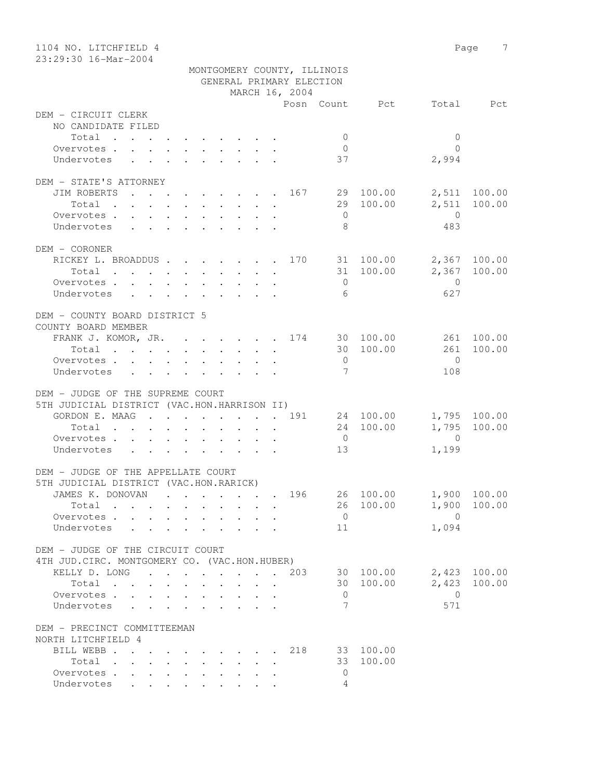| 1104 NO. LITCHFIELD 4                         |                                   | 7<br>Page                 |
|-----------------------------------------------|-----------------------------------|---------------------------|
| 23:29:30 16-Mar-2004                          |                                   |                           |
|                                               | MONTGOMERY COUNTY, ILLINOIS       |                           |
|                                               | GENERAL PRIMARY ELECTION          |                           |
|                                               | MARCH 16, 2004                    |                           |
|                                               | Posn Count Pct                    | Total Pct                 |
| DEM - CIRCUIT CLERK                           |                                   |                           |
| NO CANDIDATE FILED                            |                                   |                           |
| Total                                         | $\circ$                           | $\mathbf{0}$<br>$\bigcap$ |
| Overvotes.<br>Undervotes                      | $\overline{0}$<br>37              | 2,994                     |
|                                               |                                   |                           |
| DEM - STATE'S ATTORNEY                        |                                   |                           |
|                                               | JIM ROBERTS 167 29 100.00         | 2,511 100.00              |
|                                               | 29 100.00<br>Total                | 2,511<br>100.00           |
| Overvotes                                     | $\overline{0}$                    | $\overline{0}$            |
| Undervotes                                    | 8                                 | 483                       |
|                                               |                                   |                           |
| DEM - CORONER                                 |                                   |                           |
|                                               | RICKEY L. BROADDUS 170 31 100.00  | 2,367 100.00              |
|                                               | Total 31 100.00                   | 2,367 100.00              |
| Overvotes                                     | $\overline{0}$                    | $\overline{0}$            |
| Undervotes                                    | 6                                 | 627                       |
|                                               |                                   |                           |
| DEM - COUNTY BOARD DISTRICT 5                 |                                   |                           |
| COUNTY BOARD MEMBER                           |                                   |                           |
|                                               | FRANK J. KOMOR, JR. 174 30 100.00 | 261 100.00                |
| Total                                         | 30 100.00                         | 100.00<br>261             |
| Overvotes.                                    | $\overline{0}$                    | $\bigcirc$                |
| Undervotes                                    | $7\phantom{.0}$                   | 108                       |
|                                               |                                   |                           |
| DEM - JUDGE OF THE SUPREME COURT              |                                   |                           |
| 5TH JUDICIAL DISTRICT (VAC.HON.HARRISON II)   |                                   |                           |
|                                               | GORDON E. MAAG 191 24 100.00      | 1,795 100.00              |
| Total                                         | 24 100.00                         | 1,795 100.00              |
| Overvotes.                                    | $\overline{0}$                    | $\overline{0}$            |
| Undervotes                                    | 13                                | 1,199                     |
|                                               |                                   |                           |
| DEM - JUDGE OF THE APPELLATE COURT            |                                   |                           |
| 5TH JUDICIAL DISTRICT (VAC.HON.RARICK)        |                                   |                           |
| JAMES K. DONOVAN                              | 26 100.00<br>196                  | 1,900 100.00              |
| Total                                         | 26 100.00                         | 1,900<br>100.00           |
| Overvotes                                     | $\overline{0}$                    | $\overline{0}$            |
| Undervotes<br>$\sim$ $\sim$                   | 11<br>$\sim$                      | 1,094                     |
|                                               |                                   |                           |
| DEM - JUDGE OF THE CIRCUIT COURT              |                                   |                           |
| 4TH JUD. CIRC. MONTGOMERY CO. (VAC.HON.HUBER) |                                   |                           |
| KELLY D. LONG 203                             | 30 100.00                         | 2,423 100.00              |
| Total                                         | 30 100.00                         | 2,423<br>100.00           |
| Overvotes                                     | $\overline{0}$                    | $\overline{0}$            |
| Undervotes                                    | 7                                 | 571                       |
|                                               |                                   |                           |
| DEM - PRECINCT COMMITTEEMAN                   |                                   |                           |
| NORTH LITCHFIELD 4                            |                                   |                           |
| BILL WEBB 218                                 | 33 100.00                         |                           |
| Total                                         | 33 100.00                         |                           |
| Overvotes.                                    | $\mathbf{0}$                      |                           |
| Undervotes                                    | 4                                 |                           |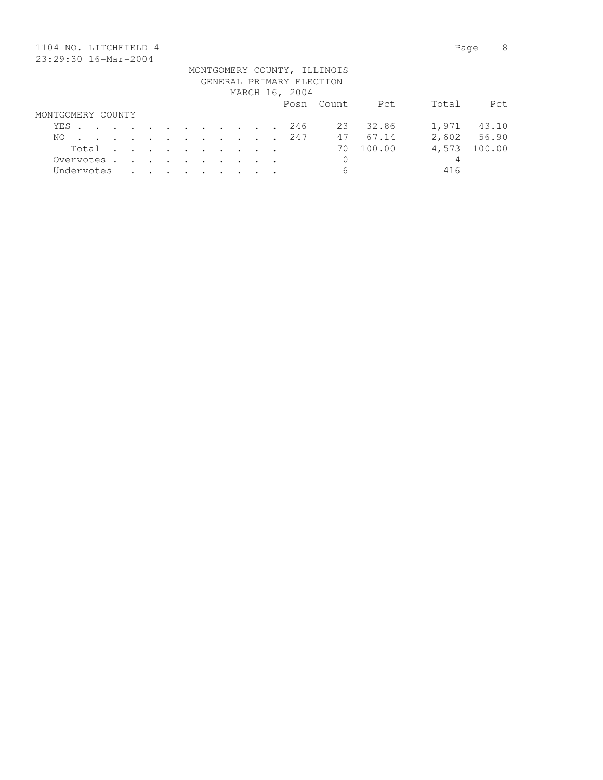|     | 1104 NO. LITCHFIELD 4 |  |                      |         |                                                                                                                 |        |                      |        |                                                             |  |                          |                             |        | Page  | 8      |
|-----|-----------------------|--|----------------------|---------|-----------------------------------------------------------------------------------------------------------------|--------|----------------------|--------|-------------------------------------------------------------|--|--------------------------|-----------------------------|--------|-------|--------|
|     | 23:29:30 16-Mar-2004  |  |                      |         |                                                                                                                 |        |                      |        |                                                             |  |                          |                             |        |       |        |
|     |                       |  |                      |         |                                                                                                                 |        |                      |        |                                                             |  | GENERAL PRIMARY ELECTION | MONTGOMERY COUNTY, ILLINOIS |        |       |        |
|     |                       |  |                      |         |                                                                                                                 |        |                      |        |                                                             |  | MARCH 16, 2004           |                             |        |       |        |
|     |                       |  |                      |         |                                                                                                                 |        |                      |        |                                                             |  |                          | Posn Count                  | Pct    | Total | Pct.   |
|     | MONTGOMERY COUNTY     |  |                      |         |                                                                                                                 |        |                      |        |                                                             |  |                          |                             |        |       |        |
| YES |                       |  |                      |         | the contract of the contract of the contract of the contract of the contract of the contract of the contract of |        |                      |        |                                                             |  | 246                      | 23                          | 32.86  | 1,971 | 43.10  |
| NO. |                       |  | $\sim$ 100 $\pm$     |         |                                                                                                                 |        |                      |        | $\mathcal{L}(\mathcal{A})$ , and $\mathcal{L}(\mathcal{A})$ |  | 247                      | 47                          | 67.14  | 2,602 | 56.90  |
|     | Total                 |  | $\ddot{\phantom{a}}$ |         | $\cdot$ $\cdot$ $\cdot$ $\cdot$                                                                                 |        | $\sim$               | $\sim$ | $\sim$ $\sim$                                               |  |                          | 70                          | 100.00 | 4,573 | 100.00 |
|     | Overvotes.            |  | $\sim$               | $\cdot$ | $\sim$                                                                                                          | $\sim$ | $\ddot{\phantom{a}}$ | $\sim$ |                                                             |  |                          | 0                           |        | 4     |        |
|     | Undervotes            |  |                      |         |                                                                                                                 |        |                      |        |                                                             |  |                          | 6                           |        | 416   |        |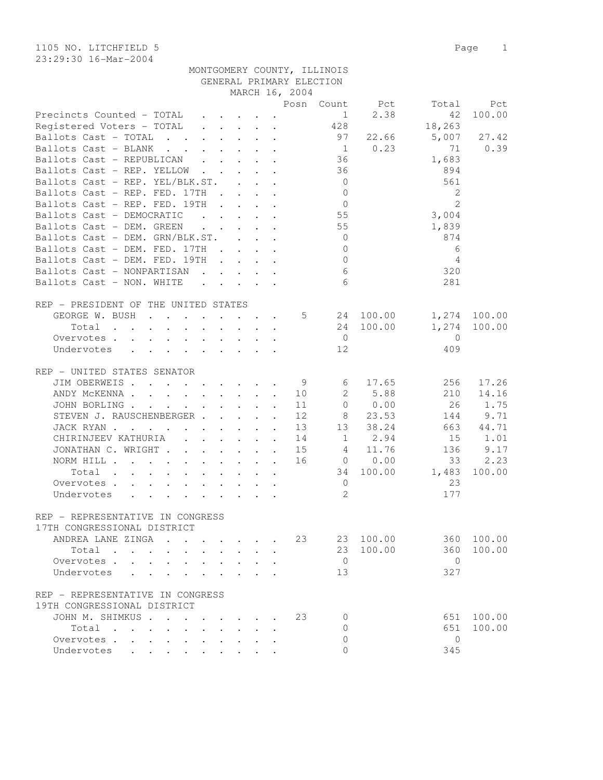| 1105 NO. LITCHFIELD 5 |                             |  | Page 1 |  |
|-----------------------|-----------------------------|--|--------|--|
| 23:29:30 16-Mar-2004  |                             |  |        |  |
|                       | MONTGOMERY COUNTY, ILLINOIS |  |        |  |

|                                                                                               |        |                                         |        |        | GENERAL PRIMARY ELECTION |                 |                |                |              |
|-----------------------------------------------------------------------------------------------|--------|-----------------------------------------|--------|--------|--------------------------|-----------------|----------------|----------------|--------------|
|                                                                                               |        |                                         |        |        | MARCH 16, 2004           |                 |                |                |              |
|                                                                                               |        |                                         |        |        |                          |                 | Posn Count Pct | Total          | Pct          |
| Precincts Counted - TOTAL                                                                     |        |                                         |        |        |                          | $\mathbf{1}$    | 2.38           | 42             | 100.00       |
| Registered Voters - TOTAL                                                                     |        |                                         |        |        |                          | 428             |                | 18,263         |              |
| Ballots Cast - TOTAL                                                                          |        |                                         |        |        |                          | 97              | 22.66          |                | 5,007 27.42  |
| Ballots Cast - BLANK                                                                          |        |                                         |        |        |                          |                 | $1 \t 0.23$    | 71             | 0.39         |
| Ballots Cast - REPUBLICAN                                                                     |        |                                         |        |        |                          | 36              |                | 1,683          |              |
| Ballots Cast - REP. YELLOW                                                                    |        |                                         |        |        |                          | 36              |                | 894            |              |
| Ballots Cast - REP. YEL/BLK.ST.                                                               |        |                                         |        |        |                          | $\overline{0}$  |                | 561            |              |
| Ballots Cast - REP. FED. 17TH                                                                 |        |                                         |        |        |                          | $\overline{0}$  |                | 2              |              |
| Ballots Cast - REP. FED. 19TH                                                                 |        |                                         |        |        |                          | $\overline{0}$  |                | 2              |              |
| Ballots Cast - DEMOCRATIC                                                                     |        |                                         |        |        |                          | 55              |                | 3,004          |              |
| Ballots Cast - DEM. GREEN                                                                     |        |                                         |        |        |                          | 55              |                | 1,839          |              |
| Ballots Cast - DEM. GRN/BLK.ST.                                                               |        |                                         |        |        |                          | $\overline{0}$  |                | 874            |              |
| Ballots Cast - DEM. FED. 17TH                                                                 |        |                                         |        |        |                          | $\mathbf{0}$    |                | 6              |              |
| Ballots Cast - DEM. FED. 19TH                                                                 |        |                                         |        |        |                          | $\overline{0}$  |                | $\overline{4}$ |              |
| Ballots Cast - NONPARTISAN                                                                    |        |                                         |        |        |                          | $6\overline{6}$ |                | 320            |              |
| Ballots Cast - NON. WHITE                                                                     |        |                                         |        |        |                          | 6               |                | 281            |              |
|                                                                                               |        |                                         |        |        |                          |                 |                |                |              |
| REP - PRESIDENT OF THE UNITED STATES                                                          |        |                                         |        |        |                          |                 |                |                |              |
| GEORGE W. BUSH 5 24 100.00                                                                    |        |                                         |        |        |                          |                 |                |                | 1,274 100.00 |
| Total                                                                                         |        |                                         |        |        |                          |                 | 24 100.00      |                | 1,274 100.00 |
| Overvotes.                                                                                    |        |                                         |        |        |                          | $\overline{0}$  |                | $\mathbf{0}$   |              |
| Undervotes                                                                                    |        |                                         |        |        |                          | 12              |                | 409            |              |
|                                                                                               |        |                                         |        |        |                          |                 |                |                |              |
| REP - UNITED STATES SENATOR                                                                   |        |                                         |        |        |                          |                 |                |                |              |
| JIM OBERWEIS                                                                                  |        |                                         |        |        | 9                        | 6               | 17.65          | 256            | 17.26        |
| ANDY MCKENNA                                                                                  |        |                                         |        |        | 10                       |                 | 2 5.88         | 210            | 14.16        |
| JOHN BORLING                                                                                  |        |                                         |        |        | 11                       | $\overline{0}$  | 0.00           | 26             | 1.75         |
| STEVEN J. RAUSCHENBERGER                                                                      |        |                                         |        |        | 12                       |                 | 8 23.53        | 144            | 9.71         |
| JACK RYAN                                                                                     |        |                                         |        |        |                          |                 | 13 13 38.24    |                | 663 44.71    |
| CHIRINJEEV KATHURIA 14 1 2.94                                                                 |        |                                         |        |        |                          |                 |                | 15             | 1.01         |
| JONATHAN C. WRIGHT 15                                                                         |        |                                         |        |        |                          |                 | 4 11.76        | 136            | 9.17         |
| NORM HILL 16 0 0.00                                                                           |        |                                         |        |        |                          |                 |                | 33             | 2.23         |
| Total                                                                                         |        |                                         |        |        |                          |                 | 34 100.00      | 1,483          | 100.00       |
| Overvotes                                                                                     |        |                                         |        |        |                          | $\overline{0}$  |                | 23             |              |
| Undervotes                                                                                    |        |                                         |        |        |                          | $\mathbf{2}$    |                | 177            |              |
|                                                                                               |        |                                         |        |        |                          |                 |                |                |              |
| REP - REPRESENTATIVE IN CONGRESS                                                              |        |                                         |        |        |                          |                 |                |                |              |
| 17TH CONGRESSIONAL DISTRICT                                                                   |        |                                         |        |        |                          |                 |                |                |              |
| ANDREA LANE ZINGA<br>$\mathbf{r}$ , $\mathbf{r}$ , $\mathbf{r}$ , $\mathbf{r}$ , $\mathbf{r}$ |        |                                         |        |        |                          | 23              | 23 100.00      |                | 360 100.00   |
| Total                                                                                         |        |                                         |        |        |                          |                 | 23 100.00      | 360            | 100.00       |
| Overvotes                                                                                     |        |                                         |        |        |                          | $\overline{0}$  |                | $\bigcirc$     |              |
| $\bullet$ .<br><br><br><br><br><br><br><br><br><br><br><br>                                   |        | $\cdot$ $\cdot$ $\cdot$ $\cdot$         |        |        |                          |                 |                | 327            |              |
| Undervotes                                                                                    |        | $\cdot$ $\cdot$ $\cdot$ $\cdot$ $\cdot$ |        |        |                          | 13              |                |                |              |
|                                                                                               |        |                                         |        |        |                          |                 |                |                |              |
| REP - REPRESENTATIVE IN CONGRESS<br>19TH CONGRESSIONAL DISTRICT                               |        |                                         |        |        |                          |                 |                |                |              |
|                                                                                               |        |                                         |        |        |                          |                 |                |                |              |
| JOHN M. SHIMKUS                                                                               |        |                                         |        |        | 23                       | $\Omega$        |                | 651            | 100.00       |
| Total                                                                                         | $\sim$ | $\mathbf{L}$                            | $\sim$ | $\sim$ |                          | $\Omega$        |                | 651            | 100.00       |
| Overvotes.                                                                                    |        |                                         |        |        |                          | 0               |                | $\overline{0}$ |              |
| Undervotes                                                                                    |        |                                         |        |        |                          | $\Omega$        |                | 345            |              |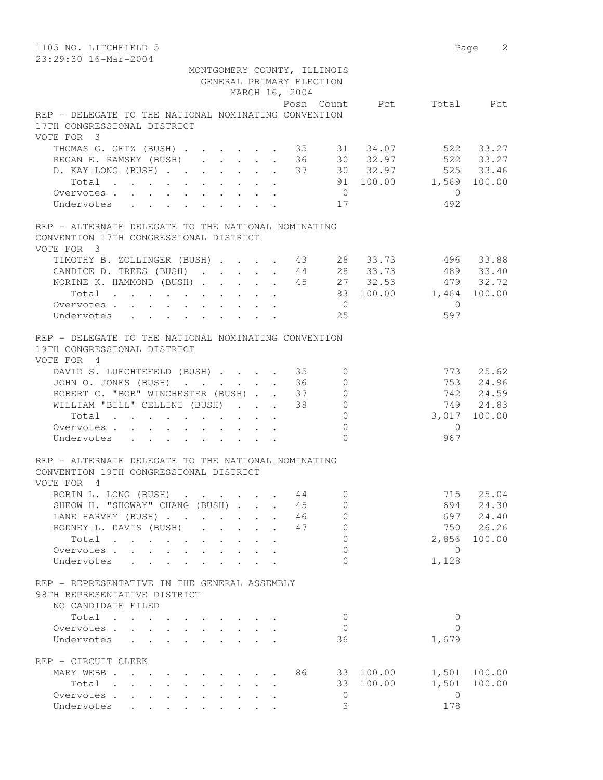| 1105 NO. LITCHFIELD 5<br>23:29:30 16-Mar-2004                                                      |              |                         |                                 |                      |                          |                             |                |                        | 2<br>Page          |
|----------------------------------------------------------------------------------------------------|--------------|-------------------------|---------------------------------|----------------------|--------------------------|-----------------------------|----------------|------------------------|--------------------|
|                                                                                                    |              |                         |                                 |                      |                          | MONTGOMERY COUNTY, ILLINOIS |                |                        |                    |
|                                                                                                    |              |                         |                                 |                      | GENERAL PRIMARY ELECTION |                             |                |                        |                    |
|                                                                                                    |              |                         |                                 |                      | MARCH 16, 2004           |                             |                |                        |                    |
|                                                                                                    |              |                         |                                 |                      |                          |                             | Posn Count Pct |                        | Total Pct          |
| REP - DELEGATE TO THE NATIONAL NOMINATING CONVENTION                                               |              |                         |                                 |                      |                          |                             |                |                        |                    |
| 17TH CONGRESSIONAL DISTRICT<br>VOTE FOR 3                                                          |              |                         |                                 |                      |                          |                             |                |                        |                    |
| THOMAS G. GETZ (BUSH) 35 31 34.07                                                                  |              |                         |                                 |                      |                          |                             |                |                        | 522 33.27          |
| REGAN E. RAMSEY (BUSH)                                                                             |              |                         |                                 |                      |                          |                             | 36 30 32.97    |                        | 522 33.27          |
| D. KAY LONG (BUSH) 37 30 32.97 525 33.46                                                           |              |                         |                                 |                      |                          |                             |                |                        |                    |
| Total                                                                                              |              |                         |                                 |                      |                          |                             |                | 91 100.00 1,569 100.00 |                    |
| Overvotes.                                                                                         |              |                         |                                 |                      |                          | $\overline{0}$              |                | $\overline{0}$         |                    |
| Undervotes                                                                                         |              |                         |                                 |                      |                          | 17                          |                | 492                    |                    |
| REP - ALTERNATE DELEGATE TO THE NATIONAL NOMINATING                                                |              |                         |                                 |                      |                          |                             |                |                        |                    |
| CONVENTION 17TH CONGRESSIONAL DISTRICT                                                             |              |                         |                                 |                      |                          |                             |                |                        |                    |
| VOTE FOR 3                                                                                         |              |                         |                                 |                      |                          |                             |                |                        |                    |
| TIMOTHY B. ZOLLINGER (BUSH) 43 28 33.73                                                            |              |                         |                                 |                      |                          |                             |                |                        | 496 33.88          |
| CANDICE D. TREES (BUSH) 44 28 33.73                                                                |              |                         |                                 |                      |                          |                             |                |                        | 489 33.40          |
| NORINE K. HAMMOND (BUSH) 45 27 32.53                                                               |              |                         |                                 |                      |                          |                             |                |                        | 479 32.72          |
| Total 83 100.00 1,464 100.00                                                                       |              |                         |                                 |                      |                          |                             |                |                        |                    |
| Overvotes                                                                                          |              |                         |                                 |                      |                          | $\overline{0}$              |                | $\overline{0}$         |                    |
| Undervotes                                                                                         |              |                         |                                 |                      |                          | 25                          |                | 597                    |                    |
| REP - DELEGATE TO THE NATIONAL NOMINATING CONVENTION                                               |              |                         |                                 |                      |                          |                             |                |                        |                    |
| 19TH CONGRESSIONAL DISTRICT                                                                        |              |                         |                                 |                      |                          |                             |                |                        |                    |
| VOTE FOR 4<br>DAVID S. LUECHTEFELD (BUSH) 35                                                       |              |                         |                                 |                      |                          | $\circ$                     |                |                        | 773 25.62          |
| JOHN 0. JONES (BUSH) 36                                                                            |              |                         |                                 |                      |                          | $\circ$                     |                |                        | 753 24.96          |
| ROBERT C. "BOB" WINCHESTER (BUSH) 37                                                               |              |                         |                                 |                      |                          | $\circ$                     |                |                        | 742 24.59          |
|                                                                                                    |              |                         |                                 |                      |                          | $\circ$                     |                |                        | 749 24.83          |
| WILLIAM "BILL" CELLINI (BUSH) 38                                                                   |              |                         |                                 |                      |                          | $\circ$                     |                | 3,017                  | 100.00             |
| Total                                                                                              |              |                         |                                 |                      |                          | $\circ$                     |                | $\overline{0}$         |                    |
| Overvotes<br>Undervotes                                                                            |              |                         |                                 |                      |                          | $\Omega$                    |                | 967                    |                    |
| REP - ALTERNATE DELEGATE TO THE NATIONAL NOMINATING                                                |              |                         |                                 |                      |                          |                             |                |                        |                    |
| CONVENTION 19TH CONGRESSIONAL DISTRICT                                                             |              |                         |                                 |                      |                          |                             |                |                        |                    |
| VOTE FOR 4<br>ROBIN L. LONG (BUSH) 44                                                              |              |                         |                                 |                      |                          | 0                           |                | 715                    | 25.04              |
| SHEOW H. "SHOWAY" CHANG (BUSH) 45                                                                  |              |                         |                                 |                      |                          | 0                           |                | 694                    | 24.30              |
| LANE HARVEY (BUSH)                                                                                 |              |                         |                                 |                      | 46                       | 0                           |                |                        |                    |
| RODNEY L. DAVIS (BUSH)                                                                             |              |                         |                                 | $\ddot{\phantom{a}}$ | 47                       | 0                           |                | 750                    | 697 24.40<br>26.26 |
| Total                                                                                              |              | $\sim$                  |                                 |                      |                          | $\mathbf{0}$                |                | 2,856                  | 100.00             |
| Overvotes                                                                                          |              |                         | $\cdot$ $\cdot$ $\cdot$ $\cdot$ |                      |                          | $\Omega$                    |                | $\bigcirc$             |                    |
|                                                                                                    | $\mathbf{L}$ | $\cdot$ $\cdot$ $\cdot$ |                                 |                      |                          | $\Omega$                    |                | 1,128                  |                    |
| Undervotes                                                                                         | $\mathbf{L}$ |                         |                                 |                      |                          |                             |                |                        |                    |
| REP - REPRESENTATIVE IN THE GENERAL ASSEMBLY<br>98TH REPRESENTATIVE DISTRICT<br>NO CANDIDATE FILED |              |                         |                                 |                      |                          |                             |                |                        |                    |
| Total                                                                                              |              |                         |                                 |                      |                          | $\mathbf{0}$                |                | $\mathbf{0}$           |                    |
| Overvotes.                                                                                         |              |                         |                                 |                      |                          | $\mathbf{0}$                |                | 0                      |                    |
|                                                                                                    |              |                         |                                 |                      |                          | 36                          |                | 1,679                  |                    |
| Undervotes                                                                                         |              |                         |                                 |                      |                          |                             |                |                        |                    |
| REP - CIRCUIT CLERK                                                                                |              |                         |                                 |                      |                          |                             |                |                        |                    |
| MARY WEBB                                                                                          |              |                         |                                 |                      | 86                       |                             | 33 100.00      |                        | 1,501 100.00       |
| Total                                                                                              |              |                         |                                 |                      |                          |                             | 33 100.00      | 1,501                  | 100.00             |
| Overvotes.                                                                                         |              |                         |                                 |                      |                          | $\mathbf{0}$                |                | $\overline{0}$         |                    |
| Undervotes                                                                                         |              |                         |                                 |                      |                          | 3                           |                | 178                    |                    |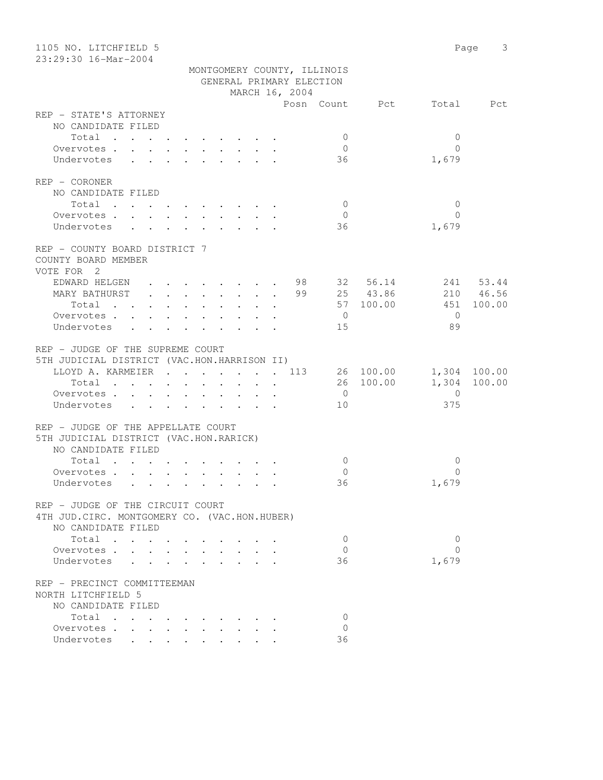| 1105 NO. LITCHFIELD 5<br>23:29:30 16-Mar-2004                                                                                                                                            |                                                                           | Page<br>3      |
|------------------------------------------------------------------------------------------------------------------------------------------------------------------------------------------|---------------------------------------------------------------------------|----------------|
|                                                                                                                                                                                          | MONTGOMERY COUNTY, ILLINOIS<br>GENERAL PRIMARY ELECTION<br>MARCH 16, 2004 |                |
|                                                                                                                                                                                          | Posn Count Pct                                                            | Total<br>Pct   |
| REP - STATE'S ATTORNEY                                                                                                                                                                   |                                                                           |                |
| NO CANDIDATE FILED                                                                                                                                                                       |                                                                           |                |
| Total                                                                                                                                                                                    | 0                                                                         | 0              |
| Overvotes .<br>$\mathbf{L}$                                                                                                                                                              | 0                                                                         | $\Omega$       |
| Undervotes<br>$\ddot{\phantom{a}}$                                                                                                                                                       | 36                                                                        | 1,679          |
| REP - CORONER                                                                                                                                                                            |                                                                           |                |
| NO CANDIDATE FILED                                                                                                                                                                       |                                                                           |                |
| Total .<br>$\cdots$                                                                                                                                                                      | $\overline{0}$                                                            | $\overline{0}$ |
| Overvotes<br>$\sim$<br>$\ddot{\phantom{0}}$                                                                                                                                              | $\overline{0}$<br>$\cdot$ $\cdot$ $\cdot$ $\cdot$<br>$\ddot{\phantom{0}}$ | $\Omega$       |
| Undervotes<br>$\ddot{\phantom{a}}$                                                                                                                                                       | 36<br>$\cdot$ $\cdot$ $\cdot$ $\cdot$                                     | 1,679          |
|                                                                                                                                                                                          |                                                                           |                |
| REP - COUNTY BOARD DISTRICT 7<br>COUNTY BOARD MEMBER                                                                                                                                     |                                                                           |                |
| VOTE FOR 2                                                                                                                                                                               |                                                                           |                |
| EDWARD HELGEN<br>$\mathbf{r}$ , $\mathbf{r}$ , $\mathbf{r}$ , $\mathbf{r}$                                                                                                               | 98 — 10<br>32 56.14                                                       | 241 53.44      |
| MARY BATHURST<br>$\cdot$ $\cdot$ $\cdot$ $\cdot$ $\cdot$ $\cdot$ $\cdot$ $\cdot$                                                                                                         | 99 25 43.86                                                               | 210 46.56      |
| Total<br>$\ddot{\phantom{0}}$                                                                                                                                                            | 57 100.00<br>$\mathbf{r}$ and $\mathbf{r}$                                | 451<br>100.00  |
| Overvotes<br>$\ddot{\phantom{0}}$<br>$\ddot{\phantom{0}}$                                                                                                                                | $\overline{0}$<br>$\ddot{\phantom{0}}$<br>$\ddot{\phantom{0}}$            | $\overline{0}$ |
| Undervotes<br>$\ddot{\phantom{0}}$<br>$\ddot{\phantom{0}}$<br>$\bullet$ .<br><br><br><br><br><br><br><br><br><br><br><br><br>$\ddot{\phantom{0}}$<br>$\bullet$ .<br><br><br><br><br><br> | 15<br>$\mathbf{r} = \mathbf{r} + \mathbf{r} + \mathbf{r}$                 | 89             |
| REP - JUDGE OF THE SUPREME COURT                                                                                                                                                         |                                                                           |                |
| 5TH JUDICIAL DISTRICT (VAC.HON.HARRISON II)                                                                                                                                              |                                                                           |                |
| LLOYD A. KARMEIER 113                                                                                                                                                                    | 26 100.00                                                                 | 1,304 100.00   |
| Total<br>$\mathbf{r}$ , $\mathbf{r}$ , $\mathbf{r}$ , $\mathbf{r}$<br>$\mathbf{r}$ , $\mathbf{r}$ , $\mathbf{r}$ , $\mathbf{r}$ , $\mathbf{r}$                                           | 26 100.00                                                                 | 1,304 100.00   |
| Overvotes.                                                                                                                                                                               | $\overline{0}$                                                            | $\circ$        |
| Undervotes<br>$\mathbf{r}$ , $\mathbf{r}$ , $\mathbf{r}$ , $\mathbf{r}$ , $\mathbf{r}$ , $\mathbf{r}$ , $\mathbf{r}$                                                                     | 10                                                                        | 375            |
| REP - JUDGE OF THE APPELLATE COURT                                                                                                                                                       |                                                                           |                |
| 5TH JUDICIAL DISTRICT (VAC.HON.RARICK)                                                                                                                                                   |                                                                           |                |
| NO CANDIDATE FILED                                                                                                                                                                       |                                                                           |                |
| Total                                                                                                                                                                                    | 0                                                                         | 0              |
| Overvotes.<br>$\mathbf{r}$ , $\mathbf{r}$ , $\mathbf{r}$<br>$\bullet$ .                                                                                                                  | $\Omega$                                                                  | $\Omega$       |
| Undervotes                                                                                                                                                                               | 36                                                                        | 1,679          |
|                                                                                                                                                                                          |                                                                           |                |
| REP - JUDGE OF THE CIRCUIT COURT                                                                                                                                                         |                                                                           |                |
| 4TH JUD. CIRC. MONTGOMERY CO. (VAC.HON.HUBER)                                                                                                                                            |                                                                           |                |
| NO CANDIDATE FILED                                                                                                                                                                       |                                                                           |                |
| Total                                                                                                                                                                                    | $\mathbf{0}$                                                              | 0              |
| Overvotes.                                                                                                                                                                               | $\mathbf{0}$                                                              | $\Omega$       |
| Undervotes                                                                                                                                                                               | 36                                                                        | 1,679          |
| REP - PRECINCT COMMITTEEMAN                                                                                                                                                              |                                                                           |                |
| NORTH LITCHFIELD 5                                                                                                                                                                       |                                                                           |                |
| NO CANDIDATE FILED                                                                                                                                                                       |                                                                           |                |
| Total                                                                                                                                                                                    | $\mathbf 0$                                                               |                |
| Overvotes .                                                                                                                                                                              | $\Omega$                                                                  |                |
| Undervotes<br>$\sim$                                                                                                                                                                     | 36                                                                        |                |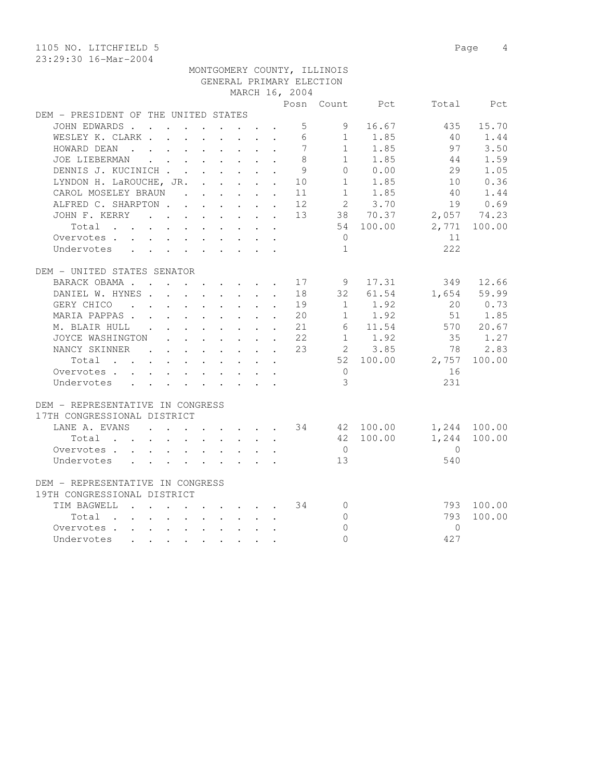1105 NO. LITCHFIELD 5 Page 4

## MONTGOMERY COUNTY, ILLINOIS GENERAL PRIMARY ELECTION MARCH 16, 2004

|                                         |  |  |  |                                                                                                                                                                                                                                   |  |                                                            |                | Posn Count Pct |                   | Total Pct    |
|-----------------------------------------|--|--|--|-----------------------------------------------------------------------------------------------------------------------------------------------------------------------------------------------------------------------------------|--|------------------------------------------------------------|----------------|----------------|-------------------|--------------|
| DEM - PRESIDENT OF THE UNITED STATES    |  |  |  |                                                                                                                                                                                                                                   |  |                                                            |                |                |                   |              |
| JOHN EDWARDS                            |  |  |  |                                                                                                                                                                                                                                   |  | $5 -$                                                      |                | 9 16.67        | 435               | 15.70        |
| WESLEY K. CLARK                         |  |  |  |                                                                                                                                                                                                                                   |  | $6\overline{6}$                                            |                | $1 \t 1.85$    | 40                | 1.44         |
| HOWARD DEAN                             |  |  |  | $\mathcal{A}$ . The set of the set of the set of the set of the $\mathcal{A}$                                                                                                                                                     |  | $7\phantom{.0}$                                            | 1              | 1.85           | 97                | 3.50         |
| JOE LIEBERMAN                           |  |  |  | $\mathbf{r}$ . The set of the set of the set of the set of the set of the set of the set of the set of the set of the set of the set of the set of the set of the set of the set of the set of the set of the set of the set of t |  | 8                                                          |                | $1 \t 1.85$    | 44                | 1.59         |
| DENNIS J. KUCINICH                      |  |  |  |                                                                                                                                                                                                                                   |  | $\overline{9}$                                             |                | 0 0.00         | 29                | 1.05         |
| LYNDON H. LaROUCHE, JR. 10              |  |  |  |                                                                                                                                                                                                                                   |  |                                                            |                | 1 1.85         | 10                | 0.36         |
| CAROL MOSELEY BRAUN 11                  |  |  |  |                                                                                                                                                                                                                                   |  |                                                            |                | $1 \t 1.85$    | 40                | 1.44         |
| ALFRED C. SHARPTON 12                   |  |  |  |                                                                                                                                                                                                                                   |  |                                                            |                | 2 3.70         | 19                | 0.69         |
| JOHN F. KERRY                           |  |  |  |                                                                                                                                                                                                                                   |  |                                                            |                | 13 38 70.37    | 2,057 74.23       |              |
| Total                                   |  |  |  | $\mathbf{r}$ , $\mathbf{r}$ , $\mathbf{r}$ , $\mathbf{r}$ , $\mathbf{r}$ , $\mathbf{r}$                                                                                                                                           |  |                                                            |                | 54 100.00      |                   | 2,771 100.00 |
| Overvotes.                              |  |  |  |                                                                                                                                                                                                                                   |  |                                                            | $\overline{0}$ |                | 11                |              |
| Undervotes                              |  |  |  |                                                                                                                                                                                                                                   |  |                                                            | $\mathbf{1}$   |                | 222               |              |
|                                         |  |  |  |                                                                                                                                                                                                                                   |  |                                                            |                |                |                   |              |
| DEM - UNITED STATES SENATOR             |  |  |  |                                                                                                                                                                                                                                   |  |                                                            |                |                |                   |              |
|                                         |  |  |  |                                                                                                                                                                                                                                   |  |                                                            |                | 17.31          | 349               | 12.66        |
| BARACK OBAMA 17 9                       |  |  |  |                                                                                                                                                                                                                                   |  |                                                            |                |                |                   |              |
| DANIEL W. HYNES.                        |  |  |  |                                                                                                                                                                                                                                   |  | 18                                                         | 32             | 61.54          | 1,654 59.99       |              |
| GERY CHICO                              |  |  |  | $\mathbf{r}$ , $\mathbf{r}$ , $\mathbf{r}$ , $\mathbf{r}$ , $\mathbf{r}$ , $\mathbf{r}$                                                                                                                                           |  | 19                                                         |                | $1 \t 1.92$    | 20                | 0.73         |
| MARIA PAPPAS 20                         |  |  |  |                                                                                                                                                                                                                                   |  |                                                            |                | $1 \t 1.92$    | 51                | 1.85         |
| M. BLAIR HULL 21                        |  |  |  |                                                                                                                                                                                                                                   |  |                                                            |                |                | 6 11.54 570 20.67 |              |
| JOYCE WASHINGTON                        |  |  |  |                                                                                                                                                                                                                                   |  | $\cdot$ $\cdot$ $\cdot$ $\cdot$ $\cdot$ $\cdot$ $\cdot$ 22 |                | $1 \quad 1.92$ | 35                | 1.27         |
| NANCY SKINNER 23                        |  |  |  |                                                                                                                                                                                                                                   |  |                                                            |                | 2 3.85         | 78                | 2.83         |
| Total                                   |  |  |  |                                                                                                                                                                                                                                   |  |                                                            |                |                | 52 100.00 2,757   | 100.00       |
| Overvotes                               |  |  |  |                                                                                                                                                                                                                                   |  |                                                            | $\overline{0}$ |                | 16                |              |
| Undervotes                              |  |  |  |                                                                                                                                                                                                                                   |  |                                                            | $\mathcal{S}$  |                | 231               |              |
|                                         |  |  |  |                                                                                                                                                                                                                                   |  |                                                            |                |                |                   |              |
| DEM - REPRESENTATIVE IN CONGRESS        |  |  |  |                                                                                                                                                                                                                                   |  |                                                            |                |                |                   |              |
| 17TH CONGRESSIONAL DISTRICT             |  |  |  |                                                                                                                                                                                                                                   |  |                                                            |                |                |                   |              |
| LANE A. EVANS 34 42 100.00 1,244 100.00 |  |  |  |                                                                                                                                                                                                                                   |  |                                                            |                |                |                   |              |
| Total                                   |  |  |  | $\begin{array}{cccccccccccccc} . & . & . & . & . & . & . & . & . & . & . \end{array}$                                                                                                                                             |  |                                                            |                | 42 100.00      |                   | 1,244 100.00 |
| Overvotes.                              |  |  |  |                                                                                                                                                                                                                                   |  |                                                            | $\bigcirc$     |                | $\overline{0}$    |              |
| Undervotes                              |  |  |  |                                                                                                                                                                                                                                   |  |                                                            | 13             |                | 540               |              |
|                                         |  |  |  |                                                                                                                                                                                                                                   |  |                                                            |                |                |                   |              |
| DEM - REPRESENTATIVE IN CONGRESS        |  |  |  |                                                                                                                                                                                                                                   |  |                                                            |                |                |                   |              |
| 19TH CONGRESSIONAL DISTRICT             |  |  |  |                                                                                                                                                                                                                                   |  |                                                            |                |                |                   |              |
| TIM BAGWELL.                            |  |  |  |                                                                                                                                                                                                                                   |  | $\cdot$ 34                                                 | $\circ$        |                |                   | 793 100.00   |
|                                         |  |  |  |                                                                                                                                                                                                                                   |  |                                                            | $\circ$        |                | 793               | 100.00       |
| Total                                   |  |  |  | $\mathbf{r}$ , $\mathbf{r}$ , $\mathbf{r}$ , $\mathbf{r}$ , $\mathbf{r}$ , $\mathbf{r}$                                                                                                                                           |  |                                                            |                |                |                   |              |
| Overvotes                               |  |  |  |                                                                                                                                                                                                                                   |  |                                                            | $\overline{0}$ |                | $\Omega$          |              |
| Undervotes                              |  |  |  |                                                                                                                                                                                                                                   |  |                                                            | $\Omega$       |                | 427               |              |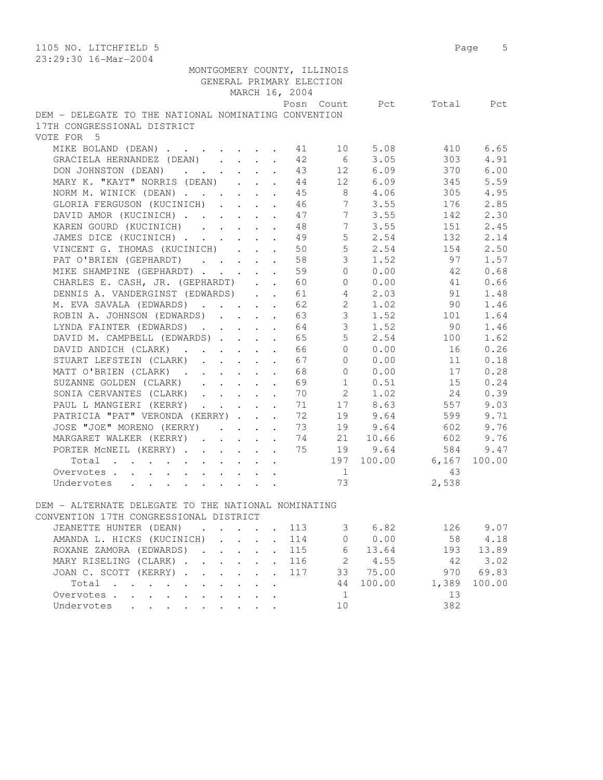| 1105 NO. LITCHFIELD 5                                                                      |                                              |                |                 |                                        |       | Page 5   |
|--------------------------------------------------------------------------------------------|----------------------------------------------|----------------|-----------------|----------------------------------------|-------|----------|
| 23:29:30 16-Mar-2004                                                                       |                                              |                |                 |                                        |       |          |
| MONTGOMERY COUNTY, ILLINOIS                                                                |                                              |                |                 |                                        |       |          |
| GENERAL PRIMARY ELECTION                                                                   |                                              |                |                 |                                        |       |          |
|                                                                                            |                                              | MARCH 16, 2004 |                 |                                        |       |          |
|                                                                                            |                                              |                | Posn Count      | Pct                                    | Total | Pct      |
| DEM - DELEGATE TO THE NATIONAL NOMINATING CONVENTION                                       |                                              |                |                 |                                        |       |          |
| 17TH CONGRESSIONAL DISTRICT                                                                |                                              |                |                 |                                        |       |          |
| VOTE FOR 5                                                                                 |                                              |                |                 |                                        |       |          |
| MIKE BOLAND (DEAN)                                                                         |                                              | 41             | 10              | 5.08                                   | 410   | 6.65     |
| GRACIELA HERNANDEZ (DEAN)                                                                  |                                              | 42             | 6               | 3.05                                   | 303   | 4.91     |
| DON JOHNSTON (DEAN)                                                                        |                                              | 43             |                 | 12 6.09                                | 370   | 6.00     |
| MARY K. "KAYT" NORRIS (DEAN)                                                               |                                              | 44             |                 | 12 6.09                                | 345   | 5.59     |
| NORM M. WINICK (DEAN)                                                                      |                                              | 45             |                 | 8 4.06                                 | 305   | 4.95     |
| GLORIA FERGUSON (KUCINICH)                                                                 |                                              | 46             | 7               | 3.55                                   | 176   | 2.85     |
| DAVID AMOR (KUCINICH)                                                                      |                                              | 47             | 7               | 3.55                                   | 142   | 2.30     |
| KAREN GOURD (KUCINICH)                                                                     |                                              | 48             | $7\overline{ }$ | 3.55                                   | 151   | 2.45     |
| JAMES DICE (KUCINICH)                                                                      |                                              | 49             | 5 <sup>5</sup>  | 2.54                                   | 132   | 2.14     |
| VINCENT G. THOMAS (KUCINICH)                                                               |                                              | 50             | 5               | 2.54                                   | 154   | 2.50     |
|                                                                                            |                                              |                | $\mathcal{S}$   |                                        | 97    |          |
| PAT O'BRIEN (GEPHARDT)                                                                     |                                              | 58             |                 | 1.52                                   |       | 1.57     |
| MIKE SHAMPINE (GEPHARDT)                                                                   |                                              | 59             | $\Omega$        | 0.00                                   | 42    | 0.68     |
| CHARLES E. CASH, JR. (GEPHARDT)                                                            |                                              | 60             | $\overline{0}$  | 0.00                                   | 41    | 0.66     |
| DENNIS A. VANDERGINST (EDWARDS)                                                            |                                              | 61             | $4\overline{ }$ | 2.03                                   | 91    | 1.48     |
| M. EVA SAVALA (EDWARDS)                                                                    |                                              | 62             | $2^{\circ}$     | 1.02                                   | 90    | 1.46     |
| ROBIN A. JOHNSON (EDWARDS)                                                                 |                                              | 63             | $\mathcal{S}$   | 1.52                                   | 101   | 1.64     |
| LYNDA FAINTER (EDWARDS)                                                                    |                                              | 64             | $\mathcal{S}$   | 1.52                                   | 90    | 1.46     |
| DAVID M. CAMPBELL (EDWARDS)                                                                |                                              | 65             | 5               | 2.54                                   | 100   | 1.62     |
| DAVID ANDICH (CLARK)                                                                       | $\ddot{\phantom{a}}$                         | 66             | $\circ$         | 0.00                                   | 16    | 0.26     |
| STUART LEFSTEIN (CLARK)                                                                    |                                              | 67             | $\Omega$        | 0.00                                   | 11    | 0.18     |
| MATT O'BRIEN (CLARK)                                                                       |                                              | 68             | $\Omega$        | 0.00                                   | 17    | 0.28     |
| SUZANNE GOLDEN (CLARK)                                                                     |                                              | 69             | $\mathbf{1}$    | 0.51                                   | 15    | 0.24     |
| SONIA CERVANTES (CLARK)                                                                    |                                              | 70             |                 | $2 \left( \frac{1}{2} \right)$<br>1.02 | 24    | 0.39     |
| PAUL L MANGIERI (KERRY)                                                                    |                                              | 71             |                 | 17 8.63                                | 557   | 9.03     |
| PATRICIA "PAT" VERONDA (KERRY)                                                             |                                              | 72             |                 | 19 9.64                                | 599   | 9.71     |
| JOSE "JOE" MORENO (KERRY)                                                                  |                                              | 73             | 19              | 9.64                                   | 602   | 9.76     |
| MARGARET WALKER (KERRY)                                                                    |                                              | 74             | 21              | 10.66                                  | 602   | 9.76     |
| PORTER MCNEIL (KERRY)                                                                      |                                              | 75             | 19              | 9.64                                   | 584   | 9.47     |
| Total                                                                                      |                                              |                | 197             | 100.00                                 | 6,167 | 100.00   |
| Overvotes                                                                                  |                                              |                | $\mathbf{1}$    |                                        | 43    |          |
| Undervotes                                                                                 |                                              |                | 73              |                                        | 2,538 |          |
|                                                                                            |                                              |                |                 |                                        |       |          |
| DEM - ALTERNATE DELEGATE TO THE NATIONAL NOMINATING                                        |                                              |                |                 |                                        |       |          |
| CONVENTION 17TH CONGRESSIONAL DISTRICT                                                     |                                              |                |                 |                                        |       |          |
| JEANETTE HUNTER (DEAN)<br>and the contract of the contract of                              |                                              | 113            | $\mathcal{S}$   | 6.82                                   |       | 126 9.07 |
| AMANDA L. HICKS (KUCINICH)<br>$\mathbf{L} = \mathbf{L} \mathbf{L} + \mathbf{L} \mathbf{L}$ |                                              | 114            | $\overline{0}$  | 0.00                                   | 58    | 4.18     |
| ROXANE ZAMORA (EDWARDS).<br>$\cdot$ $\cdot$ $\cdot$                                        | $\mathbf{r}$                                 | 115            | 6               | 13.64                                  | 193   | 13.89    |
| MARY RISELING (CLARK)                                                                      | $\mathbf{r}$                                 | 116            |                 | 2 4.55                                 | 42    | 3.02     |
| JOAN C. SCOTT (KERRY)                                                                      | $\mathbf{L}^{\text{max}}$<br>$\sim$          | 117            |                 | 33 75.00                               | 970   | 69.83    |
| Total                                                                                      | $\cdot$                                      |                | 44              | 100.00                                 | 1,389 | 100.00   |
| Overvotes.                                                                                 | $\ddot{\phantom{0}}$<br>$\ddot{\phantom{a}}$ |                | 1               |                                        | 13    |          |
| Undervotes<br>$\ddot{\phantom{0}}$                                                         |                                              |                | 10              |                                        | 382   |          |
|                                                                                            |                                              |                |                 |                                        |       |          |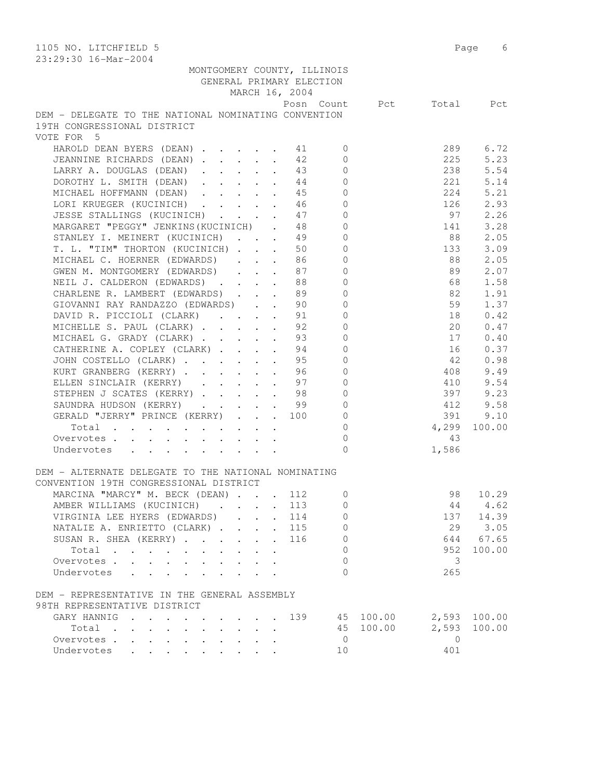| 1105 NO. LITCHFIELD 5                                                                                                                                |                | Page 6       |
|------------------------------------------------------------------------------------------------------------------------------------------------------|----------------|--------------|
| 23:29:30 16-Mar-2004                                                                                                                                 |                |              |
| MONTGOMERY COUNTY, ILLINOIS                                                                                                                          |                |              |
| GENERAL PRIMARY ELECTION                                                                                                                             |                |              |
| MARCH 16, 2004                                                                                                                                       |                |              |
| Posn Count Pct                                                                                                                                       |                | Total Pct    |
| DEM - DELEGATE TO THE NATIONAL NOMINATING CONVENTION                                                                                                 |                |              |
| 19TH CONGRESSIONAL DISTRICT                                                                                                                          |                |              |
| VOTE FOR 5                                                                                                                                           |                |              |
| HAROLD DEAN BYERS (DEAN) 1 11<br>$\mathbf{0}$                                                                                                        | 289            | 6.72         |
| JEANNINE RICHARDS (DEAN)<br>42<br>$\Omega$                                                                                                           | 225            | 5.23         |
| LARRY A. DOUGLAS (DEAN)<br>$\circ$<br>43                                                                                                             | 238            | 5.54         |
| $\mathbf{0}$<br>DOROTHY L. SMITH (DEAN)<br>44                                                                                                        | 221            | 5.14         |
| $\mathbf{0}$<br>MICHAEL HOFFMANN (DEAN)<br>45                                                                                                        | 224            | 5.21         |
| LORI KRUEGER (KUCINICH) 46<br>$\circ$                                                                                                                | 126            | 2.93         |
| JESSE STALLINGS (KUCINICH) 47<br>$\circ$                                                                                                             | 97             | 2.26         |
| $\mathbb O$<br>MARGARET "PEGGY" JENKINS (KUCINICH).<br>48                                                                                            | 141            | 3.28         |
| $\mathsf{O}\xspace$<br>STANLEY I. MEINERT (KUCINICH)<br>49                                                                                           | 88             | 2.05         |
| T. L. "TIM" THORTON (KUCINICH)<br>$\mathbf{0}$<br>50                                                                                                 | 133            | 3.09         |
| MICHAEL C. HOERNER (EDWARDS) 86<br>$\mathbf{0}$                                                                                                      | 88             | 2.05         |
| GWEN M. MONTGOMERY (EDWARDS)<br>87<br>$\circ$                                                                                                        | 89             | 2.07         |
| $\mathbf{0}$<br>NEIL J. CALDERON (EDWARDS) 88                                                                                                        | 68             | 1.58         |
| CHARLENE R. LAMBERT (EDWARDS) 89<br>$\circ$                                                                                                          | 82             | 1.91         |
| $\mathsf{O}\xspace$<br>GIOVANNI RAY RANDAZZO (EDWARDS) 90                                                                                            | 59             | 1.37         |
| DAVID R. PICCIOLI (CLARK) 91<br>$\circ$                                                                                                              | 18             | 0.42         |
| $\mathbb O$<br>MICHELLE S. PAUL (CLARK)<br>92                                                                                                        | 20             | 0.47         |
| $\mathbb O$<br>MICHAEL G. GRADY (CLARK)<br>93                                                                                                        | 17             | 0.40         |
| CATHERINE A. COPLEY (CLARK)<br>94<br>$\circ$                                                                                                         | 16             | 0.37         |
| JOHN COSTELLO (CLARK)<br>95<br>$\mathbf{0}$                                                                                                          | 42             | 0.98         |
| KURT GRANBERG (KERRY)96<br>$\mathbf{0}$                                                                                                              | 408            | 9.49         |
| $\mathbf{0}$<br>ELLEN SINCLAIR (KERRY) 97                                                                                                            | 410            | 9.54         |
| STEPHEN J SCATES (KERRY) 98<br>$\circ$                                                                                                               | 397            | 9.23         |
| SAUNDRA HUDSON (KERRY) 99<br>$\circ$                                                                                                                 | 412            | 9.58         |
| GERALD "JERRY" PRINCE (KERRY) 100<br>$\circ$                                                                                                         | 391            | 9.10         |
| $\circ$<br>Total                                                                                                                                     | 4,299          | 100.00       |
| $\mathbf{0}$<br>Overvotes                                                                                                                            | 43             |              |
| $\Omega$<br>Undervotes                                                                                                                               | 1,586          |              |
|                                                                                                                                                      |                |              |
| DEM - ALTERNATE DELEGATE TO THE NATIONAL NOMINATING                                                                                                  |                |              |
| CONVENTION 19TH CONGRESSIONAL DISTRICT                                                                                                               |                |              |
| MARCINA "MARCY" M. BECK (DEAN)<br>112<br>0                                                                                                           | 98             | 10.29        |
| AMBER WILLIAMS (KUCINICH)<br>113<br>$\mathbf 0$<br>$\sim$                                                                                            | 44             | 4.62         |
| VIRGINIA LEE HYERS (EDWARDS)<br>114<br>$\mathbf 0$<br>$\sim$ $-$                                                                                     |                | 137 14.39    |
| NATALIE A. ENRIETTO (CLARK)<br>115<br>0                                                                                                              | 29             | 3.05         |
| SUSAN R. SHEA (KERRY)<br>116<br>0<br>$\sim$                                                                                                          | 644            | 67.65        |
| 0<br>Total<br>$\sim$<br>$\mathbf{L}$                                                                                                                 | 952            | 100.00       |
| Overvotes.<br>$\Omega$<br>$\mathbf{r} = \mathbf{r} + \mathbf{r}$                                                                                     | 3              |              |
| Undervotes<br>$\Omega$                                                                                                                               | 265            |              |
|                                                                                                                                                      |                |              |
| DEM - REPRESENTATIVE IN THE GENERAL ASSEMBLY                                                                                                         |                |              |
| 98TH REPRESENTATIVE DISTRICT                                                                                                                         |                |              |
| 139<br>45 100.00<br>GARY HANNIG<br>and the contract of the contract of the                                                                           |                | 2,593 100.00 |
| 45 100.00<br>Total<br>$\mathbf{r}$ , $\mathbf{r}$ , $\mathbf{r}$ , $\mathbf{r}$                                                                      | 2,593          | 100.00       |
| $\overline{0}$<br>Overvotes<br>$\mathbf{L}^{\text{max}}$<br>$\mathbf{L}^{\text{max}}$<br>$\bullet$ .<br><br><br><br><br><br><br><br><br><br><br><br> | $\overline{0}$ |              |
| Undervotes<br>10<br>$\mathbf{r}$ , $\mathbf{r}$ , $\mathbf{r}$                                                                                       | 401            |              |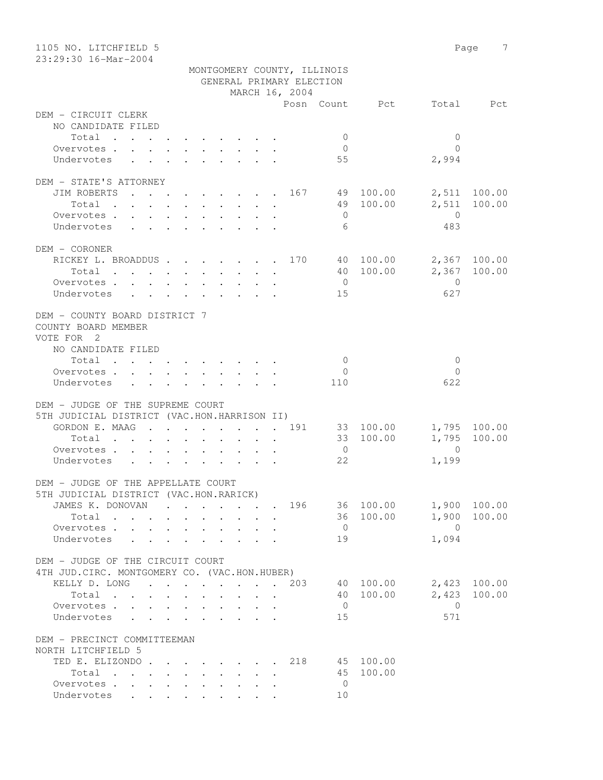| 1105 NO. LITCHFIELD 5                         |                                                                                                                    | 7<br>Page       |
|-----------------------------------------------|--------------------------------------------------------------------------------------------------------------------|-----------------|
| 23:29:30 16-Mar-2004                          |                                                                                                                    |                 |
|                                               | MONTGOMERY COUNTY, ILLINOIS<br>GENERAL PRIMARY ELECTION                                                            |                 |
|                                               | MARCH 16, 2004                                                                                                     |                 |
|                                               | Posn Count Pct                                                                                                     | Total Pct       |
| DEM - CIRCUIT CLERK                           |                                                                                                                    |                 |
| NO CANDIDATE FILED                            |                                                                                                                    |                 |
| Total                                         | $\mathbf{0}$                                                                                                       | $\mathbf{0}$    |
| Overvotes.                                    | $\overline{0}$                                                                                                     | $\bigcap$       |
| Undervotes                                    | 55                                                                                                                 | 2,994           |
|                                               |                                                                                                                    |                 |
| DEM - STATE'S ATTORNEY                        |                                                                                                                    |                 |
|                                               | JIM ROBERTS 167 49 100.00                                                                                          | 2,511 100.00    |
| Total                                         | 49 100.00                                                                                                          | 2,511<br>100.00 |
| Overvotes                                     | $\overline{0}$                                                                                                     | $\overline{0}$  |
| Undervotes                                    | 6                                                                                                                  | 483             |
|                                               |                                                                                                                    |                 |
| DEM - CORONER                                 |                                                                                                                    |                 |
|                                               | RICKEY L. BROADDUS 170 40 100.00                                                                                   | 2,367 100.00    |
|                                               | 40 100.00<br>Total                                                                                                 | 2,367 100.00    |
| Overvotes                                     | $\overline{0}$                                                                                                     | $\overline{0}$  |
| Undervotes                                    | 15                                                                                                                 | 627             |
|                                               |                                                                                                                    |                 |
| DEM - COUNTY BOARD DISTRICT 7                 |                                                                                                                    |                 |
| COUNTY BOARD MEMBER                           |                                                                                                                    |                 |
| VOTE FOR 2                                    |                                                                                                                    |                 |
| NO CANDIDATE FILED                            |                                                                                                                    |                 |
| Total                                         | $\overline{0}$                                                                                                     | $\mathbf{0}$    |
| Overvotes $\cdots$ $\cdots$ $\cdots$ $\cdots$ | $\overline{0}$                                                                                                     | $\Omega$        |
| Undervotes                                    | 110                                                                                                                | 622             |
| DEM - JUDGE OF THE SUPREME COURT              |                                                                                                                    |                 |
| 5TH JUDICIAL DISTRICT (VAC.HON.HARRISON II)   |                                                                                                                    |                 |
| GORDON E. MAAG 191                            |                                                                                                                    | 1,795 100.00    |
| Total                                         | 33 100.00<br>33 100.00<br>$\mathbf{r}$ , and $\mathbf{r}$ , and $\mathbf{r}$ , and $\mathbf{r}$ , and $\mathbf{r}$ | 1,795 100.00    |
| Overvotes.                                    | $\overline{0}$                                                                                                     | $\Omega$        |
| Undervotes                                    | 22                                                                                                                 | 1,199           |
|                                               |                                                                                                                    |                 |
| DEM - JUDGE OF THE APPELLATE COURT            |                                                                                                                    |                 |
| 5TH JUDICIAL DISTRICT (VAC.HON.RARICK)        |                                                                                                                    |                 |
|                                               | JAMES K. DONOVAN 196 36 100.00                                                                                     | 1,900 100.00    |
| Total                                         | 36 100.00<br>$\mathbf{r} = \mathbf{r}$ , and $\mathbf{r} = \mathbf{r}$                                             | 1,900<br>100.00 |
| Overvotes                                     | $\overline{0}$                                                                                                     | $\overline{0}$  |
| Undervotes<br>$\sim$                          | 19                                                                                                                 | 1,094           |
|                                               |                                                                                                                    |                 |
| DEM - JUDGE OF THE CIRCUIT COURT              |                                                                                                                    |                 |
| 4TH JUD. CIRC. MONTGOMERY CO. (VAC.HON.HUBER) |                                                                                                                    |                 |
| KELLY D. LONG 203                             | 40 100.00                                                                                                          | 2,423 100.00    |
| Total                                         | 40 100.00<br>$\cdot$ $\cdot$ $\cdot$ $\cdot$                                                                       | 2,423<br>100.00 |
| Overvotes.                                    | $\overline{0}$                                                                                                     | $\overline{0}$  |
| Undervotes .<br>$\cdot$ $\cdot$ $\cdot$       | 15<br>$\sim$                                                                                                       | 571             |
|                                               |                                                                                                                    |                 |
| DEM - PRECINCT COMMITTEEMAN                   |                                                                                                                    |                 |
| NORTH LITCHFIELD 5                            |                                                                                                                    |                 |
| TED E. ELIZONDO                               | 45 100.00<br>218                                                                                                   |                 |
| Total                                         | 45 100.00                                                                                                          |                 |
| Overvotes                                     | $\overline{0}$                                                                                                     |                 |
| Undervotes                                    | 10                                                                                                                 |                 |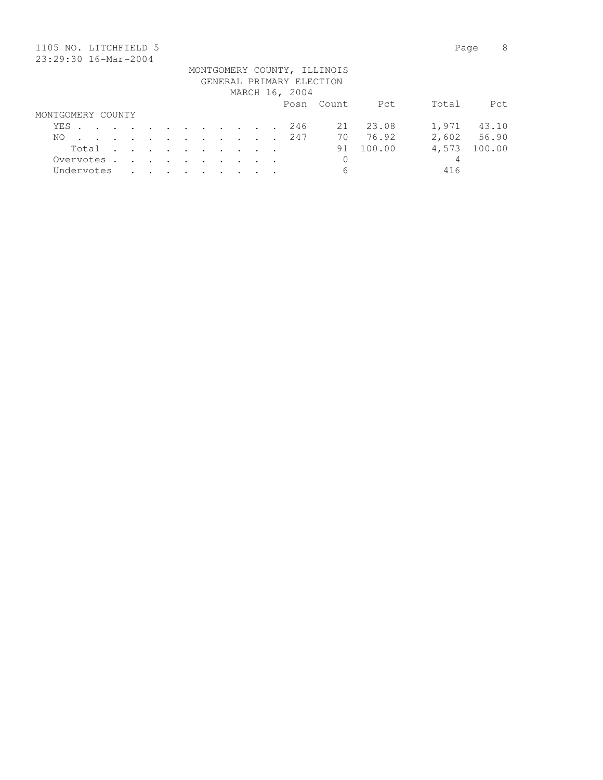| 1105 NO. LITCHFIELD 5                                                                                              |                      |               |                      |               |                      |         |  |                          |                             |        | Page  | 8      |
|--------------------------------------------------------------------------------------------------------------------|----------------------|---------------|----------------------|---------------|----------------------|---------|--|--------------------------|-----------------------------|--------|-------|--------|
| 23:29:30 16-Mar-2004                                                                                               |                      |               |                      |               |                      |         |  |                          |                             |        |       |        |
|                                                                                                                    |                      |               |                      |               |                      |         |  |                          | MONTGOMERY COUNTY, ILLINOIS |        |       |        |
|                                                                                                                    |                      |               |                      |               |                      |         |  | GENERAL PRIMARY ELECTION |                             |        |       |        |
|                                                                                                                    |                      |               |                      |               |                      |         |  | MARCH 16, 2004           |                             |        |       |        |
|                                                                                                                    |                      |               |                      |               |                      |         |  |                          | Posn Count                  | Pct    | Total | Pct    |
| MONTGOMERY COUNTY                                                                                                  |                      |               |                      |               |                      |         |  |                          |                             |        |       |        |
| YES<br>$\mathbf{r}$ , and $\mathbf{r}$ , and $\mathbf{r}$ , and $\mathbf{r}$ , and $\mathbf{r}$ , and $\mathbf{r}$ |                      |               |                      |               |                      |         |  | 246                      | 21                          | 23.08  | 1,971 | 43.10  |
| NO.                                                                                                                | $\ddot{\phantom{a}}$ | $\cdot$       | $\sim$ $\sim$ $\sim$ |               | $\sim$ $\sim$ $\sim$ |         |  | 247                      | 70                          | 76.92  | 2,602 | 56.90  |
| Total                                                                                                              | $\ddot{\phantom{a}}$ | $\sim$ $\sim$ | $\sim$ $\sim$        | $\sim$ $\sim$ | $\sim$               | $\cdot$ |  |                          | 91                          | 100.00 | 4,573 | 100.00 |
| Overvotes .                                                                                                        | $\sim$               | $\sim$ $\sim$ | $\sim$ $\sim$        | $\sim$ $\sim$ | $\sim$               | $\sim$  |  |                          | 0                           |        | 4     |        |
| Undervotes                                                                                                         |                      |               |                      |               |                      |         |  |                          | 6                           |        | 416   |        |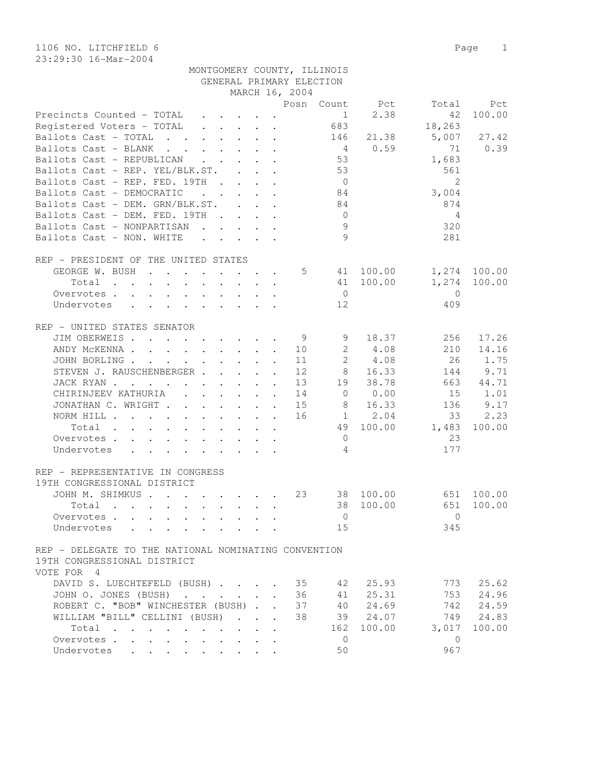1106 NO. LITCHFIELD 6 Page 1 23:29:30 16-Mar-2004

|                                                                                                   |                          |                           |                      | MARCH 16, 2004 |                                    |                                |              |              |
|---------------------------------------------------------------------------------------------------|--------------------------|---------------------------|----------------------|----------------|------------------------------------|--------------------------------|--------------|--------------|
|                                                                                                   |                          |                           |                      |                |                                    | Posn Count Pct                 | Total        | Pct          |
| Precincts Counted - TOTAL                                                                         |                          |                           |                      |                |                                    | 2.38<br>$1 \quad \blacksquare$ | 42           | 100.00       |
| Registered Voters - TOTAL                                                                         |                          |                           |                      |                | 683                                |                                | 18,263       |              |
| Ballots Cast - TOTAL                                                                              |                          |                           |                      |                | 146                                | 21.38                          | 5,007        | 27.42        |
| Ballots Cast - BLANK                                                                              |                          |                           |                      |                | $4\phantom{.00000000000000000000}$ | 0.59                           | 71           | 0.39         |
| Ballots Cast - REPUBLICAN                                                                         |                          |                           |                      |                | 53                                 |                                |              |              |
|                                                                                                   |                          |                           |                      |                |                                    |                                | 1,683        |              |
| Ballots Cast - REP. YEL/BLK.ST.                                                                   |                          |                           |                      |                | 53                                 |                                | 561          |              |
| Ballots Cast - REP. FED. 19TH                                                                     |                          |                           |                      |                | $\overline{0}$                     |                                | 2            |              |
| Ballots Cast - DEMOCRATIC<br>$\mathbf{r}$ , $\mathbf{r}$ , $\mathbf{r}$ , $\mathbf{r}$            |                          |                           |                      |                | 84                                 |                                | 3,004        |              |
| Ballots Cast - DEM. GRN/BLK.ST.                                                                   |                          |                           |                      |                | 84                                 |                                | 874          |              |
| Ballots Cast - DEM. FED. 19TH                                                                     |                          |                           |                      |                | $\overline{0}$                     |                                | 4            |              |
| Ballots Cast - NONPARTISAN                                                                        |                          |                           |                      |                | 9                                  |                                | 320          |              |
| Ballots Cast - NON. WHITE                                                                         |                          |                           |                      |                | $\circ$                            |                                | 281          |              |
|                                                                                                   |                          |                           |                      |                |                                    |                                |              |              |
| REP - PRESIDENT OF THE UNITED STATES                                                              |                          |                           |                      |                |                                    |                                |              |              |
| GEORGE W. BUSH                                                                                    |                          |                           |                      | 5              |                                    | 41 100.00                      |              | 1,274 100.00 |
| Total $\cdots$                                                                                    |                          |                           |                      |                |                                    | 41 100.00                      | 1,274        | 100.00       |
|                                                                                                   |                          |                           |                      |                |                                    |                                |              |              |
| Overvotes                                                                                         |                          |                           |                      |                | $\overline{0}$                     |                                | $\bigcirc$   |              |
| Undervotes                                                                                        |                          |                           |                      |                | 12                                 |                                | 409          |              |
|                                                                                                   |                          |                           |                      |                |                                    |                                |              |              |
| REP - UNITED STATES SENATOR                                                                       |                          |                           |                      |                |                                    |                                |              |              |
| JIM OBERWEIS                                                                                      |                          |                           |                      | - 9            | 9                                  | 18.37                          | 256          | 17.26        |
| ANDY MCKENNA 10                                                                                   |                          |                           |                      |                | $\mathbf{2}$                       | 4.08                           | 210          | 14.16        |
| JOHN BORLING                                                                                      |                          |                           |                      | 11             | $2^{\circ}$                        | 4.08                           | 26           | 1.75         |
| STEVEN J. RAUSCHENBERGER                                                                          |                          |                           | $\mathbf{A}$         | 12             | 8                                  | 16.33                          | 144          | 9.71         |
| JACK RYAN                                                                                         |                          |                           |                      | 13             | 19                                 | 38.78                          | 663          | 44.71        |
| CHIRINJEEV KATHURIA                                                                               |                          |                           |                      | 14             | $\overline{0}$                     | 0.00                           | 15           | 1.01         |
| JONATHAN C. WRIGHT                                                                                |                          |                           |                      | 15             | - 8                                | 16.33                          | 136          | 9.17         |
|                                                                                                   |                          |                           |                      |                |                                    |                                |              |              |
| NORM HILL                                                                                         |                          |                           |                      | 16             |                                    | 1 2.04                         | 33           | 2.23         |
| Total                                                                                             |                          |                           |                      |                |                                    | 49 100.00                      | 1,483        | 100.00       |
| Overvotes                                                                                         |                          |                           |                      |                | $\overline{0}$                     |                                | 23           |              |
| Undervotes                                                                                        |                          |                           |                      |                | 4                                  |                                | 177          |              |
|                                                                                                   |                          |                           |                      |                |                                    |                                |              |              |
| REP - REPRESENTATIVE IN CONGRESS                                                                  |                          |                           |                      |                |                                    |                                |              |              |
| 19TH CONGRESSIONAL DISTRICT                                                                       |                          |                           |                      |                |                                    |                                |              |              |
| JOHN M. SHIMKUS                                                                                   |                          |                           |                      | 23             |                                    | 38 100.00                      | 651          | 100.00       |
| Total<br>$\mathbf{r}$ , and $\mathbf{r}$ , and $\mathbf{r}$ , and $\mathbf{r}$ , and $\mathbf{r}$ |                          |                           |                      |                | 38                                 | 100.00                         | 651          | 100.00       |
| Overvotes                                                                                         |                          |                           |                      |                | $\mathbf{0}$                       |                                | $\Omega$     |              |
| Undervotes                                                                                        |                          |                           |                      |                | 15                                 |                                | 345          |              |
|                                                                                                   |                          |                           |                      |                |                                    |                                |              |              |
| REP - DELEGATE TO THE NATIONAL NOMINATING CONVENTION                                              |                          |                           |                      |                |                                    |                                |              |              |
|                                                                                                   |                          |                           |                      |                |                                    |                                |              |              |
| 19TH CONGRESSIONAL DISTRICT                                                                       |                          |                           |                      |                |                                    |                                |              |              |
| VOTE FOR 4                                                                                        |                          |                           |                      |                |                                    |                                |              |              |
| DAVID S. LUECHTEFELD (BUSH).                                                                      | <b>Contract Contract</b> | $\sim$                    |                      | 35             | 42                                 | 25.93                          | 773          | 25.62        |
| JOHN O. JONES (BUSH)<br>$\mathbf{r}$ , $\mathbf{r}$ , $\mathbf{r}$<br>$\ddot{\phantom{a}}$        |                          | $\mathbf{r} = \mathbf{r}$ | $\mathbf{r}$         | 36             | 41                                 | 25.31                          | 753          | 24.96        |
| ROBERT C. "BOB" WINCHESTER (BUSH)                                                                 |                          |                           |                      | 37             | 40                                 | 24.69                          | 742          | 24.59        |
| WILLIAM "BILL" CELLINI (BUSH)                                                                     |                          | $\sim$                    | $\ddot{\phantom{a}}$ | 38             | 39                                 | 24.07                          | 749          | 24.83        |
| Total<br>$\mathcal{A}=\mathcal{A}=\mathcal{A}=\mathcal{A}=\mathcal{A}$                            |                          |                           |                      |                | 162                                | 100.00                         | 3,017        | 100.00       |
| Overvotes<br>$\ddot{\phantom{0}}$                                                                 |                          |                           |                      |                | $\mathbf{0}$                       |                                | $\mathbf{0}$ |              |
| Undervotes                                                                                        |                          |                           |                      |                | 50                                 |                                | 967          |              |
| $\bullet$ . In the set of $\bullet$                                                               |                          |                           |                      |                |                                    |                                |              |              |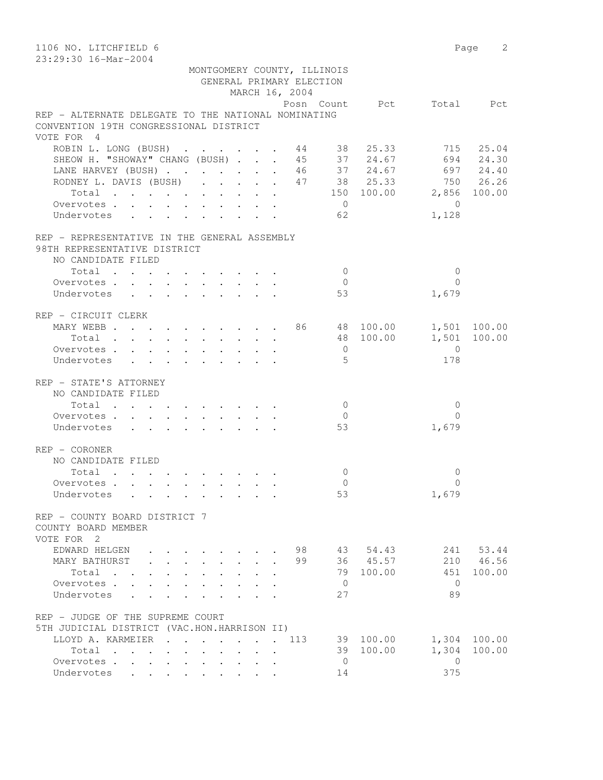| 1106 NO. LITCHFIELD 6                                                                             |                                                       |                                              |                          |                | Page 2       |
|---------------------------------------------------------------------------------------------------|-------------------------------------------------------|----------------------------------------------|--------------------------|----------------|--------------|
| 23:29:30 16-Mar-2004                                                                              |                                                       |                                              |                          |                |              |
|                                                                                                   |                                                       | MONTGOMERY COUNTY, ILLINOIS                  |                          |                |              |
|                                                                                                   |                                                       | GENERAL PRIMARY ELECTION                     |                          |                |              |
|                                                                                                   |                                                       | MARCH 16, 2004                               |                          |                |              |
| REP - ALTERNATE DELEGATE TO THE NATIONAL NOMINATING                                               |                                                       |                                              | Posn Count Pct Total Pct |                |              |
| CONVENTION 19TH CONGRESSIONAL DISTRICT                                                            |                                                       |                                              |                          |                |              |
| VOTE FOR 4                                                                                        |                                                       |                                              |                          |                |              |
| ROBIN L. LONG (BUSH) 44 38 25.33                                                                  |                                                       |                                              |                          |                | 715 25.04    |
| SHEOW H. "SHOWAY" CHANG (BUSH) 45 37 24.67                                                        |                                                       |                                              |                          |                | 694 24.30    |
| LANE HARVEY (BUSH) 46 37 24.67 697 24.40                                                          |                                                       |                                              |                          |                |              |
| RODNEY L. DAVIS (BUSH) 47 38 25.33 750 26.26                                                      |                                                       |                                              |                          |                |              |
| Total 150 100.00 2,856 100.00                                                                     |                                                       |                                              |                          |                |              |
| Overvotes.                                                                                        |                                                       |                                              | $\overline{0}$           | $\overline{0}$ |              |
| Undervotes                                                                                        |                                                       |                                              | 62                       | 1,128          |              |
|                                                                                                   |                                                       |                                              |                          |                |              |
| REP - REPRESENTATIVE IN THE GENERAL ASSEMBLY                                                      |                                                       |                                              |                          |                |              |
| 98TH REPRESENTATIVE DISTRICT                                                                      |                                                       |                                              |                          |                |              |
| NO CANDIDATE FILED                                                                                |                                                       |                                              |                          |                |              |
| Total                                                                                             |                                                       |                                              | $\bigcirc$               | $\mathbf{0}$   |              |
| Overvotes                                                                                         |                                                       |                                              | $\bigcirc$               | $\Omega$       |              |
| Undervotes                                                                                        |                                                       |                                              | 53                       | 1,679          |              |
| REP - CIRCUIT CLERK                                                                               |                                                       |                                              |                          |                |              |
| MARY WEBB 86 48 100.00 1,501 100.00                                                               |                                                       |                                              |                          |                |              |
| Total                                                                                             |                                                       |                                              | 48 100.00                |                | 1,501 100.00 |
| Overvotes.                                                                                        |                                                       |                                              | $\overline{0}$           | $\overline{0}$ |              |
| Undervotes                                                                                        |                                                       |                                              | 5                        | 178            |              |
|                                                                                                   |                                                       |                                              |                          |                |              |
| REP - STATE'S ATTORNEY                                                                            |                                                       |                                              |                          |                |              |
| NO CANDIDATE FILED                                                                                |                                                       |                                              |                          |                |              |
| $\begin{tabular}{ccccccccccc} Total & . & . & . & . & . & . & . & . & . & . \end{tabular}$        |                                                       |                                              | $\overline{0}$           | $\mathbf 0$    |              |
| Overvotes.                                                                                        |                                                       |                                              | $\overline{0}$           | $\Omega$       |              |
| Undervotes                                                                                        |                                                       |                                              | 53                       | 1,679          |              |
| REP - CORONER                                                                                     |                                                       |                                              |                          |                |              |
| NO CANDIDATE FILED                                                                                |                                                       |                                              |                          |                |              |
| Total                                                                                             |                                                       |                                              | $\mathbf{0}$             | 0              |              |
| Overvotes.                                                                                        |                                                       |                                              | $\Omega$                 | 0              |              |
| Undervotes                                                                                        |                                                       |                                              | 53                       | 1,679          |              |
|                                                                                                   |                                                       |                                              |                          |                |              |
| REP - COUNTY BOARD DISTRICT 7                                                                     |                                                       |                                              |                          |                |              |
| COUNTY BOARD MEMBER                                                                               |                                                       |                                              |                          |                |              |
| VOTE FOR 2                                                                                        |                                                       |                                              |                          |                |              |
| EDWARD HELGEN                                                                                     |                                                       | 98                                           | 43 54.43                 |                | 241 53.44    |
| MARY BATHURST                                                                                     | .                                                     | 99                                           | 36 45.57                 |                | 210 46.56    |
| Total                                                                                             |                                                       |                                              | 79<br>100.00             | 451            | 100.00       |
| Overvotes.                                                                                        | $\ddot{\phantom{0}}$<br>$\mathbf{L}$ and $\mathbf{L}$ |                                              | $\mathbf{0}$             | $\Omega$       |              |
| Undervotes .<br>$\mathbf{L} = \mathbf{L} \mathbf{L}$<br>$\sim$                                    | $\ddot{\phantom{0}}$<br>$\ddot{\phantom{0}}$          | $\ddot{\phantom{a}}$                         | 27                       | 89             |              |
| REP - JUDGE OF THE SUPREME COURT                                                                  |                                                       |                                              |                          |                |              |
| 5TH JUDICIAL DISTRICT (VAC.HON.HARRISON II)                                                       |                                                       |                                              |                          |                |              |
| LLOYD A. KARMEIER<br>$\mathbf{r}$ , $\mathbf{r}$ , $\mathbf{r}$                                   | $\ddot{\phantom{0}}$                                  | 113                                          | 39 100.00                | 1,304          | 100.00       |
| Total<br>$\mathbf{r}$ , $\mathbf{r}$ , $\mathbf{r}$<br>$\mathbf{r}$ , $\mathbf{r}$ , $\mathbf{r}$ | $\sim$                                                |                                              | 100.00<br>39             | 1,304          | 100.00       |
| Overvotes.                                                                                        |                                                       | $\ddot{\phantom{a}}$<br>$\ddot{\phantom{a}}$ | $\overline{0}$           | 0              |              |
| Undervotes                                                                                        |                                                       |                                              | 14                       | 375            |              |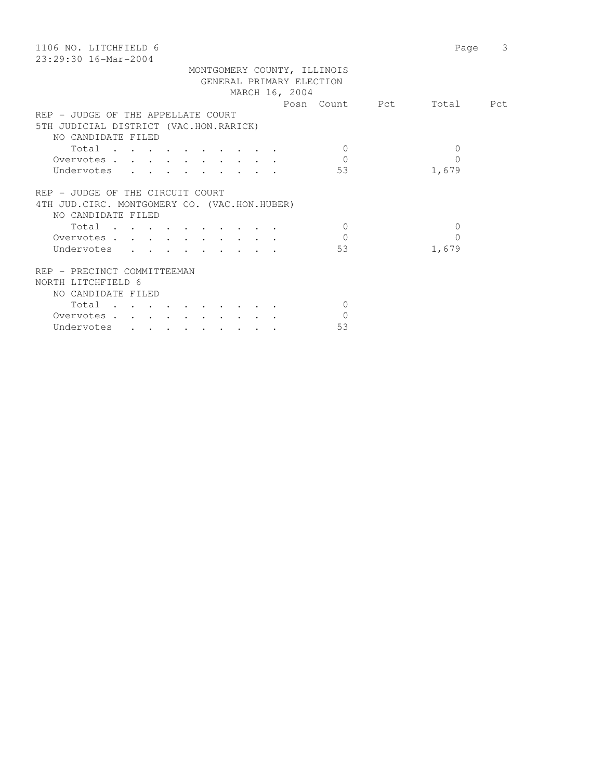| 3<br>Page                   |
|-----------------------------|
|                             |
|                             |
|                             |
|                             |
| Posn Count Pct<br>Total Pct |
|                             |
|                             |
|                             |
| $\Omega$                    |
| $\Omega$                    |
| 1,679                       |
|                             |
|                             |
|                             |
|                             |
| $\Omega$                    |
| $\Omega$                    |
| 1,679                       |
|                             |
|                             |
|                             |
|                             |
|                             |
|                             |
|                             |
|                             |
|                             |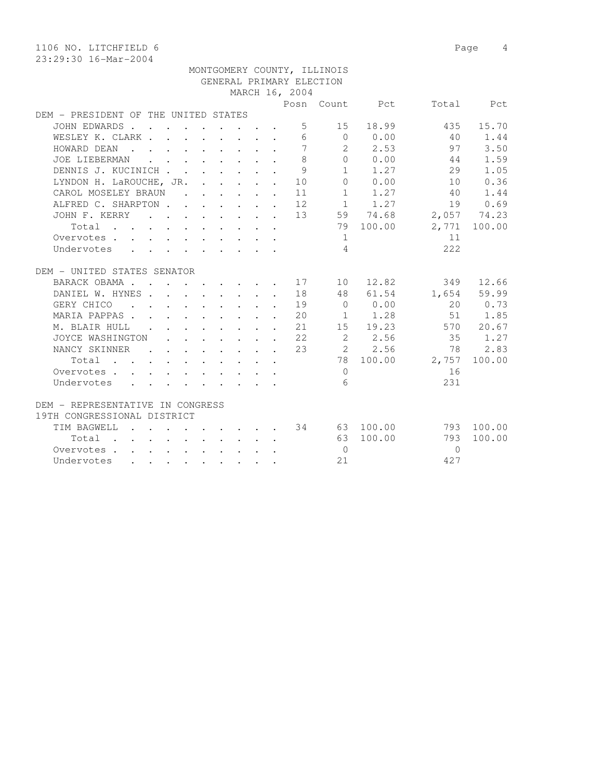|                                      |               |  |  |                                                                                                                                                                                                                                                                                                                                                                                                                                   |                                                                                                                                                                                                                                               |                                                            | MONTGOMERY COUNTY, ILLINOIS |                |          |              |
|--------------------------------------|---------------|--|--|-----------------------------------------------------------------------------------------------------------------------------------------------------------------------------------------------------------------------------------------------------------------------------------------------------------------------------------------------------------------------------------------------------------------------------------|-----------------------------------------------------------------------------------------------------------------------------------------------------------------------------------------------------------------------------------------------|------------------------------------------------------------|-----------------------------|----------------|----------|--------------|
|                                      |               |  |  |                                                                                                                                                                                                                                                                                                                                                                                                                                   |                                                                                                                                                                                                                                               |                                                            | GENERAL PRIMARY ELECTION    |                |          |              |
|                                      |               |  |  |                                                                                                                                                                                                                                                                                                                                                                                                                                   |                                                                                                                                                                                                                                               | MARCH 16, 2004                                             |                             |                |          |              |
|                                      |               |  |  |                                                                                                                                                                                                                                                                                                                                                                                                                                   |                                                                                                                                                                                                                                               |                                                            |                             | Posn Count Pct |          | Total Pct    |
| DEM - PRESIDENT OF THE UNITED STATES |               |  |  |                                                                                                                                                                                                                                                                                                                                                                                                                                   |                                                                                                                                                                                                                                               |                                                            |                             |                |          |              |
| JOHN EDWARDS                         |               |  |  |                                                                                                                                                                                                                                                                                                                                                                                                                                   |                                                                                                                                                                                                                                               | 5                                                          | 15                          | 18.99          | 435      | 15.70        |
| WESLEY K. CLARK                      |               |  |  |                                                                                                                                                                                                                                                                                                                                                                                                                                   |                                                                                                                                                                                                                                               |                                                            |                             | 6000.00        | 40       | 1.44         |
| HOWARD DEAN                          |               |  |  |                                                                                                                                                                                                                                                                                                                                                                                                                                   |                                                                                                                                                                                                                                               | $7\phantom{.0}$                                            |                             | 2 2.53         | 97       | 3.50         |
| JOE LIEBERMAN                        |               |  |  | $\mathbf{r}$ , $\mathbf{r}$ , $\mathbf{r}$ , $\mathbf{r}$ , $\mathbf{r}$ , $\mathbf{r}$                                                                                                                                                                                                                                                                                                                                           |                                                                                                                                                                                                                                               | $\mathcal{S}_{\mathcal{S}}$                                |                             | $0 \t 0.00$    | 44       | 1.59         |
| DENNIS J. KUCINICH                   |               |  |  |                                                                                                                                                                                                                                                                                                                                                                                                                                   |                                                                                                                                                                                                                                               | $\mathcal{Q}$                                              |                             | 1 1.27         | 29       | 1.05         |
| LYNDON H. LaROUCHE, JR. 10           |               |  |  |                                                                                                                                                                                                                                                                                                                                                                                                                                   |                                                                                                                                                                                                                                               |                                                            |                             | 0 0.00         | 10       | 0.36         |
| CAROL MOSELEY BRAUN                  |               |  |  |                                                                                                                                                                                                                                                                                                                                                                                                                                   |                                                                                                                                                                                                                                               | 11                                                         |                             | $1 \t 1.27$    | 40       | 1.44         |
| ALFRED C. SHARPTON                   |               |  |  |                                                                                                                                                                                                                                                                                                                                                                                                                                   |                                                                                                                                                                                                                                               | 12                                                         |                             | $1 \t 1.27$    | 19       | 0.69         |
| JOHN F. KERRY                        |               |  |  |                                                                                                                                                                                                                                                                                                                                                                                                                                   |                                                                                                                                                                                                                                               | 13                                                         |                             | 59 74.68       |          | 2,057 74.23  |
| Total                                |               |  |  |                                                                                                                                                                                                                                                                                                                                                                                                                                   |                                                                                                                                                                                                                                               |                                                            |                             | 79 100.00      |          | 2,771 100.00 |
| Overvotes                            |               |  |  |                                                                                                                                                                                                                                                                                                                                                                                                                                   |                                                                                                                                                                                                                                               |                                                            | $\sim$ 1                    |                | 11       |              |
| Undervotes                           |               |  |  |                                                                                                                                                                                                                                                                                                                                                                                                                                   |                                                                                                                                                                                                                                               |                                                            | $\overline{4}$              |                | 2.2.2    |              |
|                                      |               |  |  |                                                                                                                                                                                                                                                                                                                                                                                                                                   |                                                                                                                                                                                                                                               |                                                            |                             |                |          |              |
| DEM - UNITED STATES SENATOR          |               |  |  |                                                                                                                                                                                                                                                                                                                                                                                                                                   |                                                                                                                                                                                                                                               |                                                            |                             |                |          |              |
| BARACK OBAMA 17                      |               |  |  |                                                                                                                                                                                                                                                                                                                                                                                                                                   |                                                                                                                                                                                                                                               |                                                            |                             | 10 12.82       |          | 349 12.66    |
| DANIEL W. HYNES 18                   |               |  |  |                                                                                                                                                                                                                                                                                                                                                                                                                                   |                                                                                                                                                                                                                                               |                                                            |                             | 48 61.54       |          | 1,654 59.99  |
| GERY CHICO                           |               |  |  |                                                                                                                                                                                                                                                                                                                                                                                                                                   | $\mathcal{L}(\mathbf{r},\mathbf{r})$ . The contribution of the contribution of the contribution of the contribution of the contribution of the contribution of the contribution of the contribution of the contribution of the contribution o | 19                                                         | $\overline{0}$              | 0.00           | 20       | 0.73         |
| MARIA PAPPAS                         |               |  |  |                                                                                                                                                                                                                                                                                                                                                                                                                                   | $\mathbf{r}$ , $\mathbf{r}$ , $\mathbf{r}$ , $\mathbf{r}$ , $\mathbf{r}$                                                                                                                                                                      | 20                                                         |                             | $1 \t 1.28$    | 51       | 1.85         |
| M. BLAIR HULL                        | $\sim$ $\sim$ |  |  | $\cdot$ $\cdot$ $\cdot$ $\cdot$ $\cdot$ $\cdot$ $\cdot$ $\cdot$                                                                                                                                                                                                                                                                                                                                                                   |                                                                                                                                                                                                                                               | 21                                                         |                             | 15 19.23       |          | 570 20.67    |
| JOYCE WASHINGTON                     |               |  |  | $\begin{aligned} \mathbf{1} & \mathbf{1} & \mathbf{1} & \mathbf{1} & \mathbf{1} & \mathbf{1} & \mathbf{1} & \mathbf{1} & \mathbf{1} & \mathbf{1} & \mathbf{1} & \mathbf{1} & \mathbf{1} & \mathbf{1} & \mathbf{1} & \mathbf{1} & \mathbf{1} & \mathbf{1} & \mathbf{1} & \mathbf{1} & \mathbf{1} & \mathbf{1} & \mathbf{1} & \mathbf{1} & \mathbf{1} & \mathbf{1} & \mathbf{1} & \mathbf{1} & \mathbf{1} & \mathbf{1} & \mathbf{1$ |                                                                                                                                                                                                                                               | 22                                                         | $\overline{2}$              | 2.56           | 35       | 1.27         |
| NANCY SKINNER                        | $\sim$        |  |  |                                                                                                                                                                                                                                                                                                                                                                                                                                   |                                                                                                                                                                                                                                               | $\cdot$ $\cdot$ $\cdot$ $\cdot$ $\cdot$ $\cdot$ $\cdot$ 23 |                             | 2 2.56         | 78       | 2.83         |
| Total                                |               |  |  |                                                                                                                                                                                                                                                                                                                                                                                                                                   |                                                                                                                                                                                                                                               |                                                            |                             | 78 100.00      | 2,757    | 100.00       |
| Overvotes.                           |               |  |  |                                                                                                                                                                                                                                                                                                                                                                                                                                   |                                                                                                                                                                                                                                               |                                                            | $\Omega$                    |                | 16       |              |
| Undervotes                           |               |  |  |                                                                                                                                                                                                                                                                                                                                                                                                                                   |                                                                                                                                                                                                                                               |                                                            | 6                           |                | 231      |              |
|                                      |               |  |  |                                                                                                                                                                                                                                                                                                                                                                                                                                   |                                                                                                                                                                                                                                               |                                                            |                             |                |          |              |
| DEM - REPRESENTATIVE IN CONGRESS     |               |  |  |                                                                                                                                                                                                                                                                                                                                                                                                                                   |                                                                                                                                                                                                                                               |                                                            |                             |                |          |              |
| 19TH CONGRESSIONAL DISTRICT          |               |  |  |                                                                                                                                                                                                                                                                                                                                                                                                                                   |                                                                                                                                                                                                                                               |                                                            |                             |                |          |              |
| TIM BAGWELL                          |               |  |  |                                                                                                                                                                                                                                                                                                                                                                                                                                   | the contract of the contract of the contract of                                                                                                                                                                                               |                                                            |                             | 34 63 100.00   |          | 793 100.00   |
| Total                                |               |  |  |                                                                                                                                                                                                                                                                                                                                                                                                                                   | $\mathbf{r}$                                                                                                                                                                                                                                  |                                                            | 63                          | 100.00         | 793      | 100.00       |
| Overvotes                            |               |  |  |                                                                                                                                                                                                                                                                                                                                                                                                                                   |                                                                                                                                                                                                                                               |                                                            | $\bigcirc$                  |                | $\Omega$ |              |
| Undervotes                           |               |  |  |                                                                                                                                                                                                                                                                                                                                                                                                                                   | . The contract of the contract of the contract of the contract of the contract of the contract of the contract of the contract of the contract of the contract of the contract of the contract of the contract of the contrac                 |                                                            | 2.1                         |                | 427      |              |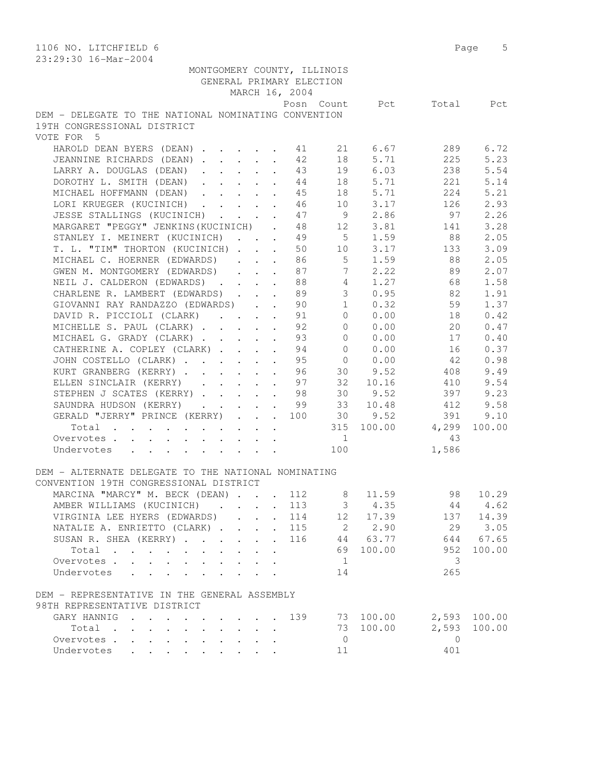| 1106 NO. LITCHFIELD 6<br>23:29:30 16-Mar-2004                                            | Page 5                      |
|------------------------------------------------------------------------------------------|-----------------------------|
| MONTGOMERY COUNTY, ILLINOIS                                                              |                             |
| GENERAL PRIMARY ELECTION                                                                 |                             |
| MARCH 16, 2004                                                                           |                             |
| Posn Count                                                                               | Pct<br>Total<br>Pct         |
| DEM - DELEGATE TO THE NATIONAL NOMINATING CONVENTION                                     |                             |
| 19TH CONGRESSIONAL DISTRICT                                                              |                             |
| VOTE FOR 5                                                                               |                             |
| HAROLD DEAN BYERS (DEAN) 11<br>21<br>6.67                                                | 6.72<br>289                 |
| JEANNINE RICHARDS (DEAN)<br>42<br>18                                                     | 5.71<br>225<br>5.23         |
| 19<br>LARRY A. DOUGLAS (DEAN)<br>43<br>$\ddot{\phantom{a}}$                              | 6.03<br>5.54<br>238         |
| DOROTHY L. SMITH (DEAN)<br>44<br>18<br>$\ddot{\phantom{a}}$                              | 5.71<br>5.14<br>221         |
| 5.71<br>MICHAEL HOFFMANN (DEAN)<br>45<br>18<br>$\ddot{\phantom{a}}$                      | 224<br>5.21                 |
| 10 3.17<br>LORI KRUEGER (KUCINICH)<br>46                                                 | 126<br>2.93                 |
| 9 2.86<br>JESSE STALLINGS (KUCINICH)<br>47                                               | 97<br>2.26                  |
| MARGARET "PEGGY" JENKINS (KUCINICH).<br>48                                               | 3.28<br>12 3.81<br>141      |
| 5 1.59<br>STANLEY I. MEINERT (KUCINICH) 49                                               | 2.05<br>88                  |
| T. L. "TIM" THORTON (KUCINICH)<br>50<br>10                                               | 3.17<br>3.09<br>133         |
| 5 <sup>5</sup><br>MICHAEL C. HOERNER (EDWARDS)<br>86                                     | 1.59<br>2.05<br>88          |
| $7\phantom{.0}$<br>GWEN M. MONTGOMERY (EDWARDS)<br>87<br>$\ddot{\phantom{a}}$            | 2.22<br>89<br>2.07          |
| $\overline{4}$<br>NEIL J. CALDERON (EDWARDS)<br>88                                       | 1.58<br>1.27<br>68          |
| $\mathcal{S}$<br>CHARLENE R. LAMBERT (EDWARDS)<br>89<br>0.95                             | 82<br>1.91                  |
| GIOVANNI RAY RANDAZZO (EDWARDS)<br>$\mathbf{1}$<br>90                                    | 0.32<br>59<br>1.37          |
| DAVID R. PICCIOLI (CLARK)<br>91<br>$0 \qquad \qquad$                                     | 0.00<br>0.42<br>18          |
| MICHELLE S. PAUL (CLARK)<br>92<br>$\circ$                                                | 0.47<br>0.00<br>20          |
| MICHAEL G. GRADY (CLARK)<br>93<br>$\overline{0}$                                         | 0.00<br>0.40<br>17          |
| CATHERINE A. COPLEY (CLARK)<br>94<br>$\circ$                                             | 0.00<br>0.37<br>16          |
| JOHN COSTELLO (CLARK)<br>95<br>$\overline{0}$                                            | 42<br>0.98<br>0.00          |
| 96<br>30                                                                                 | 9.52<br>9.49<br>408         |
| KURT GRANBERG (KERRY)<br>$\mathbf{r}$                                                    |                             |
| 97<br>32<br>ELLEN SINCLAIR (KERRY)<br>$\ddot{\phantom{a}}$                               | 9.54<br>10.16<br>410<br>397 |
| 30 9.52<br>STEPHEN J SCATES (KERRY)<br>98<br>$\ddot{\phantom{a}}$                        | 9.23                        |
| SAUNDRA HUDSON (KERRY)<br>99                                                             | 9.58<br>33 10.48<br>412     |
| GERALD "JERRY" PRINCE (KERRY)<br>30 9.52<br>100                                          | 391<br>9.10                 |
| Total                                                                                    | 315 100.00 4,299<br>100.00  |
| Overvotes<br>$\overline{1}$                                                              | 43                          |
| 100<br>Undervotes                                                                        | 1,586                       |
|                                                                                          |                             |
| DEM - ALTERNATE DELEGATE TO THE NATIONAL NOMINATING                                      |                             |
| CONVENTION 19TH CONGRESSIONAL DISTRICT                                                   |                             |
| MARCINA "MARCY" M. BECK (DEAN)<br>112<br>8                                               | 11.59<br>98<br>10.29        |
| AMBER WILLIAMS (KUCINICH)<br>113<br>$3 \t 4.35$                                          | 44<br>4.62                  |
| 12 17.39<br>VIRGINIA LEE HYERS (EDWARDS)<br>114<br>$\mathbf{r}$                          | 137<br>14.39                |
| 2, 90<br>NATALIE A. ENRIETTO (CLARK)<br>115<br>$\ddot{\phantom{a}}$                      | 29<br>3.05                  |
| 44 63.77<br>SUSAN R. SHEA (KERRY)<br>116<br>$\ddot{\phantom{0}}$<br>$\ddot{\phantom{a}}$ | 644<br>67.65                |
| 69<br>100.00<br>Total<br>$\ddot{\phantom{0}}$                                            | 952<br>100.00               |
| Overvotes.<br>1                                                                          | 3                           |
| Undervotes<br>14<br>$\mathbf{L} = \mathbf{L}$                                            | 265                         |
| DEM - REPRESENTATIVE IN THE GENERAL ASSEMBLY                                             |                             |
| 98TH REPRESENTATIVE DISTRICT                                                             |                             |
| GARY HANNIG<br>139<br>73 100.00                                                          | 2,593<br>100.00             |
| 73<br>100.00<br>Total                                                                    | 2,593<br>100.00             |
| $\mathbf 0$<br>Overvotes                                                                 | $\mathbf{0}$                |
| Undervotes<br>11                                                                         | 401                         |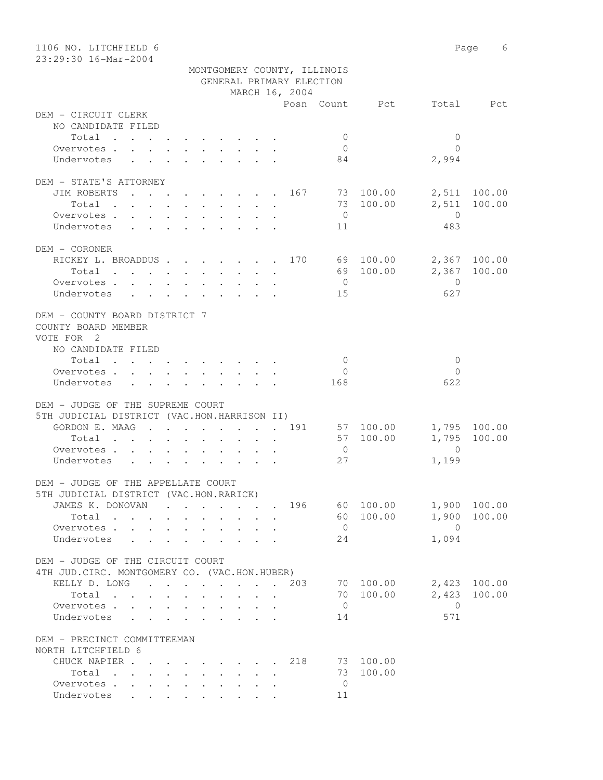| 1106 NO. LITCHFIELD 6<br>23:29:30 16-Mar-2004                     |                                                                                          |        |                                         |                          |                             |                        |                         | Page 6       |
|-------------------------------------------------------------------|------------------------------------------------------------------------------------------|--------|-----------------------------------------|--------------------------|-----------------------------|------------------------|-------------------------|--------------|
|                                                                   |                                                                                          |        |                                         |                          | MONTGOMERY COUNTY, ILLINOIS |                        |                         |              |
|                                                                   |                                                                                          |        |                                         | GENERAL PRIMARY ELECTION |                             |                        |                         |              |
|                                                                   |                                                                                          |        |                                         | MARCH 16, 2004           |                             |                        |                         |              |
|                                                                   |                                                                                          |        |                                         |                          |                             | Posn Count Pct         |                         | Total Pct    |
| DEM - CIRCUIT CLERK                                               |                                                                                          |        |                                         |                          |                             |                        |                         |              |
| NO CANDIDATE FILED                                                |                                                                                          |        |                                         |                          |                             |                        |                         |              |
| Total                                                             |                                                                                          |        |                                         |                          | $\mathbf{0}$                |                        | $\mathbf{0}$            |              |
| Overvotes.                                                        |                                                                                          |        |                                         |                          | $\overline{0}$              |                        | $\bigcap$               |              |
| Undervotes                                                        |                                                                                          |        |                                         |                          | 84                          |                        | 2,994                   |              |
|                                                                   |                                                                                          |        |                                         |                          |                             |                        |                         |              |
| DEM - STATE'S ATTORNEY                                            |                                                                                          |        |                                         |                          |                             |                        |                         |              |
| JIM ROBERTS 167 73 100.00                                         |                                                                                          |        |                                         |                          |                             |                        |                         | 2,511 100.00 |
| Total                                                             |                                                                                          |        |                                         |                          | $\overline{0}$              | 73 100.00              | 2,511<br>$\overline{0}$ | 100.00       |
| Overvotes<br>Undervotes                                           |                                                                                          |        |                                         |                          | 11                          |                        | 483                     |              |
|                                                                   |                                                                                          |        |                                         |                          |                             |                        |                         |              |
| DEM - CORONER                                                     |                                                                                          |        |                                         |                          |                             |                        |                         |              |
| RICKEY L. BROADDUS 170 69 100.00                                  |                                                                                          |        |                                         |                          |                             |                        |                         | 2,367 100.00 |
| Total                                                             |                                                                                          |        |                                         |                          |                             | 69 100.00              |                         | 2,367 100.00 |
| Overvotes                                                         |                                                                                          |        |                                         |                          | $\overline{0}$              |                        | $\overline{0}$          |              |
| Undervotes                                                        |                                                                                          |        |                                         |                          | 15                          |                        | 627                     |              |
|                                                                   |                                                                                          |        |                                         |                          |                             |                        |                         |              |
| DEM - COUNTY BOARD DISTRICT 7                                     |                                                                                          |        |                                         |                          |                             |                        |                         |              |
| COUNTY BOARD MEMBER                                               |                                                                                          |        |                                         |                          |                             |                        |                         |              |
| VOTE FOR 2                                                        |                                                                                          |        |                                         |                          |                             |                        |                         |              |
| NO CANDIDATE FILED                                                |                                                                                          |        |                                         |                          |                             |                        |                         |              |
| Total                                                             |                                                                                          |        |                                         |                          | $\overline{0}$              |                        | $\mathbf{0}$            |              |
| Overvotes $\cdots$ $\cdots$ $\cdots$ $\cdots$                     |                                                                                          |        |                                         |                          | $\overline{0}$              |                        | $\Omega$                |              |
| Undervotes                                                        |                                                                                          |        |                                         |                          | 168                         |                        | 622                     |              |
|                                                                   |                                                                                          |        |                                         |                          |                             |                        |                         |              |
| DEM - JUDGE OF THE SUPREME COURT                                  |                                                                                          |        |                                         |                          |                             |                        |                         |              |
| 5TH JUDICIAL DISTRICT (VAC.HON.HARRISON II)<br>GORDON E. MAAG 191 |                                                                                          |        |                                         |                          |                             |                        |                         | 1,795 100.00 |
| Total                                                             |                                                                                          |        |                                         |                          |                             | 57 100.00<br>57 100.00 | 1,795                   | 100.00       |
| Overvotes.                                                        | $\mathbf{r}$ , and $\mathbf{r}$ , and $\mathbf{r}$ , and $\mathbf{r}$ , and $\mathbf{r}$ |        |                                         |                          | $\overline{0}$              |                        | $\Omega$                |              |
| Undervotes                                                        |                                                                                          |        |                                         |                          | 27                          |                        | 1,199                   |              |
|                                                                   |                                                                                          |        |                                         |                          |                             |                        |                         |              |
| DEM - JUDGE OF THE APPELLATE COURT                                |                                                                                          |        |                                         |                          |                             |                        |                         |              |
| 5TH JUDICIAL DISTRICT (VAC.HON.RARICK)                            |                                                                                          |        |                                         |                          |                             |                        |                         |              |
| JAMES K. DONOVAN                                                  |                                                                                          |        |                                         | 196                      |                             | 60 100.00              | 1,900                   | 100.00       |
| Total                                                             |                                                                                          |        |                                         |                          |                             | 60 100.00              | 1,900                   | 100.00       |
| Overvotes                                                         |                                                                                          |        |                                         |                          | $\overline{0}$              |                        | $\overline{0}$          |              |
| Undervotes<br>$\sim$                                              |                                                                                          |        |                                         |                          | 24                          |                        | 1,094                   |              |
|                                                                   |                                                                                          |        |                                         |                          |                             |                        |                         |              |
| DEM - JUDGE OF THE CIRCUIT COURT                                  |                                                                                          |        |                                         |                          |                             |                        |                         |              |
| 4TH JUD. CIRC. MONTGOMERY CO. (VAC.HON.HUBER)                     |                                                                                          |        |                                         |                          |                             |                        |                         |              |
| KELLY D. LONG                                                     |                                                                                          |        |                                         | 203                      |                             | 70 100.00              | 2,423                   | 100.00       |
| Total                                                             |                                                                                          |        | $\cdot$ $\cdot$ $\cdot$ $\cdot$ $\cdot$ |                          |                             | 70 100.00              | 2,423                   | 100.00       |
| Overvotes                                                         |                                                                                          | $\sim$ |                                         |                          | $\overline{0}$              |                        | $\overline{0}$          |              |
| Undervotes<br>$\ddot{\phantom{0}}$                                | $\cdot$ $\cdot$ $\cdot$                                                                  | $\sim$ |                                         |                          | 14                          |                        | 571                     |              |
|                                                                   |                                                                                          |        |                                         |                          |                             |                        |                         |              |
| DEM - PRECINCT COMMITTEEMAN                                       |                                                                                          |        |                                         |                          |                             |                        |                         |              |
| NORTH LITCHFIELD 6                                                |                                                                                          |        |                                         |                          |                             |                        |                         |              |
| CHUCK NAPIER<br>Total                                             |                                                                                          |        |                                         | 218                      | 73                          | 73 100.00<br>100.00    |                         |              |
| Overvotes                                                         |                                                                                          |        |                                         |                          | $\overline{0}$              |                        |                         |              |
| Undervotes                                                        |                                                                                          |        |                                         |                          | 11                          |                        |                         |              |
|                                                                   |                                                                                          |        |                                         |                          |                             |                        |                         |              |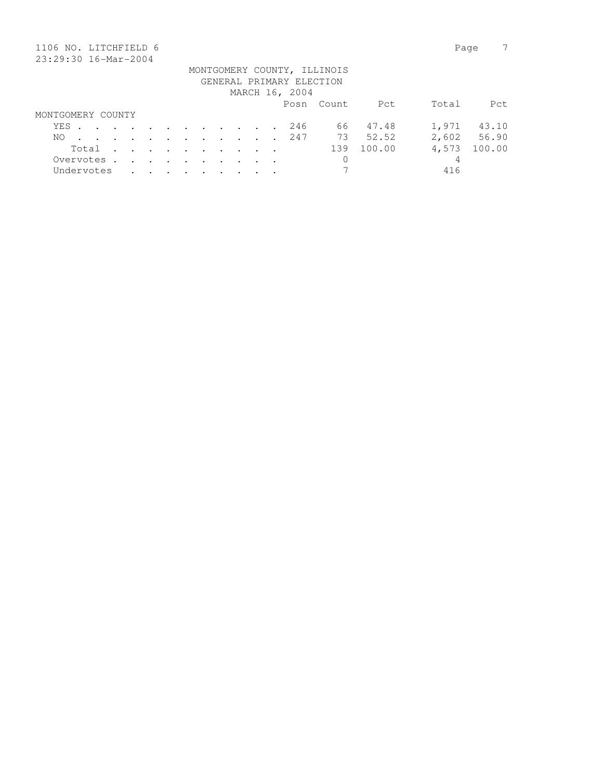| 1106 NO. LITCHFIELD 6 |      |       |            |        |               |                                                                                          |                      |                                                             |  |                          |                             |        | Page  |        |
|-----------------------|------|-------|------------|--------|---------------|------------------------------------------------------------------------------------------|----------------------|-------------------------------------------------------------|--|--------------------------|-----------------------------|--------|-------|--------|
| 23:29:30 16-Mar-2004  |      |       |            |        |               |                                                                                          |                      |                                                             |  |                          |                             |        |       |        |
|                       |      |       |            |        |               |                                                                                          |                      |                                                             |  |                          | MONTGOMERY COUNTY, ILLINOIS |        |       |        |
|                       |      |       |            |        |               |                                                                                          |                      |                                                             |  | GENERAL PRIMARY ELECTION |                             |        |       |        |
|                       |      |       |            |        |               |                                                                                          |                      |                                                             |  | MARCH 16, 2004           |                             |        |       |        |
|                       |      |       |            |        |               |                                                                                          |                      |                                                             |  |                          | Posn Count                  | Pct    | Total | Pct.   |
| MONTGOMERY COUNTY     |      |       |            |        |               |                                                                                          |                      |                                                             |  |                          |                             |        |       |        |
|                       | YES. |       |            |        |               | $\mathbf{r}$ , and $\mathbf{r}$ , and $\mathbf{r}$ , and $\mathbf{r}$ , and $\mathbf{r}$ |                      |                                                             |  | 246                      | 66                          | 47.48  | 1,971 | 43.10  |
| NO.                   |      |       |            | $\sim$ | $\sim$ $\sim$ |                                                                                          |                      | $\mathcal{L}(\mathcal{A})$ , and $\mathcal{L}(\mathcal{A})$ |  | 247                      | 73                          | 52.52  | 2,602 | 56.90  |
|                       |      | Total |            | $\sim$ |               |                                                                                          | $\sim$ $\sim$ $\sim$ | $\sim$ $\sim$                                               |  |                          | 139                         | 100.00 | 4,573 | 100.00 |
|                       |      |       | Overvotes. | $\sim$ | $\sim$        | $\sim$                                                                                   | $\sim$               |                                                             |  |                          | 0                           |        | 4     |        |
|                       |      |       | Undervotes |        |               |                                                                                          |                      |                                                             |  |                          | 7                           |        | 416   |        |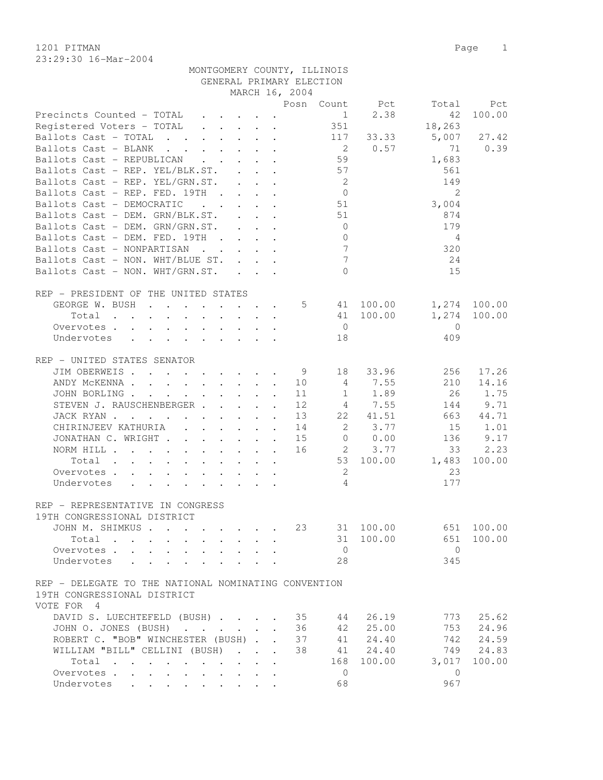23:29:30 16-Mar-2004

MONTGOMERY COUNTY, ILLINOIS

|                                                                                                                          |               |                      |                | GENERAL PRIMARY ELECTION |                           |                |              |
|--------------------------------------------------------------------------------------------------------------------------|---------------|----------------------|----------------|--------------------------|---------------------------|----------------|--------------|
|                                                                                                                          |               |                      | MARCH 16, 2004 |                          |                           |                |              |
|                                                                                                                          |               |                      |                |                          | Posn Count Pct            | Total          | Pct          |
| Precincts Counted - TOTAL                                                                                                |               |                      |                |                          | 2.38<br>$1 \qquad \qquad$ | 42             | 100.00       |
| Registered Voters - TOTAL                                                                                                |               |                      |                | 351                      |                           | 18,263         |              |
| Ballots Cast - TOTAL                                                                                                     |               |                      |                | 117                      | 33.33                     | 5,007          | 27.42        |
| Ballots Cast - BLANK<br>$\mathcal{A}$ and $\mathcal{A}$ are also associated in the set of $\mathcal{A}$                  |               |                      |                | $\overline{2}$           | 0.57                      | 71             | 0.39         |
| Ballots Cast - REPUBLICAN                                                                                                |               |                      |                | 59                       |                           | 1,683          |              |
| Ballots Cast - REP. YEL/BLK.ST.                                                                                          |               |                      |                | 57                       |                           | 561            |              |
| Ballots Cast - REP. YEL/GRN.ST.                                                                                          |               |                      |                | $\overline{2}$           |                           | 149            |              |
| Ballots Cast - REP. FED. 19TH                                                                                            |               |                      |                | $\overline{0}$           |                           | $\overline{2}$ |              |
| Ballots Cast - DEMOCRATIC                                                                                                |               |                      |                | . 51                     |                           | 3,004          |              |
| Ballots Cast - DEM. GRN/BLK.ST.                                                                                          |               |                      |                | 51                       |                           | 874            |              |
|                                                                                                                          |               |                      |                |                          |                           |                |              |
| Ballots Cast - DEM. GRN/GRN.ST.                                                                                          |               |                      |                | $\overline{0}$           |                           | 179            |              |
| Ballots Cast - DEM. FED. 19TH                                                                                            |               |                      |                | $\overline{0}$           |                           | 4              |              |
| Ballots Cast - NONPARTISAN<br>$\mathbf{r}$ , $\mathbf{r}$ , $\mathbf{r}$ , $\mathbf{r}$                                  |               |                      |                | $7\phantom{.0}$          |                           | 320            |              |
| Ballots Cast - NON. WHT/BLUE ST.                                                                                         |               |                      |                | $7\phantom{.0}$          |                           | 24             |              |
| Ballots Cast - NON. WHT/GRN.ST.                                                                                          |               |                      |                | $\bigcap$                |                           | 15             |              |
|                                                                                                                          |               |                      |                |                          |                           |                |              |
| REP - PRESIDENT OF THE UNITED STATES                                                                                     |               |                      |                |                          |                           |                |              |
| GEORGE W. BUSH                                                                                                           |               |                      |                | $5 - 5$                  | 41 100.00                 |                | 1,274 100.00 |
| Total<br>the contract of the contract of the contract of the contract of the contract of the contract of the contract of |               |                      |                |                          | 41 100.00                 | 1,274          | 100.00       |
| Overvotes                                                                                                                |               |                      |                | $\overline{0}$           |                           | $\overline{0}$ |              |
| Undervotes                                                                                                               |               |                      |                | 18                       |                           | 409            |              |
|                                                                                                                          |               |                      |                |                          |                           |                |              |
| REP - UNITED STATES SENATOR                                                                                              |               |                      |                |                          |                           |                |              |
| JIM OBERWEIS.                                                                                                            |               |                      | - 9            | 18                       | 33.96                     | 256            | 17.26        |
| ANDY MCKENNA                                                                                                             |               |                      | 10             | $\overline{4}$           | 7.55                      | 210            | 14.16        |
| JOHN BORLING                                                                                                             |               |                      | 11             | 1                        | 1.89                      | 26             | 1.75         |
|                                                                                                                          |               |                      |                |                          |                           |                |              |
| STEVEN J. RAUSCHENBERGER                                                                                                 |               |                      | 12             |                          | 4 7.55                    | 144            | 9.71         |
| JACK RYAN                                                                                                                |               |                      | 13             | 22                       | 41.51                     | 663            | 44.71        |
| CHIRINJEEV KATHURIA                                                                                                      |               |                      | 14             | 2                        | 3.77                      | 15             | 1.01         |
| JONATHAN C. WRIGHT                                                                                                       |               |                      | 15             | $\circ$                  | 0.00                      | 136            | 9.17         |
| NORM HILL                                                                                                                |               |                      | 16             | 2                        | 3.77                      | 33             | 2.23         |
| Total                                                                                                                    |               |                      |                | 53                       | 100.00                    | 1,483          | 100.00       |
| Overvotes                                                                                                                |               |                      |                | 2                        |                           | 23             |              |
| Undervotes                                                                                                               |               |                      |                | 4                        |                           | 177            |              |
|                                                                                                                          |               |                      |                |                          |                           |                |              |
| REP - REPRESENTATIVE IN CONGRESS                                                                                         |               |                      |                |                          |                           |                |              |
| 19TH CONGRESSIONAL DISTRICT                                                                                              |               |                      |                |                          |                           |                |              |
| JOHN M. SHIMKUS                                                                                                          |               |                      | 23             | 31                       | 100.00                    | 651            | 100.00       |
| Total                                                                                                                    |               |                      |                |                          | 31 100.00                 | 651            | 100.00       |
| Overvotes                                                                                                                |               |                      |                | $\overline{0}$           |                           | $\overline{0}$ |              |
| Undervotes<br>$\ddot{\phantom{a}}$                                                                                       |               |                      |                | 28                       |                           | 345            |              |
|                                                                                                                          |               |                      |                |                          |                           |                |              |
| REP - DELEGATE TO THE NATIONAL NOMINATING CONVENTION                                                                     |               |                      |                |                          |                           |                |              |
| 19TH CONGRESSIONAL DISTRICT                                                                                              |               |                      |                |                          |                           |                |              |
|                                                                                                                          |               |                      |                |                          |                           |                |              |
| VOTE FOR 4                                                                                                               |               |                      |                |                          |                           |                |              |
| DAVID S. LUECHTEFELD (BUSH)                                                                                              |               |                      | 35             | 44                       | 26.19                     | 773            | 25.62        |
| JOHN O. JONES (BUSH)                                                                                                     |               |                      | 36             | 42                       | 25.00                     | 753            | 24.96        |
| ROBERT C. "BOB" WINCHESTER (BUSH).                                                                                       |               | $\ddot{\phantom{a}}$ | 37             | 41                       | 24.40                     | 742            | 24.59        |
| WILLIAM "BILL" CELLINI (BUSH)                                                                                            | $\sim$ $\sim$ |                      | 38             | 41                       | 24.40                     | 749            | 24.83        |
| Total                                                                                                                    |               |                      |                | 168                      | 100.00                    | 3,017          | 100.00       |
| Overvotes<br>$\ddot{\phantom{0}}$<br>$\ddot{\phantom{a}}$                                                                |               |                      |                | $\circ$                  |                           | $\overline{0}$ |              |
| Undervotes<br>$\ddot{\phantom{0}}$<br>$\ddot{\phantom{a}}$                                                               |               |                      |                | 68                       |                           | 967            |              |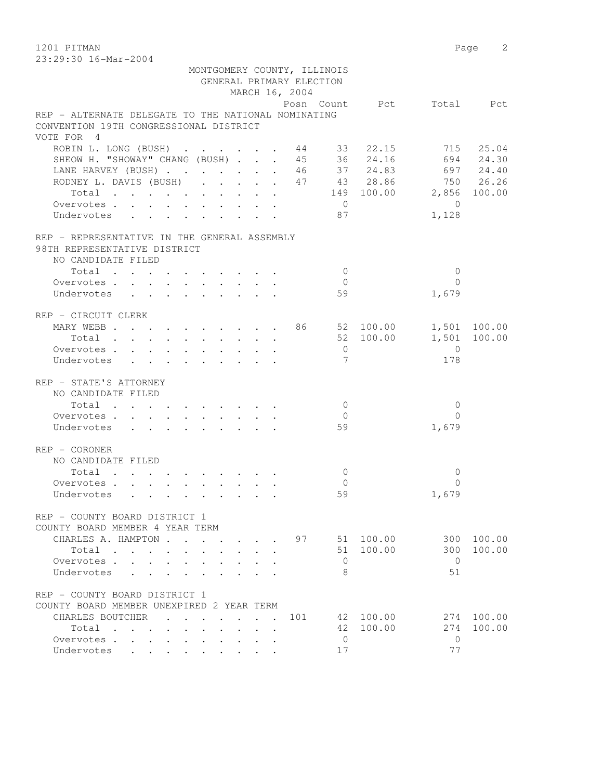1201 PITMAN Page 2 23:29:30 16-Mar-2004

|                                                                                                                      |                | MONTGOMERY COUNTY, ILLINOIS |           |                |              |
|----------------------------------------------------------------------------------------------------------------------|----------------|-----------------------------|-----------|----------------|--------------|
|                                                                                                                      |                | GENERAL PRIMARY ELECTION    |           |                |              |
|                                                                                                                      | MARCH 16, 2004 |                             |           |                |              |
|                                                                                                                      |                | Posn Count Pct              |           |                | Total Pct    |
| REP - ALTERNATE DELEGATE TO THE NATIONAL NOMINATING                                                                  |                |                             |           |                |              |
| CONVENTION 19TH CONGRESSIONAL DISTRICT                                                                               |                |                             |           |                |              |
| VOTE FOR 4                                                                                                           |                |                             |           |                |              |
| ROBIN L. LONG (BUSH) 44 33 22.15                                                                                     |                |                             |           |                | 715 25.04    |
| SHEOW H. "SHOWAY" CHANG (BUSH)                                                                                       |                | 45 36                       | 24.16     |                | 694 24.30    |
| LANE HARVEY (BUSH) 46                                                                                                |                |                             | 37 24.83  |                | 697 24.40    |
| RODNEY L. DAVIS (BUSH) 47 43 28.86                                                                                   |                |                             |           |                | 750 26.26    |
| Total 149 100.00 2,856 100.00                                                                                        |                |                             |           |                |              |
| Overvotes.                                                                                                           |                | $\overline{0}$              |           | $\overline{0}$ |              |
| Undervotes                                                                                                           |                | 87                          |           | 1,128          |              |
|                                                                                                                      |                |                             |           |                |              |
| REP - REPRESENTATIVE IN THE GENERAL ASSEMBLY                                                                         |                |                             |           |                |              |
| 98TH REPRESENTATIVE DISTRICT                                                                                         |                |                             |           |                |              |
| NO CANDIDATE FILED                                                                                                   |                |                             |           |                |              |
|                                                                                                                      |                | $\bigcirc$                  |           | $\mathbf{0}$   |              |
| Total                                                                                                                |                | $\overline{0}$              |           | $\Omega$       |              |
| Overvotes.                                                                                                           |                |                             |           |                |              |
| Undervotes                                                                                                           |                | 59                          |           | 1,679          |              |
|                                                                                                                      |                |                             |           |                |              |
| REP - CIRCUIT CLERK                                                                                                  |                |                             |           |                |              |
| MARY WEBB 86 52 100.00                                                                                               |                |                             |           |                | 1,501 100.00 |
| Total                                                                                                                |                |                             | 52 100.00 |                | 1,501 100.00 |
| Overvotes.                                                                                                           |                | $\overline{0}$              |           | $\overline{0}$ |              |
| Undervotes<br>$\mathbf{r}$ , $\mathbf{r}$ , $\mathbf{r}$ , $\mathbf{r}$ , $\mathbf{r}$ , $\mathbf{r}$ , $\mathbf{r}$ |                | $7\phantom{.0}$             |           | 178            |              |
|                                                                                                                      |                |                             |           |                |              |
| REP - STATE'S ATTORNEY                                                                                               |                |                             |           |                |              |
| NO CANDIDATE FILED                                                                                                   |                |                             |           |                |              |
| Total                                                                                                                |                | $\overline{0}$              |           | 0              |              |
| Overvotes                                                                                                            |                | $\overline{0}$              |           | 0              |              |
| Undervotes                                                                                                           |                | 59                          |           | 1,679          |              |
|                                                                                                                      |                |                             |           |                |              |
| REP - CORONER                                                                                                        |                |                             |           |                |              |
| NO CANDIDATE FILED                                                                                                   |                |                             |           |                |              |
| Total                                                                                                                |                | $\circ$                     |           | $\circ$        |              |
| Overvotes.                                                                                                           |                | $\overline{0}$              |           | 0              |              |
| Undervotes                                                                                                           |                | 59                          |           | 1,679          |              |
|                                                                                                                      |                |                             |           |                |              |
| REP - COUNTY BOARD DISTRICT 1                                                                                        |                |                             |           |                |              |
| COUNTY BOARD MEMBER 4 YEAR TERM                                                                                      |                |                             |           |                |              |
| CHARLES A. HAMPTON                                                                                                   |                | 97                          | 51 100.00 | 300            | 100.00       |
| Total                                                                                                                |                |                             | 51 100.00 | 300            | 100.00       |
| Overvotes<br>$\sim$                                                                                                  |                | $\mathbf{0}$                |           | $\bigcirc$     |              |
| Undervotes<br>$\ddot{\phantom{a}}$                                                                                   |                | 8                           |           | 51             |              |
|                                                                                                                      |                |                             |           |                |              |
| REP - COUNTY BOARD DISTRICT 1                                                                                        |                |                             |           |                |              |
| COUNTY BOARD MEMBER UNEXPIRED 2 YEAR TERM                                                                            |                |                             |           |                |              |
| CHARLES BOUTCHER<br>$\sim$                                                                                           |                | 101                         | 42 100.00 | 274            | 100.00       |
| Total                                                                                                                |                | 42                          | 100.00    | 274            | 100.00       |
| Overvotes                                                                                                            |                | $\mathbf{0}$                |           | $\mathbf{0}$   |              |
| Undervotes<br>$\cdot$                                                                                                |                | 17                          |           | 77             |              |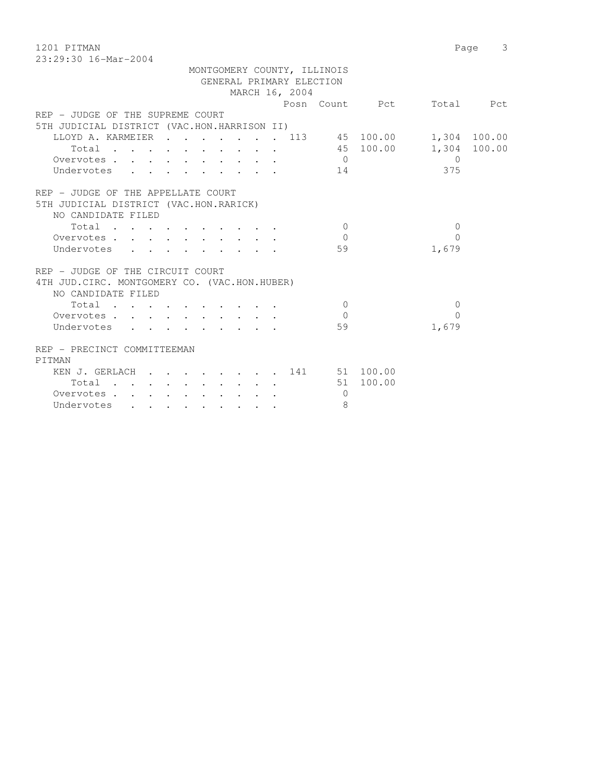1201 PITMAN Page 3

|                                             |  |  |        |                                                                                                                 |  |  |                | MONTGOMERY COUNTY, ILLINOIS |           |       |              |
|---------------------------------------------|--|--|--------|-----------------------------------------------------------------------------------------------------------------|--|--|----------------|-----------------------------|-----------|-------|--------------|
|                                             |  |  |        |                                                                                                                 |  |  |                | GENERAL PRIMARY ELECTION    |           |       |              |
|                                             |  |  |        |                                                                                                                 |  |  | MARCH 16, 2004 |                             |           |       |              |
|                                             |  |  |        |                                                                                                                 |  |  |                | Posn Count                  | Pct       | Total | Pct          |
| REP - JUDGE OF THE SUPREME COURT            |  |  |        |                                                                                                                 |  |  |                |                             |           |       |              |
| 5TH JUDICIAL DISTRICT (VAC.HON.HARRISON II) |  |  |        |                                                                                                                 |  |  |                |                             |           |       |              |
| LLOYD A. KARMEIER                           |  |  |        |                                                                                                                 |  |  | . 113          |                             | 45 100.00 | 1,304 | 100.00       |
| Total                                       |  |  |        |                                                                                                                 |  |  |                |                             | 45 100.00 |       | 1,304 100.00 |
| Overvotes.                                  |  |  |        |                                                                                                                 |  |  |                | $\mathbf 0$                 |           | 0     |              |
| Undervotes                                  |  |  |        |                                                                                                                 |  |  |                | 14                          |           | 375   |              |
| REP - JUDGE OF THE APPELLATE COURT          |  |  |        |                                                                                                                 |  |  |                |                             |           |       |              |
| 5TH JUDICIAL DISTRICT (VAC.HON.RARICK)      |  |  |        |                                                                                                                 |  |  |                |                             |           |       |              |
| NO CANDIDATE FILED                          |  |  |        |                                                                                                                 |  |  |                |                             |           |       |              |
| Total                                       |  |  |        | the contract of the contract of the contract of the contract of the contract of the contract of the contract of |  |  |                | $\Omega$                    |           | 0     |              |
| Overvotes.                                  |  |  | $\sim$ |                                                                                                                 |  |  |                |                             |           | 0     |              |
| Undervotes                                  |  |  |        |                                                                                                                 |  |  |                | 59                          |           | 1,679 |              |

| REP - JUDGE OF THE CIRCUIT COURT                     |                                                                          |           |           |           |           |           |  |     |    |        |       |
|------------------------------------------------------|--------------------------------------------------------------------------|-----------|-----------|-----------|-----------|-----------|--|-----|----|--------|-------|
| JUD.CIRC. MONTGOMERY CO. (VAC.HON.HUBER)<br>4 T H    |                                                                          |           |           |           |           |           |  |     |    |        |       |
| NO CANDIDATE FILED                                   |                                                                          |           |           |           |           |           |  |     |    |        |       |
| Total<br>$\cdot$                                     |                                                                          |           | $\bullet$ |           |           |           |  |     |    |        |       |
| Overvotes.<br>$\sim$                                 | $\cdot$ $\cdot$                                                          |           | $\sim$    |           |           |           |  |     |    |        |       |
| Undervotes                                           | $\cdot$ $\cdot$ $\cdot$                                                  |           | $\sim$    |           |           |           |  |     | 59 |        | 1,679 |
| REP - PRECINCT COMMITTEEMAN                          |                                                                          |           |           |           |           |           |  |     |    |        |       |
| PITMAN                                               |                                                                          |           |           |           |           |           |  |     |    |        |       |
| KEN J. GERLACH                                       | $\mathbf{r}$ , $\mathbf{r}$ , $\mathbf{r}$ , $\mathbf{r}$ , $\mathbf{r}$ |           |           |           |           |           |  | 141 | 51 | 100.00 |       |
| Total<br>$\sim$ 100 $\mu$<br>$\sim 100$ km s $^{-1}$ | $\sim$ $\sim$<br>$\sim$ $\sim$                                           |           | $\sim$    | $\sim$    | $\cdot$   |           |  |     | 51 | 100.00 |       |
| Overvotes.<br>$\sim$<br>$\sim$                       |                                                                          | $\bullet$ | $\bullet$ |           |           |           |  |     |    |        |       |
| Undervotes<br>$\bullet$                              | $\bullet$                                                                | $\bullet$ | $\bullet$ | $\bullet$ | $\bullet$ | $\bullet$ |  |     | 8  |        |       |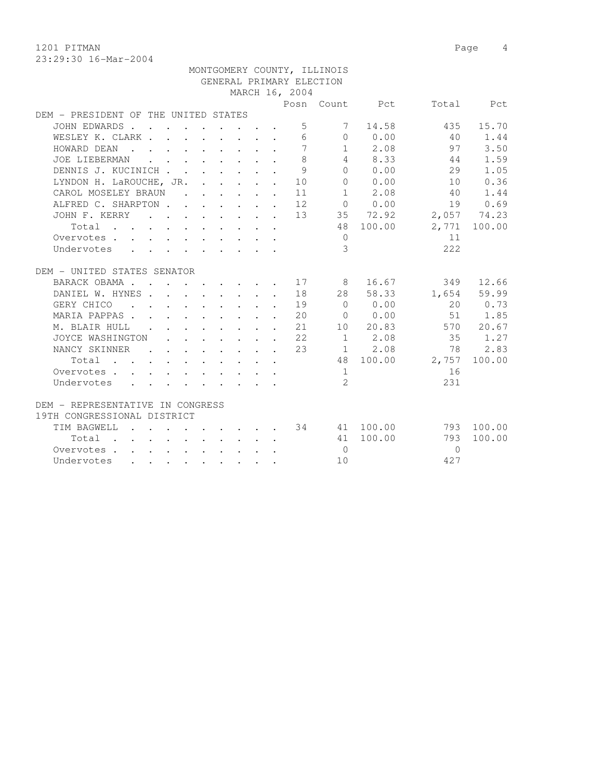1201 PITMAN Page 4

|                                      |  |  |  |                                                                                                                                                     |                 | MONTGOMERY COUNTY, ILLINOIS |                                                 |                 |              |
|--------------------------------------|--|--|--|-----------------------------------------------------------------------------------------------------------------------------------------------------|-----------------|-----------------------------|-------------------------------------------------|-----------------|--------------|
|                                      |  |  |  |                                                                                                                                                     |                 | GENERAL PRIMARY ELECTION    |                                                 |                 |              |
|                                      |  |  |  |                                                                                                                                                     | MARCH 16, 2004  |                             |                                                 |                 |              |
|                                      |  |  |  |                                                                                                                                                     |                 |                             | Posn Count Pct                                  |                 | Total Pct    |
| DEM - PRESIDENT OF THE UNITED STATES |  |  |  |                                                                                                                                                     |                 |                             |                                                 |                 |              |
| JOHN EDWARDS                         |  |  |  |                                                                                                                                                     | 5 <sup>5</sup>  |                             | 7 14.58                                         | 435             | 15.70        |
| WESLEY K. CLARK                      |  |  |  |                                                                                                                                                     | $6\overline{6}$ |                             | $0 \t 0.00$                                     | 40              | 1.44         |
| HOWARD DEAN                          |  |  |  |                                                                                                                                                     | $\overline{7}$  |                             | $1 \t 2.08$                                     | 97              | 3.50         |
| JOE LIEBERMAN                        |  |  |  |                                                                                                                                                     | 8               |                             | 4 8.33                                          | 44              | 1.59         |
| DENNIS J. KUCINICH                   |  |  |  | $\sim$                                                                                                                                              | $\overline{9}$  |                             | 0 0.00                                          | 29              | 1.05         |
| LYNDON H. LaROUCHE, JR. 10           |  |  |  |                                                                                                                                                     |                 |                             | 0 0.00                                          | 10              | 0.36         |
| CAROL MOSELEY BRAUN                  |  |  |  |                                                                                                                                                     | 11              |                             | $1 \t 2.08$                                     | 40              | 1.44         |
| ALFRED C. SHARPTON 12                |  |  |  |                                                                                                                                                     |                 |                             | $0\qquad 0.00$                                  | 19              | 0.69         |
| JOHN F. KERRY 13 35 72.92            |  |  |  |                                                                                                                                                     |                 |                             |                                                 | 2,057 74.23     |              |
| Total                                |  |  |  |                                                                                                                                                     |                 |                             | 48 100.00                                       |                 | 2,771 100.00 |
| Overvotes.                           |  |  |  |                                                                                                                                                     |                 | $\overline{0}$              |                                                 | 11              |              |
| Undervotes                           |  |  |  |                                                                                                                                                     |                 | $\mathcal{S}$               |                                                 | 222             |              |
|                                      |  |  |  |                                                                                                                                                     |                 |                             |                                                 |                 |              |
| DEM - UNITED STATES SENATOR          |  |  |  |                                                                                                                                                     |                 |                             |                                                 |                 |              |
| BARACK OBAMA 17                      |  |  |  |                                                                                                                                                     |                 | 8 <sup>1</sup>              | 16.67                                           | 349             | 12.66        |
| DANIEL W. HYNES 18                   |  |  |  |                                                                                                                                                     |                 |                             | 28 58.33                                        |                 | 1,654 59.99  |
| GERY CHICO 19                        |  |  |  |                                                                                                                                                     |                 |                             | $\begin{array}{ccc} & & 0 & & 0.00 \end{array}$ |                 | 20 0.73      |
| MARIA PAPPAS.                        |  |  |  |                                                                                                                                                     | 20              |                             | $0 \t 0.00$                                     |                 | 51 1.85      |
| M. BLAIR HULL                        |  |  |  |                                                                                                                                                     | 21              |                             | 10 20.83                                        |                 | 570 20.67    |
| JOYCE WASHINGTON                     |  |  |  | $\mathbf{r} = \mathbf{r} \times \mathbf{r}$ , where $\mathbf{r} = \mathbf{r} \times \mathbf{r}$ , where $\mathbf{r} = \mathbf{r} \times \mathbf{r}$ | 22              |                             | $1 \t 2.08$                                     | 35              | 1.27         |
| NANCY SKINNER .                      |  |  |  | $\mathbf{r}$ , and $\mathbf{r}$ , and $\mathbf{r}$ , and $\mathbf{r}$                                                                               | 23              |                             | 1 2.08                                          | 78              | 2.83         |
| Total                                |  |  |  |                                                                                                                                                     |                 |                             |                                                 | 48 100.00 2,757 | 100.00       |
| Overvotes                            |  |  |  |                                                                                                                                                     |                 | 1                           |                                                 | 16              |              |
| Undervotes                           |  |  |  |                                                                                                                                                     |                 | $\mathcal{L}$               |                                                 | 231             |              |
|                                      |  |  |  |                                                                                                                                                     |                 |                             |                                                 |                 |              |
| DEM - REPRESENTATIVE IN CONGRESS     |  |  |  |                                                                                                                                                     |                 |                             |                                                 |                 |              |
| 19TH CONGRESSIONAL DISTRICT          |  |  |  |                                                                                                                                                     |                 |                             |                                                 |                 |              |
| TIM BAGWELL                          |  |  |  |                                                                                                                                                     |                 |                             | . 34 41 100.00                                  |                 | 793 100.00   |
| Total $\cdot$                        |  |  |  |                                                                                                                                                     |                 |                             | 41 100.00                                       | 793             | 100.00       |
| Overvotes.                           |  |  |  |                                                                                                                                                     |                 | $\overline{0}$              |                                                 | $\Omega$        |              |
| Undervotes                           |  |  |  |                                                                                                                                                     |                 | 10                          |                                                 | 427             |              |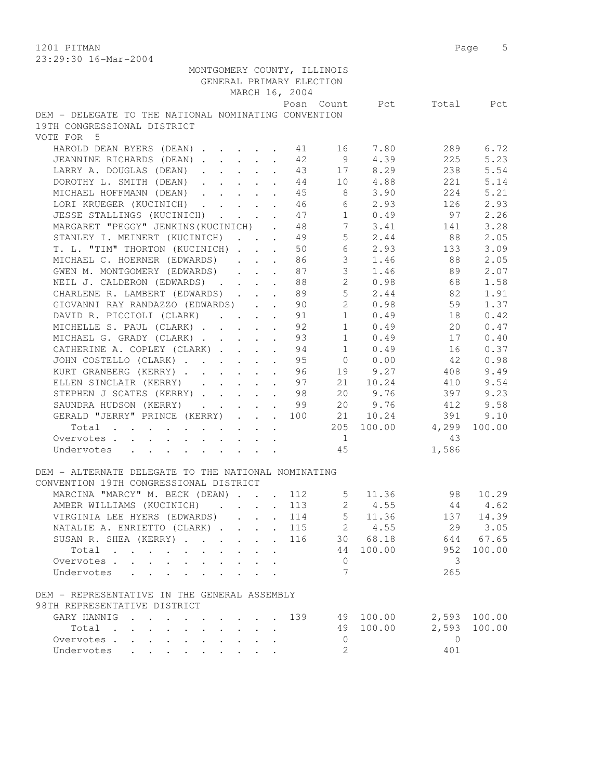1201 PITMAN Page 5  $\frac{1}{2}$ :  $\frac{1}{2}$  -  $\frac{1}{2}$  0.

| 23:29:30 16-Mar-2004                                                                                    |                |                        |                |           |
|---------------------------------------------------------------------------------------------------------|----------------|------------------------|----------------|-----------|
| MONTGOMERY COUNTY, ILLINOIS                                                                             |                |                        |                |           |
| GENERAL PRIMARY ELECTION                                                                                |                |                        |                |           |
| MARCH 16, 2004                                                                                          |                |                        |                |           |
|                                                                                                         |                | Posn Count Pct         |                | Total Pct |
| DEM - DELEGATE TO THE NATIONAL NOMINATING CONVENTION                                                    |                |                        |                |           |
| 19TH CONGRESSIONAL DISTRICT                                                                             |                |                        |                |           |
| VOTE FOR 5                                                                                              |                |                        |                |           |
|                                                                                                         |                | 16 7.80                |                | 289 6.72  |
| HAROLD DEAN BYERS (DEAN) 1 1                                                                            |                |                        |                |           |
| JEANNINE RICHARDS (DEAN) 12                                                                             | $\overline{9}$ | 4.39                   | 225            | 5.23      |
| LARRY A. DOUGLAS (DEAN).<br>$\cdot$ $\cdot$ $\cdot$ $\cdot$ 43                                          |                | 17 8.29                | 238            | 5.54      |
| DOROTHY L. SMITH (DEAN) 44                                                                              |                | 10 4.88                | 221            | 5.14      |
| MICHAEL HOFFMANN (DEAN)                                                                                 | 45             | 8 <sup>8</sup><br>3.90 | 224            | 5.21      |
| LORI KRUEGER (KUCINICH).<br>$\ddot{\phantom{0}}$<br>$\ddot{\phantom{a}}$                                | 46             | 6<br>2.93              | 126            | 2.93      |
| JESSE STALLINGS (KUCINICH).<br>$\cdot$ $\cdot$ $\cdot$ $\cdot$                                          | 47             | 1<br>0.49              | 97             | 2.26      |
| MARGARET "PEGGY" JENKINS (KUCINICH) .                                                                   | 48             | 7<br>3.41              | 141            | 3.28      |
| STANLEY I. MEINERT (KUCINICH) 49                                                                        |                | 5 <sup>7</sup><br>2.44 | 88             | 2.05      |
| T. L. "TIM" THORTON (KUCINICH)                                                                          | 50             | 6<br>2.93              | 133            | 3.09      |
| MICHAEL C. HOERNER (EDWARDS)                                                                            | 86             | $\mathcal{S}$<br>1.46  | 88             | 2.05      |
| GWEN M. MONTGOMERY (EDWARDS)<br>$\mathbf{r}$ and $\mathbf{r}$ and $\mathbf{r}$                          | 87             | $\mathfrak{Z}$<br>1.46 | 89             | 2.07      |
|                                                                                                         |                | $2^{\circ}$<br>0.98    | 68             | 1.58      |
| NEIL J. CALDERON (EDWARDS) 88                                                                           |                |                        |                |           |
| CHARLENE R. LAMBERT (EDWARDS)                                                                           | 89             | 5 <sup>7</sup><br>2.44 | 82             | 1.91      |
| GIOVANNI RAY RANDAZZO (EDWARDS).<br>$\ddot{\phantom{a}}$                                                | 90             | $\overline{2}$<br>0.98 | 59             | 1.37      |
| DAVID R. PICCIOLI (CLARK)<br>$\mathbf{L}$<br>$\ddot{\phantom{a}}$                                       | 91             | 1<br>0.49              | 18             | 0.42      |
| MICHELLE S. PAUL (CLARK)                                                                                | 92             | $1 \t 0.49$            | 20             | 0.47      |
| MICHAEL G. GRADY (CLARK)                                                                                | 93             | $1 \t 0.49$            | 17             | 0.40      |
| CATHERINE A. COPLEY (CLARK)                                                                             | 94             | 1 0.49                 | 16             | 0.37      |
| JOHN COSTELLO (CLARK)                                                                                   | 95             | $0 \t 0.00$            | 42             | 0.98      |
| KURT GRANBERG (KERRY) 96                                                                                |                | 19 9.27                | 408            | 9.49      |
| ELLEN SINCLAIR (KERRY)                                                                                  | 97             | 21 10.24               | 410            | 9.54      |
| STEPHEN J SCATES (KERRY)                                                                                | 98             | 20<br>9.76             | 397            | 9.23      |
| SAUNDRA HUDSON (KERRY)                                                                                  | - 99           | 20<br>9.76             | 412            | 9.58      |
| $\cdot$ $\cdot$ $\cdot$                                                                                 |                |                        |                |           |
| GERALD "JERRY" PRINCE (KERRY)<br>. 100                                                                  |                | 10.24<br>21            | 391            | 9.10      |
| Total                                                                                                   |                | 100.00<br>205          | 4,299          | 100.00    |
| Overvotes .<br>$\mathbf{r}$ , and $\mathbf{r}$ , and $\mathbf{r}$ , and $\mathbf{r}$ , and $\mathbf{r}$ |                | $\overline{1}$         | 43             |           |
| Undervotes                                                                                              | 45             |                        | 1,586          |           |
|                                                                                                         |                |                        |                |           |
| DEM - ALTERNATE DELEGATE TO THE NATIONAL NOMINATING                                                     |                |                        |                |           |
| CONVENTION 19TH CONGRESSIONAL DISTRICT                                                                  |                |                        |                |           |
| MARCINA "MARCY" M. BECK (DEAN) 112                                                                      |                | 5<br>11.36             | 98             | 10.29     |
| AMBER WILLIAMS (KUCINICH)                                                                               | 113            | $2^{\circ}$<br>4.55    | 44             | 4.62      |
| VIRGINIA LEE HYERS (EDWARDS)<br>$\mathbf{L}$                                                            | 114            | 5<br>11.36             | 137            | 14.39     |
| NATALIE A. ENRIETTO (CLARK)                                                                             | 115            | 2 4.55                 | 29             | 3.05      |
| SUSAN R. SHEA (KERRY)                                                                                   | 116            | 30 68.18               | 644            | 67.65     |
| Total                                                                                                   |                | 44<br>100.00           | 952            | 100.00    |
|                                                                                                         |                |                        |                |           |
| Overvotes                                                                                               |                | $\mathbf{0}$           | 3              |           |
| Undervotes                                                                                              |                | 7                      | 265            |           |
|                                                                                                         |                |                        |                |           |
| DEM - REPRESENTATIVE IN THE GENERAL ASSEMBLY                                                            |                |                        |                |           |
| 98TH REPRESENTATIVE DISTRICT                                                                            |                |                        |                |           |
| GARY HANNIG                                                                                             | 139            | 100.00<br>49           | 2,593          | 100.00    |
| Total                                                                                                   |                | 100.00<br>49           | 2,593          | 100.00    |
| Overvotes.                                                                                              |                | $\circ$                | $\overline{0}$ |           |
| Undervotes                                                                                              |                | 2                      | 401            |           |
|                                                                                                         |                |                        |                |           |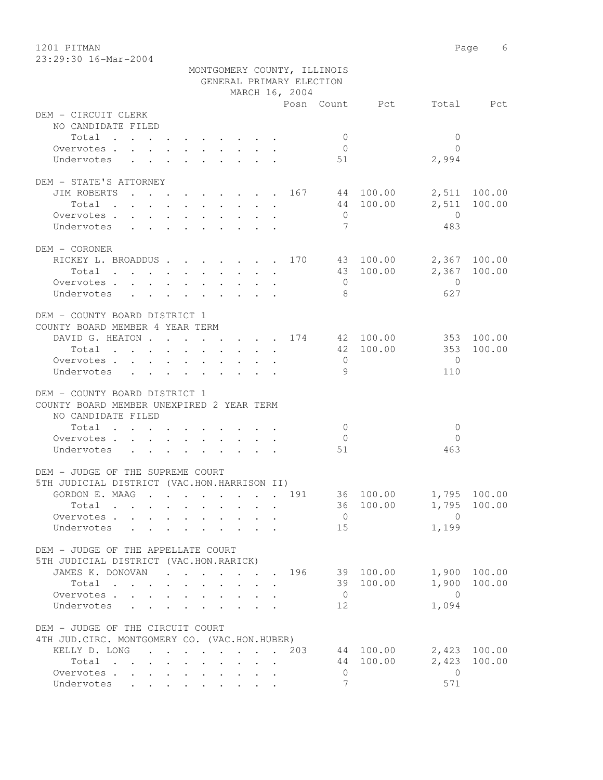1201 PITMAN Page 6 23:29:30 16-Mar-2004

|                                               |                                                                                          | MONTGOMERY COUNTY, ILLINOIS<br>GENERAL PRIMARY ELECTION |                          |                        |
|-----------------------------------------------|------------------------------------------------------------------------------------------|---------------------------------------------------------|--------------------------|------------------------|
|                                               |                                                                                          | MARCH 16, 2004                                          |                          |                        |
|                                               |                                                                                          |                                                         | Posn Count Pct Total Pct |                        |
| DEM - CIRCUIT CLERK                           |                                                                                          |                                                         |                          |                        |
| NO CANDIDATE FILED                            |                                                                                          |                                                         |                          |                        |
| Total                                         |                                                                                          |                                                         | $\overline{0}$           | $\Omega$               |
| Overvotes.                                    |                                                                                          |                                                         | $\bigcirc$               | $\Omega$               |
| Undervotes                                    |                                                                                          |                                                         | 51                       | 2,994                  |
| DEM - STATE'S ATTORNEY                        |                                                                                          |                                                         |                          |                        |
| JIM ROBERTS 167 44 100.00                     |                                                                                          |                                                         |                          | 2,511 100.00           |
| Total                                         |                                                                                          |                                                         | 44 100.00                | 2,511 100.00           |
| Overvotes.                                    |                                                                                          |                                                         | $\overline{0}$           | $\overline{0}$         |
|                                               |                                                                                          |                                                         |                          |                        |
| Undervotes                                    |                                                                                          |                                                         | 7                        | 483                    |
| DEM - CORONER                                 |                                                                                          |                                                         |                          |                        |
| RICKEY L. BROADDUS 170 43 100.00 2,367 100.00 |                                                                                          |                                                         |                          |                        |
| Total                                         |                                                                                          |                                                         | 43 100.00                | 2,367 100.00           |
| Overvotes.                                    |                                                                                          |                                                         | $\overline{0}$           | $\overline{0}$         |
| Undervotes                                    |                                                                                          |                                                         | - 8                      | 627                    |
| $\sim$ $\sim$                                 | $\mathbf{r}$ , and $\mathbf{r}$ , and $\mathbf{r}$ , and $\mathbf{r}$ , and $\mathbf{r}$ |                                                         |                          |                        |
| DEM - COUNTY BOARD DISTRICT 1                 |                                                                                          |                                                         |                          |                        |
| COUNTY BOARD MEMBER 4 YEAR TERM               |                                                                                          |                                                         |                          |                        |
| DAVID G. HEATON 174 42 100.00 353 100.00      |                                                                                          |                                                         |                          |                        |
| Total 42 100.00 353                           |                                                                                          |                                                         |                          | 100.00                 |
| Overvotes.                                    |                                                                                          |                                                         | $\overline{0}$           | $\overline{0}$         |
| Undervotes                                    |                                                                                          |                                                         | 9                        | 110                    |
|                                               |                                                                                          |                                                         |                          |                        |
| DEM - COUNTY BOARD DISTRICT 1                 |                                                                                          |                                                         |                          |                        |
| COUNTY BOARD MEMBER UNEXPIRED 2 YEAR TERM     |                                                                                          |                                                         |                          |                        |
| NO CANDIDATE FILED                            |                                                                                          |                                                         |                          |                        |
| Total                                         |                                                                                          |                                                         | $\overline{0}$           | $\mathbf{0}$           |
| Overvotes.                                    |                                                                                          |                                                         | $\overline{0}$           | $\Omega$               |
| Undervotes                                    |                                                                                          |                                                         | 51                       | 463                    |
|                                               |                                                                                          |                                                         |                          |                        |
| DEM - JUDGE OF THE SUPREME COURT              |                                                                                          |                                                         |                          |                        |
| 5TH JUDICIAL DISTRICT (VAC.HON.HARRISON II)   |                                                                                          |                                                         |                          |                        |
| GORDON E. MAAG 191                            |                                                                                          |                                                         | 36 100.00 1,795 100.00   |                        |
| Total .                                       |                                                                                          |                                                         |                          | 36 100.00 1,795 100.00 |
| Overvotes.                                    |                                                                                          |                                                         | $\overline{0}$           | $\Omega$               |
| Undervotes                                    |                                                                                          |                                                         | 15                       | 1,199                  |
|                                               |                                                                                          |                                                         |                          |                        |
| DEM - JUDGE OF THE APPELLATE COURT            |                                                                                          |                                                         |                          |                        |
| 5TH JUDICIAL DISTRICT (VAC.HON.RARICK)        |                                                                                          |                                                         |                          |                        |
| JAMES K. DONOVAN 196 39 100.00                |                                                                                          |                                                         |                          | 1,900 100.00           |
| Total                                         |                                                                                          |                                                         | 39 100.00                | 1,900 100.00           |
| Overvotes                                     | $\mathbf{r} = \mathbf{r} \cdot \mathbf{r}$                                               |                                                         | $\overline{0}$           | $\bigcirc$             |
|                                               |                                                                                          | $\mathbf{L}$                                            |                          |                        |
| Undervotes                                    |                                                                                          |                                                         | 12                       | 1,094                  |
| DEM - JUDGE OF THE CIRCUIT COURT              |                                                                                          |                                                         |                          |                        |
| 4TH JUD. CIRC. MONTGOMERY CO. (VAC.HON.HUBER) |                                                                                          |                                                         |                          |                        |
| KELLY D. LONG                                 |                                                                                          | . 203                                                   | 44 100.00                | 2,423 100.00           |
|                                               |                                                                                          |                                                         |                          | 100.00                 |
| Total                                         |                                                                                          |                                                         | 44 100.00                | 2,423                  |
| Overvotes                                     |                                                                                          |                                                         | $\circ$                  | $\overline{0}$         |
| Undervotes                                    |                                                                                          |                                                         | $\overline{7}$           | 571                    |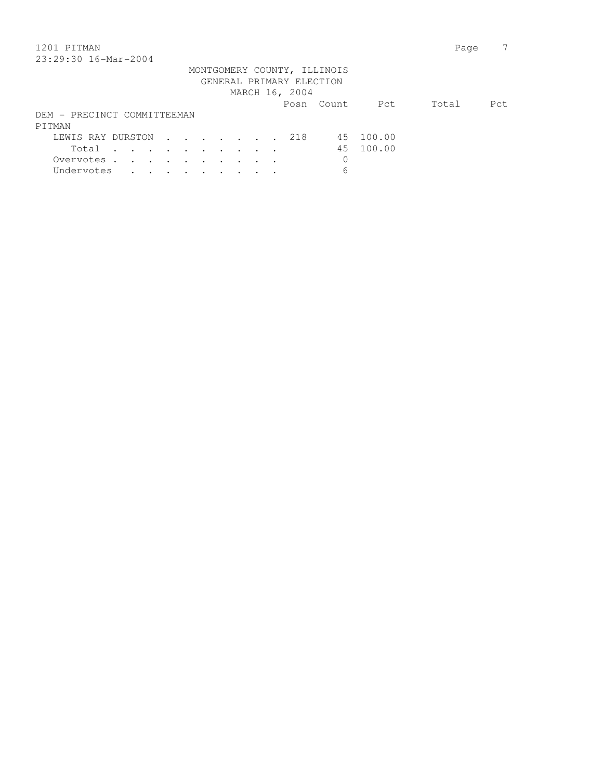## 1201 PITMAN Page 7 23:29:30 16-Mar-2004

| 49.49.90 IV MIL 2007            |  |  |  |  |  |                          |                             |                |       |      |
|---------------------------------|--|--|--|--|--|--------------------------|-----------------------------|----------------|-------|------|
|                                 |  |  |  |  |  |                          | MONTGOMERY COUNTY, ILLINOIS |                |       |      |
|                                 |  |  |  |  |  | GENERAL PRIMARY ELECTION |                             |                |       |      |
|                                 |  |  |  |  |  | MARCH 16, 2004           |                             |                |       |      |
|                                 |  |  |  |  |  |                          |                             | Posn Count Pct | Total | Pct. |
| DEM - PRECINCT COMMITTEEMAN     |  |  |  |  |  |                          |                             |                |       |      |
| PITMAN                          |  |  |  |  |  |                          |                             |                |       |      |
| LEWIS RAY DURSTON 218 45 100.00 |  |  |  |  |  |                          |                             |                |       |      |
| Total                           |  |  |  |  |  |                          |                             | 45 100.00      |       |      |
| Overvotes                       |  |  |  |  |  |                          |                             |                |       |      |
| Undervotes                      |  |  |  |  |  |                          | 6                           |                |       |      |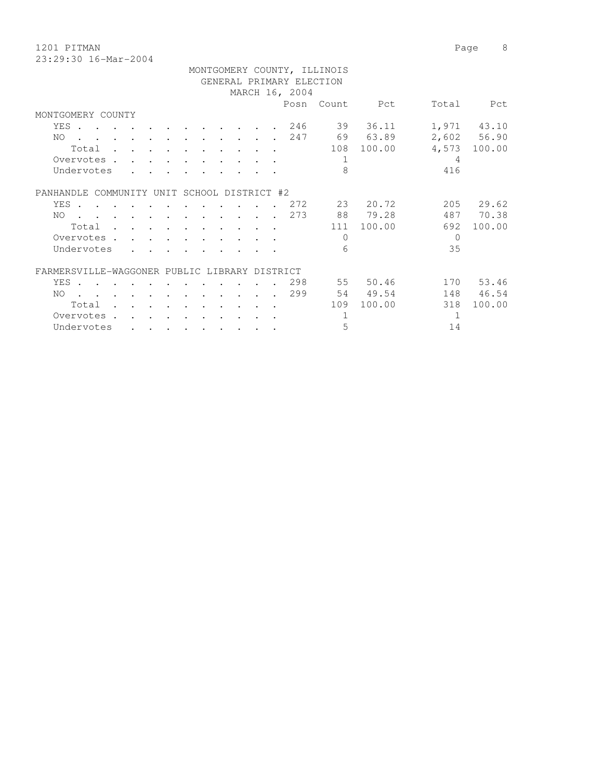| 1201 PITMAN          |                             |  | Page | - 8 |
|----------------------|-----------------------------|--|------|-----|
| 23:29:30 16-Mar-2004 |                             |  |      |     |
|                      | MONTGOMERY COUNTY, ILLINOIS |  |      |     |

|                                               |                           |                                                                                                                                                                                                                                                                                                                                                                                                                              |                                 |                                  |                      |                                 |        |                | MONTGOMERY COUNTY, ILLINOIS |          |          |             |
|-----------------------------------------------|---------------------------|------------------------------------------------------------------------------------------------------------------------------------------------------------------------------------------------------------------------------------------------------------------------------------------------------------------------------------------------------------------------------------------------------------------------------|---------------------------------|----------------------------------|----------------------|---------------------------------|--------|----------------|-----------------------------|----------|----------|-------------|
|                                               |                           |                                                                                                                                                                                                                                                                                                                                                                                                                              |                                 |                                  |                      |                                 |        |                | GENERAL PRIMARY ELECTION    |          |          |             |
|                                               |                           |                                                                                                                                                                                                                                                                                                                                                                                                                              |                                 |                                  |                      |                                 |        | MARCH 16, 2004 |                             |          |          |             |
|                                               |                           |                                                                                                                                                                                                                                                                                                                                                                                                                              |                                 |                                  |                      |                                 |        |                | Posn Count                  | Pct      | Total    | Pct         |
| MONTGOMERY COUNTY                             |                           |                                                                                                                                                                                                                                                                                                                                                                                                                              |                                 |                                  |                      |                                 |        |                |                             |          |          |             |
| YES .<br>$\sim$ $\sim$ $\sim$                 | $\sim$ $\sim$ $\sim$      | $\sim$ $\sim$ $\sim$                                                                                                                                                                                                                                                                                                                                                                                                         |                                 |                                  |                      |                                 |        | 246            | 39                          | 36.11    |          | 1,971 43.10 |
| NO                                            |                           | and the contract of the contract of the contract of the contract of the contract of the contract of the contract of the contract of the contract of the contract of the contract of the contract of the contract of the contra                                                                                                                                                                                               |                                 | $\sim$ $\sim$ $\sim$             |                      |                                 |        | 247            |                             | 69 63.89 |          | 2,602 56.90 |
| Total                                         |                           | $\sim$ $\sim$ $\sim$                                                                                                                                                                                                                                                                                                                                                                                                         |                                 | $\ddot{\phantom{a}}$             |                      | $\sim$ $\sim$ $\sim$            | $\sim$ |                | 108                         | 100.00   | 4,573    | 100.00      |
| Overvotes .                                   |                           |                                                                                                                                                                                                                                                                                                                                                                                                                              |                                 |                                  |                      |                                 |        |                | 1                           |          | 4        |             |
| Undervotes                                    |                           |                                                                                                                                                                                                                                                                                                                                                                                                                              |                                 |                                  |                      |                                 |        |                | 8                           |          | 416      |             |
| PANHANDLE COMMUNITY UNIT SCHOOL DISTRICT #2   |                           |                                                                                                                                                                                                                                                                                                                                                                                                                              |                                 |                                  |                      |                                 |        |                |                             |          |          |             |
| YES .                                         |                           |                                                                                                                                                                                                                                                                                                                                                                                                                              |                                 |                                  |                      |                                 |        | . 272          |                             | 23 20.72 | 205      | 29.62       |
| NO.                                           |                           | $\mathbf{r} = \mathbf{r} + \mathbf{r} + \mathbf{r} + \mathbf{r} + \mathbf{r} + \mathbf{r} + \mathbf{r} + \mathbf{r} + \mathbf{r} + \mathbf{r} + \mathbf{r} + \mathbf{r} + \mathbf{r} + \mathbf{r} + \mathbf{r} + \mathbf{r} + \mathbf{r} + \mathbf{r} + \mathbf{r} + \mathbf{r} + \mathbf{r} + \mathbf{r} + \mathbf{r} + \mathbf{r} + \mathbf{r} + \mathbf{r} + \mathbf{r} + \mathbf{r} + \mathbf{r} + \mathbf{r} + \mathbf$ |                                 |                                  |                      |                                 |        | 273            |                             | 88 79.28 | 487      | 70.38       |
| Total                                         |                           |                                                                                                                                                                                                                                                                                                                                                                                                                              |                                 |                                  |                      | $\cdot$ $\cdot$ $\cdot$ $\cdot$ |        |                | 111                         | 100.00   | 692      | 100.00      |
| Overvotes .                                   | $\mathbf{r} = \mathbf{r}$ | $\sim$ $\sim$ $\sim$                                                                                                                                                                                                                                                                                                                                                                                                         |                                 |                                  |                      |                                 |        |                | $\Omega$                    |          | $\Omega$ |             |
| Undervotes                                    |                           |                                                                                                                                                                                                                                                                                                                                                                                                                              |                                 |                                  |                      |                                 |        |                | 6                           |          | 35       |             |
| FARMERSVILLE-WAGGONER PUBLIC LIBRARY DISTRICT |                           |                                                                                                                                                                                                                                                                                                                                                                                                                              |                                 |                                  |                      |                                 |        |                |                             |          |          |             |
| YES .                                         |                           |                                                                                                                                                                                                                                                                                                                                                                                                                              |                                 |                                  |                      |                                 |        | 298            |                             | 55 50.46 |          | 170 53.46   |
| NO.                                           | $\ddot{\phantom{1}}$      |                                                                                                                                                                                                                                                                                                                                                                                                                              | $\mathbf{r}$ , and $\mathbf{r}$ | $\ddot{\phantom{0}}$             | $\ddot{\phantom{a}}$ | $\ddot{\phantom{0}}$            |        | 299            |                             | 54 49.54 | 148      | 46.54       |
| Total                                         |                           |                                                                                                                                                                                                                                                                                                                                                                                                                              |                                 |                                  |                      |                                 |        |                | 109                         | 100.00   | 318      | 100.00      |
| Overvotes .                                   |                           |                                                                                                                                                                                                                                                                                                                                                                                                                              |                                 |                                  |                      |                                 |        |                | 1                           |          | 1        |             |
| Undervotes                                    |                           | $\cdot$ $\cdot$ $\cdot$ $\cdot$ $\cdot$ $\cdot$                                                                                                                                                                                                                                                                                                                                                                              |                                 | $\bullet$ . The set of $\bullet$ | $\ddot{\phantom{0}}$ | $\cdot$ $\cdot$                 |        |                | 5                           |          | 14       |             |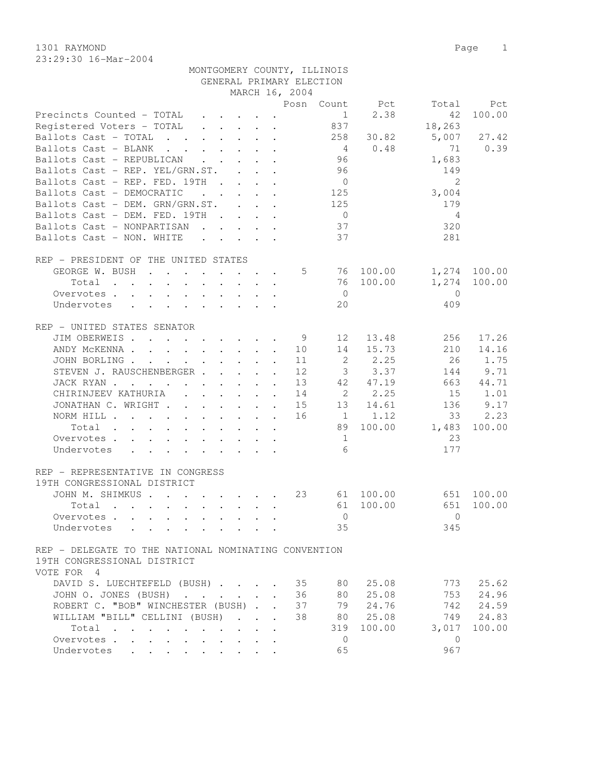1301 RAYMOND Page 1 23:29:30 16-Mar-2004

|                                                                                                                               |                                                                                                     |                                 |                      | GENERAL PRIMARY ELECTION |                 |                       |                |              |
|-------------------------------------------------------------------------------------------------------------------------------|-----------------------------------------------------------------------------------------------------|---------------------------------|----------------------|--------------------------|-----------------|-----------------------|----------------|--------------|
|                                                                                                                               |                                                                                                     |                                 |                      | MARCH 16, 2004           |                 |                       |                |              |
|                                                                                                                               |                                                                                                     |                                 |                      |                          |                 | Posn Count Pct        | Total          | Pct          |
| Precincts Counted - TOTAL                                                                                                     |                                                                                                     |                                 |                      |                          | 1               | 2.38                  | 42             | 100.00       |
| Registered Voters - TOTAL                                                                                                     | $\mathbf{r}$ , $\mathbf{r}$ , $\mathbf{r}$ , $\mathbf{r}$                                           |                                 |                      |                          | 837             |                       | 18,263         |              |
| Ballots Cast - TOTAL                                                                                                          |                                                                                                     |                                 |                      |                          | 258             | 30.82                 | 5,007          | 27.42        |
| Ballots Cast - BLANK                                                                                                          |                                                                                                     |                                 |                      |                          | $\overline{4}$  | 0.48                  | 71             | 0.39         |
| Ballots Cast - REPUBLICAN                                                                                                     |                                                                                                     |                                 |                      |                          | 96              |                       | 1,683          |              |
| Ballots Cast - REP. YEL/GRN.ST.                                                                                               |                                                                                                     |                                 |                      |                          | 96              |                       | 149            |              |
| Ballots Cast - REP. FED. 19TH                                                                                                 |                                                                                                     |                                 |                      |                          | $\overline{0}$  |                       | 2              |              |
| Ballots Cast - DEMOCRATIC<br>$\mathbf{r}$ , $\mathbf{r}$ , $\mathbf{r}$ , $\mathbf{r}$                                        |                                                                                                     |                                 |                      |                          | 125             |                       | 3,004          |              |
| Ballots Cast - DEM. GRN/GRN.ST.                                                                                               |                                                                                                     |                                 |                      |                          | 125             |                       | 179            |              |
| Ballots Cast - DEM. FED. 19TH                                                                                                 |                                                                                                     |                                 |                      |                          | $\overline{0}$  |                       | 4              |              |
| Ballots Cast - NONPARTISAN                                                                                                    |                                                                                                     |                                 |                      |                          | 37              |                       | 320            |              |
| Ballots Cast - NON. WHITE                                                                                                     |                                                                                                     |                                 |                      |                          | 37              |                       | 281            |              |
|                                                                                                                               |                                                                                                     |                                 |                      |                          |                 |                       |                |              |
| REP - PRESIDENT OF THE UNITED STATES                                                                                          |                                                                                                     |                                 |                      |                          |                 |                       |                |              |
| GEORGE W. BUSH                                                                                                                |                                                                                                     |                                 |                      | 5                        |                 | 76 100.00             |                | 1,274 100.00 |
| Total<br>$\mathbf{r}$ , $\mathbf{r}$ , $\mathbf{r}$                                                                           |                                                                                                     | $\cdot$ $\cdot$ $\cdot$ $\cdot$ |                      |                          |                 | 76 100.00             | 1,274          | 100.00       |
| Overvotes                                                                                                                     |                                                                                                     |                                 |                      |                          | $\overline{0}$  |                       | $\bigcirc$     |              |
| Undervotes<br>$\mathbf{r}$ , $\mathbf{r}$ , $\mathbf{r}$ , $\mathbf{r}$ , $\mathbf{r}$ , $\mathbf{r}$                         |                                                                                                     |                                 |                      |                          | 20              |                       | 409            |              |
|                                                                                                                               |                                                                                                     |                                 |                      |                          |                 |                       |                |              |
| REP - UNITED STATES SENATOR                                                                                                   |                                                                                                     |                                 |                      |                          |                 |                       |                |              |
| JIM OBERWEIS                                                                                                                  |                                                                                                     |                                 |                      | -9                       | 12              | 13.48                 | 256            | 17.26        |
| ANDY MCKENNA                                                                                                                  |                                                                                                     |                                 |                      | 10                       | 14              | 15.73                 | 210            | 14.16        |
| JOHN BORLING                                                                                                                  |                                                                                                     |                                 |                      | 11                       | 2               | 2.25                  | 26             | 1.75         |
| STEVEN J. RAUSCHENBERGER                                                                                                      |                                                                                                     |                                 |                      | 12                       | 3 <sup>7</sup>  | 3.37                  | 144            | 9.71         |
| JACK RYAN                                                                                                                     |                                                                                                     |                                 | $\ddot{\phantom{a}}$ | 13                       | 42              | 47.19                 | 663            | 44.71        |
| CHIRINJEEV KATHURIA (CHIRINJEEV KATHURIA)                                                                                     |                                                                                                     |                                 |                      | 14                       | $\overline{2}$  | 2.25                  | 15             | 1.01         |
| JONATHAN C. WRIGHT                                                                                                            |                                                                                                     |                                 | $\ddot{\phantom{a}}$ | 15                       |                 | 13 14.61              | 136            | 9.17         |
| NORM HILL                                                                                                                     |                                                                                                     |                                 |                      | 16                       |                 | 1 1.12                | 33             | 2.23         |
| Total                                                                                                                         |                                                                                                     |                                 |                      |                          | 89              | 100.00                | 1,483          | 100.00       |
| Overvotes                                                                                                                     |                                                                                                     |                                 |                      |                          | 1               |                       | 23             |              |
| Undervotes                                                                                                                    |                                                                                                     |                                 |                      |                          | $6\overline{6}$ |                       | 177            |              |
|                                                                                                                               |                                                                                                     |                                 |                      |                          |                 |                       |                |              |
| REP - REPRESENTATIVE IN CONGRESS                                                                                              |                                                                                                     |                                 |                      |                          |                 |                       |                |              |
| 19TH CONGRESSIONAL DISTRICT                                                                                                   |                                                                                                     |                                 |                      |                          |                 |                       |                |              |
| JOHN M. SHIMKUS                                                                                                               |                                                                                                     |                                 |                      | 23                       |                 | 61 100.00             |                | 651 100.00   |
| Total                                                                                                                         |                                                                                                     |                                 |                      |                          | 61              | 100.00                | 651            | 100.00       |
|                                                                                                                               |                                                                                                     |                                 |                      |                          |                 |                       |                |              |
|                                                                                                                               |                                                                                                     |                                 |                      |                          |                 | $\Omega$ and $\Omega$ | $\overline{0}$ |              |
| Undervotes<br>the contract of the contract of the contract of the contract of the contract of the contract of the contract of |                                                                                                     |                                 |                      |                          | 35              |                       | 345            |              |
|                                                                                                                               |                                                                                                     |                                 |                      |                          |                 |                       |                |              |
| REP - DELEGATE TO THE NATIONAL NOMINATING CONVENTION                                                                          |                                                                                                     |                                 |                      |                          |                 |                       |                |              |
| 19TH CONGRESSIONAL DISTRICT                                                                                                   |                                                                                                     |                                 |                      |                          |                 |                       |                |              |
| VOTE FOR 4                                                                                                                    |                                                                                                     |                                 |                      |                          |                 |                       |                |              |
| DAVID S. LUECHTEFELD (BUSH)                                                                                                   |                                                                                                     |                                 |                      | 35                       | 80              | 25.08                 | 773            | 25.62        |
| JOHN O. JONES (BUSH)                                                                                                          |                                                                                                     |                                 |                      | 36                       | 80              | 25.08                 | 753            | 24.96        |
| ROBERT C. "BOB" WINCHESTER (BUSH).                                                                                            |                                                                                                     |                                 |                      | 37                       | 79              | 24.76                 | 742            | 24.59        |
| WILLIAM "BILL" CELLINI (BUSH)                                                                                                 |                                                                                                     | $\mathbf{r} = \mathbf{r}$       |                      | 38                       | 80 —            | 25.08                 | 749            | 24.83        |
| Total                                                                                                                         | $\ddot{\phantom{0}}$                                                                                |                                 |                      |                          | 319             | 100.00                | 3,017          | 100.00       |
| Overvotes<br>$\bullet$ .                                                                                                      |                                                                                                     | $\bullet$                       |                      |                          | $\mathbf{0}$    |                       | $\mathbf{0}$   |              |
| Undervotes<br>$\bullet$ . In the case of the $\sim$                                                                           | $\bullet \qquad \bullet \qquad \bullet \qquad \bullet \qquad \bullet \qquad \bullet \qquad \bullet$ |                                 |                      |                          | 65              |                       | 967            |              |

MONTGOMERY COUNTY, ILLINOIS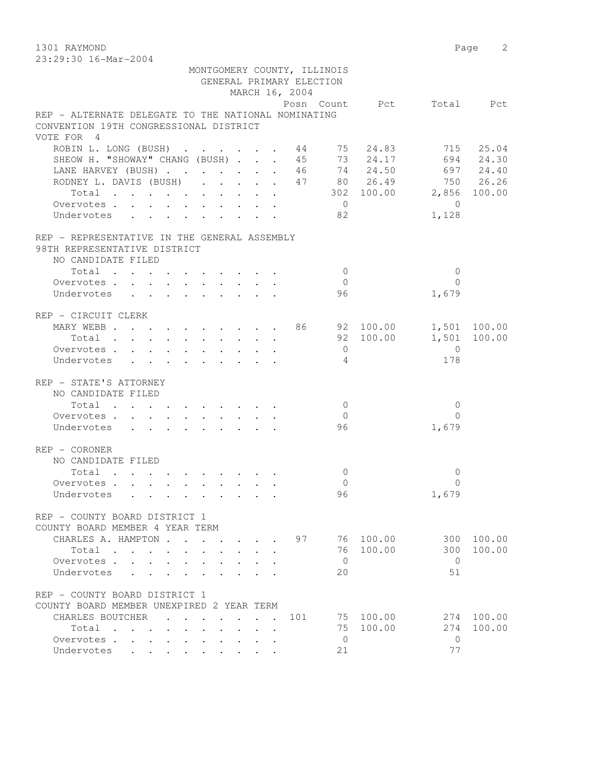1301 RAYMOND Page 2

| 23:29:30 16-Mar-2004                                                                             |  |  |  |  |                          |                             |           |                               |              |
|--------------------------------------------------------------------------------------------------|--|--|--|--|--------------------------|-----------------------------|-----------|-------------------------------|--------------|
|                                                                                                  |  |  |  |  |                          | MONTGOMERY COUNTY, ILLINOIS |           |                               |              |
|                                                                                                  |  |  |  |  | GENERAL PRIMARY ELECTION |                             |           |                               |              |
|                                                                                                  |  |  |  |  | MARCH 16, 2004           |                             |           |                               |              |
|                                                                                                  |  |  |  |  |                          |                             |           | Posn Count Pct Total Pct      |              |
| REP - ALTERNATE DELEGATE TO THE NATIONAL NOMINATING                                              |  |  |  |  |                          |                             |           |                               |              |
| CONVENTION 19TH CONGRESSIONAL DISTRICT                                                           |  |  |  |  |                          |                             |           |                               |              |
| VOTE FOR 4                                                                                       |  |  |  |  |                          |                             |           |                               |              |
| ROBIN L. LONG (BUSH) 44 75 24.83 715 25.04                                                       |  |  |  |  |                          |                             |           |                               |              |
| SHEOW H. "SHOWAY" CHANG (BUSH) 45 73 24.17 694 24.30<br>LANE HARVEY (BUSH) 46 74 24.50 697 24.40 |  |  |  |  |                          |                             |           |                               |              |
|                                                                                                  |  |  |  |  |                          |                             |           |                               |              |
| RODNEY L. DAVIS (BUSH) 47 80 26.49 750 26.26                                                     |  |  |  |  |                          |                             |           |                               |              |
|                                                                                                  |  |  |  |  |                          |                             |           | Total 302 100.00 2,856 100.00 |              |
| Overvotes.                                                                                       |  |  |  |  |                          | $\overline{0}$              |           | $\overline{0}$                |              |
| Undervotes                                                                                       |  |  |  |  |                          | 82                          |           | 1,128                         |              |
|                                                                                                  |  |  |  |  |                          |                             |           |                               |              |
| REP - REPRESENTATIVE IN THE GENERAL ASSEMBLY                                                     |  |  |  |  |                          |                             |           |                               |              |
| 98TH REPRESENTATIVE DISTRICT                                                                     |  |  |  |  |                          |                             |           |                               |              |
| NO CANDIDATE FILED                                                                               |  |  |  |  |                          |                             |           |                               |              |
| $Total$ , , , , , , , , , ,                                                                      |  |  |  |  |                          | $\bigcirc$                  |           | $\mathbf{0}$                  |              |
| Overvotes.                                                                                       |  |  |  |  |                          | $\bigcirc$                  |           | $\Omega$                      |              |
| Undervotes                                                                                       |  |  |  |  |                          | 96                          |           | 1,679                         |              |
| REP - CIRCUIT CLERK                                                                              |  |  |  |  |                          |                             |           |                               |              |
| MARY WEBB 86 92 100.00 1,501 100.00                                                              |  |  |  |  |                          |                             |           |                               |              |
| $Total \cdot \cdot \cdot \cdot \cdot \cdot \cdot \cdot \cdot$                                    |  |  |  |  |                          |                             | 92 100.00 |                               | 1,501 100.00 |
| Overvotes.                                                                                       |  |  |  |  |                          | $\overline{0}$              |           | $\Omega$                      |              |
| Undervotes                                                                                       |  |  |  |  |                          | $\sim$ 4                    |           | 178                           |              |
|                                                                                                  |  |  |  |  |                          |                             |           |                               |              |
| REP - STATE'S ATTORNEY                                                                           |  |  |  |  |                          |                             |           |                               |              |
| NO CANDIDATE FILED                                                                               |  |  |  |  |                          |                             |           |                               |              |
| Total                                                                                            |  |  |  |  |                          | $\Omega$                    |           | $\mathbf{0}$                  |              |
| Overvotes                                                                                        |  |  |  |  |                          | $\Omega$                    |           | $\Omega$                      |              |

|                                        | Undervotes                    |        |   |           |             |   |           |  |     | 96       |        | 1,679    |        |
|----------------------------------------|-------------------------------|--------|---|-----------|-------------|---|-----------|--|-----|----------|--------|----------|--------|
| REP                                    | - CORONER                     |        |   |           |             |   |           |  |     |          |        |          |        |
| NO.                                    | CANDIDATE                     | FILED  |   |           |             |   |           |  |     |          |        |          |        |
|                                        | Total                         |        |   |           |             |   |           |  |     | $\Omega$ |        | $\Omega$ |        |
|                                        | Overvotes<br>$\mathbb{R}^2$   |        |   |           |             |   |           |  |     | $\Omega$ |        | 0        |        |
|                                        | Undervotes                    |        |   |           |             |   |           |  |     | 96       |        | 1,679    |        |
| <b>REP</b><br>$\overline{\phantom{a}}$ | COUNTY BOARD DISTRICT 1       |        |   |           |             |   |           |  |     |          |        |          |        |
| COUNTY                                 | <b>BOARD</b>                  | MEMBER | 4 | YEAR      | <b>TERM</b> |   |           |  |     |          |        |          |        |
|                                        | CHARLES A. HAMPTON            |        |   |           |             |   |           |  | 97  | 76       | 100.00 | 300      | 100.00 |
|                                        | Total                         |        |   |           |             |   |           |  |     | 76       | 100.00 | 300      | 100.00 |
|                                        | Overvotes<br>$\sim$           |        |   |           |             |   |           |  |     | $\Omega$ |        | $\Omega$ |        |
|                                        | Undervotes                    |        |   |           |             |   |           |  |     | 20       |        | 51       |        |
|                                        | REP - COUNTY BOARD DISTRICT 1 |        |   |           |             |   |           |  |     |          |        |          |        |
| COUNTY                                 | <b>BOARD</b>                  | MEMBER |   | UNEXPIRED |             | 2 | YEAR TERM |  |     |          |        |          |        |
|                                        | CHARLES BOUTCHER              |        |   |           |             |   |           |  | 101 | 75       | 100.00 | 274      | 100.00 |
|                                        | Total                         |        |   |           |             |   |           |  |     | 75       | 100.00 | 274      | 100.00 |
|                                        | Overvotes<br>$\mathbb{R}^2$   |        |   |           |             |   |           |  |     | 0        |        | $\Omega$ |        |
|                                        | Undervotes                    |        |   |           |             |   |           |  |     | 21       |        | 77       |        |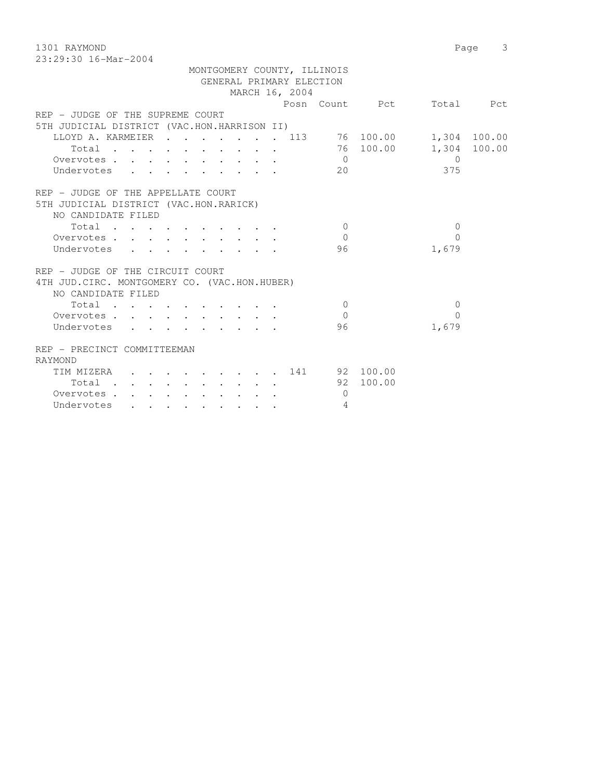1301 RAYMOND Page 3 23:29:30 16-Mar-2004

| GENERAL PRIMARY ELECTION<br>MARCH 16, 2004<br>Posn Count Pct<br>Total Pct<br>REP - JUDGE OF THE SUPREME COURT<br>5TH JUDICIAL DISTRICT (VAC.HON.HARRISON II)<br>LLOYD A. KARMEIER 113 76 100.00 1,304 100.00<br>76 100.00<br>1,304 100.00<br>Total<br>Overvotes<br>$\bigcap$<br>$\bigcap$<br>375<br>Undervotes<br>20<br>REP - JUDGE OF THE APPELLATE COURT<br>NO CANDIDATE FILED<br>Total<br>$\Omega$<br>$\Omega$<br>$\Omega$<br>$\bigcap$<br>Overvotes.<br>96<br>1,679<br>Undervotes<br>4TH JUD. CIRC. MONTGOMERY CO. (VAC.HON.HUBER)<br>NO CANDIDATE FILED<br>Total<br>$\Omega$<br>$\Omega$<br>$\Omega$<br>Overvotes<br>$\Omega$<br>1,679<br>Undervotes<br>96 |  |  |  |  |  | MONTGOMERY COUNTY, ILLINOIS |  |  |
|-----------------------------------------------------------------------------------------------------------------------------------------------------------------------------------------------------------------------------------------------------------------------------------------------------------------------------------------------------------------------------------------------------------------------------------------------------------------------------------------------------------------------------------------------------------------------------------------------------------------------------------------------------------------|--|--|--|--|--|-----------------------------|--|--|
|                                                                                                                                                                                                                                                                                                                                                                                                                                                                                                                                                                                                                                                                 |  |  |  |  |  |                             |  |  |
|                                                                                                                                                                                                                                                                                                                                                                                                                                                                                                                                                                                                                                                                 |  |  |  |  |  |                             |  |  |
|                                                                                                                                                                                                                                                                                                                                                                                                                                                                                                                                                                                                                                                                 |  |  |  |  |  |                             |  |  |
|                                                                                                                                                                                                                                                                                                                                                                                                                                                                                                                                                                                                                                                                 |  |  |  |  |  |                             |  |  |
|                                                                                                                                                                                                                                                                                                                                                                                                                                                                                                                                                                                                                                                                 |  |  |  |  |  |                             |  |  |
|                                                                                                                                                                                                                                                                                                                                                                                                                                                                                                                                                                                                                                                                 |  |  |  |  |  |                             |  |  |
|                                                                                                                                                                                                                                                                                                                                                                                                                                                                                                                                                                                                                                                                 |  |  |  |  |  |                             |  |  |
|                                                                                                                                                                                                                                                                                                                                                                                                                                                                                                                                                                                                                                                                 |  |  |  |  |  |                             |  |  |
|                                                                                                                                                                                                                                                                                                                                                                                                                                                                                                                                                                                                                                                                 |  |  |  |  |  |                             |  |  |
| 5TH JUDICIAL DISTRICT (VAC.HON.RARICK)<br>REP - JUDGE OF THE CIRCUIT COURT                                                                                                                                                                                                                                                                                                                                                                                                                                                                                                                                                                                      |  |  |  |  |  |                             |  |  |
|                                                                                                                                                                                                                                                                                                                                                                                                                                                                                                                                                                                                                                                                 |  |  |  |  |  |                             |  |  |
|                                                                                                                                                                                                                                                                                                                                                                                                                                                                                                                                                                                                                                                                 |  |  |  |  |  |                             |  |  |
|                                                                                                                                                                                                                                                                                                                                                                                                                                                                                                                                                                                                                                                                 |  |  |  |  |  |                             |  |  |
|                                                                                                                                                                                                                                                                                                                                                                                                                                                                                                                                                                                                                                                                 |  |  |  |  |  |                             |  |  |
|                                                                                                                                                                                                                                                                                                                                                                                                                                                                                                                                                                                                                                                                 |  |  |  |  |  |                             |  |  |
|                                                                                                                                                                                                                                                                                                                                                                                                                                                                                                                                                                                                                                                                 |  |  |  |  |  |                             |  |  |
|                                                                                                                                                                                                                                                                                                                                                                                                                                                                                                                                                                                                                                                                 |  |  |  |  |  |                             |  |  |
|                                                                                                                                                                                                                                                                                                                                                                                                                                                                                                                                                                                                                                                                 |  |  |  |  |  |                             |  |  |
|                                                                                                                                                                                                                                                                                                                                                                                                                                                                                                                                                                                                                                                                 |  |  |  |  |  |                             |  |  |
|                                                                                                                                                                                                                                                                                                                                                                                                                                                                                                                                                                                                                                                                 |  |  |  |  |  |                             |  |  |
|                                                                                                                                                                                                                                                                                                                                                                                                                                                                                                                                                                                                                                                                 |  |  |  |  |  |                             |  |  |
|                                                                                                                                                                                                                                                                                                                                                                                                                                                                                                                                                                                                                                                                 |  |  |  |  |  |                             |  |  |
| REP - PRECINCT COMMITTEEMAN                                                                                                                                                                                                                                                                                                                                                                                                                                                                                                                                                                                                                                     |  |  |  |  |  |                             |  |  |
| RAYMOND                                                                                                                                                                                                                                                                                                                                                                                                                                                                                                                                                                                                                                                         |  |  |  |  |  |                             |  |  |
| TIM MIZERA (COLORAL CORP. 141 (PS) 200.00                                                                                                                                                                                                                                                                                                                                                                                                                                                                                                                                                                                                                       |  |  |  |  |  |                             |  |  |
| 92 100.00                                                                                                                                                                                                                                                                                                                                                                                                                                                                                                                                                                                                                                                       |  |  |  |  |  |                             |  |  |
| $\Omega$<br>Overvotes.                                                                                                                                                                                                                                                                                                                                                                                                                                                                                                                                                                                                                                          |  |  |  |  |  |                             |  |  |
| Undervotes<br>4                                                                                                                                                                                                                                                                                                                                                                                                                                                                                                                                                                                                                                                 |  |  |  |  |  |                             |  |  |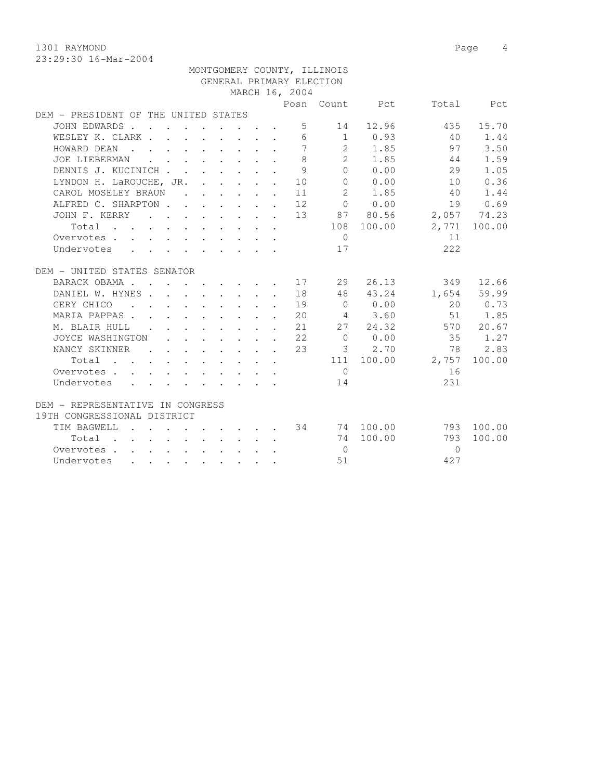1301 RAYMOND Page 4

|                                                                        |  |                                                                                                                                                                                                                                      |  |                 | MONTGOMERY COUNTY, ILLINOIS |                                                                      |                              |              |
|------------------------------------------------------------------------|--|--------------------------------------------------------------------------------------------------------------------------------------------------------------------------------------------------------------------------------------|--|-----------------|-----------------------------|----------------------------------------------------------------------|------------------------------|--------------|
|                                                                        |  |                                                                                                                                                                                                                                      |  |                 | GENERAL PRIMARY ELECTION    |                                                                      |                              |              |
|                                                                        |  |                                                                                                                                                                                                                                      |  | MARCH 16, 2004  |                             |                                                                      |                              |              |
|                                                                        |  |                                                                                                                                                                                                                                      |  |                 |                             | Posn Count Pct                                                       |                              | Total Pct    |
| DEM - PRESIDENT OF THE UNITED STATES                                   |  |                                                                                                                                                                                                                                      |  |                 |                             |                                                                      |                              |              |
| JOHN EDWARDS                                                           |  |                                                                                                                                                                                                                                      |  |                 | $5 - 5$                     | 14 12.96                                                             | 435                          | 15.70        |
| WESLEY K. CLARK                                                        |  |                                                                                                                                                                                                                                      |  | 6               |                             | $1 \t 0.93$                                                          | 40                           | 1.44         |
| HOWARD DEAN                                                            |  |                                                                                                                                                                                                                                      |  | $7\phantom{.0}$ |                             | 2 1.85                                                               | 97                           | 3.50         |
| JOE LIEBERMAN                                                          |  | <u>na mandan di sebagai sebagai sebagai sebagai sebagai sebagai sebagai sebagai sebagai sebagai sebagai sebagai sebagai sebagai sebagai sebagai sebagai sebagai sebagai sebagai sebagai sebagai sebagai sebagai sebagai sebagai </u> |  | 8               |                             | 2 1.85                                                               | 44                           | 1.59         |
| DENNIS J. KUCINICH                                                     |  |                                                                                                                                                                                                                                      |  | $\overline{9}$  |                             | 0 0.00                                                               | 29                           | 1.05         |
| LYNDON H. LaROUCHE, JR. 10                                             |  |                                                                                                                                                                                                                                      |  |                 |                             | 0 0.00                                                               | 10                           | 0.36         |
| CAROL MOSELEY BRAUN                                                    |  |                                                                                                                                                                                                                                      |  | 11              | 2                           | 1.85                                                                 | 40                           | 1.44         |
| ALFRED C. SHARPTON 12                                                  |  |                                                                                                                                                                                                                                      |  |                 |                             | 0 0.00                                                               | 19                           | 0.69         |
| JOHN F. KERRY 13                                                       |  |                                                                                                                                                                                                                                      |  |                 |                             |                                                                      | $87$ $80.56$ $2,057$ $74.23$ |              |
| Total                                                                  |  |                                                                                                                                                                                                                                      |  |                 |                             | 108 100.00                                                           |                              | 2,771 100.00 |
| Overvotes                                                              |  |                                                                                                                                                                                                                                      |  |                 | $\bigcirc$                  |                                                                      | 11                           |              |
| Undervotes                                                             |  |                                                                                                                                                                                                                                      |  |                 | 17                          |                                                                      | 222                          |              |
|                                                                        |  |                                                                                                                                                                                                                                      |  |                 |                             |                                                                      |                              |              |
| DEM - UNITED STATES SENATOR                                            |  |                                                                                                                                                                                                                                      |  |                 |                             |                                                                      |                              |              |
| BARACK OBAMA 17                                                        |  |                                                                                                                                                                                                                                      |  |                 | 29                          | 26.13                                                                | 349                          | 12.66        |
| DANIEL W. HYNES 18                                                     |  |                                                                                                                                                                                                                                      |  |                 |                             | 48 43.24                                                             |                              | 1,654 59.99  |
| GERY CHICO 19                                                          |  |                                                                                                                                                                                                                                      |  |                 |                             | $0 \t 0.00$                                                          |                              | 20 0.73      |
| MARIA PAPPAS 20                                                        |  |                                                                                                                                                                                                                                      |  |                 |                             | 4 3.60                                                               |                              | 51 1.85      |
| M. BLAIR HULL 21                                                       |  |                                                                                                                                                                                                                                      |  |                 |                             | 27 24.32                                                             |                              | 570 20.67    |
| JOYCE WASHINGTON 22                                                    |  |                                                                                                                                                                                                                                      |  |                 |                             | $0 \t 0.00$                                                          | 35 1.27                      |              |
| NANCY SKINNER                                                          |  |                                                                                                                                                                                                                                      |  | 23              |                             | 3 2.70                                                               | 78                           | 2.83         |
| $Total \cdot \cdot \cdot \cdot \cdot \cdot \cdot \cdot \cdot$          |  |                                                                                                                                                                                                                                      |  |                 |                             | 111 100.00                                                           | 2,757                        | 100.00       |
| Overvotes.                                                             |  |                                                                                                                                                                                                                                      |  |                 | $\bigcirc$                  |                                                                      | 16                           |              |
| Undervotes                                                             |  |                                                                                                                                                                                                                                      |  |                 | 14                          |                                                                      | 231                          |              |
|                                                                        |  |                                                                                                                                                                                                                                      |  |                 |                             |                                                                      |                              |              |
| DEM - REPRESENTATIVE IN CONGRESS                                       |  |                                                                                                                                                                                                                                      |  |                 |                             |                                                                      |                              |              |
| 19TH CONGRESSIONAL DISTRICT                                            |  |                                                                                                                                                                                                                                      |  |                 |                             |                                                                      |                              |              |
| TIM BAGWELL<br>$\mathcal{L} = \mathcal{L} = \mathcal{L} = \mathcal{L}$ |  |                                                                                                                                                                                                                                      |  |                 |                             | $\cdot$ $\cdot$ $\cdot$ $\cdot$ $\cdot$ $\cdot$ $\cdot$ 34 74 100.00 | 793                          | 100.00       |
| Total                                                                  |  |                                                                                                                                                                                                                                      |  |                 |                             | 74 100.00                                                            | 793                          | 100.00       |
| Overvotes                                                              |  |                                                                                                                                                                                                                                      |  |                 | $\overline{0}$              |                                                                      | $\bigcirc$                   |              |
| Undervotes                                                             |  |                                                                                                                                                                                                                                      |  |                 | 51                          |                                                                      | 427                          |              |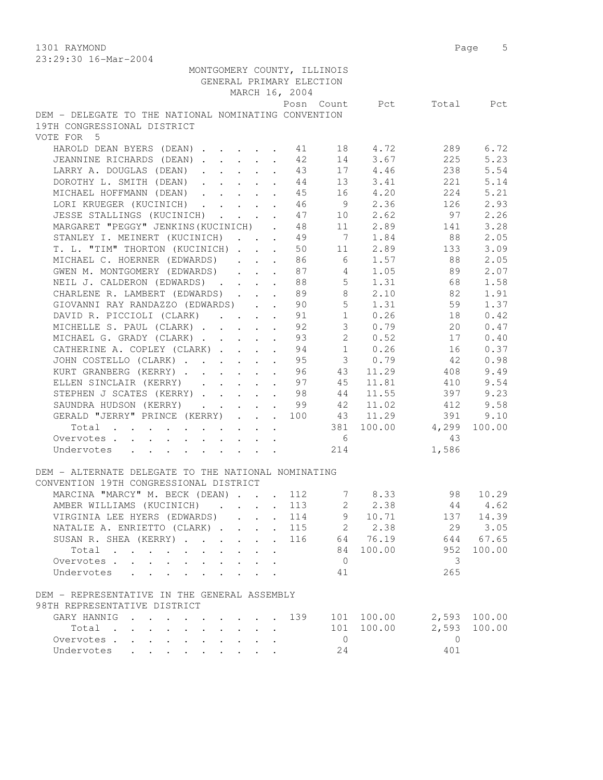1301 RAYMOND Page 5

| 23:29:30 16-Mar-2004                                                                                                                           |                                  |                |                |              |
|------------------------------------------------------------------------------------------------------------------------------------------------|----------------------------------|----------------|----------------|--------------|
| MONTGOMERY COUNTY, ILLINOIS                                                                                                                    |                                  |                |                |              |
| GENERAL PRIMARY ELECTION                                                                                                                       |                                  |                |                |              |
| MARCH 16, 2004                                                                                                                                 |                                  |                |                |              |
|                                                                                                                                                |                                  | Posn Count Pct |                | Total Pct    |
| DEM - DELEGATE TO THE NATIONAL NOMINATING CONVENTION<br>19TH CONGRESSIONAL DISTRICT                                                            |                                  |                |                |              |
| VOTE FOR 5                                                                                                                                     |                                  |                |                |              |
| HAROLD DEAN BYERS (DEAN) 41                                                                                                                    |                                  | 18 4.72        | 289            | 6.72         |
| JEANNINE RICHARDS (DEAN)                                                                                                                       | 42                               | 14 3.67        | 225            | 5.23         |
| LARRY A. DOUGLAS (DEAN)                                                                                                                        | 43                               | 17 4.46        | 238            | 5.54         |
| DOROTHY L. SMITH (DEAN)                                                                                                                        | 44                               | 13 3.41        | 221            | 5.14         |
| MICHAEL HOFFMANN (DEAN)                                                                                                                        | 45                               | 16 4.20        | 224            | 5.21         |
| LORI KRUEGER (KUCINICH) 46                                                                                                                     |                                  | 9 2.36         | 126            | 2.93         |
| JESSE STALLINGS (KUCINICH) 47                                                                                                                  |                                  | 10 2.62        | 97             | 2.26         |
| MARGARET "PEGGY" JENKINS (KUCINICH) . 48                                                                                                       |                                  |                | 141            | 3.28         |
|                                                                                                                                                | $\overline{7}$                   | 11 2.89        |                |              |
| STANLEY I. MEINERT (KUCINICH)                                                                                                                  | 49                               | 1.84           | 88             | 2.05         |
| T. L. "TIM" THORTON (KUCINICH)<br>$\mathbf{A}$                                                                                                 | 50<br>11                         | 2.89           | 133            | 3.09         |
| MICHAEL C. HOERNER (EDWARDS)                                                                                                                   | $6\overline{6}$<br>86            | 1.57           | 88             | 2.05         |
| GWEN M. MONTGOMERY (EDWARDS)                                                                                                                   | $\overline{4}$<br>87             | 1.05           | 89             | 2.07         |
| NEIL J. CALDERON (EDWARDS) 88                                                                                                                  |                                  | 5 1.31         | 68             | 1.58         |
| CHARLENE R. LAMBERT (EDWARDS) 89                                                                                                               |                                  | 8 2.10         | 82             | 1.91         |
| GIOVANNI RAY RANDAZZO (EDWARDS) 90                                                                                                             |                                  | $5 \t 1.31$    | 59             | 1.37         |
| DAVID R. PICCIOLI (CLARK) 91                                                                                                                   | 1                                | 0.26           | 18             | 0.42         |
| MICHELLE S. PAUL (CLARK)                                                                                                                       | 3 <sup>7</sup><br>92             | 0.79           | 20             | 0.47         |
| MICHAEL G. GRADY (CLARK)                                                                                                                       | $2^{\circ}$<br>93                | 0.52           | 17             | 0.40         |
| CATHERINE A. COPLEY (CLARK)<br>$\ddot{\phantom{a}}$                                                                                            | 1<br>94                          | 0.26           | 16             | 0.37         |
| JOHN COSTELLO (CLARK)                                                                                                                          | $\overline{\mathbf{3}}$<br>95    | 0.79           | 42             | 0.98         |
| KURT GRANBERG (KERRY)                                                                                                                          | 43<br>96                         | 11.29          | 408            | 9.49         |
| ELLEN SINCLAIR (KERRY) 97                                                                                                                      | 45                               | 11.81          | 410            | 9.54         |
| STEPHEN J SCATES (KERRY) 98                                                                                                                    | 44                               | 11.55          | 397            | 9.23         |
| SAUNDRA HUDSON (KERRY) 99                                                                                                                      | 42                               | 11.02          | 412            | 9.58         |
| GERALD "JERRY" PRINCE (KERRY) 100                                                                                                              |                                  | 43 11.29       | 391            | 9.10         |
| Total                                                                                                                                          | 381                              | 100.00         | 4,299          | 100.00       |
| Overvotes                                                                                                                                      | 6                                |                | -43            |              |
| Undervotes<br>$\mathbf{r} = \mathbf{r} - \mathbf{r}$ , and $\mathbf{r} = \mathbf{r} - \mathbf{r}$ , and $\mathbf{r} = \mathbf{r} - \mathbf{r}$ | 214                              |                | 1,586          |              |
|                                                                                                                                                |                                  |                |                |              |
| DEM - ALTERNATE DELEGATE TO THE NATIONAL NOMINATING                                                                                            |                                  |                |                |              |
| CONVENTION 19TH CONGRESSIONAL DISTRICT                                                                                                         |                                  |                |                |              |
| MARCINA "MARCY" M. BECK (DEAN) 112                                                                                                             |                                  | 78.33          | 98             | 10.29        |
| AMBER WILLIAMS (KUCINICH)                                                                                                                      | 113<br>2                         | 2.38           | 44             | 4.62         |
| VIRGINIA LEE HYERS (EDWARDS).                                                                                                                  | 9<br>114<br>$\ddot{\phantom{0}}$ | 10.71          | 137            | 14.39        |
| NATALIE A. ENRIETTO (CLARK)                                                                                                                    | $2^{\circ}$<br>115               | 2.38           | 29             | 3.05         |
| SUSAN R. SHEA (KERRY)<br>$\mathbf{L}$ $\mathbf{L}$<br>$\mathbf{r}$                                                                             | 116<br>64                        | 76.19          | 644            | 67.65        |
| Total<br>$\mathbf{L}$                                                                                                                          | 84                               | 100.00         | 952            | 100.00       |
| Overvotes.<br>$\mathbf{L} = \mathbf{L}$                                                                                                        | $\overline{0}$                   |                | 3              |              |
| Undervotes<br>$\mathbf{r}$ , $\mathbf{r}$ , $\mathbf{r}$<br>$\overline{a}$                                                                     | 41                               |                | 265            |              |
|                                                                                                                                                |                                  |                |                |              |
| DEM - REPRESENTATIVE IN THE GENERAL ASSEMBLY                                                                                                   |                                  |                |                |              |
| 98TH REPRESENTATIVE DISTRICT                                                                                                                   |                                  |                |                |              |
| GARY HANNIG                                                                                                                                    | 139                              | 101 100.00     |                | 2,593 100.00 |
| Total<br>$\cdot$ $\cdot$ $\cdot$                                                                                                               | 101                              | 100.00         | 2,593          | 100.00       |
| Overvotes<br>$\mathbf{r} = \mathbf{r} + \mathbf{r} + \mathbf{r} + \mathbf{r}$                                                                  | $\overline{0}$                   |                | $\overline{0}$ |              |
| Undervotes<br>$\mathbf{r}$ , $\mathbf{r}$ , $\mathbf{r}$ , $\mathbf{r}$                                                                        | 24                               |                | 401            |              |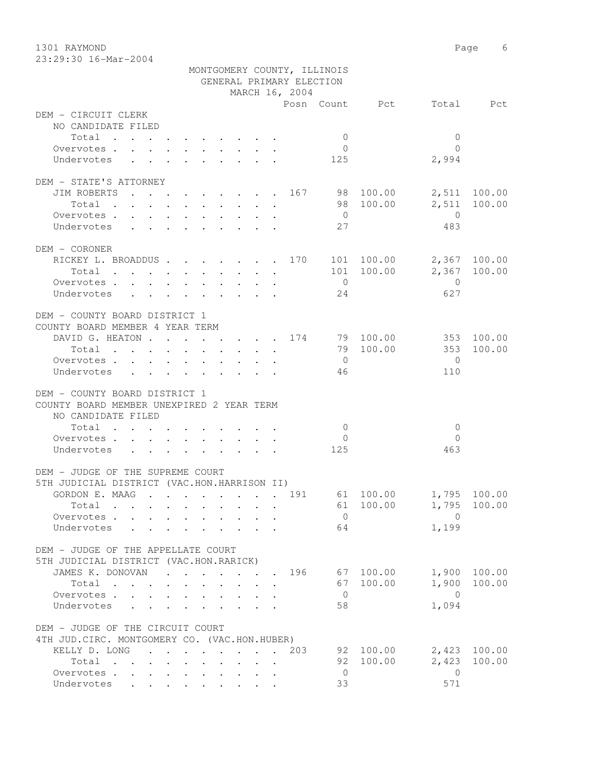1301 RAYMOND Page 6 23:29:30 16-Mar-2004

| 40.49.30 IU-Mal-4004                                                                                                                                                                                                                         | MONTGOMERY COUNTY, ILLINOIS<br>GENERAL PRIMARY ELECTION<br>MARCH 16, 2004<br>Posn Count Pct Total Pct<br>DEM - CIRCUIT CLERK |                                                 |                                         |                                                                                         |              |  |  |  |  |  |  |  |  |  |
|----------------------------------------------------------------------------------------------------------------------------------------------------------------------------------------------------------------------------------------------|------------------------------------------------------------------------------------------------------------------------------|-------------------------------------------------|-----------------------------------------|-----------------------------------------------------------------------------------------|--------------|--|--|--|--|--|--|--|--|--|
|                                                                                                                                                                                                                                              |                                                                                                                              |                                                 |                                         |                                                                                         |              |  |  |  |  |  |  |  |  |  |
|                                                                                                                                                                                                                                              |                                                                                                                              |                                                 |                                         |                                                                                         |              |  |  |  |  |  |  |  |  |  |
| NO CANDIDATE FILED                                                                                                                                                                                                                           |                                                                                                                              |                                                 |                                         |                                                                                         |              |  |  |  |  |  |  |  |  |  |
| Total<br>the contract of the contract of the contract of the contract of the contract of the contract of the contract of                                                                                                                     |                                                                                                                              |                                                 | $\overline{0}$                          | $\overline{0}$                                                                          |              |  |  |  |  |  |  |  |  |  |
| Overvotes<br>$\mathbf{L}$                                                                                                                                                                                                                    |                                                                                                                              |                                                 | $\overline{0}$                          | $\Omega$                                                                                |              |  |  |  |  |  |  |  |  |  |
| Undervotes                                                                                                                                                                                                                                   |                                                                                                                              |                                                 | 125                                     | 2,994                                                                                   |              |  |  |  |  |  |  |  |  |  |
| DEM - STATE'S ATTORNEY                                                                                                                                                                                                                       |                                                                                                                              |                                                 |                                         |                                                                                         |              |  |  |  |  |  |  |  |  |  |
| JIM ROBERTS 167 98 100.00                                                                                                                                                                                                                    |                                                                                                                              |                                                 |                                         |                                                                                         | 2,511 100.00 |  |  |  |  |  |  |  |  |  |
| $\mathbf{r}$ , and $\mathbf{r}$ , and $\mathbf{r}$ , and $\mathbf{r}$ , and $\mathbf{r}$<br>Total                                                                                                                                            |                                                                                                                              |                                                 | 98 100.00                               |                                                                                         | 2,511 100.00 |  |  |  |  |  |  |  |  |  |
| Overvotes                                                                                                                                                                                                                                    |                                                                                                                              |                                                 | $\overline{0}$                          | $\overline{0}$                                                                          |              |  |  |  |  |  |  |  |  |  |
| Undervotes                                                                                                                                                                                                                                   |                                                                                                                              |                                                 | 27                                      | 483                                                                                     |              |  |  |  |  |  |  |  |  |  |
|                                                                                                                                                                                                                                              |                                                                                                                              |                                                 |                                         |                                                                                         |              |  |  |  |  |  |  |  |  |  |
| DEM - CORONER                                                                                                                                                                                                                                |                                                                                                                              |                                                 |                                         |                                                                                         |              |  |  |  |  |  |  |  |  |  |
| RICKEY L. BROADDUS 170 101 100.00                                                                                                                                                                                                            |                                                                                                                              |                                                 |                                         |                                                                                         | 2,367 100.00 |  |  |  |  |  |  |  |  |  |
| Total                                                                                                                                                                                                                                        |                                                                                                                              |                                                 |                                         | 101 100.00                                                                              | 2,367 100.00 |  |  |  |  |  |  |  |  |  |
| Overvotes.                                                                                                                                                                                                                                   |                                                                                                                              |                                                 | $\overline{0}$                          | $\overline{0}$                                                                          |              |  |  |  |  |  |  |  |  |  |
| Undervotes                                                                                                                                                                                                                                   |                                                                                                                              |                                                 | 24                                      | 627                                                                                     |              |  |  |  |  |  |  |  |  |  |
| DEM - COUNTY BOARD DISTRICT 1<br>COUNTY BOARD MEMBER 4 YEAR TERM<br>DAVID G. HEATON                                                                                                                                                          |                                                                                                                              |                                                 |                                         | $\cdot$ $\cdot$ $\cdot$ $\cdot$ $\cdot$ $\frac{174}{79}$ $\frac{100.00}{79}$ 353 100.00 |              |  |  |  |  |  |  |  |  |  |
| Total                                                                                                                                                                                                                                        | $\sim$ $\sim$ $\sim$                                                                                                         |                                                 |                                         | 79 100.00<br>353                                                                        | 100.00       |  |  |  |  |  |  |  |  |  |
| Overvotes<br>$\Delta \sim 100$                                                                                                                                                                                                               | $\mathbf{L}^{\text{max}}$ , and $\mathbf{L}^{\text{max}}$<br>$\mathbf{z} = \mathbf{z} + \mathbf{z}$ .                        |                                                 | $\overline{0}$                          | $\overline{0}$                                                                          |              |  |  |  |  |  |  |  |  |  |
| Undervotes<br>$\mathbf{L}$<br>$\mathbf{L}$                                                                                                                                                                                                   | $\mathbf{L} = \mathbf{L}$                                                                                                    |                                                 | 46                                      | 110                                                                                     |              |  |  |  |  |  |  |  |  |  |
| DEM - COUNTY BOARD DISTRICT 1<br>COUNTY BOARD MEMBER UNEXPIRED 2 YEAR TERM<br>NO CANDIDATE FILED<br>Total<br>$\sim$ $\sim$<br>$\cdot$ $\cdot$ $\cdot$ $\cdot$ $\cdot$ $\cdot$<br>Overvotes.<br>Undervotes<br>$\cdot$ $\cdot$ $\cdot$ $\cdot$ | $\ddot{\phantom{0}}$                                                                                                         |                                                 | $\overline{0}$<br>$\overline{0}$<br>125 | $\mathbf{0}$<br>$\Omega$<br>463                                                         |              |  |  |  |  |  |  |  |  |  |
| DEM - JUDGE OF THE SUPREME COURT                                                                                                                                                                                                             |                                                                                                                              |                                                 |                                         |                                                                                         |              |  |  |  |  |  |  |  |  |  |
| 5TH JUDICIAL DISTRICT (VAC.HON.HARRISON II)                                                                                                                                                                                                  |                                                                                                                              |                                                 |                                         |                                                                                         |              |  |  |  |  |  |  |  |  |  |
| GORDON E. MAAG 191 61 100.00 1,795 100.00                                                                                                                                                                                                    |                                                                                                                              |                                                 |                                         |                                                                                         |              |  |  |  |  |  |  |  |  |  |
| Total                                                                                                                                                                                                                                        |                                                                                                                              |                                                 | 61                                      | 100.00<br>1,795                                                                         | 100.00       |  |  |  |  |  |  |  |  |  |
| Overvotes.                                                                                                                                                                                                                                   |                                                                                                                              |                                                 | $\bigcirc$                              | $\bigcirc$                                                                              |              |  |  |  |  |  |  |  |  |  |
| Undervotes                                                                                                                                                                                                                                   |                                                                                                                              |                                                 | 64                                      | 1,199                                                                                   |              |  |  |  |  |  |  |  |  |  |
| DEM - JUDGE OF THE APPELLATE COURT<br>5TH JUDICIAL DISTRICT (VAC.HON.RARICK)                                                                                                                                                                 |                                                                                                                              |                                                 |                                         |                                                                                         |              |  |  |  |  |  |  |  |  |  |
| JAMES K. DONOVAN.                                                                                                                                                                                                                            | $\sim$                                                                                                                       |                                                 | 196                                     | 1,900<br>67 100.00                                                                      | 100.00       |  |  |  |  |  |  |  |  |  |
| Total                                                                                                                                                                                                                                        | $\mathbf{r} = \mathbf{r}$<br>$\sim$                                                                                          |                                                 | 67                                      | 1,900<br>100.00                                                                         | 100.00       |  |  |  |  |  |  |  |  |  |
| Overvotes                                                                                                                                                                                                                                    | $\ddot{\phantom{0}}$                                                                                                         | $\mathbf{L}$ and $\mathbf{L}$<br>$\sim$         | $\overline{0}$                          | $\Omega$                                                                                |              |  |  |  |  |  |  |  |  |  |
| Undervotes                                                                                                                                                                                                                                   |                                                                                                                              | $\cdot$ $\cdot$ $\cdot$ $\cdot$ $\cdot$ $\cdot$ | 58                                      | 1,094                                                                                   |              |  |  |  |  |  |  |  |  |  |
| DEM - JUDGE OF THE CIRCUIT COURT                                                                                                                                                                                                             |                                                                                                                              |                                                 |                                         |                                                                                         |              |  |  |  |  |  |  |  |  |  |
| 4TH JUD. CIRC. MONTGOMERY CO. (VAC.HON.HUBER)<br>KELLY D. LONG                                                                                                                                                                               |                                                                                                                              |                                                 | 203                                     | 92 100.00<br>2,423                                                                      | 100.00       |  |  |  |  |  |  |  |  |  |
| Total                                                                                                                                                                                                                                        |                                                                                                                              |                                                 |                                         | 92 100.00                                                                               | 2,423 100.00 |  |  |  |  |  |  |  |  |  |
|                                                                                                                                                                                                                                              |                                                                                                                              |                                                 |                                         |                                                                                         |              |  |  |  |  |  |  |  |  |  |

 Overvotes . . . . . . . . . . 0 0 Undervotes . . . . . . . . . 33 571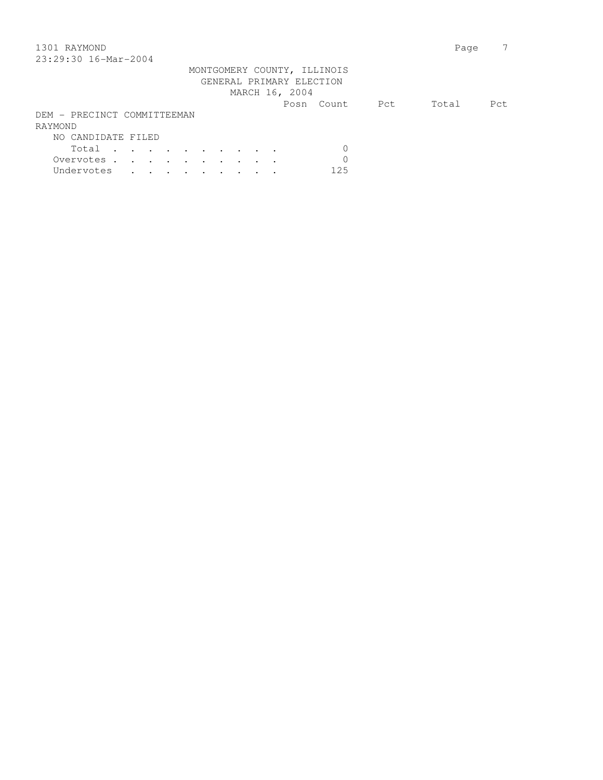## 1301 RAYMOND Page 7 23:29:30 16-Mar-2004

| 40.42.30 I0-Mal-4004        |  |  |  |  |                          |                             |             |       |      |
|-----------------------------|--|--|--|--|--------------------------|-----------------------------|-------------|-------|------|
|                             |  |  |  |  |                          | MONTGOMERY COUNTY, ILLINOIS |             |       |      |
|                             |  |  |  |  | GENERAL PRIMARY ELECTION |                             |             |       |      |
|                             |  |  |  |  | MARCH 16, 2004           |                             |             |       |      |
|                             |  |  |  |  |                          | Posn Count                  | <b>Port</b> | Total | Pct. |
| DEM - PRECINCT COMMITTEEMAN |  |  |  |  |                          |                             |             |       |      |
| RAYMOND                     |  |  |  |  |                          |                             |             |       |      |
| NO CANDIDATE FILED          |  |  |  |  |                          |                             |             |       |      |
| Total                       |  |  |  |  |                          |                             |             |       |      |
| Overvotes.                  |  |  |  |  |                          | $\Omega$                    |             |       |      |
| Undervotes                  |  |  |  |  |                          | 125                         |             |       |      |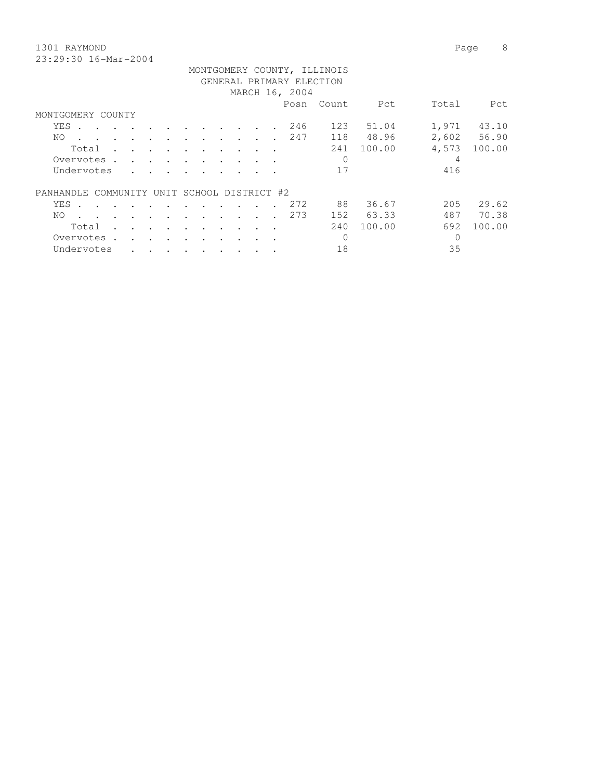1301 RAYMOND Page 8

| 23:29:30 16-Mar-2004                        |                                        |        |        |                      |           |                                   |           |                                            |           |                                   |                      |                          |                          |                             |        |       |             |
|---------------------------------------------|----------------------------------------|--------|--------|----------------------|-----------|-----------------------------------|-----------|--------------------------------------------|-----------|-----------------------------------|----------------------|--------------------------|--------------------------|-----------------------------|--------|-------|-------------|
|                                             |                                        |        |        |                      |           |                                   |           |                                            |           |                                   |                      |                          |                          | MONTGOMERY COUNTY, ILLINOIS |        |       |             |
|                                             |                                        |        |        |                      |           |                                   |           |                                            |           |                                   |                      |                          | GENERAL PRIMARY ELECTION |                             |        |       |             |
|                                             |                                        |        |        |                      |           |                                   |           |                                            |           |                                   |                      |                          | MARCH 16, 2004           |                             |        |       |             |
|                                             |                                        |        |        |                      |           |                                   |           |                                            |           |                                   |                      |                          | Posn                     | Count                       | Pct    | Total | Pct         |
| MONTGOMERY COUNTY                           |                                        |        |        |                      |           |                                   |           |                                            |           |                                   |                      |                          |                          |                             |        |       |             |
|                                             | YES .                                  | $\sim$ |        | <b>Contract</b>      | $\sim$    |                                   |           |                                            |           |                                   | $\ddot{\phantom{a}}$ |                          | 246                      | 123                         | 51.04  | 1,971 | 43.10       |
| NO.                                         | $\mathbf{r}$ . The set of $\mathbf{r}$ |        |        |                      |           |                                   |           | $\mathbf{r}$ , $\mathbf{r}$ , $\mathbf{r}$ |           | <b>Contract Contract Contract</b> |                      |                          | 247                      | 118                         | 48.96  |       | 2,602 56.90 |
|                                             | Total                                  |        | $\sim$ |                      | $\bullet$ | $\sim$                            | $\bullet$ |                                            | $\sim$    |                                   | $\cdot$ .            | $\overline{\phantom{a}}$ |                          | 241                         | 100.00 | 4,573 | 100.00      |
|                                             | Overvotes.                             |        |        | $\sim$ $\sim$ $\sim$ |           | <b>Contract Contract Contract</b> | $\sim$    |                                            |           |                                   |                      |                          |                          | 0                           |        | 4     |             |
|                                             | Undervotes                             |        |        |                      |           |                                   |           |                                            |           |                                   |                      |                          |                          | 17                          |        | 416   |             |
| PANHANDLE COMMUNITY UNIT SCHOOL DISTRICT #2 |                                        |        |        |                      |           |                                   |           |                                            |           |                                   |                      |                          |                          |                             |        |       |             |
|                                             | YES .                                  |        |        |                      |           |                                   | $\cdot$   |                                            |           |                                   |                      |                          | 272                      | 88                          | 36.67  | 205   | 29.62       |
| NO.                                         |                                        |        |        |                      |           |                                   |           |                                            |           |                                   |                      |                          | 273                      | 152                         | 63.33  | 487   | 70.38       |
|                                             | Total                                  |        |        |                      | $\cdot$   | $\bullet$                         | $\bullet$ | $\cdot$                                    | $\bullet$ | $\bullet$                         | $\bullet$            | $\bullet$                |                          | 240                         | 100.00 | 692   | 100.00      |

 Overvotes . . . . . . . . . . 0 0 Undervotes . . . . . . . . . 18 35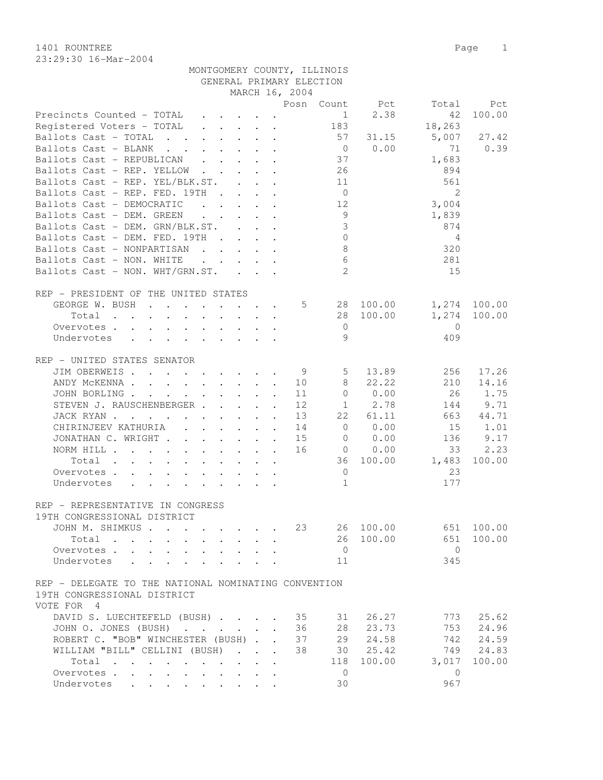23:29:30 16-Mar-2004

MONTGOMERY COUNTY, ILLINOIS

| 1401 ROUNTREE                      | Page |  |
|------------------------------------|------|--|
| $23 \cdot 29 \cdot 30$ 16-Mar-2004 |      |  |

|                                                                                                       |                                                           | GENERAL PRIMARY ELECTION   |                |                                |                |              |
|-------------------------------------------------------------------------------------------------------|-----------------------------------------------------------|----------------------------|----------------|--------------------------------|----------------|--------------|
|                                                                                                       |                                                           | MARCH 16, 2004             |                |                                |                |              |
|                                                                                                       |                                                           |                            |                | Posn Count Pct                 | Total          | Pct          |
| Precincts Counted - TOTAL                                                                             |                                                           |                            |                | 2.38<br>$1 \quad \blacksquare$ | 42             | 100.00       |
| Registered Voters - TOTAL                                                                             |                                                           |                            | 183            |                                | 18,263         |              |
| Ballots Cast - TOTAL                                                                                  |                                                           |                            | 57             | 31.15                          | 5,007          | 27.42        |
| Ballots Cast - BLANK<br>$\mathbf{r}$ , and $\mathbf{r}$ , and $\mathbf{r}$ , and $\mathbf{r}$         |                                                           |                            | $\overline{0}$ | 0.00                           | 71             | 0.39         |
| Ballots Cast - REPUBLICAN                                                                             |                                                           |                            | 37             |                                | 1,683          |              |
| Ballots Cast - REP. YELLOW                                                                            |                                                           |                            | 26             |                                | 894            |              |
| Ballots Cast - REP. YEL/BLK.ST.                                                                       |                                                           |                            | 11             |                                | 561            |              |
| Ballots Cast - REP. FED. 19TH                                                                         | $\mathbf{r}$ , $\mathbf{r}$ , $\mathbf{r}$ , $\mathbf{r}$ |                            | $\overline{0}$ |                                | $\overline{2}$ |              |
| Ballots Cast - DEMOCRATIC<br>$\mathbf{r}$ , $\mathbf{r}$ , $\mathbf{r}$ , $\mathbf{r}$ , $\mathbf{r}$ |                                                           |                            | 12             |                                | 3,004          |              |
| Ballots Cast - DEM. GREEN                                                                             |                                                           |                            | 9              |                                | 1,839          |              |
| Ballots Cast - DEM. GRN/BLK.ST.                                                                       |                                                           |                            | 3              |                                | 874            |              |
| Ballots Cast - DEM. FED. 19TH                                                                         |                                                           |                            | $\mathbf 0$    |                                | 4              |              |
|                                                                                                       |                                                           |                            |                |                                |                |              |
| Ballots Cast - NONPARTISAN                                                                            |                                                           |                            | 8              |                                | 320            |              |
| Ballots Cast - NON. WHITE                                                                             | $\cdot$                                                   |                            | $\epsilon$     |                                | 281            |              |
| Ballots Cast - NON. WHT/GRN.ST.                                                                       |                                                           |                            | 2              |                                | 15             |              |
| REP - PRESIDENT OF THE UNITED STATES                                                                  |                                                           |                            |                |                                |                |              |
| GEORGE W. BUSH                                                                                        |                                                           | 5                          | 28             | 100.00                         |                | 1,274 100.00 |
| Total                                                                                                 |                                                           |                            | 28             | 100.00                         | 1,274          | 100.00       |
| Overvotes                                                                                             |                                                           |                            | $\overline{0}$ |                                | 0              |              |
| Undervotes                                                                                            |                                                           |                            | 9              |                                | 409            |              |
|                                                                                                       |                                                           |                            |                |                                |                |              |
| REP - UNITED STATES SENATOR                                                                           |                                                           |                            |                |                                |                |              |
| JIM OBERWEIS                                                                                          |                                                           | - 9                        | 5              | 13.89                          | 256            | 17.26        |
| ANDY MCKENNA                                                                                          |                                                           | 10                         | 8              | 22.22                          | 210            | 14.16        |
| JOHN BORLING                                                                                          |                                                           | 11                         | $\circ$        | 0.00                           | 26             | 1.75         |
| STEVEN J. RAUSCHENBERGER                                                                              |                                                           | 12                         |                | $1 \t 2.78$                    | 144            | 9.71         |
|                                                                                                       |                                                           |                            |                |                                |                |              |
| JACK RYAN                                                                                             |                                                           | 13                         | 22             | 61.11                          | 663            | 44.71        |
| CHIRINJEEV KATHURIA                                                                                   |                                                           | 14                         | $\overline{0}$ | 0.00                           | 15             | 1.01         |
| JONATHAN C. WRIGHT                                                                                    |                                                           | 15                         | 0              | 0.00                           | 136            | 9.17         |
| NORM HILL                                                                                             |                                                           | 16                         | $\overline{0}$ | 0.00                           | 33             | 2.23         |
| Total                                                                                                 |                                                           |                            | 36             | 100.00                         | 1,483          | 100.00       |
| Overvotes                                                                                             |                                                           |                            | $\overline{0}$ |                                | 23             |              |
| Undervotes                                                                                            |                                                           |                            | $\mathbf{1}$   |                                | 177            |              |
|                                                                                                       |                                                           |                            |                |                                |                |              |
| REP - REPRESENTATIVE IN CONGRESS                                                                      |                                                           |                            |                |                                |                |              |
| 19TH CONGRESSIONAL DISTRICT                                                                           |                                                           |                            |                |                                |                |              |
| JOHN M. SHIMKUS.                                                                                      |                                                           | 23                         | 26             | 100.00                         | 651            | 100.00       |
| Total                                                                                                 |                                                           |                            | 26             | 100.00                         | 651            | 100.00       |
| Overvotes                                                                                             |                                                           |                            | $\overline{0}$ |                                | $\overline{0}$ |              |
| Undervotes                                                                                            |                                                           |                            | 11             |                                | 345            |              |
|                                                                                                       |                                                           |                            |                |                                |                |              |
| REP - DELEGATE TO THE NATIONAL NOMINATING CONVENTION                                                  |                                                           |                            |                |                                |                |              |
| 19TH CONGRESSIONAL DISTRICT                                                                           |                                                           |                            |                |                                |                |              |
| VOTE FOR 4                                                                                            |                                                           |                            |                |                                |                |              |
| DAVID S. LUECHTEFELD (BUSH)                                                                           |                                                           | 35                         | 31             | 26.27                          | 773            | 25.62        |
| JOHN O. JONES (BUSH)                                                                                  |                                                           | 36                         | 28             | 23.73                          | 753            | 24.96        |
| ROBERT C. "BOB" WINCHESTER (BUSH).                                                                    |                                                           | 37<br>$\ddot{\phantom{a}}$ | 29             | 24.58                          | 742            | 24.59        |
| WILLIAM "BILL" CELLINI (BUSH)                                                                         | $\sim$ $\sim$ $\sim$                                      | 38                         | 30             | 25.42                          | 749            | 24.83        |
| Total<br>$\ddot{\phantom{a}}$                                                                         |                                                           |                            | 118            | 100.00                         | 3,017          | 100.00       |
| Overvotes<br>$\sim$<br>$\ddot{\phantom{a}}$                                                           |                                                           |                            | $\overline{0}$ |                                | $\mathbf{0}$   |              |
| Undervotes                                                                                            |                                                           |                            | 30             |                                | 967            |              |
|                                                                                                       |                                                           |                            |                |                                |                |              |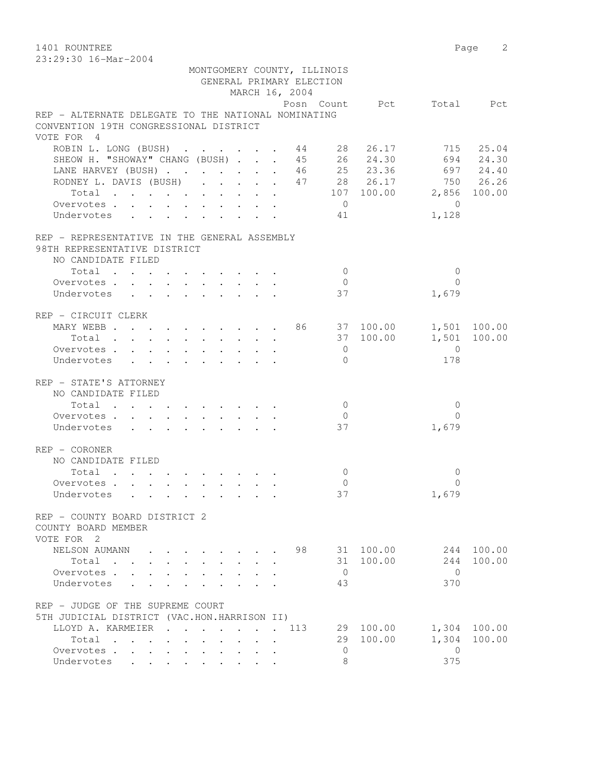1401 ROUNTREE Page 2 23:29:30 16-Mar-2004

| Z3:Z9:30 I0-Mar-ZUU4                                                                                                                                                              |  |  |  |  |                                         |                             |                |                          |                |           |
|-----------------------------------------------------------------------------------------------------------------------------------------------------------------------------------|--|--|--|--|-----------------------------------------|-----------------------------|----------------|--------------------------|----------------|-----------|
|                                                                                                                                                                                   |  |  |  |  |                                         | MONTGOMERY COUNTY, ILLINOIS |                |                          |                |           |
|                                                                                                                                                                                   |  |  |  |  |                                         | GENERAL PRIMARY ELECTION    |                |                          |                |           |
|                                                                                                                                                                                   |  |  |  |  |                                         | MARCH 16, 2004              |                |                          |                |           |
|                                                                                                                                                                                   |  |  |  |  |                                         |                             |                | Posn Count Pct Total Pct |                |           |
| REP - ALTERNATE DELEGATE TO THE NATIONAL NOMINATING                                                                                                                               |  |  |  |  |                                         |                             |                |                          |                |           |
|                                                                                                                                                                                   |  |  |  |  |                                         |                             |                |                          |                |           |
| CONVENTION 19TH CONGRESSIONAL DISTRICT                                                                                                                                            |  |  |  |  |                                         |                             |                |                          |                |           |
| VOTE FOR 4                                                                                                                                                                        |  |  |  |  |                                         |                             |                |                          |                |           |
| ROBIN L. LONG (BUSH) 44 28 26.17                                                                                                                                                  |  |  |  |  |                                         |                             |                |                          |                | 715 25.04 |
|                                                                                                                                                                                   |  |  |  |  |                                         |                             |                |                          |                |           |
|                                                                                                                                                                                   |  |  |  |  |                                         |                             |                |                          |                |           |
| SHEOW H. "SHOWAY" CHANG (BUSH) 45 26 24.30 694 24.30<br>LANE HARVEY (BUSH) 46 25 23.36 697 24.40<br>RODNEY L. DAVIS (BUSH) 47 28 26.17 750 26.26<br>Total 107 100.00 2,856 100.00 |  |  |  |  |                                         |                             |                |                          |                |           |
|                                                                                                                                                                                   |  |  |  |  |                                         |                             |                |                          |                |           |
| Overvotes.                                                                                                                                                                        |  |  |  |  |                                         |                             | $\overline{0}$ |                          | $\bigcirc$     |           |
|                                                                                                                                                                                   |  |  |  |  |                                         |                             |                |                          |                |           |
| Undervotes                                                                                                                                                                        |  |  |  |  |                                         |                             | 41             |                          | 1,128          |           |
|                                                                                                                                                                                   |  |  |  |  |                                         |                             |                |                          |                |           |
| REP - REPRESENTATIVE IN THE GENERAL ASSEMBLY                                                                                                                                      |  |  |  |  |                                         |                             |                |                          |                |           |
| 98TH REPRESENTATIVE DISTRICT                                                                                                                                                      |  |  |  |  |                                         |                             |                |                          |                |           |
| NO CANDIDATE FILED                                                                                                                                                                |  |  |  |  |                                         |                             |                |                          |                |           |
| Total                                                                                                                                                                             |  |  |  |  |                                         |                             | $\overline{0}$ |                          | $\mathbf{0}$   |           |
| Overvotes.                                                                                                                                                                        |  |  |  |  | $\cdot$ $\cdot$ $\cdot$ $\cdot$ $\cdot$ |                             | $\overline{0}$ |                          | $\Omega$       |           |
| Undervotes                                                                                                                                                                        |  |  |  |  |                                         |                             | 37             |                          | 1,679          |           |
|                                                                                                                                                                                   |  |  |  |  |                                         |                             |                |                          |                |           |
| REP - CIRCUIT CLERK                                                                                                                                                               |  |  |  |  |                                         |                             |                |                          |                |           |
| MARY WEBB 86 37 100.00 1,501 100.00                                                                                                                                               |  |  |  |  |                                         |                             |                |                          |                |           |
| Total                                                                                                                                                                             |  |  |  |  |                                         |                             |                | 37 100.00 1,501          |                | 100.00    |
| Overvotes.                                                                                                                                                                        |  |  |  |  |                                         |                             | $\overline{0}$ |                          | $\overline{0}$ |           |
|                                                                                                                                                                                   |  |  |  |  |                                         |                             | $\Omega$       |                          | 178            |           |
| Undervotes                                                                                                                                                                        |  |  |  |  |                                         |                             |                |                          |                |           |
| REP - STATE'S ATTORNEY                                                                                                                                                            |  |  |  |  |                                         |                             |                |                          |                |           |
|                                                                                                                                                                                   |  |  |  |  |                                         |                             |                |                          |                |           |
| NO CANDIDATE FILED                                                                                                                                                                |  |  |  |  |                                         |                             |                |                          |                |           |
| Total                                                                                                                                                                             |  |  |  |  |                                         |                             | $\overline{0}$ |                          | $\mathbf{0}$   |           |
| Overvotes                                                                                                                                                                         |  |  |  |  |                                         |                             | $\overline{0}$ |                          | $\Omega$       |           |
| Undervotes                                                                                                                                                                        |  |  |  |  |                                         |                             | 37             |                          | 1,679          |           |
|                                                                                                                                                                                   |  |  |  |  |                                         |                             |                |                          |                |           |
| REP - CORONER                                                                                                                                                                     |  |  |  |  |                                         |                             |                |                          |                |           |
| NO CANDIDATE FILED                                                                                                                                                                |  |  |  |  |                                         |                             |                |                          |                |           |
| $Total \cdot \cdot \cdot \cdot \cdot \cdot \cdot \cdot \cdot \cdot$                                                                                                               |  |  |  |  |                                         |                             | $\circ$        |                          | $\mathbf{0}$   |           |
| Overvotes.                                                                                                                                                                        |  |  |  |  |                                         |                             | $\mathbf 0$    |                          | $\Omega$       |           |
| Undervotes                                                                                                                                                                        |  |  |  |  |                                         |                             | 37             |                          | 1,679          |           |
|                                                                                                                                                                                   |  |  |  |  |                                         |                             |                |                          |                |           |
| REP - COUNTY BOARD DISTRICT 2                                                                                                                                                     |  |  |  |  |                                         |                             |                |                          |                |           |
| COUNTY BOARD MEMBER                                                                                                                                                               |  |  |  |  |                                         |                             |                |                          |                |           |
|                                                                                                                                                                                   |  |  |  |  |                                         |                             |                |                          |                |           |
| VOTE FOR 2                                                                                                                                                                        |  |  |  |  |                                         |                             |                |                          |                |           |
| NELSON AUMANN                                                                                                                                                                     |  |  |  |  |                                         | 98                          |                | 31 100.00                | 244            | 100.00    |
| Total                                                                                                                                                                             |  |  |  |  |                                         |                             | 31             | 100.00                   | 244            | 100.00    |
| Overvotes .                                                                                                                                                                       |  |  |  |  |                                         |                             | $\overline{0}$ |                          | $\mathbf{0}$   |           |
| Undervotes                                                                                                                                                                        |  |  |  |  |                                         |                             | 43             |                          | 370            |           |
|                                                                                                                                                                                   |  |  |  |  |                                         |                             |                |                          |                |           |

| REP - JUDGE OF THE SUPREME COURT            |  |  |  |  |  |     |           |     |              |
|---------------------------------------------|--|--|--|--|--|-----|-----------|-----|--------------|
| 5TH JUDICIAL DISTRICT (VAC.HON.HARRISON II) |  |  |  |  |  |     |           |     |              |
| LLOYD A. KARMEIER 113                       |  |  |  |  |  |     | 29 100.00 |     | 1,304 100.00 |
| Total                                       |  |  |  |  |  |     | 29 100.00 |     | 1,304 100.00 |
|                                             |  |  |  |  |  | ( ) |           |     |              |
| Undervotes                                  |  |  |  |  |  | -8  |           | スフち |              |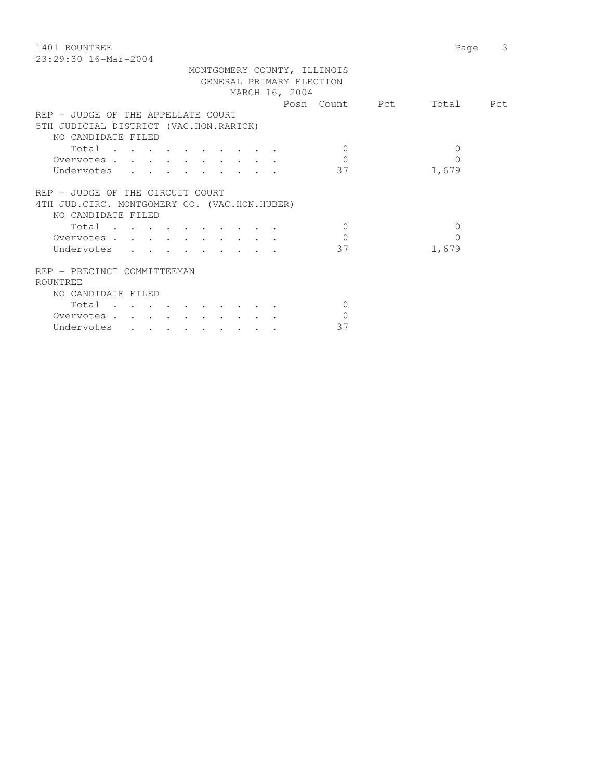1401 ROUNTREE Page 3 23:29:30 16-Mar-2004

|                                              |  | MONTGOMERY COUNTY, ILLINOIS |                          |  |
|----------------------------------------------|--|-----------------------------|--------------------------|--|
|                                              |  | GENERAL PRIMARY ELECTION    |                          |  |
|                                              |  | MARCH 16, 2004              |                          |  |
|                                              |  |                             | Posn Count Pct Total Pct |  |
| REP - JUDGE OF THE APPELLATE COURT           |  |                             |                          |  |
| 5TH JUDICIAL DISTRICT (VAC.HON.RARICK)       |  |                             |                          |  |
| NO CANDIDATE FILED                           |  |                             |                          |  |
| Total                                        |  | $\Omega$                    | 0                        |  |
| Overvotes                                    |  | $\Omega$                    |                          |  |
| Undervotes                                   |  | 37                          | 1,679                    |  |
|                                              |  |                             |                          |  |
| REP - JUDGE OF THE CIRCUIT COURT             |  |                             |                          |  |
|                                              |  |                             |                          |  |
| 4TH JUD.CIRC. MONTGOMERY CO. (VAC.HON.HUBER) |  |                             |                          |  |
| NO CANDIDATE FILED                           |  |                             |                          |  |
| Total                                        |  | $\Omega$                    | 0                        |  |
| Overvotes                                    |  | $\cap$                      | $\cap$                   |  |
| Undervotes                                   |  | 37                          | 1,679                    |  |
|                                              |  |                             |                          |  |
| REP - PRECINCT COMMITTEEMAN                  |  |                             |                          |  |
| ROUNTREE                                     |  |                             |                          |  |
| NO CANDIDATE FILED                           |  |                             |                          |  |
| Total                                        |  | $\left( \right)$            |                          |  |
| Overvotes                                    |  |                             |                          |  |
|                                              |  |                             |                          |  |

Undervotes . . . . . . . . . 37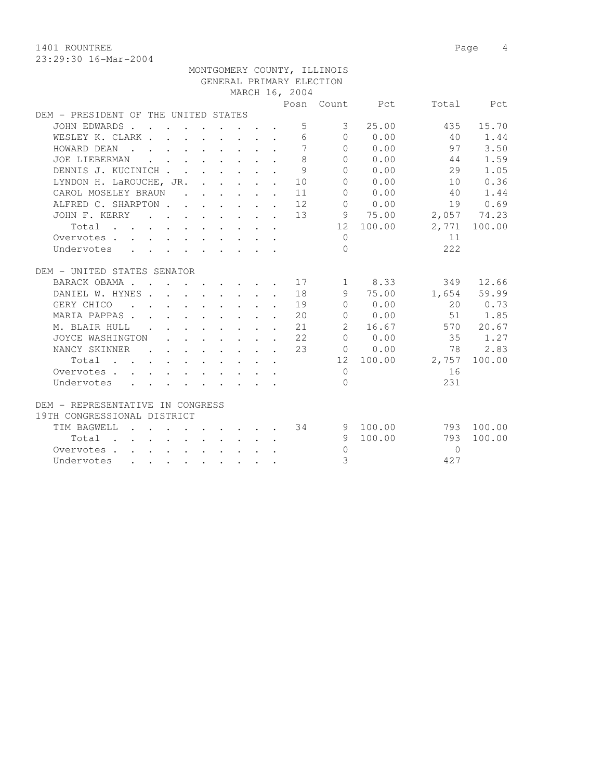1401 ROUNTREE Page 4

|                                      |                                            |  |                                                                                                                                      |  |                                                                       |                 | MONTGOMERY COUNTY, ILLINOIS |                     |                 |              |
|--------------------------------------|--------------------------------------------|--|--------------------------------------------------------------------------------------------------------------------------------------|--|-----------------------------------------------------------------------|-----------------|-----------------------------|---------------------|-----------------|--------------|
|                                      |                                            |  |                                                                                                                                      |  |                                                                       |                 | GENERAL PRIMARY ELECTION    |                     |                 |              |
|                                      |                                            |  |                                                                                                                                      |  |                                                                       | MARCH 16, 2004  |                             |                     |                 |              |
|                                      |                                            |  |                                                                                                                                      |  |                                                                       |                 |                             | Posn Count Pct      |                 | Total Pct    |
| DEM - PRESIDENT OF THE UNITED STATES |                                            |  |                                                                                                                                      |  |                                                                       |                 |                             |                     |                 |              |
| JOHN EDWARDS                         |                                            |  |                                                                                                                                      |  |                                                                       | 5               | 3 <sup>7</sup>              | 25.00               | 435             | 15.70        |
| WESLEY K. CLARK                      |                                            |  |                                                                                                                                      |  |                                                                       | 6               |                             | $0 \t 0.00$         | 40              | 1.44         |
| HOWARD DEAN                          |                                            |  |                                                                                                                                      |  |                                                                       | $7\phantom{.0}$ |                             | 0 0.00              | 97              | 3.50         |
| JOE LIEBERMAN                        |                                            |  | $\mathbf{r}$ , and $\mathbf{r}$ , and $\mathbf{r}$ , and $\mathbf{r}$                                                                |  | $\ddot{\phantom{a}}$                                                  | 8               | $\Omega$                    | 0.00                | 44              | 1.59         |
| DENNIS J. KUCINICH                   |                                            |  |                                                                                                                                      |  |                                                                       | 9               | $\Omega$                    | 0.00                | 29              | 1.05         |
| LYNDON H. LaROUCHE, JR.              |                                            |  |                                                                                                                                      |  | $\mathbf{L}$                                                          | 10              | $\Omega$                    | 0.00                | 10              | 0.36         |
| CAROL MOSELEY BRAUN                  |                                            |  |                                                                                                                                      |  |                                                                       | 11              | $\Omega$                    | 0.00                | 40              | 1.44         |
| ALFRED C. SHARPTON 12                |                                            |  |                                                                                                                                      |  |                                                                       |                 | $\Omega$                    | 0.00                | 19              | 0.69         |
| JOHN F. KERRY                        |                                            |  |                                                                                                                                      |  |                                                                       | 13              |                             | 9 75.00             | 2,057 74.23     |              |
| Total                                |                                            |  |                                                                                                                                      |  |                                                                       |                 |                             | 12 100.00           |                 | 2,771 100.00 |
| Overvotes                            |                                            |  |                                                                                                                                      |  |                                                                       |                 | $\Omega$                    |                     | 11              |              |
| Undervotes                           |                                            |  |                                                                                                                                      |  |                                                                       |                 | $\Omega$                    |                     | 222             |              |
|                                      |                                            |  |                                                                                                                                      |  |                                                                       |                 |                             |                     |                 |              |
| DEM - UNITED STATES SENATOR          |                                            |  |                                                                                                                                      |  |                                                                       |                 |                             |                     |                 |              |
| BARACK OBAMA 17                      |                                            |  |                                                                                                                                      |  |                                                                       |                 |                             | $1 \t 8.33$         |                 | 349 12.66    |
| DANIEL W. HYNES 18                   |                                            |  |                                                                                                                                      |  |                                                                       |                 |                             | 9 75.00             |                 | 1,654 59.99  |
| GERY CHICO                           |                                            |  |                                                                                                                                      |  |                                                                       | . 19            | $\Omega$                    | 0.00                |                 | 20 0.73      |
| MARIA PAPPAS.                        |                                            |  |                                                                                                                                      |  |                                                                       | 20              |                             | 0 0.00              |                 | 51 1.85      |
| M. BLAIR HULL                        | <b>Contract Contract Contract Contract</b> |  |                                                                                                                                      |  | $\mathbf{r}$ , and $\mathbf{r}$ , and $\mathbf{r}$ , and $\mathbf{r}$ | 21              | $\overline{2}$              | 16.67               |                 | 570 20.67    |
| JOYCE WASHINGTON                     |                                            |  | $\mathbf{r}$ , $\mathbf{r}$ , $\mathbf{r}$ , $\mathbf{r}$ , $\mathbf{r}$                                                             |  |                                                                       | 22              | $\bigcap$                   | 0.00                | 35              | 1.27         |
| NANCY SKINNER                        | <b>Contract Contract</b>                   |  |                                                                                                                                      |  | $\mathbf{r}$ , and $\mathbf{r}$ , and $\mathbf{r}$ , and $\mathbf{r}$ | 23              |                             | $0 \t 0.00$         | 78              | 2.83         |
| Total                                |                                            |  |                                                                                                                                      |  |                                                                       |                 |                             |                     | 12 100.00 2,757 | 100.00       |
| Overvotes.                           |                                            |  | $\mathbf{r} = \mathbf{r} + \mathbf{r}$ , where $\mathbf{r} = \mathbf{r} + \mathbf{r}$ , where $\mathbf{r} = \mathbf{r} + \mathbf{r}$ |  |                                                                       |                 | $\overline{0}$              |                     | 16              |              |
| Undervotes                           |                                            |  |                                                                                                                                      |  |                                                                       |                 | $\Omega$                    |                     | 231             |              |
|                                      |                                            |  |                                                                                                                                      |  |                                                                       |                 |                             |                     |                 |              |
| DEM - REPRESENTATIVE IN CONGRESS     |                                            |  |                                                                                                                                      |  |                                                                       |                 |                             |                     |                 |              |
| 19TH CONGRESSIONAL DISTRICT          |                                            |  |                                                                                                                                      |  |                                                                       |                 |                             |                     |                 |              |
| TIM BAGWELL                          |                                            |  |                                                                                                                                      |  |                                                                       |                 |                             | $\cdot$ 34 9 100.00 |                 | 793 100.00   |
| Total                                |                                            |  |                                                                                                                                      |  |                                                                       |                 | 9                           | 100.00              | 793             | 100.00       |
| Overvotes                            |                                            |  |                                                                                                                                      |  |                                                                       |                 | $\Omega$                    |                     | $\Omega$        |              |
| Undervotes                           |                                            |  |                                                                                                                                      |  |                                                                       |                 | 3                           |                     | 427             |              |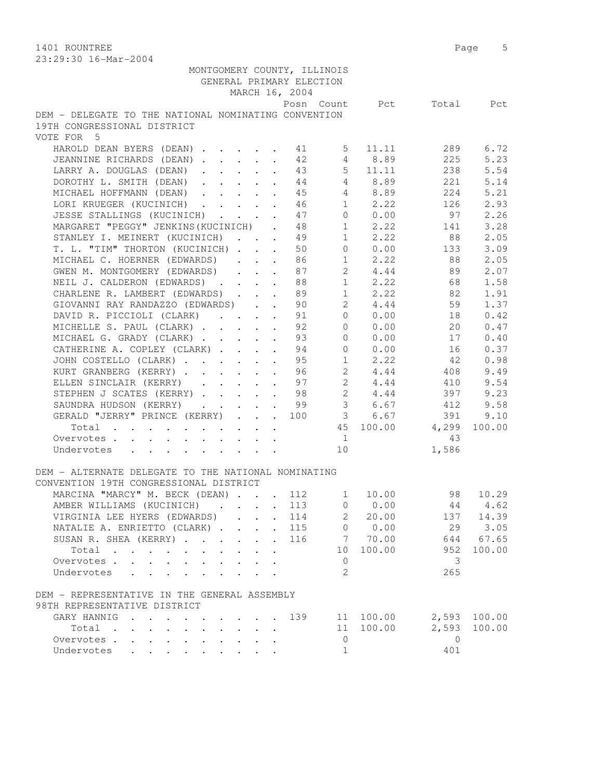1401 ROUNTREE Page 5 23:29:30 16-Mar-2004

| 20.29.90 10 Mai 2007                                                                                                                                                                                                           |                      |                                                           |                      |                |                |              |                          |        |
|--------------------------------------------------------------------------------------------------------------------------------------------------------------------------------------------------------------------------------|----------------------|-----------------------------------------------------------|----------------------|----------------|----------------|--------------|--------------------------|--------|
| MONTGOMERY COUNTY, ILLINOIS                                                                                                                                                                                                    |                      |                                                           |                      |                |                |              |                          |        |
| GENERAL PRIMARY ELECTION                                                                                                                                                                                                       |                      |                                                           |                      |                |                |              |                          |        |
|                                                                                                                                                                                                                                |                      |                                                           |                      | MARCH 16, 2004 |                |              |                          |        |
|                                                                                                                                                                                                                                |                      |                                                           |                      |                |                |              | Posn Count Pct Total Pct |        |
| DEM - DELEGATE TO THE NATIONAL NOMINATING CONVENTION                                                                                                                                                                           |                      |                                                           |                      |                |                |              |                          |        |
| 19TH CONGRESSIONAL DISTRICT                                                                                                                                                                                                    |                      |                                                           |                      |                |                |              |                          |        |
| VOTE FOR 5                                                                                                                                                                                                                     |                      |                                                           |                      |                |                |              |                          |        |
| HAROLD DEAN BYERS (DEAN) 1 41 5                                                                                                                                                                                                |                      |                                                           |                      |                |                | 11.11        | 289                      | 6.72   |
| JEANNINE RICHARDS (DEAN)                                                                                                                                                                                                       |                      |                                                           |                      | 42             |                | 4 8.89       | 225                      | 5.23   |
| LARRY A. DOUGLAS (DEAN)                                                                                                                                                                                                        |                      |                                                           |                      | 43             |                | $5 \t 11.11$ | 238                      | 5.54   |
| DOROTHY L. SMITH (DEAN) 44                                                                                                                                                                                                     |                      |                                                           |                      |                |                | 4 8.89       | 221                      | 5.14   |
| MICHAEL HOFFMANN (DEAN)                                                                                                                                                                                                        |                      |                                                           |                      | 45             |                | 4 8.89       | 224                      | 5.21   |
| LORI KRUEGER (KUCINICH) 46                                                                                                                                                                                                     |                      |                                                           |                      |                |                |              | 126                      | 2.93   |
|                                                                                                                                                                                                                                |                      |                                                           |                      |                |                | $1 \t 2.22$  |                          |        |
| JESSE STALLINGS (KUCINICH) 47                                                                                                                                                                                                  |                      |                                                           |                      |                |                | 0 0.00       | 97                       | 2.26   |
| MARGARET "PEGGY" JENKINS (KUCINICH) . 48                                                                                                                                                                                       |                      |                                                           |                      |                |                | $1 \t 2.22$  | 141                      | 3.28   |
| STANLEY I. MEINERT (KUCINICH) 49                                                                                                                                                                                               |                      |                                                           |                      |                |                | $1 \t 2.22$  | 88                       | 2.05   |
| T. L. "TIM" THORTON (KUCINICH)                                                                                                                                                                                                 |                      |                                                           |                      | 50             | $\overline{0}$ | 0.00         | 133                      | 3.09   |
| MICHAEL C. HOERNER (EDWARDS)                                                                                                                                                                                                   |                      |                                                           | $\mathbf{L}$         | 86             | 1              | 2.22         | 88                       | 2.05   |
| GWEN M. MONTGOMERY (EDWARDS)                                                                                                                                                                                                   |                      | $\mathbf{r}$ , $\mathbf{r}$ , $\mathbf{r}$ , $\mathbf{r}$ |                      | 87             |                | 2 4.44       | 89                       | 2.07   |
| NEIL J. CALDERON (EDWARDS)                                                                                                                                                                                                     |                      |                                                           |                      | 88             |                | $1 \t 2.22$  | 68                       | 1.58   |
| CHARLENE R. LAMBERT (EDWARDS)                                                                                                                                                                                                  |                      |                                                           |                      | 89             |                |              | $1 \t 2.22 \t 82$        | 1.91   |
| GIOVANNI RAY RANDAZZO (EDWARDS) 90                                                                                                                                                                                             |                      |                                                           |                      |                |                | 2, 4, 44     | 59                       | 1.37   |
| DAVID R. PICCIOLI (CLARK) 91                                                                                                                                                                                                   |                      |                                                           |                      |                |                | 0 0.00       | 18                       | 0.42   |
| MICHELLE S. PAUL (CLARK) 92                                                                                                                                                                                                    |                      |                                                           |                      |                | $\overline{0}$ | 0.00         | 20                       | 0.47   |
| MICHAEL G. GRADY (CLARK)                                                                                                                                                                                                       |                      |                                                           |                      | 93             | $\circ$        | 0.00         | 17                       | 0.40   |
|                                                                                                                                                                                                                                |                      |                                                           |                      | 94             | $\circ$        |              | 16                       |        |
| CATHERINE A. COPLEY (CLARK)                                                                                                                                                                                                    |                      |                                                           |                      |                |                | 0.00<br>2.22 |                          | 0.37   |
| JOHN COSTELLO (CLARK)                                                                                                                                                                                                          |                      |                                                           |                      | 95             | 1              |              | 42                       | 0.98   |
| KURT GRANBERG (KERRY)                                                                                                                                                                                                          |                      |                                                           |                      | 96             |                | $2 \t 4.44$  | 408                      | 9.49   |
| ELLEN SINCLAIR (KERRY) 97                                                                                                                                                                                                      |                      |                                                           |                      |                |                | 2 4.44       | 410                      | 9.54   |
| STEPHEN J SCATES (KERRY) 98                                                                                                                                                                                                    |                      |                                                           |                      |                |                | $2 \t 4.44$  | 397                      | 9.23   |
| SAUNDRA HUDSON (KERRY) 99                                                                                                                                                                                                      |                      |                                                           |                      |                |                |              | 3 6.67 412               | 9.58   |
| GERALD "JERRY" PRINCE (KERRY) 100 3 6.67                                                                                                                                                                                       |                      |                                                           |                      |                |                |              | 391                      | 9.10   |
| Total                                                                                                                                                                                                                          |                      |                                                           |                      |                |                |              | 45 100.00 4,299          | 100.00 |
| Overvotes<br>$\mathbf{r} = \left( \mathbf{r} - \mathbf{r} \right) \left( \mathbf{r} - \mathbf{r} \right) \left( \mathbf{r} - \mathbf{r} \right) \left( \mathbf{r} - \mathbf{r} \right) \left( \mathbf{r} - \mathbf{r} \right)$ |                      |                                                           |                      |                | $\sim$ 1       |              | 43                       |        |
| Undervotes                                                                                                                                                                                                                     |                      |                                                           |                      |                | 10             |              | 1,586                    |        |
|                                                                                                                                                                                                                                |                      |                                                           |                      |                |                |              |                          |        |
| DEM - ALTERNATE DELEGATE TO THE NATIONAL NOMINATING                                                                                                                                                                            |                      |                                                           |                      |                |                |              |                          |        |
| CONVENTION 19TH CONGRESSIONAL DISTRICT                                                                                                                                                                                         |                      |                                                           |                      |                |                |              |                          |        |
| MARCINA "MARCY" M. BECK (DEAN) 112 1                                                                                                                                                                                           |                      |                                                           |                      |                |                | 10.00        | 98                       | 10.29  |
| AMBER WILLIAMS (KUCINICH).                                                                                                                                                                                                     |                      |                                                           |                      | 113            | $\mathbf 0$    | 0.00         | 44                       | 4.62   |
| VIRGINIA LEE HYERS (EDWARDS)                                                                                                                                                                                                   |                      |                                                           |                      | 114            | 2              | 20.00        | 137                      | 14.39  |
|                                                                                                                                                                                                                                | $\ddot{\phantom{0}}$ |                                                           | $\ddot{\phantom{0}}$ |                | $\overline{0}$ |              | 29                       |        |
| NATALIE A. ENRIETTO (CLARK)                                                                                                                                                                                                    |                      | $\mathbf{r}$                                              | $\ddot{\phantom{a}}$ | 115            |                | 0.00         |                          | 3.05   |
| SUSAN R. SHEA (KERRY)                                                                                                                                                                                                          |                      |                                                           |                      | 116            | 7              | 70.00        | 644                      | 67.65  |
| Total                                                                                                                                                                                                                          |                      |                                                           |                      |                | 10             | 100.00       | 952                      | 100.00 |
| Overvotes<br>$\mathbf{L}$                                                                                                                                                                                                      |                      |                                                           |                      |                | 0              |              | 3                        |        |
| Undervotes                                                                                                                                                                                                                     |                      |                                                           |                      |                | 2              |              | 265                      |        |
|                                                                                                                                                                                                                                |                      |                                                           |                      |                |                |              |                          |        |
| DEM - REPRESENTATIVE IN THE GENERAL ASSEMBLY                                                                                                                                                                                   |                      |                                                           |                      |                |                |              |                          |        |
| 98TH REPRESENTATIVE DISTRICT                                                                                                                                                                                                   |                      |                                                           |                      |                |                |              |                          |        |
| GARY HANNIG                                                                                                                                                                                                                    |                      |                                                           |                      | 139            | 11             | 100.00       | 2,593                    | 100.00 |
| Total<br>$\mathbf{r}$ , $\mathbf{r}$                                                                                                                                                                                           |                      |                                                           |                      |                | 11             | 100.00       | 2,593                    | 100.00 |
| Overvotes .                                                                                                                                                                                                                    |                      |                                                           |                      |                | $\mathbf 0$    |              | $\overline{0}$           |        |
| Undervotes<br>$\sim$ $\sim$                                                                                                                                                                                                    |                      |                                                           |                      |                | $\mathbf{1}$   |              | 401                      |        |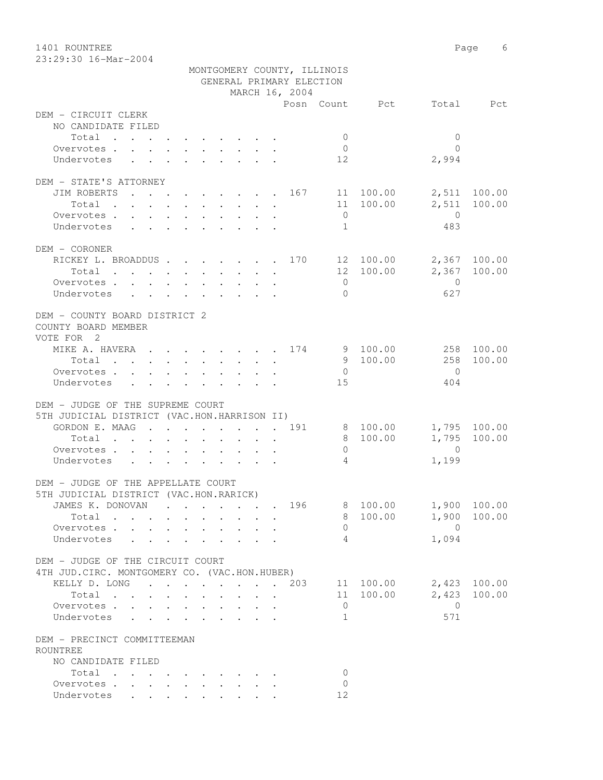1401 ROUNTREE Page 6 23:29:30 16-Mar-2004

|                                                 | MONTGOMERY COUNTY, ILLINOIS                           |                |                           |
|-------------------------------------------------|-------------------------------------------------------|----------------|---------------------------|
|                                                 | GENERAL PRIMARY ELECTION                              |                |                           |
|                                                 | MARCH 16, 2004                                        |                |                           |
|                                                 |                                                       | Posn Count Pct | Total Pct                 |
| DEM - CIRCUIT CLERK                             |                                                       |                |                           |
| NO CANDIDATE FILED                              |                                                       |                |                           |
| Total                                           |                                                       | $\bigcirc$     | $\overline{0}$            |
| Overvotes.                                      |                                                       | $\overline{0}$ | $\Omega$                  |
| Undervotes                                      |                                                       | 12             | 2,994                     |
| DEM - STATE'S ATTORNEY                          |                                                       |                |                           |
| JIM ROBERTS 167 11 100.00                       |                                                       |                | 2,511 100.00              |
| Total                                           |                                                       | 11 100.00      | 2,511<br>100.00           |
|                                                 |                                                       | $\overline{0}$ | $\overline{0}$            |
| Overvotes<br>Undervotes                         |                                                       | 1              | 483                       |
|                                                 |                                                       |                |                           |
| DEM - CORONER                                   |                                                       |                |                           |
| RICKEY L. BROADDUS 170 12 100.00 2,367 100.00   |                                                       |                |                           |
| Total                                           |                                                       | 12 100.00      | 2,367 100.00              |
| Overvotes                                       |                                                       | $\overline{0}$ | $\overline{0}$            |
| Undervotes                                      |                                                       | $\bigcap$      | 627                       |
|                                                 |                                                       |                |                           |
| DEM - COUNTY BOARD DISTRICT 2                   |                                                       |                |                           |
| COUNTY BOARD MEMBER                             |                                                       |                |                           |
| VOTE FOR 2                                      |                                                       |                |                           |
| MIKE A. HAVERA 174 9 100.00                     |                                                       |                | 258 100.00                |
| Total                                           |                                                       | 9 100.00       | 258<br>100.00             |
| Overvotes                                       |                                                       | $\overline{0}$ | $\overline{0}$            |
| Undervotes                                      |                                                       | 15             | 404                       |
|                                                 |                                                       |                |                           |
| DEM - JUDGE OF THE SUPREME COURT                |                                                       |                |                           |
| 5TH JUDICIAL DISTRICT (VAC.HON.HARRISON II)     |                                                       |                |                           |
| GORDON E. MAAG 191                              |                                                       | 8 100.00       | 1,795 100.00              |
| Total                                           |                                                       | 8 100.00       | 1,795<br>100.00           |
| Overvotes                                       |                                                       | $\overline{0}$ | $\overline{0}$            |
| Undervotes                                      |                                                       | $\overline{4}$ | 1,199                     |
|                                                 |                                                       |                |                           |
| DEM - JUDGE OF THE APPELLATE COURT              |                                                       |                |                           |
| 5TH JUDICIAL DISTRICT (VAC.HON.RARICK)          |                                                       |                |                           |
|                                                 |                                                       |                | 196 8 100.00 1,900 100.00 |
| Total $\cdots$                                  |                                                       | 100.00<br>8    | 1,900<br>100.00           |
| Overvotes                                       |                                                       | $\Omega$       | $\overline{0}$            |
| Undervotes                                      |                                                       | 4              | 1,094                     |
|                                                 |                                                       |                |                           |
| DEM - JUDGE OF THE CIRCUIT COURT                |                                                       |                |                           |
| 4TH JUD. CIRC. MONTGOMERY CO. (VAC. HON. HUBER) |                                                       |                |                           |
| KELLY D. LONG 203                               |                                                       | 11 100.00      | $2,423$ 100.00            |
| Total                                           | $\mathbf{r} = \mathbf{r}$ , $\mathbf{r} = \mathbf{r}$ | 11 100.00      | 100.00<br>2,423           |
| Overvotes.                                      |                                                       | $\circ$        | $\mathbf{0}$              |
| Undervotes                                      |                                                       | $\mathbf{1}$   | 571                       |
|                                                 |                                                       |                |                           |
| DEM - PRECINCT COMMITTEEMAN                     |                                                       |                |                           |
| ROUNTREE                                        |                                                       |                |                           |
| NO CANDIDATE FILED                              |                                                       |                |                           |
| Total                                           |                                                       | $\Omega$       |                           |
| Overvotes.                                      |                                                       | $\Omega$       |                           |
| Undervotes                                      |                                                       | 12             |                           |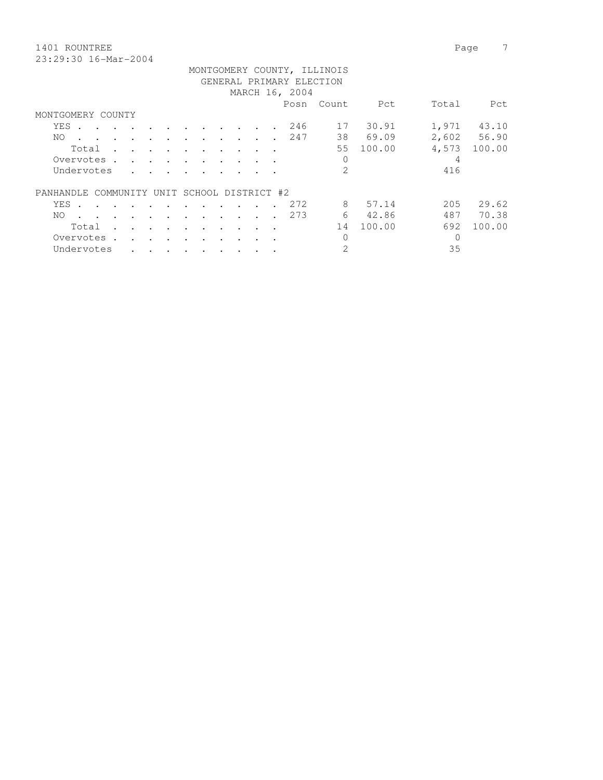1401 ROUNTREE Page 7

| r age |
|-------|
|       |
|       |

|                                             |                      |                      |                      |           |           |  |                | MONTGOMERY COUNTY, ILLINOIS |        |       |             |
|---------------------------------------------|----------------------|----------------------|----------------------|-----------|-----------|--|----------------|-----------------------------|--------|-------|-------------|
|                                             |                      |                      |                      |           |           |  |                | GENERAL PRIMARY ELECTION    |        |       |             |
|                                             |                      |                      |                      |           |           |  | MARCH 16, 2004 |                             |        |       |             |
|                                             |                      |                      |                      |           |           |  | Posn           | Count                       | Pct    | Total | Pct         |
| MONTGOMERY COUNTY                           |                      |                      |                      |           |           |  |                |                             |        |       |             |
| YES .<br>$\sim$ $\sim$ $\sim$ $\sim$        |                      |                      |                      |           |           |  | 246            | 17                          | 30.91  | 1,971 | 43.10       |
| NO.<br>$\sim$<br>$\cdot$                    | $\bullet$            | $\cdot$              | $\cdot$              |           | $\cdot$   |  | 247            | 38                          | 69.09  |       | 2,602 56.90 |
| Total                                       | $\sim$ $\sim$ $\sim$ | $\ddot{\phantom{a}}$ | $\cdot$              |           |           |  |                | 55                          | 100.00 | 4,573 | 100.00      |
| Overvotes .                                 | $\sim$ $\sim$ $\sim$ |                      |                      |           |           |  |                | 0                           |        | 4     |             |
| Undervotes                                  |                      |                      |                      |           |           |  |                | $\overline{2}$              |        | 416   |             |
| PANHANDLE COMMUNITY UNIT SCHOOL DISTRICT #2 |                      |                      |                      |           |           |  |                |                             |        |       |             |
| YES .                                       |                      |                      |                      |           |           |  | 272            | 8                           | 57.14  | 205   | 29.62       |
| NO.<br>$\sim$                               |                      |                      | $\ddot{\phantom{a}}$ |           |           |  | 273            | 6                           | 42.86  | 487   | 70.38       |
| Total                                       |                      | $\bullet$            | $\bullet$            |           |           |  |                | 14                          | 100.00 | 692   | 100.00      |
| Overvotes.                                  |                      |                      |                      |           |           |  |                | $\Omega$                    |        | 0     |             |
| Undervotes<br>$\bullet$                     | $\bullet$<br>$\sim$  | $\bullet$            | $\bullet$            | $\bullet$ | $\bullet$ |  |                | 2                           |        | 35    |             |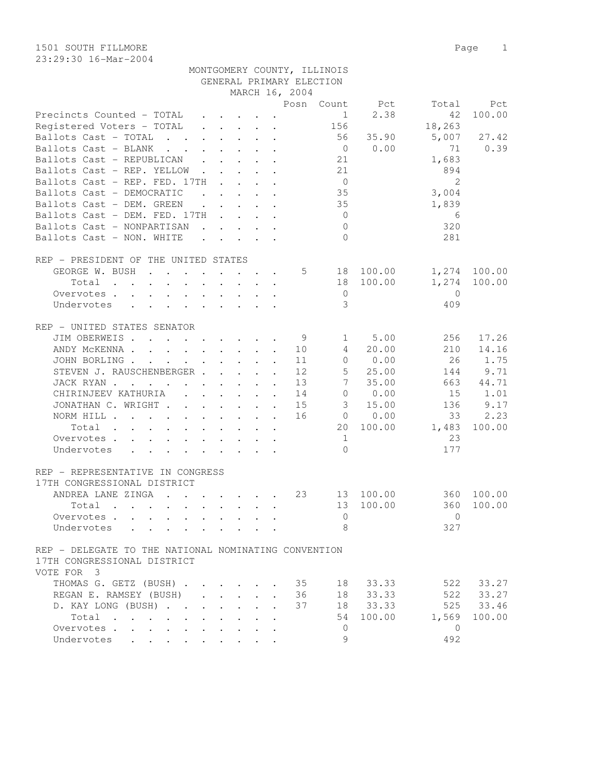1501 SOUTH FILLMORE 2008 2009 12:00 Page 2018 23:29:30 16-Mar-2004

|                                                                                                                                                                                                                                |                                                                          |  |                                                                                                                                                                                                                                                                                                                                                                                                                              | MONTGOMERY COUNTY, ILLINOIS |                |                 |              |
|--------------------------------------------------------------------------------------------------------------------------------------------------------------------------------------------------------------------------------|--------------------------------------------------------------------------|--|------------------------------------------------------------------------------------------------------------------------------------------------------------------------------------------------------------------------------------------------------------------------------------------------------------------------------------------------------------------------------------------------------------------------------|-----------------------------|----------------|-----------------|--------------|
|                                                                                                                                                                                                                                |                                                                          |  | GENERAL PRIMARY ELECTION                                                                                                                                                                                                                                                                                                                                                                                                     |                             |                |                 |              |
|                                                                                                                                                                                                                                |                                                                          |  | MARCH 16, 2004                                                                                                                                                                                                                                                                                                                                                                                                               |                             |                |                 |              |
|                                                                                                                                                                                                                                |                                                                          |  |                                                                                                                                                                                                                                                                                                                                                                                                                              |                             | Posn Count Pct | Total           | Pct          |
| Precincts Counted - TOTAL                                                                                                                                                                                                      | $\mathbf{r}$ , $\mathbf{r}$ , $\mathbf{r}$ , $\mathbf{r}$ , $\mathbf{r}$ |  |                                                                                                                                                                                                                                                                                                                                                                                                                              | $1 \quad \blacksquare$      | 2.38           | 42              | 100.00       |
| Registered Voters – TOTAL                                                                                                                                                                                                      |                                                                          |  | $\mathbf{r} = \mathbf{r} + \mathbf{r} + \mathbf{r} + \mathbf{r} + \mathbf{r} + \mathbf{r} + \mathbf{r} + \mathbf{r} + \mathbf{r} + \mathbf{r} + \mathbf{r} + \mathbf{r} + \mathbf{r} + \mathbf{r} + \mathbf{r} + \mathbf{r} + \mathbf{r} + \mathbf{r} + \mathbf{r} + \mathbf{r} + \mathbf{r} + \mathbf{r} + \mathbf{r} + \mathbf{r} + \mathbf{r} + \mathbf{r} + \mathbf{r} + \mathbf{r} + \mathbf{r} + \mathbf{r} + \mathbf$ | 156                         |                | 18,263          |              |
| Ballots Cast - TOTAL 56 35.90                                                                                                                                                                                                  |                                                                          |  |                                                                                                                                                                                                                                                                                                                                                                                                                              |                             |                | 5,007           | 27.42        |
| Ballots Cast - BLANK                                                                                                                                                                                                           | $\mathbf{r}$ , $\mathbf{r}$ , $\mathbf{r}$ , $\mathbf{r}$                |  |                                                                                                                                                                                                                                                                                                                                                                                                                              |                             | $0 \t 0.00$    | 71              | 0.39         |
| Ballots Cast - REPUBLICAN                                                                                                                                                                                                      |                                                                          |  |                                                                                                                                                                                                                                                                                                                                                                                                                              | 21                          |                | 1,683           |              |
| Ballots Cast - REP. YELLOW                                                                                                                                                                                                     |                                                                          |  |                                                                                                                                                                                                                                                                                                                                                                                                                              | 21                          |                | 894             |              |
| Ballots Cast - REP. FED. $17TH$                                                                                                                                                                                                |                                                                          |  |                                                                                                                                                                                                                                                                                                                                                                                                                              | $\overline{0}$              |                | 2               |              |
| Ballots Cast - DEMOCRATIC (asset as a control of the control of the control of the control of the control of the control of the control of the control of the control of the control of the control of the control of the cont |                                                                          |  |                                                                                                                                                                                                                                                                                                                                                                                                                              | 35                          |                | 3,004           |              |
| Ballots Cast - DEM. GREEN<br>$\mathcal{L}^{\mathcal{A}}$ , and $\mathcal{L}^{\mathcal{A}}$ , and $\mathcal{L}^{\mathcal{A}}$ , and $\mathcal{L}^{\mathcal{A}}$                                                                 |                                                                          |  |                                                                                                                                                                                                                                                                                                                                                                                                                              | 35                          |                | 1,839           |              |
| Ballots Cast - DEM. FED. $17TH$                                                                                                                                                                                                |                                                                          |  |                                                                                                                                                                                                                                                                                                                                                                                                                              | $\overline{0}$              |                | $6\overline{6}$ |              |
| Ballots Cast - NONPARTISAN                                                                                                                                                                                                     |                                                                          |  |                                                                                                                                                                                                                                                                                                                                                                                                                              | $\overline{0}$              |                | 320             |              |
| Ballots Cast - NON. WHITE                                                                                                                                                                                                      |                                                                          |  |                                                                                                                                                                                                                                                                                                                                                                                                                              | $\Omega$                    |                | 281             |              |
|                                                                                                                                                                                                                                |                                                                          |  |                                                                                                                                                                                                                                                                                                                                                                                                                              |                             |                |                 |              |
| REP - PRESIDENT OF THE UNITED STATES                                                                                                                                                                                           |                                                                          |  |                                                                                                                                                                                                                                                                                                                                                                                                                              |                             |                |                 |              |
|                                                                                                                                                                                                                                |                                                                          |  |                                                                                                                                                                                                                                                                                                                                                                                                                              |                             |                |                 |              |
| GEORGE W. BUSH                                                                                                                                                                                                                 |                                                                          |  |                                                                                                                                                                                                                                                                                                                                                                                                                              |                             | 5 18 100.00    |                 | 1,274 100.00 |
| Total                                                                                                                                                                                                                          |                                                                          |  |                                                                                                                                                                                                                                                                                                                                                                                                                              |                             | 18 100.00      | 1,274           | 100.00       |
| Overvotes.                                                                                                                                                                                                                     |                                                                          |  |                                                                                                                                                                                                                                                                                                                                                                                                                              | $\overline{0}$              |                | $\overline{0}$  |              |
| Undervotes                                                                                                                                                                                                                     |                                                                          |  |                                                                                                                                                                                                                                                                                                                                                                                                                              | 3                           |                | 409             |              |
|                                                                                                                                                                                                                                |                                                                          |  |                                                                                                                                                                                                                                                                                                                                                                                                                              |                             |                |                 |              |
| REP - UNITED STATES SENATOR                                                                                                                                                                                                    |                                                                          |  |                                                                                                                                                                                                                                                                                                                                                                                                                              |                             |                |                 |              |
| JIM OBERWEIS 9                                                                                                                                                                                                                 |                                                                          |  |                                                                                                                                                                                                                                                                                                                                                                                                                              | 1                           | 5.00           | 256             | 17.26        |
| ANDY MCKENNA 10                                                                                                                                                                                                                |                                                                          |  |                                                                                                                                                                                                                                                                                                                                                                                                                              | $4\overline{ }$             | 20.00          | 210             | 14.16        |
| JOHN BORLING                                                                                                                                                                                                                   |                                                                          |  | 11                                                                                                                                                                                                                                                                                                                                                                                                                           |                             | 0 0.00         | 26              | 1.75         |
| STEVEN J. RAUSCHENBERGER                                                                                                                                                                                                       |                                                                          |  | 12                                                                                                                                                                                                                                                                                                                                                                                                                           | $5 -$                       | 25.00          | 144             | 9.71         |
| JACK RYAN                                                                                                                                                                                                                      |                                                                          |  | 13                                                                                                                                                                                                                                                                                                                                                                                                                           | 7                           | 35.00          |                 | 663 44.71    |
| CHIRINJEEV KATHURIA                                                                                                                                                                                                            |                                                                          |  | 14                                                                                                                                                                                                                                                                                                                                                                                                                           |                             | 0 0.00         | 15              | 1.01         |
| JONATHAN C. WRIGHT                                                                                                                                                                                                             |                                                                          |  | 15                                                                                                                                                                                                                                                                                                                                                                                                                           |                             | 3 15.00        | 136             | 9.17         |
| NORM HILL                                                                                                                                                                                                                      |                                                                          |  | 16                                                                                                                                                                                                                                                                                                                                                                                                                           |                             | $0 \t 0.00$    | 33              | 2.23         |
|                                                                                                                                                                                                                                |                                                                          |  |                                                                                                                                                                                                                                                                                                                                                                                                                              |                             | 20 100.00      | 1,483           | 100.00       |
| Total                                                                                                                                                                                                                          |                                                                          |  |                                                                                                                                                                                                                                                                                                                                                                                                                              |                             |                |                 |              |
| Overvotes                                                                                                                                                                                                                      |                                                                          |  |                                                                                                                                                                                                                                                                                                                                                                                                                              | 1                           |                | 23              |              |
| Undervotes                                                                                                                                                                                                                     |                                                                          |  |                                                                                                                                                                                                                                                                                                                                                                                                                              | $\Omega$                    |                | 177             |              |
|                                                                                                                                                                                                                                |                                                                          |  |                                                                                                                                                                                                                                                                                                                                                                                                                              |                             |                |                 |              |
| REP - REPRESENTATIVE IN CONGRESS                                                                                                                                                                                               |                                                                          |  |                                                                                                                                                                                                                                                                                                                                                                                                                              |                             |                |                 |              |
| 17TH CONGRESSIONAL DISTRICT                                                                                                                                                                                                    |                                                                          |  |                                                                                                                                                                                                                                                                                                                                                                                                                              |                             |                |                 |              |
| ANDREA LANE ZINGA                                                                                                                                                                                                              |                                                                          |  | 23                                                                                                                                                                                                                                                                                                                                                                                                                           |                             | 13 100.00      |                 | 360 100.00   |
| Total .<br>the contract of the contract of the contract of the contract of the contract of the contract of the contract of                                                                                                     |                                                                          |  |                                                                                                                                                                                                                                                                                                                                                                                                                              |                             | 13 100.00      |                 | 360 100.00   |
| Overvotes                                                                                                                                                                                                                      |                                                                          |  |                                                                                                                                                                                                                                                                                                                                                                                                                              | $\overline{0}$              |                | $\Omega$        |              |
| Undervotes                                                                                                                                                                                                                     |                                                                          |  |                                                                                                                                                                                                                                                                                                                                                                                                                              | 8                           |                | 327             |              |
|                                                                                                                                                                                                                                |                                                                          |  |                                                                                                                                                                                                                                                                                                                                                                                                                              |                             |                |                 |              |
| REP - DELEGATE TO THE NATIONAL NOMINATING CONVENTION                                                                                                                                                                           |                                                                          |  |                                                                                                                                                                                                                                                                                                                                                                                                                              |                             |                |                 |              |
| 17TH CONGRESSIONAL DISTRICT                                                                                                                                                                                                    |                                                                          |  |                                                                                                                                                                                                                                                                                                                                                                                                                              |                             |                |                 |              |
| VOTE FOR 3                                                                                                                                                                                                                     |                                                                          |  |                                                                                                                                                                                                                                                                                                                                                                                                                              |                             |                |                 |              |
| THOMAS G. GETZ (BUSH) 35 18 33.33                                                                                                                                                                                              |                                                                          |  |                                                                                                                                                                                                                                                                                                                                                                                                                              |                             |                |                 | 522 33.27    |
| REGAN E. RAMSEY (BUSH)                                                                                                                                                                                                         |                                                                          |  | 36                                                                                                                                                                                                                                                                                                                                                                                                                           |                             | 18 33.33       | 522             | 33.27        |
|                                                                                                                                                                                                                                |                                                                          |  |                                                                                                                                                                                                                                                                                                                                                                                                                              |                             |                |                 |              |

 D. KAY LONG (BUSH) . . . . . . . 37 18 33.33 525 33.46 Total . . . . . . . . . . 54 100.00 1,569 100.00

 Overvotes . . . . . . . . . . 0 0 Undervotes . . . . . . . . . 9 492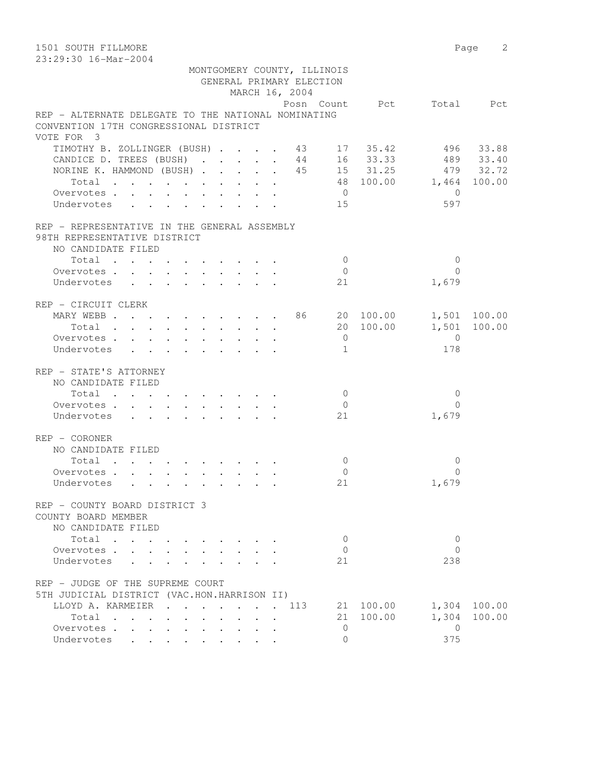| 1501 SOUTH FILLMORE                                 |                        |                | Page 2       |
|-----------------------------------------------------|------------------------|----------------|--------------|
| 23:29:30 16-Mar-2004                                |                        |                |              |
| MONTGOMERY COUNTY, ILLINOIS                         |                        |                |              |
| GENERAL PRIMARY ELECTION                            |                        |                |              |
| MARCH 16, 2004                                      |                        |                |              |
|                                                     | Posn Count Pct         |                | Total Pct    |
| REP - ALTERNATE DELEGATE TO THE NATIONAL NOMINATING |                        |                |              |
| CONVENTION 17TH CONGRESSIONAL DISTRICT              |                        |                |              |
| VOTE FOR 3                                          |                        |                |              |
| TIMOTHY B. ZOLLINGER (BUSH) 43 17 35.42             |                        |                | 496 33.88    |
| CANDICE D. TREES (BUSH)                             | 44 16 33.33            |                | 489 33.40    |
| NORINE K. HAMMOND (BUSH) 45 15 31.25 479 32.72      |                        |                |              |
| Total                                               | 48 100.00 1,464 100.00 |                |              |
| Overvotes.                                          | $\overline{0}$         | $\bigcirc$     |              |
| Undervotes                                          | 15                     | 597            |              |
| REP - REPRESENTATIVE IN THE GENERAL ASSEMBLY        |                        |                |              |
| 98TH REPRESENTATIVE DISTRICT                        |                        |                |              |
| NO CANDIDATE FILED                                  |                        |                |              |
| Total                                               | $\overline{0}$         | $\mathbf{0}$   |              |
| Overvotes.                                          | $\overline{0}$         | $\Omega$       |              |
| Undervotes                                          | 21                     | 1,679          |              |
| REP - CIRCUIT CLERK                                 |                        |                |              |
| MARY WEBB 86 20 100.00                              |                        |                | 1,501 100.00 |
| Total                                               | 20 100.00              |                | 1,501 100.00 |
| Overvotes                                           | $\overline{0}$         | $\overline{0}$ |              |
| Undervotes                                          | 1                      | 178            |              |
| REP - STATE'S ATTORNEY                              |                        |                |              |
| NO CANDIDATE FILED                                  |                        |                |              |
| Total                                               | $\overline{0}$         | $\Omega$       |              |
| Overvotes.                                          | $\overline{0}$         | $\Omega$       |              |
| Undervotes                                          | 21                     | 1,679          |              |
| REP - CORONER                                       |                        |                |              |
| NO CANDIDATE FILED                                  |                        |                |              |
| Total                                               | $\mathbf{0}$           | $\mathbf 0$    |              |
| Overvotes.                                          | $\mathbf{0}$           | $\Omega$       |              |
| Undervotes                                          | 21                     | 1,679          |              |
| REP - COUNTY BOARD DISTRICT 3                       |                        |                |              |
| COUNTY BOARD MEMBER                                 |                        |                |              |
| NO CANDIDATE FILED                                  |                        |                |              |
| Total                                               | $\mathbf{0}$           | $\overline{0}$ |              |
| Overvotes                                           | $\mathbf{0}$           | $\mathbf 0$    |              |
| Undervotes                                          | 21                     | 238            |              |
| REP - JUDGE OF THE SUPREME COURT                    |                        |                |              |
| 5TH JUDICIAL DISTRICT (VAC.HON.HARRISON II)         |                        |                |              |
| LLOYD A. KARMEIER 113                               | 21 100.00              |                | 1,304 100.00 |
| Total                                               | 21 100.00              | 1,304          | 100.00       |
| Overvotes                                           | 0                      | $\overline{0}$ |              |
| Undervotes                                          | $\Omega$               | 375            |              |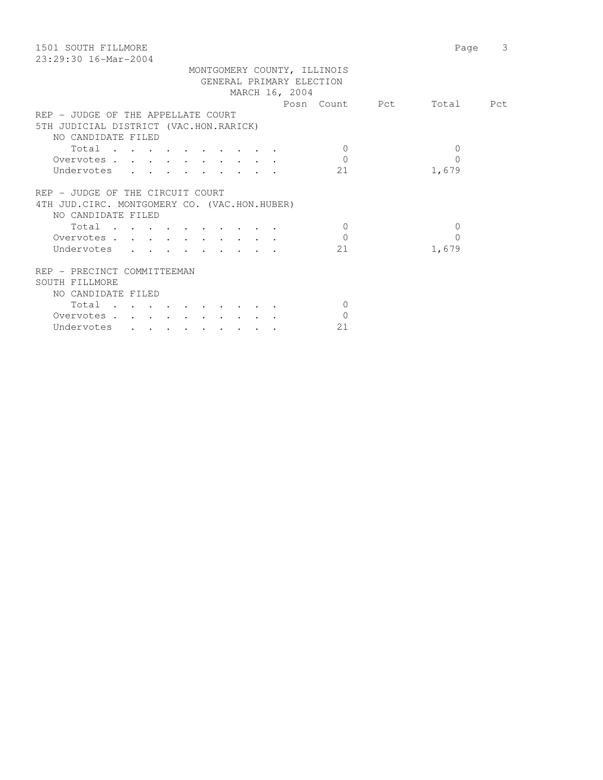| 1501 SOUTH FILLMORE<br>$23:29:30$ 16-Mar-2004 |                | 3<br>Page |
|-----------------------------------------------|----------------|-----------|
| MONTGOMERY COUNTY, ILLINOIS                   |                |           |
| GENERAL PRIMARY ELECTION                      |                |           |
| MARCH 16, 2004                                |                |           |
|                                               | Posn Count Pct | Total Pct |
| REP - JUDGE OF THE APPELLATE COURT            |                |           |
| 5TH JUDICIAL DISTRICT (VAC.HON.RARICK)        |                |           |
| NO CANDIDATE FILED                            |                |           |
| Total                                         | $\Omega$       | 0         |
| Overvotes                                     | $\Omega$       | $\Omega$  |
|                                               | 21             | 1,679     |
| Undervotes                                    |                |           |
| REP - JUDGE OF THE CIRCUIT COURT              |                |           |
| 4TH JUD. CIRC. MONTGOMERY CO. (VAC.HON.HUBER) |                |           |
| NO CANDIDATE FILED                            |                |           |
|                                               | $\Omega$       | $\Omega$  |
| Total                                         |                |           |
| Overvotes                                     | $\Omega$       | $\Omega$  |
| Undervotes                                    | 21             | 1,679     |
|                                               |                |           |
| REP - PRECINCT COMMITTEEMAN                   |                |           |
| SOUTH FILLMORE                                |                |           |
| NO CANDIDATE FILED                            |                |           |
| Total                                         | $\Omega$       |           |
| Overvotes                                     | $\Omega$       |           |
| Undervotes                                    | 21             |           |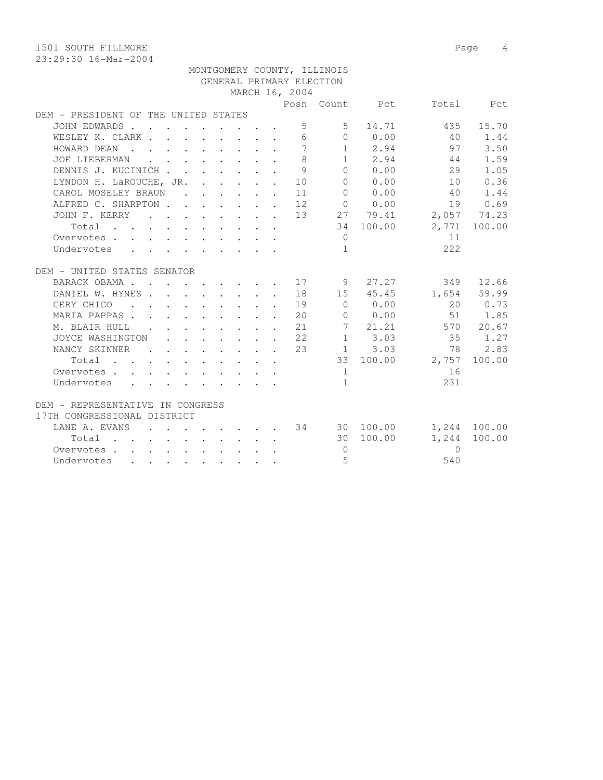1501 SOUTH FILLMORE Page 4

|                                      |                      |  |  |              |                | MONTGOMERY COUNTY, ILLINOIS |                                         |                                   |              |
|--------------------------------------|----------------------|--|--|--------------|----------------|-----------------------------|-----------------------------------------|-----------------------------------|--------------|
|                                      |                      |  |  |              |                | GENERAL PRIMARY ELECTION    |                                         |                                   |              |
|                                      |                      |  |  |              | MARCH 16, 2004 |                             |                                         |                                   |              |
|                                      |                      |  |  |              |                |                             |                                         | Posn Count Pct Total Pct          |              |
| DEM - PRESIDENT OF THE UNITED STATES |                      |  |  |              |                |                             |                                         |                                   |              |
| JOHN EDWARDS                         |                      |  |  |              |                | $5^{\circ}$<br>$5 -$        | 14.71                                   | 435                               | 15.70        |
| WESLEY K. CLARK                      |                      |  |  |              |                |                             | 6000.00                                 | 40 1.44                           |              |
| HOWARD DEAN                          |                      |  |  |              | $\overline{7}$ |                             | 1 2.94                                  | 97                                | 3.50         |
| JOE LIEBERMAN                        |                      |  |  |              | 8              |                             | $1 \t 2.94$                             | 44                                | 1.59         |
| DENNIS J. KUCINICH                   |                      |  |  | $\mathbf{L}$ | 9              |                             | 0 0.00                                  | 29                                | 1.05         |
| LYNDON H. LaROUCHE, JR. 10           |                      |  |  |              |                |                             | 0 0.00                                  | 10                                | 0.36         |
| CAROL MOSELEY BRAUN                  |                      |  |  |              | 11             | $\overline{0}$              | 0.00                                    | 40                                | 1.44         |
| ALFRED C. SHARPTON 12                |                      |  |  |              |                |                             | $\begin{matrix} 0 & 0 & 0 \end{matrix}$ |                                   | 19 0.69      |
| JOHN F. KERRY 13 27 79.41            |                      |  |  |              |                |                             |                                         | 2,057 74.23                       |              |
| Total                                |                      |  |  |              |                |                             | 34 100.00                               |                                   | 2,771 100.00 |
| Overvotes                            |                      |  |  |              |                | $\overline{0}$              |                                         | 11                                |              |
| Undervotes                           |                      |  |  |              |                | $\overline{1}$              |                                         | 222                               |              |
|                                      |                      |  |  |              |                |                             |                                         |                                   |              |
| DEM - UNITED STATES SENATOR          |                      |  |  |              |                |                             |                                         |                                   |              |
| BARACK OBAMA 17                      |                      |  |  |              |                | 9                           |                                         | 27.27                             | 349 12.66    |
| DANIEL W. HYNES 18                   |                      |  |  |              |                |                             | 15 45.45                                |                                   | 1,654 59.99  |
| GERY CHICO 19                        |                      |  |  |              |                | $\overline{0}$              | 0.00                                    |                                   | 20 0.73      |
| MARIA PAPPAS. 20                     |                      |  |  |              |                |                             | $0 \t 0.00$                             |                                   | 51 1.85      |
| M. BLAIR HULL                        |                      |  |  |              | 21             |                             | 7 21.21                                 |                                   | 570 20.67    |
| JOYCE WASHINGTON                     |                      |  |  |              | 22             |                             | $1 \t3.03$                              | 35                                | 1.27         |
| NANCY SKINNER                        | $\sim$ $\sim$ $\sim$ |  |  |              | 23             |                             | $1 \t 3.03$                             | 78                                | 2.83         |
| Total                                |                      |  |  |              |                |                             |                                         | 33 100.00 2,757                   | 100.00       |
| Overvotes                            |                      |  |  |              |                | 1                           |                                         | 16                                |              |
| Undervotes                           |                      |  |  |              |                | $\mathbf{1}$                |                                         | 231                               |              |
|                                      |                      |  |  |              |                |                             |                                         |                                   |              |
| DEM - REPRESENTATIVE IN CONGRESS     |                      |  |  |              |                |                             |                                         |                                   |              |
| 17TH CONGRESSIONAL DISTRICT          |                      |  |  |              |                |                             |                                         |                                   |              |
| LANE A. EVANS                        |                      |  |  |              |                |                             |                                         | $\cdot$ 34 30 100.00 1,244 100.00 |              |
| $Total$ , , , , , , , , , ,          |                      |  |  |              |                |                             | 30 100.00                               | 1,244                             | 100.00       |
| Overvotes.                           |                      |  |  |              |                | $\Omega$                    |                                         | $\Omega$                          |              |
| Undervotes                           |                      |  |  |              |                | $\overline{5}$              |                                         | 540                               |              |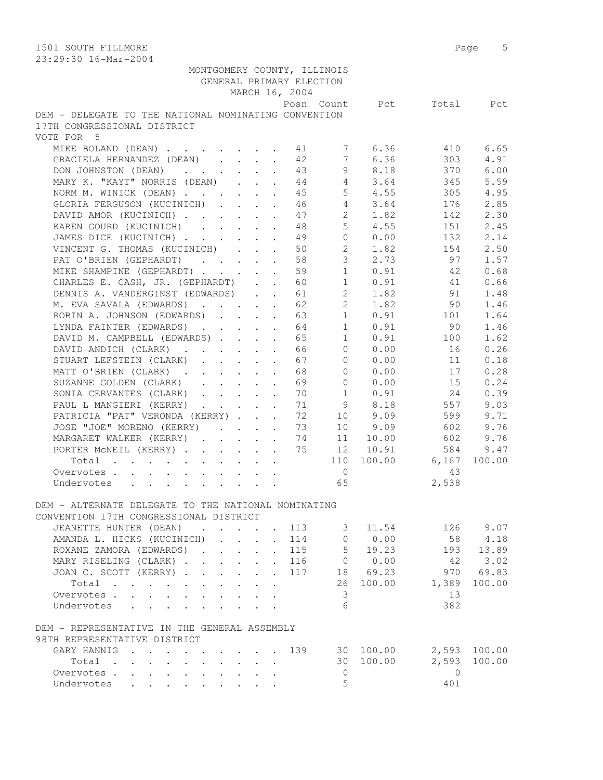|                                                                                                                       |              |                           |                                                             |                           | GENERAL PRIMARY ELECTION |                |                  |                |           |
|-----------------------------------------------------------------------------------------------------------------------|--------------|---------------------------|-------------------------------------------------------------|---------------------------|--------------------------|----------------|------------------|----------------|-----------|
|                                                                                                                       |              |                           |                                                             |                           | MARCH 16, 2004           |                |                  |                |           |
|                                                                                                                       |              |                           |                                                             |                           |                          |                | Posn Count Pct   |                | Total Pct |
| DEM - DELEGATE TO THE NATIONAL NOMINATING CONVENTION                                                                  |              |                           |                                                             |                           |                          |                |                  |                |           |
| 17TH CONGRESSIONAL DISTRICT                                                                                           |              |                           |                                                             |                           |                          |                |                  |                |           |
| VOTE FOR 5                                                                                                            |              |                           |                                                             |                           |                          |                |                  |                |           |
| MIKE BOLAND (DEAN) 11                                                                                                 |              |                           |                                                             |                           |                          | 7              | 6.36             | 410            | 6.65      |
| GRACIELA HERNANDEZ (DEAN)                                                                                             |              |                           |                                                             |                           | 42                       | 7              | 6.36             | 303            | 4.91      |
| DON JOHNSTON (DEAN)                                                                                                   |              |                           |                                                             |                           | 43                       | 9              | 8.18             | 370            | 6.00      |
| MARY K. "KAYT" NORRIS (DEAN)                                                                                          |              |                           |                                                             |                           | 44                       |                | $4 \quad 3.64$   | 345            | 5.59      |
| NORM M. WINICK (DEAN)                                                                                                 |              |                           |                                                             |                           | 45                       |                | $5 \t 4.55$      | 305            | 4.95      |
| GLORIA FERGUSON (KUCINICH)                                                                                            |              |                           |                                                             |                           | 46                       |                | $4 \quad 3.64$   | 176            | 2.85      |
| DAVID AMOR (KUCINICH)                                                                                                 |              |                           |                                                             |                           | 47                       |                | 2 1.82           | 142            | 2.30      |
| KAREN GOURD (KUCINICH)                                                                                                |              |                           |                                                             |                           | 48                       | $5 -$          | 4.55             | 151            | 2.45      |
| JAMES DICE (KUCINICH)                                                                                                 |              |                           |                                                             |                           | 49                       | $\overline{0}$ | 0.00             | 132            | 2.14      |
| VINCENT G. THOMAS (KUCINICH)                                                                                          |              |                           |                                                             |                           | 50                       | $2^{\circ}$    | 1.82             | 154            | 2.50      |
| PAT O'BRIEN (GEPHARDT)                                                                                                |              |                           |                                                             |                           | 58                       | 3 <sup>7</sup> | 2.73             | 97             | 1.57      |
| MIKE SHAMPINE (GEPHARDT)                                                                                              |              |                           |                                                             |                           | 59                       | 1              | 0.91             | 42             | 0.68      |
| CHARLES E. CASH, JR. (GEPHARDT)                                                                                       |              |                           |                                                             |                           | 60                       |                | $1 \t 0.91$      | 41             | 0.66      |
| DENNIS A. VANDERGINST (EDWARDS)                                                                                       |              |                           |                                                             |                           |                          | $2^{\circ}$    |                  | 91             |           |
|                                                                                                                       |              |                           |                                                             |                           | 61                       |                | 1.82             |                | 1.48      |
| M. EVA SAVALA (EDWARDS)                                                                                               |              |                           |                                                             |                           | 62                       | $2^{\circ}$    | 1.82             | 90             | 1.46      |
| ROBIN A. JOHNSON (EDWARDS)                                                                                            |              |                           |                                                             |                           | 63                       |                | $1 \t 0.91$      | 101            | 1.64      |
| LYNDA FAINTER (EDWARDS) 64                                                                                            |              |                           |                                                             |                           |                          | 1              | 0.91             | 90             | 1.46      |
| DAVID M. CAMPBELL (EDWARDS)                                                                                           |              |                           |                                                             |                           | 65                       | 1              | 0.91             | 100            | 1.62      |
| DAVID ANDICH (CLARK)                                                                                                  |              |                           |                                                             |                           | 66                       | $\overline{0}$ | 0.00             | 16             | 0.26      |
| STUART LEFSTEIN (CLARK)                                                                                               |              |                           |                                                             |                           | 67                       | $\overline{0}$ | 0.00             | 11             | 0.18      |
| MATT O'BRIEN (CLARK)                                                                                                  |              |                           |                                                             |                           | 68                       | $\Omega$       | 0.00             | 17             | 0.28      |
| SUZANNE GOLDEN (CLARK)                                                                                                |              |                           |                                                             |                           | 69                       |                | $\Omega$<br>0.00 | 15             | 0.24      |
| SONIA CERVANTES (CLARK)                                                                                               |              |                           |                                                             |                           | 70                       |                | 1 0.91           | 24             | 0.39      |
| PAUL L MANGIERI (KERRY)                                                                                               |              |                           |                                                             |                           | 71                       |                | 9 8.18           | 557            | 9.03      |
| PATRICIA "PAT" VERONDA (KERRY)                                                                                        |              |                           |                                                             |                           | 72                       |                | 10 9.09          | 599            | 9.71      |
| JOSE "JOE" MORENO (KERRY)                                                                                             |              |                           |                                                             |                           | - 73                     |                | 10 9.09          | 602            | 9.76      |
| MARGARET WALKER (KERRY) 74                                                                                            |              |                           |                                                             |                           |                          |                | 11 10.00         | 602            | 9.76      |
| PORTER MCNEIL (KERRY) 75                                                                                              |              |                           |                                                             |                           |                          | 12             | 10.91            | 584            | 9.47      |
| Total                                                                                                                 |              |                           |                                                             |                           |                          |                | 110 100.00       | 6,167          | 100.00    |
| Overvotes                                                                                                             |              |                           |                                                             |                           |                          | $\overline{0}$ |                  | 43             |           |
| $\mathbf{r}$ , $\mathbf{r}$ , $\mathbf{r}$ , $\mathbf{r}$ , $\mathbf{r}$ , $\mathbf{r}$ , $\mathbf{r}$<br>Undervotes  |              |                           |                                                             |                           |                          | 65             |                  | 2,538          |           |
|                                                                                                                       |              |                           |                                                             |                           |                          |                |                  |                |           |
| DEM - ALTERNATE DELEGATE TO THE NATIONAL NOMINATING                                                                   |              |                           |                                                             |                           |                          |                |                  |                |           |
| CONVENTION 17TH CONGRESSIONAL DISTRICT                                                                                |              |                           |                                                             |                           |                          |                |                  |                |           |
| JEANETTE HUNTER (DEAN)                                                                                                |              |                           |                                                             |                           | 113                      | 3              | 11.54            | 126            | 9.07      |
| AMANDA L. HICKS (KUCINICH)                                                                                            |              | $\mathbf{r} = \mathbf{r}$ | $\ddot{\phantom{0}}$                                        | $\ddot{\phantom{0}}$      | 114                      | $\mathbf{0}$   | 0.00             | 58             | 4.18      |
| ROXANE ZAMORA (EDWARDS).                                                                                              |              |                           | $\mathbf{r}$                                                |                           | 115                      | $5 -$          | 19.23            | 193            | 13.89     |
| MARY RISELING (CLARK).                                                                                                |              |                           | $\mathbf{r} = \mathbf{r} \cdot \mathbf{r}$                  |                           | 116                      | $\overline{0}$ | 0.00             | 42             | 3.02      |
| JOAN C. SCOTT (KERRY).                                                                                                |              |                           | $\mathbf{r} = \mathbf{r} \cdot \mathbf{r}$                  | $\mathbf{L}^{\text{max}}$ | 117                      |                | 18 69.23         | 970            | 69.83     |
| Total                                                                                                                 |              |                           |                                                             | $\ddot{\phantom{a}}$      |                          | 26             | 100.00           | 1,389          | 100.00    |
| Overvotes.                                                                                                            |              |                           |                                                             |                           |                          | 3              |                  | 13             |           |
| Undervotes                                                                                                            |              |                           |                                                             |                           |                          | 6              |                  | 382            |           |
|                                                                                                                       |              |                           |                                                             |                           |                          |                |                  |                |           |
|                                                                                                                       |              |                           |                                                             |                           |                          |                |                  |                |           |
| DEM - REPRESENTATIVE IN THE GENERAL ASSEMBLY<br>98TH REPRESENTATIVE DISTRICT                                          |              |                           |                                                             |                           |                          |                |                  |                |           |
|                                                                                                                       |              |                           |                                                             |                           | 139                      |                | 30 100.00        | 2,593          | 100.00    |
| GARY HANNIG<br>$\mathbf{r}$ , $\mathbf{r}$ , $\mathbf{r}$ , $\mathbf{r}$ , $\mathbf{r}$ , $\mathbf{r}$ , $\mathbf{r}$ |              |                           |                                                             |                           |                          |                |                  |                |           |
| Total<br>$\mathbf{r}$ , $\mathbf{r}$ , $\mathbf{r}$<br>$\ddot{\phantom{0}}$                                           | $\mathbf{L}$ |                           | $\mathcal{L}^{\text{max}}$ , and $\mathcal{L}^{\text{max}}$ |                           |                          |                | 30 100.00        | 2,593          | 100.00    |
| Overvotes                                                                                                             |              |                           |                                                             |                           |                          | $\overline{0}$ |                  | $\overline{0}$ |           |
| Undervotes                                                                                                            |              |                           |                                                             |                           |                          | 5              |                  | 401            |           |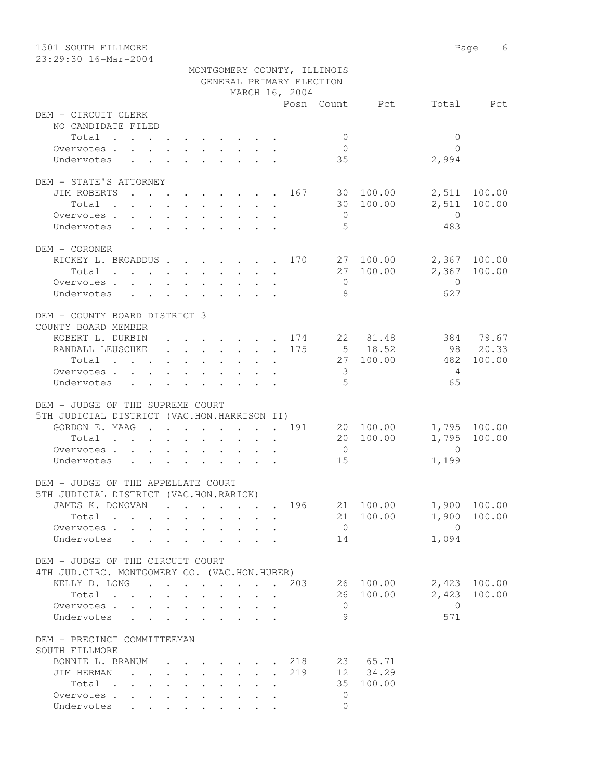| 1501 SOUTH FILLMORE<br>23:29:30 16-Mar-2004                                  |  |  |                      |         |                                                                          |  |                                                             |                             |                                  |                | Page<br>6    |
|------------------------------------------------------------------------------|--|--|----------------------|---------|--------------------------------------------------------------------------|--|-------------------------------------------------------------|-----------------------------|----------------------------------|----------------|--------------|
|                                                                              |  |  |                      |         |                                                                          |  | GENERAL PRIMARY ELECTION<br>MARCH 16, 2004                  | MONTGOMERY COUNTY, ILLINOIS |                                  |                |              |
|                                                                              |  |  |                      |         |                                                                          |  |                                                             |                             | Posn Count Pct Total             |                | Pct          |
| DEM - CIRCUIT CLERK<br>NO CANDIDATE FILED                                    |  |  |                      |         |                                                                          |  |                                                             |                             |                                  |                |              |
| Total                                                                        |  |  |                      |         |                                                                          |  |                                                             | $\mathbf{0}$                |                                  | $\Omega$       |              |
| Overvotes                                                                    |  |  |                      |         |                                                                          |  |                                                             | $\Omega$                    |                                  | $\Omega$       |              |
| Undervotes                                                                   |  |  |                      |         |                                                                          |  |                                                             | 35                          |                                  | 2,994          |              |
| DEM - STATE'S ATTORNEY                                                       |  |  |                      |         |                                                                          |  |                                                             |                             |                                  |                |              |
| JIM ROBERTS                                                                  |  |  |                      |         |                                                                          |  |                                                             |                             | 30 100.00                        | 2,511 100.00   |              |
| Total                                                                        |  |  |                      |         |                                                                          |  |                                                             | 30                          | 100.00                           |                | 2,511 100.00 |
| Overvotes.                                                                   |  |  |                      |         |                                                                          |  |                                                             | $\overline{0}$              |                                  | $\bigcirc$     |              |
| Undervotes                                                                   |  |  |                      |         |                                                                          |  |                                                             | 5                           |                                  | 483            |              |
| DEM - CORONER                                                                |  |  |                      |         |                                                                          |  |                                                             |                             |                                  |                |              |
| RICKEY L. BROADDUS 170                                                       |  |  |                      |         |                                                                          |  |                                                             |                             | 27 100.00 2,367 100.00           |                |              |
| Total                                                                        |  |  |                      |         |                                                                          |  |                                                             | 27                          | 100.00                           | 2,367 100.00   |              |
| Overvotes                                                                    |  |  |                      |         |                                                                          |  |                                                             | $\Omega$                    |                                  | $\overline{0}$ |              |
| Undervotes                                                                   |  |  |                      |         |                                                                          |  |                                                             | 8                           |                                  | 627            |              |
| DEM - COUNTY BOARD DISTRICT 3<br>COUNTY BOARD MEMBER                         |  |  |                      |         |                                                                          |  |                                                             |                             |                                  |                |              |
| ROBERT L. DURBIN                                                             |  |  |                      |         |                                                                          |  |                                                             |                             | . 174 22 81.48                   |                | 384 79.67    |
| RANDALL LEUSCHKE                                                             |  |  |                      |         |                                                                          |  | . 175                                                       |                             | $5 \t 18.52$                     |                | 98 20.33     |
| Total                                                                        |  |  |                      |         |                                                                          |  |                                                             |                             | 27 100.00                        | 482            | 100.00       |
| Overvotes                                                                    |  |  |                      |         |                                                                          |  |                                                             | 3                           |                                  | 4              |              |
| Undervotes                                                                   |  |  |                      |         |                                                                          |  |                                                             | 5                           |                                  | 65             |              |
|                                                                              |  |  |                      |         |                                                                          |  |                                                             |                             |                                  |                |              |
| DEM - JUDGE OF THE SUPREME COURT                                             |  |  |                      |         |                                                                          |  |                                                             |                             |                                  |                |              |
| 5TH JUDICIAL DISTRICT (VAC.HON.HARRISON II)<br>GORDON E. MAAG                |  |  |                      |         |                                                                          |  | . 191                                                       |                             | 20 100.00                        |                | 1,795 100.00 |
| Total                                                                        |  |  | $\ddot{\phantom{0}}$ | $\cdot$ |                                                                          |  |                                                             | 20                          | 100.00                           |                | 1,795 100.00 |
| Overvotes                                                                    |  |  |                      |         |                                                                          |  |                                                             | $\overline{0}$              |                                  | $\Omega$       |              |
| Undervotes                                                                   |  |  |                      |         |                                                                          |  |                                                             | 15                          |                                  | 1,199          |              |
|                                                                              |  |  |                      |         |                                                                          |  |                                                             |                             |                                  |                |              |
| DEM - JUDGE OF THE APPELLATE COURT<br>5TH JUDICIAL DISTRICT (VAC.HON.RARICK) |  |  |                      |         |                                                                          |  |                                                             |                             |                                  |                |              |
| JAMES K. DONOVAN                                                             |  |  |                      |         |                                                                          |  | $\cdot$ $\cdot$ $\cdot$ $\cdot$ $\cdot$ $\cdot$ $\cdot$ 196 |                             | 21 100.00 1,900 100.00           |                |              |
| Total                                                                        |  |  |                      |         |                                                                          |  |                                                             | 21                          | 100.00                           | 1,900 100.00   |              |
| Overvotes                                                                    |  |  |                      |         |                                                                          |  |                                                             | $\overline{0}$              |                                  | $\bigcirc$     |              |
| Undervotes                                                                   |  |  |                      |         |                                                                          |  |                                                             | 14                          |                                  | 1,094          |              |
|                                                                              |  |  |                      |         |                                                                          |  |                                                             |                             |                                  |                |              |
| DEM - JUDGE OF THE CIRCUIT COURT                                             |  |  |                      |         |                                                                          |  |                                                             |                             |                                  |                |              |
| 4TH JUD. CIRC. MONTGOMERY CO. (VAC.HON.HUBER)                                |  |  |                      |         |                                                                          |  |                                                             |                             |                                  |                |              |
| KELLY D. LONG 203<br>Total                                                   |  |  |                      |         |                                                                          |  |                                                             | 26                          | 26 100.00 2,423 100.00<br>100.00 |                | 2,423 100.00 |
| Overvotes.                                                                   |  |  |                      |         |                                                                          |  |                                                             | $\overline{0}$              |                                  | $\overline{0}$ |              |
| Undervotes                                                                   |  |  |                      |         |                                                                          |  |                                                             | 9                           |                                  | 571            |              |
| DEM - PRECINCT COMMITTEEMAN                                                  |  |  |                      |         |                                                                          |  |                                                             |                             |                                  |                |              |
| SOUTH FILLMORE                                                               |  |  |                      |         |                                                                          |  |                                                             |                             |                                  |                |              |
| BONNIE L. BRANUM                                                             |  |  |                      |         | $\mathbf{r}$ , $\mathbf{r}$ , $\mathbf{r}$ , $\mathbf{r}$ , $\mathbf{r}$ |  | 218                                                         |                             | 23 65.71                         |                |              |
| JIM HERMAN                                                                   |  |  |                      |         |                                                                          |  | 219                                                         | 35                          | 12 34.29                         |                |              |
| Total<br>Overvotes                                                           |  |  |                      |         |                                                                          |  |                                                             | 0                           | 100.00                           |                |              |
| Undervotes                                                                   |  |  |                      |         |                                                                          |  |                                                             | $\Omega$                    |                                  |                |              |
|                                                                              |  |  |                      |         |                                                                          |  |                                                             |                             |                                  |                |              |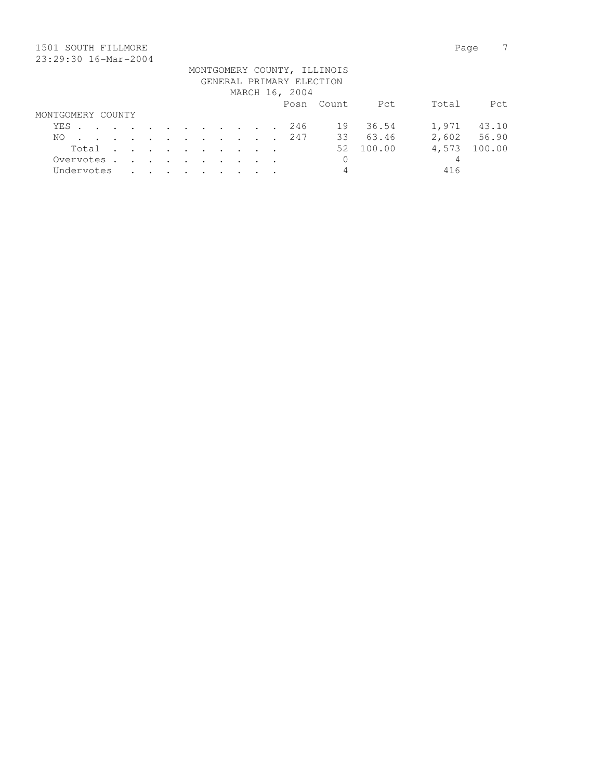## 1501 SOUTH FILLMORE Page 7 23:29:30 16-Mar-2004

|                   |  |  |       |  |  |  |                          | MONTGOMERY COUNTY, ILLINOIS |           |       |             |
|-------------------|--|--|-------|--|--|--|--------------------------|-----------------------------|-----------|-------|-------------|
|                   |  |  |       |  |  |  | GENERAL PRIMARY ELECTION |                             |           |       |             |
|                   |  |  |       |  |  |  | MARCH 16, 2004           |                             |           |       |             |
|                   |  |  |       |  |  |  |                          | Posn Count                  | Pct       | Total | Pct.        |
| MONTGOMERY COUNTY |  |  |       |  |  |  |                          |                             |           |       |             |
|                   |  |  |       |  |  |  | YES 246                  | 19                          | 36.54     |       | 1,971 43.10 |
| NO.               |  |  |       |  |  |  | . 247                    |                             | 33 63.46  |       | 2,602 56.90 |
|                   |  |  | Total |  |  |  |                          |                             | 52 100.00 | 4,573 | 100.00      |
| Overvotes.        |  |  |       |  |  |  |                          | 0                           |           | 4     |             |
| Undervotes        |  |  |       |  |  |  |                          | 4                           |           | 416   |             |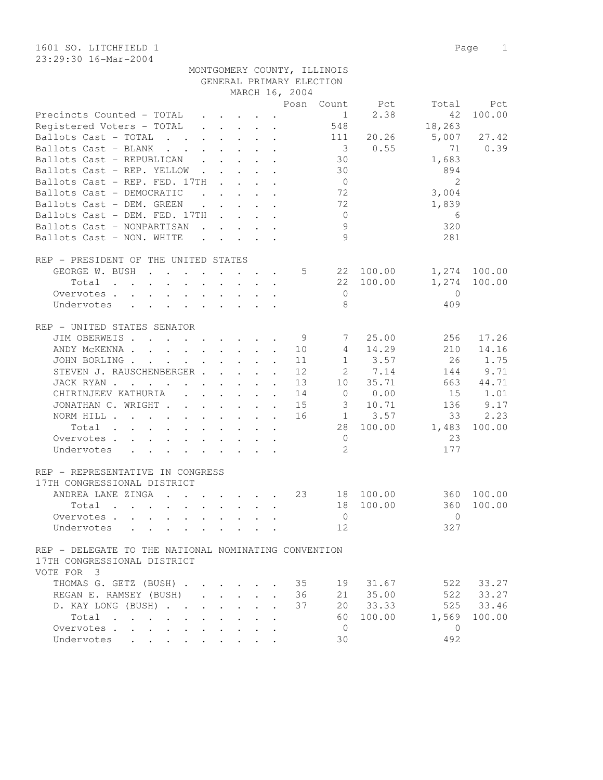23:29:30 16-Mar-2004

|                                                                                                                                        |              |                                                           |                                                                          |     | MONTGOMERY COUNTY, ILLINOIS |                |                |              |
|----------------------------------------------------------------------------------------------------------------------------------------|--------------|-----------------------------------------------------------|--------------------------------------------------------------------------|-----|-----------------------------|----------------|----------------|--------------|
|                                                                                                                                        |              |                                                           |                                                                          |     | GENERAL PRIMARY ELECTION    |                |                |              |
|                                                                                                                                        |              |                                                           | MARCH 16, 2004                                                           |     |                             |                |                |              |
|                                                                                                                                        |              |                                                           |                                                                          |     |                             | Posn Count Pct | Total          | Pct          |
| Precincts Counted - TOTAL                                                                                                              | $\mathbf{r}$ |                                                           | $\cdot$ $\cdot$ $\cdot$ $\cdot$ $\cdot$                                  |     | $1 \quad \blacksquare$      | 2.38           | 42             | 100.00       |
| Registered Voters - TOTAL                                                                                                              |              |                                                           | $\mathbf{r}$ , $\mathbf{r}$ , $\mathbf{r}$ , $\mathbf{r}$ , $\mathbf{r}$ |     | 548                         |                | 18,263         |              |
| Ballots Cast - TOTAL                                                                                                                   |              | $\mathbf{r}$ , $\mathbf{r}$ , $\mathbf{r}$ , $\mathbf{r}$ |                                                                          |     | 111                         | 20.26          | 5,007          | 27.42        |
| Ballots Cast - BLANK                                                                                                                   |              |                                                           |                                                                          |     | $\overline{\mathbf{3}}$     | 0.55           | 71             | 0.39         |
| Ballots Cast - REPUBLICAN                                                                                                              |              |                                                           |                                                                          |     | 30                          |                | 1,683          |              |
| Ballots Cast - REP. YELLOW                                                                                                             |              |                                                           |                                                                          |     | 30                          |                | 894            |              |
| Ballots Cast - REP. FED. 17TH                                                                                                          |              |                                                           |                                                                          |     | $\overline{0}$              |                | 2              |              |
| Ballots Cast - DEMOCRATIC                                                                                                              |              | $\mathbf{r}$ , $\mathbf{r}$ , $\mathbf{r}$ , $\mathbf{r}$ |                                                                          |     | 72                          |                | 3,004          |              |
| Ballots Cast - DEM. GREEN                                                                                                              |              | $\mathbf{r}$ , $\mathbf{r}$ , $\mathbf{r}$ , $\mathbf{r}$ |                                                                          |     | 72                          |                | 1,839          |              |
| Ballots Cast - DEM. FED. 17TH                                                                                                          |              |                                                           |                                                                          |     | $\overline{0}$              |                |                |              |
|                                                                                                                                        |              |                                                           |                                                                          |     | 9                           |                | 6              |              |
| Ballots Cast - NONPARTISAN                                                                                                             |              |                                                           |                                                                          |     |                             |                | 320            |              |
| Ballots Cast - NON. WHITE                                                                                                              |              |                                                           |                                                                          |     | $\mathcal{Q}$               |                | 281            |              |
|                                                                                                                                        |              |                                                           |                                                                          |     |                             |                |                |              |
| REP - PRESIDENT OF THE UNITED STATES                                                                                                   |              |                                                           |                                                                          |     |                             |                |                |              |
| GEORGE W. BUSH                                                                                                                         |              |                                                           |                                                                          | 5   |                             | 22 100.00      |                | 1,274 100.00 |
| Total<br>$\cdot$ $\cdot$ $\cdot$ $\cdot$ $\cdot$                                                                                       |              | $\cdot$ $\cdot$ $\cdot$ $\cdot$                           |                                                                          |     | 22                          | 100.00         | 1,274          | 100.00       |
| Overvotes                                                                                                                              |              |                                                           |                                                                          |     | $\overline{0}$              |                | $\Omega$       |              |
| Undervotes                                                                                                                             |              |                                                           |                                                                          |     | 8                           |                | 409            |              |
|                                                                                                                                        |              |                                                           |                                                                          |     |                             |                |                |              |
| REP - UNITED STATES SENATOR                                                                                                            |              |                                                           |                                                                          |     |                             |                |                |              |
| JIM OBERWEIS                                                                                                                           |              |                                                           |                                                                          | - 9 | 7                           | 25.00          | 256            | 17.26        |
| ANDY MCKENNA 10                                                                                                                        |              |                                                           |                                                                          |     | $4 \quad$                   | 14.29          | 210            | 14.16        |
| JOHN BORLING.<br>$\mathcal{A}^{\mathcal{A}}$ . The contribution of the contribution of the contribution of $\mathcal{A}^{\mathcal{A}}$ |              |                                                           |                                                                          | 11  | 1                           | 3.57           | 26             | 1.75         |
| STEVEN J. RAUSCHENBERGER                                                                                                               |              |                                                           |                                                                          | 12  | $2^{\circ}$                 | 7.14           | 144            | 9.71         |
| JACK RYAN                                                                                                                              |              |                                                           |                                                                          | 13  | 10                          | 35.71          | 663            | 44.71        |
| CHIRINJEEV KATHURIA (CHIRINJEEV KATHURIA)                                                                                              |              |                                                           |                                                                          | 14  |                             | 0 0.00         | 15             | 1.01         |
| JONATHAN C. WRIGHT                                                                                                                     |              |                                                           |                                                                          | 15  |                             | 3 10.71        | 136            | 9.17         |
| NORM HILL                                                                                                                              |              |                                                           |                                                                          | 16  |                             | $1 \t3.57$     | 33             | 2.23         |
| Total                                                                                                                                  |              |                                                           |                                                                          |     | 28                          | 100.00         | 1,483          | 100.00       |
| Overvotes                                                                                                                              |              |                                                           |                                                                          |     | $\overline{0}$              |                | 23             |              |
| Undervotes                                                                                                                             |              |                                                           |                                                                          |     | $\mathfrak{L}$              |                | 177            |              |
|                                                                                                                                        |              |                                                           |                                                                          |     |                             |                |                |              |
| REP - REPRESENTATIVE IN CONGRESS                                                                                                       |              |                                                           |                                                                          |     |                             |                |                |              |
| 17TH CONGRESSIONAL DISTRICT                                                                                                            |              |                                                           |                                                                          |     |                             |                |                |              |
| ANDREA LANE ZINGA<br>$\mathbf{r}$ , $\mathbf{r}$ , $\mathbf{r}$ , $\mathbf{r}$ , $\mathbf{r}$                                          |              |                                                           |                                                                          | 23  | 18                          | 100.00         |                | 360 100.00   |
| Total .                                                                                                                                |              |                                                           |                                                                          |     |                             | 18 100.00      |                | 360 100.00   |
|                                                                                                                                        |              |                                                           |                                                                          |     |                             |                |                |              |
| Overvotes.                                                                                                                             |              |                                                           |                                                                          |     | 0                           |                | $\Omega$       |              |
| Undervotes                                                                                                                             |              |                                                           |                                                                          |     | 12                          |                | 327            |              |
|                                                                                                                                        |              |                                                           |                                                                          |     |                             |                |                |              |
| REP - DELEGATE TO THE NATIONAL NOMINATING CONVENTION                                                                                   |              |                                                           |                                                                          |     |                             |                |                |              |
| 17TH CONGRESSIONAL DISTRICT                                                                                                            |              |                                                           |                                                                          |     |                             |                |                |              |
| VOTE FOR 3                                                                                                                             |              |                                                           |                                                                          |     |                             |                |                |              |
| THOMAS G. GETZ (BUSH)                                                                                                                  |              |                                                           |                                                                          | 35  |                             | 19 31.67       | 522            | 33.27        |
| REGAN E. RAMSEY (BUSH)                                                                                                                 |              |                                                           |                                                                          | 36  |                             | 21 35.00       |                | 522 33.27    |
| D. KAY LONG (BUSH)                                                                                                                     |              |                                                           |                                                                          | 37  |                             | 20 33.33       |                | 525 33.46    |
| Total                                                                                                                                  |              |                                                           |                                                                          |     | 60                          | 100.00         | 1,569          | 100.00       |
| Overvotes                                                                                                                              |              |                                                           |                                                                          |     | $\overline{0}$              |                | $\overline{0}$ |              |
| Undervotes                                                                                                                             |              |                                                           |                                                                          |     | 30                          |                | 492            |              |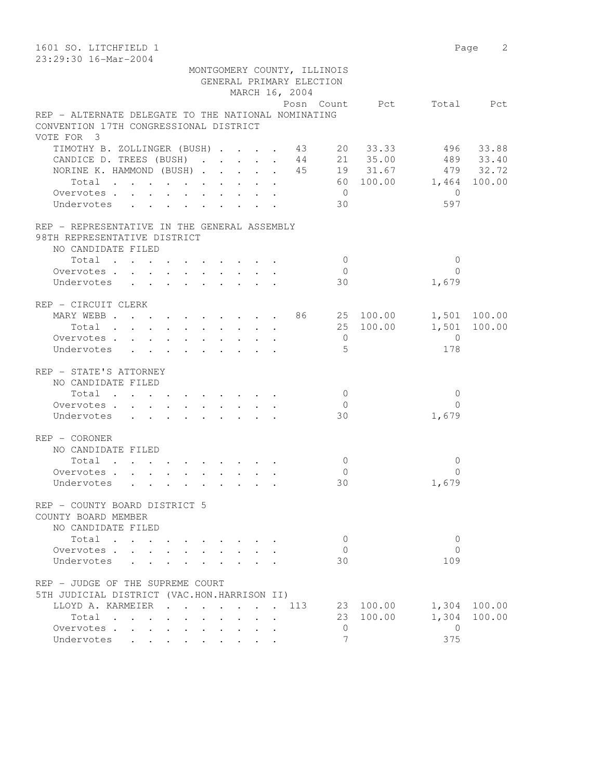| 1601 SO. LITCHFIELD 1                                               |                          | Page 2          |
|---------------------------------------------------------------------|--------------------------|-----------------|
| 23:29:30 16-Mar-2004                                                |                          |                 |
| MONTGOMERY COUNTY, ILLINOIS                                         |                          |                 |
| GENERAL PRIMARY ELECTION                                            |                          |                 |
| MARCH 16, 2004                                                      |                          |                 |
|                                                                     | Posn Count Pct Total Pct |                 |
| REP - ALTERNATE DELEGATE TO THE NATIONAL NOMINATING                 |                          |                 |
| CONVENTION 17TH CONGRESSIONAL DISTRICT                              |                          |                 |
| VOTE FOR 3                                                          |                          |                 |
| TIMOTHY B. ZOLLINGER (BUSH) 43 20 33.33                             |                          | 496 33.88       |
| CANDICE D. TREES (BUSH) $\cdot \cdot \cdot \cdot \cdot 44$ 21 35.00 |                          | 489 33.40       |
| NORINE K. HAMMOND (BUSH) 45 19 31.67 479 32.72                      |                          |                 |
| Total 60 100.00 1,464 100.00                                        |                          |                 |
| Overvotes                                                           | $\overline{0}$           | $\overline{0}$  |
| Undervotes                                                          | 30                       | 597             |
| REP - REPRESENTATIVE IN THE GENERAL ASSEMBLY                        |                          |                 |
| 98TH REPRESENTATIVE DISTRICT                                        |                          |                 |
| NO CANDIDATE FILED                                                  |                          |                 |
| Total                                                               | $\bigcirc$               | $\mathbf{0}$    |
| Overvotes                                                           | $\bigcirc$               | $\Omega$        |
| Undervotes                                                          | 30                       | 1,679           |
| REP - CIRCUIT CLERK                                                 |                          |                 |
| MARY WEBB 86 25 100.00 1,501 100.00                                 |                          |                 |
| Total                                                               | 25 100.00                | 1,501 100.00    |
| Overvotes                                                           | $\overline{0}$           | $\overline{0}$  |
| Undervotes                                                          | 5                        | 178             |
| REP - STATE'S ATTORNEY                                              |                          |                 |
| NO CANDIDATE FILED                                                  |                          |                 |
| Total                                                               | $\overline{0}$           | $\mathbf 0$     |
| Overvotes                                                           | $\overline{0}$           | $\Omega$        |
| Undervotes                                                          | 30                       | 1,679           |
| REP - CORONER                                                       |                          |                 |
| NO CANDIDATE FILED                                                  |                          |                 |
| Total                                                               | $\mathbf{0}$             | $\mathbf 0$     |
| Overvotes.                                                          | $\mathbf{0}$             | $\Omega$        |
| Undervotes                                                          | 30                       | 1,679           |
|                                                                     |                          |                 |
| REP - COUNTY BOARD DISTRICT 5                                       |                          |                 |
| COUNTY BOARD MEMBER                                                 |                          |                 |
| NO CANDIDATE FILED                                                  |                          |                 |
| Total                                                               | $\mathbf{0}$             | $\mathbf{0}$    |
| Overvotes                                                           | $\mathbf{0}$             | $\Omega$        |
| Undervotes<br>$\mathbf{L} = \mathbf{L}$                             | 30                       | 109             |
| REP - JUDGE OF THE SUPREME COURT                                    |                          |                 |
| 5TH JUDICIAL DISTRICT (VAC.HON.HARRISON II)                         |                          |                 |
| LLOYD A. KARMEIER<br>. . 113                                        | 23 100.00                | 1,304 100.00    |
| Total                                                               | 23 100.00                | 1,304<br>100.00 |
| Overvotes                                                           | $\circ$                  | $\overline{0}$  |
| Undervotes                                                          | $\overline{7}$           | 375             |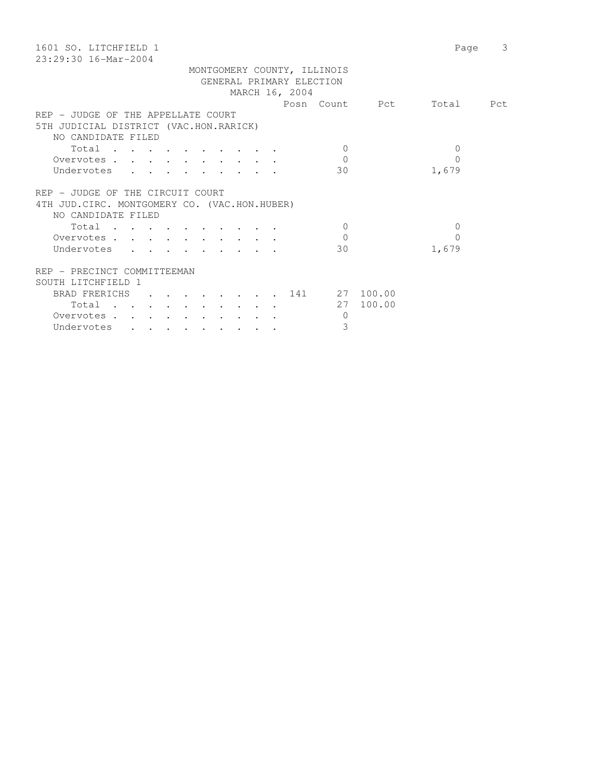| 1601 SO. LITCHFIELD 1                         | Page      | 3 |
|-----------------------------------------------|-----------|---|
| $23:29:30$ 16-Mar-2004                        |           |   |
| MONTGOMERY COUNTY, ILLINOIS                   |           |   |
| GENERAL PRIMARY ELECTION                      |           |   |
| MARCH 16, 2004                                |           |   |
| Posn Count Pct                                | Total Pct |   |
| REP - JUDGE OF THE APPELLATE COURT            |           |   |
| 5TH JUDICIAL DISTRICT (VAC.HON.RARICK)        |           |   |
| NO CANDIDATE FILED                            |           |   |
| Total<br>$\Omega$                             | $\Omega$  |   |
| $\mathbf{0}$<br>Overvotes                     | $\Omega$  |   |
| Undervotes<br>30                              | 1,679     |   |
|                                               |           |   |
|                                               |           |   |
| REP - JUDGE OF THE CIRCUIT COURT              |           |   |
| 4TH JUD. CIRC. MONTGOMERY CO. (VAC.HON.HUBER) |           |   |
| NO CANDIDATE FILED                            |           |   |
| $\Omega$<br>Total                             | $\Omega$  |   |
| $\Omega$<br>Overvotes                         | $\Omega$  |   |
| Undervotes<br>30                              | 1,679     |   |
|                                               |           |   |
| REP - PRECINCT COMMITTEEMAN                   |           |   |
| SOUTH LITCHFIELD 1                            |           |   |
| $\cdot$ 141 27 100.00<br><b>BRAD FRERICHS</b> |           |   |
| 27 100.00<br>Total                            |           |   |
| Overvotes<br>$\mathbf{0}$                     |           |   |
| 3<br>Undervotes                               |           |   |
|                                               |           |   |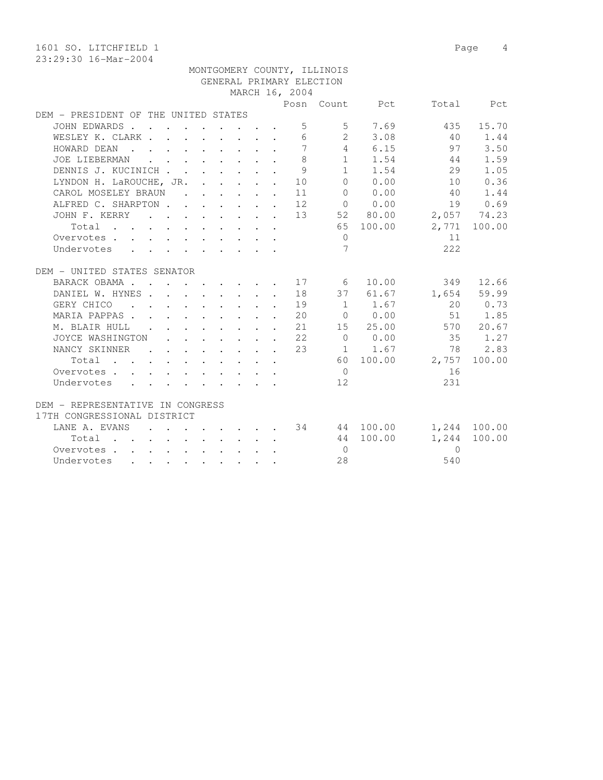1601 SO. LITCHFIELD 1 Page 4 23:29:30 16-Mar-2004 MONTGOMERY COUNTY, ILLINOIS GENERAL PRIMARY ELECTION MARCH 16, 2004 Posn Count Pct Total Pct DEM - PRESIDENT OF THE UNITED STATES JOHN EDWARDS . . . . . . . . . 5 5 7.69 435 15.70 WESLEY K. CLARK . . . . . . . . 6 2 3.08 40 1.44 HOWARD DEAN . . . . . . . . . 7 4 6.15 97 3.50 JOE LIEBERMAN . . . . . . . . 8 1 1.54 44 1.59 DENNIS J. KUCINICH . . . . . . 9 1 1.54 29 1.05 LYNDON H. LaROUCHE, JR. . . . . . 10 0 0.00 10 0.36 CAROL MOSELEY BRAUN . . . . . . 11 0 0.00 40 1.44 ALFRED C. SHARPTON . . . . . . 12 0 0.00 19 0.69 JOHN F. KERRY . . . . . . . . 13 52 80.00 2,057 74.23 Total . . . . . . . . . . 65 100.00 2,771 100.00 Overvotes . . . . . . . . . . . 0 11 Undervotes . . . . . . . . . 7 222 DEM - UNITED STATES SENATOR BARACK OBAMA . . . . . . . . . 17 6 10.00 349 12.66 DANIEL W. HYNES . . . . . . . . 18 37 61.67 1,654 59.99 GERY CHICO . . . . . . . . . 19 1 1.67 20 0.73 MARIA PAPPAS . . . . . . . . . 20 0 0.00 51 1.85 M. BLAIR HULL . . . . . . . . 21 15 25.00 570 20.67 JOYCE WASHINGTON . . . . . . . 22 0 0.00 35 1.27 NANCY SKINNER . . . . . . 23 1 1.67 78 2.83 Total . . . . . . . . . . 60 100.00 2,757 100.00 Overvotes . . . . . . . . . . . 0 16 Undervotes . . . . . . . . . 12 231 DEM - REPRESENTATIVE IN CONGRESS 17TH CONGRESSIONAL DISTRICT LANE A. EVANS . . . . . . . 34 44 100.00 1,244 100.00 Total . . . . . . . . . . 44 100.00 1,244 100.00 Overvotes . . . . . . . . . . 0 0

Undervotes . . . . . . . . . 28 540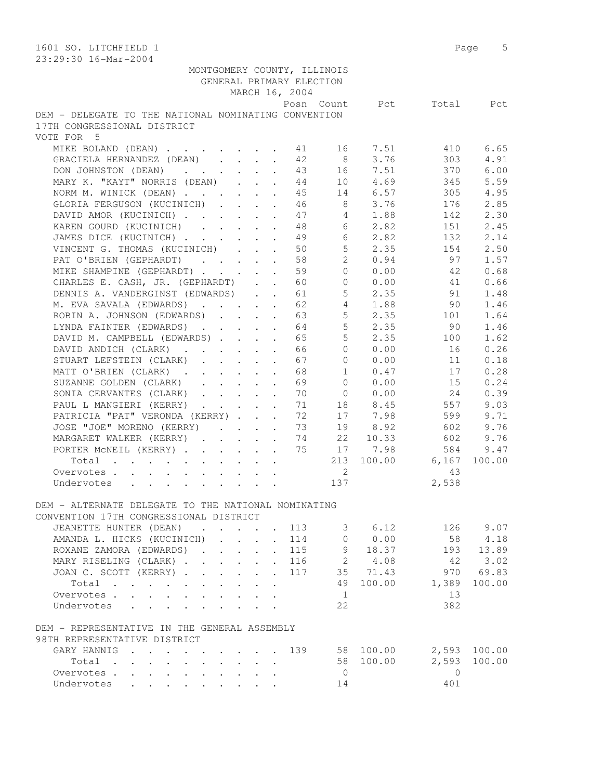| 1601 SO. LITCHFIELD 1                                |                      |                                                        |            | Page 5               |
|------------------------------------------------------|----------------------|--------------------------------------------------------|------------|----------------------|
| 23:29:30 16-Mar-2004                                 |                      |                                                        |            |                      |
| MONTGOMERY COUNTY, ILLINOIS                          |                      |                                                        |            |                      |
| GENERAL PRIMARY ELECTION                             |                      |                                                        |            |                      |
| MARCH 16, 2004                                       |                      |                                                        |            |                      |
|                                                      | Posn Count           | Pct                                                    | Total      | Pct                  |
| DEM - DELEGATE TO THE NATIONAL NOMINATING CONVENTION |                      |                                                        |            |                      |
| 17TH CONGRESSIONAL DISTRICT                          |                      |                                                        |            |                      |
| VOTE FOR 5                                           |                      |                                                        |            |                      |
| MIKE BOLAND (DEAN)                                   | 41                   | 16 —<br>7.51                                           | 410        | 6.65                 |
| GRACIELA HERNANDEZ (DEAN)                            | 42<br>8 <sup>8</sup> | 3.76                                                   | 303        | 4.91                 |
| DON JOHNSTON (DEAN)                                  | 43                   | 16 7.51                                                | 370        | 6.00                 |
| MARY K. "KAYT" NORRIS (DEAN)                         | 44                   | 10 4.69                                                | 345        | 5.59                 |
| NORM M. WINICK (DEAN)                                | 45                   | 14 6.57                                                | 305        | 4.95                 |
| GLORIA FERGUSON (KUCINICH)                           | 46                   | 8 3.76                                                 | 176        | 2.85                 |
| DAVID AMOR (KUCINICH)                                | 47                   | 4 1.88                                                 | 142        | 2.30                 |
| KAREN GOURD (KUCINICH)                               | 48                   | 6<br>2.82                                              | 151        | 2.45                 |
| JAMES DICE (KUCINICH)                                | 49                   | 6<br>2.82                                              | 132        | 2.14                 |
| VINCENT G. THOMAS (KUCINICH)                         | 50                   | 5 <sup>1</sup><br>2.35                                 | 154        | 2.50                 |
| PAT O'BRIEN (GEPHARDT)                               | 58                   | $\overline{2}$<br>0.94                                 | 97         | 1.57                 |
| MIKE SHAMPINE (GEPHARDT)                             | 59                   | $\Omega$<br>0.00                                       | 42         | 0.68                 |
| CHARLES E. CASH, JR. (GEPHARDT)                      | 60                   | 0 0.00                                                 | 41         | 0.66                 |
| DENNIS A. VANDERGINST (EDWARDS)                      | 61                   | $5 \t 2.35$                                            | 91         | 1.48                 |
| M. EVA SAVALA (EDWARDS)                              | 62                   | 4 1.88                                                 | 90         | 1.46                 |
| ROBIN A. JOHNSON (EDWARDS)                           | 63                   | 5 <sup>5</sup><br>2.35                                 | 101        | 1.64                 |
| LYNDA FAINTER (EDWARDS)                              | 64                   | 5 <sup>5</sup><br>2.35                                 | 90         | 1.46                 |
| DAVID M. CAMPBELL (EDWARDS)                          | 65                   | 5<br>2.35                                              | 100        | 1.62                 |
| DAVID ANDICH (CLARK)                                 | 66                   | $\overline{0}$<br>0.00                                 | 16         | 0.26                 |
| STUART LEFSTEIN (CLARK)                              | 67                   | $\Omega$<br>0.00                                       | 11         | 0.18                 |
| MATT O'BRIEN (CLARK)                                 | 68                   | $\mathbf{1}$<br>0.47                                   | 17         | 0.28                 |
| SUZANNE GOLDEN (CLARK)                               | 69                   | 0.00<br>$\overline{0}$                                 | 15         | 0.24                 |
| SONIA CERVANTES (CLARK)                              | 70                   | $0 \t 0.00$                                            | 24         | 0.39                 |
| PAUL L MANGIERI (KERRY)                              | 71                   | 18 8.45                                                | 557        | 9.03                 |
| PATRICIA "PAT" VERONDA (KERRY)                       | 72                   | 17 7.98                                                | 599        | 9.71                 |
| JOSE "JOE" MORENO (KERRY)                            | 73                   | 19<br>8.92                                             | 602        | 9.76                 |
| MARGARET WALKER (KERRY)                              | 74                   | 22<br>10.33                                            | 602        | 9.76                 |
| PORTER MCNEIL (KERRY)                                | 75                   | 17 7.98                                                | 584        | 9.47                 |
| Total                                                | 213                  | 100.00                                                 | 6,167      | 100.00               |
| Overvotes                                            |                      | 2                                                      | 43         |                      |
| Undervotes                                           | 137                  |                                                        | 2,538      |                      |
|                                                      |                      |                                                        |            |                      |
| DEM - ALTERNATE DELEGATE TO THE NATIONAL NOMINATING  |                      |                                                        |            |                      |
| CONVENTION 17TH CONGRESSIONAL DISTRICT               |                      |                                                        |            |                      |
| JEANETTE HUNTER (DEAN) 113                           |                      |                                                        | 126 9.07   |                      |
| AMANDA L. HICKS (KUCINICH) 114                       |                      | $\begin{array}{cccc} 3 & 6.12 \\ 0 & 0.00 \end{array}$ |            |                      |
| ROXANE ZAMORA (EDWARDS) 115                          |                      | 9 18.37                                                |            | 58 4.18<br>193 13.89 |
| MARY RISELING (CLARK) 116 2 4.08                     |                      |                                                        | 42         | 3.02                 |
| JOAN C. SCOTT (KERRY) 117 35 71.43                   |                      |                                                        |            | 970 69.83            |
| Total                                                |                      | 49 100.00 1,389                                        |            | 100.00               |
| Overvotes.                                           | $\overline{1}$       |                                                        | 13         |                      |
| Undervotes                                           | 22                   |                                                        | 382        |                      |
|                                                      |                      |                                                        |            |                      |
| DEM - REPRESENTATIVE IN THE GENERAL ASSEMBLY         |                      |                                                        |            |                      |
| 98TH REPRESENTATIVE DISTRICT                         |                      |                                                        |            |                      |
| GARY HANNIG 139 58 100.00 2,593 100.00               |                      |                                                        |            |                      |
| Total                                                |                      | 58 100.00 2,593                                        |            | 100.00               |
| Overvotes.                                           | $\overline{0}$       |                                                        | $\bigcirc$ |                      |
| Undervotes                                           |                      | 14                                                     | 401        |                      |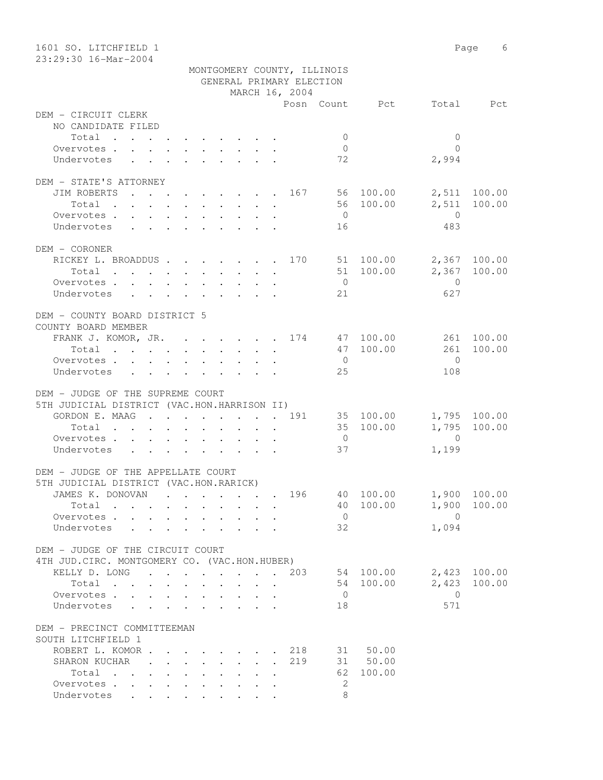| 1601 SO. LITCHFIELD 1<br>23:29:30 16-Mar-2004                                     |                |                             |                    | Page 6       |
|-----------------------------------------------------------------------------------|----------------|-----------------------------|--------------------|--------------|
|                                                                                   |                | MONTGOMERY COUNTY, ILLINOIS |                    |              |
|                                                                                   |                | GENERAL PRIMARY ELECTION    |                    |              |
|                                                                                   | MARCH 16, 2004 |                             |                    |              |
|                                                                                   |                |                             | Posn Count Pct     | Total Pct    |
| DEM - CIRCUIT CLERK                                                               |                |                             |                    |              |
| NO CANDIDATE FILED                                                                |                |                             |                    |              |
| Total                                                                             |                | $\circ$                     | $\mathbf{0}$       |              |
| Overvotes.                                                                        |                | $\overline{0}$              | $\bigcap$          |              |
| Undervotes                                                                        |                | 72                          | 2,994              |              |
| DEM - STATE'S ATTORNEY                                                            |                |                             |                    |              |
| JIM ROBERTS 167 56 100.00                                                         |                |                             |                    | 2,511 100.00 |
| Total                                                                             |                |                             | 56 100.00<br>2,511 | 100.00       |
| Overvotes                                                                         |                | $\overline{0}$              | $\overline{0}$     |              |
| Undervotes                                                                        |                | 16                          | 483                |              |
|                                                                                   |                |                             |                    |              |
| DEM - CORONER                                                                     |                |                             |                    |              |
| RICKEY L. BROADDUS 170 51 100.00                                                  |                |                             |                    | 2,367 100.00 |
| Total                                                                             |                |                             | 51 100.00          | 2,367 100.00 |
| Overvotes.                                                                        |                | $\overline{0}$              | $\overline{0}$     |              |
| Undervotes                                                                        |                | 21                          | 627                |              |
| DEM - COUNTY BOARD DISTRICT 5                                                     |                |                             |                    |              |
| COUNTY BOARD MEMBER                                                               |                |                             |                    |              |
| FRANK J. KOMOR, JR. 174 47 100.00                                                 |                |                             |                    | 261 100.00   |
| Total                                                                             |                |                             | 47 100.00<br>261   | 100.00       |
| Overvotes.                                                                        |                | $\overline{0}$              | $\bigcirc$         |              |
| Undervotes                                                                        |                | 25                          | 108                |              |
|                                                                                   |                |                             |                    |              |
| DEM - JUDGE OF THE SUPREME COURT                                                  |                |                             |                    |              |
| 5TH JUDICIAL DISTRICT (VAC.HON.HARRISON II)                                       |                |                             |                    |              |
| GORDON E. MAAG 191 35 100.00                                                      |                |                             | 35 100.00          | 1,795 100.00 |
| Total<br>Overvotes.                                                               |                | $\overline{0}$              | $\overline{0}$     | 1,795 100.00 |
| Undervotes                                                                        |                | 37                          | 1,199              |              |
|                                                                                   |                |                             |                    |              |
| DEM - JUDGE OF THE APPELLATE COURT                                                |                |                             |                    |              |
| 5TH JUDICIAL DISTRICT (VAC.HON.RARICK)                                            |                |                             |                    |              |
| JAMES K. DONOVAN                                                                  |                | 196                         | 40 100.00          | 1,900 100.00 |
| Total                                                                             |                |                             | 40 100.00<br>1,900 | 100.00       |
| Overvotes                                                                         |                | $\overline{0}$              | $\overline{0}$     |              |
| Undervotes<br>$\sim$ $\sim$                                                       |                | 32                          | 1,094              |              |
|                                                                                   |                |                             |                    |              |
| DEM - JUDGE OF THE CIRCUIT COURT<br>4TH JUD. CIRC. MONTGOMERY CO. (VAC.HON.HUBER) |                |                             |                    |              |
| KELLY D. LONG 203                                                                 |                |                             | 54 100.00          | 2,423 100.00 |
| Total                                                                             |                |                             | 2,423<br>54 100.00 | 100.00       |
| Overvotes                                                                         |                | $\overline{0}$              | 0                  |              |
| Undervotes                                                                        |                | 18                          | 571                |              |
|                                                                                   |                |                             |                    |              |
| DEM - PRECINCT COMMITTEEMAN                                                       |                |                             |                    |              |
| SOUTH LITCHFIELD 1                                                                |                |                             |                    |              |
| ROBERT L. KOMOR                                                                   |                | 218                         | 31 50.00           |              |
| SHARON KUCHAR                                                                     |                | 219                         | 31 50.00           |              |
| Total                                                                             |                | 62                          | 100.00             |              |
| Overvotes                                                                         |                | 2                           |                    |              |
| Undervotes                                                                        |                | 8                           |                    |              |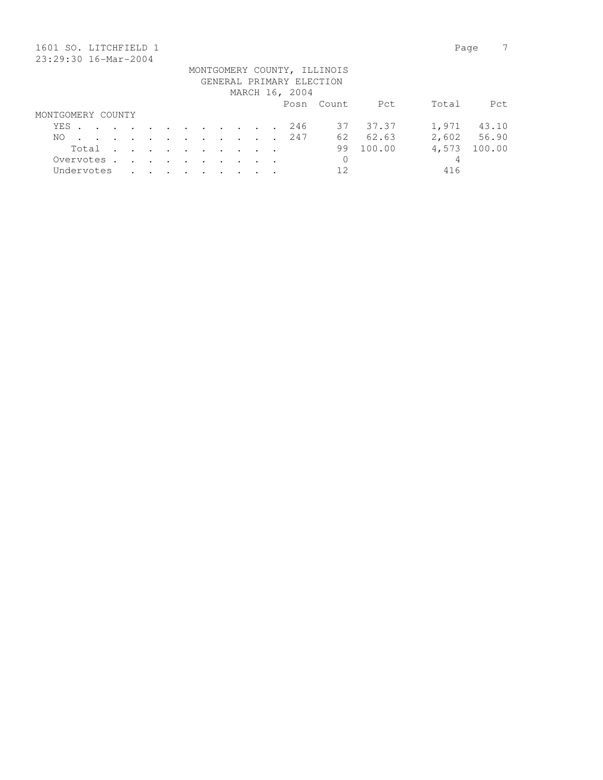| 1601 SO. LITCHFIELD 1 |                                                                                          |         |               |               |         |                |  |                          |                             |        | Page  |        |
|-----------------------|------------------------------------------------------------------------------------------|---------|---------------|---------------|---------|----------------|--|--------------------------|-----------------------------|--------|-------|--------|
| 23:29:30 16-Mar-2004  |                                                                                          |         |               |               |         |                |  |                          |                             |        |       |        |
|                       |                                                                                          |         |               |               |         |                |  |                          | MONTGOMERY COUNTY, ILLINOIS |        |       |        |
|                       |                                                                                          |         |               |               |         |                |  | GENERAL PRIMARY ELECTION |                             |        |       |        |
|                       |                                                                                          |         |               |               |         |                |  | MARCH 16, 2004           |                             |        |       |        |
|                       |                                                                                          |         |               |               |         |                |  |                          | Posn Count                  | Pct    | Total | Pct    |
| MONTGOMERY COUNTY     |                                                                                          |         |               |               |         |                |  |                          |                             |        |       |        |
| YES                   | $\mathbf{r}$ , and $\mathbf{r}$ , and $\mathbf{r}$ , and $\mathbf{r}$ , and $\mathbf{r}$ |         |               |               |         |                |  | 246                      | 37                          | 37.37  | 1,971 | 43.10  |
| NO.                   | $\cdot$                                                                                  | $\cdot$ | $\sim$        | $\sim$ $\sim$ |         | $\sim$ $\sim$  |  | 247                      | 62                          | 62.63  | 2,602 | 56.90  |
| Total                 | $\cdot$                                                                                  | $\sim$  | $\sim$ $\sim$ | $\sim$ $\sim$ | $\cdot$ | $\cdot$        |  |                          | 99                          | 100.00 | 4,573 | 100.00 |
| Overvotes.            | $\sim$                                                                                   | $\sim$  | $\sim$ $\sim$ | $\sim$ $\sim$ | $\sim$  | $\overline{a}$ |  |                          | 0                           |        | 4     |        |
| Undervotes            |                                                                                          |         |               |               |         |                |  |                          | 12                          |        | 416   |        |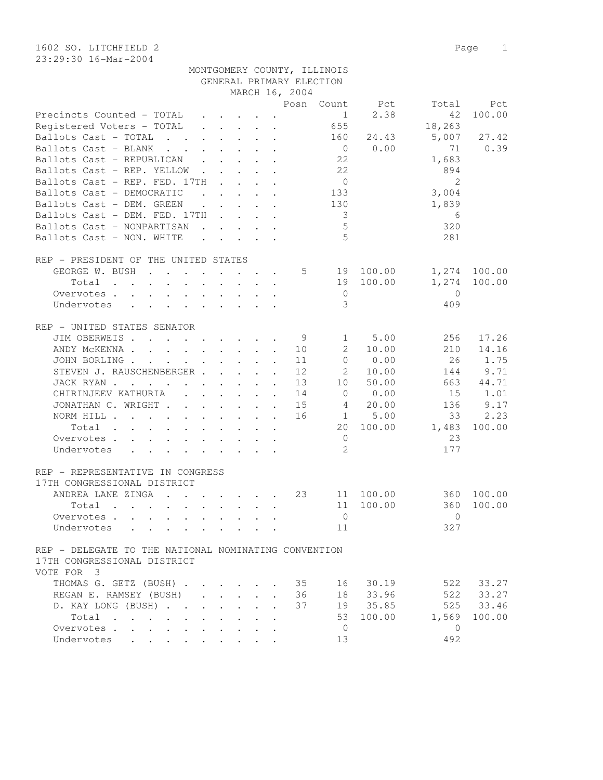1602 SO. LITCHFIELD 2 Page 1 23:29:30 16-Mar-2004

|                                                                                                                                                                                                                                                                                                                                                                                                                                                                                                                            |                            |                                                                                                                                     |                                                             | GENERAL PRIMARY ELECTION |                |                                |                |        |
|----------------------------------------------------------------------------------------------------------------------------------------------------------------------------------------------------------------------------------------------------------------------------------------------------------------------------------------------------------------------------------------------------------------------------------------------------------------------------------------------------------------------------|----------------------------|-------------------------------------------------------------------------------------------------------------------------------------|-------------------------------------------------------------|--------------------------|----------------|--------------------------------|----------------|--------|
|                                                                                                                                                                                                                                                                                                                                                                                                                                                                                                                            |                            |                                                                                                                                     |                                                             | MARCH 16, 2004           |                |                                |                |        |
|                                                                                                                                                                                                                                                                                                                                                                                                                                                                                                                            |                            |                                                                                                                                     |                                                             |                          |                | Posn Count Pct                 | Total          | Pct    |
| Precincts Counted - TOTAL                                                                                                                                                                                                                                                                                                                                                                                                                                                                                                  |                            | $\cdot$ $\cdot$ $\cdot$ $\cdot$ $\cdot$                                                                                             |                                                             |                          | $\mathbf{1}$   | 2.38                           | 42             | 100.00 |
| Registered Voters - TOTAL                                                                                                                                                                                                                                                                                                                                                                                                                                                                                                  |                            | $\begin{array}{cccccccccccccc} \bullet & \bullet & \bullet & \bullet & \bullet & \bullet & \bullet & \bullet & \bullet \end{array}$ |                                                             |                          | 655            |                                | 18,263         |        |
| Ballots Cast - TOTAL<br>$\cdot$ $\cdot$                                                                                                                                                                                                                                                                                                                                                                                                                                                                                    |                            | $\cdot$ $\cdot$ $\cdot$ $\cdot$ $\cdot$ $\cdot$                                                                                     |                                                             |                          | 160            | 24.43                          | 5,007          | 27.42  |
| Ballots Cast - BLANK<br>$\mathbf{r}$ , $\mathbf{r}$ , $\mathbf{r}$                                                                                                                                                                                                                                                                                                                                                                                                                                                         |                            | $\cdot$ $\cdot$ $\cdot$ $\cdot$ $\cdot$                                                                                             |                                                             |                          | $\overline{0}$ | 0.00                           | 71             | 0.39   |
| Ballots Cast - REPUBLICAN<br>$\mathbf{L}$                                                                                                                                                                                                                                                                                                                                                                                                                                                                                  | $\mathcal{L}^{\text{max}}$ |                                                                                                                                     |                                                             |                          | 22             |                                | 1,683          |        |
| Ballots Cast - REP. YELLOW                                                                                                                                                                                                                                                                                                                                                                                                                                                                                                 | $\mathbf{L}$               |                                                                                                                                     | $\mathbf{L}$ and $\mathbf{L}$                               |                          | 22             |                                | 894            |        |
| Ballots Cast - REP. FED. 17TH                                                                                                                                                                                                                                                                                                                                                                                                                                                                                              | $\sim$ 100 $\sim$          |                                                                                                                                     | $\mathcal{L}^{\text{max}}$ , and $\mathcal{L}^{\text{max}}$ |                          | $\overline{0}$ |                                | $\overline{2}$ |        |
| Ballots Cast - DEMOCRATIC<br>and the contract of the contract of the contract of the contract of the contract of the contract of the contract of the contract of the contract of the contract of the contract of the contract of the contract of the contra                                                                                                                                                                                                                                                                |                            |                                                                                                                                     |                                                             |                          | 133            |                                | 3,004          |        |
| Ballots Cast - DEM. GREEN                                                                                                                                                                                                                                                                                                                                                                                                                                                                                                  |                            | $\mathbf{r}$ , $\mathbf{r}$ , $\mathbf{r}$ , $\mathbf{r}$ , $\mathbf{r}$                                                            |                                                             |                          | 130            |                                | 1,839          |        |
| Ballots Cast - DEM. FED. 17TH                                                                                                                                                                                                                                                                                                                                                                                                                                                                                              |                            |                                                                                                                                     |                                                             |                          | 3              |                                | 6              |        |
| Ballots Cast - NONPARTISAN                                                                                                                                                                                                                                                                                                                                                                                                                                                                                                 |                            | $\begin{array}{cccccccccccccc} \bullet & \bullet & \bullet & \bullet & \bullet & \bullet & \bullet & \bullet & \bullet \end{array}$ |                                                             |                          | 5              |                                | 320            |        |
| Ballots Cast - NON. WHITE                                                                                                                                                                                                                                                                                                                                                                                                                                                                                                  |                            |                                                                                                                                     |                                                             |                          | 5              |                                | 281            |        |
|                                                                                                                                                                                                                                                                                                                                                                                                                                                                                                                            |                            | $\cdot$ $\cdot$ $\cdot$ $\cdot$ $\cdot$ $\cdot$                                                                                     |                                                             |                          |                |                                |                |        |
| REP - PRESIDENT OF THE UNITED STATES                                                                                                                                                                                                                                                                                                                                                                                                                                                                                       |                            |                                                                                                                                     |                                                             |                          |                |                                |                |        |
| GEORGE W. BUSH                                                                                                                                                                                                                                                                                                                                                                                                                                                                                                             |                            |                                                                                                                                     |                                                             | 5                        |                | 100.00                         | 1,274          | 100.00 |
|                                                                                                                                                                                                                                                                                                                                                                                                                                                                                                                            |                            |                                                                                                                                     |                                                             |                          | 19<br>19       | 100.00                         | 1,274          | 100.00 |
| Total<br>$\mathbf{r}$ , and $\mathbf{r}$ , and $\mathbf{r}$ , and $\mathbf{r}$ , and $\mathbf{r}$                                                                                                                                                                                                                                                                                                                                                                                                                          |                            |                                                                                                                                     |                                                             |                          |                |                                |                |        |
| Overvotes                                                                                                                                                                                                                                                                                                                                                                                                                                                                                                                  |                            |                                                                                                                                     |                                                             |                          | $\overline{0}$ |                                | $\mathbf{0}$   |        |
| Undervotes<br>$\mathbf{r}$ , $\mathbf{r}$ , $\mathbf{r}$ , $\mathbf{r}$ , $\mathbf{r}$ , $\mathbf{r}$ , $\mathbf{r}$                                                                                                                                                                                                                                                                                                                                                                                                       |                            |                                                                                                                                     |                                                             |                          | 3              |                                | 409            |        |
|                                                                                                                                                                                                                                                                                                                                                                                                                                                                                                                            |                            |                                                                                                                                     |                                                             |                          |                |                                |                |        |
| REP - UNITED STATES SENATOR                                                                                                                                                                                                                                                                                                                                                                                                                                                                                                |                            |                                                                                                                                     |                                                             |                          |                |                                |                |        |
| JIM OBERWEIS                                                                                                                                                                                                                                                                                                                                                                                                                                                                                                               |                            |                                                                                                                                     | $\ddot{\phantom{a}}$                                        | 9                        | $\mathbf{1}$   | 5.00                           | 256            | 17.26  |
| ANDY MCKENNA                                                                                                                                                                                                                                                                                                                                                                                                                                                                                                               |                            |                                                                                                                                     |                                                             | 10                       | 2              | 10.00                          | 210            | 14.16  |
| JOHN BORLING.<br>and the contract of the contract of the contract of the contract of the contract of                                                                                                                                                                                                                                                                                                                                                                                                                       |                            |                                                                                                                                     | $\ddot{\phantom{a}}$                                        | 11                       | $\circ$        | 0.00                           | 26             | 1.75   |
| STEVEN J. RAUSCHENBERGER                                                                                                                                                                                                                                                                                                                                                                                                                                                                                                   |                            |                                                                                                                                     |                                                             | 12                       | 2              | 10.00                          | 144            | 9.71   |
| JACK RYAN.<br>$\mathbf{r}$ , $\mathbf{r}$ , $\mathbf{r}$ , $\mathbf{r}$ , $\mathbf{r}$ , $\mathbf{r}$ , $\mathbf{r}$                                                                                                                                                                                                                                                                                                                                                                                                       |                            |                                                                                                                                     |                                                             | 13                       | 10             | 50.00                          | 663            | 44.71  |
| CHIRINJEEV KATHURIA (CHIRINJEEV KATHURIA)                                                                                                                                                                                                                                                                                                                                                                                                                                                                                  |                            |                                                                                                                                     |                                                             | 14                       | $\circ$        | 0.00                           | 15             | 1.01   |
| JONATHAN C. WRIGHT                                                                                                                                                                                                                                                                                                                                                                                                                                                                                                         |                            |                                                                                                                                     |                                                             | 15                       | 4              | 20.00                          | 136            | 9.17   |
| NORM HILL                                                                                                                                                                                                                                                                                                                                                                                                                                                                                                                  |                            |                                                                                                                                     |                                                             | 16                       |                | 5.00<br>$1 \quad \blacksquare$ | 33             | 2.23   |
| Total                                                                                                                                                                                                                                                                                                                                                                                                                                                                                                                      |                            |                                                                                                                                     |                                                             |                          | 20             | 100.00                         | 1,483          | 100.00 |
| Overvotes                                                                                                                                                                                                                                                                                                                                                                                                                                                                                                                  |                            |                                                                                                                                     |                                                             |                          | $\overline{0}$ |                                | 23             |        |
| Undervotes<br>$\mathbf{r} = \mathbf{r} \times \mathbf{r} \times \mathbf{r} \times \mathbf{r} \times \mathbf{r} \times \mathbf{r} \times \mathbf{r} \times \mathbf{r} \times \mathbf{r} \times \mathbf{r} \times \mathbf{r} \times \mathbf{r} \times \mathbf{r} \times \mathbf{r} \times \mathbf{r} \times \mathbf{r} \times \mathbf{r} \times \mathbf{r} \times \mathbf{r} \times \mathbf{r} \times \mathbf{r} \times \mathbf{r} \times \mathbf{r} \times \mathbf{r} \times \mathbf{r} \times \mathbf{r} \times \mathbf{r$ |                            |                                                                                                                                     |                                                             |                          | 2              |                                | 177            |        |
|                                                                                                                                                                                                                                                                                                                                                                                                                                                                                                                            |                            |                                                                                                                                     |                                                             |                          |                |                                |                |        |
| REP - REPRESENTATIVE IN CONGRESS                                                                                                                                                                                                                                                                                                                                                                                                                                                                                           |                            |                                                                                                                                     |                                                             |                          |                |                                |                |        |
| 17TH CONGRESSIONAL DISTRICT                                                                                                                                                                                                                                                                                                                                                                                                                                                                                                |                            |                                                                                                                                     |                                                             |                          |                |                                |                |        |
| ANDREA LANE ZINGA                                                                                                                                                                                                                                                                                                                                                                                                                                                                                                          |                            |                                                                                                                                     |                                                             | 23                       | 11             | 100.00                         | 360            | 100.00 |
| Total<br>$\mathbf{r}$ , and $\mathbf{r}$ , and $\mathbf{r}$ , and $\mathbf{r}$ , and $\mathbf{r}$                                                                                                                                                                                                                                                                                                                                                                                                                          |                            |                                                                                                                                     |                                                             |                          | 11             | 100.00                         | 360            | 100.00 |
| Overvotes                                                                                                                                                                                                                                                                                                                                                                                                                                                                                                                  |                            |                                                                                                                                     |                                                             |                          | $\Omega$       |                                | $\overline{0}$ |        |
| Undervotes<br>the contract of the contract of the contract of the contract of the contract of the contract of the contract of                                                                                                                                                                                                                                                                                                                                                                                              |                            |                                                                                                                                     |                                                             |                          | 11             |                                | 327            |        |
|                                                                                                                                                                                                                                                                                                                                                                                                                                                                                                                            |                            |                                                                                                                                     |                                                             |                          |                |                                |                |        |
| REP - DELEGATE TO THE NATIONAL NOMINATING CONVENTION                                                                                                                                                                                                                                                                                                                                                                                                                                                                       |                            |                                                                                                                                     |                                                             |                          |                |                                |                |        |
| 17TH CONGRESSIONAL DISTRICT                                                                                                                                                                                                                                                                                                                                                                                                                                                                                                |                            |                                                                                                                                     |                                                             |                          |                |                                |                |        |
| VOTE FOR 3                                                                                                                                                                                                                                                                                                                                                                                                                                                                                                                 |                            |                                                                                                                                     |                                                             |                          |                |                                |                |        |
| THOMAS G. GETZ (BUSH) .                                                                                                                                                                                                                                                                                                                                                                                                                                                                                                    |                            | and the state of the state                                                                                                          |                                                             | 35                       | 16             | 30.19                          | 522            | 33.27  |
| REGAN E. RAMSEY (BUSH)                                                                                                                                                                                                                                                                                                                                                                                                                                                                                                     |                            |                                                                                                                                     |                                                             | 36                       | 18             | 33.96                          | 522            | 33.27  |
| D. KAY LONG (BUSH)                                                                                                                                                                                                                                                                                                                                                                                                                                                                                                         | $\ddot{\phantom{a}}$       | $\ddot{\phantom{a}}$                                                                                                                |                                                             | 37                       | 19             | 35.85                          | 525            | 33.46  |
| Total<br>$\sim$ $\sim$<br>$\mathcal{L}(\mathbf{r})$ , and $\mathcal{L}(\mathbf{r})$ , and $\mathcal{L}(\mathbf{r})$<br>$\bullet$                                                                                                                                                                                                                                                                                                                                                                                           |                            |                                                                                                                                     |                                                             |                          | 53             | 100.00                         | 1,569          | 100.00 |
| Overvotes                                                                                                                                                                                                                                                                                                                                                                                                                                                                                                                  |                            |                                                                                                                                     |                                                             |                          | $\mathbf{0}$   |                                | $\mathbf{0}$   |        |
| Undervotes                                                                                                                                                                                                                                                                                                                                                                                                                                                                                                                 |                            |                                                                                                                                     |                                                             |                          | 13             |                                | 492            |        |
|                                                                                                                                                                                                                                                                                                                                                                                                                                                                                                                            |                            |                                                                                                                                     |                                                             |                          |                |                                |                |        |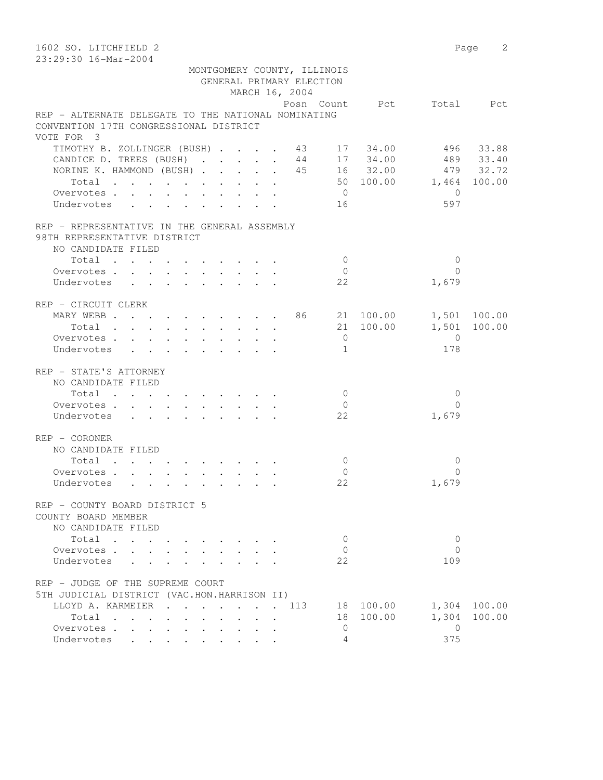| 1602 SO. LITCHFIELD 2<br>23:29:30 16-Mar-2004                                  |                          |                       | Page 2    |
|--------------------------------------------------------------------------------|--------------------------|-----------------------|-----------|
| MONTGOMERY COUNTY, ILLINOIS                                                    |                          |                       |           |
| GENERAL PRIMARY ELECTION                                                       |                          |                       |           |
| MARCH 16, 2004                                                                 |                          |                       |           |
|                                                                                | Posn Count Pct Total Pct |                       |           |
| REP - ALTERNATE DELEGATE TO THE NATIONAL NOMINATING                            |                          |                       |           |
| CONVENTION 17TH CONGRESSIONAL DISTRICT                                         |                          |                       |           |
| VOTE FOR 3                                                                     |                          |                       |           |
| TIMOTHY B. ZOLLINGER (BUSH) 43 17 34.00<br>CANDICE D. TREES (BUSH) 44 17 34.00 |                          |                       | 496 33.88 |
|                                                                                |                          |                       | 489 33.40 |
| NORINE K. HAMMOND (BUSH) 45 16 32.00 479 32.72                                 | 50 100.00 1,464 100.00   |                       |           |
| Total                                                                          |                          |                       |           |
| Overvotes                                                                      | $\overline{0}$           | $\overline{0}$<br>597 |           |
| Undervotes                                                                     | 16                       |                       |           |
| REP - REPRESENTATIVE IN THE GENERAL ASSEMBLY<br>98TH REPRESENTATIVE DISTRICT   |                          |                       |           |
| NO CANDIDATE FILED                                                             |                          |                       |           |
| Total                                                                          | $\bigcirc$               | $\mathbf{0}$          |           |
| Overvotes.                                                                     | $\bigcirc$               | $\Omega$              |           |
| Undervotes                                                                     | 22                       | 1,679                 |           |
|                                                                                |                          |                       |           |
| REP - CIRCUIT CLERK                                                            |                          |                       |           |
| MARY WEBB 86 21 100.00 1,501 100.00                                            |                          |                       |           |
| Total                                                                          | 21 100.00                | 1,501 100.00          |           |
| Overvotes                                                                      | $\overline{0}$           | $\overline{0}$        |           |
| Undervotes                                                                     | 1                        | 178                   |           |
| REP - STATE'S ATTORNEY                                                         |                          |                       |           |
| NO CANDIDATE FILED                                                             |                          |                       |           |
| Total                                                                          | $\bigcirc$               | $\mathbf 0$           |           |
| Overvotes                                                                      | $\overline{0}$           | $\Omega$              |           |
| Undervotes                                                                     | 22                       | 1,679                 |           |
| REP - CORONER                                                                  |                          |                       |           |
| NO CANDIDATE FILED                                                             |                          |                       |           |
| Total                                                                          | $\mathbf{0}$             | $\mathbf 0$           |           |
| Overvotes                                                                      | $\mathbf{0}$             | $\Omega$              |           |
| Undervotes                                                                     | 22                       | 1,679                 |           |
| REP - COUNTY BOARD DISTRICT 5                                                  |                          |                       |           |
| COUNTY BOARD MEMBER                                                            |                          |                       |           |
| NO CANDIDATE FILED                                                             |                          |                       |           |
| Total<br>$\mathbf{r}$ , $\mathbf{r}$ , $\mathbf{r}$ , $\mathbf{r}$             | $\mathbf{0}$             | $\mathbf{0}$          |           |
| Overvotes                                                                      | $\mathbf{0}$             | $\Omega$              |           |
| Undervotes                                                                     | 22                       | 109                   |           |
| REP - JUDGE OF THE SUPREME COURT                                               |                          |                       |           |
| 5TH JUDICIAL DISTRICT (VAC.HON.HARRISON II)                                    |                          |                       |           |
| LLOYD A. KARMEIER<br>. 113                                                     | 18 100.00                | 1,304 100.00          |           |
| Total                                                                          | 18 100.00                | 1,304                 | 100.00    |
| Overvotes                                                                      | 0                        | $\overline{0}$        |           |
| Undervotes                                                                     | 4                        | 375                   |           |
|                                                                                |                          |                       |           |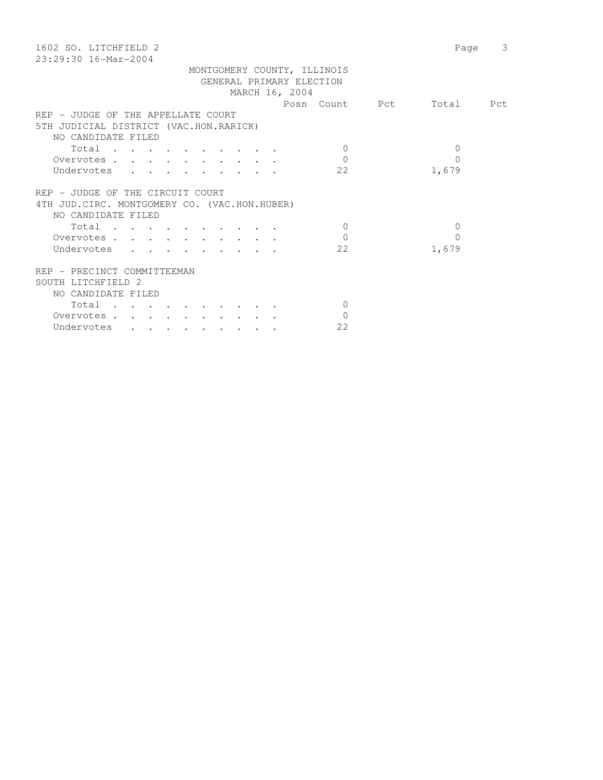| 1602 SO. LITCHFIELD 2                         | 3<br>Page |
|-----------------------------------------------|-----------|
| $23:29:30$ 16-Mar-2004                        |           |
| MONTGOMERY COUNTY, ILLINOIS                   |           |
| GENERAL PRIMARY ELECTION                      |           |
| MARCH 16, 2004                                |           |
| Posn Count Pct                                | Total Pct |
| REP - JUDGE OF THE APPELLATE COURT            |           |
| 5TH JUDICIAL DISTRICT (VAC.HON.RARICK)        |           |
| NO CANDIDATE FILED                            |           |
| Total<br>$\Omega$                             | $\Omega$  |
| $\Omega$<br>Overvotes                         | $\Omega$  |
| 22<br>Undervotes                              | 1,679     |
|                                               |           |
| REP - JUDGE OF THE CIRCUIT COURT              |           |
| 4TH JUD. CIRC. MONTGOMERY CO. (VAC.HON.HUBER) |           |
| NO CANDIDATE FILED                            |           |
| Total<br>$\Omega$                             | $\Omega$  |
| $\Omega$<br>Overvotes                         | $\Omega$  |
| 22<br>Undervotes                              | 1,679     |
|                                               |           |
| REP - PRECINCT COMMITTEEMAN                   |           |
| SOUTH LITCHFIELD 2                            |           |
| NO CANDIDATE FILED                            |           |
| Total<br>$\Omega$                             |           |
| $\Omega$<br>Overvotes.                        |           |
| 22<br>Undervotes                              |           |
|                                               |           |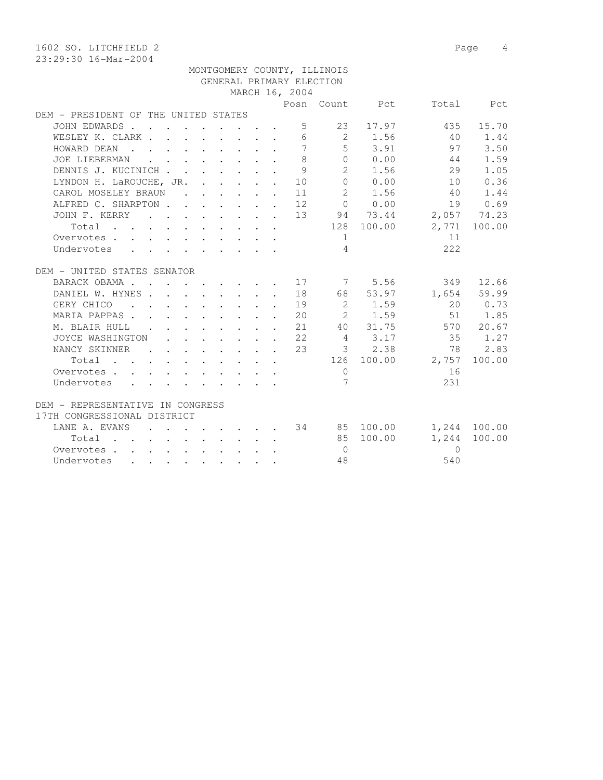1602 SO. LITCHFIELD 2 Page 4 23:29:30 16-Mar-2004 MONTGOMERY COUNTY, ILLINOIS GENERAL PRIMARY ELECTION MARCH 16, 2004 Posn Count Pct Total Pct DEM - PRESIDENT OF THE UNITED STATES JOHN EDWARDS . . . . . . . . . 5 23 17.97 435 15.70 WESLEY K. CLARK . . . . . . . . 6 2 1.56 40 1.44 HOWARD DEAN . . . . . . . . . 7 5 3.91 97 3.50 JOE LIEBERMAN . . . . . . . . 8 0 0.00 44 1.59 DENNIS J. KUCINICH . . . . . . . 9 2 1.56 29 1.05 LYNDON H. LaROUCHE, JR. . . . . . 10 0 0.00 10 0.36 CAROL MOSELEY BRAUN . . . . . . 11 2 1.56 40 1.44 ALFRED C. SHARPTON . . . . . . 12 0 0.00 19 0.69 JOHN F. KERRY . . . . . . . . 13 94 73.44 2,057 74.23 Total . . . . . . . . . . 128 100.00 2,771 100.00 Overvotes . . . . . . . . . . . . 1 11 Undervotes . . . . . . . . . 4 222 DEM - UNITED STATES SENATOR BARACK OBAMA . . . . . . . . 17 7 5.56 349 12.66 DANIEL W. HYNES . . . . . . . . 18 68 53.97 1,654 59.99 GERY CHICO . . . . . . . . . 19 2 1.59 20 0.73 MARIA PAPPAS . . . . . . . . . 20 2 1.59 51 1.85 M. BLAIR HULL . . . . . . . . 21 40 31.75 570 20.67 JOYCE WASHINGTON . . . . . . . 22 4 3.17 35 1.27 NANCY SKINNER . . . . . . 23 3 2.38 78 2.83 Total . . . . . . . . . . 126 100.00 2,757 100.00 Overvotes . . . . . . . . . . . 0 16 Undervotes . . . . . . . . . . 7 231 DEM - REPRESENTATIVE IN CONGRESS 17TH CONGRESSIONAL DISTRICT LANE A. EVANS . . . . . . . 34 85 100.00 1,244 100.00 Total . . . . . . . . . . 85 100.00 1,244 100.00 Overvotes . . . . . . . . . . 0 0 Undervotes . . . . . . . . . 48 540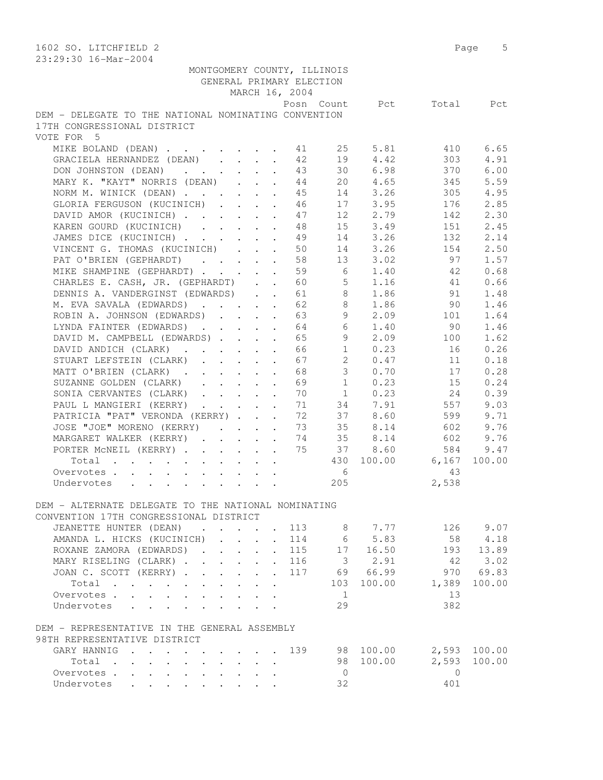| 1602 SO. LITCHFIELD 2                                                      |  |  |                |                             |            |                  | 5<br>Page |
|----------------------------------------------------------------------------|--|--|----------------|-----------------------------|------------|------------------|-----------|
| 23:29:30 16-Mar-2004                                                       |  |  |                |                             |            |                  |           |
|                                                                            |  |  |                | MONTGOMERY COUNTY, ILLINOIS |            |                  |           |
|                                                                            |  |  |                | GENERAL PRIMARY ELECTION    |            |                  |           |
|                                                                            |  |  | MARCH 16, 2004 |                             |            |                  |           |
|                                                                            |  |  |                | Posn Count                  | Pct        | Total            | Pct       |
| DEM - DELEGATE TO THE NATIONAL NOMINATING CONVENTION                       |  |  |                |                             |            |                  |           |
| 17TH CONGRESSIONAL DISTRICT                                                |  |  |                |                             |            |                  |           |
| VOTE FOR 5                                                                 |  |  |                |                             |            |                  |           |
| MIKE BOLAND (DEAN)                                                         |  |  | 41             | 25                          | 5.81       | 410              | 6.65      |
| GRACIELA HERNANDEZ (DEAN)                                                  |  |  | 42             | 19                          | 4.42       | 303              | 4.91      |
| DON JOHNSTON (DEAN)                                                        |  |  | 43             |                             | 30 6.98    | 370              | 6.00      |
| MARY K. "KAYT" NORRIS (DEAN)                                               |  |  | 44             |                             | 20 4.65    | 345              | 5.59      |
| NORM M. WINICK (DEAN)                                                      |  |  | 45             |                             | 14 3.26    | 305              | 4.95      |
| GLORIA FERGUSON (KUCINICH)                                                 |  |  | 46             |                             | 17 3.95    | 176              | 2.85      |
| DAVID AMOR (KUCINICH)                                                      |  |  | 47             | 12 <sup>°</sup>             | 2.79       | 142              | 2.30      |
| KAREN GOURD (KUCINICH)                                                     |  |  | 48             | 15                          | 3.49       | 151              | 2.45      |
| JAMES DICE (KUCINICH)                                                      |  |  | 49             | 14                          | 3.26       | 132              | 2.14      |
| VINCENT G. THOMAS (KUCINICH)                                               |  |  | 50             | 14                          | 3.26       | 154              | 2.50      |
| PAT O'BRIEN (GEPHARDT)                                                     |  |  | 58             | 13                          | 3.02       | 97               | 1.57      |
|                                                                            |  |  | 59             | $6\overline{6}$             | 1.40       | -42              | 0.68      |
| MIKE SHAMPINE (GEPHARDT)                                                   |  |  | 60             |                             | $5 \t1.16$ | 41               | 0.66      |
| CHARLES E. CASH, JR. (GEPHARDT)<br>DENNIS A. VANDERGINST (EDWARDS)         |  |  |                |                             |            | 91               |           |
|                                                                            |  |  | 61             |                             | 8<br>1.86  |                  | 1.48      |
| M. EVA SAVALA (EDWARDS)                                                    |  |  | 62             | 8                           | 1.86       | 90               | 1.46      |
| ROBIN A. JOHNSON (EDWARDS)                                                 |  |  | 63             | 9                           | 2.09       | 101              | 1.64      |
| LYNDA FAINTER (EDWARDS)                                                    |  |  | 64             | 6                           | 1.40       | 90               | 1.46      |
| DAVID M. CAMPBELL (EDWARDS)                                                |  |  | 65             | 9                           | 2.09       | 100              | 1.62      |
| DAVID ANDICH (CLARK)                                                       |  |  | 66             | 1                           | 0.23       | 16               | 0.26      |
| STUART LEFSTEIN (CLARK)                                                    |  |  | 67             | $\overline{2}$              | 0.47       | 11               | 0.18      |
| MATT O'BRIEN (CLARK)                                                       |  |  | 68             | 3 <sup>7</sup>              | 0.70       | 17               | 0.28      |
| SUZANNE GOLDEN (CLARK)                                                     |  |  | 69             | 1                           | 0.23       | 15               | 0.24      |
| SONIA CERVANTES (CLARK)                                                    |  |  | 70             | 1                           | 0.23       | 24               | 0.39      |
| PAUL L MANGIERI (KERRY)                                                    |  |  | 71             |                             | 34 7.91    | 557              | 9.03      |
| PATRICIA "PAT" VERONDA (KERRY)                                             |  |  | 72             |                             | 37 8.60    | 599              | 9.71      |
| JOSE "JOE" MORENO (KERRY)                                                  |  |  | 73             | 35                          | 8.14       | 602              | 9.76      |
| MARGARET WALKER (KERRY)                                                    |  |  | 74             | 35                          | 8.14       | 602              | 9.76      |
| PORTER MCNEIL (KERRY)                                                      |  |  | 75             | 37                          | 8.60       | 584              | 9.47      |
| Total                                                                      |  |  |                | 430                         | 100.00     | 6,167            | 100.00    |
| Overvotes                                                                  |  |  |                | 6                           |            | 43               |           |
| Undervotes                                                                 |  |  |                | 205                         |            | 2,538            |           |
|                                                                            |  |  |                |                             |            |                  |           |
| DEM - ALTERNATE DELEGATE TO THE NATIONAL NOMINATING                        |  |  |                |                             |            |                  |           |
| CONVENTION 17TH CONGRESSIONAL DISTRICT                                     |  |  |                |                             |            |                  |           |
| JEANETTE HUNTER (DEAN) 113 8 7.77<br>AMANDA L. HICKS (KUCINICH) 114 6 5.83 |  |  |                |                             |            | 126 9.07         |           |
| AMANDA L. HICKS (KUCINICH)                                                 |  |  |                |                             |            | 58               | 4.18      |
| ROXANE ZAMORA (EDWARDS) 115 17 16.50                                       |  |  |                |                             |            |                  | 193 13.89 |
| MARY RISELING (CLARK) 116 3 2.91                                           |  |  |                |                             |            | 42               | 3.02      |
| JOAN C. SCOTT (KERRY) 117 69 66.99                                         |  |  |                |                             |            |                  | 970 69.83 |
| Total                                                                      |  |  |                |                             |            | 103 100.00 1,389 | 100.00    |
| Overvotes.                                                                 |  |  |                | $\frac{1}{2}$               |            | 13               |           |
| Undervotes                                                                 |  |  |                | 29                          |            | 382              |           |
| DEM - REPRESENTATIVE IN THE GENERAL ASSEMBLY                               |  |  |                |                             |            |                  |           |
| 98TH REPRESENTATIVE DISTRICT                                               |  |  |                |                             |            |                  |           |
| GARY HANNIG 139 98 100.00 2,593 100.00                                     |  |  |                |                             |            |                  |           |
| Total                                                                      |  |  |                |                             | 98 100.00  | 2,593            | 100.00    |
| Overvotes.                                                                 |  |  |                | $\overline{0}$              |            | $\bigcirc$       |           |
| Undervotes                                                                 |  |  |                | 32                          |            | 401              |           |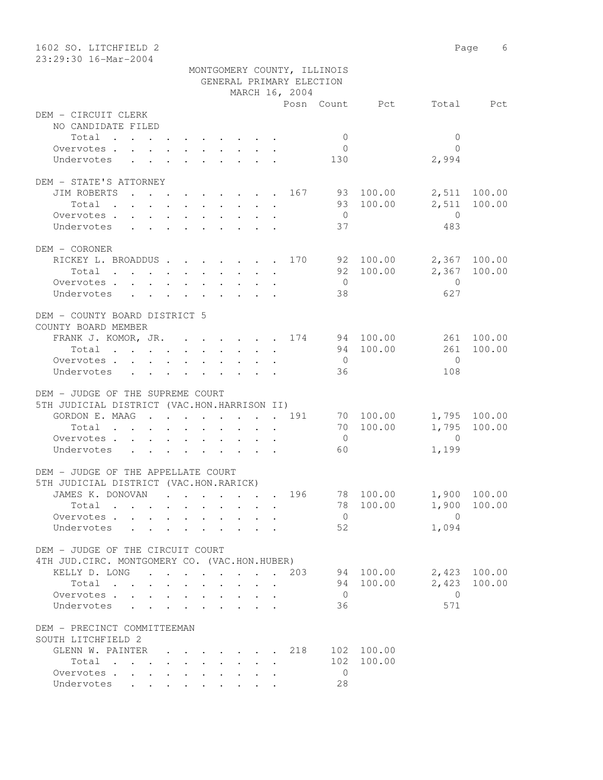| 1602 SO. LITCHFIELD 2                         |                             |                      |                       | Page 6       |  |  |  |  |  |  |  |  |
|-----------------------------------------------|-----------------------------|----------------------|-----------------------|--------------|--|--|--|--|--|--|--|--|
| 23:29:30 16-Mar-2004                          |                             |                      |                       |              |  |  |  |  |  |  |  |  |
|                                               | MONTGOMERY COUNTY, ILLINOIS |                      |                       |              |  |  |  |  |  |  |  |  |
| GENERAL PRIMARY ELECTION<br>MARCH 16, 2004    |                             |                      |                       |              |  |  |  |  |  |  |  |  |
|                                               |                             |                      |                       |              |  |  |  |  |  |  |  |  |
|                                               |                             |                      | Posn Count Pct        | Total Pct    |  |  |  |  |  |  |  |  |
| DEM - CIRCUIT CLERK                           |                             |                      |                       |              |  |  |  |  |  |  |  |  |
| NO CANDIDATE FILED                            |                             |                      |                       |              |  |  |  |  |  |  |  |  |
| Total                                         |                             | $\overline{0}$       | $\mathbf{0}$          |              |  |  |  |  |  |  |  |  |
| Overvotes.<br>Undervotes                      |                             | $\overline{0}$       | $\bigcap$             |              |  |  |  |  |  |  |  |  |
|                                               |                             | 130                  | 2,994                 |              |  |  |  |  |  |  |  |  |
| DEM - STATE'S ATTORNEY                        |                             |                      |                       |              |  |  |  |  |  |  |  |  |
| JIM ROBERTS                                   | $\cdots$ 167 93 100.00      |                      |                       | 2,511 100.00 |  |  |  |  |  |  |  |  |
| Total                                         |                             |                      | 93 100.00<br>2,511    | 100.00       |  |  |  |  |  |  |  |  |
| Overvotes                                     |                             | $\overline{0}$       | $\overline{0}$        |              |  |  |  |  |  |  |  |  |
| Undervotes                                    |                             | 37                   | 483                   |              |  |  |  |  |  |  |  |  |
|                                               |                             |                      |                       |              |  |  |  |  |  |  |  |  |
| DEM - CORONER                                 |                             |                      |                       |              |  |  |  |  |  |  |  |  |
| RICKEY L. BROADDUS 170 92 100.00              |                             |                      |                       | 2,367 100.00 |  |  |  |  |  |  |  |  |
| Total                                         |                             |                      | 92 100.00             | 2,367 100.00 |  |  |  |  |  |  |  |  |
| Overvotes                                     |                             | $\overline{0}$       | $\overline{0}$        |              |  |  |  |  |  |  |  |  |
| Undervotes                                    |                             | 38                   | 627                   |              |  |  |  |  |  |  |  |  |
|                                               |                             |                      |                       |              |  |  |  |  |  |  |  |  |
| DEM - COUNTY BOARD DISTRICT 5                 |                             |                      |                       |              |  |  |  |  |  |  |  |  |
| COUNTY BOARD MEMBER                           |                             |                      |                       |              |  |  |  |  |  |  |  |  |
| FRANK J. KOMOR, JR. 174 94 100.00             |                             |                      |                       | 261 100.00   |  |  |  |  |  |  |  |  |
| Total                                         |                             |                      | 94 100.00<br>261      | 100.00       |  |  |  |  |  |  |  |  |
| Overvotes.                                    |                             | $\overline{0}$       | $\bigcirc$            |              |  |  |  |  |  |  |  |  |
| Undervotes                                    |                             | 36                   | 108                   |              |  |  |  |  |  |  |  |  |
|                                               |                             |                      |                       |              |  |  |  |  |  |  |  |  |
| DEM - JUDGE OF THE SUPREME COURT              |                             |                      |                       |              |  |  |  |  |  |  |  |  |
| 5TH JUDICIAL DISTRICT (VAC.HON.HARRISON II)   |                             |                      |                       |              |  |  |  |  |  |  |  |  |
| GORDON E. MAAG 191                            |                             |                      | 70 100.00             | 1,795 100.00 |  |  |  |  |  |  |  |  |
| Total                                         |                             |                      | 70 100.00             | 1,795 100.00 |  |  |  |  |  |  |  |  |
| Overvotes.                                    |                             | $\overline{0}$       | $\overline{0}$        |              |  |  |  |  |  |  |  |  |
| Undervotes                                    |                             | 60                   | 1,199                 |              |  |  |  |  |  |  |  |  |
|                                               |                             |                      |                       |              |  |  |  |  |  |  |  |  |
| DEM - JUDGE OF THE APPELLATE COURT            |                             |                      |                       |              |  |  |  |  |  |  |  |  |
| 5TH JUDICIAL DISTRICT (VAC.HON.RARICK)        |                             |                      |                       |              |  |  |  |  |  |  |  |  |
| JAMES K. DONOVAN                              |                             | 196                  | 78 100.00             | 1,900 100.00 |  |  |  |  |  |  |  |  |
| Total                                         |                             |                      | 78 100.00<br>1,900    | 100.00       |  |  |  |  |  |  |  |  |
| Overvotes.                                    |                             | $\overline{0}$       | $\overline{0}$        |              |  |  |  |  |  |  |  |  |
| Undervotes<br>$\sim$ $\sim$                   |                             | 52                   | 1,094                 |              |  |  |  |  |  |  |  |  |
|                                               |                             |                      |                       |              |  |  |  |  |  |  |  |  |
| DEM - JUDGE OF THE CIRCUIT COURT              |                             |                      |                       |              |  |  |  |  |  |  |  |  |
| 4TH JUD. CIRC. MONTGOMERY CO. (VAC.HON.HUBER) |                             |                      |                       |              |  |  |  |  |  |  |  |  |
| KELLY D. LONG 203                             |                             |                      | 94 100.00<br>2,423    | 2,423 100.00 |  |  |  |  |  |  |  |  |
| Total                                         |                             |                      | 94 100.00             | 100.00       |  |  |  |  |  |  |  |  |
| Overvotes<br>Undervotes                       |                             | $\overline{0}$<br>36 | $\overline{0}$<br>571 |              |  |  |  |  |  |  |  |  |
|                                               |                             |                      |                       |              |  |  |  |  |  |  |  |  |
| DEM - PRECINCT COMMITTEEMAN                   |                             |                      |                       |              |  |  |  |  |  |  |  |  |
| SOUTH LITCHFIELD 2                            |                             |                      |                       |              |  |  |  |  |  |  |  |  |
| GLENN W. PAINTER                              |                             | 218                  | 102 100.00            |              |  |  |  |  |  |  |  |  |
| Total                                         |                             | 102                  | 100.00                |              |  |  |  |  |  |  |  |  |
| Overvotes.                                    |                             | 0                    |                       |              |  |  |  |  |  |  |  |  |
| Undervotes                                    |                             | 28                   |                       |              |  |  |  |  |  |  |  |  |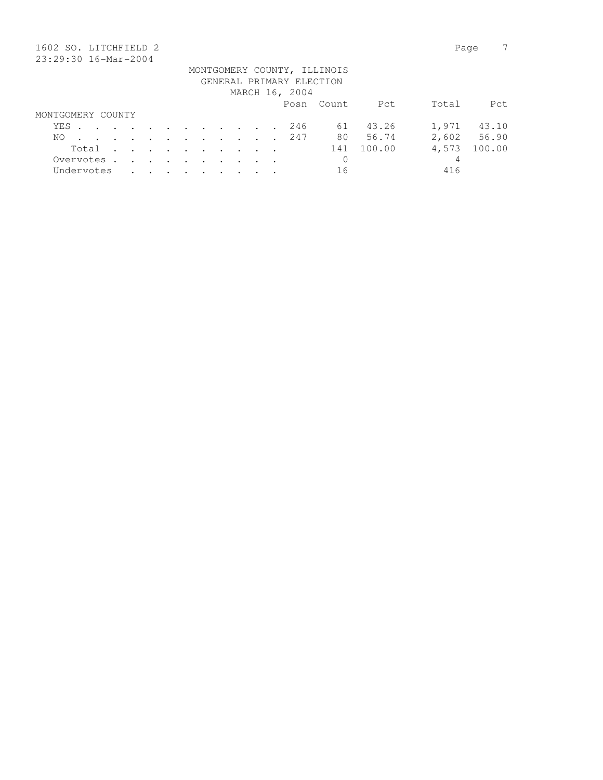| 1602 SO. LITCHFIELD 2    |                             |             |  |  |                      |         |                                                                                          |               |                      |         |                                                |  |  |                |            |        | Page  |        |
|--------------------------|-----------------------------|-------------|--|--|----------------------|---------|------------------------------------------------------------------------------------------|---------------|----------------------|---------|------------------------------------------------|--|--|----------------|------------|--------|-------|--------|
| 23:29:30 16-Mar-2004     |                             |             |  |  |                      |         |                                                                                          |               |                      |         |                                                |  |  |                |            |        |       |        |
|                          | MONTGOMERY COUNTY, ILLINOIS |             |  |  |                      |         |                                                                                          |               |                      |         |                                                |  |  |                |            |        |       |        |
| GENERAL PRIMARY ELECTION |                             |             |  |  |                      |         |                                                                                          |               |                      |         |                                                |  |  |                |            |        |       |        |
|                          |                             |             |  |  |                      |         |                                                                                          |               |                      |         |                                                |  |  | MARCH 16, 2004 |            |        |       |        |
|                          |                             |             |  |  |                      |         |                                                                                          |               |                      |         |                                                |  |  |                | Posn Count | Pct    | Total | Pct    |
| MONTGOMERY COUNTY        |                             |             |  |  |                      |         |                                                                                          |               |                      |         |                                                |  |  |                |            |        |       |        |
|                          | YES                         |             |  |  |                      |         | $\mathbf{r}$ , and $\mathbf{r}$ , and $\mathbf{r}$ , and $\mathbf{r}$ , and $\mathbf{r}$ |               |                      |         |                                                |  |  | 246            | 61         | 43.26  | 1,971 | 43.10  |
|                          | NO.                         |             |  |  | $\ddot{\phantom{a}}$ | $\cdot$ | $\sim$ $\sim$ $\sim$                                                                     |               | $\sim$ $\sim$ $\sim$ |         | $\mathbf{r}$ and $\mathbf{r}$ and $\mathbf{r}$ |  |  | 247            | 80         | 56.74  | 2,602 | 56.90  |
|                          |                             | Total       |  |  | $\ddot{\phantom{a}}$ | $\sim$  | $\sim$                                                                                   | $\sim$        | $\cdot$              | $\cdot$ |                                                |  |  |                | 141        | 100.00 | 4,573 | 100.00 |
|                          |                             | Overvotes . |  |  | $\sim$               | $\sim$  | $\sim$ $\sim$                                                                            | $\sim$ $\sim$ | $\sim$               | $\sim$  |                                                |  |  |                | 0          |        | 4     |        |
|                          |                             | Undervotes  |  |  |                      |         |                                                                                          |               |                      |         |                                                |  |  |                | 16         |        | 416   |        |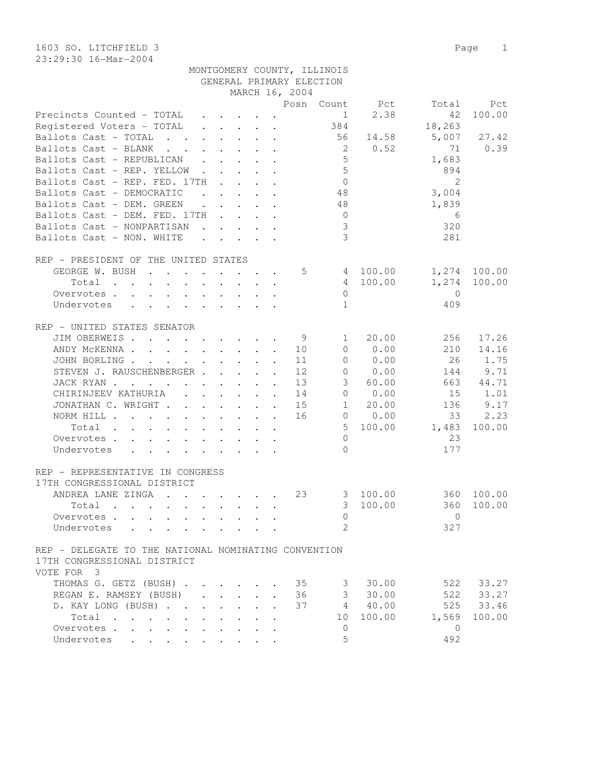1603 SO. LITCHFIELD 3 Page 1 23:29:30 16-Mar-2004

|                                                                                                                                  |                                                           |              |                                                                                                                           |                         |                      |                          | MONTGOMERY COUNTY, ILLINOIS |                |               |            |
|----------------------------------------------------------------------------------------------------------------------------------|-----------------------------------------------------------|--------------|---------------------------------------------------------------------------------------------------------------------------|-------------------------|----------------------|--------------------------|-----------------------------|----------------|---------------|------------|
|                                                                                                                                  |                                                           |              |                                                                                                                           |                         |                      | GENERAL PRIMARY ELECTION |                             |                |               |            |
|                                                                                                                                  |                                                           |              |                                                                                                                           |                         |                      | MARCH 16, 2004           |                             |                |               |            |
|                                                                                                                                  |                                                           |              |                                                                                                                           |                         |                      |                          |                             | Posn Count Pct | Total         | Pct        |
| Precincts Counted - TOTAL                                                                                                        |                                                           |              | $\begin{array}{cccccccccccccc} \bullet & \bullet & \bullet & \bullet & \bullet & \bullet & \bullet & \bullet \end{array}$ |                         |                      |                          | 1                           | 2.38           | 42            | 100.00     |
| Registered Voters - TOTAL                                                                                                        |                                                           |              | $\mathbf{r}$ , and $\mathbf{r}$ , and $\mathbf{r}$                                                                        |                         |                      |                          | 384                         |                | 18,263        |            |
| Ballots Cast - TOTAL<br><b>Contract Contract Contract</b>                                                                        |                                                           |              | $\mathbf{r}$ , $\mathbf{r}$ , $\mathbf{r}$ , $\mathbf{r}$                                                                 |                         |                      |                          | 56                          | 14.58          | 5,007         | 27.42      |
| Ballots Cast - BLANK<br>$\mathbf{r}$ . The set of $\mathbf{r}$                                                                   |                                                           |              | $\mathbf{r}$ , $\mathbf{r}$ , $\mathbf{r}$ , $\mathbf{r}$                                                                 |                         |                      |                          | 2                           | 0.52           | 71            | 0.39       |
| Ballots Cast - REPUBLICAN                                                                                                        | $\mathbf{L}$                                              |              |                                                                                                                           |                         |                      |                          | $\overline{5}$              |                | 1,683         |            |
| Ballots Cast - REP. YELLOW.                                                                                                      |                                                           |              |                                                                                                                           |                         |                      |                          | 5                           |                | 894           |            |
|                                                                                                                                  |                                                           | $\mathbf{L}$ |                                                                                                                           | $\cdot$ $\cdot$ $\cdot$ |                      |                          | $\overline{0}$              |                | $\mathcal{L}$ |            |
| Ballots Cast - REP. FED. 17TH                                                                                                    |                                                           |              | $\cdot$ $\cdot$ $\cdot$ $\cdot$                                                                                           |                         |                      |                          |                             |                |               |            |
| Ballots Cast - DEMOCRATIC                                                                                                        |                                                           |              | $\cdot$                                                                                                                   |                         |                      |                          | 48                          |                | 3,004         |            |
| Ballots Cast - DEM. GREEN                                                                                                        |                                                           |              | $\cdots$                                                                                                                  |                         |                      |                          | 48                          |                | 1,839         |            |
| Ballots Cast - DEM. FED. 17TH                                                                                                    |                                                           |              | $\mathbf{r}$ . The set of $\mathbf{r}$                                                                                    |                         |                      |                          | $\overline{0}$              |                | - 6           |            |
| Ballots Cast - NONPARTISAN                                                                                                       |                                                           |              | $\mathbf{r}$ , and $\mathbf{r}$ , and $\mathbf{r}$                                                                        |                         |                      |                          | 3                           |                | 320           |            |
| Ballots Cast - NON. WHITE                                                                                                        | $\mathbf{r}$ , $\mathbf{r}$ , $\mathbf{r}$ , $\mathbf{r}$ |              |                                                                                                                           |                         |                      |                          | $\overline{3}$              |                | 281           |            |
|                                                                                                                                  |                                                           |              |                                                                                                                           |                         |                      |                          |                             |                |               |            |
| REP - PRESIDENT OF THE UNITED STATES                                                                                             |                                                           |              |                                                                                                                           |                         |                      |                          |                             |                |               |            |
| GEORGE W. BUSH                                                                                                                   |                                                           |              |                                                                                                                           |                         |                      | 5                        |                             | 4 100.00       | 1,274         | 100.00     |
| Total                                                                                                                            |                                                           |              |                                                                                                                           |                         |                      |                          |                             | 4 100.00       | 1,274         | 100.00     |
| Overvotes                                                                                                                        |                                                           |              |                                                                                                                           |                         |                      |                          | $\overline{0}$              |                | $\Omega$      |            |
| Undervotes                                                                                                                       |                                                           |              |                                                                                                                           |                         |                      |                          | $\mathbf{1}$                |                | 409           |            |
|                                                                                                                                  |                                                           |              |                                                                                                                           |                         |                      |                          |                             |                |               |            |
| REP - UNITED STATES SENATOR                                                                                                      |                                                           |              |                                                                                                                           |                         |                      |                          |                             |                |               |            |
| JIM OBERWEIS                                                                                                                     |                                                           |              |                                                                                                                           |                         |                      | - 9                      | $\mathbf{1}$                | 20.00          | 256           | 17.26      |
| ANDY MCKENNA.<br>and the contract of the contract of the                                                                         |                                                           |              |                                                                                                                           |                         |                      | 10                       | 0                           | 0.00           | 210           | 14.16      |
| JOHN BORLING.<br>the contract of the contract of the contract of the contract of the contract of the contract of the contract of |                                                           |              |                                                                                                                           |                         |                      | 11                       | $\circ$                     | 0.00           | 26            | 1.75       |
| STEVEN J. RAUSCHENBERGER                                                                                                         |                                                           |              |                                                                                                                           |                         |                      | 12                       | $\circ$                     | 0.00           | 144           | 9.71       |
| JACK RYAN                                                                                                                        |                                                           |              |                                                                                                                           |                         |                      | 13                       | 3                           | 60.00          | 663           | 44.71      |
|                                                                                                                                  |                                                           |              |                                                                                                                           |                         |                      |                          |                             |                |               |            |
| CHIRINJEEV KATHURIA (CHIRINJEEV KATHURIA)                                                                                        |                                                           |              |                                                                                                                           |                         |                      | 14                       |                             | 0 0.00         | 15            | 1.01       |
| JONATHAN C. WRIGHT                                                                                                               |                                                           |              |                                                                                                                           |                         |                      | 15                       |                             | 1 20.00        | 136           | 9.17       |
| NORM HILL $\ldots$ $\ldots$ $\ldots$ $\ldots$                                                                                    |                                                           |              |                                                                                                                           |                         |                      | 16                       |                             | 0 0.00         | 33            | 2.23       |
| Total<br>the contract of the contract of the contract of the contract of the contract of the contract of the contract of         |                                                           |              |                                                                                                                           |                         |                      |                          |                             | 5 100.00       | 1,483         | 100.00     |
| Overvotes                                                                                                                        |                                                           |              |                                                                                                                           |                         |                      |                          | $\circ$                     |                | 23            |            |
| Undervotes                                                                                                                       |                                                           |              |                                                                                                                           |                         |                      |                          | $\Omega$                    |                | 177           |            |
|                                                                                                                                  |                                                           |              |                                                                                                                           |                         |                      |                          |                             |                |               |            |
| REP - REPRESENTATIVE IN CONGRESS                                                                                                 |                                                           |              |                                                                                                                           |                         |                      |                          |                             |                |               |            |
| 17TH CONGRESSIONAL DISTRICT                                                                                                      |                                                           |              |                                                                                                                           |                         |                      |                          |                             |                |               |            |
| ANDREA LANE ZINGA<br>$\mathbf{r}$ , $\mathbf{r}$ , $\mathbf{r}$ , $\mathbf{r}$ , $\mathbf{r}$ , $\mathbf{r}$                     |                                                           |              |                                                                                                                           |                         |                      | 23                       | 3                           | 100.00         | 360           | 100.00     |
| Total<br>$\mathbf{r}$ , and $\mathbf{r}$ , and $\mathbf{r}$ , and $\mathbf{r}$ , and $\mathbf{r}$ , and $\mathbf{r}$             |                                                           |              |                                                                                                                           |                         |                      |                          |                             | 3 100.00       |               | 360 100.00 |
| Overvotes                                                                                                                        |                                                           |              |                                                                                                                           |                         |                      |                          | 0                           |                | $\mathbf{0}$  |            |
| Undervotes                                                                                                                       |                                                           |              |                                                                                                                           |                         |                      |                          | $\mathcal{L}$               |                | 327           |            |
|                                                                                                                                  |                                                           |              |                                                                                                                           |                         |                      |                          |                             |                |               |            |
| REP - DELEGATE TO THE NATIONAL NOMINATING CONVENTION                                                                             |                                                           |              |                                                                                                                           |                         |                      |                          |                             |                |               |            |
| 17TH CONGRESSIONAL DISTRICT                                                                                                      |                                                           |              |                                                                                                                           |                         |                      |                          |                             |                |               |            |
| VOTE FOR 3                                                                                                                       |                                                           |              |                                                                                                                           |                         |                      |                          |                             |                |               |            |
| THOMAS G. GETZ (BUSH)                                                                                                            |                                                           |              |                                                                                                                           |                         |                      | 35                       | 3                           | 30.00          |               | 522 33.27  |
| REGAN E. RAMSEY (BUSH)                                                                                                           |                                                           |              |                                                                                                                           |                         |                      | 36                       |                             | 3 30.00        |               | 522 33.27  |
|                                                                                                                                  |                                                           |              |                                                                                                                           |                         | $\ddot{\phantom{a}}$ | 37                       |                             | 4 40.00        |               | 525 33.46  |
| D. KAY LONG (BUSH)                                                                                                               |                                                           |              |                                                                                                                           |                         | $\ddot{\phantom{a}}$ |                          |                             |                |               |            |
| Total                                                                                                                            |                                                           |              |                                                                                                                           |                         | $\bullet$            |                          | 10                          | 100.00         | 1,569         | 100.00     |
| Overvotes                                                                                                                        |                                                           |              |                                                                                                                           |                         |                      |                          | 0                           |                | $\mathbf{0}$  |            |

Undervotes . . . . . . . . . . 5 492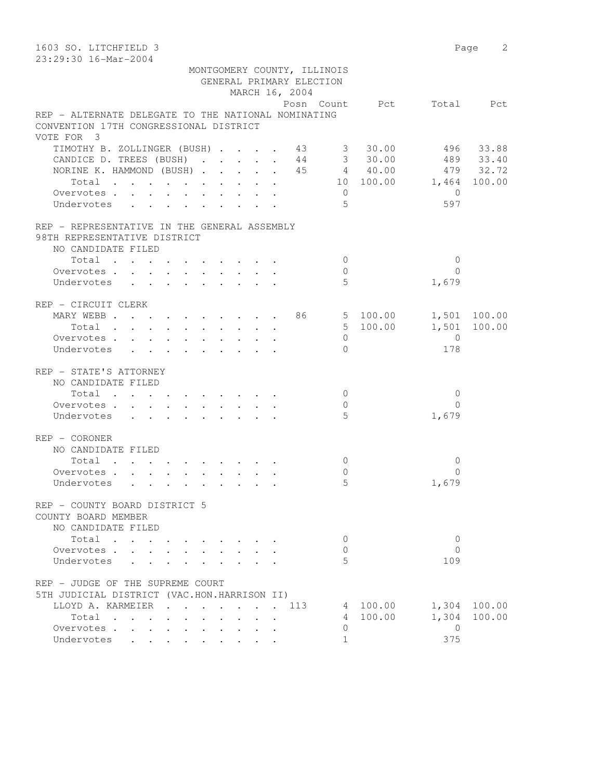| 1603 SO. LITCHFIELD 3<br>23:29:30 16-Mar-2004                  |                |                          |                | Page 2       |
|----------------------------------------------------------------|----------------|--------------------------|----------------|--------------|
| MONTGOMERY COUNTY, ILLINOIS                                    |                |                          |                |              |
| GENERAL PRIMARY ELECTION                                       |                |                          |                |              |
| MARCH 16, 2004                                                 |                |                          |                |              |
|                                                                |                | Posn Count Pct Total Pct |                |              |
| REP - ALTERNATE DELEGATE TO THE NATIONAL NOMINATING            |                |                          |                |              |
| CONVENTION 17TH CONGRESSIONAL DISTRICT                         |                |                          |                |              |
| VOTE FOR 3                                                     |                |                          |                |              |
| TIMOTHY B. ZOLLINGER (BUSH) 43 30.00                           |                |                          |                | 496 33.88    |
| CANDICE D. TREES (BUSH) 44 3 30.00 489 33.40                   |                |                          |                |              |
| NORINE K. HAMMOND (BUSH) 45 4 40.00 479 32.72                  |                |                          |                |              |
| Total                                                          |                | 10 100.00 1,464 100.00   |                |              |
| Overvotes                                                      | $\overline{0}$ |                          | $\overline{0}$ |              |
| Undervotes                                                     | .5             |                          | 597            |              |
| REP - REPRESENTATIVE IN THE GENERAL ASSEMBLY                   |                |                          |                |              |
| 98TH REPRESENTATIVE DISTRICT<br>NO CANDIDATE FILED             |                |                          |                |              |
| Total                                                          | $\overline{0}$ |                          | $\mathbf{0}$   |              |
| Overvotes.                                                     | $\mathbf{0}$   |                          | $\Omega$       |              |
| Undervotes                                                     | 5              |                          | 1,679          |              |
| REP - CIRCUIT CLERK                                            |                |                          |                |              |
| MARY WEBB 86 5 100.00 1,501 100.00                             |                |                          |                |              |
| Total                                                          |                | 5 100.00                 |                | 1,501 100.00 |
| Overvotes                                                      | $\circ$        |                          | $\overline{0}$ |              |
| Undervotes                                                     | $\Omega$       |                          | 178            |              |
| REP - STATE'S ATTORNEY                                         |                |                          |                |              |
| NO CANDIDATE FILED                                             |                |                          |                |              |
| Total                                                          | $\overline{0}$ |                          | $\mathbf{0}$   |              |
| Overvotes                                                      | 0              |                          | $\Omega$       |              |
| Undervotes                                                     | 5              |                          | 1,679          |              |
| REP - CORONER                                                  |                |                          |                |              |
| NO CANDIDATE FILED                                             |                |                          |                |              |
| Total                                                          | 0              |                          | 0              |              |
| Overvotes                                                      | $\mathbf{0}$   |                          | $\Omega$       |              |
| Undervotes                                                     | 5              |                          | 1,679          |              |
| REP - COUNTY BOARD DISTRICT 5<br>COUNTY BOARD MEMBER           |                |                          |                |              |
| NO CANDIDATE FILED                                             |                |                          |                |              |
| Total<br>$\mathbf{r} = \mathbf{r}$ , $\mathbf{r} = \mathbf{r}$ | $\mathbf{0}$   |                          | $\mathbf{0}$   |              |
| Overvotes                                                      | 0              |                          | $\Omega$       |              |
| Undervotes                                                     | 5              |                          | 109            |              |
| REP - JUDGE OF THE SUPREME COURT                               |                |                          |                |              |
| 5TH JUDICIAL DISTRICT (VAC.HON.HARRISON II)                    |                |                          |                |              |
| LLOYD A. KARMEIER<br>. 113                                     |                | 4 100.00                 |                | 1,304 100.00 |
| Total                                                          |                | 4 100.00                 | 1,304          | 100.00       |
| Overvotes                                                      | $\circ$        |                          | $\overline{0}$ |              |
| Undervotes                                                     | $\mathbf{1}$   |                          | 375            |              |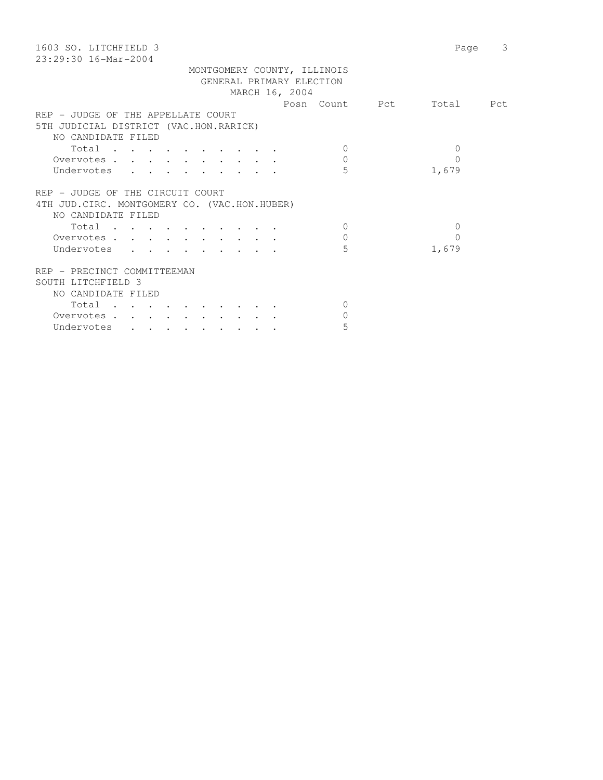| 1603 SO. LITCHFIELD 3<br>$23:29:30$ 16-Mar-2004 | 3<br>Page    |
|-------------------------------------------------|--------------|
|                                                 |              |
| MONTGOMERY COUNTY, ILLINOIS                     |              |
| GENERAL PRIMARY ELECTION                        |              |
| MARCH 16, 2004                                  |              |
| Posn Count Pct                                  | Total Pct    |
| REP - JUDGE OF THE APPELLATE COURT              |              |
| 5TH JUDICIAL DISTRICT (VAC.HON.RARICK)          |              |
| NO CANDIDATE FILED                              |              |
| Total<br>$\Omega$                               | $\Omega$     |
| $\mathbf{0}$<br>Overvotes                       | 0            |
| 5<br>Undervotes                                 | 1,679        |
|                                                 |              |
| REP - JUDGE OF THE CIRCUIT COURT                |              |
| 4TH JUD. CIRC. MONTGOMERY CO. (VAC.HON.HUBER)   |              |
| NO CANDIDATE FILED                              |              |
| $\Omega$                                        | $\mathbf{0}$ |
| Total                                           |              |
| $\mathbf{0}$<br>Overvotes                       | 0            |
| 5<br>Undervotes                                 | 1,679        |
|                                                 |              |
| REP - PRECINCT COMMITTEEMAN                     |              |
| SOUTH LITCHFIELD 3                              |              |
| NO CANDIDATE FILED                              |              |
| Total<br>$\Omega$                               |              |
| $\Omega$<br>Overvotes.                          |              |
| 5<br>Undervotes                                 |              |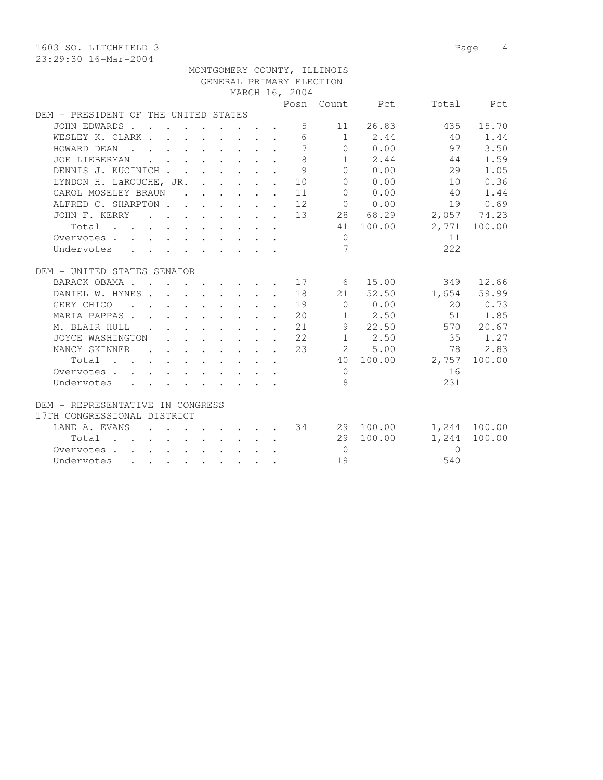1603 SO. LITCHFIELD 3 Page 4 23:29:30 16-Mar-2004 MONTGOMERY COUNTY, ILLINOIS GENERAL PRIMARY ELECTION MARCH 16, 2004 Posn Count Pct Total Pct DEM - PRESIDENT OF THE UNITED STATES JOHN EDWARDS . . . . . . . . . 5 11 26.83 435 15.70 WESLEY K. CLARK . . . . . . . . 6 1 2.44 40 1.44 HOWARD DEAN . . . . . . . . . 7 0 0.00 97 3.50 JOE LIEBERMAN . . . . . . . . 8 1 2.44 44 1.59 DENNIS J. KUCINICH . . . . . . . 9 0 0.00 29 1.05 LYNDON H. LaROUCHE, JR. . . . . . 10 0 0.00 10 0.36 CAROL MOSELEY BRAUN . . . . . . 11 0 0.00 40 1.44 ALFRED C. SHARPTON . . . . . . 12 0 0.00 19 0.69 JOHN F. KERRY . . . . . . . . 13 28 68.29 2,057 74.23 Total . . . . . . . . . . 41 100.00 2,771 100.00 Overvotes . . . . . . . . . . . 0 11 Undervotes . . . . . . . . . 7 222 DEM - UNITED STATES SENATOR BARACK OBAMA . . . . . . . . . 17 6 15.00 349 12.66 DANIEL W. HYNES . . . . . . . . 18 21 52.50 1,654 59.99

 GERY CHICO . . . . . . . . . 19 0 0.00 20 0.73 MARIA PAPPAS . . . . . . . . . 20 1 2.50 51 1.85 M. BLAIR HULL . . . . . . . . 21 9 22.50 570 20.67 JOYCE WASHINGTON . . . . . . . 22 1 2.50 35 1.27 NANCY SKINNER . . . . . . 23 2 5.00 78 2.83 Total . . . . . . . . . . 40 100.00 2,757 100.00 Overvotes . . . . . . . . . . . 0 16 Undervotes . . . . . . . . . 8 231 DEM - REPRESENTATIVE IN CONGRESS 17TH CONGRESSIONAL DISTRICT LANE A. EVANS . . . . . . . 34 29 100.00 1,244 100.00 Total . . . . . . . . . . 29 100.00 1,244 100.00 Overvotes . . . . . . . . . . 0 0 Undervotes . . . . . . . . . . 19 540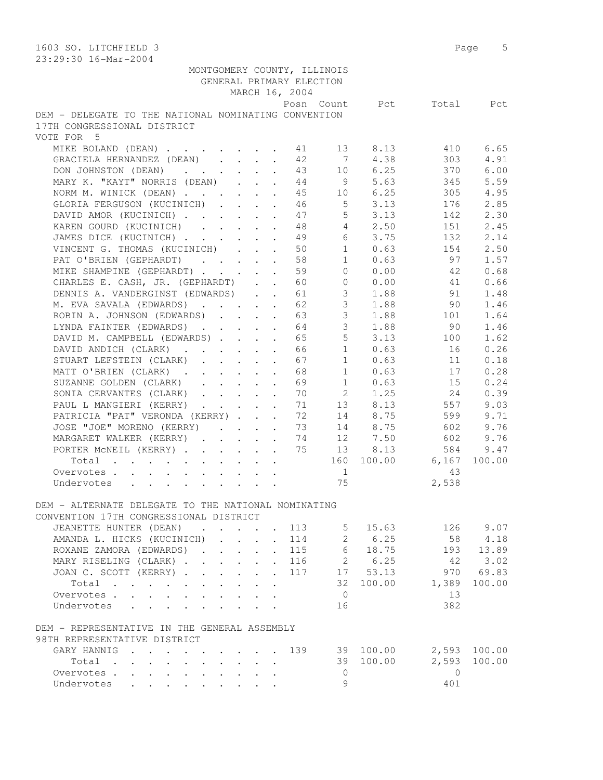| 1603 SO. LITCHFIELD 3                                                                 |            | 5<br>Page |
|---------------------------------------------------------------------------------------|------------|-----------|
| 23:29:30 16-Mar-2004                                                                  |            |           |
| MONTGOMERY COUNTY, ILLINOIS                                                           |            |           |
| GENERAL PRIMARY ELECTION                                                              |            |           |
| MARCH 16, 2004                                                                        |            |           |
| Posn Count<br>Pct                                                                     | Total      | Pct       |
| DEM - DELEGATE TO THE NATIONAL NOMINATING CONVENTION                                  |            |           |
| 17TH CONGRESSIONAL DISTRICT                                                           |            |           |
| VOTE FOR 5                                                                            |            |           |
| MIKE BOLAND (DEAN)<br>13<br>8.13<br>41                                                | 410        | 6.65      |
| 4.38<br>GRACIELA HERNANDEZ (DEAN)<br>42<br>$\overline{7}$                             | 303        | 4.91      |
| 10 6.25<br>DON JOHNSTON (DEAN)<br>43                                                  | 370        | 6.00      |
| MARY K. "KAYT" NORRIS (DEAN)<br>9 5.63<br>44                                          | 345        | 5.59      |
| NORM M. WINICK (DEAN)<br>45<br>10 6.25                                                | 305        | 4.95      |
| 3.13<br>GLORIA FERGUSON (KUCINICH)<br>5 <sup>1</sup><br>46                            | 176        | 2.85      |
| 5 <sup>1</sup><br>DAVID AMOR (KUCINICH)<br>3.13<br>47                                 | 142        | 2.30      |
| $4\overline{ }$<br>KAREN GOURD (KUCINICH)<br>2.50<br>48                               | 151        | 2.45      |
| 6<br>JAMES DICE (KUCINICH)<br>3.75<br>49                                              | 132        | 2.14      |
| VINCENT G. THOMAS (KUCINICH)<br>1<br>0.63<br>50                                       | 154        | 2.50      |
| PAT O'BRIEN (GEPHARDT)<br>58<br>1<br>0.63                                             | 97         | 1.57      |
| 59<br>$\Omega$<br>0.00                                                                | -42        | 0.68      |
| MIKE SHAMPINE (GEPHARDT)                                                              |            |           |
| CHARLES E. CASH, JR. (GEPHARDT)<br>60<br>$\overline{0}$<br>0.00                       | 41         | 0.66      |
| DENNIS A. VANDERGINST (EDWARDS)<br>$\mathfrak{Z}$<br>1.88<br>61                       | 91         | 1.48      |
| $\mathcal{S}$<br>M. EVA SAVALA (EDWARDS)<br>62<br>1.88                                | 90         | 1.46      |
| 3 <sup>7</sup><br>1.88<br>ROBIN A. JOHNSON (EDWARDS)<br>63                            | 101        | 1.64      |
| 3 <sup>7</sup><br>LYNDA FAINTER (EDWARDS)<br>64<br>1.88                               | 90         | 1.46      |
| 5<br>DAVID M. CAMPBELL (EDWARDS)<br>65<br>3.13                                        | 100        | 1.62      |
| 1<br>0.63<br>DAVID ANDICH (CLARK)<br>66                                               | 16         | 0.26      |
| 1<br>STUART LEFSTEIN (CLARK)<br>67<br>0.63                                            | 11         | 0.18      |
| MATT O'BRIEN (CLARK)<br>68<br>1<br>0.63                                               | 17         | 0.28      |
| SUZANNE GOLDEN (CLARK)<br>69<br>$1 \quad \blacksquare$<br>0.63                        | 15         | 0.24      |
| $2 \left( \frac{1}{2} \right)$<br>SONIA CERVANTES (CLARK)<br>70<br>1.25               | 24         | 0.39      |
| PAUL L MANGIERI (KERRY)<br>71<br>13 8.13                                              | 557        | 9.03      |
| PATRICIA "PAT" VERONDA (KERRY)<br>72<br>14 8.75                                       | 599        | 9.71      |
| 14<br>8.75<br>JOSE "JOE" MORENO (KERRY)<br>73                                         | 602        | 9.76      |
| 12<br>7.50<br>MARGARET WALKER (KERRY)<br>74                                           | 602        | 9.76      |
| 75<br>PORTER MCNEIL (KERRY)<br>8.13<br>13                                             | 584        | 9.47      |
| 100.00<br>Total<br>160                                                                | 6,167      | 100.00    |
| Overvotes<br>$\mathbf{1}$                                                             | 43         |           |
| 75<br>Undervotes                                                                      | 2,538      |           |
|                                                                                       |            |           |
| DEM - ALTERNATE DELEGATE TO THE NATIONAL NOMINATING                                   |            |           |
| CONVENTION 17TH CONGRESSIONAL DISTRICT                                                |            |           |
| JEANETTE HUNTER (DEAN) 113 5 15.63                                                    | 126 9.07   |           |
| AMANDA L. HICKS (KUCINICH)<br>114                                                     | 58         | 4.18      |
| $\begin{array}{ccc} 2 & 6.25 \\ 6 & 18.75 \end{array}$<br>ROXANE ZAMORA (EDWARDS) 115 |            | 193 13.89 |
| MARY RISELING (CLARK) 116 2 6.25                                                      | 42         | 3.02      |
| JOAN C. SCOTT (KERRY) 117 17 53.13                                                    |            | 970 69.83 |
| 32 100.00 1,389<br>Total                                                              |            | 100.00    |
| Overvotes.<br>$\overline{0}$                                                          | 13         |           |
| Undervotes<br>16                                                                      | 382        |           |
| DEM - REPRESENTATIVE IN THE GENERAL ASSEMBLY                                          |            |           |
| 98TH REPRESENTATIVE DISTRICT                                                          |            |           |
| GARY HANNIG 139 39 100.00 2,593 100.00                                                |            |           |
| 39 100.00<br>Total                                                                    | 2,593      | 100.00    |
| Overvotes.<br>$\bigcirc$                                                              | $\bigcirc$ |           |
| 9<br>Undervotes                                                                       | 401        |           |
|                                                                                       |            |           |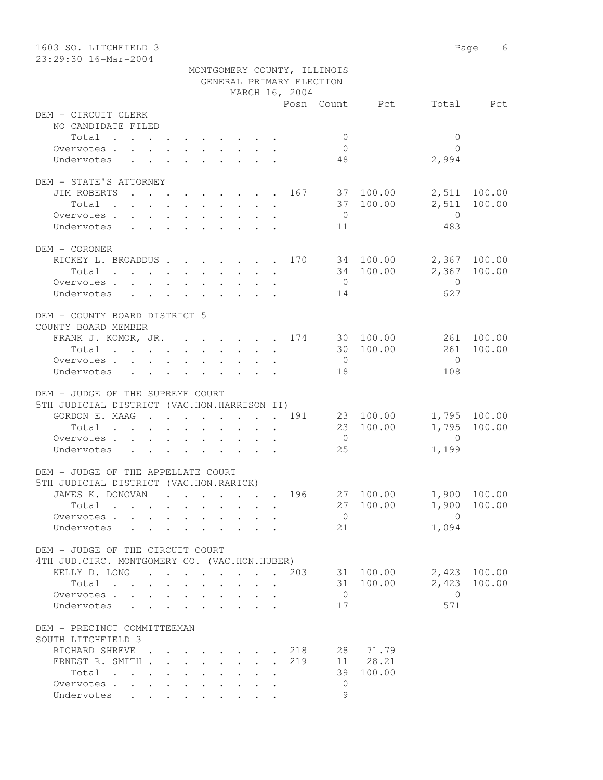| 1603 SO. LITCHFIELD 3                             |                |                             |                       | Page 6                       |
|---------------------------------------------------|----------------|-----------------------------|-----------------------|------------------------------|
| 23:29:30 16-Mar-2004                              |                |                             |                       |                              |
|                                                   |                | MONTGOMERY COUNTY, ILLINOIS |                       |                              |
|                                                   | MARCH 16, 2004 | GENERAL PRIMARY ELECTION    |                       |                              |
|                                                   |                |                             | Posn Count Pct        | Total Pct                    |
| DEM - CIRCUIT CLERK                               |                |                             |                       |                              |
| NO CANDIDATE FILED                                |                |                             |                       |                              |
| Total                                             |                | $\overline{0}$              | $\mathbf{0}$          |                              |
| Overvotes.                                        |                | $\overline{0}$              | $\bigcap$             |                              |
| Undervotes                                        |                | 48                          | 2,994                 |                              |
|                                                   |                |                             |                       |                              |
| DEM - STATE'S ATTORNEY                            |                |                             |                       |                              |
| JIM ROBERTS                                       |                |                             | $\cdot$ 167 37 100.00 | 2,511 100.00                 |
| Total                                             |                |                             | 37 100.00<br>2,511    | 100.00                       |
| Overvotes                                         |                | $\overline{0}$              | $\overline{0}$        |                              |
| Undervotes                                        |                | 11                          | 483                   |                              |
|                                                   |                |                             |                       |                              |
| DEM - CORONER                                     |                |                             |                       |                              |
| RICKEY L. BROADDUS 170 34 100.00<br>Total         |                |                             | 34 100.00             | 2,367 100.00<br>2,367 100.00 |
| Overvotes                                         |                | $\overline{0}$              | $\overline{0}$        |                              |
| Undervotes                                        |                | 14                          | 627                   |                              |
|                                                   |                |                             |                       |                              |
| DEM - COUNTY BOARD DISTRICT 5                     |                |                             |                       |                              |
| COUNTY BOARD MEMBER                               |                |                             |                       |                              |
| FRANK J. KOMOR, JR. 174 30 100.00                 |                |                             |                       | 261 100.00                   |
| Total                                             |                |                             | 30 100.00<br>261      | 100.00                       |
| Overvotes.                                        |                | $\overline{0}$              | $\bigcirc$            |                              |
| Undervotes                                        |                | 18                          | 108                   |                              |
|                                                   |                |                             |                       |                              |
| DEM - JUDGE OF THE SUPREME COURT                  |                |                             |                       |                              |
| 5TH JUDICIAL DISTRICT (VAC.HON.HARRISON II)       |                |                             |                       |                              |
| GORDON E. MAAG 191                                |                |                             | 23 100.00             | 1,795 100.00                 |
| Total                                             |                |                             | 23 100.00             | 1,795 100.00                 |
| Overvotes.<br>Undervotes                          |                | $\overline{0}$<br>25        | $\overline{0}$        |                              |
|                                                   |                |                             | 1,199                 |                              |
| DEM - JUDGE OF THE APPELLATE COURT                |                |                             |                       |                              |
| 5TH JUDICIAL DISTRICT (VAC.HON.RARICK)            |                |                             |                       |                              |
| JAMES K. DONOVAN                                  |                | 196                         | 27 100.00             | 1,900 100.00                 |
| Total                                             |                |                             | 27 100.00<br>1,900    | 100.00                       |
| Overvotes                                         |                | $\overline{0}$              | $\overline{0}$        |                              |
| Undervotes<br>$\sim$ $\sim$                       |                | 21                          | 1,094                 |                              |
|                                                   |                |                             |                       |                              |
| DEM - JUDGE OF THE CIRCUIT COURT                  |                |                             |                       |                              |
| 4TH JUD. CIRC. MONTGOMERY CO. (VAC.HON.HUBER)     |                |                             |                       |                              |
| KELLY D. LONG 203                                 |                |                             | 31 100.00             | 2,423 100.00                 |
| Total                                             |                |                             | 2,423<br>31 100.00    | 100.00                       |
| Overvotes                                         |                | $\overline{0}$              | 0                     |                              |
| Undervotes                                        |                | 17                          | 571                   |                              |
|                                                   |                |                             |                       |                              |
| DEM - PRECINCT COMMITTEEMAN<br>SOUTH LITCHFIELD 3 |                |                             |                       |                              |
| RICHARD SHREVE                                    |                | 218                         | 28 71.79              |                              |
| ERNEST R. SMITH                                   |                | 219                         | 11 28.21              |                              |
| Total                                             |                | 39                          | 100.00                |                              |
| Overvotes                                         |                | $\mathbf{0}$                |                       |                              |
| Undervotes                                        |                | 9                           |                       |                              |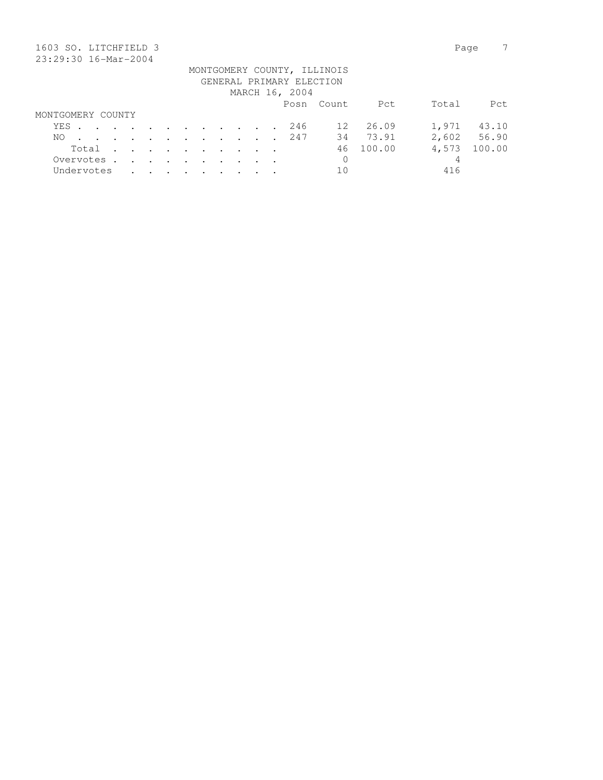| 1603 SO. LITCHFIELD 3    |     |       |            |  |         |         |                                                                                          |               |         |                |  |  |                |                             |        | Page  |        |
|--------------------------|-----|-------|------------|--|---------|---------|------------------------------------------------------------------------------------------|---------------|---------|----------------|--|--|----------------|-----------------------------|--------|-------|--------|
| 23:29:30 16-Mar-2004     |     |       |            |  |         |         |                                                                                          |               |         |                |  |  |                |                             |        |       |        |
|                          |     |       |            |  |         |         |                                                                                          |               |         |                |  |  |                | MONTGOMERY COUNTY, ILLINOIS |        |       |        |
| GENERAL PRIMARY ELECTION |     |       |            |  |         |         |                                                                                          |               |         |                |  |  |                |                             |        |       |        |
|                          |     |       |            |  |         |         |                                                                                          |               |         |                |  |  | MARCH 16, 2004 |                             |        |       |        |
|                          |     |       |            |  |         |         |                                                                                          |               |         |                |  |  |                | Posn Count                  | Pct    | Total | Pct    |
| MONTGOMERY COUNTY        |     |       |            |  |         |         |                                                                                          |               |         |                |  |  |                |                             |        |       |        |
|                          | YES |       |            |  |         |         | $\mathbf{r}$ , and $\mathbf{r}$ , and $\mathbf{r}$ , and $\mathbf{r}$ , and $\mathbf{r}$ |               |         |                |  |  | 246            | 12                          | 26.09  | 1,971 | 43.10  |
| NO.                      |     |       |            |  | $\cdot$ | $\cdot$ | $\sim$                                                                                   | $\sim$ $\sim$ |         | $\sim$ $\sim$  |  |  | 247            | 34                          | 73.91  | 2,602 | 56.90  |
|                          |     | Total |            |  | $\cdot$ | $\sim$  | $\sim$ $\sim$                                                                            | $\sim$        | $\cdot$ | $\cdot$        |  |  |                | 46                          | 100.00 | 4,573 | 100.00 |
|                          |     |       | Overvotes. |  | $\sim$  | $\sim$  | $\sim$ $\sim$                                                                            | $\sim$ $\sim$ | $\sim$  | $\overline{a}$ |  |  |                | 0                           |        | 4     |        |
|                          |     |       | Undervotes |  |         |         |                                                                                          |               |         |                |  |  |                | 10                          |        | 416   |        |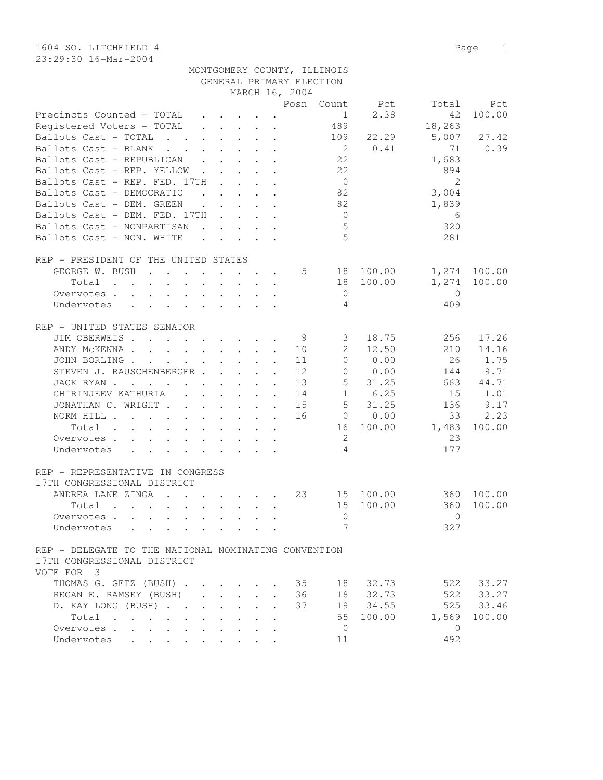23:29:30 16-Mar-2004

|                                                                                                                                         |                                                           |              |                      | GENERAL PRIMARY ELECTION |                     |                |                |        |
|-----------------------------------------------------------------------------------------------------------------------------------------|-----------------------------------------------------------|--------------|----------------------|--------------------------|---------------------|----------------|----------------|--------|
|                                                                                                                                         |                                                           |              |                      | MARCH 16, 2004           |                     |                |                |        |
|                                                                                                                                         |                                                           |              |                      |                          |                     | Posn Count Pct | Total          | Pct    |
| Precincts Counted - TOTAL                                                                                                               | $\mathbf{r}$ , and $\mathbf{r}$ , and $\mathbf{r}$        |              |                      |                          | 1                   | 2.38           | 42             | 100.00 |
| Registered Voters - TOTAL                                                                                                               | $\cdot$ $\cdot$ $\cdot$ $\cdot$ $\cdot$ $\cdot$           |              |                      |                          | 489                 |                | 18,263         |        |
| Ballots Cast - TOTAL<br>$\mathbf{r}$ , and $\mathbf{r}$ , and $\mathbf{r}$ , and $\mathbf{r}$                                           |                                                           |              |                      |                          | 109                 | 22.29          | 5,007          | 27.42  |
| Ballots Cast - BLANK<br>the contract of the contract of the contract of the contract of the contract of the contract of the contract of |                                                           |              |                      |                          | $\overline{2}$      | 0.41           | 71             | 0.39   |
| Ballots Cast - REPUBLICAN                                                                                                               |                                                           |              |                      |                          | 22                  |                | 1,683          |        |
| Ballots Cast - REP. YELLOW                                                                                                              |                                                           |              |                      |                          | 22                  |                | 894            |        |
| Ballots Cast - REP. FED. 17TH                                                                                                           | $\sim$ $\sim$ $\sim$ $\sim$ $\sim$                        |              |                      |                          | $\overline{0}$      |                | $\overline{2}$ |        |
| Ballots Cast - DEMOCRATIC                                                                                                               | $\mathbf{r}$ , $\mathbf{r}$ , $\mathbf{r}$ , $\mathbf{r}$ |              |                      |                          | 82                  |                | 3,004          |        |
| Ballots Cast - DEM. GREEN                                                                                                               | $\mathbf{r}$ , $\mathbf{r}$ , $\mathbf{r}$ , $\mathbf{r}$ |              |                      |                          | 82                  |                | 1,839          |        |
| Ballots Cast - DEM. FED. 17TH                                                                                                           |                                                           |              |                      |                          | $\overline{0}$      |                | 6              |        |
| Ballots Cast - NONPARTISAN                                                                                                              | $\mathbf{r}$ , and $\mathbf{r}$ , and $\mathbf{r}$        |              |                      |                          | 5                   |                | 320            |        |
| Ballots Cast - NON. WHITE                                                                                                               |                                                           |              |                      |                          | 5                   |                | 281            |        |
|                                                                                                                                         |                                                           |              |                      |                          |                     |                |                |        |
| REP - PRESIDENT OF THE UNITED STATES                                                                                                    |                                                           |              |                      |                          |                     |                |                |        |
| GEORGE W. BUSH                                                                                                                          |                                                           |              |                      | 5                        | 18                  | 100.00         | 1,274          | 100.00 |
| $Total \cdot \cdot \cdot \cdot \cdot \cdot \cdot \cdot \cdot$                                                                           |                                                           |              |                      |                          | 18                  | 100.00         | 1,274          | 100.00 |
| Overvotes.                                                                                                                              |                                                           |              |                      |                          | $\overline{0}$      |                | $\mathbf{0}$   |        |
| Undervotes                                                                                                                              |                                                           |              |                      |                          | 4                   |                | 409            |        |
|                                                                                                                                         |                                                           |              |                      |                          |                     |                |                |        |
| REP - UNITED STATES SENATOR                                                                                                             |                                                           |              |                      |                          |                     |                |                |        |
| JIM OBERWEIS                                                                                                                            |                                                           |              |                      | - 9                      | 3                   | 18.75          | 256            | 17.26  |
| ANDY MCKENNA                                                                                                                            |                                                           |              |                      | 10                       | $\mathbf{2}$        | 12.50          | 210            | 14.16  |
| JOHN BORLING.<br>$\mathbf{r}$ , and $\mathbf{r}$ , and $\mathbf{r}$ , and $\mathbf{r}$                                                  |                                                           |              | $\ddot{\phantom{a}}$ | 11                       | $\overline{0}$      | 0.00           | 26             | 1.75   |
| STEVEN J. RAUSCHENBERGER                                                                                                                |                                                           |              | $\sim$               | 12                       | $\circ$             | 0.00           | 144            | 9.71   |
| JACK RYAN                                                                                                                               |                                                           |              |                      | 13                       | 5                   | 31.25          | 663            | 44.71  |
| CHIRINJEEV KATHURIA                                                                                                                     |                                                           |              |                      | 14                       |                     | 1 6.25         | 15             | 1.01   |
| JONATHAN C. WRIGHT                                                                                                                      |                                                           |              |                      | 15                       | $5 -$               | 31.25          | 136            | 9.17   |
|                                                                                                                                         |                                                           |              |                      | 16                       |                     | 0 0.00         | 33             | 2.23   |
| NORM HILL                                                                                                                               |                                                           |              |                      |                          |                     |                |                |        |
| Total                                                                                                                                   |                                                           |              |                      |                          | 16                  | 100.00         | 1,483<br>23    | 100.00 |
| Overvotes                                                                                                                               |                                                           |              |                      |                          | 2<br>$\overline{4}$ |                |                |        |
| Undervotes                                                                                                                              |                                                           |              |                      |                          |                     |                | 177            |        |
|                                                                                                                                         |                                                           |              |                      |                          |                     |                |                |        |
| REP - REPRESENTATIVE IN CONGRESS                                                                                                        |                                                           |              |                      |                          |                     |                |                |        |
| 17TH CONGRESSIONAL DISTRICT                                                                                                             |                                                           |              |                      |                          |                     |                |                |        |
| ANDREA LANE ZINGA                                                                                                                       |                                                           |              |                      | 23                       |                     | 15 100.00      | 360            | 100.00 |
| Total<br>$\mathbf{r}$ , and $\mathbf{r}$ , and $\mathbf{r}$ , and $\mathbf{r}$ , and $\mathbf{r}$                                       |                                                           |              |                      |                          | 15                  | 100.00         | 360            | 100.00 |
| Overvotes                                                                                                                               |                                                           |              |                      |                          | $\mathbf{0}$        |                | $\circ$        |        |
| Undervotes<br>the contract of the contract of the contract of the contract of the contract of the contract of the contract of           |                                                           |              |                      |                          | 7                   |                | 327            |        |
|                                                                                                                                         |                                                           |              |                      |                          |                     |                |                |        |
| REP - DELEGATE TO THE NATIONAL NOMINATING CONVENTION                                                                                    |                                                           |              |                      |                          |                     |                |                |        |
| 17TH CONGRESSIONAL DISTRICT                                                                                                             |                                                           |              |                      |                          |                     |                |                |        |
| VOTE FOR 3                                                                                                                              |                                                           |              |                      |                          |                     |                |                |        |
| THOMAS G. GETZ (BUSH)                                                                                                                   |                                                           |              |                      | 35                       | 18                  | 32.73          | 522            | 33.27  |
| REGAN E. RAMSEY (BUSH)                                                                                                                  | $\mathbf{r} = \mathbf{r} + \mathbf{r}$                    | $\mathbf{r}$ |                      | 36                       | 18                  | 32.73          | 522            | 33.27  |
| D. KAY LONG (BUSH)<br>$\sim$                                                                                                            | $\sim$<br>$\ddot{\phantom{0}}$                            |              |                      | 37                       | 19                  | 34.55          | 525            | 33.46  |
| Total<br>$\ddot{\phantom{a}}$                                                                                                           |                                                           |              |                      |                          | 55                  | 100.00         | 1,569          | 100.00 |
| Overvotes<br>$\sim$ $-$                                                                                                                 |                                                           |              |                      |                          | 0                   |                | $\mathbf{0}$   |        |
| Undervotes                                                                                                                              |                                                           |              |                      |                          | 11                  |                | 492            |        |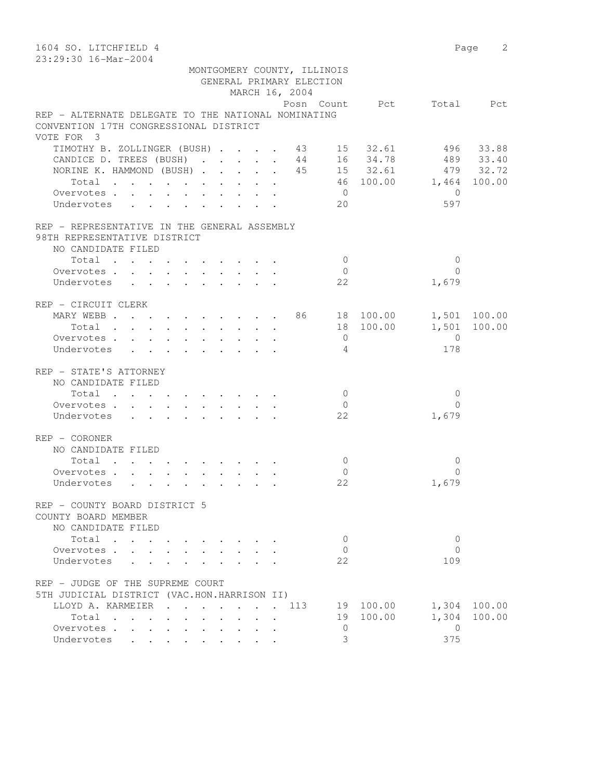| 1604 SO. LITCHFIELD 4<br>23:29:30 16-Mar-2004                      |                |                          | Page 2       |
|--------------------------------------------------------------------|----------------|--------------------------|--------------|
| MONTGOMERY COUNTY, ILLINOIS                                        |                |                          |              |
| GENERAL PRIMARY ELECTION                                           |                |                          |              |
| MARCH 16, 2004                                                     |                |                          |              |
|                                                                    |                | Posn Count Pct Total Pct |              |
| REP - ALTERNATE DELEGATE TO THE NATIONAL NOMINATING                |                |                          |              |
| CONVENTION 17TH CONGRESSIONAL DISTRICT                             |                |                          |              |
| VOTE FOR 3                                                         |                |                          |              |
| TIMOTHY B. ZOLLINGER (BUSH) 43 15 32.61 496 33.88                  |                |                          |              |
| CANDICE D. TREES (BUSH) 44 16 34.78 489 33.40                      |                |                          |              |
| NORINE K. HAMMOND (BUSH) 45 15 32.61 479 32.72                     |                |                          |              |
| Total                                                              |                | 46 100.00 1,464 100.00   |              |
| Overvotes                                                          | $\overline{0}$ | $\overline{0}$           |              |
| Undervotes                                                         | 20             | 597                      |              |
| REP - REPRESENTATIVE IN THE GENERAL ASSEMBLY                       |                |                          |              |
| 98TH REPRESENTATIVE DISTRICT                                       |                |                          |              |
| NO CANDIDATE FILED                                                 |                |                          |              |
| Total                                                              | $\bigcirc$     | $\mathbf{0}$             |              |
| Overvotes                                                          | $\bigcirc$     | $\Omega$                 |              |
| Undervotes                                                         | 22             | 1,679                    |              |
| REP - CIRCUIT CLERK                                                |                |                          |              |
| MARY WEBB 86 18 100.00 1,501 100.00                                |                |                          |              |
| Total                                                              | 18 100.00      |                          | 1,501 100.00 |
| Overvotes                                                          | $\overline{0}$ | $\overline{0}$           |              |
| Undervotes                                                         | 4              | 178                      |              |
| REP - STATE'S ATTORNEY                                             |                |                          |              |
| NO CANDIDATE FILED                                                 |                |                          |              |
| Total                                                              | $\bigcirc$     | $\mathbf{0}$             |              |
| Overvotes                                                          | $\overline{0}$ | $\Omega$                 |              |
| Undervotes                                                         | 22             | 1,679                    |              |
| REP - CORONER                                                      |                |                          |              |
| NO CANDIDATE FILED                                                 |                |                          |              |
| Total                                                              | $\mathbf{0}$   | $\mathbf{0}$             |              |
| Overvotes.                                                         | $\mathbf{0}$   | $\Omega$                 |              |
| Undervotes                                                         | 22             | 1,679                    |              |
| REP - COUNTY BOARD DISTRICT 5                                      |                |                          |              |
| COUNTY BOARD MEMBER                                                |                |                          |              |
| NO CANDIDATE FILED                                                 |                |                          |              |
| Total<br>$\mathbf{r}$ , $\mathbf{r}$ , $\mathbf{r}$ , $\mathbf{r}$ | $\mathbf{0}$   | $\mathbf{0}$             |              |
| Overvotes                                                          | $\mathbf{0}$   | $\Omega$                 |              |
| Undervotes                                                         | 22             | 109                      |              |
| REP - JUDGE OF THE SUPREME COURT                                   |                |                          |              |
| 5TH JUDICIAL DISTRICT (VAC.HON.HARRISON II)                        |                |                          |              |
| LLOYD A. KARMEIER<br>. 113                                         | 19 100.00      |                          | 1,304 100.00 |
| Total                                                              | 19 100.00      | 1,304                    | 100.00       |
| Overvotes                                                          | 0              | $\overline{0}$           |              |
| Undervotes                                                         | 3              | 375                      |              |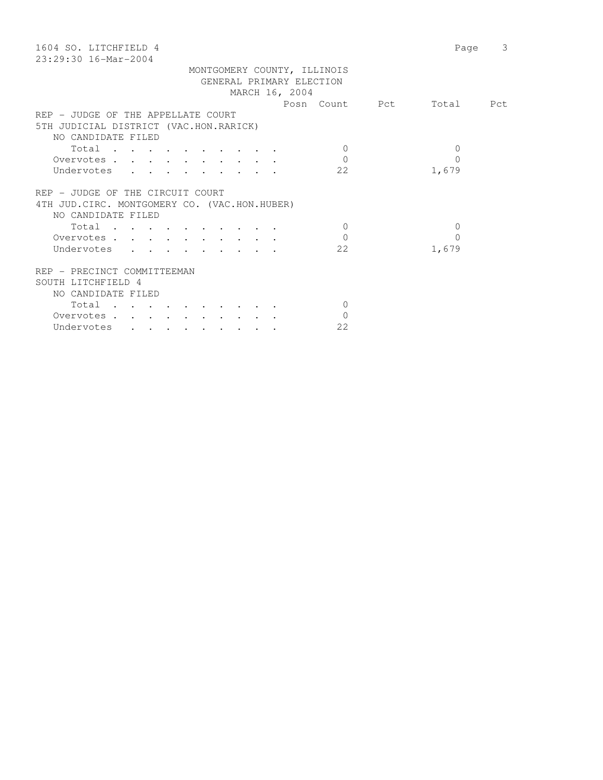| 1604 SO. LITCHFIELD 4<br>23:29:30 16-Mar-2004 | 3<br>Page |
|-----------------------------------------------|-----------|
|                                               |           |
| MONTGOMERY COUNTY, ILLINOIS                   |           |
| GENERAL PRIMARY ELECTION                      |           |
| MARCH 16, 2004                                |           |
| Posn Count Pct                                | Total Pct |
| REP - JUDGE OF THE APPELLATE COURT            |           |
| 5TH JUDICIAL DISTRICT (VAC.HON.RARICK)        |           |
| NO CANDIDATE FILED                            |           |
| Total<br>$\Omega$                             | $\Omega$  |
| $\Omega$<br>Overvotes                         | $\Omega$  |
| 22<br>Undervotes                              | 1,679     |
|                                               |           |
| REP - JUDGE OF THE CIRCUIT COURT              |           |
| 4TH JUD. CIRC. MONTGOMERY CO. (VAC.HON.HUBER) |           |
| NO CANDIDATE FILED                            |           |
| $\bigcirc$<br>Total                           | $\Omega$  |
| $\Omega$<br>Overvotes                         | $\Omega$  |
| 22<br>Undervotes                              |           |
|                                               | 1,679     |
|                                               |           |
| REP - PRECINCT COMMITTEEMAN                   |           |
| SOUTH LITCHFIELD 4                            |           |
| NO CANDIDATE FILED                            |           |
| $\Omega$<br>Total                             |           |
| $\Omega$<br>Overvotes.                        |           |
| 22<br>Undervotes                              |           |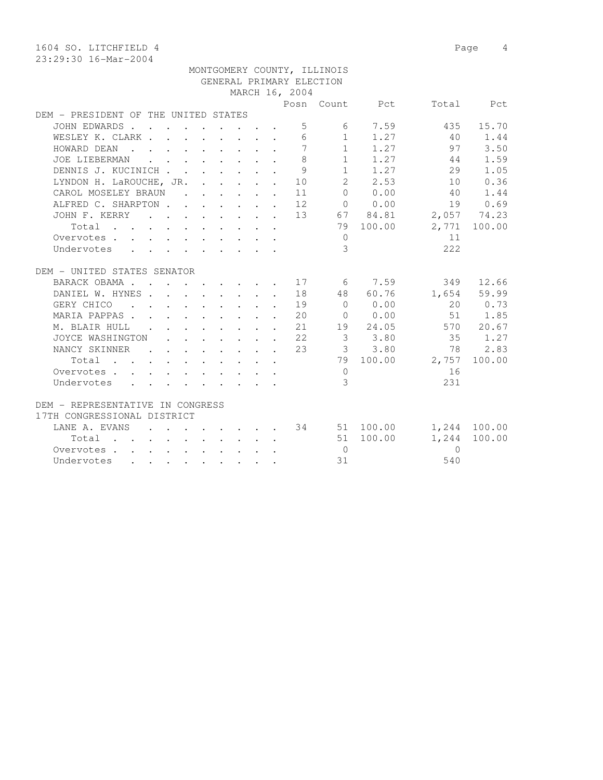1604 SO. LITCHFIELD 4 Page 4 23:29:30 16-Mar-2004

| DEM - PRESIDENI OF THE ONITED SIATES                                                                                 |                                                                                                                                      |  |  |  |                |                |                      |                                  |              |
|----------------------------------------------------------------------------------------------------------------------|--------------------------------------------------------------------------------------------------------------------------------------|--|--|--|----------------|----------------|----------------------|----------------------------------|--------------|
| JOHN EDWARDS.                                                                                                        | $\mathbf{r}$ , $\mathbf{r}$ , $\mathbf{r}$ , $\mathbf{r}$ , $\mathbf{r}$ , $\mathbf{r}$                                              |  |  |  | 5              |                | 6 7.59               | 435                              | 15.70        |
| WESLEY K. CLARK                                                                                                      |                                                                                                                                      |  |  |  | 6              |                | $1 \t 1.27$          | 40                               | 1.44         |
| HOWARD DEAN<br>$\mathbf{r}$ , and $\mathbf{r}$ , and $\mathbf{r}$ , and $\mathbf{r}$ , and $\mathbf{r}$              |                                                                                                                                      |  |  |  | $\overline{7}$ |                | $1 \t 1.27$          | 97                               | 3.50         |
| JOE LIEBERMAN                                                                                                        | $\mathbf{r}$ , $\mathbf{r}$ , $\mathbf{r}$ , $\mathbf{r}$ , $\mathbf{r}$ , $\mathbf{r}$                                              |  |  |  | 8              |                | $1 \t 1.27$          | 44                               | 1.59         |
| DENNIS J. KUCINICH                                                                                                   |                                                                                                                                      |  |  |  | 9              |                | $1 \t 1.27$          | 29                               | 1.05         |
| LYNDON H. LaROUCHE, JR.                                                                                              |                                                                                                                                      |  |  |  | 10             | $\overline{2}$ | 2.53                 | 10                               | 0.36         |
| CAROL MOSELEY BRAUN                                                                                                  |                                                                                                                                      |  |  |  | 11             | $\Omega$       | 0.00                 | 40                               | 1.44         |
| ALFRED C. SHARPTON 12                                                                                                |                                                                                                                                      |  |  |  |                |                | $0 \t 0.00$          | 19                               | 0.69         |
| JOHN F. KERRY                                                                                                        |                                                                                                                                      |  |  |  |                |                |                      | $\cdots$ 13 67 84.81 2,057 74.23 |              |
| Total                                                                                                                |                                                                                                                                      |  |  |  |                |                | 79 100.00            |                                  | 2,771 100.00 |
| Overvotes.                                                                                                           | $\mathbf{r}$ , $\mathbf{r}$ , $\mathbf{r}$ , $\mathbf{r}$ , $\mathbf{r}$ , $\mathbf{r}$ , $\mathbf{r}$ , $\mathbf{r}$ , $\mathbf{r}$ |  |  |  |                | $\Omega$       |                      | 11                               |              |
| Undervotes                                                                                                           |                                                                                                                                      |  |  |  |                | 3              |                      | 222                              |              |
|                                                                                                                      |                                                                                                                                      |  |  |  |                |                |                      |                                  |              |
| DEM - UNITED STATES SENATOR                                                                                          |                                                                                                                                      |  |  |  |                |                |                      |                                  |              |
| BARACK OBAMA 17 6 7.59                                                                                               |                                                                                                                                      |  |  |  |                |                |                      |                                  | 349 12.66    |
| DANIEL W. HYNES 18                                                                                                   |                                                                                                                                      |  |  |  |                | 48             | 60.76                |                                  | 1,654 59.99  |
| GERY CHICO                                                                                                           | . 19                                                                                                                                 |  |  |  |                | $\bigcap$      | 0.00                 |                                  | 20 0.73      |
| MARIA PAPPAS.                                                                                                        |                                                                                                                                      |  |  |  | 20             |                | 0 0.00               |                                  | 51 1.85      |
| M. BLAIR HULL<br><b>Contract Contract Contract</b>                                                                   |                                                                                                                                      |  |  |  | $\cdot$ 21     |                | 19 24.05             |                                  | 570 20.67    |
| JOYCE WASHINGTON                                                                                                     |                                                                                                                                      |  |  |  | . 22           |                | 33.80                | 35 1.27                          |              |
| NANCY SKINNER                                                                                                        | $\mathbf{r}$ , and $\mathbf{r}$ , and $\mathbf{r}$ , and $\mathbf{r}$                                                                |  |  |  | 23             |                | 3 3.80               |                                  | 78 2.83      |
| Total<br>$\mathbf{r}$ , and $\mathbf{r}$ , and $\mathbf{r}$ , and $\mathbf{r}$ , and $\mathbf{r}$ , and $\mathbf{r}$ |                                                                                                                                      |  |  |  |                |                | 79 100.00            |                                  | 2,757 100.00 |
| Overvotes                                                                                                            |                                                                                                                                      |  |  |  |                | $\Omega$       |                      | 16                               |              |
| Undervotes                                                                                                           |                                                                                                                                      |  |  |  |                | 3              |                      | 231                              |              |
|                                                                                                                      |                                                                                                                                      |  |  |  |                |                |                      |                                  |              |
| DEM - REPRESENTATIVE IN CONGRESS                                                                                     |                                                                                                                                      |  |  |  |                |                |                      |                                  |              |
| 17TH CONGRESSIONAL DISTRICT                                                                                          |                                                                                                                                      |  |  |  |                |                |                      |                                  |              |
| LANE A. EVANS                                                                                                        |                                                                                                                                      |  |  |  |                |                | $\cdot$ 34 51 100.00 |                                  | 1,244 100.00 |
| Total                                                                                                                |                                                                                                                                      |  |  |  |                |                | 51 100.00            |                                  | 1,244 100.00 |
| Overvotes                                                                                                            |                                                                                                                                      |  |  |  |                | $\bigcirc$     |                      | $\Omega$                         |              |
| Undervotes                                                                                                           |                                                                                                                                      |  |  |  |                | 31             |                      | 540                              |              |
|                                                                                                                      |                                                                                                                                      |  |  |  |                |                |                      |                                  |              |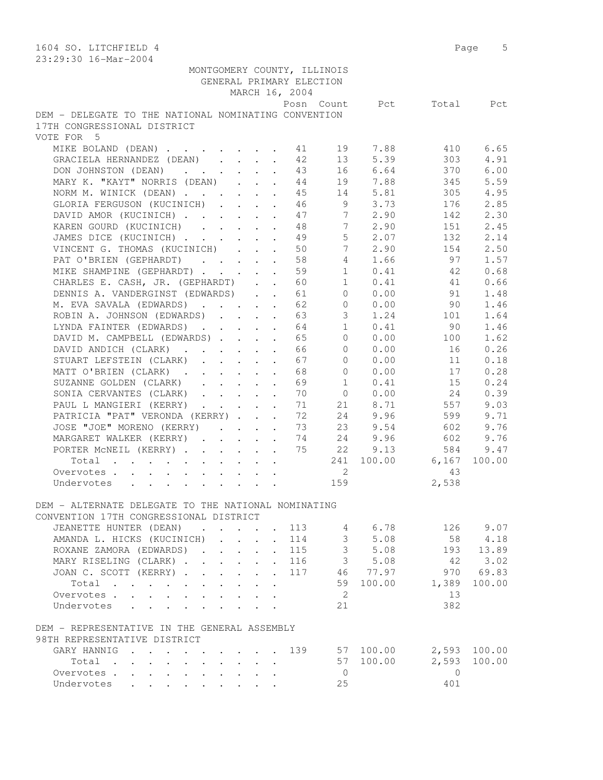| 1604 SO. LITCHFIELD 4                                                                                | Page 5                    |
|------------------------------------------------------------------------------------------------------|---------------------------|
| 23:29:30 16-Mar-2004                                                                                 |                           |
| MONTGOMERY COUNTY, ILLINOIS                                                                          |                           |
| GENERAL PRIMARY ELECTION                                                                             |                           |
| MARCH 16, 2004                                                                                       |                           |
| Posn Count                                                                                           | Pct<br>Total<br>Pct       |
| DEM - DELEGATE TO THE NATIONAL NOMINATING CONVENTION                                                 |                           |
| 17TH CONGRESSIONAL DISTRICT                                                                          |                           |
| VOTE FOR 5                                                                                           |                           |
| MIKE BOLAND (DEAN)<br>41<br>19                                                                       | 7.88<br>6.65<br>410       |
| GRACIELA HERNANDEZ (DEAN)<br>42<br>13                                                                | 5.39<br>303<br>4.91       |
| 16 6.64<br>DON JOHNSTON (DEAN)<br>43                                                                 | 6.00<br>370               |
| MARY K. "KAYT" NORRIS (DEAN)<br>19 7.88                                                              | 5.59<br>345               |
| 44                                                                                                   |                           |
| NORM M. WINICK (DEAN)<br>45<br>14 5.81                                                               | 305<br>4.95               |
| GLORIA FERGUSON (KUCINICH)<br>46<br>9                                                                | 3.73<br>2.85<br>176       |
| 7<br>DAVID AMOR (KUCINICH)<br>47                                                                     | 2.90<br>2.30<br>142       |
| 7<br>KAREN GOURD (KUCINICH)<br>48                                                                    | 2.45<br>2.90<br>151       |
| 5 <sup>5</sup><br>JAMES DICE (KUCINICH)<br>49                                                        | 132<br>2.14<br>2.07       |
| 7 <sup>7</sup><br>VINCENT G. THOMAS (KUCINICH)<br>50                                                 | 2.50<br>2.90<br>154       |
| PAT O'BRIEN (GEPHARDT)<br>58<br>$4 -$                                                                | 97<br>1.57<br>1.66        |
| MIKE SHAMPINE (GEPHARDT)<br>59<br>$\mathbf{1}$                                                       | 0.68<br>0.41<br>42        |
| CHARLES E. CASH, JR. (GEPHARDT)<br>60<br>1                                                           | 0.41<br>41<br>0.66        |
| DENNIS A. VANDERGINST (EDWARDS)<br>61<br>$0 \qquad \qquad$                                           | 0.00<br>91<br>1.48        |
| M. EVA SAVALA (EDWARDS)<br>62<br>$\overline{0}$                                                      | 1.46<br>0.00<br>90        |
| $\mathcal{S}$<br>ROBIN A. JOHNSON (EDWARDS)<br>63                                                    | 1.24<br>1.64<br>101       |
| 1<br>LYNDA FAINTER (EDWARDS)<br>64                                                                   | 0.41<br>1.46<br>90        |
| DAVID M. CAMPBELL (EDWARDS)<br>65<br>$\overline{0}$                                                  | 1.62<br>0.00<br>100       |
| $\circ$<br>DAVID ANDICH (CLARK)<br>66<br>$\ddot{\phantom{a}}$                                        | 0.00<br>0.26<br>16        |
| 67<br>STUART LEFSTEIN (CLARK)<br>$\Omega$                                                            | 0.00<br>0.18<br>11        |
| MATT O'BRIEN (CLARK)<br>68<br>$\Omega$                                                               | 0.00<br>0.28<br>17        |
| SUZANNE GOLDEN (CLARK)<br>69<br>$\mathbf{1}$                                                         | 0.41<br>15<br>0.24        |
| SONIA CERVANTES (CLARK)<br>70<br>$\overline{0}$                                                      | 0.39<br>0.00<br>24        |
| 21 8.71<br>PAUL L MANGIERI (KERRY)<br>71                                                             | 557<br>9.03               |
| 24 9.96<br>PATRICIA "PAT" VERONDA (KERRY)<br>72                                                      | 599<br>9.71               |
| 23<br>JOSE "JOE" MORENO (KERRY)<br>73                                                                | 602<br>9.76<br>9.54       |
| 24<br>MARGARET WALKER (KERRY)<br>74                                                                  | 9.96<br>602<br>9.76       |
| PORTER MCNEIL (KERRY)<br>75<br>22                                                                    | 9.13<br>9.47<br>584       |
| Total<br>241                                                                                         | 100.00<br>6,167<br>100.00 |
| 2<br>Overvotes                                                                                       | 43                        |
| 159<br>Undervotes                                                                                    | 2,538                     |
|                                                                                                      |                           |
| DEM - ALTERNATE DELEGATE TO THE NATIONAL NOMINATING                                                  |                           |
| CONVENTION 17TH CONGRESSIONAL DISTRICT                                                               |                           |
| JEANETTE HUNTER (DEAN) 113                                                                           | 126 9.07                  |
| AMANDA L. HICKS (KUCINICH) 114                                                                       |                           |
| $\begin{array}{cc} 4 & 6.78 \\ 3 & 5.08 \\ 3 & 5.08 \end{array}$<br>ROXANE ZAMORA (EDWARDS)<br>. 115 | 58 4.18<br>193 13.89      |
| 3, 5.08<br>MARY RISELING (CLARK) 116                                                                 | 3.02<br>42                |
| JOAN C. SCOTT (KERRY) 117                                                                            | 46 77.97<br>970 69.83     |
|                                                                                                      | 59 100.00 1,389           |
| Total                                                                                                | 100.00                    |
| $\overline{2}$<br>Overvotes.                                                                         | 13                        |
| 21<br>Undervotes                                                                                     | 382                       |
|                                                                                                      |                           |
| DEM - REPRESENTATIVE IN THE GENERAL ASSEMBLY                                                         |                           |
| 98TH REPRESENTATIVE DISTRICT                                                                         |                           |
| GARY HANNIG 139 57 100.00 2,593 100.00                                                               |                           |
| Total                                                                                                | 57 100.00 2,593<br>100.00 |
| Overvotes.<br>$\overline{0}$                                                                         | $\overline{0}$            |
| Undervotes<br>25                                                                                     | 401                       |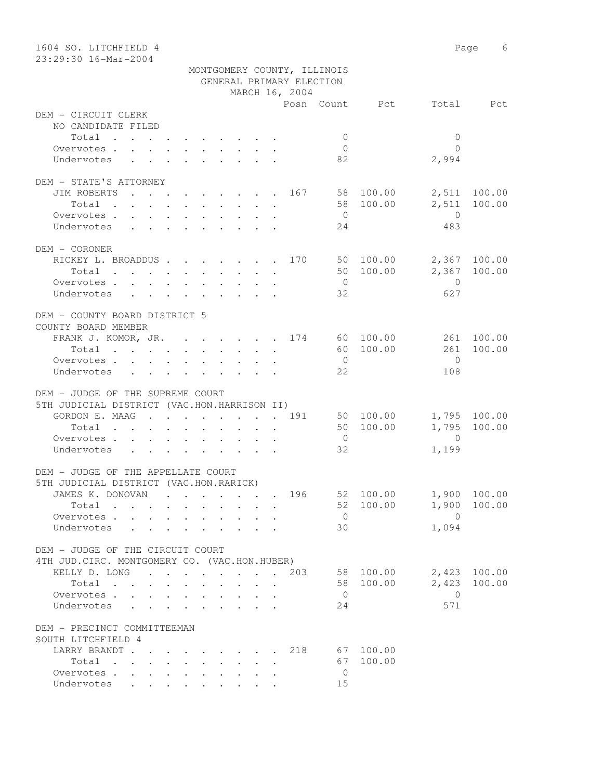| 1604 SO. LITCHFIELD 4                                                        |                             |                                  | Page 6         |
|------------------------------------------------------------------------------|-----------------------------|----------------------------------|----------------|
| 23:29:30 16-Mar-2004                                                         |                             |                                  |                |
|                                                                              | MONTGOMERY COUNTY, ILLINOIS |                                  |                |
|                                                                              | GENERAL PRIMARY ELECTION    |                                  |                |
|                                                                              | MARCH 16, 2004              |                                  |                |
|                                                                              |                             | Posn Count Pct                   | Total Pct      |
| DEM - CIRCUIT CLERK                                                          |                             |                                  |                |
| NO CANDIDATE FILED                                                           |                             |                                  |                |
| Total                                                                        |                             | $\overline{0}$                   | $\mathbf{0}$   |
| Overvotes.                                                                   |                             | $\overline{0}$                   | $\bigcap$      |
| Undervotes                                                                   |                             | 82<br>2,994                      |                |
| DEM - STATE'S ATTORNEY                                                       |                             |                                  |                |
| JIM ROBERTS                                                                  |                             | . 167 58 100.00                  | 2,511 100.00   |
| Total                                                                        |                             | 58 100.00<br>2,511               | 100.00         |
| Overvotes                                                                    |                             | $\overline{0}$<br>$\overline{0}$ |                |
| Undervotes                                                                   |                             | 24                               | 483            |
|                                                                              |                             |                                  |                |
| DEM - CORONER                                                                |                             |                                  |                |
| RICKEY L. BROADDUS 170 50 100.00                                             |                             |                                  | 2,367 100.00   |
| Total $\cdot$                                                                |                             | 50 100.00                        | 2,367 100.00   |
| Overvotes                                                                    |                             | $\overline{0}$<br>$\overline{0}$ |                |
| Undervotes                                                                   |                             | 32                               | 627            |
|                                                                              |                             |                                  |                |
| DEM - COUNTY BOARD DISTRICT 5                                                |                             |                                  |                |
| COUNTY BOARD MEMBER                                                          |                             |                                  |                |
| FRANK J. KOMOR, JR. 174 60 100.00                                            |                             |                                  | 261 100.00     |
| Total                                                                        |                             | 60 100.00                        | 100.00<br>261  |
| Overvotes.                                                                   |                             | $\overline{0}$                   | $\bigcirc$     |
| Undervotes                                                                   |                             | 22                               | 108            |
|                                                                              |                             |                                  |                |
| DEM - JUDGE OF THE SUPREME COURT                                             |                             |                                  |                |
| 5TH JUDICIAL DISTRICT (VAC.HON.HARRISON II)                                  |                             |                                  |                |
| GORDON E. MAAG 191                                                           |                             | 50 100.00                        | 1,795 100.00   |
| Total                                                                        |                             | 50 100.00                        | 1,795 100.00   |
| Overvotes.                                                                   |                             | $\overline{0}$<br>$\overline{0}$ |                |
| Undervotes                                                                   |                             | 32<br>1,199                      |                |
|                                                                              |                             |                                  |                |
| DEM - JUDGE OF THE APPELLATE COURT<br>5TH JUDICIAL DISTRICT (VAC.HON.RARICK) |                             |                                  |                |
|                                                                              |                             |                                  |                |
| JAMES K. DONOVAN                                                             | 196                         | 52 100.00                        | 1,900 100.00   |
| Total                                                                        |                             | 52 100.00<br>1,900               | 100.00         |
| Overvotes                                                                    |                             | $\overline{0}$<br>$\overline{0}$ |                |
| Undervotes<br>$\sim$ $\sim$                                                  |                             | 1,094<br>30                      |                |
| DEM - JUDGE OF THE CIRCUIT COURT                                             |                             |                                  |                |
| 4TH JUD. CIRC. MONTGOMERY CO. (VAC.HON.HUBER)                                |                             |                                  |                |
| KELLY D. LONG 203                                                            |                             | 58 100.00                        | 2,423 100.00   |
| Total                                                                        |                             | 2,423<br>58 100.00               | 100.00         |
| Overvotes                                                                    |                             | $\overline{0}$                   | $\overline{0}$ |
| Undervotes                                                                   |                             | 24                               | 571            |
|                                                                              |                             |                                  |                |
| DEM - PRECINCT COMMITTEEMAN                                                  |                             |                                  |                |
| SOUTH LITCHFIELD 4                                                           |                             |                                  |                |
| LARRY BRANDT 218                                                             |                             | 67 100.00                        |                |
| Total                                                                        |                             | 67<br>100.00                     |                |
| Overvotes.                                                                   |                             | $\overline{0}$                   |                |
| Undervotes                                                                   |                             | 15                               |                |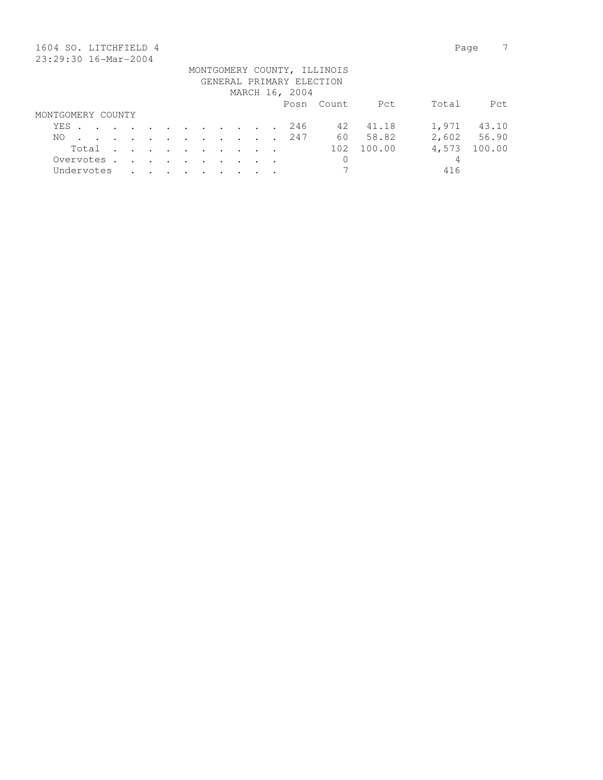| 1604 SO. LITCHFIELD 4 |            |  |               |                      |                                                                       |               |               |        |                                                             |  |                          |                             |        | Page  |        |
|-----------------------|------------|--|---------------|----------------------|-----------------------------------------------------------------------|---------------|---------------|--------|-------------------------------------------------------------|--|--------------------------|-----------------------------|--------|-------|--------|
| 23:29:30 16-Mar-2004  |            |  |               |                      |                                                                       |               |               |        |                                                             |  |                          |                             |        |       |        |
|                       |            |  |               |                      |                                                                       |               |               |        |                                                             |  |                          | MONTGOMERY COUNTY, ILLINOIS |        |       |        |
|                       |            |  |               |                      |                                                                       |               |               |        |                                                             |  | GENERAL PRIMARY ELECTION |                             |        |       |        |
|                       |            |  |               |                      |                                                                       |               |               |        |                                                             |  | MARCH 16, 2004           |                             |        |       |        |
|                       |            |  |               |                      |                                                                       |               |               |        |                                                             |  |                          | Posn Count                  | Pct    | Total | Pct    |
| MONTGOMERY COUNTY     |            |  |               |                      |                                                                       |               |               |        |                                                             |  |                          |                             |        |       |        |
| YES.                  |            |  |               |                      | $\mathbf{r}$ , and $\mathbf{r}$ , and $\mathbf{r}$ , and $\mathbf{r}$ |               |               |        |                                                             |  | 246                      | 42                          | 41.18  | 1,971 | 43.10  |
| NO.                   |            |  | $\sim$ $\sim$ | $\sim$ $\sim$        |                                                                       |               |               |        | $\mathcal{L}(\mathcal{A})$ , and $\mathcal{L}(\mathcal{A})$ |  | 247                      | 60                          | 58.82  | 2,602 | 56.90  |
|                       | Total      |  | $\sim$        | $\sim$ $\sim$        | $\sim$ $\sim$                                                         | $\sim$ $\sim$ | $\sim$ $\sim$ | $\sim$ |                                                             |  |                          | 102                         | 100.00 | 4,573 | 100.00 |
|                       | Overvotes. |  | $\sim$        | $\ddot{\phantom{a}}$ | $\sim$                                                                |               | $\sim$        |        |                                                             |  |                          | 0                           |        | 4     |        |
|                       | Undervotes |  |               |                      |                                                                       |               |               |        |                                                             |  |                          | 7                           |        | 416   |        |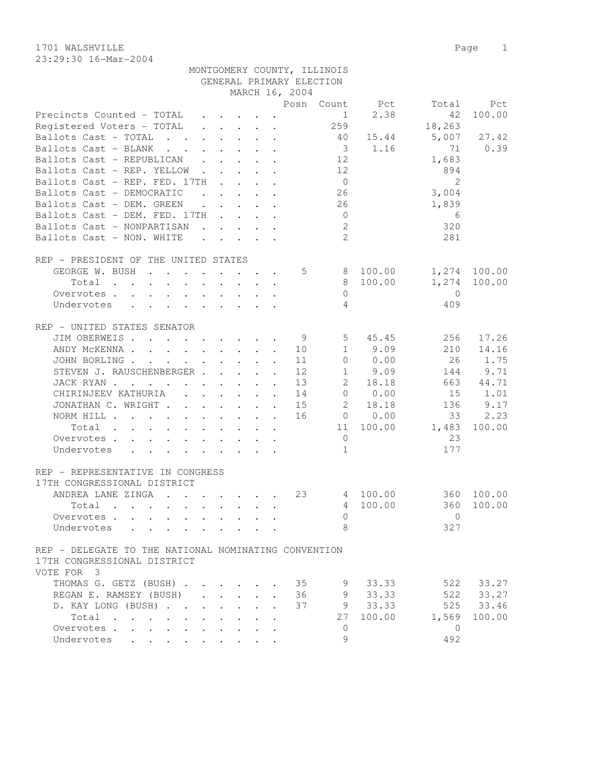1701 WALSHVILLE Page 1 23:29:30 16-Mar-2004

| 23:29:30 16-Mar-2004                                                                                |                |                             |        |       |
|-----------------------------------------------------------------------------------------------------|----------------|-----------------------------|--------|-------|
|                                                                                                     |                | MONTGOMERY COUNTY, ILLINOIS |        |       |
|                                                                                                     |                | GENERAL PRIMARY ELECTION    |        |       |
|                                                                                                     | MARCH 16, 2004 |                             |        |       |
|                                                                                                     |                | Posn Count Pct              | Total  | - Pet |
| Precincts Counted - TOTAL $\qquad \qquad$ $\qquad \qquad$ 1 $\qquad$ 2.38 $\qquad \qquad$ 42 100.00 |                |                             |        |       |
|                                                                                                     |                | 259                         | 18,263 |       |

| Registered Voters - TOTAL                                                                                                                                                                                                                    |  |                                                           |                | 259             |             | 18,263         |              |
|----------------------------------------------------------------------------------------------------------------------------------------------------------------------------------------------------------------------------------------------|--|-----------------------------------------------------------|----------------|-----------------|-------------|----------------|--------------|
| Ballots Cast - TOTAL                                                                                                                                                                                                                         |  |                                                           |                | 40              | 15.44       | 5,007          | 27.42        |
| Ballots Cast - BLANK                                                                                                                                                                                                                         |  |                                                           |                |                 | $3 \t 1.16$ | 71             | 0.39         |
| Ballots Cast - REPUBLICAN 12                                                                                                                                                                                                                 |  |                                                           |                |                 |             | 1,683          |              |
| Ballots Cast - REP. YELLOW                                                                                                                                                                                                                   |  |                                                           |                | 12              |             | 894            |              |
| Ballots Cast - REP. FED. 17TH                                                                                                                                                                                                                |  |                                                           |                | $\overline{0}$  |             | - 2            |              |
| Ballots Cast - DEMOCRATIC                                                                                                                                                                                                                    |  |                                                           |                | 26              |             | 3,004          |              |
| Ballots Cast - DEM. GREEN                                                                                                                                                                                                                    |  | $\mathbf{r}$ , $\mathbf{r}$ , $\mathbf{r}$ , $\mathbf{r}$ |                | 26              |             | 1,839          |              |
| Ballots Cast - DEM. FED. 17TH                                                                                                                                                                                                                |  |                                                           |                | $\overline{0}$  |             | 6              |              |
|                                                                                                                                                                                                                                              |  |                                                           |                |                 |             |                |              |
| Ballots Cast - NONPARTISAN                                                                                                                                                                                                                   |  |                                                           |                | 2               |             | 320            |              |
| Ballots Cast - NON. WHITE                                                                                                                                                                                                                    |  |                                                           |                | 2               |             | 281            |              |
| REP - PRESIDENT OF THE UNITED STATES                                                                                                                                                                                                         |  |                                                           |                |                 |             |                |              |
| GEORGE W. BUSH                                                                                                                                                                                                                               |  |                                                           | 5 <sub>1</sub> |                 | 8 100.00    |                | 1,274 100.00 |
| Total                                                                                                                                                                                                                                        |  |                                                           |                |                 | 8 100.00    | 1,274          | 100.00       |
|                                                                                                                                                                                                                                              |  |                                                           |                | $\overline{0}$  |             | $\overline{0}$ |              |
| Overvotes                                                                                                                                                                                                                                    |  |                                                           |                |                 |             |                |              |
| Undervotes                                                                                                                                                                                                                                   |  |                                                           |                | $\overline{4}$  |             | 409            |              |
| REP - UNITED STATES SENATOR                                                                                                                                                                                                                  |  |                                                           |                |                 |             |                |              |
| JIM OBERWEIS9                                                                                                                                                                                                                                |  |                                                           |                | $5\phantom{.0}$ | 45.45       | 256            | 17.26        |
| ANDY MCKENNA                                                                                                                                                                                                                                 |  |                                                           | 10             |                 | 1 9.09      | 210            | 14.16        |
| JOHN BORLING                                                                                                                                                                                                                                 |  |                                                           | 11             |                 | 0 0.00      | 26             | 1.75         |
| STEVEN J. RAUSCHENBERGER                                                                                                                                                                                                                     |  |                                                           | 12             |                 | 1 9.09      | 144            | 9.71         |
|                                                                                                                                                                                                                                              |  |                                                           |                | $2^{\circ}$     | 18.18       |                |              |
| JACK RYAN                                                                                                                                                                                                                                    |  |                                                           | 13             |                 |             | 663            | 44.71        |
| CHIRINJEEV KATHURIA (CHIRINJEEV KATHURIA)                                                                                                                                                                                                    |  |                                                           | 14             | $\overline{0}$  | 0.00        | 15             | 1.01         |
| JONATHAN C. WRIGHT                                                                                                                                                                                                                           |  |                                                           | 15             | $\mathbf{2}$    | 18.18       | 136            | 9.17         |
| NORM HILL                                                                                                                                                                                                                                    |  |                                                           | 16             |                 | 0 0.00      | 33             | 2.23         |
| Total                                                                                                                                                                                                                                        |  |                                                           |                |                 | 11 100.00   | 1,483          | 100.00       |
| Overvotes.                                                                                                                                                                                                                                   |  |                                                           |                | $\overline{0}$  |             | 23             |              |
| Undervotes                                                                                                                                                                                                                                   |  |                                                           |                | $\mathbf{1}$    |             | 177            |              |
|                                                                                                                                                                                                                                              |  |                                                           |                |                 |             |                |              |
| REP - REPRESENTATIVE IN CONGRESS<br>17TH CONGRESSIONAL DISTRICT                                                                                                                                                                              |  |                                                           |                |                 |             |                |              |
|                                                                                                                                                                                                                                              |  |                                                           |                |                 |             | 360            | 100.00       |
| ANDREA LANE ZINGA 23 4 100.00                                                                                                                                                                                                                |  |                                                           |                |                 |             |                |              |
| Total                                                                                                                                                                                                                                        |  |                                                           |                | 4               | 100.00      | 360            | 100.00       |
| Overvotes                                                                                                                                                                                                                                    |  |                                                           |                | $\circ$         |             | $\bigcirc$     |              |
| and the contract of the contract of the contract of the contract of the contract of the contract of the contract of the contract of the contract of the contract of the contract of the contract of the contract of the contra<br>Undervotes |  |                                                           |                | 8               |             | 327            |              |
| REP - DELEGATE TO THE NATIONAL NOMINATING CONVENTION                                                                                                                                                                                         |  |                                                           |                |                 |             |                |              |
| 17TH CONGRESSIONAL DISTRICT                                                                                                                                                                                                                  |  |                                                           |                |                 |             |                |              |
| VOTE FOR 3                                                                                                                                                                                                                                   |  |                                                           |                |                 |             |                |              |
|                                                                                                                                                                                                                                              |  |                                                           |                |                 |             |                |              |
| THOMAS G. GETZ (BUSH) .<br>$\mathbf{r}$                                                                                                                                                                                                      |  |                                                           | 35             | 9               | 33.33       | 522            | 33.27        |
| REGAN E. RAMSEY (BUSH)                                                                                                                                                                                                                       |  |                                                           | 36             | 9               | 33.33       | 522            | 33.27        |
| D. KAY LONG (BUSH).                                                                                                                                                                                                                          |  |                                                           | 37             | 9               | 33.33       | 525            | 33.46        |
| Total                                                                                                                                                                                                                                        |  |                                                           |                | 27              | 100.00      | 1,569          | 100.00       |
| Overvotes<br>$\ddot{\phantom{0}}$<br>$\ddot{\phantom{a}}$                                                                                                                                                                                    |  |                                                           |                | $\mathbf{0}$    |             | $\Omega$       |              |
| Undervotes<br>$\sim$ $\sim$ $\sim$ $\sim$ $\sim$                                                                                                                                                                                             |  |                                                           |                | $\mathsf{Q}$    |             | 492            |              |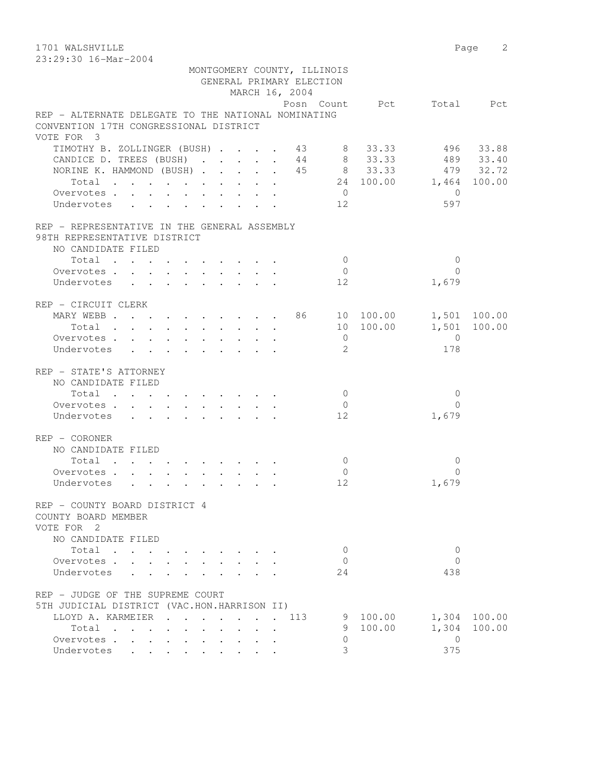1701 WALSHVILLE 2 23:29:30 16-Mar-2004

|                                                                                                  |  |  |  |  | MARCH 16, 2004 | MONTGOMERY COUNTY, ILLINOIS<br>GENERAL PRIMARY ELECTION |           |                              |              |
|--------------------------------------------------------------------------------------------------|--|--|--|--|----------------|---------------------------------------------------------|-----------|------------------------------|--------------|
|                                                                                                  |  |  |  |  |                |                                                         |           | Posn Count Pct Total Pct     |              |
| REP - ALTERNATE DELEGATE TO THE NATIONAL NOMINATING<br>CONVENTION 17TH CONGRESSIONAL DISTRICT    |  |  |  |  |                |                                                         |           |                              |              |
| VOTE FOR 3                                                                                       |  |  |  |  |                |                                                         |           |                              |              |
| TIMOTHY B. ZOLLINGER (BUSH) 43 8 33.33 496 33.88<br>CANDICE D. TREES (BUSH) 44 8 33.33 489 33.40 |  |  |  |  |                |                                                         |           |                              |              |
| NORINE K. HAMMOND (BUSH) 45 8 33.33 479 32.72                                                    |  |  |  |  |                |                                                         |           |                              |              |
|                                                                                                  |  |  |  |  |                |                                                         |           | Total 24 100.00 1,464 100.00 |              |
| Overvotes.<br>Undervotes 12                                                                      |  |  |  |  |                | $\overline{0}$                                          |           | $\bigcirc$<br>597            |              |
| REP - REPRESENTATIVE IN THE GENERAL ASSEMBLY                                                     |  |  |  |  |                |                                                         |           |                              |              |
| 98TH REPRESENTATIVE DISTRICT                                                                     |  |  |  |  |                |                                                         |           |                              |              |
| NO CANDIDATE FILED                                                                               |  |  |  |  |                |                                                         |           |                              |              |
| Total                                                                                            |  |  |  |  |                | $\bigcirc$                                              |           | $\Omega$                     |              |
| Overvotes.                                                                                       |  |  |  |  |                | $\overline{0}$                                          |           | $\Omega$                     |              |
| Undervotes                                                                                       |  |  |  |  |                | 12                                                      |           | 1,679                        |              |
| REP - CIRCUIT CLERK                                                                              |  |  |  |  |                |                                                         |           |                              |              |
| MARY WEBB 86 10 100.00                                                                           |  |  |  |  |                |                                                         |           |                              | 1,501 100.00 |
| $Total \cdot \cdot \cdot \cdot \cdot \cdot \cdot \cdot \cdot \cdot$                              |  |  |  |  |                |                                                         | 10 100.00 |                              | 1,501 100.00 |
| Overvotes.                                                                                       |  |  |  |  |                | $\overline{0}$                                          |           | $\overline{0}$               |              |
| Undervotes                                                                                       |  |  |  |  |                | 2                                                       |           | 178                          |              |
| REP - STATE'S ATTORNEY                                                                           |  |  |  |  |                |                                                         |           |                              |              |
| NO CANDIDATE FILED                                                                               |  |  |  |  |                |                                                         |           |                              |              |
| Total $\cdot$                                                                                    |  |  |  |  |                | $\overline{0}$                                          |           | $\overline{0}$               |              |
| Overvotes                                                                                        |  |  |  |  |                | $\overline{0}$                                          |           | $\Omega$                     |              |
| Undervotes                                                                                       |  |  |  |  |                | 12                                                      |           | 1,679                        |              |
| REP - CORONER                                                                                    |  |  |  |  |                |                                                         |           |                              |              |
| NO CANDIDATE FILED                                                                               |  |  |  |  |                |                                                         |           |                              |              |
| Total                                                                                            |  |  |  |  |                | $\overline{0}$                                          |           | $\Omega$                     |              |
| Overvotes.                                                                                       |  |  |  |  |                | $\overline{0}$                                          |           | $\Omega$                     |              |
| Undervotes                                                                                       |  |  |  |  |                | 12                                                      |           | 1,679                        |              |
| REP - COUNTY BOARD DISTRICT 4                                                                    |  |  |  |  |                |                                                         |           |                              |              |
| COUNTY BOARD MEMBER                                                                              |  |  |  |  |                |                                                         |           |                              |              |
| VOTE FOR 2                                                                                       |  |  |  |  |                |                                                         |           |                              |              |
| NO CANDIDATE FILED                                                                               |  |  |  |  |                |                                                         |           |                              |              |
| Total                                                                                            |  |  |  |  |                | $\mathbf{0}$                                            |           | 0                            |              |
| Overvotes                                                                                        |  |  |  |  |                | $\Omega$                                                |           | $\Omega$                     |              |
| Undervotes                                                                                       |  |  |  |  |                | 24                                                      |           | 438                          |              |
| REP - JUDGE OF THE SUPREME COURT                                                                 |  |  |  |  |                |                                                         |           |                              |              |
| 5TH JUDICIAL DISTRICT (VAC.HON.HARRISON II)                                                      |  |  |  |  |                |                                                         |           |                              |              |
| LLOYD A. KARMEIER                                                                                |  |  |  |  | 113            |                                                         | 9 100.00  |                              | 1,304 100.00 |
| Total                                                                                            |  |  |  |  |                | 9                                                       | 100.00    | 1,304                        | 100.00       |
| Overvotes                                                                                        |  |  |  |  |                | $\Omega$                                                |           | $\Omega$                     |              |
| Undervotes                                                                                       |  |  |  |  |                | 3                                                       |           | 375                          |              |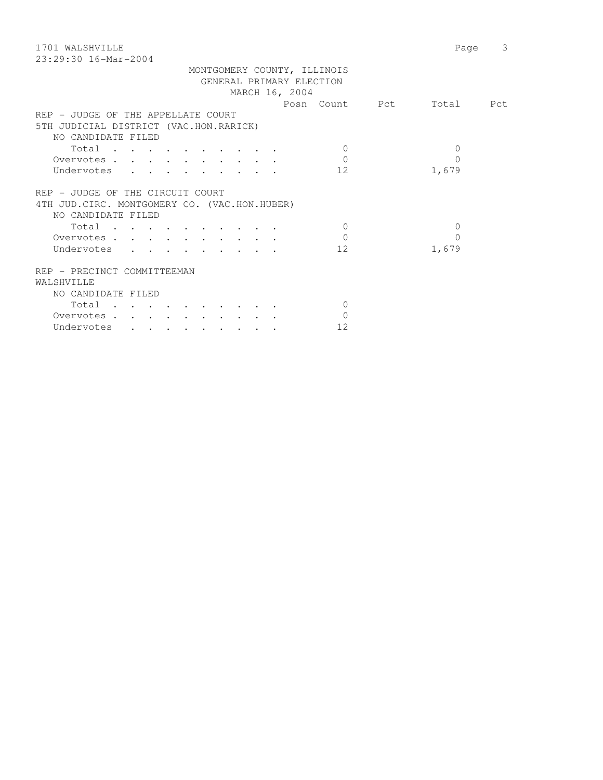| 1701 WALSHVILLE                                                                                                                     | Page      | $\mathcal{E}$ |
|-------------------------------------------------------------------------------------------------------------------------------------|-----------|---------------|
| $23:29:30$ 16-Mar-2004                                                                                                              |           |               |
| MONTGOMERY COUNTY, ILLINOIS                                                                                                         |           |               |
| GENERAL PRIMARY ELECTION                                                                                                            |           |               |
| MARCH 16, 2004                                                                                                                      |           |               |
| Posn Count Pct                                                                                                                      | Total Pct |               |
| REP - JUDGE OF THE APPELLATE COURT                                                                                                  |           |               |
| 5TH JUDICIAL DISTRICT (VAC.HON.RARICK)                                                                                              |           |               |
| NO CANDIDATE FILED                                                                                                                  |           |               |
| Total<br>$\Omega$                                                                                                                   | $\Omega$  |               |
| $\Omega$                                                                                                                            | $\Omega$  |               |
| Overvotes                                                                                                                           |           |               |
| 12<br>Undervotes                                                                                                                    | 1,679     |               |
|                                                                                                                                     |           |               |
| REP - JUDGE OF THE CIRCUIT COURT                                                                                                    |           |               |
| 4TH JUD. CIRC. MONTGOMERY CO. (VAC.HON.HUBER)                                                                                       |           |               |
| NO CANDIDATE FILED                                                                                                                  |           |               |
| Total<br>$\Omega$                                                                                                                   | 0         |               |
| $\Omega$<br>Overvotes                                                                                                               | $\Omega$  |               |
| Undervotes<br>12                                                                                                                    | 1,679     |               |
|                                                                                                                                     |           |               |
| REP - PRECINCT COMMITTEEMAN                                                                                                         |           |               |
| WALSHVILLE                                                                                                                          |           |               |
| NO CANDIDATE FILED                                                                                                                  |           |               |
| Total<br>$\mathbf{0}$                                                                                                               |           |               |
| $\Omega$<br>Overvotes.                                                                                                              |           |               |
| 12<br>Undervotes<br>$\begin{array}{cccccccccccccc} \bullet & \bullet & \bullet & \bullet & \bullet & \bullet & \bullet \end{array}$ |           |               |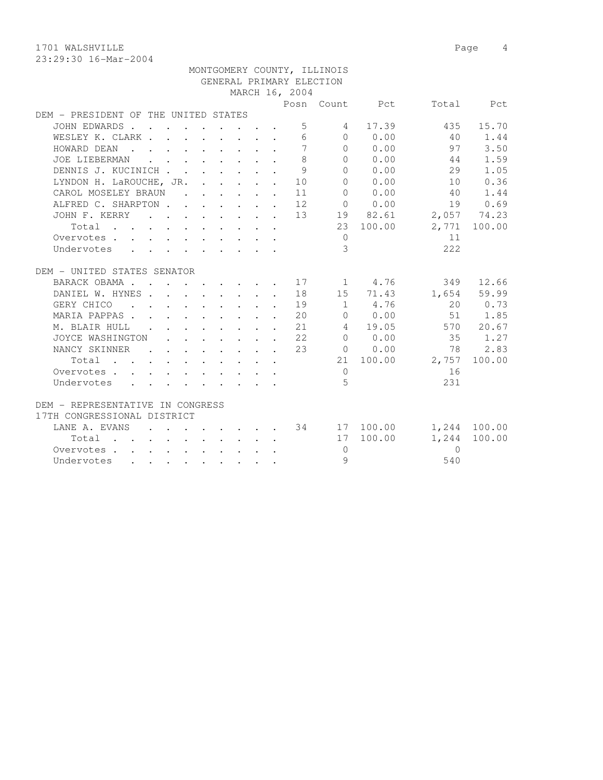1701 WALSHVILLE 2008 Page 4

|                                      |                                                                                                                                                                                                                                               |  |  |              |                | MONTGOMERY COUNTY, ILLINOIS |                                                 |                                   |              |
|--------------------------------------|-----------------------------------------------------------------------------------------------------------------------------------------------------------------------------------------------------------------------------------------------|--|--|--------------|----------------|-----------------------------|-------------------------------------------------|-----------------------------------|--------------|
|                                      |                                                                                                                                                                                                                                               |  |  |              |                | GENERAL PRIMARY ELECTION    |                                                 |                                   |              |
|                                      |                                                                                                                                                                                                                                               |  |  |              | MARCH 16, 2004 |                             |                                                 |                                   |              |
|                                      |                                                                                                                                                                                                                                               |  |  |              |                |                             | Posn Count Pct                                  |                                   | Total Pct    |
| DEM - PRESIDENT OF THE UNITED STATES |                                                                                                                                                                                                                                               |  |  |              |                |                             |                                                 |                                   |              |
| JOHN EDWARDS                         |                                                                                                                                                                                                                                               |  |  |              | 5 <sup>5</sup> | 4                           | 17.39                                           | 435                               | 15.70        |
| WESLEY K. CLARK                      |                                                                                                                                                                                                                                               |  |  |              | 6              |                             | $\begin{array}{ccc} & & 0 & & 0.00 \end{array}$ | 40                                | 1.44         |
| HOWARD DEAN                          |                                                                                                                                                                                                                                               |  |  |              | 7              |                             | 0 0.00                                          | 97                                | 3.50         |
| JOE LIEBERMAN                        | $\mathbf{r}$ , $\mathbf{r}$ , $\mathbf{r}$ , $\mathbf{r}$ , $\mathbf{r}$ , $\mathbf{r}$                                                                                                                                                       |  |  | $\cdot$      | 8              | $\bigcap$                   | 0.00                                            | 44                                | 1.59         |
| DENNIS J. KUCINICH                   |                                                                                                                                                                                                                                               |  |  | $\mathbf{r}$ | 9              | $\Omega$                    | 0.00                                            | 29                                | 1.05         |
| LYNDON H. LaROUCHE, JR.              |                                                                                                                                                                                                                                               |  |  |              | $\cdot$ 10     | $\Omega$                    | 0.00                                            | 10                                | 0.36         |
| CAROL MOSELEY BRAUN                  |                                                                                                                                                                                                                                               |  |  |              | 11             | $\Omega$                    | 0.00                                            | 40                                | 1.44         |
| ALFRED C. SHARPTON 12                |                                                                                                                                                                                                                                               |  |  |              |                |                             | $0 \t 0.00$                                     | 19                                | 0.69         |
| JOHN F. KERRY 13                     |                                                                                                                                                                                                                                               |  |  |              |                |                             | 19 82.61                                        | 2,057 74.23                       |              |
| Total                                |                                                                                                                                                                                                                                               |  |  |              |                |                             | 23 100.00                                       |                                   | 2,771 100.00 |
| Overvotes                            |                                                                                                                                                                                                                                               |  |  |              |                | $\circ$                     |                                                 | 11                                |              |
| Undervotes                           |                                                                                                                                                                                                                                               |  |  |              |                | $\mathcal{E}$               |                                                 | 222                               |              |
|                                      |                                                                                                                                                                                                                                               |  |  |              |                |                             |                                                 |                                   |              |
| DEM - UNITED STATES SENATOR          |                                                                                                                                                                                                                                               |  |  |              |                |                             |                                                 |                                   |              |
| BARACK OBAMA 17                      |                                                                                                                                                                                                                                               |  |  |              |                |                             | 1 4.76                                          |                                   | 349 12.66    |
| DANIEL W. HYNES 18                   |                                                                                                                                                                                                                                               |  |  |              |                |                             | 15 71.43                                        |                                   | 1,654 59.99  |
| . 19<br>GERY CHICO                   |                                                                                                                                                                                                                                               |  |  |              |                |                             | 1 4.76                                          |                                   | 20 0.73      |
| MARIA PAPPAS 20                      |                                                                                                                                                                                                                                               |  |  |              |                |                             | $0 \t 0.00$                                     |                                   | 51 1.85      |
| M. BLAIR HULL                        | $\mathcal{L}(\mathbf{r},\mathbf{r})$ . The contribution of the contribution of the contribution of the contribution of the contribution of the contribution of the contribution of the contribution of the contribution of the contribution o |  |  |              | 21             |                             | 4 19.05                                         |                                   | 570 20.67    |
| JOYCE WASHINGTON                     | $\mathbf{r}$ , $\mathbf{r}$ , $\mathbf{r}$ , $\mathbf{r}$ , $\mathbf{r}$                                                                                                                                                                      |  |  |              | 22             | $\overline{0}$              | 0.00                                            | 35                                | 1.27         |
| NANCY SKINNER<br>$\sim$ $\sim$       | $\mathbf{r}$ , and $\mathbf{r}$ , and $\mathbf{r}$ , and $\mathbf{r}$                                                                                                                                                                         |  |  |              | 23             |                             | $0 \t 0.00$                                     | 78                                | 2.83         |
| Total                                |                                                                                                                                                                                                                                               |  |  |              |                |                             |                                                 | 21 100.00 2,757                   | 100.00       |
| Overvotes .                          | $\mathbf{r} = \mathbf{r} + \mathbf{r}$ , where $\mathbf{r} = \mathbf{r} + \mathbf{r}$ , where $\mathbf{r} = \mathbf{r} + \mathbf{r}$                                                                                                          |  |  |              |                | $\overline{0}$              |                                                 | 16                                |              |
| Undervotes                           |                                                                                                                                                                                                                                               |  |  |              |                | $5^{\circ}$                 |                                                 | 231                               |              |
|                                      |                                                                                                                                                                                                                                               |  |  |              |                |                             |                                                 |                                   |              |
| DEM - REPRESENTATIVE IN CONGRESS     |                                                                                                                                                                                                                                               |  |  |              |                |                             |                                                 |                                   |              |
| 17TH CONGRESSIONAL DISTRICT          |                                                                                                                                                                                                                                               |  |  |              |                |                             |                                                 |                                   |              |
| LANE A. EVANS                        |                                                                                                                                                                                                                                               |  |  |              |                |                             |                                                 | $\cdot$ 34 17 100.00 1,244 100.00 |              |
| Total                                |                                                                                                                                                                                                                                               |  |  |              |                |                             | 17 100.00                                       | 1,244                             | 100.00       |
| Overvotes                            |                                                                                                                                                                                                                                               |  |  |              |                | $\Omega$                    |                                                 | $\Omega$                          |              |
| Undervotes                           |                                                                                                                                                                                                                                               |  |  |              |                | 9                           |                                                 | 540                               |              |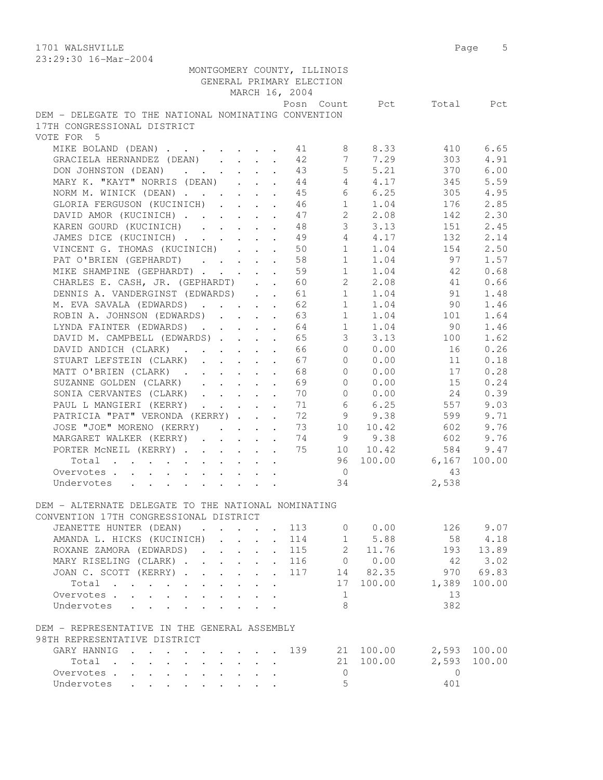|                                                       |                           |              |                      | GENERAL PRIMARY ELECTION<br>MARCH 16, 2004 | MONTGOMERY COUNTY, ILLINOIS |             |                          |          |
|-------------------------------------------------------|---------------------------|--------------|----------------------|--------------------------------------------|-----------------------------|-------------|--------------------------|----------|
|                                                       |                           |              |                      |                                            |                             |             | Posn Count Pct Total Pct |          |
| DEM - DELEGATE TO THE NATIONAL NOMINATING CONVENTION  |                           |              |                      |                                            |                             |             |                          |          |
| 17TH CONGRESSIONAL DISTRICT                           |                           |              |                      |                                            |                             |             |                          |          |
| VOTE FOR 5                                            |                           |              |                      |                                            |                             |             |                          |          |
| MIKE BOLAND (DEAN) 1 41 8 8.33                        |                           |              |                      |                                            |                             |             | 410                      | 6.65     |
| GRACIELA HERNANDEZ (DEAN) 42                          |                           |              |                      |                                            |                             | 7 7.29      | 303                      | 4.91     |
| DON JOHNSTON (DEAN) 43                                |                           |              |                      |                                            |                             | $5 \t 5.21$ | 370                      | 6.00     |
| MARY K. "KAYT" NORRIS (DEAN) 44                       |                           |              |                      |                                            |                             | 4 4.17      | 345                      | 5.59     |
| NORM M. WINICK (DEAN) 45                              |                           |              |                      |                                            |                             | 6 6.25      | 305                      | 4.95     |
| GLORIA FERGUSON (KUCINICH) 46                         |                           |              |                      |                                            |                             | $1 \t 1.04$ | 176                      | 2.85     |
| DAVID AMOR (KUCINICH)                                 |                           |              |                      | 47                                         | $2^{\circ}$                 | 2.08        | 142                      | 2.30     |
| KAREN GOURD (KUCINICH)                                |                           |              |                      | 48                                         | 3 <sup>7</sup>              | 3.13        | 151                      | 2.45     |
| JAMES DICE (KUCINICH)                                 |                           |              |                      | 49                                         |                             | 4 4.17      | 132                      | 2.14     |
| VINCENT G. THOMAS (KUCINICH) 50                       |                           |              |                      |                                            |                             |             | $1 \t 1.04 \t 154$       | 2.50     |
| PAT O'BRIEN (GEPHARDT) 58                             |                           |              |                      |                                            |                             |             | 1 1.04 97                | 1.57     |
| MIKE SHAMPINE (GEPHARDT) 59                           |                           |              |                      |                                            |                             |             | $1 \t 1.04 \t 42$        | 0.68     |
| CHARLES E. CASH, JR. (GEPHARDT) 60                    |                           |              |                      |                                            |                             | 2 2.08      | 41                       | 0.66     |
| DENNIS A. VANDERGINST (EDWARDS) 61                    |                           |              |                      |                                            |                             | $1 \t 1.04$ | 91                       | 1.48     |
| M. EVA SAVALA (EDWARDS) 62                            |                           |              |                      |                                            |                             | $1 \t 1.04$ | 90                       | 1.46     |
| ROBIN A. JOHNSON (EDWARDS) 63                         |                           |              |                      |                                            | 1                           | 1.04        | 101                      | 1.64     |
| LYNDA FAINTER (EDWARDS)                               |                           |              |                      | 64                                         | 1                           | 1.04        | 90                       | 1.46     |
| DAVID M. CAMPBELL (EDWARDS)                           |                           |              |                      | 65                                         | 3 <sup>7</sup>              | 3.13        | 100                      | 1.62     |
| DAVID ANDICH (CLARK)                                  |                           |              |                      | 66                                         |                             | $0 \t 0.00$ | 16                       | 0.26     |
| STUART LEFSTEIN (CLARK)                               |                           |              |                      | 67                                         |                             | $0 \t 0.00$ | 11                       | 0.18     |
| MATT O'BRIEN (CLARK)                                  |                           |              |                      | 68                                         |                             | 0 0.00      | 17                       | 0.28     |
| SUZANNE GOLDEN (CLARK)                                |                           |              |                      | 69                                         | $\Omega$                    | 0.00        | 15                       | 0.24     |
| SONIA CERVANTES (CLARK)                               |                           |              |                      | 70                                         | $\overline{0}$              | 0.00        | 24                       | 0.39     |
| PAUL L MANGIERI (KERRY)                               |                           |              |                      | 71                                         | 6                           | 6.25        | 557                      | 9.03     |
| PATRICIA "PAT" VERONDA (KERRY)                        |                           |              |                      | 72                                         | 9                           | 9.38        | 599                      | 9.71     |
| JOSE "JOE" MORENO (KERRY)                             |                           |              |                      | 73                                         | 10                          | 10.42       | 602                      | 9.76     |
| MARGARET WALKER (KERRY)                               |                           |              |                      | 74                                         |                             | 9 9.38      | 602                      | 9.76     |
| PORTER MCNEIL (KERRY) 75 10 10.42                     |                           |              |                      |                                            |                             |             | 584                      | 9.47     |
| Total                                                 |                           |              |                      |                                            |                             |             | 96 100.00 6,167          | 100.00   |
| Overvotes.                                            |                           |              |                      |                                            | $\overline{0}$              |             | 43                       |          |
| Undervotes                                            |                           |              |                      |                                            | 34                          |             | 2,538                    |          |
|                                                       |                           |              |                      |                                            |                             |             |                          |          |
| DEM - ALTERNATE DELEGATE TO THE NATIONAL NOMINATING   |                           |              |                      |                                            |                             |             |                          |          |
| CONVENTION 17TH CONGRESSIONAL DISTRICT                |                           |              |                      |                                            |                             |             |                          |          |
| JEANETTE HUNTER (DEAN)<br>$\mathbf{r}$ , $\mathbf{r}$ |                           |              |                      | 113                                        |                             | 0 0.00      |                          | 126 9.07 |
| AMANDA L. HICKS (KUCINICH)                            |                           |              | $\ddot{\phantom{0}}$ | 114                                        |                             | 1 5.88      | 58                       | 4.18     |
| ROXANE ZAMORA (EDWARDS)                               |                           | $\mathbf{L}$ | $\mathbf{L}$         | 115                                        |                             | 2 11.76     | 193                      | 13.89    |
| MARY RISELING (CLARK)                                 |                           | $\mathbf{L}$ | $\sim$               | 116                                        |                             | 0 0.00      | 42                       | 3.02     |
|                                                       |                           |              |                      | 117                                        |                             | 14 82.35    | 970                      | 69.83    |
| JOAN C. SCOTT (KERRY)                                 |                           | $\mathbf{L}$ | $\mathbf{L}$         |                                            |                             |             |                          | 100.00   |
| Total                                                 | $\mathbf{r} = \mathbf{r}$ |              | $\ddot{\phantom{0}}$ |                                            | 17                          | 100.00      | 1,389                    |          |
| Overvotes.                                            |                           |              |                      |                                            | 1<br>8                      |             | 13                       |          |
| Undervotes                                            |                           |              |                      |                                            |                             |             | 382                      |          |
|                                                       |                           |              |                      |                                            |                             |             |                          |          |
| DEM - REPRESENTATIVE IN THE GENERAL ASSEMBLY          |                           |              |                      |                                            |                             |             |                          |          |
| 98TH REPRESENTATIVE DISTRICT                          |                           |              |                      |                                            |                             |             |                          | 100.00   |
| GARY HANNIG                                           |                           |              |                      | 139                                        |                             | 21 100.00   | 2,593<br>2,593           |          |
| Total                                                 |                           |              |                      |                                            | 21                          | 100.00      |                          | 100.00   |
| Overvotes.                                            |                           |              |                      |                                            | $\circ$<br>5                |             | $\mathbf{0}$             |          |
| Undervotes                                            |                           |              |                      |                                            |                             |             | 401                      |          |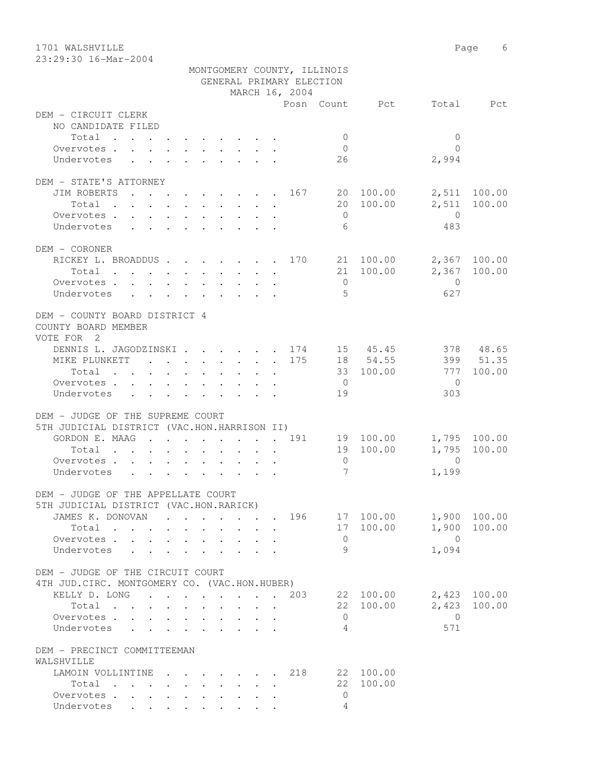1701 WALSHVILLE 2008 Page 6 23:29:30 16-Mar-2004

|                                                                                                                      | MONTGOMERY COUNTY, ILLINOIS |  |                          |                 |                |                |              |
|----------------------------------------------------------------------------------------------------------------------|-----------------------------|--|--------------------------|-----------------|----------------|----------------|--------------|
|                                                                                                                      |                             |  | GENERAL PRIMARY ELECTION |                 |                |                |              |
|                                                                                                                      |                             |  | MARCH 16, 2004           |                 |                |                |              |
|                                                                                                                      |                             |  |                          |                 | Posn Count Pct |                | Total Pct    |
| DEM - CIRCUIT CLERK                                                                                                  |                             |  |                          |                 |                |                |              |
| NO CANDIDATE FILED                                                                                                   |                             |  |                          |                 |                |                |              |
| Total                                                                                                                |                             |  |                          | $\overline{0}$  |                | $\mathbf{0}$   |              |
| Overvotes.                                                                                                           |                             |  |                          | $\overline{0}$  |                | $\Omega$       |              |
| Undervotes<br>$\mathbf{r}$ , $\mathbf{r}$ , $\mathbf{r}$ , $\mathbf{r}$ , $\mathbf{r}$ , $\mathbf{r}$ , $\mathbf{r}$ |                             |  |                          | 26              |                | 2,994          |              |
|                                                                                                                      |                             |  |                          |                 |                |                |              |
| DEM - STATE'S ATTORNEY                                                                                               |                             |  |                          |                 |                |                |              |
| JIM ROBERTS<br>. 167 20 100.00                                                                                       |                             |  |                          |                 |                |                | 2,511 100.00 |
| Total                                                                                                                |                             |  |                          |                 | 20 100.00      | 2,511          | 100.00       |
| Overvotes                                                                                                            |                             |  |                          | $\overline{0}$  |                | $\overline{0}$ |              |
| Undervotes                                                                                                           |                             |  |                          | 6               |                | 483            |              |
|                                                                                                                      |                             |  |                          |                 |                |                |              |
| DEM - CORONER                                                                                                        |                             |  |                          |                 |                |                |              |
| RICKEY L. BROADDUS 170 21 100.00                                                                                     |                             |  |                          |                 |                |                | 2,367 100.00 |
| Total                                                                                                                |                             |  |                          |                 | 21 100.00      |                | 2,367 100.00 |
| Overvotes.                                                                                                           |                             |  |                          | $\overline{0}$  |                | $\overline{0}$ |              |
| Undervotes                                                                                                           |                             |  |                          | - 5             |                | 627            |              |
|                                                                                                                      |                             |  |                          |                 |                |                |              |
| DEM - COUNTY BOARD DISTRICT 4                                                                                        |                             |  |                          |                 |                |                |              |
| COUNTY BOARD MEMBER                                                                                                  |                             |  |                          |                 |                |                |              |
| VOTE FOR 2                                                                                                           |                             |  |                          |                 |                |                |              |
| DENNIS L. JAGODZINSKI 174 15 45.45                                                                                   |                             |  |                          |                 |                |                | 378 48.65    |
| MIKE PLUNKETT 175                                                                                                    |                             |  |                          |                 | 18 54.55       |                | 399 51.35    |
| Total<br>$\mathbf{r}$ , and $\mathbf{r}$ , and $\mathbf{r}$ , and $\mathbf{r}$                                       |                             |  |                          |                 | 33 100.00      | 777            | 100.00       |
| Overvotes.                                                                                                           |                             |  |                          | $\overline{0}$  |                | $\bigcirc$     |              |
| Undervotes                                                                                                           |                             |  |                          | 19              |                | 303            |              |
|                                                                                                                      |                             |  |                          |                 |                |                |              |
| DEM - JUDGE OF THE SUPREME COURT                                                                                     |                             |  |                          |                 |                |                |              |
| 5TH JUDICIAL DISTRICT (VAC.HON.HARRISON II)                                                                          |                             |  |                          |                 |                |                |              |
| GORDON E. MAAG 191 19 100.00                                                                                         |                             |  |                          |                 |                |                | 1,795 100.00 |
| Total                                                                                                                |                             |  |                          |                 | 19 100.00      | 1,795          | 100.00       |
| Overvotes                                                                                                            |                             |  |                          | $\overline{0}$  |                | $\overline{0}$ |              |
| Undervotes<br>$\mathbf{r}$ , $\mathbf{r}$ , $\mathbf{r}$ , $\mathbf{r}$ , $\mathbf{r}$ , $\mathbf{r}$ , $\mathbf{r}$ |                             |  |                          | $7\phantom{.0}$ |                | 1,199          |              |
|                                                                                                                      |                             |  |                          |                 |                |                |              |
| DEM - JUDGE OF THE APPELLATE COURT                                                                                   |                             |  |                          |                 |                |                |              |
| 5TH JUDICIAL DISTRICT (VAC.HON.RARICK)                                                                               |                             |  |                          |                 |                |                |              |
| JAMES K. DONOVAN                                                                                                     |                             |  | 196                      |                 | 17 100.00      |                | 1,900 100.00 |
| Total                                                                                                                |                             |  |                          |                 | 17 100.00      | 1,900          | 100.00       |
| Overvotes.                                                                                                           |                             |  |                          | $\overline{0}$  |                | $\overline{0}$ |              |
| Undervotes                                                                                                           | $\sim$ $\sim$ $\sim$        |  |                          | 9               |                | 1,094          |              |
|                                                                                                                      |                             |  |                          |                 |                |                |              |
| DEM - JUDGE OF THE CIRCUIT COURT                                                                                     |                             |  |                          |                 |                |                |              |
| 4TH JUD. CIRC. MONTGOMERY CO. (VAC.HON.HUBER)                                                                        |                             |  |                          |                 |                |                |              |
| KELLY D. LONG 203                                                                                                    |                             |  |                          |                 | 22 100.00      |                | 2,423 100.00 |
| Total $\cdots$                                                                                                       |                             |  |                          |                 | 22 100.00      | 2,423          | 100.00       |
| Overvotes                                                                                                            |                             |  |                          | $\circ$         |                | $\overline{0}$ |              |
| Undervotes                                                                                                           |                             |  |                          | 4               |                | 571            |              |
|                                                                                                                      |                             |  |                          |                 |                |                |              |
| DEM - PRECINCT COMMITTEEMAN                                                                                          |                             |  |                          |                 |                |                |              |
| WALSHVILLE                                                                                                           |                             |  |                          |                 |                |                |              |
| LAMOIN VOLLINTINE                                                                                                    |                             |  | 218                      |                 | 22 100.00      |                |              |
| Total                                                                                                                |                             |  |                          | 22              | 100.00         |                |              |
| Overvotes                                                                                                            |                             |  |                          | $\circ$         |                |                |              |
| Undervotes                                                                                                           |                             |  |                          | 4               |                |                |              |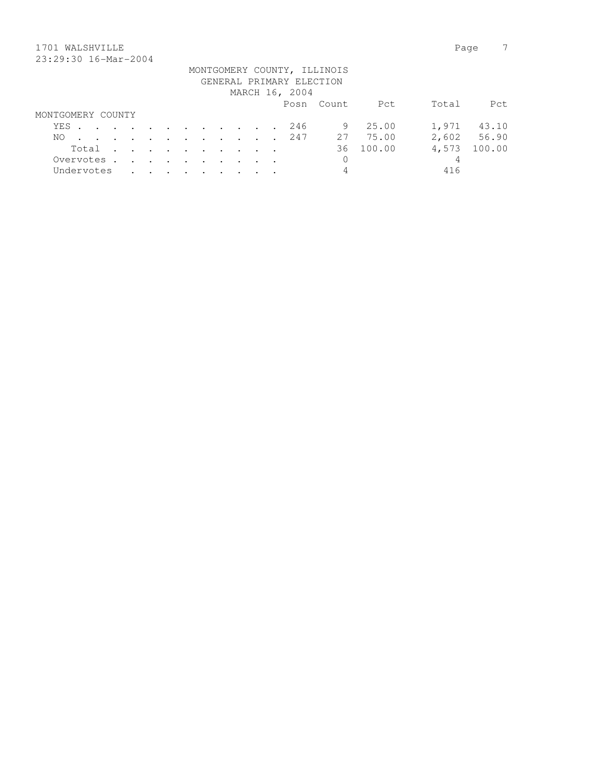## 1701 WALSHVILLE Page 7 23:29:30 16-Mar-2004

|                   |  |                                                                                                                 |  |  |  | GENERAL PRIMARY ELECTION<br>MARCH 16, 2004 | MONTGOMERY COUNTY, ILLINOIS |          |       |             |
|-------------------|--|-----------------------------------------------------------------------------------------------------------------|--|--|--|--------------------------------------------|-----------------------------|----------|-------|-------------|
|                   |  |                                                                                                                 |  |  |  |                                            | Posn Count                  | Pct      | Total | Pct.        |
| MONTGOMERY COUNTY |  |                                                                                                                 |  |  |  |                                            |                             |          |       |             |
| YES               |  |                                                                                                                 |  |  |  | 246                                        | 9                           | 25.00    | 1,971 | 43.10       |
| NO.               |  |                                                                                                                 |  |  |  | . 247                                      |                             | 27 75.00 |       | 2,602 56.90 |
| Total             |  |                                                                                                                 |  |  |  |                                            | 36                          | 100.00   | 4,573 | 100.00      |
| Overvotes.        |  |                                                                                                                 |  |  |  |                                            | 0                           |          | 4     |             |
| Undervotes        |  | the contract of the contract of the contract of the contract of the contract of the contract of the contract of |  |  |  |                                            | 4                           |          | 416   |             |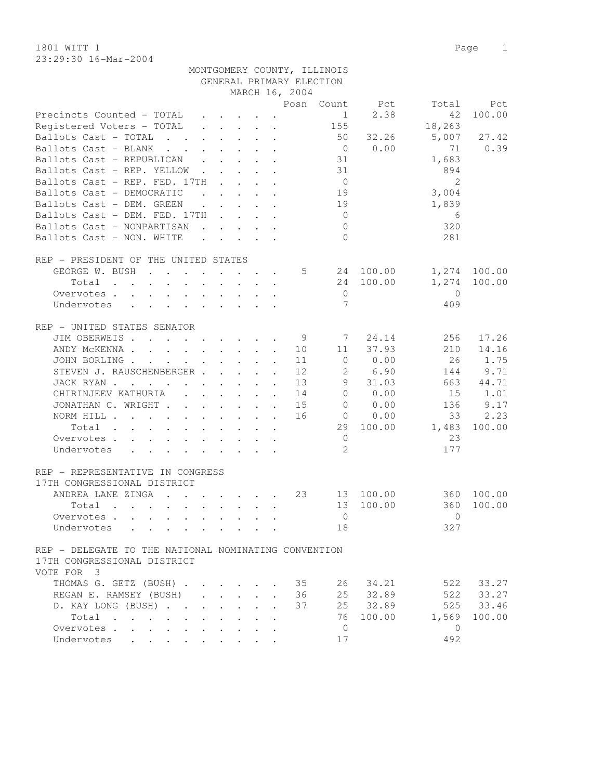23:29:30 16-Mar-2004

|                                                                                                                                                                                                                                                                                                                                                                                                                                                                          |                      |                                                                                                                                                                                                                                      |              |                                                              | GENERAL PRIMARY ELECTION |                |                |                |        |
|--------------------------------------------------------------------------------------------------------------------------------------------------------------------------------------------------------------------------------------------------------------------------------------------------------------------------------------------------------------------------------------------------------------------------------------------------------------------------|----------------------|--------------------------------------------------------------------------------------------------------------------------------------------------------------------------------------------------------------------------------------|--------------|--------------------------------------------------------------|--------------------------|----------------|----------------|----------------|--------|
|                                                                                                                                                                                                                                                                                                                                                                                                                                                                          |                      |                                                                                                                                                                                                                                      |              |                                                              | MARCH 16, 2004           |                |                |                |        |
|                                                                                                                                                                                                                                                                                                                                                                                                                                                                          |                      |                                                                                                                                                                                                                                      |              |                                                              |                          |                | Posn Count Pct | Total          | Pct    |
| Precincts Counted - TOTAL                                                                                                                                                                                                                                                                                                                                                                                                                                                |                      | $\cdot$ $\cdot$ $\cdot$ $\cdot$ $\cdot$                                                                                                                                                                                              |              |                                                              |                          | 1              | 2.38           | 42             | 100.00 |
| Registered Voters - TOTAL                                                                                                                                                                                                                                                                                                                                                                                                                                                |                      | $\mathbf{r}$ , and $\mathbf{r}$ , and $\mathbf{r}$                                                                                                                                                                                   |              |                                                              |                          | 155            |                | 18,263         |        |
| Ballots Cast - TOTAL<br>$\mathcal{L} = \mathcal{L} = \mathcal{L}$                                                                                                                                                                                                                                                                                                                                                                                                        |                      | $\cdot$ $\cdot$ $\cdot$ $\cdot$ $\cdot$ $\cdot$                                                                                                                                                                                      |              |                                                              |                          | 50             | 32.26          | 5,007          | 27.42  |
| Ballots Cast - BLANK<br>$\mathbf{r}$ , $\mathbf{r}$ , $\mathbf{r}$                                                                                                                                                                                                                                                                                                                                                                                                       |                      | $\cdot$ $\cdot$ $\cdot$ $\cdot$ $\cdot$                                                                                                                                                                                              |              |                                                              |                          | $\overline{0}$ | 0.00           | 71             | 0.39   |
| Ballots Cast - REPUBLICAN<br>$\mathbf{L}$                                                                                                                                                                                                                                                                                                                                                                                                                                |                      | $\cdot$ $\cdot$ $\cdot$ $\cdot$                                                                                                                                                                                                      |              |                                                              |                          | 31             |                | 1,683          |        |
| Ballots Cast - REP. YELLOW                                                                                                                                                                                                                                                                                                                                                                                                                                               | $\mathbf{L}$         |                                                                                                                                                                                                                                      |              | $\cdot$ $\cdot$ $\cdot$                                      |                          | 31             |                | 894            |        |
| Ballots Cast - REP. FED. 17TH                                                                                                                                                                                                                                                                                                                                                                                                                                            | $\sim$ $\sim$        |                                                                                                                                                                                                                                      |              | $\mathbf{L} = \mathbf{L} \mathbf{L} + \mathbf{L} \mathbf{L}$ |                          | $\overline{0}$ |                | $\overline{2}$ |        |
| Ballots Cast - DEMOCRATIC                                                                                                                                                                                                                                                                                                                                                                                                                                                |                      | <u>in the community of the community of the community of the community of the community of the community of the community of the community of the community of the community of the community of the community of the community </u> |              |                                                              |                          | 19             |                | 3,004          |        |
| Ballots Cast - DEM. GREEN                                                                                                                                                                                                                                                                                                                                                                                                                                                |                      | $\cdot$                                                                                                                                                                                                                              |              |                                                              |                          | 19             |                | 1,839          |        |
| Ballots Cast - DEM. FED. 17TH                                                                                                                                                                                                                                                                                                                                                                                                                                            |                      |                                                                                                                                                                                                                                      |              |                                                              |                          | $\overline{0}$ |                | 6              |        |
| Ballots Cast - NONPARTISAN                                                                                                                                                                                                                                                                                                                                                                                                                                               |                      | $\cdot$ $\cdot$ $\cdot$ $\cdot$ $\cdot$ $\cdot$                                                                                                                                                                                      |              |                                                              |                          | $\mathbf{0}$   |                | 320            |        |
| Ballots Cast - NON. WHITE                                                                                                                                                                                                                                                                                                                                                                                                                                                |                      |                                                                                                                                                                                                                                      |              |                                                              |                          | $\Omega$       |                | 281            |        |
|                                                                                                                                                                                                                                                                                                                                                                                                                                                                          |                      |                                                                                                                                                                                                                                      |              |                                                              |                          |                |                |                |        |
| REP - PRESIDENT OF THE UNITED STATES                                                                                                                                                                                                                                                                                                                                                                                                                                     |                      |                                                                                                                                                                                                                                      |              |                                                              |                          |                |                |                |        |
| GEORGE W. BUSH                                                                                                                                                                                                                                                                                                                                                                                                                                                           |                      |                                                                                                                                                                                                                                      |              |                                                              | 5                        |                | 24 100.00      | 1,274          | 100.00 |
|                                                                                                                                                                                                                                                                                                                                                                                                                                                                          |                      |                                                                                                                                                                                                                                      |              |                                                              |                          |                |                |                | 100.00 |
| Total<br>$\mathbf{r}$ , and $\mathbf{r}$ , and $\mathbf{r}$ , and $\mathbf{r}$ , and $\mathbf{r}$                                                                                                                                                                                                                                                                                                                                                                        |                      |                                                                                                                                                                                                                                      |              |                                                              |                          | 24             | 100.00         | 1,274          |        |
| Overvotes                                                                                                                                                                                                                                                                                                                                                                                                                                                                |                      |                                                                                                                                                                                                                                      |              |                                                              |                          | $\mathbf 0$    |                | $\mathbf{0}$   |        |
| Undervotes<br>$\mathbf{r}$ , and $\mathbf{r}$ , and $\mathbf{r}$ , and $\mathbf{r}$                                                                                                                                                                                                                                                                                                                                                                                      |                      |                                                                                                                                                                                                                                      |              |                                                              |                          | 7              |                | 409            |        |
|                                                                                                                                                                                                                                                                                                                                                                                                                                                                          |                      |                                                                                                                                                                                                                                      |              |                                                              |                          |                |                |                |        |
| REP - UNITED STATES SENATOR                                                                                                                                                                                                                                                                                                                                                                                                                                              |                      |                                                                                                                                                                                                                                      |              |                                                              |                          |                |                |                |        |
| JIM OBERWEIS                                                                                                                                                                                                                                                                                                                                                                                                                                                             |                      |                                                                                                                                                                                                                                      |              | $\ddot{\phantom{a}}$                                         | 9                        | 7              | 24.14          | 256            | 17.26  |
| ANDY MCKENNA                                                                                                                                                                                                                                                                                                                                                                                                                                                             |                      |                                                                                                                                                                                                                                      |              |                                                              | 10                       | 11             | 37.93          | 210            | 14.16  |
| JOHN BORLING.<br>the contract of the contract of the contract of the contract of the contract of the contract of the contract of                                                                                                                                                                                                                                                                                                                                         |                      |                                                                                                                                                                                                                                      |              | $\ddot{\phantom{a}}$                                         | 11                       | $\circ$        | 0.00           | 26             | 1.75   |
| STEVEN J. RAUSCHENBERGER                                                                                                                                                                                                                                                                                                                                                                                                                                                 |                      |                                                                                                                                                                                                                                      |              | $\sim$                                                       | 12                       | $\mathbf{2}$   | 6.90           | 144            | 9.71   |
| JACK RYAN                                                                                                                                                                                                                                                                                                                                                                                                                                                                |                      |                                                                                                                                                                                                                                      |              |                                                              | 13                       | 9              | 31.03          | 663            | 44.71  |
| CHIRINJEEV KATHURIA                                                                                                                                                                                                                                                                                                                                                                                                                                                      |                      |                                                                                                                                                                                                                                      |              |                                                              | 14                       | $\circ$        | 0.00           | 15             | 1.01   |
| JONATHAN C. WRIGHT                                                                                                                                                                                                                                                                                                                                                                                                                                                       |                      |                                                                                                                                                                                                                                      |              |                                                              | 15                       | $\mathbf{0}$   | 0.00           | 136            | 9.17   |
| NORM HILL                                                                                                                                                                                                                                                                                                                                                                                                                                                                |                      |                                                                                                                                                                                                                                      |              |                                                              | 16                       | $\overline{0}$ | 0.00           | 33             | 2.23   |
| Total<br>the contract of the contract of the contract of the contract of the contract of the contract of the contract of                                                                                                                                                                                                                                                                                                                                                 |                      |                                                                                                                                                                                                                                      |              |                                                              |                          | 29             | 100.00         | 1,483          | 100.00 |
| Overvotes.                                                                                                                                                                                                                                                                                                                                                                                                                                                               |                      |                                                                                                                                                                                                                                      |              |                                                              |                          | $\overline{0}$ |                | 23             |        |
| Undervotes<br>$\mathbf{r} = \mathbf{r} \cdot \mathbf{r} + \mathbf{r} \cdot \mathbf{r} + \mathbf{r} \cdot \mathbf{r} + \mathbf{r} \cdot \mathbf{r} + \mathbf{r} \cdot \mathbf{r} + \mathbf{r} \cdot \mathbf{r} + \mathbf{r} \cdot \mathbf{r} + \mathbf{r} \cdot \mathbf{r} + \mathbf{r} \cdot \mathbf{r} + \mathbf{r} \cdot \mathbf{r} + \mathbf{r} \cdot \mathbf{r} + \mathbf{r} \cdot \mathbf{r} + \mathbf{r} \cdot \mathbf{r} + \mathbf{r} \cdot \mathbf{r} + \mathbf$ |                      |                                                                                                                                                                                                                                      |              |                                                              |                          | 2              |                | 177            |        |
|                                                                                                                                                                                                                                                                                                                                                                                                                                                                          |                      |                                                                                                                                                                                                                                      |              |                                                              |                          |                |                |                |        |
| REP - REPRESENTATIVE IN CONGRESS                                                                                                                                                                                                                                                                                                                                                                                                                                         |                      |                                                                                                                                                                                                                                      |              |                                                              |                          |                |                |                |        |
| 17TH CONGRESSIONAL DISTRICT                                                                                                                                                                                                                                                                                                                                                                                                                                              |                      |                                                                                                                                                                                                                                      |              |                                                              |                          |                |                |                |        |
| ANDREA LANE ZINGA                                                                                                                                                                                                                                                                                                                                                                                                                                                        |                      |                                                                                                                                                                                                                                      |              |                                                              | 23                       | 13             | 100.00         | 360            | 100.00 |
| Total<br>$\mathbf{r}$ , and $\mathbf{r}$ , and $\mathbf{r}$ , and $\mathbf{r}$ , and $\mathbf{r}$                                                                                                                                                                                                                                                                                                                                                                        |                      |                                                                                                                                                                                                                                      |              |                                                              |                          | 13             | 100.00         | 360            | 100.00 |
| Overvotes                                                                                                                                                                                                                                                                                                                                                                                                                                                                |                      |                                                                                                                                                                                                                                      |              |                                                              |                          | $\overline{0}$ |                | $\circ$        |        |
| Undervotes                                                                                                                                                                                                                                                                                                                                                                                                                                                               |                      |                                                                                                                                                                                                                                      |              |                                                              |                          | 18             |                | 327            |        |
|                                                                                                                                                                                                                                                                                                                                                                                                                                                                          |                      |                                                                                                                                                                                                                                      |              |                                                              |                          |                |                |                |        |
| REP - DELEGATE TO THE NATIONAL NOMINATING CONVENTION                                                                                                                                                                                                                                                                                                                                                                                                                     |                      |                                                                                                                                                                                                                                      |              |                                                              |                          |                |                |                |        |
| 17TH CONGRESSIONAL DISTRICT                                                                                                                                                                                                                                                                                                                                                                                                                                              |                      |                                                                                                                                                                                                                                      |              |                                                              |                          |                |                |                |        |
| VOTE FOR 3                                                                                                                                                                                                                                                                                                                                                                                                                                                               |                      |                                                                                                                                                                                                                                      |              |                                                              |                          |                |                |                |        |
|                                                                                                                                                                                                                                                                                                                                                                                                                                                                          |                      |                                                                                                                                                                                                                                      |              |                                                              |                          |                |                |                |        |
| THOMAS G. GETZ (BUSH)                                                                                                                                                                                                                                                                                                                                                                                                                                                    |                      |                                                                                                                                                                                                                                      |              |                                                              | 35                       | 26             | 34.21          | 522            | 33.27  |
| REGAN E. RAMSEY (BUSH)<br>$\mathbf{L}$                                                                                                                                                                                                                                                                                                                                                                                                                                   |                      | $\mathbf{L}$<br>$\mathbf{L}$                                                                                                                                                                                                         | $\mathbf{r}$ |                                                              | 36                       | 25             | 32.89          | 522            | 33.27  |
| D. KAY LONG (BUSH)<br>$\ddot{\phantom{a}}$                                                                                                                                                                                                                                                                                                                                                                                                                               | $\ddot{\phantom{0}}$ | $\mathbf{L}$                                                                                                                                                                                                                         | $\mathbf{r}$ |                                                              | 37                       | 25             | 32.89          | 525            | 33.46  |
| Total<br>$\bullet$                                                                                                                                                                                                                                                                                                                                                                                                                                                       |                      |                                                                                                                                                                                                                                      |              |                                                              |                          | 76             | 100.00         | 1,569          | 100.00 |
| Overvotes<br>$\bullet$                                                                                                                                                                                                                                                                                                                                                                                                                                                   |                      |                                                                                                                                                                                                                                      |              |                                                              |                          | $\mathbf{0}$   |                | $\mathbf{0}$   |        |
| Undervotes                                                                                                                                                                                                                                                                                                                                                                                                                                                               |                      |                                                                                                                                                                                                                                      |              |                                                              |                          | 17             |                | 492            |        |

MONTGOMERY COUNTY, ILLINOIS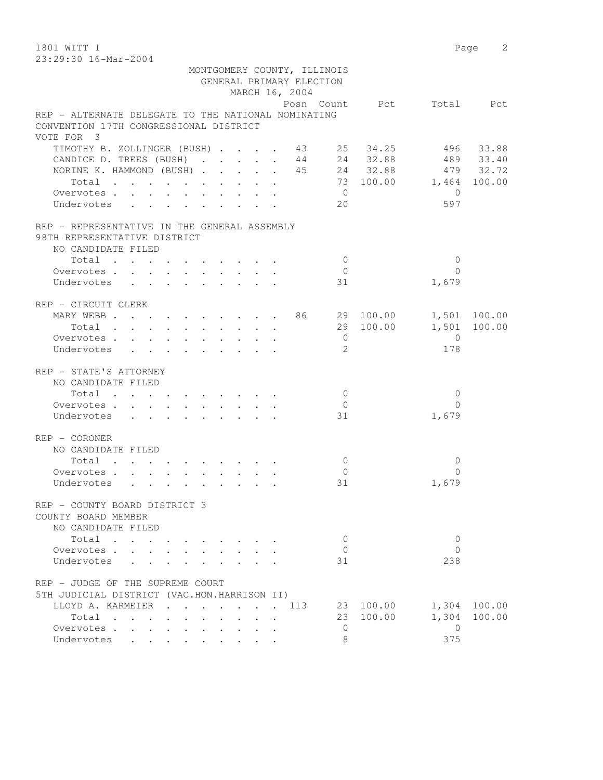1801 WITT 1 Page 2 23:29:30 16-Mar-2004

| 20.29.90 10 Mai 2007                                |                   |  |  |                |                                                         |                          |                          |              |
|-----------------------------------------------------|-------------------|--|--|----------------|---------------------------------------------------------|--------------------------|--------------------------|--------------|
|                                                     |                   |  |  |                | MONTGOMERY COUNTY, ILLINOIS<br>GENERAL PRIMARY ELECTION |                          |                          |              |
|                                                     |                   |  |  | MARCH 16, 2004 |                                                         |                          |                          |              |
|                                                     |                   |  |  |                |                                                         | Posn Count Pct Total Pct |                          |              |
| REP - ALTERNATE DELEGATE TO THE NATIONAL NOMINATING |                   |  |  |                |                                                         |                          |                          |              |
| CONVENTION 17TH CONGRESSIONAL DISTRICT              |                   |  |  |                |                                                         |                          |                          |              |
| VOTE FOR 3                                          |                   |  |  |                |                                                         |                          |                          |              |
| TIMOTHY B. ZOLLINGER (BUSH) 43 25 34.25             |                   |  |  |                |                                                         |                          |                          | 496 33.88    |
| CANDICE D. TREES (BUSH)                             |                   |  |  |                |                                                         | 44 24 32.88              |                          | 489 33.40    |
| NORINE K. HAMMOND (BUSH) 45 24 32.88                |                   |  |  |                |                                                         |                          |                          | 479 32.72    |
| Total                                               |                   |  |  |                |                                                         | 73 100.00 1,464 100.00   |                          |              |
| Overvotes.                                          |                   |  |  |                | $\overline{0}$                                          |                          | $\bigcirc$               |              |
| Undervotes                                          |                   |  |  |                | 20                                                      |                          | 597                      |              |
|                                                     |                   |  |  |                |                                                         |                          |                          |              |
| REP - REPRESENTATIVE IN THE GENERAL ASSEMBLY        |                   |  |  |                |                                                         |                          |                          |              |
| 98TH REPRESENTATIVE DISTRICT                        |                   |  |  |                |                                                         |                          |                          |              |
| NO CANDIDATE FILED                                  |                   |  |  |                |                                                         |                          |                          |              |
| Total                                               |                   |  |  |                | $\bigcirc$                                              |                          | $\Omega$<br>$\Omega$     |              |
| Overvotes.                                          |                   |  |  |                | $\overline{0}$                                          |                          |                          |              |
| Undervotes                                          |                   |  |  |                | 31                                                      |                          | 1,679                    |              |
| REP - CIRCUIT CLERK                                 |                   |  |  |                |                                                         |                          |                          |              |
| MARY WEBB 86 29 100.00                              |                   |  |  |                |                                                         |                          |                          | 1,501 100.00 |
| Total                                               |                   |  |  |                |                                                         | 29 100.00 1,501          |                          | 100.00       |
| Overvotes                                           |                   |  |  |                | $\overline{0}$                                          |                          | $\overline{0}$           |              |
| Undervotes                                          |                   |  |  |                | $\mathfrak{L}$                                          |                          | 178                      |              |
| REP - STATE'S ATTORNEY                              |                   |  |  |                |                                                         |                          |                          |              |
| NO CANDIDATE FILED                                  |                   |  |  |                |                                                         |                          |                          |              |
| Total                                               |                   |  |  |                | $\overline{0}$                                          |                          | $\Omega$                 |              |
| Overvotes                                           |                   |  |  |                | $\overline{0}$                                          |                          | $\Omega$                 |              |
| Undervotes                                          |                   |  |  |                | 31                                                      |                          | 1,679                    |              |
| $REF - CORONER$                                     |                   |  |  |                |                                                         |                          |                          |              |
| NO CANDIDATE FILED                                  |                   |  |  |                |                                                         |                          |                          |              |
|                                                     |                   |  |  |                | $\overline{0}$                                          |                          | 0                        |              |
| Overvotes.                                          |                   |  |  |                | $\overline{0}$                                          |                          | $\Omega$                 |              |
| Undervotes                                          |                   |  |  |                | 31                                                      |                          | 1,679                    |              |
|                                                     |                   |  |  |                |                                                         |                          |                          |              |
| REP - COUNTY BOARD DISTRICT 3                       |                   |  |  |                |                                                         |                          |                          |              |
| COUNTY BOARD MEMBER<br>NO CANDIDATE FILED           |                   |  |  |                |                                                         |                          |                          |              |
|                                                     |                   |  |  |                |                                                         |                          |                          |              |
| Total.                                              |                   |  |  |                | $\circ$                                                 |                          | $\mathbf{0}$<br>$\Omega$ |              |
| Overvotes .                                         |                   |  |  |                | $\mathbf{0}$                                            |                          |                          |              |
| Undervotes                                          |                   |  |  |                | 31                                                      |                          | 238                      |              |
| REP - JUDGE OF THE SUPREME COURT                    |                   |  |  |                |                                                         |                          |                          |              |
| 5TH JUDICIAL DISTRICT (VAC.HON.HARRISON II)         |                   |  |  |                |                                                         |                          |                          |              |
| LLOYD A. KARMEIER                                   | $\cdots$ $\cdots$ |  |  | 113            | 23                                                      | 100.00                   | 1,304                    | 100.00       |
| Total                                               |                   |  |  |                | 23                                                      | 100.00                   | 1,304                    | 100.00       |
| Overvotes                                           |                   |  |  |                | $\mathbf{0}$                                            |                          | $\overline{0}$           |              |
| Undervotes                                          |                   |  |  |                | 8                                                       |                          | 375                      |              |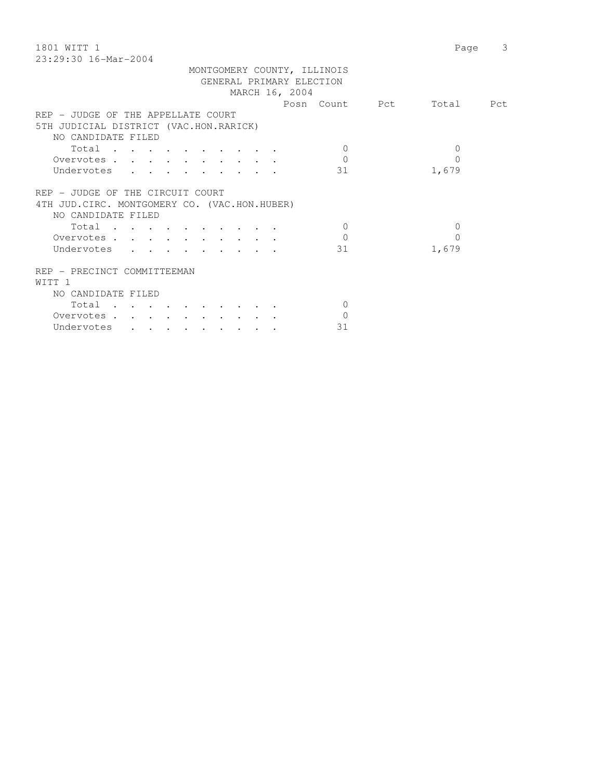| 1801 WITT 1                                                                                                 | Page         | 3 |
|-------------------------------------------------------------------------------------------------------------|--------------|---|
| $23:29:30$ 16-Mar-2004                                                                                      |              |   |
| MONTGOMERY COUNTY, ILLINOIS                                                                                 |              |   |
| GENERAL PRIMARY ELECTION                                                                                    |              |   |
| MARCH 16, 2004                                                                                              |              |   |
| Posn Count Pct                                                                                              | Total Pct    |   |
| REP - JUDGE OF THE APPELLATE COURT                                                                          |              |   |
| 5TH JUDICIAL DISTRICT (VAC.HON.RARICK)                                                                      |              |   |
| NO CANDIDATE FILED                                                                                          |              |   |
| Total<br>$\Omega$                                                                                           | $\mathbf{0}$ |   |
| $\Omega$<br>Overvotes.                                                                                      | $\Omega$     |   |
| 31<br>Undervotes<br>$\mathbf{r} = \mathbf{r}$ , and $\mathbf{r} = \mathbf{r}$                               | 1,679        |   |
|                                                                                                             |              |   |
| REP - JUDGE OF THE CIRCUIT COURT                                                                            |              |   |
| 4TH JUD. CIRC. MONTGOMERY CO. (VAC.HON.HUBER)                                                               |              |   |
| NO CANDIDATE FILED                                                                                          |              |   |
| Total<br>$\Omega$                                                                                           | $\mathbf{0}$ |   |
| $\Omega$<br>Overvotes.                                                                                      | $\Omega$     |   |
| Undervotes<br>31<br>$\mathbf{r}$ , $\mathbf{r}$ , $\mathbf{r}$ , $\mathbf{r}$ , $\mathbf{r}$ , $\mathbf{r}$ | 1,679        |   |
|                                                                                                             |              |   |
| REP - PRECINCT COMMITTEEMAN                                                                                 |              |   |
| WITT 1                                                                                                      |              |   |
| NO CANDIDATE FILED                                                                                          |              |   |
| Total<br>$\Omega$                                                                                           |              |   |
| $\Omega$                                                                                                    |              |   |
| Overvotes.                                                                                                  |              |   |
| 31<br>Undervotes<br>$\cdot$ $\cdot$ $\cdot$<br>$\sim$ $\sim$ $\sim$                                         |              |   |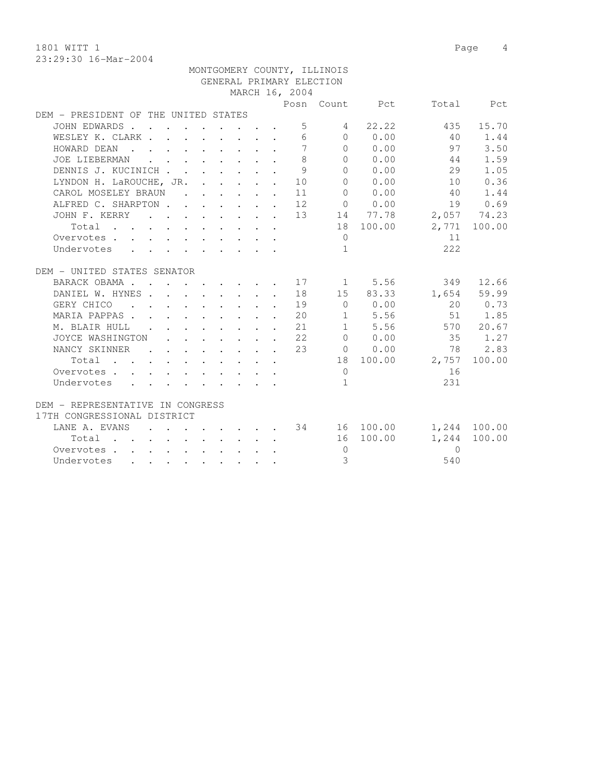1801 WITT 1 Page 4 23:29:30 16-Mar-2004

|                                                                                                                              |                                                                                                         |  |  |                                                            | MONTGOMERY COUNTY, ILLINOIS |                |              |              |
|------------------------------------------------------------------------------------------------------------------------------|---------------------------------------------------------------------------------------------------------|--|--|------------------------------------------------------------|-----------------------------|----------------|--------------|--------------|
|                                                                                                                              |                                                                                                         |  |  |                                                            | GENERAL PRIMARY ELECTION    |                |              |              |
|                                                                                                                              |                                                                                                         |  |  | MARCH 16, 2004                                             |                             |                |              |              |
|                                                                                                                              |                                                                                                         |  |  |                                                            |                             | Posn Count Pct |              | Total Pct    |
| DEM - PRESIDENT OF THE UNITED STATES                                                                                         |                                                                                                         |  |  |                                                            |                             |                |              |              |
| JOHN EDWARDS.                                                                                                                |                                                                                                         |  |  |                                                            | $5 - 5$<br>4                | 22.22          | 435          | 15.70        |
| WESLEY K. CLARK                                                                                                              |                                                                                                         |  |  |                                                            |                             | 6000           | 40           | 1.44         |
| HOWARD DEAN                                                                                                                  |                                                                                                         |  |  | $\overline{7}$                                             |                             | $0 \t 0.00$    | 97           | 3.50         |
| JOE LIEBERMAN                                                                                                                | $\mathbf{r}$ , and $\mathbf{r}$ , and $\mathbf{r}$ , and $\mathbf{r}$                                   |  |  | 8                                                          | $\Omega$                    | 0.00           | 44           | 1.59         |
| DENNIS J. KUCINICH                                                                                                           |                                                                                                         |  |  |                                                            | 9<br>$\Omega$               | 0.00           | 29           | 1.05         |
| LYNDON H. LaROUCHE, JR. 10                                                                                                   |                                                                                                         |  |  |                                                            | $\Omega$                    | 0.00           | 10           | 0.36         |
| CAROL MOSELEY BRAUN 11                                                                                                       |                                                                                                         |  |  |                                                            | $\Omega$                    | 0.00           | 40           | 1.44         |
| ALFRED C. SHARPTON 12                                                                                                        |                                                                                                         |  |  |                                                            |                             | 0 0.00         |              | 19 0.69      |
| JOHN F. KERRY                                                                                                                |                                                                                                         |  |  |                                                            |                             | . 13 14 77.78  |              | 2,057 74.23  |
| Total<br>$\mathbf{r}$ , and $\mathbf{r}$ , and $\mathbf{r}$ , and $\mathbf{r}$ , and $\mathbf{r}$ , and $\mathbf{r}$         |                                                                                                         |  |  |                                                            |                             | 18 100.00      |              | 2,771 100.00 |
| Overvotes                                                                                                                    |                                                                                                         |  |  |                                                            | $\Omega$                    |                | 11           |              |
| Undervotes                                                                                                                   |                                                                                                         |  |  |                                                            | $\mathbf{1}$                |                | 2.2.2        |              |
|                                                                                                                              |                                                                                                         |  |  |                                                            |                             |                |              |              |
| DEM - UNITED STATES SENATOR                                                                                                  |                                                                                                         |  |  |                                                            |                             |                |              |              |
| BARACK OBAMA 17 1 5.56                                                                                                       |                                                                                                         |  |  |                                                            |                             |                |              | 349 12.66    |
| DANIEL W. HYNES.                                                                                                             |                                                                                                         |  |  |                                                            |                             | 18 15 83.33    | 1,654        | 59.99        |
| GERY CHICO<br><b>Contract Contract Contract</b>                                                                              |                                                                                                         |  |  | 19                                                         | $\bigcirc$                  | 0.00           |              | 20 0.73      |
| MARIA PAPPAS                                                                                                                 | $\mathbf{r} = \mathbf{r} + \mathbf{r} + \mathbf{r} + \mathbf{r} + \mathbf{r} + \mathbf{r} + \mathbf{r}$ |  |  | 20                                                         |                             | 1 5.56         | 51           | 1.85         |
| M. BLAIR HULL .                                                                                                              |                                                                                                         |  |  | $\cdot$ $\cdot$ $\cdot$ $\cdot$ $\cdot$ $\cdot$ $\cdot$ 21 |                             | 1 5.56         |              | 570 20.67    |
| JOYCE WASHINGTON                                                                                                             |                                                                                                         |  |  | $\cdot$ $\cdot$ $\cdot$ $\cdot$ $\cdot$ $\cdot$ $\cdot$ 22 |                             | 0 0.00         | 35           | 1.27         |
| NANCY SKINNER<br>$\sim$ $\sim$                                                                                               |                                                                                                         |  |  | $\cdot$ $\cdot$ $\cdot$ $\cdot$ $\cdot$ $\cdot$ $\cdot$ 23 |                             | $0 \t 0.00$    | 78           | 2.83         |
| Total $\cdot$                                                                                                                |                                                                                                         |  |  |                                                            |                             | 18 100.00      | 2,757 100.00 |              |
| Overvotes                                                                                                                    |                                                                                                         |  |  |                                                            | $\bigcirc$                  |                | 16           |              |
| Undervotes                                                                                                                   |                                                                                                         |  |  |                                                            | $\mathbf{1}$                |                | 231          |              |
|                                                                                                                              |                                                                                                         |  |  |                                                            |                             |                |              |              |
| DEM - REPRESENTATIVE IN CONGRESS                                                                                             |                                                                                                         |  |  |                                                            |                             |                |              |              |
| 17TH CONGRESSIONAL DISTRICT                                                                                                  |                                                                                                         |  |  |                                                            |                             |                |              |              |
| LANE A. EVANS 34 16 100.00                                                                                                   |                                                                                                         |  |  |                                                            |                             |                |              | 1,244 100.00 |
| Total                                                                                                                        | $\mathbf{r}$ , and $\mathbf{r}$ , and $\mathbf{r}$ , and $\mathbf{r}$                                   |  |  |                                                            |                             | 16 100.00      | 1,244        | 100.00       |
| Overvotes                                                                                                                    |                                                                                                         |  |  |                                                            | $\overline{0}$              |                | $\Omega$     |              |
| Undervotes<br>and a series of the series of the series of the series of the series of the series of the series of the series |                                                                                                         |  |  |                                                            | 3                           |                | 540          |              |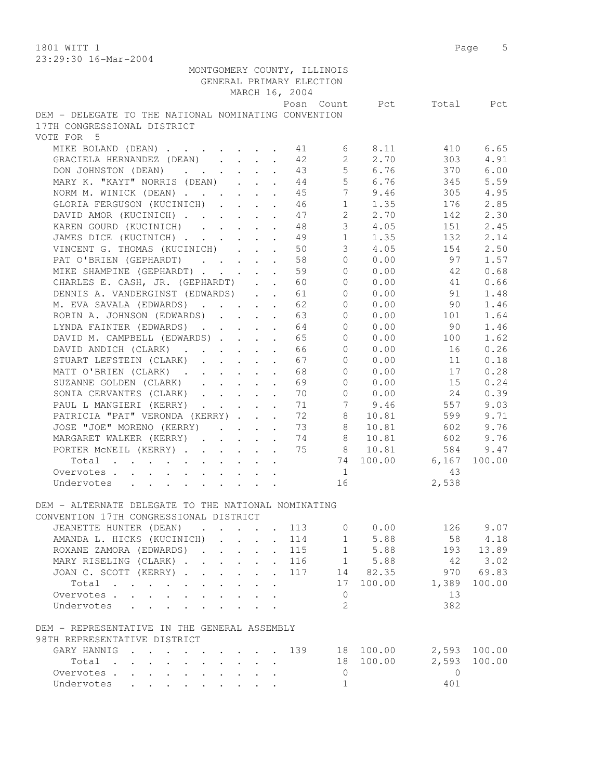1801 WITT 1 Page 5

| 23:29:30 16-Mar-2004                                                                                                                                                                                                                             |                                                                  |                          |                      |                |         |              |
|--------------------------------------------------------------------------------------------------------------------------------------------------------------------------------------------------------------------------------------------------|------------------------------------------------------------------|--------------------------|----------------------|----------------|---------|--------------|
| MONTGOMERY COUNTY, ILLINOIS                                                                                                                                                                                                                      |                                                                  |                          |                      |                |         |              |
|                                                                                                                                                                                                                                                  |                                                                  | GENERAL PRIMARY ELECTION |                      |                |         |              |
|                                                                                                                                                                                                                                                  | MARCH 16, 2004                                                   |                          |                      |                |         |              |
|                                                                                                                                                                                                                                                  |                                                                  |                          |                      | Posn Count Pct | Total   | Pct          |
| DEM - DELEGATE TO THE NATIONAL NOMINATING CONVENTION                                                                                                                                                                                             |                                                                  |                          |                      |                |         |              |
| 17TH CONGRESSIONAL DISTRICT                                                                                                                                                                                                                      |                                                                  |                          |                      |                |         |              |
| VOTE FOR 5                                                                                                                                                                                                                                       |                                                                  |                          |                      |                |         |              |
| MIKE BOLAND (DEAN)                                                                                                                                                                                                                               |                                                                  | 41                       | 6                    | 8.11           | 410     | 6.65         |
| GRACIELA HERNANDEZ (DEAN)                                                                                                                                                                                                                        |                                                                  | 42                       | $\overline{2}$       | 2.70           | 303     | 4.91         |
| DON JOHNSTON (DEAN)                                                                                                                                                                                                                              | $\cdot$ $\cdot$ $\cdot$ $\cdot$ $\cdot$                          | 43                       | 5 <sub>1</sub>       | 6.76           | 370     | 6.00         |
| MARY K. "KAYT" NORRIS (DEAN)                                                                                                                                                                                                                     |                                                                  | 44                       | 5                    | 6.76           | 345     | 5.59         |
| NORM M. WINICK (DEAN)                                                                                                                                                                                                                            |                                                                  | 45                       | 7 <sup>1</sup>       | 9.46           | 305     | 4.95         |
| GLORIA FERGUSON (KUCINICH)                                                                                                                                                                                                                       |                                                                  | 46                       | 1                    | 1.35           | 176     | 2.85         |
| DAVID AMOR (KUCINICH)                                                                                                                                                                                                                            |                                                                  | 47                       | $\mathbf{2}^{\circ}$ | 2.70           | 142     | 2.30         |
| KAREN GOURD (KUCINICH)                                                                                                                                                                                                                           |                                                                  | 48                       | 3                    | 4.05           | 151     | 2.45         |
|                                                                                                                                                                                                                                                  |                                                                  |                          | 1                    | 1.35           |         | 2.14         |
| JAMES DICE (KUCINICH)                                                                                                                                                                                                                            | $\cdot$ $\cdot$ $\cdot$                                          | 49                       |                      |                | 132     |              |
| VINCENT G. THOMAS (KUCINICH)                                                                                                                                                                                                                     | $\mathbf{L}^{(1)}$ .<br>$\mathbf{L}$                             | 50<br>$\sim$             | 3                    | 4.05           | 154     | 2.50         |
| PAT O'BRIEN (GEPHARDT)                                                                                                                                                                                                                           |                                                                  | 58                       | $\Omega$             | 0.00           | 97      | 1.57         |
| MIKE SHAMPINE (GEPHARDT)                                                                                                                                                                                                                         |                                                                  | 59                       | $\Omega$             | 0.00           | 42      | 0.68         |
| CHARLES E. CASH, JR. (GEPHARDT)                                                                                                                                                                                                                  |                                                                  | 60                       | $\Omega$             | 0.00           | 41      | 0.66         |
| DENNIS A. VANDERGINST (EDWARDS)                                                                                                                                                                                                                  |                                                                  | 61                       | $\Omega$             | 0.00           | 91      | 1.48         |
| M. EVA SAVALA (EDWARDS)                                                                                                                                                                                                                          |                                                                  | 62                       | $\Omega$             | 0.00           | 90      | 1.46         |
| ROBIN A. JOHNSON (EDWARDS)                                                                                                                                                                                                                       |                                                                  | 63                       | 0                    | 0.00           | 101     | 1.64         |
| LYNDA FAINTER (EDWARDS)                                                                                                                                                                                                                          |                                                                  | 64                       | 0                    | 0.00           | 90      | 1.46         |
| DAVID M. CAMPBELL (EDWARDS)                                                                                                                                                                                                                      | $\ddot{\phantom{a}}$                                             | 65                       | $\circ$              | 0.00           | 100     | 1.62         |
| DAVID ANDICH (CLARK).<br>$\sim$ $-$                                                                                                                                                                                                              | $\mathbf{r} = \mathbf{r} + \mathbf{r}$ .<br>$\ddot{\phantom{a}}$ | 66                       | $\Omega$             | 0.00           | 16      | 0.26         |
| STUART LEFSTEIN (CLARK)<br>$\cdot$ $\cdot$ $\cdot$ $\cdot$ $\cdot$                                                                                                                                                                               | $\ddot{\phantom{a}}$                                             | 67                       | $\Omega$             | 0.00           | 11      | 0.18         |
| MATT O'BRIEN (CLARK)                                                                                                                                                                                                                             |                                                                  | 68                       | $\Omega$             | 0.00           | 17      | 0.28         |
| SUZANNE GOLDEN (CLARK)                                                                                                                                                                                                                           | $\cdot$ $\cdot$ $\cdot$ $\cdot$ $\cdot$ $\cdot$                  | 69                       | $\Omega$             | 0.00           | 15      | 0.24         |
| SONIA CERVANTES (CLARK)                                                                                                                                                                                                                          |                                                                  | 70                       | $\Omega$             | 0.00           | 24      | 0.39         |
| PAUL L MANGIERI (KERRY)                                                                                                                                                                                                                          |                                                                  | 71                       | 7                    | 9.46           | 557     | 9.03         |
| PATRICIA "PAT" VERONDA (KERRY)                                                                                                                                                                                                                   |                                                                  | 72                       | 8                    | 10.81          | 599     | 9.71         |
| JOSE "JOE" MORENO (KERRY)                                                                                                                                                                                                                        |                                                                  | 73                       | 8                    | 10.81          | 602     | 9.76         |
| MARGARET WALKER (KERRY)                                                                                                                                                                                                                          | $\ddot{\phantom{a}}$                                             | 74                       | 8                    | 10.81          | 602     | 9.76         |
| PORTER MCNEIL (KERRY)                                                                                                                                                                                                                            |                                                                  | 75                       | 8                    | 10.81          | 584     | 9.47         |
| Total                                                                                                                                                                                                                                            |                                                                  | $\ddot{\phantom{a}}$     | 74                   | 100.00         | 6,167   | 100.00       |
| Overvotes                                                                                                                                                                                                                                        |                                                                  |                          | 1                    |                | 43      |              |
| Undervotes                                                                                                                                                                                                                                       |                                                                  |                          | 16                   |                | 2,538   |              |
|                                                                                                                                                                                                                                                  |                                                                  |                          |                      |                |         |              |
| DEM - ALTERNATE DELEGATE TO THE NATIONAL NOMINATING                                                                                                                                                                                              |                                                                  |                          |                      |                |         |              |
| CONVENTION 17TH CONGRESSIONAL DISTRICT                                                                                                                                                                                                           |                                                                  |                          |                      |                |         |              |
| JEANETTE HUNTER (DEAN)<br>$\mathbf{r}$ , $\mathbf{r}$ , $\mathbf{r}$ , $\mathbf{r}$ , $\mathbf{r}$                                                                                                                                               |                                                                  | 113                      |                      | $0 \t 0.00$    |         | 126 9.07     |
| AMANDA L. HICKS (KUCINICH)<br>$\mathcal{L}^{\mathcal{A}}$                                                                                                                                                                                        |                                                                  | 114                      | 1                    | 5.88           | 58      | 4.18         |
| ROXANE ZAMORA (EDWARDS).                                                                                                                                                                                                                         | $\mathbf{r} = \mathbf{r} + \mathbf{r}$                           | 115                      |                      | 1 5.88         | 193     | 13.89        |
| MARY RISELING (CLARK)                                                                                                                                                                                                                            |                                                                  | . 116                    |                      | 1 5.88         | 42      | 3.02         |
| JOAN C. SCOTT (KERRY)                                                                                                                                                                                                                            |                                                                  | 117<br>$\mathbf{L}$      |                      | 14 82.35       | 970     | 69.83        |
| Total                                                                                                                                                                                                                                            |                                                                  |                          |                      | 17 100.00      | 1,389   | 100.00       |
|                                                                                                                                                                                                                                                  |                                                                  |                          |                      |                | 13      |              |
| Overvotes                                                                                                                                                                                                                                        |                                                                  |                          | 0<br>2               |                |         |              |
| Undervotes                                                                                                                                                                                                                                       |                                                                  |                          |                      |                | 382     |              |
|                                                                                                                                                                                                                                                  |                                                                  |                          |                      |                |         |              |
| DEM - REPRESENTATIVE IN THE GENERAL ASSEMBLY                                                                                                                                                                                                     |                                                                  |                          |                      |                |         |              |
| 98TH REPRESENTATIVE DISTRICT                                                                                                                                                                                                                     |                                                                  |                          |                      |                |         |              |
| GARY HANNIG<br>$\mathbf{r}$ . The set of the set of the set of the set of the set of the set of the set of the set of the set of the set of the set of the set of the set of the set of the set of the set of the set of the set of the set of t |                                                                  | 139                      |                      | 18 100.00      |         | 2,593 100.00 |
| Total                                                                                                                                                                                                                                            | $\mathbf{r}$                                                     |                          |                      | 18 100.00      | 2,593   | 100.00       |
| Overvotes.                                                                                                                                                                                                                                       | $\cdot$                                                          |                          | 0                    |                | $\circ$ |              |
| Undervotes                                                                                                                                                                                                                                       |                                                                  |                          | $\mathbf{1}$         |                | 401     |              |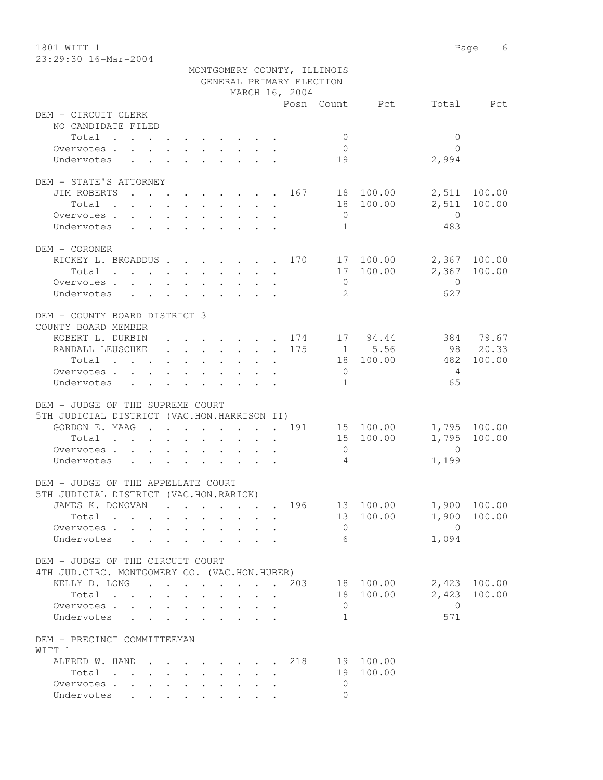1801 WITT 1 Page 6 23:29:30 16-Mar-2004

|                                                                                                                                                                                                                                                 |                                                                                                                 | MONTGOMERY COUNTY, ILLINOIS |                          |                                                          |                |              |
|-------------------------------------------------------------------------------------------------------------------------------------------------------------------------------------------------------------------------------------------------|-----------------------------------------------------------------------------------------------------------------|-----------------------------|--------------------------|----------------------------------------------------------|----------------|--------------|
|                                                                                                                                                                                                                                                 |                                                                                                                 | GENERAL PRIMARY ELECTION    |                          |                                                          |                |              |
|                                                                                                                                                                                                                                                 |                                                                                                                 | MARCH 16, 2004              |                          |                                                          |                |              |
| DEM - CIRCUIT CLERK                                                                                                                                                                                                                             |                                                                                                                 |                             |                          | Posn Count Pct                                           |                | Total Pct    |
| NO CANDIDATE FILED                                                                                                                                                                                                                              |                                                                                                                 |                             |                          |                                                          |                |              |
| Total                                                                                                                                                                                                                                           |                                                                                                                 |                             | $\mathbf{0}$             |                                                          | $\mathbf{0}$   |              |
| Overvotes.                                                                                                                                                                                                                                      |                                                                                                                 |                             | $\overline{0}$           |                                                          | $\bigcap$      |              |
| Undervotes<br>$\mathbf{r}$ , $\mathbf{r}$ , $\mathbf{r}$ , $\mathbf{r}$ , $\mathbf{r}$ , $\mathbf{r}$                                                                                                                                           |                                                                                                                 |                             | 19                       |                                                          | 2,994          |              |
|                                                                                                                                                                                                                                                 |                                                                                                                 |                             |                          |                                                          |                |              |
| DEM - STATE'S ATTORNEY                                                                                                                                                                                                                          |                                                                                                                 |                             |                          |                                                          |                |              |
| . 167 18 100.00<br>JIM ROBERTS                                                                                                                                                                                                                  |                                                                                                                 |                             |                          |                                                          |                | 2,511 100.00 |
| Total $\cdot$                                                                                                                                                                                                                                   |                                                                                                                 |                             |                          | 18 100.00                                                | 2,511          | 100.00       |
| Overvotes                                                                                                                                                                                                                                       |                                                                                                                 |                             | $\overline{0}$           |                                                          | $\overline{0}$ |              |
| Undervotes                                                                                                                                                                                                                                      |                                                                                                                 |                             | $\overline{1}$           |                                                          | 483            |              |
|                                                                                                                                                                                                                                                 |                                                                                                                 |                             |                          |                                                          |                |              |
| DEM - CORONER                                                                                                                                                                                                                                   |                                                                                                                 |                             |                          |                                                          |                |              |
| RICKEY L. BROADDUS 170 17 100.00                                                                                                                                                                                                                |                                                                                                                 |                             |                          |                                                          |                | 2,367 100.00 |
| Total                                                                                                                                                                                                                                           |                                                                                                                 |                             |                          | 17 100.00                                                |                | 2,367 100.00 |
| Overvotes                                                                                                                                                                                                                                       |                                                                                                                 |                             | $\overline{0}$           |                                                          | $\overline{0}$ |              |
| Undervotes                                                                                                                                                                                                                                      |                                                                                                                 |                             | $\overline{2}$           |                                                          | 627            |              |
|                                                                                                                                                                                                                                                 |                                                                                                                 |                             |                          |                                                          |                |              |
| DEM - COUNTY BOARD DISTRICT 3<br>COUNTY BOARD MEMBER                                                                                                                                                                                            |                                                                                                                 |                             |                          |                                                          |                |              |
| ROBERT L. DURBIN                                                                                                                                                                                                                                |                                                                                                                 |                             |                          | . 174 17 94.44                                           |                | 384 79.67    |
| RANDALL LEUSCHKE 175                                                                                                                                                                                                                            |                                                                                                                 |                             |                          | $\begin{array}{ccc} 1 & 5.56 \\ 18 & 100.00 \end{array}$ |                | 98 20.33     |
| Total                                                                                                                                                                                                                                           |                                                                                                                 |                             |                          |                                                          | 482            | 100.00       |
| Overvotes                                                                                                                                                                                                                                       |                                                                                                                 |                             | $\overline{0}$           |                                                          | 4              |              |
| Undervotes                                                                                                                                                                                                                                      |                                                                                                                 |                             | $\sqrt{1}$               |                                                          | 65             |              |
|                                                                                                                                                                                                                                                 |                                                                                                                 |                             |                          |                                                          |                |              |
| DEM - JUDGE OF THE SUPREME COURT                                                                                                                                                                                                                |                                                                                                                 |                             |                          |                                                          |                |              |
| 5TH JUDICIAL DISTRICT (VAC.HON.HARRISON II)                                                                                                                                                                                                     |                                                                                                                 |                             |                          |                                                          |                |              |
| GORDON E. MAAG 191 15 100.00                                                                                                                                                                                                                    |                                                                                                                 |                             |                          |                                                          |                | 1,795 100.00 |
| Total                                                                                                                                                                                                                                           |                                                                                                                 |                             |                          | 15 100.00                                                | 1,795          | 100.00       |
| Overvotes                                                                                                                                                                                                                                       |                                                                                                                 |                             | $\overline{0}$           |                                                          | $\overline{0}$ |              |
| Undervotes<br>$\mathbf{r}$ . The contract of the contract of the contract of the contract of the contract of the contract of the contract of the contract of the contract of the contract of the contract of the contract of the contract of th |                                                                                                                 |                             | $\overline{4}$           |                                                          | 1,199          |              |
|                                                                                                                                                                                                                                                 |                                                                                                                 |                             |                          |                                                          |                |              |
| DEM - JUDGE OF THE APPELLATE COURT                                                                                                                                                                                                              |                                                                                                                 |                             |                          |                                                          |                |              |
| 5TH JUDICIAL DISTRICT (VAC.HON.RARICK)                                                                                                                                                                                                          |                                                                                                                 |                             |                          |                                                          |                |              |
| JAMES K. DONOVAN                                                                                                                                                                                                                                | the contract of the contract of the contract of the contract of the contract of the contract of the contract of | 196                         |                          | 13 100.00                                                |                | 1,900 100.00 |
| Total                                                                                                                                                                                                                                           |                                                                                                                 |                             | 13                       | 100.00                                                   | 1,900          | 100.00       |
| Overvotes.                                                                                                                                                                                                                                      |                                                                                                                 |                             | $\mathbf 0$              |                                                          | $\overline{0}$ |              |
| Undervotes .                                                                                                                                                                                                                                    |                                                                                                                 |                             | 6                        |                                                          | 1,094          |              |
| DEM - JUDGE OF THE CIRCUIT COURT                                                                                                                                                                                                                |                                                                                                                 |                             |                          |                                                          |                |              |
| 4TH JUD. CIRC. MONTGOMERY CO. (VAC.HON.HUBER)                                                                                                                                                                                                   |                                                                                                                 |                             |                          |                                                          |                |              |
| KELLY D. LONG                                                                                                                                                                                                                                   |                                                                                                                 | 203                         |                          | 18 100.00                                                | 2,423          | 100.00       |
| Total                                                                                                                                                                                                                                           |                                                                                                                 |                             | 18                       | 100.00                                                   | 2,423          | 100.00       |
| Overvotes.                                                                                                                                                                                                                                      |                                                                                                                 |                             | $\mathbf{0}$             |                                                          | $\overline{0}$ |              |
| Undervotes                                                                                                                                                                                                                                      |                                                                                                                 |                             | 1                        |                                                          | 571            |              |
|                                                                                                                                                                                                                                                 |                                                                                                                 |                             |                          |                                                          |                |              |
| DEM - PRECINCT COMMITTEEMAN                                                                                                                                                                                                                     |                                                                                                                 |                             |                          |                                                          |                |              |
| WITT 1                                                                                                                                                                                                                                          |                                                                                                                 |                             |                          |                                                          |                |              |
| ALFRED W. HAND                                                                                                                                                                                                                                  |                                                                                                                 | 218                         |                          | 19 100.00                                                |                |              |
| Total                                                                                                                                                                                                                                           |                                                                                                                 |                             | 19                       | 100.00                                                   |                |              |
| Overvotes.                                                                                                                                                                                                                                      |                                                                                                                 |                             | $\mathbf{0}$<br>$\Omega$ |                                                          |                |              |
| Undervotes                                                                                                                                                                                                                                      |                                                                                                                 |                             |                          |                                                          |                |              |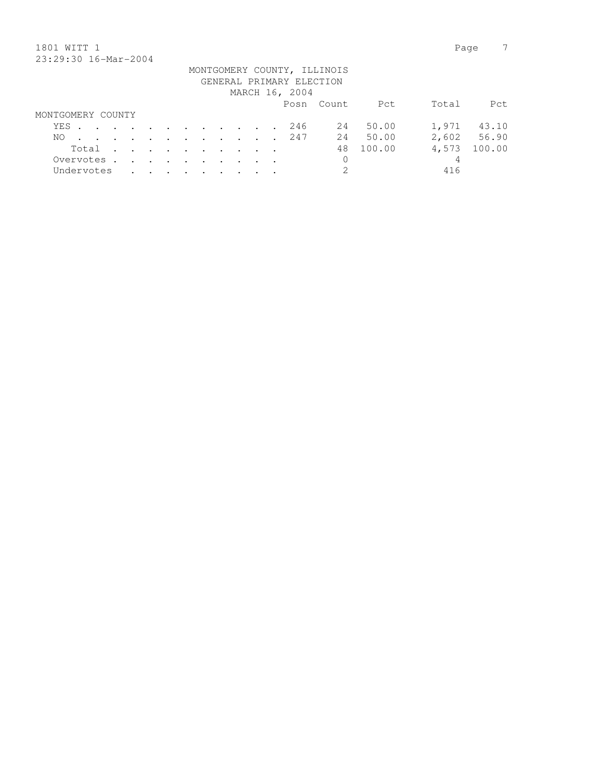## 1801 WITT 1 Page 7 23:29:30 16-Mar-2004

|                   |  |                                                                                                                 |  |  |  |  | GENERAL PRIMARY ELECTION<br>MARCH 16, 2004 | MONTGOMERY COUNTY, ILLINOIS |        |       |             |
|-------------------|--|-----------------------------------------------------------------------------------------------------------------|--|--|--|--|--------------------------------------------|-----------------------------|--------|-------|-------------|
|                   |  |                                                                                                                 |  |  |  |  |                                            | Posn Count                  | Pct    | Total | Pct.        |
| MONTGOMERY COUNTY |  |                                                                                                                 |  |  |  |  |                                            |                             |        |       |             |
| YES               |  |                                                                                                                 |  |  |  |  | 246                                        | 24                          | 50.00  | 1,971 | 43.10       |
| NO.               |  | the contract of the contract of the contract of the contract of the contract of the contract of the contract of |  |  |  |  | 247                                        | 24                          | 50.00  |       | 2,602 56.90 |
| Total .           |  | the contract of the contract of the contract of                                                                 |  |  |  |  |                                            | 48                          | 100.00 | 4,573 | 100.00      |
| Overvotes         |  |                                                                                                                 |  |  |  |  |                                            | 0                           |        | 4     |             |
| Undervotes        |  |                                                                                                                 |  |  |  |  |                                            | 2                           |        | 416   |             |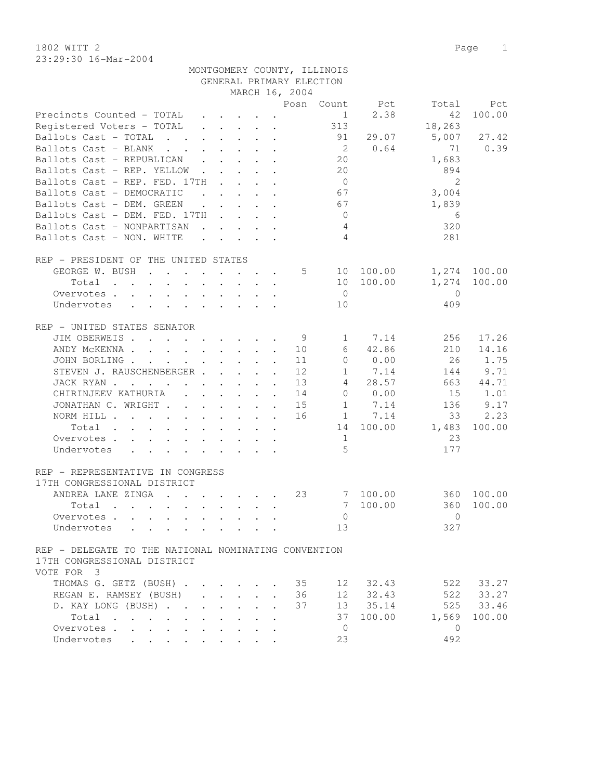1802 WITT 2 Page 1 23:29:30 16-Mar-2004

|                                                                                                                          |                                        |                      |                                                           |                                            |                      |                          | MONTGOMERY COUNTY, ILLINOIS |           |                |              |
|--------------------------------------------------------------------------------------------------------------------------|----------------------------------------|----------------------|-----------------------------------------------------------|--------------------------------------------|----------------------|--------------------------|-----------------------------|-----------|----------------|--------------|
|                                                                                                                          |                                        |                      |                                                           |                                            |                      | GENERAL PRIMARY ELECTION |                             |           |                |              |
|                                                                                                                          |                                        |                      |                                                           |                                            |                      | MARCH 16, 2004           |                             |           |                |              |
|                                                                                                                          |                                        |                      |                                                           |                                            |                      |                          | Posn Count                  | Pct       | Total          | Pct          |
| Precincts Counted - TOTAL                                                                                                |                                        |                      | $\cdot$ $\cdot$ $\cdot$ $\cdot$                           |                                            |                      |                          | 1                           | 2.38      | 42             | 100.00       |
| Registered Voters - TOTAL                                                                                                |                                        |                      | $\cdot$ $\cdot$ $\cdot$ $\cdot$ $\cdot$ $\cdot$           |                                            |                      |                          | 313                         |           | 18,263         |              |
| Ballots Cast - TOTAL<br>$\cdot$ $\cdot$ $\cdot$                                                                          |                                        |                      | $\cdot$ $\cdot$ $\cdot$ $\cdot$ $\cdot$ $\cdot$           |                                            |                      |                          | 91                          | 29.07     | 5,007          | 27.42        |
|                                                                                                                          |                                        |                      |                                                           |                                            |                      |                          | $\overline{2}$              | 0.64      | 71             | 0.39         |
| Ballots Cast - BLANK<br><b>Contract Contract Contract</b>                                                                |                                        |                      | $\cdot$ $\cdot$ $\cdot$ $\cdot$ $\cdot$                   |                                            |                      |                          |                             |           |                |              |
| Ballots Cast - REPUBLICAN                                                                                                |                                        |                      | $\cdot$ $\cdot$ $\cdot$ $\cdot$ $\cdot$                   |                                            |                      |                          | 20                          |           | 1,683          |              |
| Ballots Cast - REP. YELLOW.                                                                                              |                                        | $\mathbf{L}$         |                                                           |                                            |                      |                          | 20                          |           | 894            |              |
| Ballots Cast - REP. FED. 17TH                                                                                            |                                        |                      | $\mathbf{r}$ , $\mathbf{r}$ , $\mathbf{r}$                |                                            |                      |                          | $\overline{0}$              |           | $\overline{2}$ |              |
| Ballots Cast - DEMOCRATIC                                                                                                | $\mathbf{r}$ . The set of $\mathbf{r}$ |                      |                                                           | $\mathbf{r} = \mathbf{r} \cdot \mathbf{r}$ |                      |                          | 67                          |           | 3,004          |              |
| Ballots Cast - DEM. GREEN                                                                                                |                                        |                      | $\mathbf{r}$ , $\mathbf{r}$ , $\mathbf{r}$ , $\mathbf{r}$ |                                            |                      |                          | 67                          |           | 1,839          |              |
| Ballots Cast - DEM. FED. 17TH                                                                                            |                                        |                      |                                                           |                                            |                      |                          | $\overline{0}$              |           | 6              |              |
| Ballots Cast - NONPARTISAN                                                                                               |                                        |                      |                                                           |                                            |                      |                          | $\overline{4}$              |           | 320            |              |
| Ballots Cast - NON. WHITE                                                                                                |                                        |                      |                                                           |                                            |                      |                          | $\overline{4}$              |           | 281            |              |
|                                                                                                                          |                                        |                      |                                                           |                                            |                      |                          |                             |           |                |              |
| REP - PRESIDENT OF THE UNITED STATES                                                                                     |                                        |                      |                                                           |                                            |                      |                          |                             |           |                |              |
| GEORGE W. BUSH                                                                                                           |                                        |                      |                                                           |                                            |                      | 5                        |                             | 10 100.00 |                | 1,274 100.00 |
| Total<br>$\cdot$ $\cdot$ $\cdot$ $\cdot$                                                                                 | $\sim$ 100 $\pm$                       | $\ddot{\phantom{0}}$ |                                                           | $\mathbf{L} = \mathbf{L} \mathbf{L}$       | $\ddot{\phantom{a}}$ |                          |                             | 10 100.00 | 1,274          | 100.00       |
| Overvotes                                                                                                                |                                        |                      |                                                           |                                            |                      |                          | $\overline{0}$              |           | $\Omega$       |              |
|                                                                                                                          |                                        |                      |                                                           |                                            |                      |                          |                             |           |                |              |
| Undervotes                                                                                                               |                                        |                      |                                                           |                                            |                      |                          | 10                          |           | 409            |              |
|                                                                                                                          |                                        |                      |                                                           |                                            |                      |                          |                             |           |                |              |
| REP - UNITED STATES SENATOR                                                                                              |                                        |                      |                                                           |                                            |                      |                          |                             |           |                |              |
| JIM OBERWEIS                                                                                                             |                                        |                      |                                                           |                                            |                      | 9                        | $\mathbf{1}$                | 7.14      | 256            | 17.26        |
| ANDY MCKENNA                                                                                                             |                                        |                      |                                                           |                                            |                      | 10                       | 6                           | 42.86     | 210            | 14.16        |
| JOHN BORLING.<br>$\mathcal{A}$ . The set of the set of the set of the set of $\mathcal{A}$                               |                                        |                      |                                                           |                                            |                      | 11                       | $\circ$                     | 0.00      | 26             | 1.75         |
| STEVEN J. RAUSCHENBERGER                                                                                                 |                                        |                      |                                                           |                                            |                      | 12                       | 1                           | 7.14      | 144            | 9.71         |
| JACK RYAN                                                                                                                |                                        |                      | $\cdot$ $\cdot$ $\cdot$ $\cdot$                           |                                            | $\mathbf{r}$         | 13                       | $4\overline{ }$             | 28.57     | 663            | 44.71        |
| CHIRINJEEV KATHURIA                                                                                                      |                                        |                      |                                                           |                                            |                      | 14                       |                             | 0 0.00    | 15             | 1.01         |
| JONATHAN C. WRIGHT                                                                                                       |                                        |                      |                                                           |                                            |                      | 15                       |                             | 1 7.14    | 136            | 9.17         |
| NORM HILL                                                                                                                |                                        |                      |                                                           |                                            |                      | 16                       |                             | 1 7.14    | 33             | 2.23         |
| Total<br>the contract of the contract of the contract of the contract of the contract of the contract of the contract of |                                        |                      |                                                           |                                            |                      |                          |                             | 14 100.00 | 1,483          | 100.00       |
| Overvotes                                                                                                                |                                        |                      |                                                           |                                            |                      |                          | 1                           |           | 23             |              |
| Undervotes                                                                                                               |                                        |                      |                                                           |                                            |                      |                          | $\overline{5}$              |           | 177            |              |
|                                                                                                                          |                                        |                      |                                                           |                                            |                      |                          |                             |           |                |              |
|                                                                                                                          |                                        |                      |                                                           |                                            |                      |                          |                             |           |                |              |
| REP - REPRESENTATIVE IN CONGRESS                                                                                         |                                        |                      |                                                           |                                            |                      |                          |                             |           |                |              |
| 17TH CONGRESSIONAL DISTRICT                                                                                              |                                        |                      |                                                           |                                            |                      |                          |                             |           |                |              |
| ANDREA LANE ZINGA<br>$\mathbf{r}$ , $\mathbf{r}$ , $\mathbf{r}$ , $\mathbf{r}$ , $\mathbf{r}$ , $\mathbf{r}$             |                                        |                      |                                                           |                                            |                      | 23                       |                             | 7 100.00  |                | 360 100.00   |
| Total .                                                                                                                  |                                        |                      |                                                           |                                            |                      |                          |                             | 7 100.00  |                | 360 100.00   |
| Overvotes                                                                                                                |                                        |                      |                                                           |                                            |                      |                          | $\mathbf{0}$                |           | $\Omega$       |              |
| Undervotes                                                                                                               |                                        |                      |                                                           |                                            |                      |                          | 13                          |           | 327            |              |
|                                                                                                                          |                                        |                      |                                                           |                                            |                      |                          |                             |           |                |              |
| REP - DELEGATE TO THE NATIONAL NOMINATING CONVENTION                                                                     |                                        |                      |                                                           |                                            |                      |                          |                             |           |                |              |
| 17TH CONGRESSIONAL DISTRICT                                                                                              |                                        |                      |                                                           |                                            |                      |                          |                             |           |                |              |
| VOTE FOR 3                                                                                                               |                                        |                      |                                                           |                                            |                      |                          |                             |           |                |              |
| THOMAS G. GETZ (BUSH) 35                                                                                                 |                                        |                      |                                                           |                                            |                      |                          |                             | 12 32.43  | 522            | 33.27        |
| REGAN E. RAMSEY (BUSH)                                                                                                   |                                        |                      |                                                           |                                            |                      | 36                       |                             | 12 32.43  |                | 522 33.27    |
| D. KAY LONG (BUSH)                                                                                                       |                                        |                      |                                                           |                                            |                      | 37                       |                             | 13 35.14  |                | 525 33.46    |
| Total                                                                                                                    |                                        |                      |                                                           |                                            |                      |                          |                             | 37 100.00 | 1,569          | 100.00       |
|                                                                                                                          |                                        |                      |                                                           |                                            |                      |                          |                             |           |                |              |
| Overvotes                                                                                                                |                                        |                      |                                                           |                                            |                      |                          | $\overline{0}$              |           | $\overline{0}$ |              |
| Undervotes                                                                                                               |                                        |                      |                                                           |                                            |                      |                          | 23                          |           | 492            |              |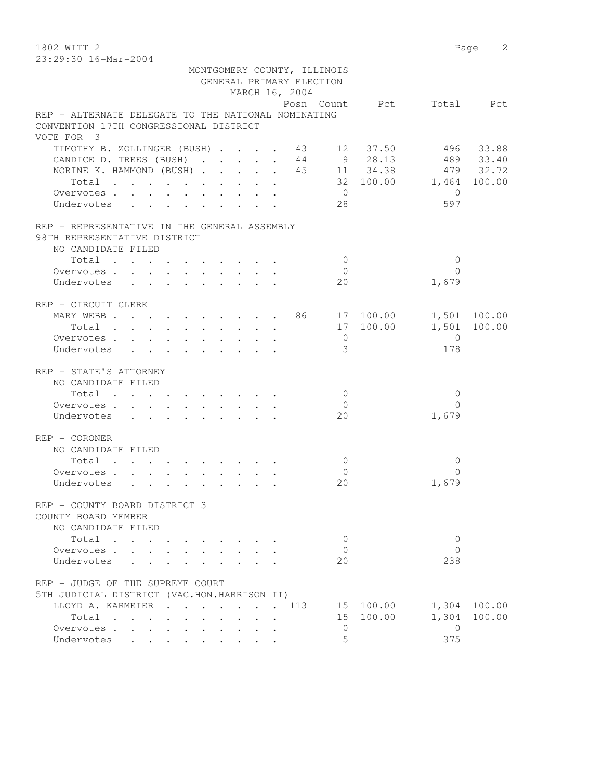1802 WITT 2 Page 2 23:29:30 16-Mar-2004

| 49.49.90 IV MIL 2007                                |                                                           |  |  |                | MONTGOMERY COUNTY, ILLINOIS |                          |                |        |
|-----------------------------------------------------|-----------------------------------------------------------|--|--|----------------|-----------------------------|--------------------------|----------------|--------|
|                                                     |                                                           |  |  |                | GENERAL PRIMARY ELECTION    |                          |                |        |
|                                                     |                                                           |  |  | MARCH 16, 2004 |                             |                          |                |        |
|                                                     |                                                           |  |  |                |                             | Posn Count Pct Total Pct |                |        |
| REP - ALTERNATE DELEGATE TO THE NATIONAL NOMINATING |                                                           |  |  |                |                             |                          |                |        |
| CONVENTION 17TH CONGRESSIONAL DISTRICT              |                                                           |  |  |                |                             |                          |                |        |
| VOTE FOR 3                                          |                                                           |  |  |                |                             |                          |                |        |
| TIMOTHY B. ZOLLINGER (BUSH) 43 12 37.50 496 33.88   |                                                           |  |  |                |                             |                          |                |        |
| CANDICE D. TREES (BUSH) 44 9 28.13 489 33.40        |                                                           |  |  |                |                             |                          |                |        |
| NORINE K. HAMMOND (BUSH) 45 11 34.38 479 32.72      |                                                           |  |  |                |                             |                          |                |        |
| Total 32 100.00 1,464 100.00                        |                                                           |  |  |                |                             |                          |                |        |
| Overvotes.                                          |                                                           |  |  |                | $\overline{0}$              |                          | $\overline{0}$ |        |
| Undervotes 28                                       |                                                           |  |  |                |                             |                          | 597            |        |
| REP - REPRESENTATIVE IN THE GENERAL ASSEMBLY        |                                                           |  |  |                |                             |                          |                |        |
| 98TH REPRESENTATIVE DISTRICT                        |                                                           |  |  |                |                             |                          |                |        |
| NO CANDIDATE FILED                                  |                                                           |  |  |                |                             |                          |                |        |
| Total                                               |                                                           |  |  |                | $\overline{0}$              |                          | $\mathbf 0$    |        |
| Overvotes.                                          |                                                           |  |  |                | $\overline{0}$              |                          | $\Omega$       |        |
| Undervotes                                          |                                                           |  |  |                | 20                          |                          | 1,679          |        |
| REP - CIRCUIT CLERK                                 |                                                           |  |  |                |                             |                          |                |        |
| MARY WEBB 86 17 100.00 1,501 100.00                 |                                                           |  |  |                |                             |                          |                |        |
| Total                                               |                                                           |  |  |                |                             | 17 100.00   1,501 100.00 |                |        |
| Overvotes                                           |                                                           |  |  |                | $\overline{0}$              |                          | $\overline{0}$ |        |
| Undervotes                                          |                                                           |  |  |                | $\overline{3}$              |                          | 178            |        |
| REP - STATE'S ATTORNEY                              |                                                           |  |  |                |                             |                          |                |        |
| NO CANDIDATE FILED                                  |                                                           |  |  |                |                             |                          |                |        |
| Total                                               |                                                           |  |  |                | $\overline{0}$              |                          | $\mathbf{0}$   |        |
| Overvotes.                                          |                                                           |  |  |                | $\overline{0}$              |                          | $\Omega$       |        |
| Undervotes                                          |                                                           |  |  |                | 20                          |                          | 1,679          |        |
| REP – CORONER                                       |                                                           |  |  |                |                             |                          |                |        |
| NO CANDIDATE FILED                                  |                                                           |  |  |                |                             |                          |                |        |
| Total $\cdot$                                       |                                                           |  |  |                | $\overline{0}$              |                          | $\mathbf 0$    |        |
| Overvotes.                                          |                                                           |  |  |                | $\overline{0}$              |                          | $\Omega$       |        |
| Undervotes                                          |                                                           |  |  |                | 20                          |                          | 1,679          |        |
| REP - COUNTY BOARD DISTRICT 3                       |                                                           |  |  |                |                             |                          |                |        |
| COUNTY BOARD MEMBER                                 |                                                           |  |  |                |                             |                          |                |        |
| NO CANDIDATE FILED                                  |                                                           |  |  |                |                             |                          |                |        |
| Total                                               |                                                           |  |  |                | $\mathbf{0}$                |                          | 0              |        |
| Overvotes.                                          |                                                           |  |  |                | $\mathbf{0}$                |                          | $\Omega$       |        |
| Undervotes                                          |                                                           |  |  |                | 20                          |                          | 238            |        |
| REP - JUDGE OF THE SUPREME COURT                    |                                                           |  |  |                |                             |                          |                |        |
| 5TH JUDICIAL DISTRICT (VAC.HON.HARRISON II)         |                                                           |  |  |                |                             |                          |                |        |
| LLOYD A. KARMEIER                                   | $\mathbf{r}$ , $\mathbf{r}$ , $\mathbf{r}$ , $\mathbf{r}$ |  |  | 113            |                             | 15 100.00                | 1,304          | 100.00 |
| Total                                               |                                                           |  |  |                |                             | 15 100.00                | 1,304          | 100.00 |
| Overvotes                                           |                                                           |  |  |                | $\mathbf{0}$                |                          | $\overline{0}$ |        |
| Undervotes                                          |                                                           |  |  |                | 5                           |                          | 375            |        |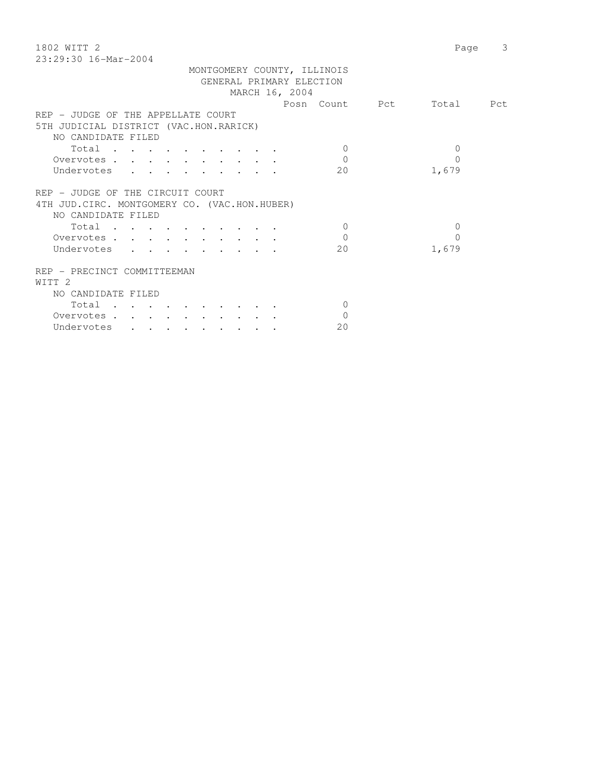| 1802 WITT 2                                                                                               | Page      | 3 |
|-----------------------------------------------------------------------------------------------------------|-----------|---|
| 23:29:30 16-Mar-2004                                                                                      |           |   |
| MONTGOMERY COUNTY, ILLINOIS<br>GENERAL PRIMARY ELECTION<br>MARCH 16, 2004                                 |           |   |
| Posn Count Pct                                                                                            | Total Pct |   |
| REP - JUDGE OF THE APPELLATE COURT                                                                        |           |   |
| 5TH JUDICIAL DISTRICT (VAC.HON.RARICK)                                                                    |           |   |
| NO CANDIDATE FILED                                                                                        |           |   |
| $\Omega$<br>Total                                                                                         | 0         |   |
| $\mathbf 0$<br>Overvotes                                                                                  | $\Omega$  |   |
| 20<br>Undervotes                                                                                          | 1,679     |   |
| REP - JUDGE OF THE CIRCUIT COURT<br>4TH JUD. CIRC. MONTGOMERY CO. (VAC. HON. HUBER)<br>NO CANDIDATE FILED |           |   |

| Total                                            |                                            |               |                                                                       |  |                      |  |    |       |
|--------------------------------------------------|--------------------------------------------|---------------|-----------------------------------------------------------------------|--|----------------------|--|----|-------|
| Overvotes.                                       |                                            |               |                                                                       |  |                      |  |    |       |
| Undervotes                                       |                                            |               | $\mathbf{r}$ , and $\mathbf{r}$ , and $\mathbf{r}$ , and $\mathbf{r}$ |  |                      |  | 20 | 1,679 |
| REP - PRECINCT COMMITTEEMAN<br>WITT <sub>2</sub> |                                            |               |                                                                       |  |                      |  |    |       |
| NO CANDIDATE FILED                               |                                            |               |                                                                       |  |                      |  |    |       |
| Total                                            | $\sim$ $\sim$ $\sim$                       | $\sim$ $\sim$ |                                                                       |  | $\sim$ $\sim$ $\sim$ |  |    |       |
| Overvotes                                        | $\mathbf{r}$ , $\mathbf{r}$ , $\mathbf{r}$ |               |                                                                       |  |                      |  |    |       |

Undervotes . . . . . . . . 20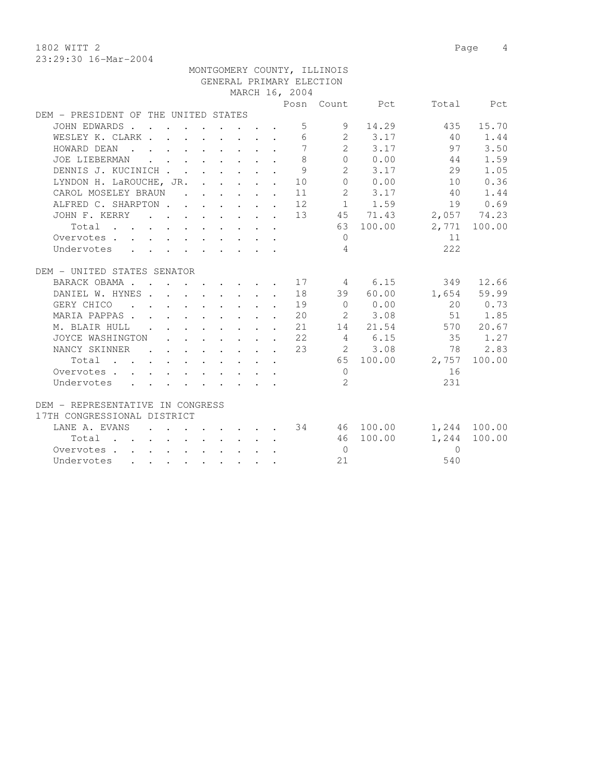1802 WITT 2 Page 4 23:29:30 16-Mar-2004

|                                                                                                                               |                                                                       |  |  |                                                            | MONTGOMERY COUNTY, ILLINOIS |                      |              |              |
|-------------------------------------------------------------------------------------------------------------------------------|-----------------------------------------------------------------------|--|--|------------------------------------------------------------|-----------------------------|----------------------|--------------|--------------|
|                                                                                                                               |                                                                       |  |  |                                                            | GENERAL PRIMARY ELECTION    |                      |              |              |
|                                                                                                                               |                                                                       |  |  | MARCH 16, 2004                                             |                             |                      |              |              |
|                                                                                                                               |                                                                       |  |  |                                                            |                             | Posn Count Pct       |              | Total Pct    |
| DEM - PRESIDENT OF THE UNITED STATES                                                                                          |                                                                       |  |  |                                                            |                             |                      |              |              |
| JOHN EDWARDS                                                                                                                  |                                                                       |  |  |                                                            | $5 - 5$<br>9                | 14.29                | 435          | 15.70        |
| WESLEY K. CLARK                                                                                                               |                                                                       |  |  |                                                            | $6\overline{}$              | 2 3.17               | 40           | 1.44         |
| HOWARD DEAN                                                                                                                   |                                                                       |  |  | $7\phantom{.0}$                                            | $2^{\circ}$                 | 3.17                 | 97           | 3.50         |
| JOE LIEBERMAN<br>$\mathbf{r}$ , and $\mathbf{r}$ , and $\mathbf{r}$ , and $\mathbf{r}$                                        |                                                                       |  |  | 8                                                          | 0                           | 0.00                 | 44           | 1.59         |
| DENNIS J. KUCINICH 9                                                                                                          |                                                                       |  |  |                                                            |                             | $2 \t 3.17$          | 29           | 1.05         |
| LYNDON H. LaROUCHE, JR. 10                                                                                                    |                                                                       |  |  |                                                            |                             | 0 0.00               | 10           | 0.36         |
| CAROL MOSELEY BRAUN 11                                                                                                        |                                                                       |  |  |                                                            |                             | 2 3.17               | 40           | 1.44         |
| ALFRED C. SHARPTON 12                                                                                                         |                                                                       |  |  |                                                            |                             | 1 1.59               |              | 19 0.69      |
| JOHN F. KERRY 13 45 71.43                                                                                                     |                                                                       |  |  |                                                            |                             |                      |              | 2,057 74.23  |
| Total 63 100.00                                                                                                               |                                                                       |  |  |                                                            |                             |                      |              | 2,771 100.00 |
| Overvotes.                                                                                                                    |                                                                       |  |  |                                                            | $\bigcirc$                  |                      | 11           |              |
| Undervotes                                                                                                                    |                                                                       |  |  |                                                            | $\overline{4}$              |                      | 222          |              |
| DEM - UNITED STATES SENATOR                                                                                                   |                                                                       |  |  |                                                            |                             |                      |              |              |
| BARACK OBAMA 17 4 6.15                                                                                                        |                                                                       |  |  |                                                            |                             |                      | 349          | 12.66        |
| DANIEL W. HYNES                                                                                                               |                                                                       |  |  | 18                                                         |                             | 39 60.00             |              | 1,654 59.99  |
| GERY CHICO 19                                                                                                                 |                                                                       |  |  |                                                            |                             | $0 \t 0.00$          | 20           | 0.73         |
| MARIA PAPPAS                                                                                                                  |                                                                       |  |  | $\cdot$ $\cdot$ $\cdot$ $\cdot$ $\cdot$ $\cdot$ $\cdot$ 20 |                             | 2 3.08               | 51           | 1.85         |
| M. BLAIR HULL<br><b>Contract Contract Contract</b>                                                                            |                                                                       |  |  | $\cdot$ $\cdot$ $\cdot$ $\cdot$ $\cdot$ $\cdot$ $\cdot$ 21 |                             | 14 21.54             |              | 570 20.67    |
| JOYCE WASHINGTON                                                                                                              |                                                                       |  |  | $\cdot$ $\cdot$ $\cdot$ $\cdot$ $\cdot$ $\cdot$ $\cdot$ 22 |                             | 4 6.15               | 35           | 1.27         |
| NANCY SKINNER<br>$\cdots$ 23                                                                                                  |                                                                       |  |  |                                                            |                             | 2 3.08               |              | 78 2.83      |
| Total $\cdot$                                                                                                                 |                                                                       |  |  |                                                            |                             | 65 100.00            | 2,757 100.00 |              |
| Overvotes.                                                                                                                    |                                                                       |  |  |                                                            | $\overline{0}$              |                      | 16           |              |
| Undervotes                                                                                                                    |                                                                       |  |  |                                                            | 2                           |                      | 231          |              |
|                                                                                                                               |                                                                       |  |  |                                                            |                             |                      |              |              |
| DEM - REPRESENTATIVE IN CONGRESS                                                                                              |                                                                       |  |  |                                                            |                             |                      |              |              |
| 17TH CONGRESSIONAL DISTRICT                                                                                                   |                                                                       |  |  |                                                            |                             |                      |              |              |
| LANE A. EVANS                                                                                                                 |                                                                       |  |  |                                                            |                             | $\cdot$ 34 46 100.00 |              | 1,244 100.00 |
| Total                                                                                                                         | $\mathbf{r}$ , and $\mathbf{r}$ , and $\mathbf{r}$ , and $\mathbf{r}$ |  |  |                                                            |                             | 46 100.00            | 1,244        | 100.00       |
| Overvotes                                                                                                                     |                                                                       |  |  |                                                            | $\bigcirc$                  |                      | $\Omega$     |              |
| Undervotes<br>the contract of the contract of the contract of the contract of the contract of the contract of the contract of |                                                                       |  |  |                                                            | 2.1                         |                      | 540          |              |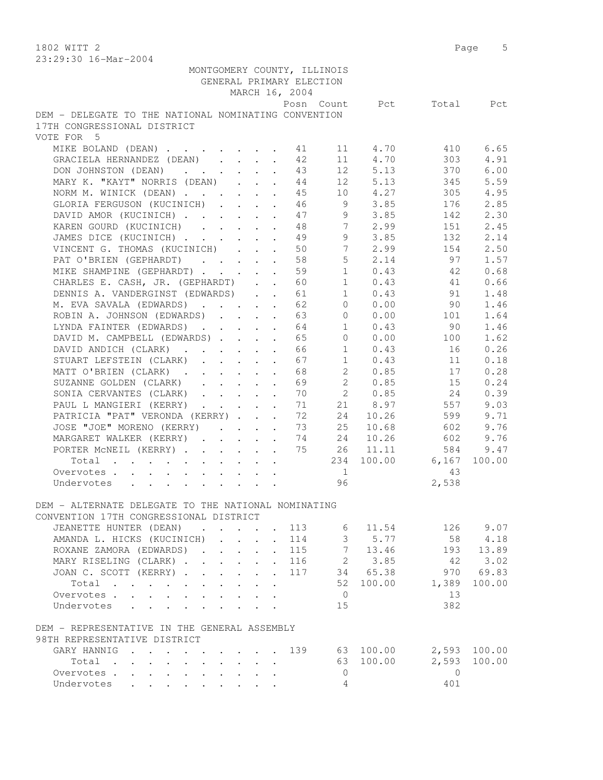1802 WITT 2 Page 5

| 23:29:30 16-Mar-2004                                                                               |                                                           |                |                      |           |          |              |
|----------------------------------------------------------------------------------------------------|-----------------------------------------------------------|----------------|----------------------|-----------|----------|--------------|
| MONTGOMERY COUNTY, ILLINOIS                                                                        |                                                           |                |                      |           |          |              |
| GENERAL PRIMARY ELECTION                                                                           |                                                           |                |                      |           |          |              |
|                                                                                                    |                                                           | MARCH 16, 2004 |                      |           |          |              |
|                                                                                                    |                                                           |                | Posn Count           | Pct       | Total    | Pct          |
| DEM - DELEGATE TO THE NATIONAL NOMINATING CONVENTION                                               |                                                           |                |                      |           |          |              |
| 17TH CONGRESSIONAL DISTRICT                                                                        |                                                           |                |                      |           |          |              |
| VOTE FOR 5                                                                                         |                                                           |                |                      |           |          |              |
| MIKE BOLAND (DEAN)                                                                                 |                                                           | 41             | 11                   | 4.70      | 410      | 6.65         |
| GRACIELA HERNANDEZ (DEAN)                                                                          | $\ddot{\phantom{a}}$                                      | 42             | 11                   | 4.70      | 303      | 4.91         |
| DON JOHNSTON (DEAN)                                                                                | $\cdot$ $\cdot$ $\cdot$ $\cdot$ $\cdot$                   | 43             | 12                   | 5.13      | 370      | 6.00         |
| MARY K. "KAYT" NORRIS (DEAN)                                                                       |                                                           | 44             |                      | 12 5.13   | 345      | 5.59         |
| NORM M. WINICK (DEAN)                                                                              |                                                           | 45             |                      | 10 4.27   | 305      | 4.95         |
| GLORIA FERGUSON (KUCINICH)                                                                         |                                                           |                | 9                    | 3.85      | 176      | 2.85         |
|                                                                                                    |                                                           | 46             |                      |           |          |              |
| DAVID AMOR (KUCINICH)                                                                              |                                                           | 47             | 9                    | 3.85      | 142      | 2.30         |
| KAREN GOURD (KUCINICH)                                                                             |                                                           | 48             | $7\phantom{0}$       | 2.99      | 151      | 2.45         |
| JAMES DICE (KUCINICH)                                                                              | $\ddot{\phantom{a}}$                                      | 49             | 9                    | 3.85      | 132      | 2.14         |
| VINCENT G. THOMAS (KUCINICH) .                                                                     | $\mathbf{L}$<br>$\mathbf{r}$                              | 50             | $7\phantom{.0}$      | 2.99      | 154      | 2.50         |
| PAT O'BRIEN (GEPHARDT)                                                                             |                                                           | 58             | 5                    | 2.14      | 97       | 1.57         |
| MIKE SHAMPINE (GEPHARDT)                                                                           |                                                           | 59             | $\mathbf{1}$         | 0.43      | 42       | 0.68         |
| CHARLES E. CASH, JR. (GEPHARDT)                                                                    |                                                           | 60             | $\mathbf{1}$         | 0.43      | 41       | 0.66         |
| DENNIS A. VANDERGINST (EDWARDS)                                                                    |                                                           | 61             | $\mathbf{1}$         | 0.43      | 91       | 1.48         |
| M. EVA SAVALA (EDWARDS)                                                                            |                                                           | 62             | $\overline{0}$       | 0.00      | 90       | 1.46         |
| ROBIN A. JOHNSON (EDWARDS)                                                                         |                                                           | 63             | 0                    | 0.00      | 101      | 1.64         |
| LYNDA FAINTER (EDWARDS)                                                                            |                                                           | 64             | $\mathbf{1}$         | 0.43      | 90       | 1.46         |
| DAVID M. CAMPBELL (EDWARDS)                                                                        |                                                           | 65             | $\overline{0}$       | 0.00      | 100      | 1.62         |
| DAVID ANDICH (CLARK).<br>$\mathbf{r} = \mathbf{r} + \mathbf{r}$                                    | $\ddot{\phantom{a}}$                                      | 66             | $\mathbf{1}$         | 0.43      | 16       | 0.26         |
| STUART LEFSTEIN (CLARK)<br>$\mathbf{r}$ , $\mathbf{r}$ , $\mathbf{r}$                              | $\ddot{\phantom{a}}$                                      | 67             | $\mathbf{1}$         | 0.43      | 11       | 0.18         |
| MATT O'BRIEN (CLARK)                                                                               |                                                           | 68             | $\mathbf{2}^{\circ}$ | 0.85      | 17       | 0.28         |
| SUZANNE GOLDEN (CLARK)                                                                             |                                                           | 69             | $2^{\circ}$          | 0.85      | 15       | 0.24         |
| SONIA CERVANTES (CLARK)                                                                            |                                                           | 70             | $\mathbf{2}$         | 0.85      | 24       | 0.39         |
| PAUL L MANGIERI (KERRY)                                                                            |                                                           | 71             | 21                   | 8.97      | 557      | 9.03         |
| PATRICIA "PAT" VERONDA (KERRY)                                                                     |                                                           | 72             | 24                   | 10.26     | 599      | 9.71         |
| JOSE "JOE" MORENO (KERRY)                                                                          |                                                           | 73             | 25                   | 10.68     | 602      | 9.76         |
| MARGARET WALKER (KERRY)                                                                            |                                                           | 74             | 24                   | 10.26     | 602      | 9.76         |
|                                                                                                    |                                                           | 75             | 26                   | 11.11     | 584      | 9.47         |
| PORTER MCNEIL (KERRY)                                                                              |                                                           |                |                      |           |          |              |
| Total                                                                                              |                                                           |                | 234                  | 100.00    | 6,167    | 100.00       |
| Overvotes                                                                                          |                                                           |                | 1                    |           | 43       |              |
| Undervotes                                                                                         |                                                           |                | 96                   |           | 2,538    |              |
|                                                                                                    |                                                           |                |                      |           |          |              |
| DEM - ALTERNATE DELEGATE TO THE NATIONAL NOMINATING                                                |                                                           |                |                      |           |          |              |
| CONVENTION 17TH CONGRESSIONAL DISTRICT                                                             |                                                           |                |                      |           |          |              |
| JEANETTE HUNTER (DEAN)<br>$\mathbf{r}$ , $\mathbf{r}$ , $\mathbf{r}$ , $\mathbf{r}$ , $\mathbf{r}$ |                                                           | 113            | 6                    | 11.54     |          | 126 9.07     |
| AMANDA L. HICKS (KUCINICH)<br>$\mathbb{R}^{n \times n}$                                            | $\mathcal{L}^{\text{max}}$ and $\mathcal{L}^{\text{max}}$ | 114            |                      | 3 5.77    | 58       | 4.18         |
| ROXANE ZAMORA (EDWARDS).<br>$\mathbf{r} = \mathbf{r} \cdot \mathbf{r}$                             | $\ddot{\phantom{0}}$                                      | 115            | $7\overline{ }$      | 13.46     | 193      | 13.89        |
| MARY RISELING (CLARK)                                                                              |                                                           | . 116          |                      | 2 3.85    | 42       | 3.02         |
| JOAN C. SCOTT (KERRY)                                                                              |                                                           | . 117          |                      | 34 65.38  | 970      | 69.83        |
| Total                                                                                              |                                                           |                |                      | 52 100.00 | 1,389    | 100.00       |
| Overvotes.                                                                                         |                                                           |                | $\overline{0}$       |           | 13       |              |
| Undervotes                                                                                         |                                                           |                | 15                   |           | 382      |              |
| DEM - REPRESENTATIVE IN THE GENERAL ASSEMBLY                                                       |                                                           |                |                      |           |          |              |
| 98TH REPRESENTATIVE DISTRICT                                                                       |                                                           |                |                      |           |          |              |
| GARY HANNIG<br>$\mathbf{r}$ . The set of $\mathbf{r}$                                              |                                                           | 139            |                      | 63 100.00 |          | 2,593 100.00 |
| Total                                                                                              |                                                           |                |                      | 63 100.00 | 2,593    | 100.00       |
| Overvotes.                                                                                         |                                                           |                | 0                    |           | $\Omega$ |              |
| Undervotes                                                                                         |                                                           |                | 4                    |           | 401      |              |
|                                                                                                    |                                                           |                |                      |           |          |              |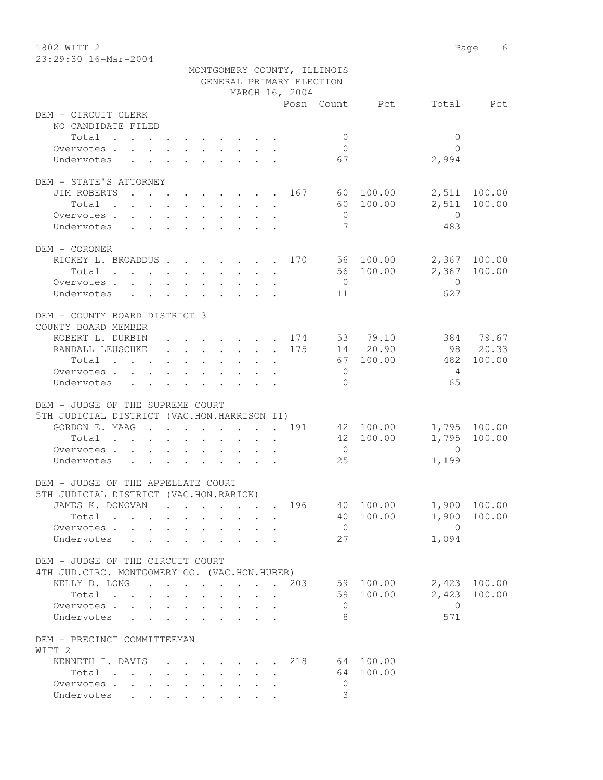1802 WITT 2 Page 6 23:29:30 16-Mar-2004

|                                                                              |  |                | MONTGOMERY COUNTY, ILLINOIS<br>GENERAL PRIMARY ELECTION |                        |                                |
|------------------------------------------------------------------------------|--|----------------|---------------------------------------------------------|------------------------|--------------------------------|
|                                                                              |  | MARCH 16, 2004 |                                                         |                        |                                |
| DEM - CIRCUIT CLERK<br>NO CANDIDATE FILED                                    |  |                |                                                         | Posn Count Pct         | Total Pct                      |
| Total                                                                        |  |                | $\overline{0}$                                          |                        | $\Omega$                       |
| Overvotes                                                                    |  |                | $\bigcirc$                                              |                        | $\bigcap$                      |
| Undervotes                                                                   |  |                | 67                                                      |                        | 2,994                          |
|                                                                              |  |                |                                                         |                        |                                |
| DEM - STATE'S ATTORNEY                                                       |  |                |                                                         |                        |                                |
| JIM ROBERTS 167 60 100.00                                                    |  |                |                                                         |                        | 2,511 100.00                   |
| Total                                                                        |  |                |                                                         | 60 100.00              | 2,511 100.00                   |
| Overvotes                                                                    |  |                | $\overline{0}$                                          |                        | $\overline{0}$                 |
| Undervotes                                                                   |  |                | $7\phantom{.0}$                                         |                        | 483                            |
|                                                                              |  |                |                                                         |                        |                                |
| DEM - CORONER                                                                |  |                |                                                         |                        |                                |
| RICKEY L. BROADDUS 170 56 100.00                                             |  |                |                                                         |                        | 2,367 100.00                   |
| Total $\cdot$                                                                |  |                |                                                         | 56 100.00              | 2,367 100.00                   |
| Overvotes                                                                    |  |                | $\overline{0}$                                          |                        | $\overline{0}$                 |
| Undervotes                                                                   |  |                | 11                                                      |                        | 627                            |
| DEM - COUNTY BOARD DISTRICT 3                                                |  |                |                                                         |                        |                                |
| COUNTY BOARD MEMBER                                                          |  |                |                                                         |                        |                                |
| ROBERT L. DURBIN 174 53 79.10 384 79.67                                      |  |                |                                                         |                        |                                |
| RANDALL LEUSCHKE 175 14 20.90 98 20.33                                       |  |                |                                                         |                        |                                |
| Total 67 100.00                                                              |  |                |                                                         |                        | 100.00<br>482                  |
| Overvotes.                                                                   |  |                | $\overline{0}$                                          |                        | $\overline{4}$                 |
| Undervotes                                                                   |  |                | $\overline{0}$                                          |                        | 65                             |
|                                                                              |  |                |                                                         |                        |                                |
| DEM - JUDGE OF THE SUPREME COURT                                             |  |                |                                                         |                        |                                |
| 5TH JUDICIAL DISTRICT (VAC.HON.HARRISON II)                                  |  |                |                                                         |                        |                                |
| GORDON E. MAAG 191 42 100.00                                                 |  |                |                                                         |                        | 1,795 100.00                   |
| Total                                                                        |  |                |                                                         | 42 100.00              | 1,795<br>100.00                |
| Overvotes                                                                    |  |                | $\overline{0}$                                          |                        | $\overline{0}$                 |
| Undervotes                                                                   |  |                | 25                                                      |                        | 1,199                          |
|                                                                              |  |                |                                                         |                        |                                |
| DEM - JUDGE OF THE APPELLATE COURT<br>5TH JUDICIAL DISTRICT (VAC.HON.RARICK) |  |                |                                                         |                        |                                |
|                                                                              |  |                |                                                         |                        |                                |
| JAMES K. DONOVAN                                                             |  |                |                                                         |                        | . 196 40 100.00 1,900 100.00   |
| Total                                                                        |  |                |                                                         | 40 100.00              | 1,900 100.00<br>$\overline{0}$ |
| Overvotes                                                                    |  |                | $\overline{0}$                                          |                        |                                |
| Undervotes                                                                   |  |                | 27                                                      |                        | 1,094                          |
| DEM - JUDGE OF THE CIRCUIT COURT                                             |  |                |                                                         |                        |                                |
| 4TH JUD. CIRC. MONTGOMERY CO. (VAC.HON.HUBER)                                |  |                |                                                         |                        | 2,423 100.00                   |
| KELLY D. LONG 203<br>Total<br>$\mathbf{L}$ and $\mathbf{L}$                  |  |                |                                                         | 59 100.00<br>59 100.00 | 2,423 100.00                   |
|                                                                              |  |                |                                                         |                        | $\bigcirc$                     |
| Overvotes<br>Undervotes                                                      |  | $\mathbf{r}$   | $\circ$<br>8                                            |                        | 571                            |
|                                                                              |  |                |                                                         |                        |                                |
| DEM - PRECINCT COMMITTEEMAN<br>WITT <sub>2</sub>                             |  |                |                                                         |                        |                                |
| KENNETH I. DAVIS                                                             |  |                | . 218 64 100.00                                         |                        |                                |
| Total                                                                        |  |                |                                                         | 64 100.00              |                                |
| Overvotes                                                                    |  |                | $\mathbf 0$                                             |                        |                                |
| Undervotes                                                                   |  |                | 3                                                       |                        |                                |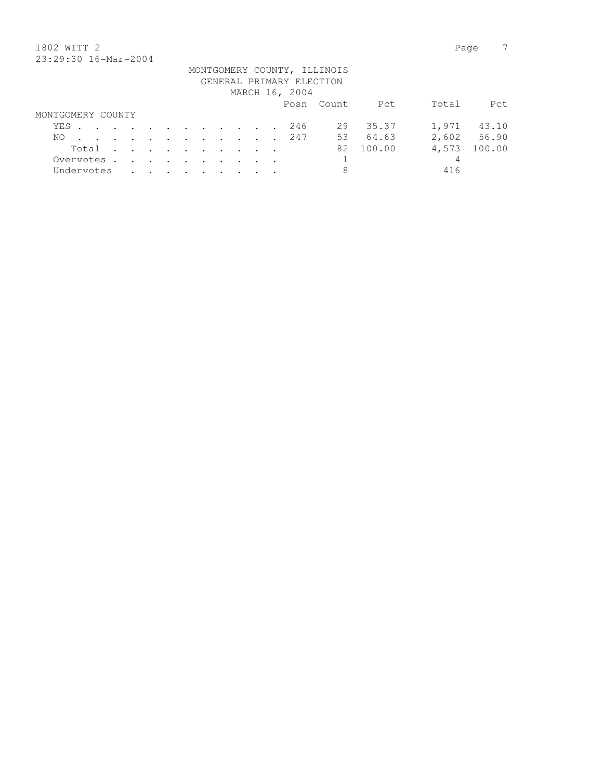## 1802 WITT 2 Page 7 23:29:30 16-Mar-2004

| 40.47.30 IV HUL 4001 |                   |  |  |  |  |  |  |                                                                     |  |  |  |  |                                            |                             |           |       |             |
|----------------------|-------------------|--|--|--|--|--|--|---------------------------------------------------------------------|--|--|--|--|--------------------------------------------|-----------------------------|-----------|-------|-------------|
|                      |                   |  |  |  |  |  |  |                                                                     |  |  |  |  | GENERAL PRIMARY ELECTION<br>MARCH 16, 2004 | MONTGOMERY COUNTY, ILLINOIS |           |       |             |
|                      |                   |  |  |  |  |  |  |                                                                     |  |  |  |  |                                            | Posn Count                  | Pct       | Total | Pct         |
|                      | MONTGOMERY COUNTY |  |  |  |  |  |  |                                                                     |  |  |  |  |                                            |                             |           |       |             |
|                      |                   |  |  |  |  |  |  |                                                                     |  |  |  |  | YES 246                                    |                             | 29 35.37  |       | 1,971 43.10 |
|                      |                   |  |  |  |  |  |  |                                                                     |  |  |  |  | NO 247                                     |                             | 53 64.63  |       | 2,602 56.90 |
|                      |                   |  |  |  |  |  |  | $Total \cdot \cdot \cdot \cdot \cdot \cdot \cdot \cdot \cdot \cdot$ |  |  |  |  |                                            |                             | 82 100.00 | 4,573 | 100.00      |
| Overvotes.           |                   |  |  |  |  |  |  |                                                                     |  |  |  |  |                                            |                             |           | 4     |             |
| Undervotes           |                   |  |  |  |  |  |  |                                                                     |  |  |  |  |                                            | 8                           |           | 416   |             |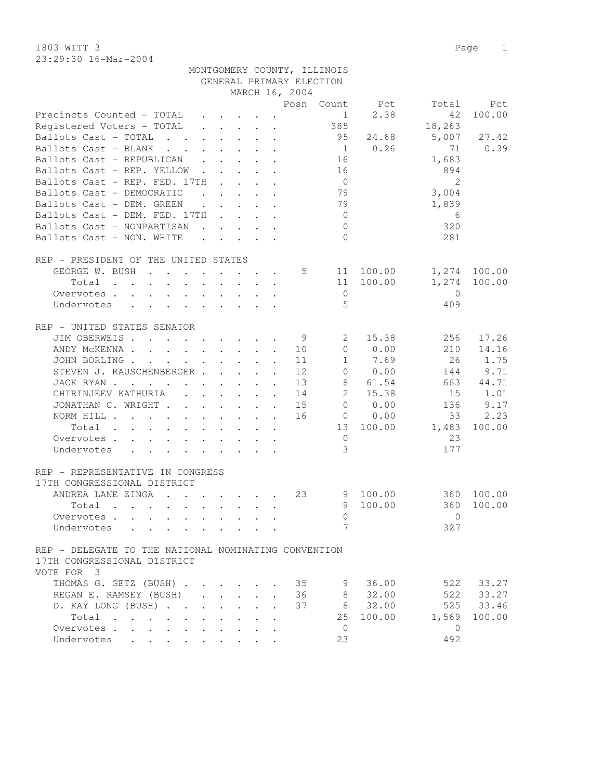1803 WITT 3 Page 1 23:29:30 16-Mar-2004

|                                                                                                             |                         |                                                                       |                      |                | MONTGOMERY COUNTY, ILLINOIS<br>GENERAL PRIMARY ELECTION |                |                     |              |
|-------------------------------------------------------------------------------------------------------------|-------------------------|-----------------------------------------------------------------------|----------------------|----------------|---------------------------------------------------------|----------------|---------------------|--------------|
|                                                                                                             |                         |                                                                       |                      | MARCH 16, 2004 |                                                         |                |                     |              |
|                                                                                                             |                         |                                                                       |                      |                |                                                         | Posn Count Pct | Total               | Pct          |
| Precincts Counted - TOTAL                                                                                   |                         |                                                                       |                      |                | $\frac{1}{2}$                                           | 2.38           | 42                  | 100.00       |
| Registered Voters - TOTAL                                                                                   |                         |                                                                       |                      |                | 385                                                     |                | 18,263              |              |
| Ballots Cast - TOTAL                                                                                        |                         |                                                                       |                      |                | 95                                                      | 24.68          |                     | 5,007 27.42  |
| Ballots Cast - BLANK                                                                                        |                         |                                                                       |                      |                |                                                         | $1 \t 0.26$    | 71                  | 0.39         |
| Ballots Cast - REPUBLICAN                                                                                   |                         |                                                                       |                      |                | 16                                                      |                | 1,683               |              |
| Ballots Cast - REP. YELLOW                                                                                  |                         |                                                                       |                      |                | 16                                                      |                | 894                 |              |
| Ballots Cast - REP. FED. 17TH                                                                               |                         |                                                                       |                      |                | $\overline{0}$                                          |                | $\overline{2}$      |              |
| Ballots Cast - DEMOCRATIC                                                                                   |                         |                                                                       |                      |                |                                                         |                |                     |              |
|                                                                                                             |                         | $\mathbf{r}$ , and $\mathbf{r}$ , and $\mathbf{r}$ , and $\mathbf{r}$ |                      |                | 79<br>79                                                |                | 3,004               |              |
| Ballots Cast - DEM. GREEN                                                                                   |                         | $\mathbf{r}$ , $\mathbf{r}$ , $\mathbf{r}$ , $\mathbf{r}$             |                      |                |                                                         |                | 1,839               |              |
| Ballots Cast - DEM. FED. 17TH                                                                               |                         |                                                                       |                      |                | $\overline{0}$                                          |                | 6                   |              |
| Ballots Cast - NONPARTISAN                                                                                  |                         |                                                                       |                      |                | $\overline{0}$                                          |                | 320                 |              |
| Ballots Cast - NON. WHITE                                                                                   |                         |                                                                       |                      |                | $\Omega$                                                |                | 281                 |              |
| REP - PRESIDENT OF THE UNITED STATES                                                                        |                         |                                                                       |                      |                |                                                         |                |                     |              |
| GEORGE W. BUSH                                                                                              |                         |                                                                       |                      | $5\degree$     |                                                         | 11 100.00      |                     | 1,274 100.00 |
| Total                                                                                                       |                         |                                                                       |                      |                |                                                         | 11 100.00      | 1,274               | 100.00       |
| Overvotes                                                                                                   |                         |                                                                       |                      |                | $\overline{0}$                                          |                | $\overline{0}$      |              |
| Undervotes<br>$\mathbf{r}$ , and $\mathbf{r}$ , and $\mathbf{r}$ , and $\mathbf{r}$<br>$\ddot{\phantom{0}}$ |                         |                                                                       |                      |                | 5                                                       |                | 409                 |              |
| REP - UNITED STATES SENATOR                                                                                 |                         |                                                                       |                      |                |                                                         |                |                     |              |
| JIM OBERWEIS.                                                                                               |                         |                                                                       |                      | - 9            | 2                                                       | 15.38          | 256                 | 17.26        |
|                                                                                                             |                         |                                                                       |                      |                |                                                         |                |                     |              |
| ANDY MCKENNA 10                                                                                             |                         |                                                                       |                      |                |                                                         | 0 0.00         | 210                 | 14.16        |
| JOHN BORLING                                                                                                |                         |                                                                       |                      | 11             |                                                         | 1 7.69         | 26                  | 1.75         |
| STEVEN J. RAUSCHENBERGER                                                                                    |                         |                                                                       |                      | 12             |                                                         | 0 0.00         | 144                 | 9.71         |
| JACK RYAN                                                                                                   |                         |                                                                       |                      | 13             | 8                                                       | 61.54          | 663                 | 44.71        |
| CHIRINJEEV KATHURIA (CHIRINJEEV KATHURIA)                                                                   |                         |                                                                       |                      | 14             |                                                         | 2 15.38        | 15                  | 1.01         |
| JONATHAN C. WRIGHT                                                                                          |                         |                                                                       | $\ddot{\phantom{a}}$ | 15             | $\circ$                                                 | 0.00           | 136                 | 9.17         |
| NORM HILL                                                                                                   |                         |                                                                       |                      | 16             |                                                         | 0 0.00         | 33                  | 2.23         |
| Total                                                                                                       |                         |                                                                       |                      |                |                                                         | 13 100.00      | 1,483               | 100.00       |
| Overvotes                                                                                                   |                         |                                                                       |                      |                | $\overline{0}$                                          |                | 23                  |              |
| Undervotes                                                                                                  |                         |                                                                       |                      |                | 3                                                       |                | 177                 |              |
| REP - REPRESENTATIVE IN CONGRESS                                                                            |                         |                                                                       |                      |                |                                                         |                |                     |              |
| 17TH CONGRESSIONAL DISTRICT                                                                                 |                         |                                                                       |                      |                |                                                         |                |                     |              |
| ANDREA LANE ZINGA<br>. 23                                                                                   |                         |                                                                       |                      |                |                                                         | 9 100.00       |                     | 360 100.00   |
|                                                                                                             |                         |                                                                       |                      |                |                                                         |                | 9 100.00 360 100.00 |              |
| Total .                                                                                                     |                         |                                                                       |                      |                |                                                         |                |                     |              |
| Overvotes                                                                                                   |                         |                                                                       |                      |                | 0                                                       |                | $\mathbf{0}$        |              |
| Undervotes<br>$\sim$<br>$\ddot{\phantom{a}}$                                                                |                         |                                                                       |                      |                | 7                                                       |                | 327                 |              |
| REP - DELEGATE TO THE NATIONAL NOMINATING CONVENTION                                                        |                         |                                                                       |                      |                |                                                         |                |                     |              |
| 17TH CONGRESSIONAL DISTRICT                                                                                 |                         |                                                                       |                      |                |                                                         |                |                     |              |
| VOTE FOR 3                                                                                                  |                         |                                                                       |                      |                |                                                         |                |                     |              |
| THOMAS G. GETZ (BUSH)                                                                                       |                         |                                                                       |                      | 35             | 9                                                       | 36.00          | 522                 | 33.27        |
| REGAN E. RAMSEY (BUSH)                                                                                      |                         | $\mathbf{r}$ . The set of $\mathbf{r}$                                |                      | 36             | 8                                                       | 32.00          | 522                 | 33.27        |
| D. KAY LONG (BUSH)                                                                                          | $\cdot$ $\cdot$ $\cdot$ | $\mathbf{L}$                                                          |                      | 37             | 8                                                       | 32.00          | 525                 | 33.46        |
| Total                                                                                                       |                         |                                                                       | $\mathbf{r}$         |                | 25                                                      | 100.00         | 1,569               | 100.00       |
| Overvotes.                                                                                                  |                         |                                                                       | $\ddot{\phantom{a}}$ |                | $\mathbf{0}$                                            |                | $\overline{0}$      |              |
| Undervotes                                                                                                  |                         |                                                                       |                      |                | 23                                                      |                | 492                 |              |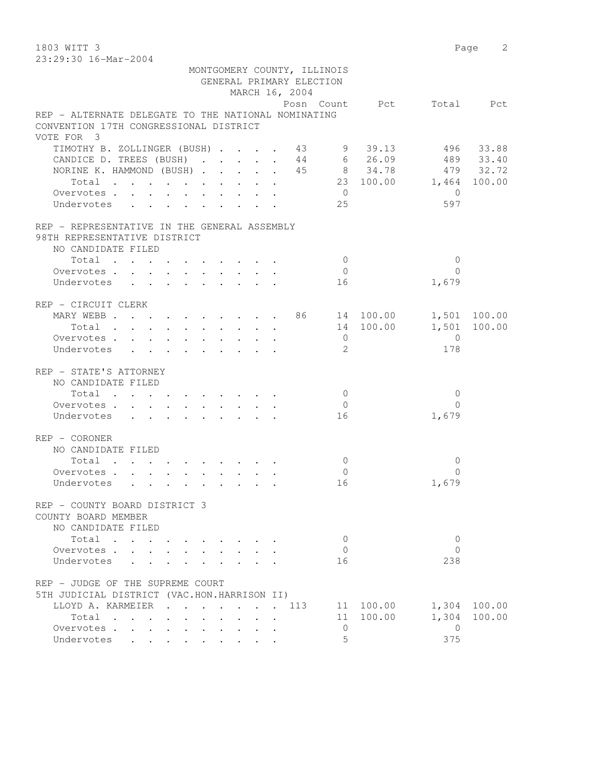1803 WITT 3 Page 2

| 23:29:30 16-Mar-2004                                                                          |  |  |  |  |                             |                |                          |                |              |
|-----------------------------------------------------------------------------------------------|--|--|--|--|-----------------------------|----------------|--------------------------|----------------|--------------|
|                                                                                               |  |  |  |  | MONTGOMERY COUNTY, ILLINOIS |                |                          |                |              |
|                                                                                               |  |  |  |  | GENERAL PRIMARY ELECTION    |                |                          |                |              |
|                                                                                               |  |  |  |  | MARCH 16, 2004              |                |                          |                |              |
|                                                                                               |  |  |  |  |                             |                | Posn Count Pct Total Pct |                |              |
| REP - ALTERNATE DELEGATE TO THE NATIONAL NOMINATING<br>CONVENTION 17TH CONGRESSIONAL DISTRICT |  |  |  |  |                             |                |                          |                |              |
| VOTE FOR 3                                                                                    |  |  |  |  |                             |                |                          |                |              |
| TIMOTHY B. ZOLLINGER (BUSH) 43 9 39.13 496 33.88                                              |  |  |  |  |                             |                |                          |                |              |
| CANDICE D. TREES (BUSH) 44 6 26.09 489 33.40                                                  |  |  |  |  |                             |                |                          |                |              |
| NORINE K. HAMMOND (BUSH) 45 8 34.78 479 32.72                                                 |  |  |  |  |                             |                |                          |                |              |
| Total                                                                                         |  |  |  |  |                             |                | 23 100.00 1,464 100.00   |                |              |
| Overvotes                                                                                     |  |  |  |  |                             | $\overline{0}$ |                          | $\bigcirc$     |              |
| Undervotes 25                                                                                 |  |  |  |  |                             |                |                          | 597            |              |
| REP – REPRESENTATIVE IN THE GENERAL ASSEMBLY                                                  |  |  |  |  |                             |                |                          |                |              |
| 98TH REPRESENTATIVE DISTRICT                                                                  |  |  |  |  |                             |                |                          |                |              |
| NO CANDIDATE FILED                                                                            |  |  |  |  |                             |                |                          |                |              |
| Total                                                                                         |  |  |  |  |                             | $\overline{0}$ |                          | $\overline{0}$ |              |
| Overvotes.                                                                                    |  |  |  |  |                             | $\overline{0}$ |                          | $\Omega$       |              |
| Undervotes                                                                                    |  |  |  |  |                             | 16             |                          | 1,679          |              |
|                                                                                               |  |  |  |  |                             |                |                          |                |              |
| REP – CIRCUIT CLERK                                                                           |  |  |  |  |                             |                |                          |                |              |
| MARY WEBB 86 14 100.00 1,501 100.00                                                           |  |  |  |  |                             |                |                          |                |              |
| Total                                                                                         |  |  |  |  |                             |                | 14 100.00 1,501 100.00   |                |              |
| Overvotes                                                                                     |  |  |  |  |                             | $\overline{0}$ |                          | $\overline{0}$ |              |
| Undervotes                                                                                    |  |  |  |  |                             | $\overline{2}$ |                          | 178            |              |
| REP - STATE'S ATTORNEY                                                                        |  |  |  |  |                             |                |                          |                |              |
| NO CANDIDATE FILED                                                                            |  |  |  |  |                             |                |                          |                |              |
| Total                                                                                         |  |  |  |  |                             | $\overline{0}$ |                          | 0              |              |
| Overvotes                                                                                     |  |  |  |  |                             | $\overline{0}$ |                          | $\Omega$       |              |
| Undervotes 16                                                                                 |  |  |  |  |                             |                |                          | 1,679          |              |
|                                                                                               |  |  |  |  |                             |                |                          |                |              |
| REP - CORONER                                                                                 |  |  |  |  |                             |                |                          |                |              |
| NO CANDIDATE FILED                                                                            |  |  |  |  |                             |                |                          |                |              |
| Total $\cdot$                                                                                 |  |  |  |  |                             | $\overline{0}$ |                          | 0              |              |
| Overvotes                                                                                     |  |  |  |  |                             | $\overline{0}$ |                          | $\Omega$       |              |
| Undervotes                                                                                    |  |  |  |  |                             | 16             |                          | 1,679          |              |
| REP - COUNTY BOARD DISTRICT 3                                                                 |  |  |  |  |                             |                |                          |                |              |
| COUNTY BOARD MEMBER                                                                           |  |  |  |  |                             |                |                          |                |              |
| NO CANDIDATE FILED                                                                            |  |  |  |  |                             |                |                          |                |              |
| Total                                                                                         |  |  |  |  |                             | 0              |                          | $\overline{0}$ |              |
| Overvotes                                                                                     |  |  |  |  |                             | $\mathbf{0}$   |                          | $\Omega$       |              |
| Undervotes                                                                                    |  |  |  |  |                             | 16             |                          | 238            |              |
|                                                                                               |  |  |  |  |                             |                |                          |                |              |
| REP - JUDGE OF THE SUPREME COURT                                                              |  |  |  |  |                             |                |                          |                |              |
| 5TH JUDICIAL DISTRICT (VAC.HON.HARRISON II)                                                   |  |  |  |  |                             |                | 11 100.00                |                | 1,304 100.00 |
| LLOYD A. KARMEIER 113<br>Total                                                                |  |  |  |  |                             |                | 11 100.00                | 1,304          | 100.00       |
| Overvotes                                                                                     |  |  |  |  |                             | $\circ$        |                          | $\overline{0}$ |              |
| Undervotes                                                                                    |  |  |  |  |                             | 5              |                          | 375            |              |
|                                                                                               |  |  |  |  |                             |                |                          |                |              |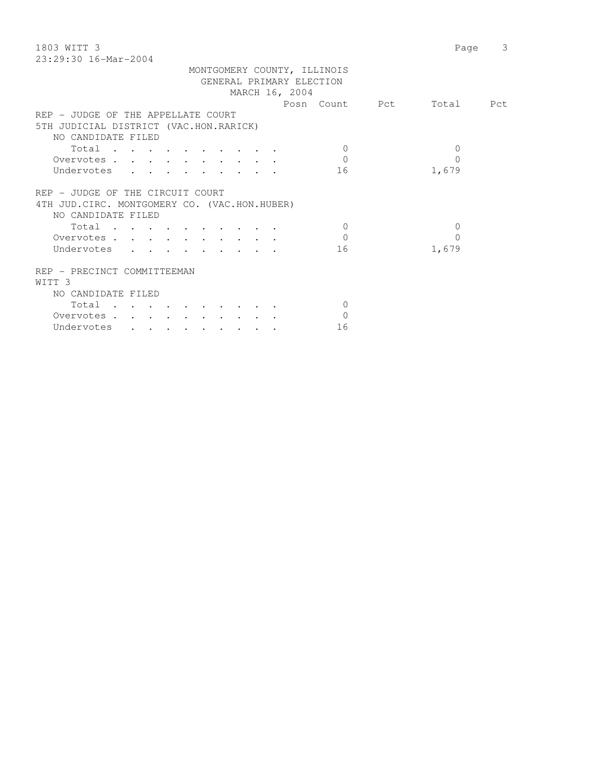| 1803 WITT 3                                                                                                                          |                | 3<br>Page |
|--------------------------------------------------------------------------------------------------------------------------------------|----------------|-----------|
| 23:29:30 16-Mar-2004                                                                                                                 |                |           |
| MONTGOMERY COUNTY, ILLINOIS                                                                                                          |                |           |
| GENERAL PRIMARY ELECTION                                                                                                             |                |           |
| MARCH 16, 2004                                                                                                                       |                |           |
|                                                                                                                                      | Posn Count Pct | Total Pct |
| REP - JUDGE OF THE APPELLATE COURT                                                                                                   |                |           |
| 5TH JUDICIAL DISTRICT (VAC.HON.RARICK)                                                                                               |                |           |
| NO CANDIDATE FILED                                                                                                                   |                |           |
| Total<br>$\Omega$<br>the contract of the contract of the contract of the contract of the contract of the contract of the contract of | $\mathbf{0}$   |           |
| $\Omega$<br>Overvotes                                                                                                                | $\Omega$       |           |
| Undervotes<br>16                                                                                                                     | 1,679          |           |
| REP - JUDGE OF THE CIRCUIT COURT                                                                                                     |                |           |
| 4TH JUD. CIRC. MONTGOMERY CO. (VAC.HON.HUBER)                                                                                        |                |           |
| NO CANDIDATE FILED                                                                                                                   |                |           |
| $\Omega$<br>Total                                                                                                                    | $\mathbf 0$    |           |
| $\Omega$<br>Overvotes                                                                                                                | 0              |           |
| Undervotes<br>16                                                                                                                     | 1,679          |           |
| REP - PRECINCT COMMITTEEMAN                                                                                                          |                |           |
| WITT <sub>3</sub>                                                                                                                    |                |           |
| NO CANDIDATE FILED                                                                                                                   |                |           |
| Total<br>$\Omega$                                                                                                                    |                |           |
| $\Omega$<br>Overvotes                                                                                                                |                |           |

Undervotes . . . . . . . . . 16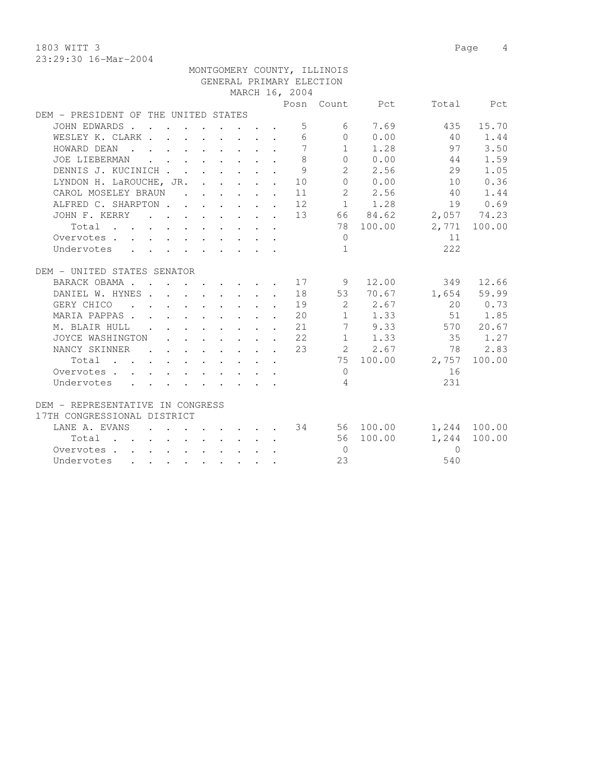1803 WITT 3 Page 4 23:29:30 16-Mar-2004

|                                                                                                                                      |                                                                                                                                                                                                                                               |  |  |                                                            | MONTGOMERY COUNTY, ILLINOIS |                      |           |              |
|--------------------------------------------------------------------------------------------------------------------------------------|-----------------------------------------------------------------------------------------------------------------------------------------------------------------------------------------------------------------------------------------------|--|--|------------------------------------------------------------|-----------------------------|----------------------|-----------|--------------|
|                                                                                                                                      |                                                                                                                                                                                                                                               |  |  |                                                            | GENERAL PRIMARY ELECTION    |                      |           |              |
|                                                                                                                                      |                                                                                                                                                                                                                                               |  |  | MARCH 16, 2004                                             |                             |                      |           |              |
|                                                                                                                                      |                                                                                                                                                                                                                                               |  |  |                                                            |                             | Posn Count Pct       |           | Total Pct    |
| DEM - PRESIDENT OF THE UNITED STATES                                                                                                 |                                                                                                                                                                                                                                               |  |  |                                                            |                             |                      |           |              |
| JOHN EDWARDS                                                                                                                         |                                                                                                                                                                                                                                               |  |  | .5                                                         |                             | 6 7.69               |           | 435 15.70    |
| WESLEY K. CLARK                                                                                                                      |                                                                                                                                                                                                                                               |  |  | 6                                                          |                             | $0 \t 0.00$          | 40        | 1.44         |
| HOWARD DEAN                                                                                                                          |                                                                                                                                                                                                                                               |  |  | $\overline{7}$                                             |                             | $1 \t 1.28$          | 97        | 3.50         |
| $\mathcal{L}(\mathbf{r},\mathbf{r})$ . The contribution of the contribution of $\mathcal{L}(\mathbf{r},\mathbf{r})$<br>JOE LIEBERMAN |                                                                                                                                                                                                                                               |  |  | 8                                                          |                             | 0 0.00               | 44        | 1.59         |
| DENNIS J. KUCINICH                                                                                                                   |                                                                                                                                                                                                                                               |  |  | 9                                                          |                             | 2 2.56               | 29        | 1.05         |
| LYNDON H. LaROUCHE, JR. 10                                                                                                           |                                                                                                                                                                                                                                               |  |  |                                                            | $\overline{0}$              | 0.00                 | 10        | 0.36         |
| CAROL MOSELEY BRAUN                                                                                                                  |                                                                                                                                                                                                                                               |  |  | $\cdots$ $\cdots$ $\cdots$ $\cdots$ $\cdots$ 11            |                             | 2 2.56               | 40        | 1.44         |
| ALFRED C. SHARPTON 12                                                                                                                |                                                                                                                                                                                                                                               |  |  |                                                            |                             | $1 \t 1.28$          | 19        | 0.69         |
| JOHN F. KERRY                                                                                                                        |                                                                                                                                                                                                                                               |  |  |                                                            |                             | $\cdot$ 13 66 84.62  |           | 2,057 74.23  |
| Total                                                                                                                                |                                                                                                                                                                                                                                               |  |  |                                                            |                             | 78 100.00            |           | 2,771 100.00 |
| Overvotes                                                                                                                            |                                                                                                                                                                                                                                               |  |  |                                                            | $\bigcirc$                  |                      | 11        |              |
| Undervotes                                                                                                                           |                                                                                                                                                                                                                                               |  |  |                                                            | $\mathbf{1}$                |                      | 2.2.2     |              |
|                                                                                                                                      |                                                                                                                                                                                                                                               |  |  |                                                            |                             |                      |           |              |
| DEM - UNITED STATES SENATOR                                                                                                          |                                                                                                                                                                                                                                               |  |  |                                                            |                             |                      |           |              |
| BARACK OBAMA 17                                                                                                                      |                                                                                                                                                                                                                                               |  |  |                                                            | 9                           | 12.00                |           | 349 12.66    |
| DANIEL W. HYNES                                                                                                                      |                                                                                                                                                                                                                                               |  |  |                                                            |                             | 18 53 70.67          |           | 1,654 59.99  |
| GERY CHICO                                                                                                                           |                                                                                                                                                                                                                                               |  |  | 19                                                         | $2^{\circ}$                 | 2.67                 | 20        | 0.73         |
| MARIA PAPPAS                                                                                                                         |                                                                                                                                                                                                                                               |  |  | $\cdot$ $\cdot$ $\cdot$ $\cdot$ $\cdot$ $\cdot$ $\cdot$ 20 |                             | $1 \t 1.33$          | 51        | 1.85         |
| M. BLAIR HULL .                                                                                                                      |                                                                                                                                                                                                                                               |  |  | $\cdot$ $\cdot$ $\cdot$ $\cdot$ $\cdot$ $\cdot$ $\cdot$ 21 | $\overline{7}$              | 9.33                 |           | 570 20.67    |
| JOYCE WASHINGTON                                                                                                                     |                                                                                                                                                                                                                                               |  |  | $\cdot$ $\cdot$ $\cdot$ $\cdot$ $\cdot$ $\cdot$ $\cdot$ 22 |                             | $1 \t 1.33$          | 35        | 1.27         |
| NANCY SKINNER                                                                                                                        |                                                                                                                                                                                                                                               |  |  |                                                            |                             | 2 2.67               | 78        | 2.83         |
| Total                                                                                                                                |                                                                                                                                                                                                                                               |  |  |                                                            |                             | 75 100.00            | 2,757     | 100.00       |
| Overvotes.                                                                                                                           |                                                                                                                                                                                                                                               |  |  |                                                            | $\overline{0}$              |                      | 16        |              |
| Undervotes                                                                                                                           |                                                                                                                                                                                                                                               |  |  |                                                            | $\overline{4}$              |                      | 231       |              |
| DEM - REPRESENTATIVE IN CONGRESS                                                                                                     |                                                                                                                                                                                                                                               |  |  |                                                            |                             |                      |           |              |
| 17TH CONGRESSIONAL DISTRICT                                                                                                          |                                                                                                                                                                                                                                               |  |  |                                                            |                             |                      |           |              |
| LANE A. EVANS                                                                                                                        |                                                                                                                                                                                                                                               |  |  |                                                            |                             | $\cdot$ 34 56 100.00 |           | 1,244 100.00 |
| Total                                                                                                                                | $\mathbf{r} = \mathbf{r} - \mathbf{r}$ . The set of the set of the set of the set of the set of the set of the set of the set of the set of the set of the set of the set of the set of the set of the set of the set of the set of the set o |  |  |                                                            |                             | 56 100.00            | 1,244     | 100.00       |
| Overvotes                                                                                                                            |                                                                                                                                                                                                                                               |  |  |                                                            | $\bigcirc$                  |                      | $\bigcap$ |              |
| Undervotes<br>the contract of the contract of the contract of the contract of the contract of the contract of the contract of        |                                                                                                                                                                                                                                               |  |  |                                                            | 23                          |                      | 540       |              |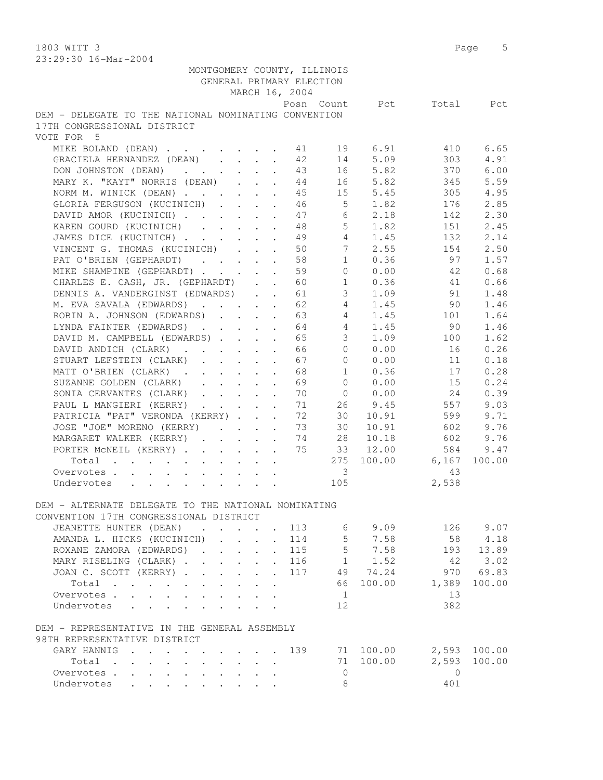1803 WITT 3 Page 5 23:29:30 16-Mar-2004

| 40.42.30 IO-Mal-4004                                 |                                      |                                                                                |                      |                          |                             |                  |                   |              |
|------------------------------------------------------|--------------------------------------|--------------------------------------------------------------------------------|----------------------|--------------------------|-----------------------------|------------------|-------------------|--------------|
|                                                      |                                      |                                                                                |                      | GENERAL PRIMARY ELECTION | MONTGOMERY COUNTY, ILLINOIS |                  |                   |              |
|                                                      |                                      |                                                                                |                      | MARCH 16, 2004           |                             |                  |                   |              |
|                                                      |                                      |                                                                                |                      |                          |                             | Posn Count Pct   |                   | Total Pct    |
| DEM - DELEGATE TO THE NATIONAL NOMINATING CONVENTION |                                      |                                                                                |                      |                          |                             |                  |                   |              |
| 17TH CONGRESSIONAL DISTRICT                          |                                      |                                                                                |                      |                          |                             |                  |                   |              |
| VOTE FOR 5                                           |                                      |                                                                                |                      |                          |                             |                  |                   |              |
| MIKE BOLAND (DEAN) 11                                |                                      |                                                                                |                      | 42                       | 19<br>14                    | 6.91<br>5.09     | 410<br>303        | 6.65<br>4.91 |
| GRACIELA HERNANDEZ (DEAN)<br>DON JOHNSTON (DEAN)     |                                      |                                                                                |                      | 43                       | 16                          | 5.82             | 370               | 6.00         |
| MARY K. "KAYT" NORRIS (DEAN)                         |                                      |                                                                                |                      | 44                       |                             | 16 5.82          | 345               | 5.59         |
| NORM M. WINICK (DEAN)                                |                                      |                                                                                |                      | 45                       | 15                          | 5.45             | 305               | 4.95         |
| GLORIA FERGUSON (KUCINICH)                           |                                      |                                                                                |                      | 46                       | 5 <sup>5</sup>              | 1.82             | 176               | 2.85         |
| DAVID AMOR (KUCINICH)                                |                                      |                                                                                |                      | 47                       | 6                           | 2.18             | 142               | 2.30         |
| KAREN GOURD (KUCINICH)                               |                                      |                                                                                |                      | 48                       | $5 -$                       | 1.82             | 151               | 2.45         |
| JAMES DICE (KUCINICH)                                |                                      |                                                                                |                      | 49                       | $4 \quad$                   | 1.45             | 132               | 2.14         |
| VINCENT G. THOMAS (KUCINICH)                         |                                      |                                                                                | $\ddot{\phantom{0}}$ | 50                       | 7 <sup>7</sup>              | 2.55             | 154               | 2.50         |
| PAT O'BRIEN (GEPHARDT)                               |                                      |                                                                                |                      | 58                       | 1                           | 0.36             | 97                | 1.57         |
| MIKE SHAMPINE (GEPHARDT)                             |                                      |                                                                                | $\mathbf{r}$         | 59                       | $\circ$                     | 0.00             | 42                | 0.68         |
| CHARLES E. CASH, JR. (GEPHARDT)                      |                                      |                                                                                |                      | 60                       | $\mathbf{1}$                | 0.36             | 41                | 0.66         |
| DENNIS A. VANDERGINST (EDWARDS)                      |                                      |                                                                                |                      | 61                       |                             | 3, 1.09          | 91                | 1.48         |
| M. EVA SAVALA (EDWARDS)                              |                                      |                                                                                |                      | 62                       | $4 \quad$                   | 1.45             | 90 —              | 1.46         |
| ROBIN A. JOHNSON (EDWARDS) 63                        |                                      |                                                                                |                      |                          | $4 \quad$                   | 1.45             | 101               | 1.64         |
| LYNDA FAINTER (EDWARDS) 64                           |                                      |                                                                                |                      |                          | $4 \quad$                   | 1.45             | 90                | 1.46         |
| DAVID M. CAMPBELL (EDWARDS)                          |                                      |                                                                                |                      | 65                       | 3 <sup>7</sup>              | 1.09             | 100               | 1.62         |
| DAVID ANDICH (CLARK)                                 |                                      |                                                                                |                      | 66                       | $\overline{0}$              | 0.00             | 16                | 0.26         |
| STUART LEFSTEIN (CLARK)                              |                                      | $\cdot$ $\cdot$ $\cdot$ $\cdot$ $\cdot$                                        | $\mathbf{r}$         | 67                       | $\Omega$                    | 0.00             | 11                | 0.18         |
| MATT O'BRIEN (CLARK).                                |                                      | $\mathcal{L}^{\text{max}}(\mathcal{L}^{\text{max}}(\mathcal{L}^{\text{max}}))$ | $\ddot{\phantom{a}}$ | 68                       | $\mathbf{1}$                | 0.36             | 17                | 0.28         |
| SUZANNE GOLDEN (CLARK)                               |                                      |                                                                                |                      | 69                       | $\Omega$                    | 0.00             | 15                | 0.24         |
| SONIA CERVANTES (CLARK)                              |                                      |                                                                                |                      | 70                       | $\overline{0}$              | 0.00             | 24                | 0.39         |
| PAUL L MANGIERI (KERRY)                              |                                      |                                                                                |                      | 71                       |                             | 26 9.45          | 557               | 9.03         |
| PATRICIA "PAT" VERONDA (KERRY)                       |                                      |                                                                                |                      | 72                       | 30                          | 10.91            | 599               | 9.71         |
| JOSE "JOE" MORENO (KERRY)                            |                                      |                                                                                |                      | 73                       | 30                          | 10.91            | 602               | 9.76         |
| MARGARET WALKER (KERRY)                              |                                      |                                                                                |                      | 74                       | 28                          | 10.18            | 602               | 9.76         |
| PORTER MCNEIL (KERRY)                                |                                      |                                                                                |                      | 75                       | 33                          | 12.00            | 584               | 9.47         |
| Total                                                |                                      |                                                                                |                      |                          |                             | 275 100.00 6,167 |                   | 100.00       |
| Overvotes                                            |                                      |                                                                                |                      |                          | $\overline{\phantom{a}}$    |                  | 43                |              |
| Undervotes                                           |                                      |                                                                                |                      |                          | 105                         |                  | 2,538             |              |
|                                                      |                                      |                                                                                |                      |                          |                             |                  |                   |              |
| DEM - ALTERNATE DELEGATE TO THE NATIONAL NOMINATING  |                                      |                                                                                |                      |                          |                             |                  |                   |              |
| CONVENTION 17TH CONGRESSIONAL DISTRICT               |                                      |                                                                                |                      |                          |                             |                  |                   |              |
| JEANETTE HUNTER (DEAN)                               |                                      |                                                                                |                      | 113                      | 6                           | 9.09             | 126               | 9.07         |
| AMANDA L. HICKS (KUCINICH)                           |                                      |                                                                                |                      | 114                      | $5 -$                       | 7.58             | 58                | 4.18         |
| ROXANE ZAMORA (EDWARDS).                             | $\mathbf{r} = \mathbf{r}$            |                                                                                |                      | 115                      | 5 <sub>5</sub>              | 7.58             | 193               | 13.89        |
| MARY RISELING (CLARK)                                |                                      |                                                                                | $\ddot{\phantom{0}}$ | 116                      |                             | $1 \t 1.52$      | -42               | 3.02         |
| JOAN C. SCOTT (KERRY)                                |                                      |                                                                                | $\ddot{\phantom{0}}$ | 117                      |                             | 49 74.24         | 970               | 69.83        |
| Total                                                | $\mathbf{L} = \mathbf{L} \mathbf{L}$ | $\mathbf{L}$                                                                   | $\ddot{\phantom{a}}$ |                          |                             | 66 100.00        | 1,389             | 100.00       |
| Overvotes.                                           |                                      |                                                                                |                      |                          | $\mathbf{1}$                |                  | 13                |              |
| Undervotes                                           |                                      |                                                                                |                      |                          | 12                          |                  | 382               |              |
|                                                      |                                      |                                                                                |                      |                          |                             |                  |                   |              |
| DEM - REPRESENTATIVE IN THE GENERAL ASSEMBLY         |                                      |                                                                                |                      |                          |                             |                  |                   |              |
| 98TH REPRESENTATIVE DISTRICT                         |                                      |                                                                                |                      |                          |                             |                  |                   |              |
| GARY HANNIG                                          |                                      |                                                                                |                      | 139                      |                             | 71 100.00        |                   | 2,593 100.00 |
| Total<br>Overvotes                                   |                                      | $\mathbf{r} = \mathbf{r} \cdot \mathbf{r}$                                     |                      |                          | $\overline{0}$              | 71 100.00        | 2,593<br>$\Omega$ | 100.00       |
| Undervotes                                           |                                      |                                                                                |                      |                          | 8                           |                  | 401               |              |
|                                                      |                                      |                                                                                |                      |                          |                             |                  |                   |              |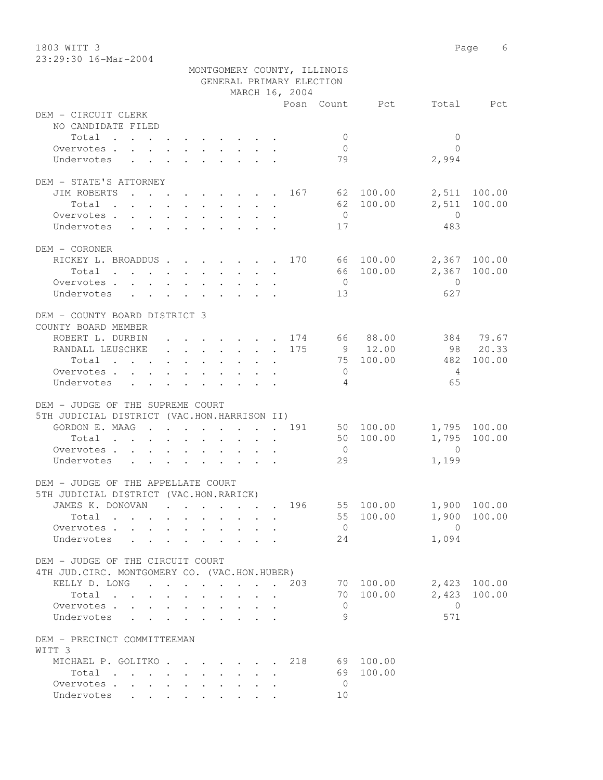1803 WITT 3 Page 6 23:29:30 16-Mar-2004

|                                                                                     |                  | MONTGOMERY COUNTY, ILLINOIS         |                            |                |              |
|-------------------------------------------------------------------------------------|------------------|-------------------------------------|----------------------------|----------------|--------------|
|                                                                                     |                  | GENERAL PRIMARY ELECTION            |                            |                |              |
|                                                                                     |                  | MARCH 16, 2004                      |                            |                |              |
|                                                                                     |                  |                                     | Posn Count Pct Total Pct   |                |              |
| DEM - CIRCUIT CLERK<br>NO CANDIDATE FILED                                           |                  |                                     |                            |                |              |
|                                                                                     |                  |                                     |                            |                |              |
| Total                                                                               |                  |                                     | $\overline{0}$             | $\mathbf{0}$   |              |
| Overvotes.                                                                          |                  |                                     | $\overline{0}$             | $\bigcap$      |              |
| Undervotes                                                                          |                  |                                     | 79                         | 2,994          |              |
| DEM - STATE'S ATTORNEY                                                              |                  |                                     |                            |                |              |
| JIM ROBERTS 167 62 100.00                                                           |                  |                                     |                            |                | 2,511 100.00 |
| Total                                                                               |                  |                                     | 62 100.00                  | 2,511          | 100.00       |
| Overvotes.                                                                          |                  |                                     | $\overline{0}$             | $\overline{0}$ |              |
|                                                                                     |                  |                                     |                            | 483            |              |
| Undervotes                                                                          |                  |                                     | 17                         |                |              |
| DEM - CORONER                                                                       |                  |                                     |                            |                |              |
| RICKEY L. BROADDUS 170 66 100.00 2,367 100.00                                       |                  |                                     |                            |                |              |
| Total $\cdot$                                                                       |                  |                                     | 66 100.00                  |                | 2,367 100.00 |
| Overvotes                                                                           |                  |                                     | $\overline{0}$             | $\overline{0}$ |              |
| Undervotes                                                                          |                  |                                     | 13                         | 627            |              |
|                                                                                     |                  |                                     |                            |                |              |
| DEM - COUNTY BOARD DISTRICT 3                                                       |                  |                                     |                            |                |              |
| COUNTY BOARD MEMBER                                                                 |                  |                                     |                            |                |              |
| ROBERT L. DURBIN 174 66 88.00 384 79.67                                             |                  |                                     |                            |                |              |
| RANDALL LEUSCHKE 175                                                                |                  |                                     | 9 12.00                    | 98 20.33       |              |
|                                                                                     |                  |                                     | 75 100.00                  | 482            | 100.00       |
| Total                                                                               |                  |                                     | $\overline{0}$             | $\overline{4}$ |              |
| Overvotes.                                                                          |                  |                                     | $\overline{4}$             | 65             |              |
| Undervotes<br>$\mathbf{r}$ , and $\mathbf{r}$ , and $\mathbf{r}$ , and $\mathbf{r}$ |                  |                                     |                            |                |              |
| DEM - JUDGE OF THE SUPREME COURT                                                    |                  |                                     |                            |                |              |
| 5TH JUDICIAL DISTRICT (VAC.HON.HARRISON II)                                         |                  |                                     |                            |                |              |
| GORDON E. MAAG 191 50 100.00 1,795 100.00                                           |                  |                                     |                            |                |              |
|                                                                                     |                  |                                     | 50 100.00                  | 1,795          | 100.00       |
| Total $\cdot$                                                                       |                  |                                     |                            | $\overline{0}$ |              |
| Overvotes.                                                                          |                  |                                     | $\overline{0}$             |                |              |
| Undervotes                                                                          |                  |                                     | 29                         | 1,199          |              |
| DEM - JUDGE OF THE APPELLATE COURT                                                  |                  |                                     |                            |                |              |
| 5TH JUDICIAL DISTRICT (VAC.HON.RARICK)                                              |                  |                                     |                            |                |              |
| JAMES K. DONOVAN   .  .                                                             |                  |                                     | 196 55 100.00 1,900 100.00 |                |              |
| Total $\cdots$                                                                      |                  |                                     | 55 100.00                  |                | 1,900 100.00 |
| Overvotes.                                                                          |                  |                                     | $\overline{0}$             | $\overline{0}$ |              |
| Undervotes                                                                          |                  |                                     | 24                         | 1,094          |              |
|                                                                                     |                  |                                     |                            |                |              |
| DEM - JUDGE OF THE CIRCUIT COURT                                                    |                  |                                     |                            |                |              |
| 4TH JUD. CIRC. MONTGOMERY CO. (VAC.HON.HUBER)                                       |                  |                                     |                            |                |              |
| KELLY D. LONG 203                                                                   |                  |                                     | 70 100.00                  |                | 2,423 100.00 |
| Total                                                                               | $\sim$<br>$\sim$ | $\mathbf{r} = \mathbf{r}$<br>$\sim$ | 70 100.00                  |                | 2,423 100.00 |
|                                                                                     |                  |                                     | $\mathbf{0}$               | $\bigcirc$     |              |
| Overvotes<br>Undervotes                                                             |                  |                                     | 9                          | 571            |              |
|                                                                                     |                  |                                     |                            |                |              |
| DEM - PRECINCT COMMITTEEMAN                                                         |                  |                                     |                            |                |              |
| WITT 3                                                                              |                  |                                     |                            |                |              |
| MICHAEL P. GOLITKO. 218                                                             |                  |                                     | 69 100.00                  |                |              |
| Total                                                                               |                  |                                     | 69 100.00                  |                |              |
| Overvotes                                                                           |                  |                                     | $\overline{0}$             |                |              |
| Undervotes                                                                          |                  |                                     | 10                         |                |              |
|                                                                                     |                  |                                     |                            |                |              |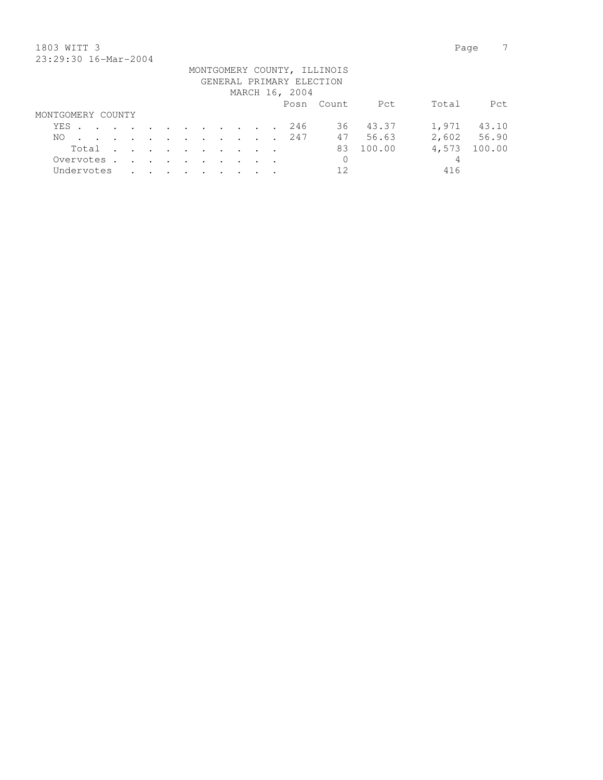## 1803 WITT 3 Page 7 23:29:30 16-Mar-2004

| 40.49.90 10.101 4001 |                   |  |  |  |  |  |  |  |  |                                                                       |  |  |                |                                                         |          |       |             |
|----------------------|-------------------|--|--|--|--|--|--|--|--|-----------------------------------------------------------------------|--|--|----------------|---------------------------------------------------------|----------|-------|-------------|
|                      |                   |  |  |  |  |  |  |  |  |                                                                       |  |  |                | MONTGOMERY COUNTY, ILLINOIS<br>GENERAL PRIMARY ELECTION |          |       |             |
|                      |                   |  |  |  |  |  |  |  |  |                                                                       |  |  | MARCH 16, 2004 |                                                         |          |       |             |
|                      |                   |  |  |  |  |  |  |  |  |                                                                       |  |  |                | Posn Count                                              | Pct      | Total | Pct.        |
|                      | MONTGOMERY COUNTY |  |  |  |  |  |  |  |  |                                                                       |  |  |                |                                                         |          |       |             |
|                      |                   |  |  |  |  |  |  |  |  |                                                                       |  |  | YES 246        |                                                         | 36 43.37 |       | 1,971 43.10 |
| NO.                  |                   |  |  |  |  |  |  |  |  |                                                                       |  |  | . 247          |                                                         | 47 56.63 |       | 2,602 56.90 |
|                      | Total             |  |  |  |  |  |  |  |  |                                                                       |  |  |                | 83                                                      | 100.00   | 4,573 | 100.00      |
| Overvotes.           |                   |  |  |  |  |  |  |  |  |                                                                       |  |  |                | 0                                                       |          | 4     |             |
| Undervotes           |                   |  |  |  |  |  |  |  |  | $\mathbf{r}$ , and $\mathbf{r}$ , and $\mathbf{r}$ , and $\mathbf{r}$ |  |  |                | 12.                                                     |          | 416   |             |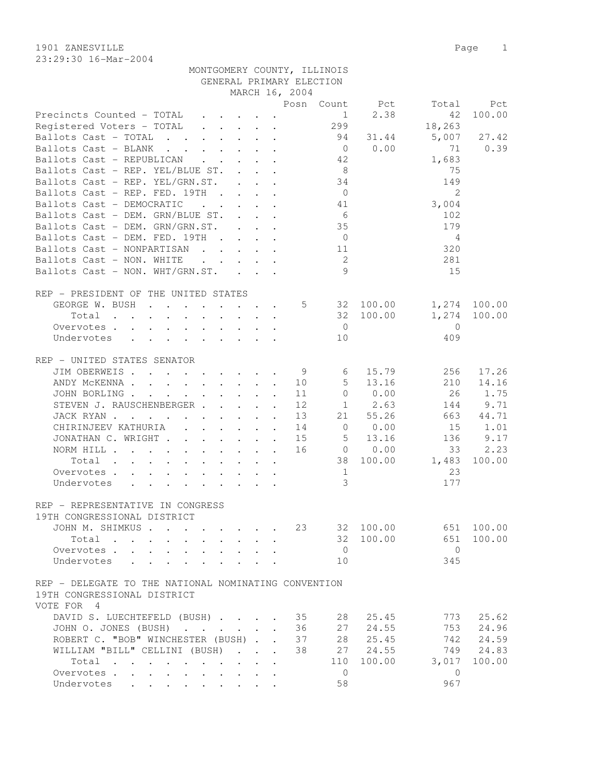23:29:30 16-Mar-2004

1901 ZANESVILLE Page 1 MONTGOMERY COUNTY, ILLINOIS

GENERAL PRIMARY ELECTION

|                                                                                                                                                                                                                                                                        |  | MARCH 16, 2004 |                 |                 |                         |              |
|------------------------------------------------------------------------------------------------------------------------------------------------------------------------------------------------------------------------------------------------------------------------|--|----------------|-----------------|-----------------|-------------------------|--------------|
|                                                                                                                                                                                                                                                                        |  |                |                 | Posn Count Pct  | Total                   | Pct          |
| Precincts Counted - TOTAL                                                                                                                                                                                                                                              |  |                | 1               | 2.38            | 42                      | 100.00       |
| Registered Voters - TOTAL 299                                                                                                                                                                                                                                          |  |                |                 |                 | 18,263                  |              |
| Ballots Cast - TOTAL 94 31.44                                                                                                                                                                                                                                          |  |                |                 |                 | 5,007                   | 27.42        |
| Ballots Cast - BLANK                                                                                                                                                                                                                                                   |  |                |                 | $0 \t 0.00$     | 71                      | 0.39         |
| Ballots Cast - REPUBLICAN                                                                                                                                                                                                                                              |  |                | 42              |                 | 1,683                   |              |
| Ballots Cast - REP. YEL/BLUE ST.                                                                                                                                                                                                                                       |  |                | 8 <sup>8</sup>  |                 | 75                      |              |
| Ballots Cast - REP. YEL/GRN.ST.                                                                                                                                                                                                                                        |  |                | 34              |                 | 149                     |              |
| Ballots Cast - REP. FED. 19TH                                                                                                                                                                                                                                          |  |                | $\overline{0}$  |                 | $\overline{2}$          |              |
| Ballots Cast - DEMOCRATIC<br>$\mathcal{L}^{\mathcal{A}}$ , and $\mathcal{L}^{\mathcal{A}}$ , and $\mathcal{L}^{\mathcal{A}}$ , and $\mathcal{L}^{\mathcal{A}}$                                                                                                         |  |                | 41              |                 | 3,004                   |              |
| Ballots Cast - DEM. GRN/BLUE ST.                                                                                                                                                                                                                                       |  |                | 6               |                 | 102                     |              |
| Ballots Cast - DEM. GRN/GRN.ST.                                                                                                                                                                                                                                        |  |                | 35              |                 | 179                     |              |
|                                                                                                                                                                                                                                                                        |  |                |                 |                 |                         |              |
| Ballots Cast - DEM. FED. 19TH                                                                                                                                                                                                                                          |  |                | $\overline{0}$  |                 | $\overline{4}$          |              |
| Ballots Cast - NONPARTISAN                                                                                                                                                                                                                                             |  |                | 11              |                 | 320                     |              |
| Ballots Cast - NON. WHITE<br>$\mathcal{L}^{\mathcal{A}}$ . The contract of the contract of the contract of the contract of the contract of the contract of the contract of the contract of the contract of the contract of the contract of the contract of the contrac |  |                | $\overline{2}$  |                 | 281                     |              |
| Ballots Cast - NON. WHT/GRN.ST.                                                                                                                                                                                                                                        |  |                | 9               |                 | 15                      |              |
|                                                                                                                                                                                                                                                                        |  |                |                 |                 |                         |              |
| REP - PRESIDENT OF THE UNITED STATES                                                                                                                                                                                                                                   |  |                |                 |                 |                         |              |
| GEORGE W. BUSH 5 32 100.00                                                                                                                                                                                                                                             |  |                |                 |                 |                         | 1,274 100.00 |
| Total                                                                                                                                                                                                                                                                  |  |                |                 | 32 100.00       | 1,274                   | 100.00       |
| Overvotes.                                                                                                                                                                                                                                                             |  |                | $\overline{0}$  |                 | $\overline{0}$          |              |
| Undervotes                                                                                                                                                                                                                                                             |  |                | 10              |                 | 409                     |              |
|                                                                                                                                                                                                                                                                        |  |                |                 |                 |                         |              |
| REP - UNITED STATES SENATOR                                                                                                                                                                                                                                            |  |                |                 |                 |                         |              |
| JIM OBERWEIS. 9                                                                                                                                                                                                                                                        |  |                | $6\overline{6}$ | 15.79           | 256                     | 17.26        |
| ANDY MCKENNA                                                                                                                                                                                                                                                           |  | 10             | 5 <sup>5</sup>  | 13.16           | 210                     | 14.16        |
| JOHN BORLING.<br>$\mathcal{A}$ . The set of the set of the set of the set of the set of the set of the set of the set of the set of the set of the set of the set of the set of the set of the set of the set of the set of the set of the set of t                    |  | 11             | $\overline{0}$  | 0.00            | 26                      | 1.75         |
| STEVEN J. RAUSCHENBERGER                                                                                                                                                                                                                                               |  | 12             |                 | $1 \t 2.63$     | 144                     | 9.71         |
|                                                                                                                                                                                                                                                                        |  |                |                 | 21 55.26        |                         | 663 44.71    |
| JACK RYAN                                                                                                                                                                                                                                                              |  | 13             |                 |                 |                         |              |
| CHIRINJEEV KATHURIA (CHIRINJEEV KATHURIA)                                                                                                                                                                                                                              |  | 14             |                 | $0 \qquad 0.00$ | 15                      | 1.01         |
| JONATHAN C. WRIGHT                                                                                                                                                                                                                                                     |  | 15             |                 | $5 \t 13.16$    | 136                     | 9.17         |
| NORM HILL                                                                                                                                                                                                                                                              |  | 16             |                 | $0 \t 0.00$     | 33                      | 2.23         |
| Total                                                                                                                                                                                                                                                                  |  |                |                 | 38 100.00       | 1,483                   | 100.00       |
| Overvotes                                                                                                                                                                                                                                                              |  |                | 1               |                 | 23                      |              |
| Undervotes                                                                                                                                                                                                                                                             |  |                | 3               |                 | 177                     |              |
|                                                                                                                                                                                                                                                                        |  |                |                 |                 |                         |              |
| REP - REPRESENTATIVE IN CONGRESS                                                                                                                                                                                                                                       |  |                |                 |                 |                         |              |
| 19TH CONGRESSIONAL DISTRICT                                                                                                                                                                                                                                            |  |                |                 |                 |                         |              |
| JOHN M. SHIMKUS                                                                                                                                                                                                                                                        |  |                |                 |                 | 23 32 100.00 651 100.00 |              |
| Total                                                                                                                                                                                                                                                                  |  |                |                 | 32 100.00       | 651                     | 100.00       |
| Overvotes                                                                                                                                                                                                                                                              |  |                | $\overline{0}$  |                 | $\bigcirc$              |              |
| Undervotes                                                                                                                                                                                                                                                             |  |                | 10              |                 | 345                     |              |
|                                                                                                                                                                                                                                                                        |  |                |                 |                 |                         |              |
|                                                                                                                                                                                                                                                                        |  |                |                 |                 |                         |              |
| REP - DELEGATE TO THE NATIONAL NOMINATING CONVENTION                                                                                                                                                                                                                   |  |                |                 |                 |                         |              |
| 19TH CONGRESSIONAL DISTRICT                                                                                                                                                                                                                                            |  |                |                 |                 |                         |              |
| VOTE FOR 4                                                                                                                                                                                                                                                             |  |                |                 |                 |                         |              |
| DAVID S. LUECHTEFELD (BUSH) 35                                                                                                                                                                                                                                         |  |                | 28              | 25.45           | 773                     | 25.62        |
| JOHN O. JONES (BUSH) 36                                                                                                                                                                                                                                                |  |                | 27              | 24.55           | 753                     | 24.96        |
| ROBERT C. "BOB" WINCHESTER (BUSH) 37                                                                                                                                                                                                                                   |  |                |                 | 28 25.45        | 742                     | 24.59        |
| WILLIAM "BILL" CELLINI (BUSH)                                                                                                                                                                                                                                          |  | 38             |                 | 27 24.55        |                         | 749 24.83    |
| Total                                                                                                                                                                                                                                                                  |  |                | 110             | 100.00          | 3,017                   | 100.00       |
| Overvotes                                                                                                                                                                                                                                                              |  |                | $\overline{0}$  |                 | $\overline{0}$          |              |
| Undervotes                                                                                                                                                                                                                                                             |  |                | 58              |                 | 967                     |              |
|                                                                                                                                                                                                                                                                        |  |                |                 |                 |                         |              |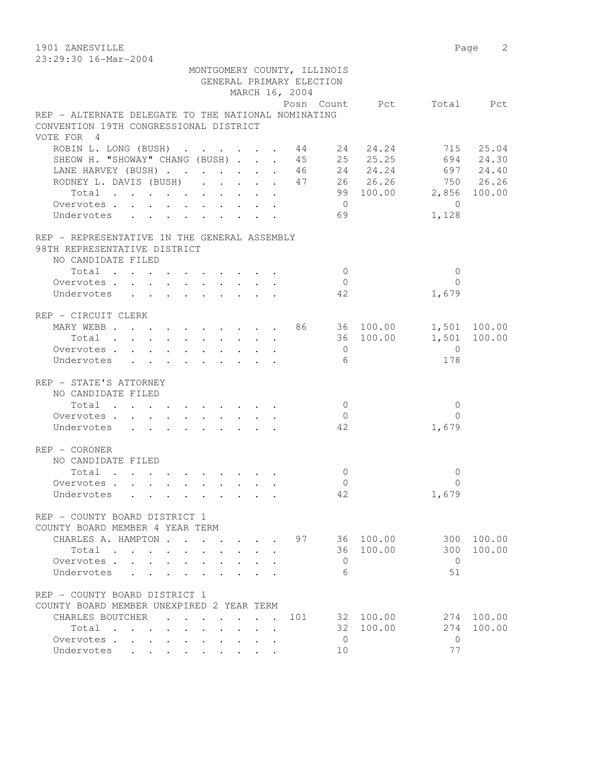1901 ZANESVILLE 2 23:29:30 16-Mar-2004

| 40.42.30 IU-Mal-4004                                                                               |                                                                       |  |  | MONTGOMERY COUNTY, ILLINOIS |                |           |                          |              |
|----------------------------------------------------------------------------------------------------|-----------------------------------------------------------------------|--|--|-----------------------------|----------------|-----------|--------------------------|--------------|
|                                                                                                    |                                                                       |  |  | GENERAL PRIMARY ELECTION    |                |           |                          |              |
|                                                                                                    |                                                                       |  |  | MARCH 16, 2004              |                |           |                          |              |
|                                                                                                    |                                                                       |  |  |                             |                |           | Posn Count Pct Total Pct |              |
| REP - ALTERNATE DELEGATE TO THE NATIONAL NOMINATING                                                |                                                                       |  |  |                             |                |           |                          |              |
| CONVENTION 19TH CONGRESSIONAL DISTRICT                                                             |                                                                       |  |  |                             |                |           |                          |              |
| VOTE FOR 4                                                                                         |                                                                       |  |  |                             |                |           |                          |              |
| ROBIN L. LONG (BUSH) 44 24 24.24 715 25.04<br>SHEOW H. "SHOWAY" CHANG (BUSH) 45 25 25.25 694 24.30 |                                                                       |  |  |                             |                |           |                          |              |
| SHEOW H. "SHOWAY" CHANG (BUSH)                                                                     |                                                                       |  |  |                             |                |           |                          |              |
| LANE HARVEY (BUSH) 46 24 24.24 697 24.40                                                           |                                                                       |  |  |                             |                |           |                          |              |
| RODNEY L. DAVIS (BUSH) 47 26 26.26 750 26.26                                                       |                                                                       |  |  |                             |                |           |                          |              |
| Total                                                                                              |                                                                       |  |  |                             |                |           | 99 100.00 2,856 100.00   |              |
| Overvotes.                                                                                         |                                                                       |  |  |                             | $\overline{0}$ |           | $\bigcirc$               |              |
| Undervotes                                                                                         |                                                                       |  |  |                             | 69             |           | 1,128                    |              |
| REP - REPRESENTATIVE IN THE GENERAL ASSEMBLY                                                       |                                                                       |  |  |                             |                |           |                          |              |
| 98TH REPRESENTATIVE DISTRICT                                                                       |                                                                       |  |  |                             |                |           |                          |              |
| NO CANDIDATE FILED                                                                                 |                                                                       |  |  |                             |                |           |                          |              |
| Total                                                                                              |                                                                       |  |  |                             | $\overline{0}$ |           | $\mathbf{0}$             |              |
| Overvotes.                                                                                         |                                                                       |  |  |                             | $\overline{0}$ |           | $\Omega$                 |              |
| Undervotes                                                                                         |                                                                       |  |  |                             | 42             |           | 1,679                    |              |
| REP - CIRCUIT CLERK                                                                                |                                                                       |  |  |                             |                |           |                          |              |
| MARY WEBB 86 36 100.00                                                                             |                                                                       |  |  |                             |                |           |                          | 1,501 100.00 |
| Total                                                                                              |                                                                       |  |  |                             |                | 36 100.00 |                          | 1,501 100.00 |
| Overvotes                                                                                          |                                                                       |  |  |                             | $\overline{0}$ |           | $\overline{0}$           |              |
| Undervotes                                                                                         |                                                                       |  |  |                             | 6              |           | 178                      |              |
| REP - STATE'S ATTORNEY                                                                             |                                                                       |  |  |                             |                |           |                          |              |
| NO CANDIDATE FILED                                                                                 |                                                                       |  |  |                             |                |           |                          |              |
| Total                                                                                              |                                                                       |  |  |                             | $\overline{0}$ |           | $\Omega$                 |              |
| Overvotes                                                                                          |                                                                       |  |  |                             | $\mathbf{0}$   |           | $\Omega$                 |              |
| Undervotes                                                                                         |                                                                       |  |  |                             | 42             |           | 1,679                    |              |
| REP - CORONER                                                                                      |                                                                       |  |  |                             |                |           |                          |              |
| NO CANDIDATE FILED                                                                                 |                                                                       |  |  |                             |                |           |                          |              |
| Total                                                                                              | $\mathbf{r}$ , and $\mathbf{r}$ , and $\mathbf{r}$ , and $\mathbf{r}$ |  |  |                             | $\overline{0}$ |           | $\mathbf{0}$             |              |
| Overvotes.                                                                                         |                                                                       |  |  |                             | $\mathbf 0$    |           | $\Omega$                 |              |
| Undervotes                                                                                         |                                                                       |  |  |                             | 42             |           | 1,679                    |              |
| REP - COUNTY BOARD DISTRICT 1                                                                      |                                                                       |  |  |                             |                |           |                          |              |
| COUNTY BOARD MEMBER 4 YEAR TERM                                                                    |                                                                       |  |  |                             |                |           |                          |              |
| CHARLES A. HAMPTON.                                                                                |                                                                       |  |  | 97                          |                | 36 100.00 | 300                      | 100.00       |
| Total<br>$\sim$                                                                                    |                                                                       |  |  |                             | 36             | 100.00    | 300                      | 100.00       |
| Overvotes.                                                                                         |                                                                       |  |  |                             | 0              |           | $\Omega$                 |              |
| Undervotes                                                                                         |                                                                       |  |  |                             | 6              |           | 51                       |              |
| REP - COUNTY BOARD DISTRICT 1                                                                      |                                                                       |  |  |                             |                |           |                          |              |
| COUNTY BOARD MEMBER UNEXPIRED 2 YEAR TERM                                                          |                                                                       |  |  |                             |                |           |                          |              |
| CHARLES BOUTCHER                                                                                   |                                                                       |  |  | 101                         | 32             | 100.00    | 274                      | 100.00       |
| Total<br>$\sim$<br>$\sim$                                                                          |                                                                       |  |  |                             | 32             | 100.00    | 274                      | 100.00       |
| Overvotes .                                                                                        |                                                                       |  |  |                             | $\mathbf{0}$   |           | $\circ$                  |              |
| Undervotes                                                                                         |                                                                       |  |  |                             | 10             |           | 77                       |              |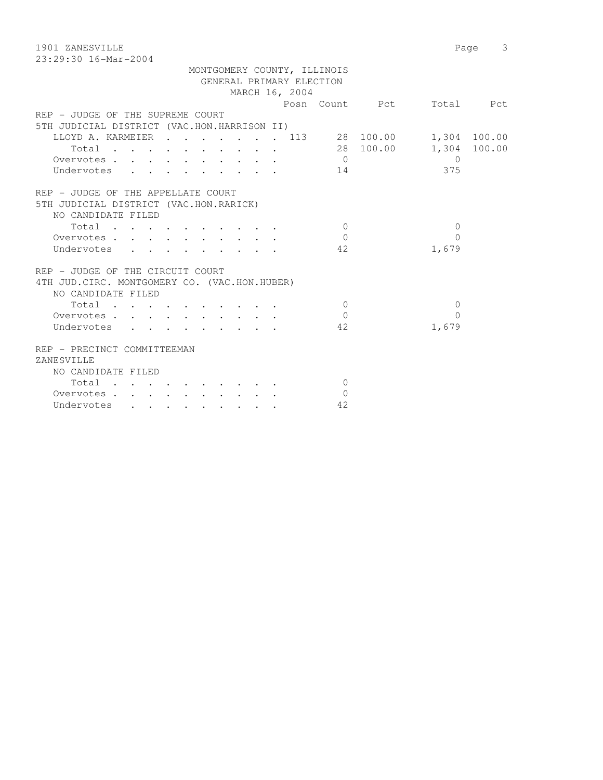1901 ZANESVILLE Page 3 23:29:30 16-Mar-2004 MONTGOMERY COUNTY, ILLINOIS GENERAL PRIMARY ELECTION MARCH 16, 2004 Posn Count Pct Total Pct REP - JUDGE OF THE SUPREME COURT 5TH JUDICIAL DISTRICT (VAC.HON.HARRISON II) LLOYD A. KARMEIER . . . . . . . 113 28 100.00 1,304 100.00 Total . . . . . . . . . . 28 100.00 1,304 100.00 Overvotes . . . . . . . . . . 0 0 Undervotes . . . . . . . . . 14 375 REP - JUDGE OF THE APPELLATE COURT 5TH JUDICIAL DISTRICT (VAC.HON.RARICK) NO CANDIDATE FILED  $\texttt{Total} \quad . \quad . \quad . \quad . \quad . \quad . \quad . \qquad 0 \qquad \qquad 0$  Overvotes . . . . . . . . . . 0 0 Undervotes . . . . . . . . . 42 1,679 REP - JUDGE OF THE CIRCUIT COURT 4TH JUD.CIRC. MONTGOMERY CO. (VAC.HON.HUBER) NO CANDIDATE FILED  $\text{Total} \quad . \quad . \quad . \quad . \quad . \quad . \quad . \qquad 0 \qquad \qquad 0$ Overvotes . . . . . . . . . . . 0 Undervotes . . . . . . . . . 42 1,679 REP - PRECINCT COMMITTEEMAN ZANESVILLE NO CANDIDATE FILED Total . . . . . . . . . . 0 Overvotes . . . . . . . . . . 0 Undervotes . . . . . . . . . 42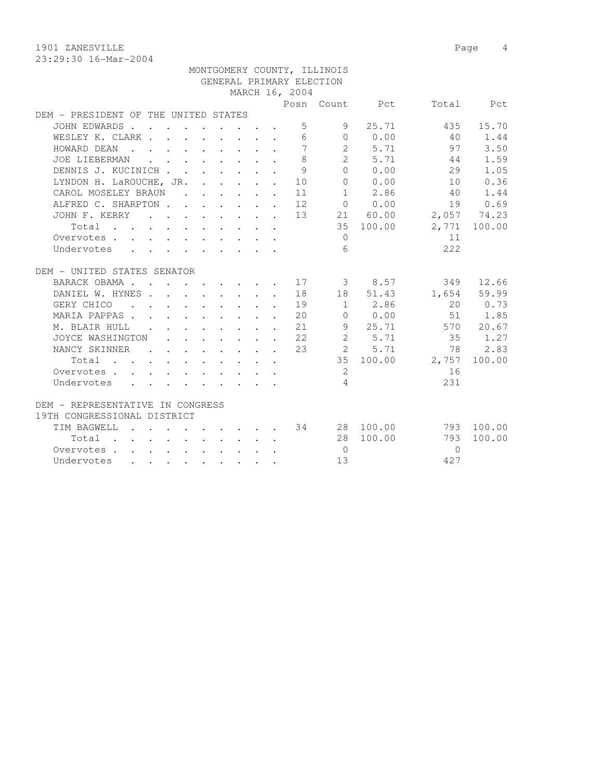1901 ZANESVILLE 2008 Page 4

|                                                                     |                 |  |  |                                                                                         |        |                                                                                                         |                | MONTGOMERY COUNTY, ILLINOIS |                                          |                 |              |
|---------------------------------------------------------------------|-----------------|--|--|-----------------------------------------------------------------------------------------|--------|---------------------------------------------------------------------------------------------------------|----------------|-----------------------------|------------------------------------------|-----------------|--------------|
|                                                                     |                 |  |  |                                                                                         |        |                                                                                                         |                | GENERAL PRIMARY ELECTION    |                                          |                 |              |
|                                                                     |                 |  |  |                                                                                         |        |                                                                                                         | MARCH 16, 2004 |                             |                                          |                 |              |
|                                                                     |                 |  |  |                                                                                         |        |                                                                                                         |                |                             | Posn Count Pct                           |                 | Total Pct    |
| DEM - PRESIDENT OF THE UNITED STATES                                |                 |  |  |                                                                                         |        |                                                                                                         |                |                             |                                          |                 |              |
| JOHN EDWARDS                                                        |                 |  |  |                                                                                         |        |                                                                                                         | 5              | 9                           | 25.71                                    | 435             | 15.70        |
| WESLEY K. CLARK                                                     |                 |  |  |                                                                                         |        |                                                                                                         | 6              |                             | $0 \t 0.00$                              | 40              | 1.44         |
| HOWARD DEAN                                                         |                 |  |  |                                                                                         |        |                                                                                                         | $\overline{7}$ |                             | 2 5.71                                   | 97              | 3.50         |
| JOE LIEBERMAN                                                       |                 |  |  | $\mathbf{r}$ , $\mathbf{r}$ , $\mathbf{r}$ , $\mathbf{r}$ , $\mathbf{r}$ , $\mathbf{r}$ |        |                                                                                                         | 8              |                             | 2 5.71                                   | 44              | 1.59         |
| DENNIS J. KUCINICH                                                  |                 |  |  |                                                                                         |        |                                                                                                         | 9              |                             | 0 0.00                                   | 29              | 1.05         |
| LYNDON H. LaROUCHE, JR.                                             |                 |  |  |                                                                                         |        |                                                                                                         | 10             |                             | 0 0.00                                   | 10              | 0.36         |
| CAROL MOSELEY BRAUN                                                 |                 |  |  |                                                                                         |        |                                                                                                         | 11             |                             | $1 \t 2.86$                              | 40              | 1.44         |
| ALFRED C. SHARPTON 12                                               |                 |  |  |                                                                                         |        |                                                                                                         |                |                             | $\begin{matrix}\n0 & 0.00\n\end{matrix}$ | 19              | 0.69         |
| JOHN F. KERRY 13                                                    |                 |  |  |                                                                                         |        |                                                                                                         |                |                             | 21 60.00                                 | 2,057 74.23     |              |
| Total                                                               |                 |  |  |                                                                                         |        |                                                                                                         |                |                             | 35 100.00                                |                 | 2,771 100.00 |
| Overvotes.                                                          |                 |  |  |                                                                                         |        |                                                                                                         |                | $\Omega$                    |                                          | 11              |              |
| Undervotes                                                          |                 |  |  |                                                                                         |        |                                                                                                         |                | 6                           |                                          | 2.2.2           |              |
|                                                                     |                 |  |  |                                                                                         |        |                                                                                                         |                |                             |                                          |                 |              |
| DEM - UNITED STATES SENATOR                                         |                 |  |  |                                                                                         |        |                                                                                                         |                |                             |                                          |                 |              |
| BARACK OBAMA 17                                                     |                 |  |  |                                                                                         |        |                                                                                                         |                |                             | 3 8.57                                   | 349             | 12.66        |
| DANIEL W. HYNES 18                                                  |                 |  |  |                                                                                         |        |                                                                                                         |                |                             | 18 51.43                                 |                 | 1,654 59.99  |
| GERY CHICO 19                                                       |                 |  |  |                                                                                         |        |                                                                                                         |                |                             | 1 2.86                                   |                 | 20 0.73      |
| MARIA PAPPAS.                                                       |                 |  |  |                                                                                         |        |                                                                                                         | 20             |                             | $0 \t 0.00$                              |                 | 51 1.85      |
| M. BLAIR HULL                                                       |                 |  |  | $\mathbf{r}$ , $\mathbf{r}$ , $\mathbf{r}$ , $\mathbf{r}$                               |        |                                                                                                         | 21             |                             | 9 25.71                                  |                 | 570 20.67    |
| JOYCE WASHINGTON                                                    |                 |  |  |                                                                                         |        | $\mathbf{r} = \mathbf{r} + \mathbf{r} + \mathbf{r} + \mathbf{r} + \mathbf{r} + \mathbf{r} + \mathbf{r}$ | 22             | $\overline{2}$              | 5.71                                     | 35              | 1.27         |
| NANCY SKINNER                                                       | <b>Contract</b> |  |  |                                                                                         |        | $\mathbf{r}$ , and $\mathbf{r}$ , and $\mathbf{r}$ , and $\mathbf{r}$                                   | 23             |                             | 2 5.71                                   | 78              | 2.83         |
| Total                                                               |                 |  |  |                                                                                         |        |                                                                                                         |                |                             |                                          | 35 100.00 2,757 | 100.00       |
| Overvotes                                                           |                 |  |  |                                                                                         |        |                                                                                                         |                | 2                           |                                          | 16              |              |
| Undervotes                                                          |                 |  |  |                                                                                         |        |                                                                                                         |                | $\overline{4}$              |                                          | 231             |              |
|                                                                     |                 |  |  |                                                                                         |        |                                                                                                         |                |                             |                                          |                 |              |
| DEM - REPRESENTATIVE IN CONGRESS                                    |                 |  |  |                                                                                         |        |                                                                                                         |                |                             |                                          |                 |              |
| 19TH CONGRESSIONAL DISTRICT                                         |                 |  |  |                                                                                         |        |                                                                                                         |                |                             |                                          |                 |              |
| TIM BAGWELL                                                         |                 |  |  |                                                                                         |        |                                                                                                         |                |                             | . 34 28 100.00                           |                 | 793 100.00   |
| $Total \cdot \cdot \cdot \cdot \cdot \cdot \cdot \cdot \cdot \cdot$ |                 |  |  |                                                                                         |        |                                                                                                         |                |                             | 28 100.00                                | 793             | 100.00       |
| Overvotes                                                           |                 |  |  |                                                                                         |        |                                                                                                         |                | $\overline{0}$              |                                          | $\Omega$        |              |
| Undervotes                                                          |                 |  |  |                                                                                         | $\sim$ |                                                                                                         |                | 13                          |                                          | 427             |              |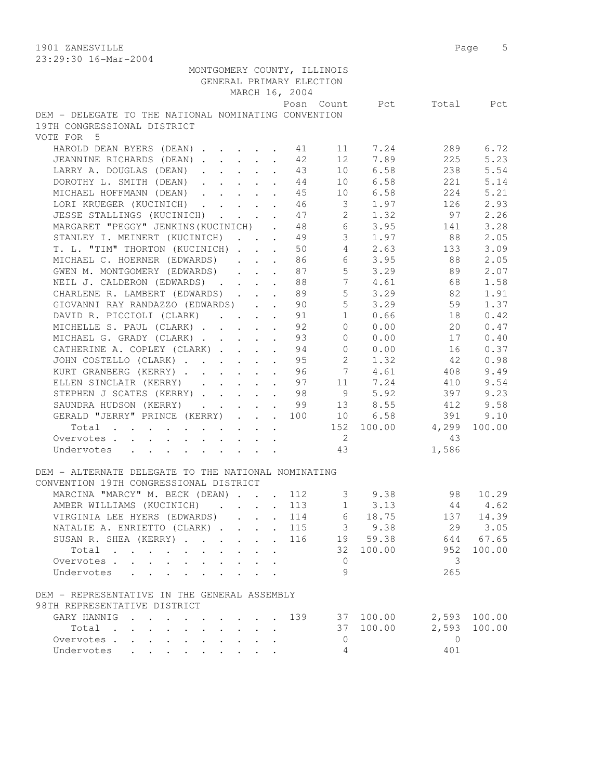1901 ZANESVILLE 2012 Page 5 23:29:30 16-Mar-2004

| MONTGOMERY COUNTY, ILLINOIS                                      |                      |              |                |                         |                                                         |                          |              |
|------------------------------------------------------------------|----------------------|--------------|----------------|-------------------------|---------------------------------------------------------|--------------------------|--------------|
| GENERAL PRIMARY ELECTION                                         |                      |              |                |                         |                                                         |                          |              |
|                                                                  |                      |              | MARCH 16, 2004 |                         |                                                         |                          |              |
|                                                                  |                      |              |                |                         |                                                         | Posn Count Pct Total Pct |              |
| DEM - DELEGATE TO THE NATIONAL NOMINATING CONVENTION             |                      |              |                |                         |                                                         |                          |              |
| 19TH CONGRESSIONAL DISTRICT                                      |                      |              |                |                         |                                                         |                          |              |
| VOTE FOR 5                                                       |                      |              |                |                         |                                                         |                          |              |
| HAROLD DEAN BYERS (DEAN) 41                                      |                      |              |                |                         | 11 7.24                                                 | 289                      | 6.72         |
| JEANNINE RICHARDS (DEAN) 12                                      |                      |              |                |                         | 12 7.89                                                 | 225                      | 5.23         |
| LARRY A. DOUGLAS (DEAN) 43                                       |                      |              |                |                         | 10 6.58                                                 | 238                      | 5.54         |
| DOROTHY L. SMITH (DEAN) 44                                       |                      |              |                |                         | 10 6.58                                                 | 221                      | 5.14         |
| MICHAEL HOFFMANN (DEAN)                                          |                      |              | 45             | 10                      | 6.58                                                    | 224                      | 5.21         |
| LORI KRUEGER (KUCINICH)                                          |                      |              | 46             | $\overline{\mathbf{3}}$ | 1.97                                                    | 126                      | 2.93         |
| JESSE STALLINGS (KUCINICH)                                       |                      |              |                | 47 2                    | 1.32                                                    | 97                       | 2.26         |
| MARGARET "PEGGY" JENKINS (KUCINICH) . 48 6 3.95 141              |                      |              |                |                         |                                                         |                          | 3.28         |
| STANLEY I. MEINERT (KUCINICH) 49 3 1.97 88                       |                      |              |                |                         |                                                         |                          | 2.05         |
| T. L. "TIM" THORTON (KUCINICH) 50 4 2.63 133                     |                      |              |                |                         |                                                         |                          | 3.09         |
| MICHAEL C. HOERNER (EDWARDS) 86                                  |                      |              |                |                         | 6 3.95                                                  | 88                       | 2.05         |
|                                                                  |                      |              |                |                         | $5 \t3.29$                                              | 89                       | 2.07         |
| GWEN M. MONTGOMERY (EDWARDS) 87<br>NEIL J. CALDERON (EDWARDS) 88 |                      |              |                | $7\overline{ }$         | 4.61                                                    | 68                       | 1.58         |
|                                                                  |                      |              |                | $5 -$                   | 3.29                                                    | 82                       | 1.91         |
| CHARLENE R. LAMBERT (EDWARDS)                                    |                      | $\sim$       | 89<br>90       |                         | 3.29                                                    |                          | 1.37         |
| GIOVANNI RAY RANDAZZO (EDWARDS)                                  |                      |              |                | 5 <sup>5</sup>          | 1 0.66                                                  | 59                       |              |
| DAVID R. PICCIOLI (CLARK)                                        |                      |              | 91             |                         |                                                         | 18                       | 0.42         |
| MICHELLE S. PAUL (CLARK) 92                                      |                      |              |                |                         | 0 0.00                                                  | 20                       | 0.47         |
| MICHAEL G. GRADY (CLARK) 93                                      |                      |              |                |                         |                                                         | $0 \t 0.00 \t 17$        | 0.40         |
| CATHERINE A. COPLEY (CLARK) 94                                   |                      |              |                |                         |                                                         | $0 \t 0.00 \t 16$        | 0.37         |
| JOHN COSTELLO (CLARK) 95                                         |                      |              |                |                         | $2 \t 1.32$                                             | 42                       | 0.98         |
| KURT GRANBERG (KERRY) 96                                         |                      |              |                |                         | 7 4.61                                                  | 408                      | 9.49         |
| ELLEN SINCLAIR (KERRY) 97                                        |                      |              |                |                         | $\begin{array}{cccc} 11 & 7.24 \\ 9 & 5.92 \end{array}$ | 410                      | 9.54         |
| STEPHEN J SCATES (KERRY)                                         |                      |              | 98             |                         |                                                         | 397                      | 9.23         |
| SAUNDRA HUDSON (KERRY)                                           | $\ddot{\phantom{a}}$ | $\mathbf{L}$ | 99             |                         | $13 \t 8.55$                                            | 412                      | 9.58         |
| GERALD "JERRY" PRINCE (KERRY) 100 10 6.58                        |                      |              |                |                         |                                                         |                          | 391 9.10     |
| Total                                                            |                      |              |                |                         |                                                         | 152 100.00 4,299         | 100.00       |
| Overvotes                                                        |                      |              |                | $\overline{2}$          |                                                         | 43                       |              |
| Undervotes 43                                                    |                      |              |                |                         |                                                         | 1,586                    |              |
|                                                                  |                      |              |                |                         |                                                         |                          |              |
| DEM - ALTERNATE DELEGATE TO THE NATIONAL NOMINATING              |                      |              |                |                         |                                                         |                          |              |
| CONVENTION 19TH CONGRESSIONAL DISTRICT                           |                      |              |                |                         |                                                         |                          |              |
| MARCINA "MARCY" M. BECK (DEAN) 112                               |                      |              |                |                         | 3, 9.38                                                 | 98 10.29                 |              |
| AMBER WILLIAMS (KUCINICH) 113 1 3.13 44 4.62                     |                      |              |                |                         |                                                         |                          |              |
| VIRGINIA LEE HYERS (EDWARDS) 114                                 |                      |              |                | $6\overline{6}$         | 18.75                                                   |                          | 137 14.39    |
| NATALIE A. ENRIETTO (CLARK) 115                                  |                      |              |                |                         | $3^{9.38}$                                              |                          | 29 3.05      |
| SUSAN R. SHEA (KERRY).                                           |                      |              | 116            |                         | 19 59.38                                                |                          | 644 67.65    |
| Total                                                            |                      |              |                |                         | 32 100.00                                               | 952                      | 100.00       |
| Overvotes                                                        |                      |              |                | $\circ$                 |                                                         | 3                        |              |
| Undervotes                                                       |                      |              |                | 9                       |                                                         | 265                      |              |
|                                                                  |                      |              |                |                         |                                                         |                          |              |
| DEM - REPRESENTATIVE IN THE GENERAL ASSEMBLY                     |                      |              |                |                         |                                                         |                          |              |
| 98TH REPRESENTATIVE DISTRICT                                     |                      |              |                |                         |                                                         |                          |              |
| GARY HANNIG 139                                                  |                      |              |                |                         | 37 100.00                                               |                          | 2,593 100.00 |
|                                                                  |                      |              |                |                         |                                                         |                          |              |
| Total                                                            |                      |              |                |                         | 37 100.00                                               | 2,593                    | 100.00       |
| Overvotes.                                                       |                      |              |                | $\circ$                 |                                                         | $\bigcirc$               |              |
| Undervotes                                                       |                      |              |                | 4                       |                                                         | 401                      |              |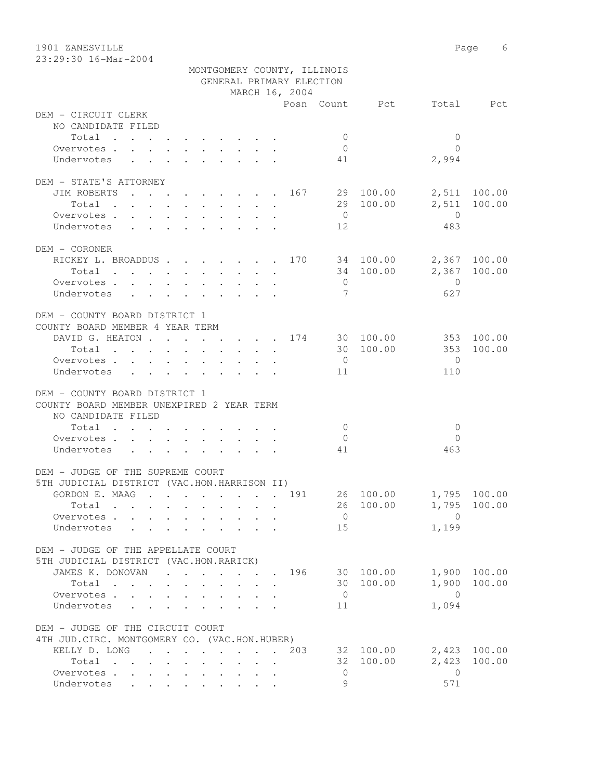1901 ZANESVILLE 2008 Page 6 23:29:30 16-Mar-2004

|                                               |  |  |                                         |                                                         |  | GENERAL PRIMARY ELECTION | MONTGOMERY COUNTY, ILLINOIS |               |                          |              |
|-----------------------------------------------|--|--|-----------------------------------------|---------------------------------------------------------|--|--------------------------|-----------------------------|---------------|--------------------------|--------------|
|                                               |  |  |                                         |                                                         |  | MARCH 16, 2004           |                             |               |                          |              |
|                                               |  |  |                                         |                                                         |  |                          |                             |               | Posn Count Pct Total Pct |              |
| DEM - CIRCUIT CLERK                           |  |  |                                         |                                                         |  |                          |                             |               |                          |              |
| NO CANDIDATE FILED                            |  |  |                                         |                                                         |  |                          |                             |               |                          |              |
| Total                                         |  |  |                                         |                                                         |  |                          | $\overline{0}$              |               | $\mathbf{0}$             |              |
| Overvotes.                                    |  |  |                                         |                                                         |  |                          | $\overline{0}$              |               | $\Omega$                 |              |
| Undervotes                                    |  |  |                                         |                                                         |  |                          | 41                          |               | 2,994                    |              |
| DEM - STATE'S ATTORNEY                        |  |  |                                         |                                                         |  |                          |                             |               |                          |              |
| JIM ROBERTS 167 29 100.00                     |  |  |                                         |                                                         |  |                          |                             |               |                          | 2,511 100.00 |
| Total                                         |  |  |                                         |                                                         |  |                          |                             | 29 100.00     |                          | 2,511 100.00 |
| Overvotes.                                    |  |  |                                         |                                                         |  |                          | $\overline{0}$              |               | $\overline{0}$           |              |
| Undervotes                                    |  |  |                                         |                                                         |  |                          | 12                          |               | 483                      |              |
| DEM - CORONER                                 |  |  |                                         |                                                         |  |                          |                             |               |                          |              |
| RICKEY L. BROADDUS 170 34 100.00 2,367 100.00 |  |  |                                         |                                                         |  |                          |                             |               |                          |              |
| Total $\cdot$                                 |  |  |                                         |                                                         |  |                          |                             | 34 100.00     |                          | 2,367 100.00 |
| Overvotes                                     |  |  |                                         | $\cdot$ $\cdot$ $\cdot$ $\cdot$ $\cdot$ $\cdot$ $\cdot$ |  |                          | $\overline{0}$              |               | $\overline{0}$           |              |
|                                               |  |  |                                         |                                                         |  |                          | $\overline{7}$              |               | 627                      |              |
| Undervotes                                    |  |  |                                         |                                                         |  |                          |                             |               |                          |              |
| DEM - COUNTY BOARD DISTRICT 1                 |  |  |                                         |                                                         |  |                          |                             |               |                          |              |
| COUNTY BOARD MEMBER 4 YEAR TERM               |  |  |                                         |                                                         |  |                          |                             |               |                          |              |
| DAVID G. HEATON 174 30 100.00 353 100.00      |  |  |                                         |                                                         |  |                          |                             |               |                          |              |
|                                               |  |  |                                         |                                                         |  |                          |                             |               | Total 30 100.00 353      | 100.00       |
| Overvotes                                     |  |  |                                         |                                                         |  |                          | $\overline{0}$              |               | $\bigcirc$               |              |
| Undervotes                                    |  |  |                                         |                                                         |  |                          | 11                          |               | 110                      |              |
| DEM - COUNTY BOARD DISTRICT 1                 |  |  |                                         |                                                         |  |                          |                             |               |                          |              |
| COUNTY BOARD MEMBER UNEXPIRED 2 YEAR TERM     |  |  |                                         |                                                         |  |                          |                             |               |                          |              |
| NO CANDIDATE FILED<br>Total                   |  |  |                                         |                                                         |  |                          | $\overline{0}$              |               | 0                        |              |
| Overvotes.                                    |  |  |                                         |                                                         |  |                          | $\overline{0}$              |               | $\Omega$                 |              |
| Undervotes                                    |  |  |                                         |                                                         |  |                          | 41                          |               | 463                      |              |
|                                               |  |  |                                         |                                                         |  |                          |                             |               |                          |              |
| DEM - JUDGE OF THE SUPREME COURT              |  |  |                                         |                                                         |  |                          |                             |               |                          |              |
| 5TH JUDICIAL DISTRICT (VAC.HON.HARRISON II)   |  |  |                                         |                                                         |  |                          |                             |               |                          |              |
| GORDON E. MAAG 191                            |  |  |                                         |                                                         |  |                          |                             |               | 26 100.00 1,795 100.00   |              |
| Total .                                       |  |  |                                         |                                                         |  |                          |                             |               | 26 100.00 1,795 100.00   |              |
| Overvotes.                                    |  |  |                                         |                                                         |  |                          | $\overline{0}$              |               | $\Omega$                 |              |
| Undervotes                                    |  |  |                                         |                                                         |  |                          | 15                          |               | 1,199                    |              |
| DEM - JUDGE OF THE APPELLATE COURT            |  |  |                                         |                                                         |  |                          |                             |               |                          |              |
| 5TH JUDICIAL DISTRICT (VAC.HON.RARICK)        |  |  |                                         |                                                         |  |                          |                             |               |                          |              |
| JAMES K. DONOVAN                              |  |  |                                         |                                                         |  |                          |                             | 196 30 100.00 |                          | 1,900 100.00 |
| Total                                         |  |  |                                         |                                                         |  |                          |                             | 30 100.00     |                          | 1,900 100.00 |
| Overvotes                                     |  |  | $\cdot$ $\cdot$ $\cdot$ $\cdot$ $\cdot$ | $\mathbf{L}$                                            |  |                          | $\overline{0}$              |               | $\bigcirc$               |              |
| Undervotes                                    |  |  |                                         |                                                         |  |                          | 11                          |               | 1,094                    |              |
| DEM - JUDGE OF THE CIRCUIT COURT              |  |  |                                         |                                                         |  |                          |                             |               |                          |              |
| 4TH JUD. CIRC. MONTGOMERY CO. (VAC.HON.HUBER) |  |  |                                         |                                                         |  |                          |                             |               |                          |              |
| KELLY D. LONG                                 |  |  |                                         |                                                         |  | 203                      |                             | 32 100.00     |                          | 2,423 100.00 |
| Total                                         |  |  |                                         |                                                         |  |                          |                             | 32 100.00     | 2,423                    | 100.00       |
| Overvotes                                     |  |  |                                         |                                                         |  |                          | $\circ$                     |               | $\overline{0}$           |              |
| Undervotes                                    |  |  |                                         |                                                         |  |                          | 9                           |               | 571                      |              |
|                                               |  |  |                                         |                                                         |  |                          |                             |               |                          |              |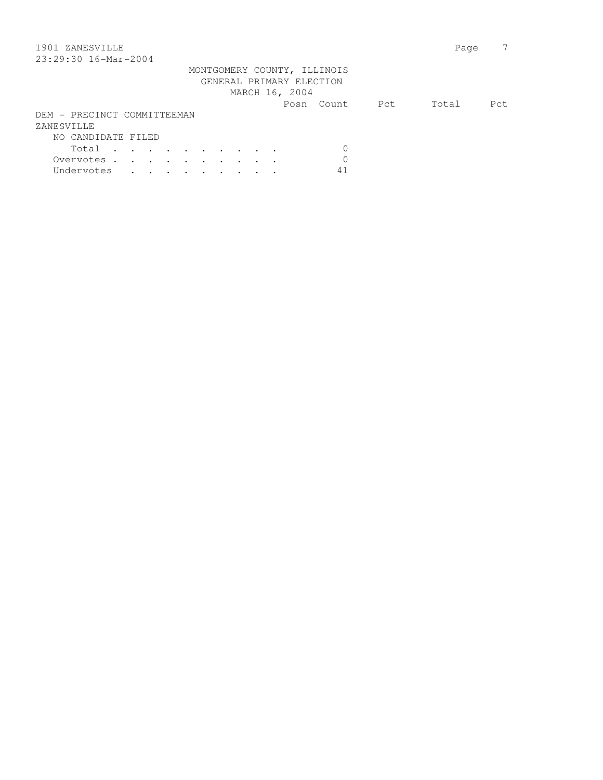| 1901 ZANESVILLE             | Page |
|-----------------------------|------|
| 23:29:30 16-Mar-2004        |      |
| MONTGOMERY COUNTY, ILLINOIS |      |
| GENERAL PRIMARY ELECTION    |      |
| MARCH 16, 2004              |      |
| Total<br>Pct<br>Posn Count  | Pct. |
| DEM - PRECINCT COMMITTEEMAN |      |
| ZANESVILLE                  |      |
| NO CANDIDATE FILED          |      |
| 0<br>Total                  |      |
| Overvotes.                  |      |

Undervotes . . . . . . . . 41